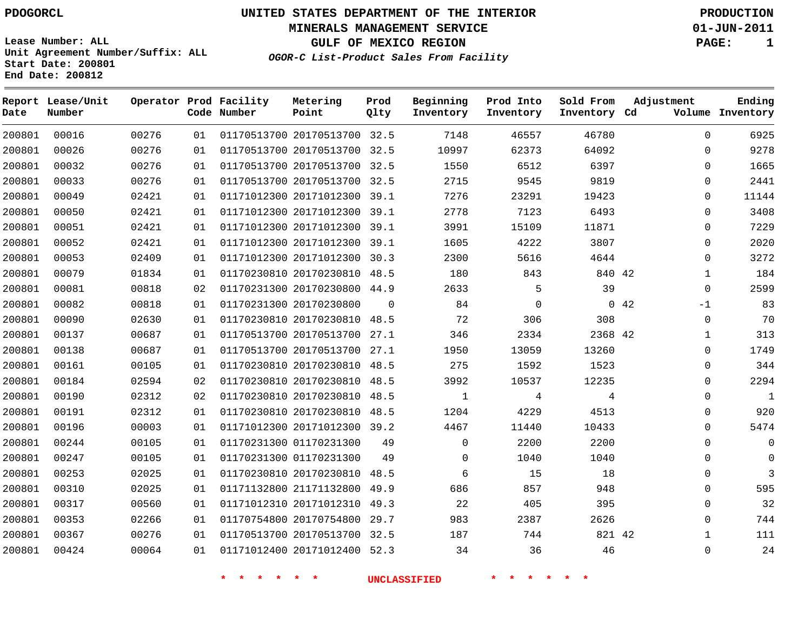**Start Date: 200801 End Date: 200812**

**Unit Agreement Number/Suffix: ALL**

# **UNITED STATES DEPARTMENT OF THE INTERIOR PDOGORCL PRODUCTION**

**MINERALS MANAGEMENT SERVICE 01-JUN-2011**

**GULF OF MEXICO REGION PAGE: 1**

**OGOR-C List-Product Sales From Facility**

| Date   | Report Lease/Unit<br>Number |       |    | Operator Prod Facility<br>Code Number | Metering<br>Point            | Prod<br>Qlty | Beginning<br>Inventory | Prod Into<br>Inventory | Sold From<br>Inventory Cd | Adjustment   | Ending<br>Volume Inventory |
|--------|-----------------------------|-------|----|---------------------------------------|------------------------------|--------------|------------------------|------------------------|---------------------------|--------------|----------------------------|
| 200801 | 00016                       | 00276 | 01 |                                       | 01170513700 20170513700 32.5 |              | 7148                   | 46557                  | 46780                     | $\Omega$     | 6925                       |
| 200801 | 00026                       | 00276 | 01 |                                       | 01170513700 20170513700      | 32.5         | 10997                  | 62373                  | 64092                     | $\Omega$     | 9278                       |
| 200801 | 00032                       | 00276 | 01 |                                       | 01170513700 20170513700 32.5 |              | 1550                   | 6512                   | 6397                      | $\Omega$     | 1665                       |
| 200801 | 00033                       | 00276 | 01 |                                       | 01170513700 20170513700      | 32.5         | 2715                   | 9545                   | 9819                      | $\Omega$     | 2441                       |
| 200801 | 00049                       | 02421 | 01 |                                       | 01171012300 20171012300      | 39.1         | 7276                   | 23291                  | 19423                     | $\mathbf 0$  | 11144                      |
| 200801 | 00050                       | 02421 | 01 |                                       | 01171012300 20171012300      | 39.1         | 2778                   | 7123                   | 6493                      | $\Omega$     | 3408                       |
| 200801 | 00051                       | 02421 | 01 |                                       | 01171012300 20171012300      | 39.1         | 3991                   | 15109                  | 11871                     | $\mathbf 0$  | 7229                       |
| 200801 | 00052                       | 02421 | 01 |                                       | 01171012300 20171012300      | 39.1         | 1605                   | 4222                   | 3807                      | $\Omega$     | 2020                       |
| 200801 | 00053                       | 02409 | 01 |                                       | 01171012300 20171012300      | 30.3         | 2300                   | 5616                   | 4644                      | $\Omega$     | 3272                       |
| 200801 | 00079                       | 01834 | 01 |                                       | 01170230810 20170230810 48.5 |              | 180                    | 843                    | 840 42                    | $\mathbf{1}$ | 184                        |
| 200801 | 00081                       | 00818 | 02 |                                       | 01170231300 20170230800      | 44.9         | 2633                   | 5                      | 39                        | $\Omega$     | 2599                       |
| 200801 | 00082                       | 00818 | 01 |                                       | 01170231300 20170230800      | $\Omega$     | 84                     | $\mathbf 0$            |                           | 042<br>$-1$  | 83                         |
| 200801 | 00090                       | 02630 | 01 |                                       | 01170230810 20170230810      | 48.5         | 72                     | 306                    | 308                       | $\Omega$     | 70                         |
| 200801 | 00137                       | 00687 | 01 |                                       | 01170513700 20170513700      | 27.1         | 346                    | 2334                   | 2368 42                   | $\mathbf{1}$ | 313                        |
| 200801 | 00138                       | 00687 | 01 |                                       | 01170513700 20170513700 27.1 |              | 1950                   | 13059                  | 13260                     | $\Omega$     | 1749                       |
| 200801 | 00161                       | 00105 | 01 |                                       | 01170230810 20170230810      | 48.5         | 275                    | 1592                   | 1523                      | $\Omega$     | 344                        |
| 200801 | 00184                       | 02594 | 02 |                                       | 01170230810 20170230810 48.5 |              | 3992                   | 10537                  | 12235                     | $\Omega$     | 2294                       |
| 200801 | 00190                       | 02312 | 02 |                                       | 01170230810 20170230810      | 48.5         | $\mathbf{1}$           | 4                      | 4                         | $\mathbf{0}$ | $\mathbf{1}$               |
| 200801 | 00191                       | 02312 | 01 |                                       | 01170230810 20170230810 48.5 |              | 1204                   | 4229                   | 4513                      | $\Omega$     | 920                        |
| 200801 | 00196                       | 00003 | 01 |                                       | 01171012300 20171012300 39.2 |              | 4467                   | 11440                  | 10433                     | $\Omega$     | 5474                       |
| 200801 | 00244                       | 00105 | 01 |                                       | 01170231300 01170231300      | 49           | $\mathbf 0$            | 2200                   | 2200                      | $\Omega$     | $\Omega$                   |
| 200801 | 00247                       | 00105 | 01 |                                       | 01170231300 01170231300      | 49           | 0                      | 1040                   | 1040                      | $\Omega$     | $\Omega$                   |
| 200801 | 00253                       | 02025 | 01 |                                       | 01170230810 20170230810      | 48.5         | 6                      | 15                     | 18                        | $\mathbf{0}$ | $\overline{3}$             |
| 200801 | 00310                       | 02025 | 01 |                                       | 01171132800 21171132800 49.9 |              | 686                    | 857                    | 948                       | $\Omega$     | 595                        |
| 200801 | 00317                       | 00560 | 01 |                                       | 01171012310 20171012310      | 49.3         | 22                     | 405                    | 395                       | $\Omega$     | 32                         |
| 200801 | 00353                       | 02266 | 01 |                                       | 01170754800 20170754800      | 29.7         | 983                    | 2387                   | 2626                      | $\Omega$     | 744                        |
| 200801 | 00367                       | 00276 | 01 |                                       | 01170513700 20170513700 32.5 |              | 187                    | 744                    | 821 42                    | 1            | 111                        |
| 200801 | 00424                       | 00064 | 01 |                                       | 01171012400 20171012400      | 52.3         | 34                     | 36                     | 46                        | $\Omega$     | 24                         |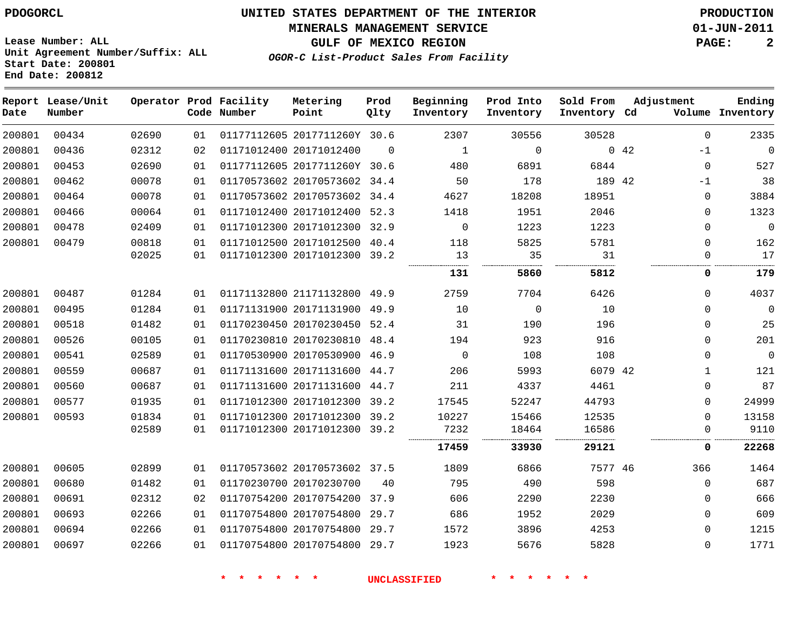#### **MINERALS MANAGEMENT SERVICE 01-JUN-2011**

**GULF OF MEXICO REGION PAGE: 2**

**Lease Number: ALL Unit Agreement Number/Suffix: ALL Start Date: 200801 End Date: 200812**

**OGOR-C List-Product Sales From Facility**

| Date   | Report Lease/Unit<br>Number |                |          | Operator Prod Facility<br>Code Number | Metering<br>Point                                            | Prod<br>Qlty | Beginning<br>Inventory | Prod Into<br>Inventory | Sold From<br>Inventory Cd | Adjustment |                      | Ending<br>Volume Inventory |
|--------|-----------------------------|----------------|----------|---------------------------------------|--------------------------------------------------------------|--------------|------------------------|------------------------|---------------------------|------------|----------------------|----------------------------|
| 200801 | 00434                       | 02690          | 01       |                                       | 01177112605 2017711260Y 30.6                                 |              | 2307                   | 30556                  | 30528                     |            | $\Omega$             | 2335                       |
| 200801 | 00436                       | 02312          | 02       |                                       | 01171012400 20171012400                                      | $\Omega$     | 1                      | $\mathbf 0$            |                           | 042        | -1                   | $\mathbf 0$                |
| 200801 | 00453                       | 02690          | 01       |                                       | 01177112605 2017711260Y 30.6                                 |              | 480                    | 6891                   | 6844                      |            | $\mathbf 0$          | 527                        |
| 200801 | 00462                       | 00078          | 01       |                                       | 01170573602 20170573602 34.4                                 |              | 50                     | 178                    | 189 42                    |            | -1                   | 38                         |
| 200801 | 00464                       | 00078          | 01       |                                       | 01170573602 20170573602 34.4                                 |              | 4627                   | 18208                  | 18951                     |            | 0                    | 3884                       |
| 200801 | 00466                       | 00064          | 01       |                                       | 01171012400 20171012400                                      | 52.3         | 1418                   | 1951                   | 2046                      |            | 0                    | 1323                       |
| 200801 | 00478                       | 02409          | 01       |                                       | 01171012300 20171012300 32.9                                 |              | $\overline{0}$         | 1223                   | 1223                      |            | 0                    | $\mathbf 0$                |
| 200801 | 00479                       | 00818<br>02025 | 01<br>01 |                                       | 01171012500 20171012500 40.4<br>01171012300 20171012300 39.2 |              | 118<br>13              | 5825<br>35             | 5781<br>31                |            | $\Omega$<br>$\Omega$ | 162<br>17                  |
|        |                             |                |          |                                       |                                                              |              | 131                    | 5860                   | 5812                      |            | 0                    | 179                        |
| 200801 | 00487                       | 01284          | 01       |                                       | 01171132800 21171132800 49.9                                 |              | 2759                   | 7704                   | 6426                      |            | $\Omega$             | 4037                       |
| 200801 | 00495                       | 01284          | 01       |                                       | 01171131900 20171131900 49.9                                 |              | 10                     | $\mathbf 0$            | 10                        |            | $\Omega$             | $\mathbf 0$                |
| 200801 | 00518                       | 01482          | 01       |                                       | 01170230450 20170230450 52.4                                 |              | 31                     | 190                    | 196                       |            | 0                    | 25                         |
| 200801 | 00526                       | 00105          | 01       |                                       | 01170230810 20170230810 48.4                                 |              | 194                    | 923                    | 916                       |            | $\Omega$             | 201                        |
| 200801 | 00541                       | 02589          | 01       |                                       | 01170530900 20170530900 46.9                                 |              | $\overline{0}$         | 108                    | 108                       |            | 0                    | $\boldsymbol{0}$           |
| 200801 | 00559                       | 00687          | 01       |                                       | 01171131600 20171131600 44.7                                 |              | 206                    | 5993                   | 6079 42                   |            | 1                    | 121                        |
| 200801 | 00560                       | 00687          | 01       |                                       | 01171131600 20171131600 44.7                                 |              | 211                    | 4337                   | 4461                      |            | 0                    | 87                         |
| 200801 | 00577                       | 01935          | 01       |                                       | 01171012300 20171012300 39.2                                 |              | 17545                  | 52247                  | 44793                     |            | $\Omega$             | 24999                      |
| 200801 | 00593                       | 01834          | 01       |                                       | 01171012300 20171012300 39.2                                 |              | 10227                  | 15466                  | 12535                     |            | $\Omega$             | 13158                      |
|        |                             | 02589          | 01       |                                       | 01171012300 20171012300 39.2                                 |              | 7232                   | 18464                  | 16586                     |            | 0                    | 9110                       |
|        |                             |                |          |                                       |                                                              |              | 17459                  | 33930                  | 29121                     |            | 0                    | 22268                      |
| 200801 | 00605                       | 02899          | 01       |                                       | 01170573602 20170573602 37.5                                 |              | 1809                   | 6866                   | 7577 46                   |            | 366                  | 1464                       |
| 200801 | 00680                       | 01482          | 01       |                                       | 01170230700 20170230700                                      | 40           | 795                    | 490                    | 598                       |            | $\mathbf 0$          | 687                        |
| 200801 | 00691                       | 02312          | 02       |                                       | 01170754200 20170754200 37.9                                 |              | 606                    | 2290                   | 2230                      |            | $\Omega$             | 666                        |
| 200801 | 00693                       | 02266          | 01       |                                       | 01170754800 20170754800 29.7                                 |              | 686                    | 1952                   | 2029                      |            | 0                    | 609                        |
| 200801 | 00694                       | 02266          | 01       |                                       | 01170754800 20170754800 29.7                                 |              | 1572                   | 3896                   | 4253                      |            | 0                    | 1215                       |
| 200801 | 00697                       | 02266          | 01       |                                       | 01170754800 20170754800                                      | 29.7         | 1923                   | 5676                   | 5828                      |            | $\Omega$             | 1771                       |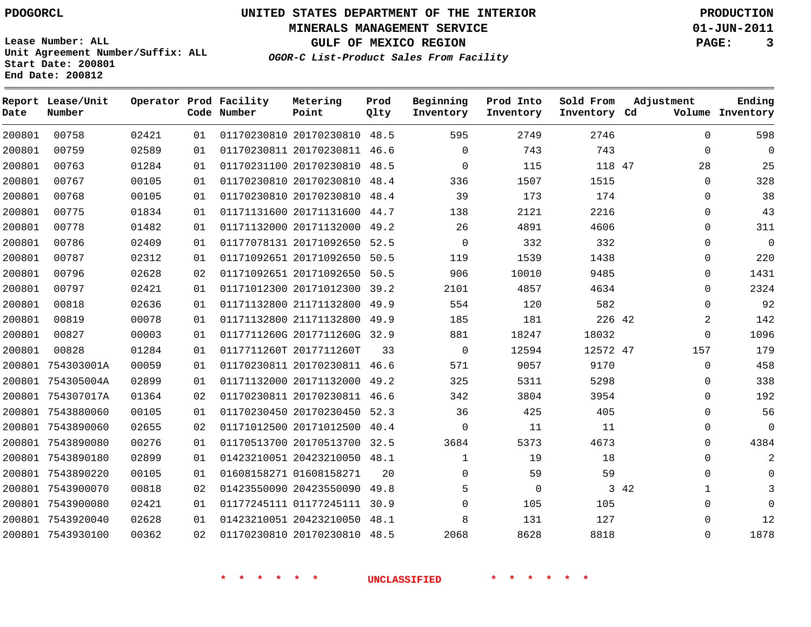**MINERALS MANAGEMENT SERVICE 01-JUN-2011**

**GULF OF MEXICO REGION PAGE: 3**

**OGOR-C List-Product Sales From Facility**

**Lease Number: ALL Unit Agreement Number/Suffix: ALL Start Date: 200801 End Date: 200812**

| Date   | Report Lease/Unit<br>Number |       |    | Operator Prod Facility<br>Code Number | Metering<br>Point            | Prod<br>Qlty | Beginning<br>Inventory | Prod Into<br>Inventory | Sold From<br>Inventory Cd | Adjustment           | Ending<br>Volume Inventory |
|--------|-----------------------------|-------|----|---------------------------------------|------------------------------|--------------|------------------------|------------------------|---------------------------|----------------------|----------------------------|
| 200801 | 00758                       | 02421 | 01 |                                       | 01170230810 20170230810 48.5 |              | 595                    | 2749                   | 2746                      | $\Omega$             | 598                        |
| 200801 | 00759                       | 02589 | 01 |                                       | 01170230811 20170230811 46.6 |              | $\Omega$               | 743                    | 743                       | $\mathbf 0$          | $\mathbf 0$                |
| 200801 | 00763                       | 01284 | 01 |                                       | 01170231100 20170230810 48.5 |              | $\mathbf 0$            | 115                    | 118 47                    | 28                   | 25                         |
| 200801 | 00767                       | 00105 | 01 |                                       | 01170230810 20170230810 48.4 |              | 336                    | 1507                   | 1515                      | 0                    | 328                        |
| 200801 | 00768                       | 00105 | 01 |                                       | 01170230810 20170230810 48.4 |              | 39                     | 173                    | 174                       | 0                    | 38                         |
| 200801 | 00775                       | 01834 | 01 |                                       | 01171131600 20171131600 44.7 |              | 138                    | 2121                   | 2216                      | 0                    | 43                         |
| 200801 | 00778                       | 01482 | 01 |                                       | 01171132000 20171132000      | 49.2         | 26                     | 4891                   | 4606                      | $\mathbf 0$          | 311                        |
| 200801 | 00786                       | 02409 | 01 |                                       | 01177078131 20171092650      | 52.5         | $\Omega$               | 332                    | 332                       | $\Omega$             | $\mathbf 0$                |
| 200801 | 00787                       | 02312 | 01 |                                       | 01171092651 20171092650      | 50.5         | 119                    | 1539                   | 1438                      | 0                    | 220                        |
| 200801 | 00796                       | 02628 | 02 |                                       | 01171092651 20171092650      | 50.5         | 906                    | 10010                  | 9485                      | $\mathbf 0$          | 1431                       |
| 200801 | 00797                       | 02421 | 01 |                                       | 01171012300 20171012300      | 39.2         | 2101                   | 4857                   | 4634                      | $\Omega$             | 2324                       |
| 200801 | 00818                       | 02636 | 01 |                                       | 01171132800 21171132800      | 49.9         | 554                    | 120                    | 582                       | 0                    | 92                         |
| 200801 | 00819                       | 00078 | 01 |                                       | 01171132800 21171132800 49.9 |              | 185                    | 181                    | 226 42                    | 2                    | 142                        |
| 200801 | 00827                       | 00003 | 01 |                                       | 0117711260G 2017711260G 32.9 |              | 881                    | 18247                  | 18032                     | $\mathbf 0$          | 1096                       |
| 200801 | 00828                       | 01284 | 01 |                                       | 0117711260T 2017711260T      | 33           | $\Omega$               | 12594                  | 12572 47                  | 157                  | 179                        |
|        | 200801 754303001A           | 00059 | 01 |                                       | 01170230811 20170230811 46.6 |              | 571                    | 9057                   | 9170                      | 0                    | 458                        |
|        | 200801 754305004A           | 02899 | 01 |                                       | 01171132000 20171132000      | 49.2         | 325                    | 5311                   | 5298                      | $\mathbf 0$          | 338                        |
|        | 200801 754307017A           | 01364 | 02 |                                       | 01170230811 20170230811 46.6 |              | 342                    | 3804                   | 3954                      | $\Omega$             | 192                        |
|        | 200801 7543880060           | 00105 | 01 |                                       | 01170230450 20170230450      | 52.3         | 36                     | 425                    | 405                       | 0                    | 56                         |
|        | 200801 7543890060           | 02655 | 02 |                                       | 01171012500 20171012500      | 40.4         | $\Omega$               | 11                     | 11                        | 0                    | $\overline{0}$             |
|        | 200801 7543890080           | 00276 | 01 |                                       | 01170513700 20170513700      | 32.5         | 3684                   | 5373                   | 4673                      | $\mathbf 0$          | 4384                       |
|        | 200801 7543890180           | 02899 | 01 |                                       | 01423210051 20423210050 48.1 |              | 1                      | 19                     | 18                        | $\Omega$             | 2                          |
|        | 200801 7543890220           | 00105 | 01 |                                       | 01608158271 01608158271      | 20           | $\Omega$               | 59                     | 59                        | 0                    | $\Omega$                   |
|        | 200801 7543900070           | 00818 | 02 |                                       | 01423550090 20423550090 49.8 |              | 5                      | $\mathbf 0$            |                           | 3 42<br>$\mathbf{1}$ | 3                          |
|        | 200801 7543900080           | 02421 | 01 |                                       | 01177245111 01177245111      | 30.9         | $\Omega$               | 105                    | 105                       | 0                    | $\Omega$                   |
|        | 200801 7543920040           | 02628 | 01 |                                       | 01423210051 20423210050      | 48.1         | 8                      | 131                    | 127                       | 0                    | 12                         |
|        | 200801 7543930100           | 00362 | 02 |                                       | 01170230810 20170230810 48.5 |              | 2068                   | 8628                   | 8818                      | 0                    | 1878                       |
|        |                             |       |    |                                       |                              |              |                        |                        |                           |                      |                            |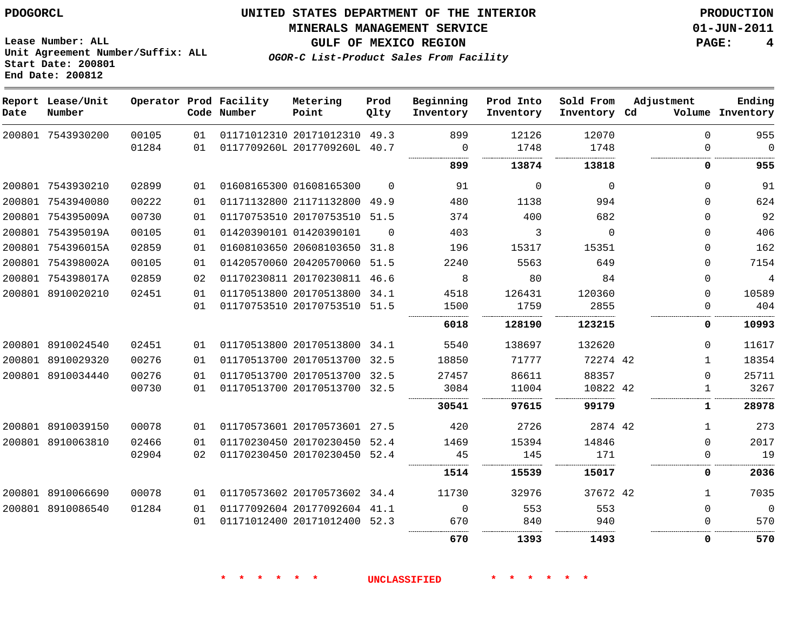**Lease Number: ALL**

**Start Date: 200801 End Date: 200812**

**Unit Agreement Number/Suffix: ALL**

# **UNITED STATES DEPARTMENT OF THE INTERIOR PDOGORCL PRODUCTION**

#### **MINERALS MANAGEMENT SERVICE 01-JUN-2011**

**GULF OF MEXICO REGION PAGE: 4**

**OGOR-C List-Product Sales From Facility**

| Date | Report Lease/Unit<br>Number |       |                 | Operator Prod Facility<br>Code Number | Metering<br>Point            | Prod<br>Qlty | Beginning<br>Inventory | Prod Into<br>Inventory | Sold From<br>Inventory Cd | Adjustment   | Ending<br>Volume Inventory |
|------|-----------------------------|-------|-----------------|---------------------------------------|------------------------------|--------------|------------------------|------------------------|---------------------------|--------------|----------------------------|
|      | 200801 7543930200           | 00105 | 01              |                                       | 01171012310 20171012310      | 49.3         | 899                    | 12126                  | 12070                     | $\Omega$     | 955                        |
|      |                             | 01284 | 01              |                                       | 0117709260L 2017709260L 40.7 |              | 0                      | 1748                   | 1748                      | $\mathbf 0$  | $\Omega$                   |
|      |                             |       |                 |                                       |                              |              | 899                    | 13874                  | 13818                     | 0            | 955                        |
|      | 200801 7543930210           | 02899 | 01              |                                       | 01608165300 01608165300      | $\Omega$     | 91                     | $\Omega$               | $\Omega$                  | $\Omega$     | 91                         |
|      | 200801 7543940080           | 00222 | 01              |                                       | 01171132800 21171132800      | 49.9         | 480                    | 1138                   | 994                       | $\Omega$     | 624                        |
|      | 200801 754395009A           | 00730 | 01              |                                       | 01170753510 20170753510      | 51.5         | 374                    | 400                    | 682                       | $\Omega$     | 92                         |
|      | 200801 754395019A           | 00105 | 01              |                                       | 01420390101 01420390101      | $\Omega$     | 403                    | 3                      | $\Omega$                  | $\Omega$     | 406                        |
|      | 200801 754396015A           | 02859 | 01              |                                       | 01608103650 20608103650      | 31.8         | 196                    | 15317                  | 15351                     | $\Omega$     | 162                        |
|      | 200801 754398002A           | 00105 | 01              |                                       | 01420570060 20420570060 51.5 |              | 2240                   | 5563                   | 649                       | $\Omega$     | 7154                       |
|      | 200801 754398017A           | 02859 | 02              |                                       | 01170230811 20170230811 46.6 |              | 8                      | 80                     | 84                        | $\Omega$     | 4                          |
|      | 200801 8910020210           | 02451 | 01              |                                       | 01170513800 20170513800 34.1 |              | 4518                   | 126431                 | 120360                    | $\mathbf 0$  | 10589                      |
|      |                             |       | 01              |                                       | 01170753510 20170753510 51.5 |              | 1500                   | 1759                   | 2855                      | $\Omega$     | 404                        |
|      |                             |       |                 |                                       |                              |              | .<br>6018              | 128190                 | .<br>123215               | 0            | 10993                      |
|      | 200801 8910024540           | 02451 | 01              |                                       | 01170513800 20170513800 34.1 |              | 5540                   | 138697                 | 132620                    | $\Omega$     | 11617                      |
|      | 200801 8910029320           | 00276 | 01              |                                       | 01170513700 20170513700 32.5 |              | 18850                  | 71777                  | 72274 42                  | $\mathbf 1$  | 18354                      |
|      | 200801 8910034440           | 00276 | 01              |                                       | 01170513700 20170513700 32.5 |              | 27457                  | 86611                  | 88357                     | $\mathbf 0$  | 25711                      |
|      |                             | 00730 | 01              |                                       | 01170513700 20170513700 32.5 |              | 3084                   | 11004                  | 10822 42                  | $\mathbf{1}$ | 3267                       |
|      |                             |       |                 |                                       |                              |              | 30541                  | 97615                  | 99179                     | 1            | 28978                      |
|      | 200801 8910039150           | 00078 | 01              |                                       | 01170573601 20170573601 27.5 |              | 420                    | 2726                   | 2874 42                   | 1            | 273                        |
|      | 200801 8910063810           | 02466 | 01              |                                       | 01170230450 20170230450 52.4 |              | 1469                   | 15394                  | 14846                     | $\mathbf 0$  | 2017                       |
|      |                             | 02904 | 02 <sub>o</sub> |                                       | 01170230450 20170230450 52.4 |              | 45                     | 145                    | 171                       | $\Omega$     | 19                         |
|      |                             |       |                 |                                       |                              |              | 1514                   | 15539                  | 15017                     | 0            | 2036                       |
|      | 200801 8910066690           | 00078 | 01              |                                       | 01170573602 20170573602 34.4 |              | 11730                  | 32976                  | 37672 42                  | $\mathbf{1}$ | 7035                       |
|      | 200801 8910086540           | 01284 | 01              |                                       | 01177092604 20177092604 41.1 |              | $\Omega$               | 553                    | 553                       | $\Omega$     | $\Omega$                   |
|      |                             |       | 01              |                                       | 01171012400 20171012400 52.3 |              | 670                    | 840                    | 940                       | 0            | 570                        |

**\* \* \* \* \* \* UNCLASSIFIED \* \* \* \* \* \***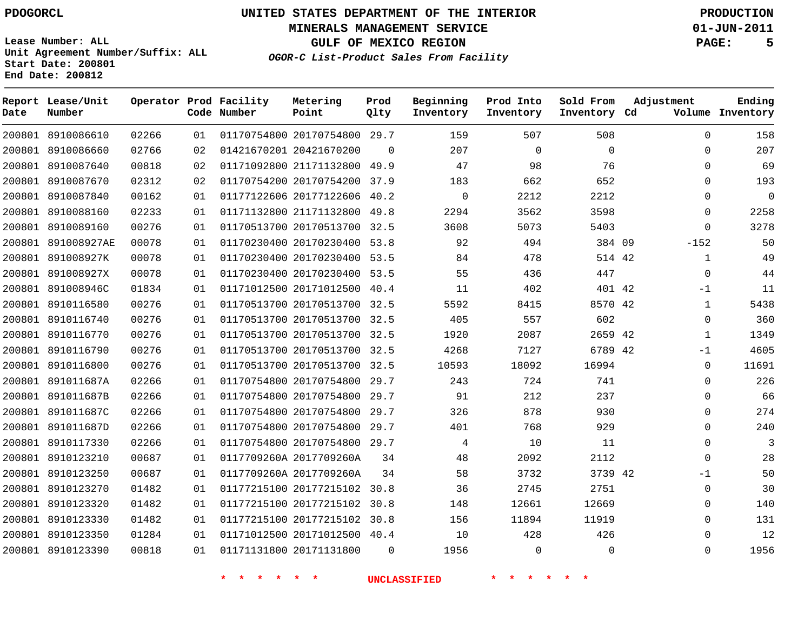**Start Date: 200801 End Date: 200812**

**Unit Agreement Number/Suffix: ALL**

# **UNITED STATES DEPARTMENT OF THE INTERIOR PDOGORCL PRODUCTION**

**MINERALS MANAGEMENT SERVICE 01-JUN-2011**

**GULF OF MEXICO REGION PAGE: 5**

**OGOR-C List-Product Sales From Facility**

| Date   | Report Lease/Unit<br>Number |       |    | Operator Prod Facility<br>Code Number | Metering<br>Point            | Prod<br>Qlty | Beginning<br>Inventory | Prod Into<br>Inventory | Sold From<br>Inventory Cd | Adjustment   | Ending<br>Volume Inventory |
|--------|-----------------------------|-------|----|---------------------------------------|------------------------------|--------------|------------------------|------------------------|---------------------------|--------------|----------------------------|
|        | 200801 8910086610           | 02266 | 01 |                                       | 01170754800 20170754800 29.7 |              | 159                    | 507                    | 508                       | $\mathbf 0$  | 158                        |
|        | 200801 8910086660           | 02766 | 02 |                                       | 01421670201 20421670200      | $\Omega$     | 207                    | $\overline{0}$         | $\mathbf 0$               | $\Omega$     | 207                        |
|        | 200801 8910087640           | 00818 | 02 |                                       | 01171092800 21171132800      | 49.9         | 47                     | 98                     | 76                        | $\mathbf 0$  | 69                         |
|        | 200801 8910087670           | 02312 | 02 |                                       | 01170754200 20170754200      | 37.9         | 183                    | 662                    | 652                       | $\Omega$     | 193                        |
|        | 200801 8910087840           | 00162 | 01 |                                       | 01177122606 20177122606      | 40.2         | $\mathbf 0$            | 2212                   | 2212                      | $\Omega$     | $\Omega$                   |
|        | 200801 8910088160           | 02233 | 01 |                                       | 01171132800 21171132800      | 49.8         | 2294                   | 3562                   | 3598                      | $\Omega$     | 2258                       |
| 200801 | 8910089160                  | 00276 | 01 |                                       | 01170513700 20170513700      | 32.5         | 3608                   | 5073                   | 5403                      | $\Omega$     | 3278                       |
| 200801 | 891008927AE                 | 00078 | 01 |                                       | 01170230400 20170230400      | 53.8         | 92                     | 494                    | 384 09                    | $-152$       | 50                         |
|        | 200801 891008927K           | 00078 | 01 |                                       | 01170230400 20170230400 53.5 |              | 84                     | 478                    | 514 42                    | $\mathbf{1}$ | 49                         |
|        | 200801 891008927X           | 00078 | 01 |                                       | 01170230400 20170230400      | 53.5         | 55                     | 436                    | 447                       | $\mathbf 0$  | 44                         |
|        | 200801 891008946C           | 01834 | 01 |                                       | 01171012500 20171012500      | 40.4         | 11                     | 402                    | 401 42                    | $-1$         | 11                         |
|        | 200801 8910116580           | 00276 | 01 |                                       | 01170513700 20170513700      | 32.5         | 5592                   | 8415                   | 8570 42                   | $\mathbf{1}$ | 5438                       |
|        | 200801 8910116740           | 00276 | 01 |                                       | 01170513700 20170513700 32.5 |              | 405                    | 557                    | 602                       | $\Omega$     | 360                        |
|        | 200801 8910116770           | 00276 | 01 |                                       | 01170513700 20170513700      | 32.5         | 1920                   | 2087                   | 2659 42                   | 1            | 1349                       |
|        | 200801 8910116790           | 00276 | 01 |                                       | 01170513700 20170513700      | 32.5         | 4268                   | 7127                   | 6789 42                   | $-1$         | 4605                       |
|        | 200801 8910116800           | 00276 | 01 |                                       | 01170513700 20170513700      | 32.5         | 10593                  | 18092                  | 16994                     | $\Omega$     | 11691                      |
|        | 200801 891011687A           | 02266 | 01 |                                       | 01170754800 20170754800      | 29.7         | 243                    | 724                    | 741                       | $\Omega$     | 226                        |
|        | 200801 891011687B           | 02266 | 01 |                                       | 01170754800 20170754800      | 29.7         | 91                     | 212                    | 237                       | $\Omega$     | 66                         |
|        | 200801 891011687C           | 02266 | 01 |                                       | 01170754800 20170754800      | 29.7         | 326                    | 878                    | 930                       | $\Omega$     | 274                        |
|        | 200801 891011687D           | 02266 | 01 |                                       | 01170754800 20170754800      | 29.7         | 401                    | 768                    | 929                       | $\Omega$     | 240                        |
|        | 200801 8910117330           | 02266 | 01 |                                       | 01170754800 20170754800      | 29.7         | 4                      | 10                     | 11                        | $\mathbf{0}$ | 3                          |
|        | 200801 8910123210           | 00687 | 01 |                                       | 0117709260A 2017709260A      | 34           | 48                     | 2092                   | 2112                      | $\Omega$     | 28                         |
|        | 200801 8910123250           | 00687 | 01 |                                       | 0117709260A 2017709260A      | 34           | 58                     | 3732                   | 3739 42                   | $-1$         | 50                         |
|        | 200801 8910123270           | 01482 | 01 |                                       | 01177215100 20177215102      | 30.8         | 36                     | 2745                   | 2751                      | $\mathbf{0}$ | 30                         |
|        | 200801 8910123320           | 01482 | 01 |                                       | 01177215100 20177215102      | 30.8         | 148                    | 12661                  | 12669                     | $\mathbf 0$  | 140                        |
|        | 200801 8910123330           | 01482 | 01 |                                       | 01177215100 20177215102      | 30.8         | 156                    | 11894                  | 11919                     | $\mathbf 0$  | 131                        |
| 200801 | 8910123350                  | 01284 | 01 |                                       | 01171012500 20171012500      | 40.4         | 10                     | 428                    | 426                       | $\Omega$     | 12                         |
|        | 200801 8910123390           | 00818 | 01 |                                       | 01171131800 20171131800      | $\Omega$     | 1956                   | $\Omega$               | $\Omega$                  | $\Omega$     | 1956                       |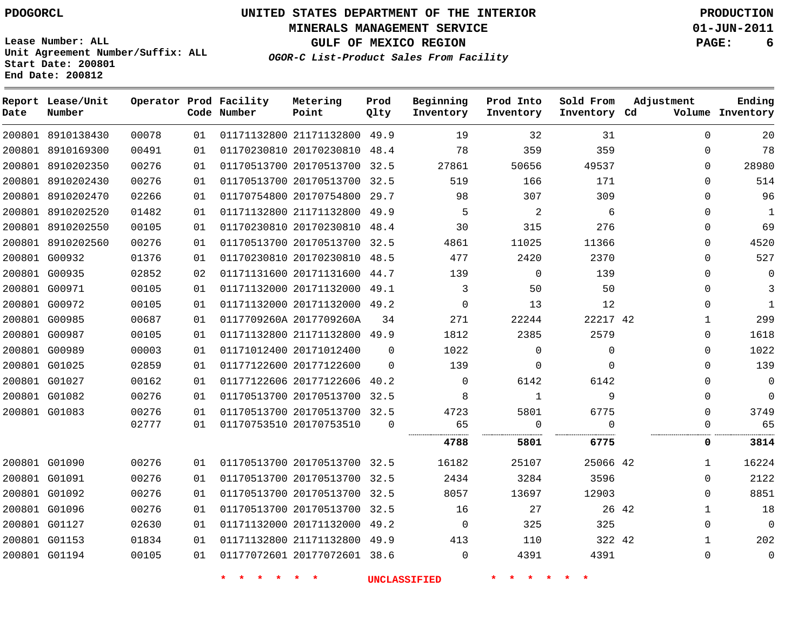**End Date: 200812**

# **UNITED STATES DEPARTMENT OF THE INTERIOR PDOGORCL PRODUCTION**

**MINERALS MANAGEMENT SERVICE 01-JUN-2011**

**GULF OF MEXICO REGION PAGE: 6**

**OGOR-C List-Product Sales From Facility Unit Agreement Number/Suffix: ALL Start Date: 200801**

| Date          | Report Lease/Unit<br>Number |       |    | Operator Prod Facility<br>Code Number | Metering<br>Point            | Prod<br>Qlty | Beginning<br>Inventory | Prod Into<br>Inventory | Sold From<br>Inventory Cd | Adjustment            | Ending<br>Volume Inventory |
|---------------|-----------------------------|-------|----|---------------------------------------|------------------------------|--------------|------------------------|------------------------|---------------------------|-----------------------|----------------------------|
|               | 200801 8910138430           | 00078 | 01 |                                       | 01171132800 21171132800      | 49.9         | 19                     | 32                     | 31                        | $\mathbf 0$           | 20                         |
|               | 200801 8910169300           | 00491 | 01 |                                       | 01170230810 20170230810 48.4 |              | 78                     | 359                    | 359                       | $\Omega$              | 78                         |
|               | 200801 8910202350           | 00276 | 01 |                                       | 01170513700 20170513700      | 32.5         | 27861                  | 50656                  | 49537                     | $\Omega$              | 28980                      |
|               | 200801 8910202430           | 00276 | 01 |                                       | 01170513700 20170513700 32.5 |              | 519                    | 166                    | 171                       | $\Omega$              | 514                        |
|               | 200801 8910202470           | 02266 | 01 |                                       | 01170754800 20170754800      | 29.7         | 98                     | 307                    | 309                       | $\Omega$              | 96                         |
|               | 200801 8910202520           | 01482 | 01 |                                       | 01171132800 21171132800 49.9 |              | 5                      | 2                      | 6                         | $\Omega$              | 1                          |
|               | 200801 8910202550           | 00105 | 01 |                                       | 01170230810 20170230810      | 48.4         | 30                     | 315                    | 276                       | $\Omega$              | 69                         |
|               | 200801 8910202560           | 00276 | 01 |                                       | 01170513700 20170513700 32.5 |              | 4861                   | 11025                  | 11366                     | $\Omega$              | 4520                       |
|               | 200801 G00932               | 01376 | 01 |                                       | 01170230810 20170230810 48.5 |              | 477                    | 2420                   | 2370                      | $\Omega$              | 527                        |
|               | 200801 G00935               | 02852 | 02 |                                       | 01171131600 20171131600 44.7 |              | 139                    | 0                      | 139                       | $\Omega$              | 0                          |
|               | 200801 G00971               | 00105 | 01 |                                       | 01171132000 20171132000 49.1 |              | 3                      | 50                     | 50                        | $\Omega$              | 3                          |
|               | 200801 G00972               | 00105 | 01 |                                       | 01171132000 20171132000 49.2 |              | $\mathbf 0$            | 13                     | 12                        | $\Omega$              | $\mathbf{1}$               |
|               | 200801 G00985               | 00687 | 01 |                                       | 0117709260A 2017709260A      | 34           | 271                    | 22244                  | 22217 42                  | 1                     | 299                        |
|               | 200801 G00987               | 00105 | 01 |                                       | 01171132800 21171132800 49.9 |              | 1812                   | 2385                   | 2579                      | $\Omega$              | 1618                       |
|               | 200801 G00989               | 00003 | 01 |                                       | 01171012400 20171012400      | $\Omega$     | 1022                   | 0                      | $\mathbf{0}$              | $\Omega$              | 1022                       |
| 200801 G01025 |                             | 02859 | 01 |                                       | 01177122600 20177122600      | $\Omega$     | 139                    | 0                      | $\Omega$                  | $\Omega$              | 139                        |
|               | 200801 G01027               | 00162 | 01 |                                       | 01177122606 20177122606      | 40.2         | $\mathbf 0$            | 6142                   | 6142                      | 0                     | 0                          |
|               | 200801 G01082               | 00276 | 01 |                                       | 01170513700 20170513700 32.5 |              | 8                      | $\mathbf{1}$           | 9                         | $\Omega$              | $\mathbf 0$                |
|               | 200801 G01083               | 00276 | 01 |                                       | 01170513700 20170513700 32.5 |              | 4723                   | 5801                   | 6775                      | $\Omega$              | 3749                       |
|               |                             | 02777 | 01 |                                       | 01170753510 20170753510      | $\Omega$     | 65                     | 0                      | $\Omega$                  | $\Omega$              | 65                         |
|               |                             |       |    |                                       |                              |              | 4788                   | 5801                   | 6775                      | 0                     | 3814                       |
|               | 200801 G01090               | 00276 | 01 |                                       | 01170513700 20170513700 32.5 |              | 16182                  | 25107                  | 25066 42                  | $\mathbf{1}$          | 16224                      |
|               | 200801 G01091               | 00276 | 01 |                                       | 01170513700 20170513700 32.5 |              | 2434                   | 3284                   | 3596                      | $\Omega$              | 2122                       |
|               | 200801 G01092               | 00276 | 01 |                                       | 01170513700 20170513700 32.5 |              | 8057                   | 13697                  | 12903                     | $\Omega$              | 8851                       |
|               | 200801 G01096               | 00276 | 01 |                                       | 01170513700 20170513700 32.5 |              | 16                     | 27                     |                           | 26 42<br>$\mathbf{1}$ | 18                         |
|               | 200801 G01127               | 02630 | 01 |                                       | 01171132000 20171132000 49.2 |              | $\mathbf 0$            | 325                    | 325                       | $\Omega$              | $\mathbf 0$                |
|               | 200801 G01153               | 01834 | 01 |                                       | 01171132800 21171132800      | 49.9         | 413                    | 110                    | 322 42                    | $\mathbf{1}$          | 202                        |
|               | 200801 G01194               | 00105 | 01 |                                       | 01177072601 20177072601 38.6 |              | $\Omega$               | 4391                   | 4391                      | $\Omega$              | 0                          |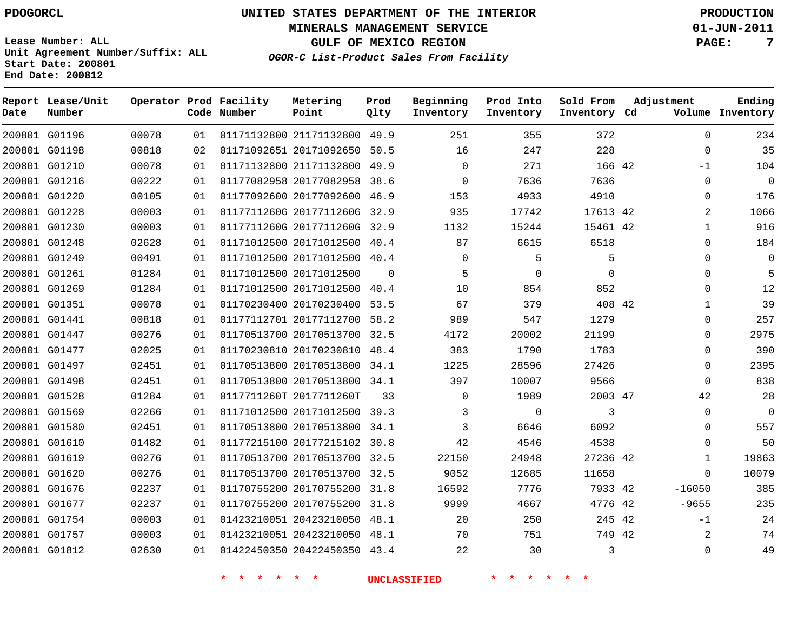**MINERALS MANAGEMENT SERVICE 01-JUN-2011**

**GULF OF MEXICO REGION PAGE: 7**

**OGOR-C List-Product Sales From Facility**

**Lease Number: ALL Unit Agreement Number/Suffix: ALL Start Date: 200801 End Date: 200812**

| Date | Report Lease/Unit<br>Number |       |    | Operator Prod Facility<br>Code Number | Metering<br>Point            | Prod<br>Qlty | Beginning<br>Inventory | Prod Into<br>Inventory | Sold From<br>Inventory Cd | Adjustment   | Ending<br>Volume Inventory |
|------|-----------------------------|-------|----|---------------------------------------|------------------------------|--------------|------------------------|------------------------|---------------------------|--------------|----------------------------|
|      | 200801 G01196               | 00078 | 01 |                                       | 01171132800 21171132800 49.9 |              | 251                    | 355                    | 372                       | $\mathbf 0$  | 234                        |
|      | 200801 G01198               | 00818 | 02 |                                       | 01171092651 20171092650      | 50.5         | 16                     | 247                    | 228                       | $\Omega$     | 35                         |
|      | 200801 G01210               | 00078 | 01 |                                       | 01171132800 21171132800 49.9 |              | $\mathbf 0$            | 271                    | 166 42                    | -1           | 104                        |
|      | 200801 G01216               | 00222 | 01 |                                       | 01177082958 20177082958 38.6 |              | $\Omega$               | 7636                   | 7636                      | $\Omega$     | $\mathbf 0$                |
|      | 200801 G01220               | 00105 | 01 |                                       | 01177092600 20177092600      | 46.9         | 153                    | 4933                   | 4910                      | 0            | 176                        |
|      | 200801 G01228               | 00003 | 01 |                                       | 0117711260G 2017711260G 32.9 |              | 935                    | 17742                  | 17613 42                  | 2            | 1066                       |
|      | 200801 G01230               | 00003 | 01 |                                       | 0117711260G 2017711260G 32.9 |              | 1132                   | 15244                  | 15461 42                  | 1            | 916                        |
|      | 200801 G01248               | 02628 | 01 |                                       | 01171012500 20171012500 40.4 |              | 87                     | 6615                   | 6518                      | $\Omega$     | 184                        |
|      | 200801 G01249               | 00491 | 01 |                                       | 01171012500 20171012500      | 40.4         | $\Omega$               | 5                      | 5                         | $\Omega$     | 0                          |
|      | 200801 G01261               | 01284 | 01 |                                       | 01171012500 20171012500      | $\Omega$     | 5                      | $\mathbf 0$            | $\Omega$                  | $\Omega$     | 5                          |
|      | 200801 G01269               | 01284 | 01 |                                       | 01171012500 20171012500      | 40.4         | 10                     | 854                    | 852                       | $\Omega$     | 12                         |
|      | 200801 G01351               | 00078 | 01 |                                       | 01170230400 20170230400 53.5 |              | 67                     | 379                    | 408 42                    | $\mathbf 1$  | 39                         |
|      | 200801 G01441               | 00818 | 01 |                                       | 01177112701 20177112700 58.2 |              | 989                    | 547                    | 1279                      | $\Omega$     | 257                        |
|      | 200801 G01447               | 00276 | 01 |                                       | 01170513700 20170513700 32.5 |              | 4172                   | 20002                  | 21199                     | $\Omega$     | 2975                       |
|      | 200801 G01477               | 02025 | 01 |                                       | 01170230810 20170230810 48.4 |              | 383                    | 1790                   | 1783                      | $\Omega$     | 390                        |
|      | 200801 G01497               | 02451 | 01 |                                       | 01170513800 20170513800 34.1 |              | 1225                   | 28596                  | 27426                     | $\mathbf{0}$ | 2395                       |
|      | 200801 G01498               | 02451 | 01 |                                       | 01170513800 20170513800 34.1 |              | 397                    | 10007                  | 9566                      | $\Omega$     | 838                        |
|      | 200801 G01528               | 01284 | 01 |                                       | 0117711260T 2017711260T      | 33           | $\mathbf 0$            | 1989                   | 2003 47                   | 42           | 28                         |
|      | 200801 G01569               | 02266 | 01 |                                       | 01171012500 20171012500 39.3 |              | 3                      | $\mathbf 0$            | 3                         | $\Omega$     | $\mathbf 0$                |
|      | 200801 G01580               | 02451 | 01 |                                       | 01170513800 20170513800 34.1 |              | 3                      | 6646                   | 6092                      | 0            | 557                        |
|      | 200801 G01610               | 01482 | 01 |                                       | 01177215100 20177215102      | 30.8         | 42                     | 4546                   | 4538                      | $\Omega$     | 50                         |
|      | 200801 G01619               | 00276 | 01 |                                       | 01170513700 20170513700 32.5 |              | 22150                  | 24948                  | 27236 42                  | 1            | 19863                      |
|      | 200801 G01620               | 00276 | 01 |                                       | 01170513700 20170513700 32.5 |              | 9052                   | 12685                  | 11658                     | $\Omega$     | 10079                      |
|      | 200801 G01676               | 02237 | 01 |                                       | 01170755200 20170755200 31.8 |              | 16592                  | 7776                   | 7933 42                   | $-16050$     | 385                        |
|      | 200801 G01677               | 02237 | 01 |                                       | 01170755200 20170755200 31.8 |              | 9999                   | 4667                   | 4776 42                   | $-9655$      | 235                        |
|      | 200801 G01754               | 00003 | 01 |                                       | 01423210051 20423210050      | 48.1         | 20                     | 250                    | 245 42                    | $-1$         | 24                         |
|      | 200801 G01757               | 00003 | 01 |                                       | 01423210051 20423210050 48.1 |              | 70                     | 751                    | 749 42                    | 2            | 74                         |
|      | 200801 G01812               | 02630 | 01 |                                       | 01422450350 20422450350 43.4 |              | 22                     | 30                     | 3                         | $\mathbf{0}$ | 49                         |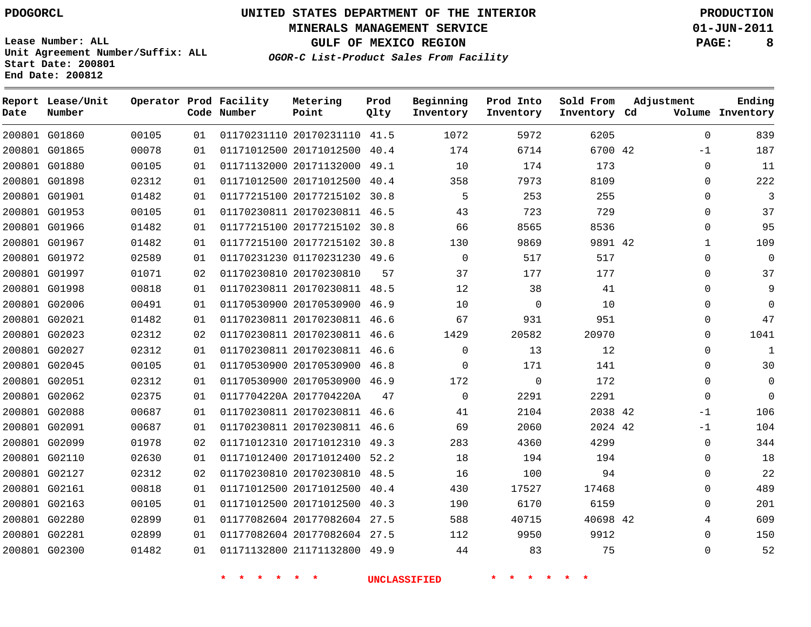**MINERALS MANAGEMENT SERVICE 01-JUN-2011**

**GULF OF MEXICO REGION PAGE: 8**

**OGOR-C List-Product Sales From Facility**

| Date | Report Lease/Unit<br>Number |       |    | Operator Prod Facility<br>Code Number | Metering<br>Point            | Prod<br>Qlty | Beginning<br>Inventory | Prod Into<br>Inventory | Sold From<br>Inventory Cd | Adjustment   | Ending<br>Volume Inventory |
|------|-----------------------------|-------|----|---------------------------------------|------------------------------|--------------|------------------------|------------------------|---------------------------|--------------|----------------------------|
|      | 200801 G01860               | 00105 | 01 |                                       | 01170231110 20170231110 41.5 |              | 1072                   | 5972                   | 6205                      | $\mathbf 0$  | 839                        |
|      | 200801 G01865               | 00078 | 01 |                                       | 01171012500 20171012500      | 40.4         | 174                    | 6714                   | 6700 42                   | $-1$         | 187                        |
|      | 200801 G01880               | 00105 | 01 |                                       | 01171132000 20171132000 49.1 |              | 10                     | 174                    | 173                       | $\Omega$     | 11                         |
|      | 200801 G01898               | 02312 | 01 |                                       | 01171012500 20171012500      | 40.4         | 358                    | 7973                   | 8109                      | 0            | 222                        |
|      | 200801 G01901               | 01482 | 01 |                                       | 01177215100 20177215102 30.8 |              | 5                      | 253                    | 255                       | $\Omega$     | 3                          |
|      | 200801 G01953               | 00105 | 01 |                                       | 01170230811 20170230811 46.5 |              | 43                     | 723                    | 729                       | $\mathbf{0}$ | 37                         |
|      | 200801 G01966               | 01482 | 01 |                                       | 01177215100 20177215102 30.8 |              | 66                     | 8565                   | 8536                      | $\mathbf{0}$ | 95                         |
|      | 200801 G01967               | 01482 | 01 |                                       | 01177215100 20177215102 30.8 |              | 130                    | 9869                   | 9891 42                   | $\mathbf{1}$ | 109                        |
|      | 200801 G01972               | 02589 | 01 |                                       | 01170231230 01170231230 49.6 |              | $\Omega$               | 517                    | 517                       | $\Omega$     | $\mathbf 0$                |
|      | 200801 G01997               | 01071 | 02 |                                       | 01170230810 20170230810      | 57           | 37                     | 177                    | 177                       | $\Omega$     | 37                         |
|      | 200801 G01998               | 00818 | 01 |                                       | 01170230811 20170230811 48.5 |              | 12                     | 38                     | 41                        | $\Omega$     | 9                          |
|      | 200801 G02006               | 00491 | 01 |                                       | 01170530900 20170530900      | 46.9         | 10                     | 0                      | 10                        | $\Omega$     | $\Omega$                   |
|      | 200801 G02021               | 01482 | 01 |                                       | 01170230811 20170230811 46.6 |              | 67                     | 931                    | 951                       | $\Omega$     | 47                         |
|      | 200801 G02023               | 02312 | 02 |                                       | 01170230811 20170230811      | 46.6         | 1429                   | 20582                  | 20970                     | 0            | 1041                       |
|      | 200801 G02027               | 02312 | 01 |                                       | 01170230811 20170230811 46.6 |              | $\Omega$               | 13                     | 12                        | $\Omega$     | $\mathbf{1}$               |
|      | 200801 G02045               | 00105 | 01 |                                       | 01170530900 20170530900      | 46.8         | $\mathbf 0$            | 171                    | 141                       | $\mathbf 0$  | 30                         |
|      | 200801 G02051               | 02312 | 01 |                                       | 01170530900 20170530900 46.9 |              | 172                    | $\mathbf 0$            | 172                       | $\Omega$     | 0                          |
|      | 200801 G02062               | 02375 | 01 |                                       | 0117704220A 2017704220A      | 47           | $\Omega$               | 2291                   | 2291                      | $\Omega$     | $\Omega$                   |
|      | 200801 G02088               | 00687 | 01 |                                       | 01170230811 20170230811 46.6 |              | 41                     | 2104                   | 2038 42                   | $-1$         | 106                        |
|      | 200801 G02091               | 00687 | 01 |                                       | 01170230811 20170230811 46.6 |              | 69                     | 2060                   | 2024 42                   | $-1$         | 104                        |
|      | 200801 G02099               | 01978 | 02 |                                       | 01171012310 20171012310 49.3 |              | 283                    | 4360                   | 4299                      | $\mathbf{0}$ | 344                        |
|      | 200801 G02110               | 02630 | 01 |                                       | 01171012400 20171012400 52.2 |              | 18                     | 194                    | 194                       | $\Omega$     | 18                         |
|      | 200801 G02127               | 02312 | 02 |                                       | 01170230810 20170230810 48.5 |              | 16                     | 100                    | 94                        | $\Omega$     | 22                         |
|      | 200801 G02161               | 00818 | 01 |                                       | 01171012500 20171012500      | 40.4         | 430                    | 17527                  | 17468                     | 0            | 489                        |
|      | 200801 G02163               | 00105 | 01 |                                       | 01171012500 20171012500      | 40.3         | 190                    | 6170                   | 6159                      | $\Omega$     | 201                        |
|      | 200801 G02280               | 02899 | 01 |                                       | 01177082604 20177082604 27.5 |              | 588                    | 40715                  | 40698 42                  | 4            | 609                        |
|      | 200801 G02281               | 02899 | 01 |                                       | 01177082604 20177082604 27.5 |              | 112                    | 9950                   | 9912                      | $\Omega$     | 150                        |
|      | 200801 G02300               | 01482 | 01 |                                       | 01171132800 21171132800 49.9 |              | 44                     | 83                     | 75                        | $\Omega$     | 52                         |

**Lease Number: ALL Unit Agreement Number/Suffix: ALL Start Date: 200801 End Date: 200812**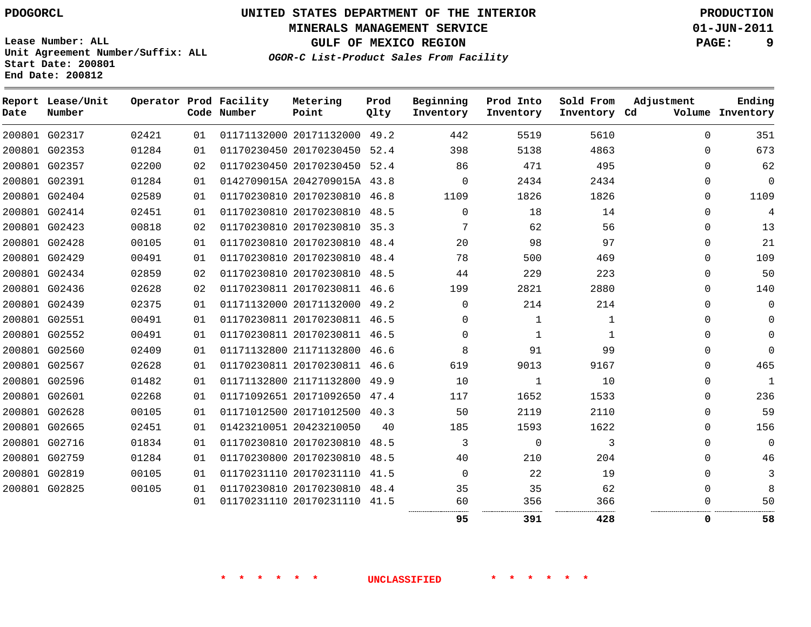**MINERALS MANAGEMENT SERVICE 01-JUN-2011**

**GULF OF MEXICO REGION PAGE: 9**

**OGOR-C List-Product Sales From Facility**

**Lease Number: ALL Unit Agreement Number/Suffix: ALL Start Date: 200801 End Date: 200812**

| Date | Report Lease/Unit<br>Number |       |    | Operator Prod Facility<br>Code Number | Metering<br>Point            | Prod<br>Qlty | Beginning<br>Inventory | Prod Into<br>Inventory | Sold From<br>Inventory Cd | Adjustment | Ending<br>Volume Inventory |
|------|-----------------------------|-------|----|---------------------------------------|------------------------------|--------------|------------------------|------------------------|---------------------------|------------|----------------------------|
|      | 200801 G02317               | 02421 | 01 |                                       | 01171132000 20171132000 49.2 |              | 442                    | 5519                   | 5610                      | $\Omega$   | 351                        |
|      | 200801 G02353               | 01284 | 01 |                                       | 01170230450 20170230450 52.4 |              | 398                    | 5138                   | 4863                      | $\Omega$   | 673                        |
|      | 200801 G02357               | 02200 | 02 |                                       | 01170230450 20170230450 52.4 |              | 86                     | 471                    | 495                       | $\Omega$   | 62                         |
|      | 200801 G02391               | 01284 | 01 |                                       | 0142709015A 2042709015A 43.8 |              | $\Omega$               | 2434                   | 2434                      | $\Omega$   | $\Omega$                   |
|      | 200801 G02404               | 02589 | 01 |                                       | 01170230810 20170230810 46.8 |              | 1109                   | 1826                   | 1826                      | 0          | 1109                       |
|      | 200801 G02414               | 02451 | 01 |                                       | 01170230810 20170230810 48.5 |              | $\Omega$               | 18                     | 14                        | 0          | 4                          |
|      | 200801 G02423               | 00818 | 02 |                                       | 01170230810 20170230810 35.3 |              | 7                      | 62                     | 56                        | 0          | 13                         |
|      | 200801 G02428               | 00105 | 01 |                                       | 01170230810 20170230810 48.4 |              | 20                     | 98                     | 97                        | 0          | 21                         |
|      | 200801 G02429               | 00491 | 01 |                                       | 01170230810 20170230810 48.4 |              | 78                     | 500                    | 469                       | $\Omega$   | 109                        |
|      | 200801 G02434               | 02859 | 02 |                                       | 01170230810 20170230810 48.5 |              | 44                     | 229                    | 223                       | $\Omega$   | 50                         |
|      | 200801 G02436               | 02628 | 02 |                                       | 01170230811 20170230811 46.6 |              | 199                    | 2821                   | 2880                      | $\Omega$   | 140                        |
|      | 200801 G02439               | 02375 | 01 |                                       | 01171132000 20171132000 49.2 |              | $\Omega$               | 214                    | 214                       | 0          | $\mathbf 0$                |
|      | 200801 G02551               | 00491 | 01 |                                       | 01170230811 20170230811 46.5 |              | $\Omega$               | 1                      | 1                         | $\Omega$   | $\Omega$                   |
|      | 200801 G02552               | 00491 | 01 |                                       | 01170230811 20170230811 46.5 |              | 0                      | 1                      | 1                         | 0          | $\Omega$                   |
|      | 200801 G02560               | 02409 | 01 |                                       | 01171132800 21171132800 46.6 |              | 8                      | 91                     | 99                        | 0          | $\Omega$                   |
|      | 200801 G02567               | 02628 | 01 |                                       | 01170230811 20170230811 46.6 |              | 619                    | 9013                   | 9167                      | 0          | 465                        |
|      | 200801 G02596               | 01482 | 01 |                                       | 01171132800 21171132800      | 49.9         | 10                     | 1                      | 10                        | 0          | $\mathbf{1}$               |
|      | 200801 G02601               | 02268 | 01 |                                       | 01171092651 20171092650 47.4 |              | 117                    | 1652                   | 1533                      | $\Omega$   | 236                        |
|      | 200801 G02628               | 00105 | 01 |                                       | 01171012500 20171012500 40.3 |              | 50                     | 2119                   | 2110                      | $\Omega$   | 59                         |
|      | 200801 G02665               | 02451 | 01 |                                       | 01423210051 20423210050      | 40           | 185                    | 1593                   | 1622                      | $\Omega$   | 156                        |
|      | 200801 G02716               | 01834 | 01 |                                       | 01170230810 20170230810 48.5 |              | 3                      | 0                      | 3                         | $\Omega$   | $\Omega$                   |
|      | 200801 G02759               | 01284 | 01 |                                       | 01170230800 20170230810 48.5 |              | 40                     | 210                    | 204                       | $\Omega$   | 46                         |
|      | 200801 G02819               | 00105 | 01 |                                       | 01170231110 20170231110      | 41.5         | $\mathbf 0$            | 22                     | 19                        | 0          | 3                          |
|      | 200801 G02825               | 00105 | 01 |                                       | 01170230810 20170230810 48.4 |              | 35                     | 35                     | 62                        | $\Omega$   | 8                          |
|      |                             |       | 01 |                                       | 01170231110 20170231110 41.5 |              | 60                     | 356                    | 366                       | 0          | 50                         |
|      |                             |       |    |                                       |                              |              | 95                     | 391                    | 428                       | 0          | 58                         |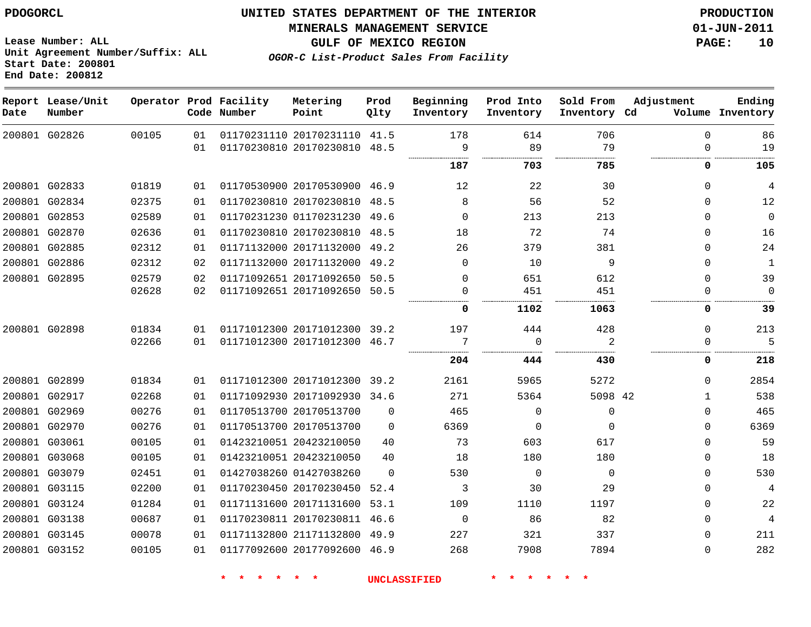**Start Date: 200801 End Date: 200812**

**Unit Agreement Number/Suffix: ALL**

# **UNITED STATES DEPARTMENT OF THE INTERIOR PDOGORCL PRODUCTION**

#### **MINERALS MANAGEMENT SERVICE 01-JUN-2011**

**GULF OF MEXICO REGION PAGE: 10**

**OGOR-C List-Product Sales From Facility**

| Date | Report Lease/Unit<br>Number |       |    | Operator Prod Facility<br>Code Number | Metering<br>Point            | Prod<br>Qlty | Beginning<br>Inventory | Prod Into<br>Inventory | Sold From<br>Inventory Cd | Adjustment | Ending<br>Volume Inventory |
|------|-----------------------------|-------|----|---------------------------------------|------------------------------|--------------|------------------------|------------------------|---------------------------|------------|----------------------------|
|      | 200801 G02826               | 00105 | 01 |                                       | 01170231110 20170231110 41.5 |              | 178                    | 614                    | 706                       | $\Omega$   | 86                         |
|      |                             |       | 01 |                                       | 01170230810 20170230810      | 48.5         | 9                      | 89                     | 79<br>.                   | $\Omega$   | 19                         |
|      |                             |       |    |                                       |                              |              | 187                    | 703                    | 785                       | 0          | 105                        |
|      | 200801 G02833               | 01819 | 01 |                                       | 01170530900 20170530900 46.9 |              | 12                     | 22                     | 30                        | $\Omega$   | 4                          |
|      | 200801 G02834               | 02375 | 01 |                                       | 01170230810 20170230810      | 48.5         | 8                      | 56                     | 52                        | 0          | 12                         |
|      | 200801 G02853               | 02589 | 01 |                                       | 01170231230 01170231230      | 49.6         | $\mathbf 0$            | 213                    | 213                       | $\Omega$   | $\mathbf 0$                |
|      | 200801 G02870               | 02636 | 01 |                                       | 01170230810 20170230810      | 48.5         | 18                     | 72                     | 74                        | $\Omega$   | 16                         |
|      | 200801 G02885               | 02312 | 01 |                                       | 01171132000 20171132000      | 49.2         | 26                     | 379                    | 381                       | $\Omega$   | 24                         |
|      | 200801 G02886               | 02312 | 02 |                                       | 01171132000 20171132000      | 49.2         | $\mathbf 0$            | 10                     | 9                         | $\Omega$   | 1                          |
|      | 200801 G02895               | 02579 | 02 |                                       | 01171092651 20171092650      | 50.5         | $\mathbf 0$            | 651                    | 612                       | $\Omega$   | 39                         |
|      |                             | 02628 | 02 |                                       | 01171092651 20171092650      | 50.5         | 0                      | 451                    | 451                       | $\Omega$   | $\Omega$                   |
|      |                             |       |    |                                       |                              |              | 0                      | 1102                   | 1063                      | 0          | 39                         |
|      | 200801 G02898               | 01834 | 01 |                                       | 01171012300 20171012300      | 39.2         | 197                    | 444                    | 428                       | $\Omega$   | 213                        |
|      |                             | 02266 | 01 |                                       | 01171012300 20171012300      | 46.7         | 7                      | $\Omega$               | $\overline{2}$            | $\Omega$   | 5                          |
|      |                             |       |    |                                       |                              |              | 204                    | 444                    | 430                       | 0          | 218                        |
|      | 200801 G02899               | 01834 | 01 |                                       | 01171012300 20171012300 39.2 |              | 2161                   | 5965                   | 5272                      | $\Omega$   | 2854                       |
|      | 200801 G02917               | 02268 | 01 |                                       | 01171092930 20171092930      | 34.6         | 271                    | 5364                   | 5098 42                   | 1          | 538                        |
|      | 200801 G02969               | 00276 | 01 |                                       | 01170513700 20170513700      | $\Omega$     | 465                    | $\mathbf 0$            | $\mathbf 0$               | $\Omega$   | 465                        |
|      | 200801 G02970               | 00276 | 01 |                                       | 01170513700 20170513700      | $\Omega$     | 6369                   | $\Omega$               | $\Omega$                  | $\Omega$   | 6369                       |
|      | 200801 G03061               | 00105 | 01 |                                       | 01423210051 20423210050      | 40           | 73                     | 603                    | 617                       | $\Omega$   | 59                         |
|      | 200801 G03068               | 00105 | 01 |                                       | 01423210051 20423210050      | 40           | 18                     | 180                    | 180                       | $\Omega$   | 18                         |
|      | 200801 G03079               | 02451 | 01 |                                       | 01427038260 01427038260      | $\Omega$     | 530                    | $\mathbf 0$            | 0                         | $\Omega$   | 530                        |
|      | 200801 G03115               | 02200 | 01 |                                       | 01170230450 20170230450      | 52.4         | 3                      | 30                     | 29                        | $\Omega$   | 4                          |
|      | 200801 G03124               | 01284 | 01 |                                       | 01171131600 20171131600      | 53.1         | 109                    | 1110                   | 1197                      | $\Omega$   | 22                         |
|      | 200801 G03138               | 00687 | 01 |                                       | 01170230811 20170230811      | 46.6         | 0                      | 86                     | 82                        | $\Omega$   | 4                          |
|      | 200801 G03145               | 00078 | 01 |                                       | 01171132800 21171132800      | 49.9         | 227                    | 321                    | 337                       | $\Omega$   | 211                        |
|      | 200801 G03152               | 00105 | 01 |                                       | 01177092600 20177092600      | 46.9         | 268                    | 7908                   | 7894                      | $\Omega$   | 282                        |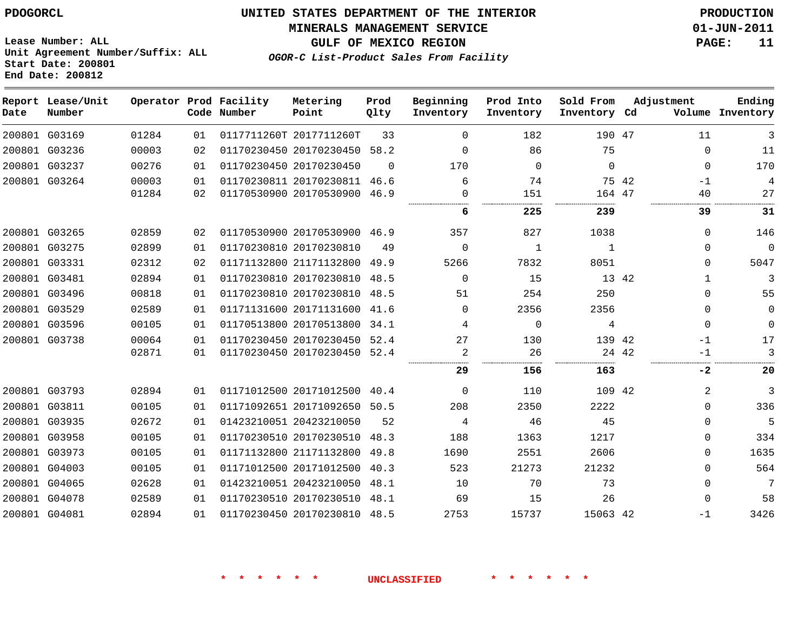#### **MINERALS MANAGEMENT SERVICE 01-JUN-2011**

**GULF OF MEXICO REGION PAGE: 11**

**Lease Number: ALL Unit Agreement Number/Suffix: ALL Start Date: 200801 End Date: 200812**

**OGOR-C List-Product Sales From Facility**

| Date          | Report Lease/Unit<br>Number |       |    | Operator Prod Facility<br>Code Number | Metering<br>Point            | Prod<br>Qlty | Beginning<br>Inventory | Prod Into<br>Inventory | Sold From<br>Inventory Cd |       | Adjustment   | Ending<br>Volume Inventory |
|---------------|-----------------------------|-------|----|---------------------------------------|------------------------------|--------------|------------------------|------------------------|---------------------------|-------|--------------|----------------------------|
|               | 200801 G03169               | 01284 | 01 |                                       | 0117711260T 2017711260T      | 33           | $\Omega$               | 182                    | 190 47                    |       | 11           | 3                          |
|               | 200801 G03236               | 00003 | 02 |                                       | 01170230450 20170230450      | 58.2         | $\Omega$               | 86                     | 75                        |       | 0            | 11                         |
|               | 200801 G03237               | 00276 | 01 |                                       | 01170230450 20170230450      | $\Omega$     | 170                    | $\mathbf{0}$           | $\Omega$                  |       | $\Omega$     | 170                        |
|               | 200801 G03264               | 00003 | 01 |                                       | 01170230811 20170230811      | 46.6         | 6                      | 74                     |                           | 75 42 | $-1$         | 4                          |
|               |                             | 01284 | 02 |                                       | 01170530900 20170530900      | 46.9         | $\Omega$               | 151                    | 164 47                    |       | 40           | 27                         |
|               |                             |       |    |                                       |                              |              | 6                      | 225                    | 239                       |       | 39           | 31                         |
|               | 200801 G03265               | 02859 | 02 |                                       | 01170530900 20170530900 46.9 |              | 357                    | 827                    | 1038                      |       | $\Omega$     | 146                        |
|               | 200801 G03275               | 02899 | 01 |                                       | 01170230810 20170230810      | 49           | $\Omega$               | 1                      | $\mathbf{1}$              |       | $\mathbf 0$  | $\Omega$                   |
|               | 200801 G03331               | 02312 | 02 |                                       | 01171132800 21171132800      | 49.9         | 5266                   | 7832                   | 8051                      |       | $\Omega$     | 5047                       |
|               | 200801 G03481               | 02894 | 01 |                                       | 01170230810 20170230810      | 48.5         | $\Omega$               | 15                     |                           | 13 42 | $\mathbf{1}$ | 3                          |
|               | 200801 G03496               | 00818 | 01 |                                       | 01170230810 20170230810      | 48.5         | 51                     | 254                    | 250                       |       | $\Omega$     | 55                         |
|               | 200801 G03529               | 02589 | 01 |                                       | 01171131600 20171131600      | 41.6         | $\Omega$               | 2356                   | 2356                      |       | $\mathbf 0$  | $\mathbf 0$                |
|               | 200801 G03596               | 00105 | 01 |                                       | 01170513800 20170513800      | 34.1         | 4                      | $\Omega$               | 4                         |       | $\Omega$     | $\Omega$                   |
|               | 200801 G03738               | 00064 | 01 |                                       | 01170230450 20170230450      | 52.4         | 27                     | 130                    | 139 42                    |       | $-1$         | 17                         |
|               |                             | 02871 | 01 |                                       | 01170230450 20170230450      | 52.4         | 2                      | 26                     | .                         | 24 42 | -1           | 3                          |
|               |                             |       |    |                                       |                              |              | 29                     | 156                    | 163                       |       | $-2$         | 20                         |
|               | 200801 G03793               | 02894 | 01 |                                       | 01171012500 20171012500      | 40.4         | $\Omega$               | 110                    | 109 42                    |       | 2            | 3                          |
| 200801 G03811 |                             | 00105 | 01 |                                       | 01171092651 20171092650      | 50.5         | 208                    | 2350                   | 2222                      |       | $\Omega$     | 336                        |
|               | 200801 G03935               | 02672 | 01 |                                       | 01423210051 20423210050      | 52           | 4                      | 46                     | 45                        |       | $\mathbf 0$  | 5                          |
|               | 200801 G03958               | 00105 | 01 |                                       | 01170230510 20170230510      | 48.3         | 188                    | 1363                   | 1217                      |       | 0            | 334                        |
|               | 200801 G03973               | 00105 | 01 |                                       | 01171132800 21171132800      | 49.8         | 1690                   | 2551                   | 2606                      |       | $\mathbf 0$  | 1635                       |
|               | 200801 G04003               | 00105 | 01 |                                       | 01171012500 20171012500      | 40.3         | 523                    | 21273                  | 21232                     |       | $\Omega$     | 564                        |
|               | 200801 G04065               | 02628 | 01 |                                       | 01423210051 20423210050      | 48.1         | 10                     | 70                     | 73                        |       | 0            | 7                          |
|               | 200801 G04078               | 02589 | 01 |                                       | 01170230510 20170230510      | 48.1         | 69                     | 15                     | 26                        |       | $\Omega$     | 58                         |
| 200801 G04081 |                             | 02894 | 01 |                                       | 01170230450 20170230810 48.5 |              | 2753                   | 15737                  | 15063 42                  |       | $-1$         | 3426                       |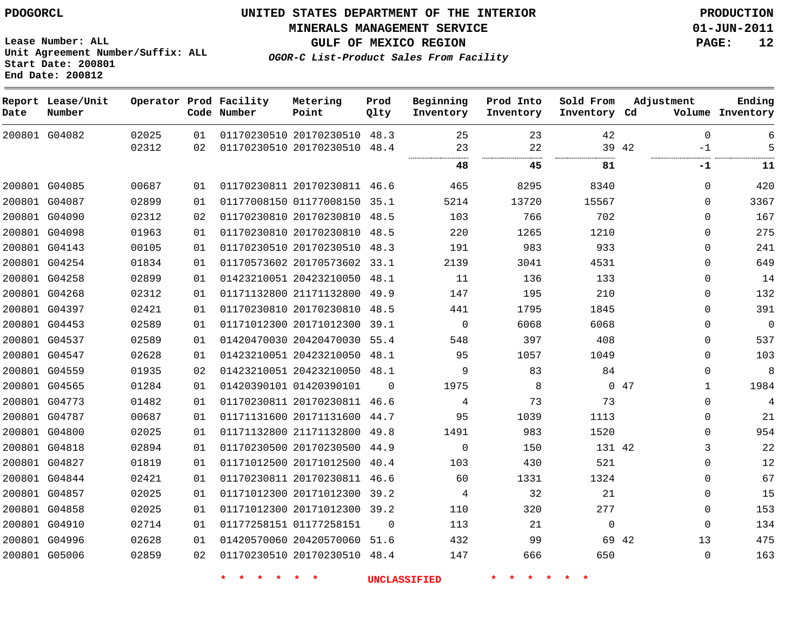#### **MINERALS MANAGEMENT SERVICE 01-JUN-2011**

**GULF OF MEXICO REGION PAGE: 12**

**OGOR-C List-Product Sales From Facility**

**Lease Number: ALL Unit Agreement Number/Suffix: ALL Start Date: 200801 End Date: 200812**

| Date | Report Lease/Unit<br>Number |       |    | Operator Prod Facility<br>Code Number | Metering<br>Point            | Prod<br>Qlty | Beginning<br>Inventory | Prod Into<br>Inventory | Sold From<br>Inventory Cd | Adjustment    | Ending<br>Volume Inventory |
|------|-----------------------------|-------|----|---------------------------------------|------------------------------|--------------|------------------------|------------------------|---------------------------|---------------|----------------------------|
|      | 200801 G04082               | 02025 | 01 |                                       | 01170230510 20170230510 48.3 |              | 25                     | 23                     | 42                        | $\mathbf{0}$  | 6                          |
|      |                             | 02312 | 02 |                                       | 01170230510 20170230510 48.4 |              | 23                     | 22<br>                 |                           | 39 42<br>$-1$ | 5                          |
|      |                             |       |    |                                       |                              |              | 48                     | 45                     | 81                        | -1            | 11                         |
|      | 200801 G04085               | 00687 | 01 |                                       | 01170230811 20170230811 46.6 |              | 465                    | 8295                   | 8340                      | $\Omega$      | 420                        |
|      | 200801 G04087               | 02899 | 01 |                                       | 01177008150 01177008150 35.1 |              | 5214                   | 13720                  | 15567                     | $\Omega$      | 3367                       |
|      | 200801 G04090               | 02312 | 02 |                                       | 01170230810 20170230810 48.5 |              | 103                    | 766                    | 702                       | $\Omega$      | 167                        |
|      | 200801 G04098               | 01963 | 01 |                                       | 01170230810 20170230810 48.5 |              | 220                    | 1265                   | 1210                      | $\Omega$      | 275                        |
|      | 200801 G04143               | 00105 | 01 |                                       | 01170230510 20170230510 48.3 |              | 191                    | 983                    | 933                       | $\mathbf{0}$  | 241                        |
|      | 200801 G04254               | 01834 | 01 |                                       | 01170573602 20170573602 33.1 |              | 2139                   | 3041                   | 4531                      | $\Omega$      | 649                        |
|      | 200801 G04258               | 02899 | 01 |                                       | 01423210051 20423210050 48.1 |              | 11                     | 136                    | 133                       | 0             | 14                         |
|      | 200801 G04268               | 02312 | 01 |                                       | 01171132800 21171132800 49.9 |              | 147                    | 195                    | 210                       | 0             | 132                        |
|      | 200801 G04397               | 02421 | 01 |                                       | 01170230810 20170230810 48.5 |              | 441                    | 1795                   | 1845                      | $\mathbf 0$   | 391                        |
|      | 200801 G04453               | 02589 | 01 |                                       | 01171012300 20171012300 39.1 |              | $\mathbf 0$            | 6068                   | 6068                      | 0             | $\boldsymbol{0}$           |
|      | 200801 G04537               | 02589 | 01 |                                       | 01420470030 20420470030 55.4 |              | 548                    | 397                    | 408                       | $\mathbf 0$   | 537                        |
|      | 200801 G04547               | 02628 | 01 |                                       | 01423210051 20423210050 48.1 |              | 95                     | 1057                   | 1049                      | $\mathbf 0$   | 103                        |
|      | 200801 G04559               | 01935 | 02 |                                       | 01423210051 20423210050 48.1 |              | 9                      | 83                     | 84                        | 0             | 8                          |
|      | 200801 G04565               | 01284 | 01 |                                       | 01420390101 01420390101      | $\mathbf 0$  | 1975                   | 8                      |                           | 047<br>1      | 1984                       |
|      | 200801 G04773               | 01482 | 01 |                                       | 01170230811 20170230811 46.6 |              | 4                      | 73                     | 73                        | $\Omega$      | $\overline{4}$             |
|      | 200801 G04787               | 00687 | 01 |                                       | 01171131600 20171131600 44.7 |              | 95                     | 1039                   | 1113                      | $\Omega$      | 21                         |
|      | 200801 G04800               | 02025 | 01 |                                       | 01171132800 21171132800 49.8 |              | 1491                   | 983                    | 1520                      | $\Omega$      | 954                        |
|      | 200801 G04818               | 02894 | 01 |                                       | 01170230500 20170230500 44.9 |              | $\mathbf 0$            | 150                    | 131 42                    | 3             | 22                         |
|      | 200801 G04827               | 01819 | 01 |                                       | 01171012500 20171012500 40.4 |              | 103                    | 430                    | 521                       | $\Omega$      | 12                         |
|      | 200801 G04844               | 02421 | 01 |                                       | 01170230811 20170230811 46.6 |              | 60                     | 1331                   | 1324                      | $\Omega$      | 67                         |
|      | 200801 G04857               | 02025 | 01 |                                       | 01171012300 20171012300 39.2 |              | 4                      | 32                     | 21                        | $\mathbf{0}$  | 15                         |
|      | 200801 G04858               | 02025 | 01 |                                       | 01171012300 20171012300 39.2 |              | 110                    | 320                    | 277                       | $\mathbf{0}$  | 153                        |
|      | 200801 G04910               | 02714 | 01 |                                       | 01177258151 01177258151      | $\Omega$     | 113                    | 21                     | $\mathbf{0}$              | $\mathbf 0$   | 134                        |
|      | 200801 G04996               | 02628 | 01 |                                       | 01420570060 20420570060 51.6 |              | 432                    | 99                     |                           | 13<br>69 42   | 475                        |
|      | 200801 G05006               | 02859 | 02 |                                       | 01170230510 20170230510 48.4 |              | 147                    | 666                    | 650                       | 0             | 163                        |
|      |                             |       |    |                                       |                              |              |                        |                        |                           |               |                            |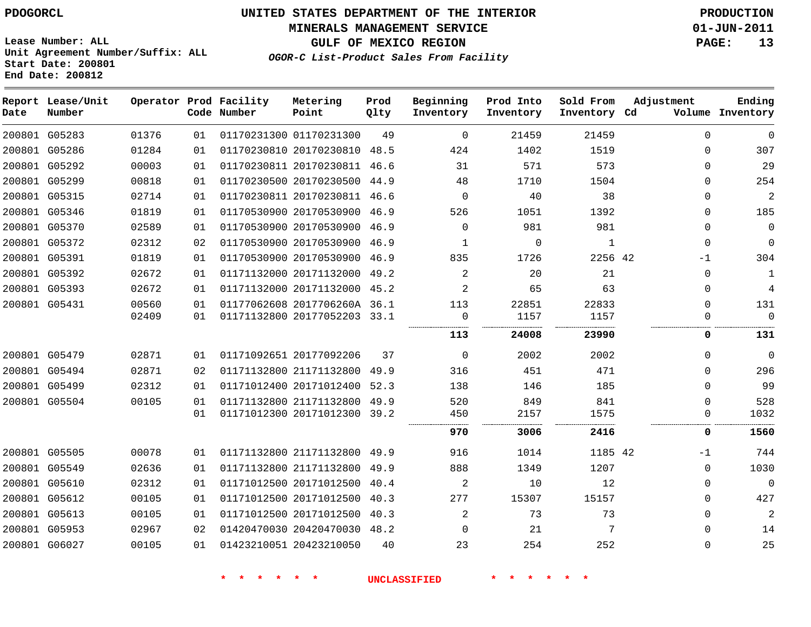**MINERALS MANAGEMENT SERVICE 01-JUN-2011**

**GULF OF MEXICO REGION PAGE: 13**

**Lease Number: ALL Unit Agreement Number/Suffix: ALL Start Date: 200801 End Date: 200812**

**OGOR-C List-Product Sales From Facility**

| Date | Report Lease/Unit<br>Number |       |    | Operator Prod Facility<br>Code Number | Metering<br>Point            | Prod<br>Qlty | Beginning<br>Inventory | Prod Into<br>Inventory | Sold From<br>Inventory Cd | Adjustment  | Ending<br>Volume Inventory |
|------|-----------------------------|-------|----|---------------------------------------|------------------------------|--------------|------------------------|------------------------|---------------------------|-------------|----------------------------|
|      | 200801 G05283               | 01376 | 01 |                                       | 01170231300 01170231300      | 49           | $\mathbf 0$            | 21459                  | 21459                     | $\mathbf 0$ | $\Omega$                   |
|      | 200801 G05286               | 01284 | 01 |                                       | 01170230810 20170230810 48.5 |              | 424                    | 1402                   | 1519                      | $\Omega$    | 307                        |
|      | 200801 G05292               | 00003 | 01 |                                       | 01170230811 20170230811      | 46.6         | 31                     | 571                    | 573                       | 0           | 29                         |
|      | 200801 G05299               | 00818 | 01 |                                       | 01170230500 20170230500 44.9 |              | 48                     | 1710                   | 1504                      | $\Omega$    | 254                        |
|      | 200801 G05315               | 02714 | 01 |                                       | 01170230811 20170230811 46.6 |              | $\Omega$               | 40                     | 38                        | $\Omega$    | $\overline{a}$             |
|      | 200801 G05346               | 01819 | 01 |                                       | 01170530900 20170530900 46.9 |              | 526                    | 1051                   | 1392                      | $\Omega$    | 185                        |
|      | 200801 G05370               | 02589 | 01 |                                       | 01170530900 20170530900 46.9 |              | $\Omega$               | 981                    | 981                       | $\Omega$    | $\mathbf 0$                |
|      | 200801 G05372               | 02312 | 02 |                                       | 01170530900 20170530900 46.9 |              | 1                      | 0                      | 1                         | $\Omega$    | $\Omega$                   |
|      | 200801 G05391               | 01819 | 01 |                                       | 01170530900 20170530900 46.9 |              | 835                    | 1726                   | 2256 42                   | -1          | 304                        |
|      | 200801 G05392               | 02672 | 01 |                                       | 01171132000 20171132000 49.2 |              | 2                      | 20                     | 21                        | $\Omega$    | 1                          |
|      | 200801 G05393               | 02672 | 01 |                                       | 01171132000 20171132000 45.2 |              | 2                      | 65                     | 63                        | $\Omega$    | 4                          |
|      | 200801 G05431               | 00560 | 01 |                                       | 01177062608 2017706260A 36.1 |              | 113                    | 22851                  | 22833                     | $\Omega$    | 131                        |
|      |                             | 02409 | 01 |                                       | 01171132800 20177052203 33.1 |              | 0                      | 1157                   | 1157                      | $\Omega$    | $\mathbf{0}$               |
|      |                             |       |    |                                       |                              |              | 113                    | 24008                  | 23990                     | 0           | 131                        |
|      | 200801 G05479               | 02871 | 01 |                                       | 01171092651 20177092206      | 37           | $\mathbf 0$            | 2002                   | 2002                      | 0           | $\Omega$                   |
|      | 200801 G05494               | 02871 | 02 |                                       | 01171132800 21171132800      | 49.9         | 316                    | 451                    | 471                       | $\Omega$    | 296                        |
|      | 200801 G05499               | 02312 | 01 |                                       | 01171012400 20171012400      | 52.3         | 138                    | 146                    | 185                       | $\Omega$    | 99                         |
|      | 200801 G05504               | 00105 | 01 |                                       | 01171132800 21171132800 49.9 |              | 520                    | 849                    | 841                       | $\Omega$    | 528                        |
|      |                             |       | 01 |                                       | 01171012300 20171012300 39.2 |              | 450                    | 2157                   | 1575                      | 0           | 1032                       |
|      |                             |       |    |                                       |                              |              | 970                    | 3006                   | 2416                      | 0           | 1560                       |
|      | 200801 G05505               | 00078 | 01 |                                       | 01171132800 21171132800 49.9 |              | 916                    | 1014                   | 1185 42                   | $-1$        | 744                        |
|      | 200801 G05549               | 02636 | 01 |                                       | 01171132800 21171132800 49.9 |              | 888                    | 1349                   | 1207                      | $\Omega$    | 1030                       |
|      | 200801 G05610               | 02312 | 01 |                                       | 01171012500 20171012500      | 40.4         | 2                      | 10                     | 12                        | $\Omega$    | $\Omega$                   |
|      | 200801 G05612               | 00105 | 01 |                                       | 01171012500 20171012500 40.3 |              | 277                    | 15307                  | 15157                     | $\Omega$    | 427                        |
|      | 200801 G05613               | 00105 | 01 |                                       | 01171012500 20171012500 40.3 |              | 2                      | 73                     | 73                        | $\mathbf 0$ | $\overline{2}$             |
|      | 200801 G05953               | 02967 | 02 |                                       | 01420470030 20420470030 48.2 |              | $\Omega$               | 21                     | 7                         | $\Omega$    | 14                         |
|      | 200801 G06027               | 00105 | 01 |                                       | 01423210051 20423210050      | 40           | 23                     | 254                    | 252                       | $\Omega$    | 25                         |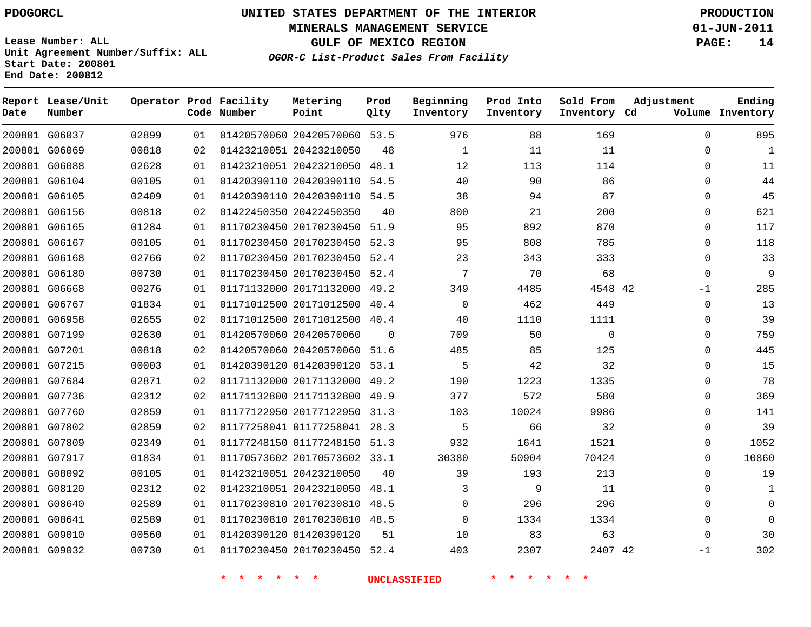**MINERALS MANAGEMENT SERVICE 01-JUN-2011**

**GULF OF MEXICO REGION PAGE: 14**

**Lease Number: ALL Unit Agreement Number/Suffix: ALL Start Date: 200801 End Date: 200812**

**OGOR-C List-Product Sales From Facility**

| Date | Report Lease/Unit<br>Number |       |    | Operator Prod Facility<br>Code Number | Metering<br>Point            | Prod<br>Qlty | Beginning<br>Inventory | Prod Into<br>Inventory | Sold From<br>Inventory Cd | Adjustment   | Ending<br>Volume Inventory |
|------|-----------------------------|-------|----|---------------------------------------|------------------------------|--------------|------------------------|------------------------|---------------------------|--------------|----------------------------|
|      | 200801 G06037               | 02899 | 01 |                                       | 01420570060 20420570060 53.5 |              | 976                    | 88                     | 169                       | $\Omega$     | 895                        |
|      | 200801 G06069               | 00818 | 02 |                                       | 01423210051 20423210050      | 48           | 1                      | 11                     | 11                        | $\Omega$     | $\mathbf{1}$               |
|      | 200801 G06088               | 02628 | 01 |                                       | 01423210051 20423210050      | 48.1         | 12                     | 113                    | 114                       | 0            | 11                         |
|      | 200801 G06104               | 00105 | 01 |                                       | 01420390110 20420390110 54.5 |              | 40                     | 90                     | 86                        | $\Omega$     | 44                         |
|      | 200801 G06105               | 02409 | 01 |                                       | 01420390110 20420390110 54.5 |              | 38                     | 94                     | 87                        | 0            | 45                         |
|      | 200801 G06156               | 00818 | 02 |                                       | 01422450350 20422450350      | 40           | 800                    | 21                     | 200                       | $\Omega$     | 621                        |
|      | 200801 G06165               | 01284 | 01 |                                       | 01170230450 20170230450 51.9 |              | 95                     | 892                    | 870                       | $\Omega$     | 117                        |
|      | 200801 G06167               | 00105 | 01 |                                       | 01170230450 20170230450 52.3 |              | 95                     | 808                    | 785                       | $\Omega$     | 118                        |
|      | 200801 G06168               | 02766 | 02 |                                       | 01170230450 20170230450 52.4 |              | 23                     | 343                    | 333                       | $\Omega$     | 33                         |
|      | 200801 G06180               | 00730 | 01 |                                       | 01170230450 20170230450 52.4 |              | 7                      | 70                     | 68                        | 0            | 9                          |
|      | 200801 G06668               | 00276 | 01 |                                       | 01171132000 20171132000 49.2 |              | 349                    | 4485                   | 4548 42                   | -1           | 285                        |
|      | 200801 G06767               | 01834 | 01 |                                       | 01171012500 20171012500      | 40.4         | $\mathbf 0$            | 462                    | 449                       | 0            | 13                         |
|      | 200801 G06958               | 02655 | 02 |                                       | 01171012500 20171012500 40.4 |              | 40                     | 1110                   | 1111                      | $\Omega$     | 39                         |
|      | 200801 G07199               | 02630 | 01 |                                       | 01420570060 20420570060      | 0            | 709                    | 50                     | $\mathbf{0}$              | $\mathbf{0}$ | 759                        |
|      | 200801 G07201               | 00818 | 02 |                                       | 01420570060 20420570060 51.6 |              | 485                    | 85                     | 125                       | $\Omega$     | 445                        |
|      | 200801 G07215               | 00003 | 01 |                                       | 01420390120 01420390120 53.1 |              | 5                      | 42                     | 32                        | $\Omega$     | 15                         |
|      | 200801 G07684               | 02871 | 02 |                                       | 01171132000 20171132000 49.2 |              | 190                    | 1223                   | 1335                      | $\Omega$     | 78                         |
|      | 200801 G07736               | 02312 | 02 |                                       | 01171132800 21171132800      | 49.9         | 377                    | 572                    | 580                       | 0            | 369                        |
|      | 200801 G07760               | 02859 | 01 |                                       | 01177122950 20177122950 31.3 |              | 103                    | 10024                  | 9986                      | $\Omega$     | 141                        |
|      | 200801 G07802               | 02859 | 02 |                                       | 01177258041 01177258041 28.3 |              | 5                      | 66                     | 32                        | $\Omega$     | 39                         |
|      | 200801 G07809               | 02349 | 01 |                                       | 01177248150 01177248150 51.3 |              | 932                    | 1641                   | 1521                      | $\Omega$     | 1052                       |
|      | 200801 G07917               | 01834 | 01 |                                       | 01170573602 20170573602 33.1 |              | 30380                  | 50904                  | 70424                     | 0            | 10860                      |
|      | 200801 G08092               | 00105 | 01 |                                       | 01423210051 20423210050      | 40           | 39                     | 193                    | 213                       | $\Omega$     | 19                         |
|      | 200801 G08120               | 02312 | 02 |                                       | 01423210051 20423210050      | 48.1         | 3                      | 9                      | 11                        | $\Omega$     | $\mathbf{1}$               |
|      | 200801 G08640               | 02589 | 01 |                                       | 01170230810 20170230810 48.5 |              | 0                      | 296                    | 296                       | 0            | 0                          |
|      | 200801 G08641               | 02589 | 01 |                                       | 01170230810 20170230810 48.5 |              | $\Omega$               | 1334                   | 1334                      | $\Omega$     | U                          |
|      | 200801 G09010               | 00560 | 01 |                                       | 01420390120 01420390120      | 51           | 10                     | 83                     | 63                        | $\Omega$     | 30                         |
|      | 200801 G09032               | 00730 | 01 |                                       | 01170230450 20170230450 52.4 |              | 403                    | 2307                   | 2407 42                   | $-1$         | 302                        |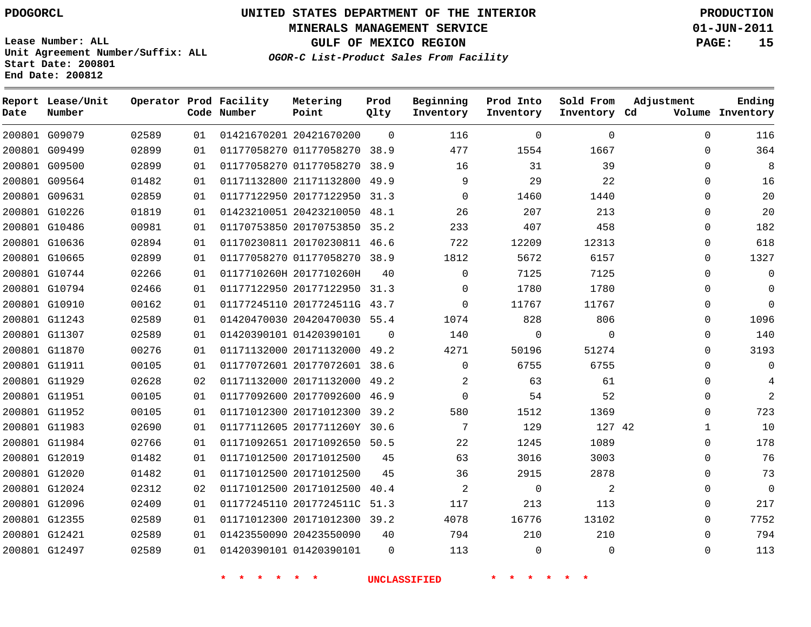**MINERALS MANAGEMENT SERVICE 01-JUN-2011**

**GULF OF MEXICO REGION PAGE: 15**

**Lease Number: ALL Unit Agreement Number/Suffix: ALL Start Date: 200801 End Date: 200812**

**OGOR-C List-Product Sales From Facility**

| Date | Report Lease/Unit<br>Number |       |    | Operator Prod Facility<br>Code Number | Metering<br>Point            | Prod<br>Qlty | Beginning<br>Inventory | Prod Into<br>Inventory | Sold From<br>Inventory Cd | Adjustment | Ending<br>Volume Inventory |
|------|-----------------------------|-------|----|---------------------------------------|------------------------------|--------------|------------------------|------------------------|---------------------------|------------|----------------------------|
|      | 200801 G09079               | 02589 | 01 |                                       | 01421670201 20421670200      | $\Omega$     | 116                    | 0                      | $\mathbf{0}$              | $\Omega$   | 116                        |
|      | 200801 G09499               | 02899 | 01 |                                       | 01177058270 01177058270 38.9 |              | 477                    | 1554                   | 1667                      | 0          | 364                        |
|      | 200801 G09500               | 02899 | 01 |                                       | 01177058270 01177058270      | 38.9         | 16                     | 31                     | 39                        | $\Omega$   | 8                          |
|      | 200801 G09564               | 01482 | 01 |                                       | 01171132800 21171132800      | 49.9         | 9                      | 29                     | 22                        | 0          | 16                         |
|      | 200801 G09631               | 02859 | 01 |                                       | 01177122950 20177122950      | 31.3         | $\Omega$               | 1460                   | 1440                      | $\Omega$   | 20                         |
|      | 200801 G10226               | 01819 | 01 |                                       | 01423210051 20423210050 48.1 |              | 26                     | 207                    | 213                       | $\Omega$   | 20                         |
|      | 200801 G10486               | 00981 | 01 |                                       | 01170753850 20170753850 35.2 |              | 233                    | 407                    | 458                       | $\Omega$   | 182                        |
|      | 200801 G10636               | 02894 | 01 |                                       | 01170230811 20170230811 46.6 |              | 722                    | 12209                  | 12313                     | $\Omega$   | 618                        |
|      | 200801 G10665               | 02899 | 01 |                                       | 01177058270 01177058270 38.9 |              | 1812                   | 5672                   | 6157                      | 0          | 1327                       |
|      | 200801 G10744               | 02266 | 01 |                                       | 0117710260H 2017710260H      | 40           | $\Omega$               | 7125                   | 7125                      | 0          | $\mathbf 0$                |
|      | 200801 G10794               | 02466 | 01 |                                       | 01177122950 20177122950 31.3 |              | $\Omega$               | 1780                   | 1780                      | 0          | $\Omega$                   |
|      | 200801 G10910               | 00162 | 01 |                                       | 01177245110 2017724511G 43.7 |              | $\Omega$               | 11767                  | 11767                     | 0          | $\Omega$                   |
|      | 200801 G11243               | 02589 | 01 |                                       | 01420470030 20420470030 55.4 |              | 1074                   | 828                    | 806                       | 0          | 1096                       |
|      | 200801 G11307               | 02589 | 01 |                                       | 01420390101 01420390101      | $\Omega$     | 140                    | 0                      | $\mathbf 0$               | $\Omega$   | 140                        |
|      | 200801 G11870               | 00276 | 01 |                                       | 01171132000 20171132000 49.2 |              | 4271                   | 50196                  | 51274                     | $\Omega$   | 3193                       |
|      | 200801 G11911               | 00105 | 01 |                                       | 01177072601 20177072601 38.6 |              | $\Omega$               | 6755                   | 6755                      | $\Omega$   | $\Omega$                   |
|      | 200801 G11929               | 02628 | 02 |                                       | 01171132000 20171132000 49.2 |              | 2                      | 63                     | 61                        | $\Omega$   | 4                          |
|      | 200801 G11951               | 00105 | 01 |                                       | 01177092600 20177092600 46.9 |              | $\Omega$               | 54                     | 52                        | $\Omega$   | $\overline{2}$             |
|      | 200801 G11952               | 00105 | 01 |                                       | 01171012300 20171012300      | 39.2         | 580                    | 1512                   | 1369                      | 0          | 723                        |
|      | 200801 G11983               | 02690 | 01 |                                       | 01177112605 2017711260Y 30.6 |              | 7                      | 129                    | 127 42                    | 1          | 10                         |
|      | 200801 G11984               | 02766 | 01 |                                       | 01171092651 20171092650 50.5 |              | 22                     | 1245                   | 1089                      | 0          | 178                        |
|      | 200801 G12019               | 01482 | 01 |                                       | 01171012500 20171012500      | 45           | 63                     | 3016                   | 3003                      | $\Omega$   | 76                         |
|      | 200801 G12020               | 01482 | 01 |                                       | 01171012500 20171012500      | 45           | 36                     | 2915                   | 2878                      | 0          | 73                         |
|      | 200801 G12024               | 02312 | 02 |                                       | 01171012500 20171012500      | 40.4         | 2                      | $\mathbf 0$            | 2                         | 0          | $\mathbf 0$                |
|      | 200801 G12096               | 02409 | 01 |                                       | 01177245110 2017724511C      | 51.3         | 117                    | 213                    | 113                       | $\Omega$   | 217                        |
|      | 200801 G12355               | 02589 | 01 |                                       | 01171012300 20171012300 39.2 |              | 4078                   | 16776                  | 13102                     | $\Omega$   | 7752                       |
|      | 200801 G12421               | 02589 | 01 |                                       | 01423550090 20423550090      | 40           | 794                    | 210                    | 210                       | $\Omega$   | 794                        |
|      | 200801 G12497               | 02589 | 01 |                                       | 01420390101 01420390101      | $\Omega$     | 113                    | $\Omega$               | $\Omega$                  | $\Omega$   | 113                        |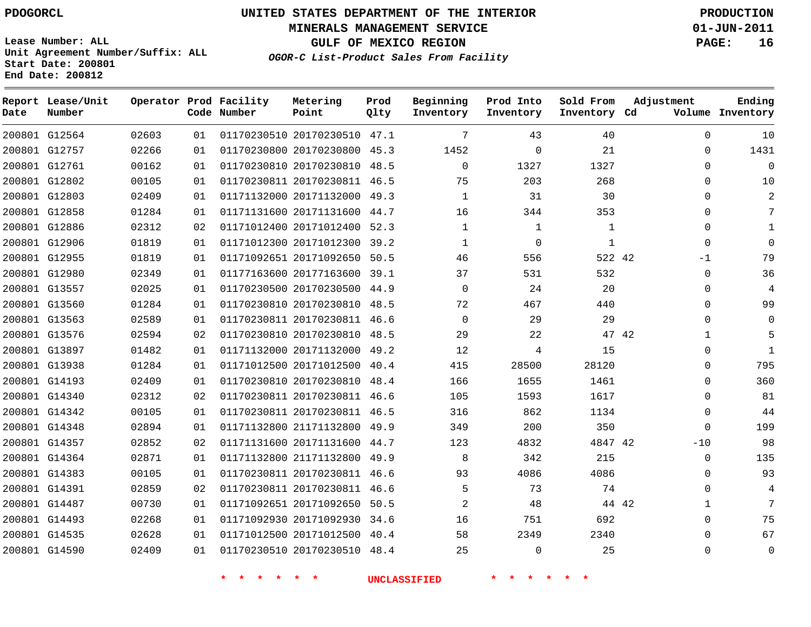**Start Date: 200801 End Date: 200812**

**Unit Agreement Number/Suffix: ALL**

# **UNITED STATES DEPARTMENT OF THE INTERIOR PDOGORCL PRODUCTION**

**MINERALS MANAGEMENT SERVICE 01-JUN-2011**

**GULF OF MEXICO REGION PAGE: 16**

**OGOR-C List-Product Sales From Facility**

| Date | Report Lease/Unit<br>Number |       |    | Operator Prod Facility<br>Code Number | Metering<br>Point            | Prod<br>Qlty | Beginning<br>Inventory | Prod Into<br>Inventory | Sold From<br>Inventory Cd | Adjustment  | Ending<br>Volume Inventory |
|------|-----------------------------|-------|----|---------------------------------------|------------------------------|--------------|------------------------|------------------------|---------------------------|-------------|----------------------------|
|      | 200801 G12564               | 02603 | 01 |                                       | 01170230510 20170230510 47.1 |              | 7                      | 43                     | 40                        | $\mathbf 0$ | 10                         |
|      | 200801 G12757               | 02266 | 01 |                                       | 01170230800 20170230800      | 45.3         | 1452                   | $\mathbf 0$            | 21                        | $\Omega$    | 1431                       |
|      | 200801 G12761               | 00162 | 01 |                                       | 01170230810 20170230810 48.5 |              | $\mathbf 0$            | 1327                   | 1327                      | 0           | $\mathbf 0$                |
|      | 200801 G12802               | 00105 | 01 |                                       | 01170230811 20170230811 46.5 |              | 75                     | 203                    | 268                       | $\Omega$    | 10                         |
|      | 200801 G12803               | 02409 | 01 |                                       | 01171132000 20171132000 49.3 |              | 1                      | 31                     | 30                        | $\Omega$    | 2                          |
|      | 200801 G12858               | 01284 | 01 |                                       | 01171131600 20171131600      | 44.7         | 16                     | 344                    | 353                       | $\Omega$    | 7                          |
|      | 200801 G12886               | 02312 | 02 |                                       | 01171012400 20171012400      | 52.3         | $\mathbf 1$            | $\mathbf{1}$           | $\mathbf{1}$              | $\Omega$    | 1                          |
|      | 200801 G12906               | 01819 | 01 |                                       | 01171012300 20171012300      | 39.2         | $\mathbf{1}$           | $\Omega$               | 1                         | $\Omega$    | $\mathbf 0$                |
|      | 200801 G12955               | 01819 | 01 |                                       | 01171092651 20171092650      | 50.5         | 46                     | 556                    | 522 42                    | $-1$        | 79                         |
|      | 200801 G12980               | 02349 | 01 |                                       | 01177163600 20177163600      | 39.1         | 37                     | 531                    | 532                       | $\Omega$    | 36                         |
|      | 200801 G13557               | 02025 | 01 |                                       | 01170230500 20170230500      | 44.9         | 0                      | 24                     | 20                        | 0           | 4                          |
|      | 200801 G13560               | 01284 | 01 |                                       | 01170230810 20170230810      | 48.5         | 72                     | 467                    | 440                       | $\Omega$    | 99                         |
|      | 200801 G13563               | 02589 | 01 |                                       | 01170230811 20170230811      | 46.6         | $\mathbf 0$            | 29                     | 29                        | $\Omega$    | $\Omega$                   |
|      | 200801 G13576               | 02594 | 02 |                                       | 01170230810 20170230810 48.5 |              | 29                     | 22                     |                           | 47 42       | 5                          |
|      | 200801 G13897               | 01482 | 01 |                                       | 01171132000 20171132000      | 49.2         | 12                     | 4                      | 15                        | $\Omega$    | $\mathbf{1}$               |
|      | 200801 G13938               | 01284 | 01 |                                       | 01171012500 20171012500      | 40.4         | 415                    | 28500                  | 28120                     | $\Omega$    | 795                        |
|      | 200801 G14193               | 02409 | 01 |                                       | 01170230810 20170230810      | 48.4         | 166                    | 1655                   | 1461                      | $\mathbf 0$ | 360                        |
|      | 200801 G14340               | 02312 | 02 |                                       | 01170230811 20170230811 46.6 |              | 105                    | 1593                   | 1617                      | $\Omega$    | 81                         |
|      | 200801 G14342               | 00105 | 01 |                                       | 01170230811 20170230811      | 46.5         | 316                    | 862                    | 1134                      | 0           | 44                         |
|      | 200801 G14348               | 02894 | 01 |                                       | 01171132800 21171132800 49.9 |              | 349                    | 200                    | 350                       | $\Omega$    | 199                        |
|      | 200801 G14357               | 02852 | 02 |                                       | 01171131600 20171131600      | 44.7         | 123                    | 4832                   | 4847 42                   | $-10$       | 98                         |
|      | 200801 G14364               | 02871 | 01 |                                       | 01171132800 21171132800      | 49.9         | 8                      | 342                    | 215                       | $\mathbf 0$ | 135                        |
|      | 200801 G14383               | 00105 | 01 |                                       | 01170230811 20170230811      | 46.6         | 93                     | 4086                   | 4086                      | $\Omega$    | 93                         |
|      | 200801 G14391               | 02859 | 02 |                                       | 01170230811 20170230811      | 46.6         | 5                      | 73                     | 74                        | 0           | 4                          |
|      | 200801 G14487               | 00730 | 01 |                                       | 01171092651 20171092650      | 50.5         | 2                      | 48                     |                           | 44 42<br>1  | 7                          |
|      | 200801 G14493               | 02268 | 01 |                                       | 01171092930 20171092930      | 34.6         | 16                     | 751                    | 692                       | $\Omega$    | 75                         |
|      | 200801 G14535               | 02628 | 01 |                                       | 01171012500 20171012500      | 40.4         | 58                     | 2349                   | 2340                      | $\Omega$    | 67                         |
|      | 200801 G14590               | 02409 | 01 |                                       | 01170230510 20170230510      | 48.4         | 25                     | $\Omega$               | 25                        | $\Omega$    | $\Omega$                   |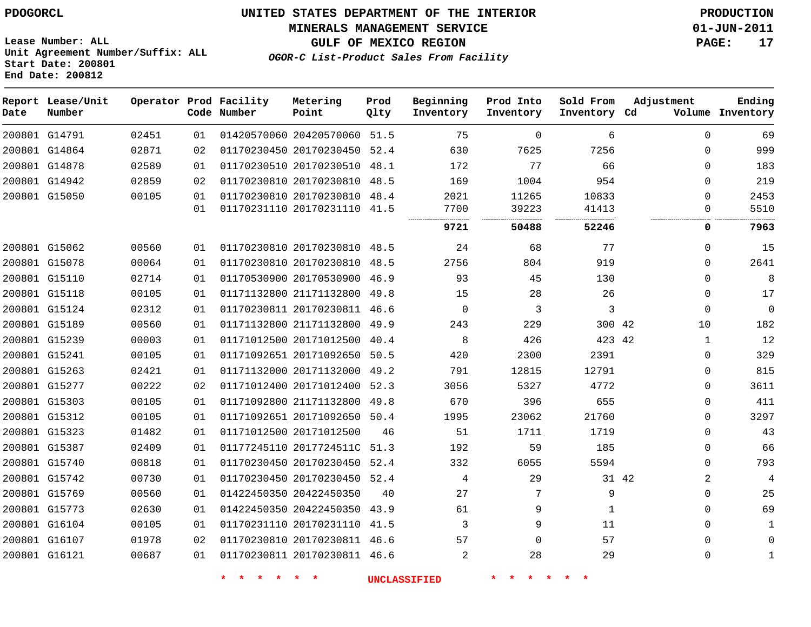#### **MINERALS MANAGEMENT SERVICE 01-JUN-2011**

**GULF OF MEXICO REGION PAGE: 17**

**Lease Number: ALL Unit Agreement Number/Suffix: ALL Start Date: 200801 End Date: 200812**

**OGOR-C List-Product Sales From Facility**

| Date          | Report Lease/Unit<br>Number |       |    | Operator Prod Facility<br>Code Number | Metering<br>Point            | Prod<br>Qlty | Beginning<br>Inventory | Prod Into<br>Inventory | Sold From<br>Inventory Cd | Adjustment     | Ending<br>Volume Inventory |
|---------------|-----------------------------|-------|----|---------------------------------------|------------------------------|--------------|------------------------|------------------------|---------------------------|----------------|----------------------------|
|               | 200801 G14791               | 02451 | 01 |                                       | 01420570060 20420570060      | 51.5         | 75                     | $\mathbf{0}$           | 6                         | $\mathbf 0$    | 69                         |
|               | 200801 G14864               | 02871 | 02 |                                       | 01170230450 20170230450 52.4 |              | 630                    | 7625                   | 7256                      | $\Omega$       | 999                        |
|               | 200801 G14878               | 02589 | 01 |                                       | 01170230510 20170230510      | 48.1         | 172                    | 77                     | 66                        | $\Omega$       | 183                        |
|               | 200801 G14942               | 02859 | 02 |                                       | 01170230810 20170230810      | 48.5         | 169                    | 1004                   | 954                       | $\mathbf{0}$   | 219                        |
|               | 200801 G15050               | 00105 | 01 |                                       | 01170230810 20170230810 48.4 |              | 2021                   | 11265                  | 10833                     | $\mathbf{0}$   | 2453                       |
|               |                             |       | 01 |                                       | 01170231110 20170231110 41.5 |              | 7700                   | 39223                  | 41413                     | 0              | 5510                       |
|               |                             |       |    |                                       |                              |              | 9721                   | 50488                  | 52246                     | 0              | 7963                       |
|               | 200801 G15062               | 00560 | 01 |                                       | 01170230810 20170230810 48.5 |              | 24                     | 68                     | 77                        | $\Omega$       | 15                         |
|               | 200801 G15078               | 00064 | 01 |                                       | 01170230810 20170230810      | 48.5         | 2756                   | 804                    | 919                       | $\Omega$       | 2641                       |
|               | 200801 G15110               | 02714 | 01 |                                       | 01170530900 20170530900 46.9 |              | 93                     | 45                     | 130                       | $\Omega$       | 8                          |
|               | 200801 G15118               | 00105 | 01 |                                       | 01171132800 21171132800      | 49.8         | 15                     | 28                     | 26                        | $\Omega$       | 17                         |
|               | 200801 G15124               | 02312 | 01 |                                       | 01170230811 20170230811 46.6 |              | $\Omega$               | 3                      | 3                         | $\Omega$       | $\mathbf{0}$               |
|               | 200801 G15189               | 00560 | 01 |                                       | 01171132800 21171132800      | 49.9         | 243                    | 229                    | 300 42                    | 10             | 182                        |
|               | 200801 G15239               | 00003 | 01 |                                       | 01171012500 20171012500      | 40.4         | 8                      | 426                    | 423 42                    | $\mathbf 1$    | 12                         |
| 200801 G15241 |                             | 00105 | 01 |                                       | 01171092651 20171092650      | 50.5         | 420                    | 2300                   | 2391                      | 0              | 329                        |
|               | 200801 G15263               | 02421 | 01 |                                       | 01171132000 20171132000      | 49.2         | 791                    | 12815                  | 12791                     | 0              | 815                        |
|               | 200801 G15277               | 00222 | 02 |                                       | 01171012400 20171012400 52.3 |              | 3056                   | 5327                   | 4772                      | 0              | 3611                       |
|               | 200801 G15303               | 00105 | 01 |                                       | 01171092800 21171132800      | 49.8         | 670                    | 396                    | 655                       | $\mathbf{0}$   | 411                        |
|               | 200801 G15312               | 00105 | 01 |                                       | 01171092651 20171092650      | 50.4         | 1995                   | 23062                  | 21760                     | $\Omega$       | 3297                       |
|               | 200801 G15323               | 01482 | 01 |                                       | 01171012500 20171012500      | 46           | 51                     | 1711                   | 1719                      | $\mathbf{0}$   | 43                         |
|               | 200801 G15387               | 02409 | 01 |                                       | 01177245110 2017724511C      | 51.3         | 192                    | 59                     | 185                       | $\mathbf{0}$   | 66                         |
|               | 200801 G15740               | 00818 | 01 |                                       | 01170230450 20170230450      | 52.4         | 332                    | 6055                   | 5594                      | $\Omega$       | 793                        |
|               | 200801 G15742               | 00730 | 01 |                                       | 01170230450 20170230450      | 52.4         | 4                      | 29                     | 31 42                     | $\overline{2}$ | 4                          |
|               | 200801 G15769               | 00560 | 01 |                                       | 01422450350 20422450350      | 40           | 27                     | 7                      | 9                         | $\mathbf{0}$   | 25                         |
|               | 200801 G15773               | 02630 | 01 |                                       | 01422450350 20422450350      | 43.9         | 61                     | 9                      | $\mathbf{1}$              | $\mathbf{0}$   | 69                         |
|               | 200801 G16104               | 00105 | 01 |                                       | 01170231110 20170231110 41.5 |              | 3                      | 9                      | 11                        | $\Omega$       |                            |
|               | 200801 G16107               | 01978 | 02 |                                       | 01170230810 20170230811 46.6 |              | 57                     | 0                      | 57                        | $\Omega$       | <sup>n</sup>               |
| 200801 G16121 |                             | 00687 | 01 |                                       | 01170230811 20170230811 46.6 |              | 2                      | 28                     | 29                        | $\Omega$       |                            |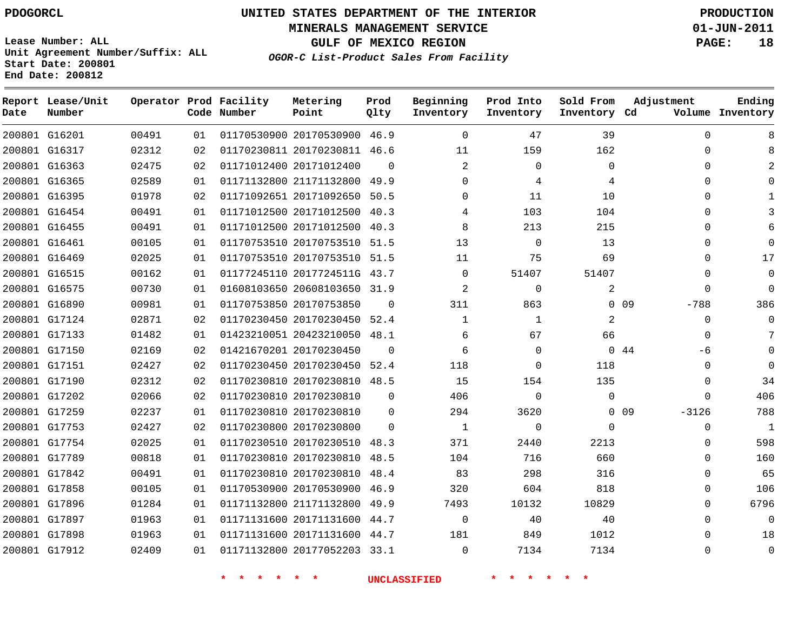**Start Date: 200801 End Date: 200812**

**Unit Agreement Number/Suffix: ALL**

# **UNITED STATES DEPARTMENT OF THE INTERIOR PDOGORCL PRODUCTION**

**MINERALS MANAGEMENT SERVICE 01-JUN-2011**

**GULF OF MEXICO REGION PAGE: 18**

**OGOR-C List-Product Sales From Facility**

| Date | Report Lease/Unit<br>Number |       |    | Operator Prod Facility<br>Code Number | Metering<br>Point            | Prod<br>Qlty | Beginning<br>Inventory | Prod Into<br>Inventory | Sold From<br>Inventory Cd | Adjustment                 | Ending<br>Volume Inventory |
|------|-----------------------------|-------|----|---------------------------------------|------------------------------|--------------|------------------------|------------------------|---------------------------|----------------------------|----------------------------|
|      | 200801 G16201               | 00491 | 01 |                                       | 01170530900 20170530900 46.9 |              | $\Omega$               | 47                     | 39                        | $\Omega$                   | 8                          |
|      | 200801 G16317               | 02312 | 02 |                                       | 01170230811 20170230811      | 46.6         | 11                     | 159                    | 162                       | $\Omega$                   | 8                          |
|      | 200801 G16363               | 02475 | 02 |                                       | 01171012400 20171012400      | $\Omega$     | 2                      | $\Omega$               | $\Omega$                  | $\Omega$                   | 2                          |
|      | 200801 G16365               | 02589 | 01 |                                       | 01171132800 21171132800      | 49.9         | $\Omega$               | 4                      | 4                         | $\Omega$                   | $\Omega$                   |
|      | 200801 G16395               | 01978 | 02 |                                       | 01171092651 20171092650      | 50.5         | 0                      | 11                     | 10                        | 0                          | 1                          |
|      | 200801 G16454               | 00491 | 01 |                                       | 01171012500 20171012500      | 40.3         | 4                      | 103                    | 104                       | $\Omega$                   | 3                          |
|      | 200801 G16455               | 00491 | 01 |                                       | 01171012500 20171012500      | 40.3         | 8                      | 213                    | 215                       | $\Omega$                   | 6                          |
|      | 200801 G16461               | 00105 | 01 |                                       | 01170753510 20170753510      | 51.5         | 13                     | $\Omega$               | 13                        | $\Omega$                   | $\mathbf 0$                |
|      | 200801 G16469               | 02025 | 01 |                                       | 01170753510 20170753510      | 51.5         | 11                     | 75                     | 69                        | $\Omega$                   | 17                         |
|      | 200801 G16515               | 00162 | 01 |                                       | 01177245110 2017724511G      | 43.7         | $\Omega$               | 51407                  | 51407                     | $\Omega$                   | $\mathbf 0$                |
|      | 200801 G16575               | 00730 | 01 |                                       | 01608103650 20608103650      | 31.9         | $\overline{2}$         | $\mathbf 0$            | 2                         | $\Omega$                   | $\mathbf 0$                |
|      | 200801 G16890               | 00981 | 01 |                                       | 01170753850 20170753850      | $\Omega$     | 311                    | 863                    |                           | 0 <sub>09</sub><br>$-788$  | 386                        |
|      | 200801 G17124               | 02871 | 02 |                                       | 01170230450 20170230450      | 52.4         | 1                      | $\mathbf{1}$           | 2                         | $\Omega$                   | $\mathbf{0}$               |
|      | 200801 G17133               | 01482 | 01 |                                       | 01423210051 20423210050      | 48.1         | 6                      | 67                     | 66                        | $\Omega$                   | 7                          |
|      | 200801 G17150               | 02169 | 02 |                                       | 01421670201 20170230450      | $\Omega$     | 6                      | $\Omega$               |                           | 0.44<br>-6                 | $\Omega$                   |
|      | 200801 G17151               | 02427 | 02 |                                       | 01170230450 20170230450      | 52.4         | 118                    | $\Omega$               | 118                       | $\Omega$                   | $\mathbf 0$                |
|      | 200801 G17190               | 02312 | 02 |                                       | 01170230810 20170230810      | 48.5         | 15                     | 154                    | 135                       | $\Omega$                   | 34                         |
|      | 200801 G17202               | 02066 | 02 |                                       | 01170230810 20170230810      | $\mathbf 0$  | 406                    | $\Omega$               | $\mathbf 0$               | $\Omega$                   | 406                        |
|      | 200801 G17259               | 02237 | 01 |                                       | 01170230810 20170230810      | $\Omega$     | 294                    | 3620                   |                           | 0 <sub>09</sub><br>$-3126$ | 788                        |
|      | 200801 G17753               | 02427 | 02 |                                       | 01170230800 20170230800      | $\Omega$     | 1                      | $\Omega$               | $\mathbf 0$               | 0                          | 1                          |
|      | 200801 G17754               | 02025 | 01 |                                       | 01170230510 20170230510      | 48.3         | 371                    | 2440                   | 2213                      | 0                          | 598                        |
|      | 200801 G17789               | 00818 | 01 |                                       | 01170230810 20170230810      | 48.5         | 104                    | 716                    | 660                       | $\Omega$                   | 160                        |
|      | 200801 G17842               | 00491 | 01 |                                       | 01170230810 20170230810      | 48.4         | 83                     | 298                    | 316                       | 0                          | 65                         |
|      | 200801 G17858               | 00105 | 01 |                                       | 01170530900 20170530900      | 46.9         | 320                    | 604                    | 818                       | $\mathbf{0}$               | 106                        |
|      | 200801 G17896               | 01284 | 01 |                                       | 01171132800 21171132800      | 49.9         | 7493                   | 10132                  | 10829                     | $\Omega$                   | 6796                       |
|      | 200801 G17897               | 01963 | 01 |                                       | 01171131600 20171131600      | 44.7         | 0                      | 40                     | 40                        | 0                          | $\mathbf 0$                |
|      | 200801 G17898               | 01963 | 01 |                                       | 01171131600 20171131600      | 44.7         | 181                    | 849                    | 1012                      | $\Omega$                   | 18                         |
|      | 200801 G17912               | 02409 | 01 |                                       | 01171132800 20177052203      | 33.1         | $\Omega$               | 7134                   | 7134                      | $\Omega$                   | $\Omega$                   |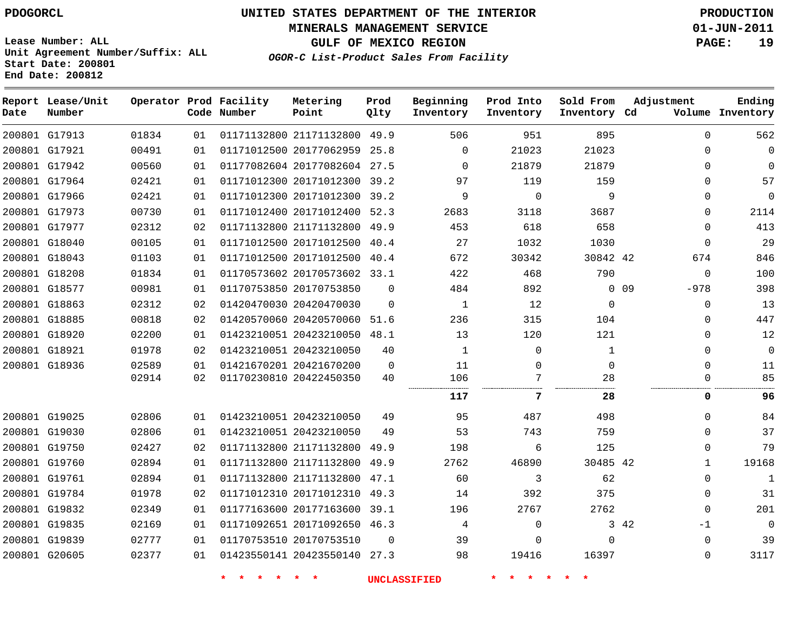**MINERALS MANAGEMENT SERVICE 01-JUN-2011**

**GULF OF MEXICO REGION PAGE: 19**

**Lease Number: ALL Unit Agreement Number/Suffix: ALL Start Date: 200801 End Date: 200812**

**OGOR-C List-Product Sales From Facility**

| Date | Report Lease/Unit<br>Number |       |    | Operator Prod Facility<br>Code Number | Metering<br>Point            | Prod<br>Qlty | Beginning<br>Inventory | Prod Into<br>Inventory | Sold From<br>Inventory Cd | Adjustment                | Ending<br>Volume Inventory |
|------|-----------------------------|-------|----|---------------------------------------|------------------------------|--------------|------------------------|------------------------|---------------------------|---------------------------|----------------------------|
|      | 200801 G17913               | 01834 | 01 |                                       | 01171132800 21171132800      | 49.9         | 506                    | 951                    | 895                       | $\Omega$                  | 562                        |
|      | 200801 G17921               | 00491 | 01 |                                       | 01171012500 20177062959 25.8 |              | $\Omega$               | 21023                  | 21023                     | $\Omega$                  | $\Omega$                   |
|      | 200801 G17942               | 00560 | 01 |                                       | 01177082604 20177082604      | 27.5         | $\mathbf 0$            | 21879                  | 21879                     | 0                         | $\Omega$                   |
|      | 200801 G17964               | 02421 | 01 |                                       | 01171012300 20171012300 39.2 |              | 97                     | 119                    | 159                       | $\Omega$                  | 57                         |
|      | 200801 G17966               | 02421 | 01 |                                       | 01171012300 20171012300      | 39.2         | 9                      | $\Omega$               | 9                         | $\Omega$                  | $\Omega$                   |
|      | 200801 G17973               | 00730 | 01 |                                       | 01171012400 20171012400      | 52.3         | 2683                   | 3118                   | 3687                      | $\Omega$                  | 2114                       |
|      | 200801 G17977               | 02312 | 02 |                                       | 01171132800 21171132800      | 49.9         | 453                    | 618                    | 658                       | $\Omega$                  | 413                        |
|      | 200801 G18040               | 00105 | 01 |                                       | 01171012500 20171012500      | 40.4         | 27                     | 1032                   | 1030                      | $\mathbf{0}$              | 29                         |
|      | 200801 G18043               | 01103 | 01 |                                       | 01171012500 20171012500      | 40.4         | 672                    | 30342                  | 30842 42                  | 674                       | 846                        |
|      | 200801 G18208               | 01834 | 01 |                                       | 01170573602 20170573602 33.1 |              | 422                    | 468                    | 790                       | $\Omega$                  | 100                        |
|      | 200801 G18577               | 00981 | 01 |                                       | 01170753850 20170753850      | $\Omega$     | 484                    | 892                    |                           | 0 <sub>09</sub><br>$-978$ | 398                        |
|      | 200801 G18863               | 02312 | 02 |                                       | 01420470030 20420470030      | $\Omega$     | 1                      | 12                     | $\Omega$                  | $\Omega$                  | 13                         |
|      | 200801 G18885               | 00818 | 02 |                                       | 01420570060 20420570060      | 51.6         | 236                    | 315                    | 104                       | $\Omega$                  | 447                        |
|      | 200801 G18920               | 02200 | 01 |                                       | 01423210051 20423210050      | 48.1         | 13                     | 120                    | 121                       | $\Omega$                  | 12                         |
|      | 200801 G18921               | 01978 | 02 |                                       | 01423210051 20423210050      | 40           | 1                      | $\Omega$               | 1                         | $\Omega$                  | $\Omega$                   |
|      | 200801 G18936               | 02589 | 01 |                                       | 01421670201 20421670200      | $\mathbf 0$  | 11                     | 0                      | $\mathbf 0$               | $\Omega$                  | 11                         |
|      |                             | 02914 | 02 |                                       | 01170230810 20422450350      | 40           | 106                    | 7                      | 28<br>.                   | $\Omega$                  | 85                         |
|      |                             |       |    |                                       |                              |              | 117                    | 7                      | 28                        | 0                         | 96                         |
|      | 200801 G19025               | 02806 | 01 |                                       | 01423210051 20423210050      | 49           | 95                     | 487                    | 498                       | $\Omega$                  | 84                         |
|      | 200801 G19030               | 02806 | 01 |                                       | 01423210051 20423210050      | 49           | 53                     | 743                    | 759                       | $\Omega$                  | 37                         |
|      | 200801 G19750               | 02427 | 02 |                                       | 01171132800 21171132800      | 49.9         | 198                    | 6                      | 125                       | 0                         | 79                         |
|      | 200801 G19760               | 02894 | 01 |                                       | 01171132800 21171132800      | 49.9         | 2762                   | 46890                  | 30485 42                  | 1                         | 19168                      |
|      | 200801 G19761               | 02894 | 01 |                                       | 01171132800 21171132800      | 47.1         | 60                     | 3                      | 62                        | 0                         | 1                          |
|      | 200801 G19784               | 01978 | 02 |                                       | 01171012310 20171012310      | 49.3         | 14                     | 392                    | 375                       | $\Omega$                  | 31                         |
|      | 200801 G19832               | 02349 | 01 |                                       | 01177163600 20177163600      | 39.1         | 196                    | 2767                   | 2762                      | $\Omega$                  | 201                        |
|      | 200801 G19835               | 02169 | 01 |                                       | 01171092651 20171092650 46.3 |              | 4                      | $\mathbf 0$            |                           | 3 42<br>$-1$              | $\Omega$                   |
|      | 200801 G19839               | 02777 | 01 |                                       | 01170753510 20170753510      | $\Omega$     | 39                     | $\Omega$               | $\Omega$                  | $\Omega$                  | 39                         |
|      | 200801 G20605               | 02377 | 01 |                                       | 01423550141 20423550140 27.3 |              | 98                     | 19416                  | 16397                     | $\Omega$                  | 3117                       |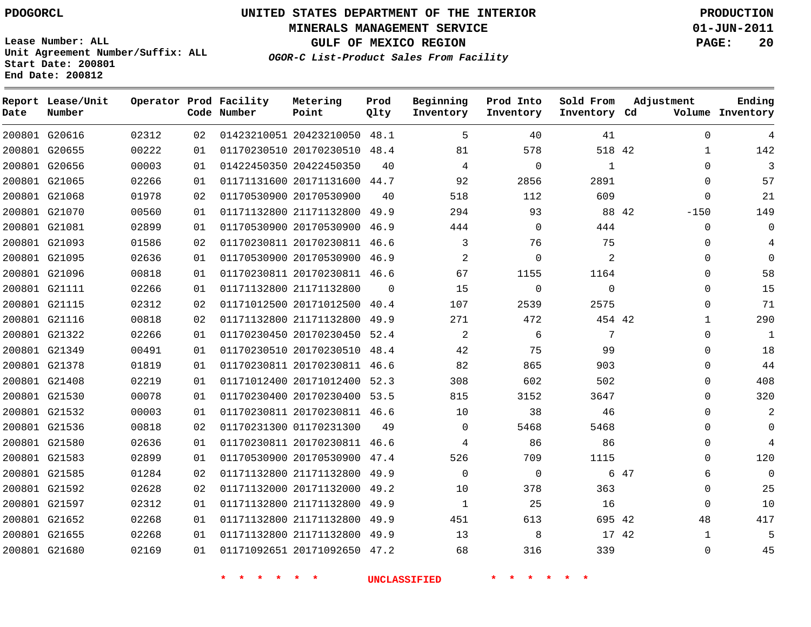**MINERALS MANAGEMENT SERVICE 01-JUN-2011**

**GULF OF MEXICO REGION PAGE: 20**

**Lease Number: ALL Unit Agreement Number/Suffix: ALL Start Date: 200801 End Date: 200812**

**OGOR-C List-Product Sales From Facility**

| Date | Report Lease/Unit<br>Number |       |    | Operator Prod Facility<br>Code Number | Metering<br>Point            | Prod<br>Qlty | Beginning<br>Inventory | Prod Into<br>Inventory | Sold From<br>Inventory Cd | Adjustment |              | Ending<br>Volume Inventory |
|------|-----------------------------|-------|----|---------------------------------------|------------------------------|--------------|------------------------|------------------------|---------------------------|------------|--------------|----------------------------|
|      | 200801 G20616               | 02312 | 02 |                                       | 01423210051 20423210050 48.1 |              | 5                      | 40                     | 41                        |            | $\mathbf 0$  | 4                          |
|      | 200801 G20655               | 00222 | 01 |                                       | 01170230510 20170230510 48.4 |              | 81                     | 578                    | 518 42                    |            | $\mathbf{1}$ | 142                        |
|      | 200801 G20656               | 00003 | 01 |                                       | 01422450350 20422450350      | 40           | 4                      | $\mathbf 0$            | $\mathbf{1}$              |            | $\Omega$     | 3                          |
|      | 200801 G21065               | 02266 | 01 |                                       | 01171131600 20171131600 44.7 |              | 92                     | 2856                   | 2891                      |            | $\Omega$     | 57                         |
|      | 200801 G21068               | 01978 | 02 |                                       | 01170530900 20170530900      | 40           | 518                    | 112                    | 609                       |            | $\mathbf 0$  | 21                         |
|      | 200801 G21070               | 00560 | 01 |                                       | 01171132800 21171132800 49.9 |              | 294                    | 93                     |                           | 88 42      | $-150$       | 149                        |
|      | 200801 G21081               | 02899 | 01 |                                       | 01170530900 20170530900 46.9 |              | 444                    | 0                      | 444                       |            | $\Omega$     | $\Omega$                   |
|      | 200801 G21093               | 01586 | 02 |                                       | 01170230811 20170230811 46.6 |              | 3                      | 76                     | 75                        |            | 0            | 4                          |
|      | 200801 G21095               | 02636 | 01 |                                       | 01170530900 20170530900 46.9 |              | 2                      | $\Omega$               | 2                         |            | 0            | $\Omega$                   |
|      | 200801 G21096               | 00818 | 01 |                                       | 01170230811 20170230811 46.6 |              | 67                     | 1155                   | 1164                      |            | $\Omega$     | 58                         |
|      | 200801 G21111               | 02266 | 01 |                                       | 01171132800 21171132800      | $\Omega$     | 15                     | $\mathbf 0$            | $\Omega$                  |            | $\Omega$     | 15                         |
|      | 200801 G21115               | 02312 | 02 |                                       | 01171012500 20171012500 40.4 |              | 107                    | 2539                   | 2575                      |            | $\Omega$     | 71                         |
|      | 200801 G21116               | 00818 | 02 |                                       | 01171132800 21171132800      | 49.9         | 271                    | 472                    | 454 42                    |            | $\mathbf{1}$ | 290                        |
|      | 200801 G21322               | 02266 | 01 |                                       | 01170230450 20170230450 52.4 |              | 2                      | 6                      | 7                         |            | $\Omega$     | 1                          |
|      | 200801 G21349               | 00491 | 01 |                                       | 01170230510 20170230510      | 48.4         | 42                     | 75                     | 99                        |            | 0            | 18                         |
|      | 200801 G21378               | 01819 | 01 |                                       | 01170230811 20170230811 46.6 |              | 82                     | 865                    | 903                       |            | $\Omega$     | 44                         |
|      | 200801 G21408               | 02219 | 01 |                                       | 01171012400 20171012400      | 52.3         | 308                    | 602                    | 502                       |            | $\Omega$     | 408                        |
|      | 200801 G21530               | 00078 | 01 |                                       | 01170230400 20170230400 53.5 |              | 815                    | 3152                   | 3647                      |            | $\Omega$     | 320                        |
|      | 200801 G21532               | 00003 | 01 |                                       | 01170230811 20170230811 46.6 |              | 10                     | 38                     | 46                        |            | $\Omega$     | $\overline{2}$             |
|      | 200801 G21536               | 00818 | 02 |                                       | 01170231300 01170231300      | 49           | $\mathbf{0}$           | 5468                   | 5468                      |            | 0            | 0                          |
|      | 200801 G21580               | 02636 | 01 |                                       | 01170230811 20170230811 46.6 |              | 4                      | 86                     | 86                        |            | 0            | 4                          |
|      | 200801 G21583               | 02899 | 01 |                                       | 01170530900 20170530900 47.4 |              | 526                    | 709                    | 1115                      |            | 0            | 120                        |
|      | 200801 G21585               | 01284 | 02 |                                       | 01171132800 21171132800 49.9 |              | $\mathbf{0}$           | 0                      |                           | 6 47       | 6            | 0                          |
|      | 200801 G21592               | 02628 | 02 |                                       | 01171132000 20171132000      | 49.2         | 10                     | 378                    | 363                       |            | $\Omega$     | 25                         |
|      | 200801 G21597               | 02312 | 01 |                                       | 01171132800 21171132800 49.9 |              | $\mathbf{1}$           | 25                     | 16                        |            | $\Omega$     | 10                         |
|      | 200801 G21652               | 02268 | 01 |                                       | 01171132800 21171132800      | 49.9         | 451                    | 613                    | 695 42                    |            | 48           | 417                        |
|      | 200801 G21655               | 02268 | 01 |                                       | 01171132800 21171132800 49.9 |              | 13                     | 8                      | 17 42                     |            | 1            | 5                          |
|      | 200801 G21680               | 02169 | 01 |                                       | 01171092651 20171092650 47.2 |              | 68                     | 316                    | 339                       |            | $\Omega$     | 45                         |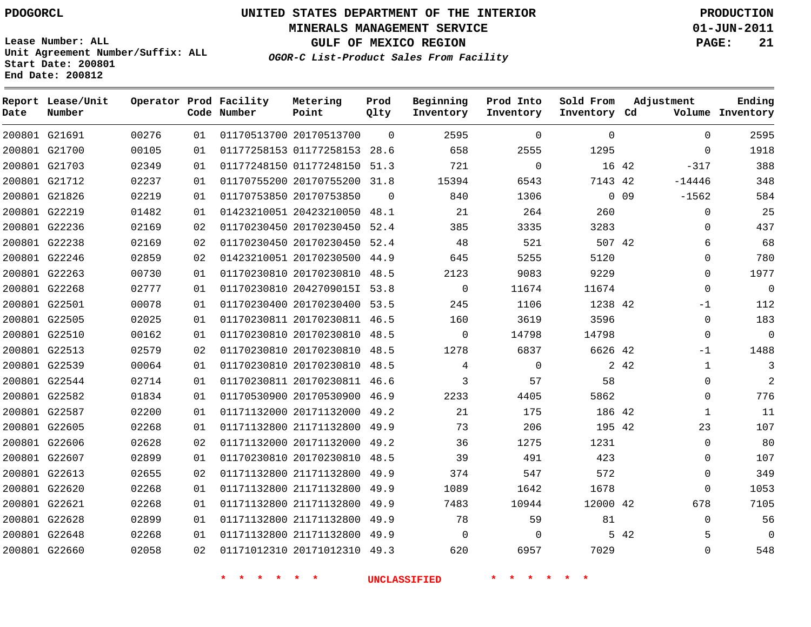**Start Date: 200801 End Date: 200812**

**Unit Agreement Number/Suffix: ALL**

# **UNITED STATES DEPARTMENT OF THE INTERIOR PDOGORCL PRODUCTION**

**MINERALS MANAGEMENT SERVICE 01-JUN-2011**

**GULF OF MEXICO REGION PAGE: 21**

**OGOR-C List-Product Sales From Facility**

| Date | Report Lease/Unit<br>Number |       |    | Operator Prod Facility<br>Code Number | Metering<br>Point            | Prod<br>Qlty | Beginning<br>Inventory | Prod Into<br>Inventory | Sold From<br>Inventory Cd | Adjustment            | Ending<br>Volume Inventory |
|------|-----------------------------|-------|----|---------------------------------------|------------------------------|--------------|------------------------|------------------------|---------------------------|-----------------------|----------------------------|
|      | 200801 G21691               | 00276 | 01 |                                       | 01170513700 20170513700      | $\Omega$     | 2595                   | $\Omega$               | $\Omega$                  | $\mathbf 0$           | 2595                       |
|      | 200801 G21700               | 00105 | 01 |                                       | 01177258153 01177258153      | 28.6         | 658                    | 2555                   | 1295                      | $\mathbf 0$           | 1918                       |
|      | 200801 G21703               | 02349 | 01 |                                       | 01177248150 01177248150      | 51.3         | 721                    | $\mathbf 0$            |                           | 16 42<br>$-317$       | 388                        |
|      | 200801 G21712               | 02237 | 01 |                                       | 01170755200 20170755200      | 31.8         | 15394                  | 6543                   | 7143 42                   | $-14446$              | 348                        |
|      | 200801 G21826               | 02219 | 01 |                                       | 01170753850 20170753850      | $\Omega$     | 840                    | 1306                   |                           | $0\quad09$<br>-1562   | 584                        |
|      | 200801 G22219               | 01482 | 01 |                                       | 01423210051 20423210050      | 48.1         | 21                     | 264                    | 260                       | $\mathbf 0$           | 25                         |
|      | 200801 G22236               | 02169 | 02 |                                       | 01170230450 20170230450      | 52.4         | 385                    | 3335                   | 3283                      | $\mathbf 0$           | 437                        |
|      | 200801 G22238               | 02169 | 02 |                                       | 01170230450 20170230450      | 52.4         | 48                     | 521                    | 507 42                    | 6                     | 68                         |
|      | 200801 G22246               | 02859 | 02 |                                       | 01423210051 20170230500      | 44.9         | 645                    | 5255                   | 5120                      | $\mathbf 0$           | 780                        |
|      | 200801 G22263               | 00730 | 01 |                                       | 01170230810 20170230810      | 48.5         | 2123                   | 9083                   | 9229                      | $\mathbf 0$           | 1977                       |
|      | 200801 G22268               | 02777 | 01 |                                       | 01170230810 2042709015I 53.8 |              | $\overline{0}$         | 11674                  | 11674                     | $\mathbf 0$           | $\overline{0}$             |
|      | 200801 G22501               | 00078 | 01 |                                       | 01170230400 20170230400      | 53.5         | 245                    | 1106                   | 1238 42                   | $-1$                  | 112                        |
|      | 200801 G22505               | 02025 | 01 |                                       | 01170230811 20170230811 46.5 |              | 160                    | 3619                   | 3596                      | $\mathbf 0$           | 183                        |
|      | 200801 G22510               | 00162 | 01 |                                       | 01170230810 20170230810      | 48.5         | $\Omega$               | 14798                  | 14798                     | $\mathbf 0$           | $\overline{0}$             |
|      | 200801 G22513               | 02579 | 02 |                                       | 01170230810 20170230810      | 48.5         | 1278                   | 6837                   | 6626 42                   | $-1$                  | 1488                       |
|      | 200801 G22539               | 00064 | 01 |                                       | 01170230810 20170230810      | 48.5         | 4                      | $\Omega$               |                           | 2 4 2<br>$\mathbf{1}$ | 3                          |
|      | 200801 G22544               | 02714 | 01 |                                       | 01170230811 20170230811 46.6 |              | 3                      | 57                     | 58                        | $\mathbf 0$           | 2                          |
|      | 200801 G22582               | 01834 | 01 |                                       | 01170530900 20170530900      | 46.9         | 2233                   | 4405                   | 5862                      | $\mathbf 0$           | 776                        |
|      | 200801 G22587               | 02200 | 01 |                                       | 01171132000 20171132000      | 49.2         | 21                     | 175                    | 186 42                    | $\mathbf{1}$          | 11                         |
|      | 200801 G22605               | 02268 | 01 |                                       | 01171132800 21171132800      | 49.9         | 73                     | 206                    | 195 42                    | 23                    | 107                        |
|      | 200801 G22606               | 02628 | 02 |                                       | 01171132000 20171132000      | 49.2         | 36                     | 1275                   | 1231                      | $\mathbf 0$           | 80                         |
|      | 200801 G22607               | 02899 | 01 |                                       | 01170230810 20170230810      | 48.5         | 39                     | 491                    | 423                       | $\mathbf 0$           | 107                        |
|      | 200801 G22613               | 02655 | 02 |                                       | 01171132800 21171132800      | 49.9         | 374                    | 547                    | 572                       | $\mathbf 0$           | 349                        |
|      | 200801 G22620               | 02268 | 01 |                                       | 01171132800 21171132800      | 49.9         | 1089                   | 1642                   | 1678                      | $\Omega$              | 1053                       |
|      | 200801 G22621               | 02268 | 01 |                                       | 01171132800 21171132800      | 49.9         | 7483                   | 10944                  | 12000 42                  | 678                   | 7105                       |
|      | 200801 G22628               | 02899 | 01 |                                       | 01171132800 21171132800      | 49.9         | 78                     | 59                     | 81                        | $\mathbf 0$           | 56                         |
|      | 200801 G22648               | 02268 | 01 |                                       | 01171132800 21171132800      | 49.9         | 0                      | 0                      |                           | 5 42<br>5             | $\mathbf 0$                |
|      | 200801 G22660               | 02058 | 02 |                                       | 01171012310 20171012310      | 49.3         | 620                    | 6957                   | 7029                      | $\Omega$              | 548                        |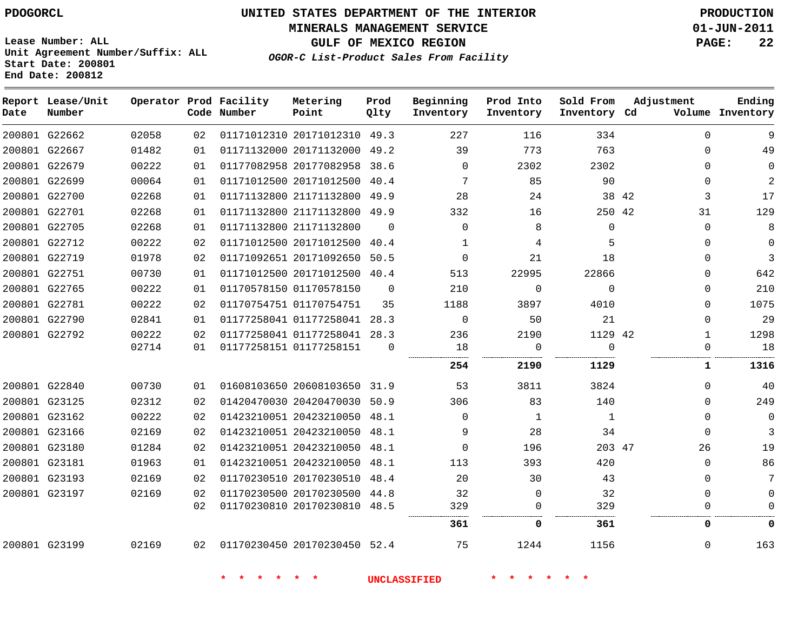**Date**

**Report Lease/Unit**

**Number**

# **UNITED STATES DEPARTMENT OF THE INTERIOR PDOGORCL PRODUCTION**

**MINERALS MANAGEMENT SERVICE 01-JUN-2011**

**GULF OF MEXICO REGION PAGE: 22**

**Lease Number: ALL Unit Agreement Number/Suffix: ALL Start Date: 200801 End Date: 200812**

**Operator Prod Facility**

**Code Number**

**OGOR-C List-Product Sales From Facility**

**Prod Qlty** **Beginning Inventory**

**Inventory**

**Metering Point**

**Inventory Cd Volume**

**Prod Into Sold From Adjustment**

**Inventory**

**Ending**

| 9        | $\Omega$     | 334      | 116      | 227          |          | 01171012310 20171012310 49.3 |                              | 02 | 02058 | 200801 G22662 |               |
|----------|--------------|----------|----------|--------------|----------|------------------------------|------------------------------|----|-------|---------------|---------------|
| 49       | $\Omega$     | 763      | 773      | 39           |          | 01171132000 20171132000 49.2 |                              | 01 | 01482 | 200801 G22667 |               |
| $\Omega$ | $\Omega$     | 2302     | 2302     | $\Omega$     | 38.6     |                              | 01177082958 20177082958      | 01 | 00222 | 200801 G22679 |               |
| 2        | $\Omega$     | 90       | 85       | 7            | 40.4     |                              | 01171012500 20171012500      | 01 | 00064 |               | 200801 G22699 |
| 17       | 3            | 38 42    | 24       | 28           |          | 01171132800 21171132800 49.9 |                              | 01 | 02268 | 200801 G22700 |               |
| 129      | 31           | 250 42   | 16       | 332          | 49.9     |                              | 01171132800 21171132800      | 01 | 02268 |               | 200801 G22701 |
| 8        | $\Omega$     | $\Omega$ | 8        | $\Omega$     | $\Omega$ |                              | 01171132800 21171132800      | 01 | 02268 |               | 200801 G22705 |
| $\Omega$ | $\Omega$     | 5        | 4        | $\mathbf{1}$ | 40.4     |                              | 01171012500 20171012500      | 02 | 00222 | 200801 G22712 |               |
| 3        | $\Omega$     | 18       | 21       | $\Omega$     |          | 01171092651 20171092650 50.5 |                              | 02 | 01978 |               | 200801 G22719 |
| 642      | 0            | 22866    | 22995    | 513          | 40.4     |                              | 01171012500 20171012500      | 01 | 00730 |               | 200801 G22751 |
| 210      | $\Omega$     | $\Omega$ | $\Omega$ | 210          | $\Omega$ |                              | 01170578150 01170578150      | 01 | 00222 | 200801 G22765 |               |
| 1075     | $\Omega$     | 4010     | 3897     | 1188         | 35       |                              | 01170754751 01170754751      | 02 | 00222 |               | 200801 G22781 |
| 29       | $\Omega$     | 21       | 50       | $\Omega$     |          | 01177258041 01177258041 28.3 |                              | 01 | 02841 | 200801 G22790 |               |
| 1298     | $\mathbf{1}$ | 1129 42  | 2190     | 236          |          | 01177258041 01177258041 28.3 |                              | 02 | 00222 | 200801 G22792 |               |
| 18       | $\Omega$     | $\Omega$ | $\Omega$ | 18           | $\Omega$ |                              | 01177258151 01177258151      | 01 | 02714 |               |               |
| 1316     | 1            | 1129     | 2190     | 254          |          |                              |                              |    |       |               |               |
| 40       | $\Omega$     | 3824     | 3811     | 53           |          |                              | 01608103650 20608103650 31.9 | 01 | 00730 | 200801 G22840 |               |
| 249      | $\Omega$     | 140      | 83       | 306          |          | 01420470030 20420470030 50.9 |                              | 02 | 02312 | 200801 G23125 |               |
| $\Omega$ | $\Omega$     | 1        | 1        | $\Omega$     |          |                              | 01423210051 20423210050 48.1 | 02 | 00222 | 200801 G23162 |               |
| 3        | $\Omega$     | 34       | 28       | 9            |          |                              | 01423210051 20423210050 48.1 | 02 | 02169 | 200801 G23166 |               |
| 19       | 26           | 203 47   | 196      | $\Omega$     | 48.1     |                              | 01423210051 20423210050      | 02 | 01284 | 200801 G23180 |               |
| 86       | $\Omega$     | 420      | 393      | 113          | 48.1     |                              | 01423210051 20423210050      | 01 | 01963 | 200801 G23181 |               |
| 7        | $\Omega$     | 43       | 30       | 20           |          | 01170230510 20170230510 48.4 |                              | 02 | 02169 | 200801 G23193 |               |
| $\Omega$ | $\mathbf 0$  | 32       | 0        | 32           |          | 01170230500 20170230500 44.8 |                              | 02 | 02169 | 200801 G23197 |               |
|          | $\Omega$     | 329      | 0        | 329          |          |                              | 01170230810 20170230810 48.5 | 02 |       |               |               |
| O        | 0            | 361      | 0        | 361          |          |                              |                              |    |       |               |               |
| 163      | $\Omega$     | 1156     | 1244     | 75           |          |                              | 01170230450 20170230450 52.4 | 02 | 02169 | 200801 G23199 |               |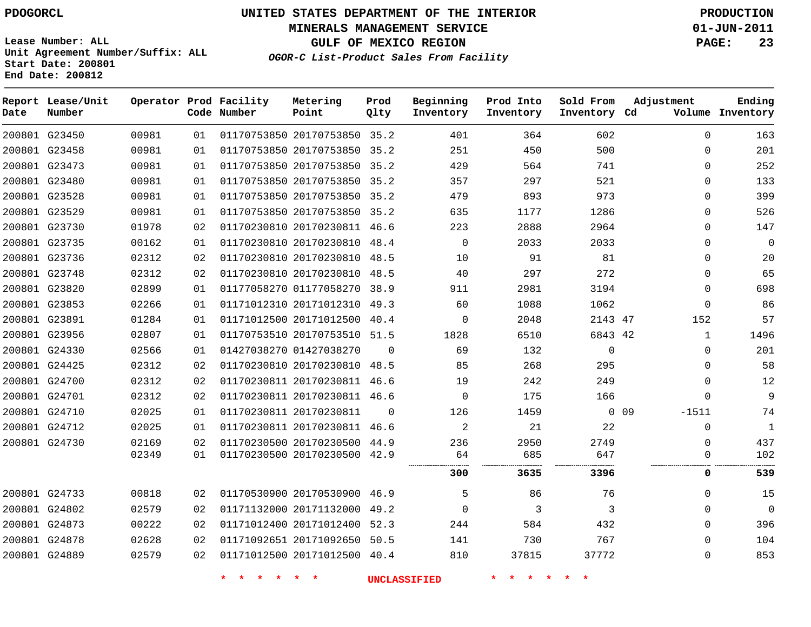**MINERALS MANAGEMENT SERVICE 01-JUN-2011**

**GULF OF MEXICO REGION PAGE: 23**

**Lease Number: ALL Unit Agreement Number/Suffix: ALL Start Date: 200801 End Date: 200812**

**OGOR-C List-Product Sales From Facility**

| Date | Report Lease/Unit<br>Number |       |    | Operator Prod Facility<br>Code Number | Metering<br>Point            | Prod<br>Qlty | Beginning<br>Inventory | Prod Into<br>Inventory | Sold From<br>Inventory Cd | Adjustment        | Ending<br>Volume Inventory |
|------|-----------------------------|-------|----|---------------------------------------|------------------------------|--------------|------------------------|------------------------|---------------------------|-------------------|----------------------------|
|      | 200801 G23450               | 00981 | 01 |                                       | 01170753850 20170753850 35.2 |              | 401                    | 364                    | 602                       | $\Omega$          | 163                        |
|      | 200801 G23458               | 00981 | 01 |                                       | 01170753850 20170753850 35.2 |              | 251                    | 450                    | 500                       | $\mathbf{0}$      | 201                        |
|      | 200801 G23473               | 00981 | 01 |                                       | 01170753850 20170753850 35.2 |              | 429                    | 564                    | 741                       | $\mathbf 0$       | 252                        |
|      | 200801 G23480               | 00981 | 01 |                                       | 01170753850 20170753850 35.2 |              | 357                    | 297                    | 521                       | $\Omega$          | 133                        |
|      | 200801 G23528               | 00981 | 01 |                                       | 01170753850 20170753850 35.2 |              | 479                    | 893                    | 973                       | $\Omega$          | 399                        |
|      | 200801 G23529               | 00981 | 01 |                                       | 01170753850 20170753850 35.2 |              | 635                    | 1177                   | 1286                      | $\mathbf{0}$      | 526                        |
|      | 200801 G23730               | 01978 | 02 |                                       | 01170230810 20170230811 46.6 |              | 223                    | 2888                   | 2964                      | $\mathbf 0$       | 147                        |
|      | 200801 G23735               | 00162 | 01 |                                       | 01170230810 20170230810 48.4 |              | $\Omega$               | 2033                   | 2033                      | $\Omega$          | $\Omega$                   |
|      | 200801 G23736               | 02312 | 02 |                                       | 01170230810 20170230810 48.5 |              | 10                     | 91                     | 81                        | $\mathbf 0$       | 20                         |
|      | 200801 G23748               | 02312 | 02 |                                       | 01170230810 20170230810 48.5 |              | 40                     | 297                    | 272                       | $\mathbf 0$       | 65                         |
|      | 200801 G23820               | 02899 | 01 |                                       | 01177058270 01177058270 38.9 |              | 911                    | 2981                   | 3194                      | $\Omega$          | 698                        |
|      | 200801 G23853               | 02266 | 01 |                                       | 01171012310 20171012310 49.3 |              | 60                     | 1088                   | 1062                      | $\Omega$          | 86                         |
|      | 200801 G23891               | 01284 | 01 |                                       | 01171012500 20171012500 40.4 |              | $\Omega$               | 2048                   | 2143 47                   | 152               | 57                         |
|      | 200801 G23956               | 02807 | 01 |                                       | 01170753510 20170753510 51.5 |              | 1828                   | 6510                   | 6843 42                   | $\mathbf{1}$      | 1496                       |
|      | 200801 G24330               | 02566 | 01 |                                       | 01427038270 01427038270      | $\Omega$     | 69                     | 132                    | $\Omega$                  | $\Omega$          | 201                        |
|      | 200801 G24425               | 02312 | 02 |                                       | 01170230810 20170230810      | 48.5         | 85                     | 268                    | 295                       | $\mathbf{0}$      | 58                         |
|      | 200801 G24700               | 02312 | 02 |                                       | 01170230811 20170230811 46.6 |              | 19                     | 242                    | 249                       | $\mathbf{0}$      | 12                         |
|      | 200801 G24701               | 02312 | 02 |                                       | 01170230811 20170230811 46.6 |              | $\Omega$               | 175                    | 166                       | $\Omega$          | 9                          |
|      | 200801 G24710               | 02025 | 01 |                                       | 01170230811 20170230811      | $\Omega$     | 126                    | 1459                   |                           | $0$ 09<br>$-1511$ | 74                         |
|      | 200801 G24712               | 02025 | 01 |                                       | 01170230811 20170230811 46.6 |              | 2                      | 21                     | 22                        | $\mathbf 0$       | $\mathbf{1}$               |
|      | 200801 G24730               | 02169 | 02 |                                       | 01170230500 20170230500 44.9 |              | 236                    | 2950                   | 2749                      | $\Omega$          | 437                        |
|      |                             | 02349 | 01 |                                       | 01170230500 20170230500 42.9 |              | 64<br>                 | 685                    | 647                       | 0                 | 102                        |
|      |                             |       |    |                                       |                              |              | 300                    | 3635                   | 3396                      | 0                 | 539                        |
|      | 200801 G24733               | 00818 | 02 |                                       | 01170530900 20170530900 46.9 |              | 5                      | 86                     | 76                        | $\Omega$          | 15                         |
|      | 200801 G24802               | 02579 | 02 |                                       | 01171132000 20171132000 49.2 |              | $\Omega$               | 3                      | 3                         | $\mathbf 0$       | $\mathbf 0$                |
|      | 200801 G24873               | 00222 | 02 |                                       | 01171012400 20171012400 52.3 |              | 244                    | 584                    | 432                       | $\Omega$          | 396                        |
|      | 200801 G24878               | 02628 | 02 |                                       | 01171092651 20171092650 50.5 |              | 141                    | 730                    | 767                       | $\Omega$          | 104                        |
|      | 200801 G24889               | 02579 | 02 |                                       | 01171012500 20171012500 40.4 |              | 810                    | 37815                  | 37772                     | $\mathbf{0}$      | 853                        |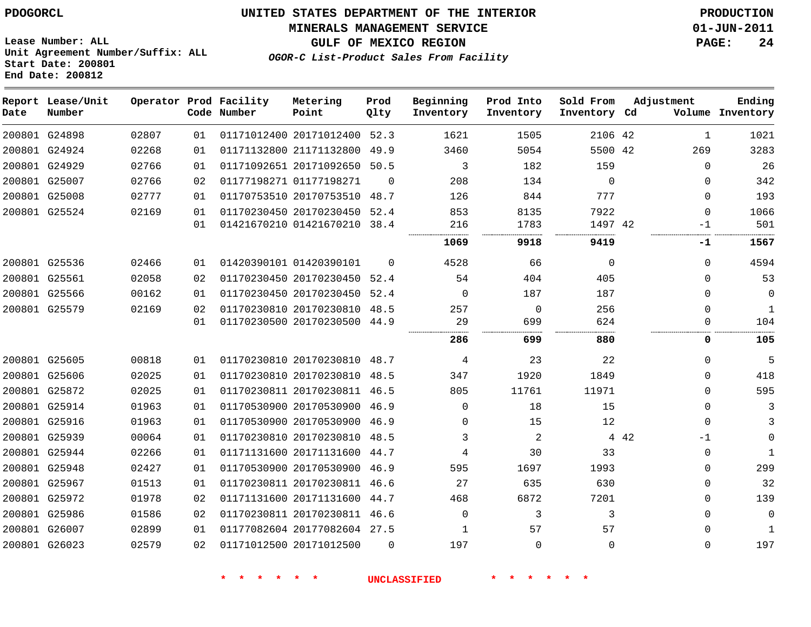**MINERALS MANAGEMENT SERVICE 01-JUN-2011**

**GULF OF MEXICO REGION PAGE: 24**

**Lease Number: ALL Unit Agreement Number/Suffix: ALL Start Date: 200801 End Date: 200812**

**OGOR-C List-Product Sales From Facility**

| Date | Report Lease/Unit<br>Number |       |    | Operator Prod Facility<br>Code Number | Metering<br>Point            | Prod<br>Qlty | Beginning<br>Inventory | Prod Into<br>Inventory | Sold From<br>Inventory Cd |       | Adjustment   | Ending<br>Volume Inventory |
|------|-----------------------------|-------|----|---------------------------------------|------------------------------|--------------|------------------------|------------------------|---------------------------|-------|--------------|----------------------------|
|      | 200801 G24898               | 02807 | 01 |                                       | 01171012400 20171012400 52.3 |              | 1621                   | 1505                   | 2106 42                   |       | $\mathbf{1}$ | 1021                       |
|      | 200801 G24924               | 02268 | 01 |                                       | 01171132800 21171132800      | 49.9         | 3460                   | 5054                   | 5500 42                   |       | 269          | 3283                       |
|      | 200801 G24929               | 02766 | 01 |                                       | 01171092651 20171092650 50.5 |              | 3                      | 182                    | 159                       |       | $\Omega$     | 26                         |
|      | 200801 G25007               | 02766 | 02 |                                       | 01177198271 01177198271      | $\Omega$     | 208                    | 134                    | $\mathbf 0$               |       | $\Omega$     | 342                        |
|      | 200801 G25008               | 02777 | 01 |                                       | 01170753510 20170753510 48.7 |              | 126                    | 844                    | 777                       |       | $\Omega$     | 193                        |
|      | 200801 G25524               | 02169 | 01 |                                       | 01170230450 20170230450 52.4 |              | 853                    | 8135                   | 7922                      |       | $\mathbf 0$  | 1066                       |
|      |                             |       | 01 |                                       | 01421670210 01421670210 38.4 |              | 216                    | 1783                   | 1497 42                   |       | -1           | 501                        |
|      |                             |       |    |                                       |                              |              | 1069                   | 9918                   | .<br>9419                 |       | -1           | 1567                       |
|      | 200801 G25536               | 02466 | 01 |                                       | 01420390101 01420390101      | $\Omega$     | 4528                   | 66                     | $\mathbf 0$               |       | $\Omega$     | 4594                       |
|      | 200801 G25561               | 02058 | 02 |                                       | 01170230450 20170230450      | 52.4         | 54                     | 404                    | 405                       |       | $\Omega$     | 53                         |
|      | 200801 G25566               | 00162 | 01 |                                       | 01170230450 20170230450 52.4 |              | 0                      | 187                    | 187                       |       | 0            | 0                          |
|      | 200801 G25579               | 02169 | 02 |                                       | 01170230810 20170230810 48.5 |              | 257                    | $\mathbf 0$            | 256                       |       | $\Omega$     | $\mathbf{1}$               |
|      |                             |       | 01 |                                       | 01170230500 20170230500 44.9 |              | 29                     | 699                    | 624                       |       | $\Omega$     | 104                        |
|      |                             |       |    |                                       |                              |              | 286                    | 699                    | 880                       |       | 0            | 105                        |
|      | 200801 G25605               | 00818 | 01 |                                       | 01170230810 20170230810 48.7 |              | 4                      | 23                     | 22                        |       | $\Omega$     | 5                          |
|      | 200801 G25606               | 02025 | 01 |                                       | 01170230810 20170230810      | 48.5         | 347                    | 1920                   | 1849                      |       | $\Omega$     | 418                        |
|      | 200801 G25872               | 02025 | 01 |                                       | 01170230811 20170230811 46.5 |              | 805                    | 11761                  | 11971                     |       | $\Omega$     | 595                        |
|      | 200801 G25914               | 01963 | 01 |                                       | 01170530900 20170530900 46.9 |              | $\Omega$               | 18                     | 15                        |       | 0            | 3                          |
|      | 200801 G25916               | 01963 | 01 |                                       | 01170530900 20170530900 46.9 |              | $\Omega$               | 15                     | 12                        |       | $\Omega$     | 3                          |
|      | 200801 G25939               | 00064 | 01 |                                       | 01170230810 20170230810      | 48.5         | 3                      | $\overline{a}$         |                           | 4 4 2 | $-1$         | $\Omega$                   |
|      | 200801 G25944               | 02266 | 01 |                                       | 01171131600 20171131600 44.7 |              | 4                      | 30                     | 33                        |       | $\Omega$     | $\mathbf{1}$               |
|      | 200801 G25948               | 02427 | 01 |                                       | 01170530900 20170530900 46.9 |              | 595                    | 1697                   | 1993                      |       | 0            | 299                        |
|      | 200801 G25967               | 01513 | 01 |                                       | 01170230811 20170230811      | 46.6         | 27                     | 635                    | 630                       |       | $\Omega$     | 32                         |
|      | 200801 G25972               | 01978 | 02 |                                       | 01171131600 20171131600      | 44.7         | 468                    | 6872                   | 7201                      |       | $\Omega$     | 139                        |
|      | 200801 G25986               | 01586 | 02 |                                       | 01170230811 20170230811 46.6 |              | $\Omega$               | 3                      | 3                         |       | 0            | 0                          |
|      | 200801 G26007               | 02899 | 01 |                                       | 01177082604 20177082604 27.5 |              | 1                      | 57                     | 57                        |       | $\Omega$     | $\mathbf{1}$               |
|      | 200801 G26023               | 02579 | 02 |                                       | 01171012500 20171012500      | $\Omega$     | 197                    | 0                      | 0                         |       | $\Omega$     | 197                        |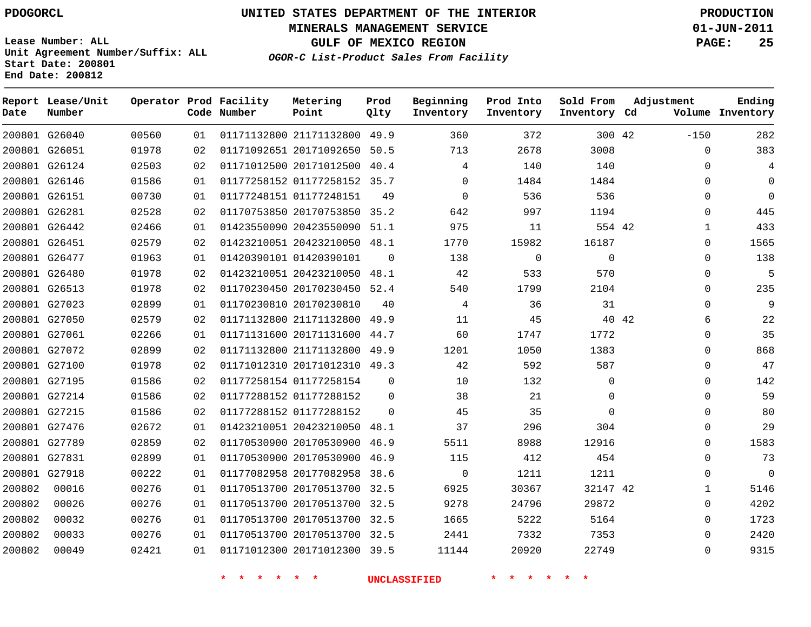# **UNITED STATES DEPARTMENT OF THE INTERIOR PDOGORCL PRODUCTION**

**MINERALS MANAGEMENT SERVICE 01-JUN-2011**

**GULF OF MEXICO REGION PAGE: 25**

**Unit Agreement Number/Suffix: ALL Start Date: 200801 End Date: 200812**

**OGOR-C List-Product Sales From Facility**

| Date   | Report Lease/Unit<br>Number |       |    | Operator Prod Facility<br>Code Number | Metering<br>Point            | Prod<br>Qlty | Beginning<br>Inventory | Prod Into<br>Inventory | Sold From<br>Inventory Cd | Adjustment   | Ending<br>Volume Inventory |
|--------|-----------------------------|-------|----|---------------------------------------|------------------------------|--------------|------------------------|------------------------|---------------------------|--------------|----------------------------|
|        | 200801 G26040               | 00560 | 01 |                                       | 01171132800 21171132800      | 49.9         | 360                    | 372                    | 300 42                    | $-150$       | 282                        |
|        | 200801 G26051               | 01978 | 02 |                                       | 01171092651 20171092650      | 50.5         | 713                    | 2678                   | 3008                      | $\Omega$     | 383                        |
|        | 200801 G26124               | 02503 | 02 |                                       | 01171012500 20171012500      | 40.4         | 4                      | 140                    | 140                       | $\Omega$     | 4                          |
|        | 200801 G26146               | 01586 | 01 |                                       | 01177258152 01177258152 35.7 |              | $\mathbf 0$            | 1484                   | 1484                      | $\Omega$     | $\Omega$                   |
|        | 200801 G26151               | 00730 | 01 |                                       | 01177248151 01177248151      | 49           | $\Omega$               | 536                    | 536                       | $\Omega$     | $\Omega$                   |
|        | 200801 G26281               | 02528 | 02 |                                       | 01170753850 20170753850      | 35.2         | 642                    | 997                    | 1194                      | $\Omega$     | 445                        |
|        | 200801 G26442               | 02466 | 01 |                                       | 01423550090 20423550090      | 51.1         | 975                    | 11                     | 554 42                    | 1            | 433                        |
|        | 200801 G26451               | 02579 | 02 |                                       | 01423210051 20423210050 48.1 |              | 1770                   | 15982                  | 16187                     | 0            | 1565                       |
|        | 200801 G26477               | 01963 | 01 |                                       | 01420390101 01420390101      | $\Omega$     | 138                    | $\mathbf 0$            | $\Omega$                  | 0            | 138                        |
|        | 200801 G26480               | 01978 | 02 |                                       | 01423210051 20423210050      | 48.1         | 42                     | 533                    | 570                       | $\mathbf{0}$ | 5                          |
|        | 200801 G26513               | 01978 | 02 |                                       | 01170230450 20170230450      | 52.4         | 540                    | 1799                   | 2104                      | $\Omega$     | 235                        |
|        | 200801 G27023               | 02899 | 01 |                                       | 01170230810 20170230810      | 40           | 4                      | 36                     | 31                        | $\Omega$     | 9                          |
|        | 200801 G27050               | 02579 | 02 |                                       | 01171132800 21171132800      | 49.9         | 11                     | 45                     |                           | 40 42<br>6   | 22                         |
|        | 200801 G27061               | 02266 | 01 |                                       | 01171131600 20171131600 44.7 |              | 60                     | 1747                   | 1772                      | $\Omega$     | 35                         |
|        | 200801 G27072               | 02899 | 02 |                                       | 01171132800 21171132800      | 49.9         | 1201                   | 1050                   | 1383                      | $\Omega$     | 868                        |
|        | 200801 G27100               | 01978 | 02 |                                       | 01171012310 20171012310 49.3 |              | 42                     | 592                    | 587                       | $\Omega$     | 47                         |
|        | 200801 G27195               | 01586 | 02 |                                       | 01177258154 01177258154      | $\Omega$     | 10                     | 132                    | $\Omega$                  | $\Omega$     | 142                        |
|        | 200801 G27214               | 01586 | 02 |                                       | 01177288152 01177288152      | $\Omega$     | 38                     | 21                     | $\Omega$                  | $\Omega$     | 59                         |
|        | 200801 G27215               | 01586 | 02 |                                       | 01177288152 01177288152      | $\Omega$     | 45                     | 35                     | $\Omega$                  | $\Omega$     | 80                         |
|        | 200801 G27476               | 02672 | 01 |                                       | 01423210051 20423210050      | 48.1         | 37                     | 296                    | 304                       | $\Omega$     | 29                         |
|        | 200801 G27789               | 02859 | 02 |                                       | 01170530900 20170530900      | 46.9         | 5511                   | 8988                   | 12916                     | $\Omega$     | 1583                       |
|        | 200801 G27831               | 02899 | 01 |                                       | 01170530900 20170530900      | 46.9         | 115                    | 412                    | 454                       | $\Omega$     | 73                         |
|        | 200801 G27918               | 00222 | 01 |                                       | 01177082958 20177082958      | 38.6         | $\mathbf 0$            | 1211                   | 1211                      | $\Omega$     | $\mathbf{0}$               |
| 200802 | 00016                       | 00276 | 01 |                                       | 01170513700 20170513700      | 32.5         | 6925                   | 30367                  | 32147 42                  | 1            | 5146                       |
| 200802 | 00026                       | 00276 | 01 |                                       | 01170513700 20170513700 32.5 |              | 9278                   | 24796                  | 29872                     | $\Omega$     | 4202                       |
| 200802 | 00032                       | 00276 | 01 |                                       | 01170513700 20170513700 32.5 |              | 1665                   | 5222                   | 5164                      | $\Omega$     | 1723                       |
| 200802 | 00033                       | 00276 | 01 |                                       | 01170513700 20170513700 32.5 |              | 2441                   | 7332                   | 7353                      | $\Omega$     | 2420                       |
| 200802 | 00049                       | 02421 | 01 |                                       | 01171012300 20171012300 39.5 |              | 11144                  | 20920                  | 22749                     | $\Omega$     | 9315                       |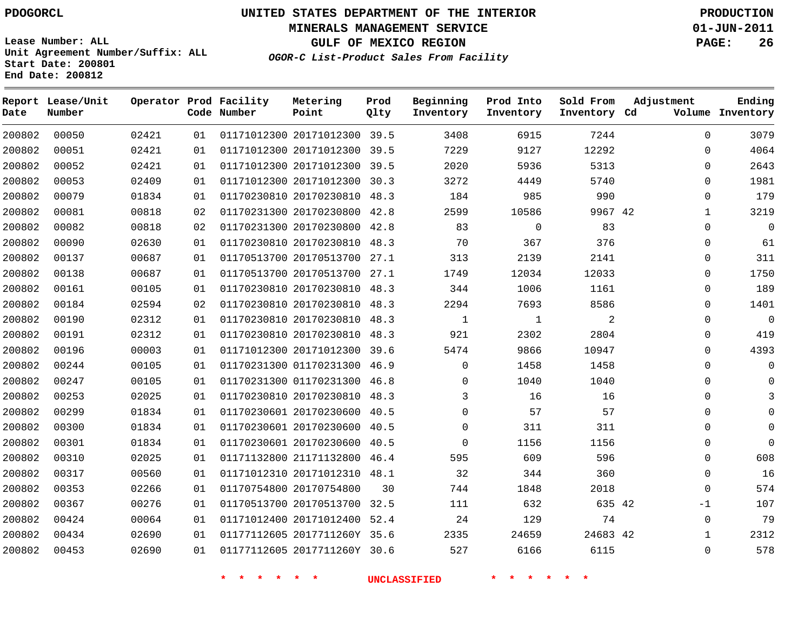**MINERALS MANAGEMENT SERVICE 01-JUN-2011**

**GULF OF MEXICO REGION PAGE: 26**

**Lease Number: ALL Unit Agreement Number/Suffix: ALL Start Date: 200801 End Date: 200812**

**OGOR-C List-Product Sales From Facility**

| Date   | Report Lease/Unit<br>Number |       |    | Operator Prod Facility<br>Code Number | Metering<br>Point            | Prod<br>Qlty | Beginning<br>Inventory | Prod Into<br>Inventory | Sold From<br>Inventory Cd | Adjustment   | Ending<br>Volume Inventory |
|--------|-----------------------------|-------|----|---------------------------------------|------------------------------|--------------|------------------------|------------------------|---------------------------|--------------|----------------------------|
| 200802 | 00050                       | 02421 | 01 |                                       | 01171012300 20171012300 39.5 |              | 3408                   | 6915                   | 7244                      | $\Omega$     | 3079                       |
| 200802 | 00051                       | 02421 | 01 |                                       | 01171012300 20171012300 39.5 |              | 7229                   | 9127                   | 12292                     | $\Omega$     | 4064                       |
| 200802 | 00052                       | 02421 | 01 |                                       | 01171012300 20171012300 39.5 |              | 2020                   | 5936                   | 5313                      | $\Omega$     | 2643                       |
| 200802 | 00053                       | 02409 | 01 |                                       | 01171012300 20171012300 30.3 |              | 3272                   | 4449                   | 5740                      | $\Omega$     | 1981                       |
| 200802 | 00079                       | 01834 | 01 |                                       | 01170230810 20170230810 48.3 |              | 184                    | 985                    | 990                       | $\Omega$     | 179                        |
| 200802 | 00081                       | 00818 | 02 |                                       | 01170231300 20170230800 42.8 |              | 2599                   | 10586                  | 9967 42                   | $\mathbf{1}$ | 3219                       |
| 200802 | 00082                       | 00818 | 02 |                                       | 01170231300 20170230800 42.8 |              | 83                     | $\Omega$               | 83                        | $\Omega$     | $\mathbf 0$                |
| 200802 | 00090                       | 02630 | 01 |                                       | 01170230810 20170230810 48.3 |              | 70                     | 367                    | 376                       | 0            | 61                         |
| 200802 | 00137                       | 00687 | 01 |                                       | 01170513700 20170513700 27.1 |              | 313                    | 2139                   | 2141                      | $\Omega$     | 311                        |
| 200802 | 00138                       | 00687 | 01 |                                       | 01170513700 20170513700 27.1 |              | 1749                   | 12034                  | 12033                     | 0            | 1750                       |
| 200802 | 00161                       | 00105 | 01 |                                       | 01170230810 20170230810 48.3 |              | 344                    | 1006                   | 1161                      | 0            | 189                        |
| 200802 | 00184                       | 02594 | 02 |                                       | 01170230810 20170230810 48.3 |              | 2294                   | 7693                   | 8586                      | 0            | 1401                       |
| 200802 | 00190                       | 02312 | 01 |                                       | 01170230810 20170230810 48.3 |              | $\mathbf 1$            | 1                      | 2                         | $\Omega$     | 0                          |
| 200802 | 00191                       | 02312 | 01 |                                       | 01170230810 20170230810 48.3 |              | 921                    | 2302                   | 2804                      | $\Omega$     | 419                        |
| 200802 | 00196                       | 00003 | 01 |                                       | 01171012300 20171012300 39.6 |              | 5474                   | 9866                   | 10947                     | $\Omega$     | 4393                       |
| 200802 | 00244                       | 00105 | 01 |                                       | 01170231300 01170231300 46.9 |              | $\Omega$               | 1458                   | 1458                      | $\Omega$     |                            |
| 200802 | 00247                       | 00105 | 01 |                                       | 01170231300 01170231300 46.8 |              | $\Omega$               | 1040                   | 1040                      | $\Omega$     |                            |
| 200802 | 00253                       | 02025 | 01 |                                       | 01170230810 20170230810 48.3 |              | 3                      | 16                     | 16                        | $\Omega$     |                            |
| 200802 | 00299                       | 01834 | 01 |                                       | 01170230601 20170230600 40.5 |              | $\Omega$               | 57                     | 57                        | $\Omega$     |                            |
| 200802 | 00300                       | 01834 | 01 |                                       | 01170230601 20170230600 40.5 |              | $\Omega$               | 311                    | 311                       | $\Omega$     |                            |
| 200802 | 00301                       | 01834 | 01 |                                       | 01170230601 20170230600 40.5 |              | $\Omega$               | 1156                   | 1156                      | $\Omega$     | U                          |
| 200802 | 00310                       | 02025 | 01 |                                       | 01171132800 21171132800 46.4 |              | 595                    | 609                    | 596                       | $\mathbf 0$  | 608                        |
| 200802 | 00317                       | 00560 | 01 |                                       | 01171012310 20171012310 48.1 |              | 32                     | 344                    | 360                       | 0            | 16                         |
| 200802 | 00353                       | 02266 | 01 |                                       | 01170754800 20170754800      | 30           | 744                    | 1848                   | 2018                      | $\mathbf{0}$ | 574                        |
| 200802 | 00367                       | 00276 | 01 |                                       | 01170513700 20170513700 32.5 |              | 111                    | 632                    | 635 42                    | -1           | 107                        |
| 200802 | 00424                       | 00064 | 01 |                                       | 01171012400 20171012400 52.4 |              | 24                     | 129                    | 74                        | $\mathbf 0$  | 79                         |
| 200802 | 00434                       | 02690 | 01 |                                       | 01177112605 2017711260Y 35.6 |              | 2335                   | 24659                  | 24683 42                  | 1            | 2312                       |
| 200802 | 00453                       | 02690 | 01 |                                       | 01177112605 2017711260Y 30.6 |              | 527                    | 6166                   | 6115                      | $\mathbf{0}$ | 578                        |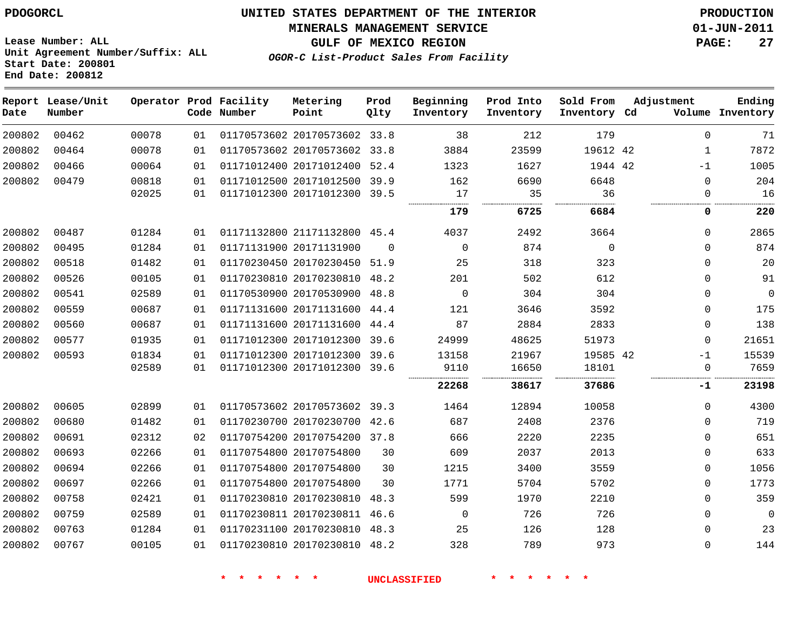**MINERALS MANAGEMENT SERVICE 01-JUN-2011**

**OGOR-C List-Product Sales From Facility**

**GULF OF MEXICO REGION PAGE: 27**

| Date   | Report Lease/Unit<br>Number |       |    | Operator Prod Facility<br>Code Number | Metering<br>Point            | Prod<br>Qlty | Beginning<br>Inventory | Prod Into<br>Inventory | Sold From<br>Inventory Cd | Adjustment  | Ending<br>Volume Inventory |
|--------|-----------------------------|-------|----|---------------------------------------|------------------------------|--------------|------------------------|------------------------|---------------------------|-------------|----------------------------|
| 200802 | 00462                       | 00078 | 01 |                                       | 01170573602 20170573602      | 33.8         | 38                     | 212                    | 179                       | $\Omega$    | 71                         |
| 200802 | 00464                       | 00078 | 01 |                                       | 01170573602 20170573602      | 33.8         | 3884                   | 23599                  | 19612 42                  | 1           | 7872                       |
| 200802 | 00466                       | 00064 | 01 |                                       | 01171012400 20171012400      | 52.4         | 1323                   | 1627                   | 1944 42                   | $-1$        | 1005                       |
| 200802 | 00479                       | 00818 | 01 |                                       | 01171012500 20171012500      | 39.9         | 162                    | 6690                   | 6648                      | $\mathbf 0$ | 204                        |
|        |                             | 02025 | 01 |                                       | 01171012300 20171012300      | 39.5         | 17<br>                 | 35                     | 36<br>.                   | $\Omega$    | 16                         |
|        |                             |       |    |                                       |                              |              | .<br>179               | 6725                   | 6684                      | 0           | 220                        |
| 200802 | 00487                       | 01284 | 01 |                                       | 01171132800 21171132800 45.4 |              | 4037                   | 2492                   | 3664                      | $\Omega$    | 2865                       |
| 200802 | 00495                       | 01284 | 01 |                                       | 01171131900 20171131900      | $\Omega$     | $\mathbf 0$            | 874                    | $\mathbf 0$               | $\Omega$    | 874                        |
| 200802 | 00518                       | 01482 | 01 |                                       | 01170230450 20170230450      | 51.9         | 25                     | 318                    | 323                       | $\mathbf 0$ | 20                         |
| 200802 | 00526                       | 00105 | 01 |                                       | 01170230810 20170230810      | 48.2         | 201                    | 502                    | 612                       | $\mathbf 0$ | 91                         |
| 200802 | 00541                       | 02589 | 01 |                                       | 01170530900 20170530900      | 48.8         | $\mathsf 0$            | 304                    | 304                       | 0           | $\mathsf 0$                |
| 200802 | 00559                       | 00687 | 01 |                                       | 01171131600 20171131600      | 44.4         | 121                    | 3646                   | 3592                      | $\Omega$    | 175                        |
| 200802 | 00560                       | 00687 | 01 |                                       | 01171131600 20171131600      | 44.4         | 87                     | 2884                   | 2833                      | $\mathbf 0$ | 138                        |
| 200802 | 00577                       | 01935 | 01 |                                       | 01171012300 20171012300      | 39.6         | 24999                  | 48625                  | 51973                     | $\Omega$    | 21651                      |
| 200802 | 00593                       | 01834 | 01 |                                       | 01171012300 20171012300      | 39.6         | 13158                  | 21967                  | 19585 42                  | $-1$        | 15539                      |
|        |                             | 02589 | 01 |                                       | 01171012300 20171012300      | 39.6         | 9110                   | 16650                  | 18101<br>.                | $\mathbf 0$ | 7659                       |
|        |                             |       |    |                                       |                              |              | 22268                  | 38617                  | 37686                     | -1          | 23198                      |
| 200802 | 00605                       | 02899 | 01 |                                       | 01170573602 20170573602      | 39.3         | 1464                   | 12894                  | 10058                     | $\mathbf 0$ | 4300                       |
| 200802 | 00680                       | 01482 | 01 |                                       | 01170230700 20170230700 42.6 |              | 687                    | 2408                   | 2376                      | $\mathbf 0$ | 719                        |
| 200802 | 00691                       | 02312 | 02 |                                       | 01170754200 20170754200 37.8 |              | 666                    | 2220                   | 2235                      | $\Omega$    | 651                        |
| 200802 | 00693                       | 02266 | 01 |                                       | 01170754800 20170754800      | 30           | 609                    | 2037                   | 2013                      | $\Omega$    | 633                        |
| 200802 | 00694                       | 02266 | 01 |                                       | 01170754800 20170754800      | 30           | 1215                   | 3400                   | 3559                      | $\Omega$    | 1056                       |
| 200802 | 00697                       | 02266 | 01 |                                       | 01170754800 20170754800      | 30           | 1771                   | 5704                   | 5702                      | 0           | 1773                       |
| 200802 | 00758                       | 02421 | 01 |                                       | 01170230810 20170230810      | 48.3         | 599                    | 1970                   | 2210                      | $\mathbf 0$ | 359                        |
| 200802 | 00759                       | 02589 | 01 |                                       | 01170230811 20170230811      | 46.6         | $\mathbf 0$            | 726                    | 726                       | 0           | $\mathbf 0$                |
| 200802 | 00763                       | 01284 | 01 |                                       | 01170231100 20170230810      | 48.3         | 25                     | 126                    | 128                       | $\mathbf 0$ | 23                         |
| 200802 | 00767                       | 00105 | 01 |                                       | 01170230810 20170230810      | 48.2         | 328                    | 789                    | 973                       | $\Omega$    | 144                        |

**Lease Number: ALL Unit Agreement Number/Suffix: ALL Start Date: 200801 End Date: 200812**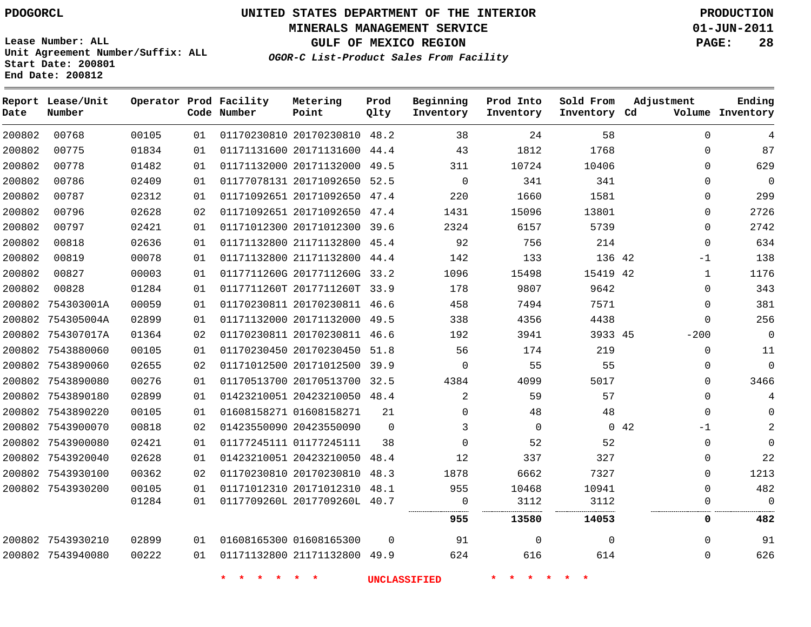# **UNITED STATES DEPARTMENT OF THE INTERIOR PDOGORCL PRODUCTION**

**MINERALS MANAGEMENT SERVICE 01-JUN-2011**

**GULF OF MEXICO REGION PAGE: 28**

**Unit Agreement Number/Suffix: ALL Start Date: 200801 End Date: 200812**

**OGOR-C List-Product Sales From Facility**

| Date   | Report Lease/Unit<br>Number |       |    | Operator Prod Facility<br>Code Number | Metering<br>Point            | Prod<br>Qlty | Beginning<br>Inventory | Prod Into<br>Inventory | Sold From<br>Inventory Cd | Adjustment   | Ending<br>Volume Inventory |
|--------|-----------------------------|-------|----|---------------------------------------|------------------------------|--------------|------------------------|------------------------|---------------------------|--------------|----------------------------|
| 200802 | 00768                       | 00105 | 01 |                                       | 01170230810 20170230810 48.2 |              | 38                     | 24                     | 58                        | $\mathbf 0$  | 4                          |
| 200802 | 00775                       | 01834 | 01 |                                       | 01171131600 20171131600      | 44.4         | 43                     | 1812                   | 1768                      | $\Omega$     | 87                         |
| 200802 | 00778                       | 01482 | 01 |                                       | 01171132000 20171132000 49.5 |              | 311                    | 10724                  | 10406                     | 0            | 629                        |
| 200802 | 00786                       | 02409 | 01 |                                       | 01177078131 20171092650 52.5 |              | $\Omega$               | 341                    | 341                       | $\Omega$     | $\mathbf 0$                |
| 200802 | 00787                       | 02312 | 01 |                                       | 01171092651 20171092650      | 47.4         | 220                    | 1660                   | 1581                      | $\mathbf{0}$ | 299                        |
| 200802 | 00796                       | 02628 | 02 |                                       | 01171092651 20171092650 47.4 |              | 1431                   | 15096                  | 13801                     | $\Omega$     | 2726                       |
| 200802 | 00797                       | 02421 | 01 |                                       | 01171012300 20171012300 39.6 |              | 2324                   | 6157                   | 5739                      | $\Omega$     | 2742                       |
| 200802 | 00818                       | 02636 | 01 |                                       | 01171132800 21171132800 45.4 |              | 92                     | 756                    | 214                       | $\mathbf 0$  | 634                        |
| 200802 | 00819                       | 00078 | 01 |                                       | 01171132800 21171132800 44.4 |              | 142                    | 133                    | 136 42                    | -1           | 138                        |
| 200802 | 00827                       | 00003 | 01 |                                       | 0117711260G 2017711260G 33.2 |              | 1096                   | 15498                  | 15419 42                  | 1            | 1176                       |
| 200802 | 00828                       | 01284 | 01 |                                       | 0117711260T 2017711260T 33.9 |              | 178                    | 9807                   | 9642                      | $\Omega$     | 343                        |
|        | 200802 754303001A           | 00059 | 01 |                                       | 01170230811 20170230811 46.6 |              | 458                    | 7494                   | 7571                      | $\Omega$     | 381                        |
|        | 200802 754305004A           | 02899 | 01 |                                       | 01171132000 20171132000 49.5 |              | 338                    | 4356                   | 4438                      | $\Omega$     | 256                        |
|        | 200802 754307017A           | 01364 | 02 |                                       | 01170230811 20170230811 46.6 |              | 192                    | 3941                   | 3933 45                   | $-200$       | 0                          |
|        | 200802 7543880060           | 00105 | 01 |                                       | 01170230450 20170230450 51.8 |              | 56                     | 174                    | 219                       | $\mathbf 0$  | 11                         |
|        | 200802 7543890060           | 02655 | 02 |                                       | 01171012500 20171012500 39.9 |              | $\mathbf 0$            | 55                     | 55                        | 0            | $\mathbf 0$                |
|        | 200802 7543890080           | 00276 | 01 |                                       | 01170513700 20170513700 32.5 |              | 4384                   | 4099                   | 5017                      | $\Omega$     | 3466                       |
|        | 200802 7543890180           | 02899 | 01 |                                       | 01423210051 20423210050 48.4 |              | $\overline{2}$         | 59                     | 57                        | $\Omega$     | 4                          |
|        | 200802 7543890220           | 00105 | 01 |                                       | 01608158271 01608158271      | 21           | $\mathbf 0$            | 48                     | 48                        | $\mathbf 0$  |                            |
|        | 200802 7543900070           | 00818 | 02 |                                       | 01423550090 20423550090      | $\Omega$     | 3                      | $\mathbf 0$            |                           | 0.42<br>$-1$ |                            |
|        | 200802 7543900080           | 02421 | 01 |                                       | 01177245111 01177245111      | 38           | $\Omega$               | 52                     | 52                        | 0            | U                          |
|        | 200802 7543920040           | 02628 | 01 |                                       | 01423210051 20423210050      | 48.4         | 12                     | 337                    | 327                       | $\Omega$     | 22                         |
|        | 200802 7543930100           | 00362 | 02 |                                       | 01170230810 20170230810      | 48.3         | 1878                   | 6662                   | 7327                      | $\Omega$     | 1213                       |
|        | 200802 7543930200           | 00105 | 01 |                                       | 01171012310 20171012310 48.1 |              | 955                    | 10468                  | 10941                     | $\Omega$     | 482                        |
|        |                             | 01284 | 01 |                                       | 0117709260L 2017709260L 40.7 |              | $\mathbf 0$            | 3112                   | 3112                      | $\Omega$     | $\Omega$                   |
|        |                             |       |    |                                       |                              |              | 955                    | 13580                  | 14053                     | 0            | 482                        |
|        | 200802 7543930210           | 02899 | 01 |                                       | 01608165300 01608165300      | $\Omega$     | 91                     | $\mathbf 0$            | $\Omega$                  | $\Omega$     | 91                         |
|        | 200802 7543940080           | 00222 | 01 |                                       | 01171132800 21171132800 49.9 |              | 624                    | 616                    | 614                       | $\mathbf 0$  | 626                        |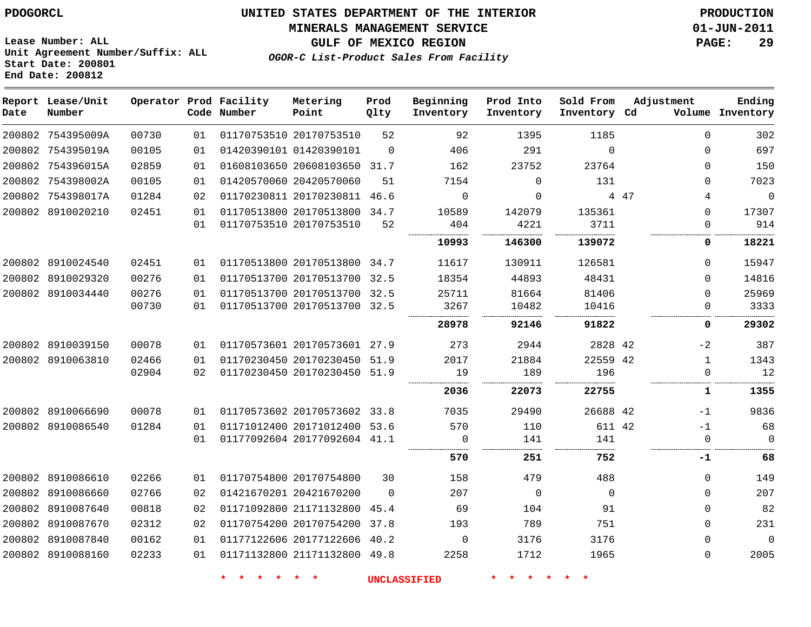#### **MINERALS MANAGEMENT SERVICE 01-JUN-2011**

**GULF OF MEXICO REGION PAGE: 29**

**Lease Number: ALL Unit Agreement Number/Suffix: ALL Start Date: 200801 End Date: 200812**

**OGOR-C List-Product Sales From Facility**

| Date | Report Lease/Unit<br>Number |       |    | Operator Prod Facility<br>Code Number | Metering<br>Point            | Prod<br>Qlty | Beginning<br>Inventory | Prod Into<br>Inventory | Sold From<br>Inventory | Adjustment<br>Cd | Ending<br>Volume Inventory |
|------|-----------------------------|-------|----|---------------------------------------|------------------------------|--------------|------------------------|------------------------|------------------------|------------------|----------------------------|
|      | 200802 754395009A           | 00730 | 01 |                                       | 01170753510 20170753510      | 52           | 92                     | 1395                   | 1185                   | $\Omega$         | 302                        |
|      | 200802 754395019A           | 00105 | 01 |                                       | 01420390101 01420390101      | $\Omega$     | 406                    | 291                    | $\Omega$               | $\Omega$         | 697                        |
|      | 200802 754396015A           | 02859 | 01 |                                       | 01608103650 20608103650 31.7 |              | 162                    | 23752                  | 23764                  | $\mathbf 0$      | 150                        |
|      | 200802 754398002A           | 00105 | 01 |                                       | 01420570060 20420570060      | 51           | 7154                   | $\Omega$               | 131                    | $\Omega$         | 7023                       |
|      | 200802 754398017A           | 01284 | 02 |                                       | 01170230811 20170230811 46.6 |              | $\mathbf 0$            | $\mathbf 0$            |                        | 4 47<br>4        | $\mathbf 0$                |
|      | 200802 8910020210           | 02451 | 01 |                                       | 01170513800 20170513800 34.7 |              | 10589                  | 142079                 | 135361                 | $\mathbf 0$      | 17307                      |
|      |                             |       | 01 |                                       | 01170753510 20170753510      | 52           | 404                    | 4221                   | 3711                   | $\mathbf{0}$     | 914                        |
|      |                             |       |    |                                       |                              |              | 10993                  | 146300                 | 139072                 | 0                | 18221                      |
|      | 200802 8910024540           | 02451 | 01 |                                       | 01170513800 20170513800 34.7 |              | 11617                  | 130911                 | 126581                 | $\mathbf 0$      | 15947                      |
|      | 200802 8910029320           | 00276 | 01 |                                       | 01170513700 20170513700 32.5 |              | 18354                  | 44893                  | 48431                  | $\Omega$         | 14816                      |
|      | 200802 8910034440           | 00276 | 01 |                                       | 01170513700 20170513700 32.5 |              | 25711                  | 81664                  | 81406                  | $\Omega$         | 25969                      |
|      |                             | 00730 | 01 |                                       | 01170513700 20170513700 32.5 |              | 3267                   | 10482                  | 10416                  | $\mathbf 0$      | 3333                       |
|      |                             |       |    |                                       |                              |              | 28978                  | 92146                  | 91822                  | 0                | 29302                      |
|      | 200802 8910039150           | 00078 | 01 |                                       | 01170573601 20170573601 27.9 |              | 273                    | 2944                   | 2828 42                | $-2$             | 387                        |
|      | 200802 8910063810           | 02466 | 01 |                                       | 01170230450 20170230450      | 51.9         | 2017                   | 21884                  | 22559 42               | $\mathbf{1}$     | 1343                       |
|      |                             | 02904 | 02 |                                       | 01170230450 20170230450 51.9 |              | 19                     | 189                    | 196                    | $\mathbf 0$      | 12                         |
|      |                             |       |    |                                       |                              |              | 2036                   | 22073                  | 22755                  | 1                | 1355                       |
|      | 200802 8910066690           | 00078 | 01 |                                       | 01170573602 20170573602 33.8 |              | 7035                   | 29490                  | 26688 42               | $-1$             | 9836                       |
|      | 200802 8910086540           | 01284 | 01 |                                       | 01171012400 20171012400 53.6 |              | 570                    | 110                    | 611 42                 | $-1$             | 68                         |
|      |                             |       | 01 |                                       | 01177092604 20177092604 41.1 |              | $\Omega$               | 141                    | 141                    | $\Omega$         | $\Omega$                   |
|      |                             |       |    |                                       |                              |              | 570                    | 251                    | 752                    | -1               | 68                         |
|      | 200802 8910086610           | 02266 | 01 |                                       | 01170754800 20170754800      | 30           | 158                    | 479                    | 488                    | $\Omega$         | 149                        |
|      | 200802 8910086660           | 02766 | 02 |                                       | 01421670201 20421670200      | $\Omega$     | 207                    | $\mathbf 0$            | $\Omega$               | $\Omega$         | 207                        |
|      | 200802 8910087640           | 00818 | 02 |                                       | 01171092800 21171132800      | 45.4         | 69                     | 104                    | 91                     | $\Omega$         | 82                         |
|      | 200802 8910087670           | 02312 | 02 |                                       | 01170754200 20170754200      | 37.8         | 193                    | 789                    | 751                    | $\Omega$         | 231                        |
|      | 200802 8910087840           | 00162 | 01 |                                       | 01177122606 20177122606 40.2 |              | 0                      | 3176                   | 3176                   | $\Omega$         | $\overline{0}$             |
|      | 200802 8910088160           | 02233 | 01 |                                       | 01171132800 21171132800 49.8 |              | 2258                   | 1712                   | 1965                   | $\Omega$         | 2005                       |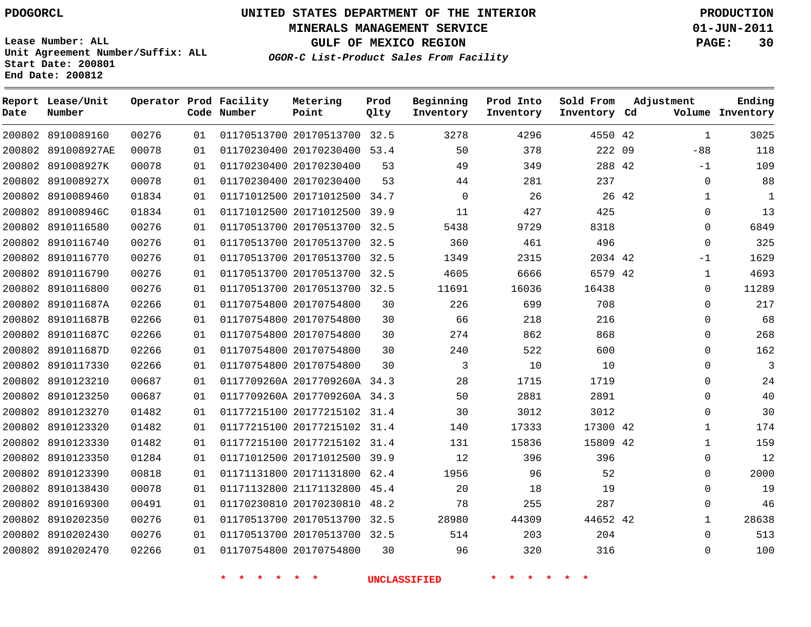**Start Date: 200801 End Date: 200812**

**Unit Agreement Number/Suffix: ALL**

# **UNITED STATES DEPARTMENT OF THE INTERIOR PDOGORCL PRODUCTION**

**MINERALS MANAGEMENT SERVICE 01-JUN-2011**

**GULF OF MEXICO REGION PAGE: 30**

**OGOR-C List-Product Sales From Facility**

| Date   | Report Lease/Unit<br>Number |       |    | Operator Prod Facility<br>Code Number | Metering<br>Point            | Prod<br>Qlty | Beginning<br>Inventory | Prod Into<br>Inventory | Sold From<br>Inventory Cd | Adjustment   | Ending<br>Volume Inventory |
|--------|-----------------------------|-------|----|---------------------------------------|------------------------------|--------------|------------------------|------------------------|---------------------------|--------------|----------------------------|
|        | 200802 8910089160           | 00276 | 01 |                                       | 01170513700 20170513700 32.5 |              | 3278                   | 4296                   | 4550 42                   | $\mathbf{1}$ | 3025                       |
|        | 200802 891008927AE          | 00078 | 01 |                                       | 01170230400 20170230400 53.4 |              | 50                     | 378                    | 222 09                    | $-88$        | 118                        |
| 200802 | 891008927K                  | 00078 | 01 |                                       | 01170230400 20170230400      | 53           | 49                     | 349                    | 288 42                    | $-1$         | 109                        |
| 200802 | 891008927X                  | 00078 | 01 |                                       | 01170230400 20170230400      | 53           | 44                     | 281                    | 237                       | $\Omega$     | 88                         |
| 200802 | 8910089460                  | 01834 | 01 |                                       | 01171012500 20171012500      | 34.7         | $\mathbf 0$            | 26                     | 26 42                     | 1            | 1                          |
| 200802 | 891008946C                  | 01834 | 01 |                                       | 01171012500 20171012500      | 39.9         | 11                     | 427                    | 425                       | $\Omega$     | 13                         |
| 200802 | 8910116580                  | 00276 | 01 |                                       | 01170513700 20170513700      | 32.5         | 5438                   | 9729                   | 8318                      | $\Omega$     | 6849                       |
| 200802 | 8910116740                  | 00276 | 01 |                                       | 01170513700 20170513700      | 32.5         | 360                    | 461                    | 496                       | $\Omega$     | 325                        |
|        | 200802 8910116770           | 00276 | 01 |                                       | 01170513700 20170513700 32.5 |              | 1349                   | 2315                   | 2034 42                   | $-1$         | 1629                       |
| 200802 | 8910116790                  | 00276 | 01 |                                       | 01170513700 20170513700      | 32.5         | 4605                   | 6666                   | 6579 42                   | 1            | 4693                       |
|        | 200802 8910116800           | 00276 | 01 |                                       | 01170513700 20170513700 32.5 |              | 11691                  | 16036                  | 16438                     | $\Omega$     | 11289                      |
| 200802 | 891011687A                  | 02266 | 01 |                                       | 01170754800 20170754800      | 30           | 226                    | 699                    | 708                       | $\mathbf 0$  | 217                        |
| 200802 | 891011687B                  | 02266 | 01 |                                       | 01170754800 20170754800      | 30           | 66                     | 218                    | 216                       | $\Omega$     | 68                         |
| 200802 | 891011687C                  | 02266 | 01 |                                       | 01170754800 20170754800      | 30           | 274                    | 862                    | 868                       | $\Omega$     | 268                        |
| 200802 | 891011687D                  | 02266 | 01 |                                       | 01170754800 20170754800      | 30           | 240                    | 522                    | 600                       | $\Omega$     | 162                        |
| 200802 | 8910117330                  | 02266 | 01 |                                       | 01170754800 20170754800      | 30           | 3                      | 10                     | 10                        | $\Omega$     | $\overline{3}$             |
| 200802 | 8910123210                  | 00687 | 01 |                                       | 0117709260A 2017709260A 34.3 |              | 28                     | 1715                   | 1719                      | $\Omega$     | 24                         |
|        | 200802 8910123250           | 00687 | 01 |                                       | 0117709260A 2017709260A 34.3 |              | 50                     | 2881                   | 2891                      | $\Omega$     | 40                         |
| 200802 | 8910123270                  | 01482 | 01 |                                       | 01177215100 20177215102      | 31.4         | 30                     | 3012                   | 3012                      | $\Omega$     | 30                         |
|        | 200802 8910123320           | 01482 | 01 |                                       | 01177215100 20177215102 31.4 |              | 140                    | 17333                  | 17300 42                  | 1            | 174                        |
| 200802 | 8910123330                  | 01482 | 01 |                                       | 01177215100 20177215102      | 31.4         | 131                    | 15836                  | 15809 42                  | 1            | 159                        |
|        | 200802 8910123350           | 01284 | 01 |                                       | 01171012500 20171012500 39.9 |              | 12                     | 396                    | 396                       | $\Omega$     | 12                         |
| 200802 | 8910123390                  | 00818 | 01 |                                       | 01171131800 20171131800      | 62.4         | 1956                   | 96                     | 52                        | $\Omega$     | 2000                       |
| 200802 | 8910138430                  | 00078 | 01 |                                       | 01171132800 21171132800      | 45.4         | 20                     | 18                     | 19                        | $\Omega$     | 19                         |
| 200802 | 8910169300                  | 00491 | 01 |                                       | 01170230810 20170230810      | 48.2         | 78                     | 255                    | 287                       | $\Omega$     | 46                         |
| 200802 | 8910202350                  | 00276 | 01 |                                       | 01170513700 20170513700      | 32.5         | 28980                  | 44309                  | 44652 42                  | 1            | 28638                      |
| 200802 | 8910202430                  | 00276 | 01 |                                       | 01170513700 20170513700 32.5 |              | 514                    | 203                    | 204                       | $\Omega$     | 513                        |
|        | 200802 8910202470           | 02266 | 01 |                                       | 01170754800 20170754800      | 30           | 96                     | 320                    | 316                       | $\Omega$     | 100                        |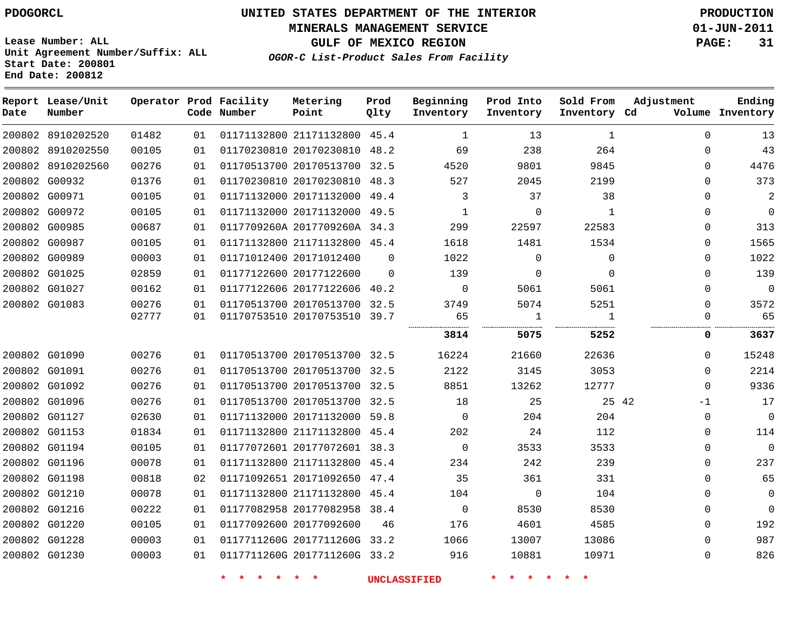**MINERALS MANAGEMENT SERVICE 01-JUN-2011**

**GULF OF MEXICO REGION PAGE: 31**

**Lease Number: ALL Unit Agreement Number/Suffix: ALL Start Date: 200801 End Date: 200812**

**Report Lease/Unit Operator Prod Facility Metering**

**OGOR-C List-Product Sales From Facility**

**Prod**

**Ending**

| Date          | Number            |       |    | Code Number | Point                        | Qlty     | Inventory      | Inventory      | Inventory Cd |             | Volume Inventory    |
|---------------|-------------------|-------|----|-------------|------------------------------|----------|----------------|----------------|--------------|-------------|---------------------|
|               | 200802 8910202520 | 01482 | 01 |             | 01171132800 21171132800 45.4 |          | 1              | 13             | 1            | $\Omega$    | 13                  |
|               | 200802 8910202550 | 00105 | 01 |             | 01170230810 20170230810 48.2 |          | 69             | 238            | 264          | $\Omega$    | 43                  |
|               | 200802 8910202560 | 00276 | 01 |             | 01170513700 20170513700 32.5 |          | 4520           | 9801           | 9845         | $\Omega$    | 4476                |
|               | 200802 G00932     | 01376 | 01 |             | 01170230810 20170230810 48.3 |          | 527            | 2045           | 2199         | $\Omega$    | 373                 |
|               | 200802 G00971     | 00105 | 01 |             | 01171132000 20171132000 49.4 |          | 3              | 37             | 38           | $\Omega$    | $\overline{a}$      |
|               | 200802 G00972     | 00105 | 01 |             | 01171132000 20171132000 49.5 |          | $\mathbf{1}$   | $\Omega$       | $\mathbf{1}$ | $\Omega$    | $\mathsf{O}\xspace$ |
|               | 200802 G00985     | 00687 | 01 |             | 0117709260A 2017709260A 34.3 |          | 299            | 22597          | 22583        | $\Omega$    | 313                 |
|               | 200802 G00987     | 00105 | 01 |             | 01171132800 21171132800 45.4 |          | 1618           | 1481           | 1534         | $\Omega$    | 1565                |
|               | 200802 G00989     | 00003 | 01 |             | 01171012400 20171012400      | $\Omega$ | 1022           | $\Omega$       | $\Omega$     | $\Omega$    | 1022                |
|               | 200802 G01025     | 02859 | 01 |             | 01177122600 20177122600      | $\Omega$ | 139            | $\mathbf{0}$   | $\Omega$     | $\Omega$    | 139                 |
|               | 200802 G01027     | 00162 | 01 |             | 01177122606 20177122606 40.2 |          | 0              | 5061           | 5061         | $\Omega$    | $\mathsf 0$         |
|               | 200802 G01083     | 00276 | 01 |             | 01170513700 20170513700 32.5 |          | 3749           | 5074           | 5251         | $\Omega$    | 3572                |
|               |                   | 02777 | 01 |             | 01170753510 20170753510 39.7 |          | 65             | $\mathbf{1}$   | 1            | $\mathbf 0$ | 65                  |
|               |                   |       |    |             |                              |          | 3814           | 5075           | 5252         | 0           | 3637                |
|               | 200802 G01090     | 00276 | 01 |             | 01170513700 20170513700 32.5 |          | 16224          | 21660          | 22636        | $\Omega$    | 15248               |
|               | 200802 G01091     | 00276 | 01 |             | 01170513700 20170513700 32.5 |          | 2122           | 3145           | 3053         | $\Omega$    | 2214                |
|               | 200802 G01092     | 00276 | 01 |             | 01170513700 20170513700 32.5 |          | 8851           | 13262          | 12777        | $\Omega$    | 9336                |
|               | 200802 G01096     | 00276 | 01 |             | 01170513700 20170513700 32.5 |          | 18             | 25             | 25 42        | $-1$        | 17                  |
| 200802 G01127 |                   | 02630 | 01 |             | 01171132000 20171132000 59.8 |          | $\overline{0}$ | 204            | 204          | $\mathbf 0$ | $\mathsf 0$         |
|               | 200802 G01153     | 01834 | 01 |             | 01171132800 21171132800 45.4 |          | 202            | 24             | 112          | $\Omega$    | 114                 |
|               | 200802 G01194     | 00105 | 01 |             | 01177072601 20177072601 38.3 |          | $\overline{0}$ | 3533           | 3533         | $\Omega$    | $\mathbf 0$         |
|               | 200802 G01196     | 00078 | 01 |             | 01171132800 21171132800 45.4 |          | 234            | 242            | 239          | $\Omega$    | 237                 |
|               | 200802 G01198     | 00818 | 02 |             | 01171092651 20171092650 47.4 |          | 35             | 361            | 331          | $\Omega$    | 65                  |
|               | 200802 G01210     | 00078 | 01 |             | 01171132800 21171132800 45.4 |          | 104            | $\overline{0}$ | 104          | $\Omega$    | $\mathbf 0$         |
|               | 200802 G01216     | 00222 | 01 |             | 01177082958 20177082958 38.4 |          | $\overline{0}$ | 8530           | 8530         | $\Omega$    | $\mathbf 0$         |
|               | 200802 G01220     | 00105 | 01 |             | 01177092600 20177092600      | 46       | 176            | 4601           | 4585         | $\Omega$    | 192                 |
|               | 200802 G01228     | 00003 | 01 |             | 0117711260G 2017711260G 33.2 |          | 1066           | 13007          | 13086        | $\Omega$    | 987                 |
|               | 200802 G01230     | 00003 | 01 |             | 0117711260G 2017711260G 33.2 |          | 916            | 10881          | 10971        | $\Omega$    | 826                 |

**\* \* \* \* \* \* UNCLASSIFIED \* \* \* \* \* \***

**Beginning Prod Into Sold From Adjustment**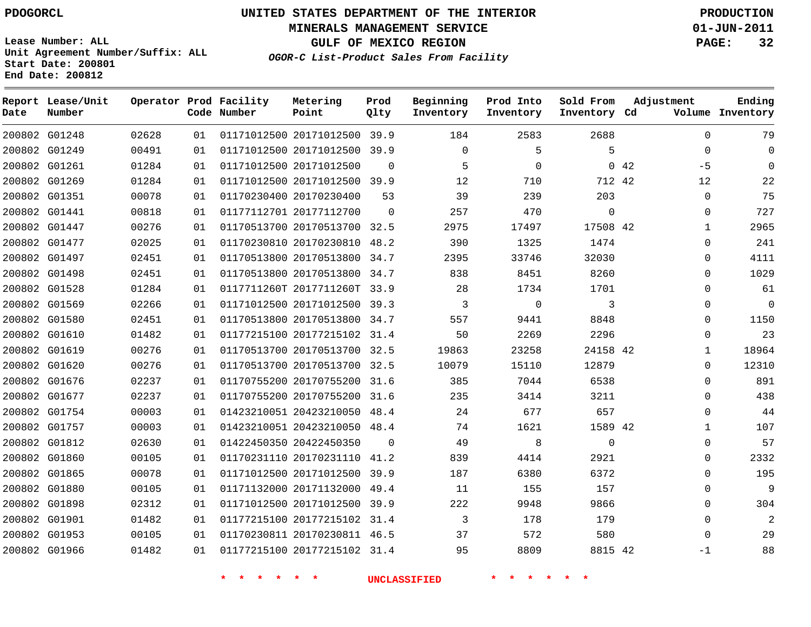# **UNITED STATES DEPARTMENT OF THE INTERIOR PDOGORCL PRODUCTION**

**MINERALS MANAGEMENT SERVICE 01-JUN-2011**

**GULF OF MEXICO REGION PAGE: 32**

**Unit Agreement Number/Suffix: ALL Start Date: 200801 End Date: 200812**

**OGOR-C List-Product Sales From Facility**

| Date | Report Lease/Unit<br>Number |       |    | Operator Prod Facility<br>Code Number | Metering<br>Point            | Prod<br>Qlty | Beginning<br>Inventory | Prod Into<br>Inventory | Sold From<br>Inventory Cd | Adjustment   | Ending<br>Volume Inventory     |
|------|-----------------------------|-------|----|---------------------------------------|------------------------------|--------------|------------------------|------------------------|---------------------------|--------------|--------------------------------|
|      | 200802 G01248               | 02628 | 01 |                                       | 01171012500 20171012500 39.9 |              | 184                    | 2583                   | 2688                      |              | $\Omega$<br>79                 |
|      | 200802 G01249               | 00491 | 01 |                                       | 01171012500 20171012500      | 39.9         | $\mathbf 0$            | 5                      | 5                         |              | $\mathbf 0$<br>$\mathbf 0$     |
|      | 200802 G01261               | 01284 | 01 |                                       | 01171012500 20171012500      | $\Omega$     | 5                      | $\mathbf 0$            |                           | 0.42<br>$-5$ | $\Omega$                       |
|      | 200802 G01269               | 01284 | 01 |                                       | 01171012500 20171012500 39.9 |              | 12                     | 710                    | 712 42                    | 12           | 22                             |
|      | 200802 G01351               | 00078 | 01 |                                       | 01170230400 20170230400      | 53           | 39                     | 239                    | 203                       |              | 75<br>$\mathbf{0}$             |
|      | 200802 G01441               | 00818 | 01 |                                       | 01177112701 20177112700      | $\mathbf 0$  | 257                    | 470                    | $\mathbf 0$               |              | 727<br>$\mathbf{0}$            |
|      | 200802 G01447               | 00276 | 01 |                                       | 01170513700 20170513700 32.5 |              | 2975                   | 17497                  | 17508 42                  |              | 2965<br>$\mathbf{1}$           |
|      | 200802 G01477               | 02025 | 01 |                                       | 01170230810 20170230810 48.2 |              | 390                    | 1325                   | 1474                      |              | 241<br>$\mathbf{0}$            |
|      | 200802 G01497               | 02451 | 01 |                                       | 01170513800 20170513800      | 34.7         | 2395                   | 33746                  | 32030                     |              | $\mathbf{0}$<br>4111           |
|      | 200802 G01498               | 02451 | 01 |                                       | 01170513800 20170513800 34.7 |              | 838                    | 8451                   | 8260                      |              | 1029<br>$\mathbf 0$            |
|      | 200802 G01528               | 01284 | 01 |                                       | 0117711260T 2017711260T      | 33.9         | 28                     | 1734                   | 1701                      |              | 61<br>0                        |
|      | 200802 G01569               | 02266 | 01 |                                       | 01171012500 20171012500 39.3 |              | 3                      | $\mathbf 0$            | 3                         |              | $\mathbf 0$<br>$\mathbf{0}$    |
|      | 200802 G01580               | 02451 | 01 |                                       | 01170513800 20170513800      | 34.7         | 557                    | 9441                   | 8848                      |              | 1150<br>$\Omega$               |
|      | 200802 G01610               | 01482 | 01 |                                       | 01177215100 20177215102 31.4 |              | 50                     | 2269                   | 2296                      |              | 23<br>$\Omega$                 |
|      | 200802 G01619               | 00276 | 01 |                                       | 01170513700 20170513700      | 32.5         | 19863                  | 23258                  | 24158 42                  |              | 18964<br>$\mathbf{1}$          |
|      | 200802 G01620               | 00276 | 01 |                                       | 01170513700 20170513700 32.5 |              | 10079                  | 15110                  | 12879                     |              | 12310<br>$\Omega$              |
|      | 200802 G01676               | 02237 | 01 |                                       | 01170755200 20170755200      | 31.6         | 385                    | 7044                   | 6538                      |              | 891<br>$\mathbf{0}$            |
|      | 200802 G01677               | 02237 | 01 |                                       | 01170755200 20170755200 31.6 |              | 235                    | 3414                   | 3211                      |              | 438<br>$\Omega$                |
|      | 200802 G01754               | 00003 | 01 |                                       | 01423210051 20423210050 48.4 |              | 24                     | 677                    | 657                       |              | 44<br>$\Omega$                 |
|      | 200802 G01757               | 00003 | 01 |                                       | 01423210051 20423210050 48.4 |              | 74                     | 1621                   | 1589 42                   |              | 107<br>$\mathbf{1}$            |
|      | 200802 G01812               | 02630 | 01 |                                       | 01422450350 20422450350      | $\Omega$     | 49                     | 8                      | $\mathbf 0$               |              | 57<br>$\mathbf{0}$             |
|      | 200802 G01860               | 00105 | 01 |                                       | 01170231110 20170231110      | 41.2         | 839                    | 4414                   | 2921                      |              | 2332<br>$\Omega$               |
|      | 200802 G01865               | 00078 | 01 |                                       | 01171012500 20171012500      | 39.9         | 187                    | 6380                   | 6372                      |              | 195<br>$\Omega$                |
|      | 200802 G01880               | 00105 | 01 |                                       | 01171132000 20171132000      | 49.4         | 11                     | 155                    | 157                       |              | 9<br>$\Omega$                  |
|      | 200802 G01898               | 02312 | 01 |                                       | 01171012500 20171012500 39.9 |              | 222                    | 9948                   | 9866                      |              | 304<br>$\mathbf{0}$            |
|      | 200802 G01901               | 01482 | 01 |                                       | 01177215100 20177215102 31.4 |              | 3                      | 178                    | 179                       |              | $\overline{2}$<br>$\mathbf{0}$ |
|      | 200802 G01953               | 00105 | 01 |                                       | 01170230811 20170230811 46.5 |              | 37                     | 572                    | 580                       |              | 29<br>$\Omega$                 |
|      | 200802 G01966               | 01482 | 01 |                                       | 01177215100 20177215102 31.4 |              | 95                     | 8809                   | 8815 42                   | $-1$         | 88                             |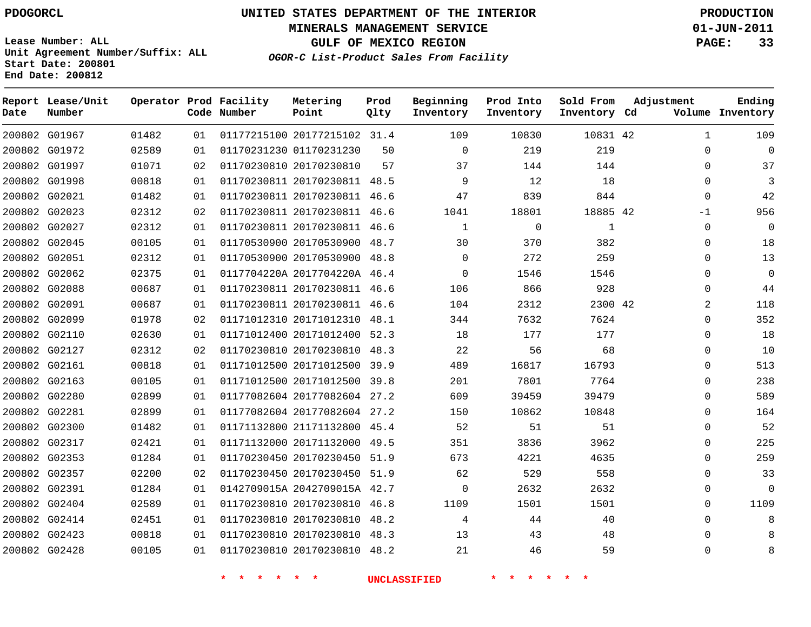# **UNITED STATES DEPARTMENT OF THE INTERIOR PDOGORCL PRODUCTION**

**MINERALS MANAGEMENT SERVICE 01-JUN-2011**

**GULF OF MEXICO REGION PAGE: 33**

**Unit Agreement Number/Suffix: ALL Start Date: 200801 End Date: 200812**

**OGOR-C List-Product Sales From Facility**

| Date   | Report Lease/Unit<br>Number |       |    | Operator Prod Facility<br>Code Number | Metering<br>Point            | Prod<br>Qlty | Beginning<br>Inventory | Prod Into<br>Inventory | Sold From<br>Inventory Cd | Adjustment | Ending<br>Volume Inventory |
|--------|-----------------------------|-------|----|---------------------------------------|------------------------------|--------------|------------------------|------------------------|---------------------------|------------|----------------------------|
|        | 200802 G01967               | 01482 | 01 |                                       | 01177215100 20177215102 31.4 |              | 109                    | 10830                  | 10831 42                  |            | $\mathbf{1}$<br>109        |
|        | 200802 G01972               | 02589 | 01 |                                       | 01170231230 01170231230      | 50           | $\mathbf 0$            | 219                    | 219                       |            | $\mathbf 0$<br>0           |
|        | 200802 G01997               | 01071 | 02 |                                       | 01170230810 20170230810      | 57           | 37                     | 144                    | 144                       |            | 37<br>$\Omega$             |
|        | 200802 G01998               | 00818 | 01 |                                       | 01170230811 20170230811 48.5 |              | 9                      | 12                     | 18                        |            | 3<br>$\Omega$              |
|        | 200802 G02021               | 01482 | 01 |                                       | 01170230811 20170230811 46.6 |              | 47                     | 839                    | 844                       |            | 42<br>$\mathbf{0}$         |
| 200802 | G02023                      | 02312 | 02 |                                       | 01170230811 20170230811      | 46.6         | 1041                   | 18801                  | 18885 42                  | $-1$       | 956                        |
| 200802 | G02027                      | 02312 | 01 |                                       | 01170230811 20170230811      | 46.6         | $\mathbf{1}$           | $\mathbf 0$            | $\mathbf{1}$              |            | 0<br>0                     |
|        | 200802 G02045               | 00105 | 01 |                                       | 01170530900 20170530900 48.7 |              | 30                     | 370                    | 382                       |            | 18<br>0                    |
|        | 200802 G02051               | 02312 | 01 |                                       | 01170530900 20170530900 48.8 |              | $\mathbf 0$            | 272                    | 259                       |            | 13<br>0                    |
|        | 200802 G02062               | 02375 | 01 |                                       | 0117704220A 2017704220A 46.4 |              | $\Omega$               | 1546                   | 1546                      |            | $\mathbf 0$<br>$\Omega$    |
|        | 200802 G02088               | 00687 | 01 |                                       | 01170230811 20170230811 46.6 |              | 106                    | 866                    | 928                       |            | 44<br>0                    |
|        | 200802 G02091               | 00687 | 01 |                                       | 01170230811 20170230811 46.6 |              | 104                    | 2312                   | 2300 42                   |            | 2<br>118                   |
|        | 200802 G02099               | 01978 | 02 |                                       | 01171012310 20171012310      | 48.1         | 344                    | 7632                   | 7624                      |            | 352<br>0                   |
|        | 200802 G02110               | 02630 | 01 |                                       | 01171012400 20171012400 52.3 |              | 18                     | 177                    | 177                       |            | 18<br>$\mathbf 0$          |
|        | 200802 G02127               | 02312 | 02 |                                       | 01170230810 20170230810      | 48.3         | 22                     | 56                     | 68                        |            | 10<br>$\Omega$             |
|        | 200802 G02161               | 00818 | 01 |                                       | 01171012500 20171012500 39.9 |              | 489                    | 16817                  | 16793                     |            | 513<br>$\Omega$            |
|        | 200802 G02163               | 00105 | 01 |                                       | 01171012500 20171012500 39.8 |              | 201                    | 7801                   | 7764                      |            | 238<br>$\mathbf 0$         |
|        | 200802 G02280               | 02899 | 01 |                                       | 01177082604 20177082604 27.2 |              | 609                    | 39459                  | 39479                     |            | 589<br>$\Omega$            |
|        | 200802 G02281               | 02899 | 01 |                                       | 01177082604 20177082604 27.2 |              | 150                    | 10862                  | 10848                     |            | 164<br>$\Omega$            |
|        | 200802 G02300               | 01482 | 01 |                                       | 01171132800 21171132800 45.4 |              | 52                     | 51                     | 51                        |            | 52<br>$\Omega$             |
|        | 200802 G02317               | 02421 | 01 |                                       | 01171132000 20171132000      | 49.5         | 351                    | 3836                   | 3962                      |            | 225<br>0                   |
|        | 200802 G02353               | 01284 | 01 |                                       | 01170230450 20170230450      | 51.9         | 673                    | 4221                   | 4635                      |            | 259<br>0                   |
|        | 200802 G02357               | 02200 | 02 |                                       | 01170230450 20170230450 51.9 |              | 62                     | 529                    | 558                       |            | 33<br>$\Omega$             |
|        | 200802 G02391               | 01284 | 01 |                                       | 0142709015A 2042709015A 42.7 |              | $\overline{0}$         | 2632                   | 2632                      |            | 0<br>0                     |
|        | 200802 G02404               | 02589 | 01 |                                       | 01170230810 20170230810 46.8 |              | 1109                   | 1501                   | 1501                      |            | 1109<br>0                  |
|        | 200802 G02414               | 02451 | 01 |                                       | 01170230810 20170230810 48.2 |              | 4                      | 44                     | 40                        |            | 0<br>8                     |
|        | 200802 G02423               | 00818 | 01 |                                       | 01170230810 20170230810 48.3 |              | 13                     | 43                     | 48                        |            | $\Omega$<br>8              |
|        | 200802 G02428               | 00105 | 01 |                                       | 01170230810 20170230810 48.2 |              | 21                     | 46                     | 59                        |            | $\Omega$<br>8              |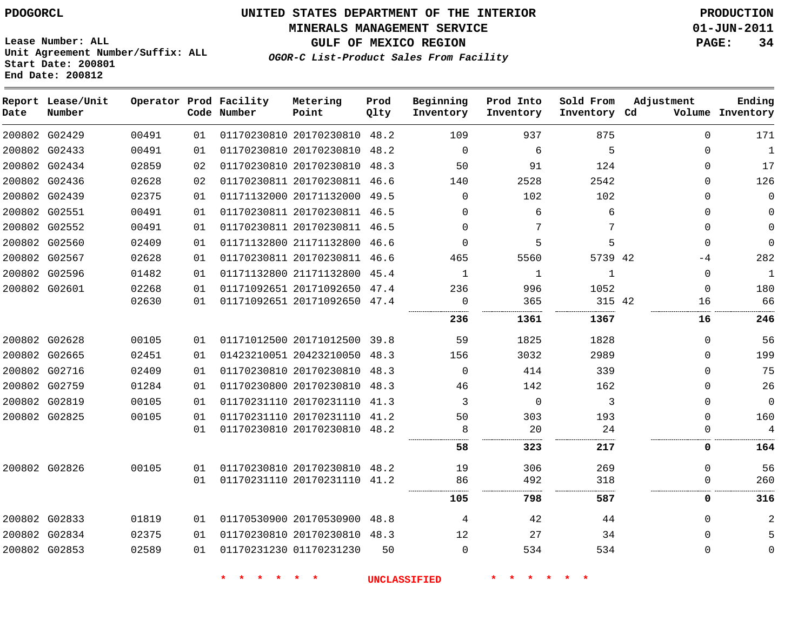**MINERALS MANAGEMENT SERVICE 01-JUN-2011**

**GULF OF MEXICO REGION PAGE: 34**

**Lease Number: ALL Unit Agreement Number/Suffix: ALL Start Date: 200801 End Date: 200812**

**OGOR-C List-Product Sales From Facility**

| Date | Report Lease/Unit<br>Number |       |    | Operator Prod Facility<br>Code Number | Metering<br>Point            | Prod<br>Qlty | Beginning<br>Inventory | Prod Into<br>Inventory | Sold From<br>Inventory Cd | Adjustment  | Ending<br>Volume Inventory |
|------|-----------------------------|-------|----|---------------------------------------|------------------------------|--------------|------------------------|------------------------|---------------------------|-------------|----------------------------|
|      | 200802 G02429               | 00491 | 01 |                                       | 01170230810 20170230810 48.2 |              | 109                    | 937                    | 875                       | $\Omega$    | 171                        |
|      | 200802 G02433               | 00491 | 01 |                                       | 01170230810 20170230810 48.2 |              | $\mathbf 0$            | 6                      | 5                         | 0           | 1                          |
|      | 200802 G02434               | 02859 | 02 |                                       | 01170230810 20170230810 48.3 |              | 50                     | 91                     | 124                       | 0           | 17                         |
|      | 200802 G02436               | 02628 | 02 |                                       | 01170230811 20170230811 46.6 |              | 140                    | 2528                   | 2542                      | $\Omega$    | 126                        |
|      | 200802 G02439               | 02375 | 01 |                                       | 01171132000 20171132000 49.5 |              | $\Omega$               | 102                    | 102                       | 0           | $\mathbf 0$                |
|      | 200802 G02551               | 00491 | 01 |                                       | 01170230811 20170230811 46.5 |              | $\Omega$               | 6                      | 6                         | 0           | $\mathbf 0$                |
|      | 200802 G02552               | 00491 | 01 |                                       | 01170230811 20170230811 46.5 |              | $\Omega$               | 7                      | 7                         | $\Omega$    | $\mathbf 0$                |
|      | 200802 G02560               | 02409 | 01 |                                       | 01171132800 21171132800 46.6 |              | $\Omega$               | 5                      | 5                         | $\Omega$    | $\Omega$                   |
|      | 200802 G02567               | 02628 | 01 |                                       | 01170230811 20170230811 46.6 |              | 465                    | 5560                   | 5739 42                   | -4          | 282                        |
|      | 200802 G02596               | 01482 | 01 |                                       | 01171132800 21171132800 45.4 |              | $\mathbf{1}$           | 1                      | $\mathbf{1}$              | $\mathbf 0$ | $\mathbf{1}$               |
|      | 200802 G02601               | 02268 | 01 |                                       | 01171092651 20171092650 47.4 |              | 236                    | 996                    | 1052                      | $\Omega$    | 180                        |
|      |                             | 02630 | 01 |                                       | 01171092651 20171092650 47.4 |              | 0<br>.                 | 365                    | 315 42                    | 16          | 66                         |
|      |                             |       |    |                                       |                              |              | 236                    | 1361                   | 1367                      | 16          | 246                        |
|      | 200802 G02628               | 00105 | 01 |                                       | 01171012500 20171012500 39.8 |              | 59                     | 1825                   | 1828                      | $\Omega$    | 56                         |
|      | 200802 G02665               | 02451 | 01 |                                       | 01423210051 20423210050      | 48.3         | 156                    | 3032                   | 2989                      | $\Omega$    | 199                        |
|      | 200802 G02716               | 02409 | 01 |                                       | 01170230810 20170230810 48.3 |              | $\Omega$               | 414                    | 339                       | $\Omega$    | 75                         |
|      | 200802 G02759               | 01284 | 01 |                                       | 01170230800 20170230810 48.3 |              | 46                     | 142                    | 162                       | 0           | 26                         |
|      | 200802 G02819               | 00105 | 01 |                                       | 01170231110 20170231110 41.3 |              | 3                      | $\Omega$               | 3                         | $\Omega$    | $\mathbf 0$                |
|      | 200802 G02825               | 00105 | 01 |                                       | 01170231110 20170231110      | 41.2         | 50                     | 303                    | 193                       | $\Omega$    | 160                        |
|      |                             |       | 01 |                                       | 01170230810 20170230810 48.2 |              | 8                      | 20                     | 24                        | 0           | 4                          |
|      |                             |       |    |                                       |                              |              | 58                     | 323                    | 217                       | 0           | 164                        |
|      | 200802 G02826               | 00105 | 01 |                                       | 01170230810 20170230810 48.2 |              | 19                     | 306                    | 269                       | 0           | 56                         |
|      |                             |       | 01 |                                       | 01170231110 20170231110 41.2 |              | 86                     | 492                    | 318                       | $\Omega$    | 260                        |
|      |                             |       |    |                                       |                              |              | 105                    | 798                    | 587                       | 0           | 316                        |
|      | 200802 G02833               | 01819 | 01 |                                       | 01170530900 20170530900      | 48.8         | 4                      | 42                     | 44                        | $\Omega$    | 2                          |
|      | 200802 G02834               | 02375 | 01 |                                       | 01170230810 20170230810 48.3 |              | 12                     | 27                     | 34                        | $\Omega$    | 5                          |
|      | 200802 G02853               | 02589 | 01 |                                       | 01170231230 01170231230      | 50           | $\Omega$               | 534                    | 534                       | $\mathbf 0$ | $\mathbf 0$                |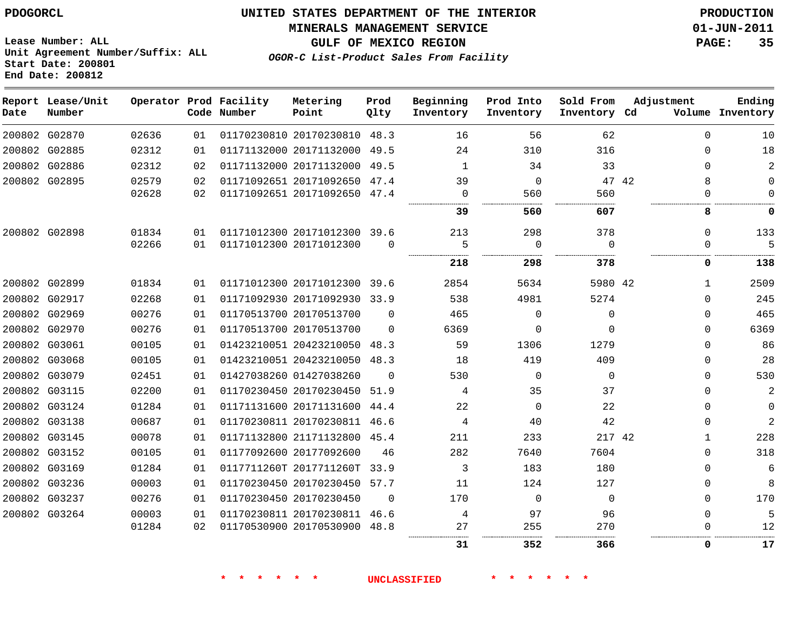**Start Date: 200801 End Date: 200812**

**Unit Agreement Number/Suffix: ALL**

# **UNITED STATES DEPARTMENT OF THE INTERIOR PDOGORCL PRODUCTION**

**MINERALS MANAGEMENT SERVICE 01-JUN-2011**

**GULF OF MEXICO REGION PAGE: 35**

**OGOR-C List-Product Sales From Facility**

| Date          | Report Lease/Unit<br>Number |       |    | Operator Prod Facility<br>Code Number | Metering<br>Point            | Prod<br>Qlty | Beginning<br>Inventory | Prod Into<br>Inventory | Sold From<br>Inventory Cd | Adjustment   | Ending<br>Volume Inventory |
|---------------|-----------------------------|-------|----|---------------------------------------|------------------------------|--------------|------------------------|------------------------|---------------------------|--------------|----------------------------|
|               | 200802 G02870               | 02636 | 01 |                                       | 01170230810 20170230810      | 48.3         | 16                     | 56                     | 62                        | $\Omega$     | 10                         |
|               | 200802 G02885               | 02312 | 01 |                                       | 01171132000 20171132000      | 49.5         | 24                     | 310                    | 316                       | 0            | 18                         |
|               | 200802 G02886               | 02312 | 02 |                                       | 01171132000 20171132000      | 49.5         | 1                      | 34                     | 33                        | $\Omega$     | $\overline{a}$             |
|               | 200802 G02895               | 02579 | 02 |                                       | 01171092651 20171092650      | 47.4         | 39                     | $\mathbf 0$            | 47 42                     | 8            | 0                          |
|               |                             | 02628 | 02 |                                       | 01171092651 20171092650 47.4 |              | 0                      | 560                    | 560                       | 0            | $\Omega$                   |
|               |                             |       |    |                                       |                              |              | 39                     | 560                    | 607                       | 8            | 0                          |
| 200802 G02898 |                             | 01834 | 01 |                                       | 01171012300 20171012300 39.6 |              | 213                    | 298                    | 378                       | $\Omega$     | 133                        |
|               |                             | 02266 | 01 |                                       | 01171012300 20171012300      | $\Omega$     | 5                      | $\Omega$               | $\Omega$                  | 0            | 5                          |
|               |                             |       |    |                                       |                              |              | 218                    | 298                    | 378                       | 0            | 138                        |
|               | 200802 G02899               | 01834 | 01 |                                       | 01171012300 20171012300      | 39.6         | 2854                   | 5634                   | 5980 42                   | $\mathbf{1}$ | 2509                       |
|               | 200802 G02917               | 02268 | 01 |                                       | 01171092930 20171092930      | 33.9         | 538                    | 4981                   | 5274                      | $\Omega$     | 245                        |
|               | 200802 G02969               | 00276 | 01 |                                       | 01170513700 20170513700      | $\Omega$     | 465                    | $\Omega$               | $\Omega$                  | $\Omega$     | 465                        |
|               | 200802 G02970               | 00276 | 01 |                                       | 01170513700 20170513700      | $\Omega$     | 6369                   | $\Omega$               | $\Omega$                  | 0            | 6369                       |
|               | 200802 G03061               | 00105 | 01 |                                       | 01423210051 20423210050      | 48.3         | 59                     | 1306                   | 1279                      | 0            | 86                         |
|               | 200802 G03068               | 00105 | 01 |                                       | 01423210051 20423210050      | 48.3         | 18                     | 419                    | 409                       | $\Omega$     | 28                         |
|               | 200802 G03079               | 02451 | 01 |                                       | 01427038260 01427038260      | $\Omega$     | 530                    | $\Omega$               | $\Omega$                  | $\Omega$     | 530                        |
|               | 200802 G03115               | 02200 | 01 |                                       | 01170230450 20170230450      | 51.9         | 4                      | 35                     | 37                        | $\Omega$     | $\overline{2}$             |
|               | 200802 G03124               | 01284 | 01 |                                       | 01171131600 20171131600      | 44.4         | 22                     | $\Omega$               | 22                        | 0            | $\mathbf 0$                |
|               | 200802 G03138               | 00687 | 01 |                                       | 01170230811 20170230811      | 46.6         | 4                      | 40                     | 42                        | 0            | $\overline{2}$             |
|               | 200802 G03145               | 00078 | 01 |                                       | 01171132800 21171132800      | 45.4         | 211                    | 233                    | 217 42                    | 1            | 228                        |
|               | 200802 G03152               | 00105 | 01 |                                       | 01177092600 20177092600      | 46           | 282                    | 7640                   | 7604                      | $\Omega$     | 318                        |
|               | 200802 G03169               | 01284 | 01 |                                       | 0117711260T 2017711260T      | 33.9         | 3                      | 183                    | 180                       | $\Omega$     | 6                          |
|               | 200802 G03236               | 00003 | 01 |                                       | 01170230450 20170230450      | 57.7         | 11                     | 124                    | 127                       | 0            | 8                          |
|               | 200802 G03237               | 00276 | 01 |                                       | 01170230450 20170230450      | $\Omega$     | 170                    | $\Omega$               | $\Omega$                  | $\Omega$     | 170                        |
|               | 200802 G03264               | 00003 | 01 |                                       | 01170230811 20170230811      | 46.6         | 4                      | 97                     | 96                        | $\Omega$     | 5                          |
|               |                             | 01284 | 02 |                                       | 01170530900 20170530900      | 48.8         | 27                     | 255                    | 270                       | U            | 12                         |
|               |                             |       |    |                                       |                              |              | 31                     | 352                    | 366                       | 0            | 17                         |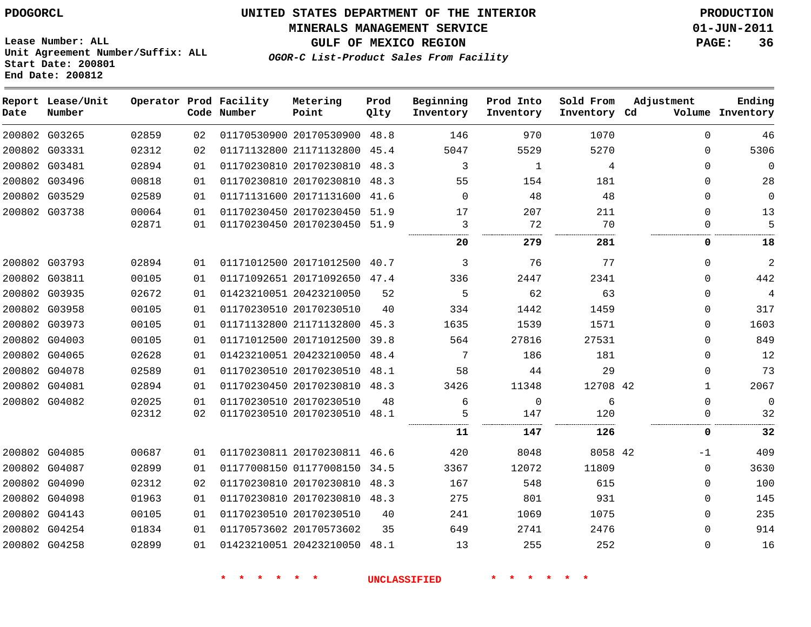**End Date: 200812**

# **UNITED STATES DEPARTMENT OF THE INTERIOR PDOGORCL PRODUCTION**

**MINERALS MANAGEMENT SERVICE 01-JUN-2011**

**Lease Number: ALL Unit Agreement Number/Suffix: ALL Start Date: 200801**

**OGOR-C List-Product Sales From Facility**

**GULF OF MEXICO REGION PAGE: 36**

| Ending<br>Volume Inventory | Adjustment   | Sold From<br>Inventory Cd | Prod Into<br>Inventory | Beginning<br>Inventory | Prod<br>Qlty | Metering<br>Point            | Operator Prod Facility<br>Code Number |    |       | Report Lease/Unit<br>Number | Date |
|----------------------------|--------------|---------------------------|------------------------|------------------------|--------------|------------------------------|---------------------------------------|----|-------|-----------------------------|------|
| 46                         | $\Omega$     | 1070                      | 970                    | 146                    |              | 01170530900 20170530900 48.8 |                                       | 02 | 02859 | 200802 G03265               |      |
| 5306                       | $\mathbf 0$  | 5270                      | 5529                   | 5047                   |              | 01171132800 21171132800 45.4 |                                       | 02 | 02312 | 200802 G03331               |      |
| $\Omega$                   | $\Omega$     | 4                         | $\mathbf{1}$           | 3                      |              | 01170230810 20170230810 48.3 |                                       | 01 | 02894 | 200802 G03481               |      |
| 28                         | $\mathbf{0}$ | 181                       | 154                    | 55                     |              | 01170230810 20170230810 48.3 |                                       | 01 | 00818 | 200802 G03496               |      |
| $\mathbf 0$                | $\mathbf 0$  | 48                        | 48                     | $\Omega$               |              | 01171131600 20171131600 41.6 |                                       | 01 | 02589 | 200802 G03529               |      |
| 13                         | $\Omega$     | 211                       | 207                    | 17                     |              | 01170230450 20170230450 51.9 |                                       | 01 | 00064 | 200802 G03738               |      |
| 5                          | $\Omega$     | 70                        | 72                     | 3                      |              | 01170230450 20170230450 51.9 |                                       | 01 | 02871 |                             |      |
| 18                         | 0            | 281                       | 279                    | 20                     |              |                              |                                       |    |       |                             |      |
| 2                          | $\Omega$     | 77                        | 76                     | 3                      |              | 01171012500 20171012500 40.7 |                                       | 01 | 02894 | 200802 G03793               |      |
| 442                        | $\Omega$     | 2341                      | 2447                   | 336                    |              | 01171092651 20171092650 47.4 |                                       | 01 | 00105 | 200802 G03811               |      |
| 4                          | $\mathbf 0$  | 63                        | 62                     | 5                      | 52           |                              | 01423210051 20423210050               | 01 | 02672 | 200802 G03935               |      |
| 317                        | $\mathbf 0$  | 1459                      | 1442                   | 334                    | 40           | 01170230510 20170230510      |                                       | 01 | 00105 | 200802 G03958               |      |
| 1603                       | $\Omega$     | 1571                      | 1539                   | 1635                   |              | 01171132800 21171132800 45.3 |                                       | 01 | 00105 | 200802 G03973               |      |
| 849                        | $\Omega$     | 27531                     | 27816                  | 564                    | 39.8         | 01171012500 20171012500      |                                       | 01 | 00105 | 200802 G04003               |      |
| 12                         | $\Omega$     | 181                       | 186                    | 7                      |              | 01423210051 20423210050 48.4 |                                       | 01 | 02628 | 200802 G04065               |      |
| 73                         | $\mathbf 0$  | 29                        | 44                     | 58                     |              | 01170230510 20170230510 48.1 |                                       | 01 | 02589 | 200802 G04078               |      |
| 2067                       | $\mathbf{1}$ | 12708 42                  | 11348                  | 3426                   |              | 01170230450 20170230810 48.3 |                                       | 01 | 02894 | 200802 G04081               |      |
| $\mathbf 0$                | $\mathbf 0$  | 6                         | $\mathbf 0$            | 6                      | 48           | 01170230510 20170230510      |                                       | 01 | 02025 | 200802 G04082               |      |
| 32                         | $\mathbf 0$  | 120                       | 147                    | 5                      |              | 01170230510 20170230510 48.1 |                                       | 02 | 02312 |                             |      |
| 32                         | 0            | 126                       | 147                    | 11                     |              |                              |                                       |    |       |                             |      |
| 409                        | $-1$         | 8058 42                   | 8048                   | 420                    |              | 01170230811 20170230811 46.6 |                                       | 01 | 00687 | 200802 G04085               |      |
| 3630                       | $\Omega$     | 11809                     | 12072                  | 3367                   | 34.5         | 01177008150 01177008150      |                                       | 01 | 02899 | 200802 G04087               |      |
| 100                        | $\mathbf 0$  | 615                       | 548                    | 167                    |              | 01170230810 20170230810 48.3 |                                       | 02 | 02312 | 200802 G04090               |      |
| 145                        | $\mathbf 0$  | 931                       | 801                    | 275                    |              | 01170230810 20170230810 48.3 |                                       | 01 | 01963 | 200802 G04098               |      |
| 235                        | $\Omega$     | 1075                      | 1069                   | 241                    | 40           |                              | 01170230510 20170230510               | 01 | 00105 | 200802 G04143               |      |
| 914                        | $\Omega$     | 2476                      | 2741                   | 649                    | 35           | 01170573602 20170573602      |                                       | 01 | 01834 | 200802 G04254               |      |
| 16                         | $\mathbf 0$  | 252                       | 255                    | 13                     |              | 01423210051 20423210050 48.1 |                                       | 01 | 02899 | 200802 G04258               |      |
|                            |              |                           |                        |                        |              |                              |                                       |    |       |                             |      |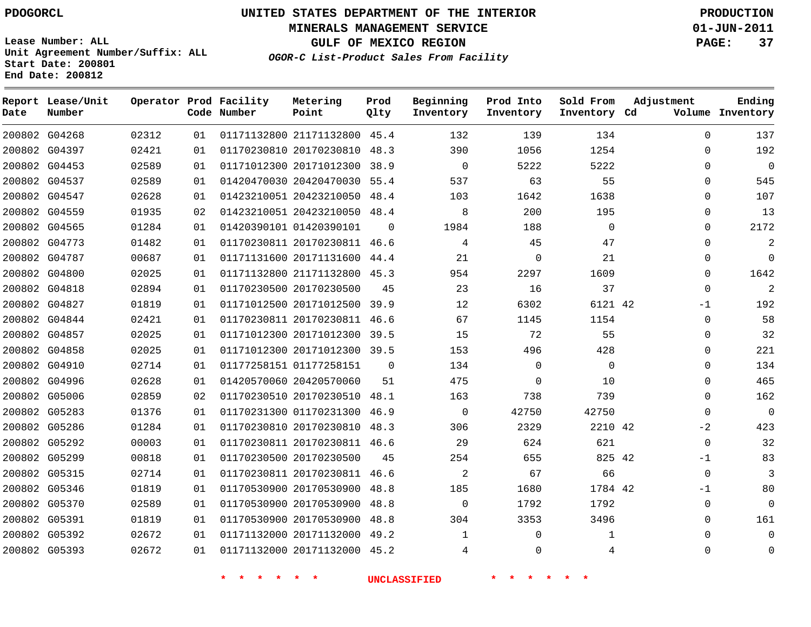**Start Date: 200801 End Date: 200812**

**Unit Agreement Number/Suffix: ALL**

# **UNITED STATES DEPARTMENT OF THE INTERIOR PDOGORCL PRODUCTION**

**MINERALS MANAGEMENT SERVICE 01-JUN-2011**

**GULF OF MEXICO REGION PAGE: 37**

**OGOR-C List-Product Sales From Facility**

| Date | Report Lease/Unit<br>Number |       |    | Operator Prod Facility<br>Code Number | Metering<br>Point            | Prod<br>Qlty | Beginning<br>Inventory | Prod Into<br>Inventory | Sold From<br>Inventory Cd | Adjustment  | Ending<br>Volume Inventory |
|------|-----------------------------|-------|----|---------------------------------------|------------------------------|--------------|------------------------|------------------------|---------------------------|-------------|----------------------------|
|      | 200802 G04268               | 02312 | 01 |                                       | 01171132800 21171132800 45.4 |              | 132                    | 139                    | 134                       | $\Omega$    | 137                        |
|      | 200802 G04397               | 02421 | 01 |                                       | 01170230810 20170230810      | 48.3         | 390                    | 1056                   | 1254                      | $\Omega$    | 192                        |
|      | 200802 G04453               | 02589 | 01 |                                       | 01171012300 20171012300      | 38.9         | $\mathbf 0$            | 5222                   | 5222                      | $\Omega$    | $\overline{0}$             |
|      | 200802 G04537               | 02589 | 01 |                                       | 01420470030 20420470030      | 55.4         | 537                    | 63                     | 55                        | $\mathbf 0$ | 545                        |
|      | 200802 G04547               | 02628 | 01 |                                       | 01423210051 20423210050      | 48.4         | 103                    | 1642                   | 1638                      | $\mathbf 0$ | 107                        |
|      | 200802 G04559               | 01935 | 02 |                                       | 01423210051 20423210050      | 48.4         | 8                      | 200                    | 195                       | $\Omega$    | 13                         |
|      | 200802 G04565               | 01284 | 01 |                                       | 01420390101 01420390101      | $\Omega$     | 1984                   | 188                    | $\Omega$                  | $\Omega$    | 2172                       |
|      | 200802 G04773               | 01482 | 01 |                                       | 01170230811 20170230811      | 46.6         | 4                      | 45                     | 47                        | $\Omega$    | $\overline{a}$             |
|      | 200802 G04787               | 00687 | 01 |                                       | 01171131600 20171131600      | 44.4         | 21                     | $\Omega$               | 21                        | $\mathbf 0$ | $\Omega$                   |
|      | 200802 G04800               | 02025 | 01 |                                       | 01171132800 21171132800      | 45.3         | 954                    | 2297                   | 1609                      | $\mathbf 0$ | 1642                       |
|      | 200802 G04818               | 02894 | 01 |                                       | 01170230500 20170230500      | 45           | 23                     | 16                     | 37                        | $\Omega$    | $\sqrt{2}$                 |
|      | 200802 G04827               | 01819 | 01 |                                       | 01171012500 20171012500      | 39.9         | 12                     | 6302                   | 6121 42                   | $-1$        | 192                        |
|      | 200802 G04844               | 02421 | 01 |                                       | 01170230811 20170230811      | 46.6         | 67                     | 1145                   | 1154                      | $\Omega$    | 58                         |
|      | 200802 G04857               | 02025 | 01 |                                       | 01171012300 20171012300      | 39.5         | 15                     | 72                     | 55                        | 0           | 32                         |
|      | 200802 G04858               | 02025 | 01 |                                       | 01171012300 20171012300      | 39.5         | 153                    | 496                    | 428                       | $\mathbf 0$ | 221                        |
|      | 200802 G04910               | 02714 | 01 |                                       | 01177258151 01177258151      | $\mathbf 0$  | 134                    | $\mathbf 0$            | $\mathbf 0$               | $\Omega$    | 134                        |
|      | 200802 G04996               | 02628 | 01 |                                       | 01420570060 20420570060      | 51           | 475                    | $\Omega$               | 10                        | $\Omega$    | 465                        |
|      | 200802 G05006               | 02859 | 02 |                                       | 01170230510 20170230510 48.1 |              | 163                    | 738                    | 739                       | $\Omega$    | 162                        |
|      | 200802 G05283               | 01376 | 01 |                                       | 01170231300 01170231300      | 46.9         | $\mathbf 0$            | 42750                  | 42750                     | $\mathbf 0$ | $\overline{0}$             |
|      | 200802 G05286               | 01284 | 01 |                                       | 01170230810 20170230810      | 48.3         | 306                    | 2329                   | 2210 42                   | $-2$        | 423                        |
|      | 200802 G05292               | 00003 | 01 |                                       | 01170230811 20170230811      | 46.6         | 29                     | 624                    | 621                       | $\mathbf 0$ | 32                         |
|      | 200802 G05299               | 00818 | 01 |                                       | 01170230500 20170230500      | 45           | 254                    | 655                    | 825 42                    | $-1$        | 83                         |
|      | 200802 G05315               | 02714 | 01 |                                       | 01170230811 20170230811      | 46.6         | $\overline{c}$         | 67                     | 66                        | $\Omega$    | 3                          |
|      | 200802 G05346               | 01819 | 01 |                                       | 01170530900 20170530900      | 48.8         | 185                    | 1680                   | 1784 42                   | $-1$        | 80                         |
|      | 200802 G05370               | 02589 | 01 |                                       | 01170530900 20170530900      | 48.8         | $\mathbf 0$            | 1792                   | 1792                      | $\mathbf 0$ | $\Omega$                   |
|      | 200802 G05391               | 01819 | 01 |                                       | 01170530900 20170530900      | 48.8         | 304                    | 3353                   | 3496                      | $\mathbf 0$ | 161                        |
|      | 200802 G05392               | 02672 | 01 |                                       | 01171132000 20171132000      | 49.2         | 1                      | $\mathbf 0$            | 1                         | $\mathbf 0$ | $\mathbf 0$                |
|      | 200802 G05393               | 02672 | 01 |                                       | 01171132000 20171132000      | 45.2         | 4                      | $\Omega$               | 4                         | $\Omega$    | $\Omega$                   |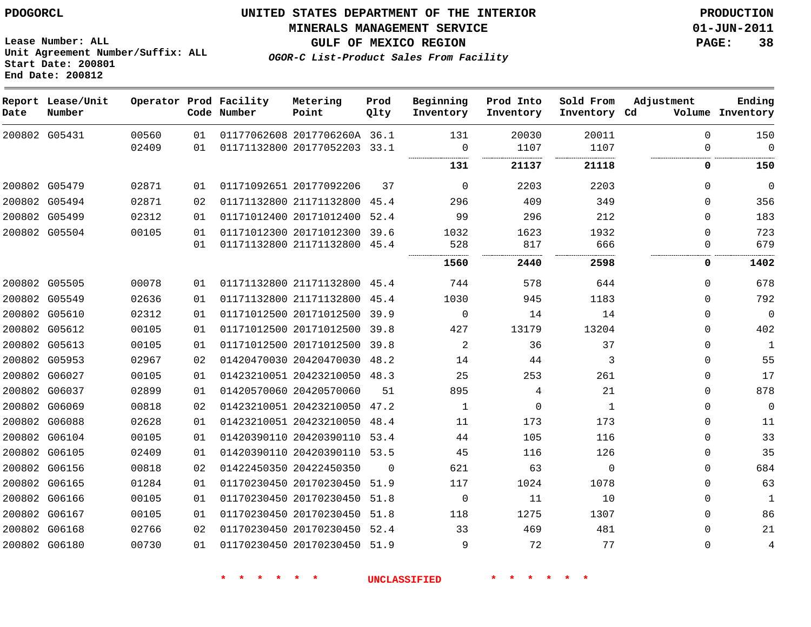**Start Date: 200801 End Date: 200812**

**Unit Agreement Number/Suffix: ALL**

# **UNITED STATES DEPARTMENT OF THE INTERIOR PDOGORCL PRODUCTION**

**MINERALS MANAGEMENT SERVICE 01-JUN-2011**

**GULF OF MEXICO REGION PAGE: 38**

**OGOR-C List-Product Sales From Facility**

| Date | Report Lease/Unit<br>Number |       |    | Operator Prod Facility<br>Code Number | Metering<br>Point            | Prod<br>Qlty | Beginning<br>Inventory | Prod Into<br>Inventory | Sold From<br>Inventory Cd | Adjustment   | Ending<br>Volume Inventory |
|------|-----------------------------|-------|----|---------------------------------------|------------------------------|--------------|------------------------|------------------------|---------------------------|--------------|----------------------------|
|      | 200802 G05431               | 00560 | 01 |                                       | 01177062608 2017706260A 36.1 |              | 131                    | 20030                  | 20011                     | $\Omega$     | 150                        |
|      |                             | 02409 | 01 |                                       | 01171132800 20177052203 33.1 |              | $\Omega$               | 1107                   | 1107                      | $\Omega$     | $\Omega$                   |
|      |                             |       |    |                                       |                              |              | 131                    | 21137                  | 21118                     | 0            | 150                        |
|      | 200802 G05479               | 02871 | 01 |                                       | 01171092651 20177092206      | 37           | $\mathbf 0$            | 2203                   | 2203                      | $\Omega$     | $\mathbf 0$                |
|      | 200802 G05494               | 02871 | 02 |                                       | 01171132800 21171132800      | 45.4         | 296                    | 409                    | 349                       | $\Omega$     | 356                        |
|      | 200802 G05499               | 02312 | 01 |                                       | 01171012400 20171012400      | 52.4         | 99                     | 296                    | 212                       | $\mathbf{0}$ | 183                        |
|      | 200802 G05504               | 00105 | 01 |                                       | 01171012300 20171012300      | 39.6         | 1032                   | 1623                   | 1932                      | $\Omega$     | 723                        |
|      |                             |       | 01 |                                       | 01171132800 21171132800      | 45.4         | 528                    | 817                    | 666                       | $\Omega$     | 679                        |
|      |                             |       |    |                                       |                              |              | 1560                   | 2440                   | 2598                      | 0            | 1402                       |
|      | 200802 G05505               | 00078 | 01 |                                       | 01171132800 21171132800      | 45.4         | 744                    | 578                    | 644                       | $\mathbf{0}$ | 678                        |
|      | 200802 G05549               | 02636 | 01 |                                       | 01171132800 21171132800      | 45.4         | 1030                   | 945                    | 1183                      | $\Omega$     | 792                        |
|      | 200802 G05610               | 02312 | 01 |                                       | 01171012500 20171012500      | 39.9         | $\mathsf 0$            | 14                     | 14                        | $\mathbf{0}$ | $\overline{0}$             |
|      | 200802 G05612               | 00105 | 01 |                                       | 01171012500 20171012500 39.8 |              | 427                    | 13179                  | 13204                     | $\Omega$     | 402                        |
|      | 200802 G05613               | 00105 | 01 |                                       | 01171012500 20171012500      | 39.8         | 2                      | 36                     | 37                        | $\Omega$     | $\mathbf{1}$               |
|      | 200802 G05953               | 02967 | 02 |                                       | 01420470030 20420470030      | 48.2         | 14                     | 44                     | 3                         | $\Omega$     | 55                         |
|      | 200802 G06027               | 00105 | 01 |                                       | 01423210051 20423210050 48.3 |              | 25                     | 253                    | 261                       | $\Omega$     | 17                         |
|      | 200802 G06037               | 02899 | 01 |                                       | 01420570060 20420570060      | 51           | 895                    | 4                      | 21                        | $\Omega$     | 878                        |
|      | 200802 G06069               | 00818 | 02 |                                       | 01423210051 20423210050      | 47.2         | 1                      | $\Omega$               | $\mathbf{1}$              | $\Omega$     | $\mathbf 0$                |
|      | 200802 G06088               | 02628 | 01 |                                       | 01423210051 20423210050      | 48.4         | 11                     | 173                    | 173                       | 0            | 11                         |
|      | 200802 G06104               | 00105 | 01 |                                       | 01420390110 20420390110      | 53.4         | 44                     | 105                    | 116                       | $\Omega$     | 33                         |
|      | 200802 G06105               | 02409 | 01 |                                       | 01420390110 20420390110 53.5 |              | 45                     | 116                    | 126                       | $\mathbf 0$  | 35                         |
|      | 200802 G06156               | 00818 | 02 |                                       | 01422450350 20422450350      | $\Omega$     | 621                    | 63                     | $\mathbf 0$               | $\Omega$     | 684                        |
|      | 200802 G06165               | 01284 | 01 |                                       | 01170230450 20170230450      | 51.9         | 117                    | 1024                   | 1078                      | $\mathbf 0$  | 63                         |
|      | 200802 G06166               | 00105 | 01 |                                       | 01170230450 20170230450      | 51.8         | 0                      | 11                     | 10                        | $\Omega$     | $\mathbf{1}$               |
|      | 200802 G06167               | 00105 | 01 |                                       | 01170230450 20170230450      | 51.8         | 118                    | 1275                   | 1307                      | $\mathbf{0}$ | 86                         |
|      | 200802 G06168               | 02766 | 02 |                                       | 01170230450 20170230450 52.4 |              | 33                     | 469                    | 481                       | $\Omega$     | 21                         |
|      | 200802 G06180               | 00730 | 01 |                                       | 01170230450 20170230450      | 51.9         | 9                      | 72                     | 77                        | $\Omega$     | 4                          |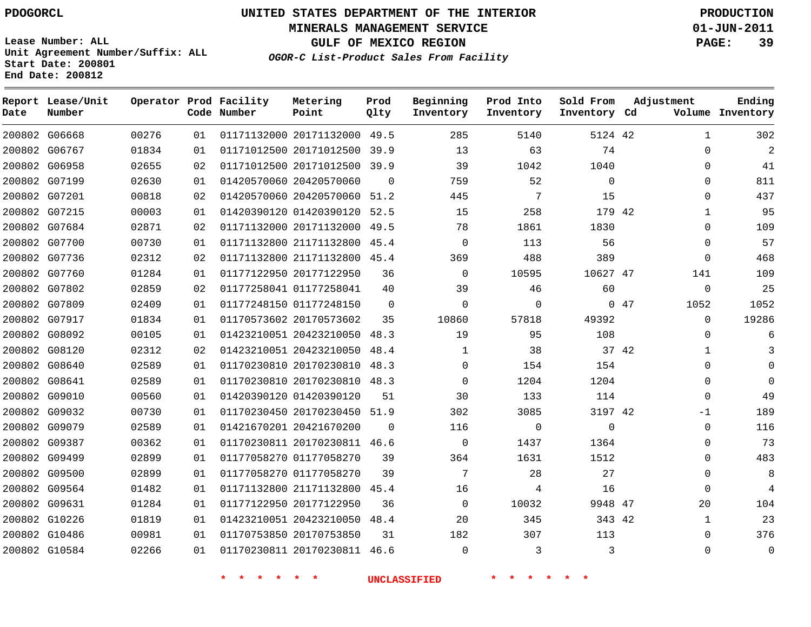**Start Date: 200801 End Date: 200812**

**Unit Agreement Number/Suffix: ALL**

# **UNITED STATES DEPARTMENT OF THE INTERIOR PDOGORCL PRODUCTION**

**MINERALS MANAGEMENT SERVICE 01-JUN-2011**

**GULF OF MEXICO REGION PAGE: 39**

**OGOR-C List-Product Sales From Facility**

| Date | Report Lease/Unit<br>Number |       |    | Operator Prod Facility<br>Code Number | Metering<br>Point            | Prod<br>Qlty | Beginning<br>Inventory | Prod Into<br>Inventory | Sold From<br>Inventory Cd | Adjustment  | Ending<br>Volume Inventory |
|------|-----------------------------|-------|----|---------------------------------------|------------------------------|--------------|------------------------|------------------------|---------------------------|-------------|----------------------------|
|      | 200802 G06668               | 00276 | 01 |                                       | 01171132000 20171132000 49.5 |              | 285                    | 5140                   | 5124 42                   |             | 302<br>$\mathbf{1}$        |
|      | 200802 G06767               | 01834 | 01 |                                       | 01171012500 20171012500      | 39.9         | 13                     | 63                     | 74                        |             | $\overline{2}$<br>$\Omega$ |
|      | 200802 G06958               | 02655 | 02 |                                       | 01171012500 20171012500      | 39.9         | 39                     | 1042                   | 1040                      |             | 41<br>$\Omega$             |
|      | 200802 G07199               | 02630 | 01 |                                       | 01420570060 20420570060      | $\Omega$     | 759                    | 52                     | $\Omega$                  |             | 0<br>811                   |
|      | 200802 G07201               | 00818 | 02 |                                       | 01420570060 20420570060 51.2 |              | 445                    | 7                      | 15                        |             | 0<br>437                   |
|      | 200802 G07215               | 00003 | 01 |                                       | 01420390120 01420390120      | 52.5         | 15                     | 258                    | 179 42                    |             | 95<br>$\mathbf{1}$         |
|      | 200802 G07684               | 02871 | 02 |                                       | 01171132000 20171132000      | 49.5         | 78                     | 1861                   | 1830                      |             | $\Omega$<br>109            |
|      | 200802 G07700               | 00730 | 01 |                                       | 01171132800 21171132800      | 45.4         | $\mathbf 0$            | 113                    | 56                        |             | 57<br>$\Omega$             |
|      | 200802 G07736               | 02312 | 02 |                                       | 01171132800 21171132800 45.4 |              | 369                    | 488                    | 389                       |             | 468<br>$\Omega$            |
|      | 200802 G07760               | 01284 | 01 |                                       | 01177122950 20177122950      | 36           | $\Omega$               | 10595                  | 10627 47                  | 141         | 109                        |
|      | 200802 G07802               | 02859 | 02 |                                       | 01177258041 01177258041      | 40           | 39                     | 46                     | 60                        |             | 25<br>0                    |
|      | 200802 G07809               | 02409 | 01 |                                       | 01177248150 01177248150      | $\Omega$     | $\Omega$               | $\Omega$               |                           | 047<br>1052 | 1052                       |
|      | 200802 G07917               | 01834 | 01 |                                       | 01170573602 20170573602      | 35           | 10860                  | 57818                  | 49392                     |             | $\Omega$<br>19286          |
|      | 200802 G08092               | 00105 | 01 |                                       | 01423210051 20423210050      | 48.3         | 19                     | 95                     | 108                       |             | 6<br>0                     |
|      | 200802 G08120               | 02312 | 02 |                                       | 01423210051 20423210050      | 48.4         | 1                      | 38                     | 37 42                     |             | 3<br>$\mathbf{1}$          |
|      | 200802 G08640               | 02589 | 01 |                                       | 01170230810 20170230810      | 48.3         | $\Omega$               | 154                    | 154                       |             | $\mathbf 0$<br>$\Omega$    |
|      | 200802 G08641               | 02589 | 01 |                                       | 01170230810 20170230810 48.3 |              | $\Omega$               | 1204                   | 1204                      |             | 0<br>$\mathbf 0$           |
|      | 200802 G09010               | 00560 | 01 |                                       | 01420390120 01420390120      | 51           | 30                     | 133                    | 114                       |             | 49<br>0                    |
|      | 200802 G09032               | 00730 | 01 |                                       | 01170230450 20170230450      | 51.9         | 302                    | 3085                   | 3197 42                   | $-1$        | 189                        |
|      | 200802 G09079               | 02589 | 01 |                                       | 01421670201 20421670200      | $\Omega$     | 116                    | $\Omega$               | $\Omega$                  |             | 0<br>116                   |
|      | 200802 G09387               | 00362 | 01 |                                       | 01170230811 20170230811 46.6 |              | $\mathbf 0$            | 1437                   | 1364                      |             | 73<br>0                    |
|      | 200802 G09499               | 02899 | 01 |                                       | 01177058270 01177058270      | 39           | 364                    | 1631                   | 1512                      |             | 483<br>$\Omega$            |
|      | 200802 G09500               | 02899 | 01 |                                       | 01177058270 01177058270      | 39           | 7                      | 28                     | 27                        |             | 8<br>0                     |
|      | 200802 G09564               | 01482 | 01 |                                       | 01171132800 21171132800      | 45.4         | 16                     | 4                      | 16                        |             | $\overline{4}$<br>0        |
|      | 200802 G09631               | 01284 | 01 |                                       | 01177122950 20177122950      | 36           | $\Omega$               | 10032                  | 9948 47                   | 20          | 104                        |
|      | 200802 G10226               | 01819 | 01 |                                       | 01423210051 20423210050      | 48.4         | 20                     | 345                    | 343 42                    |             | 23<br>$\mathbf{1}$         |
|      | 200802 G10486               | 00981 | 01 |                                       | 01170753850 20170753850      | 31           | 182                    | 307                    | 113                       |             | 376<br>0                   |
|      | 200802 G10584               | 02266 | 01 |                                       | 01170230811 20170230811      | 46.6         | $\Omega$               | 3                      | 3                         |             | $\Omega$<br>$\Omega$       |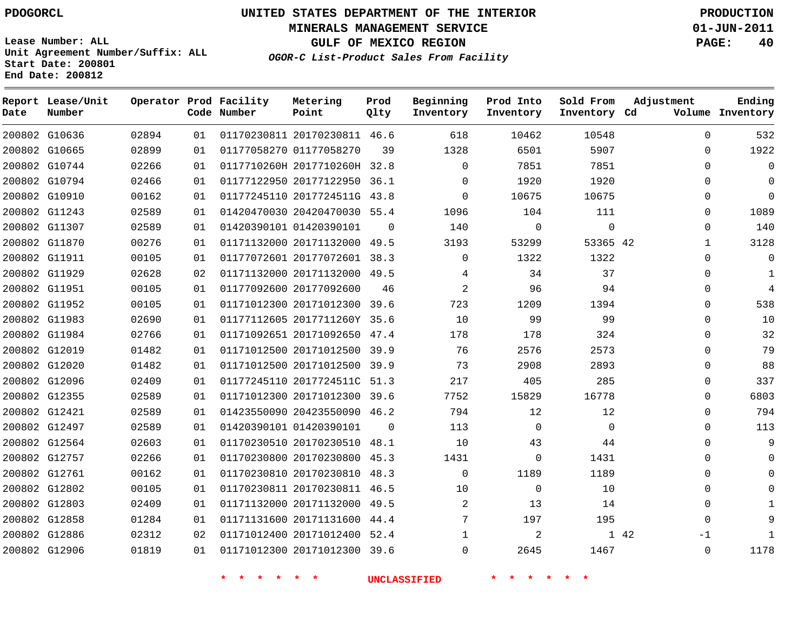**Start Date: 200801 End Date: 200812**

**Unit Agreement Number/Suffix: ALL**

# **UNITED STATES DEPARTMENT OF THE INTERIOR PDOGORCL PRODUCTION**

**MINERALS MANAGEMENT SERVICE 01-JUN-2011**

**GULF OF MEXICO REGION PAGE: 40**

**OGOR-C List-Product Sales From Facility**

| Date | Report Lease/Unit<br>Number |       |    | Operator Prod Facility<br>Code Number | Metering<br>Point            | Prod<br>Qlty | Beginning<br>Inventory | Prod Into<br>Inventory | Sold From<br>Inventory Cd | Adjustment   | Ending<br>Volume Inventory |
|------|-----------------------------|-------|----|---------------------------------------|------------------------------|--------------|------------------------|------------------------|---------------------------|--------------|----------------------------|
|      | 200802 G10636               | 02894 | 01 |                                       | 01170230811 20170230811 46.6 |              | 618                    | 10462                  | 10548                     | $\Omega$     | 532                        |
|      | 200802 G10665               | 02899 | 01 |                                       | 01177058270 01177058270      | 39           | 1328                   | 6501                   | 5907                      | $\mathbf{0}$ | 1922                       |
|      | 200802 G10744               | 02266 | 01 |                                       | 0117710260H 2017710260H 32.8 |              | $\Omega$               | 7851                   | 7851                      | $\Omega$     | $\mathbf 0$                |
|      | 200802 G10794               | 02466 | 01 |                                       | 01177122950 20177122950 36.1 |              | $\Omega$               | 1920                   | 1920                      | $\Omega$     | $\mathbf 0$                |
|      | 200802 G10910               | 00162 | 01 |                                       | 01177245110 2017724511G 43.8 |              | $\Omega$               | 10675                  | 10675                     | 0            | $\mathbf 0$                |
|      | 200802 G11243               | 02589 | 01 |                                       | 01420470030 20420470030 55.4 |              | 1096                   | 104                    | 111                       | $\mathbf{0}$ | 1089                       |
|      | 200802 G11307               | 02589 | 01 |                                       | 01420390101 01420390101      | $\Omega$     | 140                    | $\mathbf 0$            | $\mathbf 0$               | $\Omega$     | 140                        |
|      | 200802 G11870               | 00276 | 01 |                                       | 01171132000 20171132000      | 49.5         | 3193                   | 53299                  | 53365 42                  | $\mathbf 1$  | 3128                       |
|      | 200802 G11911               | 00105 | 01 |                                       | 01177072601 20177072601 38.3 |              | $\Omega$               | 1322                   | 1322                      | $\Omega$     | $\mathbf 0$                |
|      | 200802 G11929               | 02628 | 02 |                                       | 01171132000 20171132000      | 49.5         | 4                      | 34                     | 37                        | $\Omega$     | $\mathbf{1}$               |
|      | 200802 G11951               | 00105 | 01 |                                       | 01177092600 20177092600      | 46           | $\overline{2}$         | 96                     | 94                        | $\Omega$     | 4                          |
|      | 200802 G11952               | 00105 | 01 |                                       | 01171012300 20171012300      | 39.6         | 723                    | 1209                   | 1394                      | $\Omega$     | 538                        |
|      | 200802 G11983               | 02690 | 01 |                                       | 01177112605 2017711260Y 35.6 |              | 10                     | 99                     | 99                        | 0            | $10$                       |
|      | 200802 G11984               | 02766 | 01 |                                       | 01171092651 20171092650      | 47.4         | 178                    | 178                    | 324                       | $\Omega$     | 32                         |
|      | 200802 G12019               | 01482 | 01 |                                       | 01171012500 20171012500      | 39.9         | 76                     | 2576                   | 2573                      | $\Omega$     | 79                         |
|      | 200802 G12020               | 01482 | 01 |                                       | 01171012500 20171012500 39.9 |              | 73                     | 2908                   | 2893                      | $\mathbf{0}$ | 88                         |
|      | 200802 G12096               | 02409 | 01 |                                       | 01177245110 2017724511C      | 51.3         | 217                    | 405                    | 285                       | $\Omega$     | 337                        |
|      | 200802 G12355               | 02589 | 01 |                                       | 01171012300 20171012300 39.6 |              | 7752                   | 15829                  | 16778                     | $\mathbf{0}$ | 6803                       |
|      | 200802 G12421               | 02589 | 01 |                                       | 01423550090 20423550090      | 46.2         | 794                    | 12                     | 12                        | $\mathbf{0}$ | 794                        |
|      | 200802 G12497               | 02589 | 01 |                                       | 01420390101 01420390101      | $\Omega$     | 113                    | $\mathbf 0$            | $\mathbf 0$               | $\mathbf{0}$ | 113                        |
|      | 200802 G12564               | 02603 | 01 |                                       | 01170230510 20170230510      | 48.1         | 10                     | 43                     | 44                        | $\Omega$     | 9                          |
|      | 200802 G12757               | 02266 | 01 |                                       | 01170230800 20170230800      | 45.3         | 1431                   | $\Omega$               | 1431                      | $\Omega$     | $\Omega$                   |
|      | 200802 G12761               | 00162 | 01 |                                       | 01170230810 20170230810      | 48.3         | $\Omega$               | 1189                   | 1189                      | $\mathbf{0}$ | $\mathbf 0$                |
|      | 200802 G12802               | 00105 | 01 |                                       | 01170230811 20170230811      | 46.5         | 10                     | $\mathbf 0$            | 10                        | $\mathbf{0}$ | $\mathbf 0$                |
|      | 200802 G12803               | 02409 | 01 |                                       | 01171132000 20171132000      | 49.5         | 2                      | 13                     | 14                        | $\Omega$     | 1                          |
|      | 200802 G12858               | 01284 | 01 |                                       | 01171131600 20171131600      | 44.4         | 7                      | 197                    | 195                       | $\Omega$     | 9                          |
|      | 200802 G12886               | 02312 | 02 |                                       | 01171012400 20171012400      | 52.4         | 1                      | 2                      |                           | 1 42<br>$-1$ | $\mathbf{1}$               |
|      | 200802 G12906               | 01819 | 01 |                                       | 01171012300 20171012300      | 39.6         | $\Omega$               | 2645                   | 1467                      | $\Omega$     | 1178                       |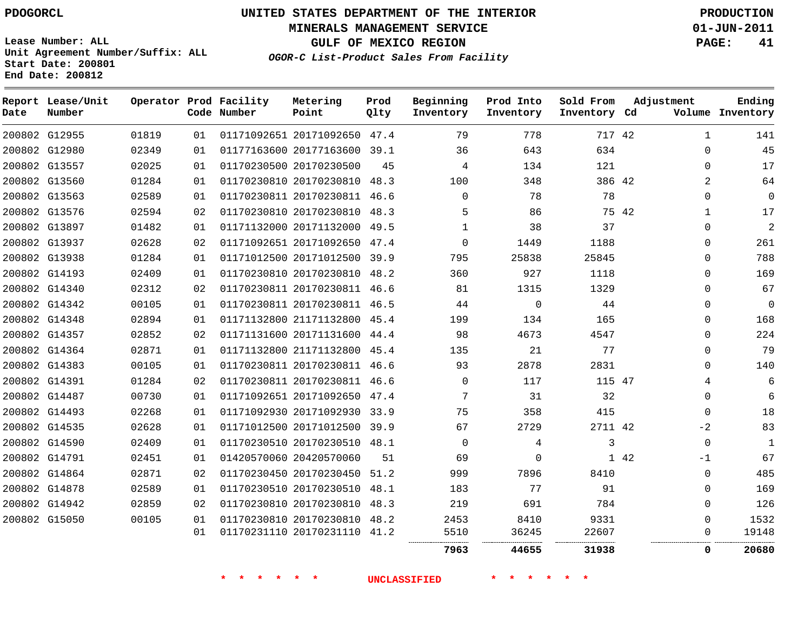# **UNITED STATES DEPARTMENT OF THE INTERIOR PDOGORCL PRODUCTION**

**MINERALS MANAGEMENT SERVICE 01-JUN-2011**

**GULF OF MEXICO REGION PAGE: 41**

**Unit Agreement Number/Suffix: ALL Start Date: 200801 End Date: 200812**

**OGOR-C List-Product Sales From Facility**

| Date | Report Lease/Unit<br>Number |       |    | Operator Prod Facility<br>Code Number | Metering<br>Point            | Prod<br>Qlty | Beginning<br>Inventory | Prod Into<br>Inventory | Sold From<br>Inventory Cd |       | Adjustment  | Ending<br>Volume Inventory |
|------|-----------------------------|-------|----|---------------------------------------|------------------------------|--------------|------------------------|------------------------|---------------------------|-------|-------------|----------------------------|
|      | 200802 G12955               | 01819 | 01 |                                       | 01171092651 20171092650      | 47.4         | 79                     | 778                    | 717 42                    |       | 1           | 141                        |
|      | 200802 G12980               | 02349 | 01 |                                       | 01177163600 20177163600 39.1 |              | 36                     | 643                    | 634                       |       | $\Omega$    | 45                         |
|      | 200802 G13557               | 02025 | 01 |                                       | 01170230500 20170230500      | 45           | 4                      | 134                    | 121                       |       | $\Omega$    | 17                         |
|      | 200802 G13560               | 01284 | 01 |                                       | 01170230810 20170230810 48.3 |              | 100                    | 348                    | 386 42                    |       | 2           | 64                         |
|      | 200802 G13563               | 02589 | 01 |                                       | 01170230811 20170230811 46.6 |              | $\Omega$               | 78                     | 78                        |       | $\Omega$    | $\Omega$                   |
|      | 200802 G13576               | 02594 | 02 |                                       | 01170230810 20170230810 48.3 |              | 5                      | 86                     |                           | 75 42 | 1           | 17                         |
|      | 200802 G13897               | 01482 | 01 |                                       | 01171132000 20171132000      | 49.5         | 1                      | 38                     | 37                        |       | 0           | $\overline{c}$             |
|      | 200802 G13937               | 02628 | 02 |                                       | 01171092651 20171092650 47.4 |              | $\Omega$               | 1449                   | 1188                      |       | $\Omega$    | 261                        |
|      | 200802 G13938               | 01284 | 01 |                                       | 01171012500 20171012500 39.9 |              | 795                    | 25838                  | 25845                     |       | $\mathbf 0$ | 788                        |
|      | 200802 G14193               | 02409 | 01 |                                       | 01170230810 20170230810 48.2 |              | 360                    | 927                    | 1118                      |       | $\Omega$    | 169                        |
|      | 200802 G14340               | 02312 | 02 |                                       | 01170230811 20170230811 46.6 |              | 81                     | 1315                   | 1329                      |       | $\Omega$    | 67                         |
|      | 200802 G14342               | 00105 | 01 |                                       | 01170230811 20170230811 46.5 |              | 44                     | $\mathbf 0$            | 44                        |       | $\Omega$    | $\mathbf{0}$               |
|      | 200802 G14348               | 02894 | 01 |                                       | 01171132800 21171132800 45.4 |              | 199                    | 134                    | 165                       |       | $\Omega$    | 168                        |
|      | 200802 G14357               | 02852 | 02 |                                       | 01171131600 20171131600 44.4 |              | 98                     | 4673                   | 4547                      |       | $\Omega$    | 224                        |
|      | 200802 G14364               | 02871 | 01 |                                       | 01171132800 21171132800 45.4 |              | 135                    | 21                     | 77                        |       | $\Omega$    | 79                         |
|      | 200802 G14383               | 00105 | 01 |                                       | 01170230811 20170230811 46.6 |              | 93                     | 2878                   | 2831                      |       | $\Omega$    | 140                        |
|      | 200802 G14391               | 01284 | 02 |                                       | 01170230811 20170230811 46.6 |              | $\Omega$               | 117                    | 115 47                    |       | 4           | 6                          |
|      | 200802 G14487               | 00730 | 01 |                                       | 01171092651 20171092650 47.4 |              | 7                      | 31                     | 32                        |       | $\mathbf 0$ | 6                          |
|      | 200802 G14493               | 02268 | 01 |                                       | 01171092930 20171092930      | 33.9         | 75                     | 358                    | 415                       |       | $\Omega$    | 18                         |
|      | 200802 G14535               | 02628 | 01 |                                       | 01171012500 20171012500 39.9 |              | 67                     | 2729                   | 2711 42                   |       | $-2$        | 83                         |
|      | 200802 G14590               | 02409 | 01 |                                       | 01170230510 20170230510 48.1 |              | $\Omega$               | 4                      | 3                         |       | $\mathbf 0$ | 1                          |
|      | 200802 G14791               | 02451 | 01 |                                       | 01420570060 20420570060      | 51           | 69                     | $\Omega$               |                           | 1 42  | $-1$        | 67                         |
|      | 200802 G14864               | 02871 | 02 |                                       | 01170230450 20170230450 51.2 |              | 999                    | 7896                   | 8410                      |       | $\mathbf 0$ | 485                        |
|      | 200802 G14878               | 02589 | 01 |                                       | 01170230510 20170230510      | 48.1         | 183                    | 77                     | 91                        |       | 0           | 169                        |
|      | 200802 G14942               | 02859 | 02 |                                       | 01170230810 20170230810 48.3 |              | 219                    | 691                    | 784                       |       | $\Omega$    | 126                        |
|      | 200802 G15050               | 00105 | 01 |                                       | 01170230810 20170230810      | 48.2         | 2453                   | 8410                   | 9331                      |       | $\Omega$    | 1532                       |
|      |                             |       | 01 |                                       | 01170231110 20170231110 41.2 |              | 5510                   | 36245<br>              | 22607<br>                 |       | $\Omega$    | 19148                      |
|      |                             |       |    |                                       |                              |              | 7963                   | 44655                  | 31938                     |       | 0           | 20680                      |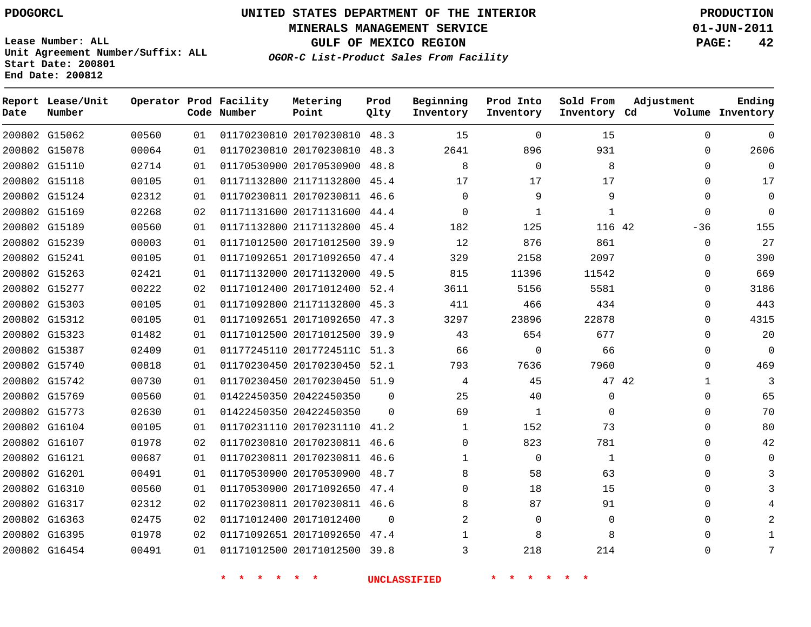**Start Date: 200801 End Date: 200812**

**Unit Agreement Number/Suffix: ALL**

# **UNITED STATES DEPARTMENT OF THE INTERIOR PDOGORCL PRODUCTION**

**MINERALS MANAGEMENT SERVICE 01-JUN-2011**

**GULF OF MEXICO REGION PAGE: 42**

**OGOR-C List-Product Sales From Facility**

|      | Report Lease/Unit |       |    | Operator Prod Facility | Metering                     | Prod     | Beginning    | Prod Into    | Sold From    | Adjustment            | Ending           |
|------|-------------------|-------|----|------------------------|------------------------------|----------|--------------|--------------|--------------|-----------------------|------------------|
| Date | Number            |       |    | Code Number            | Point                        | Qlty     | Inventory    | Inventory    | Inventory Cd |                       | Volume Inventory |
|      | 200802 G15062     | 00560 | 01 |                        | 01170230810 20170230810 48.3 |          | 15           | $\Omega$     | 15           | $\Omega$              | $\Omega$         |
|      | 200802 G15078     | 00064 | 01 |                        | 01170230810 20170230810      | 48.3     | 2641         | 896          | 931          | $\Omega$              | 2606             |
|      | 200802 G15110     | 02714 | 01 |                        | 01170530900 20170530900      | 48.8     | 8            | $\mathbf 0$  | 8            | $\Omega$              | $\mathbf 0$      |
|      | 200802 G15118     | 00105 | 01 |                        | 01171132800 21171132800      | 45.4     | 17           | 17           | 17           | $\Omega$              | 17               |
|      | 200802 G15124     | 02312 | 01 |                        | 01170230811 20170230811      | 46.6     | 0            | 9            | 9            | $\Omega$              | $\mathbf 0$      |
|      | 200802 G15169     | 02268 | 02 |                        | 01171131600 20171131600      | 44.4     | 0            | $\mathbf{1}$ | 1            | $\Omega$              | $\Omega$         |
|      | 200802 G15189     | 00560 | 01 |                        | 01171132800 21171132800 45.4 |          | 182          | 125          | 116 42       | $-36$                 | 155              |
|      | 200802 G15239     | 00003 | 01 |                        | 01171012500 20171012500      | 39.9     | 12           | 876          | 861          | $\mathbf 0$           | 27               |
|      | 200802 G15241     | 00105 | 01 |                        | 01171092651 20171092650      | 47.4     | 329          | 2158         | 2097         | $\Omega$              | 390              |
|      | 200802 G15263     | 02421 | 01 |                        | 01171132000 20171132000      | 49.5     | 815          | 11396        | 11542        | $\Omega$              | 669              |
|      | 200802 G15277     | 00222 | 02 |                        | 01171012400 20171012400      | 52.4     | 3611         | 5156         | 5581         | $\Omega$              | 3186             |
|      | 200802 G15303     | 00105 | 01 |                        | 01171092800 21171132800      | 45.3     | 411          | 466          | 434          | $\Omega$              | 443              |
|      | 200802 G15312     | 00105 | 01 |                        | 01171092651 20171092650      | 47.3     | 3297         | 23896        | 22878        | $\Omega$              | 4315             |
|      | 200802 G15323     | 01482 | 01 |                        | 01171012500 20171012500 39.9 |          | 43           | 654          | 677          | $\Omega$              | 20               |
|      | 200802 G15387     | 02409 | 01 |                        | 01177245110 2017724511C      | 51.3     | 66           | $\mathbf 0$  | 66           | $\mathbf 0$           | $\mathbf 0$      |
|      | 200802 G15740     | 00818 | 01 |                        | 01170230450 20170230450      | 52.1     | 793          | 7636         | 7960         | $\Omega$              | 469              |
|      | 200802 G15742     | 00730 | 01 |                        | 01170230450 20170230450      | 51.9     | 4            | 45           |              | 47 42<br>$\mathbf{1}$ | 3                |
|      | 200802 G15769     | 00560 | 01 |                        | 01422450350 20422450350      | $\Omega$ | 25           | 40           | $\Omega$     | $\Omega$              | 65               |
|      | 200802 G15773     | 02630 | 01 |                        | 01422450350 20422450350      | $\Omega$ | 69           | $\mathbf{1}$ | $\Omega$     | $\Omega$              | 70               |
|      | 200802 G16104     | 00105 | 01 |                        | 01170231110 20170231110      | 41.2     | 1            | 152          | 73           | $\Omega$              | 80               |
|      | 200802 G16107     | 01978 | 02 |                        | 01170230810 20170230811      | 46.6     | 0            | 823          | 781          | $\Omega$              | 42               |
|      | 200802 G16121     | 00687 | 01 |                        | 01170230811 20170230811      | 46.6     | 1            | $\Omega$     | $\mathbf{1}$ | $\Omega$              | $\Omega$         |
|      | 200802 G16201     | 00491 | 01 |                        | 01170530900 20170530900      | 48.7     | 8            | 58           | 63           | $\Omega$              | 3                |
|      | 200802 G16310     | 00560 | 01 |                        | 01170530900 20171092650      | 47.4     | $\Omega$     | 18           | 15           | $\Omega$              | 3                |
|      | 200802 G16317     | 02312 | 02 |                        | 01170230811 20170230811 46.6 |          | 8            | 87           | 91           | $\Omega$              | 4                |
|      | 200802 G16363     | 02475 | 02 |                        | 01171012400 20171012400      | $\Omega$ | 2            | $\Omega$     | $\mathbf 0$  | $\Omega$              | 2                |
|      | 200802 G16395     | 01978 | 02 |                        | 01171092651 20171092650      | 47.4     | $\mathbf{1}$ | 8            | 8            | $\Omega$              | $\mathbf{1}$     |
|      | 200802 G16454     | 00491 | 01 |                        | 01171012500 20171012500      | 39.8     | 3            | 218          | 214          | $\Omega$              | 7                |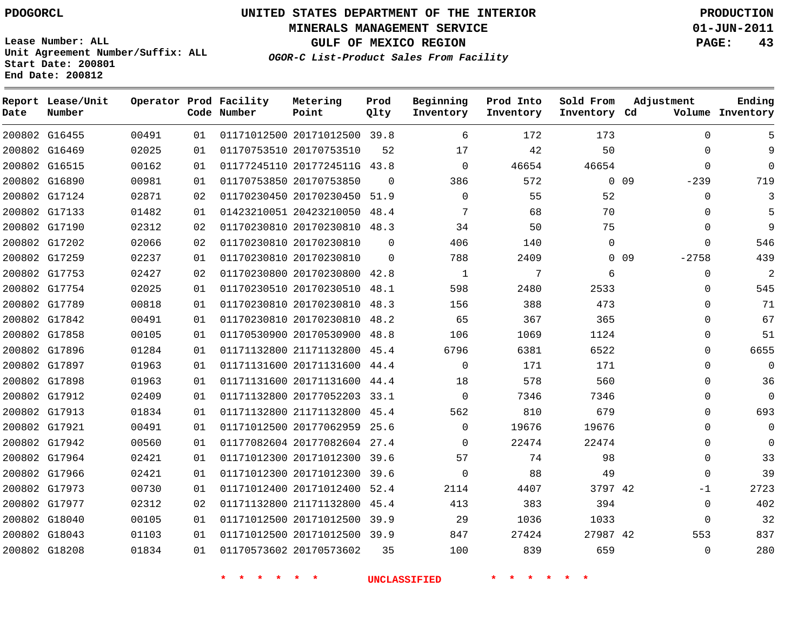**Start Date: 200801 End Date: 200812**

# **UNITED STATES DEPARTMENT OF THE INTERIOR PDOGORCL PRODUCTION**

**MINERALS MANAGEMENT SERVICE 01-JUN-2011**

**GULF OF MEXICO REGION PAGE: 43**

**OGOR-C List-Product Sales From Facility Unit Agreement Number/Suffix: ALL**

| Date | Report Lease/Unit<br>Number |       |    | Operator Prod Facility<br>Code Number | Metering<br>Point            | Prod<br>Qlty | Beginning<br>Inventory | Prod Into<br>Inventory | Sold From<br>Inventory Cd | Adjustment                 | Ending<br>Volume Inventory |
|------|-----------------------------|-------|----|---------------------------------------|------------------------------|--------------|------------------------|------------------------|---------------------------|----------------------------|----------------------------|
|      | 200802 G16455               | 00491 | 01 |                                       | 01171012500 20171012500      | 39.8         | 6                      | 172                    | 173                       | $\Omega$                   | 5                          |
|      | 200802 G16469               | 02025 | 01 |                                       | 01170753510 20170753510      | 52           | 17                     | 42                     | 50                        | $\Omega$                   | 9                          |
|      | 200802 G16515               | 00162 | 01 |                                       | 01177245110 2017724511G 43.8 |              | $\Omega$               | 46654                  | 46654                     | $\Omega$                   | $\Omega$                   |
|      | 200802 G16890               | 00981 | 01 |                                       | 01170753850 20170753850      | $\Omega$     | 386                    | 572                    | $\Omega$                  | 09<br>$-239$               | 719                        |
|      | 200802 G17124               | 02871 | 02 |                                       | 01170230450 20170230450      | 51.9         | $\mathbf 0$            | 55                     | 52                        | $\mathbf 0$                | 3                          |
|      | 200802 G17133               | 01482 | 01 |                                       | 01423210051 20423210050      | 48.4         | 7                      | 68                     | 70                        | $\mathbf 0$                | 5                          |
|      | 200802 G17190               | 02312 | 02 |                                       | 01170230810 20170230810      | 48.3         | 34                     | 50                     | 75                        | $\mathbf 0$                | 9                          |
|      | 200802 G17202               | 02066 | 02 |                                       | 01170230810 20170230810      | $\Omega$     | 406                    | 140                    | $\mathbf 0$               | $\Omega$                   | 546                        |
|      | 200802 G17259               | 02237 | 01 |                                       | 01170230810 20170230810      | $\Omega$     | 788                    | 2409                   |                           | 0 <sub>09</sub><br>$-2758$ | 439                        |
|      | 200802 G17753               | 02427 | 02 |                                       | 01170230800 20170230800 42.8 |              | $\mathbf{1}$           | 7                      | 6                         | $\mathbf{0}$               | $\overline{2}$             |
|      | 200802 G17754               | 02025 | 01 |                                       | 01170230510 20170230510      | 48.1         | 598                    | 2480                   | 2533                      | $\mathbf 0$                | 545                        |
|      | 200802 G17789               | 00818 | 01 |                                       | 01170230810 20170230810 48.3 |              | 156                    | 388                    | 473                       | $\mathbf 0$                | 71                         |
|      | 200802 G17842               | 00491 | 01 |                                       | 01170230810 20170230810      | 48.2         | 65                     | 367                    | 365                       | $\mathbf 0$                | 67                         |
|      | 200802 G17858               | 00105 | 01 |                                       | 01170530900 20170530900      | 48.8         | 106                    | 1069                   | 1124                      | $\mathbf 0$                | 51                         |
|      | 200802 G17896               | 01284 | 01 |                                       | 01171132800 21171132800      | 45.4         | 6796                   | 6381                   | 6522                      | $\Omega$                   | 6655                       |
|      | 200802 G17897               | 01963 | 01 |                                       | 01171131600 20171131600 44.4 |              | $\Omega$               | 171                    | 171                       | $\Omega$                   | $\Omega$                   |
|      | 200802 G17898               | 01963 | 01 |                                       | 01171131600 20171131600 44.4 |              | 18                     | 578                    | 560                       | $\Omega$                   | 36                         |
|      | 200802 G17912               | 02409 | 01 |                                       | 01171132800 20177052203 33.1 |              | $\Omega$               | 7346                   | 7346                      | $\Omega$                   | $\Omega$                   |
|      | 200802 G17913               | 01834 | 01 |                                       | 01171132800 21171132800      | 45.4         | 562                    | 810                    | 679                       | $\Omega$                   | 693                        |
|      | 200802 G17921               | 00491 | 01 |                                       | 01171012500 20177062959      | 25.6         | $\Omega$               | 19676                  | 19676                     | $\Omega$                   | $\Omega$                   |
|      | 200802 G17942               | 00560 | 01 |                                       | 01177082604 20177082604 27.4 |              | $\Omega$               | 22474                  | 22474                     | $\Omega$                   | $\Omega$                   |
|      | 200802 G17964               | 02421 | 01 |                                       | 01171012300 20171012300      | 39.6         | 57                     | 74                     | 98                        | $\Omega$                   | 33                         |
|      | 200802 G17966               | 02421 | 01 |                                       | 01171012300 20171012300      | 39.6         | 0                      | 88                     | 49                        | $\mathbf 0$                | 39                         |
|      | 200802 G17973               | 00730 | 01 |                                       | 01171012400 20171012400      | 52.4         | 2114                   | 4407                   | 3797 42                   | $-1$                       | 2723                       |
|      | 200802 G17977               | 02312 | 02 |                                       | 01171132800 21171132800      | 45.4         | 413                    | 383                    | 394                       | $\mathbf 0$                | 402                        |
|      | 200802 G18040               | 00105 | 01 |                                       | 01171012500 20171012500      | 39.9         | 29                     | 1036                   | 1033                      | $\Omega$                   | 32                         |
|      | 200802 G18043               | 01103 | 01 |                                       | 01171012500 20171012500 39.9 |              | 847                    | 27424                  | 27987 42                  | 553                        | 837                        |
|      | 200802 G18208               | 01834 | 01 |                                       | 01170573602 20170573602      | 35           | 100                    | 839                    | 659                       | $\Omega$                   | 280                        |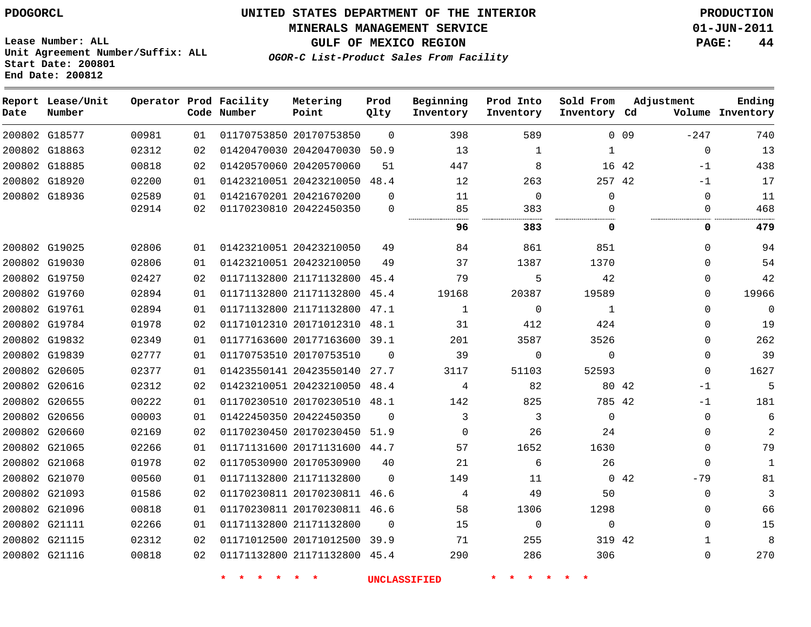**MINERALS MANAGEMENT SERVICE 01-JUN-2011**

**GULF OF MEXICO REGION PAGE: 44**

**Lease Number: ALL Unit Agreement Number/Suffix: ALL Start Date: 200801 End Date: 200812**

**OGOR-C List-Product Sales From Facility**

| Date          | Report Lease/Unit<br>Number |       |    | Operator Prod Facility<br>Code Number | Metering<br>Point            | Prod<br>Qlty | Beginning<br>Inventory | Prod Into<br>Inventory | Sold From<br>Inventory Cd | Adjustment           | Ending<br>Volume Inventory |
|---------------|-----------------------------|-------|----|---------------------------------------|------------------------------|--------------|------------------------|------------------------|---------------------------|----------------------|----------------------------|
| 200802 G18577 |                             | 00981 | 01 |                                       | 01170753850 20170753850      | $\Omega$     | 398                    | 589                    |                           | $-247$<br>0.09       | 740                        |
| 200802 G18863 |                             | 02312 | 02 |                                       | 01420470030 20420470030      | 50.9         | 13                     | $\mathbf 1$            | $\mathbf 1$               | $\mathbf 0$          | 13                         |
| 200802 G18885 |                             | 00818 | 02 |                                       | 01420570060 20420570060      | 51           | 447                    | 8                      |                           | 16 42<br>-1          | 438                        |
| 200802 G18920 |                             | 02200 | 01 |                                       | 01423210051 20423210050      | 48.4         | 12                     | 263                    | 257 42                    | $-1$                 | 17                         |
| 200802 G18936 |                             | 02589 | 01 |                                       | 01421670201 20421670200      | $\Omega$     | 11                     | $\Omega$               | $\Omega$                  | $\mathbf 0$          | 11                         |
|               |                             | 02914 | 02 |                                       | 01170230810 20422450350      | $\mathbf 0$  | 85                     | 383                    | 0                         | $\Omega$             | 468                        |
|               |                             |       |    |                                       |                              |              | 96                     | 383                    | 0                         | 0                    | 479                        |
| 200802 G19025 |                             | 02806 | 01 |                                       | 01423210051 20423210050      | 49           | 84                     | 861                    | 851                       | $\mathbf 0$          | 94                         |
| 200802 G19030 |                             | 02806 | 01 |                                       | 01423210051 20423210050      | 49           | 37                     | 1387                   | 1370                      | $\Omega$             | 54                         |
| 200802 G19750 |                             | 02427 | 02 |                                       | 01171132800 21171132800 45.4 |              | 79                     | 5                      | 42                        | $\Omega$             | 42                         |
| 200802 G19760 |                             | 02894 | 01 |                                       | 01171132800 21171132800      | 45.4         | 19168                  | 20387                  | 19589                     | $\Omega$             | 19966                      |
| 200802 G19761 |                             | 02894 | 01 |                                       | 01171132800 21171132800      | 47.1         | $\mathbf{1}$           | $\mathbf 0$            | 1                         | $\Omega$             | $\mathbf 0$                |
| 200802 G19784 |                             | 01978 | 02 |                                       | 01171012310 20171012310 48.1 |              | 31                     | 412                    | 424                       | $\Omega$             | 19                         |
| 200802 G19832 |                             | 02349 | 01 |                                       | 01177163600 20177163600 39.1 |              | 201                    | 3587                   | 3526                      | $\Omega$             | 262                        |
| 200802 G19839 |                             | 02777 | 01 |                                       | 01170753510 20170753510      | $\Omega$     | 39                     | $\mathbf 0$            | 0                         | $\mathbf 0$          | 39                         |
| 200802 G20605 |                             | 02377 | 01 |                                       | 01423550141 20423550140      | 27.7         | 3117                   | 51103                  | 52593                     | $\mathbf 0$          | 1627                       |
| 200802 G20616 |                             | 02312 | 02 |                                       | 01423210051 20423210050      | 48.4         | 4                      | 82                     |                           | 80 42<br>$-1$        | 5                          |
| 200802 G20655 |                             | 00222 | 01 |                                       | 01170230510 20170230510 48.1 |              | 142                    | 825                    | 785 42                    | $-1$                 | 181                        |
| 200802 G20656 |                             | 00003 | 01 |                                       | 01422450350 20422450350      | $\Omega$     | 3                      | 3                      | $\mathbf 0$               | $\mathbf 0$          | 6                          |
| 200802 G20660 |                             | 02169 | 02 |                                       | 01170230450 20170230450      | 51.9         | $\Omega$               | 26                     | 24                        | $\mathbf 0$          | 2                          |
| 200802 G21065 |                             | 02266 | 01 |                                       | 01171131600 20171131600 44.7 |              | 57                     | 1652                   | 1630                      | $\mathbf 0$          | 79                         |
| 200802 G21068 |                             | 01978 | 02 |                                       | 01170530900 20170530900      | 40           | 21                     | 6                      | 26                        | $\Omega$             | $\mathbf{1}$               |
| 200802 G21070 |                             | 00560 | 01 |                                       | 01171132800 21171132800      | $\Omega$     | 149                    | 11                     |                           | $0\quad 42$<br>$-79$ | 81                         |
| 200802 G21093 |                             | 01586 | 02 |                                       | 01170230811 20170230811 46.6 |              | 4                      | 49                     | 50                        | $\mathbf 0$          | 3                          |
| 200802 G21096 |                             | 00818 | 01 |                                       | 01170230811 20170230811 46.6 |              | 58                     | 1306                   | 1298                      | $\mathbf 0$          | 66                         |
| 200802 G21111 |                             | 02266 | 01 |                                       | 01171132800 21171132800      | $\mathbf 0$  | 15                     | $\mathbf 0$            | $\mathbf 0$               | $\Omega$             | 15                         |
| 200802 G21115 |                             | 02312 | 02 |                                       | 01171012500 20171012500      | 39.9         | 71                     | 255                    | 319 42                    | $\mathbf{1}$         | 8                          |
| 200802 G21116 |                             | 00818 | 02 |                                       | 01171132800 21171132800 45.4 |              | 290                    | 286                    | 306                       | $\mathbf 0$          | 270                        |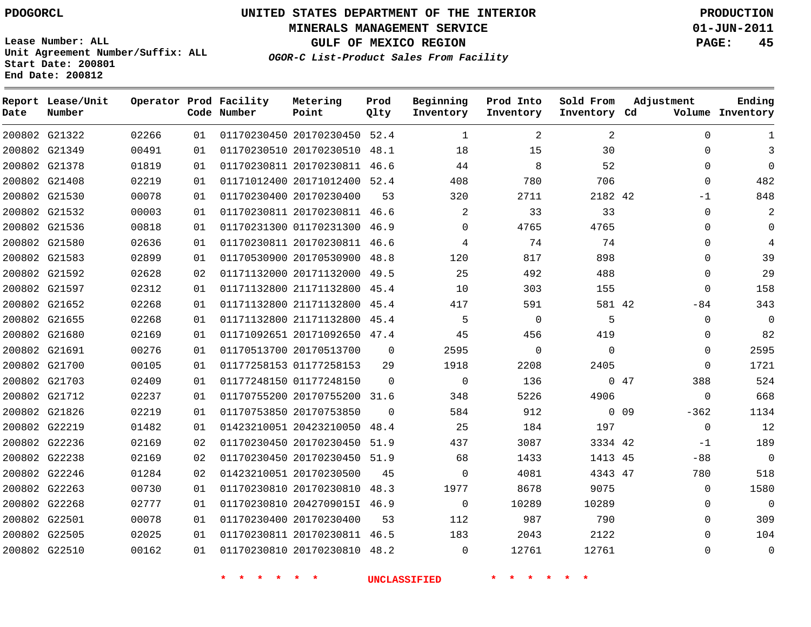**MINERALS MANAGEMENT SERVICE 01-JUN-2011**

**GULF OF MEXICO REGION PAGE: 45**

**Lease Number: ALL Unit Agreement Number/Suffix: ALL Start Date: 200801 End Date: 200812**

**OGOR-C List-Product Sales From Facility**

| Date | Report Lease/Unit<br>Number |       |                 | Operator Prod Facility<br>Code Number | Metering<br>Point            | Prod<br>Qlty | Beginning<br>Inventory | Prod Into<br>Inventory | Sold From<br>Inventory Cd | Adjustment           | Ending<br>Volume Inventory |
|------|-----------------------------|-------|-----------------|---------------------------------------|------------------------------|--------------|------------------------|------------------------|---------------------------|----------------------|----------------------------|
|      | 200802 G21322               | 02266 | 01              |                                       | 01170230450 20170230450 52.4 |              | $\mathbf{1}$           | 2                      | 2                         | $\Omega$             |                            |
|      | 200802 G21349               | 00491 | 01              |                                       | 01170230510 20170230510 48.1 |              | 18                     | 15                     | 30                        | $\mathbf{0}$         | 3                          |
|      | 200802 G21378               | 01819 | 01              |                                       | 01170230811 20170230811 46.6 |              | 44                     | 8                      | 52                        | $\Omega$             | $\Omega$                   |
|      | 200802 G21408               | 02219 | 01              |                                       | 01171012400 20171012400      | 52.4         | 408                    | 780                    | 706                       | 0                    | 482                        |
|      | 200802 G21530               | 00078 | 01              |                                       | 01170230400 20170230400      | 53           | 320                    | 2711                   | 2182 42                   | $-1$                 | 848                        |
|      | 200802 G21532               | 00003 | 01              |                                       | 01170230811 20170230811 46.6 |              | 2                      | 33                     | 33                        | 0                    | 2                          |
|      | 200802 G21536               | 00818 | 01              |                                       | 01170231300 01170231300      | 46.9         | $\Omega$               | 4765                   | 4765                      | 0                    | $\Omega$                   |
|      | 200802 G21580               | 02636 | 01              |                                       | 01170230811 20170230811 46.6 |              | 4                      | 74                     | 74                        | $\Omega$             | $\overline{4}$             |
|      | 200802 G21583               | 02899 | 01              |                                       | 01170530900 20170530900      | 48.8         | 120                    | 817                    | 898                       | 0                    | 39                         |
|      | 200802 G21592               | 02628 | 02              |                                       | 01171132000 20171132000 49.5 |              | 25                     | 492                    | 488                       | $\Omega$             | 29                         |
|      | 200802 G21597               | 02312 | 01              |                                       | 01171132800 21171132800 45.4 |              | 10                     | 303                    | 155                       | $\mathbf 0$          | 158                        |
|      | 200802 G21652               | 02268 | 01              |                                       | 01171132800 21171132800 45.4 |              | 417                    | 591                    | 581 42                    | $-84$                | 343                        |
|      | 200802 G21655               | 02268 | 01              |                                       | 01171132800 21171132800      | 45.4         | 5                      | $\mathbf 0$            | 5                         | $\mathbf{0}$         | $\mathbf{0}$               |
|      | 200802 G21680               | 02169 | 01              |                                       | 01171092651 20171092650 47.4 |              | 45                     | 456                    | 419                       | 0                    | 82                         |
|      | 200802 G21691               | 00276 | 01              |                                       | 01170513700 20170513700      | $\mathbf 0$  | 2595                   | 0                      | $\mathbf 0$               | 0                    | 2595                       |
|      | 200802 G21700               | 00105 | 01              |                                       | 01177258153 01177258153      | 29           | 1918                   | 2208                   | 2405                      | $\Omega$             | 1721                       |
|      | 200802 G21703               | 02409 | 01              |                                       | 01177248150 01177248150      | $\Omega$     | $\mathbf 0$            | 136                    |                           | 047<br>388           | 524                        |
|      | 200802 G21712               | 02237 | 01              |                                       | 01170755200 20170755200 31.6 |              | 348                    | 5226                   | 4906                      | $\Omega$             | 668                        |
|      | 200802 G21826               | 02219 | 01              |                                       | 01170753850 20170753850      | $\Omega$     | 584                    | 912                    |                           | $0\quad09$<br>$-362$ | 1134                       |
|      | 200802 G22219               | 01482 | 01              |                                       | 01423210051 20423210050      | 48.4         | 25                     | 184                    | 197                       | $\mathbf 0$          | 12                         |
|      | 200802 G22236               | 02169 | 02              |                                       | 01170230450 20170230450      | 51.9         | 437                    | 3087                   | 3334 42                   | $-1$                 | 189                        |
|      | 200802 G22238               | 02169 | 02              |                                       | 01170230450 20170230450 51.9 |              | 68                     | 1433                   | 1413 45                   | $-88$                | $\mathbf{0}$               |
|      | 200802 G22246               | 01284 | 02 <sub>2</sub> |                                       | 01423210051 20170230500      | 45           | $\Omega$               | 4081                   | 4343 47                   | 780                  | 518                        |
|      | 200802 G22263               | 00730 | 01              |                                       | 01170230810 20170230810 48.3 |              | 1977                   | 8678                   | 9075                      | 0                    | 1580                       |
|      | 200802 G22268               | 02777 | 01              |                                       | 01170230810 2042709015I 46.9 |              | $\mathbf 0$            | 10289                  | 10289                     | 0                    | $\mathbf{0}$               |
|      | 200802 G22501               | 00078 | 01              |                                       | 01170230400 20170230400      | 53           | 112                    | 987                    | 790                       | $\Omega$             | 309                        |
|      | 200802 G22505               | 02025 | 01              |                                       | 01170230811 20170230811 46.5 |              | 183                    | 2043                   | 2122                      | $\Omega$             | 104                        |
|      | 200802 G22510               | 00162 | 01              |                                       | 01170230810 20170230810 48.2 |              | $\Omega$               | 12761                  | 12761                     | $\Omega$             | $\mathbf 0$                |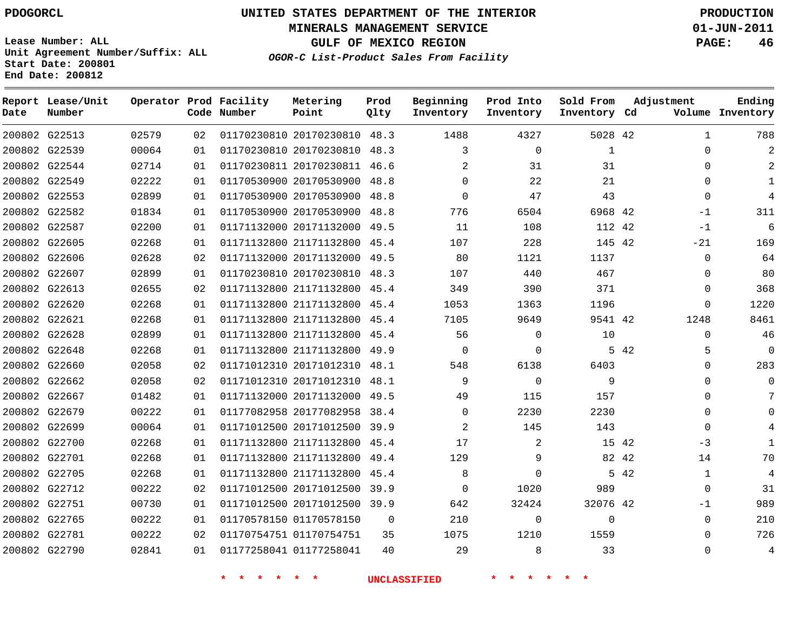# **UNITED STATES DEPARTMENT OF THE INTERIOR PDOGORCL PRODUCTION**

**MINERALS MANAGEMENT SERVICE 01-JUN-2011**

**GULF OF MEXICO REGION PAGE: 46**

**Unit Agreement Number/Suffix: ALL Start Date: 200801 End Date: 200812**

**OGOR-C List-Product Sales From Facility**

| Date | Report Lease/Unit<br>Number |       |    | Operator Prod Facility<br>Code Number | Metering<br>Point            | Prod<br>Qlty | Beginning<br>Inventory | Prod Into<br>Inventory | Sold From<br>Inventory Cd | Adjustment   | Ending<br>Volume Inventory |
|------|-----------------------------|-------|----|---------------------------------------|------------------------------|--------------|------------------------|------------------------|---------------------------|--------------|----------------------------|
|      | 200802 G22513               | 02579 | 02 |                                       | 01170230810 20170230810 48.3 |              | 1488                   | 4327                   | 5028 42                   | $\mathbf{1}$ | 788                        |
|      | 200802 G22539               | 00064 | 01 |                                       | 01170230810 20170230810 48.3 |              | 3                      | $\mathbf 0$            | $\mathbf{1}$              | 0            |                            |
|      | 200802 G22544               | 02714 | 01 |                                       | 01170230811 20170230811 46.6 |              | $\overline{2}$         | 31                     | 31                        | $\Omega$     |                            |
|      | 200802 G22549               | 02222 | 01 |                                       | 01170530900 20170530900 48.8 |              | $\Omega$               | 22                     | 21                        | $\Omega$     | $\mathbf{1}$               |
|      | 200802 G22553               | 02899 | 01 |                                       | 01170530900 20170530900 48.8 |              | $\Omega$               | 47                     | 43                        | $\Omega$     | 4                          |
|      | 200802 G22582               | 01834 | 01 |                                       | 01170530900 20170530900 48.8 |              | 776                    | 6504                   | 6968 42                   | $-1$         | 311                        |
|      | 200802 G22587               | 02200 | 01 |                                       | 01171132000 20171132000 49.5 |              | 11                     | 108                    | 112 42                    | $-1$         | 6                          |
|      | 200802 G22605               | 02268 | 01 |                                       | 01171132800 21171132800 45.4 |              | 107                    | 228                    | 145 42                    | $-21$        | 169                        |
|      | 200802 G22606               | 02628 | 02 |                                       | 01171132000 20171132000 49.5 |              | 80                     | 1121                   | 1137                      | 0            | 64                         |
|      | 200802 G22607               | 02899 | 01 |                                       | 01170230810 20170230810 48.3 |              | 107                    | 440                    | 467                       | $\Omega$     | 80                         |
|      | 200802 G22613               | 02655 | 02 |                                       | 01171132800 21171132800 45.4 |              | 349                    | 390                    | 371                       | $\Omega$     | 368                        |
|      | 200802 G22620               | 02268 | 01 |                                       | 01171132800 21171132800 45.4 |              | 1053                   | 1363                   | 1196                      | $\mathbf 0$  | 1220                       |
|      | 200802 G22621               | 02268 | 01 |                                       | 01171132800 21171132800 45.4 |              | 7105                   | 9649                   | 9541 42                   | 1248         | 8461                       |
|      | 200802 G22628               | 02899 | 01 |                                       | 01171132800 21171132800 45.4 |              | 56                     | 0                      | 10                        | $\mathbf 0$  | 46                         |
|      | 200802 G22648               | 02268 | 01 |                                       | 01171132800 21171132800 49.9 |              | $\Omega$               | $\mathbf 0$            |                           | 5 42<br>5    | 0                          |
|      | 200802 G22660               | 02058 | 02 |                                       | 01171012310 20171012310 48.1 |              | 548                    | 6138                   | 6403                      | $\Omega$     | 283                        |
|      | 200802 G22662               | 02058 | 02 |                                       | 01171012310 20171012310 48.1 |              | 9                      | $\Omega$               | 9                         | $\Omega$     | 0                          |
|      | 200802 G22667               | 01482 | 01 |                                       | 01171132000 20171132000 49.5 |              | 49                     | 115                    | 157                       | $\Omega$     |                            |
|      | 200802 G22679               | 00222 | 01 |                                       | 01177082958 20177082958 38.4 |              | $\Omega$               | 2230                   | 2230                      | $\Omega$     |                            |
|      | 200802 G22699               | 00064 | 01 |                                       | 01171012500 20171012500 39.9 |              | $\overline{2}$         | 145                    | 143                       | $\mathbf 0$  |                            |
|      | 200802 G22700               | 02268 | 01 |                                       | 01171132800 21171132800 45.4 |              | 17                     | 2                      | 15 42                     | -3           | $\mathbf{1}$               |
|      | 200802 G22701               | 02268 | 01 |                                       | 01171132800 21171132800 49.4 |              | 129                    | 9                      | 82 42                     | 14           | 70                         |
|      | 200802 G22705               | 02268 | 01 |                                       | 01171132800 21171132800 45.4 |              | 8                      | $\Omega$               |                           | 5 42<br>1    | 4                          |
|      | 200802 G22712               | 00222 | 02 |                                       | 01171012500 20171012500 39.9 |              | $\mathbf 0$            | 1020                   | 989                       | $\mathbf 0$  | 31                         |
|      | 200802 G22751               | 00730 | 01 |                                       | 01171012500 20171012500 39.9 |              | 642                    | 32424                  | 32076 42                  | -1           | 989                        |
|      | 200802 G22765               | 00222 | 01 |                                       | 01170578150 01170578150      | $\Omega$     | 210                    | $\mathbf 0$            | $\mathbf{0}$              | $\mathbf 0$  | 210                        |
|      | 200802 G22781               | 00222 | 02 |                                       | 01170754751 01170754751      | 35           | 1075                   | 1210                   | 1559                      | $\Omega$     | 726                        |
|      | 200802 G22790               | 02841 | 01 |                                       | 01177258041 01177258041      | 40           | 29                     | 8                      | 33                        | $\Omega$     | $\overline{4}$             |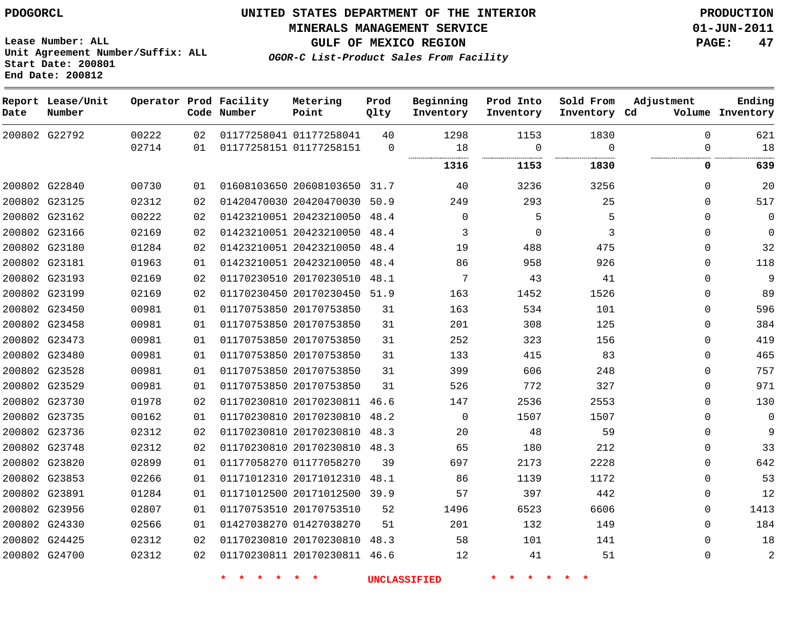**MINERALS MANAGEMENT SERVICE 01-JUN-2011**

**GULF OF MEXICO REGION PAGE: 47**

**Ending**

**OGOR-C List-Product Sales From Facility Lease Number: ALL Unit Agreement Number/Suffix: ALL Start Date: 200801 End Date: 200812 Report Lease/Unit Date** G22792 **Number Operator Prod Facility Code Number Metering Point Prod Qlty Beginning Inventory Prod Into Inventory**

| Date | Number        |                |          | Code Number | Point                                              | Qlty              | Inventory   | Inventory        | Inventory Cd     |               | Volume Inventory |
|------|---------------|----------------|----------|-------------|----------------------------------------------------|-------------------|-------------|------------------|------------------|---------------|------------------|
|      | 200802 G22792 | 00222<br>02714 | 02<br>01 |             | 01177258041 01177258041<br>01177258151 01177258151 | 40<br>$\mathbf 0$ | 1298<br>18  | 1153<br>$\Omega$ | 1830<br>$\Omega$ | $\Omega$<br>O | 621<br>18        |
|      |               |                |          |             |                                                    |                   | <br>1316    | 1153             | 1830             | 0             | 639              |
|      |               |                |          |             |                                                    |                   |             |                  |                  |               |                  |
|      | 200802 G22840 | 00730          | 01       |             | 01608103650 20608103650                            | 31.7              | 40          | 3236             | 3256             | 0             | 20               |
|      | 200802 G23125 | 02312          | 02       |             | 01420470030 20420470030 50.9                       |                   | 249         | 293              | 25               | $\Omega$      | 517              |
|      | 200802 G23162 | 00222          | 02       |             | 01423210051 20423210050                            | 48.4              | 0           | 5                | 5                | $\Omega$      | $\mathbf 0$      |
|      | 200802 G23166 | 02169          | 02       |             | 01423210051 20423210050                            | 48.4              | 3           | $\Omega$         | 3                | $\Omega$      | $\Omega$         |
|      | 200802 G23180 | 01284          | 02       |             | 01423210051 20423210050                            | 48.4              | 19          | 488              | 475              | $\Omega$      | 32               |
|      | 200802 G23181 | 01963          | 01       |             | 01423210051 20423210050                            | 48.4              | 86          | 958              | 926              | $\mathbf 0$   | 118              |
|      | 200802 G23193 | 02169          | 02       |             | 01170230510 20170230510                            | 48.1              | 7           | 43               | 41               | $\mathbf 0$   | 9                |
|      | 200802 G23199 | 02169          | 02       |             | 01170230450 20170230450                            | 51.9              | 163         | 1452             | 1526             | $\mathbf 0$   | 89               |
|      | 200802 G23450 | 00981          | 01       |             | 01170753850 20170753850                            | 31                | 163         | 534              | 101              | 0             | 596              |
|      | 200802 G23458 | 00981          | 01       |             | 01170753850 20170753850                            | 31                | 201         | 308              | 125              | $\mathbf 0$   | 384              |
|      | 200802 G23473 | 00981          | 01       |             | 01170753850 20170753850                            | 31                | 252         | 323              | 156              | $\mathbf 0$   | 419              |
|      | 200802 G23480 | 00981          | 01       |             | 01170753850 20170753850                            | 31                | 133         | 415              | 83               | $\Omega$      | 465              |
|      | 200802 G23528 | 00981          | 01       |             | 01170753850 20170753850                            | 31                | 399         | 606              | 248              | $\Omega$      | 757              |
|      | 200802 G23529 | 00981          | 01       |             | 01170753850 20170753850                            | 31                | 526         | 772              | 327              | $\Omega$      | 971              |
|      | 200802 G23730 | 01978          | 02       |             | 01170230810 20170230811                            | 46.6              | 147         | 2536             | 2553             | $\Omega$      | 130              |
|      | 200802 G23735 | 00162          | 01       |             | 01170230810 20170230810                            | 48.2              | $\mathbf 0$ | 1507             | 1507             | $\mathbf 0$   | $\mathbf 0$      |
|      | 200802 G23736 | 02312          | 02       |             | 01170230810 20170230810                            | 48.3              | 20          | 48               | 59               | $\mathbf 0$   | 9                |
|      | 200802 G23748 | 02312          | 02       |             | 01170230810 20170230810                            | 48.3              | 65          | 180              | 212              | $\mathbf 0$   | 33               |
|      | 200802 G23820 | 02899          | 01       |             | 01177058270 01177058270                            | 39                | 697         | 2173             | 2228             | $\mathbf 0$   | 642              |
|      | 200802 G23853 | 02266          | 01       |             | 01171012310 20171012310                            | 48.1              | 86          | 1139             | 1172             | $\Omega$      | 53               |
|      | 200802 G23891 | 01284          | 01       |             | 01171012500 20171012500                            | 39.9              | 57          | 397              | 442              | $\mathbf 0$   | 12               |
|      | 200802 G23956 | 02807          | 01       |             | 01170753510 20170753510                            | 52                | 1496        | 6523             | 6606             | $\mathbf 0$   | 1413             |
|      | 200802 G24330 | 02566          | 01       |             | 01427038270 01427038270                            | 51                | 201         | 132              | 149              | $\Omega$      | 184              |
|      | 200802 G24425 | 02312          | 02       |             | 01170230810 20170230810 48.3                       |                   | 58          | 101              | 141              | $\Omega$      | 18               |
|      | 200802 G24700 | 02312          | 02       |             | 01170230811 20170230811 46.6                       |                   | 12          | 41               | 51               | $\Omega$      | $\overline{2}$   |

**\* \* \* \* \* \* UNCLASSIFIED \* \* \* \* \* \***

**Sold From**

**Adjustment**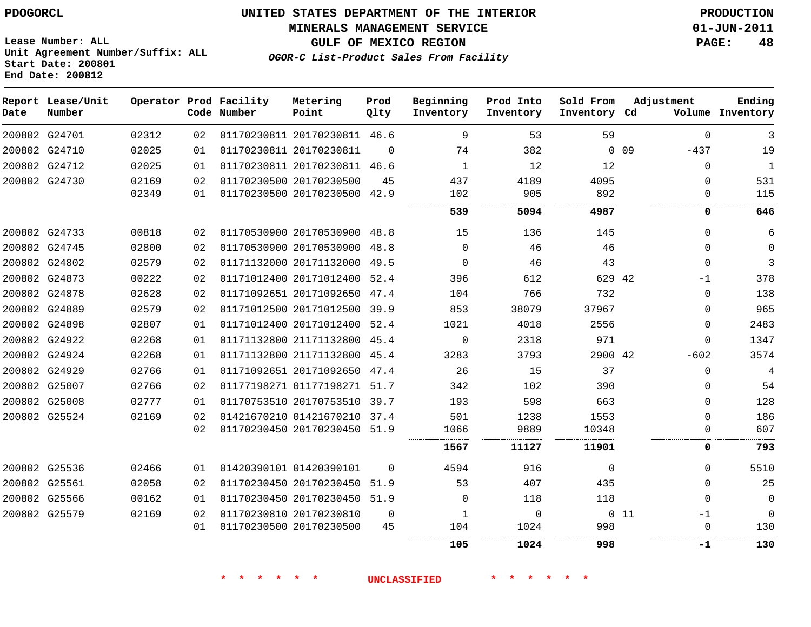**Start Date: 200801 End Date: 200812**

**Unit Agreement Number/Suffix: ALL**

# **UNITED STATES DEPARTMENT OF THE INTERIOR PDOGORCL PRODUCTION**

**MINERALS MANAGEMENT SERVICE 01-JUN-2011**

**GULF OF MEXICO REGION PAGE: 48**

**OGOR-C List-Product Sales From Facility**

| Date | Report Lease/Unit<br>Number |       |                 | Operator Prod Facility<br>Code Number | Metering<br>Point            | Prod<br>Qlty | Beginning<br>Inventory | Prod Into<br>Inventory | Sold From<br>Inventory Cd | Adjustment                |              | Ending<br>Volume Inventory |
|------|-----------------------------|-------|-----------------|---------------------------------------|------------------------------|--------------|------------------------|------------------------|---------------------------|---------------------------|--------------|----------------------------|
|      | 200802 G24701               | 02312 | 02              |                                       | 01170230811 20170230811 46.6 |              | 9                      | 53                     | 59                        |                           | $\mathbf 0$  | 3                          |
|      | 200802 G24710               | 02025 | 01              |                                       | 01170230811 20170230811      | $\Omega$     | 74                     | 382                    |                           | 0 <sub>09</sub><br>$-437$ |              | 19                         |
|      | 200802 G24712               | 02025 | 01              |                                       | 01170230811 20170230811 46.6 |              | $\mathbf{1}$           | 12                     | 12                        |                           | $\Omega$     | $\mathbf{1}$               |
|      | 200802 G24730               | 02169 | 02 <sub>2</sub> |                                       | 01170230500 20170230500      | 45           | 437                    | 4189                   | 4095                      |                           | $\Omega$     | 531                        |
|      |                             | 02349 | 01              |                                       | 01170230500 20170230500 42.9 |              | 102                    | 905                    | 892                       |                           | 0            | 115                        |
|      |                             |       |                 |                                       |                              |              | 539                    | 5094                   | 4987                      |                           | 0            | 646                        |
|      | 200802 G24733               | 00818 | 02              |                                       | 01170530900 20170530900 48.8 |              | 15                     | 136                    | 145                       |                           | 0            | 6                          |
|      | 200802 G24745               | 02800 | 02              |                                       | 01170530900 20170530900      | 48.8         | 0                      | 46                     | 46                        |                           | 0            | $\mathbf 0$                |
|      | 200802 G24802               | 02579 | 02              |                                       | 01171132000 20171132000      | 49.5         | $\Omega$               | 46                     | 43                        |                           | $\Omega$     | 3                          |
|      | 200802 G24873               | 00222 | 02              |                                       | 01171012400 20171012400 52.4 |              | 396                    | 612                    | 629 42                    |                           | $-1$         | 378                        |
|      | 200802 G24878               | 02628 | 02              |                                       | 01171092651 20171092650 47.4 |              | 104                    | 766                    | 732                       |                           | 0            | 138                        |
|      | 200802 G24889               | 02579 | 02              |                                       | 01171012500 20171012500      | 39.9         | 853                    | 38079                  | 37967                     |                           | 0            | 965                        |
|      | 200802 G24898               | 02807 | 01              |                                       | 01171012400 20171012400 52.4 |              | 1021                   | 4018                   | 2556                      |                           | 0            | 2483                       |
|      | 200802 G24922               | 02268 | 01              |                                       | 01171132800 21171132800      | 45.4         | $\Omega$               | 2318                   | 971                       |                           | $\Omega$     | 1347                       |
|      | 200802 G24924               | 02268 | 01              |                                       | 01171132800 21171132800 45.4 |              | 3283                   | 3793                   | 2900 42                   | $-602$                    |              | 3574                       |
|      | 200802 G24929               | 02766 | 01              |                                       | 01171092651 20171092650      | 47.4         | 26                     | 15                     | 37                        |                           | $\mathbf 0$  | 4                          |
|      | 200802 G25007               | 02766 | 02 <sub>2</sub> |                                       | 01177198271 01177198271 51.7 |              | 342                    | 102                    | 390                       |                           | 0            | 54                         |
|      | 200802 G25008               | 02777 | 01              |                                       | 01170753510 20170753510      | 39.7         | 193                    | 598                    | 663                       |                           | 0            | 128                        |
|      | 200802 G25524               | 02169 | 02              |                                       | 01421670210 01421670210 37.4 |              | 501                    | 1238                   | 1553                      |                           | 0            | 186                        |
|      |                             |       | 02              |                                       | 01170230450 20170230450 51.9 |              | 1066                   | 9889                   | 10348                     |                           | $\mathbf{0}$ | 607                        |
|      |                             |       |                 |                                       |                              |              | 1567                   | 11127                  | 11901                     |                           | 0            | 793                        |
|      | 200802 G25536               | 02466 | 01              |                                       | 01420390101 01420390101      | $\Omega$     | 4594                   | 916                    | $\mathbf 0$               |                           | 0            | 5510                       |
|      | 200802 G25561               | 02058 | 02              |                                       | 01170230450 20170230450      | 51.9         | 53                     | 407                    | 435                       |                           | $\Omega$     | 25                         |
|      | 200802 G25566               | 00162 | 01              |                                       | 01170230450 20170230450      | 51.9         | 0                      | 118                    | 118                       |                           | $\mathbf 0$  | $\mathbf 0$                |
|      | 200802 G25579               | 02169 | 02              |                                       | 01170230810 20170230810      | $\mathbf 0$  | 1                      | 0                      |                           | $0\quad11$                | $-1$         | $\mathbf 0$                |
|      |                             |       | 01              |                                       | 01170230500 20170230500      | 45           | 104                    | 1024                   | 998                       |                           | $\Omega$     | 130                        |
|      |                             |       |                 |                                       |                              |              | 105                    | 1024                   | 998                       |                           | -1           | 130                        |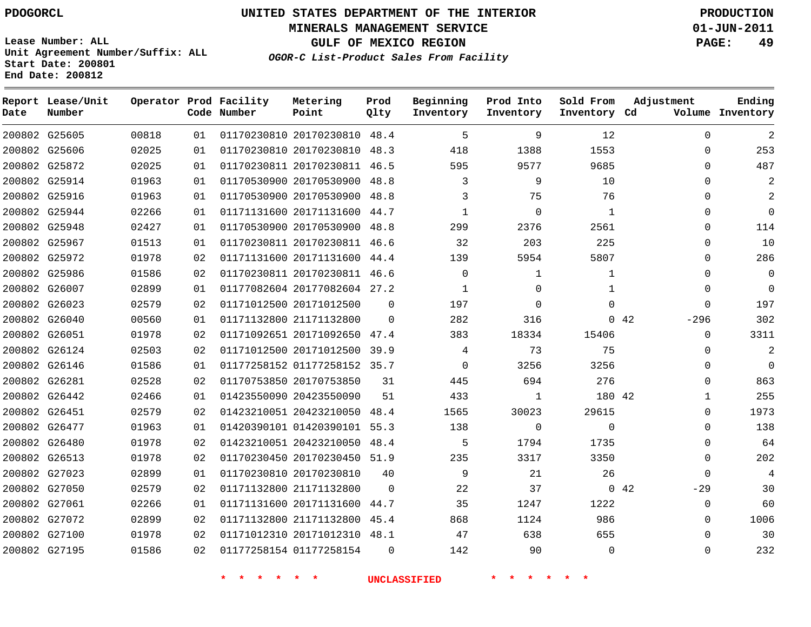**MINERALS MANAGEMENT SERVICE 01-JUN-2011**

**GULF OF MEXICO REGION PAGE: 49**

**Lease Number: ALL Unit Agreement Number/Suffix: ALL Start Date: 200801 End Date: 200812**

**OGOR-C List-Product Sales From Facility**

| Date | Report Lease/Unit<br>Number |       |    | Operator Prod Facility<br>Code Number | Metering<br>Point            | Prod<br>Qlty | Beginning<br>Inventory | Prod Into<br>Inventory | Sold From<br>Inventory Cd | Adjustment            | Ending<br>Volume Inventory |
|------|-----------------------------|-------|----|---------------------------------------|------------------------------|--------------|------------------------|------------------------|---------------------------|-----------------------|----------------------------|
|      | 200802 G25605               | 00818 | 01 |                                       | 01170230810 20170230810 48.4 |              | 5                      | 9                      | 12                        | $\Omega$              | 2                          |
|      | 200802 G25606               | 02025 | 01 |                                       | 01170230810 20170230810      | 48.3         | 418                    | 1388                   | 1553                      | $\mathbf 0$           | 253                        |
|      | 200802 G25872               | 02025 | 01 |                                       | 01170230811 20170230811 46.5 |              | 595                    | 9577                   | 9685                      | $\Omega$              | 487                        |
|      | 200802 G25914               | 01963 | 01 |                                       | 01170530900 20170530900 48.8 |              | 3                      | 9                      | 10                        | $\Omega$              | 2                          |
|      | 200802 G25916               | 01963 | 01 |                                       | 01170530900 20170530900 48.8 |              | 3                      | 75                     | 76                        | $\Omega$              | 2                          |
|      | 200802 G25944               | 02266 | 01 |                                       | 01171131600 20171131600 44.7 |              | 1                      | $\mathbf 0$            | $\mathbf{1}$              | $\mathbf 0$           | $\mathbf 0$                |
|      | 200802 G25948               | 02427 | 01 |                                       | 01170530900 20170530900      | 48.8         | 299                    | 2376                   | 2561                      | $\Omega$              | 114                        |
|      | 200802 G25967               | 01513 | 01 |                                       | 01170230811 20170230811 46.6 |              | 32                     | 203                    | 225                       | $\Omega$              | 10                         |
|      | 200802 G25972               | 01978 | 02 |                                       | 01171131600 20171131600 44.4 |              | 139                    | 5954                   | 5807                      | $\mathbf{0}$          | 286                        |
|      | 200802 G25986               | 01586 | 02 |                                       | 01170230811 20170230811 46.6 |              | $\Omega$               | 1                      | $\mathbf{1}$              | $\mathbf{0}$          | $\mathbf 0$                |
|      | 200802 G26007               | 02899 | 01 |                                       | 01177082604 20177082604 27.2 |              | $\mathbf{1}$           | $\mathbf 0$            | $\mathbf{1}$              | $\mathbf{0}$          | $\mathbf 0$                |
|      | 200802 G26023               | 02579 | 02 |                                       | 01171012500 20171012500      | $\Omega$     | 197                    | $\mathbf 0$            | $\Omega$                  | $\Omega$              | 197                        |
|      | 200802 G26040               | 00560 | 01 |                                       | 01171132800 21171132800      | $\Omega$     | 282                    | 316                    |                           | $0\quad 42$<br>$-296$ | 302                        |
|      | 200802 G26051               | 01978 | 02 |                                       | 01171092651 20171092650 47.4 |              | 383                    | 18334                  | 15406                     | $\Omega$              | 3311                       |
|      | 200802 G26124               | 02503 | 02 |                                       | 01171012500 20171012500      | 39.9         | 4                      | 73                     | 75                        | $\Omega$              | $\overline{a}$             |
|      | 200802 G26146               | 01586 | 01 |                                       | 01177258152 01177258152 35.7 |              | $\Omega$               | 3256                   | 3256                      | $\Omega$              | $\Omega$                   |
|      | 200802 G26281               | 02528 | 02 |                                       | 01170753850 20170753850      | 31           | 445                    | 694                    | 276                       | $\Omega$              | 863                        |
|      | 200802 G26442               | 02466 | 01 |                                       | 01423550090 20423550090      | 51           | 433                    | $\mathbf{1}$           | 180 42                    | $\mathbf{1}$          | 255                        |
|      | 200802 G26451               | 02579 | 02 |                                       | 01423210051 20423210050      | 48.4         | 1565                   | 30023                  | 29615                     | $\Omega$              | 1973                       |
|      | 200802 G26477               | 01963 | 01 |                                       | 01420390101 01420390101 55.3 |              | 138                    | $\Omega$               | $\Omega$                  | $\Omega$              | 138                        |
|      | 200802 G26480               | 01978 | 02 |                                       | 01423210051 20423210050      | 48.4         | 5                      | 1794                   | 1735                      | $\mathbf 0$           | 64                         |
|      | 200802 G26513               | 01978 | 02 |                                       | 01170230450 20170230450      | 51.9         | 235                    | 3317                   | 3350                      | $\Omega$              | 202                        |
|      | 200802 G27023               | 02899 | 01 |                                       | 01170230810 20170230810      | 40           | 9                      | 21                     | 26                        | $\Omega$              | 4                          |
|      | 200802 G27050               | 02579 | 02 |                                       | 01171132800 21171132800      | $\Omega$     | 22                     | 37                     |                           | $0\quad 42$<br>$-29$  | 30                         |
|      | 200802 G27061               | 02266 | 01 |                                       | 01171131600 20171131600      | 44.7         | 35                     | 1247                   | 1222                      | $\mathbf{0}$          | 60                         |
|      | 200802 G27072               | 02899 | 02 |                                       | 01171132800 21171132800      | 45.4         | 868                    | 1124                   | 986                       | $\Omega$              | 1006                       |
|      | 200802 G27100               | 01978 | 02 |                                       | 01171012310 20171012310 48.1 |              | 47                     | 638                    | 655                       | $\Omega$              | 30                         |
|      | 200802 G27195               | 01586 | 02 |                                       | 01177258154 01177258154      | $\Omega$     | 142                    | 90                     | $\Omega$                  | $\Omega$              | 232                        |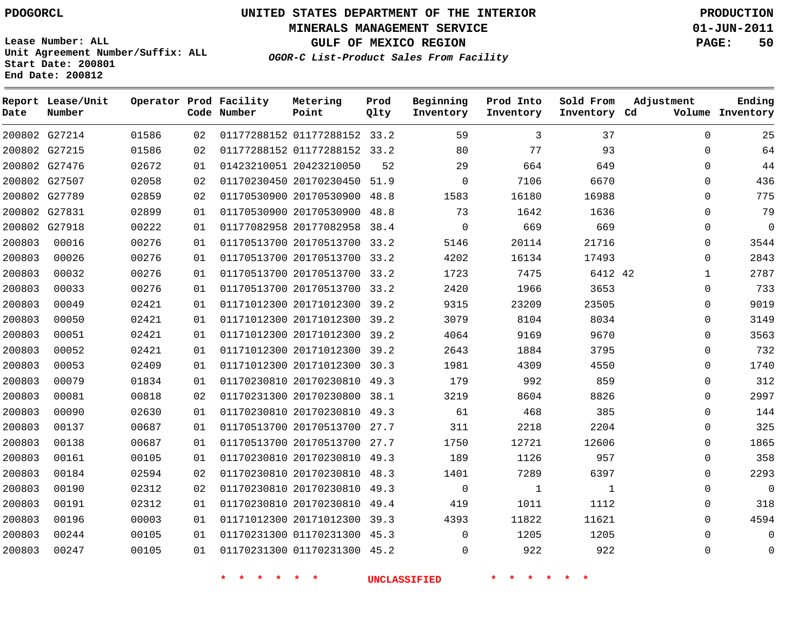**MINERALS MANAGEMENT SERVICE 01-JUN-2011**

**GULF OF MEXICO REGION PAGE: 50**

**Lease Number: ALL Unit Agreement Number/Suffix: ALL Start Date: 200801 End Date: 200812**

**OGOR-C List-Product Sales From Facility**

| Date   | Report Lease/Unit<br>Number |       |    | Operator Prod Facility<br>Code Number | Metering<br>Point            | Prod<br>Qlty | Beginning<br>Inventory | Prod Into<br>Inventory | Sold From<br>Inventory Cd | Adjustment   | Ending<br>Volume Inventory |
|--------|-----------------------------|-------|----|---------------------------------------|------------------------------|--------------|------------------------|------------------------|---------------------------|--------------|----------------------------|
|        | 200802 G27214               | 01586 | 02 |                                       | 01177288152 01177288152 33.2 |              | 59                     | 3                      | 37                        | $\Omega$     | 25                         |
|        | 200802 G27215               | 01586 | 02 |                                       | 01177288152 01177288152 33.2 |              | 80                     | 77                     | 93                        | $\Omega$     | 64                         |
|        | 200802 G27476               | 02672 | 01 |                                       | 01423210051 20423210050      | 52           | 29                     | 664                    | 649                       | $\Omega$     | 44                         |
|        | 200802 G27507               | 02058 | 02 |                                       | 01170230450 20170230450 51.9 |              | 0                      | 7106                   | 6670                      | $\Omega$     | 436                        |
|        | 200802 G27789               | 02859 | 02 |                                       | 01170530900 20170530900      | 48.8         | 1583                   | 16180                  | 16988                     | $\Omega$     | 775                        |
|        | 200802 G27831               | 02899 | 01 |                                       | 01170530900 20170530900      | 48.8         | 73                     | 1642                   | 1636                      | $\Omega$     | 79                         |
|        | 200802 G27918               | 00222 | 01 |                                       | 01177082958 20177082958 38.4 |              | $\mathbf 0$            | 669                    | 669                       | $\Omega$     | 0                          |
| 200803 | 00016                       | 00276 | 01 |                                       | 01170513700 20170513700 33.2 |              | 5146                   | 20114                  | 21716                     | 0            | 3544                       |
| 200803 | 00026                       | 00276 | 01 |                                       | 01170513700 20170513700 33.2 |              | 4202                   | 16134                  | 17493                     | $\Omega$     | 2843                       |
| 200803 | 00032                       | 00276 | 01 |                                       | 01170513700 20170513700 33.2 |              | 1723                   | 7475                   | 6412 42                   | $\mathbf 1$  | 2787                       |
| 200803 | 00033                       | 00276 | 01 |                                       | 01170513700 20170513700 33.2 |              | 2420                   | 1966                   | 3653                      | $\Omega$     | 733                        |
| 200803 | 00049                       | 02421 | 01 |                                       | 01171012300 20171012300 39.2 |              | 9315                   | 23209                  | 23505                     | 0            | 9019                       |
| 200803 | 00050                       | 02421 | 01 |                                       | 01171012300 20171012300 39.2 |              | 3079                   | 8104                   | 8034                      | $\Omega$     | 3149                       |
| 200803 | 00051                       | 02421 | 01 |                                       | 01171012300 20171012300 39.2 |              | 4064                   | 9169                   | 9670                      | $\Omega$     | 3563                       |
| 200803 | 00052                       | 02421 | 01 |                                       | 01171012300 20171012300 39.2 |              | 2643                   | 1884                   | 3795                      | $\Omega$     | 732                        |
| 200803 | 00053                       | 02409 | 01 |                                       | 01171012300 20171012300      | 30.3         | 1981                   | 4309                   | 4550                      | 0            | 1740                       |
| 200803 | 00079                       | 01834 | 01 |                                       | 01170230810 20170230810 49.3 |              | 179                    | 992                    | 859                       | $\Omega$     | 312                        |
| 200803 | 00081                       | 00818 | 02 |                                       | 01170231300 20170230800 38.1 |              | 3219                   | 8604                   | 8826                      | $\Omega$     | 2997                       |
| 200803 | 00090                       | 02630 | 01 |                                       | 01170230810 20170230810 49.3 |              | 61                     | 468                    | 385                       | $\Omega$     | 144                        |
| 200803 | 00137                       | 00687 | 01 |                                       | 01170513700 20170513700      | 27.7         | 311                    | 2218                   | 2204                      | $\mathbf{0}$ | 325                        |
| 200803 | 00138                       | 00687 | 01 |                                       | 01170513700 20170513700 27.7 |              | 1750                   | 12721                  | 12606                     | 0            | 1865                       |
| 200803 | 00161                       | 00105 | 01 |                                       | 01170230810 20170230810 49.3 |              | 189                    | 1126                   | 957                       | $\Omega$     | 358                        |
| 200803 | 00184                       | 02594 | 02 |                                       | 01170230810 20170230810 48.3 |              | 1401                   | 7289                   | 6397                      | $\Omega$     | 2293                       |
| 200803 | 00190                       | 02312 | 02 |                                       | 01170230810 20170230810      | 49.3         | 0                      | $\mathbf{1}$           | $\mathbf{1}$              | $\Omega$     | 0                          |
| 200803 | 00191                       | 02312 | 01 |                                       | 01170230810 20170230810 49.4 |              | 419                    | 1011                   | 1112                      | $\Omega$     | 318                        |
| 200803 | 00196                       | 00003 | 01 |                                       | 01171012300 20171012300 39.3 |              | 4393                   | 11822                  | 11621                     | $\Omega$     | 4594                       |
| 200803 | 00244                       | 00105 | 01 |                                       | 01170231300 01170231300 45.3 |              | $\Omega$               | 1205                   | 1205                      | 0            | 0                          |
| 200803 | 00247                       | 00105 | 01 |                                       | 01170231300 01170231300 45.2 |              | $\Omega$               | 922                    | 922                       | $\Omega$     | 0                          |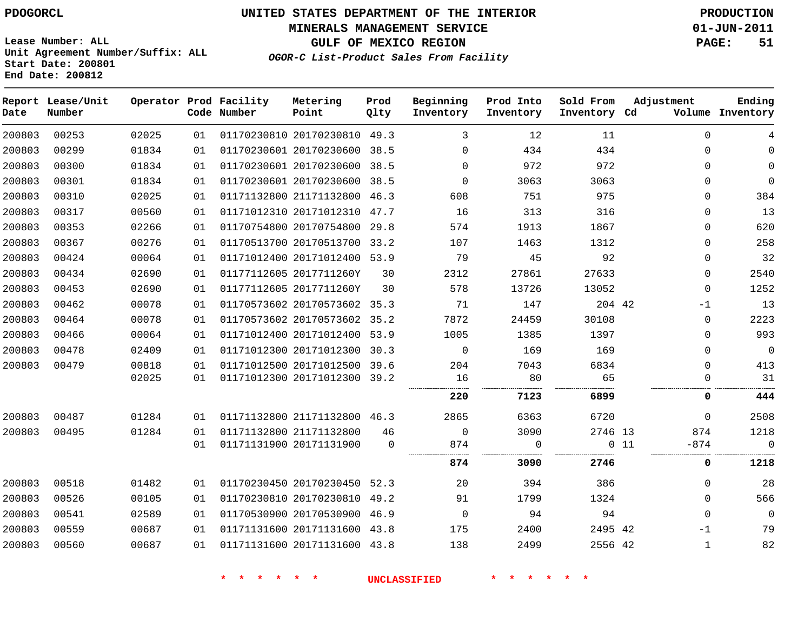**MINERALS MANAGEMENT SERVICE 01-JUN-2011**

**GULF OF MEXICO REGION PAGE: 51**

**Lease Number: ALL Unit Agreement Number/Suffix: ALL Start Date: 200801 End Date: 200812**

**OGOR-C List-Product Sales From Facility**

| Date   | Report Lease/Unit<br>Number |       |    | Operator Prod Facility<br>Code Number | Metering<br>Point            | Prod<br>Qlty | Beginning<br>Inventory | Prod Into<br>Inventory | Sold From<br>Inventory Cd | Adjustment    | Ending<br>Volume Inventory |
|--------|-----------------------------|-------|----|---------------------------------------|------------------------------|--------------|------------------------|------------------------|---------------------------|---------------|----------------------------|
| 200803 | 00253                       | 02025 | 01 |                                       | 01170230810 20170230810 49.3 |              | 3                      | 12                     | 11                        | $\Omega$      | 4                          |
| 200803 | 00299                       | 01834 | 01 |                                       | 01170230601 20170230600 38.5 |              | $\Omega$               | 434                    | 434                       | $\mathbf 0$   | $\Omega$                   |
| 200803 | 00300                       | 01834 | 01 |                                       | 01170230601 20170230600      | 38.5         | $\mathbf 0$            | 972                    | 972                       | $\mathbf 0$   | $\mathbf 0$                |
| 200803 | 00301                       | 01834 | 01 |                                       | 01170230601 20170230600 38.5 |              | $\Omega$               | 3063                   | 3063                      | $\Omega$      | $\Omega$                   |
| 200803 | 00310                       | 02025 | 01 |                                       | 01171132800 21171132800 46.3 |              | 608                    | 751                    | 975                       | $\mathbf 0$   | 384                        |
| 200803 | 00317                       | 00560 | 01 |                                       | 01171012310 20171012310 47.7 |              | 16                     | 313                    | 316                       | $\mathbf 0$   | 13                         |
| 200803 | 00353                       | 02266 | 01 |                                       | 01170754800 20170754800      | 29.8         | 574                    | 1913                   | 1867                      | $\mathbf 0$   | 620                        |
| 200803 | 00367                       | 00276 | 01 |                                       | 01170513700 20170513700 33.2 |              | 107                    | 1463                   | 1312                      | $\Omega$      | 258                        |
| 200803 | 00424                       | 00064 | 01 |                                       | 01171012400 20171012400 53.9 |              | 79                     | 45                     | 92                        | $\Omega$      | 32                         |
| 200803 | 00434                       | 02690 | 01 |                                       | 01177112605 2017711260Y      | 30           | 2312                   | 27861                  | 27633                     | $\mathbf 0$   | 2540                       |
| 200803 | 00453                       | 02690 | 01 |                                       | 01177112605 2017711260Y      | 30           | 578                    | 13726                  | 13052                     | $\mathbf 0$   | 1252                       |
| 200803 | 00462                       | 00078 | 01 |                                       | 01170573602 20170573602 35.3 |              | 71                     | 147                    | 204 42                    | $-1$          | 13                         |
| 200803 | 00464                       | 00078 | 01 |                                       | 01170573602 20170573602 35.2 |              | 7872                   | 24459                  | 30108                     | $\mathbf 0$   | 2223                       |
| 200803 | 00466                       | 00064 | 01 |                                       | 01171012400 20171012400 53.9 |              | 1005                   | 1385                   | 1397                      | $\Omega$      | 993                        |
| 200803 | 00478                       | 02409 | 01 |                                       | 01171012300 20171012300      | 30.3         | $\mathbf 0$            | 169                    | 169                       | $\mathbf 0$   | $\overline{0}$             |
| 200803 | 00479                       | 00818 | 01 |                                       | 01171012500 20171012500 39.6 |              | 204                    | 7043                   | 6834                      | $\mathbf 0$   | 413                        |
|        |                             | 02025 | 01 |                                       | 01171012300 20171012300 39.2 |              | 16                     | 80                     | 65                        | 0             | 31                         |
|        |                             |       |    |                                       |                              |              | 220                    | 7123                   | 6899                      | 0             | 444                        |
| 200803 | 00487                       | 01284 | 01 |                                       | 01171132800 21171132800 46.3 |              | 2865                   | 6363                   | 6720                      | $\Omega$      | 2508                       |
| 200803 | 00495                       | 01284 | 01 |                                       | 01171132800 21171132800      | 46           | $\Omega$               | 3090                   | 2746 13                   | 874           | 1218                       |
|        |                             |       | 01 |                                       | 01171131900 20171131900      | $\Omega$     | 874<br>                | $\Omega$               |                           | 011<br>$-874$ | $\overline{0}$             |
|        |                             |       |    |                                       |                              |              | 874                    | 3090                   | 2746                      | 0             | 1218                       |
| 200803 | 00518                       | 01482 | 01 |                                       | 01170230450 20170230450 52.3 |              | 20                     | 394                    | 386                       | $\mathbf 0$   | 28                         |
| 200803 | 00526                       | 00105 | 01 |                                       | 01170230810 20170230810      | 49.2         | 91                     | 1799                   | 1324                      | $\Omega$      | 566                        |
| 200803 | 00541                       | 02589 | 01 |                                       | 01170530900 20170530900 46.9 |              | $\Omega$               | 94                     | 94                        | $\Omega$      | $\Omega$                   |
| 200803 | 00559                       | 00687 | 01 |                                       | 01171131600 20171131600 43.8 |              | 175                    | 2400                   | 2495 42                   | $-1$          | 79                         |
| 200803 | 00560                       | 00687 | 01 |                                       | 01171131600 20171131600 43.8 |              | 138                    | 2499                   | 2556 42                   | $\mathbf{1}$  | 82                         |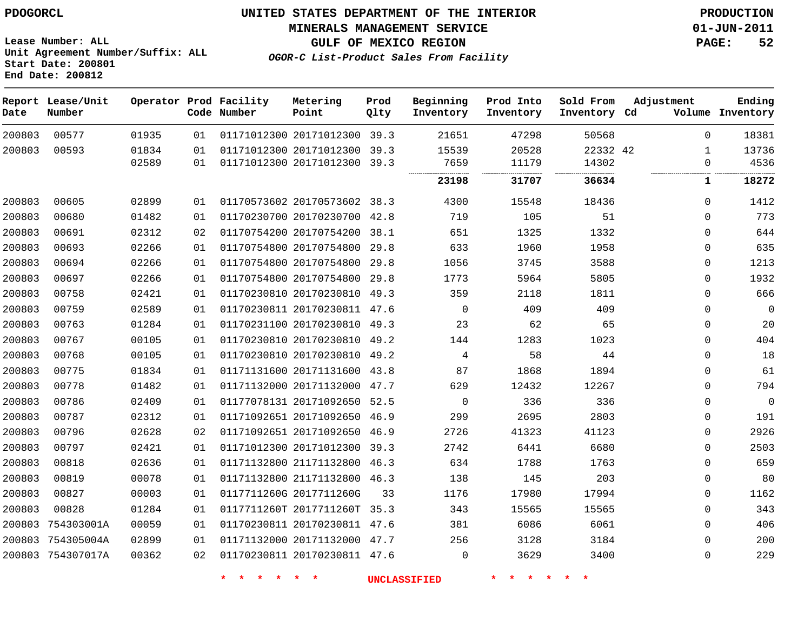**MINERALS MANAGEMENT SERVICE 01-JUN-2011**

**Lease Number: ALL Unit Agreement Number/Suffix: ALL Start Date: 200801 End Date: 200812**

**OGOR-C List-Product Sales From Facility**

**GULF OF MEXICO REGION PAGE: 52**

| Date   | Report Lease/Unit<br>Number |                |          | Operator Prod Facility<br>Code Number | Metering<br>Point                                       | Prod<br>Qlty | Beginning<br>Inventory | Prod Into<br>Inventory | Sold From<br>Inventory Cd  | Adjustment    | Ending<br>Volume Inventory |
|--------|-----------------------------|----------------|----------|---------------------------------------|---------------------------------------------------------|--------------|------------------------|------------------------|----------------------------|---------------|----------------------------|
| 200803 | 00577                       | 01935          | 01       |                                       | 01171012300 20171012300                                 | 39.3         | 21651                  | 47298                  | 50568                      | $\Omega$      | 18381                      |
| 200803 | 00593                       | 01834<br>02589 | 01<br>01 |                                       | 01171012300 20171012300<br>01171012300 20171012300 39.3 | 39.3         | 15539<br>7659          | 20528<br>11179         | 22332 42<br>14302<br><br>. | 1<br>$\Omega$ | 13736<br>4536              |
|        |                             |                |          |                                       |                                                         |              | 23198                  | 31707                  | 36634                      | 1             | 18272                      |
| 200803 | 00605                       | 02899          | 01       |                                       | 01170573602 20170573602 38.3                            |              | 4300                   | 15548                  | 18436                      | $\mathbf{0}$  | 1412                       |
| 200803 | 00680                       | 01482          | 01       |                                       | 01170230700 20170230700                                 | 42.8         | 719                    | 105                    | 51                         | $\mathbf{0}$  | 773                        |
| 200803 | 00691                       | 02312          | 02       |                                       | 01170754200 20170754200                                 | 38.1         | 651                    | 1325                   | 1332                       | $\mathbf{0}$  | 644                        |
| 200803 | 00693                       | 02266          | 01       |                                       | 01170754800 20170754800                                 | 29.8         | 633                    | 1960                   | 1958                       | $\mathbf{0}$  | 635                        |
| 200803 | 00694                       | 02266          | 01       |                                       | 01170754800 20170754800                                 | 29.8         | 1056                   | 3745                   | 3588                       | 0             | 1213                       |
| 200803 | 00697                       | 02266          | 01       |                                       | 01170754800 20170754800                                 | 29.8         | 1773                   | 5964                   | 5805                       | 0             | 1932                       |
| 200803 | 00758                       | 02421          | 01       |                                       | 01170230810 20170230810                                 | 49.3         | 359                    | 2118                   | 1811                       | $\mathbf{0}$  | 666                        |
| 200803 | 00759                       | 02589          | 01       |                                       | 01170230811 20170230811 47.6                            |              | 0                      | 409                    | 409                        | 0             | $\mathsf 0$                |
| 200803 | 00763                       | 01284          | 01       |                                       | 01170231100 20170230810                                 | 49.3         | 23                     | 62                     | 65                         | 0             | 20                         |
| 200803 | 00767                       | 00105          | 01       |                                       | 01170230810 20170230810 49.2                            |              | 144                    | 1283                   | 1023                       | $\Omega$      | 404                        |
| 200803 | 00768                       | 00105          | 01       |                                       | 01170230810 20170230810                                 | 49.2         | 4                      | 58                     | 44                         | $\Omega$      | 18                         |
| 200803 | 00775                       | 01834          | 01       |                                       | 01171131600 20171131600 43.8                            |              | 87                     | 1868                   | 1894                       | $\Omega$      | 61                         |
| 200803 | 00778                       | 01482          | 01       |                                       | 01171132000 20171132000                                 | 47.7         | 629                    | 12432                  | 12267                      | $\Omega$      | 794                        |
| 200803 | 00786                       | 02409          | 01       |                                       | 01177078131 20171092650                                 | 52.5         | $\Omega$               | 336                    | 336                        | $\mathbf{0}$  | $\overline{0}$             |
| 200803 | 00787                       | 02312          | 01       |                                       | 01171092651 20171092650                                 | 46.9         | 299                    | 2695                   | 2803                       | 0             | 191                        |
| 200803 | 00796                       | 02628          | 02       |                                       | 01171092651 20171092650                                 | 46.9         | 2726                   | 41323                  | 41123                      | $\mathbf{0}$  | 2926                       |
| 200803 | 00797                       | 02421          | 01       |                                       | 01171012300 20171012300 39.3                            |              | 2742                   | 6441                   | 6680                       | $\mathbf{0}$  | 2503                       |
| 200803 | 00818                       | 02636          | 01       |                                       | 01171132800 21171132800                                 | 46.3         | 634                    | 1788                   | 1763                       | $\mathbf{0}$  | 659                        |
| 200803 | 00819                       | 00078          | 01       |                                       | 01171132800 21171132800 46.3                            |              | 138                    | 145                    | 203                        | $\mathbf{0}$  | 80                         |
| 200803 | 00827                       | 00003          | 01       |                                       | 0117711260G 2017711260G                                 | 33           | 1176                   | 17980                  | 17994                      | $\mathbf{0}$  | 1162                       |
| 200803 | 00828                       | 01284          | 01       |                                       | 0117711260T 2017711260T                                 | 35.3         | 343                    | 15565                  | 15565                      | $\Omega$      | 343                        |
| 200803 | 754303001A                  | 00059          | 01       |                                       | 01170230811 20170230811 47.6                            |              | 381                    | 6086                   | 6061                       | 0             | 406                        |
| 200803 | 754305004A                  | 02899          | 01       |                                       | 01171132000 20171132000                                 | 47.7         | 256                    | 3128                   | 3184                       | 0             | 200                        |
|        | 200803 754307017A           | 00362          | 02       |                                       | 01170230811 20170230811 47.6                            |              | 0                      | 3629                   | 3400                       | $\Omega$      | 229                        |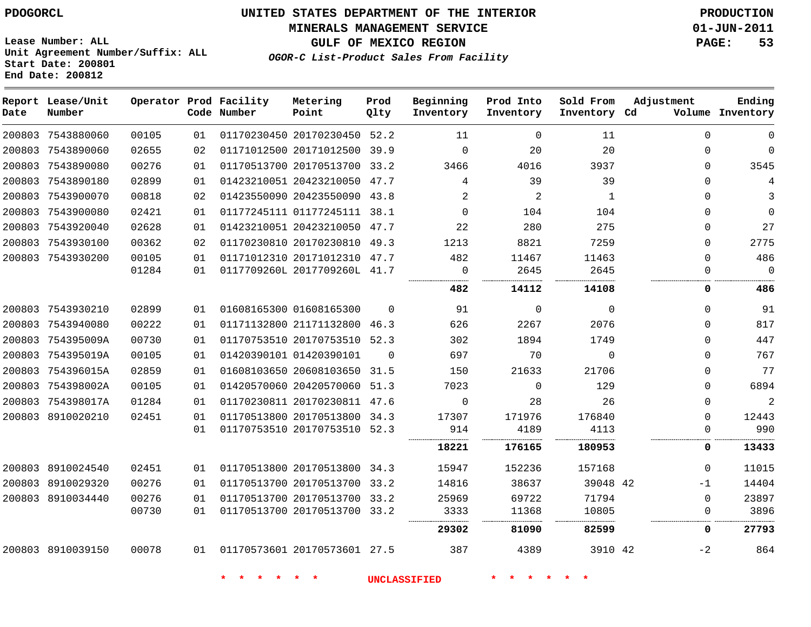#### **MINERALS MANAGEMENT SERVICE 01-JUN-2011**

**GULF OF MEXICO REGION PAGE: 53**

**Lease Number: ALL Unit Agreement Number/Suffix: ALL Start Date: 200801 End Date: 200812**

**OGOR-C List-Product Sales From Facility**

| Date | Report Lease/Unit<br>Number |       |    | Operator Prod Facility<br>Code Number | Metering<br>Point            | Prod<br>Qlty | Beginning<br>Inventory | Prod Into<br>Inventory | Sold From<br>Inventory Cd | Adjustment   | Ending<br>Volume Inventory |
|------|-----------------------------|-------|----|---------------------------------------|------------------------------|--------------|------------------------|------------------------|---------------------------|--------------|----------------------------|
|      | 200803 7543880060           | 00105 | 01 |                                       | 01170230450 20170230450 52.2 |              | 11                     | 0                      | 11                        | $\Omega$     | 0                          |
|      | 200803 7543890060           | 02655 | 02 |                                       | 01171012500 20171012500 39.9 |              | $\Omega$               | 20                     | 20                        | $\Omega$     | $\mathbf 0$                |
|      | 200803 7543890080           | 00276 | 01 |                                       | 01170513700 20170513700 33.2 |              | 3466                   | 4016                   | 3937                      |              | 3545<br>0                  |
|      | 200803 7543890180           | 02899 | 01 |                                       | 01423210051 20423210050 47.7 |              | 4                      | 39                     | 39                        | $\Omega$     | 4                          |
|      | 200803 7543900070           | 00818 | 02 |                                       | 01423550090 20423550090 43.8 |              | 2                      | $\overline{a}$         | $\mathbf{1}$              | $\Omega$     | 3                          |
|      | 200803 7543900080           | 02421 | 01 |                                       | 01177245111 01177245111 38.1 |              | $\Omega$               | 104                    | 104                       | $\Omega$     | $\mathbf 0$                |
|      | 200803 7543920040           | 02628 | 01 |                                       | 01423210051 20423210050 47.7 |              | 22                     | 280                    | 275                       | 0            | 27                         |
|      | 200803 7543930100           | 00362 | 02 |                                       | 01170230810 20170230810 49.3 |              | 1213                   | 8821                   | 7259                      | $\Omega$     | 2775                       |
|      | 200803 7543930200           | 00105 | 01 |                                       | 01171012310 20171012310 47.7 |              | 482                    | 11467                  | 11463                     | $\Omega$     | 486                        |
|      |                             | 01284 | 01 |                                       | 0117709260L 2017709260L 41.7 |              | $\mathbf 0$            | 2645                   | 2645                      | $\Omega$<br> | $\Omega$                   |
|      |                             |       |    |                                       |                              |              | <br>482                | 14112                  | 14108                     | 0            | .<br>486                   |
|      | 200803 7543930210           | 02899 | 01 |                                       | 01608165300 01608165300      | $\Omega$     | 91                     | 0                      | $\mathbf 0$               | $\Omega$     | 91                         |
|      | 200803 7543940080           | 00222 | 01 |                                       | 01171132800 21171132800 46.3 |              | 626                    | 2267                   | 2076                      | $\Omega$     | 817                        |
|      | 200803 754395009A           | 00730 | 01 |                                       | 01170753510 20170753510 52.3 |              | 302                    | 1894                   | 1749                      | $\Omega$     | 447                        |
|      | 200803 754395019A           | 00105 | 01 |                                       | 01420390101 01420390101      | $\Omega$     | 697                    | 70                     | $\Omega$                  | $\Omega$     | 767                        |
|      | 200803 754396015A           | 02859 | 01 |                                       | 01608103650 20608103650      | 31.5         | 150                    | 21633                  | 21706                     | $\Omega$     | 77                         |
|      | 200803 754398002A           | 00105 | 01 |                                       | 01420570060 20420570060 51.3 |              | 7023                   | 0                      | 129                       | 0            | 6894                       |
|      | 200803 754398017A           | 01284 | 01 |                                       | 01170230811 20170230811 47.6 |              | $\Omega$               | 28                     | 26                        | $\Omega$     | $\overline{2}$             |
|      | 200803 8910020210           | 02451 | 01 |                                       | 01170513800 20170513800 34.3 |              | 17307                  | 171976                 | 176840                    | $\Omega$     | 12443                      |
|      |                             |       | 01 |                                       | 01170753510 20170753510 52.3 |              | 914                    | 4189                   | 4113                      | $\Omega$     | 990                        |
|      |                             |       |    |                                       |                              |              | 18221                  | 176165                 | 180953                    |              | 13433<br>0                 |
|      | 200803 8910024540           | 02451 | 01 |                                       | 01170513800 20170513800 34.3 |              | 15947                  | 152236                 | 157168                    | 0            | 11015                      |
|      | 200803 8910029320           | 00276 | 01 |                                       | 01170513700 20170513700 33.2 |              | 14816                  | 38637                  | 39048 42                  | $-1$         | 14404                      |
|      | 200803 8910034440           | 00276 | 01 |                                       | 01170513700 20170513700 33.2 |              | 25969                  | 69722                  | 71794                     | $\Omega$     | 23897                      |
|      |                             | 00730 | 01 |                                       | 01170513700 20170513700 33.2 |              | 3333                   | 11368                  | 10805                     | 0            | 3896                       |
|      |                             |       |    |                                       |                              |              | 29302                  | 81090                  | 82599                     | 0            | 27793                      |
|      | 200803 8910039150           | 00078 | 01 |                                       | 01170573601 20170573601 27.5 |              | 387                    | 4389                   | 3910 42                   | $-2$         | 864                        |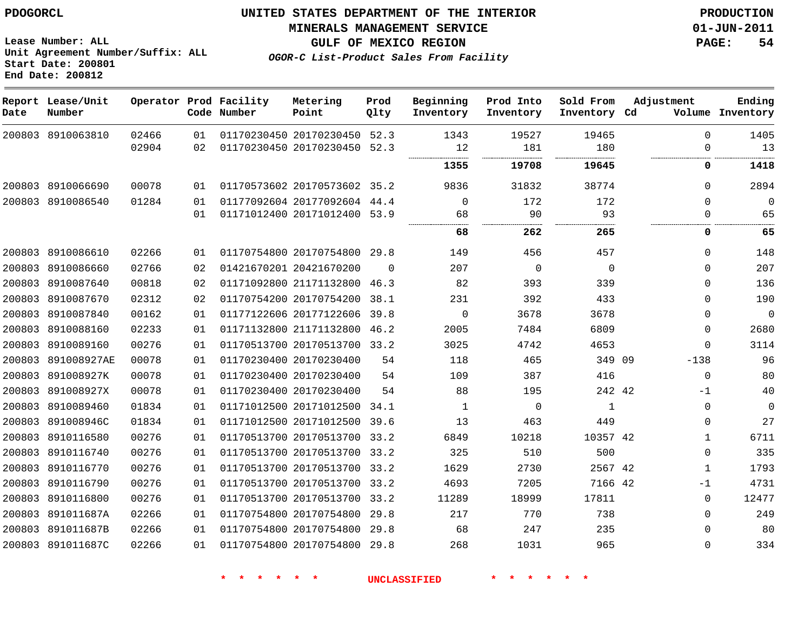#### **MINERALS MANAGEMENT SERVICE 01-JUN-2011**

**GULF OF MEXICO REGION PAGE: 54**

**Lease Number: ALL Unit Agreement Number/Suffix: ALL Start Date: 200801 End Date: 200812**

**OGOR-C List-Product Sales From Facility**

| Date   | Report Lease/Unit<br>Number |       |    | Operator Prod Facility<br>Code Number | Metering<br>Point            | Prod<br>Qlty | Beginning<br>Inventory | Prod Into<br>Inventory | Sold From<br>Inventory Cd | Adjustment   | Ending<br>Volume Inventory |
|--------|-----------------------------|-------|----|---------------------------------------|------------------------------|--------------|------------------------|------------------------|---------------------------|--------------|----------------------------|
|        | 200803 8910063810           | 02466 | 01 |                                       | 01170230450 20170230450      | 52.3         | 1343                   | 19527                  | 19465                     | $\Omega$     | 1405                       |
|        |                             | 02904 | 02 |                                       | 01170230450 20170230450      | 52.3         | 12<br>                 | 181                    | 180<br>                   | $\Omega$     | 13<br>                     |
|        |                             |       |    |                                       |                              |              | 1355                   | 19708                  | 19645                     | 0            | 1418                       |
|        | 200803 8910066690           | 00078 | 01 |                                       | 01170573602 20170573602 35.2 |              | 9836                   | 31832                  | 38774                     | $\Omega$     | 2894                       |
|        | 200803 8910086540           | 01284 | 01 |                                       | 01177092604 20177092604 44.4 |              | $\mathbf 0$            | 172                    | 172                       | $\Omega$     | 0                          |
|        |                             |       | 01 |                                       | 01171012400 20171012400 53.9 |              | 68                     | 90                     | 93                        | 0            | 65                         |
|        |                             |       |    |                                       |                              |              | 68                     | 262                    | 265                       | 0            | 65                         |
|        | 200803 8910086610           | 02266 | 01 |                                       | 01170754800 20170754800 29.8 |              | 149                    | 456                    | 457                       | $\Omega$     | 148                        |
|        | 200803 8910086660           | 02766 | 02 |                                       | 01421670201 20421670200      | $\Omega$     | 207                    | $\mathbf 0$            | $\mathbf 0$               | $\Omega$     | 207                        |
|        | 200803 8910087640           | 00818 | 02 |                                       | 01171092800 21171132800      | 46.3         | 82                     | 393                    | 339                       | $\Omega$     | 136                        |
|        | 200803 8910087670           | 02312 | 02 |                                       | 01170754200 20170754200      | 38.1         | 231                    | 392                    | 433                       | $\Omega$     | 190                        |
|        | 200803 8910087840           | 00162 | 01 |                                       | 01177122606 20177122606      | 39.8         | $\mathbf 0$            | 3678                   | 3678                      | $\Omega$     | $\mathbf 0$                |
| 200803 | 8910088160                  | 02233 | 01 |                                       | 01171132800 21171132800      | 46.2         | 2005                   | 7484                   | 6809                      | 0            | 2680                       |
|        | 200803 8910089160           | 00276 | 01 |                                       | 01170513700 20170513700 33.2 |              | 3025                   | 4742                   | 4653                      | $\Omega$     | 3114                       |
| 200803 | 891008927AE                 | 00078 | 01 |                                       | 01170230400 20170230400      | 54           | 118                    | 465                    | 349 09                    | $-138$       | 96                         |
| 200803 | 891008927K                  | 00078 | 01 |                                       | 01170230400 20170230400      | 54           | 109                    | 387                    | 416                       | $\mathbf 0$  | 80                         |
| 200803 | 891008927X                  | 00078 | 01 |                                       | 01170230400 20170230400      | 54           | 88                     | 195                    | 242 42                    | -1           | 40                         |
| 200803 | 8910089460                  | 01834 | 01 |                                       | 01171012500 20171012500      | 34.1         | $\mathbf{1}$           | $\mathbf 0$            | $\mathbf{1}$              | 0            | 0                          |
| 200803 | 891008946C                  | 01834 | 01 |                                       | 01171012500 20171012500      | 39.6         | 13                     | 463                    | 449                       | $\Omega$     | 27                         |
| 200803 | 8910116580                  | 00276 | 01 |                                       | 01170513700 20170513700      | 33.2         | 6849                   | 10218                  | 10357 42                  | $\mathbf 1$  | 6711                       |
| 200803 | 8910116740                  | 00276 | 01 |                                       | 01170513700 20170513700      | 33.2         | 325                    | 510                    | 500                       | $\Omega$     | 335                        |
|        | 200803 8910116770           | 00276 | 01 |                                       | 01170513700 20170513700      | 33.2         | 1629                   | 2730                   | 2567 42                   | $\mathbf{1}$ | 1793                       |
|        | 200803 8910116790           | 00276 | 01 |                                       | 01170513700 20170513700 33.2 |              | 4693                   | 7205                   | 7166 42                   | -1           | 4731                       |
|        | 200803 8910116800           | 00276 | 01 |                                       | 01170513700 20170513700      | 33.2         | 11289                  | 18999                  | 17811                     | $\Omega$     | 12477                      |
| 200803 | 891011687A                  | 02266 | 01 |                                       | 01170754800 20170754800      | 29.8         | 217                    | 770                    | 738                       | $\Omega$     | 249                        |
|        | 200803 891011687B           | 02266 | 01 |                                       | 01170754800 20170754800      | 29.8         | 68                     | 247                    | 235                       | $\Omega$     | 80                         |
|        | 200803 891011687C           | 02266 | 01 |                                       | 01170754800 20170754800 29.8 |              | 268                    | 1031                   | 965                       | 0            | 334                        |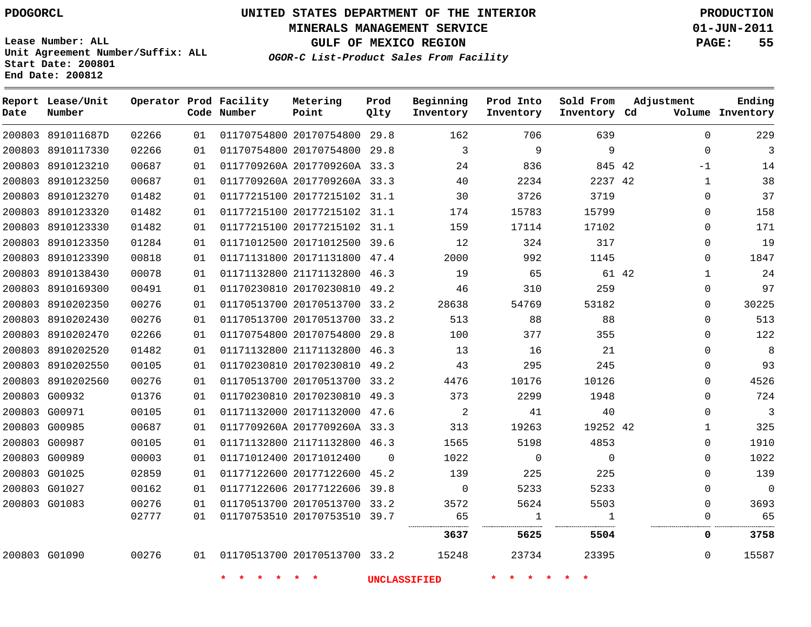**Start Date: 200801 End Date: 200812**

**Unit Agreement Number/Suffix: ALL**

# **UNITED STATES DEPARTMENT OF THE INTERIOR PDOGORCL PRODUCTION**

**MINERALS MANAGEMENT SERVICE 01-JUN-2011**

**GULF OF MEXICO REGION PAGE: 55**

**OGOR-C List-Product Sales From Facility**

| Date          | Report Lease/Unit<br>Number |       |      | Operator Prod Facility<br>Code Number | Metering<br>Point            | Prod<br>Qlty | Beginning<br>Inventory | Prod Into<br>Inventory | Sold From<br>Inventory Cd | Adjustment   | Ending<br>Volume Inventory |
|---------------|-----------------------------|-------|------|---------------------------------------|------------------------------|--------------|------------------------|------------------------|---------------------------|--------------|----------------------------|
|               | 200803 891011687D           | 02266 | 01   |                                       | 01170754800 20170754800 29.8 |              | 162                    | 706                    | 639                       | $\Omega$     | 229                        |
|               | 200803 8910117330           | 02266 | 01   |                                       | 01170754800 20170754800      | 29.8         | 3                      | 9                      | 9                         | $\Omega$     | $\overline{3}$             |
| 200803        | 8910123210                  | 00687 | 01   |                                       | 0117709260A 2017709260A 33.3 |              | 24                     | 836                    | 845 42                    | $-1$         | 14                         |
| 200803        | 8910123250                  | 00687 | 01   |                                       | 0117709260A 2017709260A 33.3 |              | 40                     | 2234                   | 2237 42                   | 1            | 38                         |
| 200803        | 8910123270                  | 01482 | 01   |                                       | 01177215100 20177215102 31.1 |              | 30                     | 3726                   | 3719                      | $\mathbf 0$  | 37                         |
|               | 200803 8910123320           | 01482 | 01   |                                       | 01177215100 20177215102 31.1 |              | 174                    | 15783                  | 15799                     | $\mathbf 0$  | 158                        |
| 200803        | 8910123330                  | 01482 | 01   |                                       | 01177215100 20177215102 31.1 |              | 159                    | 17114                  | 17102                     | $\Omega$     | 171                        |
| 200803        | 8910123350                  | 01284 | 01   |                                       | 01171012500 20171012500 39.6 |              | 12                     | 324                    | 317                       | $\Omega$     | 19                         |
| 200803        | 8910123390                  | 00818 | 01   |                                       | 01171131800 20171131800 47.4 |              | 2000                   | 992                    | 1145                      | $\Omega$     | 1847                       |
|               | 200803 8910138430           | 00078 | 01   |                                       | 01171132800 21171132800 46.3 |              | 19                     | 65                     | 61 42                     | $\mathbf{1}$ | 24                         |
|               | 200803 8910169300           | 00491 | 01   |                                       | 01170230810 20170230810 49.2 |              | 46                     | 310                    | 259                       | 0            | 97                         |
| 200803        | 8910202350                  | 00276 | 01   |                                       | 01170513700 20170513700      | 33.2         | 28638                  | 54769                  | 53182                     | $\Omega$     | 30225                      |
|               | 200803 8910202430           | 00276 | 01   |                                       | 01170513700 20170513700 33.2 |              | 513                    | 88                     | 88                        | $\Omega$     | 513                        |
| 200803        | 8910202470                  | 02266 | 01   |                                       | 01170754800 20170754800 29.8 |              | 100                    | 377                    | 355                       | $\Omega$     | 122                        |
| 200803        | 8910202520                  | 01482 | 01   |                                       | 01171132800 21171132800 46.3 |              | 13                     | 16                     | 21                        | 0            | 8                          |
| 200803        | 8910202550                  | 00105 | 01   |                                       | 01170230810 20170230810 49.2 |              | 43                     | 295                    | 245                       | 0            | 93                         |
|               | 200803 8910202560           | 00276 | 01   |                                       | 01170513700 20170513700 33.2 |              | 4476                   | 10176                  | 10126                     | 0            | 4526                       |
|               | 200803 G00932               | 01376 | 01   |                                       | 01170230810 20170230810      | 49.3         | 373                    | 2299                   | 1948                      | $\Omega$     | 724                        |
| 200803 G00971 |                             | 00105 | 01   |                                       | 01171132000 20171132000 47.6 |              | 2                      | 41                     | 40                        | $\Omega$     | $\mathbf{3}$               |
|               | 200803 G00985               | 00687 | 01   |                                       | 0117709260A 2017709260A 33.3 |              | 313                    | 19263                  | 19252 42                  | 1            | 325                        |
| 200803 G00987 |                             | 00105 | 01   |                                       | 01171132800 21171132800 46.3 |              | 1565                   | 5198                   | 4853                      | $\mathbf 0$  | 1910                       |
| 200803 G00989 |                             | 00003 | 01   |                                       | 01171012400 20171012400      | $\Omega$     | 1022                   | $\mathbf 0$            | $\Omega$                  | $\Omega$     | 1022                       |
|               | 200803 G01025               | 02859 | 01   |                                       | 01177122600 20177122600      | 45.2         | 139                    | 225                    | 225                       | $\mathbf 0$  | 139                        |
|               | 200803 G01027               | 00162 | 01   |                                       | 01177122606 20177122606      | 39.8         | 0                      | 5233                   | 5233                      | $\mathbf 0$  | $\overline{0}$             |
| 200803 G01083 |                             | 00276 | 01   |                                       | 01170513700 20170513700 33.2 |              | 3572                   | 5624                   | 5503                      | $\Omega$     | 3693                       |
|               |                             | 02777 | 01   |                                       | 01170753510 20170753510 39.7 |              | 65                     | $\mathbf{1}$<br>.<br>. | $\mathbf{1}$<br>.<br>     | $\Omega$     | 65                         |
|               |                             |       |      |                                       |                              |              | 3637                   | 5625                   | 5504                      | 0            | 3758                       |
|               | 200803 G01090               | 00276 | 01 D |                                       | 01170513700 20170513700 33.2 |              | 15248                  | 23734                  | 23395                     | $\Omega$     | 15587                      |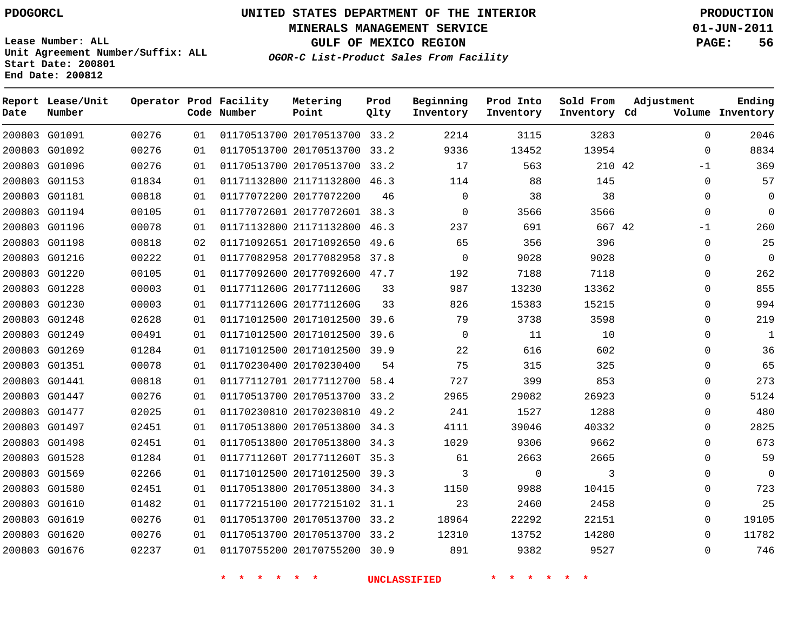**MINERALS MANAGEMENT SERVICE 01-JUN-2011**

**GULF OF MEXICO REGION PAGE: 56**

**OGOR-C List-Product Sales From Facility**

**Lease Number: ALL Unit Agreement Number/Suffix: ALL Start Date: 200801 End Date: 200812**

| Ending<br>Volume Inventory | Adjustment  | Sold From<br>Inventory Cd | Prod Into<br>Inventory | Beginning<br>Inventory | Prod<br>Qlty | Metering<br>Point            | Operator Prod Facility<br>Code Number |    |       | Report Lease/Unit<br>Number | Date |
|----------------------------|-------------|---------------------------|------------------------|------------------------|--------------|------------------------------|---------------------------------------|----|-------|-----------------------------|------|
| 2046                       | $\Omega$    | 3283                      | 3115                   | 2214                   |              | 01170513700 20170513700 33.2 |                                       | 01 | 00276 | 200803 G01091               |      |
| 8834                       | $\Omega$    | 13954                     | 13452                  | 9336                   |              | 01170513700 20170513700 33.2 |                                       | 01 | 00276 | 200803 G01092               |      |
| 369                        | $-1$        | 210 42                    | 563                    | 17                     |              | 01170513700 20170513700 33.2 |                                       | 01 | 00276 | 200803 G01096               |      |
| 57                         | 0           | 145                       | 88                     | 114                    |              | 01171132800 21171132800 46.3 |                                       | 01 | 01834 | 200803 G01153               |      |
| $\Omega$                   | $\Omega$    | 38                        | 38                     | $\mathbf 0$            | 46           | 01177072200 20177072200      |                                       | 01 | 00818 | 200803 G01181               |      |
| $\mathbf 0$                | $\mathbf 0$ | 3566                      | 3566                   | 0                      |              | 01177072601 20177072601 38.3 |                                       | 01 | 00105 | 200803 G01194               |      |
| 260                        | $-1$        | 667 42                    | 691                    | 237                    |              | 01171132800 21171132800 46.3 |                                       | 01 | 00078 | 200803 G01196               |      |
| 25                         | 0           | 396                       | 356                    | 65                     |              | 01171092651 20171092650 49.6 |                                       | 02 | 00818 | 200803 G01198               |      |
| $\mathbf 0$                | 0           | 9028                      | 9028                   | $\mathbf 0$            |              | 01177082958 20177082958 37.8 |                                       | 01 | 00222 | 200803 G01216               |      |
| 262                        | $\mathbf 0$ | 7118                      | 7188                   | 192                    |              | 01177092600 20177092600 47.7 |                                       | 01 | 00105 | 200803 G01220               |      |
| 855                        | 0           | 13362                     | 13230                  | 987                    | 33           | 0117711260G 2017711260G      |                                       | 01 | 00003 | 200803 G01228               |      |
| 994                        | $\mathbf 0$ | 15215                     | 15383                  | 826                    | 33           | 0117711260G 2017711260G      |                                       | 01 | 00003 | 200803 G01230               |      |
| 219                        | $\mathbf 0$ | 3598                      | 3738                   | 79                     |              | 01171012500 20171012500 39.6 |                                       | 01 | 02628 | 200803 G01248               |      |
| $\mathbf{1}$               | $\mathbf 0$ | 10                        | 11                     | $\Omega$               |              | 01171012500 20171012500 39.6 |                                       | 01 | 00491 | 200803 G01249               |      |
| 36                         | 0           | 602                       | 616                    | 22                     |              | 01171012500 20171012500 39.9 |                                       | 01 | 01284 | 200803 G01269               |      |
| 65                         | $\mathbf 0$ | 325                       | 315                    | 75                     | 54           | 01170230400 20170230400      |                                       | 01 | 00078 | 200803 G01351               |      |
| 273                        | 0           | 853                       | 399                    | 727                    | 58.4         | 01177112701 20177112700      |                                       | 01 | 00818 | 200803 G01441               |      |
| 5124                       | 0           | 26923                     | 29082                  | 2965                   |              | 01170513700 20170513700 33.2 |                                       | 01 | 00276 | 200803 G01447               |      |
| 480                        | $\mathbf 0$ | 1288                      | 1527                   | 241                    |              | 01170230810 20170230810 49.2 |                                       | 01 | 02025 | 200803 G01477               |      |
| 2825                       | 0           | 40332                     | 39046                  | 4111                   |              | 01170513800 20170513800 34.3 |                                       | 01 | 02451 | 200803 G01497               |      |
| 673                        | $\mathbf 0$ | 9662                      | 9306                   | 1029                   |              | 01170513800 20170513800 34.3 |                                       | 01 | 02451 | 200803 G01498               |      |
| 59                         | 0           | 2665                      | 2663                   | 61                     |              | 0117711260T 2017711260T 35.3 |                                       | 01 | 01284 | 200803 G01528               |      |
| $\Omega$                   | 0           | 3                         | $\mathbf 0$            | 3                      |              | 01171012500 20171012500 39.3 |                                       | 01 | 02266 | 200803 G01569               |      |
| 723                        | $\mathbf 0$ | 10415                     | 9988                   | 1150                   |              | 01170513800 20170513800 34.3 |                                       | 01 | 02451 | 200803 G01580               |      |
| 25                         | $\mathbf 0$ | 2458                      | 2460                   | 23                     |              | 01177215100 20177215102 31.1 |                                       | 01 | 01482 | 200803 G01610               |      |
| 19105                      | $\Omega$    | 22151                     | 22292                  | 18964                  |              | 01170513700 20170513700 33.2 |                                       | 01 | 00276 | 200803 G01619               |      |
| 11782                      | 0           | 14280                     | 13752                  | 12310                  |              | 01170513700 20170513700 33.2 |                                       | 01 | 00276 | 200803 G01620               |      |
| 746                        | $\Omega$    | 9527                      | 9382                   | 891                    |              | 01170755200 20170755200 30.9 |                                       | 01 | 02237 | 200803 G01676               |      |
|                            |             |                           |                        |                        |              |                              |                                       |    |       |                             |      |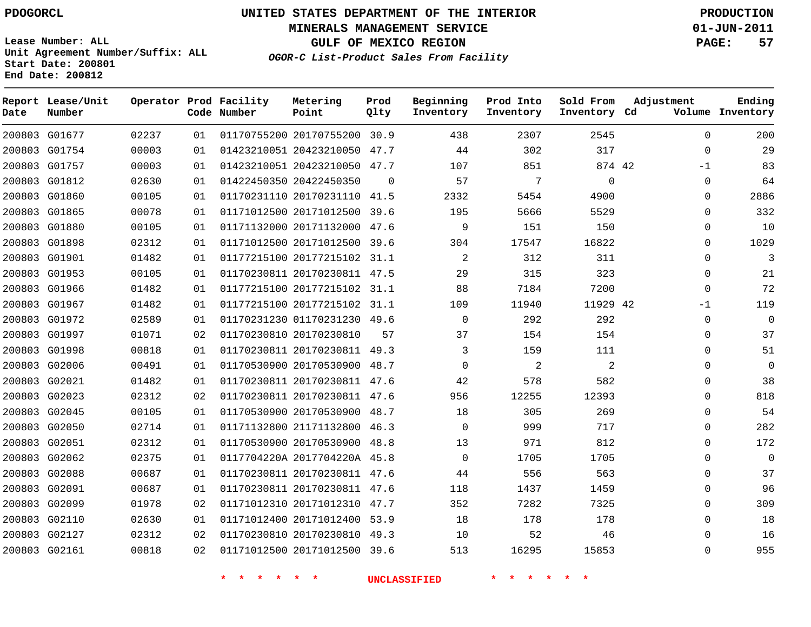**Start Date: 200801 End Date: 200812**

**Unit Agreement Number/Suffix: ALL**

# **UNITED STATES DEPARTMENT OF THE INTERIOR PDOGORCL PRODUCTION**

**MINERALS MANAGEMENT SERVICE 01-JUN-2011**

**GULF OF MEXICO REGION PAGE: 57**

**OGOR-C List-Product Sales From Facility**

| Date | Report Lease/Unit<br>Number |       |    | Operator Prod Facility<br>Code Number | Metering<br>Point            | Prod<br>Qlty | Beginning<br>Inventory | Prod Into<br>Inventory | Sold From<br>Inventory Cd | Adjustment   | Ending<br>Volume Inventory |
|------|-----------------------------|-------|----|---------------------------------------|------------------------------|--------------|------------------------|------------------------|---------------------------|--------------|----------------------------|
|      | 200803 G01677               | 02237 | 01 |                                       | 01170755200 20170755200 30.9 |              | 438                    | 2307                   | 2545                      | $\mathbf 0$  | 200                        |
|      | 200803 G01754               | 00003 | 01 |                                       | 01423210051 20423210050      | 47.7         | 44                     | 302                    | 317                       | $\Omega$     | 29                         |
|      | 200803 G01757               | 00003 | 01 |                                       | 01423210051 20423210050 47.7 |              | 107                    | 851                    | 874 42                    | $-1$         | 83                         |
|      | 200803 G01812               | 02630 | 01 |                                       | 01422450350 20422450350      | $\Omega$     | 57                     | 7                      | $\mathbf 0$               | $\mathbf 0$  | 64                         |
|      | 200803 G01860               | 00105 | 01 |                                       | 01170231110 20170231110 41.5 |              | 2332                   | 5454                   | 4900                      | $\mathbf 0$  | 2886                       |
|      | 200803 G01865               | 00078 | 01 |                                       | 01171012500 20171012500      | 39.6         | 195                    | 5666                   | 5529                      | $\Omega$     | 332                        |
|      | 200803 G01880               | 00105 | 01 |                                       | 01171132000 20171132000 47.6 |              | 9                      | 151                    | 150                       | 0            | 10                         |
|      | 200803 G01898               | 02312 | 01 |                                       | 01171012500 20171012500      | 39.6         | 304                    | 17547                  | 16822                     | $\mathbf 0$  | 1029                       |
|      | 200803 G01901               | 01482 | 01 |                                       | 01177215100 20177215102 31.1 |              | 2                      | 312                    | 311                       | $\mathbf 0$  | 3                          |
|      | 200803 G01953               | 00105 | 01 |                                       | 01170230811 20170230811 47.5 |              | 29                     | 315                    | 323                       | $\mathbf 0$  | 21                         |
|      | 200803 G01966               | 01482 | 01 |                                       | 01177215100 20177215102 31.1 |              | 88                     | 7184                   | 7200                      | $\mathbf 0$  | 72                         |
|      | 200803 G01967               | 01482 | 01 |                                       | 01177215100 20177215102 31.1 |              | 109                    | 11940                  | 11929 42                  | $-1$         | 119                        |
|      | 200803 G01972               | 02589 | 01 |                                       | 01170231230 01170231230 49.6 |              | $\mathbf 0$            | 292                    | 292                       | $\mathbf 0$  | $\mathbf 0$                |
|      | 200803 G01997               | 01071 | 02 |                                       | 01170230810 20170230810      | 57           | 37                     | 154                    | 154                       | $\mathbf{0}$ | 37                         |
|      | 200803 G01998               | 00818 | 01 |                                       | 01170230811 20170230811 49.3 |              | 3                      | 159                    | 111                       | $\mathbf 0$  | 51                         |
|      | 200803 G02006               | 00491 | 01 |                                       | 01170530900 20170530900 48.7 |              | $\Omega$               | 2                      | 2                         | $\mathbf 0$  | $\mathbf 0$                |
|      | 200803 G02021               | 01482 | 01 |                                       | 01170230811 20170230811 47.6 |              | 42                     | 578                    | 582                       | 0            | 38                         |
|      | 200803 G02023               | 02312 | 02 |                                       | 01170230811 20170230811 47.6 |              | 956                    | 12255                  | 12393                     | $\mathbf 0$  | 818                        |
|      | 200803 G02045               | 00105 | 01 |                                       | 01170530900 20170530900      | 48.7         | 18                     | 305                    | 269                       | $\Omega$     | 54                         |
|      | 200803 G02050               | 02714 | 01 |                                       | 01171132800 21171132800 46.3 |              | 0                      | 999                    | 717                       | 0            | 282                        |
|      | 200803 G02051               | 02312 | 01 |                                       | 01170530900 20170530900      | 48.8         | 13                     | 971                    | 812                       | $\mathbf 0$  | 172                        |
|      | 200803 G02062               | 02375 | 01 |                                       | 0117704220A 2017704220A 45.8 |              | $\Omega$               | 1705                   | 1705                      | $\mathbf 0$  | $\Omega$                   |
|      | 200803 G02088               | 00687 | 01 |                                       | 01170230811 20170230811 47.6 |              | 44                     | 556                    | 563                       | $\mathbf 0$  | 37                         |
|      | 200803 G02091               | 00687 | 01 |                                       | 01170230811 20170230811 47.6 |              | 118                    | 1437                   | 1459                      | $\mathbf 0$  | 96                         |
|      | 200803 G02099               | 01978 | 02 |                                       | 01171012310 20171012310 47.7 |              | 352                    | 7282                   | 7325                      | $\mathbf 0$  | 309                        |
|      | 200803 G02110               | 02630 | 01 |                                       | 01171012400 20171012400      | 53.9         | 18                     | 178                    | 178                       | 0            | 18                         |
|      | 200803 G02127               | 02312 | 02 |                                       | 01170230810 20170230810      | 49.3         | 10                     | 52                     | 46                        | $\mathbf{0}$ | 16                         |
|      | 200803 G02161               | 00818 | 02 |                                       | 01171012500 20171012500 39.6 |              | 513                    | 16295                  | 15853                     | $\Omega$     | 955                        |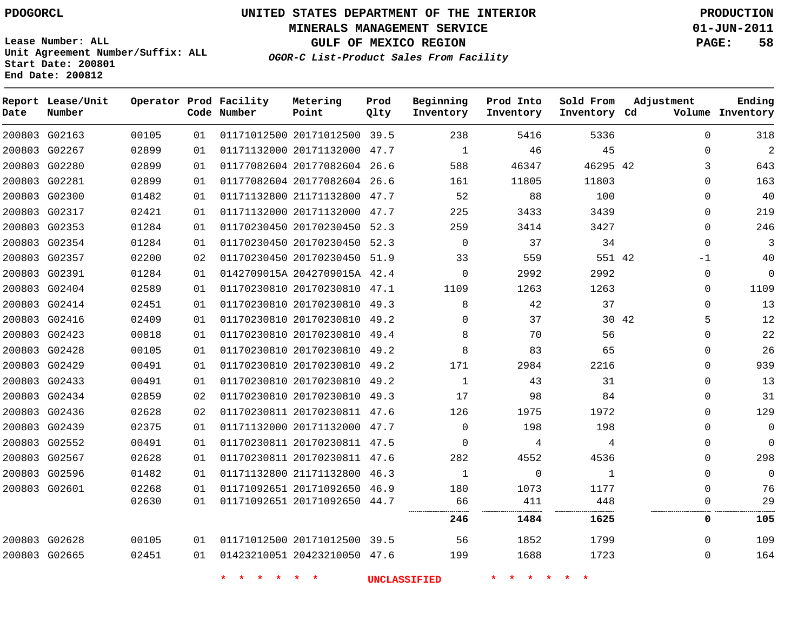**Start Date: 200801 End Date: 200812**

# **UNITED STATES DEPARTMENT OF THE INTERIOR PDOGORCL PRODUCTION**

**MINERALS MANAGEMENT SERVICE 01-JUN-2011**

**GULF OF MEXICO REGION PAGE: 58**

**OGOR-C List-Product Sales From Facility Unit Agreement Number/Suffix: ALL**

| Date          | Report Lease/Unit<br>Number |       |    | Operator Prod Facility<br>Code Number | Metering<br>Point            | Prod<br>Qlty | Beginning<br>Inventory | Prod Into<br>Inventory | Sold From<br>Inventory Cd | Adjustment |              | Ending<br>Volume Inventory |
|---------------|-----------------------------|-------|----|---------------------------------------|------------------------------|--------------|------------------------|------------------------|---------------------------|------------|--------------|----------------------------|
|               | 200803 G02163               | 00105 | 01 |                                       | 01171012500 20171012500 39.5 |              | 238                    | 5416                   | 5336                      |            | $\Omega$     | 318                        |
| 200803 G02267 |                             | 02899 | 01 |                                       | 01171132000 20171132000      | 47.7         | $\mathbf{1}$           | 46                     | 45                        |            | $\Omega$     | $\overline{a}$             |
|               | 200803 G02280               | 02899 | 01 |                                       | 01177082604 20177082604      | 26.6         | 588                    | 46347                  | 46295 42                  |            | 3            | 643                        |
|               | 200803 G02281               | 02899 | 01 |                                       | 01177082604 20177082604 26.6 |              | 161                    | 11805                  | 11803                     |            | $\Omega$     | 163                        |
|               | 200803 G02300               | 01482 | 01 |                                       | 01171132800 21171132800 47.7 |              | 52                     | 88                     | 100                       |            | $\Omega$     | 40                         |
|               | 200803 G02317               | 02421 | 01 |                                       | 01171132000 20171132000 47.7 |              | 225                    | 3433                   | 3439                      |            | $\mathbf 0$  | 219                        |
| 200803 G02353 |                             | 01284 | 01 |                                       | 01170230450 20170230450      | 52.3         | 259                    | 3414                   | 3427                      |            | $\Omega$     | 246                        |
| 200803 G02354 |                             | 01284 | 01 |                                       | 01170230450 20170230450      | 52.3         | $\mathbf 0$            | 37                     | 34                        |            | $\Omega$     | 3                          |
|               | 200803 G02357               | 02200 | 02 |                                       | 01170230450 20170230450 51.9 |              | 33                     | 559                    | 551 42                    |            | $-1$         | 40                         |
|               | 200803 G02391               | 01284 | 01 |                                       | 0142709015A 2042709015A 42.4 |              | $\Omega$               | 2992                   | 2992                      |            | $\Omega$     | $\Omega$                   |
|               | 200803 G02404               | 02589 | 01 |                                       | 01170230810 20170230810 47.1 |              | 1109                   | 1263                   | 1263                      |            | $\Omega$     | 1109                       |
| 200803 G02414 |                             | 02451 | 01 |                                       | 01170230810 20170230810 49.3 |              | 8                      | 42                     | 37                        |            | $\Omega$     | 13                         |
| 200803 G02416 |                             | 02409 | 01 |                                       | 01170230810 20170230810 49.2 |              | $\Omega$               | 37                     | 30 42                     |            | 5            | 12                         |
|               | 200803 G02423               | 00818 | 01 |                                       | 01170230810 20170230810 49.4 |              | 8                      | 70                     | 56                        |            | $\Omega$     | 22                         |
|               | 200803 G02428               | 00105 | 01 |                                       | 01170230810 20170230810 49.2 |              | 8                      | 83                     | 65                        |            | $\Omega$     | 26                         |
|               | 200803 G02429               | 00491 | 01 |                                       | 01170230810 20170230810 49.2 |              | 171                    | 2984                   | 2216                      |            | $\Omega$     | 939                        |
| 200803 G02433 |                             | 00491 | 01 |                                       | 01170230810 20170230810      | 49.2         | $\mathbf{1}$           | 43                     | 31                        |            | $\Omega$     | 13                         |
| 200803 G02434 |                             | 02859 | 02 |                                       | 01170230810 20170230810 49.3 |              | 17                     | 98                     | 84                        |            | $\Omega$     | 31                         |
|               | 200803 G02436               | 02628 | 02 |                                       | 01170230811 20170230811 47.6 |              | 126                    | 1975                   | 1972                      |            | $\Omega$     | 129                        |
|               | 200803 G02439               | 02375 | 01 |                                       | 01171132000 20171132000 47.7 |              | $\Omega$               | 198                    | 198                       |            | $\Omega$     | $\Omega$                   |
| 200803 G02552 |                             | 00491 | 01 |                                       | 01170230811 20170230811 47.5 |              | $\Omega$               | 4                      | 4                         |            | $\Omega$     | $\Omega$                   |
| 200803 G02567 |                             | 02628 | 01 |                                       | 01170230811 20170230811 47.6 |              | 282                    | 4552                   | 4536                      |            | $\mathbf{0}$ | 298                        |
| 200803 G02596 |                             | 01482 | 01 |                                       | 01171132800 21171132800      | 46.3         | $\mathbf{1}$           | $\Omega$               | $\mathbf{1}$              |            | $\Omega$     | $\mathbf 0$                |
| 200803 G02601 |                             | 02268 | 01 |                                       | 01171092651 20171092650 46.9 |              | 180                    | 1073                   | 1177                      |            | $\Omega$     | 76                         |
|               |                             | 02630 | 01 |                                       | 01171092651 20171092650 44.7 |              | 66                     | 411                    | 448                       |            | $\Omega$     | 29                         |
|               |                             |       |    |                                       |                              |              | 246                    | 1484                   | 1625                      |            | 0            | 105                        |
| 200803 G02628 |                             | 00105 | 01 |                                       | 01171012500 20171012500 39.5 |              | 56                     | 1852                   | 1799                      |            | $\Omega$     | 109                        |
| 200803 G02665 |                             | 02451 | 01 |                                       | 01423210051 20423210050 47.6 |              | 199                    | 1688                   | 1723                      |            | $\Omega$     | 164                        |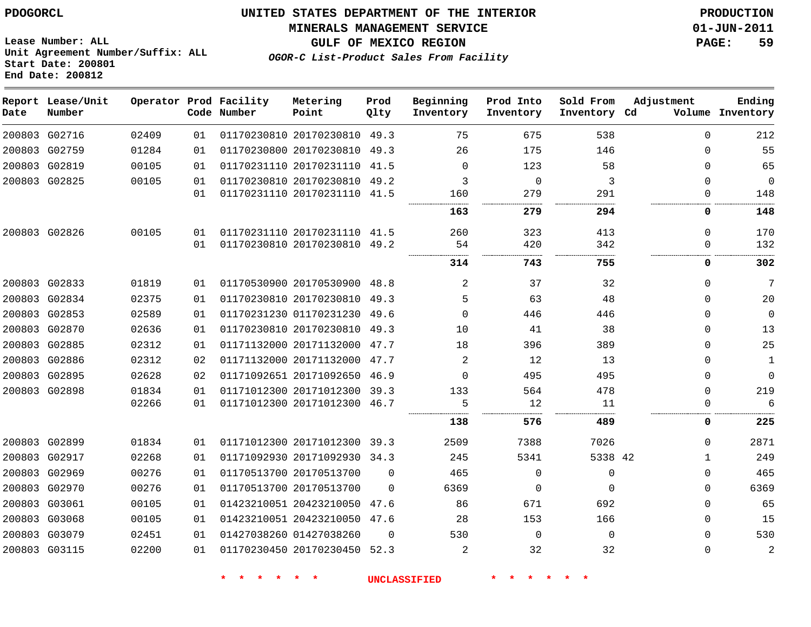#### **MINERALS MANAGEMENT SERVICE 01-JUN-2011**

**GULF OF MEXICO REGION PAGE: 59**

**Lease Number: ALL Unit Agreement Number/Suffix: ALL Start Date: 200801 End Date: 200812**

**OGOR-C List-Product Sales From Facility**

| Date | Report Lease/Unit<br>Number |       |    | Operator Prod Facility<br>Code Number | Metering<br>Point            | Prod<br>Qlty | Beginning<br>Inventory | Prod Into<br>Inventory | Sold From<br>Inventory Cd | Adjustment  | Ending<br>Volume Inventory |
|------|-----------------------------|-------|----|---------------------------------------|------------------------------|--------------|------------------------|------------------------|---------------------------|-------------|----------------------------|
|      | 200803 G02716               | 02409 | 01 |                                       | 01170230810 20170230810 49.3 |              | 75                     | 675                    | 538                       | $\Omega$    | 212                        |
|      | 200803 G02759               | 01284 | 01 |                                       | 01170230800 20170230810      | 49.3         | 26                     | 175                    | 146                       | 0           | 55                         |
|      | 200803 G02819               | 00105 | 01 |                                       | 01170231110 20170231110 41.5 |              | $\Omega$               | 123                    | 58                        | $\Omega$    | 65                         |
|      | 200803 G02825               | 00105 | 01 |                                       | 01170230810 20170230810      | 49.2         | 3                      | $\mathbf 0$            | 3                         | $\Omega$    | 0                          |
|      |                             |       | 01 |                                       | 01170231110 20170231110 41.5 |              | 160                    | 279                    | 291                       | 0           | 148                        |
|      |                             |       |    |                                       |                              |              | 163                    | 279                    | 294                       | 0           | 148                        |
|      | 200803 G02826               | 00105 | 01 |                                       | 01170231110 20170231110      | 41.5         | 260                    | 323                    | 413                       | 0           | 170                        |
|      |                             |       | 01 |                                       | 01170230810 20170230810      | 49.2         | 54                     | 420                    | 342                       | $\Omega$    | 132                        |
|      |                             |       |    |                                       |                              |              | 314                    | 743                    | 755                       | 0           | 302                        |
|      | 200803 G02833               | 01819 | 01 |                                       | 01170530900 20170530900 48.8 |              | $\overline{2}$         | 37                     | 32                        | $\Omega$    | 7                          |
|      | 200803 G02834               | 02375 | 01 |                                       | 01170230810 20170230810      | 49.3         | 5                      | 63                     | 48                        | $\Omega$    | 20                         |
|      | 200803 G02853               | 02589 | 01 |                                       | 01170231230 01170231230      | 49.6         | $\Omega$               | 446                    | 446                       | $\Omega$    | $\mathbf 0$                |
|      | 200803 G02870               | 02636 | 01 |                                       | 01170230810 20170230810      | 49.3         | 10                     | 41                     | 38                        | $\Omega$    | 13                         |
|      | 200803 G02885               | 02312 | 01 |                                       | 01171132000 20171132000      | 47.7         | 18                     | 396                    | 389                       | $\Omega$    | 25                         |
|      | 200803 G02886               | 02312 | 02 |                                       | 01171132000 20171132000      | 47.7         | 2                      | 12                     | 13                        | $\Omega$    | 1                          |
|      | 200803 G02895               | 02628 | 02 |                                       | 01171092651 20171092650      | 46.9         | $\Omega$               | 495                    | 495                       | $\Omega$    | $\mathbf 0$                |
|      | 200803 G02898               | 01834 | 01 |                                       | 01171012300 20171012300      | 39.3         | 133                    | 564                    | 478                       | $\Omega$    | 219                        |
|      |                             | 02266 | 01 |                                       | 01171012300 20171012300      | 46.7         | 5                      | 12                     | 11                        | $\Omega$    | 6                          |
|      |                             |       |    |                                       |                              |              | 138                    | 576                    | 489                       | 0           | 225                        |
|      | 200803 G02899               | 01834 | 01 |                                       | 01171012300 20171012300 39.3 |              | 2509                   | 7388                   | 7026                      | $\Omega$    | 2871                       |
|      | 200803 G02917               | 02268 | 01 |                                       | 01171092930 20171092930 34.3 |              | 245                    | 5341                   | 5338 42                   | $\mathbf 1$ | 249                        |
|      | 200803 G02969               | 00276 | 01 |                                       | 01170513700 20170513700      | $\Omega$     | 465                    | $\mathbf 0$            | $\Omega$                  | $\Omega$    | 465                        |
|      | 200803 G02970               | 00276 | 01 |                                       | 01170513700 20170513700      | $\Omega$     | 6369                   | 0                      | $\Omega$                  | $\Omega$    | 6369                       |
|      | 200803 G03061               | 00105 | 01 |                                       | 01423210051 20423210050      | 47.6         | 86                     | 671                    | 692                       | $\Omega$    | 65                         |
|      | 200803 G03068               | 00105 | 01 |                                       | 01423210051 20423210050      | 47.6         | 28                     | 153                    | 166                       | 0           | 15                         |
|      | 200803 G03079               | 02451 | 01 |                                       | 01427038260 01427038260      | $\Omega$     | 530                    | $\mathbf 0$            | $\Omega$                  | $\Omega$    | 530                        |
|      | 200803 G03115               | 02200 | 01 |                                       | 01170230450 20170230450 52.3 |              | 2                      | 32                     | 32                        | $\mathbf 0$ | $\overline{2}$             |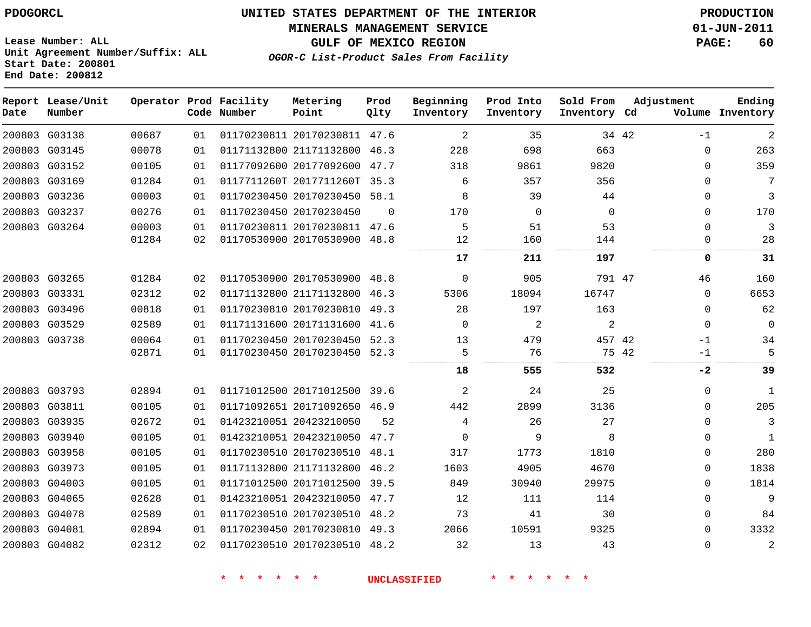#### **MINERALS MANAGEMENT SERVICE 01-JUN-2011**

**GULF OF MEXICO REGION PAGE: 60**

**Lease Number: ALL Unit Agreement Number/Suffix: ALL Start Date: 200801 End Date: 200812**

**OGOR-C List-Product Sales From Facility**

| Date | Report Lease/Unit<br>Number |                |          | Operator Prod Facility<br>Code Number | Metering<br>Point                                            | Prod<br>Qlty | Beginning<br>Inventory | Prod Into<br>Inventory | Sold From<br>Inventory Cd |       | Adjustment    | Ending<br>Volume Inventory |
|------|-----------------------------|----------------|----------|---------------------------------------|--------------------------------------------------------------|--------------|------------------------|------------------------|---------------------------|-------|---------------|----------------------------|
|      | 200803 G03138               | 00687          | 01       |                                       | 01170230811 20170230811 47.6                                 |              | 2                      | 35                     |                           | 34 42 | $-1$          | 2                          |
|      | 200803 G03145               | 00078          | 01       |                                       | 01171132800 21171132800 46.3                                 |              | 228                    | 698                    | 663                       |       | 0             | 263                        |
|      | 200803 G03152               | 00105          | 01       |                                       | 01177092600 20177092600                                      | 47.7         | 318                    | 9861                   | 9820                      |       | $\Omega$      | 359                        |
|      | 200803 G03169               | 01284          | 01       |                                       | 0117711260T 2017711260T 35.3                                 |              | 6                      | 357                    | 356                       |       | $\Omega$      | 7                          |
|      | 200803 G03236               | 00003          | 01       |                                       | 01170230450 20170230450 58.1                                 |              | 8                      | 39                     | 44                        |       | $\Omega$      | 3                          |
|      | 200803 G03237               | 00276          | 01       |                                       | 01170230450 20170230450                                      | $\Omega$     | 170                    | $\Omega$               | $\Omega$                  |       | $\Omega$      | 170                        |
|      | 200803 G03264               | 00003<br>01284 | 01<br>02 |                                       | 01170230811 20170230811 47.6<br>01170530900 20170530900 48.8 |              | 5<br>12                | 51<br>160              | 53<br>144                 |       | $\Omega$<br>0 | 3<br>28                    |
|      |                             |                |          |                                       |                                                              |              | 17                     | 211                    | 197                       |       | 0             | 31                         |
|      | 200803 G03265               | 01284          | 02       |                                       | 01170530900 20170530900                                      | 48.8         | $\mathbf 0$            | 905                    | 791 47                    |       | 46            | 160                        |
|      | 200803 G03331               | 02312          | 02       |                                       | 01171132800 21171132800                                      | 46.3         | 5306                   | 18094                  | 16747                     |       | $\Omega$      | 6653                       |
|      | 200803 G03496               | 00818          | 01       |                                       | 01170230810 20170230810                                      | 49.3         | 28                     | 197                    | 163                       |       | 0             | 62                         |
|      | 200803 G03529               | 02589          | 01       |                                       | 01171131600 20171131600                                      | 41.6         | $\Omega$               | $\overline{2}$         | $\overline{2}$            |       | 0             | $\mathbf 0$                |
|      | 200803 G03738               | 00064          | 01       |                                       | 01170230450 20170230450                                      | 52.3         | 13                     | 479                    | 457 42                    |       | $-1$          | 34                         |
|      |                             | 02871          | 01       |                                       | 01170230450 20170230450 52.3                                 |              | 5                      | 76                     |                           | 75 42 | $-1$          | 5                          |
|      |                             |                |          |                                       |                                                              |              | 18                     | 555                    | 532                       |       | -2            | 39                         |
|      | 200803 G03793               | 02894          | 01       |                                       | 01171012500 20171012500 39.6                                 |              | 2                      | 24                     | 25                        |       | $\Omega$      | $\mathbf{1}$               |
|      | 200803 G03811               | 00105          | 01       |                                       | 01171092651 20171092650                                      | 46.9         | 442                    | 2899                   | 3136                      |       | 0             | 205                        |
|      | 200803 G03935               | 02672          | 01       |                                       | 01423210051 20423210050                                      | 52           | 4                      | 26                     | 27                        |       | $\Omega$      | 3                          |
|      | 200803 G03940               | 00105          | 01       |                                       | 01423210051 20423210050                                      | 47.7         | 0                      | 9                      | 8                         |       | 0             | 1                          |
|      | 200803 G03958               | 00105          | 01       |                                       | 01170230510 20170230510 48.1                                 |              | 317                    | 1773                   | 1810                      |       | $\Omega$      | 280                        |
|      | 200803 G03973               | 00105          | 01       |                                       | 01171132800 21171132800                                      | 46.2         | 1603                   | 4905                   | 4670                      |       | 0             | 1838                       |
|      | 200803 G04003               | 00105          | 01       |                                       | 01171012500 20171012500                                      | 39.5         | 849                    | 30940                  | 29975                     |       | $\Omega$      | 1814                       |
|      | 200803 G04065               | 02628          | 01       |                                       | 01423210051 20423210050                                      | 47.7         | 12                     | 111                    | 114                       |       | $\Omega$      | 9                          |
|      | 200803 G04078               | 02589          | 01       |                                       | 01170230510 20170230510 48.2                                 |              | 73                     | 41                     | 30                        |       | $\Omega$      | 84                         |
|      | 200803 G04081               | 02894          | 01       |                                       | 01170230450 20170230810                                      | 49.3         | 2066                   | 10591                  | 9325                      |       | $\Omega$      | 3332                       |
|      | 200803 G04082               | 02312          | 02       |                                       | 01170230510 20170230510 48.2                                 |              | 32                     | 13                     | 43                        |       | $\Omega$      | $\overline{2}$             |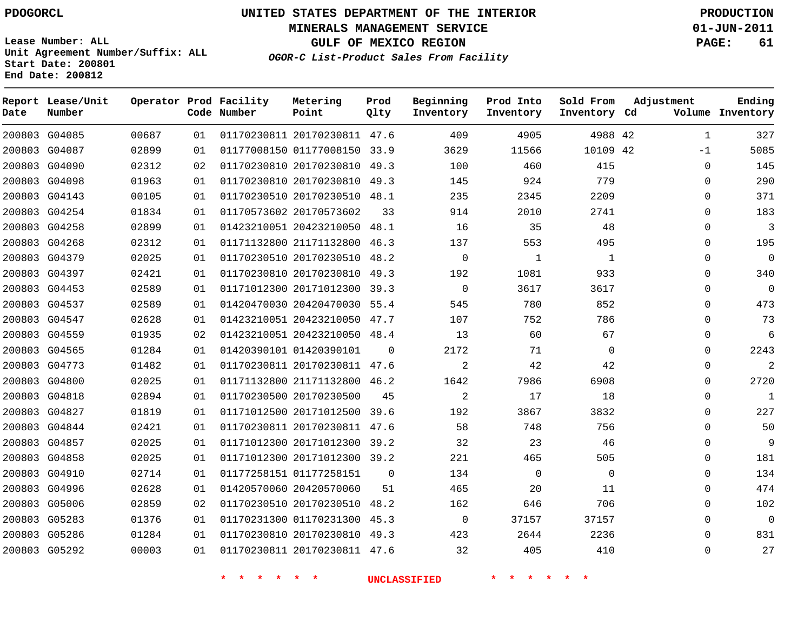**Start Date: 200801 End Date: 200812**

**Unit Agreement Number/Suffix: ALL**

# **UNITED STATES DEPARTMENT OF THE INTERIOR PDOGORCL PRODUCTION**

**MINERALS MANAGEMENT SERVICE 01-JUN-2011**

**GULF OF MEXICO REGION PAGE: 61**

**OGOR-C List-Product Sales From Facility**

| Date | Report Lease/Unit<br>Number |       |    | Operator Prod Facility<br>Code Number | Metering<br>Point            | Prod<br>Qlty | Beginning<br>Inventory | Prod Into<br>Inventory | Sold From<br>Inventory Cd | Adjustment   | Ending<br>Volume Inventory |
|------|-----------------------------|-------|----|---------------------------------------|------------------------------|--------------|------------------------|------------------------|---------------------------|--------------|----------------------------|
|      | 200803 G04085               | 00687 | 01 |                                       | 01170230811 20170230811 47.6 |              | 409                    | 4905                   | 4988 42                   | $\mathbf{1}$ | 327                        |
|      | 200803 G04087               | 02899 | 01 |                                       | 01177008150 01177008150 33.9 |              | 3629                   | 11566                  | 10109 42                  | $-1$         | 5085                       |
|      | 200803 G04090               | 02312 | 02 |                                       | 01170230810 20170230810      | 49.3         | 100                    | 460                    | 415                       | $\mathbf 0$  | 145                        |
|      | 200803 G04098               | 01963 | 01 |                                       | 01170230810 20170230810 49.3 |              | 145                    | 924                    | 779                       | $\mathbf 0$  | 290                        |
|      | 200803 G04143               | 00105 | 01 |                                       | 01170230510 20170230510      | 48.1         | 235                    | 2345                   | 2209                      | $\mathbf 0$  | 371                        |
|      | 200803 G04254               | 01834 | 01 |                                       | 01170573602 20170573602      | 33           | 914                    | 2010                   | 2741                      | $\Omega$     | 183                        |
|      | 200803 G04258               | 02899 | 01 |                                       | 01423210051 20423210050 48.1 |              | 16                     | 35                     | 48                        | $\Omega$     | $\overline{3}$             |
|      | 200803 G04268               | 02312 | 01 |                                       | 01171132800 21171132800      | 46.3         | 137                    | 553                    | 495                       | $\mathbf 0$  | 195                        |
|      | 200803 G04379               | 02025 | 01 |                                       | 01170230510 20170230510      | 48.2         | $\mathbf 0$            | $\mathbf{1}$           | $\mathbf{1}$              | $\mathbf 0$  | $\overline{0}$             |
|      | 200803 G04397               | 02421 | 01 |                                       | 01170230810 20170230810      | 49.3         | 192                    | 1081                   | 933                       | $\mathbf 0$  | 340                        |
|      | 200803 G04453               | 02589 | 01 |                                       | 01171012300 20171012300 39.3 |              | $\Omega$               | 3617                   | 3617                      | $\Omega$     | $\overline{0}$             |
|      | 200803 G04537               | 02589 | 01 |                                       | 01420470030 20420470030      | 55.4         | 545                    | 780                    | 852                       | $\Omega$     | 473                        |
|      | 200803 G04547               | 02628 | 01 |                                       | 01423210051 20423210050      | 47.7         | 107                    | 752                    | 786                       | $\Omega$     | 73                         |
|      | 200803 G04559               | 01935 | 02 |                                       | 01423210051 20423210050 48.4 |              | 13                     | 60                     | 67                        | $\mathbf 0$  | -6                         |
|      | 200803 G04565               | 01284 | 01 |                                       | 01420390101 01420390101      | $\mathbf 0$  | 2172                   | 71                     | 0                         | $\mathbf 0$  | 2243                       |
|      | 200803 G04773               | 01482 | 01 |                                       | 01170230811 20170230811 47.6 |              | 2                      | 42                     | 42                        | $\Omega$     | 2                          |
|      | 200803 G04800               | 02025 | 01 |                                       | 01171132800 21171132800      | 46.2         | 1642                   | 7986                   | 6908                      | $\Omega$     | 2720                       |
|      | 200803 G04818               | 02894 | 01 |                                       | 01170230500 20170230500      | 45           | 2                      | 17                     | 18                        | $\Omega$     | 1                          |
|      | 200803 G04827               | 01819 | 01 |                                       | 01171012500 20171012500      | 39.6         | 192                    | 3867                   | 3832                      | $\mathbf 0$  | 227                        |
|      | 200803 G04844               | 02421 | 01 |                                       | 01170230811 20170230811 47.6 |              | 58                     | 748                    | 756                       | $\Omega$     | 50                         |
|      | 200803 G04857               | 02025 | 01 |                                       | 01171012300 20171012300      | 39.2         | 32                     | 23                     | 46                        | $\mathbf 0$  | 9                          |
|      | 200803 G04858               | 02025 | 01 |                                       | 01171012300 20171012300 39.2 |              | 221                    | 465                    | 505                       | $\Omega$     | 181                        |
|      | 200803 G04910               | 02714 | 01 |                                       | 01177258151 01177258151      | $\Omega$     | 134                    | $\Omega$               | $\mathbf 0$               | $\Omega$     | 134                        |
|      | 200803 G04996               | 02628 | 01 |                                       | 01420570060 20420570060      | 51           | 465                    | 20                     | 11                        | $\Omega$     | 474                        |
|      | 200803 G05006               | 02859 | 02 |                                       | 01170230510 20170230510      | 48.2         | 162                    | 646                    | 706                       | $\mathbf 0$  | 102                        |
|      | 200803 G05283               | 01376 | 01 |                                       | 01170231300 01170231300      | 45.3         | $\mathbf 0$            | 37157                  | 37157                     | $\mathbf 0$  | $\overline{0}$             |
|      | 200803 G05286               | 01284 | 01 |                                       | 01170230810 20170230810      | 49.3         | 423                    | 2644                   | 2236                      | $\Omega$     | 831                        |
|      | 200803 G05292               | 00003 | 01 |                                       | 01170230811 20170230811 47.6 |              | 32                     | 405                    | 410                       | $\Omega$     | 27                         |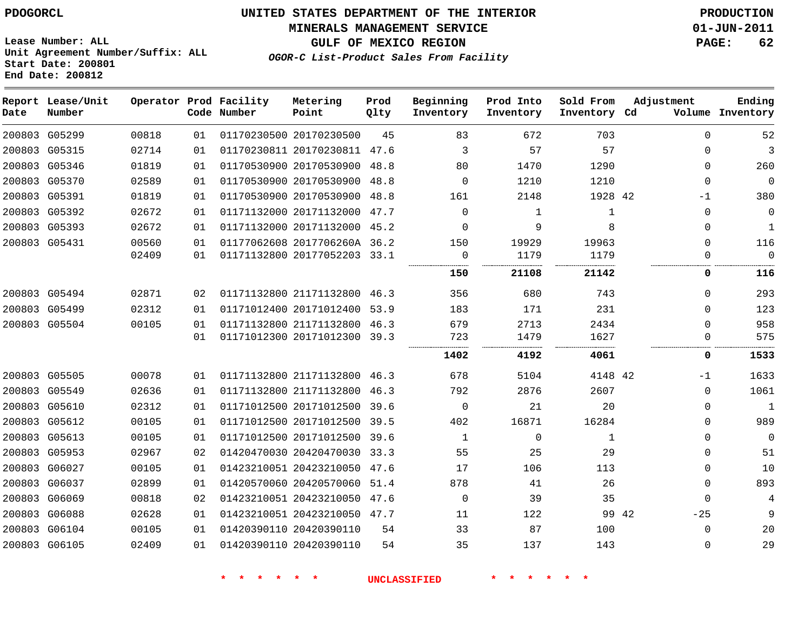#### **MINERALS MANAGEMENT SERVICE 01-JUN-2011**

**GULF OF MEXICO REGION PAGE: 62**

**Lease Number: ALL Unit Agreement Number/Suffix: ALL Start Date: 200801 End Date: 200812**

**OGOR-C List-Product Sales From Facility**

| Date | Report Lease/Unit<br>Number |       |    | Operator Prod Facility<br>Code Number | Metering<br>Point            | Prod<br>Qlty | Beginning<br>Inventory | Prod Into<br>Inventory | Sold From<br>Inventory Cd | Adjustment     | Ending<br>Volume Inventory |
|------|-----------------------------|-------|----|---------------------------------------|------------------------------|--------------|------------------------|------------------------|---------------------------|----------------|----------------------------|
|      | 200803 G05299               | 00818 | 01 |                                       | 01170230500 20170230500      | 45           | 83                     | 672                    | 703                       | $\Omega$       | 52                         |
|      | 200803 G05315               | 02714 | 01 |                                       | 01170230811 20170230811 47.6 |              | 3                      | 57                     | 57                        | $\Omega$       | 3                          |
|      | 200803 G05346               | 01819 | 01 |                                       | 01170530900 20170530900 48.8 |              | 80                     | 1470                   | 1290                      | $\Omega$       | 260                        |
|      | 200803 G05370               | 02589 | 01 |                                       | 01170530900 20170530900      | 48.8         | $\Omega$               | 1210                   | 1210                      | $\mathbf 0$    | $\mathbf 0$                |
|      | 200803 G05391               | 01819 | 01 |                                       | 01170530900 20170530900      | 48.8         | 161                    | 2148                   | 1928 42                   | -1             | 380                        |
|      | 200803 G05392               | 02672 | 01 |                                       | 01171132000 20171132000      | 47.7         | $\Omega$               | $\mathbf{1}$           | $\mathbf{1}$              | 0              | 0                          |
|      | 200803 G05393               | 02672 | 01 |                                       | 01171132000 20171132000 45.2 |              | $\Omega$               | 9                      | 8                         | $\Omega$       | $\mathbf{1}$               |
|      | 200803 G05431               | 00560 | 01 |                                       | 01177062608 2017706260A 36.2 |              | 150                    | 19929                  | 19963                     | 0              | 116                        |
|      |                             | 02409 | 01 |                                       | 01171132800 20177052203 33.1 |              | $\mathbf 0$<br>        | 1179<br>.              | 1179<br>                  | $\Omega$<br>   | $\Omega$                   |
|      |                             |       |    |                                       |                              |              | 150                    | 21108                  | 21142                     | 0              | 116                        |
|      | 200803 G05494               | 02871 | 02 |                                       | 01171132800 21171132800 46.3 |              | 356                    | 680                    | 743                       | $\Omega$       | 293                        |
|      | 200803 G05499               | 02312 | 01 |                                       | 01171012400 20171012400      | 53.9         | 183                    | 171                    | 231                       | $\Omega$       | 123                        |
|      | 200803 G05504               | 00105 | 01 |                                       | 01171132800 21171132800 46.3 |              | 679                    | 2713                   | 2434                      | $\Omega$       | 958                        |
|      |                             |       | 01 |                                       | 01171012300 20171012300 39.3 |              | 723                    | 1479                   | 1627                      | 0              | 575                        |
|      |                             |       |    |                                       |                              |              | 1402                   | 4192                   | 4061                      | 0              | 1533                       |
|      | 200803 G05505               | 00078 | 01 |                                       | 01171132800 21171132800 46.3 |              | 678                    | 5104                   | 4148 42                   | -1             | 1633                       |
|      | 200803 G05549               | 02636 | 01 |                                       | 01171132800 21171132800      | 46.3         | 792                    | 2876                   | 2607                      | 0              | 1061                       |
|      | 200803 G05610               | 02312 | 01 |                                       | 01171012500 20171012500      | 39.6         | $\mathbf 0$            | 21                     | 20                        | $\Omega$       | $\mathbf{1}$               |
|      | 200803 G05612               | 00105 | 01 |                                       | 01171012500 20171012500 39.5 |              | 402                    | 16871                  | 16284                     | $\Omega$       | 989                        |
|      | 200803 G05613               | 00105 | 01 |                                       | 01171012500 20171012500      | 39.6         | 1                      | 0                      | 1                         | $\Omega$       | 0                          |
|      | 200803 G05953               | 02967 | 02 |                                       | 01420470030 20420470030 33.3 |              | 55                     | 25                     | 29                        | $\Omega$       | 51                         |
|      | 200803 G06027               | 00105 | 01 |                                       | 01423210051 20423210050      | 47.6         | 17                     | 106                    | 113                       | 0              | 10                         |
|      | 200803 G06037               | 02899 | 01 |                                       | 01420570060 20420570060      | 51.4         | 878                    | 41                     | 26                        | $\Omega$       | 893                        |
|      | 200803 G06069               | 00818 | 02 |                                       | 01423210051 20423210050      | 47.6         | $\mathbf 0$            | 39                     | 35                        | $\Omega$       | 4                          |
|      | 200803 G06088               | 02628 | 01 |                                       | 01423210051 20423210050 47.7 |              | 11                     | 122                    |                           | 99 42<br>$-25$ | 9                          |
|      | 200803 G06104               | 00105 | 01 |                                       | 01420390110 20420390110      | 54           | 33                     | 87                     | 100                       | 0              | 20                         |
|      | 200803 G06105               | 02409 | 01 |                                       | 01420390110 20420390110      | 54           | 35                     | 137                    | 143                       | $\Omega$       | 29                         |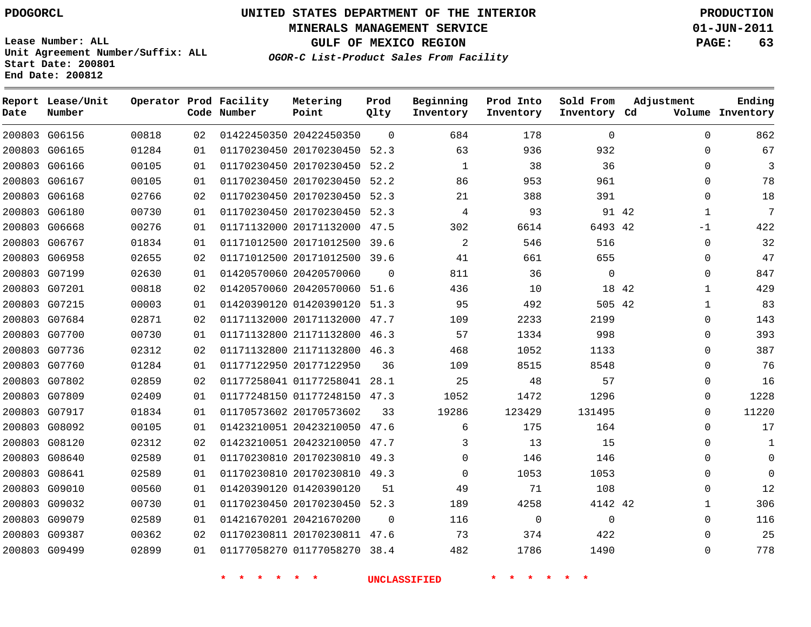**MINERALS MANAGEMENT SERVICE 01-JUN-2011**

**GULF OF MEXICO REGION PAGE: 63**

**Lease Number: ALL Unit Agreement Number/Suffix: ALL Start Date: 200801 End Date: 200812**

**OGOR-C List-Product Sales From Facility**

| Date | Report Lease/Unit<br>Number |       |    | Operator Prod Facility<br>Code Number | Metering<br>Point            | Prod<br>Qlty | Beginning<br>Inventory | Prod Into<br>Inventory | Sold From<br>Inventory Cd |       | Adjustment   | Ending<br>Volume Inventory |
|------|-----------------------------|-------|----|---------------------------------------|------------------------------|--------------|------------------------|------------------------|---------------------------|-------|--------------|----------------------------|
|      | 200803 G06156               | 00818 | 02 |                                       | 01422450350 20422450350      | $\Omega$     | 684                    | 178                    | $\Omega$                  |       | 0            | 862                        |
|      | 200803 G06165               | 01284 | 01 |                                       | 01170230450 20170230450      | 52.3         | 63                     | 936                    | 932                       |       | 0            | 67                         |
|      | 200803 G06166               | 00105 | 01 |                                       | 01170230450 20170230450 52.2 |              | 1                      | 38                     | 36                        |       | $\mathbf 0$  | 3                          |
|      | 200803 G06167               | 00105 | 01 |                                       | 01170230450 20170230450      | 52.2         | 86                     | 953                    | 961                       |       | 0            | 78                         |
|      | 200803 G06168               | 02766 | 02 |                                       | 01170230450 20170230450 52.3 |              | 21                     | 388                    | 391                       |       | 0            | 18                         |
|      | 200803 G06180               | 00730 | 01 |                                       | 01170230450 20170230450 52.3 |              | 4                      | 93                     |                           | 91 42 | $\mathbf{1}$ | 7                          |
|      | 200803 G06668               | 00276 | 01 |                                       | 01171132000 20171132000 47.5 |              | 302                    | 6614                   | 6493 42                   |       | $-1$         | 422                        |
|      | 200803 G06767               | 01834 | 01 |                                       | 01171012500 20171012500      | 39.6         | 2                      | 546                    | 516                       |       | $\mathbf 0$  | 32                         |
|      | 200803 G06958               | 02655 | 02 |                                       | 01171012500 20171012500 39.6 |              | 41                     | 661                    | 655                       |       | $\mathbf 0$  | 47                         |
|      | 200803 G07199               | 02630 | 01 |                                       | 01420570060 20420570060      | $\Omega$     | 811                    | 36                     | $\mathbf 0$               |       | $\mathbf 0$  | 847                        |
|      | 200803 G07201               | 00818 | 02 |                                       | 01420570060 20420570060 51.6 |              | 436                    | 10                     |                           | 18 42 | $\mathbf{1}$ | 429                        |
|      | 200803 G07215               | 00003 | 01 |                                       | 01420390120 01420390120      | 51.3         | 95                     | 492                    | 505 42                    |       | $\mathbf{1}$ | 83                         |
|      | 200803 G07684               | 02871 | 02 |                                       | 01171132000 20171132000 47.7 |              | 109                    | 2233                   | 2199                      |       | $\Omega$     | 143                        |
|      | 200803 G07700               | 00730 | 01 |                                       | 01171132800 21171132800 46.3 |              | 57                     | 1334                   | 998                       |       | 0            | 393                        |
|      | 200803 G07736               | 02312 | 02 |                                       | 01171132800 21171132800 46.3 |              | 468                    | 1052                   | 1133                      |       | 0            | 387                        |
|      | 200803 G07760               | 01284 | 01 |                                       | 01177122950 20177122950      | 36           | 109                    | 8515                   | 8548                      |       | 0            | 76                         |
|      | 200803 G07802               | 02859 | 02 |                                       | 01177258041 01177258041 28.1 |              | 25                     | 48                     | 57                        |       | 0            | 16                         |
|      | 200803 G07809               | 02409 | 01 |                                       | 01177248150 01177248150 47.3 |              | 1052                   | 1472                   | 1296                      |       | 0            | 1228                       |
|      | 200803 G07917               | 01834 | 01 |                                       | 01170573602 20170573602      | 33           | 19286                  | 123429                 | 131495                    |       | 0            | 11220                      |
|      | 200803 G08092               | 00105 | 01 |                                       | 01423210051 20423210050      | 47.6         | 6                      | 175                    | 164                       |       | 0            | 17                         |
|      | 200803 G08120               | 02312 | 02 |                                       | 01423210051 20423210050 47.7 |              | 3                      | 13                     | 15                        |       | 0            | 1                          |
|      | 200803 G08640               | 02589 | 01 |                                       | 01170230810 20170230810 49.3 |              | $\Omega$               | 146                    | 146                       |       | 0            | $\Omega$                   |
|      | 200803 G08641               | 02589 | 01 |                                       | 01170230810 20170230810 49.3 |              | $\Omega$               | 1053                   | 1053                      |       | 0            | $\Omega$                   |
|      | 200803 G09010               | 00560 | 01 |                                       | 01420390120 01420390120      | 51           | 49                     | 71                     | 108                       |       | $\mathbf 0$  | 12                         |
|      | 200803 G09032               | 00730 | 01 |                                       | 01170230450 20170230450 52.3 |              | 189                    | 4258                   | 4142 42                   |       | $\mathbf{1}$ | 306                        |
|      | 200803 G09079               | 02589 | 01 |                                       | 01421670201 20421670200      | $\Omega$     | 116                    | $\mathbf 0$            | $\mathbf 0$               |       | $\mathbf 0$  | 116                        |
|      | 200803 G09387               | 00362 | 02 |                                       | 01170230811 20170230811 47.6 |              | 73                     | 374                    | 422                       |       | $\mathbf 0$  | 25                         |
|      | 200803 G09499               | 02899 | 01 |                                       | 01177058270 01177058270      | 38.4         | 482                    | 1786                   | 1490                      |       | $\Omega$     | 778                        |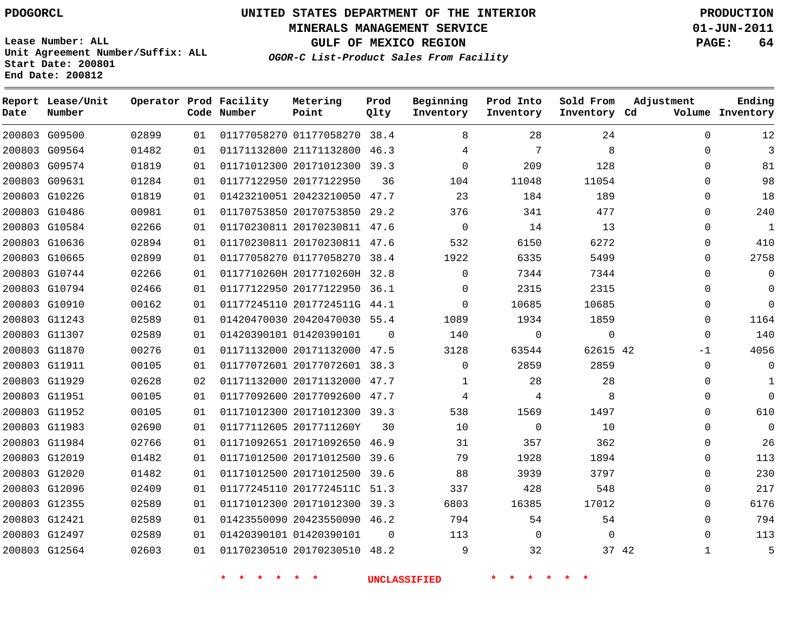# **UNITED STATES DEPARTMENT OF THE INTERIOR PDOGORCL PRODUCTION**

**MINERALS MANAGEMENT SERVICE 01-JUN-2011**

**GULF OF MEXICO REGION PAGE: 64**

**Unit Agreement Number/Suffix: ALL Start Date: 200801 End Date: 200812**

**OGOR-C List-Product Sales From Facility**

| Date | Report Lease/Unit<br>Number |       |    | Operator Prod Facility<br>Code Number | Metering<br>Point            | Prod<br>Qlty | Beginning<br>Inventory | Prod Into<br>Inventory | Sold From<br>Inventory Cd | Adjustment   | Ending<br>Volume Inventory |
|------|-----------------------------|-------|----|---------------------------------------|------------------------------|--------------|------------------------|------------------------|---------------------------|--------------|----------------------------|
|      | 200803 G09500               | 02899 | 01 |                                       | 01177058270 01177058270 38.4 |              | 8                      | 28                     | 24                        | $\Omega$     | 12                         |
|      | 200803 G09564               | 01482 | 01 |                                       | 01171132800 21171132800 46.3 |              | 4                      | 7                      | 8                         | 0            | 3                          |
|      | 200803 G09574               | 01819 | 01 |                                       | 01171012300 20171012300 39.3 |              | $\Omega$               | 209                    | 128                       | $\mathbf 0$  | 81                         |
|      | 200803 G09631               | 01284 | 01 |                                       | 01177122950 20177122950      | 36           | 104                    | 11048                  | 11054                     | $\mathbf 0$  | 98                         |
|      | 200803 G10226               | 01819 | 01 |                                       | 01423210051 20423210050 47.7 |              | 23                     | 184                    | 189                       | $\mathbf 0$  | 18                         |
|      | 200803 G10486               | 00981 | 01 |                                       | 01170753850 20170753850 29.2 |              | 376                    | 341                    | 477                       | 0            | 240                        |
|      | 200803 G10584               | 02266 | 01 |                                       | 01170230811 20170230811 47.6 |              | 0                      | 14                     | 13                        | 0            | 1                          |
|      | 200803 G10636               | 02894 | 01 |                                       | 01170230811 20170230811 47.6 |              | 532                    | 6150                   | 6272                      | 0            | 410                        |
|      | 200803 G10665               | 02899 | 01 |                                       | 01177058270 01177058270 38.4 |              | 1922                   | 6335                   | 5499                      | 0            | 2758                       |
|      | 200803 G10744               | 02266 | 01 |                                       | 0117710260H 2017710260H 32.8 |              | 0                      | 7344                   | 7344                      | 0            | $\mathbf 0$                |
|      | 200803 G10794               | 02466 | 01 |                                       | 01177122950 20177122950 36.1 |              | $\Omega$               | 2315                   | 2315                      | $\mathbf 0$  | $\Omega$                   |
|      | 200803 G10910               | 00162 | 01 |                                       | 01177245110 2017724511G 44.1 |              | 0                      | 10685                  | 10685                     | 0            | $\Omega$                   |
|      | 200803 G11243               | 02589 | 01 |                                       | 01420470030 20420470030 55.4 |              | 1089                   | 1934                   | 1859                      | 0            | 1164                       |
|      | 200803 G11307               | 02589 | 01 |                                       | 01420390101 01420390101      | 0            | 140                    | $\mathbf 0$            | $\mathbf 0$               | $\mathbf 0$  | 140                        |
|      | 200803 G11870               | 00276 | 01 |                                       | 01171132000 20171132000 47.5 |              | 3128                   | 63544                  | 62615 42                  | $-1$         | 4056                       |
|      | 200803 G11911               | 00105 | 01 |                                       | 01177072601 20177072601 38.3 |              | 0                      | 2859                   | 2859                      | 0            | 0                          |
|      | 200803 G11929               | 02628 | 02 |                                       | 01171132000 20171132000 47.7 |              | 1                      | 28                     | 28                        | 0            | 1                          |
|      | 200803 G11951               | 00105 | 01 |                                       | 01177092600 20177092600 47.7 |              | 4                      | 4                      | 8                         | 0            | $\Omega$                   |
|      | 200803 G11952               | 00105 | 01 |                                       | 01171012300 20171012300 39.3 |              | 538                    | 1569                   | 1497                      | 0            | 610                        |
|      | 200803 G11983               | 02690 | 01 |                                       | 01177112605 2017711260Y      | 30           | 10                     | $\mathbf 0$            | 10                        | 0            | $\mathbf 0$                |
|      | 200803 G11984               | 02766 | 01 |                                       | 01171092651 20171092650 46.9 |              | 31                     | 357                    | 362                       | $\mathbf 0$  | 26                         |
|      | 200803 G12019               | 01482 | 01 |                                       | 01171012500 20171012500 39.6 |              | 79                     | 1928                   | 1894                      | 0            | 113                        |
|      | 200803 G12020               | 01482 | 01 |                                       | 01171012500 20171012500 39.6 |              | 88                     | 3939                   | 3797                      | 0            | 230                        |
|      | 200803 G12096               | 02409 | 01 |                                       | 01177245110 2017724511C 51.3 |              | 337                    | 428                    | 548                       | 0            | 217                        |
|      | 200803 G12355               | 02589 | 01 |                                       | 01171012300 20171012300 39.3 |              | 6803                   | 16385                  | 17012                     | 0            | 6176                       |
|      | 200803 G12421               | 02589 | 01 |                                       | 01423550090 20423550090 46.2 |              | 794                    | 54                     | 54                        | 0            | 794                        |
|      | 200803 G12497               | 02589 | 01 |                                       | 01420390101 01420390101      | $\Omega$     | 113                    | $\mathbf 0$            | $\Omega$                  | $\mathbf 0$  | 113                        |
|      | 200803 G12564               | 02603 | 01 |                                       | 01170230510 20170230510 48.2 |              | 9                      | 32                     | 37 42                     | $\mathbf{1}$ | 5                          |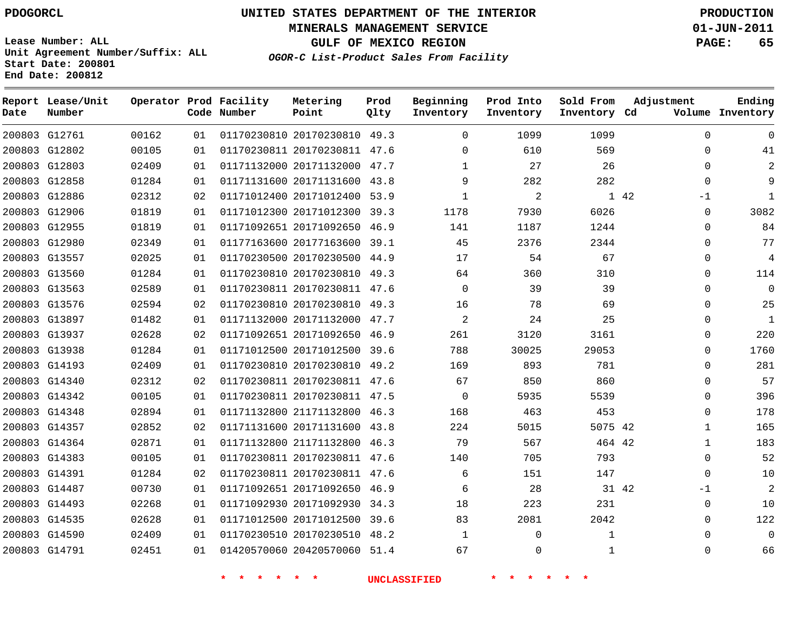**MINERALS MANAGEMENT SERVICE 01-JUN-2011**

**GULF OF MEXICO REGION PAGE: 65**

**Lease Number: ALL Unit Agreement Number/Suffix: ALL Start Date: 200801 End Date: 200812**

**OGOR-C List-Product Sales From Facility**

| Date | Report Lease/Unit<br>Number |       |    | Operator Prod Facility<br>Code Number | Metering<br>Point            | Prod<br>Qlty | Beginning<br>Inventory | Prod Into<br>Inventory | Sold From<br>Inventory Cd | Adjustment   | Ending<br>Volume Inventory |
|------|-----------------------------|-------|----|---------------------------------------|------------------------------|--------------|------------------------|------------------------|---------------------------|--------------|----------------------------|
|      | 200803 G12761               | 00162 | 01 |                                       | 01170230810 20170230810 49.3 |              | $\Omega$               | 1099                   | 1099                      | $\Omega$     | U                          |
|      | 200803 G12802               | 00105 | 01 |                                       | 01170230811 20170230811 47.6 |              | $\Omega$               | 610                    | 569                       | $\Omega$     | 41                         |
|      | 200803 G12803               | 02409 | 01 |                                       | 01171132000 20171132000 47.7 |              | $\mathbf{1}$           | 27                     | 26                        | $\Omega$     | 2                          |
|      | 200803 G12858               | 01284 | 01 |                                       | 01171131600 20171131600 43.8 |              | 9                      | 282                    | 282                       | $\Omega$     | 9                          |
|      | 200803 G12886               | 02312 | 02 |                                       | 01171012400 20171012400 53.9 |              | $\mathbf{1}$           | $\overline{c}$         |                           | 1 42<br>$-1$ | $\mathbf{1}$               |
|      | 200803 G12906               | 01819 | 01 |                                       | 01171012300 20171012300 39.3 |              | 1178                   | 7930                   | 6026                      | 0            | 3082                       |
|      | 200803 G12955               | 01819 | 01 |                                       | 01171092651 20171092650 46.9 |              | 141                    | 1187                   | 1244                      | $\Omega$     | 84                         |
|      | 200803 G12980               | 02349 | 01 |                                       | 01177163600 20177163600 39.1 |              | 45                     | 2376                   | 2344                      | $\Omega$     | 77                         |
|      | 200803 G13557               | 02025 | 01 |                                       | 01170230500 20170230500 44.9 |              | 17                     | 54                     | 67                        | $\Omega$     | 4                          |
|      | 200803 G13560               | 01284 | 01 |                                       | 01170230810 20170230810 49.3 |              | 64                     | 360                    | 310                       | $\Omega$     | 114                        |
|      | 200803 G13563               | 02589 | 01 |                                       | 01170230811 20170230811 47.6 |              | $\Omega$               | 39                     | 39                        | $\Omega$     | $\mathbf 0$                |
|      | 200803 G13576               | 02594 | 02 |                                       | 01170230810 20170230810 49.3 |              | 16                     | 78                     | 69                        | $\Omega$     | 25                         |
|      | 200803 G13897               | 01482 | 01 |                                       | 01171132000 20171132000 47.7 |              | 2                      | 24                     | 25                        | $\Omega$     | 1                          |
|      | 200803 G13937               | 02628 | 02 |                                       | 01171092651 20171092650 46.9 |              | 261                    | 3120                   | 3161                      | $\Omega$     | 220                        |
|      | 200803 G13938               | 01284 | 01 |                                       | 01171012500 20171012500 39.6 |              | 788                    | 30025                  | 29053                     | $\Omega$     | 1760                       |
|      | 200803 G14193               | 02409 | 01 |                                       | 01170230810 20170230810 49.2 |              | 169                    | 893                    | 781                       | $\Omega$     | 281                        |
|      | 200803 G14340               | 02312 | 02 |                                       | 01170230811 20170230811 47.6 |              | 67                     | 850                    | 860                       | $\Omega$     | 57                         |
|      | 200803 G14342               | 00105 | 01 |                                       | 01170230811 20170230811 47.5 |              | $\mathbf 0$            | 5935                   | 5539                      | 0            | 396                        |
|      | 200803 G14348               | 02894 | 01 |                                       | 01171132800 21171132800 46.3 |              | 168                    | 463                    | 453                       | $\Omega$     | 178                        |
|      | 200803 G14357               | 02852 | 02 |                                       | 01171131600 20171131600 43.8 |              | 224                    | 5015                   | 5075 42                   | $\mathbf{1}$ | 165                        |
|      | 200803 G14364               | 02871 | 01 |                                       | 01171132800 21171132800 46.3 |              | 79                     | 567                    | 464 42                    | $\mathbf 1$  | 183                        |
|      | 200803 G14383               | 00105 | 01 |                                       | 01170230811 20170230811 47.6 |              | 140                    | 705                    | 793                       | 0            | 52                         |
|      | 200803 G14391               | 01284 | 02 |                                       | 01170230811 20170230811 47.6 |              | 6                      | 151                    | 147                       | 0            | 10                         |
|      | 200803 G14487               | 00730 | 01 |                                       | 01171092651 20171092650 46.9 |              | 6                      | 28                     | 31 42                     | $-1$         | 2                          |
|      | 200803 G14493               | 02268 | 01 |                                       | 01171092930 20171092930 34.3 |              | 18                     | 223                    | 231                       | 0            | 10                         |
|      | 200803 G14535               | 02628 | 01 |                                       | 01171012500 20171012500 39.6 |              | 83                     | 2081                   | 2042                      | 0            | 122                        |
|      | 200803 G14590               | 02409 | 01 |                                       | 01170230510 20170230510 48.2 |              | 1                      | 0                      | 1                         | $\Omega$     | 0                          |
|      | 200803 G14791               | 02451 | 01 |                                       | 01420570060 20420570060 51.4 |              | 67                     | 0                      | $\mathbf 1$               | 0            | 66                         |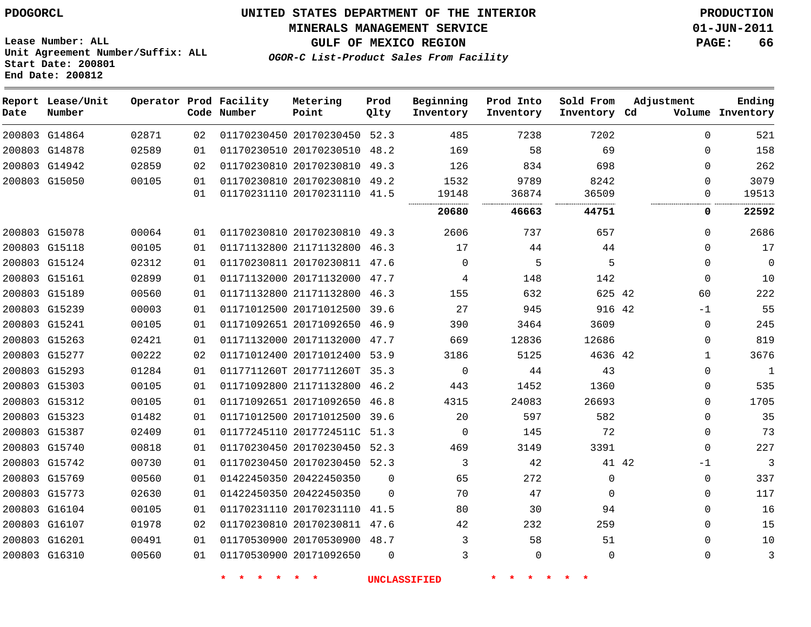#### **MINERALS MANAGEMENT SERVICE 01-JUN-2011**

**GULF OF MEXICO REGION PAGE: 66**

**Lease Number: ALL Unit Agreement Number/Suffix: ALL Start Date: 200801 End Date: 200812**

**OGOR-C List-Product Sales From Facility**

| Date | Report Lease/Unit<br>Number |       |    | Operator Prod Facility<br>Code Number | Metering<br>Point            | Prod<br>Qlty | Beginning<br>Inventory | Prod Into<br>Inventory | Sold From<br>Inventory Cd | Adjustment    | Ending<br>Volume Inventory |
|------|-----------------------------|-------|----|---------------------------------------|------------------------------|--------------|------------------------|------------------------|---------------------------|---------------|----------------------------|
|      | 200803 G14864               | 02871 | 02 |                                       | 01170230450 20170230450 52.3 |              | 485                    | 7238                   | 7202                      | $\mathbf{0}$  | 521                        |
|      | 200803 G14878               | 02589 | 01 |                                       | 01170230510 20170230510      | 48.2         | 169                    | 58                     | 69                        | 0             | 158                        |
|      | 200803 G14942               | 02859 | 02 |                                       | 01170230810 20170230810      | 49.3         | 126                    | 834                    | 698                       | 0             | 262                        |
|      | 200803 G15050               | 00105 | 01 |                                       | 01170230810 20170230810 49.2 |              | 1532                   | 9789                   | 8242                      | $\Omega$      | 3079                       |
|      |                             |       | 01 |                                       | 01170231110 20170231110 41.5 |              | 19148                  | 36874<br>              | 36509                     | 0<br>         | 19513                      |
|      |                             |       |    |                                       |                              |              | 20680                  | 46663                  | 44751                     | 0             | 22592                      |
|      | 200803 G15078               | 00064 | 01 |                                       | 01170230810 20170230810 49.3 |              | 2606                   | 737                    | 657                       | 0             | 2686                       |
|      | 200803 G15118               | 00105 | 01 |                                       | 01171132800 21171132800      | 46.3         | 17                     | 44                     | 44                        | 0             | 17                         |
|      | 200803 G15124               | 02312 | 01 |                                       | 01170230811 20170230811 47.6 |              | $\Omega$               | 5                      | 5                         | $\Omega$      | $\mathbf 0$                |
|      | 200803 G15161               | 02899 | 01 |                                       | 01171132000 20171132000      | 47.7         | 4                      | 148                    | 142                       | 0             | 10                         |
|      | 200803 G15189               | 00560 | 01 |                                       | 01171132800 21171132800 46.3 |              | 155                    | 632                    | 625 42                    | 60            | 222                        |
|      | 200803 G15239               | 00003 | 01 |                                       | 01171012500 20171012500      | 39.6         | 27                     | 945                    | 916 42                    | $-1$          | 55                         |
|      | 200803 G15241               | 00105 | 01 |                                       | 01171092651 20171092650 46.9 |              | 390                    | 3464                   | 3609                      | $\mathbf 0$   | 245                        |
|      | 200803 G15263               | 02421 | 01 |                                       | 01171132000 20171132000 47.7 |              | 669                    | 12836                  | 12686                     | 0             | 819                        |
|      | 200803 G15277               | 00222 | 02 |                                       | 01171012400 20171012400 53.9 |              | 3186                   | 5125                   | 4636 42                   | $\mathbf{1}$  | 3676                       |
|      | 200803 G15293               | 01284 | 01 |                                       | 0117711260T 2017711260T 35.3 |              | 0                      | 44                     | 43                        | 0             | $\mathbf{1}$               |
|      | 200803 G15303               | 00105 | 01 |                                       | 01171092800 21171132800      | 46.2         | 443                    | 1452                   | 1360                      | 0             | 535                        |
|      | 200803 G15312               | 00105 | 01 |                                       | 01171092651 20171092650 46.8 |              | 4315                   | 24083                  | 26693                     | $\Omega$      | 1705                       |
|      | 200803 G15323               | 01482 | 01 |                                       | 01171012500 20171012500 39.6 |              | 20                     | 597                    | 582                       | 0             | 35                         |
|      | 200803 G15387               | 02409 | 01 |                                       | 01177245110 2017724511C 51.3 |              | $\Omega$               | 145                    | 72                        | $\Omega$      | 73                         |
|      | 200803 G15740               | 00818 | 01 |                                       | 01170230450 20170230450 52.3 |              | 469                    | 3149                   | 3391                      | $\Omega$      | 227                        |
|      | 200803 G15742               | 00730 | 01 |                                       | 01170230450 20170230450 52.3 |              | 3                      | 42                     |                           | 41 42<br>$-1$ | 3                          |
|      | 200803 G15769               | 00560 | 01 |                                       | 01422450350 20422450350      | $\Omega$     | 65                     | 272                    | $\Omega$                  | $\Omega$      | 337                        |
|      | 200803 G15773               | 02630 | 01 |                                       | 01422450350 20422450350      | $\Omega$     | 70                     | 47                     | $\mathbf 0$               | 0             | 117                        |
|      | 200803 G16104               | 00105 | 01 |                                       | 01170231110 20170231110 41.5 |              | 80                     | 30                     | 94                        | 0             | 16                         |
|      | 200803 G16107               | 01978 | 02 |                                       | 01170230810 20170230811 47.6 |              | 42                     | 232                    | 259                       | 0             | 15                         |
|      | 200803 G16201               | 00491 | 01 |                                       | 01170530900 20170530900 48.7 |              | 3                      | 58                     | 51                        | $\Omega$      | 10                         |
|      | 200803 G16310               | 00560 | 01 |                                       | 01170530900 20171092650      | $\Omega$     | 3                      | $\mathbf{0}$           | $\Omega$                  | 0             | 3                          |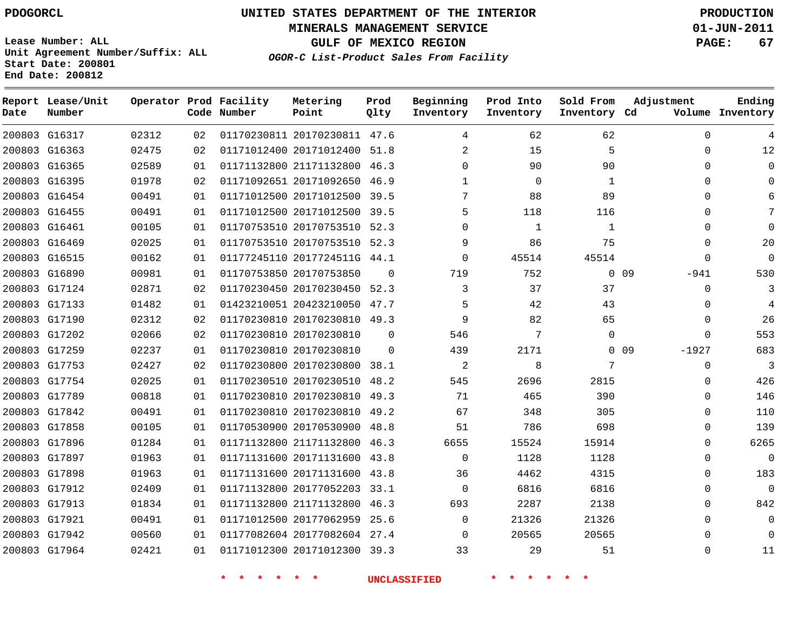# **UNITED STATES DEPARTMENT OF THE INTERIOR PDOGORCL PRODUCTION**

**MINERALS MANAGEMENT SERVICE 01-JUN-2011**

**GULF OF MEXICO REGION PAGE: 67**

**Unit Agreement Number/Suffix: ALL Start Date: 200801 End Date: 200812**

**OGOR-C List-Product Sales From Facility**

| Date | Report Lease/Unit<br>Number |       |    | Operator Prod Facility<br>Code Number | Metering<br>Point            | Prod<br>Qlty | Beginning<br>Inventory | Prod Into<br>Inventory | Sold From<br>Inventory Cd | Adjustment        | Ending<br>Volume Inventory |
|------|-----------------------------|-------|----|---------------------------------------|------------------------------|--------------|------------------------|------------------------|---------------------------|-------------------|----------------------------|
|      | 200803 G16317               | 02312 | 02 |                                       | 01170230811 20170230811 47.6 |              | 4                      | 62                     | 62                        | $\Omega$          | 4                          |
|      | 200803 G16363               | 02475 | 02 |                                       | 01171012400 20171012400      | 51.8         | $\overline{2}$         | 15                     | 5                         | 0                 | 12                         |
|      | 200803 G16365               | 02589 | 01 |                                       | 01171132800 21171132800      | 46.3         | 0                      | 90                     | 90                        | 0                 | $\mathbf 0$                |
|      | 200803 G16395               | 01978 | 02 |                                       | 01171092651 20171092650      | 46.9         | $\mathbf{1}$           | $\mathbf 0$            | 1                         | $\Omega$          | $\Omega$                   |
|      | 200803 G16454               | 00491 | 01 |                                       | 01171012500 20171012500 39.5 |              | 7                      | 88                     | 89                        | 0                 |                            |
|      | 200803 G16455               | 00491 | 01 |                                       | 01171012500 20171012500 39.5 |              | 5                      | 118                    | 116                       | $\Omega$          |                            |
|      | 200803 G16461               | 00105 | 01 |                                       | 01170753510 20170753510 52.3 |              | $\Omega$               | 1                      | 1                         | 0                 |                            |
|      | 200803 G16469               | 02025 | 01 |                                       | 01170753510 20170753510 52.3 |              | 9                      | 86                     | 75                        | 0                 | 20                         |
|      | 200803 G16515               | 00162 | 01 |                                       | 01177245110 2017724511G 44.1 |              | $\mathbf 0$            | 45514                  | 45514                     | 0                 | $\Omega$                   |
|      | 200803 G16890               | 00981 | 01 |                                       | 01170753850 20170753850      | $\Omega$     | 719                    | 752                    |                           | $0$ 09<br>$-941$  | 530                        |
|      | 200803 G17124               | 02871 | 02 |                                       | 01170230450 20170230450      | 52.3         | 3                      | 37                     | 37                        | 0                 | 3                          |
|      | 200803 G17133               | 01482 | 01 |                                       | 01423210051 20423210050 47.7 |              | 5                      | 42                     | 43                        | 0                 | 4                          |
|      | 200803 G17190               | 02312 | 02 |                                       | 01170230810 20170230810      | 49.3         | 9                      | 82                     | 65                        | $\Omega$          | 26                         |
|      | 200803 G17202               | 02066 | 02 |                                       | 01170230810 20170230810      | $\Omega$     | 546                    | 7                      | $\Omega$                  | $\Omega$          | 553                        |
|      | 200803 G17259               | 02237 | 01 |                                       | 01170230810 20170230810      | $\Omega$     | 439                    | 2171                   |                           | $-1927$<br>$0$ 09 | 683                        |
|      | 200803 G17753               | 02427 | 02 |                                       | 01170230800 20170230800      | 38.1         | 2                      | 8                      | 7                         | 0                 | 3                          |
|      | 200803 G17754               | 02025 | 01 |                                       | 01170230510 20170230510      | 48.2         | 545                    | 2696                   | 2815                      | 0                 | 426                        |
|      | 200803 G17789               | 00818 | 01 |                                       | 01170230810 20170230810      | 49.3         | 71                     | 465                    | 390                       | $\Omega$          | 146                        |
|      | 200803 G17842               | 00491 | 01 |                                       | 01170230810 20170230810      | 49.2         | 67                     | 348                    | 305                       | $\Omega$          | 110                        |
|      | 200803 G17858               | 00105 | 01 |                                       | 01170530900 20170530900      | 48.8         | 51                     | 786                    | 698                       | 0                 | 139                        |
|      | 200803 G17896               | 01284 | 01 |                                       | 01171132800 21171132800      | 46.3         | 6655                   | 15524                  | 15914                     | 0                 | 6265                       |
|      | 200803 G17897               | 01963 | 01 |                                       | 01171131600 20171131600      | 43.8         | $\Omega$               | 1128                   | 1128                      | 0                 | $\Omega$                   |
|      | 200803 G17898               | 01963 | 01 |                                       | 01171131600 20171131600      | 43.8         | 36                     | 4462                   | 4315                      | $\Omega$          | 183                        |
|      | 200803 G17912               | 02409 | 01 |                                       | 01171132800 20177052203      | 33.1         | $\mathbf 0$            | 6816                   | 6816                      | 0                 | $\mathbf 0$                |
|      | 200803 G17913               | 01834 | 01 |                                       | 01171132800 21171132800 46.3 |              | 693                    | 2287                   | 2138                      | $\Omega$          | 842                        |
|      | 200803 G17921               | 00491 | 01 |                                       | 01171012500 20177062959      | 25.6         | $\Omega$               | 21326                  | 21326                     | $\Omega$          | $\Omega$                   |
|      | 200803 G17942               | 00560 | 01 |                                       | 01177082604 20177082604      | 27.4         | $\Omega$               | 20565                  | 20565                     | $\Omega$          | $\Omega$                   |
|      | 200803 G17964               | 02421 | 01 |                                       | 01171012300 20171012300 39.3 |              | 33                     | 29                     | 51                        | $\Omega$          | 11                         |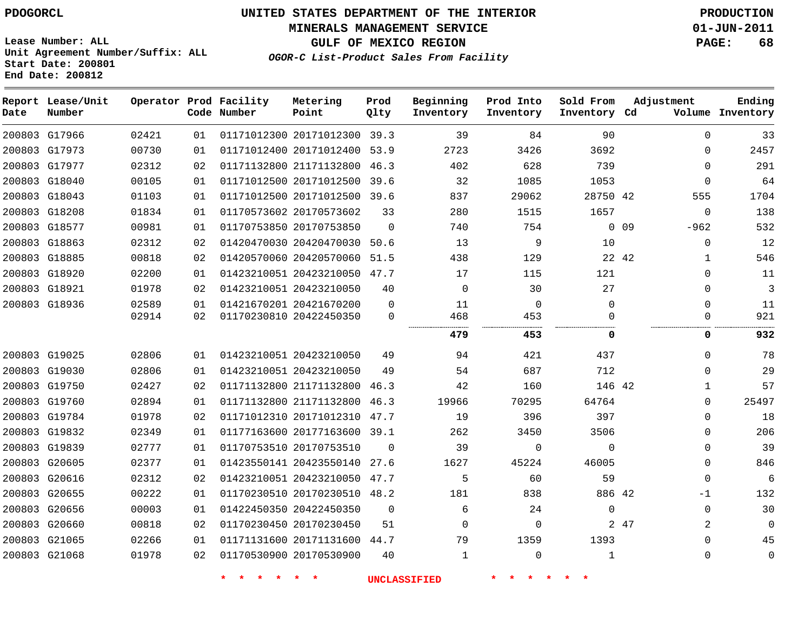**MINERALS MANAGEMENT SERVICE 01-JUN-2011**

**GULF OF MEXICO REGION PAGE: 68**

**Lease Number: ALL Unit Agreement Number/Suffix: ALL Start Date: 200801 End Date: 200812**

**OGOR-C List-Product Sales From Facility**

| Date | Report Lease/Unit<br>Number |       |    | Operator Prod Facility<br>Code Number | Metering<br>Point            | Prod<br>Qlty | Beginning<br>Inventory | Prod Into<br>Inventory | Sold From<br>Inventory Cd | Adjustment |              | Ending<br>Volume Inventory |
|------|-----------------------------|-------|----|---------------------------------------|------------------------------|--------------|------------------------|------------------------|---------------------------|------------|--------------|----------------------------|
|      | 200803 G17966               | 02421 | 01 |                                       | 01171012300 20171012300 39.3 |              | 39                     | 84                     | 90                        |            | $\Omega$     | 33                         |
|      | 200803 G17973               | 00730 | 01 |                                       | 01171012400 20171012400      | 53.9         | 2723                   | 3426                   | 3692                      |            | 0            | 2457                       |
|      | 200803 G17977               | 02312 | 02 |                                       | 01171132800 21171132800 46.3 |              | 402                    | 628                    | 739                       |            | $\Omega$     | 291                        |
|      | 200803 G18040               | 00105 | 01 |                                       | 01171012500 20171012500      | 39.6         | 32                     | 1085                   | 1053                      |            | $\Omega$     | 64                         |
|      | 200803 G18043               | 01103 | 01 |                                       | 01171012500 20171012500      | 39.6         | 837                    | 29062                  | 28750 42                  |            | 555          | 1704                       |
|      | 200803 G18208               | 01834 | 01 |                                       | 01170573602 20170573602      | 33           | 280                    | 1515                   | 1657                      |            | 0            | 138                        |
|      | 200803 G18577               | 00981 | 01 |                                       | 01170753850 20170753850      | $\Omega$     | 740                    | 754                    |                           | $0\quad09$ | $-962$       | 532                        |
|      | 200803 G18863               | 02312 | 02 |                                       | 01420470030 20420470030      | 50.6         | 13                     | 9                      | 10                        |            | 0            | 12                         |
|      | 200803 G18885               | 00818 | 02 |                                       | 01420570060 20420570060      | 51.5         | 438                    | 129                    |                           | 22 42      | 1            | 546                        |
|      | 200803 G18920               | 02200 | 01 |                                       | 01423210051 20423210050 47.7 |              | 17                     | 115                    | 121                       |            | 0            | 11                         |
|      | 200803 G18921               | 01978 | 02 |                                       | 01423210051 20423210050      | 40           | $\Omega$               | 30                     | 27                        |            | 0            | 3                          |
|      | 200803 G18936               | 02589 | 01 |                                       | 01421670201 20421670200      | $\Omega$     | 11                     | 0                      | $\Omega$                  |            | $\Omega$     | 11                         |
|      |                             | 02914 | 02 |                                       | 01170230810 20422450350      | $\Omega$     | 468                    | 453<br>.               | 0                         |            | 0            | 921                        |
|      |                             |       |    |                                       |                              |              | 479                    | 453                    | 0                         |            | 0            | 932                        |
|      | 200803 G19025               | 02806 | 01 |                                       | 01423210051 20423210050      | 49           | 94                     | 421                    | 437                       |            | $\Omega$     | 78                         |
|      | 200803 G19030               | 02806 | 01 |                                       | 01423210051 20423210050      | 49           | 54                     | 687                    | 712                       |            | 0            | 29                         |
|      | 200803 G19750               | 02427 | 02 |                                       | 01171132800 21171132800      | 46.3         | 42                     | 160                    | 146 42                    |            | 1            | 57                         |
|      | 200803 G19760               | 02894 | 01 |                                       | 01171132800 21171132800      | 46.3         | 19966                  | 70295                  | 64764                     |            | 0            | 25497                      |
|      | 200803 G19784               | 01978 | 02 |                                       | 01171012310 20171012310      | 47.7         | 19                     | 396                    | 397                       |            | 0            | 18                         |
|      | 200803 G19832               | 02349 | 01 |                                       | 01177163600 20177163600      | 39.1         | 262                    | 3450                   | 3506                      |            | $\Omega$     | 206                        |
|      | 200803 G19839               | 02777 | 01 |                                       | 01170753510 20170753510      | $\Omega$     | 39                     | 0                      | $\Omega$                  |            | $\Omega$     | 39                         |
|      | 200803 G20605               | 02377 | 01 |                                       | 01423550141 20423550140      | 27.6         | 1627                   | 45224                  | 46005                     |            | 0            | 846                        |
|      | 200803 G20616               | 02312 | 02 |                                       | 01423210051 20423210050      | 47.7         | 5                      | 60                     | 59                        |            | $\mathbf{0}$ | 6                          |
|      | 200803 G20655               | 00222 | 01 |                                       | 01170230510 20170230510 48.2 |              | 181                    | 838                    | 886 42                    |            | $-1$         | 132                        |
|      | 200803 G20656               | 00003 | 01 |                                       | 01422450350 20422450350      | $\mathbf 0$  | 6                      | 24                     | $\mathbf 0$               |            | $\mathbf 0$  | 30                         |
|      | 200803 G20660               | 00818 | 02 |                                       | 01170230450 20170230450      | 51           | $\Omega$               | 0                      |                           | 2 47       | 2            | $\mathbf 0$                |
|      | 200803 G21065               | 02266 | 01 |                                       | 01171131600 20171131600      | 44.7         | 79                     | 1359                   | 1393                      |            | 0            | 45                         |
|      | 200803 G21068               | 01978 | 02 |                                       | 01170530900 20170530900      | 40           | $\mathbf 1$            | $\Omega$               | $\mathbf{1}$              |            | $\Omega$     | 0                          |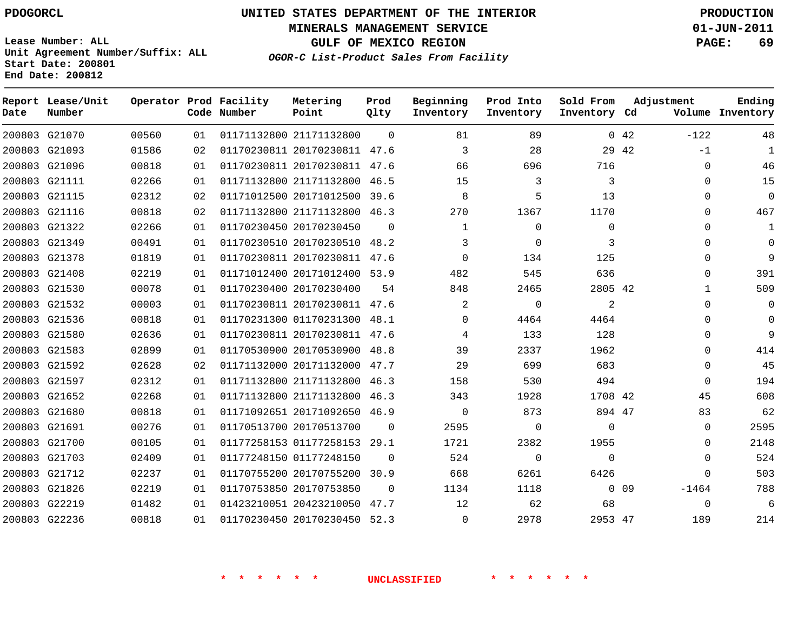**MINERALS MANAGEMENT SERVICE 01-JUN-2011**

**GULF OF MEXICO REGION PAGE: 69**

**Lease Number: ALL Unit Agreement Number/Suffix: ALL Start Date: 200801 End Date: 200812**

**OGOR-C List-Product Sales From Facility**

| Date | Report Lease/Unit<br>Number |       |    | Operator Prod Facility<br>Code Number | Metering<br>Point            | Prod<br>Qlty | Beginning<br>Inventory | Prod Into<br>Inventory | Sold From<br>Inventory Cd | Adjustment      |              | Ending<br>Volume Inventory |
|------|-----------------------------|-------|----|---------------------------------------|------------------------------|--------------|------------------------|------------------------|---------------------------|-----------------|--------------|----------------------------|
|      | 200803 G21070               | 00560 | 01 |                                       | 01171132800 21171132800      | $\Omega$     | 81                     | 89                     |                           | 0.42            | $-122$       | 48                         |
|      | 200803 G21093               | 01586 | 02 |                                       | 01170230811 20170230811 47.6 |              | 3                      | 28                     | 29 42                     |                 | $-1$         | 1                          |
|      | 200803 G21096               | 00818 | 01 |                                       | 01170230811 20170230811 47.6 |              | 66                     | 696                    | 716                       |                 | $\Omega$     | 46                         |
|      | 200803 G21111               | 02266 | 01 |                                       | 01171132800 21171132800 46.5 |              | 15                     | 3                      | 3                         |                 | $\Omega$     | 15                         |
|      | 200803 G21115               | 02312 | 02 |                                       | 01171012500 20171012500      | 39.6         | 8                      | 5                      | 13                        |                 | $\Omega$     | $\mathbf{0}$               |
|      | 200803 G21116               | 00818 | 02 |                                       | 01171132800 21171132800      | 46.3         | 270                    | 1367                   | 1170                      |                 | $\Omega$     | 467                        |
|      | 200803 G21322               | 02266 | 01 |                                       | 01170230450 20170230450      | 0            | $\mathbf 1$            | $\mathbf 0$            | 0                         |                 | 0            | 1                          |
|      | 200803 G21349               | 00491 | 01 |                                       | 01170230510 20170230510      | 48.2         | 3                      | $\mathbf 0$            | 3                         |                 | $\Omega$     | $\Omega$                   |
|      | 200803 G21378               | 01819 | 01 |                                       | 01170230811 20170230811      | 47.6         | $\Omega$               | 134                    | 125                       |                 | $\Omega$     | 9                          |
|      | 200803 G21408               | 02219 | 01 |                                       | 01171012400 20171012400 53.9 |              | 482                    | 545                    | 636                       |                 | $\Omega$     | 391                        |
|      | 200803 G21530               | 00078 | 01 |                                       | 01170230400 20170230400      | 54           | 848                    | 2465                   | 2805 42                   |                 | $\mathbf{1}$ | 509                        |
|      | 200803 G21532               | 00003 | 01 |                                       | 01170230811 20170230811      | 47.6         | 2                      | $\mathbf 0$            | 2                         |                 | $\Omega$     | 0                          |
|      | 200803 G21536               | 00818 | 01 |                                       | 01170231300 01170231300 48.1 |              | $\Omega$               | 4464                   | 4464                      |                 | $\Omega$     | $\Omega$                   |
|      | 200803 G21580               | 02636 | 01 |                                       | 01170230811 20170230811 47.6 |              | 4                      | 133                    | 128                       |                 | $\Omega$     | 9                          |
|      | 200803 G21583               | 02899 | 01 |                                       | 01170530900 20170530900      | 48.8         | 39                     | 2337                   | 1962                      |                 | $\Omega$     | 414                        |
|      | 200803 G21592               | 02628 | 02 |                                       | 01171132000 20171132000      | 47.7         | 29                     | 699                    | 683                       |                 | $\mathbf{0}$ | 45                         |
|      | 200803 G21597               | 02312 | 01 |                                       | 01171132800 21171132800 46.3 |              | 158                    | 530                    | 494                       |                 | 0            | 194                        |
|      | 200803 G21652               | 02268 | 01 |                                       | 01171132800 21171132800      | 46.3         | 343                    | 1928                   | 1708 42                   |                 | 45           | 608                        |
|      | 200803 G21680               | 00818 | 01 |                                       | 01171092651 20171092650 46.9 |              | $\Omega$               | 873                    | 894 47                    |                 | 83           | 62                         |
|      | 200803 G21691               | 00276 | 01 |                                       | 01170513700 20170513700      | $\Omega$     | 2595                   | 0                      | 0                         |                 | 0            | 2595                       |
|      | 200803 G21700               | 00105 | 01 |                                       | 01177258153 01177258153      | 29.1         | 1721                   | 2382                   | 1955                      |                 | $\Omega$     | 2148                       |
|      | 200803 G21703               | 02409 | 01 |                                       | 01177248150 01177248150      | $\Omega$     | 524                    | 0                      | $\mathbf 0$               |                 | $\mathbf{0}$ | 524                        |
|      | 200803 G21712               | 02237 | 01 |                                       | 01170755200 20170755200      | 30.9         | 668                    | 6261                   | 6426                      |                 | $\mathbf{0}$ | 503                        |
|      | 200803 G21826               | 02219 | 01 |                                       | 01170753850 20170753850      | $\Omega$     | 1134                   | 1118                   |                           | 0 <sub>09</sub> | $-1464$      | 788                        |
|      | 200803 G22219               | 01482 | 01 |                                       | 01423210051 20423210050      | 47.7         | 12                     | 62                     | 68                        |                 | $\mathbf{0}$ | 6                          |
|      | 200803 G22236               | 00818 | 01 |                                       | 01170230450 20170230450 52.3 |              | $\Omega$               | 2978                   | 2953 47                   |                 | 189          | 214                        |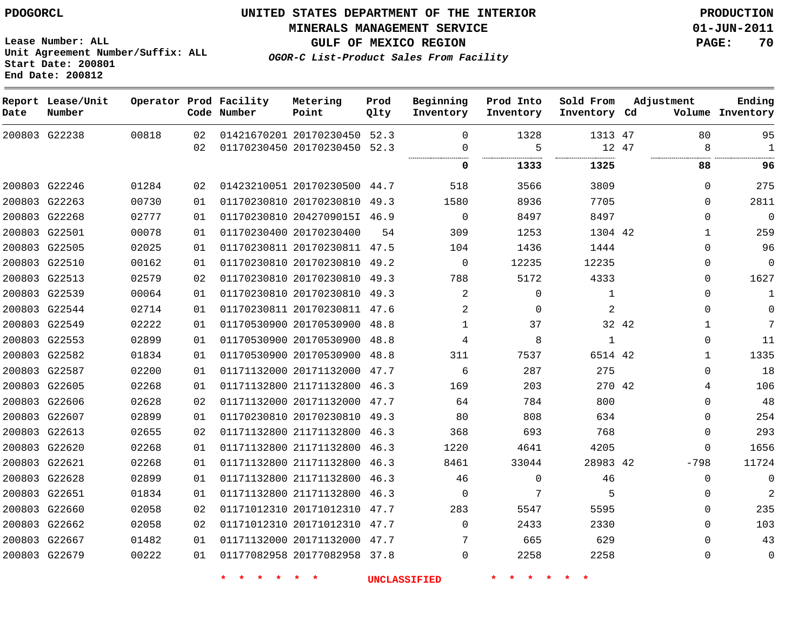**MINERALS MANAGEMENT SERVICE 01-JUN-2011**

**GULF OF MEXICO REGION PAGE: 70**

**OGOR-C List-Product Sales From Facility**

**Lease Number: ALL Unit Agreement Number/Suffix: ALL Start Date: 200801 End Date: 200812**

| Date | Report Lease/Unit<br>Number |       |    | Operator Prod Facility<br>Code Number | Metering<br>Point            | Prod<br>Olty | Beginning<br>Inventory | Prod Into<br>Inventory | Sold From<br>Inventory Cd | Adjustment |              | Ending<br>Volume Inventory |
|------|-----------------------------|-------|----|---------------------------------------|------------------------------|--------------|------------------------|------------------------|---------------------------|------------|--------------|----------------------------|
|      | 200803 G22238               | 00818 | 02 |                                       | 01421670201 20170230450 52.3 |              | $\Omega$               | 1328                   | 1313 47                   |            | 80           | 95                         |
|      |                             |       | 02 |                                       | 01170230450 20170230450 52.3 |              | $\Omega$               | 5                      | 12 47                     |            | 8            | $\mathbf{1}$               |
|      |                             |       |    |                                       |                              |              | 0                      | 1333                   | 1325                      |            | 88           | 96                         |
|      | 200803 G22246               | 01284 | 02 |                                       | 01423210051 20170230500 44.7 |              | 518                    | 3566                   | 3809                      |            | $\Omega$     | 275                        |
|      | 200803 G22263               | 00730 | 01 |                                       | 01170230810 20170230810      | 49.3         | 1580                   | 8936                   | 7705                      |            | $\Omega$     | 2811                       |
|      | 200803 G22268               | 02777 | 01 |                                       | 01170230810 2042709015I 46.9 |              | $\Omega$               | 8497                   | 8497                      |            | $\mathbf{0}$ | $\Omega$                   |
|      | 200803 G22501               | 00078 | 01 |                                       | 01170230400 20170230400      | 54           | 309                    | 1253                   | 1304 42                   |            | $\mathbf{1}$ | 259                        |
|      | 200803 G22505               | 02025 | 01 |                                       | 01170230811 20170230811 47.5 |              | 104                    | 1436                   | 1444                      |            | $\Omega$     | 96                         |
|      | 200803 G22510               | 00162 | 01 |                                       | 01170230810 20170230810      | 49.2         | $\Omega$               | 12235                  | 12235                     |            | $\Omega$     | $\Omega$                   |
|      | 200803 G22513               | 02579 | 02 |                                       | 01170230810 20170230810      | 49.3         | 788                    | 5172                   | 4333                      |            | 0            | 1627                       |
|      | 200803 G22539               | 00064 | 01 |                                       | 01170230810 20170230810 49.3 |              | $\overline{2}$         | $\mathbf 0$            | $\mathbf{1}$              |            | $\Omega$     | $\mathbf{1}$               |
|      | 200803 G22544               | 02714 | 01 |                                       | 01170230811 20170230811 47.6 |              | $\overline{a}$         | $\mathbf 0$            | $\overline{a}$            |            | 0            | $\Omega$                   |
|      | 200803 G22549               | 02222 | 01 |                                       | 01170530900 20170530900 48.8 |              | $\mathbf{1}$           | 37                     | 32 42                     |            | $\mathbf{1}$ | 7                          |
|      | 200803 G22553               | 02899 | 01 |                                       | 01170530900 20170530900      | 48.8         | 4                      | 8                      | $\mathbf{1}$              |            | $\Omega$     | 11                         |
|      | 200803 G22582               | 01834 | 01 |                                       | 01170530900 20170530900      | 48.8         | 311                    | 7537                   | 6514 42                   |            | $\mathbf{1}$ | 1335                       |
|      | 200803 G22587               | 02200 | 01 |                                       | 01171132000 20171132000      | 47.7         | 6                      | 287                    | 275                       |            | $\Omega$     | 18                         |
|      | 200803 G22605               | 02268 | 01 |                                       | 01171132800 21171132800      | 46.3         | 169                    | 203                    | 270 42                    |            | 4            | 106                        |
|      | 200803 G22606               | 02628 | 02 |                                       | 01171132000 20171132000      | 47.7         | 64                     | 784                    | 800                       |            | $\Omega$     | 48                         |
|      | 200803 G22607               | 02899 | 01 |                                       | 01170230810 20170230810      | 49.3         | 80                     | 808                    | 634                       |            | $\mathbf{0}$ | 254                        |
|      | 200803 G22613               | 02655 | 02 |                                       | 01171132800 21171132800      | 46.3         | 368                    | 693                    | 768                       |            | $\mathbf{0}$ | 293                        |
|      | 200803 G22620               | 02268 | 01 |                                       | 01171132800 21171132800      | 46.3         | 1220                   | 4641                   | 4205                      |            | 0            | 1656                       |
|      | 200803 G22621               | 02268 | 01 |                                       | 01171132800 21171132800      | 46.3         | 8461                   | 33044                  | 28983 42                  |            | $-798$       | 11724                      |
|      | 200803 G22628               | 02899 | 01 |                                       | 01171132800 21171132800      | 46.3         | 46                     | $\mathbf{0}$           | 46                        |            | $\mathbf{0}$ | $\mathbf 0$                |
|      | 200803 G22651               | 01834 | 01 |                                       | 01171132800 21171132800      | 46.3         | $\Omega$               | 7                      | 5                         |            | 0            | $\overline{2}$             |
|      | 200803 G22660               | 02058 | 02 |                                       | 01171012310 20171012310 47.7 |              | 283                    | 5547                   | 5595                      |            | $\Omega$     | 235                        |
|      | 200803 G22662               | 02058 | 02 |                                       | 01171012310 20171012310      | 47.7         | $\Omega$               | 2433                   | 2330                      |            | $\Omega$     | 103                        |
|      | 200803 G22667               | 01482 | 01 |                                       | 01171132000 20171132000 47.7 |              | 7                      | 665                    | 629                       |            | $\Omega$     | 43                         |
|      | 200803 G22679               | 00222 | 01 |                                       | 01177082958 20177082958 37.8 |              | $\Omega$               | 2258                   | 2258                      |            | 0            | $\mathbf 0$                |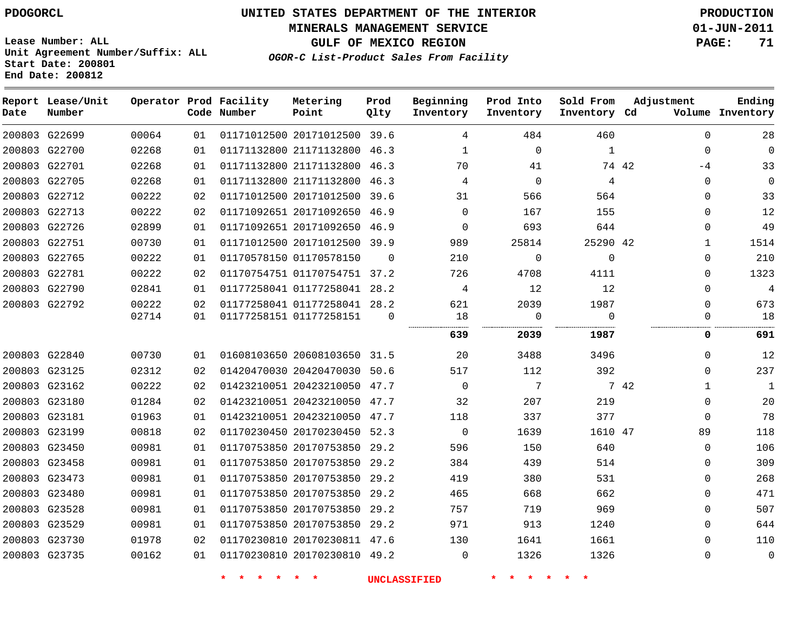# **UNITED STATES DEPARTMENT OF THE INTERIOR PDOGORCL PRODUCTION**

**MINERALS MANAGEMENT SERVICE 01-JUN-2011**

**GULF OF MEXICO REGION PAGE: 71**

**Unit Agreement Number/Suffix: ALL Start Date: 200801 End Date: 200812**

**OGOR-C List-Product Sales From Facility**

| Date | Report Lease/Unit<br>Number |       |    | Operator Prod Facility<br>Code Number | Metering<br>Point            | Prod<br>Qlty | Beginning<br>Inventory | Prod Into<br>Inventory | Sold From<br>Inventory Cd | Adjustment    | Ending<br>Volume Inventory |
|------|-----------------------------|-------|----|---------------------------------------|------------------------------|--------------|------------------------|------------------------|---------------------------|---------------|----------------------------|
|      | 200803 G22699               | 00064 | 01 |                                       | 01171012500 20171012500 39.6 |              | 4                      | 484                    | 460                       | $\mathbf{0}$  | 28                         |
|      | 200803 G22700               | 02268 | 01 |                                       | 01171132800 21171132800 46.3 |              | $\mathbf 1$            | $\mathbf 0$            | $\mathbf{1}$              | $\Omega$      | 0                          |
|      | 200803 G22701               | 02268 | 01 |                                       | 01171132800 21171132800 46.3 |              | 70                     | 41                     |                           | 74 42<br>$-4$ | 33                         |
|      | 200803 G22705               | 02268 | 01 |                                       | 01171132800 21171132800 46.3 |              | 4                      | $\Omega$               | 4                         | $\Omega$      | 0                          |
|      | 200803 G22712               | 00222 | 02 |                                       | 01171012500 20171012500      | 39.6         | 31                     | 566                    | 564                       | $\Omega$      | 33                         |
|      | 200803 G22713               | 00222 | 02 |                                       | 01171092651 20171092650 46.9 |              | $\Omega$               | 167                    | 155                       | $\Omega$      | 12                         |
|      | 200803 G22726               | 02899 | 01 |                                       | 01171092651 20171092650 46.9 |              | $\mathbf 0$            | 693                    | 644                       | $\Omega$      | 49                         |
|      | 200803 G22751               | 00730 | 01 |                                       | 01171012500 20171012500 39.9 |              | 989                    | 25814                  | 25290 42                  | $\mathbf{1}$  | 1514                       |
|      | 200803 G22765               | 00222 | 01 |                                       | 01170578150 01170578150      | $\Omega$     | 210                    | $\Omega$               | $\Omega$                  | $\Omega$      | 210                        |
|      | 200803 G22781               | 00222 | 02 |                                       | 01170754751 01170754751 37.2 |              | 726                    | 4708                   | 4111                      | $\Omega$      | 1323                       |
|      | 200803 G22790               | 02841 | 01 |                                       | 01177258041 01177258041 28.2 |              | 4                      | 12                     | 12                        | $\Omega$      | 4                          |
|      | 200803 G22792               | 00222 | 02 |                                       | 01177258041 01177258041 28.2 |              | 621                    | 2039                   | 1987                      | $\Omega$      | 673                        |
|      |                             | 02714 | 01 |                                       | 01177258151 01177258151      | $\Omega$     | 18                     | $\mathbf 0$            | $\Omega$<br>.             | $\Omega$      | 18                         |
|      |                             |       |    |                                       |                              |              | 639                    | 2039                   | 1987                      | 0             | 691                        |
|      | 200803 G22840               | 00730 | 01 |                                       | 01608103650 20608103650 31.5 |              | 20                     | 3488                   | 3496                      | $\Omega$      | 12                         |
|      | 200803 G23125               | 02312 | 02 |                                       | 01420470030 20420470030      | 50.6         | 517                    | 112                    | 392                       | $\Omega$      | 237                        |
|      | 200803 G23162               | 00222 | 02 |                                       | 01423210051 20423210050 47.7 |              | $\mathbf 0$            | 7                      |                           | 7 42<br>1     | $\mathbf 1$                |
|      | 200803 G23180               | 01284 | 02 |                                       | 01423210051 20423210050 47.7 |              | 32                     | 207                    | 219                       | $\Omega$      | 20                         |
|      | 200803 G23181               | 01963 | 01 |                                       | 01423210051 20423210050      | 47.7         | 118                    | 337                    | 377                       | $\Omega$      | 78                         |
|      | 200803 G23199               | 00818 | 02 |                                       | 01170230450 20170230450 52.3 |              | $\mathbf 0$            | 1639                   | 1610 47                   | 89            | 118                        |
|      | 200803 G23450               | 00981 | 01 |                                       | 01170753850 20170753850      | 29.2         | 596                    | 150                    | 640                       | $\Omega$      | 106                        |
|      | 200803 G23458               | 00981 | 01 |                                       | 01170753850 20170753850 29.2 |              | 384                    | 439                    | 514                       | $\Omega$      | 309                        |
|      | 200803 G23473               | 00981 | 01 |                                       | 01170753850 20170753850      | 29.2         | 419                    | 380                    | 531                       | $\Omega$      | 268                        |
|      | 200803 G23480               | 00981 | 01 |                                       | 01170753850 20170753850 29.2 |              | 465                    | 668                    | 662                       | $\Omega$      | 471                        |
|      | 200803 G23528               | 00981 | 01 |                                       | 01170753850 20170753850      | 29.2         | 757                    | 719                    | 969                       | $\Omega$      | 507                        |
|      | 200803 G23529               | 00981 | 01 |                                       | 01170753850 20170753850 29.2 |              | 971                    | 913                    | 1240                      | $\Omega$      | 644                        |
|      | 200803 G23730               | 01978 | 02 |                                       | 01170230810 20170230811 47.6 |              | 130                    | 1641                   | 1661                      | $\Omega$      | 110                        |
|      | 200803 G23735               | 00162 | 01 |                                       | 01170230810 20170230810 49.2 |              | $\mathbf 0$            | 1326                   | 1326                      | $\Omega$      | 0                          |
|      |                             |       |    |                                       |                              |              |                        |                        |                           |               |                            |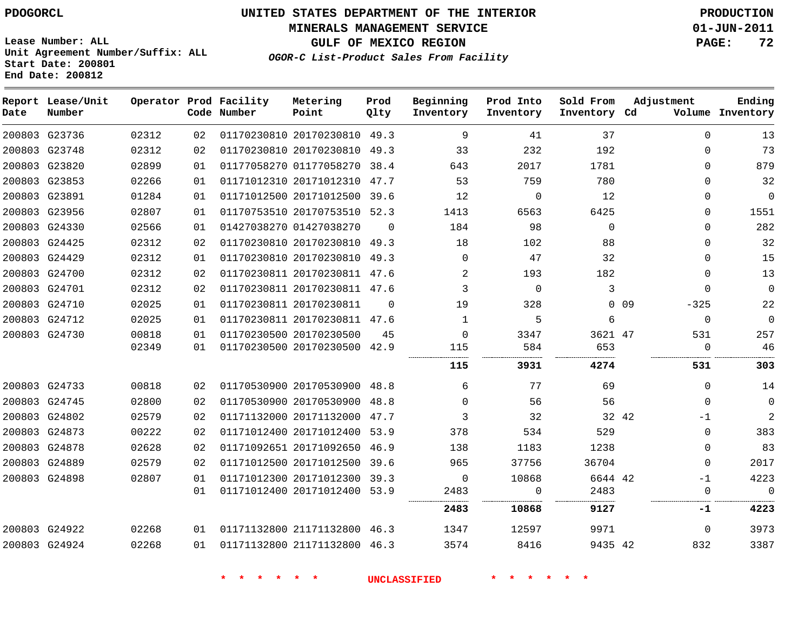**MINERALS MANAGEMENT SERVICE 01-JUN-2011**

**GULF OF MEXICO REGION PAGE: 72**

**Lease Number: ALL Unit Agreement Number/Suffix: ALL Start Date: 200801 End Date: 200812**

**OGOR-C List-Product Sales From Facility**

| Date | Report Lease/Unit<br>Number |       |    | Operator Prod Facility<br>Code Number | Metering<br>Point            | Prod<br>Qlty | Beginning<br>Inventory | Prod Into<br>Inventory | Sold From<br>Inventory Cd | Adjustment       | Ending<br>Volume Inventory |
|------|-----------------------------|-------|----|---------------------------------------|------------------------------|--------------|------------------------|------------------------|---------------------------|------------------|----------------------------|
|      | 200803 G23736               | 02312 | 02 |                                       | 01170230810 20170230810 49.3 |              | 9                      | 41                     | 37                        | $\Omega$         | 13                         |
|      | 200803 G23748               | 02312 | 02 |                                       | 01170230810 20170230810      | 49.3         | 33                     | 232                    | 192                       | $\Omega$         | 73                         |
|      | 200803 G23820               | 02899 | 01 |                                       | 01177058270 01177058270 38.4 |              | 643                    | 2017                   | 1781                      | $\Omega$         | 879                        |
|      | 200803 G23853               | 02266 | 01 |                                       | 01171012310 20171012310      | 47.7         | 53                     | 759                    | 780                       | $\Omega$         | 32                         |
|      | 200803 G23891               | 01284 | 01 |                                       | 01171012500 20171012500 39.6 |              | 12                     | $\Omega$               | 12                        | $\Omega$         | $\mathbf{0}$               |
|      | 200803 G23956               | 02807 | 01 |                                       | 01170753510 20170753510 52.3 |              | 1413                   | 6563                   | 6425                      | $\Omega$         | 1551                       |
|      | 200803 G24330               | 02566 | 01 |                                       | 01427038270 01427038270      | $\Omega$     | 184                    | 98                     | $\Omega$                  | $\Omega$         | 282                        |
|      | 200803 G24425               | 02312 | 02 |                                       | 01170230810 20170230810      | 49.3         | 18                     | 102                    | 88                        | $\Omega$         | 32                         |
|      | 200803 G24429               | 02312 | 01 |                                       | 01170230810 20170230810 49.3 |              | $\Omega$               | 47                     | 32                        | $\Omega$         | 15                         |
|      | 200803 G24700               | 02312 | 02 |                                       | 01170230811 20170230811 47.6 |              | 2                      | 193                    | 182                       | $\Omega$         | 13                         |
|      | 200803 G24701               | 02312 | 02 |                                       | 01170230811 20170230811 47.6 |              | 3                      | $\mathbf 0$            | 3                         | $\Omega$         | $\mathbf{0}$               |
|      | 200803 G24710               | 02025 | 01 |                                       | 01170230811 20170230811      | $\Omega$     | 19                     | 328                    |                           | $0$ 09<br>$-325$ | 22                         |
|      | 200803 G24712               | 02025 | 01 |                                       | 01170230811 20170230811 47.6 |              | $\mathbf 1$            | 5                      | 6                         | $\mathbf 0$      | $\mathbf{0}$               |
|      | 200803 G24730               | 00818 | 01 |                                       | 01170230500 20170230500      | 45           | $\mathbf 0$            | 3347                   | 3621 47                   | 531              | 257                        |
|      |                             | 02349 | 01 |                                       | 01170230500 20170230500 42.9 |              | 115                    | 584                    | 653                       | 0                | 46                         |
|      |                             |       |    |                                       |                              |              | 115                    | 3931                   | 4274                      | 531              | 303                        |
|      | 200803 G24733               | 00818 | 02 |                                       | 01170530900 20170530900 48.8 |              | 6                      | 77                     | 69                        | 0                | 14                         |
|      | 200803 G24745               | 02800 | 02 |                                       | 01170530900 20170530900      | 48.8         | $\Omega$               | 56                     | 56                        | $\mathbf 0$      | $\mathbf 0$                |
|      | 200803 G24802               | 02579 | 02 |                                       | 01171132000 20171132000 47.7 |              | 3                      | 32                     | 32 42                     | $-1$             | $\overline{2}$             |
|      | 200803 G24873               | 00222 | 02 |                                       | 01171012400 20171012400 53.9 |              | 378                    | 534                    | 529                       | 0                | 383                        |
|      | 200803 G24878               | 02628 | 02 |                                       | 01171092651 20171092650 46.9 |              | 138                    | 1183                   | 1238                      | 0                | 83                         |
|      | 200803 G24889               | 02579 | 02 |                                       | 01171012500 20171012500      | 39.6         | 965                    | 37756                  | 36704                     | 0                | 2017                       |
|      | 200803 G24898               | 02807 | 01 |                                       | 01171012300 20171012300 39.3 |              | 0                      | 10868                  | 6644 42                   | $-1$             | 4223                       |
|      |                             |       | 01 |                                       | 01171012400 20171012400 53.9 |              | 2483                   | 0                      | 2483                      | $\mathbf 0$      | $\mathbf 0$                |
|      |                             |       |    |                                       |                              |              | 2483                   | 10868                  | 9127                      | -1               | 4223                       |
|      | 200803 G24922               | 02268 | 01 |                                       | 01171132800 21171132800 46.3 |              | 1347                   | 12597                  | 9971                      | 0                | 3973                       |
|      | 200803 G24924               | 02268 | 01 |                                       | 01171132800 21171132800 46.3 |              | 3574                   | 8416                   | 9435 42                   | 832              | 3387                       |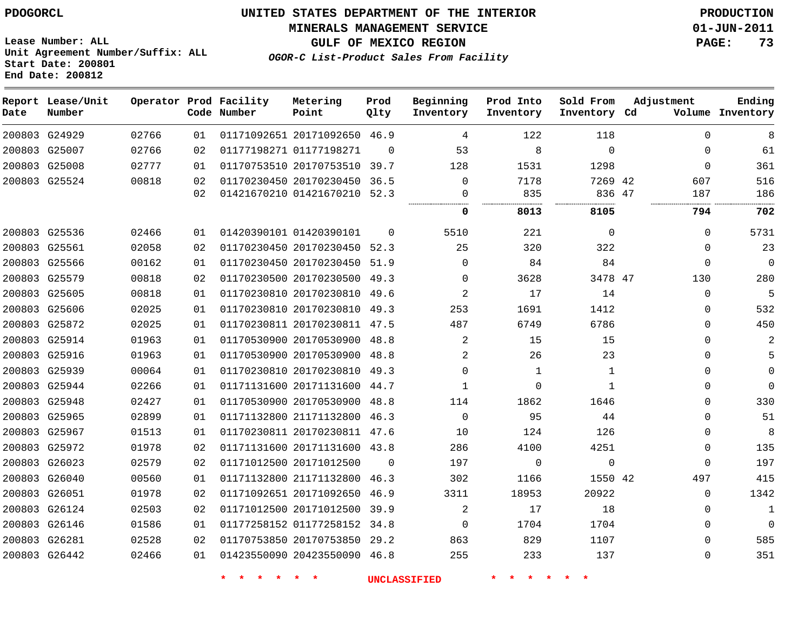**Start Date: 200801 End Date: 200812**

**Unit Agreement Number/Suffix: ALL**

# **UNITED STATES DEPARTMENT OF THE INTERIOR PDOGORCL PRODUCTION**

**MINERALS MANAGEMENT SERVICE 01-JUN-2011**

**GULF OF MEXICO REGION PAGE: 73**

**OGOR-C List-Product Sales From Facility**

| Date | Report Lease/Unit<br>Number |       |                 | Operator Prod Facility<br>Code Number | Metering<br>Point            | Prod<br>Qlty | Beginning<br>Inventory | Prod Into<br>Inventory | Sold From<br>Inventory Cd | Adjustment |              | Ending<br>Volume Inventory |
|------|-----------------------------|-------|-----------------|---------------------------------------|------------------------------|--------------|------------------------|------------------------|---------------------------|------------|--------------|----------------------------|
|      | 200803 G24929               | 02766 | 01              |                                       | 01171092651 20171092650 46.9 |              | 4                      | 122                    | 118                       |            | $\mathbf 0$  | 8                          |
|      | 200803 G25007               | 02766 | 02              |                                       | 01177198271 01177198271      | $\Omega$     | 53                     | 8                      | $\Omega$                  |            | $\Omega$     | 61                         |
|      | 200803 G25008               | 02777 | 01              |                                       | 01170753510 20170753510      | 39.7         | 128                    | 1531                   | 1298                      |            | $\mathbf 0$  | 361                        |
|      | 200803 G25524               | 00818 | 02              |                                       | 01170230450 20170230450      | 36.5         | $\mathbf 0$            | 7178                   | 7269 42                   |            | 607          | 516                        |
|      |                             |       | 02              |                                       | 01421670210 01421670210 52.3 |              | 0                      | 835                    | 836 47                    |            | 187          | 186                        |
|      |                             |       |                 |                                       |                              |              | 0                      | 8013                   | 8105                      |            | 794          | 702                        |
|      | 200803 G25536               | 02466 | 01              |                                       | 01420390101 01420390101      | $\Omega$     | 5510                   | 221                    | $\Omega$                  |            | 0            | 5731                       |
|      | 200803 G25561               | 02058 | 02              |                                       | 01170230450 20170230450 52.3 |              | 25                     | 320                    | 322                       |            | $\Omega$     | 23                         |
|      | 200803 G25566               | 00162 | 01              |                                       | 01170230450 20170230450 51.9 |              | 0                      | 84                     | 84                        |            | 0            | $\mathbf 0$                |
|      | 200803 G25579               | 00818 | 02              |                                       | 01170230500 20170230500 49.3 |              | 0                      | 3628                   | 3478 47                   |            | 130          | 280                        |
|      | 200803 G25605               | 00818 | 01              |                                       | 01170230810 20170230810      | 49.6         | 2                      | 17                     | 14                        |            | $\Omega$     | 5                          |
|      | 200803 G25606               | 02025 | 01              |                                       | 01170230810 20170230810 49.3 |              | 253                    | 1691                   | 1412                      |            | $\mathbf 0$  | 532                        |
|      | 200803 G25872               | 02025 | 01              |                                       | 01170230811 20170230811      | 47.5         | 487                    | 6749                   | 6786                      |            | $\mathbf 0$  | 450                        |
|      | 200803 G25914               | 01963 | 01              |                                       | 01170530900 20170530900      | 48.8         | 2                      | 15                     | 15                        |            | 0            | $\mathbf{2}$               |
|      | 200803 G25916               | 01963 | 01              |                                       | 01170530900 20170530900 48.8 |              | 2                      | 26                     | 23                        |            | 0            | 5                          |
|      | 200803 G25939               | 00064 | 01              |                                       | 01170230810 20170230810 49.3 |              | $\mathbf 0$            | $\mathbf{1}$           | 1                         |            | $\mathbf 0$  | $\mathbf{0}$               |
|      | 200803 G25944               | 02266 | 01              |                                       | 01171131600 20171131600 44.7 |              | 1                      | $\Omega$               | $\mathbf{1}$              |            | 0            | $\mathbf 0$                |
|      | 200803 G25948               | 02427 | 01              |                                       | 01170530900 20170530900      | 48.8         | 114                    | 1862                   | 1646                      |            | $\Omega$     | 330                        |
|      | 200803 G25965               | 02899 | 01              |                                       | 01171132800 21171132800 46.3 |              | $\mathbf 0$            | 95                     | 44                        |            | $\mathbf 0$  | 51                         |
|      | 200803 G25967               | 01513 | 01              |                                       | 01170230811 20170230811      | 47.6         | 10                     | 124                    | 126                       |            | $\mathbf 0$  | 8                          |
|      | 200803 G25972               | 01978 | 02              |                                       | 01171131600 20171131600 43.8 |              | 286                    | 4100                   | 4251                      |            | $\mathbf 0$  | 135                        |
|      | 200803 G26023               | 02579 | 02              |                                       | 01171012500 20171012500      | $\Omega$     | 197                    | 0                      | $\mathbf 0$               |            | 0            | 197                        |
|      | 200803 G26040               | 00560 | 01              |                                       | 01171132800 21171132800      | 46.3         | 302                    | 1166                   | 1550 42                   |            | 497          | 415                        |
|      | 200803 G26051               | 01978 | 02              |                                       | 01171092651 20171092650      | 46.9         | 3311                   | 18953                  | 20922                     |            | $\Omega$     | 1342                       |
|      | 200803 G26124               | 02503 | 02 <sub>o</sub> |                                       | 01171012500 20171012500      | 39.9         | 2                      | 17                     | 18                        |            | $\Omega$     | $\mathbf{1}$               |
|      | 200803 G26146               | 01586 | 01              |                                       | 01177258152 01177258152      | 34.8         | $\mathbf 0$            | 1704                   | 1704                      |            | 0            | $\mathbf 0$                |
|      | 200803 G26281               | 02528 | 02              |                                       | 01170753850 20170753850      | 29.2         | 863                    | 829                    | 1107                      |            | $\mathbf{0}$ | 585                        |
|      | 200803 G26442               | 02466 | 01              |                                       | 01423550090 20423550090 46.8 |              | 255                    | 233                    | 137                       |            | $\Omega$     | 351                        |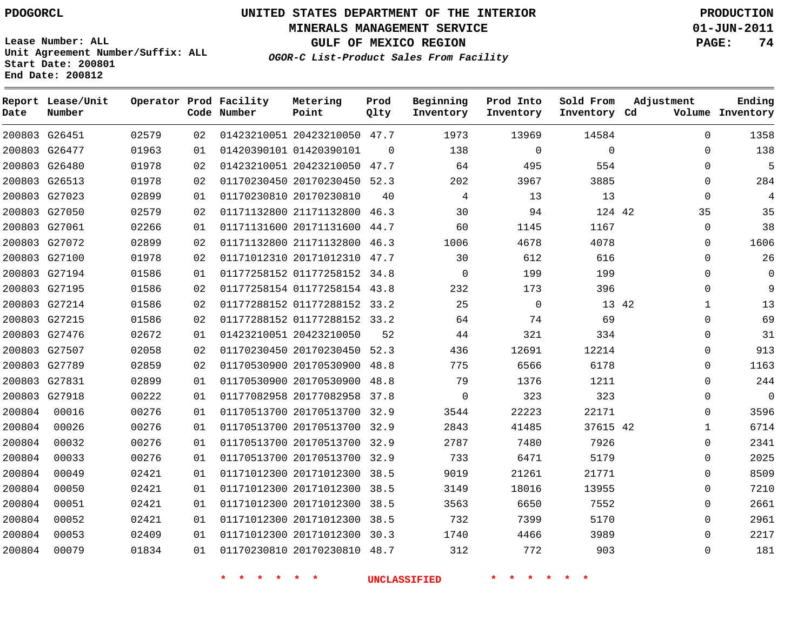**Start Date: 200801 End Date: 200812**

**Unit Agreement Number/Suffix: ALL**

# **UNITED STATES DEPARTMENT OF THE INTERIOR PDOGORCL PRODUCTION**

**MINERALS MANAGEMENT SERVICE 01-JUN-2011**

**GULF OF MEXICO REGION PAGE: 74**

**OGOR-C List-Product Sales From Facility**

| Date   | Report Lease/Unit<br>Number |       |    | Operator Prod Facility<br>Code Number | Metering<br>Point            | Prod<br>Qlty | Beginning<br>Inventory | Prod Into<br>Inventory | Sold From<br>Inventory Cd | Adjustment   | Ending<br>Volume Inventory |
|--------|-----------------------------|-------|----|---------------------------------------|------------------------------|--------------|------------------------|------------------------|---------------------------|--------------|----------------------------|
|        | 200803 G26451               | 02579 | 02 |                                       | 01423210051 20423210050      | 47.7         | 1973                   | 13969                  | 14584                     | $\Omega$     | 1358                       |
|        | 200803 G26477               | 01963 | 01 |                                       | 01420390101 01420390101      | $\Omega$     | 138                    | $\mathbf 0$            | $\mathbf 0$               | $\Omega$     | 138                        |
|        | 200803 G26480               | 01978 | 02 |                                       | 01423210051 20423210050      | 47.7         | 64                     | 495                    | 554                       | $\Omega$     | 5                          |
|        | 200803 G26513               | 01978 | 02 |                                       | 01170230450 20170230450      | 52.3         | 202                    | 3967                   | 3885                      | $\Omega$     | 284                        |
|        | 200803 G27023               | 02899 | 01 |                                       | 01170230810 20170230810      | 40           | 4                      | 13                     | 13                        | $\Omega$     | 4                          |
|        | 200803 G27050               | 02579 | 02 |                                       | 01171132800 21171132800      | 46.3         | 30                     | 94                     | 124 42                    | 35           | 35                         |
|        | 200803 G27061               | 02266 | 01 |                                       | 01171131600 20171131600      | 44.7         | 60                     | 1145                   | 1167                      | $\mathbf{0}$ | 38                         |
|        | 200803 G27072               | 02899 | 02 |                                       | 01171132800 21171132800      | 46.3         | 1006                   | 4678                   | 4078                      | $\Omega$     | 1606                       |
|        | 200803 G27100               | 01978 | 02 |                                       | 01171012310 20171012310      | 47.7         | 30                     | 612                    | 616                       | $\mathbf 0$  | 26                         |
|        | 200803 G27194               | 01586 | 01 |                                       | 01177258152 01177258152      | 34.8         | 0                      | 199                    | 199                       | $\Omega$     | $\mathbf 0$                |
|        | 200803 G27195               | 01586 | 02 |                                       | 01177258154 01177258154      | 43.8         | 232                    | 173                    | 396                       | $\Omega$     | 9                          |
|        | 200803 G27214               | 01586 | 02 |                                       | 01177288152 01177288152      | 33.2         | 25                     | $\mathbf 0$            |                           | 13 42<br>1   | 13                         |
|        | 200803 G27215               | 01586 | 02 |                                       | 01177288152 01177288152 33.2 |              | 64                     | 74                     | 69                        | $\Omega$     | 69                         |
|        | 200803 G27476               | 02672 | 01 |                                       | 01423210051 20423210050      | 52           | 44                     | 321                    | 334                       | $\Omega$     | 31                         |
|        | 200803 G27507               | 02058 | 02 |                                       | 01170230450 20170230450 52.3 |              | 436                    | 12691                  | 12214                     | $\Omega$     | 913                        |
|        | 200803 G27789               | 02859 | 02 |                                       | 01170530900 20170530900      | 48.8         | 775                    | 6566                   | 6178                      | $\mathbf 0$  | 1163                       |
|        | 200803 G27831               | 02899 | 01 |                                       | 01170530900 20170530900      | 48.8         | 79                     | 1376                   | 1211                      | $\Omega$     | 244                        |
| 200803 | G27918                      | 00222 | 01 |                                       | 01177082958 20177082958      | 37.8         | $\mathbf 0$            | 323                    | 323                       | $\Omega$     | $\overline{0}$             |
| 200804 | 00016                       | 00276 | 01 |                                       | 01170513700 20170513700 32.9 |              | 3544                   | 22223                  | 22171                     | $\Omega$     | 3596                       |
| 200804 | 00026                       | 00276 | 01 |                                       | 01170513700 20170513700      | 32.9         | 2843                   | 41485                  | 37615 42                  | $\mathbf{1}$ | 6714                       |
| 200804 | 00032                       | 00276 | 01 |                                       | 01170513700 20170513700      | 32.9         | 2787                   | 7480                   | 7926                      | $\Omega$     | 2341                       |
| 200804 | 00033                       | 00276 | 01 |                                       | 01170513700 20170513700 32.9 |              | 733                    | 6471                   | 5179                      | $\Omega$     | 2025                       |
| 200804 | 00049                       | 02421 | 01 |                                       | 01171012300 20171012300      | 38.5         | 9019                   | 21261                  | 21771                     | $\mathbf 0$  | 8509                       |
| 200804 | 00050                       | 02421 | 01 |                                       | 01171012300 20171012300      | 38.5         | 3149                   | 18016                  | 13955                     | $\Omega$     | 7210                       |
| 200804 | 00051                       | 02421 | 01 |                                       | 01171012300 20171012300      | 38.5         | 3563                   | 6650                   | 7552                      | $\Omega$     | 2661                       |
| 200804 | 00052                       | 02421 | 01 |                                       | 01171012300 20171012300      | 38.5         | 732                    | 7399                   | 5170                      | $\Omega$     | 2961                       |
| 200804 | 00053                       | 02409 | 01 |                                       | 01171012300 20171012300      | 30.3         | 1740                   | 4466                   | 3989                      | $\Omega$     | 2217                       |
| 200804 | 00079                       | 01834 | 01 |                                       | 01170230810 20170230810      | 48.7         | 312                    | 772                    | 903                       | $\Omega$     | 181                        |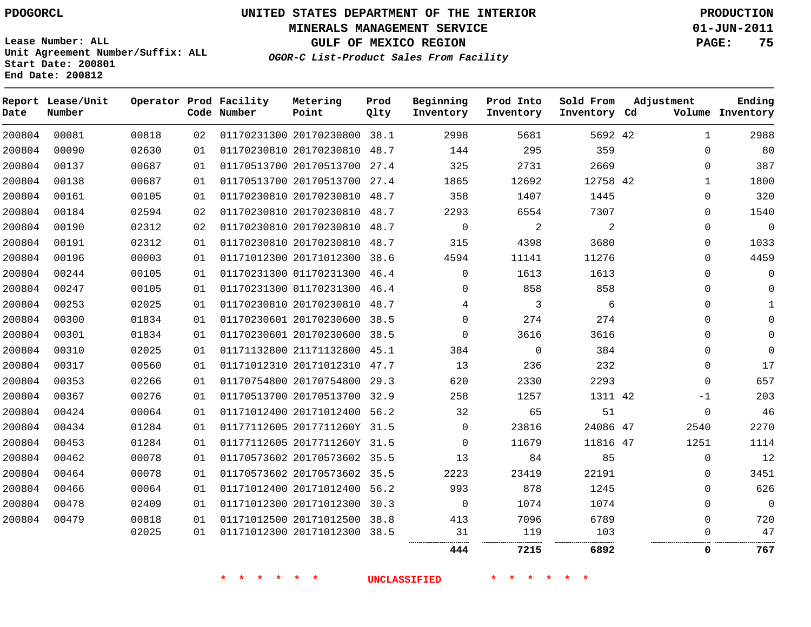**Start Date: 200801 End Date: 200812**

**Unit Agreement Number/Suffix: ALL**

# **UNITED STATES DEPARTMENT OF THE INTERIOR PDOGORCL PRODUCTION**

**MINERALS MANAGEMENT SERVICE 01-JUN-2011**

**GULF OF MEXICO REGION PAGE: 75**

**OGOR-C List-Product Sales From Facility**

**Report Lease/Unit Operator Prod Facility Metering Prod Beginning Prod Into Sold From Adjustment Ending Number Code Number Point Inventory Cd Volume Date Qlty Inventory Inventory Inventory** 20170230800 38.1 42 20170230810 48.7  $\Omega$   $\cap$  20170513700 27.4 20170513700 27.4 42  $\Omega$  20170230810 48.7 20170230810 48.7  $\Omega$   $\Omega$   $\overline{2}$  20170230810 48.7  $\Omega$  $\Omega$  20170230810 48.7  $\Omega$  20171012300 38.6 01170231300 46.4  $\Omega$   $\Omega$   $\Omega$  01170231300 46.4  $\Omega$  20170230810 48.7 20170230600 38.5  $\Omega$  $\Omega$  20170230600 38.5  $\Omega$  21171132800 45.1  $\Omega$  20171012310 47.7 20170754800 29.3  $\Omega$  20170513700 32.9 42 -1 20171012400 56.2  $\Omega$  2017711260Y 31.5 24086 47  $\Omega$  2017711260Y 31.5  $\Omega$  47 20170573602 35.5  $\Omega$  20170573602 35.5  $\Omega$  20171012400 56.2  $\Omega$  20171012300 30.3  $\Omega$  $\Omega$  $\Omega$  20171012500 38.8  $\Omega$  20171012300 38.5 . . . . . . . . . . **7215 6892 0 767**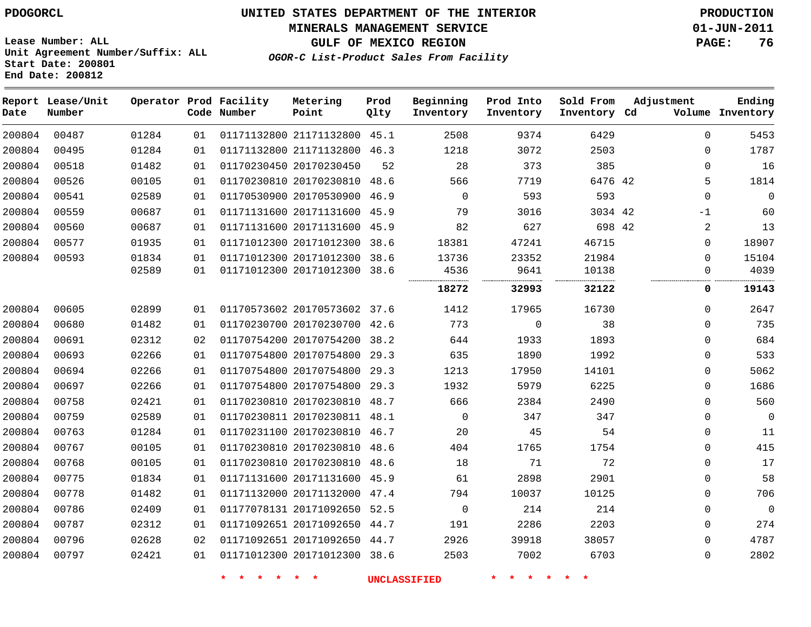**MINERALS MANAGEMENT SERVICE 01-JUN-2011**

**GULF OF MEXICO REGION PAGE: 76**

**Lease Number: ALL Unit Agreement Number/Suffix: ALL Start Date: 200801 End Date: 200812**

**OGOR-C List-Product Sales From Facility**

| Date   | Report Lease/Unit<br>Number |       |    | Operator Prod Facility<br>Code Number | Metering<br>Point            | Prod<br>Qlty | Beginning<br>Inventory | Prod Into<br>Inventory | Sold From<br>Inventory Cd | Adjustment  | Ending<br>Volume Inventory |
|--------|-----------------------------|-------|----|---------------------------------------|------------------------------|--------------|------------------------|------------------------|---------------------------|-------------|----------------------------|
| 200804 | 00487                       | 01284 | 01 |                                       | 01171132800 21171132800 45.1 |              | 2508                   | 9374                   | 6429                      | $\Omega$    | 5453                       |
| 200804 | 00495                       | 01284 | 01 |                                       | 01171132800 21171132800 46.3 |              | 1218                   | 3072                   | 2503                      | $\mathbf 0$ | 1787                       |
| 200804 | 00518                       | 01482 | 01 |                                       | 01170230450 20170230450      | 52           | 28                     | 373                    | 385                       | $\mathbf 0$ | 16                         |
| 200804 | 00526                       | 00105 | 01 |                                       | 01170230810 20170230810      | 48.6         | 566                    | 7719                   | 6476 42                   | 5           | 1814                       |
| 200804 | 00541                       | 02589 | 01 |                                       | 01170530900 20170530900      | 46.9         | $\mathbf 0$            | 593                    | 593                       | $\Omega$    | $\mathbf{0}$               |
| 200804 | 00559                       | 00687 | 01 |                                       | 01171131600 20171131600 45.9 |              | 79                     | 3016                   | 3034 42                   | $-1$        | 60                         |
| 200804 | 00560                       | 00687 | 01 |                                       | 01171131600 20171131600 45.9 |              | 82                     | 627                    | 698 42                    | 2           | 13                         |
| 200804 | 00577                       | 01935 | 01 |                                       | 01171012300 20171012300 38.6 |              | 18381                  | 47241                  | 46715                     | $\mathbf 0$ | 18907                      |
| 200804 | 00593                       | 01834 | 01 |                                       | 01171012300 20171012300 38.6 |              | 13736                  | 23352                  | 21984                     | $\mathbf 0$ | 15104                      |
|        |                             | 02589 | 01 |                                       | 01171012300 20171012300 38.6 |              | 4536                   | 9641                   | 10138                     | $\mathbf 0$ | 4039                       |
|        |                             |       |    |                                       |                              |              | 18272                  | 32993                  | 32122                     | $\mathbf 0$ | 19143                      |
| 200804 | 00605                       | 02899 | 01 |                                       | 01170573602 20170573602 37.6 |              | 1412                   | 17965                  | 16730                     | $\mathbf 0$ | 2647                       |
| 200804 | 00680                       | 01482 | 01 |                                       | 01170230700 20170230700 42.6 |              | 773                    | $\mathbf{0}$           | 38                        | $\Omega$    | 735                        |
| 200804 | 00691                       | 02312 | 02 |                                       | 01170754200 20170754200      | 38.2         | 644                    | 1933                   | 1893                      | $\mathbf 0$ | 684                        |
| 200804 | 00693                       | 02266 | 01 |                                       | 01170754800 20170754800 29.3 |              | 635                    | 1890                   | 1992                      | $\mathbf 0$ | 533                        |
| 200804 | 00694                       | 02266 | 01 |                                       | 01170754800 20170754800      | 29.3         | 1213                   | 17950                  | 14101                     | $\mathbf 0$ | 5062                       |
| 200804 | 00697                       | 02266 | 01 |                                       | 01170754800 20170754800 29.3 |              | 1932                   | 5979                   | 6225                      | $\Omega$    | 1686                       |
| 200804 | 00758                       | 02421 | 01 |                                       | 01170230810 20170230810 48.7 |              | 666                    | 2384                   | 2490                      | $\mathbf 0$ | 560                        |
| 200804 | 00759                       | 02589 | 01 |                                       | 01170230811 20170230811 48.1 |              | $\Omega$               | 347                    | 347                       | $\Omega$    | $\mathbf 0$                |
| 200804 | 00763                       | 01284 | 01 |                                       | 01170231100 20170230810      | 46.7         | 20                     | 45                     | 54                        | $\mathbf 0$ | 11                         |
| 200804 | 00767                       | 00105 | 01 |                                       | 01170230810 20170230810      | 48.6         | 404                    | 1765                   | 1754                      | $\mathbf 0$ | 415                        |
| 200804 | 00768                       | 00105 | 01 |                                       | 01170230810 20170230810      | 48.6         | 18                     | 71                     | 72                        | $\Omega$    | 17                         |
| 200804 | 00775                       | 01834 | 01 |                                       | 01171131600 20171131600      | 45.9         | 61                     | 2898                   | 2901                      | $\mathbf 0$ | 58                         |
| 200804 | 00778                       | 01482 | 01 |                                       | 01171132000 20171132000 47.4 |              | 794                    | 10037                  | 10125                     | $\mathbf 0$ | 706                        |
| 200804 | 00786                       | 02409 | 01 |                                       | 01177078131 20171092650 52.5 |              | $\mathbf 0$            | 214                    | 214                       | 0           | $\mathbf 0$                |
| 200804 | 00787                       | 02312 | 01 |                                       | 01171092651 20171092650 44.7 |              | 191                    | 2286                   | 2203                      | $\Omega$    | 274                        |
| 200804 | 00796                       | 02628 | 02 |                                       | 01171092651 20171092650 44.7 |              | 2926                   | 39918                  | 38057                     | $\Omega$    | 4787                       |
| 200804 | 00797                       | 02421 | 01 |                                       | 01171012300 20171012300 38.6 |              | 2503                   | 7002                   | 6703                      | $\Omega$    | 2802                       |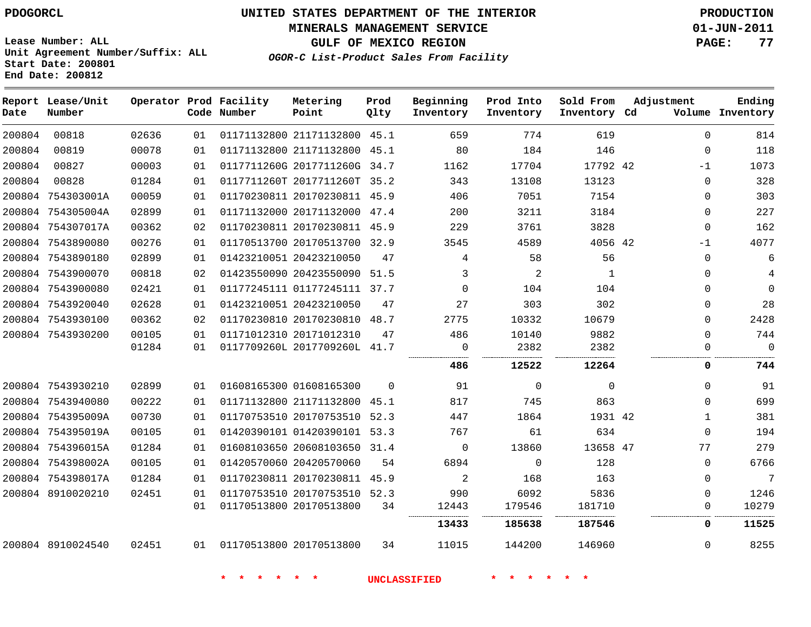**MINERALS MANAGEMENT SERVICE 01-JUN-2011**

**GULF OF MEXICO REGION PAGE: 77**

**Lease Number: ALL Unit Agreement Number/Suffix: ALL Start Date: 200801 End Date: 200812**

**OGOR-C List-Product Sales From Facility**

| Date   | Report Lease/Unit<br>Number |       |    | Operator Prod Facility<br>Code Number | Metering<br>Point            | Prod<br>Qlty | Beginning<br>Inventory | Prod Into<br>Inventory | Sold From<br>Inventory Cd | Adjustment   | Ending<br>Volume Inventory |
|--------|-----------------------------|-------|----|---------------------------------------|------------------------------|--------------|------------------------|------------------------|---------------------------|--------------|----------------------------|
| 200804 | 00818                       | 02636 | 01 |                                       | 01171132800 21171132800 45.1 |              | 659                    | 774                    | 619                       | $\Omega$     | 814                        |
| 200804 | 00819                       | 00078 | 01 |                                       | 01171132800 21171132800 45.1 |              | 80                     | 184                    | 146                       | $\mathbf 0$  | 118                        |
| 200804 | 00827                       | 00003 | 01 |                                       | 0117711260G 2017711260G 34.7 |              | 1162                   | 17704                  | 17792 42                  | -1           | 1073                       |
| 200804 | 00828                       | 01284 | 01 |                                       | 0117711260T 2017711260T 35.2 |              | 343                    | 13108                  | 13123                     | $\Omega$     | 328                        |
| 200804 | 754303001A                  | 00059 | 01 |                                       | 01170230811 20170230811 45.9 |              | 406                    | 7051                   | 7154                      | $\Omega$     | 303                        |
|        | 200804 754305004A           | 02899 | 01 |                                       | 01171132000 20171132000 47.4 |              | 200                    | 3211                   | 3184                      | $\mathbf 0$  | 227                        |
|        | 200804 754307017A           | 00362 | 02 |                                       | 01170230811 20170230811 45.9 |              | 229                    | 3761                   | 3828                      | $\mathbf 0$  | 162                        |
|        | 200804 7543890080           | 00276 | 01 |                                       | 01170513700 20170513700 32.9 |              | 3545                   | 4589                   | 4056 42                   | $-1$         | 4077                       |
|        | 200804 7543890180           | 02899 | 01 |                                       | 01423210051 20423210050      | 47           | 4                      | 58                     | 56                        | $\Omega$     | 6                          |
|        | 200804 7543900070           | 00818 | 02 |                                       | 01423550090 20423550090 51.5 |              | 3                      | 2                      | $\mathbf{1}$              | 0            | 4                          |
|        | 200804 7543900080           | 02421 | 01 |                                       | 01177245111 01177245111 37.7 |              | $\Omega$               | 104                    | 104                       | $\Omega$     | $\mathbf 0$                |
|        | 200804 7543920040           | 02628 | 01 |                                       | 01423210051 20423210050      | 47           | 27                     | 303                    | 302                       | $\Omega$     | 28                         |
|        | 200804 7543930100           | 00362 | 02 |                                       | 01170230810 20170230810      | 48.7         | 2775                   | 10332                  | 10679                     | $\Omega$     | 2428                       |
|        | 200804 7543930200           | 00105 | 01 |                                       | 01171012310 20171012310      | 47           | 486                    | 10140                  | 9882                      | $\Omega$     | 744                        |
|        |                             | 01284 | 01 |                                       | 0117709260L 2017709260L 41.7 |              | 0                      | 2382                   | 2382                      | $\Omega$     | $\Omega$                   |
|        |                             |       |    |                                       |                              |              | 486                    | 12522                  | 12264                     | 0            | 744                        |
|        | 200804 7543930210           | 02899 | 01 |                                       | 01608165300 01608165300      | $\Omega$     | 91                     | $\Omega$               | $\Omega$                  | $\Omega$     | 91                         |
|        | 200804 7543940080           | 00222 | 01 |                                       | 01171132800 21171132800      | 45.1         | 817                    | 745                    | 863                       | $\Omega$     | 699                        |
|        | 200804 754395009A           | 00730 | 01 |                                       | 01170753510 20170753510 52.3 |              | 447                    | 1864                   | 1931 42                   | $\mathbf{1}$ | 381                        |
|        | 200804 754395019A           | 00105 | 01 |                                       | 01420390101 01420390101 53.3 |              | 767                    | 61                     | 634                       | $\Omega$     | 194                        |
|        | 200804 754396015A           | 01284 | 01 |                                       | 01608103650 20608103650 31.4 |              | $\Omega$               | 13860                  | 13658 47                  | 77           | 279                        |
|        | 200804 754398002A           | 00105 | 01 |                                       | 01420570060 20420570060      | 54           | 6894                   | $\Omega$               | 128                       | $\Omega$     | 6766                       |
|        | 200804 754398017A           | 01284 | 01 |                                       | 01170230811 20170230811 45.9 |              | $\overline{2}$         | 168                    | 163                       | $\Omega$     | 7                          |
|        | 200804 8910020210           | 02451 | 01 |                                       | 01170753510 20170753510 52.3 |              | 990                    | 6092                   | 5836                      | $\Omega$     | 1246                       |
|        |                             |       | 01 |                                       | 01170513800 20170513800      | 34           | 12443                  | 179546                 | 181710                    | $\mathbf{0}$ | 10279                      |
|        |                             |       |    |                                       |                              |              | 13433                  | 185638                 | 187546                    | 0            | 11525                      |
|        | 200804 8910024540           | 02451 | 01 | 01170513800 20170513800               |                              | 34           | 11015                  | 144200                 | 146960                    | $\Omega$     | 8255                       |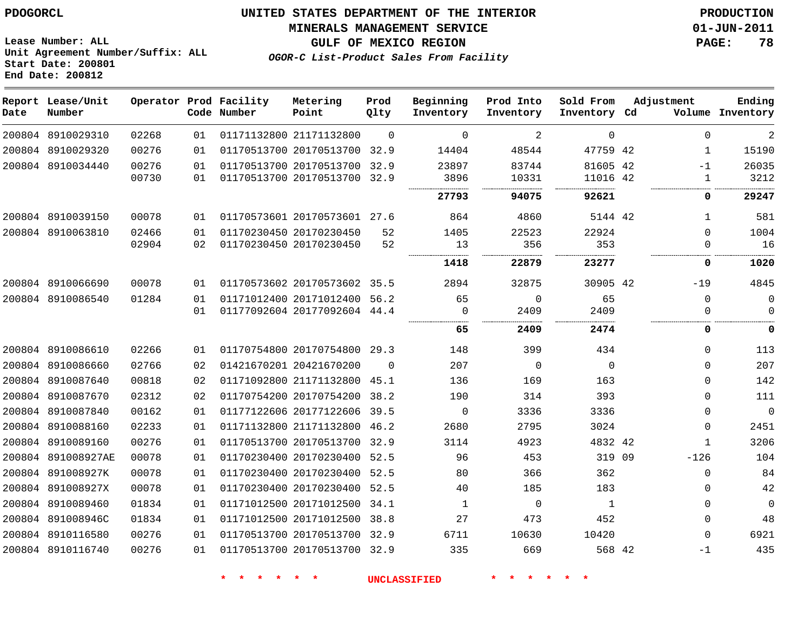#### **MINERALS MANAGEMENT SERVICE 01-JUN-2011**

**GULF OF MEXICO REGION PAGE: 78**

**Lease Number: ALL Unit Agreement Number/Suffix: ALL Start Date: 200801 End Date: 200812**

**OGOR-C List-Product Sales From Facility**

| Date | Report Lease/Unit<br>Number |       |    | Operator Prod Facility<br>Code Number | Metering<br>Point            | Prod<br>Qlty | Beginning<br>Inventory | Prod Into<br>Inventory | Sold From<br>Inventory Cd | Adjustment |              | Ending<br>Volume Inventory |
|------|-----------------------------|-------|----|---------------------------------------|------------------------------|--------------|------------------------|------------------------|---------------------------|------------|--------------|----------------------------|
|      | 200804 8910029310           | 02268 | 01 |                                       | 01171132800 21171132800      | $\Omega$     | $\Omega$               | 2                      | $\Omega$                  |            | $\Omega$     | $\overline{a}$             |
|      | 200804 8910029320           | 00276 | 01 |                                       | 01170513700 20170513700      | 32.9         | 14404                  | 48544                  | 47759 42                  |            | 1            | 15190                      |
|      | 200804 8910034440           | 00276 | 01 |                                       | 01170513700 20170513700      | 32.9         | 23897                  | 83744                  | 81605 42                  |            | $-1$         | 26035                      |
|      |                             | 00730 | 01 |                                       | 01170513700 20170513700      | 32.9         | 3896                   | 10331                  | 11016 42                  |            | $\mathbf{1}$ | 3212                       |
|      |                             |       |    |                                       |                              |              | 27793                  | 94075                  | 92621                     |            | 0            | 29247                      |
|      | 200804 8910039150           | 00078 | 01 |                                       | 01170573601 20170573601 27.6 |              | 864                    | 4860                   | 5144 42                   |            | $\mathbf{1}$ | 581                        |
|      | 200804 8910063810           | 02466 | 01 |                                       | 01170230450 20170230450      | 52           | 1405                   | 22523                  | 22924                     |            | $\Omega$     | 1004                       |
|      |                             | 02904 | 02 |                                       | 01170230450 20170230450      | 52           | 13                     | 356                    | 353                       |            | $\mathbf{0}$ | 16                         |
|      |                             |       |    |                                       |                              |              | 1418                   | 22879                  | 23277                     |            | 0            | 1020                       |
|      | 200804 8910066690           | 00078 | 01 |                                       | 01170573602 20170573602 35.5 |              | 2894                   | 32875                  | 30905 42                  |            | $-19$        | 4845                       |
|      | 200804 8910086540           | 01284 | 01 |                                       | 01171012400 20171012400      | 56.2         | 65                     | 0                      | 65                        |            | $\mathbf 0$  | $\overline{0}$             |
|      |                             |       | 01 |                                       | 01177092604 20177092604 44.4 |              | 0                      | 2409                   | 2409                      |            | 0            | $\Omega$                   |
|      |                             |       |    |                                       |                              |              | 65                     | 2409                   | 2474                      |            | 0            | $\mathbf 0$                |
|      | 200804 8910086610           | 02266 | 01 |                                       | 01170754800 20170754800 29.3 |              | 148                    | 399                    | 434                       |            | $\mathbf 0$  | 113                        |
|      | 200804 8910086660           | 02766 | 02 |                                       | 01421670201 20421670200      | $\Omega$     | 207                    | 0                      | $\Omega$                  |            | $\mathbf 0$  | 207                        |
|      | 200804 8910087640           | 00818 | 02 |                                       | 01171092800 21171132800 45.1 |              | 136                    | 169                    | 163                       |            | $\Omega$     | 142                        |
|      | 200804 8910087670           | 02312 | 02 |                                       | 01170754200 20170754200      | 38.2         | 190                    | 314                    | 393                       |            | $\Omega$     | 111                        |
|      | 200804 8910087840           | 00162 | 01 |                                       | 01177122606 20177122606      | 39.5         | 0                      | 3336                   | 3336                      |            | $\mathbf 0$  | $\overline{0}$             |
|      | 200804 8910088160           | 02233 | 01 |                                       | 01171132800 21171132800      | 46.2         | 2680                   | 2795                   | 3024                      |            | $\mathbf 0$  | 2451                       |
|      | 200804 8910089160           | 00276 | 01 |                                       | 01170513700 20170513700 32.9 |              | 3114                   | 4923                   | 4832 42                   |            | $\mathbf{1}$ | 3206                       |
|      | 200804 891008927AE          | 00078 | 01 |                                       | 01170230400 20170230400      | 52.5         | 96                     | 453                    | 319 09                    |            | $-126$       | 104                        |
|      | 200804 891008927K           | 00078 | 01 |                                       | 01170230400 20170230400      | 52.5         | 80                     | 366                    | 362                       |            | $\mathbf 0$  | 84                         |
|      | 200804 891008927X           | 00078 | 01 |                                       | 01170230400 20170230400      | 52.5         | 40                     | 185                    | 183                       |            | $\Omega$     | 42                         |
|      | 200804 8910089460           | 01834 | 01 |                                       | 01171012500 20171012500      | 34.1         | 1                      | $\mathbf 0$            | $\mathbf{1}$              |            | $\mathbf 0$  | $\overline{0}$             |
|      | 200804 891008946C           | 01834 | 01 |                                       | 01171012500 20171012500      | 38.8         | 27                     | 473                    | 452                       |            | $\Omega$     | 48                         |
|      | 200804 8910116580           | 00276 | 01 |                                       | 01170513700 20170513700      | 32.9         | 6711                   | 10630                  | 10420                     |            | $\Omega$     | 6921                       |
|      | 200804 8910116740           | 00276 | 01 |                                       | 01170513700 20170513700      | 32.9         | 335                    | 669                    | 568 42                    |            | $-1$         | 435                        |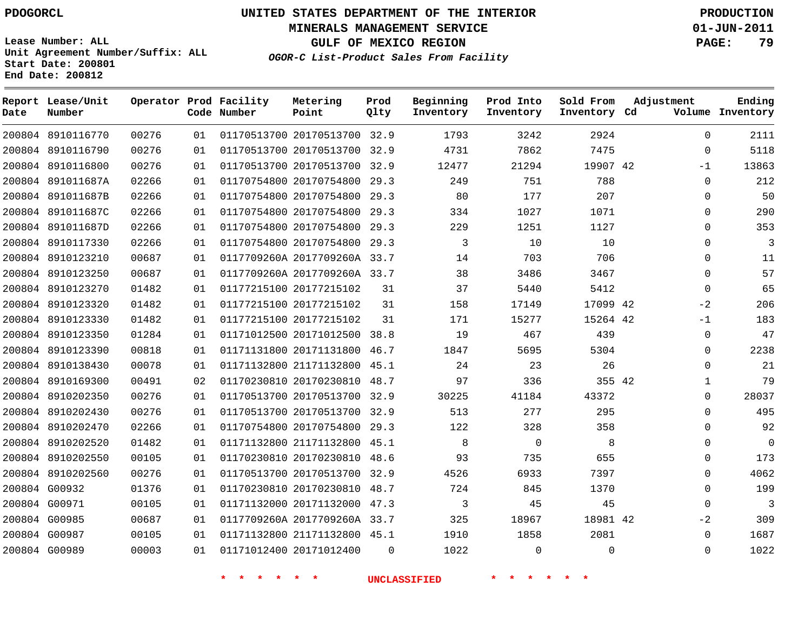**Start Date: 200801 End Date: 200812**

**Unit Agreement Number/Suffix: ALL**

# **UNITED STATES DEPARTMENT OF THE INTERIOR PDOGORCL PRODUCTION**

**MINERALS MANAGEMENT SERVICE 01-JUN-2011**

**GULF OF MEXICO REGION PAGE: 79**

**OGOR-C List-Product Sales From Facility**

| Date   | Report Lease/Unit<br>Number |       |    | Operator Prod Facility<br>Code Number | Metering<br>Point            | Prod<br>Qlty | Beginning<br>Inventory | Prod Into<br>Inventory | Sold From<br>Inventory Cd | Adjustment   | Ending<br>Volume Inventory |
|--------|-----------------------------|-------|----|---------------------------------------|------------------------------|--------------|------------------------|------------------------|---------------------------|--------------|----------------------------|
|        | 200804 8910116770           | 00276 | 01 |                                       | 01170513700 20170513700 32.9 |              | 1793                   | 3242                   | 2924                      | $\Omega$     | 2111                       |
| 200804 | 8910116790                  | 00276 | 01 |                                       | 01170513700 20170513700      | 32.9         | 4731                   | 7862                   | 7475                      | $\mathbf 0$  | 5118                       |
|        | 200804 8910116800           | 00276 | 01 |                                       | 01170513700 20170513700      | 32.9         | 12477                  | 21294                  | 19907 42                  | $-1$         | 13863                      |
|        | 200804 891011687A           | 02266 | 01 |                                       | 01170754800 20170754800      | 29.3         | 249                    | 751                    | 788                       | $\Omega$     | 212                        |
|        | 200804 891011687B           | 02266 | 01 |                                       | 01170754800 20170754800      | 29.3         | 80                     | 177                    | 207                       | $\Omega$     | 50                         |
|        | 200804 891011687C           | 02266 | 01 |                                       | 01170754800 20170754800      | 29.3         | 334                    | 1027                   | 1071                      | $\mathbf{0}$ | 290                        |
|        | 200804 891011687D           | 02266 | 01 |                                       | 01170754800 20170754800      | 29.3         | 229                    | 1251                   | 1127                      | $\Omega$     | 353                        |
|        | 200804 8910117330           | 02266 | 01 |                                       | 01170754800 20170754800      | 29.3         | 3                      | 10                     | 10                        | $\Omega$     | $\overline{3}$             |
|        | 200804 8910123210           | 00687 | 01 |                                       | 0117709260A 2017709260A 33.7 |              | 14                     | 703                    | 706                       | $\Omega$     | 11                         |
|        | 200804 8910123250           | 00687 | 01 |                                       | 0117709260A 2017709260A 33.7 |              | 38                     | 3486                   | 3467                      | $\Omega$     | 57                         |
|        | 200804 8910123270           | 01482 | 01 |                                       | 01177215100 20177215102      | 31           | 37                     | 5440                   | 5412                      | $\Omega$     | 65                         |
| 200804 | 8910123320                  | 01482 | 01 |                                       | 01177215100 20177215102      | 31           | 158                    | 17149                  | 17099 42                  | $-2$         | 206                        |
| 200804 | 8910123330                  | 01482 | 01 |                                       | 01177215100 20177215102      | 31           | 171                    | 15277                  | 15264 42                  | $-1$         | 183                        |
| 200804 | 8910123350                  | 01284 | 01 |                                       | 01171012500 20171012500      | 38.8         | 19                     | 467                    | 439                       | $\Omega$     | 47                         |
| 200804 | 8910123390                  | 00818 | 01 |                                       | 01171131800 20171131800      | 46.7         | 1847                   | 5695                   | 5304                      | $\Omega$     | 2238                       |
|        | 200804 8910138430           | 00078 | 01 |                                       | 01171132800 21171132800      | 45.1         | 24                     | 23                     | 26                        | $\Omega$     | 21                         |
|        | 200804 8910169300           | 00491 | 02 |                                       | 01170230810 20170230810      | 48.7         | 97                     | 336                    | 355 42                    | 1            | 79                         |
|        | 200804 8910202350           | 00276 | 01 |                                       | 01170513700 20170513700 32.9 |              | 30225                  | 41184                  | 43372                     | $\Omega$     | 28037                      |
|        | 200804 8910202430           | 00276 | 01 |                                       | 01170513700 20170513700      | 32.9         | 513                    | 277                    | 295                       | $\Omega$     | 495                        |
|        | 200804 8910202470           | 02266 | 01 |                                       | 01170754800 20170754800      | 29.3         | 122                    | 328                    | 358                       | $\Omega$     | 92                         |
|        | 200804 8910202520           | 01482 | 01 |                                       | 01171132800 21171132800      | 45.1         | 8                      | $\overline{0}$         | 8                         | $\Omega$     | $\Omega$                   |
|        | 200804 8910202550           | 00105 | 01 |                                       | 01170230810 20170230810      | 48.6         | 93                     | 735                    | 655                       | $\Omega$     | 173                        |
| 200804 | 8910202560                  | 00276 | 01 |                                       | 01170513700 20170513700      | 32.9         | 4526                   | 6933                   | 7397                      | $\Omega$     | 4062                       |
|        | 200804 G00932               | 01376 | 01 |                                       | 01170230810 20170230810      | 48.7         | 724                    | 845                    | 1370                      | $\Omega$     | 199                        |
|        | 200804 G00971               | 00105 | 01 |                                       | 01171132000 20171132000      | 47.3         | 3                      | 45                     | 45                        | $\Omega$     | $\overline{3}$             |
| 200804 | G00985                      | 00687 | 01 |                                       | 0117709260A 2017709260A 33.7 |              | 325                    | 18967                  | 18981 42                  | $-2$         | 309                        |
|        | 200804 G00987               | 00105 | 01 |                                       | 01171132800 21171132800      | 45.1         | 1910                   | 1858                   | 2081                      | $\Omega$     | 1687                       |
|        | 200804 G00989               | 00003 | 01 |                                       | 01171012400 20171012400      | $\Omega$     | 1022                   | $\Omega$               | $\Omega$                  | $\Omega$     | 1022                       |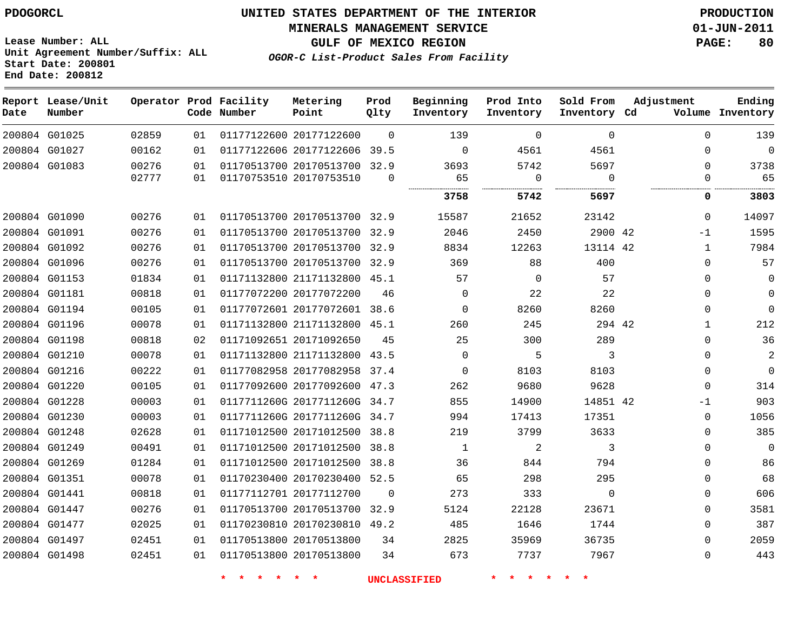**MINERALS MANAGEMENT SERVICE 01-JUN-2011**

**Lease Number: ALL Unit Agreement Number/Suffix: ALL Start Date: 200801 End Date: 200812**

**OGOR-C List-Product Sales From Facility**

**GULF OF MEXICO REGION PAGE: 80**

| Date | Report Lease/Unit<br>Number |       |    | Operator Prod Facility<br>Code Number | Metering<br>Point            | Prod<br>Qlty | Beginning<br>Inventory | Prod Into<br>Inventory | Sold From<br>Inventory Cd | Adjustment   | Ending<br>Volume Inventory |
|------|-----------------------------|-------|----|---------------------------------------|------------------------------|--------------|------------------------|------------------------|---------------------------|--------------|----------------------------|
|      | 200804 G01025               | 02859 | 01 |                                       | 01177122600 20177122600      | $\Omega$     | 139                    | $\Omega$               | $\Omega$                  | $\Omega$     | 139                        |
|      | 200804 G01027               | 00162 | 01 |                                       | 01177122606 20177122606      | 39.5         | $\Omega$               | 4561                   | 4561                      | $\Omega$     | $\mathbf{0}$               |
|      | 200804 G01083               | 00276 | 01 |                                       | 01170513700 20170513700      | 32.9         | 3693                   | 5742                   | 5697                      | $\Omega$     | 3738                       |
|      |                             | 02777 | 01 | 01170753510 20170753510               |                              | $\Omega$     | 65                     | 0                      | $\Omega$                  | 0            | 65                         |
|      |                             |       |    |                                       |                              |              | 3758                   | 5742                   | 5697                      | 0            | 3803                       |
|      | 200804 G01090               | 00276 | 01 |                                       | 01170513700 20170513700 32.9 |              | 15587                  | 21652                  | 23142                     | $\Omega$     | 14097                      |
|      | 200804 G01091               | 00276 | 01 |                                       | 01170513700 20170513700 32.9 |              | 2046                   | 2450                   | 2900 42                   | $-1$         | 1595                       |
|      | 200804 G01092               | 00276 | 01 |                                       | 01170513700 20170513700      | 32.9         | 8834                   | 12263                  | 13114 42                  | $\mathbf{1}$ | 7984                       |
|      | 200804 G01096               | 00276 | 01 |                                       | 01170513700 20170513700 32.9 |              | 369                    | 88                     | 400                       | $\Omega$     | 57                         |
|      | 200804 G01153               | 01834 | 01 |                                       | 01171132800 21171132800 45.1 |              | 57                     | $\mathbf 0$            | 57                        | $\Omega$     | 0                          |
|      | 200804 G01181               | 00818 | 01 |                                       | 01177072200 20177072200      | 46           | $\mathbf 0$            | 22                     | 22                        | $\Omega$     | $\Omega$                   |
|      | 200804 G01194               | 00105 | 01 |                                       | 01177072601 20177072601 38.6 |              | $\Omega$               | 8260                   | 8260                      | $\Omega$     | $\Omega$                   |
|      | 200804 G01196               | 00078 | 01 |                                       | 01171132800 21171132800 45.1 |              | 260                    | 245                    | 294 42                    | $\mathbf 1$  | 212                        |
|      | 200804 G01198               | 00818 | 02 |                                       | 01171092651 20171092650      | 45           | 25                     | 300                    | 289                       | $\Omega$     | 36                         |
|      | 200804 G01210               | 00078 | 01 |                                       | 01171132800 21171132800      | 43.5         | $\mathbf 0$            | 5                      | 3                         | $\Omega$     | $\overline{2}$             |
|      | 200804 G01216               | 00222 | 01 |                                       | 01177082958 20177082958 37.4 |              | $\Omega$               | 8103                   | 8103                      | $\Omega$     | $\mathbf{0}$               |
|      | 200804 G01220               | 00105 | 01 |                                       | 01177092600 20177092600      | 47.3         | 262                    | 9680                   | 9628                      | $\mathbf{0}$ | 314                        |
|      | 200804 G01228               | 00003 | 01 |                                       | 0117711260G 2017711260G 34.7 |              | 855                    | 14900                  | 14851 42                  | $-1$         | 903                        |
|      | 200804 G01230               | 00003 | 01 |                                       | 0117711260G 2017711260G      | 34.7         | 994                    | 17413                  | 17351                     | $\Omega$     | 1056                       |
|      | 200804 G01248               | 02628 | 01 |                                       | 01171012500 20171012500      | 38.8         | 219                    | 3799                   | 3633                      | $\Omega$     | 385                        |
|      | 200804 G01249               | 00491 | 01 |                                       | 01171012500 20171012500      | 38.8         | $\mathbf 1$            | 2                      | 3                         | $\Omega$     | $\mathbf 0$                |
|      | 200804 G01269               | 01284 | 01 |                                       | 01171012500 20171012500      | 38.8         | 36                     | 844                    | 794                       | 0            | 86                         |
|      | 200804 G01351               | 00078 | 01 |                                       | 01170230400 20170230400 52.5 |              | 65                     | 298                    | 295                       | $\mathbf{0}$ | 68                         |
|      | 200804 G01441               | 00818 | 01 |                                       | 01177112701 20177112700      | $\mathbf 0$  | 273                    | 333                    | $\mathbf{0}$              | $\mathbf{0}$ | 606                        |
|      | 200804 G01447               | 00276 | 01 |                                       | 01170513700 20170513700 32.9 |              | 5124                   | 22128                  | 23671                     | $\Omega$     | 3581                       |
|      | 200804 G01477               | 02025 | 01 |                                       | 01170230810 20170230810 49.2 |              | 485                    | 1646                   | 1744                      | $\Omega$     | 387                        |
|      | 200804 G01497               | 02451 | 01 |                                       | 01170513800 20170513800      | 34           | 2825                   | 35969                  | 36735                     | $\Omega$     | 2059                       |
|      | 200804 G01498               | 02451 | 01 |                                       | 01170513800 20170513800      | 34           | 673                    | 7737                   | 7967                      | $\Omega$     | 443                        |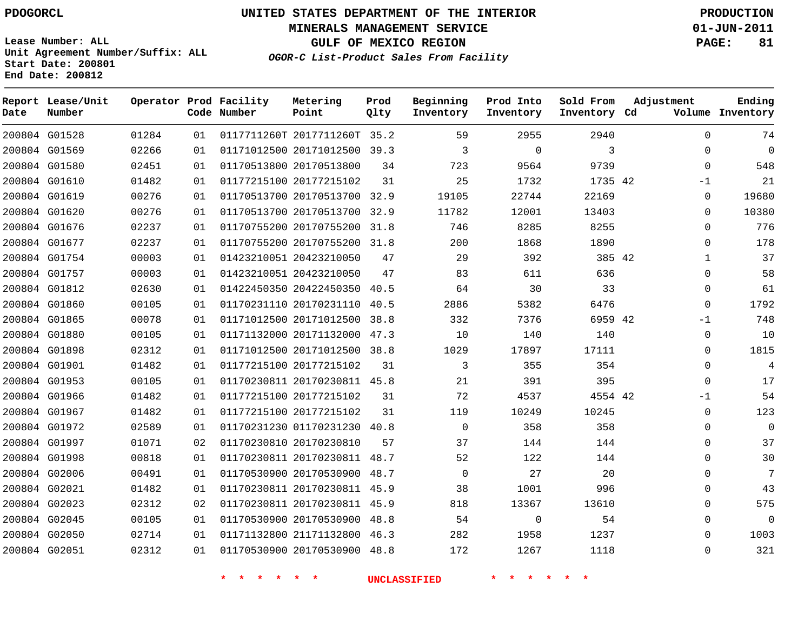# **UNITED STATES DEPARTMENT OF THE INTERIOR PDOGORCL PRODUCTION**

**MINERALS MANAGEMENT SERVICE 01-JUN-2011**

**GULF OF MEXICO REGION PAGE: 81**

**Unit Agreement Number/Suffix: ALL Start Date: 200801 End Date: 200812**

**OGOR-C List-Product Sales From Facility**

| Date | Report Lease/Unit<br>Number |       |    | Operator Prod Facility<br>Code Number | Metering<br>Point            | Prod<br>Qlty | Beginning<br>Inventory | Prod Into<br>Inventory | Sold From<br>Inventory Cd | Adjustment |              | Ending<br>Volume Inventory |
|------|-----------------------------|-------|----|---------------------------------------|------------------------------|--------------|------------------------|------------------------|---------------------------|------------|--------------|----------------------------|
|      | 200804 G01528               | 01284 | 01 |                                       | 0117711260T 2017711260T 35.2 |              | 59                     | 2955                   | 2940                      |            | $\Omega$     | 74                         |
|      | 200804 G01569               | 02266 | 01 |                                       | 01171012500 20171012500 39.3 |              | 3                      | $\mathbf 0$            | 3                         |            | $\Omega$     | 0                          |
|      | 200804 G01580               | 02451 | 01 |                                       | 01170513800 20170513800      | 34           | 723                    | 9564                   | 9739                      |            | $\Omega$     | 548                        |
|      | 200804 G01610               | 01482 | 01 |                                       | 01177215100 20177215102      | 31           | 25                     | 1732                   | 1735 42                   |            | -1           | 21                         |
|      | 200804 G01619               | 00276 | 01 |                                       | 01170513700 20170513700 32.9 |              | 19105                  | 22744                  | 22169                     |            | 0            | 19680                      |
|      | 200804 G01620               | 00276 | 01 |                                       | 01170513700 20170513700 32.9 |              | 11782                  | 12001                  | 13403                     |            | 0            | 10380                      |
|      | 200804 G01676               | 02237 | 01 |                                       | 01170755200 20170755200      | 31.8         | 746                    | 8285                   | 8255                      |            | $\Omega$     | 776                        |
|      | 200804 G01677               | 02237 | 01 |                                       | 01170755200 20170755200 31.8 |              | 200                    | 1868                   | 1890                      |            | $\Omega$     | 178                        |
|      | 200804 G01754               | 00003 | 01 |                                       | 01423210051 20423210050      | 47           | 29                     | 392                    | 385 42                    |            | $\mathbf{1}$ | 37                         |
|      | 200804 G01757               | 00003 | 01 |                                       | 01423210051 20423210050      | 47           | 83                     | 611                    | 636                       |            | $\Omega$     | 58                         |
|      | 200804 G01812               | 02630 | 01 |                                       | 01422450350 20422450350      | 40.5         | 64                     | 30                     | 33                        |            | $\mathbf 0$  | 61                         |
|      | 200804 G01860               | 00105 | 01 |                                       | 01170231110 20170231110      | 40.5         | 2886                   | 5382                   | 6476                      |            | $\Omega$     | 1792                       |
|      | 200804 G01865               | 00078 | 01 |                                       | 01171012500 20171012500      | 38.8         | 332                    | 7376                   | 6959 42                   |            | -1           | 748                        |
|      | 200804 G01880               | 00105 | 01 |                                       | 01171132000 20171132000      | 47.3         | 10                     | 140                    | 140                       |            | 0            | 10                         |
|      | 200804 G01898               | 02312 | 01 |                                       | 01171012500 20171012500      | 38.8         | 1029                   | 17897                  | 17111                     |            | $\Omega$     | 1815                       |
|      | 200804 G01901               | 01482 | 01 |                                       | 01177215100 20177215102      | 31           | 3                      | 355                    | 354                       |            | 0            | 4                          |
|      | 200804 G01953               | 00105 | 01 |                                       | 01170230811 20170230811 45.8 |              | 21                     | 391                    | 395                       |            | $\Omega$     | 17                         |
|      | 200804 G01966               | 01482 | 01 |                                       | 01177215100 20177215102      | 31           | 72                     | 4537                   | 4554 42                   |            | $-1$         | 54                         |
|      | 200804 G01967               | 01482 | 01 |                                       | 01177215100 20177215102      | 31           | 119                    | 10249                  | 10245                     |            | 0            | 123                        |
|      | 200804 G01972               | 02589 | 01 |                                       | 01170231230 01170231230      | 40.8         | $\mathbf 0$            | 358                    | 358                       |            | $\Omega$     | $\mathbf 0$                |
|      | 200804 G01997               | 01071 | 02 |                                       | 01170230810 20170230810      | 57           | 37                     | 144                    | 144                       |            | $\Omega$     | 37                         |
|      | 200804 G01998               | 00818 | 01 |                                       | 01170230811 20170230811      | 48.7         | 52                     | 122                    | 144                       |            | $\mathbf{0}$ | 30                         |
|      | 200804 G02006               | 00491 | 01 |                                       | 01170530900 20170530900      | 48.7         | $\Omega$               | 27                     | 20                        |            | $\Omega$     | 7                          |
|      | 200804 G02021               | 01482 | 01 |                                       | 01170230811 20170230811 45.9 |              | 38                     | 1001                   | 996                       |            | $\Omega$     | 43                         |
|      | 200804 G02023               | 02312 | 02 |                                       | 01170230811 20170230811 45.9 |              | 818                    | 13367                  | 13610                     |            | $\Omega$     | 575                        |
|      | 200804 G02045               | 00105 | 01 |                                       | 01170530900 20170530900      | 48.8         | 54                     | $\mathbf 0$            | 54                        |            | $\Omega$     | $\mathbf 0$                |
|      | 200804 G02050               | 02714 | 01 |                                       | 01171132800 21171132800      | 46.3         | 282                    | 1958                   | 1237                      |            | $\Omega$     | 1003                       |
|      | 200804 G02051               | 02312 | 01 |                                       | 01170530900 20170530900      | 48.8         | 172                    | 1267                   | 1118                      |            | $\Omega$     | 321                        |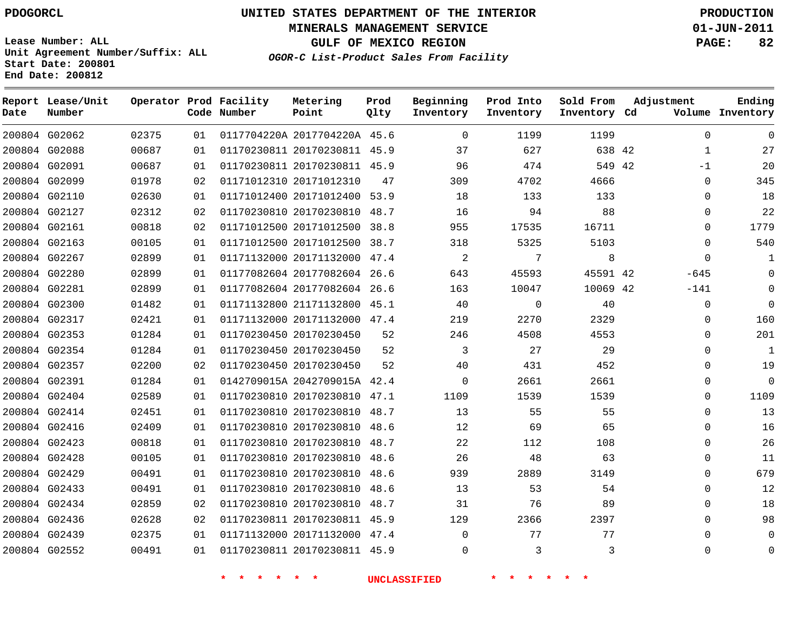**MINERALS MANAGEMENT SERVICE 01-JUN-2011**

**GULF OF MEXICO REGION PAGE: 82**

**Lease Number: ALL Unit Agreement Number/Suffix: ALL Start Date: 200801 End Date: 200812**

**OGOR-C List-Product Sales From Facility**

| Date | Report Lease/Unit<br>Number |       |    | Operator Prod Facility<br>Code Number | Metering<br>Point            | Prod<br>Qlty | Beginning<br>Inventory | Prod Into<br>Inventory | Sold From<br>Inventory Cd | Adjustment   | Ending<br>Volume Inventory |
|------|-----------------------------|-------|----|---------------------------------------|------------------------------|--------------|------------------------|------------------------|---------------------------|--------------|----------------------------|
|      | 200804 G02062               | 02375 | 01 |                                       | 0117704220A 2017704220A 45.6 |              | $\Omega$               | 1199                   | 1199                      | $\Omega$     | $\Omega$                   |
|      | 200804 G02088               | 00687 | 01 |                                       | 01170230811 20170230811 45.9 |              | 37                     | 627                    | 638 42                    | $\mathbf{1}$ | 27                         |
|      | 200804 G02091               | 00687 | 01 |                                       | 01170230811 20170230811 45.9 |              | 96                     | 474                    | 549 42                    | $-1$         | 20                         |
|      | 200804 G02099               | 01978 | 02 |                                       | 01171012310 20171012310      | 47           | 309                    | 4702                   | 4666                      | $\Omega$     | 345                        |
|      | 200804 G02110               | 02630 | 01 |                                       | 01171012400 20171012400 53.9 |              | 18                     | 133                    | 133                       | $\Omega$     | 18                         |
|      | 200804 G02127               | 02312 | 02 |                                       | 01170230810 20170230810 48.7 |              | 16                     | 94                     | 88                        | 0            | 22                         |
|      | 200804 G02161               | 00818 | 02 |                                       | 01171012500 20171012500      | 38.8         | 955                    | 17535                  | 16711                     | $\Omega$     | 1779                       |
|      | 200804 G02163               | 00105 | 01 |                                       | 01171012500 20171012500 38.7 |              | 318                    | 5325                   | 5103                      | $\Omega$     | 540                        |
|      | 200804 G02267               | 02899 | 01 |                                       | 01171132000 20171132000 47.4 |              | 2                      | 7                      | 8                         | $\Omega$     | $\mathbf{1}$               |
|      | 200804 G02280               | 02899 | 01 |                                       | 01177082604 20177082604 26.6 |              | 643                    | 45593                  | 45591 42                  | $-645$       | $\Omega$                   |
|      | 200804 G02281               | 02899 | 01 |                                       | 01177082604 20177082604 26.6 |              | 163                    | 10047                  | 10069 42                  | $-141$       | $\Omega$                   |
|      | 200804 G02300               | 01482 | 01 |                                       | 01171132800 21171132800 45.1 |              | 40                     | $\mathbf 0$            | 40                        | 0            | $\Omega$                   |
|      | 200804 G02317               | 02421 | 01 |                                       | 01171132000 20171132000 47.4 |              | 219                    | 2270                   | 2329                      | $\Omega$     | 160                        |
|      | 200804 G02353               | 01284 | 01 |                                       | 01170230450 20170230450      | 52           | 246                    | 4508                   | 4553                      | 0            | 201                        |
|      | 200804 G02354               | 01284 | 01 |                                       | 01170230450 20170230450      | 52           | 3                      | 27                     | 29                        | 0            | $\mathbf{1}$               |
|      | 200804 G02357               | 02200 | 02 |                                       | 01170230450 20170230450      | 52           | 40                     | 431                    | 452                       | $\Omega$     | 19                         |
|      | 200804 G02391               | 01284 | 01 |                                       | 0142709015A 2042709015A 42.4 |              | 0                      | 2661                   | 2661                      | $\mathbf{0}$ | $\mathbf 0$                |
|      | 200804 G02404               | 02589 | 01 |                                       | 01170230810 20170230810 47.1 |              | 1109                   | 1539                   | 1539                      | 0            | 1109                       |
|      | 200804 G02414               | 02451 | 01 |                                       | 01170230810 20170230810 48.7 |              | 13                     | 55                     | 55                        | $\Omega$     | 13                         |
|      | 200804 G02416               | 02409 | 01 |                                       | 01170230810 20170230810 48.6 |              | 12                     | 69                     | 65                        | $\Omega$     | 16                         |
|      | 200804 G02423               | 00818 | 01 |                                       | 01170230810 20170230810 48.7 |              | 22                     | 112                    | 108                       | $\mathbf{0}$ | 26                         |
|      | 200804 G02428               | 00105 | 01 |                                       | 01170230810 20170230810 48.6 |              | 26                     | 48                     | 63                        | 0            | 11                         |
|      | 200804 G02429               | 00491 | 01 |                                       | 01170230810 20170230810      | 48.6         | 939                    | 2889                   | 3149                      | $\Omega$     | 679                        |
|      | 200804 G02433               | 00491 | 01 |                                       | 01170230810 20170230810      | 48.6         | 13                     | 53                     | 54                        | $\Omega$     | 12                         |
|      | 200804 G02434               | 02859 | 02 |                                       | 01170230810 20170230810 48.7 |              | 31                     | 76                     | 89                        | 0            | 18                         |
|      | 200804 G02436               | 02628 | 02 |                                       | 01170230811 20170230811 45.9 |              | 129                    | 2366                   | 2397                      | $\Omega$     | 98                         |
|      | 200804 G02439               | 02375 | 01 |                                       | 01171132000 20171132000 47.4 |              | $\Omega$               | 77                     | 77                        | $\Omega$     | $\mathbf 0$                |
|      | 200804 G02552               | 00491 | 01 |                                       | 01170230811 20170230811 45.9 |              | $\Omega$               | 3                      | 3                         | $\Omega$     | $\Omega$                   |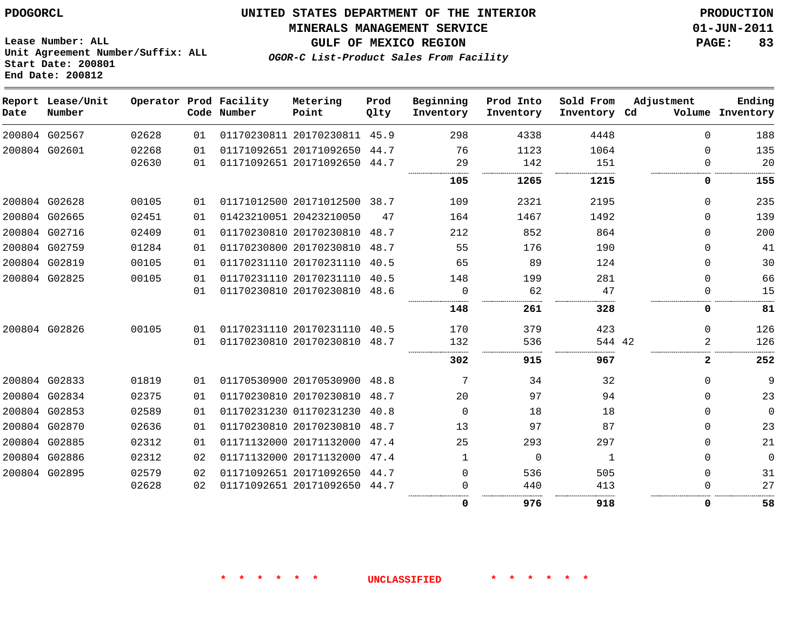#### **MINERALS MANAGEMENT SERVICE 01-JUN-2011**

**GULF OF MEXICO REGION PAGE: 83**

**Lease Number: ALL Unit Agreement Number/Suffix: ALL Start Date: 200801 End Date: 200812**

**OGOR-C List-Product Sales From Facility**

| Date | Report Lease/Unit<br>Number |       |    | Operator Prod Facility<br>Code Number | Metering<br>Point            | Prod<br>Qlty | Beginning<br>Inventory | Prod Into<br>Inventory | Sold From<br>Inventory Cd | Adjustment | Ending<br>Volume Inventory |
|------|-----------------------------|-------|----|---------------------------------------|------------------------------|--------------|------------------------|------------------------|---------------------------|------------|----------------------------|
|      | 200804 G02567               | 02628 | 01 |                                       | 01170230811 20170230811 45.9 |              | 298                    | 4338                   | 4448                      | $\Omega$   | 188                        |
|      | 200804 G02601               | 02268 | 01 |                                       | 01171092651 20171092650      | 44.7         | 76                     | 1123                   | 1064                      | $\Omega$   | 135                        |
|      |                             | 02630 | 01 |                                       | 01171092651 20171092650 44.7 |              | 29                     | 142                    | 151                       |            | 20                         |
|      |                             |       |    |                                       |                              |              | 105                    | 1265                   | 1215                      | 0          | 155                        |
|      | 200804 G02628               | 00105 | 01 |                                       | 01171012500 20171012500 38.7 |              | 109                    | 2321                   | 2195                      | $\Omega$   | 235                        |
|      | 200804 G02665               | 02451 | 01 |                                       | 01423210051 20423210050      | 47           | 164                    | 1467                   | 1492                      | $\Omega$   | 139                        |
|      | 200804 G02716               | 02409 | 01 |                                       | 01170230810 20170230810      | 48.7         | 212                    | 852                    | 864                       | $\Omega$   | 200                        |
|      | 200804 G02759               | 01284 | 01 |                                       | 01170230800 20170230810      | 48.7         | 55                     | 176                    | 190                       | $\Omega$   | 41                         |
|      | 200804 G02819               | 00105 | 01 |                                       | 01170231110 20170231110      | 40.5         | 65                     | 89                     | 124                       | $\Omega$   | 30                         |
|      | 200804 G02825               | 00105 | 01 |                                       | 01170231110 20170231110      | 40.5         | 148                    | 199                    | 281                       | $\Omega$   | 66                         |
|      |                             |       | 01 |                                       | 01170230810 20170230810      | 48.6         | 0                      | 62                     | 47                        |            | 15                         |
|      |                             |       |    |                                       |                              |              | 148                    | 261                    | 328                       | 0          | 81                         |
|      | 200804 G02826               | 00105 | 01 |                                       | 01170231110 20170231110 40.5 |              | 170                    | 379                    | 423                       | $\Omega$   | 126                        |
|      |                             |       | 01 |                                       | 01170230810 20170230810 48.7 |              | 132                    | 536                    | 544 42                    | 2          | 126                        |
|      |                             |       |    |                                       |                              |              | 302                    | 915                    | 967                       | 2          | 252                        |
|      | 200804 G02833               | 01819 | 01 |                                       | 01170530900 20170530900      | 48.8         | 7                      | 34                     | 32                        | $\Omega$   | 9                          |
|      | 200804 G02834               | 02375 | 01 |                                       | 01170230810 20170230810      | 48.7         | 20                     | 97                     | 94                        | $\Omega$   | 23                         |
|      | 200804 G02853               | 02589 | 01 |                                       | 01170231230 01170231230      | 40.8         | $\Omega$               | 18                     | 18                        | $\Omega$   | 0                          |
|      | 200804 G02870               | 02636 | 01 |                                       | 01170230810 20170230810      | 48.7         | 13                     | 97                     | 87                        | $\Omega$   | 23                         |
|      | 200804 G02885               | 02312 | 01 |                                       | 01171132000 20171132000      | 47.4         | 25                     | 293                    | 297                       | $\Omega$   | 21                         |
|      | 200804 G02886               | 02312 | 02 |                                       | 01171132000 20171132000      | 47.4         | $\mathbf{1}$           | $\Omega$               | 1                         | $\Omega$   | 0                          |
|      | 200804 G02895               | 02579 | 02 |                                       | 01171092651 20171092650      | 44.7         | 0                      | 536                    | 505                       | $\Omega$   | 31                         |
|      |                             | 02628 | 02 |                                       | 01171092651 20171092650      | 44.7         | 0                      | 440                    | 413                       | $\Omega$   | 27                         |
|      |                             |       |    |                                       |                              |              | 0                      | 976                    | 918                       | 0          | 58                         |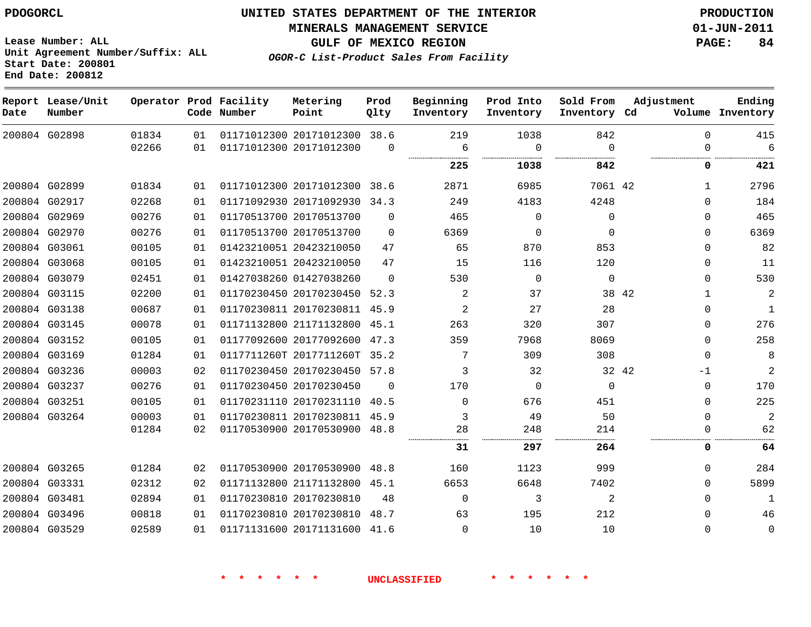**Start Date: 200801 End Date: 200812**

**Unit Agreement Number/Suffix: ALL**

# **UNITED STATES DEPARTMENT OF THE INTERIOR PDOGORCL PRODUCTION**

**MINERALS MANAGEMENT SERVICE 01-JUN-2011**

**GULF OF MEXICO REGION PAGE: 84**

**OGOR-C List-Product Sales From Facility**

| Date | Report Lease/Unit<br>Number |       |    | Operator Prod Facility<br>Code Number | Metering<br>Point            | Prod<br>Olty | Beginning<br>Inventory | Prod Into<br>Inventory | Sold From<br>Inventory Cd | Adjustment    | Ending<br>Volume Inventory |
|------|-----------------------------|-------|----|---------------------------------------|------------------------------|--------------|------------------------|------------------------|---------------------------|---------------|----------------------------|
|      | 200804 G02898               | 01834 | 01 |                                       | 01171012300 20171012300 38.6 |              | 219                    | 1038                   | 842                       | $\Omega$      | 415                        |
|      |                             | 02266 | 01 |                                       | 01171012300 20171012300      | $\mathbf 0$  | 6<br>                  | $\mathbf 0$<br>        | $\Omega$<br>              | $\Omega$      | 6<br>.                     |
|      |                             |       |    |                                       |                              |              | 225                    | 1038                   | 842                       | 0             | 421                        |
|      | 200804 G02899               | 01834 | 01 |                                       | 01171012300 20171012300      | 38.6         | 2871                   | 6985                   | 7061 42                   | $\mathbf{1}$  | 2796                       |
|      | 200804 G02917               | 02268 | 01 |                                       | 01171092930 20171092930      | 34.3         | 249                    | 4183                   | 4248                      | $\Omega$      | 184                        |
|      | 200804 G02969               | 00276 | 01 |                                       | 01170513700 20170513700      | $\Omega$     | 465                    | $\Omega$               | $\Omega$                  | $\Omega$      | 465                        |
|      | 200804 G02970               | 00276 | 01 |                                       | 01170513700 20170513700      | $\Omega$     | 6369                   | $\Omega$               | $\Omega$                  | 0             | 6369                       |
|      | 200804 G03061               | 00105 | 01 |                                       | 01423210051 20423210050      | 47           | 65                     | 870                    | 853                       | 0             | 82                         |
|      | 200804 G03068               | 00105 | 01 |                                       | 01423210051 20423210050      | 47           | 15                     | 116                    | 120                       | 0             | 11                         |
|      | 200804 G03079               | 02451 | 01 |                                       | 01427038260 01427038260      | $\Omega$     | 530                    | $\Omega$               | $\mathbf 0$               | $\Omega$      | 530                        |
|      | 200804 G03115               | 02200 | 01 |                                       | 01170230450 20170230450      | 52.3         | 2                      | 37                     |                           | 38 42<br>1    | $\sqrt{2}$                 |
|      | 200804 G03138               | 00687 | 01 |                                       | 01170230811 20170230811      | 45.9         | $\overline{2}$         | 27                     | 28                        | $\Omega$      | $\mathbf{1}$               |
|      | 200804 G03145               | 00078 | 01 |                                       | 01171132800 21171132800      | 45.1         | 263                    | 320                    | 307                       | 0             | 276                        |
|      | 200804 G03152               | 00105 | 01 |                                       | 01177092600 20177092600      | 47.3         | 359                    | 7968                   | 8069                      | 0             | 258                        |
|      | 200804 G03169               | 01284 | 01 |                                       | 0117711260T 2017711260T      | 35.2         | 7                      | 309                    | 308                       | $\Omega$      | 8                          |
|      | 200804 G03236               | 00003 | 02 |                                       | 01170230450 20170230450      | 57.8         | 3                      | 32                     |                           | 32 42<br>$-1$ | 2                          |
|      | 200804 G03237               | 00276 | 01 |                                       | 01170230450 20170230450      | $\Omega$     | 170                    | $\mathbf 0$            | $\mathbf 0$               | $\mathbf 0$   | 170                        |
|      | 200804 G03251               | 00105 | 01 |                                       | 01170231110 20170231110      | 40.5         | $\Omega$               | 676                    | 451                       | $\Omega$      | 225                        |
|      | 200804 G03264               | 00003 | 01 |                                       | 01170230811 20170230811 45.9 |              | 3                      | 49                     | 50                        | $\Omega$      | 2                          |
|      |                             | 01284 | 02 |                                       | 01170530900 20170530900      | 48.8         | 28                     | 248                    | 214                       | 0             | 62                         |
|      |                             |       |    |                                       |                              |              | 31                     | 297                    | 264                       | 0             | 64                         |
|      | 200804 G03265               | 01284 | 02 |                                       | 01170530900 20170530900      | 48.8         | 160                    | 1123                   | 999                       | 0             | 284                        |
|      | 200804 G03331               | 02312 | 02 |                                       | 01171132800 21171132800      | 45.1         | 6653                   | 6648                   | 7402                      | 0             | 5899                       |
|      | 200804 G03481               | 02894 | 01 |                                       | 01170230810 20170230810      | 48           | $\mathbf 0$            | 3                      | 2                         | $\Omega$      | 1                          |
|      | 200804 G03496               | 00818 | 01 |                                       | 01170230810 20170230810      | 48.7         | 63                     | 195                    | 212                       | $\Omega$      | 46                         |
|      | 200804 G03529               | 02589 | 01 |                                       | 01171131600 20171131600      | 41.6         | 0                      | 10                     | 10                        | $\Omega$      | $\mathbf 0$                |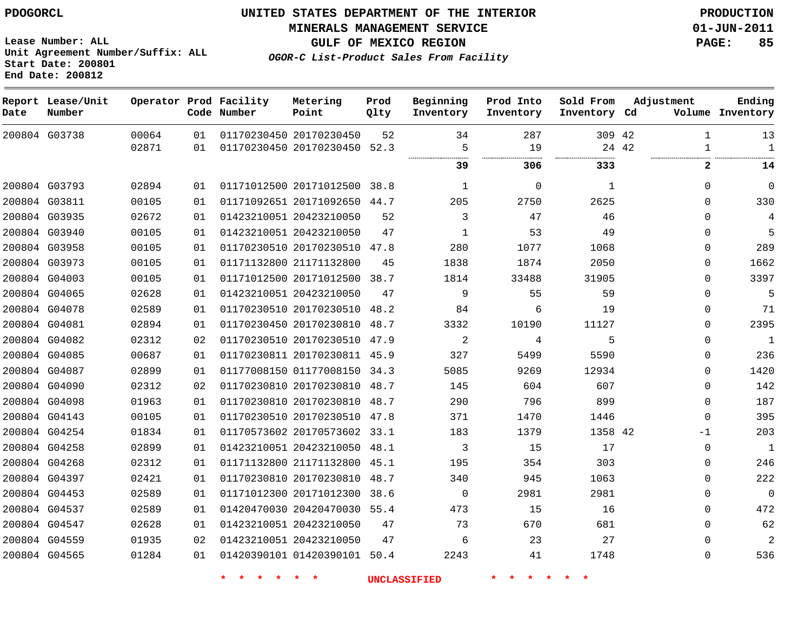**Start Date: 200801 End Date: 200812**

**Unit Agreement Number/Suffix: ALL**

# **UNITED STATES DEPARTMENT OF THE INTERIOR PDOGORCL PRODUCTION**

**MINERALS MANAGEMENT SERVICE 01-JUN-2011**

**GULF OF MEXICO REGION PAGE: 85**

**OGOR-C List-Product Sales From Facility**

| Date          | Report Lease/Unit<br>Number |       |    | Operator Prod Facility<br>Code Number | Metering<br>Point            | Prod<br>Qlty | Beginning<br>Inventory | Prod Into<br>Inventory | Sold From<br>Inventory Cd | Adjustment   | Ending<br>Volume Inventory |
|---------------|-----------------------------|-------|----|---------------------------------------|------------------------------|--------------|------------------------|------------------------|---------------------------|--------------|----------------------------|
|               | 200804 G03738               | 00064 | 01 |                                       | 01170230450 20170230450      | 52           | 34                     | 287                    | 309 42                    | 1            | 13                         |
|               |                             | 02871 | 01 |                                       | 01170230450 20170230450 52.3 |              | 5<br>                  | 19<br>                 |                           | 24 42<br>1   | $\mathbf{1}$               |
|               |                             |       |    |                                       |                              |              | 39                     | 306                    | 333                       | 2            | 14                         |
|               | 200804 G03793               | 02894 | 01 |                                       | 01171012500 20171012500      | 38.8         | 1                      | $\Omega$               | $\mathbf{1}$              | $\Omega$     | $\mathbf 0$                |
|               | 200804 G03811               | 00105 | 01 |                                       | 01171092651 20171092650      | 44.7         | 205                    | 2750                   | 2625                      | $\Omega$     | 330                        |
|               | 200804 G03935               | 02672 | 01 |                                       | 01423210051 20423210050      | 52           | 3                      | 47                     | 46                        | $\Omega$     | 4                          |
|               | 200804 G03940               | 00105 | 01 |                                       | 01423210051 20423210050      | 47           | $\mathbf 1$            | 53                     | 49                        | $\Omega$     | 5                          |
|               | 200804 G03958               | 00105 | 01 |                                       | 01170230510 20170230510 47.8 |              | 280                    | 1077                   | 1068                      | $\Omega$     | 289                        |
|               | 200804 G03973               | 00105 | 01 |                                       | 01171132800 21171132800      | 45           | 1838                   | 1874                   | 2050                      | $\Omega$     | 1662                       |
|               | 200804 G04003               | 00105 | 01 |                                       | 01171012500 20171012500      | 38.7         | 1814                   | 33488                  | 31905                     | $\Omega$     | 3397                       |
|               | 200804 G04065               | 02628 | 01 |                                       | 01423210051 20423210050      | 47           | 9                      | 55                     | 59                        | $\Omega$     | 5                          |
|               | 200804 G04078               | 02589 | 01 |                                       | 01170230510 20170230510      | 48.2         | 84                     | 6                      | 19                        | $\Omega$     | 71                         |
|               | 200804 G04081               | 02894 | 01 |                                       | 01170230450 20170230810 48.7 |              | 3332                   | 10190                  | 11127                     | $\Omega$     | 2395                       |
|               | 200804 G04082               | 02312 | 02 |                                       | 01170230510 20170230510      | 47.9         | 2                      | 4                      | 5                         | $\mathbf{0}$ | $\mathbf{1}$               |
|               | 200804 G04085               | 00687 | 01 |                                       | 01170230811 20170230811 45.9 |              | 327                    | 5499                   | 5590                      | $\Omega$     | 236                        |
|               | 200804 G04087               | 02899 | 01 |                                       | 01177008150 01177008150 34.3 |              | 5085                   | 9269                   | 12934                     | $\Omega$     | 1420                       |
|               | 200804 G04090               | 02312 | 02 |                                       | 01170230810 20170230810      | 48.7         | 145                    | 604                    | 607                       | $\Omega$     | 142                        |
|               | 200804 G04098               | 01963 | 01 |                                       | 01170230810 20170230810      | 48.7         | 290                    | 796                    | 899                       | $\Omega$     | 187                        |
| 200804 G04143 |                             | 00105 | 01 |                                       | 01170230510 20170230510      | 47.8         | 371                    | 1470                   | 1446                      | $\Omega$     | 395                        |
|               | 200804 G04254               | 01834 | 01 |                                       | 01170573602 20170573602 33.1 |              | 183                    | 1379                   | 1358 42                   | -1           | 203                        |
|               | 200804 G04258               | 02899 | 01 |                                       | 01423210051 20423210050 48.1 |              | 3                      | 15                     | 17                        | $\Omega$     | 1                          |
|               | 200804 G04268               | 02312 | 01 |                                       | 01171132800 21171132800 45.1 |              | 195                    | 354                    | 303                       | $\Omega$     | 246                        |
|               | 200804 G04397               | 02421 | 01 |                                       | 01170230810 20170230810      | 48.7         | 340                    | 945                    | 1063                      | $\Omega$     | 222                        |
|               | 200804 G04453               | 02589 | 01 |                                       | 01171012300 20171012300      | 38.6         | 0                      | 2981                   | 2981                      | $\Omega$     | $\overline{0}$             |
|               | 200804 G04537               | 02589 | 01 |                                       | 01420470030 20420470030 55.4 |              | 473                    | 15                     | 16                        | $\Omega$     | 472                        |
| 200804 G04547 |                             | 02628 | 01 |                                       | 01423210051 20423210050      | 47           | 73                     | 670                    | 681                       | 0            | 62                         |
|               | 200804 G04559               | 01935 | 02 |                                       | 01423210051 20423210050      | 47           | 6                      | 23                     | 27                        | $\Omega$     | $\overline{a}$             |
|               | 200804 G04565               | 01284 | 01 |                                       | 01420390101 01420390101      | 50.4         | 2243                   | 41                     | 1748                      | $\Omega$     | 536                        |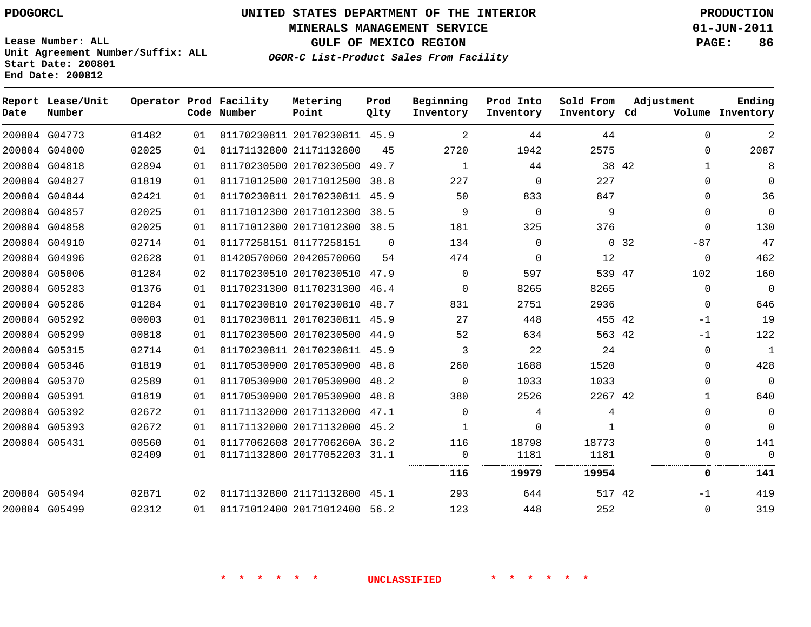# **UNITED STATES DEPARTMENT OF THE INTERIOR PDOGORCL PRODUCTION**

**MINERALS MANAGEMENT SERVICE 01-JUN-2011**

**GULF OF MEXICO REGION PAGE: 86 OGOR-C List-Product Sales From Facility**

**Unit Agreement Number/Suffix: ALL Start Date: 200801 End Date: 200812**

| Date | Report Lease/Unit<br>Number |       |    | Operator Prod Facility<br>Code Number | Metering<br>Point            | Prod<br>Qlty | Beginning<br>Inventory | Prod Into<br>Inventory | Sold From<br>Inventory Cd |       | Adjustment   | Ending<br>Volume Inventory |
|------|-----------------------------|-------|----|---------------------------------------|------------------------------|--------------|------------------------|------------------------|---------------------------|-------|--------------|----------------------------|
|      | 200804 G04773               | 01482 | 01 |                                       | 01170230811 20170230811 45.9 |              | 2                      | 44                     | 44                        |       | $\Omega$     | 2                          |
|      | 200804 G04800               | 02025 | 01 |                                       | 01171132800 21171132800      | 45           | 2720                   | 1942                   | 2575                      |       | $\Omega$     | 2087                       |
|      | 200804 G04818               | 02894 | 01 |                                       | 01170230500 20170230500      | 49.7         | 1                      | 44                     |                           | 38 42 | $\mathbf{1}$ | 8                          |
|      | 200804 G04827               | 01819 | 01 |                                       | 01171012500 20171012500      | 38.8         | 227                    | $\Omega$               | 227                       |       | $\Omega$     | $\Omega$                   |
|      | 200804 G04844               | 02421 | 01 |                                       | 01170230811 20170230811      | 45.9         | 50                     | 833                    | 847                       |       | $\Omega$     | 36                         |
|      | 200804 G04857               | 02025 | 01 |                                       | 01171012300 20171012300      | 38.5         | 9                      | $\Omega$               | 9                         |       | $\Omega$     | $\Omega$                   |
|      | 200804 G04858               | 02025 | 01 |                                       | 01171012300 20171012300      | 38.5         | 181                    | 325                    | 376                       |       | $\mathbf 0$  | 130                        |
|      | 200804 G04910               | 02714 | 01 |                                       | 01177258151 01177258151      | $\Omega$     | 134                    | $\Omega$               | $\overline{0}$            | 32    | $-87$        | 47                         |
|      | 200804 G04996               | 02628 | 01 |                                       | 01420570060 20420570060      | 54           | 474                    | $\Omega$               | 12                        |       | $\mathbf 0$  | 462                        |
|      | 200804 G05006               | 01284 | 02 |                                       | 01170230510 20170230510      | 47.9         | $\Omega$               | 597                    | 539 47                    |       | 102          | 160                        |
|      | 200804 G05283               | 01376 | 01 |                                       | 01170231300 01170231300      | 46.4         | $\Omega$               | 8265                   | 8265                      |       | $\mathbf 0$  | $\Omega$                   |
|      | 200804 G05286               | 01284 | 01 |                                       | 01170230810 20170230810 48.7 |              | 831                    | 2751                   | 2936                      |       | $\Omega$     | 646                        |
|      | 200804 G05292               | 00003 | 01 |                                       | 01170230811 20170230811      | 45.9         | 27                     | 448                    | 455 42                    |       | $-1$         | 19                         |
|      | 200804 G05299               | 00818 | 01 |                                       | 01170230500 20170230500 44.9 |              | 52                     | 634                    | 563 42                    |       | $-1$         | 122                        |
|      | 200804 G05315               | 02714 | 01 |                                       | 01170230811 20170230811      | 45.9         | 3                      | 22                     | 24                        |       | $\mathbf 0$  | $\mathbf{1}$               |
|      | 200804 G05346               | 01819 | 01 |                                       | 01170530900 20170530900 48.8 |              | 260                    | 1688                   | 1520                      |       | $\Omega$     | 428                        |
|      | 200804 G05370               | 02589 | 01 |                                       | 01170530900 20170530900 48.2 |              | $\Omega$               | 1033                   | 1033                      |       | $\Omega$     | $\Omega$                   |
|      | 200804 G05391               | 01819 | 01 |                                       | 01170530900 20170530900      | 48.8         | 380                    | 2526                   | 2267 42                   |       | $\mathbf{1}$ | 640                        |
|      | 200804 G05392               | 02672 | 01 |                                       | 01171132000 20171132000 47.1 |              | $\Omega$               | 4                      | 4                         |       | $\Omega$     | $\Omega$                   |
|      | 200804 G05393               | 02672 | 01 |                                       | 01171132000 20171132000 45.2 |              | 1                      | $\Omega$               | 1                         |       | $\mathbf 0$  | $\mathbf 0$                |
|      | 200804 G05431               | 00560 | 01 |                                       | 01177062608 2017706260A 36.2 |              | 116                    | 18798                  | 18773                     |       | $\Omega$     | 141                        |
|      |                             | 02409 | 01 |                                       | 01171132800 20177052203 31.1 |              | $\Omega$               | 1181                   | 1181                      |       | $\Omega$     | $\Omega$                   |
|      |                             |       |    |                                       |                              |              | 116                    | 19979                  | 19954                     |       | 0            | 141                        |
|      | 200804 G05494               | 02871 | 02 |                                       | 01171132800 21171132800 45.1 |              | 293                    | 644                    | 517 42                    |       | $-1$         | 419                        |
|      | 200804 G05499               | 02312 | 01 |                                       | 01171012400 20171012400      | 56.2         | 123                    | 448                    | 252                       |       | $\Omega$     | 319                        |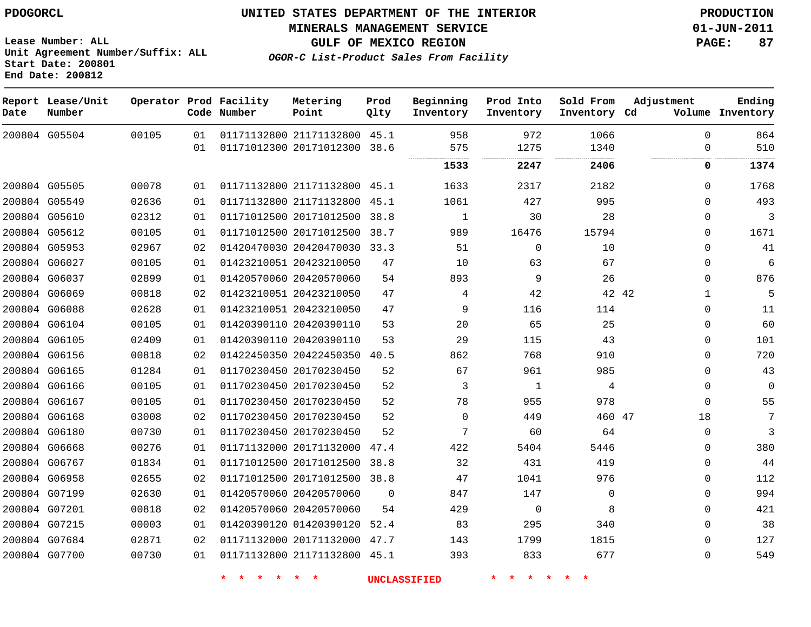**Start Date: 200801 End Date: 200812**

**Unit Agreement Number/Suffix: ALL**

# **UNITED STATES DEPARTMENT OF THE INTERIOR PDOGORCL PRODUCTION**

**MINERALS MANAGEMENT SERVICE 01-JUN-2011**

**GULF OF MEXICO REGION PAGE: 87**

**OGOR-C List-Product Sales From Facility**

| Date | Report Lease/Unit<br>Number |       |    | Operator Prod Facility<br>Code Number | Metering<br>Point            | Prod<br>Qlty | Beginning<br>Inventory | Prod Into<br>Inventory | Sold From<br>Inventory Cd | Adjustment   | Ending<br>Volume Inventory |
|------|-----------------------------|-------|----|---------------------------------------|------------------------------|--------------|------------------------|------------------------|---------------------------|--------------|----------------------------|
|      | 200804 G05504               | 00105 | 01 |                                       | 01171132800 21171132800 45.1 |              | 958                    | 972                    | 1066                      | $\Omega$     | 864                        |
|      |                             |       | 01 |                                       | 01171012300 20171012300      | 38.6         | 575                    | 1275                   | 1340<br>.                 | 0            | 510                        |
|      |                             |       |    |                                       |                              |              | 1533                   | 2247                   | 2406                      | 0            | 1374                       |
|      | 200804 G05505               | 00078 | 01 |                                       | 01171132800 21171132800 45.1 |              | 1633                   | 2317                   | 2182                      | $\mathbf{0}$ | 1768                       |
|      | 200804 G05549               | 02636 | 01 |                                       | 01171132800 21171132800      | 45.1         | 1061                   | 427                    | 995                       | $\Omega$     | 493                        |
|      | 200804 G05610               | 02312 | 01 |                                       | 01171012500 20171012500      | 38.8         | 1                      | 30                     | 28                        | 0            | 3                          |
|      | 200804 G05612               | 00105 | 01 |                                       | 01171012500 20171012500      | 38.7         | 989                    | 16476                  | 15794                     | $\mathbf 0$  | 1671                       |
|      | 200804 G05953               | 02967 | 02 |                                       | 01420470030 20420470030      | 33.3         | 51                     | $\Omega$               | 10                        | $\mathbf 0$  | 41                         |
|      | 200804 G06027               | 00105 | 01 |                                       | 01423210051 20423210050      | 47           | 10                     | 63                     | 67                        | 0            | 6                          |
|      | 200804 G06037               | 02899 | 01 |                                       | 01420570060 20420570060      | 54           | 893                    | 9                      | 26                        | $\mathbf 0$  | 876                        |
|      | 200804 G06069               | 00818 | 02 |                                       | 01423210051 20423210050      | 47           | 4                      | 42                     | 42 42                     | 1            | 5                          |
|      | 200804 G06088               | 02628 | 01 |                                       | 01423210051 20423210050      | 47           | 9                      | 116                    | 114                       | $\mathbf 0$  | 11                         |
|      | 200804 G06104               | 00105 | 01 |                                       | 01420390110 20420390110      | 53           | 20                     | 65                     | 25                        | $\Omega$     | 60                         |
|      | 200804 G06105               | 02409 | 01 |                                       | 01420390110 20420390110      | 53           | 29                     | 115                    | 43                        | 0            | 101                        |
|      | 200804 G06156               | 00818 | 02 |                                       | 01422450350 20422450350      | 40.5         | 862                    | 768                    | 910                       | $\mathbf{0}$ | 720                        |
|      | 200804 G06165               | 01284 | 01 |                                       | 01170230450 20170230450      | 52           | 67                     | 961                    | 985                       | 0            | 43                         |
|      | 200804 G06166               | 00105 | 01 |                                       | 01170230450 20170230450      | 52           | 3                      | 1                      | 4                         | $\mathbf 0$  | $\mathbf 0$                |
|      | 200804 G06167               | 00105 | 01 |                                       | 01170230450 20170230450      | 52           | 78                     | 955                    | 978                       | $\mathbf 0$  | 55                         |
|      | 200804 G06168               | 03008 | 02 |                                       | 01170230450 20170230450      | 52           | $\mathbf 0$            | 449                    | 460 47                    | 18           | 7                          |
|      | 200804 G06180               | 00730 | 01 |                                       | 01170230450 20170230450      | 52           | 7                      | 60                     | 64                        | $\mathbf 0$  | 3                          |
|      | 200804 G06668               | 00276 | 01 |                                       | 01171132000 20171132000      | 47.4         | 422                    | 5404                   | 5446                      | 0            | 380                        |
|      | 200804 G06767               | 01834 | 01 |                                       | 01171012500 20171012500      | 38.8         | 32                     | 431                    | 419                       | 0            | 44                         |
|      | 200804 G06958               | 02655 | 02 |                                       | 01171012500 20171012500      | 38.8         | 47                     | 1041                   | 976                       | 0            | 112                        |
|      | 200804 G07199               | 02630 | 01 |                                       | 01420570060 20420570060      | $\Omega$     | 847                    | 147                    | $\mathbf 0$               | 0            | 994                        |
|      | 200804 G07201               | 00818 | 02 |                                       | 01420570060 20420570060      | 54           | 429                    | $\overline{0}$         | 8                         | $\mathbf 0$  | 421                        |
|      | 200804 G07215               | 00003 | 01 |                                       | 01420390120 01420390120      | 52.4         | 83                     | 295                    | 340                       | $\mathbf 0$  | 38                         |
|      | 200804 G07684               | 02871 | 02 |                                       | 01171132000 20171132000      | 47.7         | 143                    | 1799                   | 1815                      | $\mathbf 0$  | 127                        |
|      | 200804 G07700               | 00730 | 01 |                                       | 01171132800 21171132800      | 45.1         | 393                    | 833                    | 677                       | $\Omega$     | 549                        |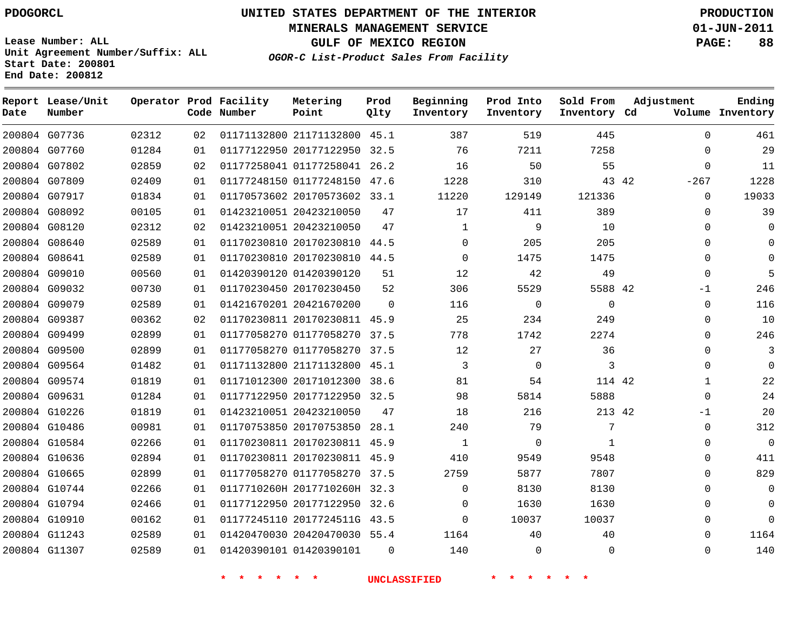**Start Date: 200801 End Date: 200812**

**Unit Agreement Number/Suffix: ALL**

# **UNITED STATES DEPARTMENT OF THE INTERIOR PDOGORCL PRODUCTION**

**MINERALS MANAGEMENT SERVICE 01-JUN-2011**

**GULF OF MEXICO REGION PAGE: 88**

**OGOR-C List-Product Sales From Facility**

| Date | Report Lease/Unit<br>Number |       |    | Operator Prod Facility<br>Code Number | Metering<br>Point            | Prod<br>Qlty | Beginning<br>Inventory | Prod Into<br>Inventory | Sold From<br>Inventory Cd | Adjustment      | Ending<br>Volume Inventory |
|------|-----------------------------|-------|----|---------------------------------------|------------------------------|--------------|------------------------|------------------------|---------------------------|-----------------|----------------------------|
|      | 200804 G07736               | 02312 | 02 |                                       | 01171132800 21171132800 45.1 |              | 387                    | 519                    | 445                       | $\mathbf 0$     | 461                        |
|      | 200804 G07760               | 01284 | 01 |                                       | 01177122950 20177122950 32.5 |              | 76                     | 7211                   | 7258                      | $\Omega$        | 29                         |
|      | 200804 G07802               | 02859 | 02 |                                       | 01177258041 01177258041 26.2 |              | 16                     | 50                     | 55                        | $\Omega$        | 11                         |
|      | 200804 G07809               | 02409 | 01 |                                       | 01177248150 01177248150 47.6 |              | 1228                   | 310                    |                           | 43 42<br>$-267$ | 1228                       |
|      | 200804 G07917               | 01834 | 01 |                                       | 01170573602 20170573602 33.1 |              | 11220                  | 129149                 | 121336                    | $\Omega$        | 19033                      |
|      | 200804 G08092               | 00105 | 01 |                                       | 01423210051 20423210050      | 47           | 17                     | 411                    | 389                       | 0               | 39                         |
|      | 200804 G08120               | 02312 | 02 |                                       | 01423210051 20423210050      | 47           | 1                      | 9                      | 10                        | $\Omega$        | $\mathbf 0$                |
|      | 200804 G08640               | 02589 | 01 |                                       | 01170230810 20170230810 44.5 |              | $\mathbf 0$            | 205                    | 205                       | $\mathbf 0$     | $\mathbf 0$                |
|      | 200804 G08641               | 02589 | 01 |                                       | 01170230810 20170230810 44.5 |              | 0                      | 1475                   | 1475                      | $\mathbf{0}$    | $\mathbf 0$                |
|      | 200804 G09010               | 00560 | 01 |                                       | 01420390120 01420390120      | 51           | 12                     | 42                     | 49                        | $\mathbf 0$     | 5                          |
|      | 200804 G09032               | 00730 | 01 |                                       | 01170230450 20170230450      | 52           | 306                    | 5529                   | 5588 42                   | $-1$            | 246                        |
|      | 200804 G09079               | 02589 | 01 |                                       | 01421670201 20421670200      | $\Omega$     | 116                    | $\mathbf 0$            | $\mathbf 0$               | $\Omega$        | 116                        |
|      | 200804 G09387               | 00362 | 02 |                                       | 01170230811 20170230811 45.9 |              | 25                     | 234                    | 249                       | $\Omega$        | 10                         |
|      | 200804 G09499               | 02899 | 01 |                                       | 01177058270 01177058270      | 37.5         | 778                    | 1742                   | 2274                      | $\Omega$        | 246                        |
|      | 200804 G09500               | 02899 | 01 |                                       | 01177058270 01177058270      | 37.5         | 12                     | 27                     | 36                        | $\mathbf 0$     | 3                          |
|      | 200804 G09564               | 01482 | 01 |                                       | 01171132800 21171132800      | 45.1         | 3                      | $\mathbf 0$            | 3                         | $\Omega$        | $\mathbf 0$                |
|      | 200804 G09574               | 01819 | 01 |                                       | 01171012300 20171012300      | 38.6         | 81                     | 54                     | 114 42                    | $\mathbf{1}$    | 22                         |
|      | 200804 G09631               | 01284 | 01 |                                       | 01177122950 20177122950 32.5 |              | 98                     | 5814                   | 5888                      | $\Omega$        | 24                         |
|      | 200804 G10226               | 01819 | 01 |                                       | 01423210051 20423210050      | 47           | 18                     | 216                    | 213 42                    | $-1$            | 20                         |
|      | 200804 G10486               | 00981 | 01 |                                       | 01170753850 20170753850 28.1 |              | 240                    | 79                     | 7                         | $\Omega$        | 312                        |
|      | 200804 G10584               | 02266 | 01 |                                       | 01170230811 20170230811 45.9 |              | $\mathbf{1}$           | $\mathbf 0$            | 1                         | $\mathbf{0}$    | $\Omega$                   |
|      | 200804 G10636               | 02894 | 01 |                                       | 01170230811 20170230811 45.9 |              | 410                    | 9549                   | 9548                      | $\Omega$        | 411                        |
|      | 200804 G10665               | 02899 | 01 |                                       | 01177058270 01177058270      | 37.5         | 2759                   | 5877                   | 7807                      | $\Omega$        | 829                        |
|      | 200804 G10744               | 02266 | 01 |                                       | 0117710260H 2017710260H 32.3 |              | $\Omega$               | 8130                   | 8130                      | $\mathbf 0$     | $\mathbf 0$                |
|      | 200804 G10794               | 02466 | 01 |                                       | 01177122950 20177122950      | 32.6         | 0                      | 1630                   | 1630                      | $\Omega$        | $\mathbf 0$                |
|      | 200804 G10910               | 00162 | 01 |                                       | 01177245110 2017724511G      | 43.5         | $\mathbf 0$            | 10037                  | 10037                     | $\mathbf{0}$    | $\mathbf 0$                |
|      | 200804 G11243               | 02589 | 01 |                                       | 01420470030 20420470030 55.4 |              | 1164                   | 40                     | 40                        | $\Omega$        | 1164                       |
|      | 200804 G11307               | 02589 | 01 |                                       | 01420390101 01420390101      | $\Omega$     | 140                    | $\Omega$               | $\Omega$                  | $\Omega$        | 140                        |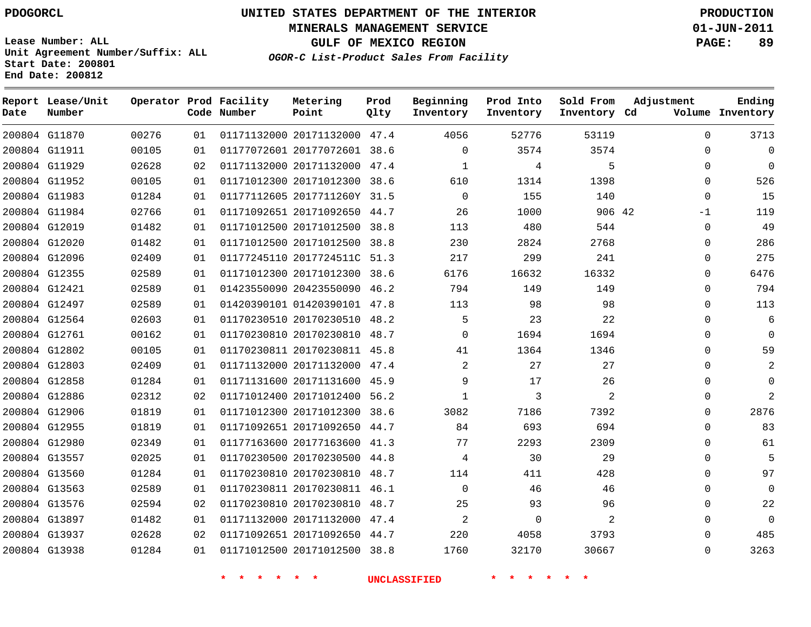**MINERALS MANAGEMENT SERVICE 01-JUN-2011**

**GULF OF MEXICO REGION PAGE: 89**

**Lease Number: ALL Unit Agreement Number/Suffix: ALL Start Date: 200801 End Date: 200812**

**OGOR-C List-Product Sales From Facility**

| Date | Report Lease/Unit<br>Number |       |    | Operator Prod Facility<br>Code Number | Metering<br>Point            | Prod<br>Qlty | Beginning<br>Inventory | Prod Into<br>Inventory | Sold From<br>Inventory Cd | Adjustment | Ending<br>Volume Inventory |
|------|-----------------------------|-------|----|---------------------------------------|------------------------------|--------------|------------------------|------------------------|---------------------------|------------|----------------------------|
|      | 200804 G11870               | 00276 | 01 |                                       | 01171132000 20171132000 47.4 |              | 4056                   | 52776                  | 53119                     | $\Omega$   | 3713                       |
|      | 200804 G11911               | 00105 | 01 |                                       | 01177072601 20177072601 38.6 |              | $\Omega$               | 3574                   | 3574                      | $\Omega$   |                            |
|      | 200804 G11929               | 02628 | 02 |                                       | 01171132000 20171132000 47.4 |              | $\mathbf{1}$           | 4                      | 5                         | $\Omega$   | $\Omega$                   |
|      | 200804 G11952               | 00105 | 01 |                                       | 01171012300 20171012300 38.6 |              | 610                    | 1314                   | 1398                      | $\Omega$   | 526                        |
|      | 200804 G11983               | 01284 | 01 |                                       | 01177112605 2017711260Y 31.5 |              | $\Omega$               | 155                    | 140                       | $\Omega$   | 15                         |
|      | 200804 G11984               | 02766 | 01 |                                       | 01171092651 20171092650 44.7 |              | 26                     | 1000                   | 906 42                    | $-1$       | 119                        |
|      | 200804 G12019               | 01482 | 01 |                                       | 01171012500 20171012500 38.8 |              | 113                    | 480                    | 544                       | $\Omega$   | 49                         |
|      | 200804 G12020               | 01482 | 01 |                                       | 01171012500 20171012500 38.8 |              | 230                    | 2824                   | 2768                      | $\Omega$   | 286                        |
|      | 200804 G12096               | 02409 | 01 |                                       | 01177245110 2017724511C 51.3 |              | 217                    | 299                    | 241                       | $\Omega$   | 275                        |
|      | 200804 G12355               | 02589 | 01 |                                       | 01171012300 20171012300 38.6 |              | 6176                   | 16632                  | 16332                     | $\Omega$   | 6476                       |
|      | 200804 G12421               | 02589 | 01 |                                       | 01423550090 20423550090 46.2 |              | 794                    | 149                    | 149                       | $\Omega$   | 794                        |
|      | 200804 G12497               | 02589 | 01 |                                       | 01420390101 01420390101 47.8 |              | 113                    | 98                     | 98                        | $\Omega$   | 113                        |
|      | 200804 G12564               | 02603 | 01 |                                       | 01170230510 20170230510 48.2 |              | 5                      | 23                     | 22                        | $\Omega$   | 6                          |
|      | 200804 G12761               | 00162 | 01 |                                       | 01170230810 20170230810 48.7 |              | $\Omega$               | 1694                   | 1694                      | $\Omega$   | $\Omega$                   |
|      | 200804 G12802               | 00105 | 01 |                                       | 01170230811 20170230811 45.8 |              | 41                     | 1364                   | 1346                      | $\Omega$   | 59                         |
|      | 200804 G12803               | 02409 | 01 |                                       | 01171132000 20171132000 47.4 |              | $\overline{2}$         | 27                     | 27                        | $\Omega$   |                            |
|      | 200804 G12858               | 01284 | 01 |                                       | 01171131600 20171131600 45.9 |              | 9                      | 17                     | 26                        | $\Omega$   | 0                          |
|      | 200804 G12886               | 02312 | 02 |                                       | 01171012400 20171012400 56.2 |              | $\mathbf{1}$           | 3                      | 2                         | 0          | $\mathfrak{D}$             |
|      | 200804 G12906               | 01819 | 01 |                                       | 01171012300 20171012300 38.6 |              | 3082                   | 7186                   | 7392                      | $\Omega$   | 2876                       |
|      | 200804 G12955               | 01819 | 01 |                                       | 01171092651 20171092650 44.7 |              | 84                     | 693                    | 694                       | 0          | 83                         |
|      | 200804 G12980               | 02349 | 01 |                                       | 01177163600 20177163600 41.3 |              | 77                     | 2293                   | 2309                      | $\Omega$   | 61                         |
|      | 200804 G13557               | 02025 | 01 |                                       | 01170230500 20170230500 44.8 |              | 4                      | 30                     | 29                        | 0          | 5                          |
|      | 200804 G13560               | 01284 | 01 |                                       | 01170230810 20170230810 48.7 |              | 114                    | 411                    | 428                       | $\Omega$   | 97                         |
|      | 200804 G13563               | 02589 | 01 |                                       | 01170230811 20170230811 46.1 |              | $\mathbf 0$            | 46                     | 46                        | 0          | 0                          |
|      | 200804 G13576               | 02594 | 02 |                                       | 01170230810 20170230810 48.7 |              | 25                     | 93                     | 96                        | $\Omega$   | 22                         |
|      | 200804 G13897               | 01482 | 01 |                                       | 01171132000 20171132000 47.4 |              | 2                      | $\mathbf 0$            | 2                         | 0          | 0                          |
|      | 200804 G13937               | 02628 | 02 |                                       | 01171092651 20171092650 44.7 |              | 220                    | 4058                   | 3793                      | $\Omega$   | 485                        |
|      | 200804 G13938               | 01284 | 01 |                                       | 01171012500 20171012500 38.8 |              | 1760                   | 32170                  | 30667                     | $\Omega$   | 3263                       |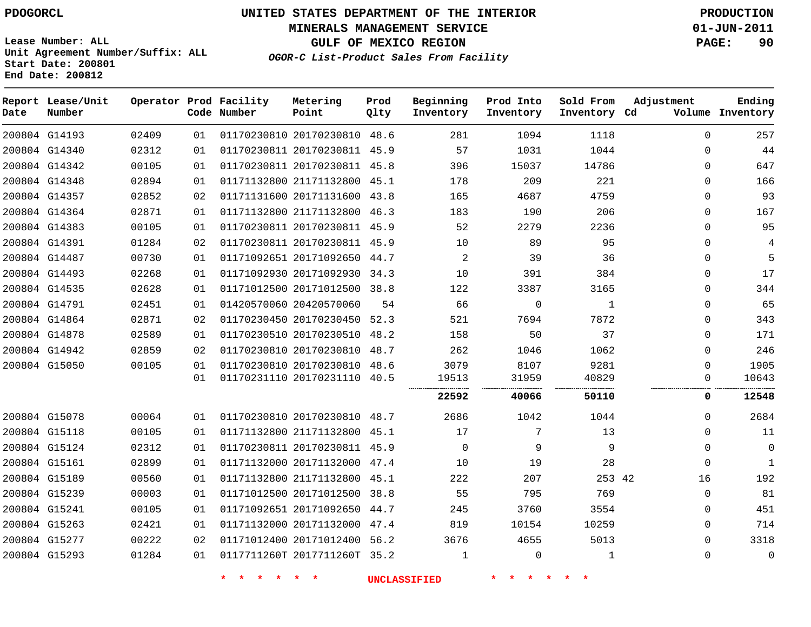# **UNITED STATES DEPARTMENT OF THE INTERIOR PDOGORCL PRODUCTION**

**MINERALS MANAGEMENT SERVICE 01-JUN-2011**

**GULF OF MEXICO REGION PAGE: 90**

**Unit Agreement Number/Suffix: ALL Start Date: 200801 End Date: 200812**

**OGOR-C List-Product Sales From Facility**

| Date          | Report Lease/Unit<br>Number |       |    | Operator Prod Facility<br>Code Number | Metering<br>Point            | Prod<br>Qlty | Beginning<br>Inventory | Prod Into<br>Inventory | Sold From<br>Inventory Cd | Adjustment   | Ending<br>Volume Inventory |
|---------------|-----------------------------|-------|----|---------------------------------------|------------------------------|--------------|------------------------|------------------------|---------------------------|--------------|----------------------------|
|               | 200804 G14193               | 02409 | 01 |                                       | 01170230810 20170230810 48.6 |              | 281                    | 1094                   | 1118                      | $\Omega$     | 257                        |
|               | 200804 G14340               | 02312 | 01 |                                       | 01170230811 20170230811 45.9 |              | 57                     | 1031                   | 1044                      | $\Omega$     | 44                         |
|               | 200804 G14342               | 00105 | 01 |                                       | 01170230811 20170230811 45.8 |              | 396                    | 15037                  | 14786                     | $\Omega$     | 647                        |
|               | 200804 G14348               | 02894 | 01 |                                       | 01171132800 21171132800      | 45.1         | 178                    | 209                    | 221                       | $\Omega$     | 166                        |
|               | 200804 G14357               | 02852 | 02 |                                       | 01171131600 20171131600 43.8 |              | 165                    | 4687                   | 4759                      | $\Omega$     | 93                         |
|               | 200804 G14364               | 02871 | 01 |                                       | 01171132800 21171132800      | 46.3         | 183                    | 190                    | 206                       | $\Omega$     | 167                        |
|               | 200804 G14383               | 00105 | 01 |                                       | 01170230811 20170230811 45.9 |              | 52                     | 2279                   | 2236                      | $\Omega$     | 95                         |
|               | 200804 G14391               | 01284 | 02 |                                       | 01170230811 20170230811 45.9 |              | 10                     | 89                     | 95                        | <sup>n</sup> | 4                          |
|               | 200804 G14487               | 00730 | 01 |                                       | 01171092651 20171092650 44.7 |              | 2                      | 39                     | 36                        | $\Omega$     | 5                          |
|               | 200804 G14493               | 02268 | 01 |                                       | 01171092930 20171092930 34.3 |              | 10                     | 391                    | 384                       | 0            | 17                         |
|               | 200804 G14535               | 02628 | 01 |                                       | 01171012500 20171012500 38.8 |              | 122                    | 3387                   | 3165                      | $\Omega$     | 344                        |
|               | 200804 G14791               | 02451 | 01 |                                       | 01420570060 20420570060      | 54           | 66                     | $\Omega$               | $\mathbf{1}$              | $\Omega$     | 65                         |
|               | 200804 G14864               | 02871 | 02 |                                       | 01170230450 20170230450      | 52.3         | 521                    | 7694                   | 7872                      | $\Omega$     | 343                        |
|               | 200804 G14878               | 02589 | 01 |                                       | 01170230510 20170230510      | 48.2         | 158                    | 50                     | 37                        | $\Omega$     | 171                        |
|               | 200804 G14942               | 02859 | 02 |                                       | 01170230810 20170230810      | 48.7         | 262                    | 1046                   | 1062                      | $\Omega$     | 246                        |
| 200804 G15050 |                             | 00105 | 01 |                                       | 01170230810 20170230810      | 48.6         | 3079                   | 8107                   | 9281                      | $\Omega$     | 1905                       |
|               |                             |       | 01 |                                       | 01170231110 20170231110 40.5 |              | 19513                  | 31959                  | 40829                     | 0            | 10643                      |
|               |                             |       |    |                                       |                              |              | 22592                  | 40066                  | 50110                     | 0            | 12548                      |
|               | 200804 G15078               | 00064 | 01 |                                       | 01170230810 20170230810 48.7 |              | 2686                   | 1042                   | 1044                      | $\Omega$     | 2684                       |
|               | 200804 G15118               | 00105 | 01 |                                       | 01171132800 21171132800      | 45.1         | 17                     | 7                      | 13                        | $\Omega$     | 11                         |
|               | 200804 G15124               | 02312 | 01 |                                       | 01170230811 20170230811 45.9 |              | $\mathbf 0$            | 9                      | 9                         | $\Omega$     | 0                          |
|               | 200804 G15161               | 02899 | 01 |                                       | 01171132000 20171132000      | 47.4         | 10                     | 19                     | 28                        | $\Omega$     | $\mathbf{1}$               |
|               | 200804 G15189               | 00560 | 01 |                                       | 01171132800 21171132800      | 45.1         | 222                    | 207                    | 253 42                    | 16           | 192                        |
|               | 200804 G15239               | 00003 | 01 |                                       | 01171012500 20171012500 38.8 |              | 55                     | 795                    | 769                       | $\Omega$     | 81                         |
| 200804 G15241 |                             | 00105 | 01 |                                       | 01171092651 20171092650      | 44.7         | 245                    | 3760                   | 3554                      | $\Omega$     | 451                        |
|               | 200804 G15263               | 02421 | 01 |                                       | 01171132000 20171132000 47.4 |              | 819                    | 10154                  | 10259                     | $\Omega$     | 714                        |
|               | 200804 G15277               | 00222 | 02 |                                       | 01171012400 20171012400      | 56.2         | 3676                   | 4655                   | 5013                      | $\Omega$     | 3318                       |
|               | 200804 G15293               | 01284 | 01 |                                       | 0117711260T 2017711260T 35.2 |              | $\mathbf 1$            | $\mathbf 0$            | $\mathbf{1}$              | $\Omega$     | 0                          |
|               |                             |       |    |                                       |                              |              |                        |                        |                           |              |                            |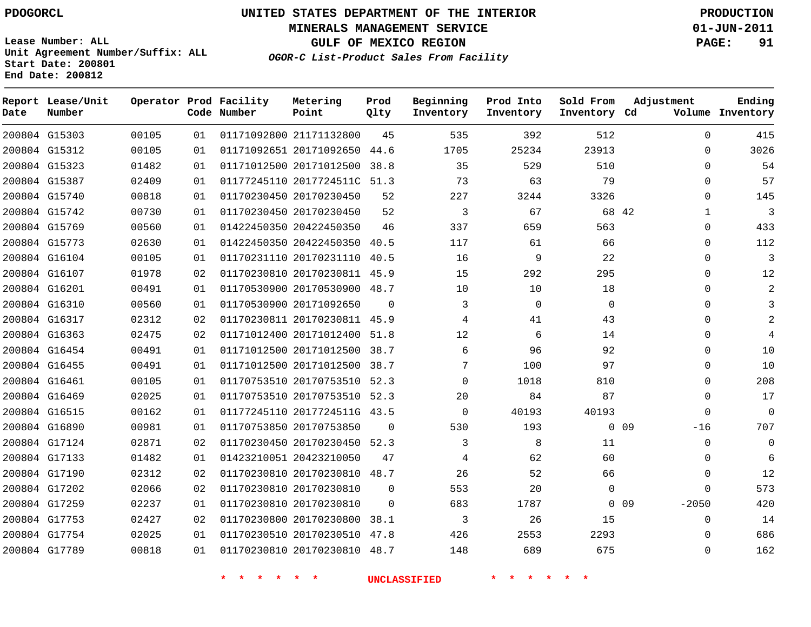**Start Date: 200801 End Date: 200812**

**Unit Agreement Number/Suffix: ALL**

# **UNITED STATES DEPARTMENT OF THE INTERIOR PDOGORCL PRODUCTION**

**MINERALS MANAGEMENT SERVICE 01-JUN-2011**

**GULF OF MEXICO REGION PAGE: 91**

**OGOR-C List-Product Sales From Facility**

| Date | Report Lease/Unit<br>Number |       |    | Operator Prod Facility<br>Code Number | Metering<br>Point            | Prod<br>Qlty | Beginning<br>Inventory | Prod Into<br>Inventory | Sold From<br>Inventory Cd | Adjustment                 | Ending<br>Volume Inventory |
|------|-----------------------------|-------|----|---------------------------------------|------------------------------|--------------|------------------------|------------------------|---------------------------|----------------------------|----------------------------|
|      | 200804 G15303               | 00105 | 01 |                                       | 01171092800 21171132800      | 45           | 535                    | 392                    | 512                       | $\mathbf{0}$               | 415                        |
|      | 200804 G15312               | 00105 | 01 |                                       | 01171092651 20171092650      | 44.6         | 1705                   | 25234                  | 23913                     | $\mathbf 0$                | 3026                       |
|      | 200804 G15323               | 01482 | 01 |                                       | 01171012500 20171012500      | 38.8         | 35                     | 529                    | 510                       | $\mathbf 0$                | 54                         |
|      | 200804 G15387               | 02409 | 01 |                                       | 01177245110 2017724511C      | 51.3         | 73                     | 63                     | 79                        | $\Omega$                   | 57                         |
|      | 200804 G15740               | 00818 | 01 |                                       | 01170230450 20170230450      | 52           | 227                    | 3244                   | 3326                      | $\Omega$                   | 145                        |
|      | 200804 G15742               | 00730 | 01 |                                       | 01170230450 20170230450      | 52           | 3                      | 67                     |                           | 68 42<br>$\mathbf{1}$      | $\overline{3}$             |
|      | 200804 G15769               | 00560 | 01 |                                       | 01422450350 20422450350      | 46           | 337                    | 659                    | 563                       | $\Omega$                   | 433                        |
|      | 200804 G15773               | 02630 | 01 |                                       | 01422450350 20422450350      | 40.5         | 117                    | 61                     | 66                        | $\Omega$                   | 112                        |
|      | 200804 G16104               | 00105 | 01 |                                       | 01170231110 20170231110      | 40.5         | 16                     | 9                      | 22                        | $\Omega$                   | $\overline{3}$             |
|      | 200804 G16107               | 01978 | 02 |                                       | 01170230810 20170230811      | 45.9         | 15                     | 292                    | 295                       | $\mathbf 0$                | 12                         |
|      | 200804 G16201               | 00491 | 01 |                                       | 01170530900 20170530900 48.7 |              | 10                     | 10                     | 18                        | $\Omega$                   | 2                          |
|      | 200804 G16310               | 00560 | 01 |                                       | 01170530900 20171092650      | $\Omega$     | 3                      | $\mathbf 0$            | $\mathbf 0$               | $\Omega$                   | 3                          |
|      | 200804 G16317               | 02312 | 02 |                                       | 01170230811 20170230811 45.9 |              | 4                      | 41                     | 43                        | $\Omega$                   | 2                          |
|      | 200804 G16363               | 02475 | 02 |                                       | 01171012400 20171012400      | 51.8         | 12                     | 6                      | 14                        | $\Omega$                   | 4                          |
|      | 200804 G16454               | 00491 | 01 |                                       | 01171012500 20171012500      | 38.7         | 6                      | 96                     | 92                        | $\Omega$                   | 10                         |
|      | 200804 G16455               | 00491 | 01 |                                       | 01171012500 20171012500      | 38.7         | 7                      | 100                    | 97                        | $\Omega$                   | 10                         |
|      | 200804 G16461               | 00105 | 01 |                                       | 01170753510 20170753510      | 52.3         | $\mathbf 0$            | 1018                   | 810                       | $\Omega$                   | 208                        |
|      | 200804 G16469               | 02025 | 01 |                                       | 01170753510 20170753510 52.3 |              | 20                     | 84                     | 87                        | $\Omega$                   | 17                         |
|      | 200804 G16515               | 00162 | 01 |                                       | 01177245110 2017724511G      | 43.5         | $\mathbf 0$            | 40193                  | 40193                     | $\mathbf 0$                | $\mathbf 0$                |
|      | 200804 G16890               | 00981 | 01 |                                       | 01170753850 20170753850      | 0            | 530                    | 193                    |                           | 0 <sub>09</sub><br>$-16$   | 707                        |
|      | 200804 G17124               | 02871 | 02 |                                       | 01170230450 20170230450      | 52.3         | 3                      | 8                      | 11                        | $\mathbf 0$                | $\mathbf 0$                |
|      | 200804 G17133               | 01482 | 01 |                                       | 01423210051 20423210050      | 47           | 4                      | 62                     | 60                        | $\Omega$                   | 6                          |
|      | 200804 G17190               | 02312 | 02 |                                       | 01170230810 20170230810      | 48.7         | 26                     | 52                     | 66                        | $\mathbf 0$                | 12                         |
|      | 200804 G17202               | 02066 | 02 |                                       | 01170230810 20170230810      | $\mathbf{0}$ | 553                    | 20                     | 0                         | $\Omega$                   | 573                        |
|      | 200804 G17259               | 02237 | 01 |                                       | 01170230810 20170230810      | $\Omega$     | 683                    | 1787                   |                           | 0 <sub>09</sub><br>$-2050$ | 420                        |
|      | 200804 G17753               | 02427 | 02 |                                       | 01170230800 20170230800      | 38.1         | 3                      | 26                     | 15                        | $\Omega$                   | 14                         |
|      | 200804 G17754               | 02025 | 01 |                                       | 01170230510 20170230510      | 47.8         | 426                    | 2553                   | 2293                      | $\Omega$                   | 686                        |
|      | 200804 G17789               | 00818 | 01 |                                       | 01170230810 20170230810      | 48.7         | 148                    | 689                    | 675                       | $\Omega$                   | 162                        |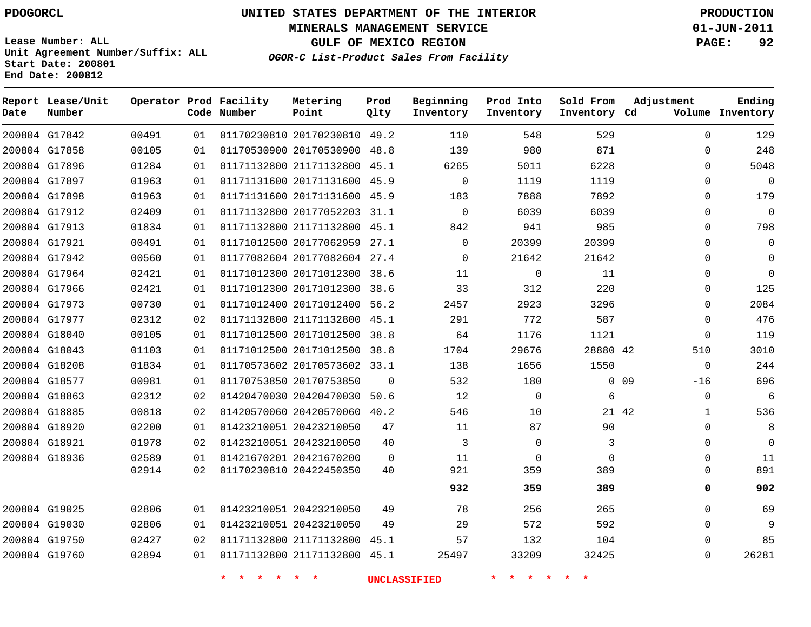**Start Date: 200801 End Date: 200812**

# **UNITED STATES DEPARTMENT OF THE INTERIOR PDOGORCL PRODUCTION**

**MINERALS MANAGEMENT SERVICE 01-JUN-2011**

**GULF OF MEXICO REGION PAGE: 92**

**OGOR-C List-Product Sales From Facility Unit Agreement Number/Suffix: ALL**

| Date | Report Lease/Unit<br>Number |       |    | Operator Prod Facility<br>Code Number | Metering<br>Point            | Prod<br>Qlty   | Beginning<br>Inventory | Prod Into<br>Inventory | Sold From<br>Inventory Cd | Adjustment            | Ending<br>Volume Inventory |
|------|-----------------------------|-------|----|---------------------------------------|------------------------------|----------------|------------------------|------------------------|---------------------------|-----------------------|----------------------------|
|      | 200804 G17842               | 00491 | 01 |                                       | 01170230810 20170230810 49.2 |                | 110                    | 548                    | 529                       | $\Omega$              | 129                        |
|      | 200804 G17858               | 00105 | 01 |                                       | 01170530900 20170530900 48.8 |                | 139                    | 980                    | 871                       | $\mathbf 0$           | 248                        |
|      | 200804 G17896               | 01284 | 01 |                                       | 01171132800 21171132800      | 45.1           | 6265                   | 5011                   | 6228                      | 0                     | 5048                       |
|      | 200804 G17897               | 01963 | 01 |                                       | 01171131600 20171131600 45.9 |                | $\mathbf 0$            | 1119                   | 1119                      | $\mathbf 0$           | $\mathbf 0$                |
|      | 200804 G17898               | 01963 | 01 |                                       | 01171131600 20171131600 45.9 |                | 183                    | 7888                   | 7892                      | 0                     | 179                        |
|      | 200804 G17912               | 02409 | 01 |                                       | 01171132800 20177052203 31.1 |                | $\mathbf 0$            | 6039                   | 6039                      | $\mathbf 0$           | $\mathbf 0$                |
|      | 200804 G17913               | 01834 | 01 |                                       | 01171132800 21171132800 45.1 |                | 842                    | 941                    | 985                       | $\Omega$              | 798                        |
|      | 200804 G17921               | 00491 | 01 |                                       | 01171012500 20177062959      | 27.1           | $\mathbf 0$            | 20399                  | 20399                     | $\mathbf 0$           | $\mathbf 0$                |
|      | 200804 G17942               | 00560 | 01 |                                       | 01177082604 20177082604 27.4 |                | $\Omega$               | 21642                  | 21642                     | $\Omega$              | $\mathbf 0$                |
|      | 200804 G17964               | 02421 | 01 |                                       | 01171012300 20171012300 38.6 |                | 11                     | $\mathbf 0$            | 11                        | 0                     | $\mathsf{O}\xspace$        |
|      | 200804 G17966               | 02421 | 01 |                                       | 01171012300 20171012300 38.6 |                | 33                     | 312                    | 220                       | 0                     | 125                        |
|      | 200804 G17973               | 00730 | 01 |                                       | 01171012400 20171012400 56.2 |                | 2457                   | 2923                   | 3296                      | $\mathbf 0$           | 2084                       |
|      | 200804 G17977               | 02312 | 02 |                                       | 01171132800 21171132800 45.1 |                | 291                    | 772                    | 587                       | $\mathbf 0$           | 476                        |
|      | 200804 G18040               | 00105 | 01 |                                       | 01171012500 20171012500 38.8 |                | 64                     | 1176                   | 1121                      | $\mathbf 0$           | 119                        |
|      | 200804 G18043               | 01103 | 01 |                                       | 01171012500 20171012500 38.8 |                | 1704                   | 29676                  | 28880 42                  | 510                   | 3010                       |
|      | 200804 G18208               | 01834 | 01 |                                       | 01170573602 20170573602 33.1 |                | 138                    | 1656                   | 1550                      | $\mathbf 0$           | 244                        |
|      | 200804 G18577               | 00981 | 01 |                                       | 01170753850 20170753850      | $\Omega$       | 532                    | 180                    |                           | $0$ 09<br>$-16$       | 696                        |
|      | 200804 G18863               | 02312 | 02 |                                       | 01420470030 20420470030      | 50.6           | 12                     | $\mathbf 0$            | 6                         | 0                     | 6                          |
|      | 200804 G18885               | 00818 | 02 |                                       | 01420570060 20420570060 40.2 |                | 546                    | 10                     |                           | 21 42<br>$\mathbf{1}$ | 536                        |
|      | 200804 G18920               | 02200 | 01 |                                       | 01423210051 20423210050      | 47             | 11                     | 87                     | 90                        | $\mathbf 0$           | 8                          |
|      | 200804 G18921               | 01978 | 02 |                                       | 01423210051 20423210050      | 40             | 3                      | $\Omega$               | 3                         | $\mathbf 0$           | $\mathbf 0$                |
|      | 200804 G18936               | 02589 | 01 |                                       | 01421670201 20421670200      | $\overline{0}$ | 11                     | $\mathbf 0$            | $\mathbf 0$               | $\mathbf 0$           | 11                         |
|      |                             | 02914 | 02 |                                       | 01170230810 20422450350      | 40             | 921                    | 359                    | 389                       | $\mathbf 0$           | 891                        |
|      |                             |       |    |                                       |                              |                | 932                    | 359                    | 389                       | 0                     | 902                        |
|      | 200804 G19025               | 02806 | 01 |                                       | 01423210051 20423210050      | 49             | 78                     | 256                    | 265                       | $\mathbf 0$           | 69                         |
|      | 200804 G19030               | 02806 | 01 |                                       | 01423210051 20423210050      | 49             | 29                     | 572                    | 592                       | $\Omega$              | 9                          |
|      | 200804 G19750               | 02427 | 02 |                                       | 01171132800 21171132800      | 45.1           | 57                     | 132                    | 104                       | $\mathbf 0$           | 85                         |
|      | 200804 G19760               | 02894 | 01 |                                       | 01171132800 21171132800 45.1 |                | 25497                  | 33209                  | 32425                     | $\Omega$              | 26281                      |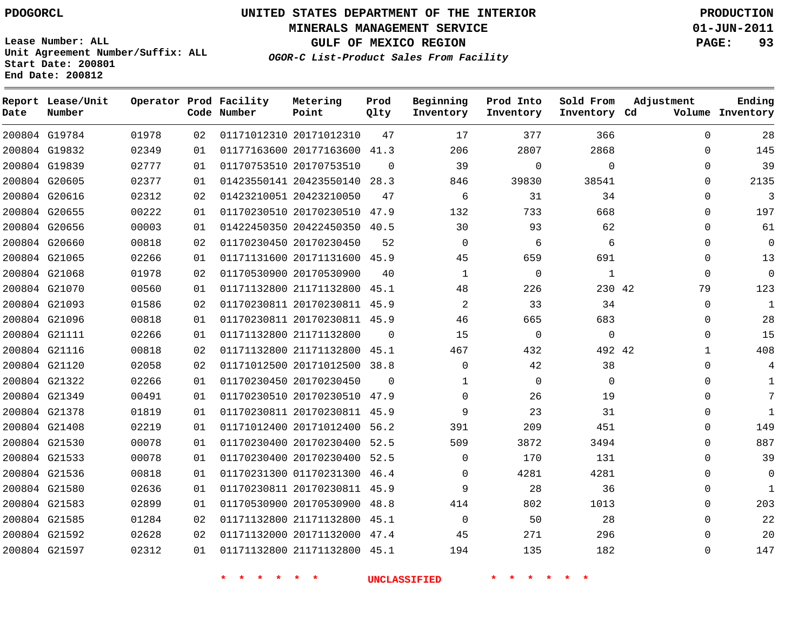**Report Lease/Unit**

**Number**

# **UNITED STATES DEPARTMENT OF THE INTERIOR PDOGORCL PRODUCTION**

**MINERALS MANAGEMENT SERVICE 01-JUN-2011**

**GULF OF MEXICO REGION PAGE: 93**

**Lease Number: ALL Unit Agreement Number/Suffix: ALL Start Date: 200801 End Date: 200812**

**Operator Prod Facility**

**OGOR-C List-Product Sales From Facility**

**Prod Question** 

**Beginning**

**Metering**

**Ending**

| Date          | Number        |       |    | Code Number | Point                        | Qlty     | Inventory      | Inventory   | Inventory Cd |              | Volume Inventory |
|---------------|---------------|-------|----|-------------|------------------------------|----------|----------------|-------------|--------------|--------------|------------------|
|               | 200804 G19784 | 01978 | 02 |             | 01171012310 20171012310      | 47       | 17             | 377         | 366          | $\Omega$     | 28               |
| 200804 G19832 |               | 02349 | 01 |             | 01177163600 20177163600 41.3 |          | 206            | 2807        | 2868         | $\mathbf 0$  | 145              |
|               | 200804 G19839 | 02777 | 01 |             | 01170753510 20170753510      | $\Omega$ | 39             | $\mathbf 0$ | $\mathbf 0$  | $\mathbf 0$  | 39               |
| 200804 G20605 |               | 02377 | 01 |             | 01423550141 20423550140 28.3 |          | 846            | 39830       | 38541        | $\Omega$     | 2135             |
|               | 200804 G20616 | 02312 | 02 |             | 01423210051 20423210050      | 47       | 6              | 31          | 34           | $\Omega$     | 3                |
| 200804 G20655 |               | 00222 | 01 |             | 01170230510 20170230510 47.9 |          | 132            | 733         | 668          | $\Omega$     | 197              |
|               | 200804 G20656 | 00003 | 01 |             | 01422450350 20422450350 40.5 |          | 30             | 93          | 62           | $\mathbf 0$  | 61               |
| 200804 G20660 |               | 00818 | 02 |             | 01170230450 20170230450      | 52       | $\Omega$       | 6           | 6            | $\Omega$     | $\mathbf 0$      |
|               | 200804 G21065 | 02266 | 01 |             | 01171131600 20171131600 45.9 |          | 45             | 659         | 691          | $\Omega$     | 13               |
| 200804 G21068 |               | 01978 | 02 |             | 01170530900 20170530900      | 40       | $\mathbf{1}$   | $\mathbf 0$ | $\mathbf{1}$ | $\mathbf 0$  | $\mathsf{O}$     |
|               | 200804 G21070 | 00560 | 01 |             | 01171132800 21171132800      | 45.1     | 48             | 226         | 230 42       | 79           | 123              |
| 200804 G21093 |               | 01586 | 02 |             | 01170230811 20170230811 45.9 |          | $\overline{2}$ | 33          | 34           | $\Omega$     | $\mathbf{1}$     |
|               | 200804 G21096 | 00818 | 01 |             | 01170230811 20170230811 45.9 |          | 46             | 665         | 683          | $\mathbf 0$  | 28               |
| 200804 G21111 |               | 02266 | 01 |             | 01171132800 21171132800      | $\Omega$ | 15             | $\mathbf 0$ | $\mathbf 0$  | $\mathbf 0$  | 15               |
|               | 200804 G21116 | 00818 | 02 |             | 01171132800 21171132800      | 45.1     | 467            | 432         | 492 42       | $\mathbf{1}$ | 408              |
|               | 200804 G21120 | 02058 | 02 |             | 01171012500 20171012500 38.8 |          | $\Omega$       | 42          | 38           | $\Omega$     | 4                |
|               | 200804 G21322 | 02266 | 01 |             | 01170230450 20170230450      | $\Omega$ | $\mathbf{1}$   | $\Omega$    | $\Omega$     | $\Omega$     | $\mathbf{1}$     |
|               | 200804 G21349 | 00491 | 01 |             | 01170230510 20170230510 47.9 |          | $\Omega$       | 26          | 19           | $\Omega$     | 7                |
| 200804 G21378 |               | 01819 | 01 |             | 01170230811 20170230811 45.9 |          | 9              | 23          | 31           | $\mathbf 0$  | 1                |
|               | 200804 G21408 | 02219 | 01 |             | 01171012400 20171012400 56.2 |          | 391            | 209         | 451          | $\Omega$     | 149              |
|               | 200804 G21530 | 00078 | 01 |             | 01170230400 20170230400 52.5 |          | 509            | 3872        | 3494         | $\Omega$     | 887              |
| 200804 G21533 |               | 00078 | 01 |             | 01170230400 20170230400 52.5 |          | $\Omega$       | 170         | 131          | $\Omega$     | 39               |
| 200804 G21536 |               | 00818 | 01 |             | 01170231300 01170231300      | 46.4     | 0              | 4281        | 4281         | $\Omega$     | $\mathbf 0$      |
| 200804 G21580 |               | 02636 | 01 |             | 01170230811 20170230811 45.9 |          | 9              | 28          | 36           | $\Omega$     | 1                |
| 200804 G21583 |               | 02899 | 01 |             | 01170530900 20170530900      | 48.8     | 414            | 802         | 1013         | $\mathbf 0$  | 203              |
|               | 200804 G21585 | 01284 | 02 |             | 01171132800 21171132800      | 45.1     | $\Omega$       | 50          | 28           | $\Omega$     | 22               |
| 200804 G21592 |               | 02628 | 02 |             | 01171132000 20171132000 47.4 |          | 45             | 271         | 296          | $\Omega$     | 20               |
| 200804 G21597 |               | 02312 | 01 |             | 01171132800 21171132800 45.1 |          | 194            | 135         | 182          | 0            | 147              |

**\* \* \* \* \* \* UNCLASSIFIED \* \* \* \* \* \***

**Prod Into Sold From Adjustment**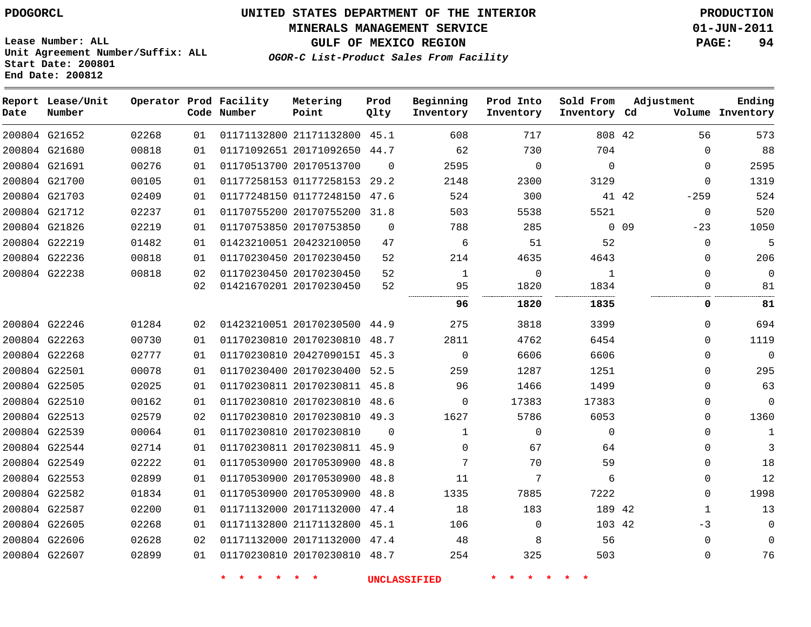#### **MINERALS MANAGEMENT SERVICE 01-JUN-2011**

**GULF OF MEXICO REGION PAGE: 94**

**Lease Number: ALL Unit Agreement Number/Suffix: ALL Start Date: 200801 End Date: 200812**

**OGOR-C List-Product Sales From Facility**

| Date | Report Lease/Unit<br>Number |       |    | Operator Prod Facility<br>Code Number | Metering<br>Point            | Prod<br>Qlty | Beginning<br>Inventory | Prod Into<br>Inventory | Sold From<br>Inventory Cd |       | Adjustment   | Ending<br>Volume Inventory |
|------|-----------------------------|-------|----|---------------------------------------|------------------------------|--------------|------------------------|------------------------|---------------------------|-------|--------------|----------------------------|
|      | 200804 G21652               | 02268 | 01 |                                       | 01171132800 21171132800 45.1 |              | 608                    | 717                    | 808 42                    |       | 56           | 573                        |
|      | 200804 G21680               | 00818 | 01 |                                       | 01171092651 20171092650      | 44.7         | 62                     | 730                    | 704                       |       | $\mathbf{0}$ | 88                         |
|      | 200804 G21691               | 00276 | 01 |                                       | 01170513700 20170513700      | $\Omega$     | 2595                   | $\mathbf 0$            | $\Omega$                  |       | 0            | 2595                       |
|      | 200804 G21700               | 00105 | 01 |                                       | 01177258153 01177258153      | 29.2         | 2148                   | 2300                   | 3129                      |       | $\mathbf{0}$ | 1319                       |
|      | 200804 G21703               | 02409 | 01 |                                       | 01177248150 01177248150      | 47.6         | 524                    | 300                    |                           | 41 42 | $-259$       | 524                        |
|      | 200804 G21712               | 02237 | 01 |                                       | 01170755200 20170755200      | 31.8         | 503                    | 5538                   | 5521                      |       | $\mathbf{0}$ | 520                        |
|      | 200804 G21826               | 02219 | 01 |                                       | 01170753850 20170753850      | $\Omega$     | 788                    | 285                    |                           | 0.09  | $-23$        | 1050                       |
|      | 200804 G22219               | 01482 | 01 |                                       | 01423210051 20423210050      | 47           | 6                      | 51                     | 52                        |       | $\mathbf{0}$ | 5                          |
|      | 200804 G22236               | 00818 | 01 |                                       | 01170230450 20170230450      | 52           | 214                    | 4635                   | 4643                      |       | 0            | 206                        |
|      | 200804 G22238               | 00818 | 02 |                                       | 01170230450 20170230450      | 52           | $\mathbf 1$            | 0                      | $\mathbf{1}$              |       | $\mathbf{0}$ | $\mathbf 0$                |
|      |                             |       | 02 |                                       | 01421670201 20170230450      | 52           | 95                     | 1820                   | 1834                      |       | $\Omega$     | 81                         |
|      |                             |       |    |                                       |                              |              | 96                     | 1820                   | 1835                      |       | 0            | 81                         |
|      | 200804 G22246               | 01284 | 02 |                                       | 01423210051 20170230500      | 44.9         | 275                    | 3818                   | 3399                      |       | $\Omega$     | 694                        |
|      | 200804 G22263               | 00730 | 01 |                                       | 01170230810 20170230810      | 48.7         | 2811                   | 4762                   | 6454                      |       | $\Omega$     | 1119                       |
|      | 200804 G22268               | 02777 | 01 |                                       | 01170230810 2042709015I 45.3 |              | 0                      | 6606                   | 6606                      |       | $\Omega$     | $\Omega$                   |
|      | 200804 G22501               | 00078 | 01 |                                       | 01170230400 20170230400 52.5 |              | 259                    | 1287                   | 1251                      |       | $\Omega$     | 295                        |
|      | 200804 G22505               | 02025 | 01 |                                       | 01170230811 20170230811 45.8 |              | 96                     | 1466                   | 1499                      |       | $\Omega$     | 63                         |
|      | 200804 G22510               | 00162 | 01 |                                       | 01170230810 20170230810      | 48.6         | $\mathbf 0$            | 17383                  | 17383                     |       | $\mathbf{0}$ | $\mathbf 0$                |
|      | 200804 G22513               | 02579 | 02 |                                       | 01170230810 20170230810 49.3 |              | 1627                   | 5786                   | 6053                      |       | $\Omega$     | 1360                       |
|      | 200804 G22539               | 00064 | 01 |                                       | 01170230810 20170230810      | $\Omega$     | $\mathbf{1}$           | $\mathbf{0}$           | $\mathbf 0$               |       | $\Omega$     | $\mathbf{1}$               |
|      | 200804 G22544               | 02714 | 01 |                                       | 01170230811 20170230811 45.9 |              | $\Omega$               | 67                     | 64                        |       | $\Omega$     | 3                          |
|      | 200804 G22549               | 02222 | 01 |                                       | 01170530900 20170530900      | 48.8         | 7                      | 70                     | 59                        |       | 0            | 18                         |
|      | 200804 G22553               | 02899 | 01 |                                       | 01170530900 20170530900      | 48.8         | 11                     | 7                      | 6                         |       | $\Omega$     | 12                         |
|      | 200804 G22582               | 01834 | 01 |                                       | 01170530900 20170530900      | 48.8         | 1335                   | 7885                   | 7222                      |       | $\Omega$     | 1998                       |
|      | 200804 G22587               | 02200 | 01 |                                       | 01171132000 20171132000      | 47.4         | 18                     | 183                    | 189 42                    |       | $\mathbf 1$  | 13                         |
|      | 200804 G22605               | 02268 | 01 |                                       | 01171132800 21171132800      | 45.1         | 106                    | 0                      | 103 42                    |       | $-3$         | $\mathbf 0$                |
|      | 200804 G22606               | 02628 | 02 |                                       | 01171132000 20171132000      | 47.4         | 48                     | 8                      | 56                        |       | $\mathbf 0$  | $\Omega$                   |
|      | 200804 G22607               | 02899 | 01 |                                       | 01170230810 20170230810 48.7 |              | 254                    | 325                    | 503                       |       | $\Omega$     | 76                         |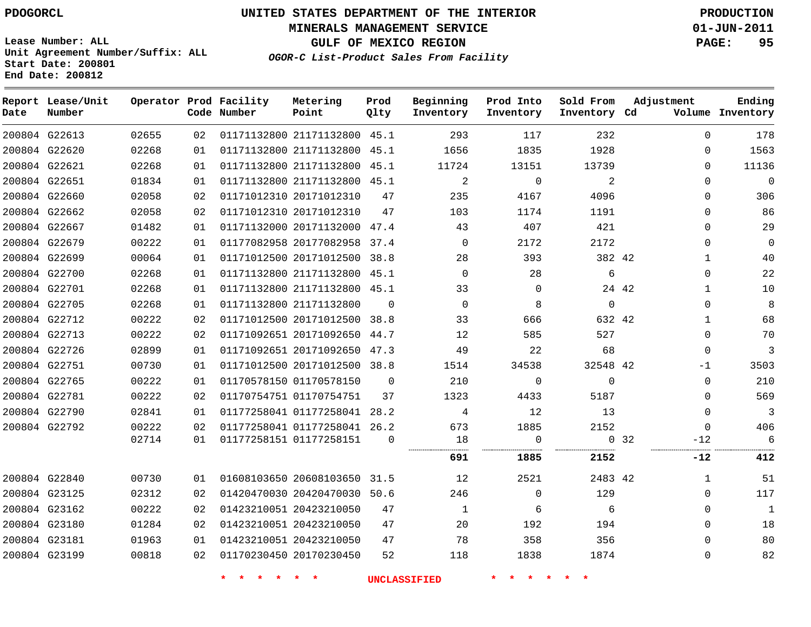# **UNITED STATES DEPARTMENT OF THE INTERIOR PDOGORCL PRODUCTION**

**MINERALS MANAGEMENT SERVICE 01-JUN-2011**

**GULF OF MEXICO REGION PAGE: 95**

**Unit Agreement Number/Suffix: ALL Start Date: 200801 End Date: 200812**

**OGOR-C List-Product Sales From Facility**

| Date | Report Lease/Unit<br>Number |       |    | Operator Prod Facility<br>Code Number | Metering<br>Point            | Prod<br>Qlty | Beginning<br>Inventory | Prod Into<br>Inventory | Sold From<br>Inventory Cd | Adjustment            | Ending<br>Volume Inventory |
|------|-----------------------------|-------|----|---------------------------------------|------------------------------|--------------|------------------------|------------------------|---------------------------|-----------------------|----------------------------|
|      | 200804 G22613               | 02655 | 02 |                                       | 01171132800 21171132800 45.1 |              | 293                    | 117                    | 232                       | $\Omega$              | 178                        |
|      | 200804 G22620               | 02268 | 01 |                                       | 01171132800 21171132800      | 45.1         | 1656                   | 1835                   | 1928                      | $\Omega$              | 1563                       |
|      | 200804 G22621               | 02268 | 01 |                                       | 01171132800 21171132800 45.1 |              | 11724                  | 13151                  | 13739                     | $\Omega$              | 11136                      |
|      | 200804 G22651               | 01834 | 01 |                                       | 01171132800 21171132800 45.1 |              | 2                      | $\mathbf 0$            | 2                         | $\Omega$              | $\mathsf{O}\xspace$        |
|      | 200804 G22660               | 02058 | 02 |                                       | 01171012310 20171012310      | 47           | 235                    | 4167                   | 4096                      | $\Omega$              | 306                        |
|      | 200804 G22662               | 02058 | 02 |                                       | 01171012310 20171012310      | 47           | 103                    | 1174                   | 1191                      | $\Omega$              | 86                         |
|      | 200804 G22667               | 01482 | 01 |                                       | 01171132000 20171132000      | 47.4         | 43                     | 407                    | 421                       | $\Omega$              | 29                         |
|      | 200804 G22679               | 00222 | 01 |                                       | 01177082958 20177082958 37.4 |              | $\Omega$               | 2172                   | 2172                      | $\Omega$              | $\mathbf 0$                |
|      | 200804 G22699               | 00064 | 01 |                                       | 01171012500 20171012500      | 38.8         | 28                     | 393                    | 382 42                    | $\mathbf{1}$          | 40                         |
|      | 200804 G22700               | 02268 | 01 |                                       | 01171132800 21171132800 45.1 |              | $\Omega$               | 28                     | 6                         | $\Omega$              | 22                         |
|      | 200804 G22701               | 02268 | 01 |                                       | 01171132800 21171132800 45.1 |              | 33                     | $\Omega$               |                           | 24 42<br>$\mathbf{1}$ | 10                         |
|      | 200804 G22705               | 02268 | 01 |                                       | 01171132800 21171132800      | $\Omega$     | $\mathbf 0$            | 8                      | $\mathbf 0$               | $\mathbf 0$           | 8                          |
|      | 200804 G22712               | 00222 | 02 |                                       | 01171012500 20171012500      | 38.8         | 33                     | 666                    | 632 42                    | $\mathbf{1}$          | 68                         |
|      | 200804 G22713               | 00222 | 02 |                                       | 01171092651 20171092650      | 44.7         | 12                     | 585                    | 527                       | $\Omega$              | 70                         |
|      | 200804 G22726               | 02899 | 01 |                                       | 01171092651 20171092650 47.3 |              | 49                     | 22                     | 68                        | $\Omega$              | 3                          |
|      | 200804 G22751               | 00730 | 01 |                                       | 01171012500 20171012500      | 38.8         | 1514                   | 34538                  | 32548 42                  | -1                    | 3503                       |
|      | 200804 G22765               | 00222 | 01 |                                       | 01170578150 01170578150      | $\Omega$     | 210                    | $\Omega$               | $\Omega$                  | $\Omega$              | 210                        |
|      | 200804 G22781               | 00222 | 02 |                                       | 01170754751 01170754751      | 37           | 1323                   | 4433                   | 5187                      | $\Omega$              | 569                        |
|      | 200804 G22790               | 02841 | 01 |                                       | 01177258041 01177258041 28.2 |              | 4                      | 12                     | 13                        | $\Omega$              | $\mathbf{3}$               |
|      | 200804 G22792               | 00222 | 02 |                                       | 01177258041 01177258041 26.2 |              | 673                    | 1885                   | 2152                      | $\Omega$              | 406                        |
|      |                             | 02714 | 01 |                                       | 01177258151 01177258151      | $\Omega$     | 18                     | 0                      |                           | 0, 32<br>$-12$        | 6                          |
|      |                             |       |    |                                       |                              |              | 691                    | 1885                   | 2152                      | -12                   | 412                        |
|      | 200804 G22840               | 00730 | 01 |                                       | 01608103650 20608103650 31.5 |              | 12                     | 2521                   | 2483 42                   | $\mathbf{1}$          | 51                         |
|      | 200804 G23125               | 02312 | 02 |                                       | 01420470030 20420470030 50.6 |              | 246                    | $\Omega$               | 129                       | $\Omega$              | 117                        |
|      | 200804 G23162               | 00222 | 02 |                                       | 01423210051 20423210050      | 47           | $\mathbf{1}$           | 6                      | 6                         | $\Omega$              | $\mathbf{1}$               |
|      | 200804 G23180               | 01284 | 02 |                                       | 01423210051 20423210050      | 47           | 20                     | 192                    | 194                       | $\Omega$              | 18                         |
|      | 200804 G23181               | 01963 | 01 |                                       | 01423210051 20423210050      | 47           | 78                     | 358                    | 356                       | $\Omega$              | 80                         |
|      | 200804 G23199               | 00818 | 02 |                                       | 01170230450 20170230450      | 52           | 118                    | 1838                   | 1874                      | $\mathbf 0$           | 82                         |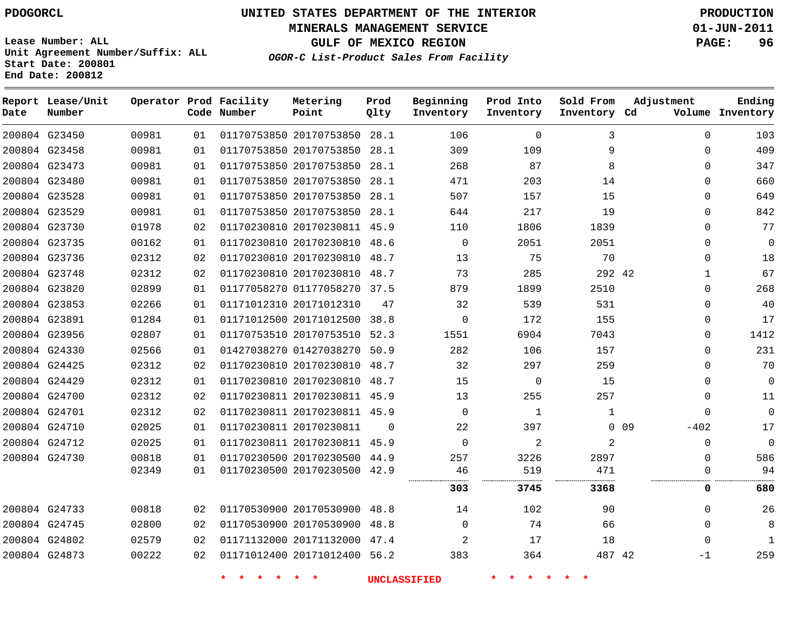**MINERALS MANAGEMENT SERVICE 01-JUN-2011**

**GULF OF MEXICO REGION PAGE: 96**

**Lease Number: ALL Unit Agreement Number/Suffix: ALL Start Date: 200801 End Date: 200812**

**OGOR-C List-Product Sales From Facility**

| Date | Report Lease/Unit<br>Number |       |    | Operator Prod Facility<br>Code Number | Metering<br>Point            | Prod<br>Qlty | Beginning<br>Inventory | Prod Into<br>Inventory | Sold From<br>Inventory Cd | Adjustment                | Ending<br>Volume Inventory |
|------|-----------------------------|-------|----|---------------------------------------|------------------------------|--------------|------------------------|------------------------|---------------------------|---------------------------|----------------------------|
|      | 200804 G23450               | 00981 | 01 |                                       | 01170753850 20170753850      | 28.1         | 106                    | $\mathbf 0$            | 3                         | $\Omega$                  | 103                        |
|      | 200804 G23458               | 00981 | 01 |                                       | 01170753850 20170753850      | 28.1         | 309                    | 109                    | 9                         | $\Omega$                  | 409                        |
|      | 200804 G23473               | 00981 | 01 |                                       | 01170753850 20170753850 28.1 |              | 268                    | 87                     | 8                         | $\Omega$                  | 347                        |
|      | 200804 G23480               | 00981 | 01 |                                       | 01170753850 20170753850      | 28.1         | 471                    | 203                    | 14                        | $\Omega$                  | 660                        |
|      | 200804 G23528               | 00981 | 01 |                                       | 01170753850 20170753850 28.1 |              | 507                    | 157                    | 15                        | $\Omega$                  | 649                        |
|      | 200804 G23529               | 00981 | 01 |                                       | 01170753850 20170753850      | 28.1         | 644                    | 217                    | 19                        | $\Omega$                  | 842                        |
|      | 200804 G23730               | 01978 | 02 |                                       | 01170230810 20170230811 45.9 |              | 110                    | 1806                   | 1839                      | $\Omega$                  | 77                         |
|      | 200804 G23735               | 00162 | 01 |                                       | 01170230810 20170230810      | 48.6         | $\Omega$               | 2051                   | 2051                      | $\Omega$                  | 0                          |
|      | 200804 G23736               | 02312 | 02 |                                       | 01170230810 20170230810      | 48.7         | 13                     | 75                     | 70                        | $\Omega$                  | 18                         |
|      | 200804 G23748               | 02312 | 02 |                                       | 01170230810 20170230810 48.7 |              | 73                     | 285                    | 292 42                    | 1                         | 67                         |
|      | 200804 G23820               | 02899 | 01 |                                       | 01177058270 01177058270 37.5 |              | 879                    | 1899                   | 2510                      | $\Omega$                  | 268                        |
|      | 200804 G23853               | 02266 | 01 |                                       | 01171012310 20171012310      | 47           | 32                     | 539                    | 531                       | $\Omega$                  | 40                         |
|      | 200804 G23891               | 01284 | 01 |                                       | 01171012500 20171012500 38.8 |              | 0                      | 172                    | 155                       | $\Omega$                  | 17                         |
|      | 200804 G23956               | 02807 | 01 |                                       | 01170753510 20170753510 52.3 |              | 1551                   | 6904                   | 7043                      | $\Omega$                  | 1412                       |
|      | 200804 G24330               | 02566 | 01 |                                       | 01427038270 01427038270 50.9 |              | 282                    | 106                    | 157                       | $\Omega$                  | 231                        |
|      | 200804 G24425               | 02312 | 02 |                                       | 01170230810 20170230810 48.7 |              | 32                     | 297                    | 259                       | $\Omega$                  | 70                         |
|      | 200804 G24429               | 02312 | 01 |                                       | 01170230810 20170230810 48.7 |              | 15                     | 0                      | 15                        | $\Omega$                  | 0                          |
|      | 200804 G24700               | 02312 | 02 |                                       | 01170230811 20170230811 45.9 |              | 13                     | 255                    | 257                       | $\Omega$                  | 11                         |
|      | 200804 G24701               | 02312 | 02 |                                       | 01170230811 20170230811 45.9 |              | $\mathbf 0$            | 1                      | 1                         | $\Omega$                  | 0                          |
|      | 200804 G24710               | 02025 | 01 |                                       | 01170230811 20170230811      | $\Omega$     | 22                     | 397                    |                           | 0 <sub>09</sub><br>$-402$ | 17                         |
|      | 200804 G24712               | 02025 | 01 |                                       | 01170230811 20170230811 45.9 |              | $\Omega$               | 2                      | 2                         | $\mathbf 0$               | $\mathbf 0$                |
|      | 200804 G24730               | 00818 | 01 |                                       | 01170230500 20170230500 44.9 |              | 257                    | 3226                   | 2897                      | $\Omega$                  | 586                        |
|      |                             | 02349 | 01 |                                       | 01170230500 20170230500 42.9 |              | 46                     | 519                    | 471                       | 0                         | 94                         |
|      |                             |       |    |                                       |                              |              | 303                    | 3745                   | 3368                      | 0                         | 680                        |
|      | 200804 G24733               | 00818 | 02 |                                       | 01170530900 20170530900 48.8 |              | 14                     | 102                    | 90                        | $\Omega$                  | 26                         |
|      | 200804 G24745               | 02800 | 02 |                                       | 01170530900 20170530900      | 48.8         | $\Omega$               | 74                     | 66                        | $\Omega$                  | 8                          |
|      | 200804 G24802               | 02579 | 02 |                                       | 01171132000 20171132000      | 47.4         | 2                      | 17                     | 18                        | $\Omega$                  | $\mathbf{1}$               |
|      | 200804 G24873               | 00222 | 02 |                                       | 01171012400 20171012400 56.2 |              | 383                    | 364                    | 487 42                    | -1                        | 259                        |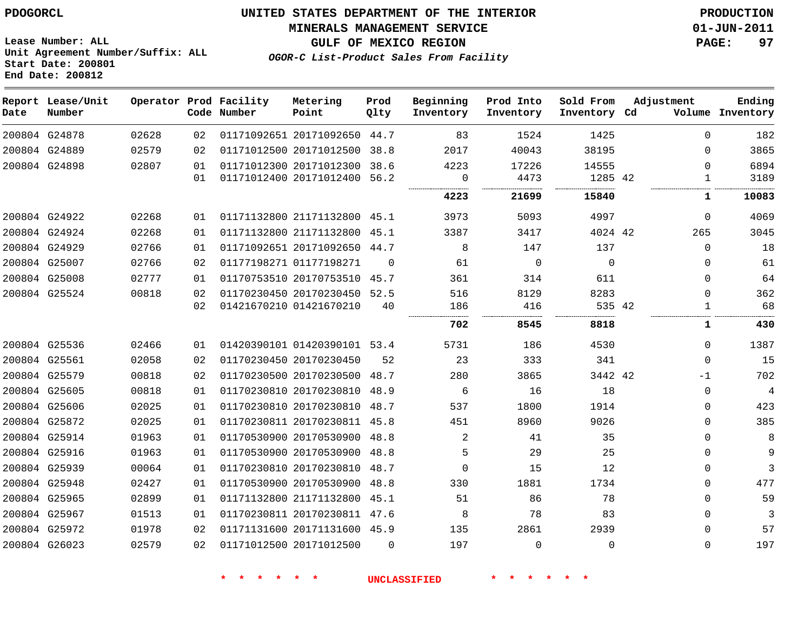**MINERALS MANAGEMENT SERVICE 01-JUN-2011**

**Lease Number: ALL Unit Agreement Number/Suffix: ALL Start Date: 200801 End Date: 200812**

**OGOR-C List-Product Sales From Facility**

**GULF OF MEXICO REGION PAGE: 97**

| Date | Report Lease/Unit<br>Number |       |    | Operator Prod Facility<br>Code Number | Metering<br>Point            | Prod<br>Qlty | Beginning<br>Inventory | Prod Into<br>Inventory | Sold From<br>Inventory Cd | Adjustment  | Ending<br>Volume Inventory |
|------|-----------------------------|-------|----|---------------------------------------|------------------------------|--------------|------------------------|------------------------|---------------------------|-------------|----------------------------|
|      | 200804 G24878               | 02628 | 02 |                                       | 01171092651 20171092650 44.7 |              | 83                     | 1524                   | 1425                      | $\Omega$    | 182                        |
|      | 200804 G24889               | 02579 | 02 |                                       | 01171012500 20171012500      | 38.8         | 2017                   | 40043                  | 38195                     | $\mathbf 0$ | 3865                       |
|      | 200804 G24898               | 02807 | 01 |                                       | 01171012300 20171012300      | 38.6         | 4223                   | 17226                  | 14555                     | $\Omega$    | 6894                       |
|      |                             |       | 01 |                                       | 01171012400 20171012400      | 56.2         | 0<br>                  | 4473                   | 1285 42<br>               | 1<br>.      | 3189                       |
|      |                             |       |    |                                       |                              |              | 4223                   | 21699                  | 15840                     | 1           | 10083                      |
|      | 200804 G24922               | 02268 | 01 |                                       | 01171132800 21171132800      | 45.1         | 3973                   | 5093                   | 4997                      | $\Omega$    | 4069                       |
|      | 200804 G24924               | 02268 | 01 |                                       | 01171132800 21171132800      | 45.1         | 3387                   | 3417                   | 4024 42                   | 265         | 3045                       |
|      | 200804 G24929               | 02766 | 01 |                                       | 01171092651 20171092650      | 44.7         | 8                      | 147                    | 137                       | $\Omega$    | 18                         |
|      | 200804 G25007               | 02766 | 02 |                                       | 01177198271 01177198271      | $\Omega$     | 61                     | $\Omega$               | $\Omega$                  | $\Omega$    | 61                         |
|      | 200804 G25008               | 02777 | 01 |                                       | 01170753510 20170753510      | 45.7         | 361                    | 314                    | 611                       | $\mathbf 0$ | 64                         |
|      | 200804 G25524               | 00818 | 02 |                                       | 01170230450 20170230450      | 52.5         | 516                    | 8129                   | 8283                      | $\mathbf 0$ | 362                        |
|      |                             |       | 02 |                                       | 01421670210 01421670210      | 40           | 186                    | 416                    | 535 42                    | 1           | 68                         |
|      |                             |       |    |                                       |                              |              | 702                    | 8545                   | 8818                      | 1           | 430                        |
|      | 200804 G25536               | 02466 | 01 |                                       | 01420390101 01420390101 53.4 |              | 5731                   | 186                    | 4530                      | $\mathbf 0$ | 1387                       |
|      | 200804 G25561               | 02058 | 02 |                                       | 01170230450 20170230450      | 52           | 23                     | 333                    | 341                       | $\Omega$    | 15                         |
|      | 200804 G25579               | 00818 | 02 |                                       | 01170230500 20170230500      | 48.7         | 280                    | 3865                   | 3442 42                   | -1          | 702                        |
|      | 200804 G25605               | 00818 | 01 |                                       | 01170230810 20170230810      | 48.9         | 6                      | 16                     | 18                        | $\mathbf 0$ | 4                          |
|      | 200804 G25606               | 02025 | 01 |                                       | 01170230810 20170230810      | 48.7         | 537                    | 1800                   | 1914                      | 0           | 423                        |
|      | 200804 G25872               | 02025 | 01 |                                       | 01170230811 20170230811      | 45.8         | 451                    | 8960                   | 9026                      | $\mathbf 0$ | 385                        |
|      | 200804 G25914               | 01963 | 01 |                                       | 01170530900 20170530900 48.8 |              | 2                      | 41                     | 35                        | $\Omega$    | 8                          |
|      | 200804 G25916               | 01963 | 01 |                                       | 01170530900 20170530900      | 48.8         | 5                      | 29                     | 25                        | $\mathbf 0$ | 9                          |
|      | 200804 G25939               | 00064 | 01 |                                       | 01170230810 20170230810      | 48.7         | $\Omega$               | 15                     | 12                        | 0           | 3                          |
|      | 200804 G25948               | 02427 | 01 |                                       | 01170530900 20170530900      | 48.8         | 330                    | 1881                   | 1734                      | $\mathbf 0$ | 477                        |
|      | 200804 G25965               | 02899 | 01 |                                       | 01171132800 21171132800 45.1 |              | 51                     | 86                     | 78                        | $\mathbf 0$ | 59                         |
|      | 200804 G25967               | 01513 | 01 |                                       | 01170230811 20170230811 47.6 |              | 8                      | 78                     | 83                        | $\mathbf 0$ | 3                          |
|      | 200804 G25972               | 01978 | 02 |                                       | 01171131600 20171131600 45.9 |              | 135                    | 2861                   | 2939                      | $\Omega$    | 57                         |
|      | 200804 G26023               | 02579 | 02 |                                       | 01171012500 20171012500      | $\Omega$     | 197                    | $\Omega$               | $\Omega$                  | $\Omega$    | 197                        |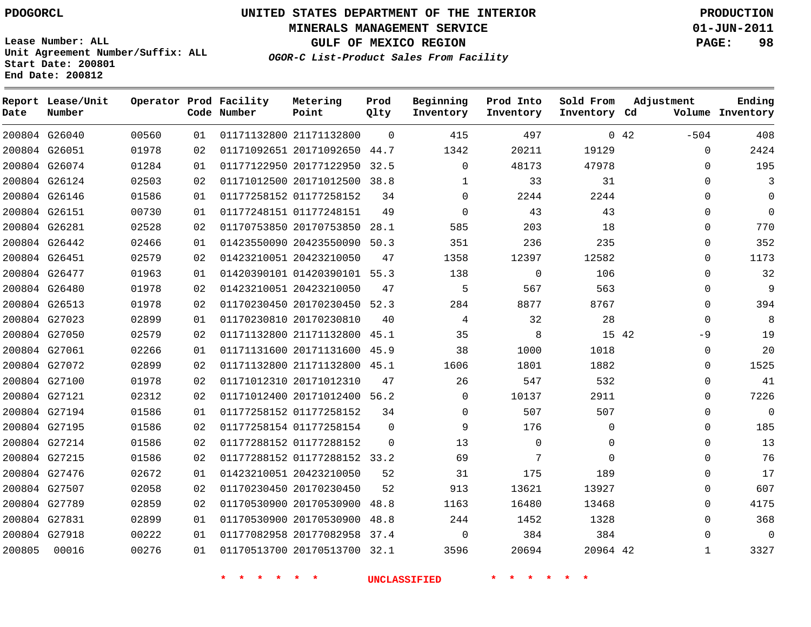**Start Date: 200801 End Date: 200812**

**Unit Agreement Number/Suffix: ALL**

# **UNITED STATES DEPARTMENT OF THE INTERIOR PDOGORCL PRODUCTION**

**MINERALS MANAGEMENT SERVICE 01-JUN-2011**

**GULF OF MEXICO REGION PAGE: 98**

**OGOR-C List-Product Sales From Facility**

| Date   | Report Lease/Unit<br>Number |       |    | Operator Prod Facility<br>Code Number | Metering<br>Point            | Prod<br>Qlty | Beginning<br>Inventory | Prod Into<br>Inventory | Sold From<br>Inventory Cd | Adjustment     | Ending<br>Volume Inventory |
|--------|-----------------------------|-------|----|---------------------------------------|------------------------------|--------------|------------------------|------------------------|---------------------------|----------------|----------------------------|
|        | 200804 G26040               | 00560 | 01 |                                       | 01171132800 21171132800      | $\Omega$     | 415                    | 497                    |                           | 0.42<br>$-504$ | 408                        |
|        | 200804 G26051               | 01978 | 02 |                                       | 01171092651 20171092650      | 44.7         | 1342                   | 20211                  | 19129                     | $\Omega$       | 2424                       |
|        | 200804 G26074               | 01284 | 01 |                                       | 01177122950 20177122950      | 32.5         | $\Omega$               | 48173                  | 47978                     | $\mathbf 0$    | 195                        |
|        | 200804 G26124               | 02503 | 02 |                                       | 01171012500 20171012500      | 38.8         | 1                      | 33                     | 31                        | $\mathbf 0$    | 3                          |
|        | 200804 G26146               | 01586 | 01 |                                       | 01177258152 01177258152      | 34           | $\mathbf 0$            | 2244                   | 2244                      | 0              | $\mathbf 0$                |
|        | 200804 G26151               | 00730 | 01 |                                       | 01177248151 01177248151      | 49           | $\mathbf 0$            | 43                     | 43                        | $\mathbf 0$    | $\Omega$                   |
|        | 200804 G26281               | 02528 | 02 |                                       | 01170753850 20170753850      | 28.1         | 585                    | 203                    | 18                        | $\mathbf 0$    | 770                        |
|        | 200804 G26442               | 02466 | 01 |                                       | 01423550090 20423550090      | 50.3         | 351                    | 236                    | 235                       | $\mathbf 0$    | 352                        |
|        | 200804 G26451               | 02579 | 02 |                                       | 01423210051 20423210050      | 47           | 1358                   | 12397                  | 12582                     | $\Omega$       | 1173                       |
|        | 200804 G26477               | 01963 | 01 |                                       | 01420390101 01420390101 55.3 |              | 138                    | $\Omega$               | 106                       | $\mathbf 0$    | 32                         |
|        | 200804 G26480               | 01978 | 02 |                                       | 01423210051 20423210050      | 47           | 5                      | 567                    | 563                       | 0              | $\mathsf 9$                |
|        | 200804 G26513               | 01978 | 02 |                                       | 01170230450 20170230450      | 52.3         | 284                    | 8877                   | 8767                      | $\mathbf 0$    | 394                        |
|        | 200804 G27023               | 02899 | 01 |                                       | 01170230810 20170230810      | 40           | 4                      | 32                     | 28                        | $\mathbf 0$    | 8                          |
|        | 200804 G27050               | 02579 | 02 |                                       | 01171132800 21171132800      | 45.1         | 35                     | 8                      | 15 42                     | $-9$           | 19                         |
|        | 200804 G27061               | 02266 | 01 |                                       | 01171131600 20171131600      | 45.9         | 38                     | 1000                   | 1018                      | $\Omega$       | 20                         |
|        | 200804 G27072               | 02899 | 02 |                                       | 01171132800 21171132800 45.1 |              | 1606                   | 1801                   | 1882                      | 0              | 1525                       |
|        | 200804 G27100               | 01978 | 02 |                                       | 01171012310 20171012310      | 47           | 26                     | 547                    | 532                       | 0              | 41                         |
|        | 200804 G27121               | 02312 | 02 |                                       | 01171012400 20171012400 56.2 |              | $\mathbf 0$            | 10137                  | 2911                      | 0              | 7226                       |
|        | 200804 G27194               | 01586 | 01 |                                       | 01177258152 01177258152      | 34           | $\mathbf 0$            | 507                    | 507                       | $\mathbf 0$    | $\mathbf 0$                |
|        | 200804 G27195               | 01586 | 02 |                                       | 01177258154 01177258154      | $\mathbf 0$  | 9                      | 176                    | $\mathbf 0$               | 0              | 185                        |
|        | 200804 G27214               | 01586 | 02 |                                       | 01177288152 01177288152      | $\Omega$     | 13                     | $\mathbf 0$            | $\mathbf 0$               | $\mathbf 0$    | 13                         |
|        | 200804 G27215               | 01586 | 02 |                                       | 01177288152 01177288152 33.2 |              | 69                     | 7                      | $\Omega$                  | $\Omega$       | 76                         |
|        | 200804 G27476               | 02672 | 01 |                                       | 01423210051 20423210050      | 52           | 31                     | 175                    | 189                       | $\mathbf 0$    | 17                         |
|        | 200804 G27507               | 02058 | 02 |                                       | 01170230450 20170230450      | 52           | 913                    | 13621                  | 13927                     | $\mathbf 0$    | 607                        |
|        | 200804 G27789               | 02859 | 02 |                                       | 01170530900 20170530900      | 48.8         | 1163                   | 16480                  | 13468                     | $\mathbf 0$    | 4175                       |
|        | 200804 G27831               | 02899 | 01 |                                       | 01170530900 20170530900      | 48.8         | 244                    | 1452                   | 1328                      | 0              | 368                        |
|        | 200804 G27918               | 00222 | 01 |                                       | 01177082958 20177082958      | 37.4         | $\Omega$               | 384                    | 384                       | $\mathbf{0}$   | $\mathbf 0$                |
| 200805 | 00016                       | 00276 | 01 |                                       | 01170513700 20170513700      | 32.1         | 3596                   | 20694                  | 20964 42                  | $\mathbf{1}$   | 3327                       |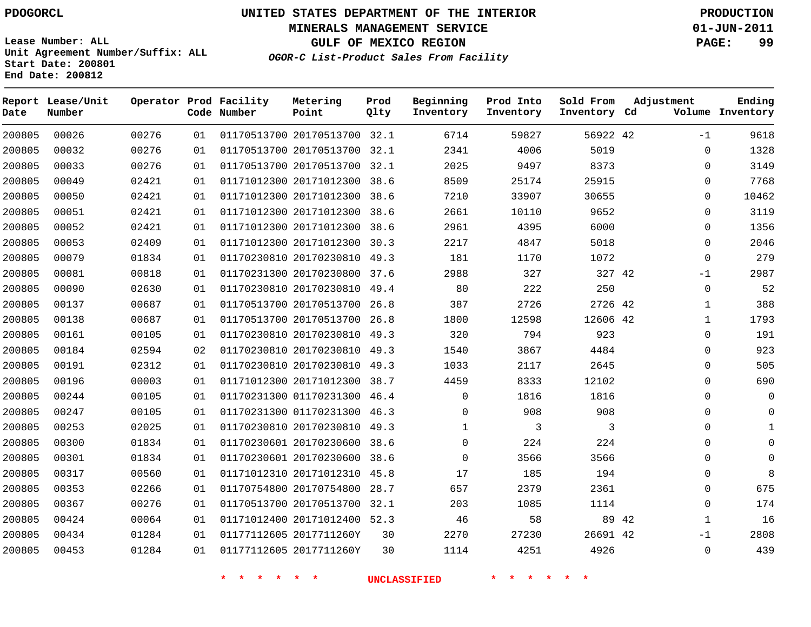**Start Date: 200801 End Date: 200812**

**Unit Agreement Number/Suffix: ALL**

# **UNITED STATES DEPARTMENT OF THE INTERIOR PDOGORCL PRODUCTION**

**MINERALS MANAGEMENT SERVICE 01-JUN-2011**

**GULF OF MEXICO REGION PAGE: 99**

**OGOR-C List-Product Sales From Facility**

| Date   | Report Lease/Unit<br>Number |       |    | Operator Prod Facility<br>Code Number | Metering<br>Point            | Prod<br>Qlty | Beginning<br>Inventory | Prod Into<br>Inventory | Sold From<br>Inventory Cd |       | Adjustment   | Ending<br>Volume Inventory |
|--------|-----------------------------|-------|----|---------------------------------------|------------------------------|--------------|------------------------|------------------------|---------------------------|-------|--------------|----------------------------|
| 200805 | 00026                       | 00276 | 01 |                                       | 01170513700 20170513700 32.1 |              | 6714                   | 59827                  | 56922 42                  |       | $-1$         | 9618                       |
| 200805 | 00032                       | 00276 | 01 |                                       | 01170513700 20170513700      | 32.1         | 2341                   | 4006                   | 5019                      |       | $\Omega$     | 1328                       |
| 200805 | 00033                       | 00276 | 01 |                                       | 01170513700 20170513700 32.1 |              | 2025                   | 9497                   | 8373                      |       | $\Omega$     | 3149                       |
| 200805 | 00049                       | 02421 | 01 |                                       | 01171012300 20171012300      | 38.6         | 8509                   | 25174                  | 25915                     |       | 0            | 7768                       |
| 200805 | 00050                       | 02421 | 01 |                                       | 01171012300 20171012300      | 38.6         | 7210                   | 33907                  | 30655                     |       | $\Omega$     | 10462                      |
| 200805 | 00051                       | 02421 | 01 |                                       | 01171012300 20171012300      | 38.6         | 2661                   | 10110                  | 9652                      |       | $\Omega$     | 3119                       |
| 200805 | 00052                       | 02421 | 01 |                                       | 01171012300 20171012300      | 38.6         | 2961                   | 4395                   | 6000                      |       | $\Omega$     | 1356                       |
| 200805 | 00053                       | 02409 | 01 |                                       | 01171012300 20171012300      | 30.3         | 2217                   | 4847                   | 5018                      |       | $\Omega$     | 2046                       |
| 200805 | 00079                       | 01834 | 01 |                                       | 01170230810 20170230810      | 49.3         | 181                    | 1170                   | 1072                      |       | $\Omega$     | 279                        |
| 200805 | 00081                       | 00818 | 01 |                                       | 01170231300 20170230800      | 37.6         | 2988                   | 327                    | 327 42                    |       | $-1$         | 2987                       |
| 200805 | 00090                       | 02630 | 01 |                                       | 01170230810 20170230810      | 49.4         | 80                     | 222                    | 250                       |       | $\Omega$     | 52                         |
| 200805 | 00137                       | 00687 | 01 |                                       | 01170513700 20170513700      | 26.8         | 387                    | 2726                   | 2726 42                   |       | $\mathbf{1}$ | 388                        |
| 200805 | 00138                       | 00687 | 01 |                                       | 01170513700 20170513700      | 26.8         | 1800                   | 12598                  | 12606 42                  |       | $\mathbf{1}$ | 1793                       |
| 200805 | 00161                       | 00105 | 01 |                                       | 01170230810 20170230810      | 49.3         | 320                    | 794                    | 923                       |       | $\Omega$     | 191                        |
| 200805 | 00184                       | 02594 | 02 |                                       | 01170230810 20170230810      | 49.3         | 1540                   | 3867                   | 4484                      |       | 0            | 923                        |
| 200805 | 00191                       | 02312 | 01 |                                       | 01170230810 20170230810      | 49.3         | 1033                   | 2117                   | 2645                      |       | 0            | 505                        |
| 200805 | 00196                       | 00003 | 01 |                                       | 01171012300 20171012300      | 38.7         | 4459                   | 8333                   | 12102                     |       | $\Omega$     | 690                        |
| 200805 | 00244                       | 00105 | 01 |                                       | 01170231300 01170231300      | 46.4         | $\Omega$               | 1816                   | 1816                      |       | 0            | $\overline{0}$             |
| 200805 | 00247                       | 00105 | 01 |                                       | 01170231300 01170231300      | 46.3         | $\mathbf 0$            | 908                    | 908                       |       | 0            | $\mathbf 0$                |
| 200805 | 00253                       | 02025 | 01 |                                       | 01170230810 20170230810      | 49.3         | $\mathbf{1}$           | 3                      | 3                         |       | $\Omega$     | $\mathbf{1}$               |
| 200805 | 00300                       | 01834 | 01 |                                       | 01170230601 20170230600      | 38.6         | $\mathbf 0$            | 224                    | 224                       |       | $\Omega$     | $\mathbf 0$                |
| 200805 | 00301                       | 01834 | 01 |                                       | 01170230601 20170230600      | 38.6         | $\Omega$               | 3566                   | 3566                      |       | $\Omega$     | $\Omega$                   |
| 200805 | 00317                       | 00560 | 01 |                                       | 01171012310 20171012310      | 45.8         | 17                     | 185                    | 194                       |       | $\Omega$     | 8                          |
| 200805 | 00353                       | 02266 | 01 |                                       | 01170754800 20170754800      | 28.7         | 657                    | 2379                   | 2361                      |       | $\Omega$     | 675                        |
| 200805 | 00367                       | 00276 | 01 |                                       | 01170513700 20170513700      | 32.1         | 203                    | 1085                   | 1114                      |       | $\Omega$     | 174                        |
| 200805 | 00424                       | 00064 | 01 |                                       | 01171012400 20171012400      | 52.3         | 46                     | 58                     |                           | 89 42 | 1            | 16                         |
| 200805 | 00434                       | 01284 | 01 |                                       | 01177112605 2017711260Y      | 30           | 2270                   | 27230                  | 26691 42                  |       | $-1$         | 2808                       |
| 200805 | 00453                       | 01284 | 01 |                                       | 01177112605 2017711260Y      | 30           | 1114                   | 4251                   | 4926                      |       | $\Omega$     | 439                        |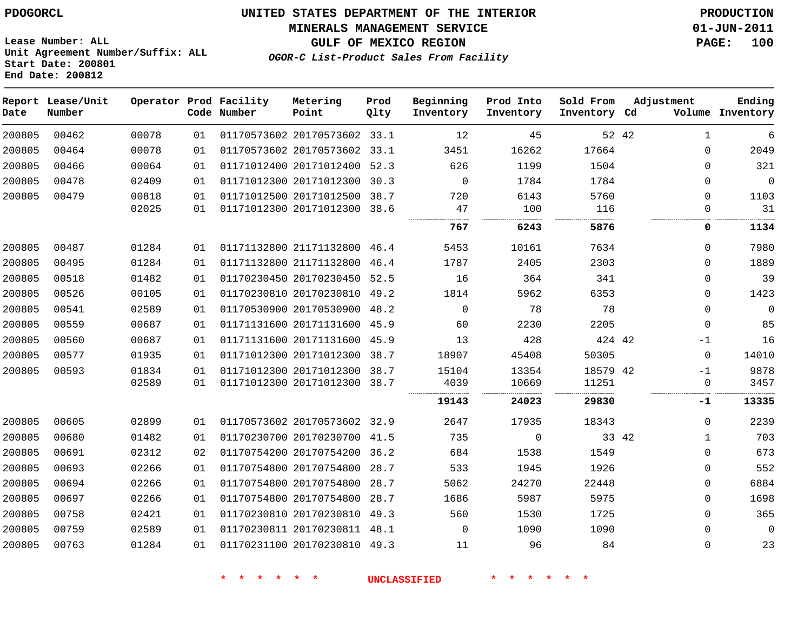#### **MINERALS MANAGEMENT SERVICE 01-JUN-2011**

**GULF OF MEXICO REGION PAGE: 100**

**Lease Number: ALL Unit Agreement Number/Suffix: ALL Start Date: 200801 End Date: 200812**

**OGOR-C List-Product Sales From Facility**

| Date   | Report Lease/Unit<br>Number |       |    | Operator Prod Facility<br>Code Number | Metering<br>Point            | Prod<br>Qlty | Beginning<br>Inventory | Prod Into<br>Inventory | Sold From<br>Inventory Cd | Adjustment |              | Ending<br>Volume Inventory |
|--------|-----------------------------|-------|----|---------------------------------------|------------------------------|--------------|------------------------|------------------------|---------------------------|------------|--------------|----------------------------|
| 200805 | 00462                       | 00078 | 01 |                                       | 01170573602 20170573602 33.1 |              | 12                     | 45                     |                           | 52 42      | $\mathbf{1}$ | 6                          |
| 200805 | 00464                       | 00078 | 01 |                                       | 01170573602 20170573602 33.1 |              | 3451                   | 16262                  | 17664                     |            | $\Omega$     | 2049                       |
| 200805 | 00466                       | 00064 | 01 |                                       | 01171012400 20171012400 52.3 |              | 626                    | 1199                   | 1504                      |            | $\Omega$     | 321                        |
| 200805 | 00478                       | 02409 | 01 |                                       | 01171012300 20171012300 30.3 |              | $\mathbf 0$            | 1784                   | 1784                      |            | $\Omega$     | $\mathbf 0$                |
| 200805 | 00479                       | 00818 | 01 |                                       | 01171012500 20171012500      | 38.7         | 720                    | 6143                   | 5760                      |            | $\Omega$     | 1103                       |
|        |                             | 02025 | 01 |                                       | 01171012300 20171012300      | 38.6         | 47                     | 100                    | 116                       |            | $\Omega$     | 31                         |
|        |                             |       |    |                                       |                              |              | 767                    | 6243                   | 5876                      |            | 0            | 1134                       |
| 200805 | 00487                       | 01284 | 01 |                                       | 01171132800 21171132800      | 46.4         | 5453                   | 10161                  | 7634                      |            | $\Omega$     | 7980                       |
| 200805 | 00495                       | 01284 | 01 |                                       | 01171132800 21171132800      | 46.4         | 1787                   | 2405                   | 2303                      |            | 0            | 1889                       |
| 200805 | 00518                       | 01482 | 01 |                                       | 01170230450 20170230450 52.5 |              | 16                     | 364                    | 341                       |            | $\Omega$     | 39                         |
| 200805 | 00526                       | 00105 | 01 |                                       | 01170230810 20170230810 49.2 |              | 1814                   | 5962                   | 6353                      |            | $\Omega$     | 1423                       |
| 200805 | 00541                       | 02589 | 01 |                                       | 01170530900 20170530900      | 48.2         | 0                      | 78                     | 78                        |            | $\Omega$     | 0                          |
| 200805 | 00559                       | 00687 | 01 |                                       | 01171131600 20171131600 45.9 |              | 60                     | 2230                   | 2205                      |            | 0            | 85                         |
| 200805 | 00560                       | 00687 | 01 |                                       | 01171131600 20171131600      | 45.9         | 13                     | 428                    | 424 42                    |            | $-1$         | 16                         |
| 200805 | 00577                       | 01935 | 01 |                                       | 01171012300 20171012300 38.7 |              | 18907                  | 45408                  | 50305                     |            | $\Omega$     | 14010                      |
| 200805 | 00593                       | 01834 | 01 |                                       | 01171012300 20171012300 38.7 |              | 15104                  | 13354                  | 18579 42                  |            | $-1$         | 9878                       |
|        |                             | 02589 | 01 |                                       | 01171012300 20171012300 38.7 |              | 4039                   | 10669                  | 11251                     |            | 0            | 3457                       |
|        |                             |       |    |                                       |                              |              | 19143                  | 24023                  | 29830                     |            | -1           | 13335                      |
| 200805 | 00605                       | 02899 | 01 |                                       | 01170573602 20170573602 32.9 |              | 2647                   | 17935                  | 18343                     |            | 0            | 2239                       |
| 200805 | 00680                       | 01482 | 01 |                                       | 01170230700 20170230700 41.5 |              | 735                    | 0                      | 33 42                     |            | $\mathbf{1}$ | 703                        |
| 200805 | 00691                       | 02312 | 02 |                                       | 01170754200 20170754200 36.2 |              | 684                    | 1538                   | 1549                      |            | $\Omega$     | 673                        |
| 200805 | 00693                       | 02266 | 01 |                                       | 01170754800 20170754800      | 28.7         | 533                    | 1945                   | 1926                      |            | $\Omega$     | 552                        |
| 200805 | 00694                       | 02266 | 01 |                                       | 01170754800 20170754800      | 28.7         | 5062                   | 24270                  | 22448                     |            | $\Omega$     | 6884                       |
| 200805 | 00697                       | 02266 | 01 |                                       | 01170754800 20170754800      | 28.7         | 1686                   | 5987                   | 5975                      |            | $\Omega$     | 1698                       |
| 200805 | 00758                       | 02421 | 01 |                                       | 01170230810 20170230810 49.3 |              | 560                    | 1530                   | 1725                      |            | $\Omega$     | 365                        |
| 200805 | 00759                       | 02589 | 01 |                                       | 01170230811 20170230811 48.1 |              | 0                      | 1090                   | 1090                      |            | $\Omega$     | 0                          |
| 200805 | 00763                       | 01284 | 01 |                                       | 01170231100 20170230810 49.3 |              | 11                     | 96                     | 84                        |            | 0            | 23                         |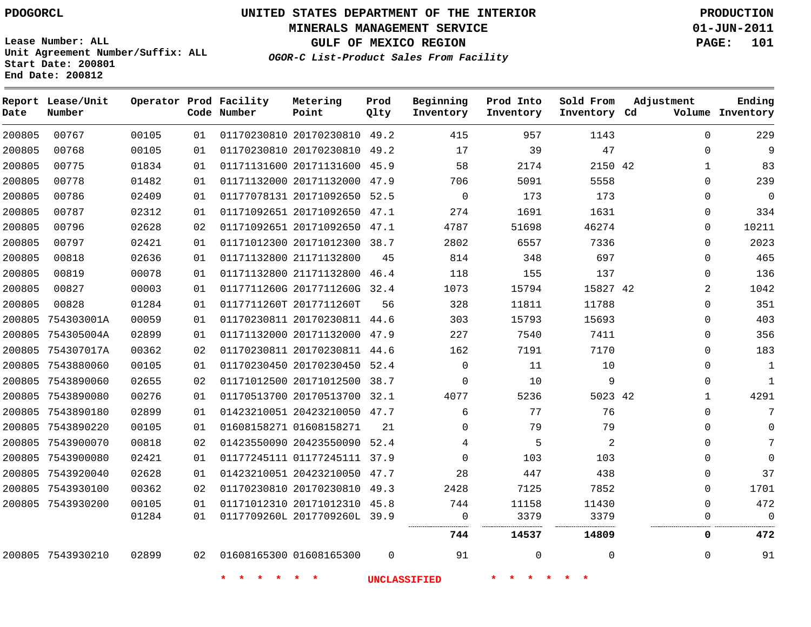**MINERALS MANAGEMENT SERVICE 01-JUN-2011**

**GULF OF MEXICO REGION PAGE: 101**

**Lease Number: ALL Unit Agreement Number/Suffix: ALL Start Date: 200801 End Date: 200812**

**OGOR-C List-Product Sales From Facility**

| Date   | Report Lease/Unit<br>Number |       |    | Operator Prod Facility<br>Code Number | Metering<br>Point            | Prod<br>Qlty | Beginning<br>Inventory | Prod Into<br>Inventory | Sold From<br>Inventory Cd | Adjustment     | Ending<br>Volume Inventory |
|--------|-----------------------------|-------|----|---------------------------------------|------------------------------|--------------|------------------------|------------------------|---------------------------|----------------|----------------------------|
| 200805 | 00767                       | 00105 | 01 |                                       | 01170230810 20170230810 49.2 |              | 415                    | 957                    | 1143                      | $\Omega$       | 229                        |
| 200805 | 00768                       | 00105 | 01 |                                       | 01170230810 20170230810 49.2 |              | 17                     | 39                     | 47                        | $\Omega$       | 9                          |
| 200805 | 00775                       | 01834 | 01 |                                       | 01171131600 20171131600 45.9 |              | 58                     | 2174                   | 2150 42                   | $\mathbf 1$    | 83                         |
| 200805 | 00778                       | 01482 | 01 |                                       | 01171132000 20171132000 47.9 |              | 706                    | 5091                   | 5558                      | $\Omega$       | 239                        |
| 200805 | 00786                       | 02409 | 01 |                                       | 01177078131 20171092650 52.5 |              | $\Omega$               | 173                    | 173                       | 0              | $\Omega$                   |
| 200805 | 00787                       | 02312 | 01 |                                       | 01171092651 20171092650 47.1 |              | 274                    | 1691                   | 1631                      | 0              | 334                        |
| 200805 | 00796                       | 02628 | 02 |                                       | 01171092651 20171092650 47.1 |              | 4787                   | 51698                  | 46274                     | $\mathbf 0$    | 10211                      |
| 200805 | 00797                       | 02421 | 01 |                                       | 01171012300 20171012300 38.7 |              | 2802                   | 6557                   | 7336                      | $\mathbf 0$    | 2023                       |
| 200805 | 00818                       | 02636 | 01 |                                       | 01171132800 21171132800      | 45           | 814                    | 348                    | 697                       | $\Omega$       | 465                        |
| 200805 | 00819                       | 00078 | 01 |                                       | 01171132800 21171132800      | 46.4         | 118                    | 155                    | 137                       | 0              | 136                        |
| 200805 | 00827                       | 00003 | 01 |                                       | 0117711260G 2017711260G 32.4 |              | 1073                   | 15794                  | 15827 42                  | $\overline{a}$ | 1042                       |
| 200805 | 00828                       | 01284 | 01 |                                       | 0117711260T 2017711260T      | 56           | 328                    | 11811                  | 11788                     | $\Omega$       | 351                        |
| 200805 | 754303001A                  | 00059 | 01 |                                       | 01170230811 20170230811 44.6 |              | 303                    | 15793                  | 15693                     | 0              | 403                        |
|        | 200805 754305004A           | 02899 | 01 |                                       | 01171132000 20171132000 47.9 |              | 227                    | 7540                   | 7411                      | $\mathbf 0$    | 356                        |
|        | 200805 754307017A           | 00362 | 02 |                                       | 01170230811 20170230811 44.6 |              | 162                    | 7191                   | 7170                      | 0              | 183                        |
|        | 200805 7543880060           | 00105 | 01 |                                       | 01170230450 20170230450 52.4 |              | $\Omega$               | 11                     | 10                        | $\Omega$       | $\mathbf{1}$               |
|        | 200805 7543890060           | 02655 | 02 |                                       | 01171012500 20171012500 38.7 |              | $\Omega$               | 10                     | 9                         | 0              | $\mathbf{1}$               |
|        | 200805 7543890080           | 00276 | 01 |                                       | 01170513700 20170513700 32.1 |              | 4077                   | 5236                   | 5023 42                   | 1              | 4291                       |
|        | 200805 7543890180           | 02899 | 01 |                                       | 01423210051 20423210050 47.7 |              | 6                      | 77                     | 76                        | $\Omega$       | 7                          |
|        | 200805 7543890220           | 00105 | 01 |                                       | 01608158271 01608158271      | 21           | $\mathbf 0$            | 79                     | 79                        | 0              | $\Omega$                   |
|        | 200805 7543900070           | 00818 | 02 |                                       | 01423550090 20423550090 52.4 |              | 4                      | 5                      | $\overline{a}$            | $\Omega$       | 7                          |
|        | 200805 7543900080           | 02421 | 01 |                                       | 01177245111 01177245111 37.9 |              | $\Omega$               | 103                    | 103                       | 0              | $\Omega$                   |
|        | 200805 7543920040           | 02628 | 01 |                                       | 01423210051 20423210050 47.7 |              | 28                     | 447                    | 438                       | 0              | 37                         |
|        | 200805 7543930100           | 00362 | 02 |                                       | 01170230810 20170230810 49.3 |              | 2428                   | 7125                   | 7852                      | 0              | 1701                       |
|        | 200805 7543930200           | 00105 | 01 |                                       | 01171012310 20171012310 45.8 |              | 744                    | 11158                  | 11430                     | $\Omega$       | 472                        |
|        |                             | 01284 | 01 |                                       | 0117709260L 2017709260L 39.9 |              | $\mathsf{O}$           | 3379                   | 3379                      | $\mathbf 0$    | $\Omega$                   |
|        |                             |       |    |                                       |                              |              | 744                    | 14537                  | 14809                     | 0              | 472                        |
|        | 200805 7543930210           | 02899 | 02 |                                       | 01608165300 01608165300      | $\Omega$     | 91                     | 0                      | $\Omega$                  | $\Omega$       | 91                         |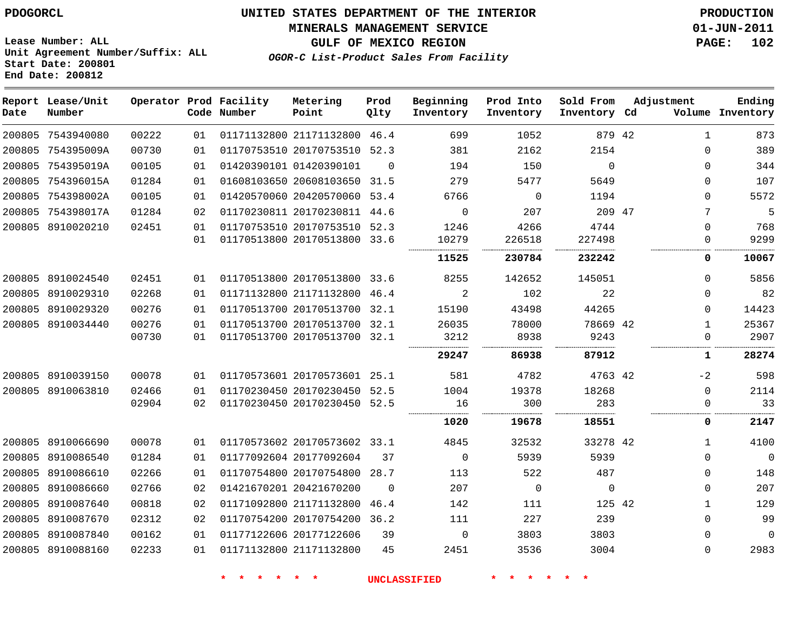**Report Lease/Unit**

# **UNITED STATES DEPARTMENT OF THE INTERIOR PDOGORCL PRODUCTION**

#### **MINERALS MANAGEMENT SERVICE 01-JUN-2011**

**GULF OF MEXICO REGION PAGE: 102**

**Lease Number: ALL Unit Agreement Number/Suffix: ALL Start Date: 200801 End Date: 200812**

**Operator Prod Facility**

**OGOR-C List-Product Sales From Facility**

**Prod Qlty** **Beginning Inventory**

**Prod Into Inventory**

**Sold From Inventory**

**Adjustment**

**Metering Point**

**Ending**

| Date   | Number            |       |    | Code Number | <b>Point</b>                 | Qlty     | Inventory   | Inventory   | Inventory Cd |              | Volume Inventory |
|--------|-------------------|-------|----|-------------|------------------------------|----------|-------------|-------------|--------------|--------------|------------------|
|        | 200805 7543940080 | 00222 | 01 |             | 01171132800 21171132800 46.4 |          | 699         | 1052        | 879 42       | 1            | 873              |
|        | 200805 754395009A | 00730 | 01 |             | 01170753510 20170753510 52.3 |          | 381         | 2162        | 2154         | $\mathbf 0$  | 389              |
|        | 200805 754395019A | 00105 | 01 |             | 01420390101 01420390101      | $\Omega$ | 194         | 150         | $\Omega$     | $\Omega$     | 344              |
|        | 200805 754396015A | 01284 | 01 |             | 01608103650 20608103650 31.5 |          | 279         | 5477        | 5649         | $\mathbf 0$  | 107              |
|        | 200805 754398002A | 00105 | 01 |             | 01420570060 20420570060 53.4 |          | 6766        | $\Omega$    | 1194         | $\Omega$     | 5572             |
|        | 200805 754398017A | 01284 | 02 |             | 01170230811 20170230811 44.6 |          | $\mathbf 0$ | 207         | 209 47       | 7            | 5                |
|        | 200805 8910020210 | 02451 | 01 |             | 01170753510 20170753510 52.3 |          | 1246        | 4266        | 4744         | $\Omega$     | 768              |
|        |                   |       | 01 |             | 01170513800 20170513800 33.6 |          | 10279       | 226518      | 227498       | $\mathbf 0$  | 9299             |
|        |                   |       |    |             |                              |          | 11525       | 230784      | 232242       | 0            | 10067            |
|        | 200805 8910024540 | 02451 | 01 |             | 01170513800 20170513800 33.6 |          | 8255        | 142652      | 145051       | $\Omega$     | 5856             |
|        | 200805 8910029310 | 02268 | 01 |             | 01171132800 21171132800 46.4 |          | 2           | 102         | 22           | $\Omega$     | 82               |
|        | 200805 8910029320 | 00276 | 01 |             | 01170513700 20170513700 32.1 |          | 15190       | 43498       | 44265        | $\Omega$     | 14423            |
|        | 200805 8910034440 | 00276 | 01 |             | 01170513700 20170513700 32.1 |          | 26035       | 78000       | 78669 42     | $\mathbf{1}$ | 25367            |
|        |                   | 00730 | 01 |             | 01170513700 20170513700 32.1 |          | 3212        | 8938        | 9243         | 0            | 2907             |
|        |                   |       |    |             |                              |          | 29247       | 86938       | 87912        | 1            | 28274            |
|        | 200805 8910039150 | 00078 | 01 |             | 01170573601 20170573601 25.1 |          | 581         | 4782        | 4763 42      | $-2$         | 598              |
|        | 200805 8910063810 | 02466 | 01 |             | 01170230450 20170230450 52.5 |          | 1004        | 19378       | 18268        | $\Omega$     | 2114             |
|        |                   | 02904 | 02 |             | 01170230450 20170230450 52.5 |          | 16          | 300         | 283          | 0            | 33               |
|        |                   |       |    |             |                              |          | 1020        | 19678       | 18551        | 0            | 2147             |
|        | 200805 8910066690 | 00078 | 01 |             | 01170573602 20170573602 33.1 |          | 4845        | 32532       | 33278 42     | 1            | 4100             |
|        | 200805 8910086540 | 01284 | 01 |             | 01177092604 20177092604      | 37       | $\mathbf 0$ | 5939        | 5939         | $\mathbf 0$  | $\mathbf 0$      |
| 200805 | 8910086610        | 02266 | 01 |             | 01170754800 20170754800      | 28.7     | 113         | 522         | 487          | 0            | 148              |
|        | 200805 8910086660 | 02766 | 02 |             | 01421670201 20421670200      | $\Omega$ | 207         | $\mathbf 0$ | $\mathbf 0$  | $\Omega$     | 207              |
| 200805 | 8910087640        | 00818 | 02 |             | 01171092800 21171132800      | 46.4     | 142         | 111         | 125 42       | $\mathbf{1}$ | 129              |
| 200805 | 8910087670        | 02312 | 02 |             | 01170754200 20170754200      | 36.2     | 111         | 227         | 239          | $\mathbf 0$  | 99               |
|        | 200805 8910087840 | 00162 | 01 |             | 01177122606 20177122606      | 39       | $\Omega$    | 3803        | 3803         | $\Omega$     | $\Omega$         |
|        | 200805 8910088160 | 02233 | 01 |             | 01171132800 21171132800      | 45       | 2451        | 3536        | 3004         | $\mathbf 0$  | 2983             |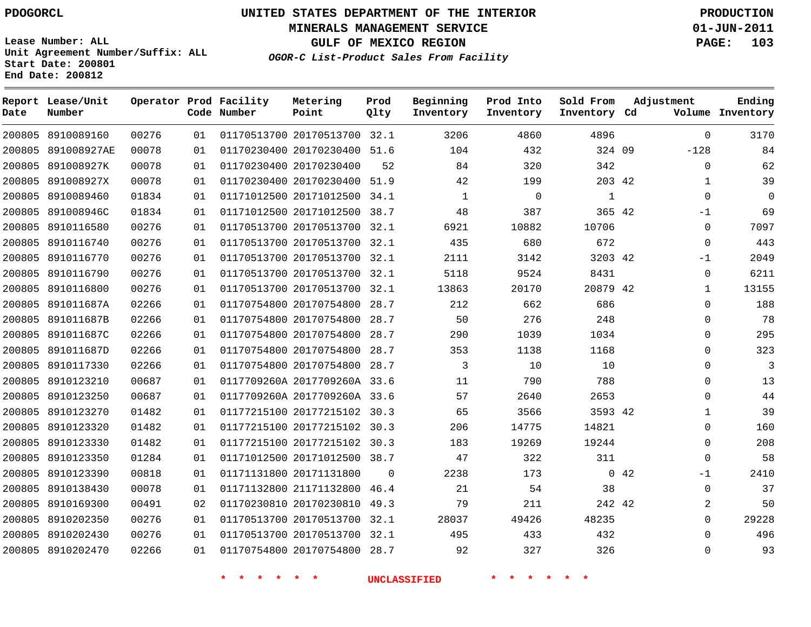**MINERALS MANAGEMENT SERVICE 01-JUN-2011**

**GULF OF MEXICO REGION PAGE: 103**

**OGOR-C List-Product Sales From Facility**

**Lease Number: ALL Unit Agreement Number/Suffix: ALL Start Date: 200801 End Date: 200812 Lease/Unit Metering**

| Date   | Report Lease/Unit<br>Number |       |    | Operator Prod Facility<br>Code Number | Metering<br>Point            | Prod<br>Qlty | Beginning<br>Inventory | Prod Into<br>Inventory | Sold From<br>Inventory Cd | Adjustment   | Ending<br>Volume Inventory |
|--------|-----------------------------|-------|----|---------------------------------------|------------------------------|--------------|------------------------|------------------------|---------------------------|--------------|----------------------------|
|        | 200805 8910089160           | 00276 | 01 |                                       | 01170513700 20170513700 32.1 |              | 3206                   | 4860                   | 4896                      | $\mathbf 0$  | 3170                       |
|        | 200805 891008927AE          | 00078 | 01 |                                       | 01170230400 20170230400 51.6 |              | 104                    | 432                    | 324 09                    | $-128$       | 84                         |
| 200805 | 891008927K                  | 00078 | 01 |                                       | 01170230400 20170230400      | 52           | 84                     | 320                    | 342                       | $\mathbf{0}$ | 62                         |
| 200805 | 891008927X                  | 00078 | 01 |                                       | 01170230400 20170230400      | 51.9         | 42                     | 199                    | 203 42                    | 1            | 39                         |
| 200805 | 8910089460                  | 01834 | 01 |                                       | 01171012500 20171012500      | 34.1         | 1                      | $\mathbf 0$            | 1                         | $\Omega$     | $\Omega$                   |
| 200805 | 891008946C                  | 01834 | 01 |                                       | 01171012500 20171012500      | 38.7         | 48                     | 387                    | 365 42                    | -1           | 69                         |
| 200805 | 8910116580                  | 00276 | 01 |                                       | 01170513700 20170513700 32.1 |              | 6921                   | 10882                  | 10706                     | $\Omega$     | 7097                       |
| 200805 | 8910116740                  | 00276 | 01 |                                       | 01170513700 20170513700      | 32.1         | 435                    | 680                    | 672                       | $\Omega$     | 443                        |
|        | 200805 8910116770           | 00276 | 01 |                                       | 01170513700 20170513700 32.1 |              | 2111                   | 3142                   | 3203 42                   | -1           | 2049                       |
|        | 200805 8910116790           | 00276 | 01 |                                       | 01170513700 20170513700 32.1 |              | 5118                   | 9524                   | 8431                      | $\mathbf{0}$ | 6211                       |
|        | 200805 8910116800           | 00276 | 01 |                                       | 01170513700 20170513700 32.1 |              | 13863                  | 20170                  | 20879 42                  | $\mathbf 1$  | 13155                      |
| 200805 | 891011687A                  | 02266 | 01 |                                       | 01170754800 20170754800      | 28.7         | 212                    | 662                    | 686                       | $\Omega$     | 188                        |
| 200805 | 891011687B                  | 02266 | 01 |                                       | 01170754800 20170754800      | 28.7         | 50                     | 276                    | 248                       | $\Omega$     | 78                         |
| 200805 | 891011687C                  | 02266 | 01 |                                       | 01170754800 20170754800      | 28.7         | 290                    | 1039                   | 1034                      | 0            | 295                        |
| 200805 | 891011687D                  | 02266 | 01 |                                       | 01170754800 20170754800      | 28.7         | 353                    | 1138                   | 1168                      | $\Omega$     | 323                        |
| 200805 | 8910117330                  | 02266 | 01 |                                       | 01170754800 20170754800      | 28.7         | 3                      | 10                     | 10                        | 0            | 3                          |
| 200805 | 8910123210                  | 00687 | 01 |                                       | 0117709260A 2017709260A 33.6 |              | 11                     | 790                    | 788                       | $\mathbf 0$  | 13                         |
| 200805 | 8910123250                  | 00687 | 01 |                                       | 0117709260A 2017709260A 33.6 |              | 57                     | 2640                   | 2653                      | $\Omega$     | 44                         |
| 200805 | 8910123270                  | 01482 | 01 |                                       | 01177215100 20177215102 30.3 |              | 65                     | 3566                   | 3593 42                   | 1            | 39                         |
| 200805 | 8910123320                  | 01482 | 01 |                                       | 01177215100 20177215102 30.3 |              | 206                    | 14775                  | 14821                     | $\mathbf{0}$ | 160                        |
| 200805 | 8910123330                  | 01482 | 01 |                                       | 01177215100 20177215102 30.3 |              | 183                    | 19269                  | 19244                     | $\Omega$     | 208                        |
|        | 200805 8910123350           | 01284 | 01 |                                       | 01171012500 20171012500 38.7 |              | 47                     | 322                    | 311                       | $\mathbf 0$  | 58                         |
| 200805 | 8910123390                  | 00818 | 01 |                                       | 01171131800 20171131800      | $\Omega$     | 2238                   | 173                    |                           | 0.42<br>$-1$ | 2410                       |
|        | 200805 8910138430           | 00078 | 01 |                                       | 01171132800 21171132800      | 46.4         | 21                     | 54                     | 38                        | $\Omega$     | 37                         |
| 200805 | 8910169300                  | 00491 | 02 |                                       | 01170230810 20170230810      | 49.3         | 79                     | 211                    | 242 42                    | 2            | 50                         |
|        | 200805 8910202350           | 00276 | 01 |                                       | 01170513700 20170513700 32.1 |              | 28037                  | 49426                  | 48235                     | $\Omega$     | 29228                      |
|        | 200805 8910202430           | 00276 | 01 |                                       | 01170513700 20170513700      | 32.1         | 495                    | 433                    | 432                       | $\Omega$     | 496                        |
|        | 200805 8910202470           | 02266 | 01 |                                       | 01170754800 20170754800 28.7 |              | 92                     | 327                    | 326                       | $\Omega$     | 93                         |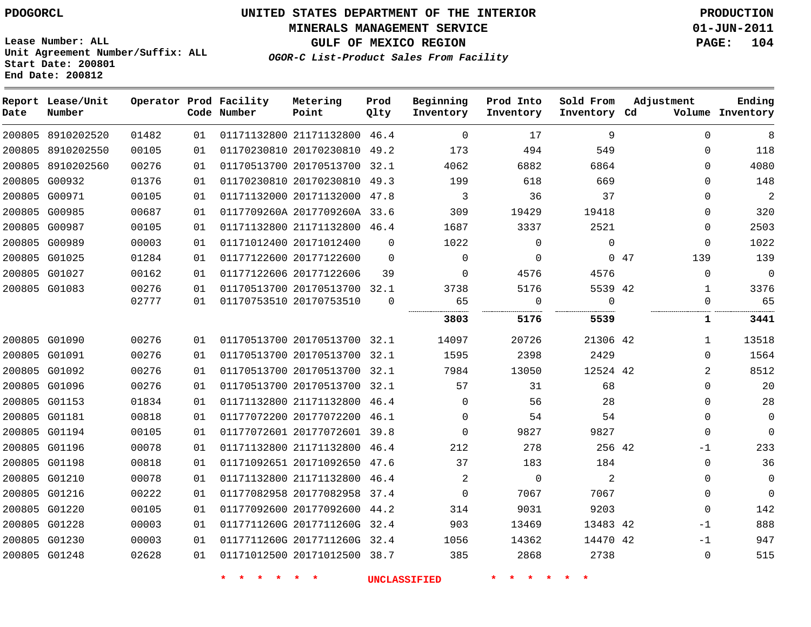**MINERALS MANAGEMENT SERVICE 01-JUN-2011**

**GULF OF MEXICO REGION PAGE: 104**

**Lease Number: ALL Unit Agreement Number/Suffix: ALL Start Date: 200801 End Date: 200812**

**OGOR-C List-Product Sales From Facility**

| Date | Report Lease/Unit<br>Number |       |    | Operator Prod Facility<br>Code Number | Metering<br>Point            | Prod<br>Qlty | Beginning<br>Inventory | Prod Into<br>Inventory | Sold From<br>Inventory Cd | Adjustment     | Ending<br>Volume Inventory |
|------|-----------------------------|-------|----|---------------------------------------|------------------------------|--------------|------------------------|------------------------|---------------------------|----------------|----------------------------|
|      | 200805 8910202520           | 01482 | 01 |                                       | 01171132800 21171132800 46.4 |              | $\Omega$               | 17                     | 9                         | $\Omega$       | 8                          |
|      | 200805 8910202550           | 00105 | 01 |                                       | 01170230810 20170230810      | 49.2         | 173                    | 494                    | 549                       | $\Omega$       | 118                        |
|      | 200805 8910202560           | 00276 | 01 |                                       | 01170513700 20170513700 32.1 |              | 4062                   | 6882                   | 6864                      | $\Omega$       | 4080                       |
|      | 200805 G00932               | 01376 | 01 |                                       | 01170230810 20170230810 49.3 |              | 199                    | 618                    | 669                       | $\Omega$       | 148                        |
|      | 200805 G00971               | 00105 | 01 |                                       | 01171132000 20171132000      | 47.8         | 3                      | 36                     | 37                        | 0              | $\overline{c}$             |
|      | 200805 G00985               | 00687 | 01 |                                       | 0117709260A 2017709260A 33.6 |              | 309                    | 19429                  | 19418                     | $\Omega$       | 320                        |
|      | 200805 G00987               | 00105 | 01 |                                       | 01171132800 21171132800 46.4 |              | 1687                   | 3337                   | 2521                      | $\Omega$       | 2503                       |
|      | 200805 G00989               | 00003 | 01 |                                       | 01171012400 20171012400      | $\Omega$     | 1022                   | $\mathbf{0}$           | $\Omega$                  | $\Omega$       | 1022                       |
|      | 200805 G01025               | 01284 | 01 |                                       | 01177122600 20177122600      | $\mathbf 0$  | 0                      | 0                      |                           | 047<br>139     | 139                        |
|      | 200805 G01027               | 00162 | 01 |                                       | 01177122606 20177122606      | 39           | $\Omega$               | 4576                   | 4576                      | $\Omega$       | $\mathbf 0$                |
|      | 200805 G01083               | 00276 | 01 |                                       | 01170513700 20170513700 32.1 |              | 3738                   | 5176                   | 5539 42                   | $\mathbf{1}$   | 3376                       |
|      |                             | 02777 | 01 |                                       | 01170753510 20170753510      | $\Omega$     | 65<br>                 | $\mathbf 0$<br>.       | $\Omega$<br>.             | $\Omega$       | 65                         |
|      |                             |       |    |                                       |                              |              | 3803                   | 5176                   | 5539                      | 1              | 3441                       |
|      | 200805 G01090               | 00276 | 01 |                                       | 01170513700 20170513700 32.1 |              | 14097                  | 20726                  | 21306 42                  | $\mathbf{1}$   | 13518                      |
|      | 200805 G01091               | 00276 | 01 |                                       | 01170513700 20170513700 32.1 |              | 1595                   | 2398                   | 2429                      | $\Omega$       | 1564                       |
|      | 200805 G01092               | 00276 | 01 |                                       | 01170513700 20170513700 32.1 |              | 7984                   | 13050                  | 12524 42                  | $\overline{2}$ | 8512                       |
|      | 200805 G01096               | 00276 | 01 |                                       | 01170513700 20170513700 32.1 |              | 57                     | 31                     | 68                        | $\Omega$       | 20                         |
|      | 200805 G01153               | 01834 | 01 |                                       | 01171132800 21171132800 46.4 |              | $\mathbf{0}$           | 56                     | 28                        | 0              | 28                         |
|      | 200805 G01181               | 00818 | 01 |                                       | 01177072200 20177072200 46.1 |              | $\Omega$               | 54                     | 54                        | $\Omega$       | 0                          |
|      | 200805 G01194               | 00105 | 01 |                                       | 01177072601 20177072601 39.8 |              | $\Omega$               | 9827                   | 9827                      | $\Omega$       | $\Omega$                   |
|      | 200805 G01196               | 00078 | 01 |                                       | 01171132800 21171132800 46.4 |              | 212                    | 278                    | 256 42                    | $-1$           | 233                        |
|      | 200805 G01198               | 00818 | 01 |                                       | 01171092651 20171092650      | 47.6         | 37                     | 183                    | 184                       | $\Omega$       | 36                         |
|      | 200805 G01210               | 00078 | 01 |                                       | 01171132800 21171132800 46.4 |              | $\overline{2}$         | $\mathbf 0$            | 2                         | $\Omega$       | 0                          |
|      | 200805 G01216               | 00222 | 01 |                                       | 01177082958 20177082958      | 37.4         | $\mathbf 0$            | 7067                   | 7067                      | 0              | $\mathbf 0$                |
|      | 200805 G01220               | 00105 | 01 |                                       | 01177092600 20177092600      | 44.2         | 314                    | 9031                   | 9203                      | $\Omega$       | 142                        |
|      | 200805 G01228               | 00003 | 01 |                                       | 0117711260G 2017711260G 32.4 |              | 903                    | 13469                  | 13483 42                  | -1             | 888                        |
|      | 200805 G01230               | 00003 | 01 |                                       | 0117711260G 2017711260G 32.4 |              | 1056                   | 14362                  | 14470 42                  | $-1$           | 947                        |
|      | 200805 G01248               | 02628 | 01 |                                       | 01171012500 20171012500 38.7 |              | 385                    | 2868                   | 2738                      | $\mathbf 0$    | 515                        |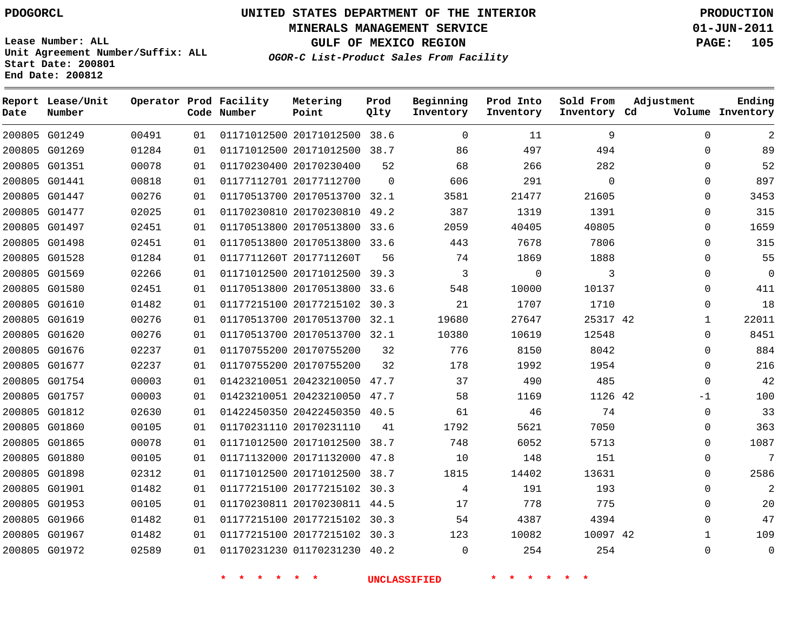**Start Date: 200801 End Date: 200812**

**Unit Agreement Number/Suffix: ALL**

# **UNITED STATES DEPARTMENT OF THE INTERIOR PDOGORCL PRODUCTION**

**MINERALS MANAGEMENT SERVICE 01-JUN-2011**

**GULF OF MEXICO REGION PAGE: 105**

**OGOR-C List-Product Sales From Facility**

 G01249 G01269 G01351 G01441 G01447 G01477 G01497 G01498 G01528 G01569 G01580 G01610 G01619 G01620 G01676 G01677 G01754 G01757 G01812 G01860 G01865 G01880 G01898 G01901 G01953 G01966 G01967 G01972 **Report Lease/Unit Date Number Operator Prod Facility Code Number** 20171012500 38.6 20171012500 38.7 20170230400 20177112700 20170513700 32.1 20170230810 49.2 20170513800 33.6 20170513800 33.6 0117711260T 2017711260T 20171012500 39.3 20170513800 33.6 20177215102 30.3 20170513700 32.1 20170513700 32.1 20170755200 20170755200 20423210050 47.7 20423210050 47.7 20422450350 40.5 20170231110 20171012500 38.7 20171132000 47.8 20171012500 38.7 20177215102 30.3 20170230811 44.5 20177215102 30.3 20177215102 30.3 01170231230 40.2 **Metering Point** 42 42 42  $\Omega$  **Prod Qlty**  $\Omega$  **Beginning Inventory**  $2.0$   $\Omega$ **Ending Inventory Cd Volume**  $\Omega$  **Prod Into Inventory**  $\Omega$  **Sold From Inventory**  $\Omega$  $\Omega$  $\cap$  $\Omega$  $\Omega$  $\Omega$  $\Omega$  $\Omega$   $\Omega$   $\Omega$   $\Omega$ -1  $\Omega$  $\Omega$  $\Omega$  $\Omega$  $\Omega$  $\Omega$  $\Omega$  $\Omega$   $\Omega$ **Adjustment**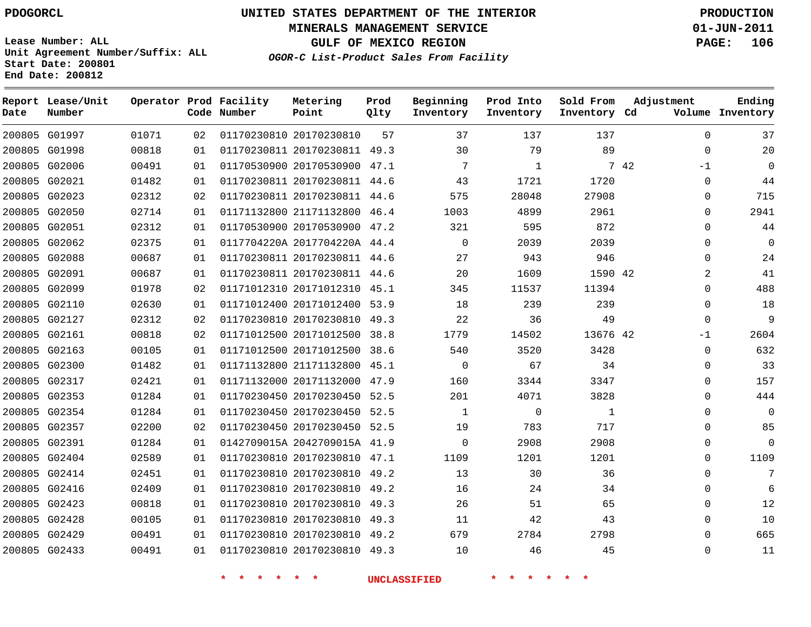**End Date: 200812**

# **UNITED STATES DEPARTMENT OF THE INTERIOR PDOGORCL PRODUCTION**

**MINERALS MANAGEMENT SERVICE 01-JUN-2011**

**GULF OF MEXICO REGION PAGE: 106**

**OGOR-C List-Product Sales From Facility Unit Agreement Number/Suffix: ALL Start Date: 200801**

| Date | Report Lease/Unit<br>Number |       |    | Operator Prod Facility<br>Code Number | Metering<br>Point            | Prod<br>Qlty | Beginning<br>Inventory | Prod Into<br>Inventory | Sold From<br>Inventory Cd | Adjustment   | Ending<br>Volume Inventory |
|------|-----------------------------|-------|----|---------------------------------------|------------------------------|--------------|------------------------|------------------------|---------------------------|--------------|----------------------------|
|      | 200805 G01997               | 01071 | 02 |                                       | 01170230810 20170230810      | 57           | 37                     | 137                    | 137                       | $\mathbf 0$  | 37                         |
|      | 200805 G01998               | 00818 | 01 |                                       | 01170230811 20170230811 49.3 |              | 30                     | 79                     | 89                        | $\mathbf 0$  | 20                         |
|      | 200805 G02006               | 00491 | 01 |                                       | 01170530900 20170530900      | 47.1         | 7                      | $\mathbf{1}$           |                           | 7 42<br>$-1$ | $\Omega$                   |
|      | 200805 G02021               | 01482 | 01 |                                       | 01170230811 20170230811 44.6 |              | 43                     | 1721                   | 1720                      | $\Omega$     | 44                         |
|      | 200805 G02023               | 02312 | 02 |                                       | 01170230811 20170230811 44.6 |              | 575                    | 28048                  | 27908                     | $\Omega$     | 715                        |
|      | 200805 G02050               | 02714 | 01 |                                       | 01171132800 21171132800 46.4 |              | 1003                   | 4899                   | 2961                      | $\Omega$     | 2941                       |
|      | 200805 G02051               | 02312 | 01 |                                       | 01170530900 20170530900      | 47.2         | 321                    | 595                    | 872                       | $\Omega$     | 44                         |
|      | 200805 G02062               | 02375 | 01 |                                       | 0117704220A 2017704220A 44.4 |              | $\Omega$               | 2039                   | 2039                      | $\Omega$     | $\mathbf 0$                |
|      | 200805 G02088               | 00687 | 01 |                                       | 01170230811 20170230811 44.6 |              | 27                     | 943                    | 946                       | $\Omega$     | 24                         |
|      | 200805 G02091               | 00687 | 01 |                                       | 01170230811 20170230811 44.6 |              | 20                     | 1609                   | 1590 42                   | 2            | 41                         |
|      | 200805 G02099               | 01978 | 02 |                                       | 01171012310 20171012310      | 45.1         | 345                    | 11537                  | 11394                     | $\Omega$     | 488                        |
|      | 200805 G02110               | 02630 | 01 |                                       | 01171012400 20171012400 53.9 |              | 18                     | 239                    | 239                       | $\Omega$     | 18                         |
|      | 200805 G02127               | 02312 | 02 |                                       | 01170230810 20170230810      | 49.3         | 22                     | 36                     | 49                        | $\Omega$     | 9                          |
|      | 200805 G02161               | 00818 | 02 |                                       | 01171012500 20171012500      | 38.8         | 1779                   | 14502                  | 13676 42                  | $-1$         | 2604                       |
|      | 200805 G02163               | 00105 | 01 |                                       | 01171012500 20171012500      | 38.6         | 540                    | 3520                   | 3428                      | 0            | 632                        |
|      | 200805 G02300               | 01482 | 01 |                                       | 01171132800 21171132800      | 45.1         | $\mathbf 0$            | 67                     | 34                        | $\Omega$     | 33                         |
|      | 200805 G02317               | 02421 | 01 |                                       | 01171132000 20171132000      | 47.9         | 160                    | 3344                   | 3347                      | $\mathbf 0$  | 157                        |
|      | 200805 G02353               | 01284 | 01 |                                       | 01170230450 20170230450 52.5 |              | 201                    | 4071                   | 3828                      | 0            | 444                        |
|      | 200805 G02354               | 01284 | 01 |                                       | 01170230450 20170230450      | 52.5         | 1                      | $\mathbf 0$            | $\mathbf{1}$              | 0            | $\mathbf 0$                |
|      | 200805 G02357               | 02200 | 02 |                                       | 01170230450 20170230450 52.5 |              | 19                     | 783                    | 717                       | $\Omega$     | 85                         |
|      | 200805 G02391               | 01284 | 01 |                                       | 0142709015A 2042709015A 41.9 |              | 0                      | 2908                   | 2908                      | $\mathbf{0}$ | $\mathbf 0$                |
|      | 200805 G02404               | 02589 | 01 |                                       | 01170230810 20170230810 47.1 |              | 1109                   | 1201                   | 1201                      | 0            | 1109                       |
|      | 200805 G02414               | 02451 | 01 |                                       | 01170230810 20170230810 49.2 |              | 13                     | 30                     | 36                        | $\Omega$     | 7                          |
|      | 200805 G02416               | 02409 | 01 |                                       | 01170230810 20170230810      | 49.2         | 16                     | 24                     | 34                        | $\Omega$     | 6                          |
|      | 200805 G02423               | 00818 | 01 |                                       | 01170230810 20170230810 49.3 |              | 26                     | 51                     | 65                        | $\Omega$     | 12                         |
|      | 200805 G02428               | 00105 | 01 |                                       | 01170230810 20170230810      | 49.3         | 11                     | 42                     | 43                        | $\Omega$     | 10                         |
|      | 200805 G02429               | 00491 | 01 |                                       | 01170230810 20170230810 49.2 |              | 679                    | 2784                   | 2798                      | $\Omega$     | 665                        |
|      | 200805 G02433               | 00491 | 01 |                                       | 01170230810 20170230810      | 49.3         | 10                     | 46                     | 45                        | $\Omega$     | 11                         |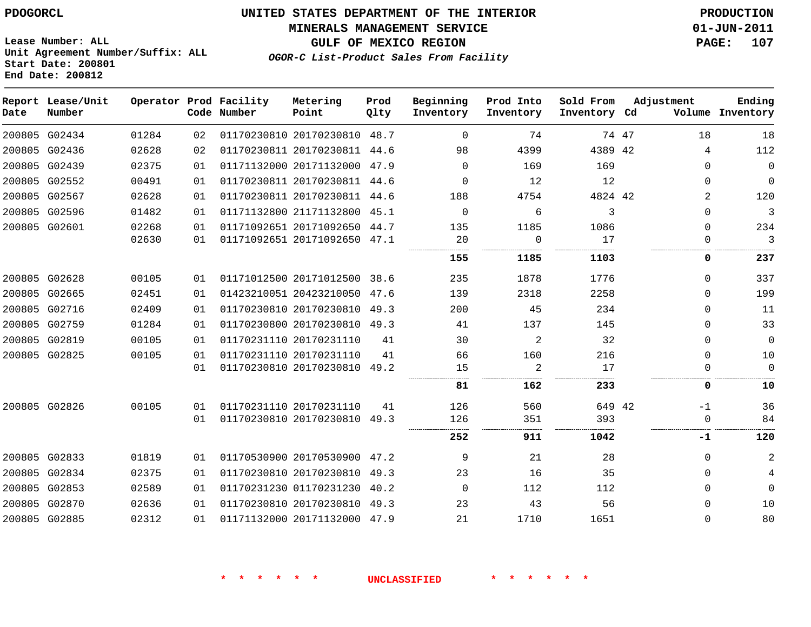#### **MINERALS MANAGEMENT SERVICE 01-JUN-2011**

**GULF OF MEXICO REGION PAGE: 107**

**Lease Number: ALL Unit Agreement Number/Suffix: ALL Start Date: 200801 End Date: 200812**

**OGOR-C List-Product Sales From Facility**

| Date | Report Lease/Unit<br>Number |       |    | Operator Prod Facility<br>Code Number | Metering<br>Point            | Prod<br>Qlty | Beginning<br>Inventory | Prod Into<br>Inventory | Sold From<br>Inventory Cd | Adjustment  | Ending<br>Volume Inventory |
|------|-----------------------------|-------|----|---------------------------------------|------------------------------|--------------|------------------------|------------------------|---------------------------|-------------|----------------------------|
|      | 200805 G02434               | 01284 | 02 |                                       | 01170230810 20170230810 48.7 |              | $\Omega$               | 74                     |                           | 18<br>74 47 | 18                         |
|      | 200805 G02436               | 02628 | 02 |                                       | 01170230811 20170230811 44.6 |              | 98                     | 4399                   | 4389 42                   | 4           | 112                        |
|      | 200805 G02439               | 02375 | 01 |                                       | 01171132000 20171132000 47.9 |              | $\Omega$               | 169                    | 169                       | $\Omega$    | $\mathbf{0}$               |
|      | 200805 G02552               | 00491 | 01 |                                       | 01170230811 20170230811 44.6 |              | $\Omega$               | 12                     | 12                        | $\Omega$    | $\mathbf 0$                |
|      | 200805 G02567               | 02628 | 01 |                                       | 01170230811 20170230811 44.6 |              | 188                    | 4754                   | 4824 42                   |             | 120<br>$\overline{2}$      |
|      | 200805 G02596               | 01482 | 01 |                                       | 01171132800 21171132800 45.1 |              | $\Omega$               | 6                      | 3                         | $\mathbf 0$ | 3                          |
|      | 200805 G02601               | 02268 | 01 |                                       | 01171092651 20171092650 44.7 |              | 135                    | 1185                   | 1086                      | $\Omega$    | 234                        |
|      |                             | 02630 | 01 |                                       | 01171092651 20171092650 47.1 |              | 20                     | 0                      | 17                        | $\Omega$    | 3                          |
|      |                             |       |    |                                       |                              |              | 155                    | 1185                   | 1103                      | 0           | 237                        |
|      | 200805 G02628               | 00105 | 01 |                                       | 01171012500 20171012500 38.6 |              | 235                    | 1878                   | 1776                      | 0           | 337                        |
|      | 200805 G02665               | 02451 | 01 |                                       | 01423210051 20423210050      | 47.6         | 139                    | 2318                   | 2258                      | $\Omega$    | 199                        |
|      | 200805 G02716               | 02409 | 01 |                                       | 01170230810 20170230810      | 49.3         | 200                    | 45                     | 234                       | $\Omega$    | 11                         |
|      | 200805 G02759               | 01284 | 01 |                                       | 01170230800 20170230810 49.3 |              | 41                     | 137                    | 145                       | $\Omega$    | 33                         |
|      | 200805 G02819               | 00105 | 01 |                                       | 01170231110 20170231110      | 41           | 30                     | 2                      | 32                        | $\mathbf 0$ | $\mathbf{0}$               |
|      | 200805 G02825               | 00105 | 01 |                                       | 01170231110 20170231110      | 41           | 66                     | 160                    | 216                       | $\Omega$    | 10                         |
|      |                             |       | 01 |                                       | 01170230810 20170230810      | 49.2         | 15                     | $\overline{2}$         | 17                        | $\Omega$    | $\mathbf 0$                |
|      |                             |       |    |                                       |                              |              | 81                     | 162                    | 233                       | 0           | 10                         |
|      | 200805 G02826               | 00105 | 01 |                                       | 01170231110 20170231110      | 41           | 126                    | 560                    | 649 42                    | $-1$        | 36                         |
|      |                             |       | 01 |                                       | 01170230810 20170230810      | 49.3         | 126                    | 351                    | 393                       | 0           | 84                         |
|      |                             |       |    |                                       |                              |              | 252                    | 911                    | 1042                      | -1          | 120                        |
|      | 200805 G02833               | 01819 | 01 |                                       | 01170530900 20170530900 47.2 |              | 9                      | 21                     | 28                        | $\Omega$    | 2                          |
|      | 200805 G02834               | 02375 | 01 |                                       | 01170230810 20170230810      | 49.3         | 23                     | 16                     | 35                        | $\Omega$    |                            |
|      | 200805 G02853               | 02589 | 01 |                                       | 01170231230 01170231230      | 40.2         | $\Omega$               | 112                    | 112                       | $\Omega$    | $\Omega$                   |
|      | 200805 G02870               | 02636 | 01 |                                       | 01170230810 20170230810 49.3 |              | 23                     | 43                     | 56                        | $\Omega$    | 10                         |
|      | 200805 G02885               | 02312 | 01 |                                       | 01171132000 20171132000 47.9 |              | 21                     | 1710                   | 1651                      | $\Omega$    | 80                         |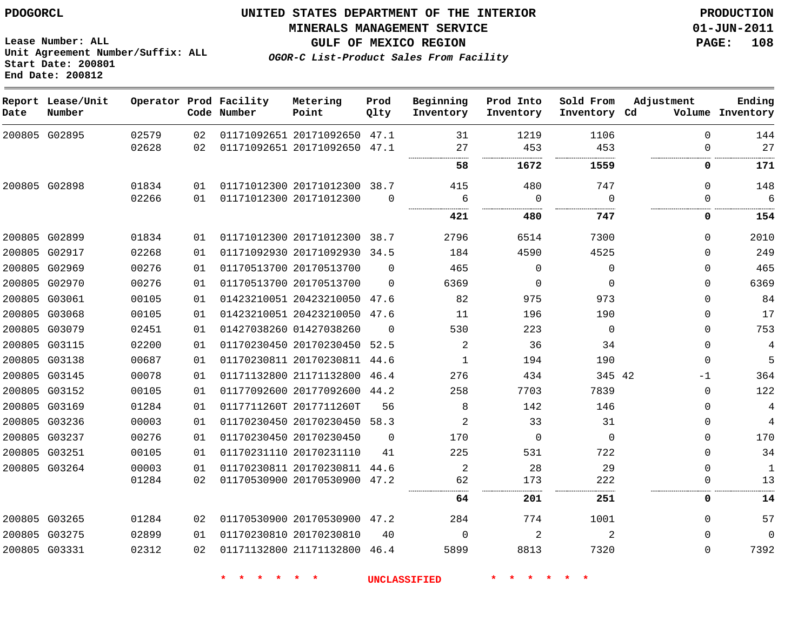**MINERALS MANAGEMENT SERVICE 01-JUN-2011**

**GULF OF MEXICO REGION PAGE: 108**

**OGOR-C List-Product Sales From Facility**

**Lease Number: ALL Unit Agreement Number/Suffix: ALL Start Date: 200801 End Date: 200812**

| Date | Report Lease/Unit<br>Number |       |    | Operator Prod Facility<br>Code Number | Metering<br>Point            | Prod<br>Qlty | Beginning<br>Inventory | Prod Into<br>Inventory | Sold From<br>Inventory Cd | Adjustment  | Ending<br>Volume Inventory |
|------|-----------------------------|-------|----|---------------------------------------|------------------------------|--------------|------------------------|------------------------|---------------------------|-------------|----------------------------|
|      | 200805 G02895               | 02579 | 02 |                                       | 01171092651 20171092650 47.1 |              | 31                     | 1219                   | 1106                      | $\Omega$    | 144                        |
|      |                             | 02628 | 02 |                                       | 01171092651 20171092650 47.1 |              | 27<br>                 | 453<br>.               | 453<br>.                  | $\mathbf 0$ | 27                         |
|      |                             |       |    |                                       |                              |              | 58                     | 1672                   | 1559                      | 0           | 171                        |
|      | 200805 G02898               | 01834 | 01 |                                       | 01171012300 20171012300 38.7 |              | 415                    | 480                    | 747                       | $\Omega$    | 148                        |
|      |                             | 02266 | 01 |                                       | 01171012300 20171012300      | $\Omega$     | 6                      | $\Omega$               | $\Omega$                  | $\Omega$    | 6                          |
|      |                             |       |    |                                       |                              |              | 421                    | 480                    | 747                       | 0           | 154                        |
|      | 200805 G02899               | 01834 | 01 |                                       | 01171012300 20171012300 38.7 |              | 2796                   | 6514                   | 7300                      | $\mathbf 0$ | 2010                       |
|      | 200805 G02917               | 02268 | 01 |                                       | 01171092930 20171092930 34.5 |              | 184                    | 4590                   | 4525                      | $\Omega$    | 249                        |
|      | 200805 G02969               | 00276 | 01 |                                       | 01170513700 20170513700      | $\Omega$     | 465                    | $\Omega$               | $\Omega$                  | $\mathbf 0$ | 465                        |
|      | 200805 G02970               | 00276 | 01 |                                       | 01170513700 20170513700      | $\Omega$     | 6369                   | $\mathbf 0$            | $\mathbf 0$               | $\mathbf 0$ | 6369                       |
|      | 200805 G03061               | 00105 | 01 |                                       | 01423210051 20423210050 47.6 |              | 82                     | 975                    | 973                       | $\Omega$    | 84                         |
|      | 200805 G03068               | 00105 | 01 |                                       | 01423210051 20423210050 47.6 |              | 11                     | 196                    | 190                       | $\mathbf 0$ | 17                         |
|      | 200805 G03079               | 02451 | 01 |                                       | 01427038260 01427038260      | $\Omega$     | 530                    | 223                    | $\Omega$                  | $\mathbf 0$ | 753                        |
|      | 200805 G03115               | 02200 | 01 |                                       | 01170230450 20170230450      | 52.5         | 2                      | 36                     | 34                        | $\mathbf 0$ | $\overline{4}$             |
|      | 200805 G03138               | 00687 | 01 |                                       | 01170230811 20170230811      | 44.6         | 1                      | 194                    | 190                       | $\mathbf 0$ | 5                          |
|      | 200805 G03145               | 00078 | 01 |                                       | 01171132800 21171132800      | 46.4         | 276                    | 434                    | 345 42                    | $-1$        | 364                        |
|      | 200805 G03152               | 00105 | 01 |                                       | 01177092600 20177092600      | 44.2         | 258                    | 7703                   | 7839                      | $\mathbf 0$ | 122                        |
|      | 200805 G03169               | 01284 | 01 |                                       | 0117711260T 2017711260T      | 56           | 8                      | 142                    | 146                       | $\mathbf 0$ | 4                          |
|      | 200805 G03236               | 00003 | 01 |                                       | 01170230450 20170230450      | 58.3         | 2                      | 33                     | 31                        | $\mathbf 0$ | $\overline{4}$             |
|      | 200805 G03237               | 00276 | 01 |                                       | 01170230450 20170230450      | $\Omega$     | 170                    | $\Omega$               | $\Omega$                  | $\Omega$    | 170                        |
|      | 200805 G03251               | 00105 | 01 |                                       | 01170231110 20170231110      | 41           | 225                    | 531                    | 722                       | $\mathbf 0$ | 34                         |
|      | 200805 G03264               | 00003 | 01 |                                       | 01170230811 20170230811 44.6 |              | 2                      | 28                     | 29                        | $\mathbf 0$ | $\mathbf{1}$               |
|      |                             | 01284 | 02 |                                       | 01170530900 20170530900 47.2 |              | 62                     | 173                    | 222<br>.                  | $\mathbf 0$ | 13                         |
|      |                             |       |    |                                       |                              |              | 64                     | 201                    | 251                       | 0           | 14                         |
|      | 200805 G03265               | 01284 | 02 |                                       | 01170530900 20170530900 47.2 |              | 284                    | 774                    | 1001                      | $\mathbf 0$ | 57                         |
|      | 200805 G03275               | 02899 | 01 |                                       | 01170230810 20170230810      | 40           | $\Omega$               | 2                      | 2                         | $\Omega$    | $\Omega$                   |
|      | 200805 G03331               | 02312 | 02 |                                       | 01171132800 21171132800 46.4 |              | 5899                   | 8813                   | 7320                      | $\Omega$    | 7392                       |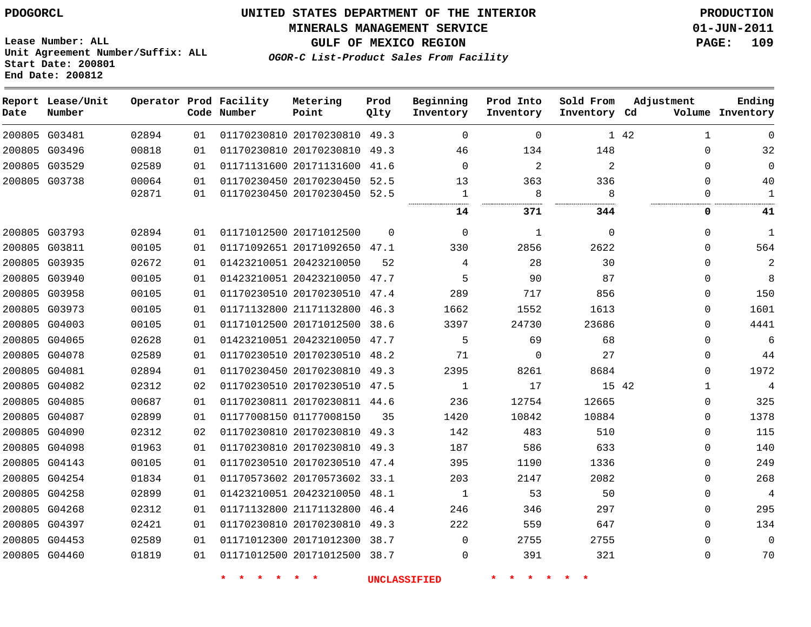#### **MINERALS MANAGEMENT SERVICE 01-JUN-2011**

**GULF OF MEXICO REGION PAGE: 109**

**Lease Number: ALL Unit Agreement Number/Suffix: ALL Start Date: 200801 End Date: 200812**

**OGOR-C List-Product Sales From Facility**

| Date          | Report Lease/Unit<br>Number |       |    | Operator Prod Facility<br>Code Number | Metering<br>Point            | Prod<br>Qlty | Beginning<br>Inventory | Prod Into<br>Inventory | Sold From<br>Inventory Cd | Adjustment            | Ending<br>Volume Inventory |
|---------------|-----------------------------|-------|----|---------------------------------------|------------------------------|--------------|------------------------|------------------------|---------------------------|-----------------------|----------------------------|
|               | 200805 G03481               | 02894 | 01 |                                       | 01170230810 20170230810      | 49.3         | $\Omega$               | $\mathbf 0$            |                           | 1 42<br>1             | $\Omega$                   |
| 200805 G03496 |                             | 00818 | 01 |                                       | 01170230810 20170230810      | 49.3         | 46                     | 134                    | 148                       | $\Omega$              | 32                         |
| 200805 G03529 |                             | 02589 | 01 |                                       | 01171131600 20171131600 41.6 |              | $\Omega$               | $\overline{2}$         | 2                         | $\Omega$              | $\Omega$                   |
| 200805 G03738 |                             | 00064 | 01 |                                       | 01170230450 20170230450 52.5 |              | 13                     | 363                    | 336                       | $\Omega$              | 40                         |
|               |                             | 02871 | 01 |                                       | 01170230450 20170230450 52.5 |              | $\mathbf 1$            | 8                      | 8                         | 0                     | $\mathbf{1}$               |
|               |                             |       |    |                                       |                              |              | 14                     | 371                    | 344                       | 0                     | 41                         |
| 200805 G03793 |                             | 02894 | 01 |                                       | 01171012500 20171012500      | $\Omega$     | $\mathbf 0$            | 1                      | 0                         | $\Omega$              | $\mathbf{1}$               |
| 200805 G03811 |                             | 00105 | 01 |                                       | 01171092651 20171092650 47.1 |              | 330                    | 2856                   | 2622                      | 0                     | 564                        |
| 200805 G03935 |                             | 02672 | 01 |                                       | 01423210051 20423210050      | 52           | 4                      | 28                     | 30                        | $\Omega$              | 2                          |
| 200805 G03940 |                             | 00105 | 01 |                                       | 01423210051 20423210050 47.7 |              | 5                      | 90                     | 87                        | $\Omega$              | 8                          |
| 200805 G03958 |                             | 00105 | 01 |                                       | 01170230510 20170230510      | 47.4         | 289                    | 717                    | 856                       | $\Omega$              | 150                        |
| 200805 G03973 |                             | 00105 | 01 |                                       | 01171132800 21171132800      | 46.3         | 1662                   | 1552                   | 1613                      | $\Omega$              | 1601                       |
| 200805 G04003 |                             | 00105 | 01 |                                       | 01171012500 20171012500      | 38.6         | 3397                   | 24730                  | 23686                     | $\Omega$              | 4441                       |
| 200805 G04065 |                             | 02628 | 01 |                                       | 01423210051 20423210050      | 47.7         | 5                      | 69                     | 68                        | 0                     | 6                          |
| 200805 G04078 |                             | 02589 | 01 |                                       | 01170230510 20170230510 48.2 |              | 71                     | $\mathbf{0}$           | 27                        | 0                     | 44                         |
| 200805 G04081 |                             | 02894 | 01 |                                       | 01170230450 20170230810      | 49.3         | 2395                   | 8261                   | 8684                      | $\Omega$              | 1972                       |
| 200805 G04082 |                             | 02312 | 02 |                                       | 01170230510 20170230510 47.5 |              | $\mathbf{1}$           | 17                     |                           | 15 42<br>$\mathbf{1}$ | 4                          |
| 200805 G04085 |                             | 00687 | 01 |                                       | 01170230811 20170230811 44.6 |              | 236                    | 12754                  | 12665                     | $\Omega$              | 325                        |
| 200805 G04087 |                             | 02899 | 01 |                                       | 01177008150 01177008150      | 35           | 1420                   | 10842                  | 10884                     | $\Omega$              | 1378                       |
| 200805 G04090 |                             | 02312 | 02 |                                       | 01170230810 20170230810      | 49.3         | 142                    | 483                    | 510                       | 0                     | 115                        |
| 200805 G04098 |                             | 01963 | 01 |                                       | 01170230810 20170230810      | 49.3         | 187                    | 586                    | 633                       | $\Omega$              | 140                        |
| 200805 G04143 |                             | 00105 | 01 |                                       | 01170230510 20170230510 47.4 |              | 395                    | 1190                   | 1336                      | $\Omega$              | 249                        |
| 200805 G04254 |                             | 01834 | 01 |                                       | 01170573602 20170573602 33.1 |              | 203                    | 2147                   | 2082                      | 0                     | 268                        |
| 200805 G04258 |                             | 02899 | 01 |                                       | 01423210051 20423210050      | 48.1         | 1                      | 53                     | 50                        | $\Omega$              | $\overline{4}$             |
| 200805 G04268 |                             | 02312 | 01 |                                       | 01171132800 21171132800      | 46.4         | 246                    | 346                    | 297                       | $\Omega$              | 295                        |
| 200805 G04397 |                             | 02421 | 01 |                                       | 01170230810 20170230810      | 49.3         | 222                    | 559                    | 647                       | $\Omega$              | 134                        |
| 200805 G04453 |                             | 02589 | 01 |                                       | 01171012300 20171012300      | 38.7         | $\mathbf{0}$           | 2755                   | 2755                      | $\Omega$              | $\mathbf{0}$               |
| 200805 G04460 |                             | 01819 | 01 |                                       | 01171012500 20171012500 38.7 |              | $\Omega$               | 391                    | 321                       | $\mathbf{0}$          | 70                         |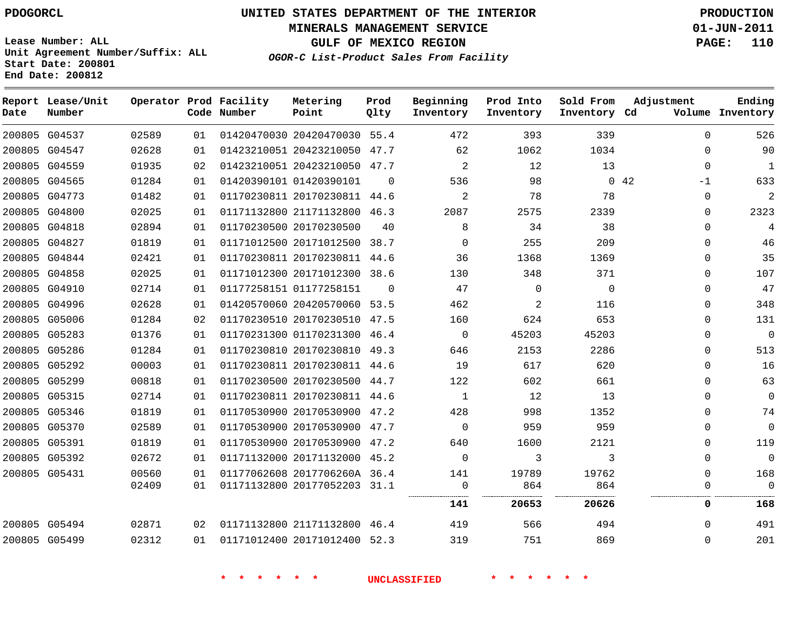**Start Date: 200801 End Date: 200812**

# **UNITED STATES DEPARTMENT OF THE INTERIOR PDOGORCL PRODUCTION**

**MINERALS MANAGEMENT SERVICE 01-JUN-2011**

**GULF OF MEXICO REGION PAGE: 110**

**OGOR-C List-Product Sales From Facility Unit Agreement Number/Suffix: ALL**

| Date          | Report Lease/Unit<br>Number |       |    | Operator Prod Facility<br>Code Number | Metering<br>Point            | Prod<br>Qlty | Beginning<br>Inventory | Prod Into<br>Inventory | Sold From<br>Inventory Cd | Adjustment          | Ending<br>Volume Inventory |
|---------------|-----------------------------|-------|----|---------------------------------------|------------------------------|--------------|------------------------|------------------------|---------------------------|---------------------|----------------------------|
|               | 200805 G04537               | 02589 | 01 |                                       | 01420470030 20420470030      | 55.4         | 472                    | 393                    | 339                       | $\Omega$            | 526                        |
| 200805 G04547 |                             | 02628 | 01 |                                       | 01423210051 20423210050      | 47.7         | 62                     | 1062                   | 1034                      | $\Omega$            | 90                         |
|               | 200805 G04559               | 01935 | 02 |                                       | 01423210051 20423210050      | 47.7         | $\overline{a}$         | 12                     | 13                        | $\mathbf 0$         | $\mathbf{1}$               |
| 200805 G04565 |                             | 01284 | 01 |                                       | 01420390101 01420390101      | $\Omega$     | 536                    | 98                     |                           | $0\quad 42$<br>$-1$ | 633                        |
| 200805        | G04773                      | 01482 | 01 |                                       | 01170230811 20170230811      | 44.6         | $\overline{2}$         | 78                     | 78                        | $\mathbf 0$         | $\mathbf{2}$               |
| 200805 G04800 |                             | 02025 | 01 |                                       | 01171132800 21171132800      | 46.3         | 2087                   | 2575                   | 2339                      | $\Omega$            | 2323                       |
| 200805 G04818 |                             | 02894 | 01 |                                       | 01170230500 20170230500      | 40           | 8                      | 34                     | 38                        | $\Omega$            | 4                          |
|               | 200805 G04827               | 01819 | 01 |                                       | 01171012500 20171012500      | 38.7         | $\mathbf 0$            | 255                    | 209                       | 0                   | 46                         |
| 200805        | G04844                      | 02421 | 01 |                                       | 01170230811 20170230811      | 44.6         | 36                     | 1368                   | 1369                      | 0                   | 35                         |
| 200805 G04858 |                             | 02025 | 01 |                                       | 01171012300 20171012300      | 38.6         | 130                    | 348                    | 371                       | $\mathbf 0$         | 107                        |
| 200805 G04910 |                             | 02714 | 01 |                                       | 01177258151 01177258151      | $\Omega$     | 47                     | 0                      | $\mathbf 0$               | $\mathbf 0$         | 47                         |
|               | 200805 G04996               | 02628 | 01 |                                       | 01420570060 20420570060      | 53.5         | 462                    | 2                      | 116                       | $\mathbf 0$         | 348                        |
|               | 200805 G05006               | 01284 | 02 |                                       | 01170230510 20170230510      | 47.5         | 160                    | 624                    | 653                       | 0                   | 131                        |
|               | 200805 G05283               | 01376 | 01 |                                       | 01170231300 01170231300      | 46.4         | 0                      | 45203                  | 45203                     | 0                   | $\overline{0}$             |
|               | 200805 G05286               | 01284 | 01 |                                       | 01170230810 20170230810      | 49.3         | 646                    | 2153                   | 2286                      | $\mathbf 0$         | 513                        |
|               | 200805 G05292               | 00003 | 01 |                                       | 01170230811 20170230811      | 44.6         | 19                     | 617                    | 620                       | $\mathbf 0$         | 16                         |
|               | 200805 G05299               | 00818 | 01 |                                       | 01170230500 20170230500      | 44.7         | 122                    | 602                    | 661                       | $\mathbf 0$         | 63                         |
| 200805 G05315 |                             | 02714 | 01 |                                       | 01170230811 20170230811      | 44.6         | 1                      | 12                     | 13                        | 0                   | $\mathbf 0$                |
|               | 200805 G05346               | 01819 | 01 |                                       | 01170530900 20170530900      | 47.2         | 428                    | 998                    | 1352                      | 0                   | 74                         |
|               | 200805 G05370               | 02589 | 01 |                                       | 01170530900 20170530900      | 47.7         | 0                      | 959                    | 959                       | $\mathbf 0$         | $\mathbf 0$                |
| 200805 G05391 |                             | 01819 | 01 |                                       | 01170530900 20170530900      | 47.2         | 640                    | 1600                   | 2121                      | $\mathbf 0$         | 119                        |
|               | 200805 G05392               | 02672 | 01 |                                       | 01171132000 20171132000      | 45.2         | 0                      | 3                      | 3                         | $\mathbf{0}$        | $\overline{0}$             |
| 200805 G05431 |                             | 00560 | 01 |                                       | 01177062608 2017706260A 36.4 |              | 141                    | 19789                  | 19762                     | $\mathbf{0}$        | 168                        |
|               |                             | 02409 | 01 |                                       | 01171132800 20177052203      | 31.1         | 0                      | 864                    | 864                       | 0                   | $\mathbf 0$                |
|               |                             |       |    |                                       |                              |              | 141                    | 20653                  | 20626                     | 0                   | 168                        |
|               | 200805 G05494               | 02871 | 02 |                                       | 01171132800 21171132800      | 46.4         | 419                    | 566                    | 494                       | $\Omega$            | 491                        |
|               | 200805 G05499               | 02312 | 01 |                                       | 01171012400 20171012400 52.3 |              | 319                    | 751                    | 869                       | $\Omega$            | 201                        |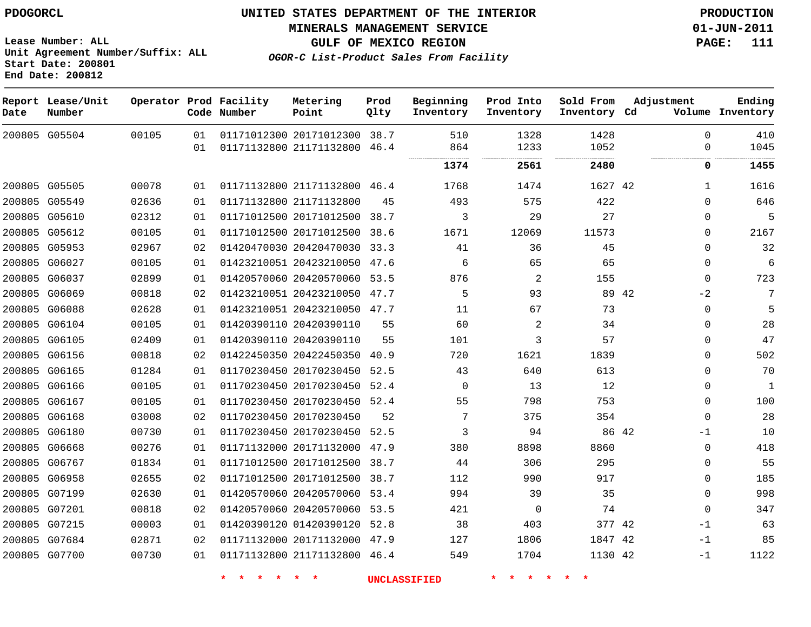**Start Date: 200801**

**Unit Agreement Number/Suffix: ALL**

# **UNITED STATES DEPARTMENT OF THE INTERIOR PDOGORCL PRODUCTION**

**MINERALS MANAGEMENT SERVICE 01-JUN-2011**

**GULF OF MEXICO REGION PAGE: 111**

**OGOR-C List-Product Sales From Facility**

|        | End Date: 200812            |       |    |                                       |                              |              |                        |                        |                           |               |                            |
|--------|-----------------------------|-------|----|---------------------------------------|------------------------------|--------------|------------------------|------------------------|---------------------------|---------------|----------------------------|
| Date   | Report Lease/Unit<br>Number |       |    | Operator Prod Facility<br>Code Number | Metering<br>Point            | Prod<br>Qlty | Beginning<br>Inventory | Prod Into<br>Inventory | Sold From<br>Inventory Cd | Adjustment    | Ending<br>Volume Inventory |
|        | 200805 G05504               | 00105 | 01 |                                       | 01171012300 20171012300 38.7 |              | 510                    | 1328                   | 1428                      | $\Omega$      | 410                        |
|        |                             |       | 01 |                                       | 01171132800 21171132800      | 46.4         | 864                    | 1233<br>.              | 1052<br>.                 | $\Omega$      | 1045                       |
|        |                             |       |    |                                       |                              |              | 1374                   | 2561                   | 2480                      | 0             | 1455                       |
|        | 200805 G05505               | 00078 | 01 |                                       | 01171132800 21171132800 46.4 |              | 1768                   | 1474                   | 1627 42                   | $\mathbf{1}$  | 1616                       |
|        | 200805 G05549               | 02636 | 01 |                                       | 01171132800 21171132800      | 45           | 493                    | 575                    | 422                       | $\Omega$      | 646                        |
|        | 200805 G05610               | 02312 | 01 |                                       | 01171012500 20171012500 38.7 |              | 3                      | 29                     | 27                        | $\mathbf 0$   | 5                          |
| 200805 | G05612                      | 00105 | 01 |                                       | 01171012500 20171012500      | 38.6         | 1671                   | 12069                  | 11573                     | $\Omega$      | 2167                       |
| 200805 | G05953                      | 02967 | 02 |                                       | 01420470030 20420470030      | 33.3         | 41                     | 36                     | 45                        | $\mathbf 0$   | 32                         |
|        | 200805 G06027               | 00105 | 01 |                                       | 01423210051 20423210050 47.6 |              | 6                      | 65                     | 65                        | $\Omega$      | 6                          |
| 200805 | G06037                      | 02899 | 01 |                                       | 01420570060 20420570060      | 53.5         | 876                    | 2                      | 155                       | $\Omega$      | 723                        |
| 200805 | G06069                      | 00818 | 02 |                                       | 01423210051 20423210050      | 47.7         | 5                      | 93                     |                           | 89 42<br>$-2$ | 7                          |
|        | 200805 G06088               | 02628 | 01 |                                       | 01423210051 20423210050 47.7 |              | 11                     | 67                     | 73                        | $\Omega$      | 5                          |
| 200805 | G06104                      | 00105 | 01 |                                       | 01420390110 20420390110      | 55           | 60                     | 2                      | 34                        | $\Omega$      | 28                         |
| 200805 | G06105                      | 02409 | 01 |                                       | 01420390110 20420390110      | 55           | 101                    | 3                      | 57                        | $\mathbf 0$   | 47                         |
|        | 200805 G06156               | 00818 | 02 |                                       | 01422450350 20422450350 40.9 |              | 720                    | 1621                   | 1839                      | $\Omega$      | 502                        |
| 200805 | G06165                      | 01284 | 01 |                                       | 01170230450 20170230450      | 52.5         | 43                     | 640                    | 613                       | $\mathbf 0$   | 70                         |
|        | 200805 G06166               | 00105 | 01 |                                       | 01170230450 20170230450      | 52.4         | 0                      | 13                     | 12                        | $\mathsf 0$   | 1                          |
|        | 200805 G06167               | 00105 | 01 |                                       | 01170230450 20170230450 52.4 |              | 55                     | 798                    | 753                       | $\Omega$      | 100                        |
| 200805 | G06168                      | 03008 | 02 |                                       | 01170230450 20170230450      | 52           | 7                      | 375                    | 354                       | $\Omega$      | 28                         |
| 200805 | G06180                      | 00730 | 01 |                                       | 01170230450 20170230450      | 52.5         | 3                      | 94                     | 86 42                     | $-1$          | 10                         |
|        | 200805 G06668               | 00276 | 01 |                                       | 01171132000 20171132000 47.9 |              | 380                    | 8898                   | 8860                      | $\Omega$      | 418                        |
| 200805 | G06767                      | 01834 | 01 |                                       | 01171012500 20171012500      | 38.7         | 44                     | 306                    | 295                       | $\mathbf 0$   | 55                         |
| 200805 | G06958                      | 02655 | 02 |                                       | 01171012500 20171012500      | 38.7         | 112                    | 990                    | 917                       | $\mathbf 0$   | 185                        |
|        | 200805 G07199               | 02630 | 01 |                                       | 01420570060 20420570060      | 53.4         | 994                    | 39                     | 35                        | $\Omega$      | 998                        |
| 200805 | G07201                      | 00818 | 02 |                                       | 01420570060 20420570060      | 53.5         | 421                    | $\mathbf 0$            | 74                        | $\Omega$      | 347                        |
|        | 200805 G07215               | 00003 | 01 |                                       | 01420390120 01420390120      | 52.8         | 38                     | 403                    | 377 42                    | $-1$          | 63                         |
|        | 200805 G07684               | 02871 | 02 |                                       | 01171132000 20171132000 47.9 |              | 127                    | 1806                   | 1847 42                   | $-1$          | 85                         |
|        | 200805 G07700               | 00730 | 01 |                                       | 01171132800 21171132800 46.4 |              | 549                    | 1704                   | 1130 42                   | $-1$          | 1122                       |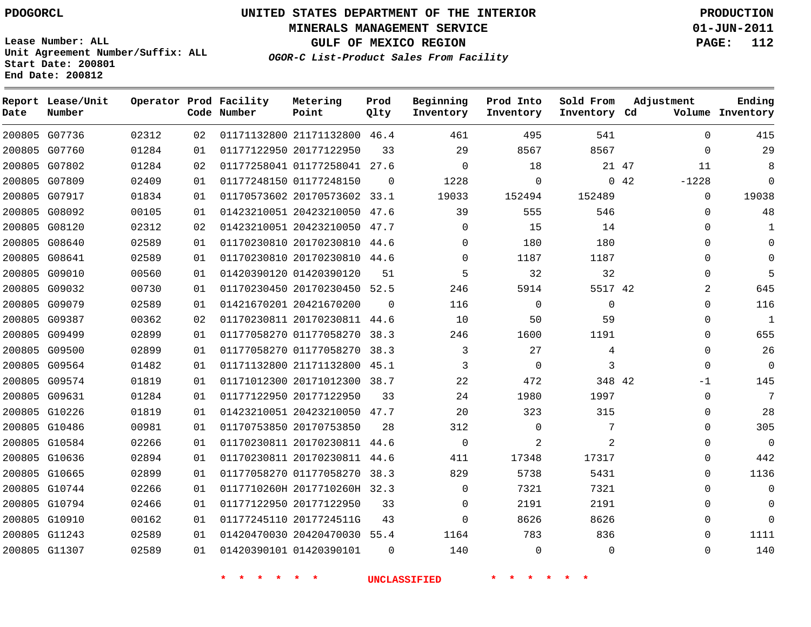**End Date: 200812**

# **UNITED STATES DEPARTMENT OF THE INTERIOR PDOGORCL PRODUCTION**

**MINERALS MANAGEMENT SERVICE 01-JUN-2011**

**GULF OF MEXICO REGION PAGE: 112**

**OGOR-C List-Product Sales From Facility Unit Agreement Number/Suffix: ALL Start Date: 200801**

| Date | Report Lease/Unit<br>Number |       |    | Operator Prod Facility<br>Code Number | Metering<br>Point            | Prod<br>Qlty | Beginning<br>Inventory | Prod Into<br>Inventory | Sold From<br>Inventory Cd | Adjustment      | Ending<br>Volume Inventory |
|------|-----------------------------|-------|----|---------------------------------------|------------------------------|--------------|------------------------|------------------------|---------------------------|-----------------|----------------------------|
|      | 200805 G07736               | 02312 | 02 |                                       | 01171132800 21171132800 46.4 |              | 461                    | 495                    | 541                       | $\Omega$        | 415                        |
|      | 200805 G07760               | 01284 | 01 |                                       | 01177122950 20177122950      | 33           | 29                     | 8567                   | 8567                      | $\Omega$        | 29                         |
|      | 200805 G07802               | 01284 | 02 |                                       | 01177258041 01177258041 27.6 |              | $\mathbf 0$            | 18                     |                           | 21 47<br>11     | 8                          |
|      | 200805 G07809               | 02409 | 01 |                                       | 01177248150 01177248150      | $\Omega$     | 1228                   | 0                      |                           | 0.42<br>$-1228$ | $\Omega$                   |
|      | 200805 G07917               | 01834 | 01 |                                       | 01170573602 20170573602 33.1 |              | 19033                  | 152494                 | 152489                    | $\Omega$        | 19038                      |
|      | 200805 G08092               | 00105 | 01 |                                       | 01423210051 20423210050 47.6 |              | 39                     | 555                    | 546                       | 0               | 48                         |
|      | 200805 G08120               | 02312 | 02 |                                       | 01423210051 20423210050 47.7 |              | $\Omega$               | 15                     | 14                        | $\mathbf 0$     | 1                          |
|      | 200805 G08640               | 02589 | 01 |                                       | 01170230810 20170230810 44.6 |              | $\Omega$               | 180                    | 180                       | $\mathbf 0$     | $\mathbf 0$                |
|      | 200805 G08641               | 02589 | 01 |                                       | 01170230810 20170230810 44.6 |              | $\Omega$               | 1187                   | 1187                      | 0               | $\mathbf 0$                |
|      | 200805 G09010               | 00560 | 01 |                                       | 01420390120 01420390120      | 51           | 5                      | 32                     | 32                        | $\Omega$        | 5                          |
|      | 200805 G09032               | 00730 | 01 |                                       | 01170230450 20170230450 52.5 |              | 246                    | 5914                   | 5517 42                   | 2               | 645                        |
|      | 200805 G09079               | 02589 | 01 |                                       | 01421670201 20421670200      | $\Omega$     | 116                    | $\Omega$               | $\Omega$                  | $\Omega$        | 116                        |
|      | 200805 G09387               | 00362 | 02 |                                       | 01170230811 20170230811 44.6 |              | 10                     | 50                     | 59                        | $\Omega$        | $\mathbf{1}$               |
|      | 200805 G09499               | 02899 | 01 |                                       | 01177058270 01177058270 38.3 |              | 246                    | 1600                   | 1191                      | 0               | 655                        |
|      | 200805 G09500               | 02899 | 01 |                                       | 01177058270 01177058270      | 38.3         | 3                      | 27                     | 4                         | $\Omega$        | 26                         |
|      | 200805 G09564               | 01482 | 01 |                                       | 01171132800 21171132800 45.1 |              | 3                      | $\Omega$               | 3                         | $\Omega$        | $\mathbf 0$                |
|      | 200805 G09574               | 01819 | 01 |                                       | 01171012300 20171012300 38.7 |              | 22                     | 472                    | 348 42                    | $-1$            | 145                        |
|      | 200805 G09631               | 01284 | 01 |                                       | 01177122950 20177122950      | 33           | 24                     | 1980                   | 1997                      | $\Omega$        | 7                          |
|      | 200805 G10226               | 01819 | 01 |                                       | 01423210051 20423210050 47.7 |              | 20                     | 323                    | 315                       | $\mathbf 0$     | 28                         |
|      | 200805 G10486               | 00981 | 01 |                                       | 01170753850 20170753850      | 28           | 312                    | $\Omega$               | 7                         | $\Omega$        | 305                        |
|      | 200805 G10584               | 02266 | 01 |                                       | 01170230811 20170230811      | 44.6         | $\mathbf 0$            | $\overline{2}$         | 2                         | 0               | $\overline{0}$             |
|      | 200805 G10636               | 02894 | 01 |                                       | 01170230811 20170230811      | 44.6         | 411                    | 17348                  | 17317                     | 0               | 442                        |
|      | 200805 G10665               | 02899 | 01 |                                       | 01177058270 01177058270      | 38.3         | 829                    | 5738                   | 5431                      | $\Omega$        | 1136                       |
|      | 200805 G10744               | 02266 | 01 |                                       | 0117710260H 2017710260H 32.3 |              | $\Omega$               | 7321                   | 7321                      | 0               | $\mathbf 0$                |
|      | 200805 G10794               | 02466 | 01 |                                       | 01177122950 20177122950      | 33           | $\Omega$               | 2191                   | 2191                      | $\Omega$        | $\mathbf 0$                |
|      | 200805 G10910               | 00162 | 01 |                                       | 01177245110 2017724511G      | 43           | $\Omega$               | 8626                   | 8626                      | 0               | $\overline{0}$             |
|      | 200805 G11243               | 02589 | 01 |                                       | 01420470030 20420470030 55.4 |              | 1164                   | 783                    | 836                       | $\Omega$        | 1111                       |
|      | 200805 G11307               | 02589 | 01 |                                       | 01420390101 01420390101      | $\Omega$     | 140                    | $\Omega$               | $\Omega$                  | $\Omega$        | 140                        |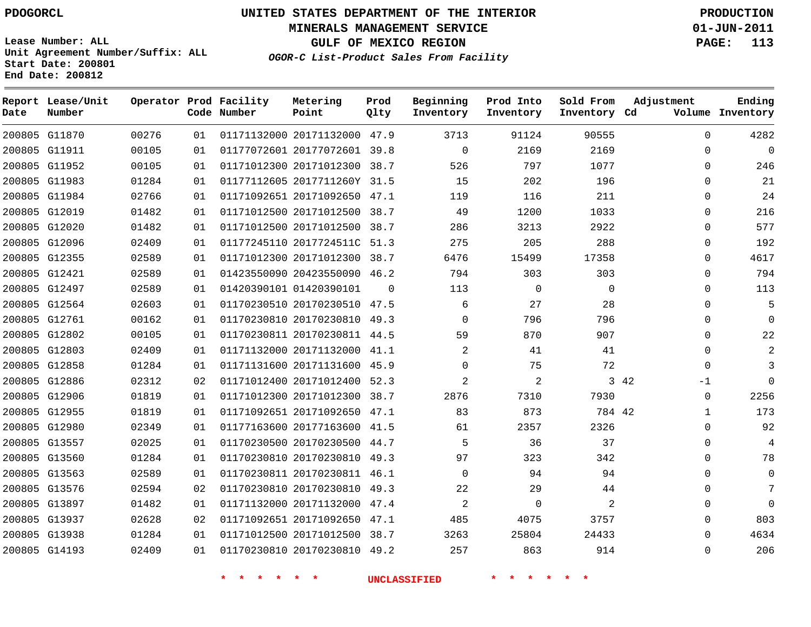# **UNITED STATES DEPARTMENT OF THE INTERIOR PDOGORCL PRODUCTION**

**MINERALS MANAGEMENT SERVICE 01-JUN-2011**

**GULF OF MEXICO REGION PAGE: 113**

**Unit Agreement Number/Suffix: ALL Start Date: 200801 End Date: 200812**

**OGOR-C List-Product Sales From Facility**

| Date | Report Lease/Unit<br>Number |       |    | Operator Prod Facility<br>Code Number | Metering<br>Point            | Prod<br>Qlty | Beginning<br>Inventory | Prod Into<br>Inventory | Sold From<br>Inventory Cd | Adjustment  | Ending<br>Volume Inventory |
|------|-----------------------------|-------|----|---------------------------------------|------------------------------|--------------|------------------------|------------------------|---------------------------|-------------|----------------------------|
|      | 200805 G11870               | 00276 | 01 |                                       | 01171132000 20171132000 47.9 |              | 3713                   | 91124                  | 90555                     | $\Omega$    | 4282                       |
|      | 200805 G11911               | 00105 | 01 |                                       | 01177072601 20177072601 39.8 |              | $\mathbf 0$            | 2169                   | 2169                      | $\Omega$    | 0                          |
|      | 200805 G11952               | 00105 | 01 |                                       | 01171012300 20171012300 38.7 |              | 526                    | 797                    | 1077                      | 0           | 246                        |
|      | 200805 G11983               | 01284 | 01 |                                       | 01177112605 2017711260Y 31.5 |              | 15                     | 202                    | 196                       | 0           | 21                         |
|      | 200805 G11984               | 02766 | 01 |                                       | 01171092651 20171092650 47.1 |              | 119                    | 116                    | 211                       | 0           | 24                         |
|      | 200805 G12019               | 01482 | 01 |                                       | 01171012500 20171012500 38.7 |              | 49                     | 1200                   | 1033                      | $\Omega$    | 216                        |
|      | 200805 G12020               | 01482 | 01 |                                       | 01171012500 20171012500 38.7 |              | 286                    | 3213                   | 2922                      | $\Omega$    | 577                        |
|      | 200805 G12096               | 02409 | 01 |                                       | 01177245110 2017724511C 51.3 |              | 275                    | 205                    | 288                       | $\Omega$    | 192                        |
|      | 200805 G12355               | 02589 | 01 |                                       | 01171012300 20171012300 38.7 |              | 6476                   | 15499                  | 17358                     | $\Omega$    | 4617                       |
|      | 200805 G12421               | 02589 | 01 |                                       | 01423550090 20423550090 46.2 |              | 794                    | 303                    | 303                       | $\Omega$    | 794                        |
|      | 200805 G12497               | 02589 | 01 |                                       | 01420390101 01420390101      | $\Omega$     | 113                    | $\mathbf{0}$           | $\Omega$                  | 0           | 113                        |
|      | 200805 G12564               | 02603 | 01 |                                       | 01170230510 20170230510 47.5 |              | 6                      | 27                     | 28                        | 0           | 5                          |
|      | 200805 G12761               | 00162 | 01 |                                       | 01170230810 20170230810 49.3 |              | $\Omega$               | 796                    | 796                       | 0           | $\Omega$                   |
|      | 200805 G12802               | 00105 | 01 |                                       | 01170230811 20170230811 44.5 |              | 59                     | 870                    | 907                       | $\Omega$    | 22                         |
|      | 200805 G12803               | 02409 | 01 |                                       | 01171132000 20171132000 41.1 |              | 2                      | 41                     | 41                        | $\Omega$    |                            |
|      | 200805 G12858               | 01284 | 01 |                                       | 01171131600 20171131600 45.9 |              | 0                      | 75                     | 72                        | $\Omega$    |                            |
|      | 200805 G12886               | 02312 | 02 |                                       | 01171012400 20171012400 52.3 |              | 2                      | $\overline{a}$         |                           | 3 4 2<br>-1 | $\Omega$                   |
|      | 200805 G12906               | 01819 | 01 |                                       | 01171012300 20171012300 38.7 |              | 2876                   | 7310                   | 7930                      | 0           | 2256                       |
|      | 200805 G12955               | 01819 | 01 |                                       | 01171092651 20171092650 47.1 |              | 83                     | 873                    | 784 42                    | 1           | 173                        |
|      | 200805 G12980               | 02349 | 01 |                                       | 01177163600 20177163600 41.5 |              | 61                     | 2357                   | 2326                      | $\Omega$    | 92                         |
|      | 200805 G13557               | 02025 | 01 |                                       | 01170230500 20170230500 44.7 |              | 5                      | 36                     | 37                        | $\Omega$    | $\overline{4}$             |
|      | 200805 G13560               | 01284 | 01 |                                       | 01170230810 20170230810 49.3 |              | 97                     | 323                    | 342                       | 0           | 78                         |
|      | 200805 G13563               | 02589 | 01 |                                       | 01170230811 20170230811 46.1 |              | $\Omega$               | 94                     | 94                        | 0           | 0                          |
|      | 200805 G13576               | 02594 | 02 |                                       | 01170230810 20170230810      | 49.3         | 22                     | 29                     | 44                        | $\Omega$    | 7                          |
|      | 200805 G13897               | 01482 | 01 |                                       | 01171132000 20171132000 47.4 |              | 2                      | $\mathbf 0$            | 2                         | $\Omega$    | $\Omega$                   |
|      | 200805 G13937               | 02628 | 02 |                                       | 01171092651 20171092650      | 47.1         | 485                    | 4075                   | 3757                      | $\Omega$    | 803                        |
|      | 200805 G13938               | 01284 | 01 |                                       | 01171012500 20171012500 38.7 |              | 3263                   | 25804                  | 24433                     | $\Omega$    | 4634                       |
|      | 200805 G14193               | 02409 | 01 |                                       | 01170230810 20170230810 49.2 |              | 257                    | 863                    | 914                       | $\Omega$    | 206                        |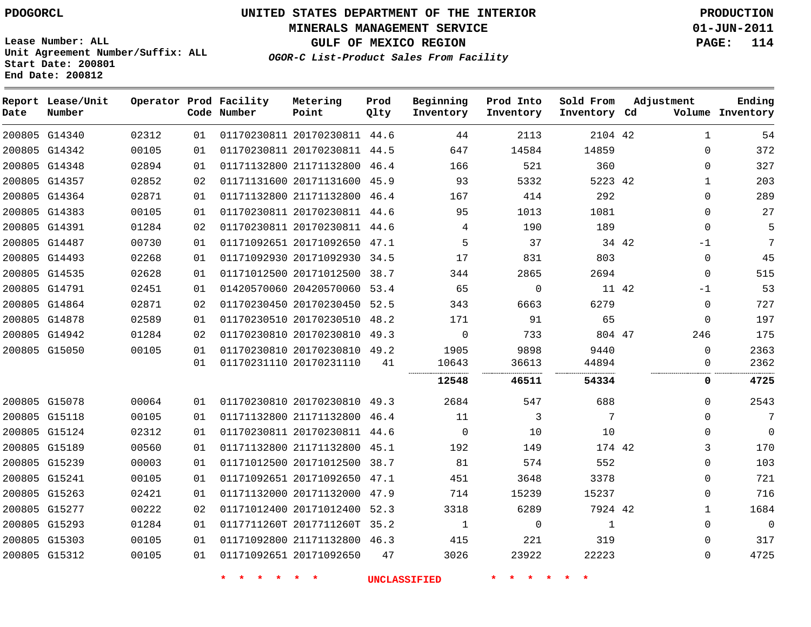**MINERALS MANAGEMENT SERVICE 01-JUN-2011**

**GULF OF MEXICO REGION PAGE: 114**

**Lease Number: ALL Unit Agreement Number/Suffix: ALL Start Date: 200801 End Date: 200812**

**OGOR-C List-Product Sales From Facility**

| Date | Report Lease/Unit<br>Number |       |    | Operator Prod Facility<br>Code Number | Metering<br>Point            | Prod<br>Qlty | Beginning<br>Inventory | Prod Into<br>Inventory | Sold From<br>Inventory Cd | Adjustment |              | Ending<br>Volume Inventory |
|------|-----------------------------|-------|----|---------------------------------------|------------------------------|--------------|------------------------|------------------------|---------------------------|------------|--------------|----------------------------|
|      | 200805 G14340               | 02312 | 01 |                                       | 01170230811 20170230811 44.6 |              | 44                     | 2113                   | 2104 42                   |            | $\mathbf 1$  | 54                         |
|      | 200805 G14342               | 00105 | 01 |                                       | 01170230811 20170230811 44.5 |              | 647                    | 14584                  | 14859                     |            | $\Omega$     | 372                        |
|      | 200805 G14348               | 02894 | 01 |                                       | 01171132800 21171132800 46.4 |              | 166                    | 521                    | 360                       |            | $\Omega$     | 327                        |
|      | 200805 G14357               | 02852 | 02 |                                       | 01171131600 20171131600 45.9 |              | 93                     | 5332                   | 5223 42                   |            | $\mathbf{1}$ | 203                        |
|      | 200805 G14364               | 02871 | 01 |                                       | 01171132800 21171132800 46.4 |              | 167                    | 414                    | 292                       |            | $\Omega$     | 289                        |
|      | 200805 G14383               | 00105 | 01 |                                       | 01170230811 20170230811 44.6 |              | 95                     | 1013                   | 1081                      |            | $\Omega$     | 27                         |
|      | 200805 G14391               | 01284 | 02 |                                       | 01170230811 20170230811 44.6 |              | 4                      | 190                    | 189                       |            | $\Omega$     | 5                          |
|      | 200805 G14487               | 00730 | 01 |                                       | 01171092651 20171092650 47.1 |              | 5                      | 37                     |                           | 34 42      | $-1$         | 7                          |
|      | 200805 G14493               | 02268 | 01 |                                       | 01171092930 20171092930 34.5 |              | 17                     | 831                    | 803                       |            | $\mathbf 0$  | 45                         |
|      | 200805 G14535               | 02628 | 01 |                                       | 01171012500 20171012500 38.7 |              | 344                    | 2865                   | 2694                      |            | $\mathbf 0$  | 515                        |
|      | 200805 G14791               | 02451 | 01 |                                       | 01420570060 20420570060 53.4 |              | 65                     | $\mathbf 0$            | 11 42                     |            | $-1$         | 53                         |
|      | 200805 G14864               | 02871 | 02 |                                       | 01170230450 20170230450 52.5 |              | 343                    | 6663                   | 6279                      |            | $\mathbf 0$  | 727                        |
|      | 200805 G14878               | 02589 | 01 |                                       | 01170230510 20170230510      | 48.2         | 171                    | 91                     | 65                        |            | $\mathbf 0$  | 197                        |
|      | 200805 G14942               | 01284 | 02 |                                       | 01170230810 20170230810 49.3 |              | 0                      | 733                    | 804 47                    |            | 246          | 175                        |
|      | 200805 G15050               | 00105 | 01 |                                       | 01170230810 20170230810 49.2 |              | 1905                   | 9898                   | 9440                      |            | $\Omega$     | 2363                       |
|      |                             |       | 01 |                                       | 01170231110 20170231110      | 41           | 10643<br>              | 36613<br>              | 44894<br>                 |            | $\Omega$     | 2362                       |
|      |                             |       |    |                                       |                              |              | 12548                  | 46511                  | 54334                     |            | 0            | 4725                       |
|      | 200805 G15078               | 00064 | 01 |                                       | 01170230810 20170230810 49.3 |              | 2684                   | 547                    | 688                       |            | $\Omega$     | 2543                       |
|      | 200805 G15118               | 00105 | 01 |                                       | 01171132800 21171132800 46.4 |              | 11                     | 3                      | 7                         |            | $\Omega$     | 7                          |
|      | 200805 G15124               | 02312 | 01 |                                       | 01170230811 20170230811 44.6 |              | $\Omega$               | 10                     | 10                        |            | $\Omega$     | $\mathbf 0$                |
|      | 200805 G15189               | 00560 | 01 |                                       | 01171132800 21171132800      | 45.1         | 192                    | 149                    | 174 42                    |            | 3            | 170                        |
|      | 200805 G15239               | 00003 | 01 |                                       | 01171012500 20171012500 38.7 |              | 81                     | 574                    | 552                       |            | $\Omega$     | 103                        |
|      | 200805 G15241               | 00105 | 01 |                                       | 01171092651 20171092650 47.1 |              | 451                    | 3648                   | 3378                      |            | $\Omega$     | 721                        |
|      | 200805 G15263               | 02421 | 01 |                                       | 01171132000 20171132000 47.9 |              | 714                    | 15239                  | 15237                     |            | $\Omega$     | 716                        |
|      | 200805 G15277               | 00222 | 02 |                                       | 01171012400 20171012400      | 52.3         | 3318                   | 6289                   | 7924 42                   |            | $\mathbf 1$  | 1684                       |
|      | 200805 G15293               | 01284 | 01 |                                       | 0117711260T 2017711260T 35.2 |              | 1                      | $\mathbf 0$            | 1                         |            | $\mathbf 0$  | $\overline{0}$             |
|      | 200805 G15303               | 00105 | 01 |                                       | 01171092800 21171132800 46.3 |              | 415                    | 221                    | 319                       |            | $\Omega$     | 317                        |
|      | 200805 G15312               | 00105 | 01 |                                       | 01171092651 20171092650      | 47           | 3026                   | 23922                  | 22223                     |            | $\mathbf 0$  | 4725                       |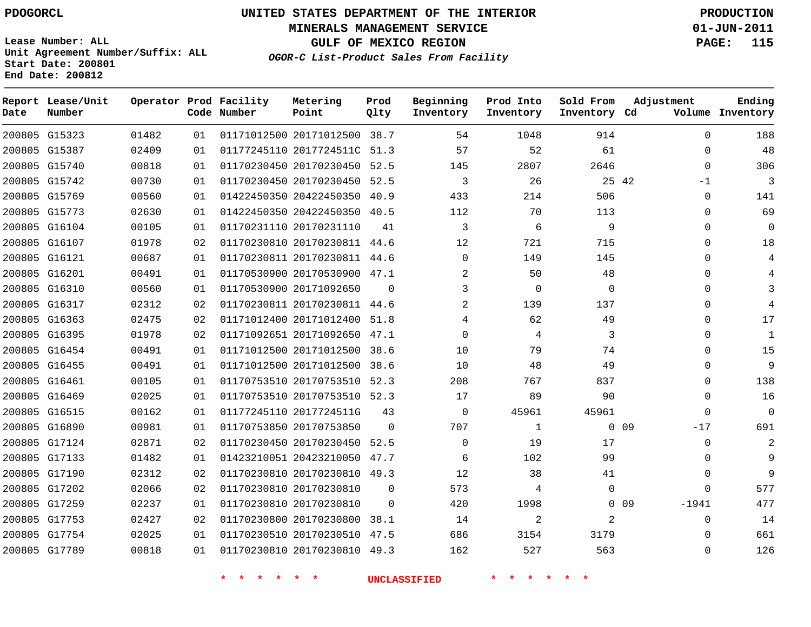**Start Date: 200801 End Date: 200812**

**Unit Agreement Number/Suffix: ALL**

# **UNITED STATES DEPARTMENT OF THE INTERIOR PDOGORCL PRODUCTION**

**MINERALS MANAGEMENT SERVICE 01-JUN-2011**

**GULF OF MEXICO REGION PAGE: 115**

**OGOR-C List-Product Sales From Facility**

| Date   | Report Lease/Unit<br>Number |       |    | Operator Prod Facility<br>Code Number | Metering<br>Point            | Prod<br>Qlty | Beginning<br>Inventory | Prod Into<br>Inventory | Sold From<br>Inventory Cd | Adjustment        | Ending<br>Volume Inventory |
|--------|-----------------------------|-------|----|---------------------------------------|------------------------------|--------------|------------------------|------------------------|---------------------------|-------------------|----------------------------|
|        | 200805 G15323               | 01482 | 01 |                                       | 01171012500 20171012500 38.7 |              | 54                     | 1048                   | 914                       | $\Omega$          | 188                        |
|        | 200805 G15387               | 02409 | 01 |                                       | 01177245110 2017724511C      | 51.3         | 57                     | 52                     | 61                        | $\mathbf 0$       | 48                         |
|        | 200805 G15740               | 00818 | 01 |                                       | 01170230450 20170230450      | 52.5         | 145                    | 2807                   | 2646                      | $\Omega$          | 306                        |
|        | 200805 G15742               | 00730 | 01 |                                       | 01170230450 20170230450      | 52.5         | 3                      | 26                     |                           | 25 42<br>$-1$     | 3                          |
|        | 200805 G15769               | 00560 | 01 |                                       | 01422450350 20422450350      | 40.9         | 433                    | 214                    | 506                       | $\Omega$          | 141                        |
| 200805 | G15773                      | 02630 | 01 |                                       | 01422450350 20422450350      | 40.5         | 112                    | 70                     | 113                       | $\mathbf 0$       | 69                         |
|        | 200805 G16104               | 00105 | 01 |                                       | 01170231110 20170231110      | 41           | 3                      | 6                      | 9                         | $\Omega$          | $\mathbf 0$                |
|        | 200805 G16107               | 01978 | 02 |                                       | 01170230810 20170230811      | 44.6         | 12                     | 721                    | 715                       | $\Omega$          | 18                         |
|        | 200805 G16121               | 00687 | 01 |                                       | 01170230811 20170230811      | 44.6         | $\Omega$               | 149                    | 145                       | $\Omega$          | 4                          |
| 200805 | G16201                      | 00491 | 01 |                                       | 01170530900 20170530900      | 47.1         | 2                      | 50                     | 48                        | $\Omega$          | 4                          |
|        | 200805 G16310               | 00560 | 01 |                                       | 01170530900 20171092650      | $\mathbf 0$  | 3                      | $\mathbf 0$            | $\mathbf 0$               | $\Omega$          | 3                          |
|        | 200805 G16317               | 02312 | 02 |                                       | 01170230811 20170230811      | 44.6         | 2                      | 139                    | 137                       | $\Omega$          | $\overline{4}$             |
|        | 200805 G16363               | 02475 | 02 |                                       | 01171012400 20171012400      | 51.8         | 4                      | 62                     | 49                        | $\Omega$          | 17                         |
|        | 200805 G16395               | 01978 | 02 |                                       | 01171092651 20171092650      | 47.1         | 0                      | 4                      | 3                         | $\Omega$          | $\mathbf{1}$               |
| 200805 | G16454                      | 00491 | 01 |                                       | 01171012500 20171012500      | 38.6         | 10                     | 79                     | 74                        | $\Omega$          | 15                         |
|        | 200805 G16455               | 00491 | 01 |                                       | 01171012500 20171012500      | 38.6         | 10                     | 48                     | 49                        | $\Omega$          | 9                          |
| 200805 | G16461                      | 00105 | 01 |                                       | 01170753510 20170753510      | 52.3         | 208                    | 767                    | 837                       | $\Omega$          | 138                        |
|        | 200805 G16469               | 02025 | 01 |                                       | 01170753510 20170753510 52.3 |              | 17                     | 89                     | 90                        | $\Omega$          | 16                         |
| 200805 | G16515                      | 00162 | 01 |                                       | 01177245110 2017724511G      | 43           | 0                      | 45961                  | 45961                     | $\mathbf 0$       | $\mathbf 0$                |
|        | 200805 G16890               | 00981 | 01 |                                       | 01170753850 20170753850      | $\Omega$     | 707                    | $\mathbf{1}$           | $\Omega$                  | 09<br>$-17$       | 691                        |
|        | 200805 G17124               | 02871 | 02 |                                       | 01170230450 20170230450      | 52.5         | 0                      | 19                     | 17                        | $\Omega$          | $\overline{2}$             |
|        | 200805 G17133               | 01482 | 01 |                                       | 01423210051 20423210050      | 47.7         | 6                      | 102                    | 99                        | $\Omega$          | 9                          |
| 200805 | G17190                      | 02312 | 02 |                                       | 01170230810 20170230810      | 49.3         | 12                     | 38                     | 41                        | $\Omega$          | 9                          |
|        | 200805 G17202               | 02066 | 02 |                                       | 01170230810 20170230810      | $\Omega$     | 573                    | 4                      | $\Omega$                  | $\Omega$          | 577                        |
| 200805 | G17259                      | 02237 | 01 |                                       | 01170230810 20170230810      | $\Omega$     | 420                    | 1998                   |                           | $0$ 09<br>$-1941$ | 477                        |
| 200805 | G17753                      | 02427 | 02 |                                       | 01170230800 20170230800      | 38.1         | 14                     | $\overline{2}$         | 2                         | $\Omega$          | 14                         |
| 200805 | G17754                      | 02025 | 01 |                                       | 01170230510 20170230510      | 47.5         | 686                    | 3154                   | 3179                      | $\Omega$          | 661                        |
|        | 200805 G17789               | 00818 | 01 |                                       | 01170230810 20170230810      | 49.3         | 162                    | 527                    | 563                       | $\Omega$          | 126                        |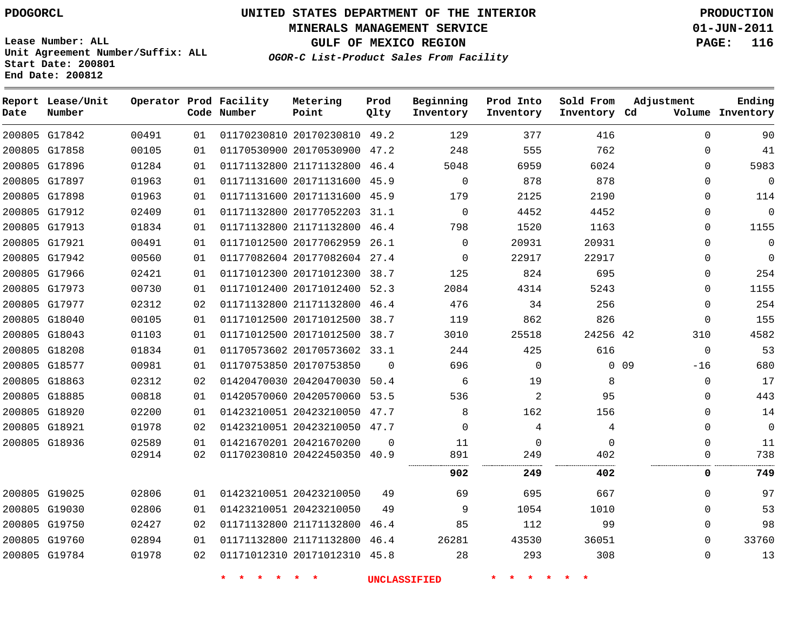**Start Date: 200801 End Date: 200812**

**Unit Agreement Number/Suffix: ALL**

# **UNITED STATES DEPARTMENT OF THE INTERIOR PDOGORCL PRODUCTION**

**MINERALS MANAGEMENT SERVICE 01-JUN-2011**

**GULF OF MEXICO REGION PAGE: 116**

**OGOR-C List-Product Sales From Facility**

| Date | Report Lease/Unit<br>Number |       |    | Operator Prod Facility<br>Code Number | Metering<br>Point            | Prod<br>Qlty | Beginning<br>Inventory | Prod Into<br>Inventory | Sold From<br>Inventory Cd | Adjustment    | Ending<br>Volume Inventory |
|------|-----------------------------|-------|----|---------------------------------------|------------------------------|--------------|------------------------|------------------------|---------------------------|---------------|----------------------------|
|      | 200805 G17842               | 00491 | 01 |                                       | 01170230810 20170230810      | 49.2         | 129                    | 377                    | 416                       | $\Omega$      | 90                         |
|      | 200805 G17858               | 00105 | 01 |                                       | 01170530900 20170530900      | 47.2         | 248                    | 555                    | 762                       | 0             | 41                         |
|      | 200805 G17896               | 01284 | 01 |                                       | 01171132800 21171132800      | 46.4         | 5048                   | 6959                   | 6024                      | $\Omega$      | 5983                       |
|      | 200805 G17897               | 01963 | 01 |                                       | 01171131600 20171131600      | 45.9         | 0                      | 878                    | 878                       | 0             | $\overline{0}$             |
|      | 200805 G17898               | 01963 | 01 |                                       | 01171131600 20171131600 45.9 |              | 179                    | 2125                   | 2190                      | $\Omega$      | 114                        |
|      | 200805 G17912               | 02409 | 01 |                                       | 01171132800 20177052203      | 31.1         | $\mathbf 0$            | 4452                   | 4452                      | $\Omega$      | $\Omega$                   |
|      | 200805 G17913               | 01834 | 01 |                                       | 01171132800 21171132800      | 46.4         | 798                    | 1520                   | 1163                      | 0             | 1155                       |
|      | 200805 G17921               | 00491 | 01 |                                       | 01171012500 20177062959      | 26.1         | $\mathbf 0$            | 20931                  | 20931                     | $\Omega$      | $\mathbf 0$                |
|      | 200805 G17942               | 00560 | 01 |                                       | 01177082604 20177082604      | 27.4         | 0                      | 22917                  | 22917                     | $\Omega$      | $\Omega$                   |
|      | 200805 G17966               | 02421 | 01 |                                       | 01171012300 20171012300      | 38.7         | 125                    | 824                    | 695                       | $\Omega$      | 254                        |
|      | 200805 G17973               | 00730 | 01 |                                       | 01171012400 20171012400      | 52.3         | 2084                   | 4314                   | 5243                      | $\Omega$      | 1155                       |
|      | 200805 G17977               | 02312 | 02 |                                       | 01171132800 21171132800      | 46.4         | 476                    | 34                     | 256                       | $\Omega$      | 254                        |
|      | 200805 G18040               | 00105 | 01 |                                       | 01171012500 20171012500      | 38.7         | 119                    | 862                    | 826                       | $\Omega$      | 155                        |
|      | 200805 G18043               | 01103 | 01 |                                       | 01171012500 20171012500      | 38.7         | 3010                   | 25518                  | 24256 42                  | 310           | 4582                       |
|      | 200805 G18208               | 01834 | 01 |                                       | 01170573602 20170573602      | 33.1         | 244                    | 425                    | 616                       | $\mathbf 0$   | 53                         |
|      | 200805 G18577               | 00981 | 01 |                                       | 01170753850 20170753850      | $\Omega$     | 696                    | $\Omega$               |                           | 0.09<br>$-16$ | 680                        |
|      | 200805 G18863               | 02312 | 02 |                                       | 01420470030 20420470030      | 50.4         | 6                      | 19                     | 8                         | 0             | 17                         |
|      | 200805 G18885               | 00818 | 01 |                                       | 01420570060 20420570060      | 53.5         | 536                    | $\overline{a}$         | 95                        | $\Omega$      | 443                        |
|      | 200805 G18920               | 02200 | 01 |                                       | 01423210051 20423210050      | 47.7         | 8                      | 162                    | 156                       | 0             | 14                         |
|      | 200805 G18921               | 01978 | 02 |                                       | 01423210051 20423210050      | 47.7         | $\mathbf 0$            | 4                      | 4                         | $\Omega$      | $\Omega$                   |
|      | 200805 G18936               | 02589 | 01 |                                       | 01421670201 20421670200      | $\Omega$     | 11                     | $\Omega$               | $\mathbf 0$               | $\Omega$      | 11                         |
|      |                             | 02914 | 02 |                                       | 01170230810 20422450350      | 40.9         | 891                    | 249                    | 402                       | $\Omega$      | 738                        |
|      |                             |       |    |                                       |                              |              | 902                    | 249                    | 402                       | 0             | 749                        |
|      | 200805 G19025               | 02806 | 01 |                                       | 01423210051 20423210050      | 49           | 69                     | 695                    | 667                       | 0             | 97                         |
|      | 200805 G19030               | 02806 | 01 |                                       | 01423210051 20423210050      | 49           | 9                      | 1054                   | 1010                      | $\Omega$      | 53                         |
|      | 200805 G19750               | 02427 | 02 |                                       | 01171132800 21171132800      | 46.4         | 85                     | 112                    | 99                        | $\Omega$      | 98                         |
|      | 200805 G19760               | 02894 | 01 |                                       | 01171132800 21171132800      | 46.4         | 26281                  | 43530                  | 36051                     | $\Omega$      | 33760                      |
|      | 200805 G19784               | 01978 | 02 |                                       | 01171012310 20171012310 45.8 |              | 28                     | 293                    | 308                       | 0             | 13                         |
|      |                             |       |    |                                       |                              |              |                        |                        |                           |               |                            |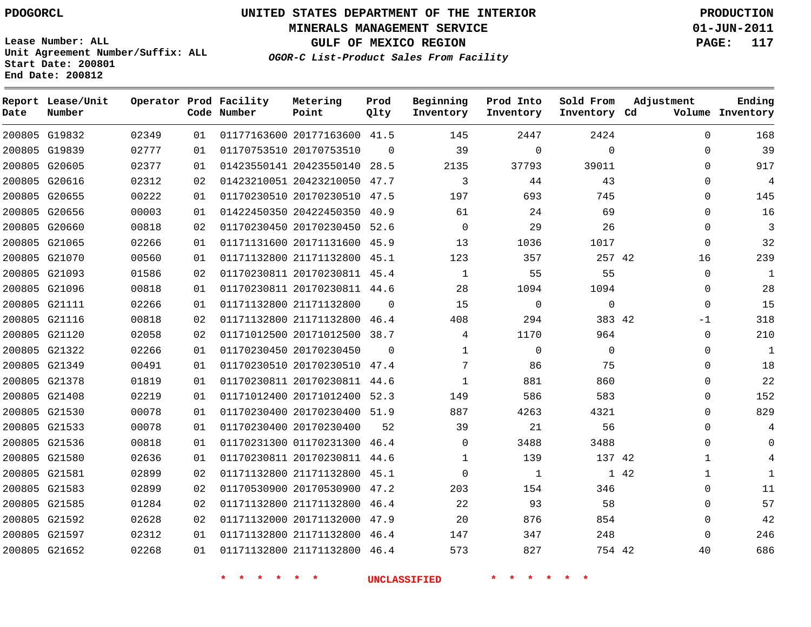# **UNITED STATES DEPARTMENT OF THE INTERIOR PDOGORCL PRODUCTION**

**MINERALS MANAGEMENT SERVICE 01-JUN-2011**

**GULF OF MEXICO REGION PAGE: 117**

**OGOR-C List-Product Sales From Facility Unit Agreement Number/Suffix: ALL Start Date: 200801 End Date: 200812**

| Date | Report Lease/Unit<br>Number |       |    | Operator Prod Facility<br>Code Number | Metering<br>Point            | Prod<br>Qlty | Beginning<br>Inventory | Prod Into<br>Inventory | Sold From<br>Inventory Cd | Adjustment  | Ending<br>Volume Inventory |
|------|-----------------------------|-------|----|---------------------------------------|------------------------------|--------------|------------------------|------------------------|---------------------------|-------------|----------------------------|
|      | 200805 G19832               | 02349 | 01 |                                       | 01177163600 20177163600 41.5 |              | 145                    | 2447                   | 2424                      | $\mathbf 0$ | 168                        |
|      | 200805 G19839               | 02777 | 01 |                                       | 01170753510 20170753510      | $\Omega$     | 39                     | $\Omega$               | $\Omega$                  | $\Omega$    | 39                         |
|      | 200805 G20605               | 02377 | 01 |                                       | 01423550141 20423550140 28.5 |              | 2135                   | 37793                  | 39011                     | $\Omega$    | 917                        |
|      | 200805 G20616               | 02312 | 02 |                                       | 01423210051 20423210050 47.7 |              | 3                      | 44                     | 43                        | $\Omega$    | 4                          |
|      | 200805 G20655               | 00222 | 01 |                                       | 01170230510 20170230510 47.5 |              | 197                    | 693                    | 745                       | $\Omega$    | 145                        |
|      | 200805 G20656               | 00003 | 01 |                                       | 01422450350 20422450350 40.9 |              | 61                     | 24                     | 69                        | $\Omega$    | 16                         |
|      | 200805 G20660               | 00818 | 02 |                                       | 01170230450 20170230450      | 52.6         | 0                      | 29                     | 26                        | $\mathbf 0$ | 3                          |
|      | 200805 G21065               | 02266 | 01 |                                       | 01171131600 20171131600 45.9 |              | 13                     | 1036                   | 1017                      | $\Omega$    | 32                         |
|      | 200805 G21070               | 00560 | 01 |                                       | 01171132800 21171132800 45.1 |              | 123                    | 357                    | 257 42                    | 16          | 239                        |
|      | 200805 G21093               | 01586 | 02 |                                       | 01170230811 20170230811 45.4 |              | 1                      | 55                     | 55                        | $\Omega$    | 1                          |
|      | 200805 G21096               | 00818 | 01 |                                       | 01170230811 20170230811 44.6 |              | 28                     | 1094                   | 1094                      | $\Omega$    | 28                         |
|      | 200805 G21111               | 02266 | 01 |                                       | 01171132800 21171132800      | $\Omega$     | 15                     | $\mathbf 0$            | $\mathbf 0$               | $\Omega$    | 15                         |
|      | 200805 G21116               | 00818 | 02 |                                       | 01171132800 21171132800 46.4 |              | 408                    | 294                    | 383 42                    | $-1$        | 318                        |
|      | 200805 G21120               | 02058 | 02 |                                       | 01171012500 20171012500 38.7 |              | 4                      | 1170                   | 964                       | $\Omega$    | 210                        |
|      | 200805 G21322               | 02266 | 01 |                                       | 01170230450 20170230450      | $\Omega$     | $\mathbf{1}$           | $\mathbf 0$            | $\Omega$                  | $\mathbf 0$ | 1                          |
|      | 200805 G21349               | 00491 | 01 |                                       | 01170230510 20170230510 47.4 |              | 7                      | 86                     | 75                        | $\Omega$    | 18                         |
|      | 200805 G21378               | 01819 | 01 |                                       | 01170230811 20170230811      | 44.6         | $\mathbf{1}$           | 881                    | 860                       | $\Omega$    | 22                         |
|      | 200805 G21408               | 02219 | 01 |                                       | 01171012400 20171012400 52.3 |              | 149                    | 586                    | 583                       | $\mathbf 0$ | 152                        |
|      | 200805 G21530               | 00078 | 01 |                                       | 01170230400 20170230400      | 51.9         | 887                    | 4263                   | 4321                      | $\Omega$    | 829                        |
|      | 200805 G21533               | 00078 | 01 |                                       | 01170230400 20170230400      | 52           | 39                     | 21                     | 56                        | $\Omega$    | 4                          |
|      | 200805 G21536               | 00818 | 01 |                                       | 01170231300 01170231300      | 46.4         | $\Omega$               | 3488                   | 3488                      | $\Omega$    | $\Omega$                   |
|      | 200805 G21580               | 02636 | 01 |                                       | 01170230811 20170230811      | 44.6         | 1                      | 139                    | 137 42                    | 1           | 4                          |
|      | 200805 G21581               | 02899 | 02 |                                       | 01171132800 21171132800      | 45.1         | $\Omega$               | $\mathbf{1}$           |                           | 1 42<br>1   | $\mathbf{1}$               |
|      | 200805 G21583               | 02899 | 02 |                                       | 01170530900 20170530900      | 47.2         | 203                    | 154                    | 346                       | $\mathbf 0$ | 11                         |
|      | 200805 G21585               | 01284 | 02 |                                       | 01171132800 21171132800 46.4 |              | 22                     | 93                     | 58                        | $\Omega$    | 57                         |
|      | 200805 G21592               | 02628 | 02 |                                       | 01171132000 20171132000      | 47.9         | 20                     | 876                    | 854                       | $\mathbf 0$ | 42                         |
|      | 200805 G21597               | 02312 | 01 |                                       | 01171132800 21171132800 46.4 |              | 147                    | 347                    | 248                       | $\Omega$    | 246                        |
|      | 200805 G21652               | 02268 | 01 |                                       | 01171132800 21171132800 46.4 |              | 573                    | 827                    | 754 42                    | 40          | 686                        |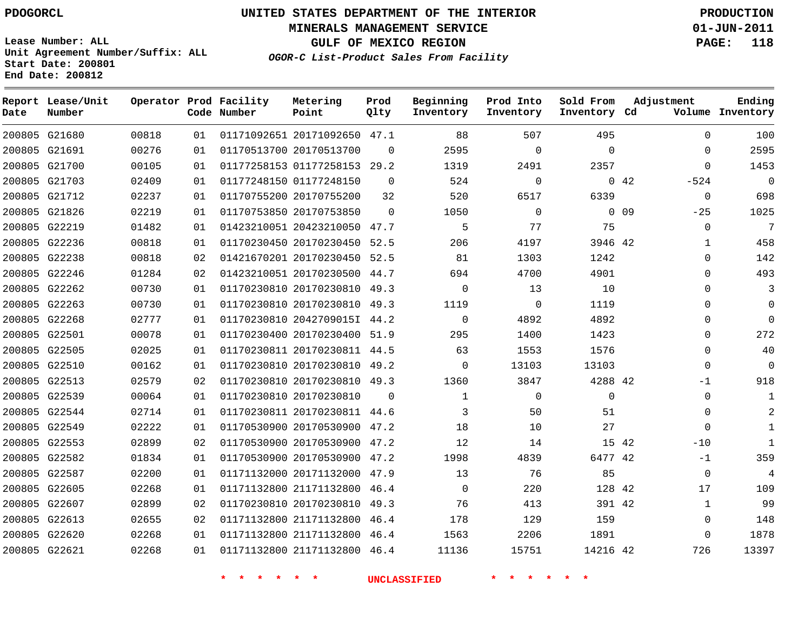#### **MINERALS MANAGEMENT SERVICE 01-JUN-2011**

**GULF OF MEXICO REGION PAGE: 118**

**Lease Number: ALL Unit Agreement Number/Suffix: ALL Start Date: 200801 End Date: 200812**

**OGOR-C List-Product Sales From Facility**

| Date | Report Lease/Unit<br>Number |       |    | Operator Prod Facility<br>Code Number | Metering<br>Point            | Prod<br>Qlty | Beginning<br>Inventory | Prod Into<br>Inventory | Sold From<br>Inventory Cd | Adjustment            | Ending<br>Volume Inventory |
|------|-----------------------------|-------|----|---------------------------------------|------------------------------|--------------|------------------------|------------------------|---------------------------|-----------------------|----------------------------|
|      | 200805 G21680               | 00818 | 01 |                                       | 01171092651 20171092650 47.1 |              | 88                     | 507                    | 495                       | $\Omega$              | 100                        |
|      | 200805 G21691               | 00276 | 01 |                                       | 01170513700 20170513700      | $\Omega$     | 2595                   | 0                      | $\mathbf 0$               | 0                     | 2595                       |
|      | 200805 G21700               | 00105 | 01 |                                       | 01177258153 01177258153 29.2 |              | 1319                   | 2491                   | 2357                      | $\Omega$              | 1453                       |
|      | 200805 G21703               | 02409 | 01 |                                       | 01177248150 01177248150      | $\mathbf 0$  | 524                    | 0                      |                           | $0\quad 42$<br>$-524$ | $\mathbf 0$                |
|      | 200805 G21712               | 02237 | 01 |                                       | 01170755200 20170755200      | 32           | 520                    | 6517                   | 6339                      | $\mathbf 0$           | 698                        |
|      | 200805 G21826               | 02219 | 01 |                                       | 01170753850 20170753850      | $\Omega$     | 1050                   | $\mathbf 0$            |                           | $0\quad09$<br>$-25$   | 1025                       |
|      | 200805 G22219               | 01482 | 01 |                                       | 01423210051 20423210050 47.7 |              | 5                      | 77                     | 75                        | $\Omega$              | 7                          |
|      | 200805 G22236               | 00818 | 01 |                                       | 01170230450 20170230450      | 52.5         | 206                    | 4197                   | 3946 42                   | 1                     | 458                        |
|      | 200805 G22238               | 00818 | 02 |                                       | 01421670201 20170230450 52.5 |              | 81                     | 1303                   | 1242                      | 0                     | 142                        |
|      | 200805 G22246               | 01284 | 02 |                                       | 01423210051 20170230500 44.7 |              | 694                    | 4700                   | 4901                      | 0                     | 493                        |
|      | 200805 G22262               | 00730 | 01 |                                       | 01170230810 20170230810 49.3 |              | $\Omega$               | 13                     | 10                        | $\Omega$              | 3                          |
|      | 200805 G22263               | 00730 | 01 |                                       | 01170230810 20170230810      | 49.3         | 1119                   | 0                      | 1119                      | $\Omega$              | 0                          |
|      | 200805 G22268               | 02777 | 01 |                                       | 01170230810 2042709015I 44.2 |              | $\Omega$               | 4892                   | 4892                      | $\Omega$              | $\Omega$                   |
|      | 200805 G22501               | 00078 | 01 |                                       | 01170230400 20170230400 51.9 |              | 295                    | 1400                   | 1423                      | 0                     | 272                        |
|      | 200805 G22505               | 02025 | 01 |                                       | 01170230811 20170230811 44.5 |              | 63                     | 1553                   | 1576                      | $\Omega$              | 40                         |
|      | 200805 G22510               | 00162 | 01 |                                       | 01170230810 20170230810      | 49.2         | $\Omega$               | 13103                  | 13103                     | $\Omega$              | 0                          |
|      | 200805 G22513               | 02579 | 02 |                                       | 01170230810 20170230810 49.3 |              | 1360                   | 3847                   | 4288 42                   | -1                    | 918                        |
|      | 200805 G22539               | 00064 | 01 |                                       | 01170230810 20170230810      | $\Omega$     | $\mathbf{1}$           | 0                      | $\Omega$                  | $\mathbf 0$           | -1                         |
|      | 200805 G22544               | 02714 | 01 |                                       | 01170230811 20170230811 44.6 |              | 3                      | 50                     | 51                        | $\Omega$              |                            |
|      | 200805 G22549               | 02222 | 01 |                                       | 01170530900 20170530900      | 47.2         | 18                     | 10                     | 27                        | $\Omega$              | $\mathbf{1}$               |
|      | 200805 G22553               | 02899 | 02 |                                       | 01170530900 20170530900 47.2 |              | 12                     | 14                     |                           | 15 42<br>$-10$        | $\mathbf{1}$               |
|      | 200805 G22582               | 01834 | 01 |                                       | 01170530900 20170530900 47.2 |              | 1998                   | 4839                   | 6477 42                   | $-1$                  | 359                        |
|      | 200805 G22587               | 02200 | 01 |                                       | 01171132000 20171132000 47.9 |              | 13                     | 76                     | 85                        | $\Omega$              | $\overline{4}$             |
|      | 200805 G22605               | 02268 | 01 |                                       | 01171132800 21171132800      | 46.4         | $\mathbf 0$            | 220                    | 128 42                    | 17                    | 109                        |
|      | 200805 G22607               | 02899 | 02 |                                       | 01170230810 20170230810 49.3 |              | 76                     | 413                    | 391 42                    | 1                     | 99                         |
|      | 200805 G22613               | 02655 | 02 |                                       | 01171132800 21171132800      | 46.4         | 178                    | 129                    | 159                       | $\Omega$              | 148                        |
|      | 200805 G22620               | 02268 | 01 |                                       | 01171132800 21171132800      | 46.4         | 1563                   | 2206                   | 1891                      | $\Omega$              | 1878                       |
|      | 200805 G22621               | 02268 | 01 |                                       | 01171132800 21171132800 46.4 |              | 11136                  | 15751                  | 14216 42                  | 726                   | 13397                      |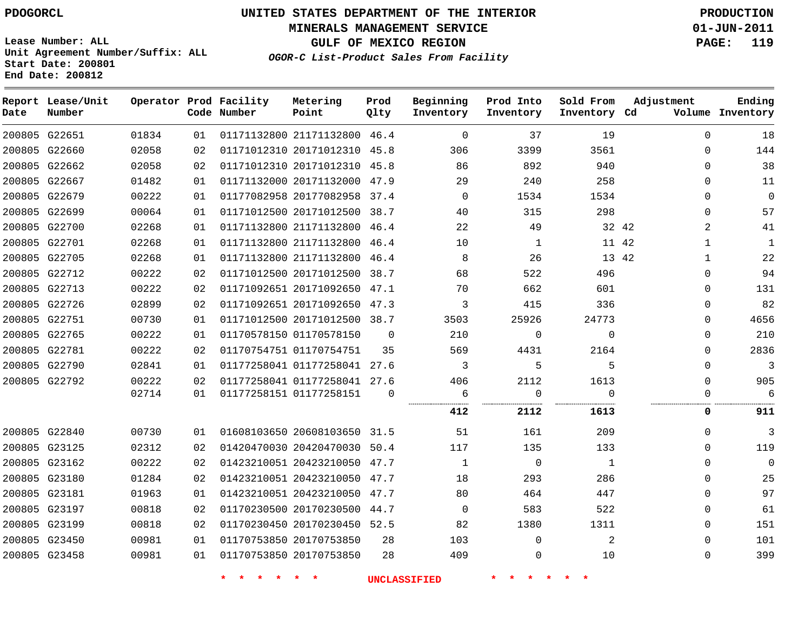**MINERALS MANAGEMENT SERVICE 01-JUN-2011**

**GULF OF MEXICO REGION PAGE: 119**

**Lease Number: ALL Unit Agreement Number/Suffix: ALL Start Date: 200801 End Date: 200812**

**OGOR-C List-Product Sales From Facility**

| Date | Report Lease/Unit<br>Number |       |    | Operator Prod Facility<br>Code Number | Metering<br>Point            | Prod<br>Qlty | Beginning<br>Inventory | Prod Into<br>Inventory | Sold From<br>Inventory Cd | Adjustment   | Ending<br>Volume Inventory |
|------|-----------------------------|-------|----|---------------------------------------|------------------------------|--------------|------------------------|------------------------|---------------------------|--------------|----------------------------|
|      | 200805 G22651               | 01834 | 01 |                                       | 01171132800 21171132800      | 46.4         | 0                      | 37                     | 19                        | $\mathbf 0$  | 18                         |
|      | 200805 G22660               | 02058 | 02 |                                       | 01171012310 20171012310 45.8 |              | 306                    | 3399                   | 3561                      | 0            | 144                        |
|      | 200805 G22662               | 02058 | 02 |                                       | 01171012310 20171012310 45.8 |              | 86                     | 892                    | 940                       | $\Omega$     | 38                         |
|      | 200805 G22667               | 01482 | 01 |                                       | 01171132000 20171132000      | 47.9         | 29                     | 240                    | 258                       | 0            | 11                         |
|      | 200805 G22679               | 00222 | 01 |                                       | 01177082958 20177082958 37.4 |              | $\Omega$               | 1534                   | 1534                      | 0            | $\mathbf{0}$               |
|      | 200805 G22699               | 00064 | 01 |                                       | 01171012500 20171012500      | 38.7         | 40                     | 315                    | 298                       | $\mathbf{0}$ | 57                         |
|      | 200805 G22700               | 02268 | 01 |                                       | 01171132800 21171132800 46.4 |              | 22                     | 49                     | 32 42                     | 2            | 41                         |
|      | 200805 G22701               | 02268 | 01 |                                       | 01171132800 21171132800      | 46.4         | 10                     | $\mathbf{1}$           | 11 42                     | $\mathbf{1}$ | $\mathbf{1}$               |
|      | 200805 G22705               | 02268 | 01 |                                       | 01171132800 21171132800      | 46.4         | 8                      | 26                     | 13 42                     | 1            | 22                         |
|      | 200805 G22712               | 00222 | 02 |                                       | 01171012500 20171012500      | 38.7         | 68                     | 522                    | 496                       | $\Omega$     | 94                         |
|      | 200805 G22713               | 00222 | 02 |                                       | 01171092651 20171092650      | 47.1         | 70                     | 662                    | 601                       | 0            | 131                        |
|      | 200805 G22726               | 02899 | 02 |                                       | 01171092651 20171092650 47.3 |              | 3                      | 415                    | 336                       | $\Omega$     | 82                         |
|      | 200805 G22751               | 00730 | 01 |                                       | 01171012500 20171012500      | 38.7         | 3503                   | 25926                  | 24773                     | $\Omega$     | 4656                       |
|      | 200805 G22765               | 00222 | 01 |                                       | 01170578150 01170578150      | $\Omega$     | 210                    | 0                      | $\Omega$                  | $\Omega$     | 210                        |
|      | 200805 G22781               | 00222 | 02 |                                       | 01170754751 01170754751      | 35           | 569                    | 4431                   | 2164                      | $\Omega$     | 2836                       |
|      | 200805 G22790               | 02841 | 01 |                                       | 01177258041 01177258041 27.6 |              | 3                      | 5                      | 5                         | $\Omega$     | 3                          |
|      | 200805 G22792               | 00222 | 02 |                                       | 01177258041 01177258041      | 27.6         | 406                    | 2112                   | 1613                      | $\Omega$     | 905                        |
|      |                             | 02714 | 01 |                                       | 01177258151 01177258151      | $\Omega$     | 6<br>                  | 0                      | $\Omega$                  | $\Omega$     | 6                          |
|      |                             |       |    |                                       |                              |              | 412                    | 2112                   | 1613                      | 0            | 911                        |
|      | 200805 G22840               | 00730 | 01 |                                       | 01608103650 20608103650 31.5 |              | 51                     | 161                    | 209                       | $\Omega$     | 3                          |
|      | 200805 G23125               | 02312 | 02 |                                       | 01420470030 20420470030 50.4 |              | 117                    | 135                    | 133                       | $\Omega$     | 119                        |
|      | 200805 G23162               | 00222 | 02 |                                       | 01423210051 20423210050      | 47.7         | $\mathbf{1}$           | $\mathbf 0$            | 1                         | $\Omega$     | $\mathbf 0$                |
|      | 200805 G23180               | 01284 | 02 |                                       | 01423210051 20423210050      | 47.7         | 18                     | 293                    | 286                       | $\Omega$     | 25                         |
|      | 200805 G23181               | 01963 | 01 |                                       | 01423210051 20423210050      | 47.7         | 80                     | 464                    | 447                       | $\Omega$     | 97                         |
|      | 200805 G23197               | 00818 | 02 |                                       | 01170230500 20170230500      | 44.7         | $\mathbf 0$            | 583                    | 522                       | 0            | 61                         |
|      | 200805 G23199               | 00818 | 02 |                                       | 01170230450 20170230450 52.5 |              | 82                     | 1380                   | 1311                      | $\Omega$     | 151                        |
|      | 200805 G23450               | 00981 | 01 |                                       | 01170753850 20170753850      | 28           | 103                    | 0                      | 2                         | $\Omega$     | 101                        |
|      | 200805 G23458               | 00981 | 01 |                                       | 01170753850 20170753850      | 28           | 409                    | 0                      | 10                        | $\Omega$     | 399                        |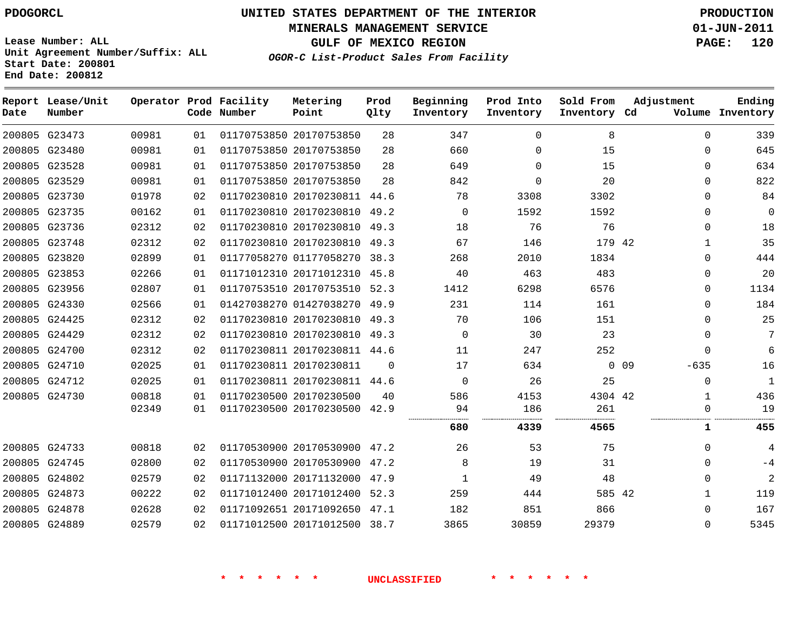**MINERALS MANAGEMENT SERVICE 01-JUN-2011**

**GULF OF MEXICO REGION PAGE: 120**

**Lease Number: ALL Unit Agreement Number/Suffix: ALL Start Date: 200801 End Date: 200812**

**OGOR-C List-Product Sales From Facility**

| Date | Report Lease/Unit<br>Number |       |    | Operator Prod Facility<br>Code Number | Metering<br>Point            | Prod<br>Qlty | Beginning<br>Inventory | Prod Into<br>Inventory | Sold From<br>Inventory Cd | Adjustment       | Ending<br>Volume Inventory |
|------|-----------------------------|-------|----|---------------------------------------|------------------------------|--------------|------------------------|------------------------|---------------------------|------------------|----------------------------|
|      | 200805 G23473               | 00981 | 01 |                                       | 01170753850 20170753850      | 28           | 347                    | $\Omega$               | 8                         | $\Omega$         | 339                        |
|      | 200805 G23480               | 00981 | 01 |                                       | 01170753850 20170753850      | 28           | 660                    | $\Omega$               | 15                        | $\Omega$         | 645                        |
|      | 200805 G23528               | 00981 | 01 |                                       | 01170753850 20170753850      | 28           | 649                    | $\Omega$               | 15                        | $\Omega$         | 634                        |
|      | 200805 G23529               | 00981 | 01 |                                       | 01170753850 20170753850      | 28           | 842                    | $\Omega$               | 20                        | $\Omega$         | 822                        |
|      | 200805 G23730               | 01978 | 02 |                                       | 01170230810 20170230811 44.6 |              | 78                     | 3308                   | 3302                      | $\Omega$         | 84                         |
|      | 200805 G23735               | 00162 | 01 |                                       | 01170230810 20170230810      | 49.2         | $\Omega$               | 1592                   | 1592                      | $\Omega$         | $\mathbf 0$                |
|      | 200805 G23736               | 02312 | 02 |                                       | 01170230810 20170230810 49.3 |              | 18                     | 76                     | 76                        | 0                | 18                         |
|      | 200805 G23748               | 02312 | 02 |                                       | 01170230810 20170230810 49.3 |              | 67                     | 146                    | 179 42                    | 1                | 35                         |
|      | 200805 G23820               | 02899 | 01 |                                       | 01177058270 01177058270      | 38.3         | 268                    | 2010                   | 1834                      | $\Omega$         | 444                        |
|      | 200805 G23853               | 02266 | 01 |                                       | 01171012310 20171012310 45.8 |              | 40                     | 463                    | 483                       | $\Omega$         | 20                         |
|      | 200805 G23956               | 02807 | 01 |                                       | 01170753510 20170753510 52.3 |              | 1412                   | 6298                   | 6576                      | $\Omega$         | 1134                       |
|      | 200805 G24330               | 02566 | 01 |                                       | 01427038270 01427038270      | 49.9         | 231                    | 114                    | 161                       | $\Omega$         | 184                        |
|      | 200805 G24425               | 02312 | 02 |                                       | 01170230810 20170230810 49.3 |              | 70                     | 106                    | 151                       | $\Omega$         | 25                         |
|      | 200805 G24429               | 02312 | 02 |                                       | 01170230810 20170230810 49.3 |              | $\Omega$               | 30                     | 23                        | $\Omega$         | 7                          |
|      | 200805 G24700               | 02312 | 02 |                                       | 01170230811 20170230811 44.6 |              | 11                     | 247                    | 252                       | 0                | 6                          |
|      | 200805 G24710               | 02025 | 01 |                                       | 01170230811 20170230811      | $\Omega$     | 17                     | 634                    |                           | $0$ 09<br>$-635$ | 16                         |
|      | 200805 G24712               | 02025 | 01 |                                       | 01170230811 20170230811 44.6 |              | $\Omega$               | 26                     | 25                        | $\mathbf 0$      | 1                          |
|      | 200805 G24730               | 00818 | 01 |                                       | 01170230500 20170230500      | 40           | 586                    | 4153                   | 4304 42                   | 1                | 436                        |
|      |                             | 02349 | 01 |                                       | 01170230500 20170230500 42.9 |              | 94                     | 186                    | 261                       | 0                | 19                         |
|      |                             |       |    |                                       |                              |              | 680                    | 4339                   | 4565                      | 1                | 455                        |
|      | 200805 G24733               | 00818 | 02 |                                       | 01170530900 20170530900 47.2 |              | 26                     | 53                     | 75                        | 0                | 4                          |
|      | 200805 G24745               | 02800 | 02 |                                       | 01170530900 20170530900 47.2 |              | 8                      | 19                     | 31                        | 0                | $-4$                       |
|      | 200805 G24802               | 02579 | 02 |                                       | 01171132000 20171132000      | 47.9         | 1                      | 49                     | 48                        | $\Omega$         | $\overline{c}$             |
|      | 200805 G24873               | 00222 | 02 |                                       | 01171012400 20171012400      | 52.3         | 259                    | 444                    | 585 42                    | 1                | 119                        |
|      | 200805 G24878               | 02628 | 02 |                                       | 01171092651 20171092650      | 47.1         | 182                    | 851                    | 866                       | $\Omega$         | 167                        |
|      | 200805 G24889               | 02579 | 02 |                                       | 01171012500 20171012500 38.7 |              | 3865                   | 30859                  | 29379                     | $\Omega$         | 5345                       |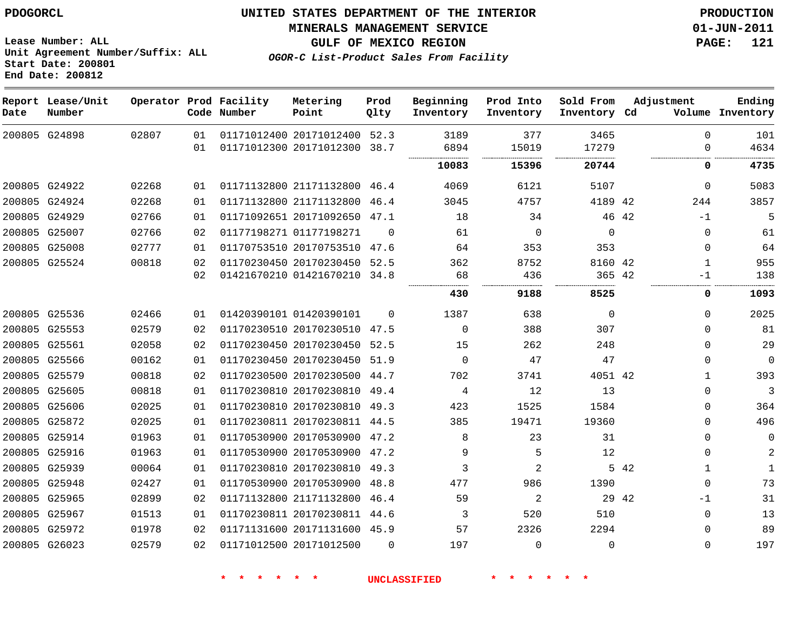#### **MINERALS MANAGEMENT SERVICE 01-JUN-2011**

**GULF OF MEXICO REGION PAGE: 121**

**Lease Number: ALL Unit Agreement Number/Suffix: ALL Start Date: 200801 End Date: 200812**

**OGOR-C List-Product Sales From Facility**

| Date | Report Lease/Unit<br>Number |       |          | Operator Prod Facility<br>Code Number | Metering<br>Point                                  | Prod<br>Qlty | Beginning<br>Inventory | Prod Into<br>Inventory | Sold From<br>Inventory Cd | Adjustment | Ending<br>Volume Inventory          |
|------|-----------------------------|-------|----------|---------------------------------------|----------------------------------------------------|--------------|------------------------|------------------------|---------------------------|------------|-------------------------------------|
|      | 200805 G24898               | 02807 | 01<br>01 |                                       | 01171012400 20171012400<br>01171012300 20171012300 | 52.3<br>38.7 | 3189<br>6894           | 377<br>15019           | 3465<br>17279             |            | 101<br>$\Omega$<br>4634<br>$\Omega$ |
|      |                             |       |          |                                       |                                                    |              | 10083                  | 15396                  | 20744                     |            | 4735<br>0                           |
|      | 200805 G24922               | 02268 | 01       |                                       | 01171132800 21171132800 46.4                       |              | 4069                   | 6121                   | 5107                      |            | 5083<br>$\mathbf 0$                 |
|      | 200805 G24924               | 02268 | 01       |                                       | 01171132800 21171132800 46.4                       |              | 3045                   | 4757                   | 4189 42                   | 244        | 3857                                |
|      | 200805 G24929               | 02766 | 01       |                                       | 01171092651 20171092650 47.1                       |              | 18                     | 34                     |                           | 46 42      | 5<br>$-1$                           |
|      | 200805 G25007               | 02766 | 02       |                                       | 01177198271 01177198271                            | $\Omega$     | 61                     | $\mathbf 0$            | $\mathbf 0$               |            | $\mathbf{0}$<br>61                  |
|      | 200805 G25008               | 02777 | 01       |                                       | 01170753510 20170753510 47.6                       |              | 64                     | 353                    | 353                       |            | 64<br>$\Omega$                      |
|      | 200805 G25524               | 00818 | 02       |                                       | 01170230450 20170230450                            | 52.5         | 362                    | 8752                   | 8160 42                   |            | 955<br>$\mathbf{1}$                 |
|      |                             |       | 02       |                                       | 01421670210 01421670210                            | 34.8         | 68                     | 436                    | 365 42                    |            | 138<br>-1                           |
|      |                             |       |          |                                       |                                                    |              | 430                    | 9188                   | 8525                      |            | 1093<br>0                           |
|      | 200805 G25536               | 02466 | 01       |                                       | 01420390101 01420390101                            | $\Omega$     | 1387                   | 638                    | $\mathbf 0$               |            | 2025<br>$\Omega$                    |
|      | 200805 G25553               | 02579 | 02       |                                       | 01170230510 20170230510 47.5                       |              | $\Omega$               | 388                    | 307                       |            | 81<br>$\Omega$                      |
|      | 200805 G25561               | 02058 | 02       |                                       | 01170230450 20170230450                            | 52.5         | 15                     | 262                    | 248                       |            | 29<br>$\Omega$                      |
|      | 200805 G25566               | 00162 | 01       |                                       | 01170230450 20170230450 51.9                       |              | $\Omega$               | 47                     | 47                        |            | $\mathbf 0$<br>$\Omega$             |
|      | 200805 G25579               | 00818 | 02       |                                       | 01170230500 20170230500                            | 44.7         | 702                    | 3741                   | 4051 42                   |            | 393<br>$\mathbf{1}$                 |
|      | 200805 G25605               | 00818 | 01       |                                       | 01170230810 20170230810 49.4                       |              | 4                      | 12                     | 13                        |            | 3<br>$\mathbf 0$                    |
|      | 200805 G25606               | 02025 | 01       |                                       | 01170230810 20170230810 49.3                       |              | 423                    | 1525                   | 1584                      |            | 364<br>$\Omega$                     |
|      | 200805 G25872               | 02025 | 01       |                                       | 01170230811 20170230811 44.5                       |              | 385                    | 19471                  | 19360                     |            | 496<br>$\Omega$                     |
|      | 200805 G25914               | 01963 | 01       |                                       | 01170530900 20170530900 47.2                       |              | 8                      | 23                     | 31                        |            | $\Omega$<br>0                       |
|      | 200805 G25916               | 01963 | 01       |                                       | 01170530900 20170530900 47.2                       |              | 9                      | 5                      | 12                        |            | 2<br>$\Omega$                       |
|      | 200805 G25939               | 00064 | 01       |                                       | 01170230810 20170230810                            | 49.3         | 3                      | 2                      |                           | 5 42       | $\mathbf{1}$                        |
|      | 200805 G25948               | 02427 | 01       |                                       | 01170530900 20170530900                            | 48.8         | 477                    | 986                    | 1390                      |            | 73<br>$\Omega$                      |
|      | 200805 G25965               | 02899 | 02       |                                       | 01171132800 21171132800                            | 46.4         | 59                     | 2                      |                           | 29 42      | 31<br>$-1$                          |
|      | 200805 G25967               | 01513 | 01       |                                       | 01170230811 20170230811 44.6                       |              | 3                      | 520                    | 510                       |            | 13<br>$\Omega$                      |
|      | 200805 G25972               | 01978 | 02       |                                       | 01171131600 20171131600 45.9                       |              | 57                     | 2326                   | 2294                      |            | 89<br>$\Omega$                      |
|      | 200805 G26023               | 02579 | 02       |                                       | 01171012500 20171012500                            | $\Omega$     | 197                    | $\mathbf 0$            | 0                         |            | 197<br>$\Omega$                     |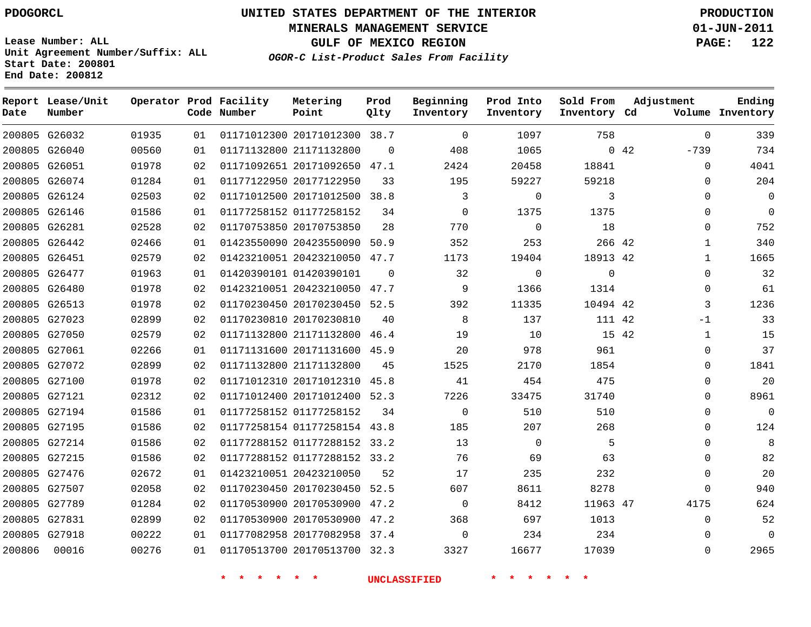**Start Date: 200801 End Date: 200812**

**Unit Agreement Number/Suffix: ALL**

# **UNITED STATES DEPARTMENT OF THE INTERIOR PDOGORCL PRODUCTION**

**MINERALS MANAGEMENT SERVICE 01-JUN-2011**

**GULF OF MEXICO REGION PAGE: 122**

**OGOR-C List-Product Sales From Facility**

| Date   | Report Lease/Unit<br>Number |       |    | Operator Prod Facility<br>Code Number | Metering<br>Point            | Prod<br>Qlty | Beginning<br>Inventory | Prod Into<br>Inventory | Sold From<br>Inventory Cd | Adjustment    | Ending<br>Volume Inventory |
|--------|-----------------------------|-------|----|---------------------------------------|------------------------------|--------------|------------------------|------------------------|---------------------------|---------------|----------------------------|
|        | 200805 G26032               | 01935 | 01 |                                       | 01171012300 20171012300 38.7 |              | $\mathbf 0$            | 1097                   | 758                       | $\Omega$      | 339                        |
| 200805 | G26040                      | 00560 | 01 |                                       | 01171132800 21171132800      | $\Omega$     | 408                    | 1065                   |                           | 042<br>$-739$ | 734                        |
|        | 200805 G26051               | 01978 | 02 |                                       | 01171092651 20171092650      | 47.1         | 2424                   | 20458                  | 18841                     | $\Omega$      | 4041                       |
| 200805 | G26074                      | 01284 | 01 |                                       | 01177122950 20177122950      | 33           | 195                    | 59227                  | 59218                     | 0             | 204                        |
|        | 200805 G26124               | 02503 | 02 |                                       | 01171012500 20171012500 38.8 |              | 3                      | $\Omega$               | 3                         | $\Omega$      | $\overline{0}$             |
| 200805 | G26146                      | 01586 | 01 |                                       | 01177258152 01177258152      | 34           | $\mathbf 0$            | 1375                   | 1375                      | 0             | $\overline{0}$             |
|        | 200805 G26281               | 02528 | 02 |                                       | 01170753850 20170753850      | 28           | 770                    | $\mathbf 0$            | 18                        | $\Omega$      | 752                        |
|        | 200805 G26442               | 02466 | 01 |                                       | 01423550090 20423550090      | 50.9         | 352                    | 253                    | 266 42                    | $\mathbf{1}$  | 340                        |
|        | 200805 G26451               | 02579 | 02 |                                       | 01423210051 20423210050      | 47.7         | 1173                   | 19404                  | 18913 42                  | $\mathbf{1}$  | 1665                       |
| 200805 | G26477                      | 01963 | 01 |                                       | 01420390101 01420390101      | $\Omega$     | 32                     | $\mathbf 0$            | $\mathbf{0}$              | $\mathbf 0$   | 32                         |
| 200805 | G26480                      | 01978 | 02 |                                       | 01423210051 20423210050      | 47.7         | 9                      | 1366                   | 1314                      | $\Omega$      | 61                         |
| 200805 | G26513                      | 01978 | 02 |                                       | 01170230450 20170230450      | 52.5         | 392                    | 11335                  | 10494 42                  | 3             | 1236                       |
|        | 200805 G27023               | 02899 | 02 |                                       | 01170230810 20170230810      | 40           | 8                      | 137                    | 111 42                    | $-1$          | 33                         |
|        | 200805 G27050               | 02579 | 02 |                                       | 01171132800 21171132800      | 46.4         | 19                     | 10                     | 15 42                     | $\mathbf{1}$  | 15                         |
| 200805 | G27061                      | 02266 | 01 |                                       | 01171131600 20171131600      | 45.9         | 20                     | 978                    | 961                       | $\Omega$      | 37                         |
|        | 200805 G27072               | 02899 | 02 |                                       | 01171132800 21171132800      | 45           | 1525                   | 2170                   | 1854                      | 0             | 1841                       |
|        | 200805 G27100               | 01978 | 02 |                                       | 01171012310 20171012310      | 45.8         | 41                     | 454                    | 475                       | $\Omega$      | 20                         |
|        | 200805 G27121               | 02312 | 02 |                                       | 01171012400 20171012400      | 52.3         | 7226                   | 33475                  | 31740                     | 0             | 8961                       |
| 200805 | G27194                      | 01586 | 01 |                                       | 01177258152 01177258152      | 34           | $\mathbf 0$            | 510                    | 510                       | 0             | $\overline{0}$             |
|        | 200805 G27195               | 01586 | 02 |                                       | 01177258154 01177258154 43.8 |              | 185                    | 207                    | 268                       | $\Omega$      | 124                        |
|        | 200805 G27214               | 01586 | 02 |                                       | 01177288152 01177288152      | 33.2         | 13                     | 0                      | 5                         | 0             | 8                          |
|        | 200805 G27215               | 01586 | 02 |                                       | 01177288152 01177288152 33.2 |              | 76                     | 69                     | 63                        | $\Omega$      | 82                         |
| 200805 | G27476                      | 02672 | 01 |                                       | 01423210051 20423210050      | 52           | 17                     | 235                    | 232                       | $\Omega$      | 20                         |
| 200805 | G27507                      | 02058 | 02 |                                       | 01170230450 20170230450      | 52.5         | 607                    | 8611                   | 8278                      | $\Omega$      | 940                        |
| 200805 | G27789                      | 01284 | 02 |                                       | 01170530900 20170530900      | 47.2         | $\mathbf 0$            | 8412                   | 11963 47                  | 4175          | 624                        |
| 200805 | G27831                      | 02899 | 02 |                                       | 01170530900 20170530900      | 47.2         | 368                    | 697                    | 1013                      | $\Omega$      | 52                         |
|        | 200805 G27918               | 00222 | 01 |                                       | 01177082958 20177082958      | 37.4         | $\mathbf 0$            | 234                    | 234                       | $\Omega$      | $\mathbf 0$                |
| 200806 | 00016                       | 00276 | 01 |                                       | 01170513700 20170513700      | 32.3         | 3327                   | 16677                  | 17039                     | $\Omega$      | 2965                       |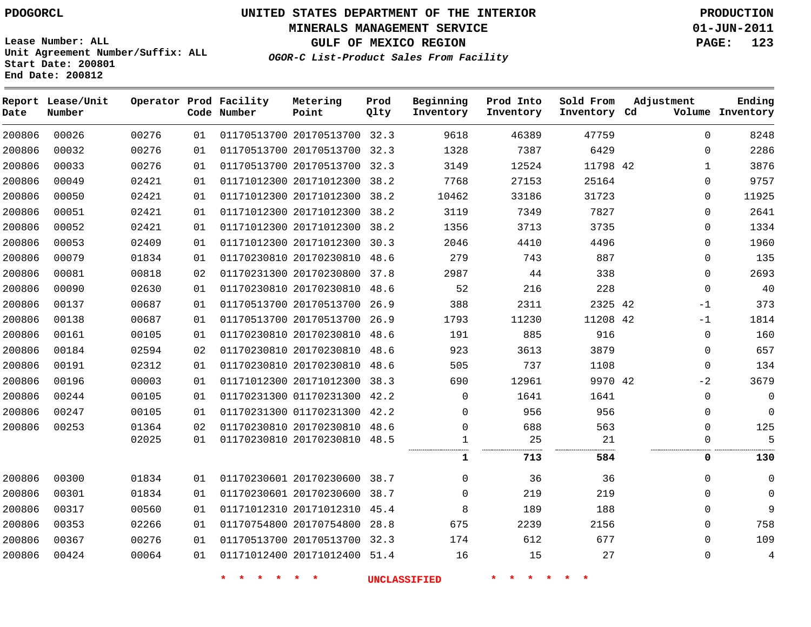**MINERALS MANAGEMENT SERVICE 01-JUN-2011**

**GULF OF MEXICO REGION PAGE: 123**

**Lease Number: ALL Unit Agreement Number/Suffix: ALL Start Date: 200801 End Date: 200812**

**OGOR-C List-Product Sales From Facility**

| Date   | Report Lease/Unit<br>Number |       |    | Operator Prod Facility<br>Code Number | Metering<br>Point            | Prod<br>Qlty | Beginning<br>Inventory | Prod Into<br>Inventory | Sold From<br>Inventory Cd | Adjustment |              | Ending<br>Volume Inventory |
|--------|-----------------------------|-------|----|---------------------------------------|------------------------------|--------------|------------------------|------------------------|---------------------------|------------|--------------|----------------------------|
| 200806 | 00026                       | 00276 | 01 |                                       | 01170513700 20170513700 32.3 |              | 9618                   | 46389                  | 47759                     |            | $\Omega$     | 8248                       |
| 200806 | 00032                       | 00276 | 01 |                                       | 01170513700 20170513700 32.3 |              | 1328                   | 7387                   | 6429                      |            | $\Omega$     | 2286                       |
| 200806 | 00033                       | 00276 | 01 |                                       | 01170513700 20170513700 32.3 |              | 3149                   | 12524                  | 11798 42                  |            | 1            | 3876                       |
| 200806 | 00049                       | 02421 | 01 |                                       | 01171012300 20171012300 38.2 |              | 7768                   | 27153                  | 25164                     |            | $\Omega$     | 9757                       |
| 200806 | 00050                       | 02421 | 01 |                                       | 01171012300 20171012300 38.2 |              | 10462                  | 33186                  | 31723                     |            | 0            | 11925                      |
| 200806 | 00051                       | 02421 | 01 |                                       | 01171012300 20171012300 38.2 |              | 3119                   | 7349                   | 7827                      |            | $\Omega$     | 2641                       |
| 200806 | 00052                       | 02421 | 01 |                                       | 01171012300 20171012300 38.2 |              | 1356                   | 3713                   | 3735                      |            | $\mathbf{0}$ | 1334                       |
| 200806 | 00053                       | 02409 | 01 |                                       | 01171012300 20171012300 30.3 |              | 2046                   | 4410                   | 4496                      |            | $\Omega$     | 1960                       |
| 200806 | 00079                       | 01834 | 01 |                                       | 01170230810 20170230810 48.6 |              | 279                    | 743                    | 887                       |            | $\mathbf{0}$ | 135                        |
| 200806 | 00081                       | 00818 | 02 |                                       | 01170231300 20170230800 37.8 |              | 2987                   | 44                     | 338                       |            | 0            | 2693                       |
| 200806 | 00090                       | 02630 | 01 |                                       | 01170230810 20170230810 48.6 |              | 52                     | 216                    | 228                       |            | $\mathbf{0}$ | 40                         |
| 200806 | 00137                       | 00687 | 01 |                                       | 01170513700 20170513700 26.9 |              | 388                    | 2311                   | 2325 42                   |            | $-1$         | 373                        |
| 200806 | 00138                       | 00687 | 01 |                                       | 01170513700 20170513700 26.9 |              | 1793                   | 11230                  | 11208 42                  |            | -1           | 1814                       |
| 200806 | 00161                       | 00105 | 01 |                                       | 01170230810 20170230810 48.6 |              | 191                    | 885                    | 916                       |            | $\mathbf 0$  | 160                        |
| 200806 | 00184                       | 02594 | 02 |                                       | 01170230810 20170230810 48.6 |              | 923                    | 3613                   | 3879                      |            | $\Omega$     | 657                        |
| 200806 | 00191                       | 02312 | 01 |                                       | 01170230810 20170230810 48.6 |              | 505                    | 737                    | 1108                      |            | $\mathbf{0}$ | 134                        |
| 200806 | 00196                       | 00003 | 01 |                                       | 01171012300 20171012300 38.3 |              | 690                    | 12961                  | 9970 42                   |            | $-2$         | 3679                       |
| 200806 | 00244                       | 00105 | 01 |                                       | 01170231300 01170231300 42.2 |              | $\Omega$               | 1641                   | 1641                      |            | 0            | 0                          |
| 200806 | 00247                       | 00105 | 01 |                                       | 01170231300 01170231300 42.2 |              | $\Omega$               | 956                    | 956                       |            | $\Omega$     | 0                          |
| 200806 | 00253                       | 01364 | 02 |                                       | 01170230810 20170230810 48.6 |              | $\Omega$               | 688                    | 563                       |            | $\Omega$     | 125                        |
|        |                             | 02025 | 01 |                                       | 01170230810 20170230810 48.5 |              | 1                      | 25                     | 21                        |            | $\Omega$     | 5                          |
|        |                             |       |    |                                       |                              |              | 1                      | 713                    | 584                       |            | 0            | 130                        |
| 200806 | 00300                       | 01834 | 01 |                                       | 01170230601 20170230600 38.7 |              | $\Omega$               | 36                     | 36                        |            | $\Omega$     | 0                          |
| 200806 | 00301                       | 01834 | 01 |                                       | 01170230601 20170230600 38.7 |              | $\Omega$               | 219                    | 219                       |            | $\Omega$     | 0                          |
| 200806 | 00317                       | 00560 | 01 |                                       | 01171012310 20171012310 45.4 |              | 8                      | 189                    | 188                       |            | $\Omega$     | 9                          |
| 200806 | 00353                       | 02266 | 01 |                                       | 01170754800 20170754800 28.8 |              | 675                    | 2239                   | 2156                      |            | $\Omega$     | 758                        |
| 200806 | 00367                       | 00276 | 01 |                                       | 01170513700 20170513700 32.3 |              | 174                    | 612                    | 677                       |            | 0            | 109                        |
| 200806 | 00424                       | 00064 | 01 |                                       | 01171012400 20171012400 51.4 |              | 16                     | 15                     | 27                        |            | 0            | 4                          |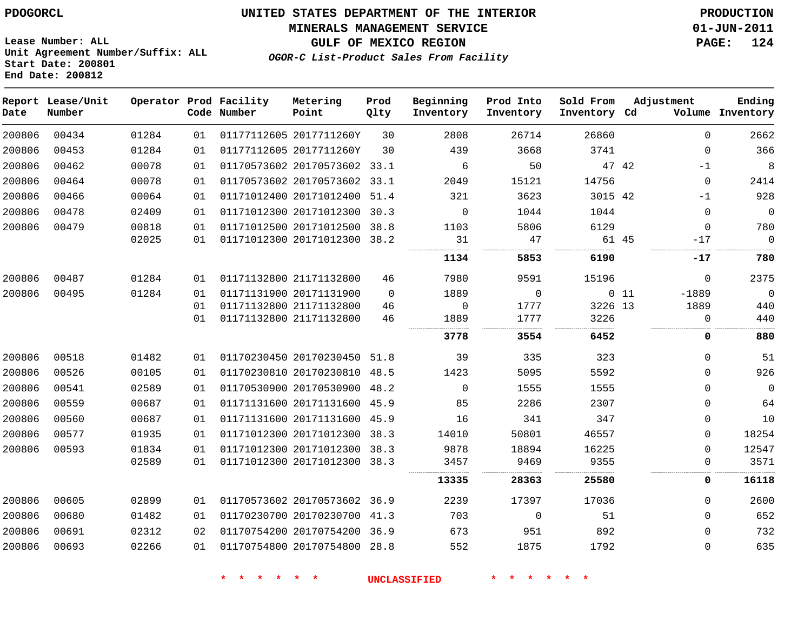#### **MINERALS MANAGEMENT SERVICE 01-JUN-2011**

**GULF OF MEXICO REGION PAGE: 124**

**Lease Number: ALL Unit Agreement Number/Suffix: ALL Start Date: 200801 End Date: 200812**

**OGOR-C List-Product Sales From Facility**

| Date   | Report Lease/Unit<br>Number |       |    | Operator Prod Facility<br>Code Number | Metering<br>Point            | Prod<br>Qlty | Beginning<br>Inventory | Prod Into<br>Inventory | Sold From<br>Inventory Cd | Adjustment        | Ending<br>Volume Inventory |
|--------|-----------------------------|-------|----|---------------------------------------|------------------------------|--------------|------------------------|------------------------|---------------------------|-------------------|----------------------------|
| 200806 | 00434                       | 01284 | 01 |                                       | 01177112605 2017711260Y      | 30           | 2808                   | 26714                  | 26860                     |                   | 2662<br>$\Omega$           |
| 200806 | 00453                       | 01284 | 01 |                                       | 01177112605 2017711260Y      | 30           | 439                    | 3668                   | 3741                      |                   | 366<br>$\mathbf 0$         |
| 200806 | 00462                       | 00078 | 01 |                                       | 01170573602 20170573602 33.1 |              | 6                      | 50                     |                           | 47 42<br>$-1$     | 8                          |
| 200806 | 00464                       | 00078 | 01 |                                       | 01170573602 20170573602 33.1 |              | 2049                   | 15121                  | 14756                     |                   | $\mathbf 0$<br>2414        |
| 200806 | 00466                       | 00064 | 01 |                                       | 01171012400 20171012400 51.4 |              | 321                    | 3623                   | 3015 42                   | $-1$              | 928                        |
| 200806 | 00478                       | 02409 | 01 |                                       | 01171012300 20171012300 30.3 |              | $\Omega$               | 1044                   | 1044                      |                   | $\mathbf 0$<br>$\mathbf 0$ |
| 200806 | 00479                       | 00818 | 01 |                                       | 01171012500 20171012500 38.8 |              | 1103                   | 5806                   | 6129                      |                   | 780<br>$\mathbf{0}$        |
|        |                             | 02025 | 01 |                                       | 01171012300 20171012300 38.2 |              | 31                     | 47                     |                           | 61 45<br>$-17$    | $\mathbf 0$                |
|        |                             |       |    |                                       |                              |              | 1134                   | 5853                   | 6190                      | $-17$             | 780                        |
| 200806 | 00487                       | 01284 | 01 |                                       | 01171132800 21171132800      | 46           | 7980                   | 9591                   | 15196                     |                   | 2375<br>0                  |
| 200806 | 00495                       | 01284 | 01 |                                       | 01171131900 20171131900      | $\Omega$     | 1889                   | 0                      |                           | $0$ 11<br>$-1889$ | $\mathbf 0$                |
|        |                             |       | 01 |                                       | 01171132800 21171132800      | 46           | 0                      | 1777                   | 3226 13                   | 1889              | 440                        |
|        |                             |       | 01 |                                       | 01171132800 21171132800      | 46           | 1889                   | 1777                   | 3226                      |                   | 440<br>0                   |
|        |                             |       |    |                                       |                              |              | 3778                   | 3554                   | 6452                      |                   | 880<br>0                   |
| 200806 | 00518                       | 01482 | 01 |                                       | 01170230450 20170230450      | 51.8         | 39                     | 335                    | 323                       |                   | 51<br>$\mathbf 0$          |
| 200806 | 00526                       | 00105 | 01 |                                       | 01170230810 20170230810 48.5 |              | 1423                   | 5095                   | 5592                      |                   | 926<br>$\Omega$            |
| 200806 | 00541                       | 02589 | 01 |                                       | 01170530900 20170530900 48.2 |              | $\Omega$               | 1555                   | 1555                      |                   | $\mathbf 0$<br>$\Omega$    |
| 200806 | 00559                       | 00687 | 01 |                                       | 01171131600 20171131600 45.9 |              | 85                     | 2286                   | 2307                      |                   | 64<br>$\mathbf{0}$         |
| 200806 | 00560                       | 00687 | 01 |                                       | 01171131600 20171131600 45.9 |              | 16                     | 341                    | 347                       |                   | 10<br>$\mathbf 0$          |
| 200806 | 00577                       | 01935 | 01 |                                       | 01171012300 20171012300 38.3 |              | 14010                  | 50801                  | 46557                     |                   | 18254<br>$\mathbf{0}$      |
| 200806 | 00593                       | 01834 | 01 |                                       | 01171012300 20171012300 38.3 |              | 9878                   | 18894                  | 16225                     |                   | 12547<br>$\Omega$          |
|        |                             | 02589 | 01 |                                       | 01171012300 20171012300 38.3 |              | 3457                   | 9469                   | 9355                      |                   | 3571<br>$\Omega$           |
|        |                             |       |    |                                       |                              |              | 13335                  | 28363                  | 25580                     |                   | 16118<br>0                 |
| 200806 | 00605                       | 02899 | 01 |                                       | 01170573602 20170573602 36.9 |              | 2239                   | 17397                  | 17036                     |                   | 2600<br>$\mathbf{0}$       |
| 200806 | 00680                       | 01482 | 01 |                                       | 01170230700 20170230700 41.3 |              | 703                    | $\mathbf 0$            | 51                        |                   | 652<br>$\mathbf 0$         |
| 200806 | 00691                       | 02312 | 02 |                                       | 01170754200 20170754200 36.9 |              | 673                    | 951                    | 892                       |                   | 732<br>$\mathbf{0}$        |
| 200806 | 00693                       | 02266 | 01 |                                       | 01170754800 20170754800 28.8 |              | 552                    | 1875                   | 1792                      |                   | 635<br>$\mathbf{0}$        |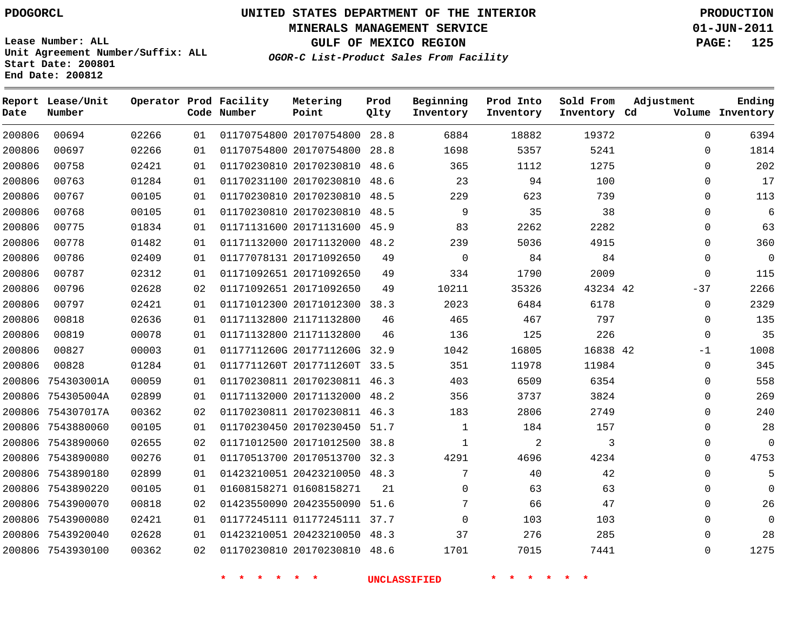**Start Date: 200801 End Date: 200812**

**Unit Agreement Number/Suffix: ALL**

# **UNITED STATES DEPARTMENT OF THE INTERIOR PDOGORCL PRODUCTION**

**MINERALS MANAGEMENT SERVICE 01-JUN-2011**

**GULF OF MEXICO REGION PAGE: 125**

**OGOR-C List-Product Sales From Facility**

| Date   | Report Lease/Unit<br>Number |       |    | Operator Prod Facility<br>Code Number | Metering<br>Point       | Prod<br>Qlty | Beginning<br>Inventory | Prod Into<br>Inventory | Sold From<br>Inventory Cd | Adjustment   | Ending<br>Volume Inventory |
|--------|-----------------------------|-------|----|---------------------------------------|-------------------------|--------------|------------------------|------------------------|---------------------------|--------------|----------------------------|
| 200806 | 00694                       | 02266 | 01 |                                       | 01170754800 20170754800 | 28.8         | 6884                   | 18882                  | 19372                     | $\Omega$     | 6394                       |
| 200806 | 00697                       | 02266 | 01 |                                       | 01170754800 20170754800 | 28.8         | 1698                   | 5357                   | 5241                      | $\mathbf 0$  | 1814                       |
| 200806 | 00758                       | 02421 | 01 |                                       | 01170230810 20170230810 | 48.6         | 365                    | 1112                   | 1275                      | $\Omega$     | 202                        |
| 200806 | 00763                       | 01284 | 01 |                                       | 01170231100 20170230810 | 48.6         | 23                     | 94                     | 100                       | $\Omega$     | 17                         |
| 200806 | 00767                       | 00105 | 01 |                                       | 01170230810 20170230810 | 48.5         | 229                    | 623                    | 739                       | 0            | 113                        |
| 200806 | 00768                       | 00105 | 01 |                                       | 01170230810 20170230810 | 48.5         | $\mathsf 9$            | 35                     | 38                        | 0            | 6                          |
| 200806 | 00775                       | 01834 | 01 |                                       | 01171131600 20171131600 | 45.9         | 83                     | 2262                   | 2282                      | $\Omega$     | 63                         |
| 200806 | 00778                       | 01482 | 01 |                                       | 01171132000 20171132000 | 48.2         | 239                    | 5036                   | 4915                      | 0            | 360                        |
| 200806 | 00786                       | 02409 | 01 |                                       | 01177078131 20171092650 | 49           | $\mathbf 0$            | 84                     | 84                        | $\Omega$     | $\overline{0}$             |
| 200806 | 00787                       | 02312 | 01 |                                       | 01171092651 20171092650 | 49           | 334                    | 1790                   | 2009                      | $\Omega$     | 115                        |
| 200806 | 00796                       | 02628 | 02 |                                       | 01171092651 20171092650 | 49           | 10211                  | 35326                  | 43234 42                  | $-37$        | 2266                       |
| 200806 | 00797                       | 02421 | 01 |                                       | 01171012300 20171012300 | 38.3         | 2023                   | 6484                   | 6178                      | $\mathbf{0}$ | 2329                       |
| 200806 | 00818                       | 02636 | 01 |                                       | 01171132800 21171132800 | 46           | 465                    | 467                    | 797                       | $\mathbf 0$  | 135                        |
| 200806 | 00819                       | 00078 | 01 |                                       | 01171132800 21171132800 | 46           | 136                    | 125                    | 226                       | $\Omega$     | 35                         |
| 200806 | 00827                       | 00003 | 01 |                                       | 0117711260G 2017711260G | 32.9         | 1042                   | 16805                  | 16838 42                  | $-1$         | 1008                       |
| 200806 | 00828                       | 01284 | 01 |                                       | 0117711260T 2017711260T | 33.5         | 351                    | 11978                  | 11984                     | $\mathbf 0$  | 345                        |
| 200806 | 754303001A                  | 00059 | 01 |                                       | 01170230811 20170230811 | 46.3         | 403                    | 6509                   | 6354                      | $\Omega$     | 558                        |
| 200806 | 754305004A                  | 02899 | 01 |                                       | 01171132000 20171132000 | 48.2         | 356                    | 3737                   | 3824                      | $\Omega$     | 269                        |
| 200806 | 754307017A                  | 00362 | 02 |                                       | 01170230811 20170230811 | 46.3         | 183                    | 2806                   | 2749                      | $\mathbf 0$  | 240                        |
|        | 200806 7543880060           | 00105 | 01 |                                       | 01170230450 20170230450 | 51.7         | $\mathbf{1}$           | 184                    | 157                       | $\mathbf 0$  | 28                         |
| 200806 | 7543890060                  | 02655 | 02 |                                       | 01171012500 20171012500 | 38.8         | $\mathbf{1}$           | $\overline{2}$         | 3                         | $\Omega$     | $\Omega$                   |
| 200806 | 7543890080                  | 00276 | 01 |                                       | 01170513700 20170513700 | 32.3         | 4291                   | 4696                   | 4234                      | $\Omega$     | 4753                       |
| 200806 | 7543890180                  | 02899 | 01 |                                       | 01423210051 20423210050 | 48.3         | 7                      | 40                     | 42                        | $\mathbf{0}$ | 5                          |
| 200806 | 7543890220                  | 00105 | 01 |                                       | 01608158271 01608158271 | 21           | $\mathbf 0$            | 63                     | 63                        | $\mathbf 0$  | $\mathbf 0$                |
| 200806 | 7543900070                  | 00818 | 02 |                                       | 01423550090 20423550090 | 51.6         | 7                      | 66                     | 47                        | $\Omega$     | 26                         |
| 200806 | 7543900080                  | 02421 | 01 |                                       | 01177245111 01177245111 | 37.7         | $\mathbf 0$            | 103                    | 103                       | $\mathbf 0$  | $\Omega$                   |
| 200806 | 7543920040                  | 02628 | 01 |                                       | 01423210051 20423210050 | 48.3         | 37                     | 276                    | 285                       | $\Omega$     | 28                         |
|        | 200806 7543930100           | 00362 | 02 |                                       | 01170230810 20170230810 | 48.6         | 1701                   | 7015                   | 7441                      | $\Omega$     | 1275                       |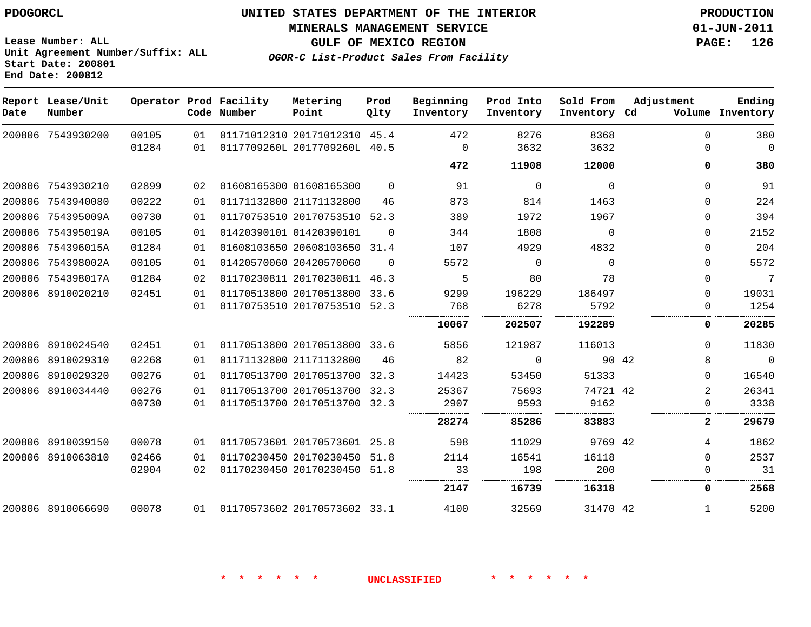#### **MINERALS MANAGEMENT SERVICE 01-JUN-2011**

**GULF OF MEXICO REGION PAGE: 126**

**OGOR-C List-Product Sales From Facility**

**Lease Number: ALL Unit Agreement Number/Suffix: ALL Start Date: 200801 End Date: 200812**

| Date   | Report Lease/Unit<br>Number |       |    | Operator Prod Facility<br>Code Number | Metering<br>Point            | Prod<br>Qlty | Beginning<br>Inventory | Prod Into<br>Inventory | Sold From<br>Inventory Cd | Adjustment   | Ending<br>Volume Inventory |
|--------|-----------------------------|-------|----|---------------------------------------|------------------------------|--------------|------------------------|------------------------|---------------------------|--------------|----------------------------|
|        | 200806 7543930200           | 00105 | 01 |                                       | 01171012310 20171012310 45.4 |              | 472                    | 8276                   | 8368                      | $\Omega$     | 380                        |
|        |                             | 01284 | 01 |                                       | 0117709260L 2017709260L 40.5 |              | $\Omega$<br>           | 3632                   | 3632<br>.                 | <sup>n</sup> | $\Omega$                   |
|        |                             |       |    |                                       |                              |              | 472                    | 11908                  | 12000                     | 0            | 380                        |
|        | 200806 7543930210           | 02899 | 02 |                                       | 01608165300 01608165300      | $\Omega$     | 91                     | $\Omega$               | $\Omega$                  | $\Omega$     | 91                         |
|        | 200806 7543940080           | 00222 | 01 |                                       | 01171132800 21171132800      | 46           | 873                    | 814                    | 1463                      | 0            | 224                        |
| 200806 | 754395009A                  | 00730 | 01 |                                       | 01170753510 20170753510 52.3 |              | 389                    | 1972                   | 1967                      | $\Omega$     | 394                        |
| 200806 | 754395019A                  | 00105 | 01 |                                       | 01420390101 01420390101      | $\Omega$     | 344                    | 1808                   | $\Omega$                  | $\Omega$     | 2152                       |
| 200806 | 754396015A                  | 01284 | 01 |                                       | 01608103650 20608103650      | 31.4         | 107                    | 4929                   | 4832                      | 0            | 204                        |
| 200806 | 754398002A                  | 00105 | 01 |                                       | 01420570060 20420570060      | $\Omega$     | 5572                   | $\Omega$               | $\Omega$                  | $\Omega$     | 5572                       |
| 200806 | 754398017A                  | 01284 | 02 |                                       | 01170230811 20170230811      | 46.3         | 5                      | 80                     | 78                        | 0            | $\overline{7}$             |
|        | 200806 8910020210           | 02451 | 01 |                                       | 01170513800 20170513800      | 33.6         | 9299                   | 196229                 | 186497                    | 0            | 19031                      |
|        |                             |       | 01 |                                       | 01170753510 20170753510 52.3 |              | 768                    | 6278                   | 5792                      | 0            | 1254                       |
|        |                             |       |    |                                       |                              |              | 10067                  | 202507                 | 192289                    | 0            | 20285                      |
| 200806 | 8910024540                  | 02451 | 01 |                                       | 01170513800 20170513800 33.6 |              | 5856                   | 121987                 | 116013                    | 0            | 11830                      |
| 200806 | 8910029310                  | 02268 | 01 |                                       | 01171132800 21171132800      | 46           | 82                     | $\Omega$               | 90 42                     | 8            | $\mathbf 0$                |
| 200806 | 8910029320                  | 00276 | 01 |                                       | 01170513700 20170513700      | 32.3         | 14423                  | 53450                  | 51333                     | $\Omega$     | 16540                      |
| 200806 | 8910034440                  | 00276 | 01 |                                       | 01170513700 20170513700 32.3 |              | 25367                  | 75693                  | 74721 42                  | 2            | 26341                      |
|        |                             | 00730 | 01 |                                       | 01170513700 20170513700 32.3 |              | 2907                   | 9593                   | 9162                      | 0            | 3338                       |
|        |                             |       |    |                                       |                              |              | 28274                  | 85286                  | 83883                     | $\mathbf{2}$ | 29679                      |
|        | 200806 8910039150           | 00078 | 01 |                                       | 01170573601 20170573601 25.8 |              | 598                    | 11029                  | 9769 42                   | 4            | 1862                       |
| 200806 | 8910063810                  | 02466 | 01 |                                       | 01170230450 20170230450      | 51.8         | 2114                   | 16541                  | 16118                     | 0            | 2537                       |
|        |                             | 02904 | 02 |                                       | 01170230450 20170230450 51.8 |              | 33                     | 198                    | 200                       | 0            | 31                         |
|        |                             |       |    |                                       |                              |              | 2147                   | 16739                  | 16318                     | 0            | 2568                       |
|        | 200806 8910066690           | 00078 | 01 | 01170573602 20170573602 33.1          |                              |              | 4100                   | 32569                  | 31470 42                  | $\mathbf{1}$ | 5200                       |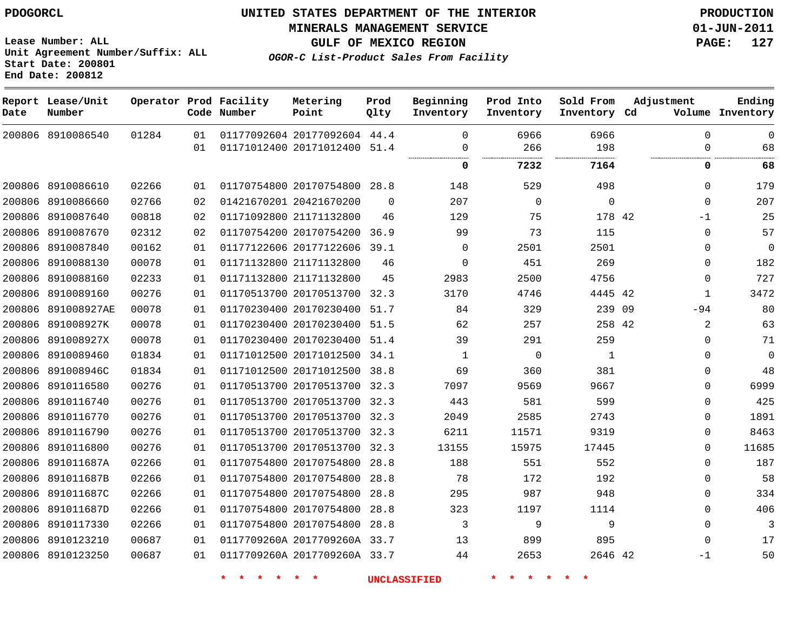**Start Date: 200801 End Date: 200812**

**Unit Agreement Number/Suffix: ALL**

# **UNITED STATES DEPARTMENT OF THE INTERIOR PDOGORCL PRODUCTION**

**MINERALS MANAGEMENT SERVICE 01-JUN-2011**

**GULF OF MEXICO REGION PAGE: 127**

**OGOR-C List-Product Sales From Facility**

| Date   | Report Lease/Unit<br>Number |       |    | Operator Prod Facility<br>Code Number | Metering<br>Point            | Prod<br>Qlty | Beginning<br>Inventory | Prod Into<br>Inventory | Sold From<br>Inventory Cd | Adjustment   | Ending<br>Volume Inventory |
|--------|-----------------------------|-------|----|---------------------------------------|------------------------------|--------------|------------------------|------------------------|---------------------------|--------------|----------------------------|
|        | 200806 8910086540           | 01284 | 01 |                                       | 01177092604 20177092604 44.4 |              | $\mathbf 0$            | 6966                   | 6966                      | $\Omega$     | $\mathbf 0$                |
|        |                             |       | 01 |                                       | 01171012400 20171012400      | 51.4         | $\mathbf 0$            | 266                    | 198<br>.                  | $\mathbf{0}$ | 68                         |
|        |                             |       |    |                                       |                              |              | 0                      | 7232                   | 7164                      | 0            | 68                         |
| 200806 | 8910086610                  | 02266 | 01 |                                       | 01170754800 20170754800 28.8 |              | 148                    | 529                    | 498                       | 0            | 179                        |
| 200806 | 8910086660                  | 02766 | 02 |                                       | 01421670201 20421670200      | $\Omega$     | 207                    | $\mathbf 0$            | $\mathbf 0$               | $\Omega$     | 207                        |
| 200806 | 8910087640                  | 00818 | 02 |                                       | 01171092800 21171132800      | 46           | 129                    | 75                     | 178 42                    | $-1$         | 25                         |
| 200806 | 8910087670                  | 02312 | 02 |                                       | 01170754200 20170754200      | 36.9         | 99                     | 73                     | 115                       | 0            | 57                         |
| 200806 | 8910087840                  | 00162 | 01 |                                       | 01177122606 20177122606      | 39.1         | $\mathbf 0$            | 2501                   | 2501                      | $\Omega$     | $\overline{0}$             |
| 200806 | 8910088130                  | 00078 | 01 |                                       | 01171132800 21171132800      | 46           | $\mathbf 0$            | 451                    | 269                       | $\Omega$     | 182                        |
| 200806 | 8910088160                  | 02233 | 01 |                                       | 01171132800 21171132800      | 45           | 2983                   | 2500                   | 4756                      | $\Omega$     | 727                        |
| 200806 | 8910089160                  | 00276 | 01 |                                       | 01170513700 20170513700      | 32.3         | 3170                   | 4746                   | 4445 42                   | $\mathbf{1}$ | 3472                       |
| 200806 | 891008927AE                 | 00078 | 01 |                                       | 01170230400 20170230400      | 51.7         | 84                     | 329                    | 239 09                    | $-94$        | 80                         |
| 200806 | 891008927K                  | 00078 | 01 |                                       | 01170230400 20170230400      | 51.5         | 62                     | 257                    | 258 42                    | 2            | 63                         |
| 200806 | 891008927X                  | 00078 | 01 |                                       | 01170230400 20170230400      | 51.4         | 39                     | 291                    | 259                       | $\Omega$     | 71                         |
| 200806 | 8910089460                  | 01834 | 01 |                                       | 01171012500 20171012500      | 34.1         | 1                      | $\mathbf 0$            | 1                         | $\mathbf{0}$ | $\overline{0}$             |
| 200806 | 891008946C                  | 01834 | 01 |                                       | 01171012500 20171012500      | 38.8         | 69                     | 360                    | 381                       | $\Omega$     | 48                         |
| 200806 | 8910116580                  | 00276 | 01 |                                       | 01170513700 20170513700      | 32.3         | 7097                   | 9569                   | 9667                      | $\Omega$     | 6999                       |
| 200806 | 8910116740                  | 00276 | 01 |                                       | 01170513700 20170513700      | 32.3         | 443                    | 581                    | 599                       | $\mathbf{0}$ | 425                        |
| 200806 | 8910116770                  | 00276 | 01 |                                       | 01170513700 20170513700      | 32.3         | 2049                   | 2585                   | 2743                      | $\Omega$     | 1891                       |
| 200806 | 8910116790                  | 00276 | 01 |                                       | 01170513700 20170513700      | 32.3         | 6211                   | 11571                  | 9319                      | $\Omega$     | 8463                       |
| 200806 | 8910116800                  | 00276 | 01 |                                       | 01170513700 20170513700      | 32.3         | 13155                  | 15975                  | 17445                     | $\Omega$     | 11685                      |
| 200806 | 891011687A                  | 02266 | 01 |                                       | 01170754800 20170754800      | 28.8         | 188                    | 551                    | 552                       | $\Omega$     | 187                        |
| 200806 | 891011687B                  | 02266 | 01 |                                       | 01170754800 20170754800      | 28.8         | 78                     | 172                    | 192                       | $\mathbf{0}$ | 58                         |
| 200806 | 891011687C                  | 02266 | 01 |                                       | 01170754800 20170754800      | 28.8         | 295                    | 987                    | 948                       | $\Omega$     | 334                        |
| 200806 | 891011687D                  | 02266 | 01 |                                       | 01170754800 20170754800      | 28.8         | 323                    | 1197                   | 1114                      | $\Omega$     | 406                        |
| 200806 | 8910117330                  | 02266 | 01 |                                       | 01170754800 20170754800      | 28.8         | 3                      | 9                      | 9                         | $\mathbf{0}$ | 3                          |
| 200806 | 8910123210                  | 00687 | 01 |                                       | 0117709260A 2017709260A 33.7 |              | 13                     | 899                    | 895                       | $\Omega$     | 17                         |
|        | 200806 8910123250           | 00687 | 01 |                                       | 0117709260A 2017709260A 33.7 |              | 44                     | 2653                   | 2646 42                   | $-1$         | 50                         |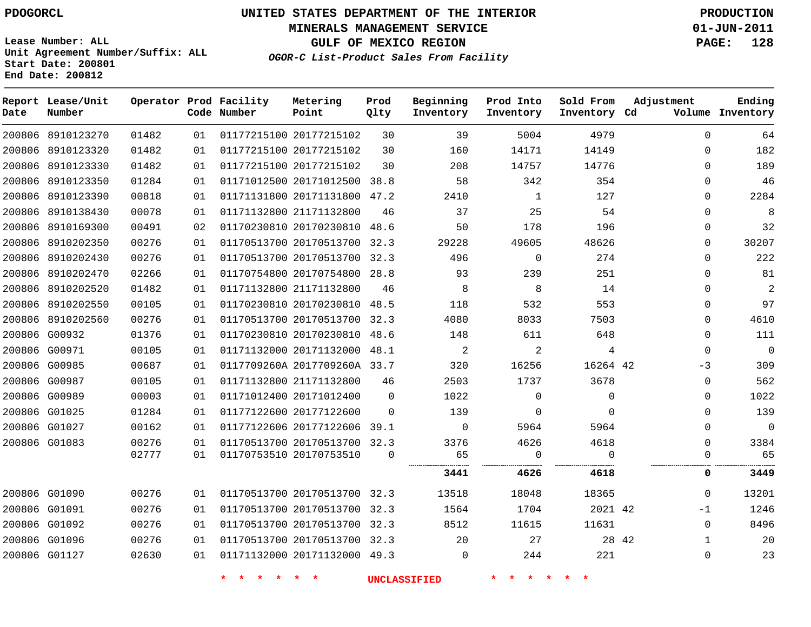# **UNITED STATES DEPARTMENT OF THE INTERIOR PDOGORCL PRODUCTION**

**MINERALS MANAGEMENT SERVICE 01-JUN-2011**

**GULF OF MEXICO REGION PAGE: 128**

**Unit Agreement Number/Suffix: ALL Start Date: 200801 End Date: 200812**

**OGOR-C List-Product Sales From Facility**

| Date | Report Lease/Unit<br>Number |       |    | Operator Prod Facility<br>Code Number | Metering<br>Point            | Prod<br>Qlty | Beginning<br>Inventory | Prod Into<br>Inventory | Sold From<br>Inventory Cd | Adjustment   | Ending<br>Volume Inventory |
|------|-----------------------------|-------|----|---------------------------------------|------------------------------|--------------|------------------------|------------------------|---------------------------|--------------|----------------------------|
|      | 200806 8910123270           | 01482 | 01 |                                       | 01177215100 20177215102      | 30           | 39                     | 5004                   | 4979                      | $\mathbf 0$  | 64                         |
|      | 200806 8910123320           | 01482 | 01 |                                       | 01177215100 20177215102      | 30           | 160                    | 14171                  | 14149                     | $\mathbf 0$  | 182                        |
|      | 200806 8910123330           | 01482 | 01 |                                       | 01177215100 20177215102      | 30           | 208                    | 14757                  | 14776                     | $\mathbf 0$  | 189                        |
|      | 200806 8910123350           | 01284 | 01 |                                       | 01171012500 20171012500 38.8 |              | 58                     | 342                    | 354                       | $\mathbf 0$  | 46                         |
|      | 200806 8910123390           | 00818 | 01 |                                       | 01171131800 20171131800 47.2 |              | 2410                   | $\mathbf{1}$           | 127                       | $\Omega$     | 2284                       |
|      | 200806 8910138430           | 00078 | 01 |                                       | 01171132800 21171132800      | 46           | 37                     | 25                     | 54                        | $\Omega$     | 8                          |
|      | 200806 8910169300           | 00491 | 02 |                                       | 01170230810 20170230810      | 48.6         | 50                     | 178                    | 196                       | $\Omega$     | 32                         |
|      | 200806 8910202350           | 00276 | 01 |                                       | 01170513700 20170513700 32.3 |              | 29228                  | 49605                  | 48626                     | $\mathbf 0$  | 30207                      |
|      | 200806 8910202430           | 00276 | 01 |                                       | 01170513700 20170513700      | 32.3         | 496                    | $\mathbf 0$            | 274                       | $\Omega$     | 222                        |
|      | 200806 8910202470           | 02266 | 01 |                                       | 01170754800 20170754800 28.8 |              | 93                     | 239                    | 251                       | $\Omega$     | 81                         |
|      | 200806 8910202520           | 01482 | 01 |                                       | 01171132800 21171132800      | 46           | 8                      | 8                      | 14                        | $\Omega$     | $\overline{2}$             |
|      | 200806 8910202550           | 00105 | 01 |                                       | 01170230810 20170230810 48.5 |              | 118                    | 532                    | 553                       | $\mathbf 0$  | 97                         |
|      | 200806 8910202560           | 00276 | 01 |                                       | 01170513700 20170513700 32.3 |              | 4080                   | 8033                   | 7503                      | $\Omega$     | 4610                       |
|      | 200806 G00932               | 01376 | 01 |                                       | 01170230810 20170230810 48.6 |              | 148                    | 611                    | 648                       | $\Omega$     | 111                        |
|      | 200806 G00971               | 00105 | 01 |                                       | 01171132000 20171132000 48.1 |              | 2                      | 2                      | 4                         | $\Omega$     | $\overline{0}$             |
|      | 200806 G00985               | 00687 | 01 |                                       | 0117709260A 2017709260A 33.7 |              | 320                    | 16256                  | 16264 42                  | -3           | 309                        |
|      | 200806 G00987               | 00105 | 01 |                                       | 01171132800 21171132800      | 46           | 2503                   | 1737                   | 3678                      | $\mathbf 0$  | 562                        |
|      | 200806 G00989               | 00003 | 01 |                                       | 01171012400 20171012400      | $\Omega$     | 1022                   | 0                      | $\mathbf 0$               | $\Omega$     | 1022                       |
|      | 200806 G01025               | 01284 | 01 |                                       | 01177122600 20177122600      | $\Omega$     | 139                    | $\mathbf 0$            | $\mathbf 0$               | $\mathbf{0}$ | 139                        |
|      | 200806 G01027               | 00162 | 01 |                                       | 01177122606 20177122606      | 39.1         | $\Omega$               | 5964                   | 5964                      | $\mathbf 0$  | $\mathbf 0$                |
|      | 200806 G01083               | 00276 | 01 |                                       | 01170513700 20170513700 32.3 |              | 3376                   | 4626                   | 4618                      | $\mathbf 0$  | 3384                       |
|      |                             | 02777 | 01 |                                       | 01170753510 20170753510      | $\Omega$     | 65                     | $\mathbf 0$            | $\Omega$                  | $\Omega$     | 65                         |
|      |                             |       |    |                                       |                              |              | 3441                   | 4626                   | 4618                      | 0            | 3449                       |
|      | 200806 G01090               | 00276 | 01 |                                       | 01170513700 20170513700 32.3 |              | 13518                  | 18048                  | 18365                     | $\Omega$     | 13201                      |
|      | 200806 G01091               | 00276 | 01 |                                       | 01170513700 20170513700 32.3 |              | 1564                   | 1704                   | 2021 42                   | $-1$         | 1246                       |
|      | 200806 G01092               | 00276 | 01 |                                       | 01170513700 20170513700 32.3 |              | 8512                   | 11615                  | 11631                     | $\Omega$     | 8496                       |
|      | 200806 G01096               | 00276 | 01 |                                       | 01170513700 20170513700 32.3 |              | 20                     | 27                     | 28 42                     | 1            | 20                         |
|      | 200806 G01127               | 02630 | 01 |                                       | 01171132000 20171132000 49.3 |              | $\mathbf 0$            | 244                    | 221                       | $\mathbf{0}$ | 23                         |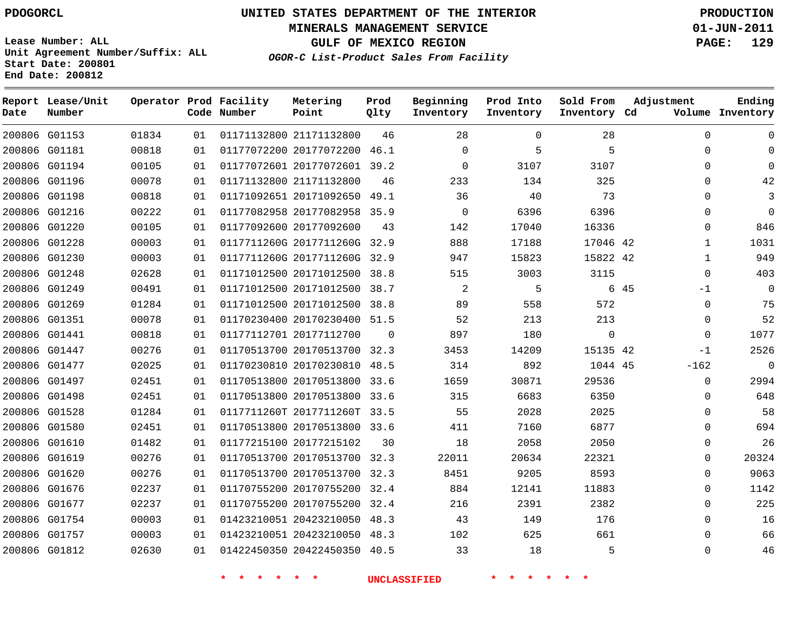**Start Date: 200801 End Date: 200812**

**Unit Agreement Number/Suffix: ALL**

# **UNITED STATES DEPARTMENT OF THE INTERIOR PDOGORCL PRODUCTION**

**MINERALS MANAGEMENT SERVICE 01-JUN-2011**

**GULF OF MEXICO REGION PAGE: 129**

**OGOR-C List-Product Sales From Facility**

| Date   | Report Lease/Unit<br>Number |       |    | Operator Prod Facility<br>Code Number | Metering<br>Point            | Prod<br>Qlty | Beginning<br>Inventory | Prod Into<br>Inventory | Sold From<br>Inventory Cd | Adjustment   | Ending<br>Volume Inventory |
|--------|-----------------------------|-------|----|---------------------------------------|------------------------------|--------------|------------------------|------------------------|---------------------------|--------------|----------------------------|
|        | 200806 G01153               | 01834 | 01 |                                       | 01171132800 21171132800      | 46           | 28                     | $\Omega$               | 28                        | $\mathbf 0$  | $\mathbf 0$                |
| 200806 | G01181                      | 00818 | 01 |                                       | 01177072200 20177072200      | 46.1         | $\mathbf 0$            | 5                      | 5                         | $\Omega$     | $\mathbf 0$                |
|        | 200806 G01194               | 00105 | 01 |                                       | 01177072601 20177072601 39.2 |              | $\mathbf 0$            | 3107                   | 3107                      | $\Omega$     | $\mathbf 0$                |
| 200806 | G01196                      | 00078 | 01 |                                       | 01171132800 21171132800      | 46           | 233                    | 134                    | 325                       | 0            | 42                         |
| 200806 | G01198                      | 00818 | 01 |                                       | 01171092651 20171092650      | 49.1         | 36                     | 40                     | 73                        | $\Omega$     | 3                          |
| 200806 | G01216                      | 00222 | 01 |                                       | 01177082958 20177082958      | 35.9         | 0                      | 6396                   | 6396                      | 0            | $\mathbf 0$                |
|        | 200806 G01220               | 00105 | 01 |                                       | 01177092600 20177092600      | 43           | 142                    | 17040                  | 16336                     | $\mathbf 0$  | 846                        |
| 200806 | G01228                      | 00003 | 01 |                                       | 0117711260G 2017711260G      | 32.9         | 888                    | 17188                  | 17046 42                  | $\mathbf{1}$ | 1031                       |
|        | 200806 G01230               | 00003 | 01 |                                       | 0117711260G 2017711260G      | 32.9         | 947                    | 15823                  | 15822 42                  | $\mathbf{1}$ | 949                        |
| 200806 | G01248                      | 02628 | 01 |                                       | 01171012500 20171012500      | 38.8         | 515                    | 3003                   | 3115                      | $\mathbf 0$  | 403                        |
| 200806 | G01249                      | 00491 | 01 |                                       | 01171012500 20171012500      | 38.7         | 2                      | 5                      |                           | 6 45<br>$-1$ | $\mathbf 0$                |
| 200806 | G01269                      | 01284 | 01 |                                       | 01171012500 20171012500      | 38.8         | 89                     | 558                    | 572                       | $\Omega$     | 75                         |
| 200806 | G01351                      | 00078 | 01 |                                       | 01170230400 20170230400      | 51.5         | 52                     | 213                    | 213                       | $\mathbf 0$  | 52                         |
|        | 200806 G01441               | 00818 | 01 |                                       | 01177112701 20177112700      | $\Omega$     | 897                    | 180                    | $\mathbf 0$               | $\Omega$     | 1077                       |
| 200806 | G01447                      | 00276 | 01 |                                       | 01170513700 20170513700      | 32.3         | 3453                   | 14209                  | 15135 42                  | $-1$         | 2526                       |
|        | 200806 G01477               | 02025 | 01 |                                       | 01170230810 20170230810      | 48.5         | 314                    | 892                    | 1044 45                   | $-162$       | $\mathbf 0$                |
| 200806 | G01497                      | 02451 | 01 |                                       | 01170513800 20170513800      | 33.6         | 1659                   | 30871                  | 29536                     | $\Omega$     | 2994                       |
| 200806 | G01498                      | 02451 | 01 |                                       | 01170513800 20170513800 33.6 |              | 315                    | 6683                   | 6350                      | $\mathbf 0$  | 648                        |
| 200806 | G01528                      | 01284 | 01 |                                       | 0117711260T 2017711260T      | 33.5         | 55                     | 2028                   | 2025                      | 0            | 58                         |
|        | 200806 G01580               | 02451 | 01 |                                       | 01170513800 20170513800 33.6 |              | 411                    | 7160                   | 6877                      | $\Omega$     | 694                        |
| 200806 | G01610                      | 01482 | 01 |                                       | 01177215100 20177215102      | 30           | 18                     | 2058                   | 2050                      | $\mathbf 0$  | 26                         |
|        | 200806 G01619               | 00276 | 01 |                                       | 01170513700 20170513700 32.3 |              | 22011                  | 20634                  | 22321                     | $\Omega$     | 20324                      |
| 200806 | G01620                      | 00276 | 01 |                                       | 01170513700 20170513700      | 32.3         | 8451                   | 9205                   | 8593                      | $\Omega$     | 9063                       |
| 200806 | G01676                      | 02237 | 01 |                                       | 01170755200 20170755200      | 32.4         | 884                    | 12141                  | 11883                     | 0            | 1142                       |
| 200806 | G01677                      | 02237 | 01 |                                       | 01170755200 20170755200      | 32.4         | 216                    | 2391                   | 2382                      | $\Omega$     | 225                        |
| 200806 | G01754                      | 00003 | 01 |                                       | 01423210051 20423210050      | 48.3         | 43                     | 149                    | 176                       | $\mathbf 0$  | 16                         |
| 200806 | G01757                      | 00003 | 01 |                                       | 01423210051 20423210050      | 48.3         | 102                    | 625                    | 661                       | $\mathbf 0$  | 66                         |
|        | 200806 G01812               | 02630 | 01 |                                       | 01422450350 20422450350      | 40.5         | 33                     | 18                     | 5                         | $\Omega$     | 46                         |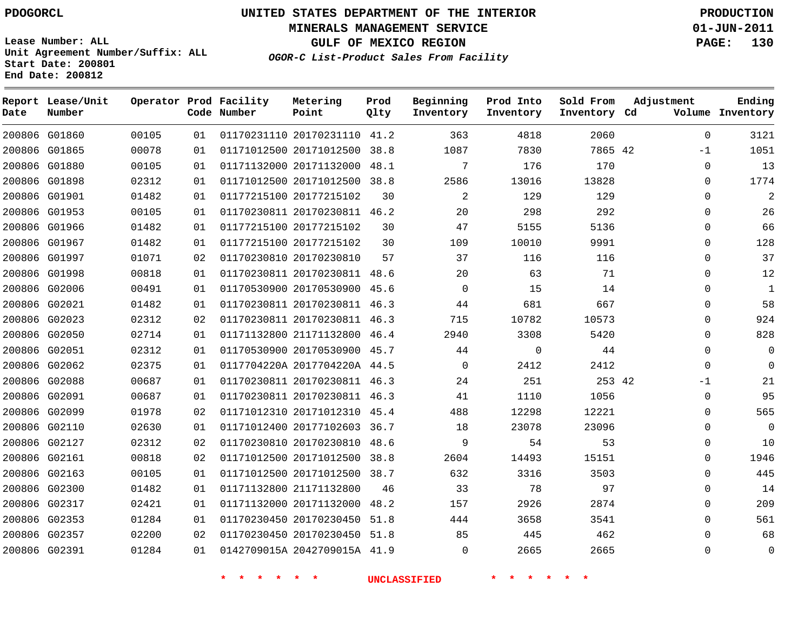**Start Date: 200801 End Date: 200812**

**Unit Agreement Number/Suffix: ALL**

# **UNITED STATES DEPARTMENT OF THE INTERIOR PDOGORCL PRODUCTION**

**MINERALS MANAGEMENT SERVICE 01-JUN-2011**

**GULF OF MEXICO REGION PAGE: 130**

**OGOR-C List-Product Sales From Facility**

| Date   | Report Lease/Unit<br>Number |       |    | Operator Prod Facility<br>Code Number | Metering<br>Point            | Prod<br>Qlty | Beginning<br>Inventory | Prod Into<br>Inventory | Sold From<br>Inventory Cd | Adjustment  | Ending<br>Volume Inventory |
|--------|-----------------------------|-------|----|---------------------------------------|------------------------------|--------------|------------------------|------------------------|---------------------------|-------------|----------------------------|
|        | 200806 G01860               | 00105 | 01 |                                       | 01170231110 20170231110 41.2 |              | 363                    | 4818                   | 2060                      | $\Omega$    | 3121                       |
|        | 200806 G01865               | 00078 | 01 |                                       | 01171012500 20171012500      | 38.8         | 1087                   | 7830                   | 7865 42                   | $-1$        | 1051                       |
|        | 200806 G01880               | 00105 | 01 |                                       | 01171132000 20171132000      | 48.1         | 7                      | 176                    | 170                       | $\Omega$    | 13                         |
|        | 200806 G01898               | 02312 | 01 |                                       | 01171012500 20171012500      | 38.8         | 2586                   | 13016                  | 13828                     | 0           | 1774                       |
|        | 200806 G01901               | 01482 | 01 |                                       | 01177215100 20177215102      | 30           | $\overline{a}$         | 129                    | 129                       | $\mathbf 0$ | 2                          |
| 200806 | G01953                      | 00105 | 01 |                                       | 01170230811 20170230811 46.2 |              | 20                     | 298                    | 292                       | 0           | 26                         |
|        | 200806 G01966               | 01482 | 01 |                                       | 01177215100 20177215102      | 30           | 47                     | 5155                   | 5136                      | $\Omega$    | 66                         |
|        | 200806 G01967               | 01482 | 01 |                                       | 01177215100 20177215102      | 30           | 109                    | 10010                  | 9991                      | 0           | 128                        |
|        | 200806 G01997               | 01071 | 02 |                                       | 01170230810 20170230810      | 57           | 37                     | 116                    | 116                       | $\Omega$    | 37                         |
| 200806 | G01998                      | 00818 | 01 |                                       | 01170230811 20170230811      | 48.6         | 20                     | 63                     | 71                        | 0           | 12                         |
|        | 200806 G02006               | 00491 | 01 |                                       | 01170530900 20170530900      | 45.6         | 0                      | 15                     | 14                        | $\mathbf 0$ | $\mathbf{1}$               |
|        | 200806 G02021               | 01482 | 01 |                                       | 01170230811 20170230811      | 46.3         | 44                     | 681                    | 667                       | $\Omega$    | 58                         |
| 200806 | G02023                      | 02312 | 02 |                                       | 01170230811 20170230811 46.3 |              | 715                    | 10782                  | 10573                     | $\Omega$    | 924                        |
|        | 200806 G02050               | 02714 | 01 |                                       | 01171132800 21171132800      | 46.4         | 2940                   | 3308                   | 5420                      | $\Omega$    | 828                        |
| 200806 | G02051                      | 02312 | 01 |                                       | 01170530900 20170530900      | 45.7         | 44                     | $\mathbf 0$            | 44                        | $\Omega$    | $\overline{0}$             |
|        | 200806 G02062               | 02375 | 01 |                                       | 0117704220A 2017704220A 44.5 |              | $\mathbf 0$            | 2412                   | 2412                      | $\Omega$    | $\mathbf 0$                |
|        | 200806 G02088               | 00687 | 01 |                                       | 01170230811 20170230811 46.3 |              | 24                     | 251                    | 253 42                    | $-1$        | 21                         |
|        | 200806 G02091               | 00687 | 01 |                                       | 01170230811 20170230811 46.3 |              | 41                     | 1110                   | 1056                      | $\mathbf 0$ | 95                         |
| 200806 | G02099                      | 01978 | 02 |                                       | 01171012310 20171012310      | 45.4         | 488                    | 12298                  | 12221                     | $\Omega$    | 565                        |
|        | 200806 G02110               | 02630 | 01 |                                       | 01171012400 20177102603      | 36.7         | 18                     | 23078                  | 23096                     | 0           | $\overline{0}$             |
|        | 200806 G02127               | 02312 | 02 |                                       | 01170230810 20170230810      | 48.6         | 9                      | 54                     | 53                        | 0           | 10                         |
|        | 200806 G02161               | 00818 | 02 |                                       | 01171012500 20171012500      | 38.8         | 2604                   | 14493                  | 15151                     | $\Omega$    | 1946                       |
| 200806 | G02163                      | 00105 | 01 |                                       | 01171012500 20171012500      | 38.7         | 632                    | 3316                   | 3503                      | 0           | 445                        |
|        | 200806 G02300               | 01482 | 01 |                                       | 01171132800 21171132800      | 46           | 33                     | 78                     | 97                        | $\mathbf 0$ | 14                         |
|        | 200806 G02317               | 02421 | 01 |                                       | 01171132000 20171132000      | 48.2         | 157                    | 2926                   | 2874                      | $\Omega$    | 209                        |
|        | 200806 G02353               | 01284 | 01 |                                       | 01170230450 20170230450      | 51.8         | 444                    | 3658                   | 3541                      | $\Omega$    | 561                        |
|        | 200806 G02357               | 02200 | 02 |                                       | 01170230450 20170230450      | 51.8         | 85                     | 445                    | 462                       | $\Omega$    | 68                         |
|        | 200806 G02391               | 01284 | 01 |                                       | 0142709015A 2042709015A 41.9 |              | $\Omega$               | 2665                   | 2665                      | $\Omega$    | $\Omega$                   |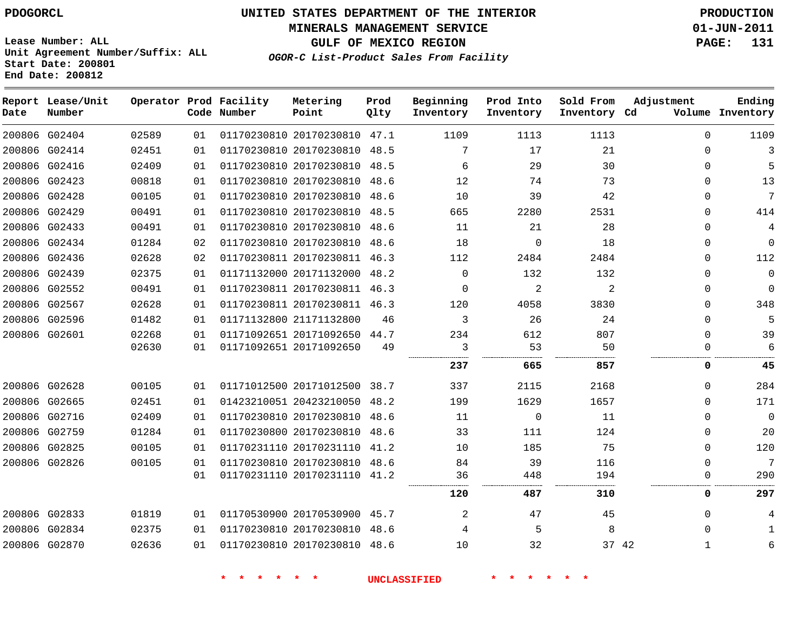**MINERALS MANAGEMENT SERVICE 01-JUN-2011**

**GULF OF MEXICO REGION** 

**Lease Number: ALL Unit Agreement Number/Suffix: ALL Start Date: 200801 End Date: 200812**

**OGOR-C List-Product Sales From Facility**

| 01-JUN-2011      |  |
|------------------|--|
| <b>PAGE:</b> 131 |  |
|                  |  |
|                  |  |

| Date          | Report Lease/Unit<br>Number |       |    | Operator Prod Facility<br>Code Number | Metering<br>Point            | Prod<br>Qlty | Beginning<br>Inventory | Prod Into<br>Inventory | Sold From<br>Inventory Cd | Adjustment   | Ending<br>Volume Inventory |
|---------------|-----------------------------|-------|----|---------------------------------------|------------------------------|--------------|------------------------|------------------------|---------------------------|--------------|----------------------------|
|               | 200806 G02404               | 02589 | 01 |                                       | 01170230810 20170230810 47.1 |              | 1109                   | 1113                   | 1113                      | $\Omega$     | 1109                       |
| 200806 G02414 |                             | 02451 | 01 |                                       | 01170230810 20170230810 48.5 |              | 7                      | 17                     | 21                        | $\Omega$     | 3                          |
| 200806 G02416 |                             | 02409 | 01 |                                       | 01170230810 20170230810 48.5 |              | 6                      | 29                     | 30                        | $\Omega$     | 5                          |
| 200806 G02423 |                             | 00818 | 01 |                                       | 01170230810 20170230810 48.6 |              | 12                     | 74                     | 73                        | $\Omega$     | 13                         |
| 200806 G02428 |                             | 00105 | 01 |                                       | 01170230810 20170230810 48.6 |              | 10                     | 39                     | 42                        | $\Omega$     | 7                          |
| 200806 G02429 |                             | 00491 | 01 |                                       | 01170230810 20170230810 48.5 |              | 665                    | 2280                   | 2531                      | $\Omega$     | 414                        |
| 200806 G02433 |                             | 00491 | 01 |                                       | 01170230810 20170230810 48.6 |              | 11                     | 21                     | 28                        | $\Omega$     | 4                          |
| 200806 G02434 |                             | 01284 | 02 |                                       | 01170230810 20170230810 48.6 |              | 18                     | $\mathbf 0$            | 18                        | $\Omega$     | $\mathbf 0$                |
| 200806 G02436 |                             | 02628 | 02 |                                       | 01170230811 20170230811 46.3 |              | 112                    | 2484                   | 2484                      | $\Omega$     | 112                        |
| 200806 G02439 |                             | 02375 | 01 |                                       | 01171132000 20171132000 48.2 |              | $\mathbf 0$            | 132                    | 132                       | $\Omega$     | $\mathbf 0$                |
| 200806 G02552 |                             | 00491 | 01 |                                       | 01170230811 20170230811 46.3 |              | $\mathbf 0$            | 2                      | 2                         | $\Omega$     | $\mathbf 0$                |
| 200806 G02567 |                             | 02628 | 01 |                                       | 01170230811 20170230811 46.3 |              | 120                    | 4058                   | 3830                      | $\Omega$     | 348                        |
| 200806 G02596 |                             | 01482 | 01 |                                       | 01171132800 21171132800      | 46           | 3                      | 26                     | 24                        | $\Omega$     | 5                          |
| 200806 G02601 |                             | 02268 | 01 |                                       | 01171092651 20171092650 44.7 |              | 234                    | 612                    | 807                       | $\Omega$     | 39                         |
|               |                             | 02630 | 01 |                                       | 01171092651 20171092650      | 49           | 3                      | 53                     | 50                        | $\Omega$     | 6                          |
|               |                             |       |    |                                       |                              |              | 237                    | 665                    | 857                       | 0            | 45                         |
| 200806 G02628 |                             | 00105 | 01 |                                       | 01171012500 20171012500 38.7 |              | 337                    | 2115                   | 2168                      | $\Omega$     | 284                        |
| 200806 G02665 |                             | 02451 | 01 |                                       | 01423210051 20423210050 48.2 |              | 199                    | 1629                   | 1657                      | $\Omega$     | 171                        |
| 200806 G02716 |                             | 02409 | 01 |                                       | 01170230810 20170230810 48.6 |              | 11                     | $\mathbf 0$            | 11                        | $\Omega$     | $\overline{0}$             |
|               | 200806 G02759               | 01284 | 01 |                                       | 01170230800 20170230810 48.6 |              | 33                     | 111                    | 124                       | 0            | 20                         |
| 200806 G02825 |                             | 00105 | 01 |                                       | 01170231110 20170231110 41.2 |              | 10                     | 185                    | 75                        | $\Omega$     | 120                        |
| 200806 G02826 |                             | 00105 | 01 |                                       | 01170230810 20170230810 48.6 |              | 84                     | 39                     | 116                       | $\Omega$     | 7                          |
|               |                             |       | 01 |                                       | 01170231110 20170231110 41.2 |              | 36                     | 448                    | 194                       | O            | 290                        |
|               |                             |       |    |                                       |                              |              | 120                    | 487                    | 310                       | 0            | 297                        |
|               | 200806 G02833               | 01819 | 01 |                                       | 01170530900 20170530900 45.7 |              | 2                      | 47                     | 45                        | $\Omega$     | 4                          |
| 200806 G02834 |                             | 02375 | 01 |                                       | 01170230810 20170230810 48.6 |              | 4                      | 5                      | 8                         | $\Omega$     | $\mathbf{1}$               |
| 200806 G02870 |                             | 02636 | 01 |                                       | 01170230810 20170230810 48.6 |              | 10                     | 32                     | 37 42                     | $\mathbf{1}$ | 6                          |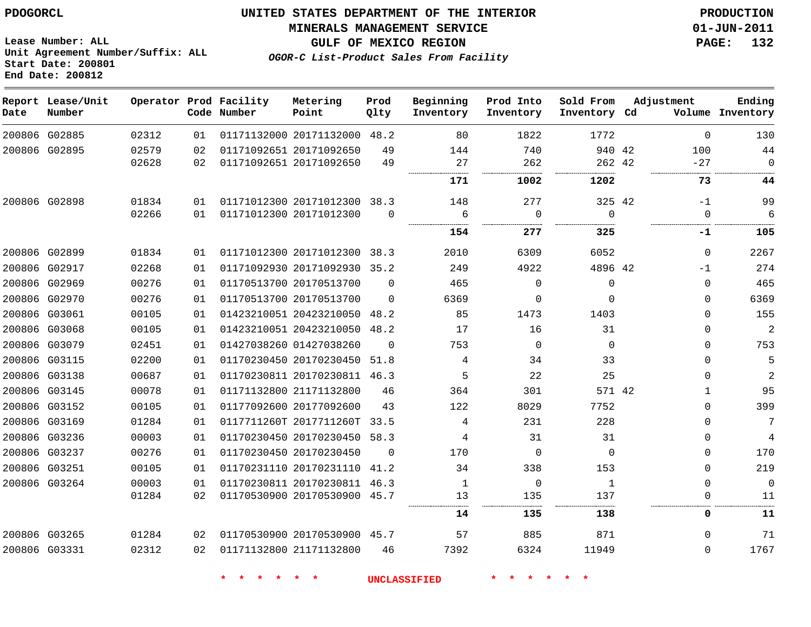**Start Date: 200801 End Date: 200812**

# **UNITED STATES DEPARTMENT OF THE INTERIOR PDOGORCL PRODUCTION**

#### **MINERALS MANAGEMENT SERVICE 01-JUN-2011**

**GULF OF MEXICO REGION PAGE: 132**

**OGOR-C List-Product Sales From Facility Unit Agreement Number/Suffix: ALL**

| Date          | Report Lease/Unit<br>Number |       |    | Operator Prod Facility<br>Code Number | Metering<br>Point            | Prod<br>Qlty | Beginning<br>Inventory | Prod Into<br>Inventory | Sold From<br>Inventory Cd | Adjustment   | Ending<br>Volume Inventory |
|---------------|-----------------------------|-------|----|---------------------------------------|------------------------------|--------------|------------------------|------------------------|---------------------------|--------------|----------------------------|
|               | 200806 G02885               | 02312 | 01 |                                       | 01171132000 20171132000 48.2 |              | 80                     | 1822                   | 1772                      | $\Omega$     | 130                        |
|               | 200806 G02895               | 02579 | 02 |                                       | 01171092651 20171092650      | 49           | 144                    | 740                    | 940 42                    | 100          | 44                         |
|               |                             | 02628 | 02 |                                       | 01171092651 20171092650      | 49           | 27<br>.                | 262                    | 262 42                    | $-27$        | $\Omega$                   |
|               |                             |       |    |                                       |                              |              | 171                    | 1002                   | 1202                      | 73           | 44                         |
|               | 200806 G02898               | 01834 | 01 |                                       | 01171012300 20171012300 38.3 |              | 148                    | 277                    | 325 42                    | $-1$         | 99                         |
|               |                             | 02266 | 01 |                                       | 01171012300 20171012300      | $\Omega$     | 6                      | $\Omega$               | $\Omega$                  | $\Omega$     | 6                          |
|               |                             |       |    |                                       |                              |              | 154                    | .<br>277               | 325                       | .<br>-1      | <br>105                    |
|               | 200806 G02899               | 01834 | 01 |                                       | 01171012300 20171012300      | 38.3         | 2010                   | 6309                   | 6052                      | $\Omega$     | 2267                       |
|               | 200806 G02917               | 02268 | 01 |                                       | 01171092930 20171092930      | 35.2         | 249                    | 4922                   | 4896 42                   | $-1$         | 274                        |
|               | 200806 G02969               | 00276 | 01 |                                       | 01170513700 20170513700      | $\Omega$     | 465                    | $\Omega$               | $\Omega$                  | $\Omega$     | 465                        |
|               | 200806 G02970               | 00276 | 01 |                                       | 01170513700 20170513700      | $\Omega$     | 6369                   | $\Omega$               | $\Omega$                  | $\Omega$     | 6369                       |
|               | 200806 G03061               | 00105 | 01 |                                       | 01423210051 20423210050      | 48.2         | 85                     | 1473                   | 1403                      | 0            | 155                        |
|               | 200806 G03068               | 00105 | 01 |                                       | 01423210051 20423210050      | 48.2         | 17                     | 16                     | 31                        | $\Omega$     | $\overline{a}$             |
|               | 200806 G03079               | 02451 | 01 |                                       | 01427038260 01427038260      | $\Omega$     | 753                    | $\Omega$               | $\Omega$                  | $\Omega$     | 753                        |
|               | 200806 G03115               | 02200 | 01 |                                       | 01170230450 20170230450      | 51.8         | 4                      | 34                     | 33                        | $\Omega$     | 5                          |
|               | 200806 G03138               | 00687 | 01 |                                       | 01170230811 20170230811      | 46.3         | 5                      | 22                     | 25                        | $\Omega$     | $\overline{a}$             |
|               | 200806 G03145               | 00078 | 01 |                                       | 01171132800 21171132800      | 46           | 364                    | 301                    | 571 42                    | $\mathbf{1}$ | 95                         |
|               | 200806 G03152               | 00105 | 01 |                                       | 01177092600 20177092600      | 43           | 122                    | 8029                   | 7752                      | $\Omega$     | 399                        |
| 200806 G03169 |                             | 01284 | 01 |                                       | 0117711260T 2017711260T      | 33.5         | 4                      | 231                    | 228                       | $\mathbf{0}$ | 7                          |
|               | 200806 G03236               | 00003 | 01 |                                       | 01170230450 20170230450 58.3 |              | 4                      | 31                     | 31                        | $\Omega$     | 4                          |
| 200806 G03237 |                             | 00276 | 01 |                                       | 01170230450 20170230450      | $\Omega$     | 170                    | $\Omega$               | $\Omega$                  | $\Omega$     | 170                        |
|               | 200806 G03251               | 00105 | 01 |                                       | 01170231110 20170231110      | 41.2         | 34                     | 338                    | 153                       | $\Omega$     | 219                        |
|               | 200806 G03264               | 00003 | 01 |                                       | 01170230811 20170230811 46.3 |              | $\mathbf{1}$           | $\Omega$               | $\mathbf{1}$              | $\Omega$     | $\Omega$                   |
|               |                             | 01284 | 02 |                                       | 01170530900 20170530900 45.7 |              | 13                     | 135                    | 137                       | $\Omega$     | 11                         |
|               |                             |       |    |                                       |                              |              | 14                     | 135                    | 138                       | 0            | 11                         |
|               | 200806 G03265               | 01284 | 02 |                                       | 01170530900 20170530900 45.7 |              | 57                     | 885                    | 871                       | $\Omega$     | 71                         |
| 200806 G03331 |                             | 02312 | 02 |                                       | 01171132800 21171132800      | 46           | 7392                   | 6324                   | 11949                     | $\Omega$     | 1767                       |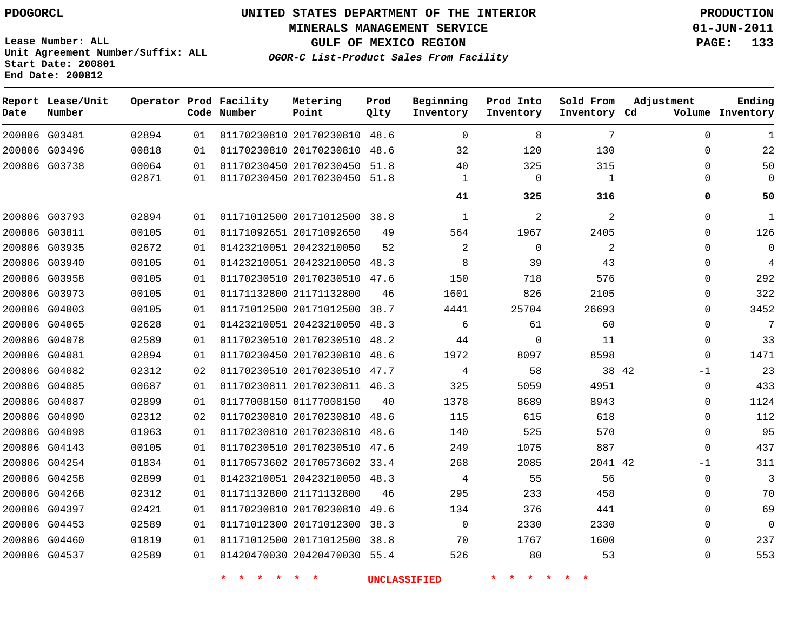**MINERALS MANAGEMENT SERVICE 01-JUN-2011**

**Lease Number: ALL Unit Agreement Number/Suffix: ALL Start Date: 200801 End Date: 200812**

**OGOR-C List-Product Sales From Facility**

**GULF OF MEXICO REGION PAGE: 133**

| Date | Report Lease/Unit<br>Number |       |    | Operator Prod Facility<br>Code Number | Metering<br>Point            | Prod<br>Qlty | Beginning<br>Inventory | Prod Into<br>Inventory | Sold From<br>Inventory Cd | Adjustment    | Ending<br>Volume Inventory |
|------|-----------------------------|-------|----|---------------------------------------|------------------------------|--------------|------------------------|------------------------|---------------------------|---------------|----------------------------|
|      | 200806 G03481               | 02894 | 01 |                                       | 01170230810 20170230810 48.6 |              | $\mathbf 0$            | 8                      | 7                         | $\Omega$      | 1                          |
|      | 200806 G03496               | 00818 | 01 |                                       | 01170230810 20170230810      | 48.6         | 32                     | 120                    | 130                       | $\Omega$      | 22                         |
|      | 200806 G03738               | 00064 | 01 |                                       | 01170230450 20170230450 51.8 |              | 40                     | 325                    | 315                       | 0             | 50                         |
|      |                             | 02871 | 01 |                                       | 01170230450 20170230450 51.8 |              | 1                      | $\Omega$               | 1                         | $\Omega$      | $\Omega$                   |
|      |                             |       |    |                                       |                              |              | 41                     | 325                    | 316                       | 0             | 50                         |
|      | 200806 G03793               | 02894 | 01 |                                       | 01171012500 20171012500 38.8 |              | $\mathbf{1}$           | $\overline{c}$         | $\overline{a}$            | 0             | 1                          |
|      | 200806 G03811               | 00105 | 01 |                                       | 01171092651 20171092650      | 49           | 564                    | 1967                   | 2405                      | $\Omega$      | 126                        |
|      | 200806 G03935               | 02672 | 01 |                                       | 01423210051 20423210050      | 52           | 2                      | $\Omega$               | 2                         | $\Omega$      | $\overline{0}$             |
|      | 200806 G03940               | 00105 | 01 |                                       | 01423210051 20423210050 48.3 |              | 8                      | 39                     | 43                        | $\Omega$      | 4                          |
|      | 200806 G03958               | 00105 | 01 |                                       | 01170230510 20170230510 47.6 |              | 150                    | 718                    | 576                       | 0             | 292                        |
|      | 200806 G03973               | 00105 | 01 |                                       | 01171132800 21171132800      | 46           | 1601                   | 826                    | 2105                      | 0             | 322                        |
|      | 200806 G04003               | 00105 | 01 |                                       | 01171012500 20171012500      | 38.7         | 4441                   | 25704                  | 26693                     | 0             | 3452                       |
|      | 200806 G04065               | 02628 | 01 |                                       | 01423210051 20423210050 48.3 |              | 6                      | 61                     | 60                        | 0             | 7                          |
|      | 200806 G04078               | 02589 | 01 |                                       | 01170230510 20170230510 48.2 |              | 44                     | $\Omega$               | 11                        | 0             | 33                         |
|      | 200806 G04081               | 02894 | 01 |                                       | 01170230450 20170230810 48.6 |              | 1972                   | 8097                   | 8598                      | $\Omega$      | 1471                       |
|      | 200806 G04082               | 02312 | 02 |                                       | 01170230510 20170230510 47.7 |              | 4                      | 58                     |                           | 38 42<br>$-1$ | 23                         |
|      | 200806 G04085               | 00687 | 01 |                                       | 01170230811 20170230811 46.3 |              | 325                    | 5059                   | 4951                      | 0             | 433                        |
|      | 200806 G04087               | 02899 | 01 |                                       | 01177008150 01177008150      | 40           | 1378                   | 8689                   | 8943                      | $\Omega$      | 1124                       |
|      | 200806 G04090               | 02312 | 02 |                                       | 01170230810 20170230810 48.6 |              | 115                    | 615                    | 618                       | $\Omega$      | 112                        |
|      | 200806 G04098               | 01963 | 01 |                                       | 01170230810 20170230810 48.6 |              | 140                    | 525                    | 570                       | $\Omega$      | 95                         |
|      | 200806 G04143               | 00105 | 01 |                                       | 01170230510 20170230510 47.6 |              | 249                    | 1075                   | 887                       | $\mathbf 0$   | 437                        |
|      | 200806 G04254               | 01834 | 01 |                                       | 01170573602 20170573602 33.4 |              | 268                    | 2085                   | 2041 42                   | $-1$          | 311                        |
|      | 200806 G04258               | 02899 | 01 |                                       | 01423210051 20423210050 48.3 |              | 4                      | 55                     | 56                        | $\mathbf 0$   | 3                          |
|      | 200806 G04268               | 02312 | 01 |                                       | 01171132800 21171132800      | 46           | 295                    | 233                    | 458                       | $\Omega$      | 70                         |
|      | 200806 G04397               | 02421 | 01 |                                       | 01170230810 20170230810 49.6 |              | 134                    | 376                    | 441                       | $\Omega$      | 69                         |
|      | 200806 G04453               | 02589 | 01 |                                       | 01171012300 20171012300      | 38.3         | $\mathbf 0$            | 2330                   | 2330                      | $\Omega$      | $\Omega$                   |
|      | 200806 G04460               | 01819 | 01 |                                       | 01171012500 20171012500 38.8 |              | 70                     | 1767                   | 1600                      | $\Omega$      | 237                        |
|      | 200806 G04537               | 02589 | 01 |                                       | 01420470030 20420470030 55.4 |              | 526                    | 80                     | 53                        | 0             | 553                        |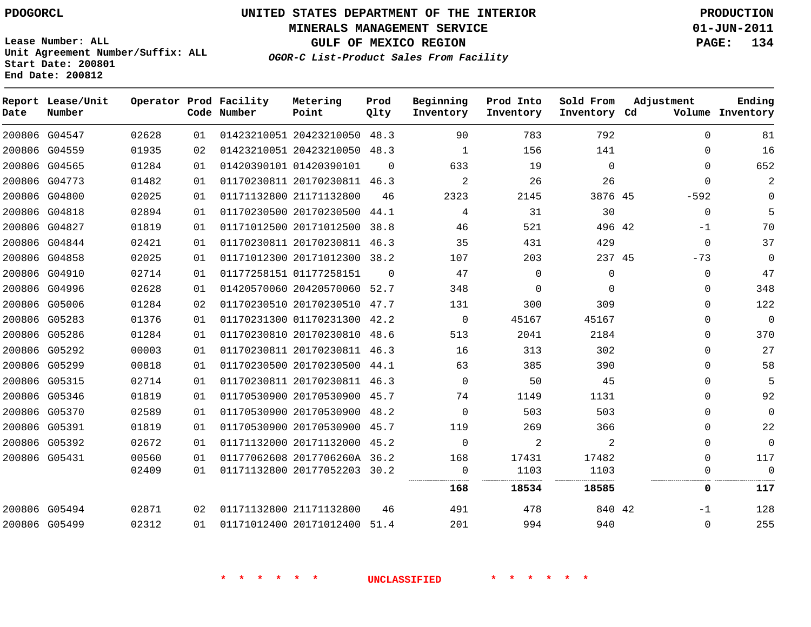# **UNITED STATES DEPARTMENT OF THE INTERIOR PDOGORCL PRODUCTION**

**MINERALS MANAGEMENT SERVICE 01-JUN-2011**

**GULF OF MEXICO REGION PAGE: 134**

**Unit Agreement Number/Suffix: ALL Start Date: 200801 End Date: 200812**

**OGOR-C List-Product Sales From Facility**

**Adjustment**

**Ending**

| Date | Report Lease/Unit<br>Number |       |    | Operator Prod Facility<br>Code Number | Metering<br>Point            | Prod<br>Qlty | Beginning<br>Inventory | Prod Into<br>Inventory | Sold From<br>Inventory Cd | Adjustment  | Ending<br>Volume Inventory |
|------|-----------------------------|-------|----|---------------------------------------|------------------------------|--------------|------------------------|------------------------|---------------------------|-------------|----------------------------|
|      | 200806 G04547               | 02628 | 01 |                                       | 01423210051 20423210050 48.3 |              | 90                     | 783                    | 792                       | $\Omega$    | 81                         |
|      | 200806 G04559               | 01935 | 02 |                                       | 01423210051 20423210050 48.3 |              | 1                      | 156                    | 141                       | $\Omega$    | 16                         |
|      | 200806 G04565               | 01284 | 01 |                                       | 01420390101 01420390101      | $\Omega$     | 633                    | 19                     | $\mathbf 0$               | $\Omega$    | 652                        |
|      | 200806 G04773               | 01482 | 01 |                                       | 01170230811 20170230811 46.3 |              | 2                      | 26                     | 26                        | $\Omega$    |                            |
|      | 200806 G04800               | 02025 | 01 |                                       | 01171132800 21171132800      | 46           | 2323                   | 2145                   | 3876 45                   | $-592$      |                            |
|      | 200806 G04818               | 02894 | 01 |                                       | 01170230500 20170230500      | 44.1         | 4                      | 31                     | 30                        | $\mathbf 0$ | 5                          |
|      | 200806 G04827               | 01819 | 01 |                                       | 01171012500 20171012500      | 38.8         | 46                     | 521                    | 496 42                    | -1          | 70                         |
|      | 200806 G04844               | 02421 | 01 |                                       | 01170230811 20170230811 46.3 |              | 35                     | 431                    | 429                       | $\mathbf 0$ | 37                         |
|      | 200806 G04858               | 02025 | 01 |                                       | 01171012300 20171012300 38.2 |              | 107                    | 203                    | 237 45                    | $-73$       | 0                          |
|      | 200806 G04910               | 02714 | 01 |                                       | 01177258151 01177258151      | $\Omega$     | 47                     | 0                      | $\Omega$                  | 0           | 47                         |
|      | 200806 G04996               | 02628 | 01 |                                       | 01420570060 20420570060 52.7 |              | 348                    | 0                      | $\Omega$                  | $\Omega$    | 348                        |
|      | 200806 G05006               | 01284 | 02 |                                       | 01170230510 20170230510 47.7 |              | 131                    | 300                    | 309                       | $\Omega$    | 122                        |
|      | 200806 G05283               | 01376 | 01 |                                       | 01170231300 01170231300      | 42.2         | $\mathbf 0$            | 45167                  | 45167                     | 0           | 0                          |
|      | 200806 G05286               | 01284 | 01 |                                       | 01170230810 20170230810      | 48.6         | 513                    | 2041                   | 2184                      | 0           | 370                        |
|      | 200806 G05292               | 00003 | 01 |                                       | 01170230811 20170230811 46.3 |              | 16                     | 313                    | 302                       | $\Omega$    | 27                         |
|      | 200806 G05299               | 00818 | 01 |                                       | 01170230500 20170230500      | 44.1         | 63                     | 385                    | 390                       | $\Omega$    | 58                         |
|      | 200806 G05315               | 02714 | 01 |                                       | 01170230811 20170230811 46.3 |              | $\Omega$               | 50                     | 45                        | 0           | 5                          |
|      | 200806 G05346               | 01819 | 01 |                                       | 01170530900 20170530900 45.7 |              | 74                     | 1149                   | 1131                      | $\Omega$    | 92                         |
|      | 200806 G05370               | 02589 | 01 |                                       | 01170530900 20170530900      | 48.2         | $\Omega$               | 503                    | 503                       | 0           | 0                          |
|      | 200806 G05391               | 01819 | 01 |                                       | 01170530900 20170530900 45.7 |              | 119                    | 269                    | 366                       | 0           | 22                         |
|      | 200806 G05392               | 02672 | 01 |                                       | 01171132000 20171132000      | 45.2         | $\Omega$               | 2                      | 2                         | $\Omega$    | 0                          |
|      | 200806 G05431               | 00560 | 01 |                                       | 01177062608 2017706260A 36.2 |              | 168                    | 17431                  | 17482                     | $\Omega$    | 117                        |
|      |                             | 02409 | 01 |                                       | 01171132800 20177052203 30.2 |              | $\Omega$<br>           | 1103                   | 1103<br>                  | $\Omega$    | $\mathbf 0$                |
|      |                             |       |    |                                       |                              |              | 168                    | 18534                  | 18585                     | 0           | 117                        |
|      | 200806 G05494               | 02871 | 02 |                                       | 01171132800 21171132800      | 46           | 491                    | 478                    | 840 42                    | $-1$        | 128                        |
|      | 200806 G05499               | 02312 | 01 |                                       | 01171012400 20171012400 51.4 |              | 201                    | 994                    | 940                       | $\Omega$    | 255                        |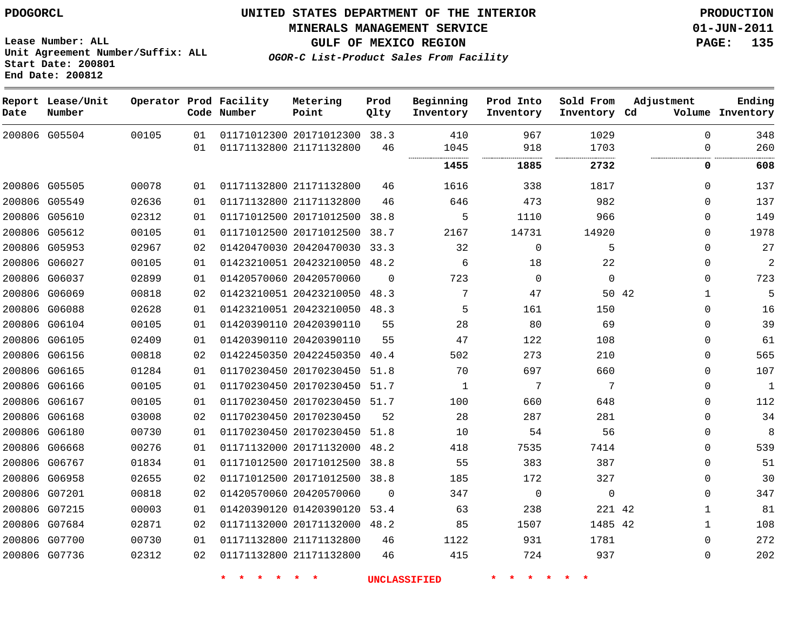**MINERALS MANAGEMENT SERVICE 01-JUN-2011**

**GULF OF MEXICO REGION PAGE: 135**

**OGOR-C List-Product Sales From Facility**

**Lease Number: ALL Unit Agreement Number/Suffix: ALL Start Date: 200801 End Date: 200812**

| Date | Report Lease/Unit<br>Number |       |    | Operator Prod Facility<br>Code Number | Metering<br>Point            | Prod<br>Qlty | Beginning<br>Inventory | Prod Into<br>Inventory | Sold From<br>Inventory Cd | Adjustment   | Ending<br>Volume Inventory |
|------|-----------------------------|-------|----|---------------------------------------|------------------------------|--------------|------------------------|------------------------|---------------------------|--------------|----------------------------|
|      | 200806 G05504               | 00105 | 01 |                                       | 01171012300 20171012300 38.3 |              | 410                    | 967                    | 1029                      | $\Omega$     | 348                        |
|      |                             |       | 01 |                                       | 01171132800 21171132800      | 46           | 1045<br>               | 918<br>                | 1703<br>.                 | $\Omega$     | 260                        |
|      |                             |       |    |                                       |                              |              | 1455                   | 1885                   | 2732                      | 0            | 608                        |
|      | 200806 G05505               | 00078 | 01 |                                       | 01171132800 21171132800      | 46           | 1616                   | 338                    | 1817                      | $\mathbf 0$  | 137                        |
|      | 200806 G05549               | 02636 | 01 |                                       | 01171132800 21171132800      | 46           | 646                    | 473                    | 982                       | $\Omega$     | 137                        |
|      | 200806 G05610               | 02312 | 01 |                                       | 01171012500 20171012500      | 38.8         | 5                      | 1110                   | 966                       | $\Omega$     | 149                        |
|      | 200806 G05612               | 00105 | 01 |                                       | 01171012500 20171012500      | 38.7         | 2167                   | 14731                  | 14920                     | $\mathbf 0$  | 1978                       |
|      | 200806 G05953               | 02967 | 02 |                                       | 01420470030 20420470030 33.3 |              | 32                     | $\mathbf 0$            | 5                         | $\Omega$     | 27                         |
|      | 200806 G06027               | 00105 | 01 |                                       | 01423210051 20423210050      | 48.2         | 6                      | 18                     | 22                        | $\Omega$     | $\overline{2}$             |
|      | 200806 G06037               | 02899 | 01 |                                       | 01420570060 20420570060      | $\Omega$     | 723                    | 0                      | $\mathbf 0$               | $\mathbf 0$  | 723                        |
|      | 200806 G06069               | 00818 | 02 |                                       | 01423210051 20423210050 48.3 |              | 7                      | 47                     | 50 42                     | $\mathbf{1}$ | 5                          |
|      | 200806 G06088               | 02628 | 01 |                                       | 01423210051 20423210050 48.3 |              | 5                      | 161                    | 150                       | $\mathbf 0$  | 16                         |
|      | 200806 G06104               | 00105 | 01 |                                       | 01420390110 20420390110      | 55           | 28                     | 80                     | 69                        | $\Omega$     | 39                         |
|      | 200806 G06105               | 02409 | 01 |                                       | 01420390110 20420390110      | 55           | 47                     | 122                    | 108                       | $\Omega$     | 61                         |
|      | 200806 G06156               | 00818 | 02 |                                       | 01422450350 20422450350      | 40.4         | 502                    | 273                    | 210                       | $\Omega$     | 565                        |
|      | 200806 G06165               | 01284 | 01 |                                       | 01170230450 20170230450      | 51.8         | 70                     | 697                    | 660                       | $\mathbf 0$  | 107                        |
|      | 200806 G06166               | 00105 | 01 |                                       | 01170230450 20170230450      | 51.7         | 1                      | 7                      | 7                         | $\mathbf 0$  | $\mathbf{1}$               |
|      | 200806 G06167               | 00105 | 01 |                                       | 01170230450 20170230450 51.7 |              | 100                    | 660                    | 648                       | $\Omega$     | 112                        |
|      | 200806 G06168               | 03008 | 02 |                                       | 01170230450 20170230450      | 52           | 28                     | 287                    | 281                       | $\mathbf 0$  | 34                         |
|      | 200806 G06180               | 00730 | 01 |                                       | 01170230450 20170230450      | 51.8         | 10                     | 54                     | 56                        | $\Omega$     | 8                          |
|      | 200806 G06668               | 00276 | 01 |                                       | 01171132000 20171132000      | 48.2         | 418                    | 7535                   | 7414                      | $\Omega$     | 539                        |
|      | 200806 G06767               | 01834 | 01 |                                       | 01171012500 20171012500      | 38.8         | 55                     | 383                    | 387                       | $\mathbf{0}$ | 51                         |
|      | 200806 G06958               | 02655 | 02 |                                       | 01171012500 20171012500 38.8 |              | 185                    | 172                    | 327                       | $\Omega$     | 30                         |
|      | 200806 G07201               | 00818 | 02 |                                       | 01420570060 20420570060      | $\Omega$     | 347                    | $\mathbf 0$            | $\mathbf 0$               | $\mathbf 0$  | 347                        |
|      | 200806 G07215               | 00003 | 01 |                                       | 01420390120 01420390120      | 53.4         | 63                     | 238                    | 221 42                    | $\mathbf{1}$ | 81                         |
|      | 200806 G07684               | 02871 | 02 |                                       | 01171132000 20171132000      | 48.2         | 85                     | 1507                   | 1485 42                   | $\mathbf{1}$ | 108                        |
|      | 200806 G07700               | 00730 | 01 |                                       | 01171132800 21171132800      | 46           | 1122                   | 931                    | 1781                      | $\mathbf{0}$ | 272                        |
|      | 200806 G07736               | 02312 | 02 |                                       | 01171132800 21171132800      | 46           | 415                    | 724                    | 937                       | $\mathbf{0}$ | 202                        |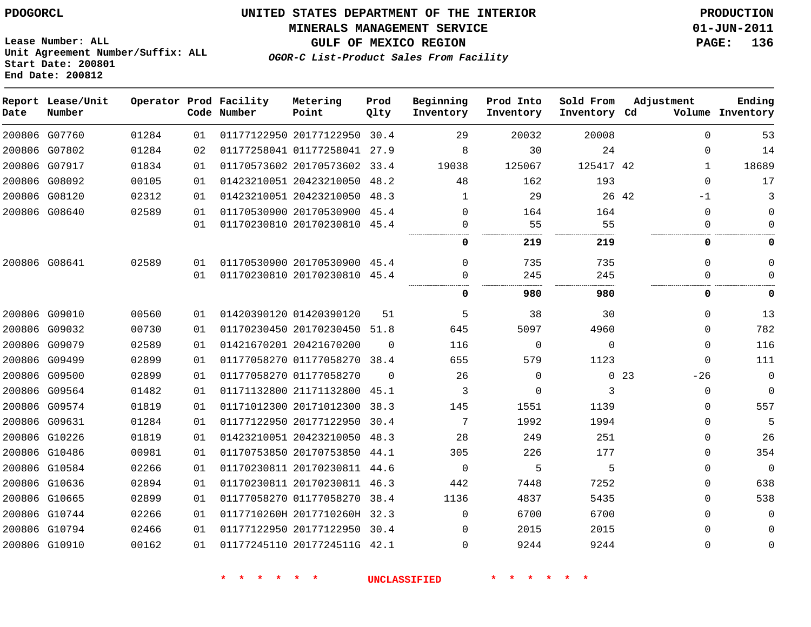# **UNITED STATES DEPARTMENT OF THE INTERIOR PDOGORCL PRODUCTION**

#### **MINERALS MANAGEMENT SERVICE 01-JUN-2011**

**GULF OF MEXICO REGION PAGE: 136**

**Lease Number: ALL Unit Agreement Number/Suffix: ALL Start Date: 200801 End Date: 200812**

**OGOR-C List-Product Sales From Facility**

**Ending**

| Date | Report Lease/Unit<br>Number |       |    | Operator Prod Facility<br>Code Number | Metering<br>Point            | Prod<br>Qlty | Beginning<br>Inventory | Prod Into<br>Inventory | Sold From<br>Inventory Cd | Adjustment               | Ending<br>Volume Inventory |
|------|-----------------------------|-------|----|---------------------------------------|------------------------------|--------------|------------------------|------------------------|---------------------------|--------------------------|----------------------------|
|      | 200806 G07760               | 01284 | 01 |                                       | 01177122950 20177122950 30.4 |              | 29                     | 20032                  | 20008                     | $\Omega$                 | 53                         |
|      | 200806 G07802               | 01284 | 02 |                                       | 01177258041 01177258041 27.9 |              | 8                      | 30                     | 24                        | $\Omega$                 | 14                         |
|      | 200806 G07917               | 01834 | 01 |                                       | 01170573602 20170573602 33.4 |              | 19038                  | 125067                 | 125417 42                 | $\mathbf{1}$             | 18689                      |
|      | 200806 G08092               | 00105 | 01 |                                       | 01423210051 20423210050 48.2 |              | 48                     | 162                    | 193                       | $\mathbf 0$              | 17                         |
|      | 200806 G08120               | 02312 | 01 |                                       | 01423210051 20423210050 48.3 |              | 1                      | 29                     |                           | 26 42<br>$-1$            | 3                          |
|      | 200806 G08640               | 02589 | 01 |                                       | 01170530900 20170530900 45.4 |              | 0                      | 164                    | 164                       | $\mathbf 0$              | $\Omega$                   |
|      |                             |       | 01 |                                       | 01170230810 20170230810 45.4 |              | 0                      | 55                     | 55                        | $\mathbf 0$              | $\Omega$                   |
|      |                             |       |    |                                       |                              |              | 0                      | 219                    | 219                       | 0                        | 0                          |
|      | 200806 G08641               | 02589 | 01 |                                       | 01170530900 20170530900 45.4 |              | $\Omega$               | 735                    | 735                       | $\Omega$                 | $\Omega$                   |
|      |                             |       | 01 |                                       | 01170230810 20170230810 45.4 |              | $\Omega$               | 245                    | 245                       | $\Omega$                 | $\Omega$                   |
|      |                             |       |    |                                       |                              |              | 0                      | 980                    | 980                       | 0                        | 0                          |
|      | 200806 G09010               | 00560 | 01 |                                       | 01420390120 01420390120      | 51           | 5                      | 38                     | 30                        | $\mathbf 0$              | 13                         |
|      | 200806 G09032               | 00730 | 01 |                                       | 01170230450 20170230450 51.8 |              | 645                    | 5097                   | 4960                      | $\Omega$                 | 782                        |
|      | 200806 G09079               | 02589 | 01 |                                       | 01421670201 20421670200      | $\Omega$     | 116                    | $\Omega$               | $\Omega$                  | $\mathbf 0$              | 116                        |
|      | 200806 G09499               | 02899 | 01 |                                       | 01177058270 01177058270 38.4 |              | 655                    | 579                    | 1123                      | $\mathbf 0$              | 111                        |
|      | 200806 G09500               | 02899 | 01 |                                       | 01177058270 01177058270      | $\Omega$     | 26                     | 0                      |                           | 0 <sub>23</sub><br>$-26$ | $\mathbf 0$                |
|      | 200806 G09564               | 01482 | 01 |                                       | 01171132800 21171132800      | 45.1         | 3                      | $\Omega$               | 3                         | $\mathbf 0$              | $\Omega$                   |
|      | 200806 G09574               | 01819 | 01 |                                       | 01171012300 20171012300 38.3 |              | 145                    | 1551                   | 1139                      | $\mathbf 0$              | 557                        |
|      | 200806 G09631               | 01284 | 01 |                                       | 01177122950 20177122950 30.4 |              | 7                      | 1992                   | 1994                      | $\mathbf 0$              | 5                          |
|      | 200806 G10226               | 01819 | 01 |                                       | 01423210051 20423210050 48.3 |              | 28                     | 249                    | 251                       | $\Omega$                 | 26                         |
|      | 200806 G10486               | 00981 | 01 |                                       | 01170753850 20170753850 44.1 |              | 305                    | 226                    | 177                       | $\Omega$                 | 354                        |
|      | 200806 G10584               | 02266 | 01 |                                       | 01170230811 20170230811 44.6 |              | $\mathbf 0$            | 5                      | 5                         | $\mathbf 0$              | $\Omega$                   |
|      | 200806 G10636               | 02894 | 01 |                                       | 01170230811 20170230811 46.3 |              | 442                    | 7448                   | 7252                      | $\mathbf 0$              | 638                        |
|      | 200806 G10665               | 02899 | 01 |                                       | 01177058270 01177058270 38.4 |              | 1136                   | 4837                   | 5435                      | $\Omega$                 | 538                        |
|      | 200806 G10744               | 02266 | 01 |                                       | 0117710260H 2017710260H 32.3 |              | $\Omega$               | 6700                   | 6700                      | $\Omega$                 | $\Omega$                   |
|      | 200806 G10794               | 02466 | 01 |                                       | 01177122950 20177122950 30.4 |              | 0                      | 2015                   | 2015                      | $\mathbf 0$              | $\mathbf 0$                |
|      | 200806 G10910               | 00162 | 01 |                                       | 01177245110 2017724511G 42.1 |              | 0                      | 9244                   | 9244                      | $\mathbf 0$              | 0                          |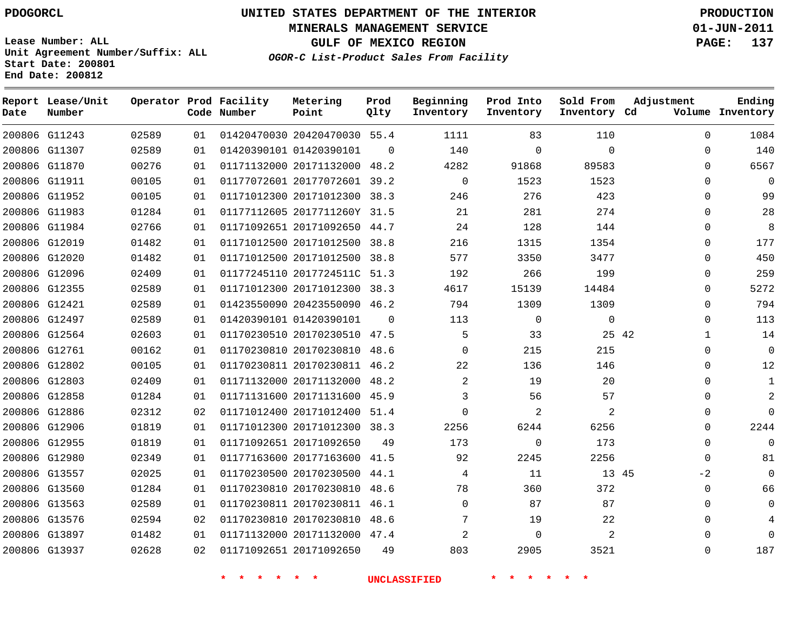**MINERALS MANAGEMENT SERVICE 01-JUN-2011**

**GULF OF MEXICO REGION PAGE: 137**

**Lease Number: ALL Unit Agreement Number/Suffix: ALL Start Date: 200801 End Date: 200812**

**OGOR-C List-Product Sales From Facility**

| Date | Report Lease/Unit<br>Number |       |    | Operator Prod Facility<br>Code Number | Metering<br>Point            | Prod<br>Qlty | Beginning<br>Inventory | Prod Into<br>Inventory | Sold From<br>Inventory Cd | Adjustment   | Ending<br>Volume Inventory |
|------|-----------------------------|-------|----|---------------------------------------|------------------------------|--------------|------------------------|------------------------|---------------------------|--------------|----------------------------|
|      | 200806 G11243               | 02589 | 01 |                                       | 01420470030 20420470030 55.4 |              | 1111                   | 83                     | 110                       | $\Omega$     | 1084                       |
|      | 200806 G11307               | 02589 | 01 |                                       | 01420390101 01420390101      | $\Omega$     | 140                    | $\mathbf 0$            | $\Omega$                  | $\Omega$     | 140                        |
|      | 200806 G11870               | 00276 | 01 |                                       | 01171132000 20171132000      | 48.2         | 4282                   | 91868                  | 89583                     | $\Omega$     | 6567                       |
|      | 200806 G11911               | 00105 | 01 |                                       | 01177072601 20177072601 39.2 |              | 0                      | 1523                   | 1523                      | 0            | 0                          |
|      | 200806 G11952               | 00105 | 01 |                                       | 01171012300 20171012300 38.3 |              | 246                    | 276                    | 423                       | 0            | 99                         |
|      | 200806 G11983               | 01284 | 01 |                                       | 01177112605 2017711260Y 31.5 |              | 21                     | 281                    | 274                       | $\Omega$     | 28                         |
|      | 200806 G11984               | 02766 | 01 |                                       | 01171092651 20171092650 44.7 |              | 24                     | 128                    | 144                       | 0            | 8                          |
|      | 200806 G12019               | 01482 | 01 |                                       | 01171012500 20171012500 38.8 |              | 216                    | 1315                   | 1354                      | $\Omega$     | 177                        |
|      | 200806 G12020               | 01482 | 01 |                                       | 01171012500 20171012500 38.8 |              | 577                    | 3350                   | 3477                      | $\Omega$     | 450                        |
|      | 200806 G12096               | 02409 | 01 |                                       | 01177245110 2017724511C 51.3 |              | 192                    | 266                    | 199                       | $\Omega$     | 259                        |
|      | 200806 G12355               | 02589 | 01 |                                       | 01171012300 20171012300 38.3 |              | 4617                   | 15139                  | 14484                     | $\Omega$     | 5272                       |
|      | 200806 G12421               | 02589 | 01 |                                       | 01423550090 20423550090 46.2 |              | 794                    | 1309                   | 1309                      | 0            | 794                        |
|      | 200806 G12497               | 02589 | 01 |                                       | 01420390101 01420390101      | $\Omega$     | 113                    | $\mathbf 0$            | $\mathbf 0$               | $\Omega$     | 113                        |
|      | 200806 G12564               | 02603 | 01 |                                       | 01170230510 20170230510 47.5 |              | 5                      | 33                     | 25 42                     | $\mathbf{1}$ | 14                         |
|      | 200806 G12761               | 00162 | 01 |                                       | 01170230810 20170230810 48.6 |              | $\Omega$               | 215                    | 215                       | 0            | 0                          |
|      | 200806 G12802               | 00105 | 01 |                                       | 01170230811 20170230811 46.2 |              | 22                     | 136                    | 146                       | $\Omega$     | 12                         |
|      | 200806 G12803               | 02409 | 01 |                                       | 01171132000 20171132000 48.2 |              | 2                      | 19                     | 20                        | $\Omega$     | 1                          |
|      | 200806 G12858               | 01284 | 01 |                                       | 01171131600 20171131600 45.9 |              | 3                      | 56                     | 57                        | $\Omega$     |                            |
|      | 200806 G12886               | 02312 | 02 |                                       | 01171012400 20171012400 51.4 |              | $\Omega$               | 2                      | 2                         | $\Omega$     | $\Omega$                   |
|      | 200806 G12906               | 01819 | 01 |                                       | 01171012300 20171012300 38.3 |              | 2256                   | 6244                   | 6256                      | $\Omega$     | 2244                       |
|      | 200806 G12955               | 01819 | 01 |                                       | 01171092651 20171092650      | 49           | 173                    | $\mathbf{0}$           | 173                       | $\Omega$     | $\Omega$                   |
|      | 200806 G12980               | 02349 | 01 |                                       | 01177163600 20177163600 41.5 |              | 92                     | 2245                   | 2256                      | $\Omega$     | 81                         |
|      | 200806 G13557               | 02025 | 01 |                                       | 01170230500 20170230500 44.1 |              | 4                      | 11                     | 13 45                     | -2           | 0                          |
|      | 200806 G13560               | 01284 | 01 |                                       | 01170230810 20170230810      | 48.6         | 78                     | 360                    | 372                       | 0            | 66                         |
|      | 200806 G13563               | 02589 | 01 |                                       | 01170230811 20170230811 46.1 |              | $\Omega$               | 87                     | 87                        | 0            | 0                          |
|      | 200806 G13576               | 02594 | 02 |                                       | 01170230810 20170230810 48.6 |              | 7                      | 19                     | 22                        | 0            |                            |
|      | 200806 G13897               | 01482 | 01 |                                       | 01171132000 20171132000 47.4 |              | 2                      | $\mathbf{0}$           | 2                         |              | U                          |
|      | 200806 G13937               | 02628 | 02 |                                       | 01171092651 20171092650      | 49           | 803                    | 2905                   | 3521                      | $\Omega$     | 187                        |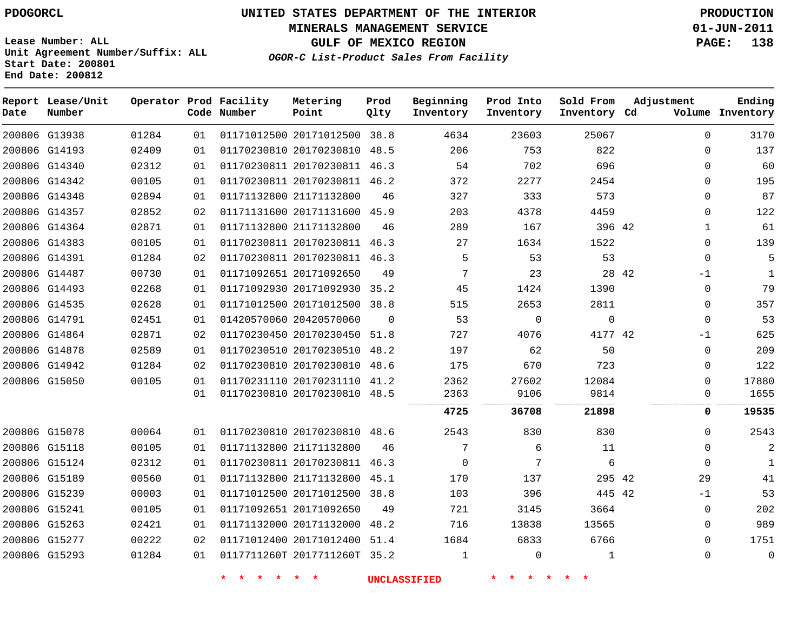# **UNITED STATES DEPARTMENT OF THE INTERIOR PDOGORCL PRODUCTION**

**MINERALS MANAGEMENT SERVICE 01-JUN-2011**

**GULF OF MEXICO REGION PAGE: 138**

**Unit Agreement Number/Suffix: ALL Start Date: 200801 End Date: 200812**

**OGOR-C List-Product Sales From Facility**

| Date | Report Lease/Unit<br>Number |       |    | Operator Prod Facility<br>Code Number | Metering<br>Point            | Prod<br>Qlty | Beginning<br>Inventory | Prod Into<br>Inventory | Sold From<br>Inventory Cd | Adjustment   | Ending<br>Volume Inventory |
|------|-----------------------------|-------|----|---------------------------------------|------------------------------|--------------|------------------------|------------------------|---------------------------|--------------|----------------------------|
|      | 200806 G13938               | 01284 | 01 |                                       | 01171012500 20171012500 38.8 |              | 4634                   | 23603                  | 25067                     | $\Omega$     | 3170                       |
|      | 200806 G14193               | 02409 | 01 |                                       | 01170230810 20170230810 48.5 |              | 206                    | 753                    | 822                       | $\mathbf{0}$ | 137                        |
|      | 200806 G14340               | 02312 | 01 |                                       | 01170230811 20170230811 46.3 |              | 54                     | 702                    | 696                       | 0            | 60                         |
|      | 200806 G14342               | 00105 | 01 |                                       | 01170230811 20170230811 46.2 |              | 372                    | 2277                   | 2454                      | $\Omega$     | 195                        |
|      | 200806 G14348               | 02894 | 01 |                                       | 01171132800 21171132800      | 46           | 327                    | 333                    | 573                       | 0            | 87                         |
|      | 200806 G14357               | 02852 | 02 |                                       | 01171131600 20171131600 45.9 |              | 203                    | 4378                   | 4459                      | $\Omega$     | 122                        |
|      | 200806 G14364               | 02871 | 01 |                                       | 01171132800 21171132800      | 46           | 289                    | 167                    | 396 42                    | $\mathbf 1$  | 61                         |
|      | 200806 G14383               | 00105 | 01 |                                       | 01170230811 20170230811      | 46.3         | 27                     | 1634                   | 1522                      | $\Omega$     | 139                        |
|      | 200806 G14391               | 01284 | 02 |                                       | 01170230811 20170230811 46.3 |              | 5                      | 53                     | 53                        | $\Omega$     | 5                          |
|      | 200806 G14487               | 00730 | 01 |                                       | 01171092651 20171092650      | 49           | 7                      | 23                     |                           | 28 42<br>-1  | 1                          |
|      | 200806 G14493               | 02268 | 01 |                                       | 01171092930 20171092930 35.2 |              | 45                     | 1424                   | 1390                      | 0            | 79                         |
|      | 200806 G14535               | 02628 | 01 |                                       | 01171012500 20171012500 38.8 |              | 515                    | 2653                   | 2811                      | $\Omega$     | 357                        |
|      | 200806 G14791               | 02451 | 01 |                                       | 01420570060 20420570060      | $\Omega$     | 53                     | $\mathbf 0$            | $\mathbf{0}$              | $\Omega$     | 53                         |
|      | 200806 G14864               | 02871 | 02 |                                       | 01170230450 20170230450 51.8 |              | 727                    | 4076                   | 4177 42                   | -1           | 625                        |
|      | 200806 G14878               | 02589 | 01 |                                       | 01170230510 20170230510 48.2 |              | 197                    | 62                     | 50                        | $\mathbf{0}$ | 209                        |
|      | 200806 G14942               | 01284 | 02 |                                       | 01170230810 20170230810 48.6 |              | 175                    | 670                    | 723                       | $\Omega$     | 122                        |
|      | 200806 G15050               | 00105 | 01 |                                       | 01170231110 20170231110 41.2 |              | 2362                   | 27602                  | 12084                     | $\Omega$     | 17880                      |
|      |                             |       | 01 |                                       | 01170230810 20170230810 48.5 |              | 2363                   | 9106                   | 9814                      | 0            | 1655                       |
|      |                             |       |    |                                       |                              |              | 4725                   | 36708                  | 21898                     | 0            | 19535                      |
|      | 200806 G15078               | 00064 | 01 |                                       | 01170230810 20170230810 48.6 |              | 2543                   | 830                    | 830                       | $\Omega$     | 2543                       |
|      | 200806 G15118               | 00105 | 01 |                                       | 01171132800 21171132800      | 46           | 7                      | 6                      | 11                        | $\Omega$     |                            |
|      | 200806 G15124               | 02312 | 01 |                                       | 01170230811 20170230811 46.3 |              | $\mathbf 0$            | 7                      | 6                         | $\mathbf 0$  | $\mathbf{1}$               |
|      | 200806 G15189               | 00560 | 01 |                                       | 01171132800 21171132800 45.1 |              | 170                    | 137                    | 295 42                    | 29           | 41                         |
|      | 200806 G15239               | 00003 | 01 |                                       | 01171012500 20171012500      | 38.8         | 103                    | 396                    | 445 42                    | $-1$         | 53                         |
|      | 200806 G15241               | 00105 | 01 |                                       | 01171092651 20171092650      | 49           | 721                    | 3145                   | 3664                      | 0            | 202                        |
|      | 200806 G15263               | 02421 | 01 |                                       | 01171132000 20171132000      | 48.2         | 716                    | 13838                  | 13565                     | 0            | 989                        |
|      | 200806 G15277               | 00222 | 02 |                                       | 01171012400 20171012400      | 51.4         | 1684                   | 6833                   | 6766                      | $\Omega$     | 1751                       |
|      | 200806 G15293               | 01284 | 01 |                                       | 0117711260T 2017711260T 35.2 |              | $\mathbf 1$            | $\mathbf 0$            | 1                         | $\Omega$     | $\mathbf 0$                |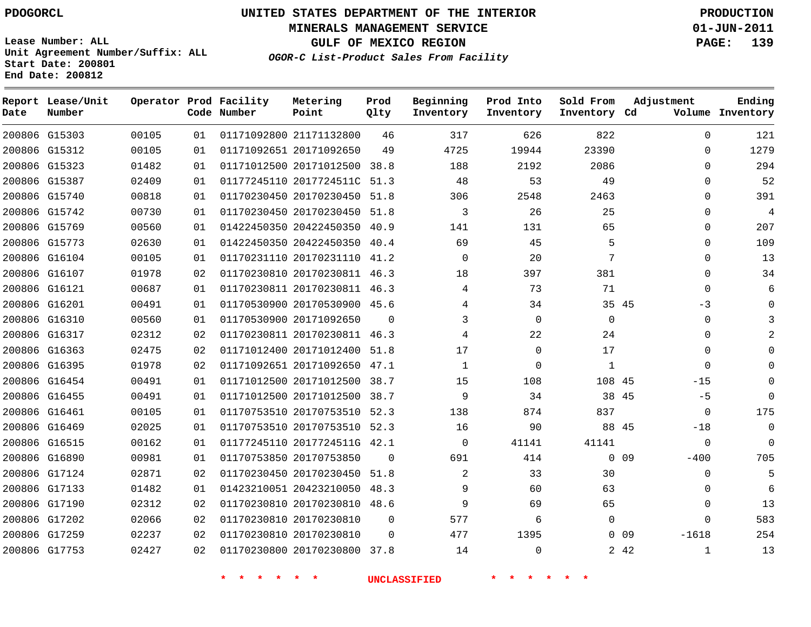**Start Date: 200801 End Date: 200812**

**Unit Agreement Number/Suffix: ALL**

# **UNITED STATES DEPARTMENT OF THE INTERIOR PDOGORCL PRODUCTION**

**MINERALS MANAGEMENT SERVICE 01-JUN-2011**

**GULF OF MEXICO REGION PAGE: 139**

**OGOR-C List-Product Sales From Facility**

| Date | Report Lease/Unit<br>Number |       |    | Operator Prod Facility<br>Code Number | Metering<br>Point            | Prod<br>Qlty | Beginning<br>Inventory | Prod Into<br>Inventory | Sold From<br>Inventory Cd | Adjustment           | Ending<br>Volume Inventory |
|------|-----------------------------|-------|----|---------------------------------------|------------------------------|--------------|------------------------|------------------------|---------------------------|----------------------|----------------------------|
|      | 200806 G15303               | 00105 | 01 |                                       | 01171092800 21171132800      | 46           | 317                    | 626                    | 822                       | $\Omega$             | 121                        |
|      | 200806 G15312               | 00105 | 01 |                                       | 01171092651 20171092650      | 49           | 4725                   | 19944                  | 23390                     | $\Omega$             | 1279                       |
|      | 200806 G15323               | 01482 | 01 |                                       | 01171012500 20171012500      | 38.8         | 188                    | 2192                   | 2086                      | $\Omega$             | 294                        |
|      | 200806 G15387               | 02409 | 01 |                                       | 01177245110 2017724511C      | 51.3         | 48                     | 53                     | 49                        | $\Omega$             | 52                         |
|      | 200806 G15740               | 00818 | 01 |                                       | 01170230450 20170230450      | 51.8         | 306                    | 2548                   | 2463                      | $\Omega$             | 391                        |
|      | 200806 G15742               | 00730 | 01 |                                       | 01170230450 20170230450      | 51.8         | 3                      | 26                     | 25                        | $\mathbf{0}$         | $\overline{4}$             |
|      | 200806 G15769               | 00560 | 01 |                                       | 01422450350 20422450350      | 40.9         | 141                    | 131                    | 65                        | $\Omega$             | 207                        |
|      | 200806 G15773               | 02630 | 01 |                                       | 01422450350 20422450350      | 40.4         | 69                     | 45                     | 5                         | $\Omega$             | 109                        |
|      | 200806 G16104               | 00105 | 01 |                                       | 01170231110 20170231110      | 41.2         | $\Omega$               | 20                     | 7                         | $\Omega$             | 13                         |
|      | 200806 G16107               | 01978 | 02 |                                       | 01170230810 20170230811      | 46.3         | 18                     | 397                    | 381                       | $\Omega$             | 34                         |
|      | 200806 G16121               | 00687 | 01 |                                       | 01170230811 20170230811 46.3 |              | 4                      | 73                     | 71                        | $\Omega$             | 6                          |
|      | 200806 G16201               | 00491 | 01 |                                       | 01170530900 20170530900      | 45.6         | 4                      | 34                     | 35 45                     | $-3$                 | $\Omega$                   |
|      | 200806 G16310               | 00560 | 01 |                                       | 01170530900 20171092650      | $\Omega$     | 3                      | $\mathbf 0$            | $\mathbf 0$               | $\Omega$             | 3                          |
|      | 200806 G16317               | 02312 | 02 |                                       | 01170230811 20170230811 46.3 |              | 4                      | 22                     | 24                        | $\Omega$             | $\overline{a}$             |
|      | 200806 G16363               | 02475 | 02 |                                       | 01171012400 20171012400      | 51.8         | 17                     | 0                      | 17                        | $\Omega$             | $\mathbf 0$                |
|      | 200806 G16395               | 01978 | 02 |                                       | 01171092651 20171092650      | 47.1         | 1                      | $\Omega$               | $\mathbf{1}$              | $\Omega$             | $\Omega$                   |
|      | 200806 G16454               | 00491 | 01 |                                       | 01171012500 20171012500      | 38.7         | 15                     | 108                    | 108 45                    | $-15$                | $\Omega$                   |
|      | 200806 G16455               | 00491 | 01 |                                       | 01171012500 20171012500      | 38.7         | 9                      | 34                     | 38 45                     | $-5$                 | $\Omega$                   |
|      | 200806 G16461               | 00105 | 01 |                                       | 01170753510 20170753510      | 52.3         | 138                    | 874                    | 837                       | $\mathbf 0$          | 175                        |
|      | 200806 G16469               | 02025 | 01 |                                       | 01170753510 20170753510      | 52.3         | 16                     | 90                     | 88 45                     | $-18$                | $\Omega$                   |
|      | 200806 G16515               | 00162 | 01 |                                       | 01177245110 2017724511G      | 42.1         | 0                      | 41141                  | 41141                     | $\Omega$             | $\Omega$                   |
|      | 200806 G16890               | 00981 | 01 |                                       | 01170753850 20170753850      | $\Omega$     | 691                    | 414                    |                           | $0\quad09$<br>$-400$ | 705                        |
|      | 200806 G17124               | 02871 | 02 |                                       | 01170230450 20170230450      | 51.8         | 2                      | 33                     | 30                        | $\Omega$             | 5                          |
|      | 200806 G17133               | 01482 | 01 |                                       | 01423210051 20423210050      | 48.3         | 9                      | 60                     | 63                        | $\Omega$             | 6                          |
|      | 200806 G17190               | 02312 | 02 |                                       | 01170230810 20170230810      | 48.6         | 9                      | 69                     | 65                        | $\Omega$             | 13                         |
|      | 200806 G17202               | 02066 | 02 |                                       | 01170230810 20170230810      | $\Omega$     | 577                    | 6                      | 0                         | $\Omega$             | 583                        |
|      | 200806 G17259               | 02237 | 02 |                                       | 01170230810 20170230810      | $\Omega$     | 477                    | 1395                   |                           | $0$ 09<br>$-1618$    | 254                        |
|      | 200806 G17753               | 02427 | 02 |                                       | 01170230800 20170230800      | 37.8         | 14                     | $\Omega$               |                           | 2 42<br>$\mathbf{1}$ | 13                         |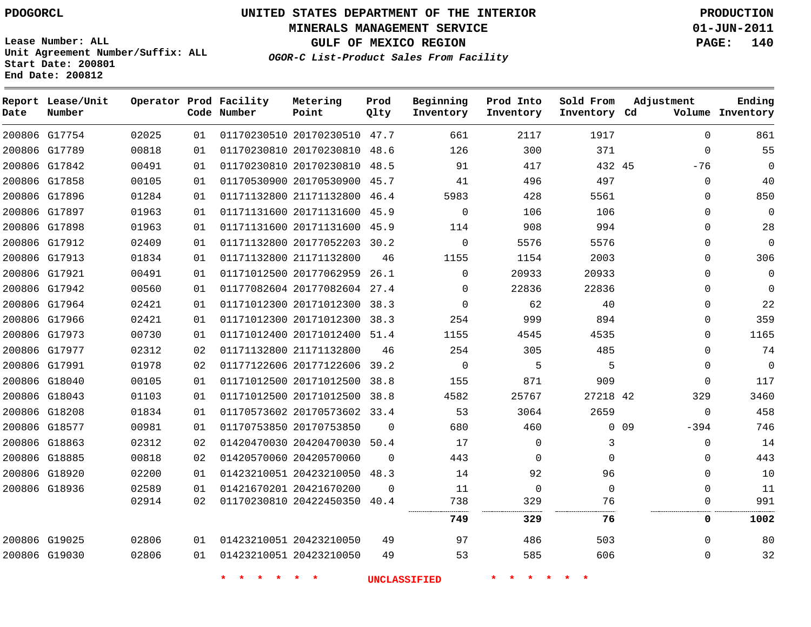**Start Date: 200801 End Date: 200812**

**Unit Agreement Number/Suffix: ALL**

# **UNITED STATES DEPARTMENT OF THE INTERIOR PDOGORCL PRODUCTION**

**MINERALS MANAGEMENT SERVICE 01-JUN-2011**

**GULF OF MEXICO REGION PAGE: 140**

**OGOR-C List-Product Sales From Facility**

**Report Lease/Unit Operator Prod Facility Metering Prod Beginning Prod Into Sold From Adjustment Ending Code Number Point Inventory Cd Volume Date Number Qlty Inventory Inventory Inventory**  $\Omega$  G17754 20170230510 47.7 G17789 20170230810 48.6  $\Omega$   $-76$  $\Omega$  G17842 20170230810 48.5 45  $\Omega$  G17858 20170530900 45.7  $\Omega$  G17896 21171132800 46.4 G17897 20171131600 45.9  $\Omega$   $\Omega$  $\Omega$  G17898 20171131600 45.9  $\Omega$  G17912 20177052203 30.2  $\Omega$   $\Omega$  $\Omega$  G17913 21171132800 G17921 20177062959 26.1  $\Omega$   $\Omega$  $\Omega$  G17942 20177082604 27.4  $\Omega$  G17964 20171012300 38.3  $\Omega$  G17966 20171012300 38.3  $\Omega$  G17973 20171012400 51.4 G17977 21171132800  $\Omega$  G17991 20177122606 39.2  $\Omega$   $\Omega$  G18040 20171012500 38.8  $\Omega$  G18043 20171012500 38.8 42 G18208 20170573602 33.4  $\Omega$  G18577 20170753850 0 0 9 -394  $\Omega$  G18863 20420470030 50.4  $\Omega$   $\Omega$  G18885 20420570060  $\Omega$   $\Omega$   $\Omega$  $\Omega$  G18920 20423210050 48.3  $\Omega$  G18936 20421670200  $\Omega$  $\Omega$   $\Omega$  $\Omega$  20422450350 40.4  $\Omega$  . . . . . . . . . . . . **329 76 0 1002** G19025 20423210050  $\Omega$  G19030 20423210050  $\Omega$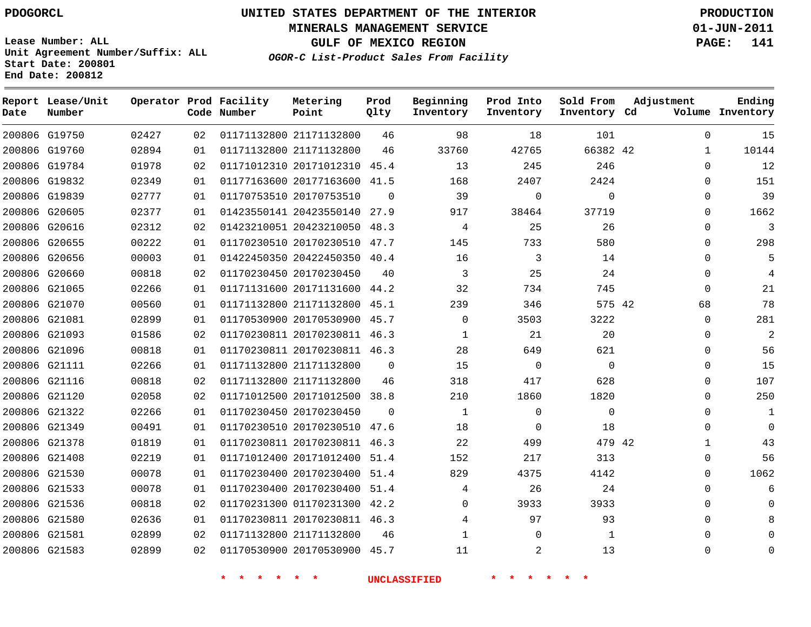**Start Date: 200801 End Date: 200812**

**Unit Agreement Number/Suffix: ALL**

# **UNITED STATES DEPARTMENT OF THE INTERIOR PDOGORCL PRODUCTION**

**MINERALS MANAGEMENT SERVICE 01-JUN-2011**

**GULF OF MEXICO REGION PAGE: 141**

**OGOR-C List-Product Sales From Facility**

 G19750 G19760 G19784 G19832 G19839 G20605 G20616 G20655 G20656 G20660 G21065 G21070 G21081 G21093 G21096 G21111 G21116 G21120 G21322 G21349 G21378 G21408 G21530 G21533 G21536 G21580 G21581 G21583 **Report Lease/Unit Date Number Operator Prod Facility Code Number** 21171132800 21171132800 20171012310 45.4 20177163600 41.5 20170753510 20423550140 27.9 20423210050 48.3 20170230510 47.7 20422450350 40.4 20170230450 20171131600 44.2 21171132800 45.1 20170530900 45.7 20170230811 46.3 20170230811 46.3 21171132800 21171132800 20171012500 38.8 20170230450 20170230510 47.6 20170230811 46.3 20171012400 51.4 20170230400 51.4 20170230400 51.4 01170231300 42.2 20170230811 46.3 21171132800 20170530900 45.7 **Metering Point** 42 42 42  $\Omega$   $\Omega$  **Prod Qlty**  $\Omega$   $\Omega$  **Beginning Inventory**  $\Omega$   $\Omega$  $\Omega$ **Ending Inventory Cd Volume**  $\Omega$   $\Omega$   $\Omega$   $\Omega$  **Prod Into Inventory**  $\Omega$   $\Omega$   $\Omega$  **Sold From Inventory**  $\Omega$   $\cap$  $\Omega$  $\Omega$  $\Omega$  $\Omega$  $\Omega$   $\Omega$   $\Omega$   $\Omega$  $\Omega$  $\Omega$  $\Omega$  $\Omega$   $\Omega$  $\Omega$  $\Omega$  $\Omega$  $\Omega$  $\Omega$  $\Omega$ **Adjustment**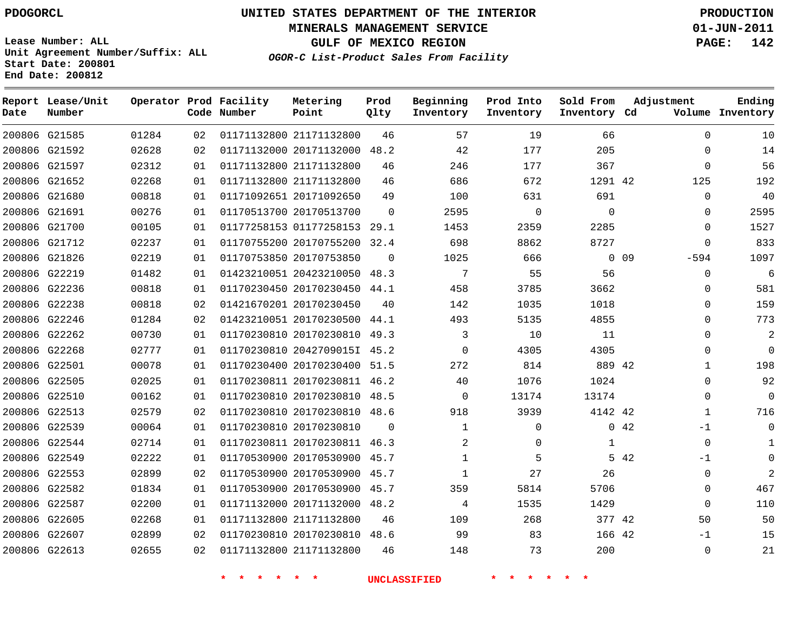**MINERALS MANAGEMENT SERVICE 01-JUN-2011**

**GULF OF MEXICO REGION PAGE: 142**

**Lease Number: ALL Unit Agreement Number/Suffix: ALL Start Date: 200801 End Date: 200812**

**OGOR-C List-Product Sales From Facility**

| Date | Report Lease/Unit<br>Number |       |    | Operator Prod Facility<br>Code Number | Metering<br>Point            | Prod<br>Qlty | Beginning<br>Inventory | Prod Into<br>Inventory | Sold From<br>Inventory Cd | Adjustment       | Ending<br>Volume Inventory |
|------|-----------------------------|-------|----|---------------------------------------|------------------------------|--------------|------------------------|------------------------|---------------------------|------------------|----------------------------|
|      | 200806 G21585               | 01284 | 02 |                                       | 01171132800 21171132800      | 46           | 57                     | 19                     | 66                        | $\Omega$         | 10                         |
|      | 200806 G21592               | 02628 | 02 |                                       | 01171132000 20171132000      | 48.2         | 42                     | 177                    | 205                       | 0                | 14                         |
|      | 200806 G21597               | 02312 | 01 |                                       | 01171132800 21171132800      | 46           | 246                    | 177                    | 367                       | 0                | 56                         |
|      | 200806 G21652               | 02268 | 01 |                                       | 01171132800 21171132800      | 46           | 686                    | 672                    | 1291 42                   | 125              | 192                        |
|      | 200806 G21680               | 00818 | 01 |                                       | 01171092651 20171092650      | 49           | 100                    | 631                    | 691                       | 0                | 40                         |
|      | 200806 G21691               | 00276 | 01 |                                       | 01170513700 20170513700      | $\mathbf 0$  | 2595                   | 0                      | $\mathbf 0$               | 0                | 2595                       |
|      | 200806 G21700               | 00105 | 01 |                                       | 01177258153 01177258153 29.1 |              | 1453                   | 2359                   | 2285                      | 0                | 1527                       |
|      | 200806 G21712               | 02237 | 01 |                                       | 01170755200 20170755200      | 32.4         | 698                    | 8862                   | 8727                      | $\mathbf 0$      | 833                        |
|      | 200806 G21826               | 02219 | 01 |                                       | 01170753850 20170753850      | $\Omega$     | 1025                   | 666                    |                           | $0$ 09<br>$-594$ | 1097                       |
|      | 200806 G22219               | 01482 | 01 |                                       | 01423210051 20423210050      | 48.3         | 7                      | 55                     | 56                        | 0                | 6                          |
|      | 200806 G22236               | 00818 | 01 |                                       | 01170230450 20170230450      | 44.1         | 458                    | 3785                   | 3662                      | 0                | 581                        |
|      | 200806 G22238               | 00818 | 02 |                                       | 01421670201 20170230450      | 40           | 142                    | 1035                   | 1018                      | 0                | 159                        |
|      | 200806 G22246               | 01284 | 02 |                                       | 01423210051 20170230500 44.1 |              | 493                    | 5135                   | 4855                      | $\Omega$         | 773                        |
|      | 200806 G22262               | 00730 | 01 |                                       | 01170230810 20170230810 49.3 |              | 3                      | 10                     | 11                        | 0                | 2                          |
|      | 200806 G22268               | 02777 | 01 |                                       | 01170230810 2042709015I 45.2 |              | $\Omega$               | 4305                   | 4305                      | $\Omega$         | $\mathbf 0$                |
|      | 200806 G22501               | 00078 | 01 |                                       | 01170230400 20170230400 51.5 |              | 272                    | 814                    | 889 42                    | $\mathbf{1}$     | 198                        |
|      | 200806 G22505               | 02025 | 01 |                                       | 01170230811 20170230811 46.2 |              | 40                     | 1076                   | 1024                      | 0                | 92                         |
|      | 200806 G22510               | 00162 | 01 |                                       | 01170230810 20170230810 48.5 |              | $\mathbf 0$            | 13174                  | 13174                     | 0                | 0                          |
|      | 200806 G22513               | 02579 | 02 |                                       | 01170230810 20170230810 48.6 |              | 918                    | 3939                   | 4142 42                   | 1                | 716                        |
|      | 200806 G22539               | 00064 | 01 |                                       | 01170230810 20170230810      | $\Omega$     | $\mathbf{1}$           | $\mathbf{0}$           |                           | 0.42<br>$-1$     | $\Omega$                   |
|      | 200806 G22544               | 02714 | 01 |                                       | 01170230811 20170230811 46.3 |              | 2                      | 0                      | 1                         | $\mathbf 0$      | $\mathbf{1}$               |
|      | 200806 G22549               | 02222 | 01 |                                       | 01170530900 20170530900 45.7 |              | $\mathbf{1}$           | 5                      |                           | 5 42<br>$-1$     | $\Omega$                   |
|      | 200806 G22553               | 02899 | 02 |                                       | 01170530900 20170530900 45.7 |              | $\mathbf{1}$           | 27                     | 26                        | 0                | 2                          |
|      | 200806 G22582               | 01834 | 01 |                                       | 01170530900 20170530900      | 45.7         | 359                    | 5814                   | 5706                      | $\Omega$         | 467                        |
|      | 200806 G22587               | 02200 | 01 |                                       | 01171132000 20171132000 48.2 |              | 4                      | 1535                   | 1429                      | 0                | 110                        |
|      | 200806 G22605               | 02268 | 01 |                                       | 01171132800 21171132800      | 46           | 109                    | 268                    | 377 42                    | 50               | 50                         |
|      | 200806 G22607               | 02899 | 02 |                                       | 01170230810 20170230810      | 48.6         | 99                     | 83                     | 166 42                    | $-1$             | 15                         |
|      | 200806 G22613               | 02655 | 02 |                                       | 01171132800 21171132800      | 46           | 148                    | 73                     | 200                       | $\mathbf 0$      | 21                         |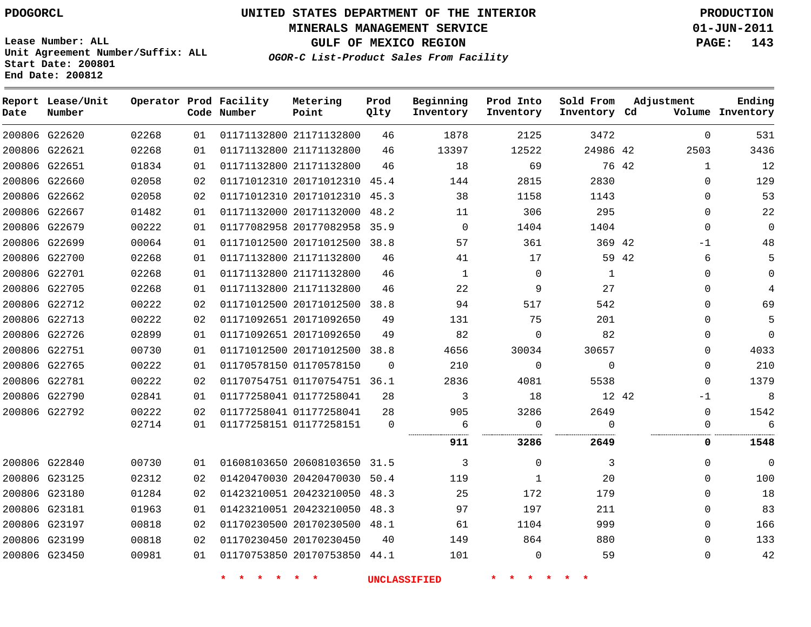**MINERALS MANAGEMENT SERVICE 01-JUN-2011**

**GULF OF MEXICO REGION PAGE: 143**

**Lease Number: ALL Unit Agreement Number/Suffix: ALL Start Date: 200801 End Date: 200812**

**OGOR-C List-Product Sales From Facility**

| Date | Report Lease/Unit<br>Number |       |    | Operator Prod Facility<br>Code Number | Metering<br>Point            | Prod<br>Qlty | Beginning<br>Inventory | Prod Into<br>Inventory | Sold From<br>Inventory Cd | Adjustment   | Ending<br>Volume Inventory |
|------|-----------------------------|-------|----|---------------------------------------|------------------------------|--------------|------------------------|------------------------|---------------------------|--------------|----------------------------|
|      | 200806 G22620               | 02268 | 01 |                                       | 01171132800 21171132800      | 46           | 1878                   | 2125                   | 3472                      | $\Omega$     | 531                        |
|      | 200806 G22621               | 02268 | 01 |                                       | 01171132800 21171132800      | 46           | 13397                  | 12522                  | 24986 42                  | 2503         | 3436                       |
|      | 200806 G22651               | 01834 | 01 |                                       | 01171132800 21171132800      | 46           | 18                     | 69                     | 76 42                     | $\mathbf{1}$ | 12                         |
|      | 200806 G22660               | 02058 | 02 |                                       | 01171012310 20171012310 45.4 |              | 144                    | 2815                   | 2830                      | $\Omega$     | 129                        |
|      | 200806 G22662               | 02058 | 02 |                                       | 01171012310 20171012310 45.3 |              | 38                     | 1158                   | 1143                      | $\mathbf{0}$ | 53                         |
|      | 200806 G22667               | 01482 | 01 |                                       | 01171132000 20171132000 48.2 |              | 11                     | 306                    | 295                       | $\Omega$     | 22                         |
|      | 200806 G22679               | 00222 | 01 |                                       | 01177082958 20177082958 35.9 |              | $\mathbf 0$            | 1404                   | 1404                      | $\mathbf{0}$ | $\Omega$                   |
|      | 200806 G22699               | 00064 | 01 |                                       | 01171012500 20171012500 38.8 |              | 57                     | 361                    | 369 42                    | $-1$         | 48                         |
|      | 200806 G22700               | 02268 | 01 |                                       | 01171132800 21171132800      | 46           | 41                     | 17                     | 59 42                     | 6            |                            |
|      | 200806 G22701               | 02268 | 01 |                                       | 01171132800 21171132800      | 46           | 1                      | $\Omega$               | 1                         | $\Omega$     | $\Omega$                   |
|      | 200806 G22705               | 02268 | 01 |                                       | 01171132800 21171132800      | 46           | 22                     | 9                      | 27                        | $\mathbf 0$  | $\overline{4}$             |
|      | 200806 G22712               | 00222 | 02 |                                       | 01171012500 20171012500 38.8 |              | 94                     | 517                    | 542                       | $\mathbf 0$  | 69                         |
|      | 200806 G22713               | 00222 | 02 |                                       | 01171092651 20171092650      | 49           | 131                    | 75                     | 201                       | $\Omega$     | 5                          |
|      | 200806 G22726               | 02899 | 01 |                                       | 01171092651 20171092650      | 49           | 82                     | 0                      | 82                        | 0            | $\mathbf{0}$               |
|      | 200806 G22751               | 00730 | 01 |                                       | 01171012500 20171012500 38.8 |              | 4656                   | 30034                  | 30657                     | $\Omega$     | 4033                       |
|      | 200806 G22765               | 00222 | 01 |                                       | 01170578150 01170578150      | $\Omega$     | 210                    | $\Omega$               | $\Omega$                  | $\Omega$     | 210                        |
|      | 200806 G22781               | 00222 | 02 |                                       | 01170754751 01170754751 36.1 |              | 2836                   | 4081                   | 5538                      | $\mathbf 0$  | 1379                       |
|      | 200806 G22790               | 02841 | 01 |                                       | 01177258041 01177258041      | 28           | 3                      | 18                     | 12 42                     | $-1$         | 8                          |
|      | 200806 G22792               | 00222 | 02 |                                       | 01177258041 01177258041      | 28           | 905                    | 3286                   | 2649                      | $\mathbf 0$  | 1542                       |
|      |                             | 02714 | 01 |                                       | 01177258151 01177258151      | $\mathbf 0$  | 6<br>                  | $\Omega$               | $\Omega$<br>.             | $\mathbf 0$  | 6                          |
|      |                             |       |    |                                       |                              |              | 911                    | 3286                   | 2649                      | 0            | 1548                       |
|      | 200806 G22840               | 00730 | 01 |                                       | 01608103650 20608103650 31.5 |              | 3                      | $\mathbf 0$            | 3                         | $\mathbf 0$  | $\mathbf 0$                |
|      | 200806 G23125               | 02312 | 02 |                                       | 01420470030 20420470030 50.4 |              | 119                    | $\mathbf{1}$           | 20                        | $\Omega$     | 100                        |
|      | 200806 G23180               | 01284 | 02 |                                       | 01423210051 20423210050 48.3 |              | 25                     | 172                    | 179                       | $\Omega$     | 18                         |
|      | 200806 G23181               | 01963 | 01 |                                       | 01423210051 20423210050 48.3 |              | 97                     | 197                    | 211                       | $\mathbf 0$  | 83                         |
|      | 200806 G23197               | 00818 | 02 |                                       | 01170230500 20170230500 48.1 |              | 61                     | 1104                   | 999                       | $\mathbf 0$  | 166                        |
|      | 200806 G23199               | 00818 | 02 |                                       | 01170230450 20170230450      | 40           | 149                    | 864                    | 880                       | $\Omega$     | 133                        |
|      | 200806 G23450               | 00981 | 01 |                                       | 01170753850 20170753850 44.1 |              | 101                    | 0                      | 59                        | $\mathbf 0$  | 42                         |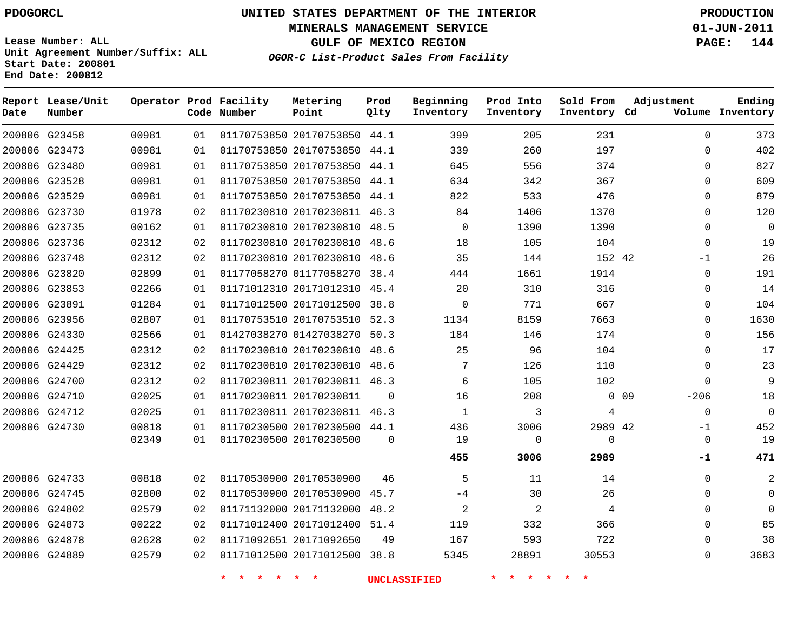**MINERALS MANAGEMENT SERVICE 01-JUN-2011**

**GULF OF MEXICO REGION PAGE: 144**

**Lease Number: ALL Unit Agreement Number/Suffix: ALL Start Date: 200801 End Date: 200812**

**OGOR-C List-Product Sales From Facility**

| Date | Report Lease/Unit<br>Number |       |    | Operator Prod Facility<br>Code Number | Metering<br>Point            | Prod<br>Qlty | Beginning<br>Inventory | Prod Into<br>Inventory | Sold From<br>Inventory Cd | Adjustment                | Ending<br>Volume Inventory |
|------|-----------------------------|-------|----|---------------------------------------|------------------------------|--------------|------------------------|------------------------|---------------------------|---------------------------|----------------------------|
|      | 200806 G23458               | 00981 | 01 |                                       | 01170753850 20170753850 44.1 |              | 399                    | 205                    | 231                       | $\Omega$                  | 373                        |
|      | 200806 G23473               | 00981 | 01 |                                       | 01170753850 20170753850      | 44.1         | 339                    | 260                    | 197                       | $\Omega$                  | 402                        |
|      | 200806 G23480               | 00981 | 01 |                                       | 01170753850 20170753850 44.1 |              | 645                    | 556                    | 374                       | $\Omega$                  | 827                        |
|      | 200806 G23528               | 00981 | 01 |                                       | 01170753850 20170753850 44.1 |              | 634                    | 342                    | 367                       | $\Omega$                  | 609                        |
|      | 200806 G23529               | 00981 | 01 |                                       | 01170753850 20170753850 44.1 |              | 822                    | 533                    | 476                       | $\mathbf{0}$              | 879                        |
|      | 200806 G23730               | 01978 | 02 |                                       | 01170230810 20170230811 46.3 |              | 84                     | 1406                   | 1370                      | $\Omega$                  | 120                        |
|      | 200806 G23735               | 00162 | 01 |                                       | 01170230810 20170230810 48.5 |              | $\mathbf 0$            | 1390                   | 1390                      | $\Omega$                  | 0                          |
|      | 200806 G23736               | 02312 | 02 |                                       | 01170230810 20170230810 48.6 |              | 18                     | 105                    | 104                       | $\Omega$                  | 19                         |
|      | 200806 G23748               | 02312 | 02 |                                       | 01170230810 20170230810      | 48.6         | 35                     | 144                    | 152 42                    | $-1$                      | 26                         |
|      | 200806 G23820               | 02899 | 01 |                                       | 01177058270 01177058270 38.4 |              | 444                    | 1661                   | 1914                      | 0                         | 191                        |
|      | 200806 G23853               | 02266 | 01 |                                       | 01171012310 20171012310 45.4 |              | 20                     | 310                    | 316                       | $\Omega$                  | 14                         |
|      | 200806 G23891               | 01284 | 01 |                                       | 01171012500 20171012500 38.8 |              | $\mathbf 0$            | 771                    | 667                       | 0                         | 104                        |
|      | 200806 G23956               | 02807 | 01 |                                       | 01170753510 20170753510 52.3 |              | 1134                   | 8159                   | 7663                      | $\Omega$                  | 1630                       |
|      | 200806 G24330               | 02566 | 01 |                                       | 01427038270 01427038270      | 50.3         | 184                    | 146                    | 174                       | $\Omega$                  | 156                        |
|      | 200806 G24425               | 02312 | 02 |                                       | 01170230810 20170230810 48.6 |              | 25                     | 96                     | 104                       | 0                         | 17                         |
|      | 200806 G24429               | 02312 | 02 |                                       | 01170230810 20170230810      | 48.6         | 7                      | 126                    | 110                       | $\Omega$                  | 23                         |
|      | 200806 G24700               | 02312 | 02 |                                       | 01170230811 20170230811 46.3 |              | 6                      | 105                    | 102                       | $\Omega$                  | 9                          |
|      | 200806 G24710               | 02025 | 01 |                                       | 01170230811 20170230811      | $\Omega$     | 16                     | 208                    |                           | 0 <sub>09</sub><br>$-206$ | 18                         |
|      | 200806 G24712               | 02025 | 01 |                                       | 01170230811 20170230811 46.3 |              | $\mathbf{1}$           | 3                      | 4                         | $\mathbf 0$               | 0                          |
|      | 200806 G24730               | 00818 | 01 |                                       | 01170230500 20170230500 44.1 |              | 436                    | 3006                   | 2989 42                   | $-1$                      | 452                        |
|      |                             | 02349 | 01 |                                       | 01170230500 20170230500      | $\Omega$     | 19                     | $\mathbf 0$            | $\Omega$                  | $\Omega$                  | 19                         |
|      |                             |       |    |                                       |                              |              | 455                    | 3006                   | 2989                      | -1                        | 471                        |
|      | 200806 G24733               | 00818 | 02 |                                       | 01170530900 20170530900      | 46           | 5                      | 11                     | 14                        | $\mathbf 0$               |                            |
|      | 200806 G24745               | 02800 | 02 |                                       | 01170530900 20170530900      | 45.7         | $-4$                   | 30                     | 26                        | $\Omega$                  | $\Omega$                   |
|      | 200806 G24802               | 02579 | 02 |                                       | 01171132000 20171132000      | 48.2         | 2                      | 2                      | 4                         | $\Omega$                  | 0                          |
|      | 200806 G24873               | 00222 | 02 |                                       | 01171012400 20171012400      | 51.4         | 119                    | 332                    | 366                       | $\Omega$                  | 85                         |
|      | 200806 G24878               | 02628 | 02 |                                       | 01171092651 20171092650      | 49           | 167                    | 593                    | 722                       | $\Omega$                  | 38                         |
|      | 200806 G24889               | 02579 | 02 |                                       | 01171012500 20171012500 38.8 |              | 5345                   | 28891                  | 30553                     | $\Omega$                  | 3683                       |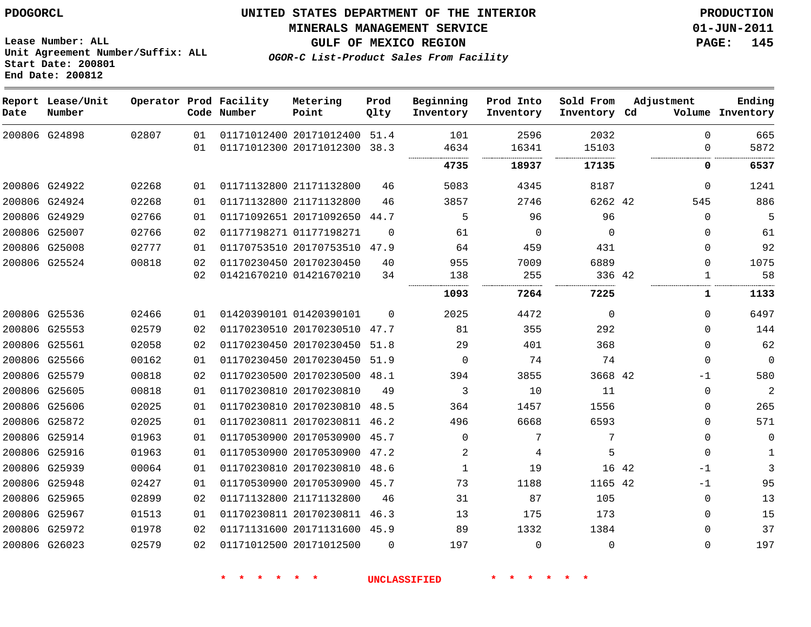# **UNITED STATES DEPARTMENT OF THE INTERIOR PDOGORCL PRODUCTION**

#### **MINERALS MANAGEMENT SERVICE 01-JUN-2011**

**GULF OF MEXICO REGION PAGE: 145**

**Unit Agreement Number/Suffix: ALL Start Date: 200801 End Date: 200812**

**OGOR-C List-Product Sales From Facility**

| Date          | Report Lease/Unit<br>Number |       |    | Operator Prod Facility<br>Code Number | Metering<br>Point            | Prod<br>Qlty | Beginning<br>Inventory | Prod Into<br>Inventory | Sold From<br>Inventory Cd | Adjustment    | Ending<br>Volume Inventory |
|---------------|-----------------------------|-------|----|---------------------------------------|------------------------------|--------------|------------------------|------------------------|---------------------------|---------------|----------------------------|
|               | 200806 G24898               | 02807 | 01 |                                       | 01171012400 20171012400      | 51.4         | 101                    | 2596                   | 2032                      | $\Omega$      | 665                        |
|               |                             |       | 01 |                                       | 01171012300 20171012300      | 38.3         | 4634                   | 16341                  | 15103                     | $\Omega$      | 5872                       |
|               |                             |       |    |                                       |                              |              | 4735                   | 18937                  | 17135                     | 0             | 6537                       |
|               | 200806 G24922               | 02268 | 01 | 01171132800 21171132800               |                              | 46           | 5083                   | 4345                   | 8187                      | $\Omega$      | 1241                       |
|               | 200806 G24924               | 02268 | 01 | 01171132800 21171132800               |                              | 46           | 3857                   | 2746                   | 6262 42                   | 545           | 886                        |
|               | 200806 G24929               | 02766 | 01 |                                       | 01171092651 20171092650      | 44.7         | 5                      | 96                     | 96                        | $\Omega$      | 5                          |
|               | 200806 G25007               | 02766 | 02 | 01177198271 01177198271               |                              | $\Omega$     | 61                     | $\mathbf 0$            | $\Omega$                  | $\Omega$      | 61                         |
|               | 200806 G25008               | 02777 | 01 |                                       | 01170753510 20170753510      | 47.9         | 64                     | 459                    | 431                       | $\Omega$      | 92                         |
|               | 200806 G25524               | 00818 | 02 | 01170230450 20170230450               |                              | 40           | 955                    | 7009                   | 6889                      | $\Omega$      | 1075                       |
|               |                             |       | 02 | 01421670210 01421670210               |                              | 34           | 138                    | 255                    | 336 42                    | 1             | 58                         |
|               |                             |       |    |                                       |                              |              | 1093                   | 7264                   | 7225                      | 1             | 1133                       |
|               | 200806 G25536               | 02466 | 01 | 01420390101 01420390101               |                              | $\Omega$     | 2025                   | 4472                   | $\mathbf 0$               | $\Omega$      | 6497                       |
|               | 200806 G25553               | 02579 | 02 |                                       | 01170230510 20170230510 47.7 |              | 81                     | 355                    | 292                       | $\Omega$      | 144                        |
|               | 200806 G25561               | 02058 | 02 |                                       | 01170230450 20170230450      | 51.8         | 29                     | 401                    | 368                       | $\Omega$      | 62                         |
|               | 200806 G25566               | 00162 | 01 |                                       | 01170230450 20170230450 51.9 |              | $\Omega$               | 74                     | 74                        | $\mathbf 0$   | $\mathbf 0$                |
|               | 200806 G25579               | 00818 | 02 |                                       | 01170230500 20170230500      | 48.1         | 394                    | 3855                   | 3668 42                   | $-1$          | 580                        |
|               | 200806 G25605               | 00818 | 01 | 01170230810 20170230810               |                              | 49           | 3                      | 10                     | 11                        | $\Omega$      | $\overline{2}$             |
|               | 200806 G25606               | 02025 | 01 |                                       | 01170230810 20170230810      | 48.5         | 364                    | 1457                   | 1556                      | $\Omega$      | 265                        |
|               | 200806 G25872               | 02025 | 01 |                                       | 01170230811 20170230811 46.2 |              | 496                    | 6668                   | 6593                      | $\mathbf 0$   | 571                        |
|               | 200806 G25914               | 01963 | 01 |                                       | 01170530900 20170530900      | 45.7         | 0                      | 7                      | 7                         | $\mathbf 0$   | $\mathbf{0}$               |
|               | 200806 G25916               | 01963 | 01 |                                       | 01170530900 20170530900      | 47.2         | 2                      | 4                      | 5                         | $\Omega$      | $\mathbf{1}$               |
|               | 200806 G25939               | 00064 | 01 |                                       | 01170230810 20170230810      | 48.6         | $\mathbf{1}$           | 19                     |                           | 16 42<br>$-1$ | 3                          |
|               | 200806 G25948               | 02427 | 01 |                                       | 01170530900 20170530900      | 45.7         | 73                     | 1188                   | 1165 42                   | $-1$          | 95                         |
| 200806 G25965 |                             | 02899 | 02 | 01171132800 21171132800               |                              | 46           | 31                     | 87                     | 105                       | 0             | 13                         |
|               | 200806 G25967               | 01513 | 01 |                                       | 01170230811 20170230811 46.3 |              | 13                     | 175                    | 173                       | $\Omega$      | 15                         |
|               | 200806 G25972               | 01978 | 02 |                                       | 01171131600 20171131600 45.9 |              | 89                     | 1332                   | 1384                      | $\Omega$      | 37                         |
| 200806 G26023 |                             | 02579 | 02 | 01171012500 20171012500               |                              | $\Omega$     | 197                    | $\mathbf{0}$           | $\Omega$                  | $\Omega$      | 197                        |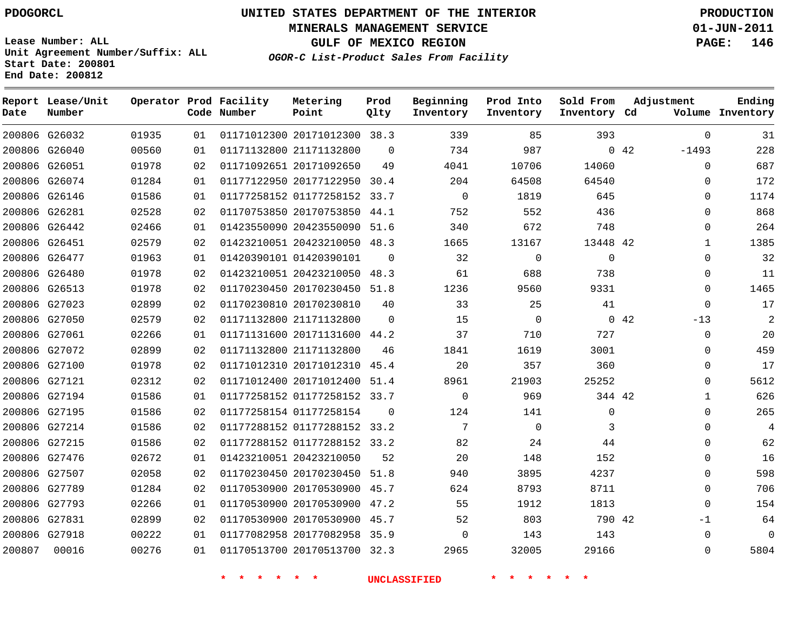**MINERALS MANAGEMENT SERVICE 01-JUN-2011**

**GULF OF MEXICO REGION PAGE: 146**

**Lease Number: ALL Unit Agreement Number/Suffix: ALL Start Date: 200801 End Date: 200812**

**OGOR-C List-Product Sales From Facility**

| Date   | Report Lease/Unit<br>Number |       |    | Operator Prod Facility<br>Code Number | Metering<br>Point            | Prod<br>Qlty | Beginning<br>Inventory | Prod Into<br>Inventory | Sold From<br>Inventory Cd | Adjustment      | Ending<br>Volume Inventory |
|--------|-----------------------------|-------|----|---------------------------------------|------------------------------|--------------|------------------------|------------------------|---------------------------|-----------------|----------------------------|
|        | 200806 G26032               | 01935 | 01 |                                       | 01171012300 20171012300 38.3 |              | 339                    | 85                     | 393                       | $\Omega$        | 31                         |
|        | 200806 G26040               | 00560 | 01 |                                       | 01171132800 21171132800      | $\Omega$     | 734                    | 987                    |                           | 0.42<br>$-1493$ | 228                        |
|        | 200806 G26051               | 01978 | 02 |                                       | 01171092651 20171092650      | 49           | 4041                   | 10706                  | 14060                     | $\Omega$        | 687                        |
|        | 200806 G26074               | 01284 | 01 |                                       | 01177122950 20177122950      | 30.4         | 204                    | 64508                  | 64540                     | $\Omega$        | 172                        |
|        | 200806 G26146               | 01586 | 01 |                                       | 01177258152 01177258152 33.7 |              | $\Omega$               | 1819                   | 645                       | $\Omega$        | 1174                       |
|        | 200806 G26281               | 02528 | 02 |                                       | 01170753850 20170753850 44.1 |              | 752                    | 552                    | 436                       | $\Omega$        | 868                        |
|        | 200806 G26442               | 02466 | 01 |                                       | 01423550090 20423550090 51.6 |              | 340                    | 672                    | 748                       | $\Omega$        | 264                        |
|        | 200806 G26451               | 02579 | 02 |                                       | 01423210051 20423210050      | 48.3         | 1665                   | 13167                  | 13448 42                  | $\mathbf 1$     | 1385                       |
|        | 200806 G26477               | 01963 | 01 |                                       | 01420390101 01420390101      | $\Omega$     | 32                     | $\mathbf 0$            | $\mathbf 0$               | $\Omega$        | 32                         |
|        | 200806 G26480               | 01978 | 02 |                                       | 01423210051 20423210050      | 48.3         | 61                     | 688                    | 738                       | $\Omega$        | 11                         |
|        | 200806 G26513               | 01978 | 02 |                                       | 01170230450 20170230450 51.8 |              | 1236                   | 9560                   | 9331                      | $\Omega$        | 1465                       |
|        | 200806 G27023               | 02899 | 02 |                                       | 01170230810 20170230810      | 40           | 33                     | 25                     | 41                        | $\Omega$        | 17                         |
|        | 200806 G27050               | 02579 | 02 |                                       | 01171132800 21171132800      | $\Omega$     | 15                     | $\mathbf 0$            |                           | 0.42<br>$-13$   | 2                          |
|        | 200806 G27061               | 02266 | 01 |                                       | 01171131600 20171131600      | 44.2         | 37                     | 710                    | 727                       | 0               | 20                         |
|        | 200806 G27072               | 02899 | 02 |                                       | 01171132800 21171132800      | 46           | 1841                   | 1619                   | 3001                      | $\Omega$        | 459                        |
|        | 200806 G27100               | 01978 | 02 |                                       | 01171012310 20171012310      | 45.4         | 20                     | 357                    | 360                       | 0               | 17                         |
|        | 200806 G27121               | 02312 | 02 |                                       | 01171012400 20171012400 51.4 |              | 8961                   | 21903                  | 25252                     | $\Omega$        | 5612                       |
|        | 200806 G27194               | 01586 | 01 |                                       | 01177258152 01177258152 33.7 |              | $\mathbf 0$            | 969                    | 344 42                    | $\mathbf 1$     | 626                        |
|        | 200806 G27195               | 01586 | 02 |                                       | 01177258154 01177258154      | $\Omega$     | 124                    | 141                    | $\mathbf 0$               | $\Omega$        | 265                        |
|        | 200806 G27214               | 01586 | 02 |                                       | 01177288152 01177288152 33.2 |              | 7                      | $\mathbf 0$            | 3                         | $\Omega$        | 4                          |
|        | 200806 G27215               | 01586 | 02 |                                       | 01177288152 01177288152 33.2 |              | 82                     | 24                     | 44                        | 0               | 62                         |
|        | 200806 G27476               | 02672 | 01 |                                       | 01423210051 20423210050      | 52           | 20                     | 148                    | 152                       | $\Omega$        | 16                         |
|        | 200806 G27507               | 02058 | 02 |                                       | 01170230450 20170230450 51.8 |              | 940                    | 3895                   | 4237                      | $\Omega$        | 598                        |
|        | 200806 G27789               | 01284 | 02 |                                       | 01170530900 20170530900      | 45.7         | 624                    | 8793                   | 8711                      | $\mathbf{0}$    | 706                        |
|        | 200806 G27793               | 02266 | 01 |                                       | 01170530900 20170530900 47.2 |              | 55                     | 1912                   | 1813                      | $\Omega$        | 154                        |
|        | 200806 G27831               | 02899 | 02 |                                       | 01170530900 20170530900 45.7 |              | 52                     | 803                    | 790 42                    | $-1$            | 64                         |
|        | 200806 G27918               | 00222 | 01 |                                       | 01177082958 20177082958 35.9 |              | $\Omega$               | 143                    | 143                       | $\Omega$        | 0                          |
| 200807 | 00016                       | 00276 | 01 |                                       | 01170513700 20170513700 32.3 |              | 2965                   | 32005                  | 29166                     | 0               | 5804                       |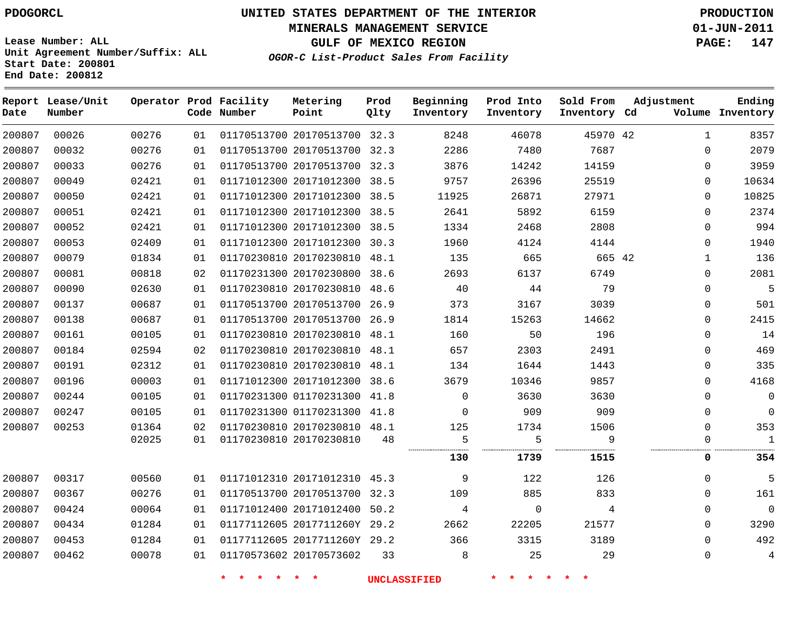# **UNITED STATES DEPARTMENT OF THE INTERIOR PDOGORCL PRODUCTION**

**MINERALS MANAGEMENT SERVICE 01-JUN-2011**

**GULF OF MEXICO REGION PAGE: 147**

**Unit Agreement Number/Suffix: ALL Start Date: 200801 End Date: 200812**

**OGOR-C List-Product Sales From Facility**

| Date   | Report Lease/Unit<br>Number |       |    | Operator Prod Facility<br>Code Number | Metering<br>Point            | Prod<br>Qlty | Beginning<br>Inventory | Prod Into<br>Inventory | Sold From<br>Inventory Cd | Adjustment   | Ending<br>Volume Inventory |
|--------|-----------------------------|-------|----|---------------------------------------|------------------------------|--------------|------------------------|------------------------|---------------------------|--------------|----------------------------|
| 200807 | 00026                       | 00276 | 01 |                                       | 01170513700 20170513700 32.3 |              | 8248                   | 46078                  | 45970 42                  | $\mathbf{1}$ | 8357                       |
| 200807 | 00032                       | 00276 | 01 |                                       | 01170513700 20170513700 32.3 |              | 2286                   | 7480                   | 7687                      | $\Omega$     | 2079                       |
| 200807 | 00033                       | 00276 | 01 |                                       | 01170513700 20170513700 32.3 |              | 3876                   | 14242                  | 14159                     | $\Omega$     | 3959                       |
| 200807 | 00049                       | 02421 | 01 |                                       | 01171012300 20171012300      | 38.5         | 9757                   | 26396                  | 25519                     | $\Omega$     | 10634                      |
| 200807 | 00050                       | 02421 | 01 |                                       | 01171012300 20171012300 38.5 |              | 11925                  | 26871                  | 27971                     | $\Omega$     | 10825                      |
| 200807 | 00051                       | 02421 | 01 |                                       | 01171012300 20171012300      | 38.5         | 2641                   | 5892                   | 6159                      | $\mathbf{0}$ | 2374                       |
| 200807 | 00052                       | 02421 | 01 |                                       | 01171012300 20171012300      | 38.5         | 1334                   | 2468                   | 2808                      | $\mathbf{0}$ | 994                        |
| 200807 | 00053                       | 02409 | 01 |                                       | 01171012300 20171012300 30.3 |              | 1960                   | 4124                   | 4144                      | $\mathbf 0$  | 1940                       |
| 200807 | 00079                       | 01834 | 01 |                                       | 01170230810 20170230810      | 48.1         | 135                    | 665                    | 665 42                    | $\mathbf{1}$ | 136                        |
| 200807 | 00081                       | 00818 | 02 |                                       | 01170231300 20170230800 38.6 |              | 2693                   | 6137                   | 6749                      | 0            | 2081                       |
| 200807 | 00090                       | 02630 | 01 |                                       | 01170230810 20170230810 48.6 |              | 40                     | 44                     | 79                        | $\Omega$     | 5                          |
| 200807 | 00137                       | 00687 | 01 |                                       | 01170513700 20170513700 26.9 |              | 373                    | 3167                   | 3039                      | $\Omega$     | 501                        |
| 200807 | 00138                       | 00687 | 01 |                                       | 01170513700 20170513700      | 26.9         | 1814                   | 15263                  | 14662                     | $\Omega$     | 2415                       |
| 200807 | 00161                       | 00105 | 01 |                                       | 01170230810 20170230810      | 48.1         | 160                    | 50                     | 196                       | $\mathbf{0}$ | 14                         |
| 200807 | 00184                       | 02594 | 02 |                                       | 01170230810 20170230810 48.1 |              | 657                    | 2303                   | 2491                      | $\Omega$     | 469                        |
| 200807 | 00191                       | 02312 | 01 |                                       | 01170230810 20170230810      | 48.1         | 134                    | 1644                   | 1443                      | $\mathbf 0$  | 335                        |
| 200807 | 00196                       | 00003 | 01 |                                       | 01171012300 20171012300 38.6 |              | 3679                   | 10346                  | 9857                      | $\Omega$     | 4168                       |
| 200807 | 00244                       | 00105 | 01 |                                       | 01170231300 01170231300      | 41.8         | $\mathbf 0$            | 3630                   | 3630                      | $\mathbf{0}$ | $\mathbf 0$                |
| 200807 | 00247                       | 00105 | 01 |                                       | 01170231300 01170231300 41.8 |              | $\Omega$               | 909                    | 909                       | $\Omega$     | $\Omega$                   |
| 200807 | 00253                       | 01364 | 02 |                                       | 01170230810 20170230810 48.1 |              | 125                    | 1734                   | 1506                      | $\Omega$     | 353                        |
|        |                             | 02025 | 01 |                                       | 01170230810 20170230810      | 48           | 5                      | 5                      | 9                         | $\Omega$     | $\mathbf{1}$               |
|        |                             |       |    |                                       |                              |              | 130                    | 1739                   | 1515                      | 0            | 354                        |
| 200807 | 00317                       | 00560 | 01 |                                       | 01171012310 20171012310 45.3 |              | 9                      | 122                    | 126                       | $\Omega$     | 5                          |
| 200807 | 00367                       | 00276 | 01 |                                       | 01170513700 20170513700 32.3 |              | 109                    | 885                    | 833                       | $\Omega$     | 161                        |
| 200807 | 00424                       | 00064 | 01 |                                       | 01171012400 20171012400      | 50.2         | 4                      | $\mathbf 0$            | 4                         | $\mathbf{0}$ | $\mathbf{0}$               |
| 200807 | 00434                       | 01284 | 01 |                                       | 01177112605 2017711260Y 29.2 |              | 2662                   | 22205                  | 21577                     | 0            | 3290                       |
| 200807 | 00453                       | 01284 | 01 |                                       | 01177112605 2017711260Y 29.2 |              | 366                    | 3315                   | 3189                      | $\mathbf 0$  | 492                        |
| 200807 | 00462                       | 00078 | 01 |                                       | 01170573602 20170573602      | 33           | 8                      | 25                     | 29                        | $\mathbf 0$  | 4                          |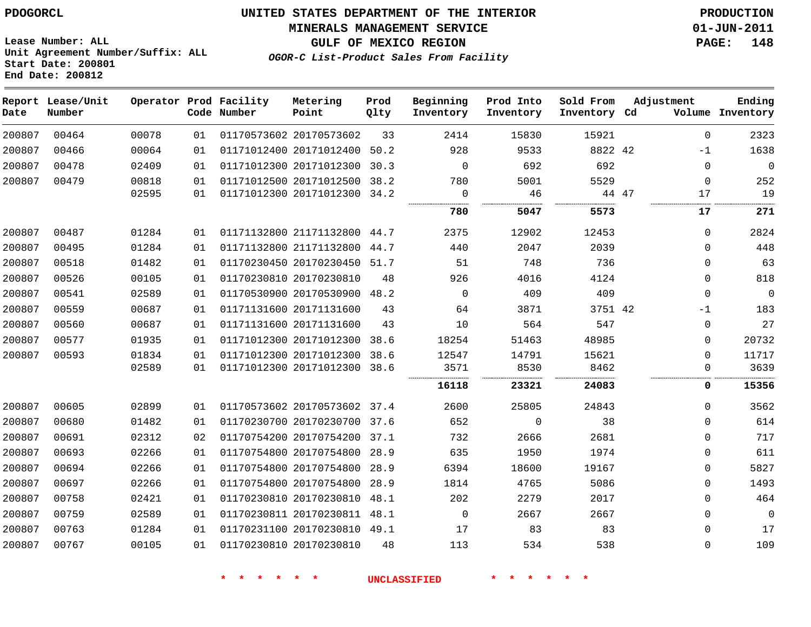**MINERALS MANAGEMENT SERVICE 01-JUN-2011**

**GULF OF MEXICO REGION PAGE: 148**

**Lease Number: ALL Unit Agreement Number/Suffix: ALL Start Date: 200801 End Date: 200812**

**OGOR-C List-Product Sales From Facility**

| Date   | Report Lease/Unit<br>Number |       |    | Operator Prod Facility<br>Code Number | Metering<br>Point            | Prod<br>Qlty | Beginning<br>Inventory | Prod Into<br>Inventory | Sold From<br>Inventory Cd | Adjustment   | Ending<br>Volume Inventory |
|--------|-----------------------------|-------|----|---------------------------------------|------------------------------|--------------|------------------------|------------------------|---------------------------|--------------|----------------------------|
| 200807 | 00464                       | 00078 | 01 |                                       | 01170573602 20170573602      | 33           | 2414                   | 15830                  | 15921                     | $\mathbf 0$  | 2323                       |
| 200807 | 00466                       | 00064 | 01 |                                       | 01171012400 20171012400      | 50.2         | 928                    | 9533                   | 8822 42                   | -1           | 1638                       |
| 200807 | 00478                       | 02409 | 01 |                                       | 01171012300 20171012300      | 30.3         | $\mathbf 0$            | 692                    | 692                       | 0            | $\mathbf 0$                |
| 200807 | 00479                       | 00818 | 01 |                                       | 01171012500 20171012500 38.2 |              | 780                    | 5001                   | 5529                      | $\mathbf 0$  | 252                        |
|        |                             | 02595 | 01 |                                       | 01171012300 20171012300 34.2 |              | $\Omega$<br>           | 46<br>                 | 44 47<br>.                | 17           | 19                         |
|        |                             |       |    |                                       |                              |              | 780                    | 5047                   | 5573                      | 17           | 271                        |
| 200807 | 00487                       | 01284 | 01 |                                       | 01171132800 21171132800      | 44.7         | 2375                   | 12902                  | 12453                     | $\mathbf{0}$ | 2824                       |
| 200807 | 00495                       | 01284 | 01 |                                       | 01171132800 21171132800      | 44.7         | 440                    | 2047                   | 2039                      | 0            | 448                        |
| 200807 | 00518                       | 01482 | 01 |                                       | 01170230450 20170230450      | 51.7         | 51                     | 748                    | 736                       | $\mathbf{0}$ | 63                         |
| 200807 | 00526                       | 00105 | 01 |                                       | 01170230810 20170230810      | 48           | 926                    | 4016                   | 4124                      | $\mathbf{0}$ | 818                        |
| 200807 | 00541                       | 02589 | 01 |                                       | 01170530900 20170530900      | 48.2         | $\mathbf 0$            | 409                    | 409                       | $\mathbf{0}$ | $\mathbf{0}$               |
| 200807 | 00559                       | 00687 | 01 |                                       | 01171131600 20171131600      | 43           | 64                     | 3871                   | 3751 42                   | $-1$         | 183                        |
| 200807 | 00560                       | 00687 | 01 |                                       | 01171131600 20171131600      | 43           | 10                     | 564                    | 547                       | 0            | 27                         |
| 200807 | 00577                       | 01935 | 01 |                                       | 01171012300 20171012300      | 38.6         | 18254                  | 51463                  | 48985                     | 0            | 20732                      |
| 200807 | 00593                       | 01834 | 01 |                                       | 01171012300 20171012300      | 38.6         | 12547                  | 14791                  | 15621                     | $\mathbf{0}$ | 11717                      |
|        |                             | 02589 | 01 |                                       | 01171012300 20171012300      | 38.6         | 3571                   | 8530                   | 8462                      | 0            | 3639                       |
|        |                             |       |    |                                       |                              |              | 16118                  | 23321                  | 24083                     | 0            | 15356                      |
| 200807 | 00605                       | 02899 | 01 |                                       | 01170573602 20170573602 37.4 |              | 2600                   | 25805                  | 24843                     | $\mathbf{0}$ | 3562                       |
| 200807 | 00680                       | 01482 | 01 |                                       | 01170230700 20170230700 37.6 |              | 652                    | 0                      | 38                        | 0            | 614                        |
| 200807 | 00691                       | 02312 | 02 |                                       | 01170754200 20170754200      | 37.1         | 732                    | 2666                   | 2681                      | $\mathbf{0}$ | 717                        |
| 200807 | 00693                       | 02266 | 01 |                                       | 01170754800 20170754800 28.9 |              | 635                    | 1950                   | 1974                      | 0            | 611                        |
| 200807 | 00694                       | 02266 | 01 |                                       | 01170754800 20170754800      | 28.9         | 6394                   | 18600                  | 19167                     | $\mathbf{0}$ | 5827                       |
| 200807 | 00697                       | 02266 | 01 |                                       | 01170754800 20170754800      | 28.9         | 1814                   | 4765                   | 5086                      | $\mathbf{0}$ | 1493                       |
| 200807 | 00758                       | 02421 | 01 |                                       | 01170230810 20170230810      | 48.1         | 202                    | 2279                   | 2017                      | $\mathbf{0}$ | 464                        |
| 200807 | 00759                       | 02589 | 01 |                                       | 01170230811 20170230811 48.1 |              | 0                      | 2667                   | 2667                      | $\mathbf{0}$ | $\mathbf{0}$               |
| 200807 | 00763                       | 01284 | 01 |                                       | 01170231100 20170230810 49.1 |              | 17                     | 83                     | 83                        | $\mathbf{0}$ | 17                         |
| 200807 | 00767                       | 00105 | 01 |                                       | 01170230810 20170230810      | 48           | 113                    | 534                    | 538                       | $\mathbf{0}$ | 109                        |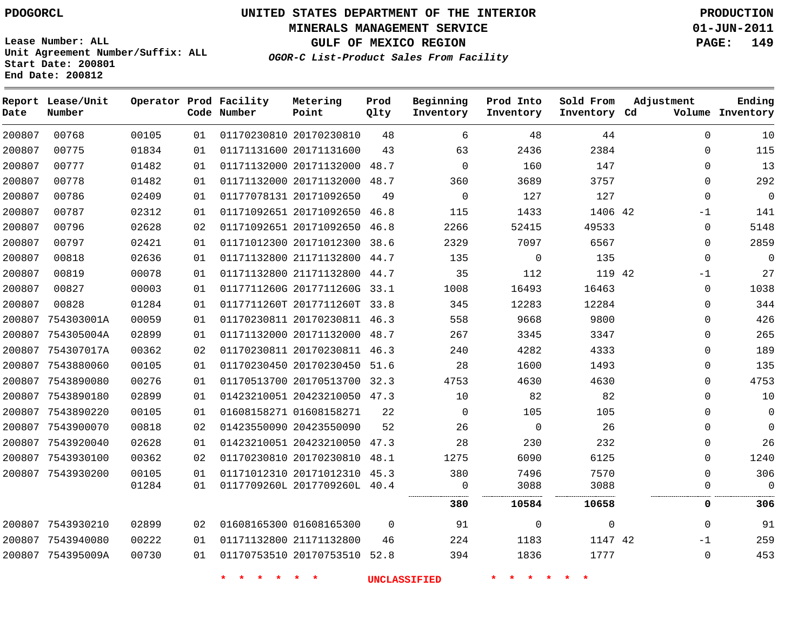**MINERALS MANAGEMENT SERVICE 01-JUN-2011**

**GULF OF MEXICO REGION PAGE: 149**

**Lease Number: ALL Unit Agreement Number/Suffix: ALL Start Date: 200801 End Date: 200812**

**OGOR-C List-Product Sales From Facility**

| Date   | Report Lease/Unit<br>Number |       |    | Operator Prod Facility<br>Code Number | Metering<br>Point            | Prod<br>Qlty | Beginning<br>Inventory | Prod Into<br>Inventory | Sold From<br>Inventory Cd | Adjustment   | Ending<br>Volume Inventory |
|--------|-----------------------------|-------|----|---------------------------------------|------------------------------|--------------|------------------------|------------------------|---------------------------|--------------|----------------------------|
| 200807 | 00768                       | 00105 | 01 |                                       | 01170230810 20170230810      | 48           | 6                      | 48                     | 44                        | 0            | 10                         |
| 200807 | 00775                       | 01834 | 01 |                                       | 01171131600 20171131600      | 43           | 63                     | 2436                   | 2384                      | 0            | 115                        |
| 200807 | 00777                       | 01482 | 01 |                                       | 01171132000 20171132000      | 48.7         | $\mathbf 0$            | 160                    | 147                       | 0            | 13                         |
| 200807 | 00778                       | 01482 | 01 |                                       | 01171132000 20171132000 48.7 |              | 360                    | 3689                   | 3757                      | $\Omega$     | 292                        |
| 200807 | 00786                       | 02409 | 01 |                                       | 01177078131 20171092650      | 49           | $\mathbf 0$            | 127                    | 127                       | $\mathbf{0}$ | $\mathbf 0$                |
| 200807 | 00787                       | 02312 | 01 |                                       | 01171092651 20171092650      | 46.8         | 115                    | 1433                   | 1406 42                   | -1           | 141                        |
| 200807 | 00796                       | 02628 | 02 |                                       | 01171092651 20171092650      | 46.8         | 2266                   | 52415                  | 49533                     | 0            | 5148                       |
| 200807 | 00797                       | 02421 | 01 |                                       | 01171012300 20171012300 38.6 |              | 2329                   | 7097                   | 6567                      | 0            | 2859                       |
| 200807 | 00818                       | 02636 | 01 |                                       | 01171132800 21171132800 44.7 |              | 135                    | $\mathbf 0$            | 135                       | $\Omega$     | $\mathbf 0$                |
| 200807 | 00819                       | 00078 | 01 |                                       | 01171132800 21171132800      | 44.7         | 35                     | 112                    | 119 42                    | $-1$         | 27                         |
| 200807 | 00827                       | 00003 | 01 |                                       | 0117711260G 2017711260G 33.1 |              | 1008                   | 16493                  | 16463                     | 0            | 1038                       |
| 200807 | 00828                       | 01284 | 01 |                                       | 0117711260T 2017711260T 33.8 |              | 345                    | 12283                  | 12284                     | 0            | 344                        |
| 200807 | 754303001A                  | 00059 | 01 |                                       | 01170230811 20170230811 46.3 |              | 558                    | 9668                   | 9800                      | $\Omega$     | 426                        |
| 200807 | 754305004A                  | 02899 | 01 |                                       | 01171132000 20171132000 48.7 |              | 267                    | 3345                   | 3347                      | $\Omega$     | 265                        |
|        | 200807 754307017A           | 00362 | 02 |                                       | 01170230811 20170230811 46.3 |              | 240                    | 4282                   | 4333                      | $\mathbf{0}$ | 189                        |
|        | 200807 7543880060           | 00105 | 01 |                                       | 01170230450 20170230450 51.6 |              | 28                     | 1600                   | 1493                      | $\Omega$     | 135                        |
|        | 200807 7543890080           | 00276 | 01 |                                       | 01170513700 20170513700 32.3 |              | 4753                   | 4630                   | 4630                      | 0            | 4753                       |
|        | 200807 7543890180           | 02899 | 01 |                                       | 01423210051 20423210050 47.3 |              | 10                     | 82                     | 82                        | $\Omega$     | 10                         |
|        | 200807 7543890220           | 00105 | 01 |                                       | 01608158271 01608158271      | 22           | $\mathbf 0$            | 105                    | 105                       | 0            | 0                          |
|        | 200807 7543900070           | 00818 | 02 |                                       | 01423550090 20423550090      | 52           | 26                     | $\mathbf 0$            | 26                        | 0            | 0                          |
|        | 200807 7543920040           | 02628 | 01 |                                       | 01423210051 20423210050 47.3 |              | 28                     | 230                    | 232                       | $\Omega$     | 26                         |
|        | 200807 7543930100           | 00362 | 02 |                                       | 01170230810 20170230810      | 48.1         | 1275                   | 6090                   | 6125                      | $\Omega$     | 1240                       |
|        | 200807 7543930200           | 00105 | 01 |                                       | 01171012310 20171012310      | 45.3         | 380                    | 7496                   | 7570                      | $\Omega$     | 306                        |
|        |                             | 01284 | 01 |                                       | 0117709260L 2017709260L 40.4 |              | 0                      | 3088                   | 3088                      | 0            | $\Omega$                   |
|        |                             |       |    |                                       |                              |              | 380                    | 10584                  | 10658                     | 0            | 306                        |
|        | 200807 7543930210           | 02899 | 02 |                                       | 01608165300 01608165300      | $\Omega$     | 91                     | 0                      | $\Omega$                  | $\Omega$     | 91                         |
|        | 200807 7543940080           | 00222 | 01 |                                       | 01171132800 21171132800      | 46           | 224                    | 1183                   | 1147 42                   | $-1$         | 259                        |
|        | 200807 754395009A           | 00730 | 01 |                                       | 01170753510 20170753510 52.8 |              | 394                    | 1836                   | 1777                      | $\mathbf 0$  | 453                        |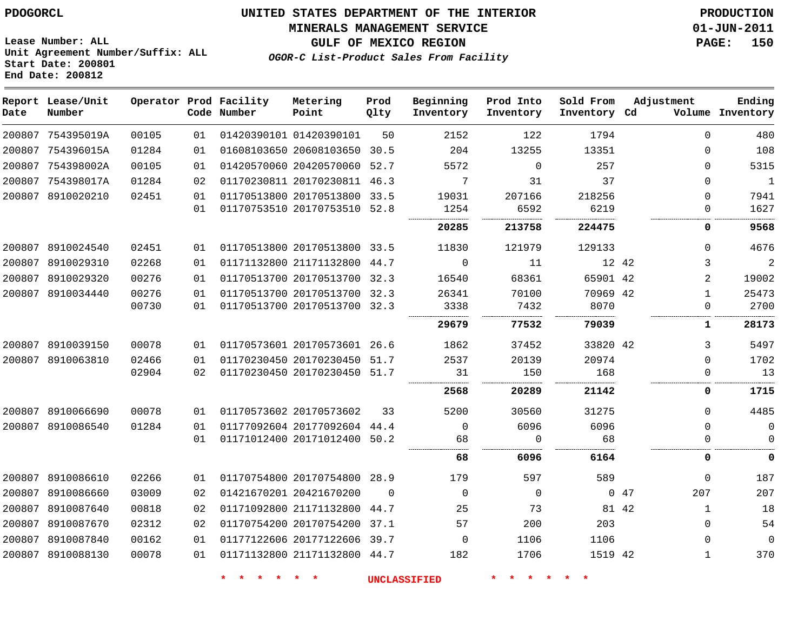#### **MINERALS MANAGEMENT SERVICE 01-JUN-2011**

**GULF OF MEXICO REGION PAGE: 150**

**Lease Number: ALL Unit Agreement Number/Suffix: ALL Start Date: 200801 End Date: 200812**

**OGOR-C List-Product Sales From Facility**

| Date   | Report Lease/Unit<br>Number |       |    | Operator Prod Facility<br>Code Number | Metering<br>Point            | Prod<br>Qlty | Beginning<br>Inventory | Prod Into<br>Inventory | Sold From<br>Inventory Cd | Adjustment |              | Ending<br>Volume Inventory |
|--------|-----------------------------|-------|----|---------------------------------------|------------------------------|--------------|------------------------|------------------------|---------------------------|------------|--------------|----------------------------|
|        | 200807 754395019A           | 00105 | 01 |                                       | 01420390101 01420390101      | 50           | 2152                   | 122                    | 1794                      |            | $\Omega$     | 480                        |
|        | 200807 754396015A           | 01284 | 01 |                                       | 01608103650 20608103650 30.5 |              | 204                    | 13255                  | 13351                     |            | 0            | 108                        |
|        | 200807 754398002A           | 00105 | 01 |                                       | 01420570060 20420570060 52.7 |              | 5572                   | $\mathbf 0$            | 257                       |            | $\Omega$     | 5315                       |
|        | 200807 754398017A           | 01284 | 02 |                                       | 01170230811 20170230811 46.3 |              | 7                      | 31                     | 37                        |            | $\Omega$     | $\mathbf{1}$               |
| 200807 | 8910020210                  | 02451 | 01 |                                       | 01170513800 20170513800 33.5 |              | 19031                  | 207166                 | 218256                    |            | $\Omega$     | 7941                       |
|        |                             |       | 01 |                                       | 01170753510 20170753510 52.8 |              | 1254                   | 6592                   | 6219                      |            | $\Omega$     | 1627                       |
|        |                             |       |    |                                       |                              |              | 20285                  | 213758                 | 224475                    |            | 0            | 9568                       |
| 200807 | 8910024540                  | 02451 | 01 |                                       | 01170513800 20170513800 33.5 |              | 11830                  | 121979                 | 129133                    |            | $\Omega$     | 4676                       |
| 200807 | 8910029310                  | 02268 | 01 |                                       | 01171132800 21171132800      | 44.7         | $\Omega$               | 11                     | 12 42                     |            | 3            | $\overline{2}$             |
|        | 200807 8910029320           | 00276 | 01 |                                       | 01170513700 20170513700 32.3 |              | 16540                  | 68361                  | 65901 42                  |            | 2            | 19002                      |
|        | 200807 8910034440           | 00276 | 01 |                                       | 01170513700 20170513700 32.3 |              | 26341                  | 70100                  | 70969 42                  |            | $\mathbf 1$  | 25473                      |
|        |                             | 00730 | 01 |                                       | 01170513700 20170513700 32.3 |              | 3338                   | 7432                   | 8070<br>.                 |            | $\Omega$     | 2700                       |
|        |                             |       |    |                                       |                              |              | 29679                  | 77532                  | 79039                     |            | 1            | 28173                      |
|        | 200807 8910039150           | 00078 | 01 |                                       | 01170573601 20170573601 26.6 |              | 1862                   | 37452                  | 33820 42                  |            | 3            | 5497                       |
| 200807 | 8910063810                  | 02466 | 01 |                                       | 01170230450 20170230450      | 51.7         | 2537                   | 20139                  | 20974                     |            | $\Omega$     | 1702                       |
|        |                             | 02904 | 02 |                                       | 01170230450 20170230450 51.7 |              | 31                     | 150                    | 168                       |            | $\Omega$     | 13                         |
|        |                             |       |    |                                       |                              |              | 2568                   | 20289                  | 21142                     |            | 0            | 1715                       |
|        | 200807 8910066690           | 00078 | 01 |                                       | 01170573602 20170573602      | 33           | 5200                   | 30560                  | 31275                     |            | $\Omega$     | 4485                       |
|        | 200807 8910086540           | 01284 | 01 |                                       | 01177092604 20177092604 44.4 |              | $\Omega$               | 6096                   | 6096                      |            | $\Omega$     | 0                          |
|        |                             |       | 01 |                                       | 01171012400 20171012400 50.2 |              | 68                     | 0                      | 68                        |            | 0            | $\mathbf 0$                |
|        |                             |       |    |                                       |                              |              | 68                     | 6096                   | 6164                      |            | 0            | 0                          |
| 200807 | 8910086610                  | 02266 | 01 |                                       | 01170754800 20170754800 28.9 |              | 179                    | 597                    | 589                       |            | $\mathbf 0$  | 187                        |
| 200807 | 8910086660                  | 03009 | 02 |                                       | 01421670201 20421670200      | $\Omega$     | $\Omega$               | $\Omega$               |                           | 047        | 207          | 207                        |
|        | 200807 8910087640           | 00818 | 02 |                                       | 01171092800 21171132800      | 44.7         | 25                     | 73                     |                           | 81 42      | $\mathbf{1}$ | 18                         |
| 200807 | 8910087670                  | 02312 | 02 |                                       | 01170754200 20170754200      | 37.1         | 57                     | 200                    | 203                       |            | $\Omega$     | 54                         |
|        | 200807 8910087840           | 00162 | 01 |                                       | 01177122606 20177122606 39.7 |              | $\Omega$               | 1106                   | 1106                      |            | $\Omega$     | $\Omega$                   |
|        | 200807 8910088130           | 00078 | 01 |                                       | 01171132800 21171132800 44.7 |              | 182                    | 1706                   | 1519 42                   |            | $\mathbf 1$  | 370                        |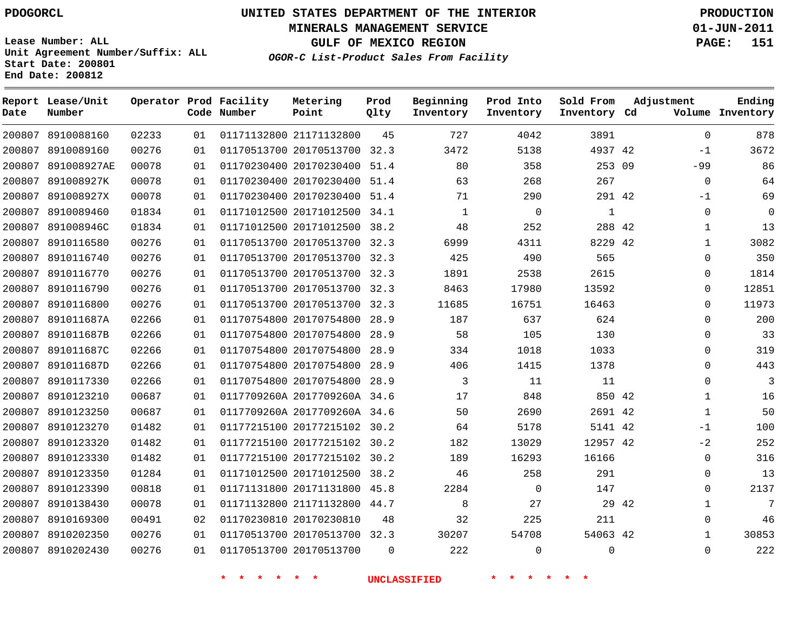**Start Date: 200801 End Date: 200812**

**Unit Agreement Number/Suffix: ALL**

# **UNITED STATES DEPARTMENT OF THE INTERIOR PDOGORCL PRODUCTION**

**MINERALS MANAGEMENT SERVICE 01-JUN-2011**

**GULF OF MEXICO REGION PAGE: 151**

**OGOR-C List-Product Sales From Facility**

| Date   | Report Lease/Unit<br>Number |       |    | Operator Prod Facility<br>Code Number | Metering<br>Point            | Prod<br>Qlty | Beginning<br>Inventory | Prod Into<br>Inventory | Sold From<br>Inventory Cd | Adjustment   | Ending<br>Volume Inventory |
|--------|-----------------------------|-------|----|---------------------------------------|------------------------------|--------------|------------------------|------------------------|---------------------------|--------------|----------------------------|
| 200807 | 8910088160                  | 02233 | 01 |                                       | 01171132800 21171132800      | 45           | 727                    | 4042                   | 3891                      | $\Omega$     | 878                        |
| 200807 | 8910089160                  | 00276 | 01 |                                       | 01170513700 20170513700      | 32.3         | 3472                   | 5138                   | 4937 42                   | $-1$         | 3672                       |
| 200807 | 891008927AE                 | 00078 | 01 |                                       | 01170230400 20170230400      | 51.4         | 80                     | 358                    | 253 09                    | $-99$        | 86                         |
| 200807 | 891008927K                  | 00078 | 01 |                                       | 01170230400 20170230400      | 51.4         | 63                     | 268                    | 267                       | $\mathbf 0$  | 64                         |
| 200807 | 891008927X                  | 00078 | 01 |                                       | 01170230400 20170230400      | 51.4         | 71                     | 290                    | 291 42                    | $-1$         | 69                         |
| 200807 | 8910089460                  | 01834 | 01 |                                       | 01171012500 20171012500      | 34.1         | $\mathbf{1}$           | $\mathbf 0$            | $\mathbf{1}$              | $\mathbf 0$  | $\overline{0}$             |
| 200807 | 891008946C                  | 01834 | 01 |                                       | 01171012500 20171012500 38.2 |              | 48                     | 252                    | 288 42                    | 1            | 13                         |
| 200807 | 8910116580                  | 00276 | 01 |                                       | 01170513700 20170513700      | 32.3         | 6999                   | 4311                   | 8229 42                   | $\mathbf{1}$ | 3082                       |
| 200807 | 8910116740                  | 00276 | 01 |                                       | 01170513700 20170513700 32.3 |              | 425                    | 490                    | 565                       | $\Omega$     | 350                        |
| 200807 | 8910116770                  | 00276 | 01 |                                       | 01170513700 20170513700      | 32.3         | 1891                   | 2538                   | 2615                      | $\Omega$     | 1814                       |
| 200807 | 8910116790                  | 00276 | 01 |                                       | 01170513700 20170513700      | 32.3         | 8463                   | 17980                  | 13592                     | 0            | 12851                      |
| 200807 | 8910116800                  | 00276 | 01 |                                       | 01170513700 20170513700      | 32.3         | 11685                  | 16751                  | 16463                     | $\Omega$     | 11973                      |
| 200807 | 891011687A                  | 02266 | 01 |                                       | 01170754800 20170754800      | 28.9         | 187                    | 637                    | 624                       | $\Omega$     | 200                        |
| 200807 | 891011687B                  | 02266 | 01 |                                       | 01170754800 20170754800      | 28.9         | 58                     | 105                    | 130                       | 0            | 33                         |
| 200807 | 891011687C                  | 02266 | 01 |                                       | 01170754800 20170754800      | 28.9         | 334                    | 1018                   | 1033                      | $\Omega$     | 319                        |
| 200807 | 891011687D                  | 02266 | 01 |                                       | 01170754800 20170754800      | 28.9         | 406                    | 1415                   | 1378                      | $\Omega$     | 443                        |
| 200807 | 8910117330                  | 02266 | 01 |                                       | 01170754800 20170754800      | 28.9         | 3                      | 11                     | 11                        | 0            | 3                          |
| 200807 | 8910123210                  | 00687 | 01 |                                       | 0117709260A 2017709260A 34.6 |              | 17                     | 848                    | 850 42                    | $\mathbf{1}$ | 16                         |
| 200807 | 8910123250                  | 00687 | 01 |                                       | 0117709260A 2017709260A 34.6 |              | 50                     | 2690                   | 2691 42                   | $\mathbf{1}$ | 50                         |
| 200807 | 8910123270                  | 01482 | 01 |                                       | 01177215100 20177215102 30.2 |              | 64                     | 5178                   | 5141 42                   | $-1$         | 100                        |
| 200807 | 8910123320                  | 01482 | 01 |                                       | 01177215100 20177215102      | 30.2         | 182                    | 13029                  | 12957 42                  | $-2$         | 252                        |
| 200807 | 8910123330                  | 01482 | 01 |                                       | 01177215100 20177215102      | 30.2         | 189                    | 16293                  | 16166                     | $\Omega$     | 316                        |
| 200807 | 8910123350                  | 01284 | 01 |                                       | 01171012500 20171012500      | 38.2         | 46                     | 258                    | 291                       | $\Omega$     | 13                         |
| 200807 | 8910123390                  | 00818 | 01 |                                       | 01171131800 20171131800      | 45.8         | 2284                   | $\mathbf 0$            | 147                       | 0            | 2137                       |
| 200807 | 8910138430                  | 00078 | 01 |                                       | 01171132800 21171132800      | 44.7         | 8                      | 27                     | 29 42                     | $\mathbf{1}$ | $7\phantom{.0}$            |
| 200807 | 8910169300                  | 00491 | 02 |                                       | 01170230810 20170230810      | 48           | 32                     | 225                    | 211                       | $\Omega$     | 46                         |
| 200807 | 8910202350                  | 00276 | 01 |                                       | 01170513700 20170513700 32.3 |              | 30207                  | 54708                  | 54063 42                  | $\mathbf{1}$ | 30853                      |
| 200807 | 8910202430                  | 00276 | 01 |                                       | 01170513700 20170513700      | $\Omega$     | 222                    | $\Omega$               | $\Omega$                  | $\Omega$     | 222                        |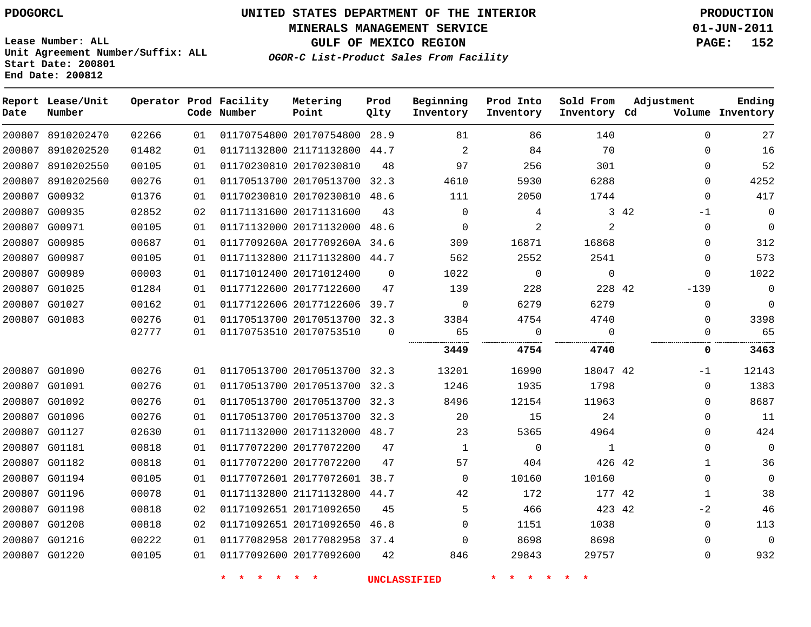**MINERALS MANAGEMENT SERVICE 01-JUN-2011**

**GULF OF MEXICO REGION PAGE: 152**

**Lease Number: ALL Unit Agreement Number/Suffix: ALL Start Date: 200801 End Date: 200812**

**OGOR-C List-Product Sales From Facility**

| 200807 8910202470<br>200807 8910202520<br>200807 8910202550<br>200807 8910202560<br>200807 G00932 | 02266<br>01482<br>00105<br>00276                                                                                                                                                                                                                                                                                                                                  | 01<br>01<br>01 | 01170754800 20170754800 28.9 |                                                                                                                                                                                                                      |                                                                                                                                                                                                                                                                                                                                                                                                                                                                                              |             |                |          |                                                                                                                                                                                                                                                                                             |
|---------------------------------------------------------------------------------------------------|-------------------------------------------------------------------------------------------------------------------------------------------------------------------------------------------------------------------------------------------------------------------------------------------------------------------------------------------------------------------|----------------|------------------------------|----------------------------------------------------------------------------------------------------------------------------------------------------------------------------------------------------------------------|----------------------------------------------------------------------------------------------------------------------------------------------------------------------------------------------------------------------------------------------------------------------------------------------------------------------------------------------------------------------------------------------------------------------------------------------------------------------------------------------|-------------|----------------|----------|---------------------------------------------------------------------------------------------------------------------------------------------------------------------------------------------------------------------------------------------------------------------------------------------|
|                                                                                                   |                                                                                                                                                                                                                                                                                                                                                                   |                |                              |                                                                                                                                                                                                                      | 81                                                                                                                                                                                                                                                                                                                                                                                                                                                                                           | 86          | 140            | $\Omega$ | 27                                                                                                                                                                                                                                                                                          |
|                                                                                                   |                                                                                                                                                                                                                                                                                                                                                                   |                | 01171132800 21171132800 44.7 |                                                                                                                                                                                                                      | 2                                                                                                                                                                                                                                                                                                                                                                                                                                                                                            | 84          | 70             | $\Omega$ | 16                                                                                                                                                                                                                                                                                          |
|                                                                                                   |                                                                                                                                                                                                                                                                                                                                                                   |                | 01170230810 20170230810      | 48                                                                                                                                                                                                                   | 97                                                                                                                                                                                                                                                                                                                                                                                                                                                                                           | 256         | 301            | $\Omega$ | 52                                                                                                                                                                                                                                                                                          |
|                                                                                                   |                                                                                                                                                                                                                                                                                                                                                                   | 01             | 01170513700 20170513700      | 32.3                                                                                                                                                                                                                 | 4610                                                                                                                                                                                                                                                                                                                                                                                                                                                                                         | 5930        | 6288           | $\Omega$ | 4252                                                                                                                                                                                                                                                                                        |
|                                                                                                   | 01376                                                                                                                                                                                                                                                                                                                                                             | 01             |                              |                                                                                                                                                                                                                      | 111                                                                                                                                                                                                                                                                                                                                                                                                                                                                                          | 2050        | 1744           |          | 417                                                                                                                                                                                                                                                                                         |
|                                                                                                   | 02852                                                                                                                                                                                                                                                                                                                                                             | 02             |                              | 43                                                                                                                                                                                                                   | $\mathbf 0$                                                                                                                                                                                                                                                                                                                                                                                                                                                                                  | 4           |                |          | 0                                                                                                                                                                                                                                                                                           |
|                                                                                                   | 00105                                                                                                                                                                                                                                                                                                                                                             | 01             |                              |                                                                                                                                                                                                                      | $\Omega$                                                                                                                                                                                                                                                                                                                                                                                                                                                                                     | 2           | $\overline{2}$ |          | $\Omega$                                                                                                                                                                                                                                                                                    |
|                                                                                                   | 00687                                                                                                                                                                                                                                                                                                                                                             | 01             |                              |                                                                                                                                                                                                                      | 309                                                                                                                                                                                                                                                                                                                                                                                                                                                                                          | 16871       | 16868          |          | 312                                                                                                                                                                                                                                                                                         |
|                                                                                                   | 00105                                                                                                                                                                                                                                                                                                                                                             | 01             |                              |                                                                                                                                                                                                                      | 562                                                                                                                                                                                                                                                                                                                                                                                                                                                                                          | 2552        | 2541           |          | 573                                                                                                                                                                                                                                                                                         |
|                                                                                                   | 00003                                                                                                                                                                                                                                                                                                                                                             | 01             |                              | $\mathbf 0$                                                                                                                                                                                                          | 1022                                                                                                                                                                                                                                                                                                                                                                                                                                                                                         | $\mathbf 0$ | $\mathbf 0$    |          | 1022                                                                                                                                                                                                                                                                                        |
|                                                                                                   | 01284                                                                                                                                                                                                                                                                                                                                                             | 01             |                              | 47                                                                                                                                                                                                                   | 139                                                                                                                                                                                                                                                                                                                                                                                                                                                                                          | 228         |                |          | 0                                                                                                                                                                                                                                                                                           |
|                                                                                                   | 00162                                                                                                                                                                                                                                                                                                                                                             | 01             |                              |                                                                                                                                                                                                                      | $\Omega$                                                                                                                                                                                                                                                                                                                                                                                                                                                                                     | 6279        | 6279           |          | $\mathbf 0$                                                                                                                                                                                                                                                                                 |
|                                                                                                   | 00276                                                                                                                                                                                                                                                                                                                                                             | 01             |                              |                                                                                                                                                                                                                      | 3384                                                                                                                                                                                                                                                                                                                                                                                                                                                                                         | 4754        | 4740           |          | 3398                                                                                                                                                                                                                                                                                        |
|                                                                                                   |                                                                                                                                                                                                                                                                                                                                                                   | 01             |                              | $\Omega$                                                                                                                                                                                                             |                                                                                                                                                                                                                                                                                                                                                                                                                                                                                              | 0           | $\mathbf 0$    |          | 65                                                                                                                                                                                                                                                                                          |
|                                                                                                   |                                                                                                                                                                                                                                                                                                                                                                   |                |                              |                                                                                                                                                                                                                      | 3449                                                                                                                                                                                                                                                                                                                                                                                                                                                                                         | 4754        | 4740           |          | 3463                                                                                                                                                                                                                                                                                        |
|                                                                                                   | 00276                                                                                                                                                                                                                                                                                                                                                             | 01             |                              |                                                                                                                                                                                                                      | 13201                                                                                                                                                                                                                                                                                                                                                                                                                                                                                        | 16990       |                |          | 12143                                                                                                                                                                                                                                                                                       |
|                                                                                                   | 00276                                                                                                                                                                                                                                                                                                                                                             | 01             |                              |                                                                                                                                                                                                                      | 1246                                                                                                                                                                                                                                                                                                                                                                                                                                                                                         | 1935        | 1798           |          | 1383                                                                                                                                                                                                                                                                                        |
|                                                                                                   | 00276                                                                                                                                                                                                                                                                                                                                                             | 01             |                              |                                                                                                                                                                                                                      | 8496                                                                                                                                                                                                                                                                                                                                                                                                                                                                                         | 12154       | 11963          |          | 8687                                                                                                                                                                                                                                                                                        |
|                                                                                                   | 00276                                                                                                                                                                                                                                                                                                                                                             | 01             |                              |                                                                                                                                                                                                                      | 20                                                                                                                                                                                                                                                                                                                                                                                                                                                                                           | 15          | 24             |          | 11                                                                                                                                                                                                                                                                                          |
|                                                                                                   | 02630                                                                                                                                                                                                                                                                                                                                                             | 01             |                              |                                                                                                                                                                                                                      | 23                                                                                                                                                                                                                                                                                                                                                                                                                                                                                           | 5365        | 4964           |          | 424                                                                                                                                                                                                                                                                                         |
|                                                                                                   | 00818                                                                                                                                                                                                                                                                                                                                                             | 01             |                              | 47                                                                                                                                                                                                                   | $\mathbf{1}$                                                                                                                                                                                                                                                                                                                                                                                                                                                                                 | 0           | $\mathbf{1}$   |          | $\mathbf 0$                                                                                                                                                                                                                                                                                 |
|                                                                                                   | 00818                                                                                                                                                                                                                                                                                                                                                             | 01             |                              | 47                                                                                                                                                                                                                   | 57                                                                                                                                                                                                                                                                                                                                                                                                                                                                                           | 404         |                |          | 36                                                                                                                                                                                                                                                                                          |
|                                                                                                   | 00105                                                                                                                                                                                                                                                                                                                                                             | 01             |                              |                                                                                                                                                                                                                      | $\Omega$                                                                                                                                                                                                                                                                                                                                                                                                                                                                                     | 10160       | 10160          |          | 0                                                                                                                                                                                                                                                                                           |
|                                                                                                   | 00078                                                                                                                                                                                                                                                                                                                                                             | 01             |                              |                                                                                                                                                                                                                      | 42                                                                                                                                                                                                                                                                                                                                                                                                                                                                                           | 172         |                |          | 38                                                                                                                                                                                                                                                                                          |
|                                                                                                   | 00818                                                                                                                                                                                                                                                                                                                                                             | 02             |                              | 45                                                                                                                                                                                                                   | 5                                                                                                                                                                                                                                                                                                                                                                                                                                                                                            | 466         |                |          | 46                                                                                                                                                                                                                                                                                          |
|                                                                                                   | 00818                                                                                                                                                                                                                                                                                                                                                             | 02             |                              |                                                                                                                                                                                                                      | $\Omega$                                                                                                                                                                                                                                                                                                                                                                                                                                                                                     | 1151        | 1038           |          | 113                                                                                                                                                                                                                                                                                         |
|                                                                                                   | 00222                                                                                                                                                                                                                                                                                                                                                             | 01             |                              |                                                                                                                                                                                                                      | $\Omega$                                                                                                                                                                                                                                                                                                                                                                                                                                                                                     | 8698        | 8698           |          | $\mathbf 0$                                                                                                                                                                                                                                                                                 |
|                                                                                                   | 00105                                                                                                                                                                                                                                                                                                                                                             | 01             |                              | 42                                                                                                                                                                                                                   | 846                                                                                                                                                                                                                                                                                                                                                                                                                                                                                          | 29843       | 29757          |          | 932                                                                                                                                                                                                                                                                                         |
|                                                                                                   | 200807 G00935<br>200807 G00971<br>200807 G00985<br>200807 G00987<br>200807 G00989<br>200807 G01025<br>200807 G01027<br>200807 G01083<br>200807 G01090<br>200807 G01091<br>200807 G01092<br>200807 G01096<br>200807 G01127<br>200807 G01181<br>200807 G01182<br>200807 G01194<br>200807 G01196<br>200807 G01198<br>200807 G01208<br>200807 G01216<br>200807 G01220 | 02777          |                              | 01171131600 20171131600<br>01171012400 20171012400<br>01177122600 20177122600<br>01170753510 20170753510<br>01177072200 20177072200<br>01177072200 20177072200<br>01171092651 20171092650<br>01177092600 20177092600 | 01170230810 20170230810 48.6<br>01171132000 20171132000 48.6<br>0117709260A 2017709260A 34.6<br>01171132800 21171132800 44.7<br>01177122606 20177122606 39.7<br>01170513700 20170513700 32.3<br>01170513700 20170513700 32.3<br>01170513700 20170513700 32.3<br>01170513700 20170513700 32.3<br>01170513700 20170513700 32.3<br>01171132000 20171132000 48.7<br>01177072601 20177072601 38.7<br>01171132800 21171132800 44.7<br>01171092651 20171092650 46.8<br>01177082958 20177082958 37.4 | 65          |                |          | $\Omega$<br>3 42<br>-1<br>$\Omega$<br>$\Omega$<br>0<br>$\Omega$<br>228 42<br>$-139$<br>$\Omega$<br>$\Omega$<br>0<br>0<br>18047 42<br>$-1$<br>0<br>$\Omega$<br>$\Omega$<br>$\Omega$<br>0<br>426 42<br>1<br>$\Omega$<br>177 42<br>1<br>423 42<br>$-2$<br>$\mathbf{0}$<br>$\Omega$<br>$\Omega$ |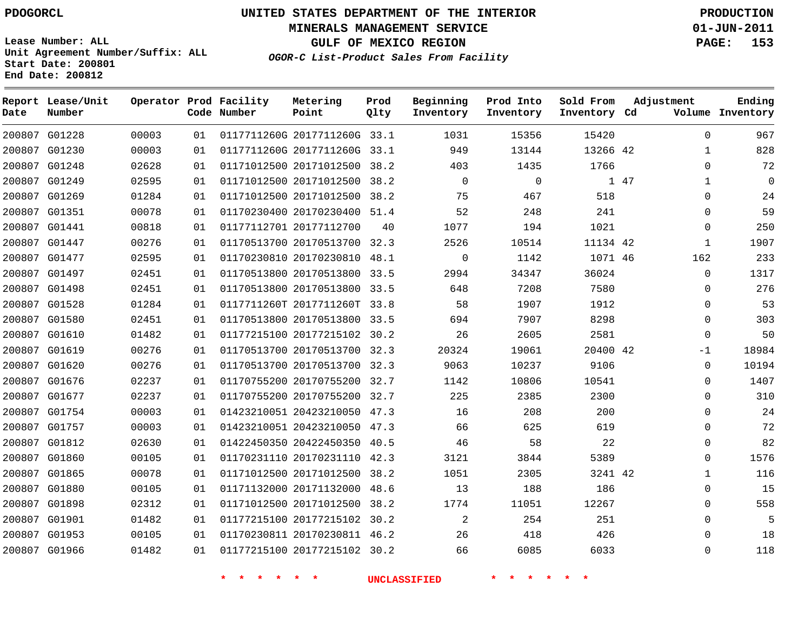**End Date: 200812**

# **UNITED STATES DEPARTMENT OF THE INTERIOR PDOGORCL PRODUCTION**

**MINERALS MANAGEMENT SERVICE 01-JUN-2011**

**GULF OF MEXICO REGION PAGE: 153**

**OGOR-C List-Product Sales From Facility Unit Agreement Number/Suffix: ALL Start Date: 200801**

| Date | Report Lease/Unit<br>Number |       |    | Operator Prod Facility<br>Code Number | Metering<br>Point            | Prod<br>Qlty | Beginning<br>Inventory | Prod Into<br>Inventory | Sold From<br>Inventory Cd | Adjustment           | Ending<br>Volume Inventory |
|------|-----------------------------|-------|----|---------------------------------------|------------------------------|--------------|------------------------|------------------------|---------------------------|----------------------|----------------------------|
|      | 200807 G01228               | 00003 | 01 |                                       | 0117711260G 2017711260G 33.1 |              | 1031                   | 15356                  | 15420                     | $\Omega$             | 967                        |
|      | 200807 G01230               | 00003 | 01 |                                       | 0117711260G 2017711260G 33.1 |              | 949                    | 13144                  | 13266 42                  | $\mathbf 1$          | 828                        |
|      | 200807 G01248               | 02628 | 01 |                                       | 01171012500 20171012500      | 38.2         | 403                    | 1435                   | 1766                      | $\Omega$             | 72                         |
|      | 200807 G01249               | 02595 | 01 |                                       | 01171012500 20171012500 38.2 |              | $\Omega$               | $\mathbf 0$            |                           | 1 47<br>$\mathbf{1}$ | $\mathbf 0$                |
|      | 200807 G01269               | 01284 | 01 |                                       | 01171012500 20171012500 38.2 |              | 75                     | 467                    | 518                       | 0                    | 24                         |
|      | 200807 G01351               | 00078 | 01 |                                       | 01170230400 20170230400 51.4 |              | 52                     | 248                    | 241                       | 0                    | 59                         |
|      | 200807 G01441               | 00818 | 01 |                                       | 01177112701 20177112700      | 40           | 1077                   | 194                    | 1021                      | 0                    | 250                        |
|      | 200807 G01447               | 00276 | 01 |                                       | 01170513700 20170513700 32.3 |              | 2526                   | 10514                  | 11134 42                  | 1                    | 1907                       |
|      | 200807 G01477               | 02595 | 01 |                                       | 01170230810 20170230810 48.1 |              | $\mathbf 0$            | 1142                   | 1071 46                   | 162                  | 233                        |
|      | 200807 G01497               | 02451 | 01 |                                       | 01170513800 20170513800 33.5 |              | 2994                   | 34347                  | 36024                     | $\Omega$             | 1317                       |
|      | 200807 G01498               | 02451 | 01 |                                       | 01170513800 20170513800 33.5 |              | 648                    | 7208                   | 7580                      | 0                    | 276                        |
|      | 200807 G01528               | 01284 | 01 |                                       | 0117711260T 2017711260T 33.8 |              | 58                     | 1907                   | 1912                      | 0                    | 53                         |
|      | 200807 G01580               | 02451 | 01 |                                       | 01170513800 20170513800 33.5 |              | 694                    | 7907                   | 8298                      | $\Omega$             | 303                        |
|      | 200807 G01610               | 01482 | 01 |                                       | 01177215100 20177215102 30.2 |              | 26                     | 2605                   | 2581                      | $\Omega$             | 50                         |
|      | 200807 G01619               | 00276 | 01 |                                       | 01170513700 20170513700 32.3 |              | 20324                  | 19061                  | 20400 42                  | $-1$                 | 18984                      |
|      | 200807 G01620               | 00276 | 01 |                                       | 01170513700 20170513700 32.3 |              | 9063                   | 10237                  | 9106                      | $\Omega$             | 10194                      |
|      | 200807 G01676               | 02237 | 01 |                                       | 01170755200 20170755200 32.7 |              | 1142                   | 10806                  | 10541                     | 0                    | 1407                       |
|      | 200807 G01677               | 02237 | 01 |                                       | 01170755200 20170755200 32.7 |              | 225                    | 2385                   | 2300                      | 0                    | 310                        |
|      | 200807 G01754               | 00003 | 01 |                                       | 01423210051 20423210050 47.3 |              | 16                     | 208                    | 200                       | $\Omega$             | 24                         |
|      | 200807 G01757               | 00003 | 01 |                                       | 01423210051 20423210050 47.3 |              | 66                     | 625                    | 619                       | $\Omega$             | 72                         |
|      | 200807 G01812               | 02630 | 01 |                                       | 01422450350 20422450350 40.5 |              | 46                     | 58                     | 22                        | $\Omega$             | 82                         |
|      | 200807 G01860               | 00105 | 01 |                                       | 01170231110 20170231110 42.3 |              | 3121                   | 3844                   | 5389                      | $\Omega$             | 1576                       |
|      | 200807 G01865               | 00078 | 01 |                                       | 01171012500 20171012500 38.2 |              | 1051                   | 2305                   | 3241 42                   | 1                    | 116                        |
|      | 200807 G01880               | 00105 | 01 |                                       | 01171132000 20171132000      | 48.6         | 13                     | 188                    | 186                       | 0                    | 15                         |
|      | 200807 G01898               | 02312 | 01 |                                       | 01171012500 20171012500 38.2 |              | 1774                   | 11051                  | 12267                     | $\Omega$             | 558                        |
|      | 200807 G01901               | 01482 | 01 |                                       | 01177215100 20177215102 30.2 |              | 2                      | 254                    | 251                       | $\Omega$             | 5                          |
|      | 200807 G01953               | 00105 | 01 |                                       | 01170230811 20170230811 46.2 |              | 26                     | 418                    | 426                       | $\Omega$             | 18                         |
|      | 200807 G01966               | 01482 | 01 |                                       | 01177215100 20177215102 30.2 |              | 66                     | 6085                   | 6033                      | $\Omega$             | 118                        |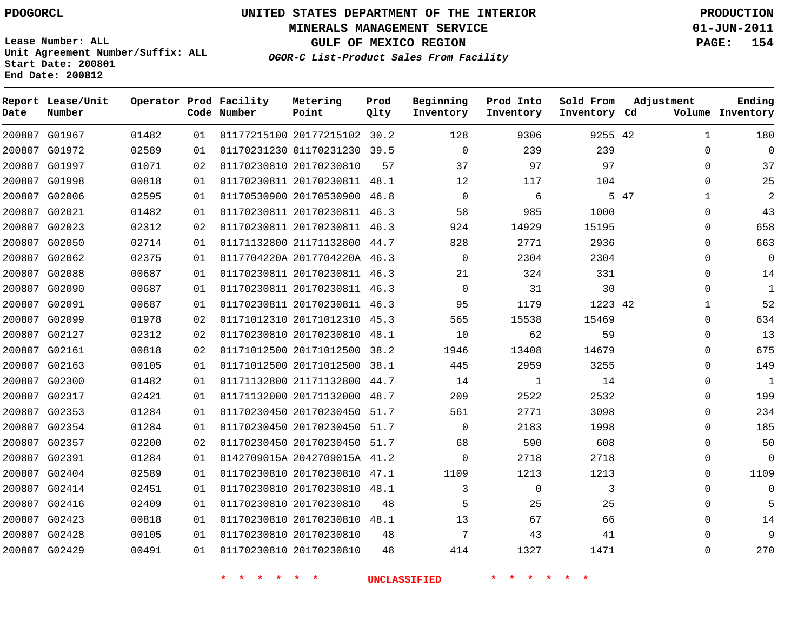**Start Date: 200801 End Date: 200812**

**Unit Agreement Number/Suffix: ALL**

# **UNITED STATES DEPARTMENT OF THE INTERIOR PDOGORCL PRODUCTION**

**MINERALS MANAGEMENT SERVICE 01-JUN-2011**

**GULF OF MEXICO REGION PAGE: 154**

**OGOR-C List-Product Sales From Facility**

| Date   | Report Lease/Unit<br>Number |       |    | Operator Prod Facility<br>Code Number | Metering<br>Point            | Prod<br>Qlty | Beginning<br>Inventory | Prod Into<br>Inventory | Sold From<br>Inventory Cd | Adjustment  | Ending<br>Volume Inventory |
|--------|-----------------------------|-------|----|---------------------------------------|------------------------------|--------------|------------------------|------------------------|---------------------------|-------------|----------------------------|
|        | 200807 G01967               | 01482 | 01 |                                       | 01177215100 20177215102 30.2 |              | 128                    | 9306                   | 9255 42                   | 1           | 180                        |
|        | 200807 G01972               | 02589 | 01 |                                       | 01170231230 01170231230      | 39.5         | 0                      | 239                    | 239                       | $\mathbf 0$ | $\overline{0}$             |
|        | 200807 G01997               | 01071 | 02 |                                       | 01170230810 20170230810      | 57           | 37                     | 97                     | 97                        | $\Omega$    | 37                         |
|        | 200807 G01998               | 00818 | 01 |                                       | 01170230811 20170230811 48.1 |              | 12                     | 117                    | 104                       | $\Omega$    | 25                         |
|        | 200807 G02006               | 02595 | 01 |                                       | 01170530900 20170530900      | 46.8         | $\mathbf 0$            | 6                      |                           | 5 47<br>1   | $\overline{a}$             |
| 200807 | G02021                      | 01482 | 01 |                                       | 01170230811 20170230811      | 46.3         | 58                     | 985                    | 1000                      | 0           | 43                         |
|        | 200807 G02023               | 02312 | 02 |                                       | 01170230811 20170230811 46.3 |              | 924                    | 14929                  | 15195                     | $\Omega$    | 658                        |
| 200807 | G02050                      | 02714 | 01 |                                       | 01171132800 21171132800      | 44.7         | 828                    | 2771                   | 2936                      | $\Omega$    | 663                        |
|        | 200807 G02062               | 02375 | 01 |                                       | 0117704220A 2017704220A 46.3 |              | $\mathbf 0$            | 2304                   | 2304                      | $\Omega$    | $\Omega$                   |
|        | 200807 G02088               | 00687 | 01 |                                       | 01170230811 20170230811      | 46.3         | 21                     | 324                    | 331                       | $\Omega$    | 14                         |
|        | 200807 G02090               | 00687 | 01 |                                       | 01170230811 20170230811      | 46.3         | $\mathbf 0$            | 31                     | 30                        | $\Omega$    | 1                          |
|        | 200807 G02091               | 00687 | 01 |                                       | 01170230811 20170230811      | 46.3         | 95                     | 1179                   | 1223 42                   | 1           | 52                         |
|        | 200807 G02099               | 01978 | 02 |                                       | 01171012310 20171012310      | 45.3         | 565                    | 15538                  | 15469                     | $\Omega$    | 634                        |
|        | 200807 G02127               | 02312 | 02 |                                       | 01170230810 20170230810      | 48.1         | 10                     | 62                     | 59                        | $\Omega$    | 13                         |
|        | 200807 G02161               | 00818 | 02 |                                       | 01171012500 20171012500      | 38.2         | 1946                   | 13408                  | 14679                     | $\Omega$    | 675                        |
|        | 200807 G02163               | 00105 | 01 |                                       | 01171012500 20171012500 38.1 |              | 445                    | 2959                   | 3255                      | $\Omega$    | 149                        |
|        | 200807 G02300               | 01482 | 01 |                                       | 01171132800 21171132800      | 44.7         | 14                     | 1                      | 14                        | $\Omega$    | 1                          |
|        | 200807 G02317               | 02421 | 01 |                                       | 01171132000 20171132000      | 48.7         | 209                    | 2522                   | 2532                      | $\Omega$    | 199                        |
| 200807 | G02353                      | 01284 | 01 |                                       | 01170230450 20170230450      | 51.7         | 561                    | 2771                   | 3098                      | 0           | 234                        |
|        | 200807 G02354               | 01284 | 01 |                                       | 01170230450 20170230450 51.7 |              | $\mathbf 0$            | 2183                   | 1998                      | $\Omega$    | 185                        |
|        | 200807 G02357               | 02200 | 02 |                                       | 01170230450 20170230450 51.7 |              | 68                     | 590                    | 608                       | $\Omega$    | 50                         |
|        | 200807 G02391               | 01284 | 01 |                                       | 0142709015A 2042709015A 41.2 |              | $\mathbf 0$            | 2718                   | 2718                      | $\Omega$    | $\Omega$                   |
|        | 200807 G02404               | 02589 | 01 |                                       | 01170230810 20170230810      | 47.1         | 1109                   | 1213                   | 1213                      | $\Omega$    | 1109                       |
|        | 200807 G02414               | 02451 | 01 |                                       | 01170230810 20170230810      | 48.1         | 3                      | $\mathbf 0$            | 3                         | $\mathbf 0$ | $\overline{0}$             |
|        | 200807 G02416               | 02409 | 01 |                                       | 01170230810 20170230810      | 48           | 5                      | 25                     | 25                        | $\Omega$    | 5                          |
|        | 200807 G02423               | 00818 | 01 |                                       | 01170230810 20170230810      | 48.1         | 13                     | 67                     | 66                        | $\Omega$    | 14                         |
|        | 200807 G02428               | 00105 | 01 |                                       | 01170230810 20170230810      | 48           | 7                      | 43                     | 41                        | $\Omega$    | 9                          |
|        | 200807 G02429               | 00491 | 01 |                                       | 01170230810 20170230810      | 48           | 414                    | 1327                   | 1471                      | $\Omega$    | 270                        |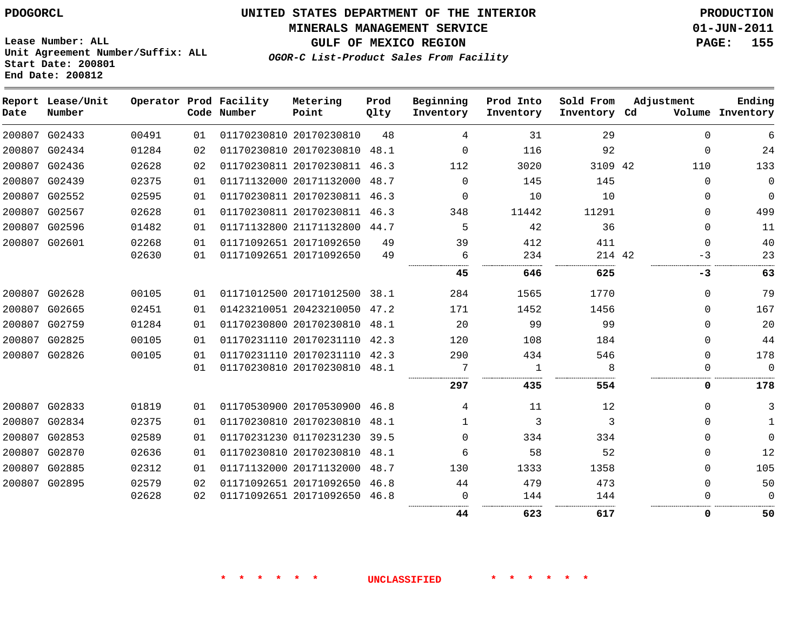#### **MINERALS MANAGEMENT SERVICE 01-JUN-2011**

**GULF OF MEXICO REGION PAGE: 155**

**Lease Number: ALL Unit Agreement Number/Suffix: ALL Start Date: 200801 End Date: 200812**

**OGOR-C List-Product Sales From Facility**

| Date | Report Lease/Unit<br>Number |       |    | Operator Prod Facility<br>Code Number | Metering<br>Point            | Prod<br>Qlty | Beginning<br>Inventory | Prod Into<br>Inventory | Sold From<br>Inventory Cd | Adjustment | Ending<br>Volume Inventory |
|------|-----------------------------|-------|----|---------------------------------------|------------------------------|--------------|------------------------|------------------------|---------------------------|------------|----------------------------|
|      | 200807 G02433               | 00491 | 01 |                                       | 01170230810 20170230810      | 48           | 4                      | 31                     | 29                        | $\Omega$   | 6                          |
|      | 200807 G02434               | 01284 | 02 |                                       | 01170230810 20170230810      | 48.1         | $\Omega$               | 116                    | 92                        | $\Omega$   | 24                         |
|      | 200807 G02436               | 02628 | 02 |                                       | 01170230811 20170230811      | 46.3         | 112                    | 3020                   | 3109 42                   | 110        | 133                        |
|      | 200807 G02439               | 02375 | 01 |                                       | 01171132000 20171132000      | 48.7         | $\Omega$               | 145                    | 145                       | $\Omega$   | $\Omega$                   |
|      | 200807 G02552               | 02595 | 01 |                                       | 01170230811 20170230811      | 46.3         | $\Omega$               | 10                     | 10                        | 0          | 0                          |
|      | 200807 G02567               | 02628 | 01 |                                       | 01170230811 20170230811      | 46.3         | 348                    | 11442                  | 11291                     | $\Omega$   | 499                        |
|      | 200807 G02596               | 01482 | 01 |                                       | 01171132800 21171132800      | 44.7         | 5                      | 42                     | 36                        | $\Omega$   | 11                         |
|      | 200807 G02601               | 02268 | 01 |                                       | 01171092651 20171092650      | 49           | 39                     | 412                    | 411                       | $\Omega$   | 40                         |
|      |                             | 02630 | 01 |                                       | 01171092651 20171092650      | 49           | 6                      | 234                    | 214 42                    | $-3$       | 23                         |
|      |                             |       |    |                                       |                              |              | 45                     | 646                    | 625                       | -3         | 63                         |
|      | 200807 G02628               | 00105 | 01 |                                       | 01171012500 20171012500 38.1 |              | 284                    | 1565                   | 1770                      | 0          | 79                         |
|      | 200807 G02665               | 02451 | 01 |                                       | 01423210051 20423210050      | 47.2         | 171                    | 1452                   | 1456                      | $\Omega$   | 167                        |
|      | 200807 G02759               | 01284 | 01 |                                       | 01170230800 20170230810      | 48.1         | 20                     | 99                     | 99                        | $\Omega$   | 20                         |
|      | 200807 G02825               | 00105 | 01 |                                       | 01170231110 20170231110 42.3 |              | 120                    | 108                    | 184                       | $\Omega$   | 44                         |
|      | 200807 G02826               | 00105 | 01 |                                       | 01170231110 20170231110      | 42.3         | 290                    | 434                    | 546                       | $\Omega$   | 178                        |
|      |                             |       | 01 |                                       | 01170230810 20170230810 48.1 |              | 7                      | -1                     | 8                         | 0          | $\mathbf 0$                |
|      |                             |       |    |                                       |                              |              | 297                    | 435                    | 554                       | 0          | 178                        |
|      | 200807 G02833               | 01819 | 01 |                                       | 01170530900 20170530900      | 46.8         | 4                      | 11                     | 12                        | $\Omega$   | 3                          |
|      | 200807 G02834               | 02375 | 01 |                                       | 01170230810 20170230810      | 48.1         | $\mathbf{1}$           | 3                      | 3                         | 0          | $\mathbf{1}$               |
|      | 200807 G02853               | 02589 | 01 |                                       | 01170231230 01170231230 39.5 |              | $\Omega$               | 334                    | 334                       | $\Omega$   | 0                          |
|      | 200807 G02870               | 02636 | 01 |                                       | 01170230810 20170230810      | 48.1         | 6                      | 58                     | 52                        | $\Omega$   | 12                         |
|      | 200807 G02885               | 02312 | 01 |                                       | 01171132000 20171132000      | 48.7         | 130                    | 1333                   | 1358                      | $\Omega$   | 105                        |
|      | 200807 G02895               | 02579 | 02 |                                       | 01171092651 20171092650      | 46.8         | 44                     | 479                    | 473                       | $\Omega$   | 50                         |
|      |                             | 02628 | 02 |                                       | 01171092651 20171092650 46.8 |              | 0                      | 144                    | 144                       | 0          | 0                          |
|      |                             |       |    |                                       |                              |              | 44                     | 623                    | 617                       | 0          | 50                         |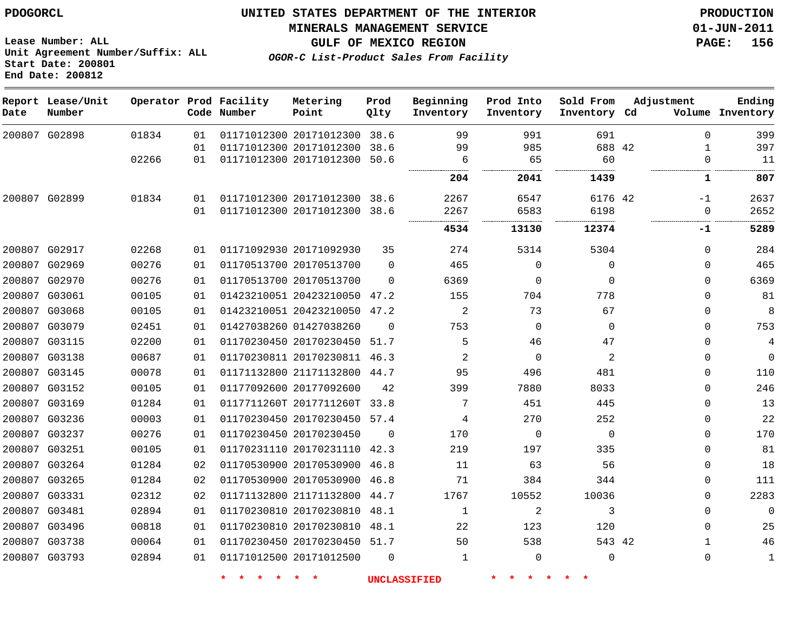**MINERALS MANAGEMENT SERVICE 01-JUN-2011**

**Lease Number: ALL Unit Agreement Number/Suffix: ALL Start Date: 200801 End Date: 200812**

**OGOR-C List-Product Sales From Facility**

**GULF OF MEXICO REGION PAGE: 156**

| Date | Report Lease/Unit<br>Number |       |    | Operator Prod Facility<br>Code Number | Metering<br>Point            | Prod<br>Qlty | Beginning<br>Inventory | Prod Into<br>Inventory | Sold From<br>Inventory Cd | Adjustment | Ending<br>Volume Inventory |
|------|-----------------------------|-------|----|---------------------------------------|------------------------------|--------------|------------------------|------------------------|---------------------------|------------|----------------------------|
|      | 200807 G02898               | 01834 | 01 |                                       | 01171012300 20171012300      | 38.6         | 99                     | 991                    | 691                       |            | 399<br>$\Omega$            |
|      |                             |       | 01 |                                       | 01171012300 20171012300      | 38.6         | 99                     | 985                    | 688 42                    |            | 397<br>1                   |
|      |                             | 02266 | 01 |                                       | 01171012300 20171012300      | 50.6         | 6                      | 65                     | 60                        |            | 11<br>0                    |
|      |                             |       |    |                                       |                              |              | 204                    | 2041                   | 1439                      |            | 807<br>1                   |
|      | 200807 G02899               | 01834 | 01 |                                       | 01171012300 20171012300      | 38.6         | 2267                   | 6547                   | 6176 42                   |            | 2637<br>$-1$               |
|      |                             |       | 01 |                                       | 01171012300 20171012300      | 38.6         | 2267                   | 6583                   | 6198                      |            | 2652<br>0                  |
|      |                             |       |    |                                       |                              |              | 4534                   | 13130                  | 12374                     |            | 5289<br>-1                 |
|      | 200807 G02917               | 02268 | 01 |                                       | 01171092930 20171092930      | 35           | 274                    | 5314                   | 5304                      |            | 284<br>$\Omega$            |
|      | 200807 G02969               | 00276 | 01 |                                       | 01170513700 20170513700      | $\Omega$     | 465                    | $\mathbf 0$            | 0                         |            | 465<br>$\Omega$            |
|      | 200807 G02970               | 00276 | 01 | 01170513700 20170513700               |                              | $\Omega$     | 6369                   | $\Omega$               | $\Omega$                  |            | 6369<br>$\Omega$           |
|      | 200807 G03061               | 00105 | 01 |                                       | 01423210051 20423210050      | 47.2         | 155                    | 704                    | 778                       |            | 81<br>$\Omega$             |
|      | 200807 G03068               | 00105 | 01 |                                       | 01423210051 20423210050 47.2 |              | 2                      | 73                     | 67                        |            | 8<br>$\Omega$              |
|      | 200807 G03079               | 02451 | 01 | 01427038260 01427038260               |                              | $\Omega$     | 753                    | 0                      | $\Omega$                  |            | 753<br>$\Omega$            |
|      | 200807 G03115               | 02200 | 01 |                                       | 01170230450 20170230450      | 51.7         | 5                      | 46                     | 47                        |            | $\Omega$<br>4              |
|      | 200807 G03138               | 00687 | 01 |                                       | 01170230811 20170230811 46.3 |              | $\overline{2}$         | $\mathbf 0$            | $\overline{a}$            |            | $\mathbf 0$<br>$\Omega$    |
|      | 200807 G03145               | 00078 | 01 |                                       | 01171132800 21171132800 44.7 |              | 95                     | 496                    | 481                       |            | 110<br>$\Omega$            |
|      | 200807 G03152               | 00105 | 01 |                                       | 01177092600 20177092600      | 42           | 399                    | 7880                   | 8033                      |            | 246<br>$\Omega$            |
|      | 200807 G03169               | 01284 | 01 |                                       | 0117711260T 2017711260T      | 33.8         | 7                      | 451                    | 445                       |            | 13<br>$\mathbf 0$          |
|      | 200807 G03236               | 00003 | 01 |                                       | 01170230450 20170230450      | 57.4         | 4                      | 270                    | 252                       |            | 22<br>$\Omega$             |
|      | 200807 G03237               | 00276 | 01 | 01170230450 20170230450               |                              | $\Omega$     | 170                    | $\mathbf 0$            | $\mathbf 0$               |            | 170<br>$\mathbf{0}$        |
|      | 200807 G03251               | 00105 | 01 |                                       | 01170231110 20170231110 42.3 |              | 219                    | 197                    | 335                       |            | 81<br>$\Omega$             |
|      | 200807 G03264               | 01284 | 02 |                                       | 01170530900 20170530900      | 46.8         | 11                     | 63                     | 56                        |            | 0<br>18                    |
|      | 200807 G03265               | 01284 | 02 |                                       | 01170530900 20170530900      | 46.8         | 71                     | 384                    | 344                       |            | 111<br>$\Omega$            |
|      | 200807 G03331               | 02312 | 02 |                                       | 01171132800 21171132800      | 44.7         | 1767                   | 10552                  | 10036                     |            | 2283<br>$\Omega$           |
|      | 200807 G03481               | 02894 | 01 |                                       | 01170230810 20170230810      | 48.1         | 1                      | 2                      | 3                         |            | $\Omega$<br>$\Omega$       |
|      | 200807 G03496               | 00818 | 01 |                                       | 01170230810 20170230810      | 48.1         | 22                     | 123                    | 120                       |            | 25<br>$\Omega$             |
|      | 200807 G03738               | 00064 | 01 |                                       | 01170230450 20170230450      | 51.7         | 50                     | 538                    | 543 42                    |            | 46<br>$\mathbf{1}$         |
|      | 200807 G03793               | 02894 | 01 |                                       | 01171012500 20171012500      | $\Omega$     | 1                      | $\Omega$               | 0                         |            | $\Omega$<br>1              |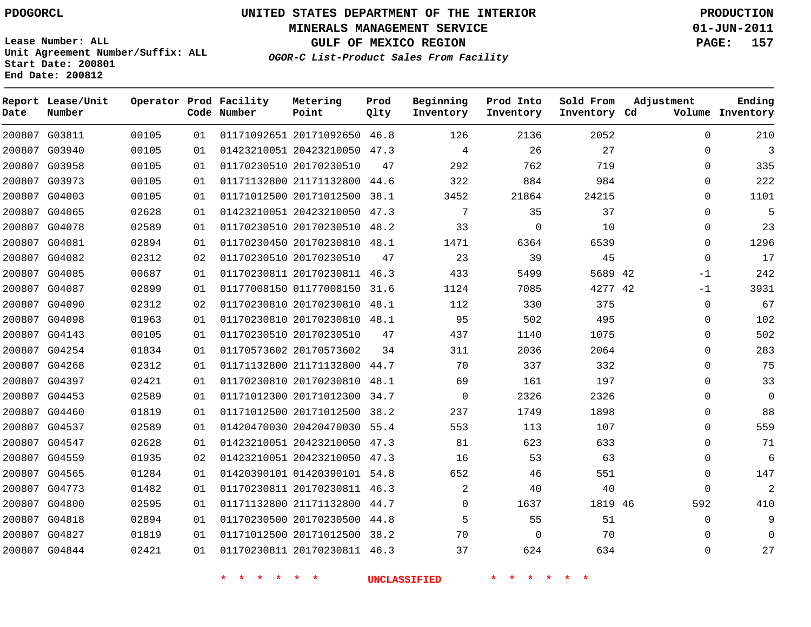**Start Date: 200801 End Date: 200812**

**Unit Agreement Number/Suffix: ALL**

# **UNITED STATES DEPARTMENT OF THE INTERIOR PDOGORCL PRODUCTION**

**MINERALS MANAGEMENT SERVICE 01-JUN-2011**

**GULF OF MEXICO REGION PAGE: 157**

**OGOR-C List-Product Sales From Facility**

| Date   | Report Lease/Unit<br>Number |       |    | Operator Prod Facility<br>Code Number | Metering<br>Point            | Prod<br>Qlty | Beginning<br>Inventory | Prod Into<br>Inventory | Sold From<br>Inventory Cd | Adjustment   | Ending<br>Volume Inventory |
|--------|-----------------------------|-------|----|---------------------------------------|------------------------------|--------------|------------------------|------------------------|---------------------------|--------------|----------------------------|
|        | 200807 G03811               | 00105 | 01 |                                       | 01171092651 20171092650 46.8 |              | 126                    | 2136                   | 2052                      | $\Omega$     | 210                        |
|        | 200807 G03940               | 00105 | 01 |                                       | 01423210051 20423210050 47.3 |              | 4                      | 26                     | 27                        | $\Omega$     | $\overline{3}$             |
| 200807 | G03958                      | 00105 | 01 |                                       | 01170230510 20170230510      | 47           | 292                    | 762                    | 719                       | $\Omega$     | 335                        |
|        | 200807 G03973               | 00105 | 01 |                                       | 01171132800 21171132800      | 44.6         | 322                    | 884                    | 984                       | $\Omega$     | 222                        |
| 200807 | G04003                      | 00105 | 01 |                                       | 01171012500 20171012500      | 38.1         | 3452                   | 21864                  | 24215                     | $\Omega$     | 1101                       |
| 200807 | G04065                      | 02628 | 01 |                                       | 01423210051 20423210050      | 47.3         | 7                      | 35                     | 37                        | $\mathbf 0$  | 5                          |
| 200807 | G04078                      | 02589 | 01 |                                       | 01170230510 20170230510      | 48.2         | 33                     | $\mathbf 0$            | 10                        | $\Omega$     | 23                         |
| 200807 | G04081                      | 02894 | 01 |                                       | 01170230450 20170230810      | 48.1         | 1471                   | 6364                   | 6539                      | $\Omega$     | 1296                       |
|        | 200807 G04082               | 02312 | 02 |                                       | 01170230510 20170230510      | 47           | 23                     | 39                     | 45                        | $\Omega$     | 17                         |
| 200807 | G04085                      | 00687 | 01 |                                       | 01170230811 20170230811 46.3 |              | 433                    | 5499                   | 5689 42                   | $-1$         | 242                        |
|        | 200807 G04087               | 02899 | 01 |                                       | 01177008150 01177008150 31.6 |              | 1124                   | 7085                   | 4277 42                   | $-1$         | 3931                       |
| 200807 | G04090                      | 02312 | 02 |                                       | 01170230810 20170230810      | 48.1         | 112                    | 330                    | 375                       | $\mathbf 0$  | 67                         |
| 200807 | G04098                      | 01963 | 01 |                                       | 01170230810 20170230810 48.1 |              | 95                     | 502                    | 495                       | $\Omega$     | 102                        |
| 200807 | G04143                      | 00105 | 01 |                                       | 01170230510 20170230510      | 47           | 437                    | 1140                   | 1075                      | $\Omega$     | 502                        |
| 200807 | G04254                      | 01834 | 01 |                                       | 01170573602 20170573602      | 34           | 311                    | 2036                   | 2064                      | $\Omega$     | 283                        |
|        | 200807 G04268               | 02312 | 01 |                                       | 01171132800 21171132800      | 44.7         | 70                     | 337                    | 332                       | $\Omega$     | 75                         |
| 200807 | G04397                      | 02421 | 01 |                                       | 01170230810 20170230810      | 48.1         | 69                     | 161                    | 197                       | $\Omega$     | 33                         |
|        | 200807 G04453               | 02589 | 01 |                                       | 01171012300 20171012300      | 34.7         | $\mathbf 0$            | 2326                   | 2326                      | $\Omega$     | $\overline{0}$             |
| 200807 | G04460                      | 01819 | 01 |                                       | 01171012500 20171012500      | 38.2         | 237                    | 1749                   | 1898                      | $\mathbf{0}$ | 88                         |
|        | 200807 G04537               | 02589 | 01 |                                       | 01420470030 20420470030 55.4 |              | 553                    | 113                    | 107                       | $\Omega$     | 559                        |
| 200807 | G04547                      | 02628 | 01 |                                       | 01423210051 20423210050      | 47.3         | 81                     | 623                    | 633                       | $\Omega$     | 71                         |
|        | 200807 G04559               | 01935 | 02 |                                       | 01423210051 20423210050 47.3 |              | 16                     | 53                     | 63                        | $\Omega$     | 6                          |
| 200807 | G04565                      | 01284 | 01 |                                       | 01420390101 01420390101      | 54.8         | 652                    | 46                     | 551                       | $\Omega$     | 147                        |
| 200807 | G04773                      | 01482 | 01 |                                       | 01170230811 20170230811      | 46.3         | 2                      | 40                     | 40                        | $\Omega$     | 2                          |
| 200807 | G04800                      | 02595 | 01 |                                       | 01171132800 21171132800      | 44.7         | $\mathbf 0$            | 1637                   | 1819 46                   | 592          | 410                        |
| 200807 | G04818                      | 02894 | 01 |                                       | 01170230500 20170230500      | 44.8         | 5                      | 55                     | 51                        | $\mathbf 0$  | 9                          |
| 200807 | G04827                      | 01819 | 01 |                                       | 01171012500 20171012500      | 38.2         | 70                     | $\mathbf 0$            | 70                        | $\Omega$     | $\overline{0}$             |
|        | 200807 G04844               | 02421 | 01 |                                       | 01170230811 20170230811      | 46.3         | 37                     | 624                    | 634                       | $\Omega$     | 27                         |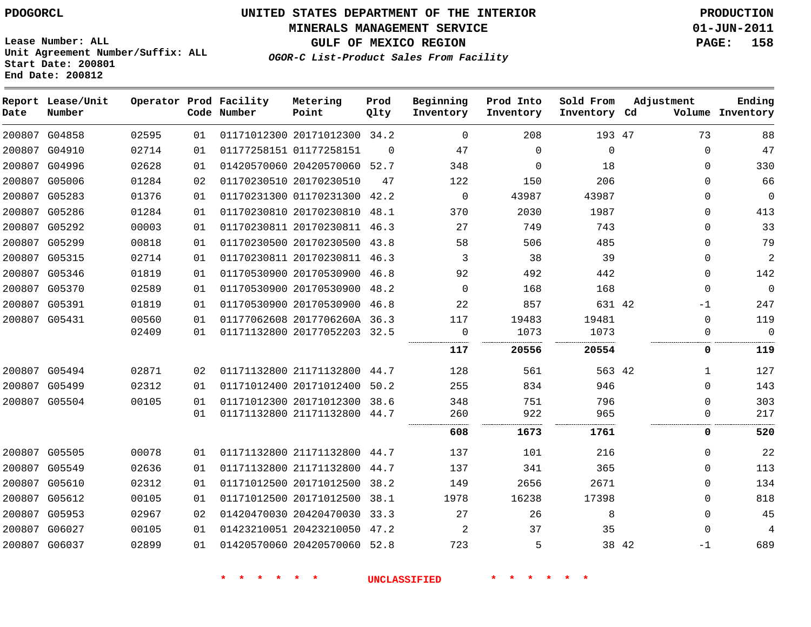**MINERALS MANAGEMENT SERVICE 01-JUN-2011**

**GULF OF MEXICO REGION PAGE: 158**

**Lease Number: ALL Unit Agreement Number/Suffix: ALL Start Date: 200801 End Date: 200812**

|  | OGOR-C List-Product Sales From Facility |  |  |
|--|-----------------------------------------|--|--|
|  |                                         |  |  |

| Date | Report Lease/Unit<br>Number |       |    | Operator Prod Facility<br>Code Number | Metering<br>Point            | Prod<br>Qlty | Beginning<br>Inventory | Prod Into<br>Inventory | Sold From<br>Inventory Cd | Adjustment   | Ending<br>Volume Inventory |
|------|-----------------------------|-------|----|---------------------------------------|------------------------------|--------------|------------------------|------------------------|---------------------------|--------------|----------------------------|
|      | 200807 G04858               | 02595 | 01 |                                       | 01171012300 20171012300 34.2 |              | $\mathbf 0$            | 208                    | 193 47                    | 73           | 88                         |
|      | 200807 G04910               | 02714 | 01 |                                       | 01177258151 01177258151      | $\Omega$     | 47                     | $\mathbf{0}$           | $\mathsf{O}\xspace$       | $\Omega$     | 47                         |
|      | 200807 G04996               | 02628 | 01 |                                       | 01420570060 20420570060 52.7 |              | 348                    | $\Omega$               | 18                        | $\Omega$     | 330                        |
|      | 200807 G05006               | 01284 | 02 |                                       | 01170230510 20170230510      | 47           | 122                    | 150                    | 206                       | $\Omega$     | 66                         |
|      | 200807 G05283               | 01376 | 01 |                                       | 01170231300 01170231300 42.2 |              | 0                      | 43987                  | 43987                     | $\Omega$     | $\overline{0}$             |
|      | 200807 G05286               | 01284 | 01 |                                       | 01170230810 20170230810 48.1 |              | 370                    | 2030                   | 1987                      | $\Omega$     | 413                        |
|      | 200807 G05292               | 00003 | 01 |                                       | 01170230811 20170230811 46.3 |              | 27                     | 749                    | 743                       | $\Omega$     | 33                         |
|      | 200807 G05299               | 00818 | 01 |                                       | 01170230500 20170230500 43.8 |              | 58                     | 506                    | 485                       | $\Omega$     | 79                         |
|      | 200807 G05315               | 02714 | 01 |                                       | 01170230811 20170230811 46.3 |              | 3                      | 38                     | 39                        | $\Omega$     | 2                          |
|      | 200807 G05346               | 01819 | 01 |                                       | 01170530900 20170530900 46.8 |              | 92                     | 492                    | 442                       | $\Omega$     | 142                        |
|      | 200807 G05370               | 02589 | 01 |                                       | 01170530900 20170530900 48.2 |              | $\mathbf 0$            | 168                    | 168                       | $\Omega$     | $\mathbf 0$                |
|      | 200807 G05391               | 01819 | 01 |                                       | 01170530900 20170530900 46.8 |              | 22                     | 857                    | 631 42                    | $-1$         | 247                        |
|      | 200807 G05431               | 00560 | 01 |                                       | 01177062608 2017706260A 36.3 |              | 117                    | 19483                  | 19481                     | $\mathbf{0}$ | 119                        |
|      |                             | 02409 | 01 |                                       | 01171132800 20177052203 32.5 |              | 0<br>.                 | 1073                   | 1073                      | $\Omega$     | $\Omega$                   |
|      |                             |       |    |                                       |                              |              | 117                    | 20556                  | 20554                     | 0            | 119                        |
|      | 200807 G05494               | 02871 | 02 |                                       | 01171132800 21171132800 44.7 |              | 128                    | 561                    | 563 42                    | $\mathbf{1}$ | 127                        |
|      | 200807 G05499               | 02312 | 01 |                                       | 01171012400 20171012400 50.2 |              | 255                    | 834                    | 946                       | $\Omega$     | 143                        |
|      | 200807 G05504               | 00105 | 01 |                                       | 01171012300 20171012300 38.6 |              | 348                    | 751                    | 796                       | $\Omega$     | 303                        |
|      |                             |       | 01 |                                       | 01171132800 21171132800 44.7 |              | 260<br>                | 922                    | 965                       | $\Omega$     | 217                        |
|      |                             |       |    |                                       |                              |              | 608                    | 1673                   | 1761                      | 0            | 520                        |
|      | 200807 G05505               | 00078 | 01 |                                       | 01171132800 21171132800 44.7 |              | 137                    | 101                    | 216                       | $\Omega$     | 22                         |
|      | 200807 G05549               | 02636 | 01 |                                       | 01171132800 21171132800 44.7 |              | 137                    | 341                    | 365                       | $\Omega$     | 113                        |
|      | 200807 G05610               | 02312 | 01 |                                       | 01171012500 20171012500 38.2 |              | 149                    | 2656                   | 2671                      | $\Omega$     | 134                        |
|      | 200807 G05612               | 00105 | 01 |                                       | 01171012500 20171012500 38.1 |              | 1978                   | 16238                  | 17398                     | $\Omega$     | 818                        |
|      | 200807 G05953               | 02967 | 02 |                                       | 01420470030 20420470030 33.3 |              | 27                     | 26                     | 8                         | $\Omega$     | 45                         |
|      | 200807 G06027               | 00105 | 01 |                                       | 01423210051 20423210050 47.2 |              | 2                      | 37                     | 35                        | $\Omega$     | 4                          |
|      | 200807 G06037               | 02899 | 01 |                                       | 01420570060 20420570060 52.8 |              | 723                    | 5                      | 38 42                     | $-1$         | 689                        |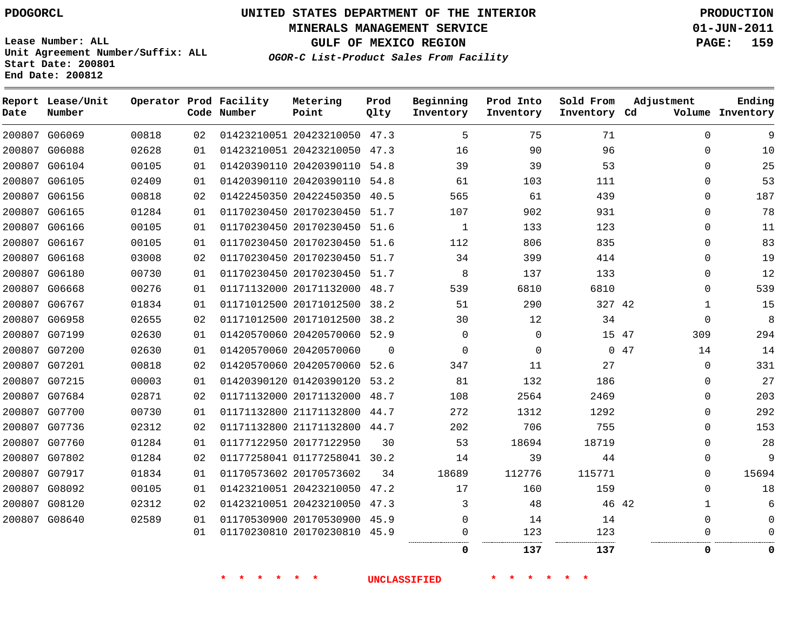# **UNITED STATES DEPARTMENT OF THE INTERIOR PDOGORCL PRODUCTION**

**MINERALS MANAGEMENT SERVICE 01-JUN-2011**

**GULF OF MEXICO REGION PAGE: 159**

**Unit Agreement Number/Suffix: ALL Start Date: 200801 End Date: 200812**

**OGOR-C List-Product Sales From Facility**

| Date | Report Lease/Unit<br>Number |       |    | Operator Prod Facility<br>Code Number | Metering<br>Point            | Prod<br>Qlty | Beginning<br>Inventory | Prod Into<br>Inventory | Sold From<br>Inventory Cd | Adjustment | Ending<br>Volume Inventory |
|------|-----------------------------|-------|----|---------------------------------------|------------------------------|--------------|------------------------|------------------------|---------------------------|------------|----------------------------|
|      | 200807 G06069               | 00818 | 02 |                                       | 01423210051 20423210050 47.3 |              | 5                      | 75                     | 71                        | $\Omega$   | 9                          |
|      | 200807 G06088               | 02628 | 01 |                                       | 01423210051 20423210050 47.3 |              | 16                     | 90                     | 96                        | 0          | 10                         |
|      | 200807 G06104               | 00105 | 01 |                                       | 01420390110 20420390110 54.8 |              | 39                     | 39                     | 53                        | $\Omega$   | 25                         |
|      | 200807 G06105               | 02409 | 01 |                                       | 01420390110 20420390110 54.8 |              | 61                     | 103                    | 111                       | 0          | 53                         |
|      | 200807 G06156               | 00818 | 02 |                                       | 01422450350 20422450350 40.5 |              | 565                    | 61                     | 439                       | $\Omega$   | 187                        |
|      | 200807 G06165               | 01284 | 01 |                                       | 01170230450 20170230450 51.7 |              | 107                    | 902                    | 931                       | 0          | 78                         |
|      | 200807 G06166               | 00105 | 01 |                                       | 01170230450 20170230450 51.6 |              | 1                      | 133                    | 123                       | $\Omega$   | 11                         |
|      | 200807 G06167               | 00105 | 01 |                                       | 01170230450 20170230450 51.6 |              | 112                    | 806                    | 835                       | 0          | 83                         |
|      | 200807 G06168               | 03008 | 02 |                                       | 01170230450 20170230450 51.7 |              | 34                     | 399                    | 414                       | $\Omega$   | 19                         |
|      | 200807 G06180               | 00730 | 01 |                                       | 01170230450 20170230450 51.7 |              | 8                      | 137                    | 133                       | 0          | 12                         |
|      | 200807 G06668               | 00276 | 01 |                                       | 01171132000 20171132000 48.7 |              | 539                    | 6810                   | 6810                      | $\Omega$   | 539                        |
|      | 200807 G06767               | 01834 | 01 |                                       | 01171012500 20171012500      | 38.2         | 51                     | 290                    | 327 42                    | 1          | 15                         |
|      | 200807 G06958               | 02655 | 02 |                                       | 01171012500 20171012500 38.2 |              | 30                     | 12                     | 34                        | $\Omega$   | 8                          |
|      | 200807 G07199               | 02630 | 01 |                                       | 01420570060 20420570060 52.9 |              | $\Omega$               | 0                      | 15 47                     | 309        | 294                        |
|      | 200807 G07200               | 02630 | 01 |                                       | 01420570060 20420570060      | $\Omega$     | $\Omega$               | 0                      |                           | 047<br>14  | 14                         |
|      | 200807 G07201               | 00818 | 02 |                                       | 01420570060 20420570060      | 52.6         | 347                    | 11                     | 27                        | 0          | 331                        |
|      | 200807 G07215               | 00003 | 01 |                                       | 01420390120 01420390120 53.2 |              | 81                     | 132                    | 186                       | $\Omega$   | 27                         |
|      | 200807 G07684               | 02871 | 02 |                                       | 01171132000 20171132000 48.7 |              | 108                    | 2564                   | 2469                      | $\Omega$   | 203                        |
|      | 200807 G07700               | 00730 | 01 |                                       | 01171132800 21171132800      | 44.7         | 272                    | 1312                   | 1292                      | $\Omega$   | 292                        |
|      | 200807 G07736               | 02312 | 02 |                                       | 01171132800 21171132800      | 44.7         | 202                    | 706                    | 755                       | $\Omega$   | 153                        |
|      | 200807 G07760               | 01284 | 01 |                                       | 01177122950 20177122950      | 30           | 53                     | 18694                  | 18719                     | $\Omega$   | 28                         |
|      | 200807 G07802               | 01284 | 02 |                                       | 01177258041 01177258041 30.2 |              | 14                     | 39                     | 44                        | $\Omega$   | 9                          |
|      | 200807 G07917               | 01834 | 01 |                                       | 01170573602 20170573602      | 34           | 18689                  | 112776                 | 115771                    | $\Omega$   | 15694                      |
|      | 200807 G08092               | 00105 | 01 |                                       | 01423210051 20423210050      | 47.2         | 17                     | 160                    | 159                       | $\Omega$   | 18                         |
|      | 200807 G08120               | 02312 | 02 |                                       | 01423210051 20423210050 47.3 |              | 3                      | 48                     | 46 42                     | 1          | 6                          |
|      | 200807 G08640               | 02589 | 01 |                                       | 01170530900 20170530900 45.9 |              | $\Omega$               | 14                     | 14                        | $\Omega$   |                            |
|      |                             |       | 01 |                                       | 01170230810 20170230810 45.9 |              | $\Omega$               | 123                    | 123                       | $\Omega$   |                            |
|      |                             |       |    |                                       |                              |              | $\Omega$               | 137                    | 137                       | 0          | 0                          |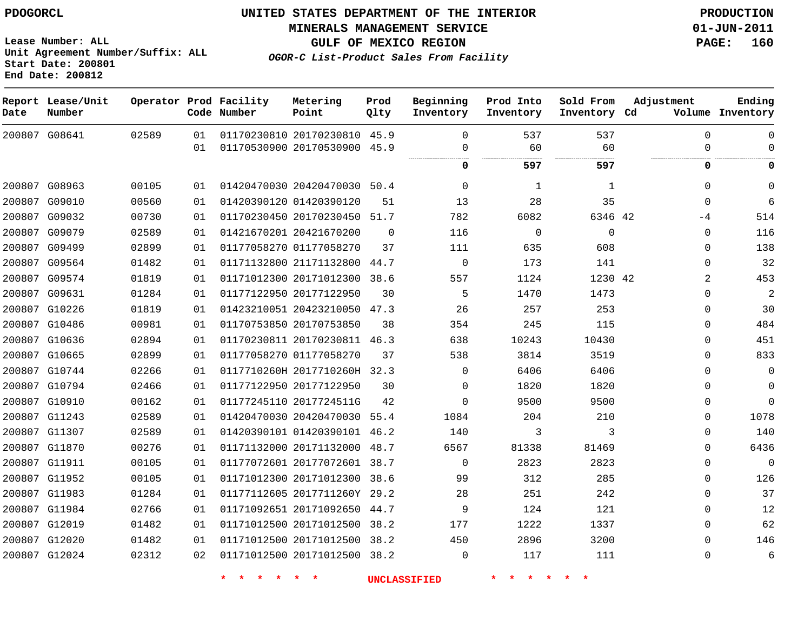**Start Date: 200801 End Date: 200812**

 G12020 G12024    

**Unit Agreement Number/Suffix: ALL**

# **UNITED STATES DEPARTMENT OF THE INTERIOR PDOGORCL PRODUCTION**

**MINERALS MANAGEMENT SERVICE 01-JUN-2011**

**GULF OF MEXICO REGION PAGE: 160**

**OGOR-C List-Product Sales From Facility**

 

 $\Omega$  $\Omega$ 

**Report Lease/Unit Operator Prod Facility Metering Prod Beginning Prod Into Sold From Adjustment Ending Code Number Point Inventory Cd Volume Date Number Qlty Inventory Inventory Inventory**  $\Omega$   $\Omega$  $\Omega$  G08641 20170230810 45.9 20170530900 45.9  $\Omega$  $\Omega$  $\Omega$ . . . . . . . . . . . . . . . . . . . . . . . . . . . . .  $\cdots$  **597 597 0 0** G08963 20420470030 50.4  $\Omega$   $\Omega$  $\Omega$  G09010 01420390120  $\Omega$  G09032 20170230450 51.7 42  $-4$  G09079 20421670200  $\Omega$   $\Omega$  $\Omega$  $\Omega$  G09499 01177058270  $\Omega$  G09564 21171132800 44.7  $\Omega$   $\Omega$  G09574 20171012300 38.6 42 G09631 20177122950  $\Omega$  G10226 20423210050 47.3  $\Omega$  G10486 20170753850  $\Omega$  G10636 20170230811 46.3  $\Omega$  G10665 01177058270  $\Omega$  G10744 0117710260H 2017710260H 32.3  $\Omega$   $\Omega$  $\Omega$  G10794 20177122950  $\Omega$   $\Omega$  $\Omega$  G10910 2017724511G  $\Omega$   $\Omega$  $\Omega$  G11243 20420470030 55.4  $\Omega$  G11307 01420390101 46.2  $\Omega$  G11870 20171132000 48.7  $\Omega$  G11911 20177072601 38.7  $\Omega$   $\Omega$  $\Omega$  G11952 20171012300 38.6  $\Omega$  G11983 2017711260Y 29.2  $\Omega$  G11984 20171092650 44.7  $\Omega$  G12019 20171012500 38.2  $\Omega$ 

 20171012500 38.2 20171012500 38.2

**\* \* \* \* \* \* UNCLASSIFIED \* \* \* \* \* \***

  $\Omega$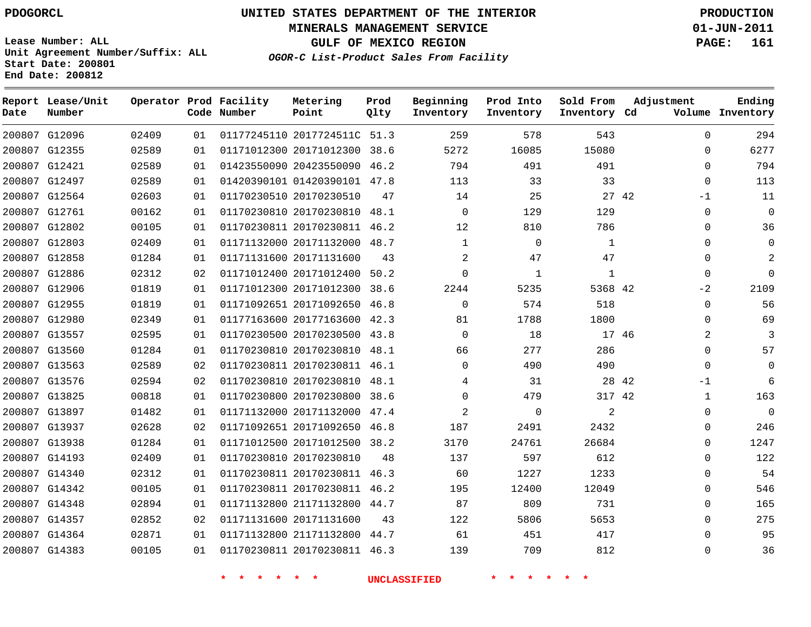**Start Date: 200801 End Date: 200812**

**Unit Agreement Number/Suffix: ALL**

# **UNITED STATES DEPARTMENT OF THE INTERIOR PDOGORCL PRODUCTION**

**MINERALS MANAGEMENT SERVICE 01-JUN-2011**

**GULF OF MEXICO REGION PAGE: 161**

**OGOR-C List-Product Sales From Facility**

| Date   | Report Lease/Unit<br>Number |       |    | Operator Prod Facility<br>Code Number | Metering<br>Point            | Prod<br>Qlty | Beginning<br>Inventory | Prod Into<br>Inventory | Sold From<br>Inventory Cd | Adjustment    | Ending<br>Volume Inventory |
|--------|-----------------------------|-------|----|---------------------------------------|------------------------------|--------------|------------------------|------------------------|---------------------------|---------------|----------------------------|
|        | 200807 G12096               | 02409 | 01 |                                       | 01177245110 2017724511C 51.3 |              | 259                    | 578                    | 543                       | $\mathbf 0$   | 294                        |
|        | 200807 G12355               | 02589 | 01 |                                       | 01171012300 20171012300      | 38.6         | 5272                   | 16085                  | 15080                     | $\Omega$      | 6277                       |
| 200807 | G12421                      | 02589 | 01 |                                       | 01423550090 20423550090      | 46.2         | 794                    | 491                    | 491                       | $\mathbf 0$   | 794                        |
|        | 200807 G12497               | 02589 | 01 |                                       | 01420390101 01420390101 47.8 |              | 113                    | 33                     | 33                        | $\Omega$      | 113                        |
| 200807 | G12564                      | 02603 | 01 |                                       | 01170230510 20170230510      | 47           | 14                     | 25                     |                           | 27 42<br>$-1$ | 11                         |
|        | 200807 G12761               | 00162 | 01 |                                       | 01170230810 20170230810      | 48.1         | $\mathbf 0$            | 129                    | 129                       | $\mathbf 0$   | $\mathbf 0$                |
| 200807 | G12802                      | 00105 | 01 |                                       | 01170230811 20170230811      | 46.2         | 12                     | 810                    | 786                       | $\mathbf 0$   | 36                         |
| 200807 | G12803                      | 02409 | 01 |                                       | 01171132000 20171132000      | 48.7         | $\mathbf{1}$           | $\Omega$               | $\mathbf{1}$              | $\Omega$      | $\mathbf 0$                |
| 200807 | G12858                      | 01284 | 01 |                                       | 01171131600 20171131600      | 43           | 2                      | 47                     | 47                        | $\Omega$      | 2                          |
| 200807 | G12886                      | 02312 | 02 |                                       | 01171012400 20171012400      | 50.2         | $\mathbf 0$            | $\mathbf{1}$           | $\mathbf{1}$              | $\Omega$      | $\Omega$                   |
|        | 200807 G12906               | 01819 | 01 |                                       | 01171012300 20171012300      | 38.6         | 2244                   | 5235                   | 5368 42                   | $-2$          | 2109                       |
| 200807 | G12955                      | 01819 | 01 |                                       | 01171092651 20171092650      | 46.8         | $\mathbf 0$            | 574                    | 518                       | $\mathbf 0$   | 56                         |
|        | 200807 G12980               | 02349 | 01 |                                       | 01177163600 20177163600      | 42.3         | 81                     | 1788                   | 1800                      | $\Omega$      | 69                         |
| 200807 | G13557                      | 02595 | 01 |                                       | 01170230500 20170230500      | 43.8         | $\mathbf 0$            | 18                     | 17 46                     | 2             | $\overline{3}$             |
|        | 200807 G13560               | 01284 | 01 |                                       | 01170230810 20170230810      | 48.1         | 66                     | 277                    | 286                       | $\Omega$      | 57                         |
| 200807 | G13563                      | 02589 | 02 |                                       | 01170230811 20170230811      | 46.1         | $\mathbf 0$            | 490                    | 490                       | $\Omega$      | $\mathbf 0$                |
| 200807 | G13576                      | 02594 | 02 |                                       | 01170230810 20170230810      | 48.1         | 4                      | 31                     | 28 42                     | $-1$          | 6                          |
|        | 200807 G13825               | 00818 | 01 |                                       | 01170230800 20170230800      | 38.6         | $\mathbf 0$            | 479                    | 317 42                    | 1             | 163                        |
| 200807 | G13897                      | 01482 | 01 |                                       | 01171132000 20171132000      | 47.4         | $\sqrt{2}$             | $\mathbf 0$            | $\overline{a}$            | $\mathbf 0$   | $\mathbf 0$                |
|        | 200807 G13937               | 02628 | 02 |                                       | 01171092651 20171092650      | 46.8         | 187                    | 2491                   | 2432                      | $\Omega$      | 246                        |
| 200807 | G13938                      | 01284 | 01 |                                       | 01171012500 20171012500      | 38.2         | 3170                   | 24761                  | 26684                     | $\mathbf 0$   | 1247                       |
|        | 200807 G14193               | 02409 | 01 |                                       | 01170230810 20170230810      | 48           | 137                    | 597                    | 612                       | $\Omega$      | 122                        |
| 200807 | G14340                      | 02312 | 01 |                                       | 01170230811 20170230811      | 46.3         | 60                     | 1227                   | 1233                      | $\mathbf 0$   | 54                         |
|        | 200807 G14342               | 00105 | 01 |                                       | 01170230811 20170230811      | 46.2         | 195                    | 12400                  | 12049                     | $\Omega$      | 546                        |
| 200807 | G14348                      | 02894 | 01 |                                       | 01171132800 21171132800      | 44.7         | 87                     | 809                    | 731                       | $\mathbf 0$   | 165                        |
| 200807 | G14357                      | 02852 | 02 |                                       | 01171131600 20171131600      | 43           | 122                    | 5806                   | 5653                      | $\Omega$      | 275                        |
|        | 200807 G14364               | 02871 | 01 |                                       | 01171132800 21171132800      | 44.7         | 61                     | 451                    | 417                       | $\Omega$      | 95                         |
|        | 200807 G14383               | 00105 | 01 |                                       | 01170230811 20170230811      | 46.3         | 139                    | 709                    | 812                       | $\Omega$      | 36                         |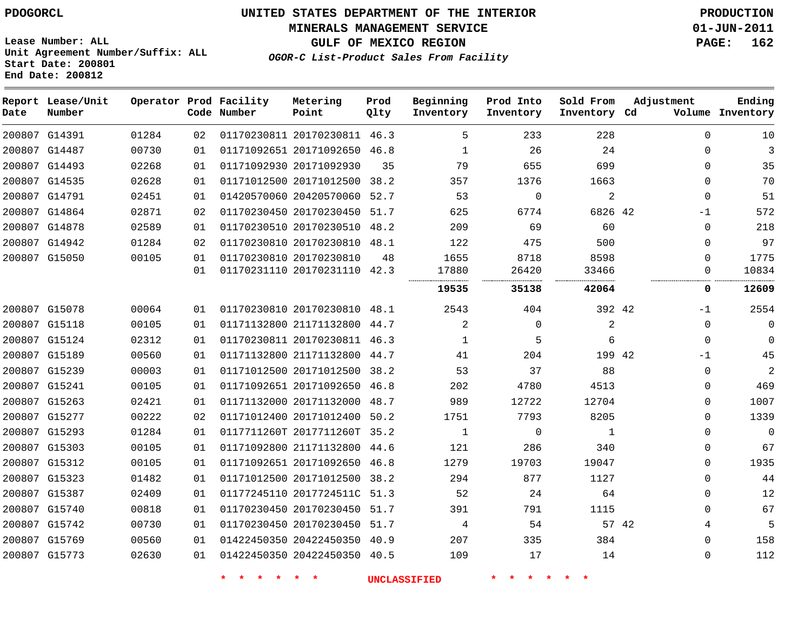#### **MINERALS MANAGEMENT SERVICE 01-JUN-2011**

**GULF OF MEXICO REGION PAGE: 162**

**Lease Number: ALL Unit Agreement Number/Suffix: ALL Start Date: 200801 End Date: 200812**

**OGOR-C List-Product Sales From Facility**

| Date | Report Lease/Unit<br>Number |       |    | Operator Prod Facility<br>Code Number | Metering<br>Point            | Prod<br>Qlty | Beginning<br>Inventory | Prod Into<br>Inventory | Sold From<br>Inventory Cd | Adjustment  | Ending<br>Volume Inventory |
|------|-----------------------------|-------|----|---------------------------------------|------------------------------|--------------|------------------------|------------------------|---------------------------|-------------|----------------------------|
|      | 200807 G14391               | 01284 | 02 |                                       | 01170230811 20170230811 46.3 |              | 5                      | 233                    | 228                       | $\Omega$    | 10                         |
|      | 200807 G14487               | 00730 | 01 |                                       | 01171092651 20171092650 46.8 |              | $\mathbf{1}$           | 26                     | 24                        | $\Omega$    | 3                          |
|      | 200807 G14493               | 02268 | 01 |                                       | 01171092930 20171092930      | 35           | 79                     | 655                    | 699                       | $\Omega$    | 35                         |
|      | 200807 G14535               | 02628 | 01 |                                       | 01171012500 20171012500      | 38.2         | 357                    | 1376                   | 1663                      | $\Omega$    | 70                         |
|      | 200807 G14791               | 02451 | 01 |                                       | 01420570060 20420570060      | 52.7         | 53                     | 0                      | $\overline{a}$            | $\Omega$    | 51                         |
|      | 200807 G14864               | 02871 | 02 |                                       | 01170230450 20170230450 51.7 |              | 625                    | 6774                   | 6826 42                   | $-1$        | 572                        |
|      | 200807 G14878               | 02589 | 01 |                                       | 01170230510 20170230510 48.2 |              | 209                    | 69                     | 60                        | $\Omega$    | 218                        |
|      | 200807 G14942               | 01284 | 02 |                                       | 01170230810 20170230810 48.1 |              | 122                    | 475                    | 500                       | $\Omega$    | 97                         |
|      | 200807 G15050               | 00105 | 01 |                                       | 01170230810 20170230810      | 48           | 1655                   | 8718                   | 8598                      | $\Omega$    | 1775                       |
|      |                             |       | 01 |                                       | 01170231110 20170231110 42.3 |              | 17880                  | 26420                  | 33466                     | $\mathbf 0$ | 10834                      |
|      |                             |       |    |                                       |                              |              | 19535                  | 35138                  | 42064                     | 0           | 12609                      |
|      | 200807 G15078               | 00064 | 01 |                                       | 01170230810 20170230810 48.1 |              | 2543                   | 404                    | 392 42                    | -1          | 2554                       |
|      | 200807 G15118               | 00105 | 01 |                                       | 01171132800 21171132800      | 44.7         | 2                      | $\mathbf 0$            | 2                         | $\Omega$    | $\Omega$                   |
|      | 200807 G15124               | 02312 | 01 |                                       | 01170230811 20170230811 46.3 |              | 1                      | 5                      | 6                         | $\Omega$    | 0                          |
|      | 200807 G15189               | 00560 | 01 |                                       | 01171132800 21171132800 44.7 |              | 41                     | 204                    | 199 42                    | $-1$        | 45                         |
|      | 200807 G15239               | 00003 | 01 |                                       | 01171012500 20171012500      | 38.2         | 53                     | 37                     | 88                        | $\Omega$    | 2                          |
|      | 200807 G15241               | 00105 | 01 |                                       | 01171092651 20171092650 46.8 |              | 202                    | 4780                   | 4513                      | $\Omega$    | 469                        |
|      | 200807 G15263               | 02421 | 01 |                                       | 01171132000 20171132000      | 48.7         | 989                    | 12722                  | 12704                     | $\Omega$    | 1007                       |
|      | 200807 G15277               | 00222 | 02 |                                       | 01171012400 20171012400      | 50.2         | 1751                   | 7793                   | 8205                      | $\Omega$    | 1339                       |
|      | 200807 G15293               | 01284 | 01 |                                       | 0117711260T 2017711260T      | 35.2         | $\mathbf{1}$           | 0                      | $\mathbf{1}$              | $\Omega$    | $\mathbf 0$                |
|      | 200807 G15303               | 00105 | 01 |                                       | 01171092800 21171132800 44.6 |              | 121                    | 286                    | 340                       | $\Omega$    | 67                         |
|      | 200807 G15312               | 00105 | 01 |                                       | 01171092651 20171092650 46.8 |              | 1279                   | 19703                  | 19047                     | $\Omega$    | 1935                       |
|      | 200807 G15323               | 01482 | 01 |                                       | 01171012500 20171012500 38.2 |              | 294                    | 877                    | 1127                      | $\Omega$    | 44                         |
|      | 200807 G15387               | 02409 | 01 |                                       | 01177245110 2017724511C 51.3 |              | 52                     | 24                     | 64                        | $\Omega$    | 12                         |
|      | 200807 G15740               | 00818 | 01 |                                       | 01170230450 20170230450 51.7 |              | 391                    | 791                    | 1115                      | $\Omega$    | 67                         |
|      | 200807 G15742               | 00730 | 01 |                                       | 01170230450 20170230450      | 51.7         | 4                      | 54                     | 57 42                     | 4           | 5                          |
|      | 200807 G15769               | 00560 | 01 |                                       | 01422450350 20422450350 40.9 |              | 207                    | 335                    | 384                       | $\Omega$    | 158                        |
|      | 200807 G15773               | 02630 | 01 |                                       | 01422450350 20422450350 40.5 |              | 109                    | 17                     | 14                        | $\Omega$    | 112                        |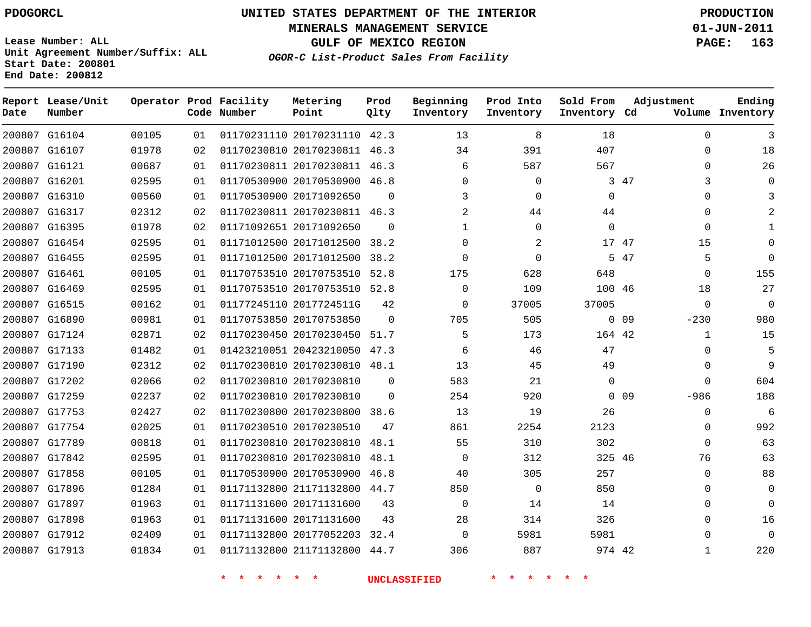**Start Date: 200801 End Date: 200812**

**Unit Agreement Number/Suffix: ALL**

# **UNITED STATES DEPARTMENT OF THE INTERIOR PDOGORCL PRODUCTION**

**MINERALS MANAGEMENT SERVICE 01-JUN-2011**

**GULF OF MEXICO REGION PAGE: 163**

**OGOR-C List-Product Sales From Facility**

| Date   | Report Lease/Unit<br>Number |       |    | Operator Prod Facility<br>Code Number | Metering<br>Point            | Prod<br>Qlty | Beginning<br>Inventory | Prod Into<br>Inventory | Sold From<br>Inventory Cd | Adjustment                | Ending<br>Volume Inventory |
|--------|-----------------------------|-------|----|---------------------------------------|------------------------------|--------------|------------------------|------------------------|---------------------------|---------------------------|----------------------------|
|        | 200807 G16104               | 00105 | 01 |                                       | 01170231110 20170231110 42.3 |              | 13                     | 8                      | 18                        | $\Omega$                  | 3                          |
| 200807 | G16107                      | 01978 | 02 |                                       | 01170230810 20170230811      | 46.3         | 34                     | 391                    | 407                       | 0                         | 18                         |
|        | 200807 G16121               | 00687 | 01 |                                       | 01170230811 20170230811 46.3 |              | 6                      | 587                    | 567                       | $\Omega$                  | 26                         |
|        | 200807 G16201               | 02595 | 01 |                                       | 01170530900 20170530900      | 46.8         | $\Omega$               | 0                      |                           | 3<br>3 47                 | $\Omega$                   |
|        | 200807 G16310               | 00560 | 01 |                                       | 01170530900 20171092650      | $\Omega$     | 3                      | $\Omega$               | $\mathbf 0$               | $\Omega$                  | 3                          |
| 200807 | G16317                      | 02312 | 02 |                                       | 01170230811 20170230811 46.3 |              | 2                      | 44                     | 44                        | 0                         | $\overline{a}$             |
|        | 200807 G16395               | 01978 | 02 |                                       | 01171092651 20171092650      | $\Omega$     | 1                      | $\Omega$               | $\mathbf 0$               | $\Omega$                  | $\mathbf{1}$               |
| 200807 | G16454                      | 02595 | 01 |                                       | 01171012500 20171012500      | 38.2         | $\Omega$               | 2                      | 17 47                     | 15                        | $\Omega$                   |
|        | 200807 G16455               | 02595 | 01 |                                       | 01171012500 20171012500      | 38.2         | $\Omega$               | $\Omega$               |                           | 5<br>5 47                 | $\Omega$                   |
| 200807 | G16461                      | 00105 | 01 |                                       | 01170753510 20170753510      | 52.8         | 175                    | 628                    | 648                       | $\Omega$                  | 155                        |
|        | 200807 G16469               | 02595 | 01 |                                       | 01170753510 20170753510      | 52.8         | $\mathbf 0$            | 109                    | 100 46                    | 18                        | 27                         |
| 200807 | G16515                      | 00162 | 01 |                                       | 01177245110 2017724511G      | 42           | $\mathbf 0$            | 37005                  | 37005                     | $\Omega$                  | $\overline{0}$             |
|        | 200807 G16890               | 00981 | 01 |                                       | 01170753850 20170753850      | $\Omega$     | 705                    | 505                    |                           | $0$ 09<br>$-230$          | 980                        |
|        | 200807 G17124               | 02871 | 02 |                                       | 01170230450 20170230450      | 51.7         | 5                      | 173                    | 164 42                    | $\mathbf{1}$              | 15                         |
| 200807 | G17133                      | 01482 | 01 |                                       | 01423210051 20423210050      | 47.3         | 6                      | 46                     | 47                        | $\Omega$                  | 5                          |
|        | 200807 G17190               | 02312 | 02 |                                       | 01170230810 20170230810      | 48.1         | 13                     | 45                     | 49                        | $\Omega$                  | 9                          |
|        | 200807 G17202               | 02066 | 02 |                                       | 01170230810 20170230810      | $\Omega$     | 583                    | 21                     | $\mathbf 0$               | $\Omega$                  | 604                        |
|        | 200807 G17259               | 02237 | 02 |                                       | 01170230810 20170230810      | $\Omega$     | 254                    | 920                    |                           | 0 <sub>09</sub><br>$-986$ | 188                        |
| 200807 | G17753                      | 02427 | 02 |                                       | 01170230800 20170230800      | 38.6         | 13                     | 19                     | 26                        | 0                         | 6                          |
|        | 200807 G17754               | 02025 | 01 |                                       | 01170230510 20170230510      | 47           | 861                    | 2254                   | 2123                      | $\mathbf 0$               | 992                        |
| 200807 | G17789                      | 00818 | 01 |                                       | 01170230810 20170230810      | 48.1         | 55                     | 310                    | 302                       | $\Omega$                  | 63                         |
|        | 200807 G17842               | 02595 | 01 |                                       | 01170230810 20170230810      | 48.1         | $\mathbf 0$            | 312                    | 325 46                    | 76                        | 63                         |
| 200807 | G17858                      | 00105 | 01 |                                       | 01170530900 20170530900      | 46.8         | 40                     | 305                    | 257                       | $\mathbf 0$               | 88                         |
| 200807 | G17896                      | 01284 | 01 |                                       | 01171132800 21171132800      | 44.7         | 850                    | $\mathbf 0$            | 850                       | $\mathbf 0$               | $\mathbf 0$                |
| 200807 | G17897                      | 01963 | 01 |                                       | 01171131600 20171131600      | 43           | $\mathbf 0$            | 14                     | 14                        | $\Omega$                  | $\Omega$                   |
| 200807 | G17898                      | 01963 | 01 |                                       | 01171131600 20171131600      | 43           | 28                     | 314                    | 326                       | $\Omega$                  | 16                         |
|        | 200807 G17912               | 02409 | 01 |                                       | 01171132800 20177052203      | 32.4         | $\mathbf 0$            | 5981                   | 5981                      | $\Omega$                  | $\Omega$                   |
|        | 200807 G17913               | 01834 | 01 |                                       | 01171132800 21171132800      | 44.7         | 306                    | 887                    | 974 42                    | $\mathbf{1}$              | 220                        |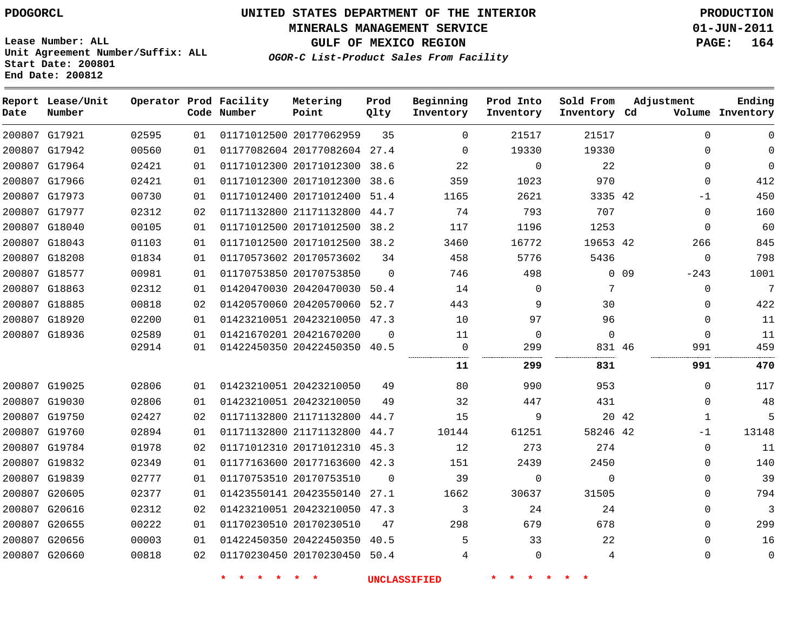**MINERALS MANAGEMENT SERVICE 01-JUN-2011**

**GULF OF MEXICO REGION PAGE: 164**

**Lease Number: ALL Unit Agreement Number/Suffix: ALL Start Date: 200801 End Date: 200812**

| Date | Report Lease/Unit<br>Number |       |    | Operator Prod Facility<br>Code Number | Metering<br>Point            | Prod<br>Qlty | Beginning<br>Inventory | Prod Into<br>Inventory | Sold From<br>Inventory Cd | Adjustment            | Ending<br>Volume Inventory |
|------|-----------------------------|-------|----|---------------------------------------|------------------------------|--------------|------------------------|------------------------|---------------------------|-----------------------|----------------------------|
|      | 200807 G17921               | 02595 | 01 |                                       | 01171012500 20177062959      | 35           | $\Omega$               | 21517                  | 21517                     | $\Omega$              | $\mathbf 0$                |
|      | 200807 G17942               | 00560 | 01 |                                       | 01177082604 20177082604 27.4 |              | $\mathbf 0$            | 19330                  | 19330                     | $\mathbf{0}$          | $\mathbf 0$                |
|      | 200807 G17964               | 02421 | 01 |                                       | 01171012300 20171012300 38.6 |              | 22                     | $\Omega$               | 22                        | $\Omega$              | $\Omega$                   |
|      | 200807 G17966               | 02421 | 01 |                                       | 01171012300 20171012300      | 38.6         | 359                    | 1023                   | 970                       | $\mathbf{0}$          | 412                        |
|      | 200807 G17973               | 00730 | 01 |                                       | 01171012400 20171012400      | 51.4         | 1165                   | 2621                   | 3335 42                   | $-1$                  | 450                        |
|      | 200807 G17977               | 02312 | 02 |                                       | 01171132800 21171132800      | 44.7         | 74                     | 793                    | 707                       | $\mathbf{0}$          | 160                        |
|      | 200807 G18040               | 00105 | 01 |                                       | 01171012500 20171012500      | 38.2         | 117                    | 1196                   | 1253                      | $\mathbf{0}$          | 60                         |
|      | 200807 G18043               | 01103 | 01 |                                       | 01171012500 20171012500 38.2 |              | 3460                   | 16772                  | 19653 42                  | 266                   | 845                        |
|      | 200807 G18208               | 01834 | 01 |                                       | 01170573602 20170573602      | 34           | 458                    | 5776                   | 5436                      | $\mathbf{0}$          | 798                        |
|      | 200807 G18577               | 00981 | 01 |                                       | 01170753850 20170753850      | $\Omega$     | 746                    | 498                    |                           | $0$ 09<br>$-243$      | 1001                       |
|      | 200807 G18863               | 02312 | 01 |                                       | 01420470030 20420470030      | 50.4         | 14                     | $\mathbf 0$            | 7                         | $\mathbf 0$           | 7                          |
|      | 200807 G18885               | 00818 | 02 |                                       | 01420570060 20420570060      | 52.7         | 443                    | 9                      | 30                        | 0                     | 422                        |
|      | 200807 G18920               | 02200 | 01 |                                       | 01423210051 20423210050 47.3 |              | 10                     | 97                     | 96                        | $\mathbf{0}$          | 11                         |
|      | 200807 G18936               | 02589 | 01 |                                       | 01421670201 20421670200      | $\Omega$     | 11                     | 0                      | $\mathbf 0$               | $\Omega$              | 11                         |
|      |                             | 02914 | 01 |                                       | 01422450350 20422450350 40.5 |              | $\mathbf 0$            | 299                    | 831 46                    | 991                   | 459                        |
|      |                             |       |    |                                       |                              |              | 11                     | 299                    | 831                       | 991                   | 470                        |
|      | 200807 G19025               | 02806 | 01 |                                       | 01423210051 20423210050      | 49           | 80                     | 990                    | 953                       | $\mathbf{0}$          | 117                        |
|      | 200807 G19030               | 02806 | 01 |                                       | 01423210051 20423210050      | 49           | 32                     | 447                    | 431                       | $\Omega$              | 48                         |
|      | 200807 G19750               | 02427 | 02 |                                       | 01171132800 21171132800      | 44.7         | 15                     | 9                      |                           | 20 42<br>$\mathbf{1}$ | 5                          |
|      | 200807 G19760               | 02894 | 01 |                                       | 01171132800 21171132800      | 44.7         | 10144                  | 61251                  | 58246 42                  | $-1$                  | 13148                      |
|      | 200807 G19784               | 01978 | 02 |                                       | 01171012310 20171012310      | 45.3         | 12                     | 273                    | 274                       | $\mathbf 0$           | 11                         |
|      | 200807 G19832               | 02349 | 01 |                                       | 01177163600 20177163600      | 42.3         | 151                    | 2439                   | 2450                      | 0                     | 140                        |
|      | 200807 G19839               | 02777 | 01 |                                       | 01170753510 20170753510      | $\Omega$     | 39                     | $\mathbf 0$            | $\Omega$                  | $\mathbf{0}$          | 39                         |
|      | 200807 G20605               | 02377 | 01 |                                       | 01423550141 20423550140      | 27.1         | 1662                   | 30637                  | 31505                     | $\mathbf{0}$          | 794                        |
|      | 200807 G20616               | 02312 | 02 |                                       | 01423210051 20423210050 47.3 |              | 3                      | 24                     | 24                        | $\Omega$              | 3                          |
|      | 200807 G20655               | 00222 | 01 |                                       | 01170230510 20170230510      | 47           | 298                    | 679                    | 678                       | $\mathbf{0}$          | 299                        |
|      | 200807 G20656               | 00003 | 01 |                                       | 01422450350 20422450350      | 40.5         | 5                      | 33                     | 22                        | $\Omega$              | 16                         |
|      | 200807 G20660               | 00818 | 02 |                                       | 01170230450 20170230450 50.4 |              | 4                      | $\mathbf 0$            | 4                         | 0                     | $\mathbf 0$                |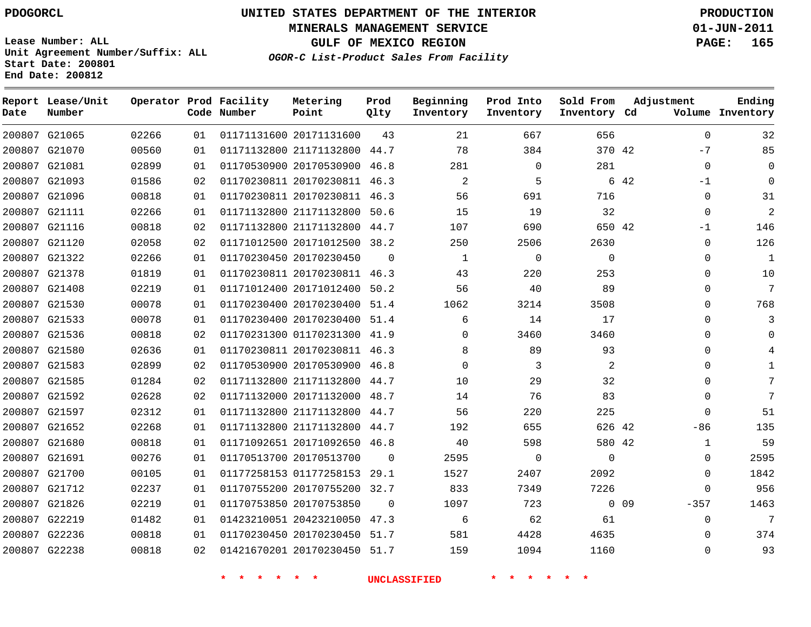**Start Date: 200801 End Date: 200812**

**Unit Agreement Number/Suffix: ALL**

# **UNITED STATES DEPARTMENT OF THE INTERIOR PDOGORCL PRODUCTION**

**MINERALS MANAGEMENT SERVICE 01-JUN-2011**

**GULF OF MEXICO REGION PAGE: 165**

**OGOR-C List-Product Sales From Facility**

| Date   | Report Lease/Unit<br>Number |       |    | Operator Prod Facility<br>Code Number | Metering<br>Point            | Prod<br>Qlty | Beginning<br>Inventory | Prod Into<br>Inventory | Sold From<br>Inventory Cd | Adjustment                | Ending<br>Volume Inventory |
|--------|-----------------------------|-------|----|---------------------------------------|------------------------------|--------------|------------------------|------------------------|---------------------------|---------------------------|----------------------------|
|        | 200807 G21065               | 02266 | 01 |                                       | 01171131600 20171131600      | 43           | 21                     | 667                    | 656                       | $\Omega$                  | 32                         |
| 200807 | G21070                      | 00560 | 01 |                                       | 01171132800 21171132800      | 44.7         | 78                     | 384                    | 370 42                    | $-7$                      | 85                         |
|        | 200807 G21081               | 02899 | 01 |                                       | 01170530900 20170530900      | 46.8         | 281                    | $\Omega$               | 281                       | $\Omega$                  | $\Omega$                   |
| 200807 | G21093                      | 01586 | 02 |                                       | 01170230811 20170230811      | 46.3         | $\overline{2}$         | 5                      |                           | 6 42<br>$-1$              | $\Omega$                   |
| 200807 | G21096                      | 00818 | 01 |                                       | 01170230811 20170230811      | 46.3         | 56                     | 691                    | 716                       | $\Omega$                  | 31                         |
| 200807 | G21111                      | 02266 | 01 |                                       | 01171132800 21171132800      | 50.6         | 15                     | 19                     | 32                        | $\Omega$                  | 2                          |
| 200807 | G21116                      | 00818 | 02 |                                       | 01171132800 21171132800      | 44.7         | 107                    | 690                    | 650 42                    | $-1$                      | 146                        |
| 200807 | G21120                      | 02058 | 02 |                                       | 01171012500 20171012500      | 38.2         | 250                    | 2506                   | 2630                      | $\Omega$                  | 126                        |
| 200807 | G21322                      | 02266 | 01 |                                       | 01170230450 20170230450      | $\Omega$     | 1                      | $\Omega$               | $\Omega$                  | $\Omega$                  | $\mathbf{1}$               |
|        | 200807 G21378               | 01819 | 01 |                                       | 01170230811 20170230811 46.3 |              | 43                     | 220                    | 253                       | $\Omega$                  | 10                         |
| 200807 | G21408                      | 02219 | 01 |                                       | 01171012400 20171012400      | 50.2         | 56                     | 40                     | 89                        | $\Omega$                  | 7                          |
|        | 200807 G21530               | 00078 | 01 |                                       | 01170230400 20170230400      | 51.4         | 1062                   | 3214                   | 3508                      | $\Omega$                  | 768                        |
| 200807 | G21533                      | 00078 | 01 |                                       | 01170230400 20170230400      | 51.4         | 6                      | 14                     | 17                        | $\mathbf 0$               | 3                          |
|        | 200807 G21536               | 00818 | 02 |                                       | 01170231300 01170231300      | 41.9         | 0                      | 3460                   | 3460                      | $\Omega$                  | $\Omega$                   |
| 200807 | G21580                      | 02636 | 01 |                                       | 01170230811 20170230811      | 46.3         | 8                      | 89                     | 93                        | $\mathbf 0$               | 4                          |
|        | 200807 G21583               | 02899 | 02 |                                       | 01170530900 20170530900      | 46.8         | $\Omega$               | 3                      | 2                         | $\Omega$                  | $\mathbf{1}$               |
| 200807 | G21585                      | 01284 | 02 |                                       | 01171132800 21171132800      | 44.7         | 10                     | 29                     | 32                        | $\Omega$                  | 7                          |
|        | 200807 G21592               | 02628 | 02 |                                       | 01171132000 20171132000 48.7 |              | 14                     | 76                     | 83                        | $\Omega$                  | 7                          |
| 200807 | G21597                      | 02312 | 01 |                                       | 01171132800 21171132800      | 44.7         | 56                     | 220                    | 225                       | $\Omega$                  | 51                         |
|        | 200807 G21652               | 02268 | 01 |                                       | 01171132800 21171132800      | 44.7         | 192                    | 655                    | 626 42                    | $-86$                     | 135                        |
| 200807 | G21680                      | 00818 | 01 |                                       | 01171092651 20171092650      | 46.8         | 40                     | 598                    | 580 42                    | 1                         | 59                         |
| 200807 | G21691                      | 00276 | 01 |                                       | 01170513700 20170513700      | $\Omega$     | 2595                   | $\Omega$               | $\Omega$                  | $\Omega$                  | 2595                       |
| 200807 | G21700                      | 00105 | 01 |                                       | 01177258153 01177258153      | 29.1         | 1527                   | 2407                   | 2092                      | $\Omega$                  | 1842                       |
| 200807 | G21712                      | 02237 | 01 |                                       | 01170755200 20170755200      | 32.7         | 833                    | 7349                   | 7226                      | $\Omega$                  | 956                        |
| 200807 | G21826                      | 02219 | 01 |                                       | 01170753850 20170753850      | $\Omega$     | 1097                   | 723                    |                           | 0 <sub>09</sub><br>$-357$ | 1463                       |
| 200807 | G22219                      | 01482 | 01 |                                       | 01423210051 20423210050      | 47.3         | 6                      | 62                     | 61                        | $\Omega$                  | 7                          |
| 200807 | G22236                      | 00818 | 01 |                                       | 01170230450 20170230450      | 51.7         | 581                    | 4428                   | 4635                      | $\Omega$                  | 374                        |
|        | 200807 G22238               | 00818 | 02 |                                       | 01421670201 20170230450      | 51.7         | 159                    | 1094                   | 1160                      | $\Omega$                  | 93                         |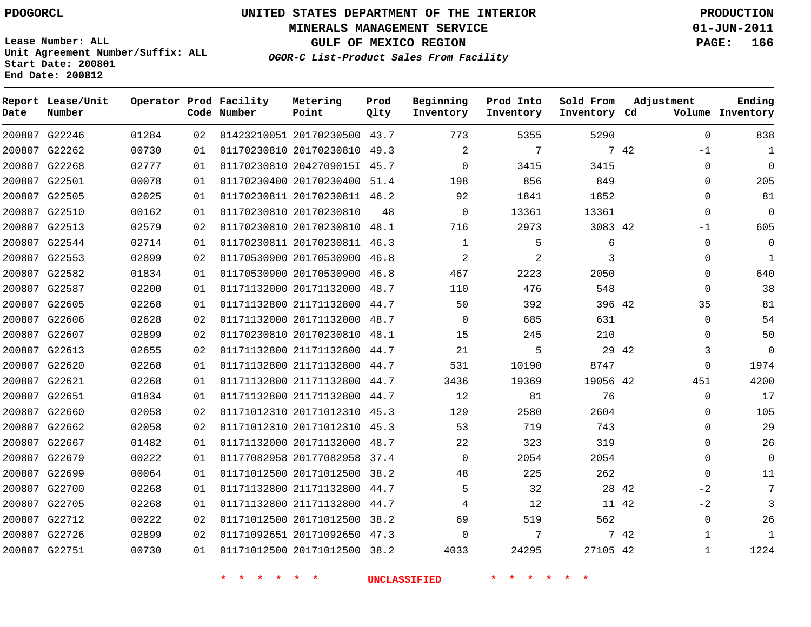**Start Date: 200801 End Date: 200812**

**Unit Agreement Number/Suffix: ALL**

# **UNITED STATES DEPARTMENT OF THE INTERIOR PDOGORCL PRODUCTION**

**MINERALS MANAGEMENT SERVICE 01-JUN-2011**

**GULF OF MEXICO REGION PAGE: 166**

**OGOR-C List-Product Sales From Facility**

| Date   | Report Lease/Unit<br>Number |       |     | Operator Prod Facility<br>Code Number | Metering<br>Point            | Prod<br>Qlty | Beginning<br>Inventory | Prod Into<br>Inventory | Sold From<br>Inventory Cd | Adjustment     | Ending<br>Volume Inventory |
|--------|-----------------------------|-------|-----|---------------------------------------|------------------------------|--------------|------------------------|------------------------|---------------------------|----------------|----------------------------|
|        | 200807 G22246               | 01284 | 02  |                                       | 01423210051 20170230500 43.7 |              | 773                    | 5355                   | 5290                      | $\Omega$       | 838                        |
| 200807 | G22262                      | 00730 | 01  |                                       | 01170230810 20170230810      | 49.3         | 2                      | 7                      |                           | 7 42<br>$-1$   | 1                          |
|        | 200807 G22268               | 02777 | 01  |                                       | 01170230810 2042709015I 45.7 |              | 0                      | 3415                   | 3415                      | $\Omega$       | $\Omega$                   |
|        | 200807 G22501               | 00078 | 01  |                                       | 01170230400 20170230400      | 51.4         | 198                    | 856                    | 849                       | $\Omega$       | 205                        |
|        | 200807 G22505               | 02025 | 01  |                                       | 01170230811 20170230811 46.2 |              | 92                     | 1841                   | 1852                      | $\Omega$       | 81                         |
| 200807 | G22510                      | 00162 | 01  |                                       | 01170230810 20170230810      | 48           | $\mathbf 0$            | 13361                  | 13361                     | $\Omega$       | $\Omega$                   |
|        | 200807 G22513               | 02579 | 02  |                                       | 01170230810 20170230810      | 48.1         | 716                    | 2973                   | 3083 42                   | $-1$           | 605                        |
|        | 200807 G22544               | 02714 | 01  |                                       | 01170230811 20170230811      | 46.3         | $\mathbf{1}$           | 5                      | 6                         | $\Omega$       | $\Omega$                   |
|        | 200807 G22553               | 02899 | 02  |                                       | 01170530900 20170530900      | 46.8         | 2                      | 2                      | 3                         | $\Omega$       | 1                          |
|        | 200807 G22582               | 01834 | 01  |                                       | 01170530900 20170530900      | 46.8         | 467                    | 2223                   | 2050                      | $\Omega$       | 640                        |
| 200807 | G22587                      | 02200 | 01  |                                       | 01171132000 20171132000      | 48.7         | 110                    | 476                    | 548                       | $\mathbf 0$    | 38                         |
|        | 200807 G22605               | 02268 | 01  |                                       | 01171132800 21171132800      | 44.7         | 50                     | 392                    | 396 42                    | 35             | 81                         |
|        | 200807 G22606               | 02628 | 02  |                                       | 01171132000 20171132000      | 48.7         | 0                      | 685                    | 631                       | $\Omega$       | 54                         |
|        | 200807 G22607               | 02899 | 02  |                                       | 01170230810 20170230810      | 48.1         | 15                     | 245                    | 210                       | $\Omega$       | 50                         |
|        | 200807 G22613               | 02655 | 02  |                                       | 01171132800 21171132800      | 44.7         | 21                     | 5                      |                           | 29 42<br>3     | $\overline{0}$             |
|        | 200807 G22620               | 02268 | 01  |                                       | 01171132800 21171132800      | 44.7         | 531                    | 10190                  | 8747                      | $\Omega$       | 1974                       |
|        | 200807 G22621               | 02268 | 01  |                                       | 01171132800 21171132800      | 44.7         | 3436                   | 19369                  | 19056 42                  | 451            | 4200                       |
|        | 200807 G22651               | 01834 | 01  |                                       | 01171132800 21171132800      | 44.7         | 12                     | 81                     | 76                        | $\Omega$       | 17                         |
| 200807 | G22660                      | 02058 | 02  |                                       | 01171012310 20171012310      | 45.3         | 129                    | 2580                   | 2604                      | $\Omega$       | 105                        |
|        | 200807 G22662               | 02058 | 02  |                                       | 01171012310 20171012310      | 45.3         | 53                     | 719                    | 743                       | $\Omega$       | 29                         |
|        | 200807 G22667               | 01482 | 01  |                                       | 01171132000 20171132000      | 48.7         | 22                     | 323                    | 319                       | $\Omega$       | 26                         |
| 200807 | G22679                      | 00222 | 01  |                                       | 01177082958 20177082958      | 37.4         | $\mathbf 0$            | 2054                   | 2054                      | $\mathbf 0$    | $\Omega$                   |
|        | 200807 G22699               | 00064 | 01  |                                       | 01171012500 20171012500      | 38.2         | 48                     | 225                    | 262                       | $\Omega$       | 11                         |
| 200807 | G22700                      | 02268 | 01  |                                       | 01171132800 21171132800      | 44.7         | 5                      | 32                     |                           | 28 42<br>$-2$  | 7                          |
|        | 200807 G22705               | 02268 | 01  |                                       | 01171132800 21171132800      | 44.7         | 4                      | 12                     |                           | $-2$<br>11 42  | 3                          |
|        | 200807 G22712               | 00222 | 02  |                                       | 01171012500 20171012500      | 38.2         | 69                     | 519                    | 562                       | $\overline{0}$ | 26                         |
|        | 200807 G22726               | 02899 | 02  |                                       | 01171092651 20171092650      | 47.3         | $\mathbf 0$            | 7                      |                           | 7 42<br>1      | 1                          |
|        | 200807 G22751               | 00730 | 0 1 |                                       | 01171012500 20171012500      | 38.2         | 4033                   | 24295                  | 27105 42                  | $\mathbf{1}$   | 1224                       |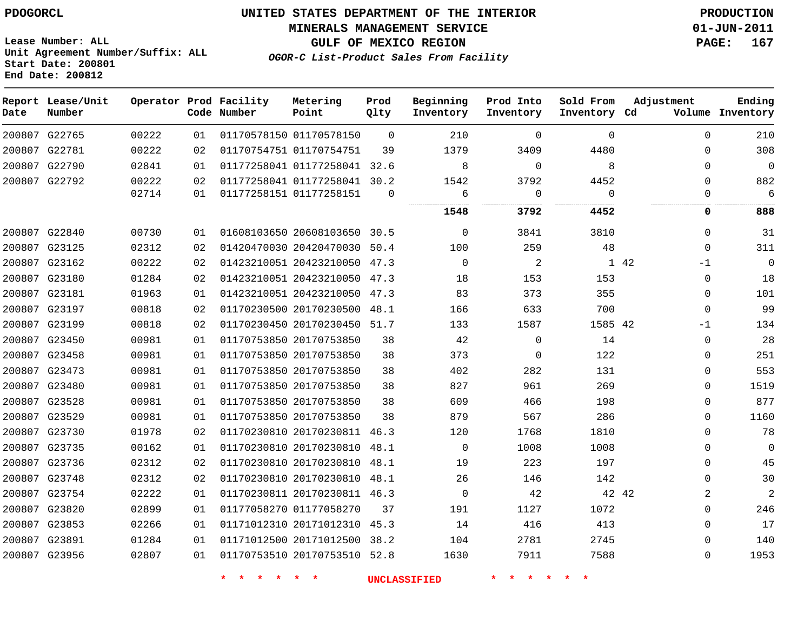**MINERALS MANAGEMENT SERVICE 01-JUN-2011**

**Lease Number: ALL Unit Agreement Number/Suffix: ALL Start Date: 200801 End Date: 200812**

**OGOR-C List-Product Sales From Facility**

**GULF OF MEXICO REGION PAGE: 167**

| Date | Report Lease/Unit<br>Number |       |    | Operator Prod Facility<br>Code Number | Metering<br>Point            | Prod<br>Qlty | Beginning<br>Inventory | Prod Into<br>Inventory | Sold From<br>Inventory Cd | Adjustment           | Ending<br>Volume Inventory |
|------|-----------------------------|-------|----|---------------------------------------|------------------------------|--------------|------------------------|------------------------|---------------------------|----------------------|----------------------------|
|      | 200807 G22765               | 00222 | 01 |                                       | 01170578150 01170578150      | $\Omega$     | 210                    | $\Omega$               | $\Omega$                  | $\Omega$             | 210                        |
|      | 200807 G22781               | 00222 | 02 |                                       | 01170754751 01170754751      | 39           | 1379                   | 3409                   | 4480                      | $\Omega$             | 308                        |
|      | 200807 G22790               | 02841 | 01 |                                       | 01177258041 01177258041 32.6 |              | 8                      | $\mathbf 0$            | 8                         | $\Omega$             | 0                          |
|      | 200807 G22792               | 00222 | 02 |                                       | 01177258041 01177258041 30.2 |              | 1542                   | 3792                   | 4452                      | $\Omega$             | 882                        |
|      |                             | 02714 | 01 |                                       | 01177258151 01177258151      | $\Omega$     | 6                      | $\Omega$<br><br>.      | $\Omega$                  | $\Omega$<br>         | 6                          |
|      |                             |       |    |                                       |                              |              | 1548                   | 3792                   | 4452                      | 0                    | 888                        |
|      | 200807 G22840               | 00730 | 01 |                                       | 01608103650 20608103650 30.5 |              | $\Omega$               | 3841                   | 3810                      | $\Omega$             | 31                         |
|      | 200807 G23125               | 02312 | 02 |                                       | 01420470030 20420470030      | 50.4         | 100                    | 259                    | 48                        | $\Omega$             | 311                        |
|      | 200807 G23162               | 00222 | 02 |                                       | 01423210051 20423210050 47.3 |              | $\Omega$               | $\overline{c}$         |                           | $1 \quad 42$<br>$-1$ | $\mathbf 0$                |
|      | 200807 G23180               | 01284 | 02 |                                       | 01423210051 20423210050      | 47.3         | 18                     | 153                    | 153                       | $\mathbf{0}$         | 18                         |
|      | 200807 G23181               | 01963 | 01 |                                       | 01423210051 20423210050      | 47.3         | 83                     | 373                    | 355                       | $\Omega$             | 101                        |
|      | 200807 G23197               | 00818 | 02 |                                       | 01170230500 20170230500 48.1 |              | 166                    | 633                    | 700                       | $\Omega$             | 99                         |
|      | 200807 G23199               | 00818 | 02 |                                       | 01170230450 20170230450 51.7 |              | 133                    | 1587                   | 1585 42                   | -1                   | 134                        |
|      | 200807 G23450               | 00981 | 01 |                                       | 01170753850 20170753850      | 38           | 42                     | $\mathbf 0$            | 14                        | $\Omega$             | 28                         |
|      | 200807 G23458               | 00981 | 01 |                                       | 01170753850 20170753850      | 38           | 373                    | 0                      | 122                       | $\Omega$             | 251                        |
|      | 200807 G23473               | 00981 | 01 |                                       | 01170753850 20170753850      | 38           | 402                    | 282                    | 131                       | $\Omega$             | 553                        |
|      | 200807 G23480               | 00981 | 01 |                                       | 01170753850 20170753850      | 38           | 827                    | 961                    | 269                       | $\Omega$             | 1519                       |
|      | 200807 G23528               | 00981 | 01 |                                       | 01170753850 20170753850      | 38           | 609                    | 466                    | 198                       | $\Omega$             | 877                        |
|      | 200807 G23529               | 00981 | 01 |                                       | 01170753850 20170753850      | 38           | 879                    | 567                    | 286                       | $\Omega$             | 1160                       |
|      | 200807 G23730               | 01978 | 02 |                                       | 01170230810 20170230811 46.3 |              | 120                    | 1768                   | 1810                      | $\Omega$             | 78                         |
|      | 200807 G23735               | 00162 | 01 |                                       | 01170230810 20170230810 48.1 |              | 0                      | 1008                   | 1008                      | $\Omega$             | 0                          |
|      | 200807 G23736               | 02312 | 02 |                                       | 01170230810 20170230810      | 48.1         | 19                     | 223                    | 197                       | $\Omega$             | 45                         |
|      | 200807 G23748               | 02312 | 02 |                                       | 01170230810 20170230810 48.1 |              | 26                     | 146                    | 142                       | $\Omega$             | 30                         |
|      | 200807 G23754               | 02222 | 01 |                                       | 01170230811 20170230811 46.3 |              | $\mathbf 0$            | 42                     |                           | 42 42<br>2           | $\overline{a}$             |
|      | 200807 G23820               | 02899 | 01 |                                       | 01177058270 01177058270      | 37           | 191                    | 1127                   | 1072                      | $\Omega$             | 246                        |
|      | 200807 G23853               | 02266 | 01 |                                       | 01171012310 20171012310 45.3 |              | 14                     | 416                    | 413                       | $\Omega$             | 17                         |
|      | 200807 G23891               | 01284 | 01 |                                       | 01171012500 20171012500      | 38.2         | 104                    | 2781                   | 2745                      | $\Omega$             | 140                        |
|      | 200807 G23956               | 02807 | 01 |                                       | 01170753510 20170753510 52.8 |              | 1630                   | 7911                   | 7588                      | $\Omega$             | 1953                       |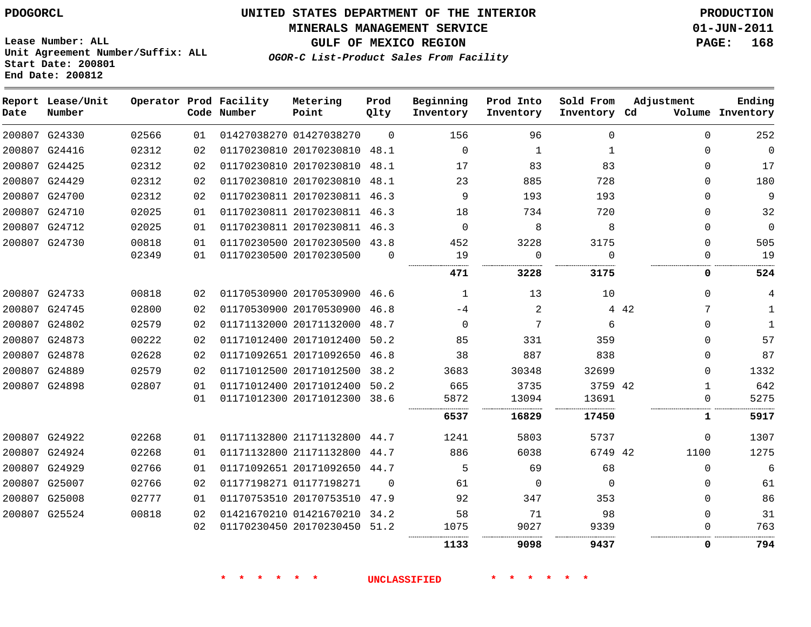**MINERALS MANAGEMENT SERVICE 01-JUN-2011**

**GULF OF MEXICO REGION PAGE: 168**

**Lease Number: ALL Unit Agreement Number/Suffix: ALL Start Date: 200801 End Date: 200812**

**OGOR-C List-Product Sales From Facility**

| Date | Report Lease/Unit<br>Number |       |    | Operator Prod Facility<br>Code Number | Metering<br>Point            | Prod<br>Qlty | Beginning<br>Inventory | Prod Into<br>Inventory | Sold From<br>Inventory Cd | Adjustment   | Ending<br>Volume Inventory |
|------|-----------------------------|-------|----|---------------------------------------|------------------------------|--------------|------------------------|------------------------|---------------------------|--------------|----------------------------|
|      | 200807 G24330               | 02566 | 01 |                                       | 01427038270 01427038270      | $\Omega$     | 156                    | 96                     | $\Omega$                  | $\Omega$     | 252                        |
|      | 200807 G24416               | 02312 | 02 |                                       | 01170230810 20170230810      | 48.1         | $\mathbf 0$            | 1                      | 1                         | $\Omega$     | 0                          |
|      | 200807 G24425               | 02312 | 02 |                                       | 01170230810 20170230810 48.1 |              | 17                     | 83                     | 83                        | 0            | 17                         |
|      | 200807 G24429               | 02312 | 02 |                                       | 01170230810 20170230810 48.1 |              | 23                     | 885                    | 728                       | $\Omega$     | 180                        |
|      | 200807 G24700               | 02312 | 02 |                                       | 01170230811 20170230811 46.3 |              | 9                      | 193                    | 193                       | $\Omega$     | 9                          |
|      | 200807 G24710               | 02025 | 01 |                                       | 01170230811 20170230811 46.3 |              | 18                     | 734                    | 720                       | $\Omega$     | 32                         |
|      | 200807 G24712               | 02025 | 01 |                                       | 01170230811 20170230811 46.3 |              | $\Omega$               | 8                      | 8                         | $\Omega$     | 0                          |
|      | 200807 G24730               | 00818 | 01 |                                       | 01170230500 20170230500 43.8 |              | 452                    | 3228                   | 3175                      | $\Omega$     | 505                        |
|      |                             | 02349 | 01 |                                       | 01170230500 20170230500      | $\Omega$     | 19                     | $\Omega$               | $\Omega$                  | $\Omega$     | 19                         |
|      |                             |       |    |                                       |                              |              | 471                    | 3228                   | .<br>3175                 | 0            | 524                        |
|      | 200807 G24733               | 00818 | 02 |                                       | 01170530900 20170530900 46.6 |              | 1                      | 13                     | 10                        | $\Omega$     | 4                          |
|      | 200807 G24745               | 02800 | 02 |                                       | 01170530900 20170530900      | 46.8         | $-4$                   | 2                      |                           | 4 4 2<br>7   | $\mathbf{1}$               |
|      | 200807 G24802               | 02579 | 02 |                                       | 01171132000 20171132000      | 48.7         | $\Omega$               | 7                      | 6                         | $\Omega$     | 1                          |
|      | 200807 G24873               | 00222 | 02 |                                       | 01171012400 20171012400      | 50.2         | 85                     | 331                    | 359                       | 0            | 57                         |
|      | 200807 G24878               | 02628 | 02 |                                       | 01171092651 20171092650 46.8 |              | 38                     | 887                    | 838                       | $\Omega$     | 87                         |
|      | 200807 G24889               | 02579 | 02 |                                       | 01171012500 20171012500 38.2 |              | 3683                   | 30348                  | 32699                     | $\Omega$     | 1332                       |
|      | 200807 G24898               | 02807 | 01 |                                       | 01171012400 20171012400      | 50.2         | 665                    | 3735                   | 3759 42                   | $\mathbf{1}$ | 642                        |
|      |                             |       | 01 |                                       | 01171012300 20171012300 38.6 |              | 5872                   | 13094                  | 13691                     | $\Omega$     | 5275                       |
|      |                             |       |    |                                       |                              |              | 6537                   | 16829                  | 17450                     | 1            | 5917                       |
|      | 200807 G24922               | 02268 | 01 |                                       | 01171132800 21171132800 44.7 |              | 1241                   | 5803                   | 5737                      | 0            | 1307                       |
|      | 200807 G24924               | 02268 | 01 |                                       | 01171132800 21171132800      | 44.7         | 886                    | 6038                   | 6749 42                   | 1100         | 1275                       |
|      | 200807 G24929               | 02766 | 01 |                                       | 01171092651 20171092650 44.7 |              | 5                      | 69                     | 68                        | $\Omega$     | 6                          |
|      | 200807 G25007               | 02766 | 02 |                                       | 01177198271 01177198271      | $\Omega$     | 61                     | $\Omega$               | $\Omega$                  | 0            | 61                         |
|      | 200807 G25008               | 02777 | 01 |                                       | 01170753510 20170753510 47.9 |              | 92                     | 347                    | 353                       | $\Omega$     | 86                         |
|      | 200807 G25524               | 00818 | 02 |                                       | 01421670210 01421670210 34.2 |              | 58                     | 71                     | 98                        | $\Omega$     | 31                         |
|      |                             |       | 02 |                                       | 01170230450 20170230450 51.2 |              | 1075                   | 9027                   | 9339                      | $\Omega$     | 763                        |
|      |                             |       |    |                                       |                              |              | 1133                   | 9098                   | 9437                      | 0            | 794                        |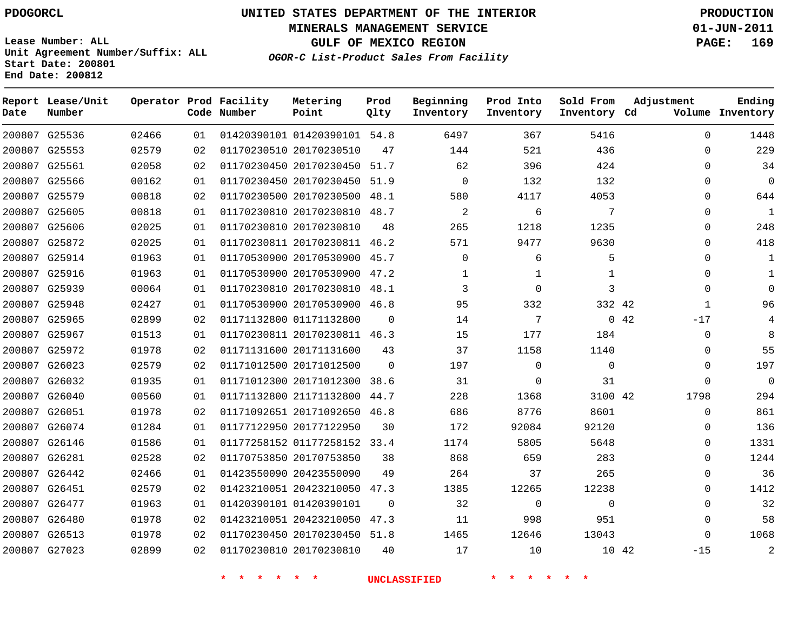**Start Date: 200801 End Date: 200812**

**Unit Agreement Number/Suffix: ALL**

# **UNITED STATES DEPARTMENT OF THE INTERIOR PDOGORCL PRODUCTION**

**MINERALS MANAGEMENT SERVICE 01-JUN-2011**

**GULF OF MEXICO REGION PAGE: 169**

**OGOR-C List-Product Sales From Facility**

| Date   | Report Lease/Unit<br>Number |       |    | Operator Prod Facility<br>Code Number | Metering<br>Point            | Prod<br>Qlty | Beginning<br>Inventory | Prod Into<br>Inventory | Sold From<br>Inventory Cd | Adjustment    | Ending<br>Volume Inventory |
|--------|-----------------------------|-------|----|---------------------------------------|------------------------------|--------------|------------------------|------------------------|---------------------------|---------------|----------------------------|
|        | 200807 G25536               | 02466 | 01 |                                       | 01420390101 01420390101 54.8 |              | 6497                   | 367                    | 5416                      | $\Omega$      | 1448                       |
|        | 200807 G25553               | 02579 | 02 |                                       | 01170230510 20170230510      | 47           | 144                    | 521                    | 436                       | $\Omega$      | 229                        |
|        | 200807 G25561               | 02058 | 02 |                                       | 01170230450 20170230450      | 51.7         | 62                     | 396                    | 424                       | $\Omega$      | 34                         |
| 200807 | G25566                      | 00162 | 01 |                                       | 01170230450 20170230450      | 51.9         | $\mathbf 0$            | 132                    | 132                       | $\Omega$      | $\overline{0}$             |
|        | 200807 G25579               | 00818 | 02 |                                       | 01170230500 20170230500      | 48.1         | 580                    | 4117                   | 4053                      | $\mathbf{0}$  | 644                        |
|        | 200807 G25605               | 00818 | 01 |                                       | 01170230810 20170230810      | 48.7         | 2                      | 6                      | 7                         | $\Omega$      | $\mathbf{1}$               |
|        | 200807 G25606               | 02025 | 01 |                                       | 01170230810 20170230810      | 48           | 265                    | 1218                   | 1235                      | $\mathbf 0$   | 248                        |
|        | 200807 G25872               | 02025 | 01 |                                       | 01170230811 20170230811      | 46.2         | 571                    | 9477                   | 9630                      | $\Omega$      | 418                        |
| 200807 | G25914                      | 01963 | 01 |                                       | 01170530900 20170530900      | 45.7         | $\mathbf 0$            | 6                      | 5                         | $\Omega$      | $\mathbf{1}$               |
|        | 200807 G25916               | 01963 | 01 |                                       | 01170530900 20170530900      | 47.2         | $\mathbf 1$            | $\mathbf 1$            | $\mathbf{1}$              | $\Omega$      | $\mathbf{1}$               |
|        | 200807 G25939               | 00064 | 01 |                                       | 01170230810 20170230810      | 48.1         | 3                      | $\Omega$               | 3                         | $\Omega$      | $\Omega$                   |
|        | 200807 G25948               | 02427 | 01 |                                       | 01170530900 20170530900      | 46.8         | 95                     | 332                    | 332 42                    | $\mathbf{1}$  | 96                         |
|        | 200807 G25965               | 02899 | 02 |                                       | 01171132800 01171132800      | $\Omega$     | 14                     | 7                      |                           | 0.42<br>$-17$ | $\overline{4}$             |
| 200807 | G25967                      | 01513 | 01 |                                       | 01170230811 20170230811      | 46.3         | 15                     | 177                    | 184                       | $\mathbf{0}$  | 8                          |
|        | 200807 G25972               | 01978 | 02 |                                       | 01171131600 20171131600      | 43           | 37                     | 1158                   | 1140                      | $\Omega$      | 55                         |
|        | 200807 G26023               | 02579 | 02 |                                       | 01171012500 20171012500      | $\Omega$     | 197                    | $\Omega$               | $\mathbf 0$               | $\Omega$      | 197                        |
|        | 200807 G26032               | 01935 | 01 |                                       | 01171012300 20171012300      | 38.6         | 31                     | $\Omega$               | 31                        | $\Omega$      | $\overline{0}$             |
| 200807 | G26040                      | 00560 | 01 |                                       | 01171132800 21171132800      | 44.7         | 228                    | 1368                   | 3100 42                   | 1798          | 294                        |
|        | 200807 G26051               | 01978 | 02 |                                       | 01171092651 20171092650      | 46.8         | 686                    | 8776                   | 8601                      | $\mathbf 0$   | 861                        |
|        | 200807 G26074               | 01284 | 01 |                                       | 01177122950 20177122950      | 30           | 172                    | 92084                  | 92120                     | $\Omega$      | 136                        |
|        | 200807 G26146               | 01586 | 01 |                                       | 01177258152 01177258152      | 33.4         | 1174                   | 5805                   | 5648                      | $\Omega$      | 1331                       |
|        | 200807 G26281               | 02528 | 02 |                                       | 01170753850 20170753850      | 38           | 868                    | 659                    | 283                       | $\Omega$      | 1244                       |
| 200807 | G26442                      | 02466 | 01 |                                       | 01423550090 20423550090      | 49           | 264                    | 37                     | 265                       | $\mathbf 0$   | 36                         |
|        | 200807 G26451               | 02579 | 02 |                                       | 01423210051 20423210050      | 47.3         | 1385                   | 12265                  | 12238                     | $\Omega$      | 1412                       |
|        | 200807 G26477               | 01963 | 01 |                                       | 01420390101 01420390101      | $\Omega$     | 32                     | $\mathbf 0$            | $\mathbf 0$               | $\Omega$      | 32                         |
|        | 200807 G26480               | 01978 | 02 |                                       | 01423210051 20423210050      | 47.3         | 11                     | 998                    | 951                       | $\Omega$      | 58                         |
|        | 200807 G26513               | 01978 | 02 |                                       | 01170230450 20170230450      | 51.8         | 1465                   | 12646                  | 13043                     | $\Omega$      | 1068                       |
|        | 200807 G27023               | 02899 | 02 |                                       | 01170230810 20170230810      | 40           | 17                     | 10                     | 10 42                     | $-15$         | 2                          |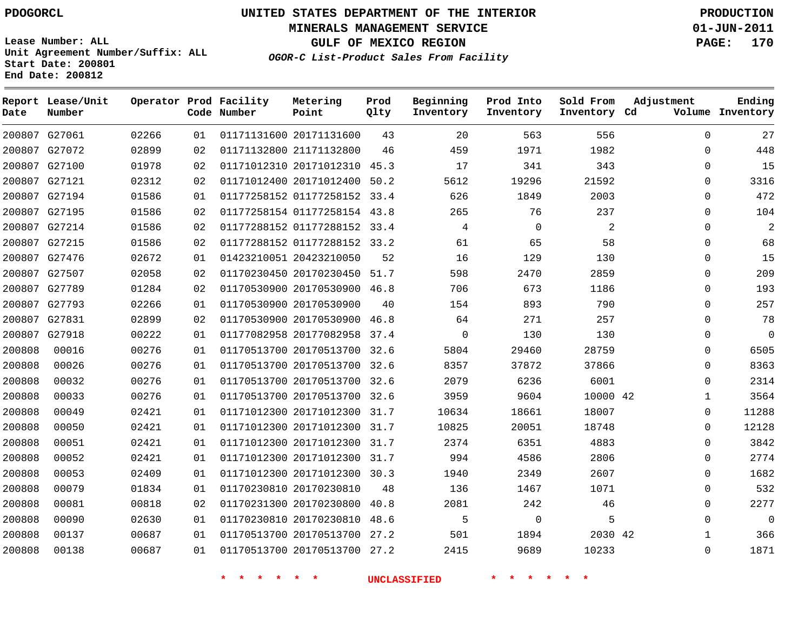**MINERALS MANAGEMENT SERVICE 01-JUN-2011**

**GULF OF MEXICO REGION PAGE: 170**

**Lease Number: ALL Unit Agreement Number/Suffix: ALL Start Date: 200801 End Date: 200812**

**OGOR-C List-Product Sales From Facility**

| Date   | Report Lease/Unit<br>Number |       |    | Operator Prod Facility<br>Code Number | Metering<br>Point            | Prod<br>Qlty | Beginning<br>Inventory | Prod Into<br>Inventory | Sold From<br>Inventory Cd | Adjustment   | Ending<br>Volume Inventory |
|--------|-----------------------------|-------|----|---------------------------------------|------------------------------|--------------|------------------------|------------------------|---------------------------|--------------|----------------------------|
|        | 200807 G27061               | 02266 | 01 |                                       | 01171131600 20171131600      | 43           | 20                     | 563                    | 556                       | $\Omega$     | 27                         |
|        | 200807 G27072               | 02899 | 02 |                                       | 01171132800 21171132800      | 46           | 459                    | 1971                   | 1982                      | $\Omega$     | 448                        |
|        | 200807 G27100               | 01978 | 02 |                                       | 01171012310 20171012310 45.3 |              | 17                     | 341                    | 343                       | $\Omega$     | 15                         |
|        | 200807 G27121               | 02312 | 02 |                                       | 01171012400 20171012400 50.2 |              | 5612                   | 19296                  | 21592                     | $\Omega$     | 3316                       |
|        | 200807 G27194               | 01586 | 01 |                                       | 01177258152 01177258152 33.4 |              | 626                    | 1849                   | 2003                      | $\Omega$     | 472                        |
|        | 200807 G27195               | 01586 | 02 |                                       | 01177258154 01177258154 43.8 |              | 265                    | 76                     | 237                       | $\Omega$     | 104                        |
|        | 200807 G27214               | 01586 | 02 |                                       | 01177288152 01177288152 33.4 |              | 4                      | $\mathbf 0$            | 2                         | $\Omega$     | $\overline{2}$             |
|        | 200807 G27215               | 01586 | 02 |                                       | 01177288152 01177288152 33.2 |              | 61                     | 65                     | 58                        | $\Omega$     | 68                         |
|        | 200807 G27476               | 02672 | 01 |                                       | 01423210051 20423210050      | 52           | 16                     | 129                    | 130                       | $\Omega$     | 15                         |
|        | 200807 G27507               | 02058 | 02 |                                       | 01170230450 20170230450 51.7 |              | 598                    | 2470                   | 2859                      | $\Omega$     | 209                        |
|        | 200807 G27789               | 01284 | 02 |                                       | 01170530900 20170530900 46.8 |              | 706                    | 673                    | 1186                      | $\Omega$     | 193                        |
|        | 200807 G27793               | 02266 | 01 |                                       | 01170530900 20170530900      | 40           | 154                    | 893                    | 790                       | 0            | 257                        |
|        | 200807 G27831               | 02899 | 02 |                                       | 01170530900 20170530900 46.8 |              | 64                     | 271                    | 257                       | $\Omega$     | 78                         |
|        | 200807 G27918               | 00222 | 01 |                                       | 01177082958 20177082958 37.4 |              | $\Omega$               | 130                    | 130                       | $\Omega$     | $\mathbf 0$                |
| 200808 | 00016                       | 00276 | 01 |                                       | 01170513700 20170513700 32.6 |              | 5804                   | 29460                  | 28759                     | $\Omega$     | 6505                       |
| 200808 | 00026                       | 00276 | 01 |                                       | 01170513700 20170513700 32.6 |              | 8357                   | 37872                  | 37866                     | $\Omega$     | 8363                       |
| 200808 | 00032                       | 00276 | 01 |                                       | 01170513700 20170513700 32.6 |              | 2079                   | 6236                   | 6001                      | $\Omega$     | 2314                       |
| 200808 | 00033                       | 00276 | 01 |                                       | 01170513700 20170513700 32.6 |              | 3959                   | 9604                   | 10000 42                  | $\mathbf{1}$ | 3564                       |
| 200808 | 00049                       | 02421 | 01 |                                       | 01171012300 20171012300 31.7 |              | 10634                  | 18661                  | 18007                     | $\Omega$     | 11288                      |
| 200808 | 00050                       | 02421 | 01 |                                       | 01171012300 20171012300 31.7 |              | 10825                  | 20051                  | 18748                     | $\mathbf{0}$ | 12128                      |
| 200808 | 00051                       | 02421 | 01 |                                       | 01171012300 20171012300 31.7 |              | 2374                   | 6351                   | 4883                      | $\Omega$     | 3842                       |
| 200808 | 00052                       | 02421 | 01 |                                       | 01171012300 20171012300 31.7 |              | 994                    | 4586                   | 2806                      | $\Omega$     | 2774                       |
| 200808 | 00053                       | 02409 | 01 |                                       | 01171012300 20171012300 30.3 |              | 1940                   | 2349                   | 2607                      | $\Omega$     | 1682                       |
| 200808 | 00079                       | 01834 | 01 |                                       | 01170230810 20170230810      | 48           | 136                    | 1467                   | 1071                      | 0            | 532                        |
| 200808 | 00081                       | 00818 | 02 |                                       | 01170231300 20170230800      | 40.8         | 2081                   | 242                    | 46                        | $\Omega$     | 2277                       |
| 200808 | 00090                       | 02630 | 01 |                                       | 01170230810 20170230810      | 48.6         | 5                      | 0                      | 5                         | 0            | 0                          |
| 200808 | 00137                       | 00687 | 01 |                                       | 01170513700 20170513700 27.2 |              | 501                    | 1894                   | 2030 42                   | 1            | 366                        |
| 200808 | 00138                       | 00687 | 01 |                                       | 01170513700 20170513700 27.2 |              | 2415                   | 9689                   | 10233                     | $\mathbf{0}$ | 1871                       |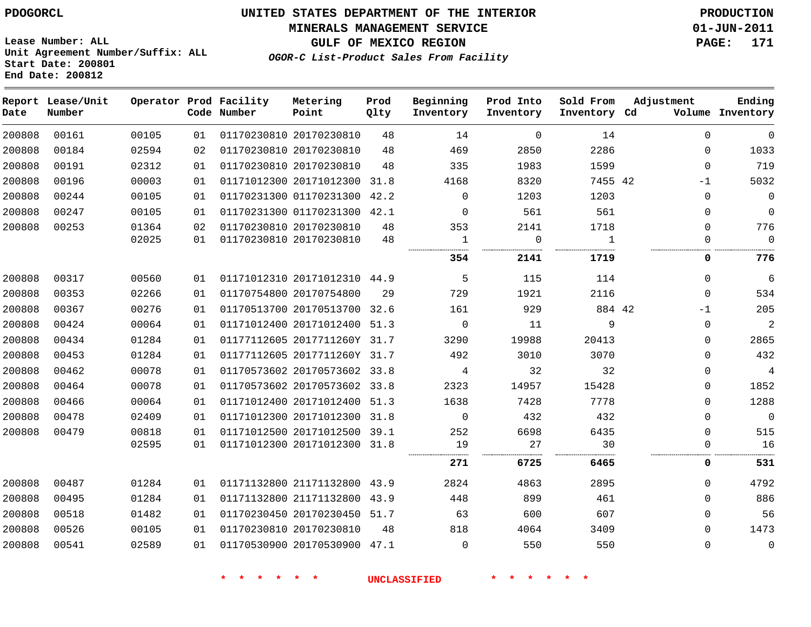#### **MINERALS MANAGEMENT SERVICE 01-JUN-2011**

**GULF OF MEXICO REGION PAGE: 171**

**Lease Number: ALL Unit Agreement Number/Suffix: ALL Start Date: 200801 End Date: 200812**

**OGOR-C List-Product Sales From Facility**

| Date   | Report Lease/Unit<br>Number |       |    | Operator Prod Facility<br>Code Number | Metering<br>Point            | Prod<br>Qlty | Beginning<br>Inventory | Prod Into<br>Inventory | Sold From<br>Inventory Cd | Adjustment |              | Ending<br>Volume Inventory |
|--------|-----------------------------|-------|----|---------------------------------------|------------------------------|--------------|------------------------|------------------------|---------------------------|------------|--------------|----------------------------|
| 200808 | 00161                       | 00105 | 01 |                                       | 01170230810 20170230810      | 48           | 14                     | $\mathbf 0$            | 14                        |            | $\Omega$     | $\Omega$                   |
| 200808 | 00184                       | 02594 | 02 |                                       | 01170230810 20170230810      | 48           | 469                    | 2850                   | 2286                      |            | $\mathbf{0}$ | 1033                       |
| 200808 | 00191                       | 02312 | 01 |                                       | 01170230810 20170230810      | 48           | 335                    | 1983                   | 1599                      |            | $\Omega$     | 719                        |
| 200808 | 00196                       | 00003 | 01 |                                       | 01171012300 20171012300      | 31.8         | 4168                   | 8320                   | 7455 42                   |            | $-1$         | 5032                       |
| 200808 | 00244                       | 00105 | 01 |                                       | 01170231300 01170231300      | 42.2         | $\mathbf{0}$           | 1203                   | 1203                      |            | $\Omega$     | $\mathbf 0$                |
| 200808 | 00247                       | 00105 | 01 |                                       | 01170231300 01170231300 42.1 |              | $\mathbf{0}$           | 561                    | 561                       |            | 0            | $\mathbf 0$                |
| 200808 | 00253                       | 01364 | 02 |                                       | 01170230810 20170230810      | 48           | 353                    | 2141                   | 1718                      |            | $\Omega$     | 776                        |
|        |                             | 02025 | 01 |                                       | 01170230810 20170230810      | 48           | 1                      | 0                      | 1                         |            | 0            | $\mathbf 0$                |
|        |                             |       |    |                                       |                              |              | 354                    | 2141                   | 1719                      |            | 0            | 776                        |
| 200808 | 00317                       | 00560 | 01 |                                       | 01171012310 20171012310 44.9 |              | 5                      | 115                    | 114                       |            | $\mathbf{0}$ | $\overline{6}$             |
| 200808 | 00353                       | 02266 | 01 |                                       | 01170754800 20170754800      | 29           | 729                    | 1921                   | 2116                      |            | $\Omega$     | 534                        |
| 200808 | 00367                       | 00276 | 01 |                                       | 01170513700 20170513700 32.6 |              | 161                    | 929                    | 884 42                    |            | $-1$         | 205                        |
| 200808 | 00424                       | 00064 | 01 |                                       | 01171012400 20171012400 51.3 |              | $\Omega$               | 11                     | 9                         |            | $\Omega$     | $\overline{2}$             |
| 200808 | 00434                       | 01284 | 01 |                                       | 01177112605 2017711260Y 31.7 |              | 3290                   | 19988                  | 20413                     |            | $\Omega$     | 2865                       |
| 200808 | 00453                       | 01284 | 01 |                                       | 01177112605 2017711260Y 31.7 |              | 492                    | 3010                   | 3070                      |            | $\Omega$     | 432                        |
| 200808 | 00462                       | 00078 | 01 |                                       | 01170573602 20170573602 33.8 |              | $\overline{4}$         | 32                     | 32                        |            | $\mathbf 0$  | $\overline{4}$             |
| 200808 | 00464                       | 00078 | 01 |                                       | 01170573602 20170573602 33.8 |              | 2323                   | 14957                  | 15428                     |            | $\Omega$     | 1852                       |
| 200808 | 00466                       | 00064 | 01 |                                       | 01171012400 20171012400 51.3 |              | 1638                   | 7428                   | 7778                      |            | $\Omega$     | 1288                       |
| 200808 | 00478                       | 02409 | 01 |                                       | 01171012300 20171012300 31.8 |              | $\Omega$               | 432                    | 432                       |            | $\Omega$     | $\mathbf{0}$               |
| 200808 | 00479                       | 00818 | 01 |                                       | 01171012500 20171012500 39.1 |              | 252                    | 6698                   | 6435                      |            | $\Omega$     | 515                        |
|        |                             | 02595 | 01 |                                       | 01171012300 20171012300 31.8 |              | 19                     | 27                     | 30                        |            | 0            | 16                         |
|        |                             |       |    |                                       |                              |              | 271                    | 6725                   | 6465                      |            | 0            | 531                        |
| 200808 | 00487                       | 01284 | 01 |                                       | 01171132800 21171132800 43.9 |              | 2824                   | 4863                   | 2895                      |            | $\Omega$     | 4792                       |
| 200808 | 00495                       | 01284 | 01 |                                       | 01171132800 21171132800      | 43.9         | 448                    | 899                    | 461                       |            | $\mathbf 0$  | 886                        |
| 200808 | 00518                       | 01482 | 01 |                                       | 01170230450 20170230450 51.7 |              | 63                     | 600                    | 607                       |            | 0            | 56                         |
| 200808 | 00526                       | 00105 | 01 |                                       | 01170230810 20170230810      | 48           | 818                    | 4064                   | 3409                      |            | 0            | 1473                       |
| 200808 | 00541                       | 02589 | 01 |                                       | 01170530900 20170530900 47.1 |              | $\mathbf 0$            | 550                    | 550                       |            | $\mathbf{0}$ | $\mathsf 0$                |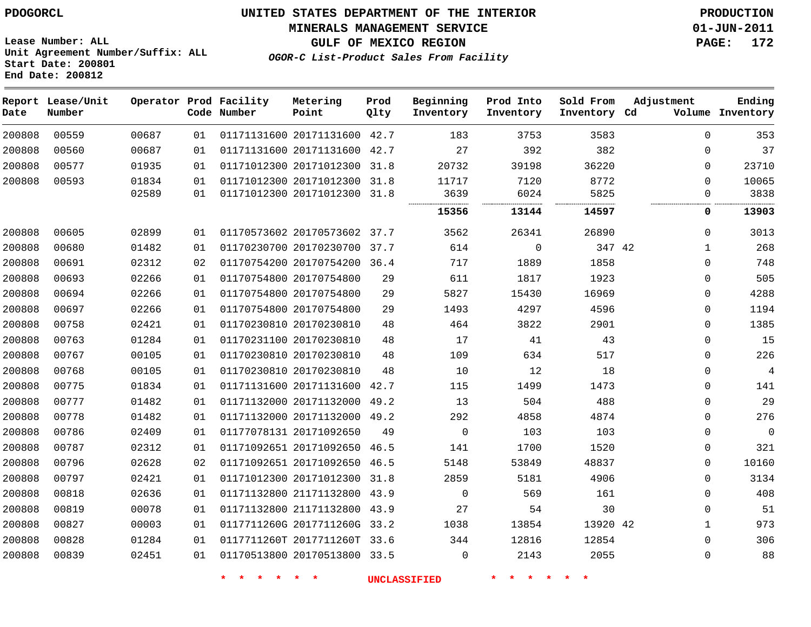#### **MINERALS MANAGEMENT SERVICE 01-JUN-2011**

**GULF OF MEXICO REGION PAGE: 172**

**Lease Number: ALL Unit Agreement Number/Suffix: ALL Start Date: 200801 End Date: 200812**

**OGOR-C List-Product Sales From Facility**

| Date   | Report Lease/Unit<br>Number |       |    | Operator Prod Facility<br>Code Number | Metering<br>Point            | Prod<br>Qlty | Beginning<br>Inventory | Prod Into<br>Inventory | Sold From<br>Inventory Cd | Adjustment   | Ending<br>Volume Inventory |
|--------|-----------------------------|-------|----|---------------------------------------|------------------------------|--------------|------------------------|------------------------|---------------------------|--------------|----------------------------|
| 200808 | 00559                       | 00687 | 01 |                                       | 01171131600 20171131600      | 42.7         | 183                    | 3753                   | 3583                      | $\Omega$     | 353                        |
| 200808 | 00560                       | 00687 | 01 |                                       | 01171131600 20171131600      | 42.7         | 27                     | 392                    | 382                       | $\Omega$     | 37                         |
| 200808 | 00577                       | 01935 | 01 |                                       | 01171012300 20171012300      | 31.8         | 20732                  | 39198                  | 36220                     | $\Omega$     | 23710                      |
| 200808 | 00593                       | 01834 | 01 |                                       | 01171012300 20171012300 31.8 |              | 11717                  | 7120                   | 8772                      | $\Omega$     | 10065                      |
|        |                             | 02589 | 01 |                                       | 01171012300 20171012300 31.8 |              | 3639                   | 6024                   | 5825                      | $\Omega$     | 3838                       |
|        |                             |       |    |                                       |                              |              | 15356                  | 13144                  | 14597                     | 0            | 13903                      |
| 200808 | 00605                       | 02899 | 01 |                                       | 01170573602 20170573602 37.7 |              | 3562                   | 26341                  | 26890                     | $\mathbf 0$  | 3013                       |
| 200808 | 00680                       | 01482 | 01 |                                       | 01170230700 20170230700      | 37.7         | 614                    | 0                      | 347 42                    | 1            | 268                        |
| 200808 | 00691                       | 02312 | 02 |                                       | 01170754200 20170754200 36.4 |              | 717                    | 1889                   | 1858                      | $\Omega$     | 748                        |
| 200808 | 00693                       | 02266 | 01 |                                       | 01170754800 20170754800      | 29           | 611                    | 1817                   | 1923                      | $\Omega$     | 505                        |
| 200808 | 00694                       | 02266 | 01 |                                       | 01170754800 20170754800      | 29           | 5827                   | 15430                  | 16969                     | $\mathbf 0$  | 4288                       |
| 200808 | 00697                       | 02266 | 01 |                                       | 01170754800 20170754800      | 29           | 1493                   | 4297                   | 4596                      | $\Omega$     | 1194                       |
| 200808 | 00758                       | 02421 | 01 |                                       | 01170230810 20170230810      | 48           | 464                    | 3822                   | 2901                      | $\Omega$     | 1385                       |
| 200808 | 00763                       | 01284 | 01 |                                       | 01170231100 20170230810      | 48           | 17                     | 41                     | 43                        | $\Omega$     | 15                         |
| 200808 | 00767                       | 00105 | 01 |                                       | 01170230810 20170230810      | 48           | 109                    | 634                    | 517                       | $\Omega$     | 226                        |
| 200808 | 00768                       | 00105 | 01 |                                       | 01170230810 20170230810      | 48           | 10                     | 12                     | 18                        | $\Omega$     | 4                          |
| 200808 | 00775                       | 01834 | 01 |                                       | 01171131600 20171131600      | 42.7         | 115                    | 1499                   | 1473                      | $\Omega$     | 141                        |
| 200808 | 00777                       | 01482 | 01 |                                       | 01171132000 20171132000      | 49.2         | 13                     | 504                    | 488                       | $\Omega$     | 29                         |
| 200808 | 00778                       | 01482 | 01 |                                       | 01171132000 20171132000 49.2 |              | 292                    | 4858                   | 4874                      | $\Omega$     | 276                        |
| 200808 | 00786                       | 02409 | 01 |                                       | 01177078131 20171092650      | 49           | $\mathbf 0$            | 103                    | 103                       | $\Omega$     | 0                          |
| 200808 | 00787                       | 02312 | 01 |                                       | 01171092651 20171092650 46.5 |              | 141                    | 1700                   | 1520                      | $\Omega$     | 321                        |
| 200808 | 00796                       | 02628 | 02 |                                       | 01171092651 20171092650 46.5 |              | 5148                   | 53849                  | 48837                     | $\Omega$     | 10160                      |
| 200808 | 00797                       | 02421 | 01 |                                       | 01171012300 20171012300      | 31.8         | 2859                   | 5181                   | 4906                      | $\Omega$     | 3134                       |
| 200808 | 00818                       | 02636 | 01 |                                       | 01171132800 21171132800      | 43.9         | $\mathbf 0$            | 569                    | 161                       | $\Omega$     | 408                        |
| 200808 | 00819                       | 00078 | 01 |                                       | 01171132800 21171132800      | 43.9         | 27                     | 54                     | 30                        | $\Omega$     | 51                         |
| 200808 | 00827                       | 00003 | 01 |                                       | 0117711260G 2017711260G 33.2 |              | 1038                   | 13854                  | 13920 42                  | $\mathbf{1}$ | 973                        |
| 200808 | 00828                       | 01284 | 01 |                                       | 0117711260T 2017711260T 33.6 |              | 344                    | 12816                  | 12854                     | $\Omega$     | 306                        |
| 200808 | 00839                       | 02451 | 01 |                                       | 01170513800 20170513800 33.5 |              | 0                      | 2143                   | 2055                      | $\Omega$     | 88                         |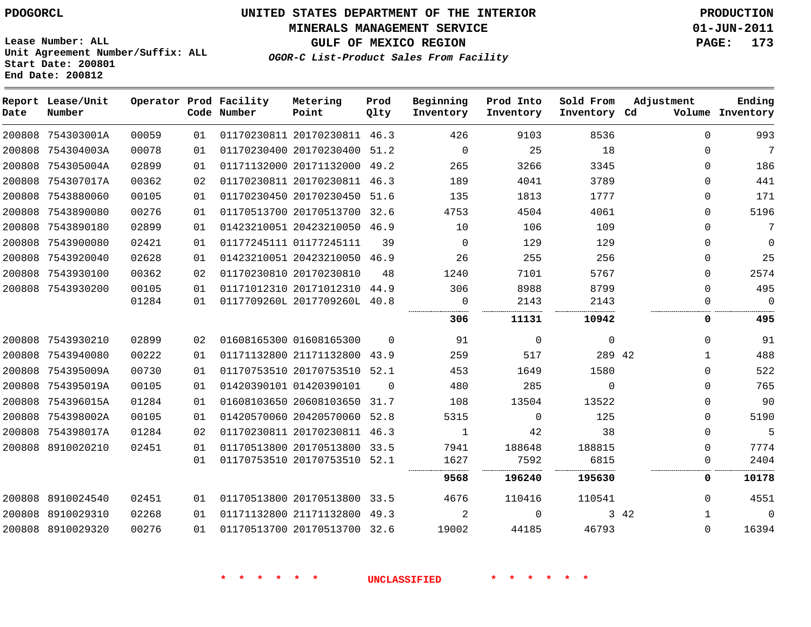**MINERALS MANAGEMENT SERVICE 01-JUN-2011**

**GULF OF MEXICO REGION PAGE: 173**

**Lease Number: ALL Unit Agreement Number/Suffix: ALL Start Date: 200801 End Date: 200812**

| OGOR-C List-Product Sales From Facility |  |  |  |
|-----------------------------------------|--|--|--|
|-----------------------------------------|--|--|--|

| Date | Report Lease/Unit<br>Number |       |    | Operator Prod Facility<br>Code Number | Metering<br>Point            | Prod<br>Qlty | Beginning<br>Inventory | Prod Into<br>Inventory | Sold From<br>Inventory Cd | Adjustment           | Ending<br>Volume Inventory |
|------|-----------------------------|-------|----|---------------------------------------|------------------------------|--------------|------------------------|------------------------|---------------------------|----------------------|----------------------------|
|      | 200808 754303001A           | 00059 | 01 |                                       | 01170230811 20170230811 46.3 |              | 426                    | 9103                   | 8536                      | $\mathbf 0$          | 993                        |
|      | 200808 754304003A           | 00078 | 01 |                                       | 01170230400 20170230400 51.2 |              | $\mathbf{0}$           | 25                     | 18                        | $\Omega$             | $7\overline{ }$            |
|      | 200808 754305004A           | 02899 | 01 |                                       | 01171132000 20171132000      | 49.2         | 265                    | 3266                   | 3345                      | $\Omega$             | 186                        |
|      | 200808 754307017A           | 00362 | 02 |                                       | 01170230811 20170230811 46.3 |              | 189                    | 4041                   | 3789                      | $\Omega$             | 441                        |
|      | 200808 7543880060           | 00105 | 01 |                                       | 01170230450 20170230450 51.6 |              | 135                    | 1813                   | 1777                      | $\Omega$             | 171                        |
|      | 200808 7543890080           | 00276 | 01 |                                       | 01170513700 20170513700      | 32.6         | 4753                   | 4504                   | 4061                      | $\Omega$             | 5196                       |
|      | 200808 7543890180           | 02899 | 01 |                                       | 01423210051 20423210050 46.9 |              | 10                     | 106                    | 109                       | $\Omega$             | 7                          |
|      | 200808 7543900080           | 02421 | 01 |                                       | 01177245111 01177245111      | 39           | $\Omega$               | 129                    | 129                       | $\Omega$             | $\overline{0}$             |
|      | 200808 7543920040           | 02628 | 01 |                                       | 01423210051 20423210050 46.9 |              | 26                     | 255                    | 256                       | $\Omega$             | 25                         |
|      | 200808 7543930100           | 00362 | 02 |                                       | 01170230810 20170230810      | 48           | 1240                   | 7101                   | 5767                      | $\Omega$             | 2574                       |
|      | 200808 7543930200           | 00105 | 01 |                                       | 01171012310 20171012310 44.9 |              | 306                    | 8988                   | 8799                      | $\Omega$             | 495                        |
|      |                             | 01284 | 01 |                                       | 0117709260L 2017709260L 40.8 |              | $\mathbf 0$            | 2143                   | 2143                      | $\mathbf 0$          | $\overline{0}$             |
|      |                             |       |    |                                       |                              |              | 306                    | 11131                  | 10942                     | 0                    | 495                        |
|      | 200808 7543930210           | 02899 | 02 |                                       | 01608165300 01608165300      | $\Omega$     | 91                     | $\Omega$               | $\mathbf 0$               | $\Omega$             | 91                         |
|      | 200808 7543940080           | 00222 | 01 |                                       | 01171132800 21171132800 43.9 |              | 259                    | 517                    | 289 42                    | $\mathbf{1}$         | 488                        |
|      | 200808 754395009A           | 00730 | 01 |                                       | 01170753510 20170753510 52.1 |              | 453                    | 1649                   | 1580                      | $\Omega$             | 522                        |
|      | 200808 754395019A           | 00105 | 01 |                                       | 01420390101 01420390101      | $\Omega$     | 480                    | 285                    | $\Omega$                  | $\Omega$             | 765                        |
|      | 200808 754396015A           | 01284 | 01 |                                       | 01608103650 20608103650      | 31.7         | 108                    | 13504                  | 13522                     | $\Omega$             | 90                         |
|      | 200808 754398002A           | 00105 | 01 |                                       | 01420570060 20420570060 52.8 |              | 5315                   | 0                      | 125                       | $\Omega$             | 5190                       |
|      | 200808 754398017A           | 01284 | 02 |                                       | 01170230811 20170230811 46.3 |              | 1                      | 42                     | 38                        | $\Omega$             | 5                          |
|      | 200808 8910020210           | 02451 | 01 |                                       | 01170513800 20170513800 33.5 |              | 7941                   | 188648                 | 188815                    | $\Omega$             | 7774                       |
|      |                             |       | 01 |                                       | 01170753510 20170753510      | 52.1         | 1627                   | 7592                   | 6815                      | 0                    | 2404                       |
|      |                             |       |    |                                       |                              |              | 9568                   | 196240                 | 195630                    | 0                    | 10178                      |
|      | 200808 8910024540           | 02451 | 01 |                                       | 01170513800 20170513800      | 33.5         | 4676                   | 110416                 | 110541                    | $\Omega$             | 4551                       |
|      | 200808 8910029310           | 02268 | 01 |                                       | 01171132800 21171132800 49.3 |              | 2                      | $\Omega$               |                           | 3 42<br>$\mathbf{1}$ | $\overline{0}$             |
|      | 200808 8910029320           | 00276 | 01 |                                       | 01170513700 20170513700 32.6 |              | 19002                  | 44185                  | 46793                     | $\Omega$             | 16394                      |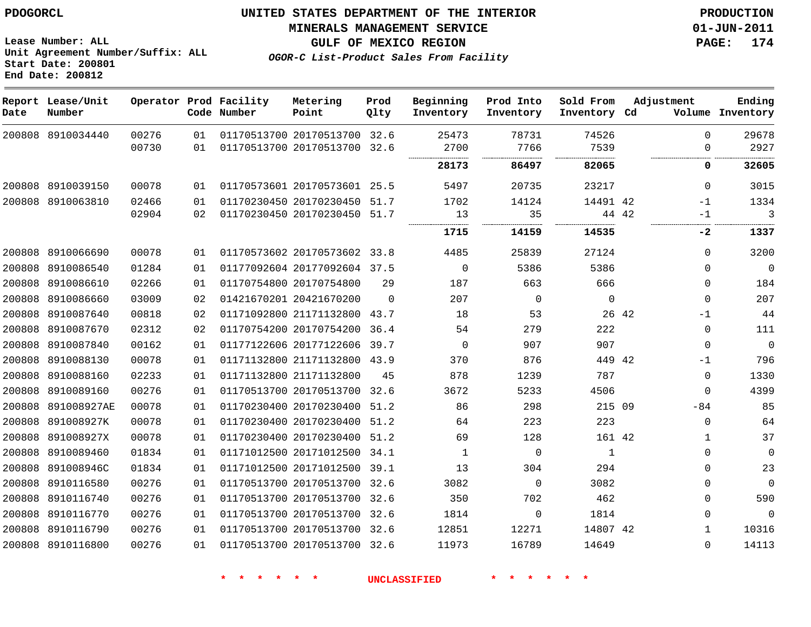**Start Date: 200801 End Date: 200812**

**Unit Agreement Number/Suffix: ALL**

# **UNITED STATES DEPARTMENT OF THE INTERIOR PDOGORCL PRODUCTION**

**MINERALS MANAGEMENT SERVICE 01-JUN-2011**

**GULF OF MEXICO REGION PAGE: 174**

**OGOR-C List-Product Sales From Facility**

**Report Lease/Unit Operator Prod Facility Metering Prod Beginning Prod Into Sold From Adjustment Ending Code Number Inventory Cd Volume Date Number Point Qlty Inventory Inventory Inventory**  $\Omega$  8910034440 20170513700 32.6 20170513700 32.6  $\Omega$  . . . . . . . . . . . . . . . . . . . . . . . . . . . . . . . . . . . . . . . . . . . . . . . . . . . . . . . . . . . . . . . . 8910039150 20170573601 25.5  $\Omega$  8910063810 20170230450 51.7 42 -1 20170230450 51.7 42 -1 . . . . . . . . . . . . . . ................. . . . . . . . . . . . . . . . . . . . . . . . . **-2** 8910066690 20170573602 33.8  $\Omega$  8910086540 20177092604 37.5  $\Omega$   $\Omega$  8910086610 20170754800  $\Omega$  8910086660 20421670200  $\Omega$   $\Omega$  $\Omega$  $\Omega$  8910087640 21171132800 43.7 42 -1 8910087670 20170754200 36.4  $\Omega$  8910087840 20177122606 39.7  $\Omega$   $\Omega$  $\Omega$  8910088130 21171132800 43.9 42 -1 8910088160 21171132800  $\Omega$  8910089160 20170513700 32.6  $\Omega$  891008927AE 20170230400 51.2 215 09  $-84$  891008927K 20170230400 51.2  $\Omega$  891008927X 20170230400 51.2 42 8910089460 20171012500 34.1  $\Omega$   $\Omega$  $\Omega$  891008946C 20171012500 39.1  $\Omega$  8910116580 20170513700 32.6  $\Omega$   $\Omega$  8910116740 20170513700 32.6  $\Omega$  8910116770 20170513700 32.6  $\Omega$   $\Omega$  $\Omega$  8910116790 20170513700 32.6 42 8910116800 20170513700 32.6  $\Omega$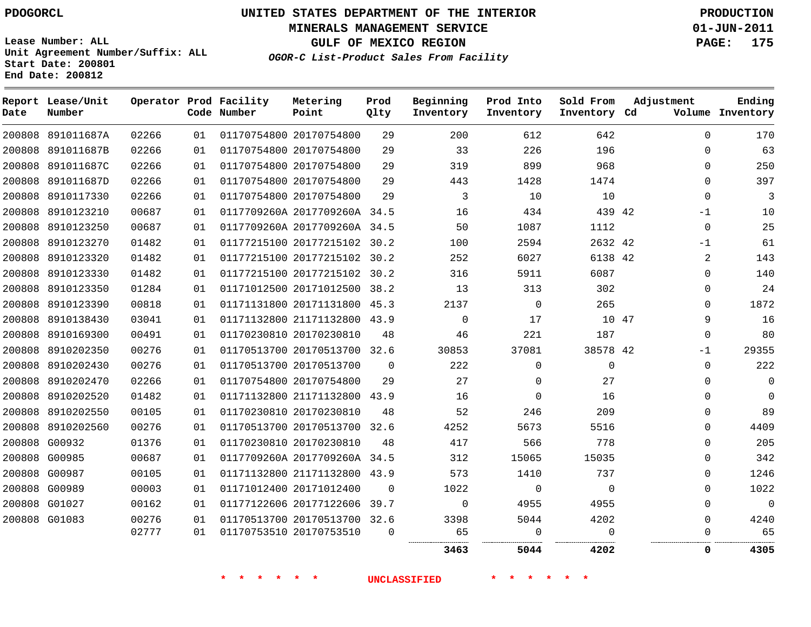**Start Date: 200801 End Date: 200812**

**Unit Agreement Number/Suffix: ALL**

# **UNITED STATES DEPARTMENT OF THE INTERIOR PDOGORCL PRODUCTION**

**MINERALS MANAGEMENT SERVICE 01-JUN-2011**

**GULF OF MEXICO REGION PAGE: 175**

**OGOR-C List-Product Sales From Facility**

**Report Lease/Unit Operator Prod Facility Metering Prod Beginning Prod Into Sold From Adjustment Ending Code Number Point Inventory Cd Volume Date Number Qlty Inventory Inventory Inventory**  $\Omega$  891011687A 20170754800 891011687B 20170754800  $\Omega$  891011687C 20170754800  $\cap$  891011687D 20170754800  $\Omega$   $\Omega$  8910117330 20170754800 8910123210 0117709260A 2017709260A 34.5 42 -1 8910123250 0117709260A 2017709260A 34.5  $\Omega$  8910123270 20177215102 30.2 42 -1 8910123320 20177215102 30.2 42 8910123330 20177215102 30.2  $\Omega$  8910123350 20171012500 38.2 8910123390 20171131800 45.3  $\Omega$  8910138430 21171132800 43.9 47  $\Omega$  8910169300 20170230810 8910202350 20170513700 32.6 42 -1 8910202430 20170513700  $\Omega$  $\Omega$  8910202470 20170754800  $\Omega$  $\Omega$  8910202520 21171132800 43.9  $\Omega$   $\Omega$  $\Omega$  8910202550 20170230810  $\Omega$  8910202560 20170513700 32.6  $\Omega$  G00932 20170230810  $\Omega$  G00985 0117709260A 2017709260A 34.5  $\cap$  G00987 21171132800 43.9  $\Omega$  G00989 20171012400  $\Omega$  $\Omega$  $\Omega$  $\Omega$  G01027 20177122606 39.7  $\Omega$   $\Omega$  $\Omega$  G01083 20170513700 32.6  $\Omega$  20170753510 . . . . . . . . . . . . . . . . . . . . . . . . . **5044 4202 0 4305**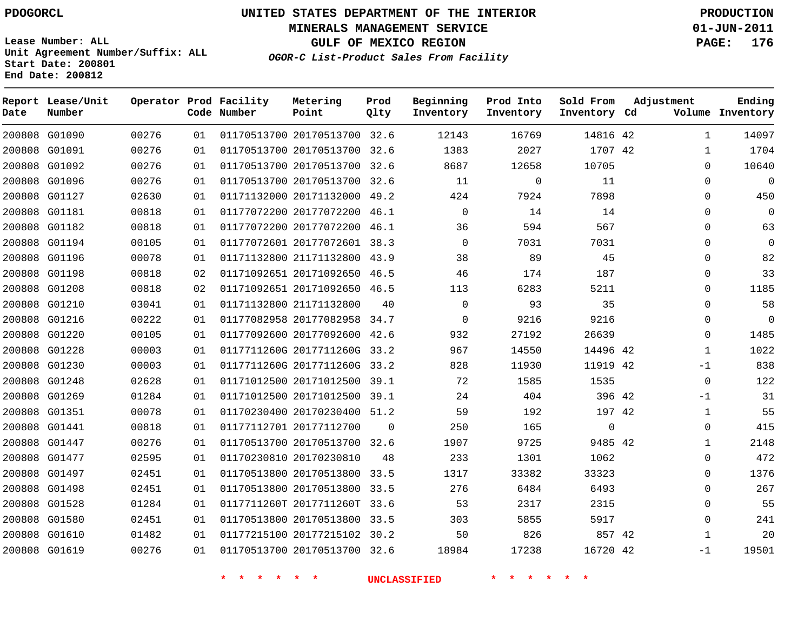**Start Date: 200801 End Date: 200812**

**Unit Agreement Number/Suffix: ALL**

# **UNITED STATES DEPARTMENT OF THE INTERIOR PDOGORCL PRODUCTION**

**MINERALS MANAGEMENT SERVICE 01-JUN-2011**

**GULF OF MEXICO REGION PAGE: 176**

**OGOR-C List-Product Sales From Facility**

 G01090 G01091 G01092 G01096 G01127 G01181 G01182 G01194 G01196 G01198 G01208 G01210 G01216 G01220 G01228 G01230 G01248 G01269 G01351 G01441 G01447 G01477 G01497 G01498 G01528 G01580 G01610 G01619 **Report Lease/Unit Date Number Operator Prod Facility Code Number** 20170513700 32.6 20170513700 20170513700 32.6 20170513700 32.6 20171132000 49.2 20177072200 46.1 20177072200 46.1 20177072601 38.3 21171132800 43.9 20171092650 46.5 20171092650 46.5 21171132800 20177082958 34.7 20177092600 42.6 0117711260G 2017711260G 33.2 0117711260G 2017711260G 33.2 20171012500 39.1 20171012500 39.1 20170230400 51.2 20177112700 20170513700 32.6 20170230810 20170513800 33.5 20170513800 33.5 0117711260T 2017711260T 33.6 20170513800 33.5 20177215102 30.2 20170513700 32.6 **Metering Point** 42 42 42 42 42 42 9485 42 42 42 32.6  $\Omega$  **Prod Qlty**  $\Omega$   $\Omega$   $\Omega$  $\Omega$  **Beginning Inventory**  $\Omega$   $\Omega$   $\Omega$   $\Omega$  **Ending Inventory Cd Volume**  $\Omega$  **Prod Into Inventory Sold From Inventory**  $\cap$  $\Omega$  $\Omega$  $\Omega$  $\Omega$  $\Omega$   $\Omega$   $\Omega$  -1  $\Omega$ -1  $\Omega$   $\Omega$  $\Omega$  $\Omega$  $\Omega$  $\Omega$  -1 **Adjustment**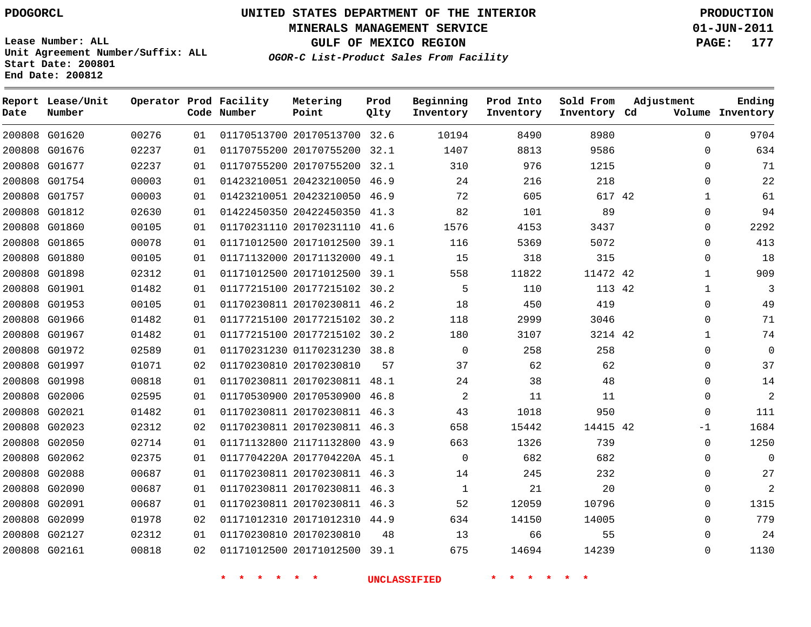**Start Date: 200801 End Date: 200812**

**Unit Agreement Number/Suffix: ALL**

# **UNITED STATES DEPARTMENT OF THE INTERIOR PDOGORCL PRODUCTION**

**MINERALS MANAGEMENT SERVICE 01-JUN-2011**

**GULF OF MEXICO REGION PAGE: 177**

**OGOR-C List-Product Sales From Facility**

 G01620 G01676 G01677 G01754 G01757 G01812 G01860 G01865 G01880 G01898 G01901 G01953 G01966 G01967 G01972 G01997 G01998 G02006 G02021 G02023 G02050 G02062 G02088 G02090 G02091 G02099 G02127 G02161 **Report Lease/Unit Date Number Operator Prod Facility Code Number** 20170513700 32.6 20170755200 32.1 20170755200 32.1 20423210050 46.9 20423210050 46.9 20422450350 41.3 20170231110 41.6 20171012500 39.1 20171132000 49.1 20171012500 39.1 20177215102 30.2 20170230811 46.2 20177215102 30.2 20177215102 30.2 01170231230 38.8 20170230810 20170230811 48.1 20170530900 46.8 20170230811 46.3 20170230811 46.3 21171132800 43.9 0117704220A 2017704220A 45.1 20170230811 46.3 20170230811 46.3 20170230811 46.3 20171012310 44.9 20170230810 20171012500 39.1 **Metering Point** 42 42 42 42 42 **Prod Qlty**  $\Omega$  **Beginning Inventory Ending Inventory Cd Volume Prod Into Inventory Sold From Inventory**  $\Omega$  $\Omega$  $\cap$  $\Omega$   $\Omega$  $\Omega$  $\Omega$   $\Omega$   $\Omega$   $\Omega$  $\Omega$  $\Omega$ -1  $\Omega$  $\Omega$  $\Omega$  $\Omega$  $\Omega$  $\Omega$  $\Omega$  $\Omega$ **Adjustment**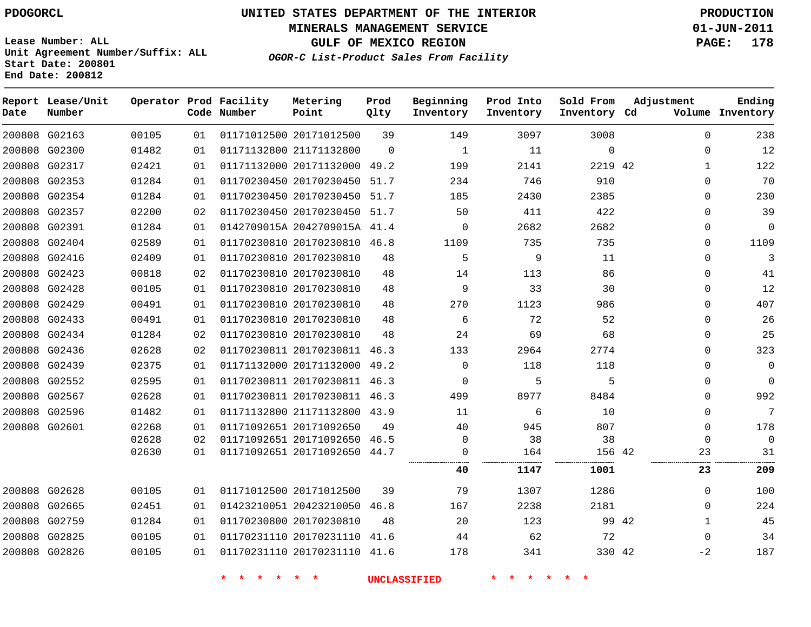**MINERALS MANAGEMENT SERVICE 01-JUN-2011**

**GULF OF MEXICO REGION PAGE: 178**

**Lease Number: ALL Unit Agreement Number/Suffix: ALL Start Date: 200801 End Date: 200812**

|  |  |  | OGOR-C List-Product Sales From Facility |  |
|--|--|--|-----------------------------------------|--|
|  |  |  |                                         |  |

| Date          | Report Lease/Unit<br>Number |       |    | Operator Prod Facility<br>Code Number | Metering<br>Point            | Prod<br>Qlty | Beginning<br>Inventory | Prod Into<br>Inventory | Sold From<br>Inventory Cd | Adjustment   | Ending<br>Volume Inventory |
|---------------|-----------------------------|-------|----|---------------------------------------|------------------------------|--------------|------------------------|------------------------|---------------------------|--------------|----------------------------|
|               | 200808 G02163               | 00105 | 01 |                                       | 01171012500 20171012500      | 39           | 149                    | 3097                   | 3008                      | $\Omega$     | 238                        |
|               | 200808 G02300               | 01482 | 01 |                                       | 01171132800 21171132800      | $\Omega$     | $\mathbf{1}$           | 11                     | $\mathbf{0}$              | 0            | 12                         |
|               | 200808 G02317               | 02421 | 01 |                                       | 01171132000 20171132000 49.2 |              | 199                    | 2141                   | 2219 42                   | $\mathbf{1}$ | 122                        |
|               | 200808 G02353               | 01284 | 01 |                                       | 01170230450 20170230450      | 51.7         | 234                    | 746                    | 910                       | $\mathbf 0$  | 70                         |
|               | 200808 G02354               | 01284 | 01 |                                       | 01170230450 20170230450      | 51.7         | 185                    | 2430                   | 2385                      | $\mathbf 0$  | 230                        |
|               | 200808 G02357               | 02200 | 02 |                                       | 01170230450 20170230450 51.7 |              | 50                     | 411                    | 422                       | $\Omega$     | 39                         |
|               | 200808 G02391               | 01284 | 01 |                                       | 0142709015A 2042709015A 41.4 |              | $\mathbf 0$            | 2682                   | 2682                      | 0            | $\Omega$                   |
|               | 200808 G02404               | 02589 | 01 |                                       | 01170230810 20170230810 46.8 |              | 1109                   | 735                    | 735                       | $\mathbf 0$  | 1109                       |
|               | 200808 G02416               | 02409 | 01 |                                       | 01170230810 20170230810      | 48           | 5                      | 9                      | 11                        | 0            | 3                          |
|               | 200808 G02423               | 00818 | 02 |                                       | 01170230810 20170230810      | 48           | 14                     | 113                    | 86                        | $\mathbf 0$  | 41                         |
|               | 200808 G02428               | 00105 | 01 |                                       | 01170230810 20170230810      | 48           | 9                      | 33                     | 30                        | $\mathbf 0$  | 12                         |
| 200808 G02429 |                             | 00491 | 01 |                                       | 01170230810 20170230810      | 48           | 270                    | 1123                   | 986                       | $\mathbf 0$  | 407                        |
|               | 200808 G02433               | 00491 | 01 |                                       | 01170230810 20170230810      | 48           | 6                      | 72                     | 52                        | $\mathbf 0$  | 26                         |
|               | 200808 G02434               | 01284 | 02 |                                       | 01170230810 20170230810      | 48           | 24                     | 69                     | 68                        | $\Omega$     | 25                         |
|               | 200808 G02436               | 02628 | 02 |                                       | 01170230811 20170230811 46.3 |              | 133                    | 2964                   | 2774                      | $\Omega$     | 323                        |
|               | 200808 G02439               | 02375 | 01 |                                       | 01171132000 20171132000 49.2 |              | $\mathbf 0$            | 118                    | 118                       | $\mathbf 0$  | $\mathbf 0$                |
|               | 200808 G02552               | 02595 | 01 |                                       | 01170230811 20170230811 46.3 |              | $\Omega$               | 5                      | 5                         | $\mathbf 0$  | $\mathbf 0$                |
|               | 200808 G02567               | 02628 | 01 |                                       | 01170230811 20170230811 46.3 |              | 499                    | 8977                   | 8484                      | $\mathbf{0}$ | 992                        |
|               | 200808 G02596               | 01482 | 01 |                                       | 01171132800 21171132800 43.9 |              | 11                     | 6                      | 10                        | 0            | 7                          |
|               | 200808 G02601               | 02268 | 01 |                                       | 01171092651 20171092650      | 49           | 40                     | 945                    | 807                       | $\mathbf{0}$ | 178                        |
|               |                             | 02628 | 02 |                                       | 01171092651 20171092650 46.5 |              | $\mathbf 0$            | 38                     | 38                        | $\Omega$     | $\Omega$                   |
|               |                             | 02630 | 01 |                                       | 01171092651 20171092650 44.7 |              | $\Omega$<br>           | 164                    | 156 42                    | 23           | 31                         |
|               |                             |       |    |                                       |                              |              | 40                     | 1147                   | 1001                      | 23           | 209                        |
|               | 200808 G02628               | 00105 | 01 |                                       | 01171012500 20171012500      | 39           | 79                     | 1307                   | 1286                      | $\Omega$     | 100                        |
|               | 200808 G02665               | 02451 | 01 |                                       | 01423210051 20423210050 46.8 |              | 167                    | 2238                   | 2181                      | $\Omega$     | 224                        |
|               | 200808 G02759               | 01284 | 01 |                                       | 01170230800 20170230810      | 48           | 20                     | 123                    | 99 42                     | $\mathbf{1}$ | 45                         |
| 200808 G02825 |                             | 00105 | 01 |                                       | 01170231110 20170231110 41.6 |              | 44                     | 62                     | 72                        | $\Omega$     | 34                         |
|               | 200808 G02826               | 00105 | 01 |                                       | 01170231110 20170231110 41.6 |              | 178                    | 341                    | 330 42                    | -2           | 187                        |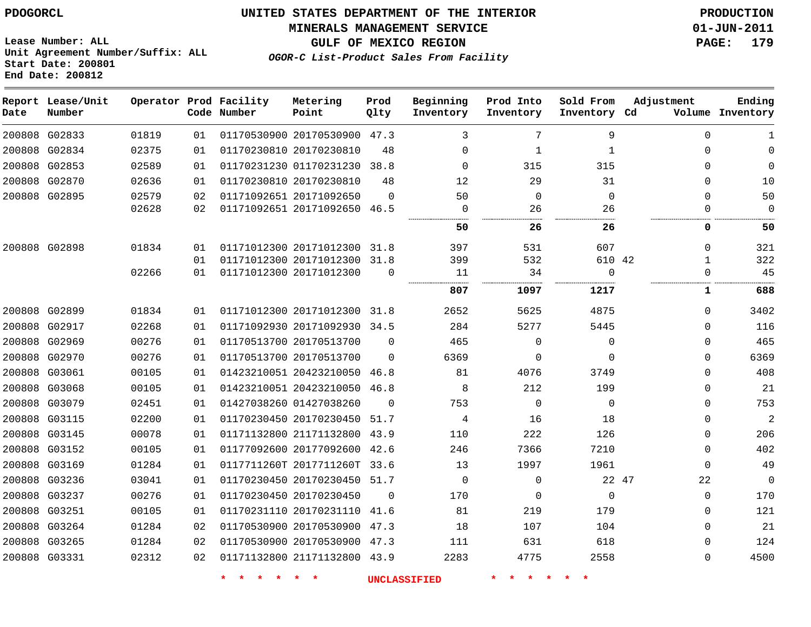**MINERALS MANAGEMENT SERVICE 01-JUN-2011**

**GULF OF MEXICO REGION PAGE: 179**

**Lease Number: ALL Unit Agreement Number/Suffix: ALL Start Date: 200801 End Date: 200812**

**OGOR-C List-Product Sales From Facility**

| Date | Report Lease/Unit<br>Number |       |    | Operator Prod Facility<br>Code Number | Metering<br>Point            | Prod<br>Qlty | Beginning<br>Inventory | Prod Into<br>Inventory | Sold From<br>Inventory Cd | Adjustment  | Ending<br>Volume Inventory |
|------|-----------------------------|-------|----|---------------------------------------|------------------------------|--------------|------------------------|------------------------|---------------------------|-------------|----------------------------|
|      | 200808 G02833               | 01819 | 01 |                                       | 01170530900 20170530900 47.3 |              | 3                      | 7                      | 9                         | $\Omega$    | 1                          |
|      | 200808 G02834               | 02375 | 01 |                                       | 01170230810 20170230810      | 48           | $\Omega$               | $\mathbf{1}$           | $\mathbf{1}$              | $\Omega$    |                            |
|      | 200808 G02853               | 02589 | 01 |                                       | 01170231230 01170231230      | 38.8         | $\Omega$               | 315                    | 315                       | $\Omega$    | 0                          |
|      | 200808 G02870               | 02636 | 01 |                                       | 01170230810 20170230810      | 48           | 12                     | 29                     | 31                        | $\Omega$    | 10                         |
|      | 200808 G02895               | 02579 | 02 |                                       | 01171092651 20171092650      | $\Omega$     | 50                     | 0                      | $\mathbf 0$               | $\Omega$    | 50                         |
|      |                             | 02628 | 02 |                                       | 01171092651 20171092650 46.5 |              | $\Omega$               | 26                     | 26                        | $\Omega$    | 0                          |
|      |                             |       |    |                                       |                              |              | 50                     | 26                     | 26                        | 0           | 50                         |
|      | 200808 G02898               | 01834 | 01 |                                       | 01171012300 20171012300      | 31.8         | 397                    | 531                    | 607                       | $\Omega$    | 321                        |
|      |                             |       | 01 |                                       | 01171012300 20171012300      | 31.8         | 399                    | 532                    | 610 42                    | 1           | 322                        |
|      |                             | 02266 | 01 |                                       | 01171012300 20171012300      | $\mathbf 0$  | 11                     | 34                     | $\mathbf 0$               | $\Omega$    | 45                         |
|      |                             |       |    |                                       |                              |              | 807                    | 1097                   | 1217                      | 1           | 688                        |
|      | 200808 G02899               | 01834 | 01 |                                       | 01171012300 20171012300 31.8 |              | 2652                   | 5625                   | 4875                      | $\Omega$    | 3402                       |
|      | 200808 G02917               | 02268 | 01 |                                       | 01171092930 20171092930      | 34.5         | 284                    | 5277                   | 5445                      | $\Omega$    | 116                        |
|      | 200808 G02969               | 00276 | 01 |                                       | 01170513700 20170513700      | $\Omega$     | 465                    | $\mathbf 0$            | $\mathbf 0$               | $\Omega$    | 465                        |
|      | 200808 G02970               | 00276 | 01 |                                       | 01170513700 20170513700      | $\Omega$     | 6369                   | $\mathbf 0$            | $\Omega$                  | $\Omega$    | 6369                       |
|      | 200808 G03061               | 00105 | 01 |                                       | 01423210051 20423210050      | 46.8         | 81                     | 4076                   | 3749                      | $\Omega$    | 408                        |
|      | 200808 G03068               | 00105 | 01 |                                       | 01423210051 20423210050 46.8 |              | 8                      | 212                    | 199                       | $\Omega$    | 21                         |
|      | 200808 G03079               | 02451 | 01 |                                       | 01427038260 01427038260      | $\Omega$     | 753                    | $\mathbf 0$            | $\mathbf 0$               | $\Omega$    | 753                        |
|      | 200808 G03115               | 02200 | 01 |                                       | 01170230450 20170230450      | 51.7         | 4                      | 16                     | 18                        | $\Omega$    | $\overline{a}$             |
|      | 200808 G03145               | 00078 | 01 |                                       | 01171132800 21171132800      | 43.9         | 110                    | 222                    | 126                       | $\Omega$    | 206                        |
|      | 200808 G03152               | 00105 | 01 |                                       | 01177092600 20177092600      | 42.6         | 246                    | 7366                   | 7210                      | $\Omega$    | 402                        |
|      | 200808 G03169               | 01284 | 01 |                                       | 0117711260T 2017711260T      | 33.6         | 13                     | 1997                   | 1961                      | $\Omega$    | 49                         |
|      | 200808 G03236               | 03041 | 01 |                                       | 01170230450 20170230450 51.7 |              | $\Omega$               | $\mathbf 0$            | 22 47                     | 22          | 0                          |
|      | 200808 G03237               | 00276 | 01 |                                       | 01170230450 20170230450      | $\Omega$     | 170                    | 0                      | $\mathbf 0$               | $\mathbf 0$ | 170                        |
|      | 200808 G03251               | 00105 | 01 |                                       | 01170231110 20170231110      | 41.6         | 81                     | 219                    | 179                       | $\Omega$    | 121                        |
|      | 200808 G03264               | 01284 | 02 |                                       | 01170530900 20170530900 47.3 |              | 18                     | 107                    | 104                       | $\Omega$    | 21                         |
|      | 200808 G03265               | 01284 | 02 |                                       | 01170530900 20170530900 47.3 |              | 111                    | 631                    | 618                       | $\Omega$    | 124                        |
|      | 200808 G03331               | 02312 | 02 |                                       | 01171132800 21171132800 43.9 |              | 2283                   | 4775                   | 2558                      | $\Omega$    | 4500                       |
|      |                             |       |    |                                       |                              |              |                        |                        |                           |             |                            |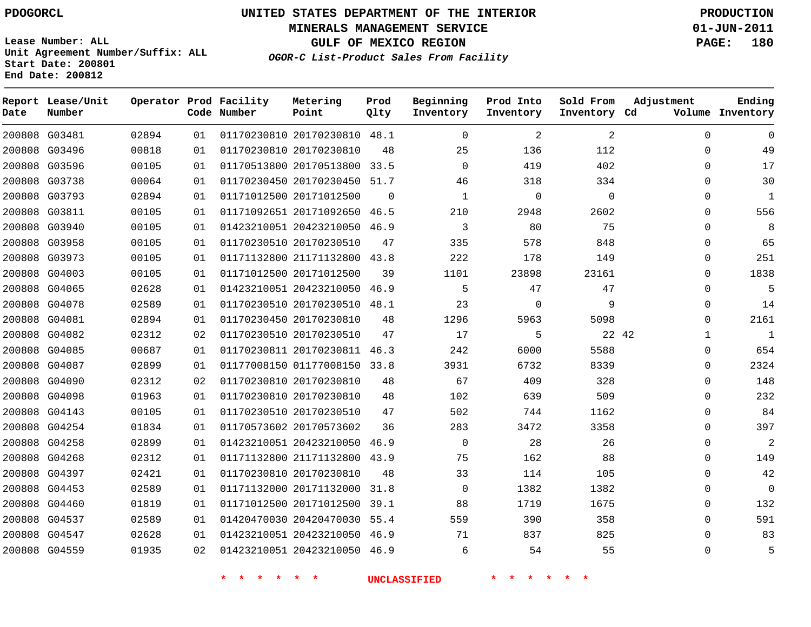**MINERALS MANAGEMENT SERVICE 01-JUN-2011**

**GULF OF MEXICO REGION PAGE: 180**

**Lease Number: ALL Unit Agreement Number/Suffix: ALL Start Date: 200801 End Date: 200812**

**OGOR-C List-Product Sales From Facility**

| Date | Report Lease/Unit<br>Number |       |    | Operator Prod Facility<br>Code Number | Metering<br>Point            | Prod<br>Qlty   | Beginning<br>Inventory | Prod Into<br>Inventory | Sold From<br>Inventory Cd | Adjustment  | Ending<br>Volume Inventory |
|------|-----------------------------|-------|----|---------------------------------------|------------------------------|----------------|------------------------|------------------------|---------------------------|-------------|----------------------------|
|      | 200808 G03481               | 02894 | 01 |                                       | 01170230810 20170230810 48.1 |                | $\mathbf 0$            | 2                      | 2                         | $\mathbf 0$ | 0                          |
|      | 200808 G03496               | 00818 | 01 |                                       | 01170230810 20170230810      | 48             | 25                     | 136                    | 112                       | 0           | 49                         |
|      | 200808 G03596               | 00105 | 01 |                                       | 01170513800 20170513800 33.5 |                | $\Omega$               | 419                    | 402                       | $\Omega$    | 17                         |
|      | 200808 G03738               | 00064 | 01 |                                       | 01170230450 20170230450 51.7 |                | 46                     | 318                    | 334                       | $\Omega$    | 30                         |
|      | 200808 G03793               | 02894 | 01 |                                       | 01171012500 20171012500      | $\overline{0}$ | 1                      | 0                      | $\mathbf 0$               | $\Omega$    | 1                          |
|      | 200808 G03811               | 00105 | 01 |                                       | 01171092651 20171092650      | 46.5           | 210                    | 2948                   | 2602                      | 0           | 556                        |
|      | 200808 G03940               | 00105 | 01 |                                       | 01423210051 20423210050 46.9 |                | 3                      | 80                     | 75                        | $\Omega$    | 8                          |
|      | 200808 G03958               | 00105 | 01 |                                       | 01170230510 20170230510      | 47             | 335                    | 578                    | 848                       | 0           | 65                         |
|      | 200808 G03973               | 00105 | 01 |                                       | 01171132800 21171132800 43.8 |                | 222                    | 178                    | 149                       | $\Omega$    | 251                        |
|      | 200808 G04003               | 00105 | 01 |                                       | 01171012500 20171012500      | 39             | 1101                   | 23898                  | 23161                     | 0           | 1838                       |
|      | 200808 G04065               | 02628 | 01 |                                       | 01423210051 20423210050 46.9 |                | 5                      | 47                     | 47                        | $\Omega$    | 5                          |
|      | 200808 G04078               | 02589 | 01 |                                       | 01170230510 20170230510 48.1 |                | 23                     | 0                      | 9                         | 0           | 14                         |
|      | 200808 G04081               | 02894 | 01 |                                       | 01170230450 20170230810      | 48             | 1296                   | 5963                   | 5098                      | $\Omega$    | 2161                       |
|      | 200808 G04082               | 02312 | 02 |                                       | 01170230510 20170230510      | 47             | 17                     | 5                      | 22 42                     | 1           | $\mathbf{1}$               |
|      | 200808 G04085               | 00687 | 01 |                                       | 01170230811 20170230811 46.3 |                | 242                    | 6000                   | 5588                      | $\Omega$    | 654                        |
|      | 200808 G04087               | 02899 | 01 |                                       | 01177008150 01177008150 33.8 |                | 3931                   | 6732                   | 8339                      | 0           | 2324                       |
|      | 200808 G04090               | 02312 | 02 |                                       | 01170230810 20170230810      | 48             | 67                     | 409                    | 328                       | $\Omega$    | 148                        |
|      | 200808 G04098               | 01963 | 01 |                                       | 01170230810 20170230810      | 48             | 102                    | 639                    | 509                       | 0           | 232                        |
|      | 200808 G04143               | 00105 | 01 |                                       | 01170230510 20170230510      | 47             | 502                    | 744                    | 1162                      | $\Omega$    | 84                         |
|      | 200808 G04254               | 01834 | 01 |                                       | 01170573602 20170573602      | 36             | 283                    | 3472                   | 3358                      | 0           | 397                        |
|      | 200808 G04258               | 02899 | 01 |                                       | 01423210051 20423210050 46.9 |                | $\mathbf 0$            | 28                     | 26                        | $\Omega$    | 2                          |
|      | 200808 G04268               | 02312 | 01 |                                       | 01171132800 21171132800 43.9 |                | 75                     | 162                    | 88                        | 0           | 149                        |
|      | 200808 G04397               | 02421 | 01 |                                       | 01170230810 20170230810      | 48             | 33                     | 114                    | 105                       | $\Omega$    | 42                         |
|      | 200808 G04453               | 02589 | 01 |                                       | 01171132000 20171132000      | 31.8           | $\mathbf 0$            | 1382                   | 1382                      | 0           | 0                          |
|      | 200808 G04460               | 01819 | 01 |                                       | 01171012500 20171012500 39.1 |                | 88                     | 1719                   | 1675                      | $\Omega$    | 132                        |
|      | 200808 G04537               | 02589 | 01 |                                       | 01420470030 20420470030 55.4 |                | 559                    | 390                    | 358                       | 0           | 591                        |
|      | 200808 G04547               | 02628 | 01 |                                       | 01423210051 20423210050 46.9 |                | 71                     | 837                    | 825                       | 0           | 83                         |
|      | 200808 G04559               | 01935 | 02 |                                       | 01423210051 20423210050 46.9 |                | 6                      | 54                     | 55                        | $\Omega$    | 5                          |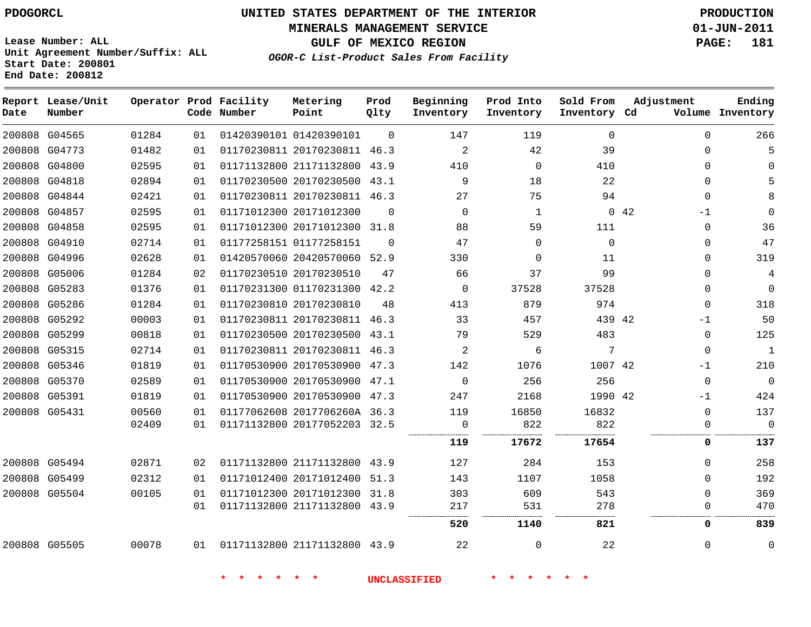**Report Lease/Unit**

# **UNITED STATES DEPARTMENT OF THE INTERIOR PDOGORCL PRODUCTION**

**MINERALS MANAGEMENT SERVICE 01-JUN-2011**

**GULF OF MEXICO REGION PAGE: 181**

**Unit Agreement Number/Suffix: ALL Start Date: 200801 End Date: 200812**

**Operator Prod Facility Metering**

**OGOR-C List-Product Sales From Facility**

**Prod**

**Ending**

| Date          | Number        |       |    | Code Number | Point                        | Qlty     | Inventory   | Inventory | Inventory Cd |     |              | Volume Inventory |
|---------------|---------------|-------|----|-------------|------------------------------|----------|-------------|-----------|--------------|-----|--------------|------------------|
|               | 200808 G04565 | 01284 | 01 |             | 01420390101 01420390101      | $\Omega$ | 147         | 119       | $\Omega$     |     | $\Omega$     | 266              |
|               | 200808 G04773 | 01482 | 01 |             | 01170230811 20170230811 46.3 |          | 2           | 42        | 39           |     | 0            | 5                |
|               | 200808 G04800 | 02595 | 01 |             | 01171132800 21171132800      | 43.9     | 410         | $\Omega$  | 410          |     | 0            | $\Omega$         |
|               | 200808 G04818 | 02894 | 01 |             | 01170230500 20170230500      | 43.1     | 9           | 18        | 22           |     | $\Omega$     | 5                |
|               | 200808 G04844 | 02421 | 01 |             | 01170230811 20170230811 46.3 |          | 27          | 75        | 94           |     | $\Omega$     | 8                |
|               | 200808 G04857 | 02595 | 01 |             | 01171012300 20171012300      | $\Omega$ | $\Omega$    | 1         |              | 042 | $-1$         | $\Omega$         |
|               | 200808 G04858 | 02595 | 01 |             | 01171012300 20171012300 31.8 |          | 88          | 59        | 111          |     | $\mathbf{0}$ | 36               |
|               | 200808 G04910 | 02714 | 01 |             | 01177258151 01177258151      | $\Omega$ | 47          | $\Omega$  | $\Omega$     |     | 0            | 47               |
|               | 200808 G04996 | 02628 | 01 |             | 01420570060 20420570060 52.9 |          | 330         | $\Omega$  | 11           |     | 0            | 319              |
|               | 200808 G05006 | 01284 | 02 |             | 01170230510 20170230510      | 47       | 66          | 37        | 99           |     | 0            | $\overline{4}$   |
|               | 200808 G05283 | 01376 | 01 |             | 01170231300 01170231300 42.2 |          | $\Omega$    | 37528     | 37528        |     | $\Omega$     | $\Omega$         |
|               | 200808 G05286 | 01284 | 01 |             | 01170230810 20170230810      | 48       | 413         | 879       | 974          |     | $\Omega$     | 318              |
|               | 200808 G05292 | 00003 | 01 |             | 01170230811 20170230811 46.3 |          | 33          | 457       | 439 42       |     | $-1$         | 50               |
|               | 200808 G05299 | 00818 | 01 |             | 01170230500 20170230500 43.1 |          | 79          | 529       | 483          |     | 0            | 125              |
|               | 200808 G05315 | 02714 | 01 |             | 01170230811 20170230811 46.3 |          | 2           | 6         | 7            |     | $\Omega$     | $\mathbf{1}$     |
|               | 200808 G05346 | 01819 | 01 |             | 01170530900 20170530900 47.3 |          | 142         | 1076      | 1007 42      |     | $-1$         | 210              |
|               | 200808 G05370 | 02589 | 01 |             | 01170530900 20170530900 47.1 |          | $\mathbf 0$ | 256       | 256          |     | 0            | $\overline{0}$   |
|               | 200808 G05391 | 01819 | 01 |             | 01170530900 20170530900 47.3 |          | 247         | 2168      | 1990 42      |     | -1           | 424              |
|               | 200808 G05431 | 00560 | 01 |             | 01177062608 2017706260A 36.3 |          | 119         | 16850     | 16832        |     | $\mathbf{0}$ | 137              |
|               |               | 02409 | 01 |             | 01171132800 20177052203 32.5 |          | 0           | 822       | 822          |     | 0            | $\overline{0}$   |
|               |               |       |    |             |                              |          | 119         | 17672     | 17654        |     | 0            | 137              |
| 200808 G05494 |               | 02871 | 02 |             | 01171132800 21171132800 43.9 |          | 127         | 284       | 153          |     | $\Omega$     | 258              |
|               | 200808 G05499 | 02312 | 01 |             | 01171012400 20171012400      | 51.3     | 143         | 1107      | 1058         |     | $\Omega$     | 192              |
|               | 200808 G05504 | 00105 | 01 |             | 01171012300 20171012300 31.8 |          | 303         | 609       | 543          |     | $\Omega$     | 369              |
|               |               |       | 01 |             | 01171132800 21171132800 43.9 |          | 217<br>     | 531       | 278          |     | 0            | 470              |
|               |               |       |    |             |                              |          | 520         | 1140      | 821          |     | 0            | 839              |
|               | 200808 G05505 | 00078 | 01 |             | 01171132800 21171132800 43.9 |          | 22          | $\Omega$  | 22           |     | 0            | $\mathbf 0$      |

**\* \* \* \* \* \* UNCLASSIFIED \* \* \* \* \* \***

**Beginning Prod Into Sold From Adjustment**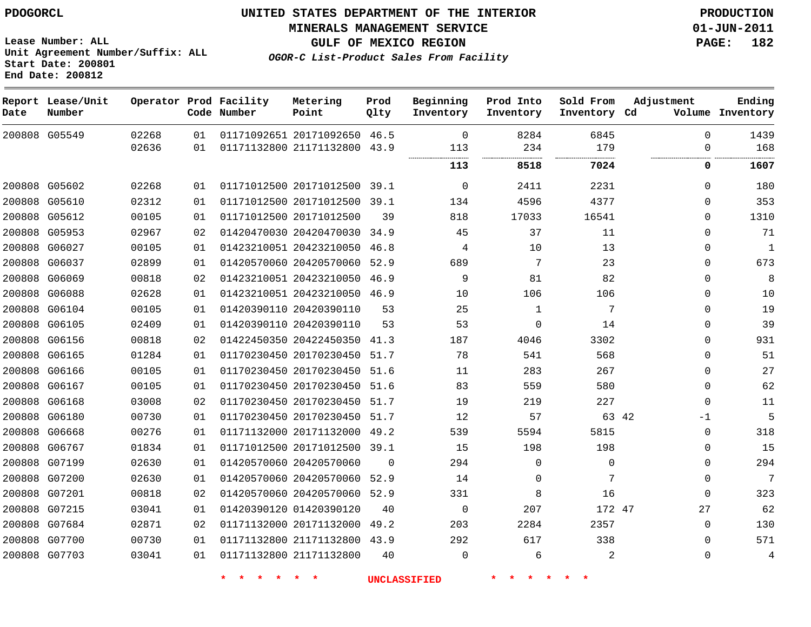**Start Date: 200801**

**Unit Agreement Number/Suffix: ALL**

# **UNITED STATES DEPARTMENT OF THE INTERIOR PDOGORCL PRODUCTION**

**MINERALS MANAGEMENT SERVICE 01-JUN-2011**

**GULF OF MEXICO REGION PAGE: 182**

**OGOR-C List-Product Sales From Facility**

|      | End Date: 200812            |       |    |                                       |                              |              |                        |                        |                           |             |                            |
|------|-----------------------------|-------|----|---------------------------------------|------------------------------|--------------|------------------------|------------------------|---------------------------|-------------|----------------------------|
| Date | Report Lease/Unit<br>Number |       |    | Operator Prod Facility<br>Code Number | Metering<br>Point            | Prod<br>Qlty | Beginning<br>Inventory | Prod Into<br>Inventory | Sold From<br>Inventory Cd | Adjustment  | Ending<br>Volume Inventory |
|      | 200808 G05549               | 02268 | 01 |                                       | 01171092651 20171092650 46.5 |              | $\mathbf 0$            | 8284                   | 6845                      | $\Omega$    | 1439                       |
|      |                             | 02636 | 01 |                                       | 01171132800 21171132800      | 43.9         | 113                    | 234                    | 179<br>.                  | $\mathbf 0$ | 168                        |
|      |                             |       |    |                                       |                              |              | 113                    | 8518                   | 7024                      | 0           | 1607                       |
|      | 200808 G05602               | 02268 | 01 |                                       | 01171012500 20171012500 39.1 |              | $\mathbf 0$            | 2411                   | 2231                      | $\Omega$    | 180                        |
|      | 200808 G05610               | 02312 | 01 |                                       | 01171012500 20171012500      | 39.1         | 134                    | 4596                   | 4377                      | $\Omega$    | 353                        |
|      | 200808 G05612               | 00105 | 01 |                                       | 01171012500 20171012500      | 39           | 818                    | 17033                  | 16541                     | $\Omega$    | 1310                       |
|      | 200808 G05953               | 02967 | 02 |                                       | 01420470030 20420470030      | 34.9         | 45                     | 37                     | 11                        | $\Omega$    | 71                         |
|      | 200808 G06027               | 00105 | 01 |                                       | 01423210051 20423210050      | 46.8         | 4                      | 10                     | 13                        | $\Omega$    | 1                          |
|      | 200808 G06037               | 02899 | 01 |                                       | 01420570060 20420570060      | 52.9         | 689                    | 7                      | 23                        | $\Omega$    | 673                        |
|      | 200808 G06069               | 00818 | 02 |                                       | 01423210051 20423210050      | 46.9         | 9                      | 81                     | 82                        | $\mathbf 0$ | 8                          |
|      | 200808 G06088               | 02628 | 01 |                                       | 01423210051 20423210050      | 46.9         | 10                     | 106                    | 106                       | $\mathbf 0$ | 10                         |
|      | 200808 G06104               | 00105 | 01 |                                       | 01420390110 20420390110      | 53           | 25                     | 1                      | 7                         | $\Omega$    | 19                         |
|      | 200808 G06105               | 02409 | 01 |                                       | 01420390110 20420390110      | 53           | 53                     | $\Omega$               | 14                        | $\Omega$    | 39                         |
|      | 200808 G06156               | 00818 | 02 |                                       | 01422450350 20422450350      | 41.3         | 187                    | 4046                   | 3302                      | $\mathbf 0$ | 931                        |
|      | 200808 G06165               | 01284 | 01 |                                       | 01170230450 20170230450      | 51.7         | 78                     | 541                    | 568                       | $\Omega$    | 51                         |
|      | 200808 G06166               | 00105 | 01 |                                       | 01170230450 20170230450      | 51.6         | 11                     | 283                    | 267                       | $\mathbf 0$ | 27                         |
|      | 200808 G06167               | 00105 | 01 |                                       | 01170230450 20170230450      | 51.6         | 83                     | 559                    | 580                       | $\Omega$    | 62                         |
|      | 200808 G06168               | 03008 | 02 |                                       | 01170230450 20170230450      | 51.7         | 19                     | 219                    | 227                       | $\Omega$    | 11                         |
|      | 200808 G06180               | 00730 | 01 |                                       | 01170230450 20170230450      | 51.7         | 12                     | 57                     | 63 42                     | $-1$        | 5                          |
|      | 200808 G06668               | 00276 | 01 |                                       | 01171132000 20171132000      | 49.2         | 539                    | 5594                   | 5815                      | $\Omega$    | 318                        |
|      | 200808 G06767               | 01834 | 01 |                                       | 01171012500 20171012500      | 39.1         | 15                     | 198                    | 198                       | $\Omega$    | 15                         |
|      | 200808 G07199               | 02630 | 01 |                                       | 01420570060 20420570060      | $\Omega$     | 294                    | 0                      | 0                         | $\mathbf 0$ | 294                        |
|      | 200808 G07200               | 02630 | 01 |                                       | 01420570060 20420570060      | 52.9         | 14                     | $\Omega$               | 7                         | $\Omega$    | $7\phantom{.0}$            |
|      | 200808 G07201               | 00818 | 02 |                                       | 01420570060 20420570060      | 52.9         | 331                    | 8                      | 16                        | $\Omega$    | 323                        |
|      | 200808 G07215               | 03041 | 01 |                                       | 01420390120 01420390120      | 40           | $\mathbf 0$            | 207                    | 172 47                    | 27          | 62                         |
|      | 200808 G07684               | 02871 | 02 |                                       | 01171132000 20171132000      | 49.2         | 203                    | 2284                   | 2357                      | $\Omega$    | 130                        |
|      | 200808 G07700               | 00730 | 01 |                                       | 01171132800 21171132800      | 43.9         | 292                    | 617                    | 338                       | $\mathbf 0$ | 571                        |
|      | 200808 G07703               | 03041 | 01 |                                       | 01171132800 21171132800      | 40           | $\Omega$               | 6                      | 2                         | $\Omega$    | 4                          |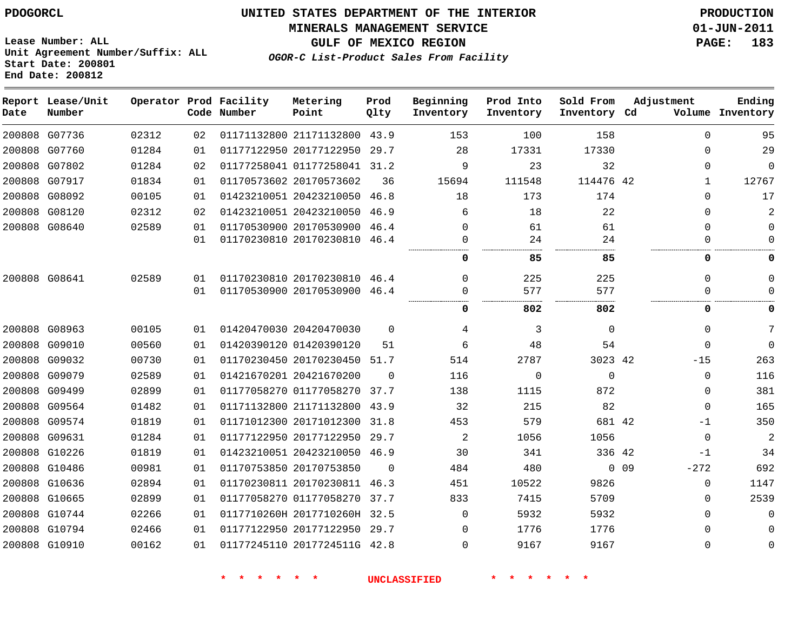#### **MINERALS MANAGEMENT SERVICE 01-JUN-2011**

**GULF OF MEXICO REGION PAGE: 183**

**Lease Number: ALL Unit Agreement Number/Suffix: ALL Start Date: 200801 End Date: 200812**

**OGOR-C List-Product Sales From Facility**

| Date | Report Lease/Unit<br>Number |       |    | Operator Prod Facility<br>Code Number | Metering<br>Point            | Prod<br>Qlty | Beginning<br>Inventory | Prod Into<br>Inventory | Sold From<br>Inventory Cd | Adjustment                | Ending<br>Volume Inventory    |
|------|-----------------------------|-------|----|---------------------------------------|------------------------------|--------------|------------------------|------------------------|---------------------------|---------------------------|-------------------------------|
|      | 200808 G07736               | 02312 | 02 |                                       | 01171132800 21171132800 43.9 |              | 153                    | 100                    | 158                       |                           | 95<br>$\Omega$                |
|      | 200808 G07760               | 01284 | 01 |                                       | 01177122950 20177122950 29.7 |              | 28                     | 17331                  | 17330                     |                           | 29<br>$\Omega$                |
|      | 200808 G07802               | 01284 | 02 |                                       | 01177258041 01177258041 31.2 |              | 9                      | 23                     | 32                        |                           | $\mathbf 0$<br>$\Omega$       |
|      | 200808 G07917               | 01834 | 01 |                                       | 01170573602 20170573602      | 36           | 15694                  | 111548                 | 114476 42                 |                           | 12767<br>$\mathbf{1}$         |
|      | 200808 G08092               | 00105 | 01 |                                       | 01423210051 20423210050 46.8 |              | 18                     | 173                    | 174                       |                           | 17<br>$\Omega$                |
|      | 200808 G08120               | 02312 | 02 |                                       | 01423210051 20423210050 46.9 |              | 6                      | 18                     | 22                        |                           | 2<br>$\Omega$                 |
|      | 200808 G08640               | 02589 | 01 |                                       | 01170530900 20170530900 46.4 |              | $\Omega$               | 61                     | 61                        |                           | $\Omega$<br>0                 |
|      |                             |       | 01 |                                       | 01170230810 20170230810 46.4 |              | 0                      | 24                     | 24                        |                           | $\Omega$<br>$\mathbf{0}$      |
|      |                             |       |    |                                       |                              |              | 0                      | 85                     | 85                        |                           | 0<br>0                        |
|      | 200808 G08641               | 02589 | 01 |                                       | 01170230810 20170230810 46.4 |              | $\Omega$               | 225                    | 225                       |                           | $\Omega$<br>0                 |
|      |                             |       | 01 |                                       | 01170530900 20170530900 46.4 |              | 0                      | 577                    | 577                       |                           | $\Omega$<br>$\Omega$          |
|      |                             |       |    |                                       |                              |              | 0                      | 802                    | 802                       |                           | 0<br>0                        |
|      | 200808 G08963               | 00105 | 01 |                                       | 01420470030 20420470030      | $\Omega$     | 4                      | 3                      | $\Omega$                  |                           | 7<br>$\Omega$                 |
|      | 200808 G09010               | 00560 | 01 |                                       | 01420390120 01420390120      | 51           | 6                      | 48                     | 54                        |                           | $\Omega$<br>$\Omega$          |
|      | 200808 G09032               | 00730 | 01 |                                       | 01170230450 20170230450 51.7 |              | 514                    | 2787                   | 3023 42                   | $-15$                     | 263                           |
|      | 200808 G09079               | 02589 | 01 |                                       | 01421670201 20421670200      | $\Omega$     | 116                    | $\Omega$               | $\Omega$                  |                           | 116<br>$\Omega$               |
|      | 200808 G09499               | 02899 | 01 |                                       | 01177058270 01177058270      | 37.7         | 138                    | 1115                   | 872                       |                           | 381<br>$\Omega$               |
|      | 200808 G09564               | 01482 | 01 |                                       | 01171132800 21171132800      | 43.9         | 32                     | 215                    | 82                        |                           | 165<br>$\Omega$               |
|      | 200808 G09574               | 01819 | 01 |                                       | 01171012300 20171012300      | 31.8         | 453                    | 579                    | 681 42                    | $-1$                      | 350                           |
|      | 200808 G09631               | 01284 | 01 |                                       | 01177122950 20177122950      | 29.7         | 2                      | 1056                   | 1056                      |                           | $\overline{a}$<br>$\mathbf 0$ |
|      | 200808 G10226               | 01819 | 01 |                                       | 01423210051 20423210050 46.9 |              | 30                     | 341                    | 336 42                    | -1                        | 34                            |
|      | 200808 G10486               | 00981 | 01 |                                       | 01170753850 20170753850      | $\Omega$     | 484                    | 480                    |                           | 0 <sub>09</sub><br>$-272$ | 692                           |
|      | 200808 G10636               | 02894 | 01 |                                       | 01170230811 20170230811 46.3 |              | 451                    | 10522                  | 9826                      |                           | 1147<br>0                     |
|      | 200808 G10665               | 02899 | 01 |                                       | 01177058270 01177058270      | 37.7         | 833                    | 7415                   | 5709                      |                           | 2539<br>0                     |
|      | 200808 G10744               | 02266 | 01 |                                       | 0117710260H 2017710260H 32.5 |              | $\Omega$               | 5932                   | 5932                      |                           | $\Omega$<br>$\mathbf{0}$      |
|      | 200808 G10794               | 02466 | 01 |                                       | 01177122950 20177122950 29.7 |              | $\Omega$               | 1776                   | 1776                      |                           | $\mathbf{0}$<br>0             |
|      | 200808 G10910               | 00162 | 01 |                                       | 01177245110 2017724511G 42.8 |              | 0                      | 9167                   | 9167                      |                           | 0<br>$\mathbf{0}$             |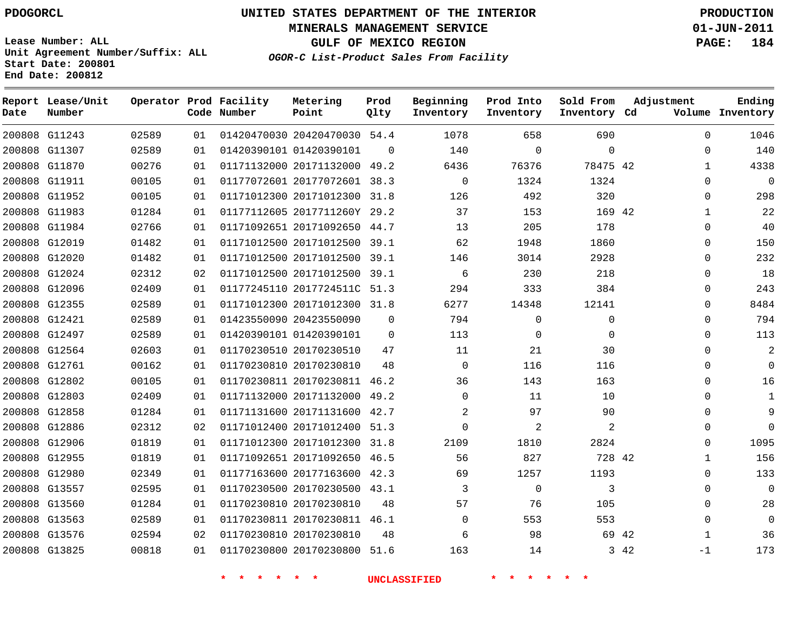**Start Date: 200801 End Date: 200812**

**Unit Agreement Number/Suffix: ALL**

# **UNITED STATES DEPARTMENT OF THE INTERIOR PDOGORCL PRODUCTION**

**MINERALS MANAGEMENT SERVICE 01-JUN-2011**

**GULF OF MEXICO REGION PAGE: 184**

**OGOR-C List-Product Sales From Facility**

 G11243 G11307 G11870 G11911 G11952 G11983 G11984 G12019 G12020 G12024 G12096 G12355 G12421 G12497 G12564 G12761 G12802 G12803 G12858 G12886 G12906 G12955 G12980 G13557 G13560 G13563 G13576 G13825 **Report Lease/Unit Date Number Operator Prod Facility Code Number** 20420470030 54.4 01420390101 20171132000 49.2 20177072601 38.3 20171012300 31.8 2017711260Y 29.2 20171092650 44.7 20171012500 39.1 20171012500 39.1 20171012500 39.1 2017724511C 51.3 20171012300 31.8 20423550090 01420390101 20170230510 20170230810 20170230811 46.2 20171132000 49.2 20171131600 42.7 20171012400 51.3 20171012300 31.8 20171092650 46.5 20177163600 42.3 20170230500 43.1 20170230810 20170230811 46.1 20170230810 20170230800 51.6 **Metering Point** 42 42 42 42 42  $\Omega$  **Prod Qlty**  $\Omega$   $\Omega$   $\Omega$   $\Omega$   $\Omega$  **Beginning Inventory**  $\Omega$   $\Omega$   $\Omega$  **Ending Inventory Cd Volume**  $\Omega$   $\Omega$  $\Omega$   $\Omega$  **Prod Into Inventory**  $\Omega$   $\Omega$  **Sold From Inventory**  $\Omega$  $\Omega$   $\Omega$  $\Omega$   $\Omega$  $\Omega$   $\Omega$   $\Omega$   $\Omega$  $\Omega$  $\Omega$  $\Omega$  $\Omega$   $\Omega$   $\Omega$  $\Omega$  $\Omega$  $\Omega$  -1 **Adjustment**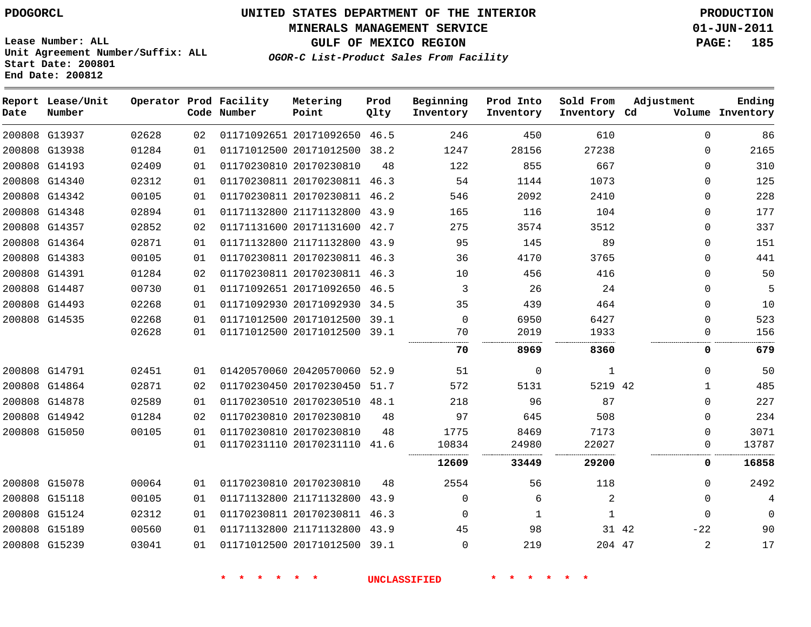**MINERALS MANAGEMENT SERVICE 01-JUN-2011**

**GULF OF MEXICO REGION PAGE: 185 OGOR-C List-Product Sales From Facility**

**Lease Number: ALL Unit Agreement Number/Suffix: ALL Start Date: 200801 End Date: 200812**

| Date | Report Lease/Unit<br>Number |       |    | Operator Prod Facility<br>Code Number | Metering<br>Point            | Prod<br>Qlty | Beginning<br>Inventory | Prod Into<br>Inventory | Sold From<br>Inventory Cd | Adjustment     | Ending<br>Volume Inventory |
|------|-----------------------------|-------|----|---------------------------------------|------------------------------|--------------|------------------------|------------------------|---------------------------|----------------|----------------------------|
|      | 200808 G13937               | 02628 | 02 |                                       | 01171092651 20171092650 46.5 |              | 246                    | 450                    | 610                       | $\mathbf{0}$   | 86                         |
|      | 200808 G13938               | 01284 | 01 |                                       | 01171012500 20171012500 38.2 |              | 1247                   | 28156                  | 27238                     | 0              | 2165                       |
|      | 200808 G14193               | 02409 | 01 |                                       | 01170230810 20170230810      | 48           | 122                    | 855                    | 667                       | 0              | 310                        |
|      | 200808 G14340               | 02312 | 01 |                                       | 01170230811 20170230811 46.3 |              | 54                     | 1144                   | 1073                      | $\Omega$       | 125                        |
|      | 200808 G14342               | 00105 | 01 |                                       | 01170230811 20170230811 46.2 |              | 546                    | 2092                   | 2410                      | $\mathbf{0}$   | 228                        |
|      | 200808 G14348               | 02894 | 01 |                                       | 01171132800 21171132800 43.9 |              | 165                    | 116                    | 104                       | $\mathbf{0}$   | 177                        |
|      | 200808 G14357               | 02852 | 02 |                                       | 01171131600 20171131600 42.7 |              | 275                    | 3574                   | 3512                      | $\Omega$       | 337                        |
|      | 200808 G14364               | 02871 | 01 |                                       | 01171132800 21171132800 43.9 |              | 95                     | 145                    | 89                        | $\mathbf{0}$   | 151                        |
|      | 200808 G14383               | 00105 | 01 |                                       | 01170230811 20170230811 46.3 |              | 36                     | 4170                   | 3765                      | $\Omega$       | 441                        |
|      | 200808 G14391               | 01284 | 02 |                                       | 01170230811 20170230811 46.3 |              | 10                     | 456                    | 416                       | 0              | 50                         |
|      | 200808 G14487               | 00730 | 01 |                                       | 01171092651 20171092650 46.5 |              | 3                      | 26                     | 24                        | $\mathbf 0$    | 5                          |
|      | 200808 G14493               | 02268 | 01 |                                       | 01171092930 20171092930 34.5 |              | 35                     | 439                    | 464                       | $\mathbf 0$    | 10                         |
|      | 200808 G14535               | 02268 | 01 |                                       | 01171012500 20171012500 39.1 |              | $\Omega$               | 6950                   | 6427                      | $\mathbf 0$    | 523                        |
|      |                             | 02628 | 01 |                                       | 01171012500 20171012500 39.1 |              | 70                     | 2019                   | 1933                      | $\mathbf{0}$   | 156                        |
|      |                             |       |    |                                       |                              |              | 70                     | 8969                   | 8360                      | 0              | 679                        |
|      | 200808 G14791               | 02451 | 01 |                                       | 01420570060 20420570060 52.9 |              | 51                     | $\mathbf 0$            | $\mathbf{1}$              | $\Omega$       | 50                         |
|      | 200808 G14864               | 02871 | 02 |                                       | 01170230450 20170230450 51.7 |              | 572                    | 5131                   | 5219 42                   | $\mathbf{1}$   | 485                        |
|      | 200808 G14878               | 02589 | 01 |                                       | 01170230510 20170230510 48.1 |              | 218                    | 96                     | 87                        | $\Omega$       | 227                        |
|      | 200808 G14942               | 01284 | 02 |                                       | 01170230810 20170230810      | 48           | 97                     | 645                    | 508                       | $\Omega$       | 234                        |
|      | 200808 G15050               | 00105 | 01 |                                       | 01170230810 20170230810      | 48           | 1775                   | 8469                   | 7173                      | $\Omega$       | 3071                       |
|      |                             |       | 01 |                                       | 01170231110 20170231110 41.6 |              | 10834                  | 24980                  | 22027                     | 0              | 13787                      |
|      |                             |       |    |                                       |                              |              | 12609                  | 33449                  | 29200                     | 0              | 16858                      |
|      | 200808 G15078               | 00064 | 01 |                                       | 01170230810 20170230810      | 48           | 2554                   | 56                     | 118                       | $\mathbf 0$    | 2492                       |
|      | 200808 G15118               | 00105 | 01 |                                       | 01171132800 21171132800 43.9 |              | $\Omega$               | 6                      | 2                         | $\Omega$       | 4                          |
|      | 200808 G15124               | 02312 | 01 |                                       | 01170230811 20170230811 46.3 |              | 0                      | 1                      | 1                         | 0              | $\Omega$                   |
|      | 200808 G15189               | 00560 | 01 |                                       | 01171132800 21171132800 43.9 |              | 45                     | 98                     | 31 42                     | $-22$          | 90                         |
|      | 200808 G15239               | 03041 | 01 |                                       | 01171012500 20171012500 39.1 |              | $\Omega$               | 219                    | 204 47                    | $\overline{a}$ | 17                         |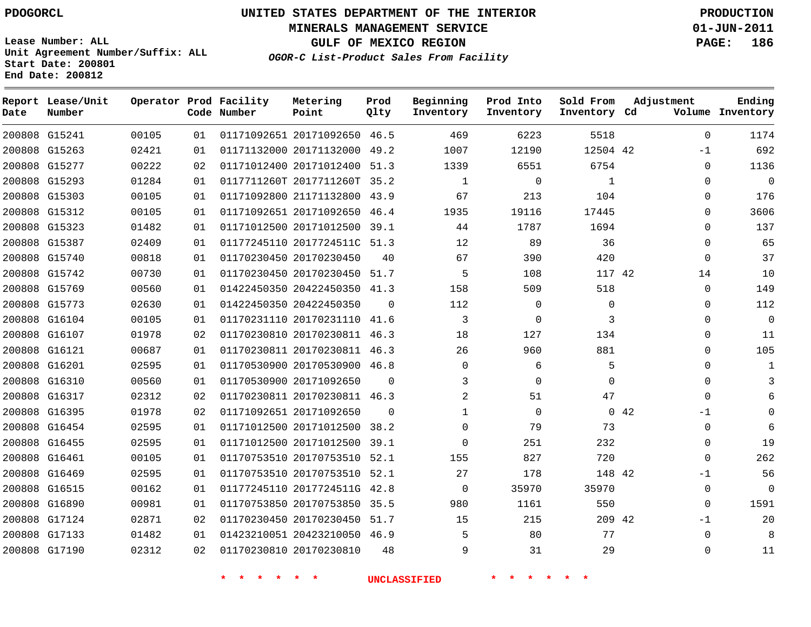**Start Date: 200801 End Date: 200812**

**Unit Agreement Number/Suffix: ALL**

# **UNITED STATES DEPARTMENT OF THE INTERIOR PDOGORCL PRODUCTION**

**MINERALS MANAGEMENT SERVICE 01-JUN-2011**

**GULF OF MEXICO REGION PAGE: 186**

**OGOR-C List-Product Sales From Facility**

 G15241 G15263 G15277 G15293 G15303 G15312 G15323 G15387 G15740 G15742 G15769 G15773 G16104 G16107 G16121 G16201 G16310 G16317 G16395 G16454 G16455 G16461 G16469 G16515 G16890 G17124 G17133 G17190 **Report Lease/Unit Date Number Operator Prod Facility Code Number** 20171092650 46.5 20171132000 20171012400 51.3 0117711260T 2017711260T 35.2 21171132800 43.9 20171092650 46.4 20171012500 39.1 2017724511C 51.3 20170230450 20170230450 51.7 20422450350 41.3 20422450350 20170231110 41.6 20170230811 46.3 20170230811 46.3 20170530900 46.8 20171092650 20170230811 46.3 20171092650 20171012500 38.2 20171012500 39.1 20170753510 52.1 20170753510 52.1 2017724511G 42.8 20170753850 35.5 20170230450 51.7 20423210050 46.9 20170230810 **Metering Point** 42 42 42 42 49.2  $\Omega$  $\Omega$  $\Omega$  **Prod Qlty**  $\Omega$   $\Omega$  $\Omega$   $\Omega$  **Beginning Inventory**  $\Omega$   $\Omega$   $\Omega$   $\Omega$   $2.0$  **Ending Inventory Cd Volume**  $\Omega$   $\Omega$  $\Omega$   $\Omega$   $\Omega$  **Prod Into Inventory**  $\Omega$   $\Omega$   $\cap$  **Sold From Inventory**  $\Omega$ -1  $\cap$  $\Omega$  $\Omega$  $\Omega$  $\Omega$  $\Omega$   $\Omega$   $\Omega$  $\Omega$  $\Omega$  $\Omega$  $-1$  $\Omega$  $\Omega$  $\Omega$ -1  $\Omega$  $\Omega$ -1  $\Omega$  $\Omega$ **Adjustment**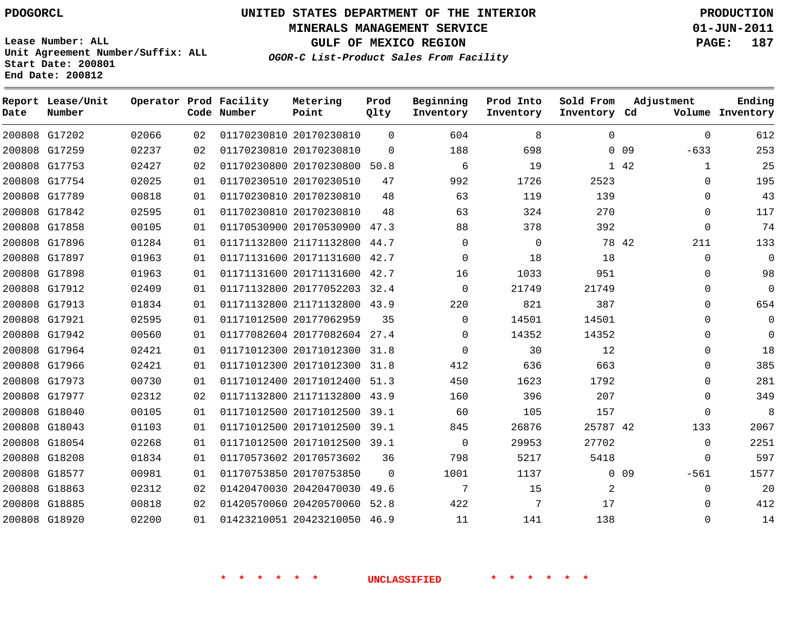**Start Date: 200801 End Date: 200812**

**Unit Agreement Number/Suffix: ALL**

# **UNITED STATES DEPARTMENT OF THE INTERIOR PDOGORCL PRODUCTION**

**MINERALS MANAGEMENT SERVICE 01-JUN-2011**

**GULF OF MEXICO REGION PAGE: 187**

**OGOR-C List-Product Sales From Facility**

 G17202 G17259 G17753 G17754 G17789 G17842 G17858 G17896 G17897 G17898 G17912 G17913 G17921 G17942 G17964 G17966 G17973 G17977 G18040 G18043 G18054 G18208 G18577 G18863 G18885 G18920 **Report Lease/Unit Date Number Operator Prod Facility Code Number** 20170230810 20170230810 20170230800 50.8 20170230510 20170230810 20170230810 20170530900 47.3 21171132800 44.7 20171131600 42.7 20171131600 42.7 20177052203 32.4 21171132800 43.9 20177062959 20177082604 27.4 20171012300 31.8 20171012300 31.8 20171012400 51.3 21171132800 43.9 20171012500 39.1 20171012500 39.1 20171012500 39.1 20170573602 20170753850 20420470030 49.6 20420570060 52.8 20423210050 46.9 **Metering Point** 0 0 9 42 42 42 0 0 9  $\Omega$  $\Omega$   $\Omega$ **Prod Qlty**  $\Omega$  $\Omega$   $\Omega$   $\Omega$  $\Omega$   $\Omega$  **Beginning Inventory**  $\Omega$   $\Omega$   $\Omega$  **Ending Inventory Cd Volume**  $\Omega$  **Prod Into Inventory**  $\Omega$  **Sold From Inventory**  $\Omega$ -633  $\Omega$  $\Omega$  $\Omega$  $\Omega$   $\Omega$   $\Omega$   $\Omega$   $\Omega$  $\Omega$  $\Omega$   $\Omega$  $\Omega$ -561  $\Omega$  $\Omega$  $\Omega$ **Adjustment**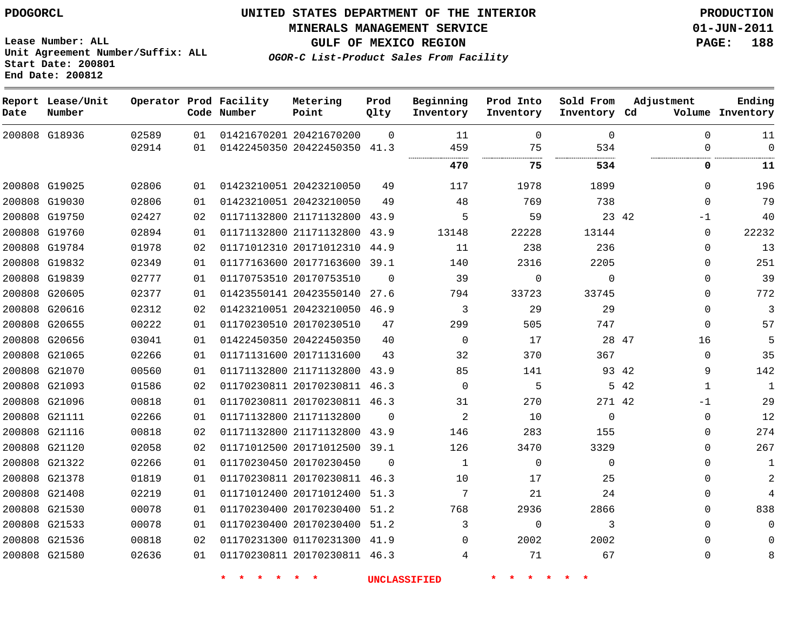**MINERALS MANAGEMENT SERVICE 01-JUN-2011**

**GULF OF MEXICO REGION PAGE: 188**

**OGOR-C List-Product Sales From Facility**

**Lease Number: ALL Unit Agreement Number/Suffix: ALL Start Date: 200801 End Date: 200812**

| Date | Report Lease/Unit<br>Number |                |          | Operator Prod Facility<br>Code Number | Metering<br>Point                                       | Prod<br>Olty | Beginning<br>Inventory | Prod Into<br>Inventory | Sold From<br>Inventory Cd | Adjustment           | Ending<br>Volume Inventory |
|------|-----------------------------|----------------|----------|---------------------------------------|---------------------------------------------------------|--------------|------------------------|------------------------|---------------------------|----------------------|----------------------------|
|      | 200808 G18936               | 02589<br>02914 | 01<br>01 |                                       | 01421670201 20421670200<br>01422450350 20422450350 41.3 | $\Omega$     | 11<br>459              | $\Omega$<br>75         | $\Omega$<br>534           | $\Omega$<br>$\Omega$ | 11<br>$\Omega$             |
|      |                             |                |          |                                       |                                                         |              |                        |                        |                           |                      |                            |
|      |                             |                |          |                                       |                                                         |              | 470                    | 75                     | 534                       | 0                    | 11                         |
|      | 200808 G19025               | 02806          | 01       |                                       | 01423210051 20423210050                                 | 49           | 117                    | 1978                   | 1899                      | $\Omega$             | 196                        |
|      | 200808 G19030               | 02806          | 01       |                                       | 01423210051 20423210050                                 | 49           | 48                     | 769                    | 738                       | $\mathbf 0$          | 79                         |
|      | 200808 G19750               | 02427          | 02       |                                       | 01171132800 21171132800 43.9                            |              | 5                      | 59                     |                           | 23 42<br>-1          | 40                         |
|      | 200808 G19760               | 02894          | 01       |                                       | 01171132800 21171132800                                 | 43.9         | 13148                  | 22228                  | 13144                     | 0                    | 22232                      |
|      | 200808 G19784               | 01978          | 02       |                                       | 01171012310 20171012310                                 | 44.9         | 11                     | 238                    | 236                       | $\Omega$             | 13                         |
|      | 200808 G19832               | 02349          | 01       |                                       | 01177163600 20177163600                                 | 39.1         | 140                    | 2316                   | 2205                      | 0                    | 251                        |
|      | 200808 G19839               | 02777          | 01       |                                       | 01170753510 20170753510                                 | $\Omega$     | 39                     | $\Omega$               | $\Omega$                  | $\mathbf{0}$         | 39                         |
|      | 200808 G20605               | 02377          | 01       |                                       | 01423550141 20423550140                                 | 27.6         | 794                    | 33723                  | 33745                     | $\Omega$             | 772                        |
|      | 200808 G20616               | 02312          | 02       |                                       | 01423210051 20423210050                                 | 46.9         | 3                      | 29                     | 29                        | 0                    | 3                          |
|      | 200808 G20655               | 00222          | 01       |                                       | 01170230510 20170230510                                 | 47           | 299                    | 505                    | 747                       | 0                    | 57                         |
|      | 200808 G20656               | 03041          | 01       |                                       | 01422450350 20422450350                                 | 40           | $\mathbf 0$            | 17                     | 28 47                     | 16                   | 5                          |
|      | 200808 G21065               | 02266          | 01       |                                       | 01171131600 20171131600                                 | 43           | 32                     | 370                    | 367                       | $\Omega$             | 35                         |
|      | 200808 G21070               | 00560          | 01       |                                       | 01171132800 21171132800                                 | 43.9         | 85                     | 141                    |                           | 9<br>93 42           | 142                        |
|      | 200808 G21093               | 01586          | 02       |                                       | 01170230811 20170230811 46.3                            |              | $\mathbf 0$            | 5                      |                           | 5 42<br>1            | $\mathbf{1}$               |
|      | 200808 G21096               | 00818          | 01       |                                       | 01170230811 20170230811 46.3                            |              | 31                     | 270                    | 271 42                    | -1                   | 29                         |
|      | 200808 G21111               | 02266          | 01       |                                       | 01171132800 21171132800                                 | $\Omega$     | 2                      | 10                     | $\Omega$                  | 0                    | 12                         |
|      | 200808 G21116               | 00818          | 02       |                                       | 01171132800 21171132800 43.9                            |              | 146                    | 283                    | 155                       | 0                    | 274                        |
|      | 200808 G21120               | 02058          | 02       |                                       | 01171012500 20171012500                                 | 39.1         | 126                    | 3470                   | 3329                      | 0                    | 267                        |
|      | 200808 G21322               | 02266          | 01       |                                       | 01170230450 20170230450                                 | $\Omega$     | 1                      | $\Omega$               | $\Omega$                  | $\Omega$             | $\mathbf{1}$               |
|      | 200808 G21378               | 01819          | 01       |                                       | 01170230811 20170230811 46.3                            |              | 10                     | 17                     | 25                        | $\Omega$             | 2                          |
|      | 200808 G21408               | 02219          | 01       |                                       | 01171012400 20171012400                                 | 51.3         | 7                      | 21                     | 24                        | 0                    | 4                          |
|      | 200808 G21530               | 00078          | 01       |                                       | 01170230400 20170230400                                 | 51.2         | 768                    | 2936                   | 2866                      | $\mathbf{0}$         | 838                        |
|      | 200808 G21533               | 00078          | 01       |                                       | 01170230400 20170230400                                 | 51.2         | 3                      | 0                      | 3                         | 0                    | $\Omega$                   |
|      | 200808 G21536               | 00818          | 02       |                                       | 01170231300 01170231300 41.9                            |              | $\Omega$               | 2002                   | 2002                      | $\Omega$             | $\Omega$                   |
|      | 200808 G21580               | 02636          | 01       |                                       | 01170230811 20170230811 46.3                            |              | 4                      | 71                     | 67                        | 0                    | 8                          |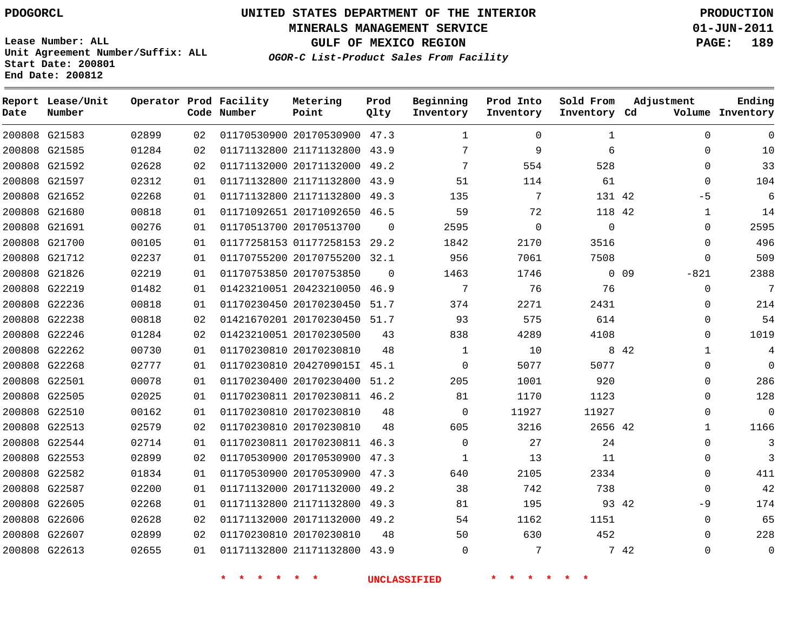**MINERALS MANAGEMENT SERVICE 01-JUN-2011**

**GULF OF MEXICO REGION PAGE: 189**

**Lease Number: ALL Unit Agreement Number/Suffix: ALL Start Date: 200801 End Date: 200812**

**OGOR-C List-Product Sales From Facility**

| Date | Report Lease/Unit<br>Number |       |    | Operator Prod Facility<br>Code Number | Metering<br>Point            | Prod<br>Qlty | Beginning<br>Inventory | Prod Into<br>Inventory | Sold From<br>Inventory Cd | Adjustment           | Ending<br>Volume Inventory |
|------|-----------------------------|-------|----|---------------------------------------|------------------------------|--------------|------------------------|------------------------|---------------------------|----------------------|----------------------------|
|      | 200808 G21583               | 02899 | 02 |                                       | 01170530900 20170530900 47.3 |              | $\mathbf{1}$           | $\Omega$               | 1                         | $\Omega$             | $\Omega$                   |
|      | 200808 G21585               | 01284 | 02 |                                       | 01171132800 21171132800 43.9 |              | 7                      | 9                      | 6                         | $\Omega$             | 10                         |
|      | 200808 G21592               | 02628 | 02 |                                       | 01171132000 20171132000 49.2 |              | 7                      | 554                    | 528                       | $\Omega$             | 33                         |
|      | 200808 G21597               | 02312 | 01 |                                       | 01171132800 21171132800      | 43.9         | 51                     | 114                    | 61                        | $\Omega$             | 104                        |
|      | 200808 G21652               | 02268 | 01 |                                       | 01171132800 21171132800 49.3 |              | 135                    | 7                      | 131 42                    | -5                   | 6                          |
|      | 200808 G21680               | 00818 | 01 |                                       | 01171092651 20171092650 46.5 |              | 59                     | 72                     | 118 42                    | $\mathbf 1$          | 14                         |
|      | 200808 G21691               | 00276 | 01 |                                       | 01170513700 20170513700      | $\Omega$     | 2595                   | $\mathbf 0$            | $\mathbf 0$               | $\Omega$             | 2595                       |
|      | 200808 G21700               | 00105 | 01 |                                       | 01177258153 01177258153 29.2 |              | 1842                   | 2170                   | 3516                      | 0                    | 496                        |
|      | 200808 G21712               | 02237 | 01 |                                       | 01170755200 20170755200 32.1 |              | 956                    | 7061                   | 7508                      | $\Omega$             | 509                        |
|      | 200808 G21826               | 02219 | 01 |                                       | 01170753850 20170753850      | $\Omega$     | 1463                   | 1746                   |                           | 0.09<br>$-821$       | 2388                       |
|      | 200808 G22219               | 01482 | 01 |                                       | 01423210051 20423210050 46.9 |              | 7                      | 76                     | 76                        | $\Omega$             | 7                          |
|      | 200808 G22236               | 00818 | 01 |                                       | 01170230450 20170230450 51.7 |              | 374                    | 2271                   | 2431                      | $\Omega$             | 214                        |
|      | 200808 G22238               | 00818 | 02 |                                       | 01421670201 20170230450 51.7 |              | 93                     | 575                    | 614                       | $\Omega$             | 54                         |
|      | 200808 G22246               | 01284 | 02 |                                       | 01423210051 20170230500      | 43           | 838                    | 4289                   | 4108                      | $\Omega$             | 1019                       |
|      | 200808 G22262               | 00730 | 01 |                                       | 01170230810 20170230810      | 48           | $\mathbf{1}$           | 10                     |                           | 8 4 2<br>$\mathbf 1$ | 4                          |
|      | 200808 G22268               | 02777 | 01 |                                       | 01170230810 2042709015I 45.1 |              | $\mathbf 0$            | 5077                   | 5077                      | 0                    | $\Omega$                   |
|      | 200808 G22501               | 00078 | 01 |                                       | 01170230400 20170230400 51.2 |              | 205                    | 1001                   | 920                       | 0                    | 286                        |
|      | 200808 G22505               | 02025 | 01 |                                       | 01170230811 20170230811 46.2 |              | 81                     | 1170                   | 1123                      | 0                    | 128                        |
|      | 200808 G22510               | 00162 | 01 |                                       | 01170230810 20170230810      | 48           | $\Omega$               | 11927                  | 11927                     | $\Omega$             | $\Omega$                   |
|      | 200808 G22513               | 02579 | 02 |                                       | 01170230810 20170230810      | 48           | 605                    | 3216                   | 2656 42                   | $\mathbf{1}$         | 1166                       |
|      | 200808 G22544               | 02714 | 01 |                                       | 01170230811 20170230811 46.3 |              | $\Omega$               | 27                     | 24                        | $\Omega$             | 3                          |
|      | 200808 G22553               | 02899 | 02 |                                       | 01170530900 20170530900      | 47.3         | $\mathbf{1}$           | 13                     | 11                        | $\Omega$             | 3                          |
|      | 200808 G22582               | 01834 | 01 |                                       | 01170530900 20170530900 47.3 |              | 640                    | 2105                   | 2334                      | $\Omega$             | 411                        |
|      | 200808 G22587               | 02200 | 01 |                                       | 01171132000 20171132000      | 49.2         | 38                     | 742                    | 738                       | 0                    | 42                         |
|      | 200808 G22605               | 02268 | 01 |                                       | 01171132800 21171132800 49.3 |              | 81                     | 195                    | 93 42                     | -9                   | 174                        |
|      | 200808 G22606               | 02628 | 02 |                                       | 01171132000 20171132000 49.2 |              | 54                     | 1162                   | 1151                      | 0                    | 65                         |
|      | 200808 G22607               | 02899 | 02 |                                       | 01170230810 20170230810      | 48           | 50                     | 630                    | 452                       | $\Omega$             | 228                        |
|      | 200808 G22613               | 02655 | 01 |                                       | 01171132800 21171132800      | 43.9         | $\Omega$               | 7                      |                           | 7 42<br>$\Omega$     | 0                          |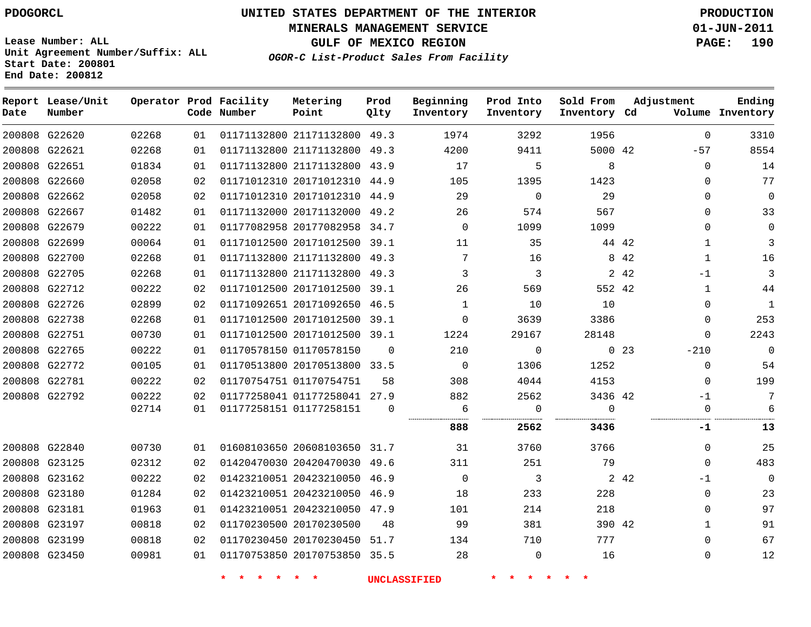# **UNITED STATES DEPARTMENT OF THE INTERIOR PDOGORCL PRODUCTION**

**MINERALS MANAGEMENT SERVICE 01-JUN-2011**

**GULF OF MEXICO REGION PAGE: 190**

**Unit Agreement Number/Suffix: ALL Start Date: 200801 End Date: 200812**

**OGOR-C List-Product Sales From Facility**

| Date | Report Lease/Unit<br>Number |       |    | Operator Prod Facility<br>Code Number | Metering<br>Point            | Prod<br>Qlty | Beginning<br>Inventory | Prod Into<br>Inventory | Sold From<br>Inventory Cd | Adjustment                | Ending<br>Volume Inventory |
|------|-----------------------------|-------|----|---------------------------------------|------------------------------|--------------|------------------------|------------------------|---------------------------|---------------------------|----------------------------|
|      | 200808 G22620               | 02268 | 01 |                                       | 01171132800 21171132800 49.3 |              | 1974                   | 3292                   | 1956                      | $\mathbf 0$               | 3310                       |
|      | 200808 G22621               | 02268 | 01 |                                       | 01171132800 21171132800      | 49.3         | 4200                   | 9411                   | 5000 42                   | $-57$                     | 8554                       |
|      | 200808 G22651               | 01834 | 01 |                                       | 01171132800 21171132800 43.9 |              | 17                     | 5                      | 8                         | $\Omega$                  | 14                         |
|      | 200808 G22660               | 02058 | 02 |                                       | 01171012310 20171012310 44.9 |              | 105                    | 1395                   | 1423                      | $\Omega$                  | 77                         |
|      | 200808 G22662               | 02058 | 02 |                                       | 01171012310 20171012310 44.9 |              | 29                     | $\mathbf 0$            | 29                        | $\Omega$                  | 0                          |
|      | 200808 G22667               | 01482 | 01 |                                       | 01171132000 20171132000      | 49.2         | 26                     | 574                    | 567                       | $\Omega$                  | 33                         |
|      | 200808 G22679               | 00222 | 01 |                                       | 01177082958 20177082958 34.7 |              | $\Omega$               | 1099                   | 1099                      | $\Omega$                  | 0                          |
|      | 200808 G22699               | 00064 | 01 |                                       | 01171012500 20171012500      | 39.1         | 11                     | 35                     | 44 42                     | $\mathbf{1}$              | 3                          |
|      | 200808 G22700               | 02268 | 01 |                                       | 01171132800 21171132800      | 49.3         | 7                      | 16                     |                           | 8 4 2<br>1                | 16                         |
|      | 200808 G22705               | 02268 | 01 |                                       | 01171132800 21171132800 49.3 |              | 3                      | 3                      |                           | 2 4 2<br>$-1$             | 3                          |
|      | 200808 G22712               | 00222 | 02 |                                       | 01171012500 20171012500 39.1 |              | 26                     | 569                    | 552 42                    | $\mathbf{1}$              | 44                         |
|      | 200808 G22726               | 02899 | 02 |                                       | 01171092651 20171092650 46.5 |              | $\mathbf{1}$           | 10                     | 10                        | $\Omega$                  | $\mathbf 1$                |
|      | 200808 G22738               | 02268 | 01 |                                       | 01171012500 20171012500      | 39.1         | $\mathbf 0$            | 3639                   | 3386                      | 0                         | 253                        |
|      | 200808 G22751               | 00730 | 01 |                                       | 01171012500 20171012500      | 39.1         | 1224                   | 29167                  | 28148                     | $\Omega$                  | 2243                       |
|      | 200808 G22765               | 00222 | 01 |                                       | 01170578150 01170578150      | $\Omega$     | 210                    | $\mathbf 0$            |                           | $-210$<br>0 <sub>23</sub> | $\mathbf 0$                |
|      | 200808 G22772               | 00105 | 01 |                                       | 01170513800 20170513800 33.5 |              | $\Omega$               | 1306                   | 1252                      | 0                         | 54                         |
|      | 200808 G22781               | 00222 | 02 |                                       | 01170754751 01170754751      | 58           | 308                    | 4044                   | 4153                      | $\Omega$                  | 199                        |
|      | 200808 G22792               | 00222 | 02 |                                       | 01177258041 01177258041 27.9 |              | 882                    | 2562                   | 3436 42                   | $-1$                      | 7                          |
|      |                             | 02714 | 01 |                                       | 01177258151 01177258151      | $\mathbf 0$  | 6                      | $\mathbf 0$            | $\Omega$                  | $\mathbf 0$               | 6                          |
|      |                             |       |    |                                       |                              |              | 888                    | 2562                   | 3436                      | -1                        | 13                         |
|      | 200808 G22840               | 00730 | 01 |                                       | 01608103650 20608103650 31.7 |              | 31                     | 3760                   | 3766                      | $\Omega$                  | 25                         |
|      | 200808 G23125               | 02312 | 02 |                                       | 01420470030 20420470030 49.6 |              | 311                    | 251                    | 79                        | $\Omega$                  | 483                        |
|      | 200808 G23162               | 00222 | 02 |                                       | 01423210051 20423210050      | 46.9         | $\Omega$               | 3                      |                           | 2 4 2<br>$-1$             | $\mathbf 0$                |
|      | 200808 G23180               | 01284 | 02 |                                       | 01423210051 20423210050 46.9 |              | 18                     | 233                    | 228                       | 0                         | 23                         |
|      | 200808 G23181               | 01963 | 01 |                                       | 01423210051 20423210050      | 47.9         | 101                    | 214                    | 218                       | $\Omega$                  | 97                         |
|      | 200808 G23197               | 00818 | 02 |                                       | 01170230500 20170230500      | 48           | 99                     | 381                    | 390 42                    | $\mathbf 1$               | 91                         |
|      | 200808 G23199               | 00818 | 02 |                                       | 01170230450 20170230450      | 51.7         | 134                    | 710                    | 777                       | $\mathbf 0$               | 67                         |
|      | 200808 G23450               | 00981 | 01 |                                       | 01170753850 20170753850 35.5 |              | 28                     | 0                      | 16                        | $\mathbf{0}$              | 12                         |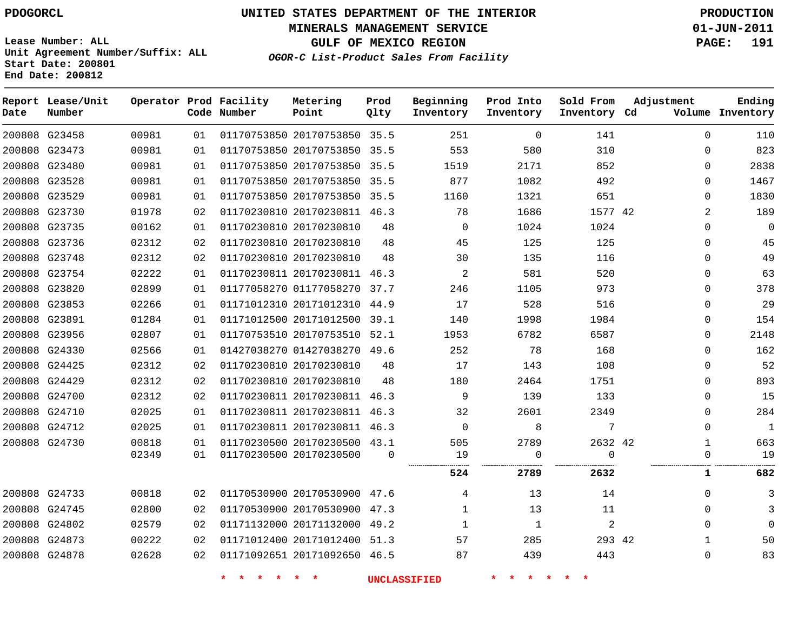# **UNITED STATES DEPARTMENT OF THE INTERIOR PDOGORCL PRODUCTION**

**MINERALS MANAGEMENT SERVICE 01-JUN-2011**

**GULF OF MEXICO REGION PAGE: 191**

**Unit Agreement Number/Suffix: ALL Start Date: 200801 End Date: 200812**

**OGOR-C List-Product Sales From Facility**

| Date | Report Lease/Unit<br>Number |       |    | Operator Prod Facility<br>Code Number | Metering<br>Point            | Prod<br>Qlty | Beginning<br>Inventory | Prod Into<br>Inventory | Sold From<br>Inventory Cd | Adjustment     | Ending<br>Volume Inventory |
|------|-----------------------------|-------|----|---------------------------------------|------------------------------|--------------|------------------------|------------------------|---------------------------|----------------|----------------------------|
|      | 200808 G23458               | 00981 | 01 |                                       | 01170753850 20170753850 35.5 |              | 251                    | $\mathbf{0}$           | 141                       | $\Omega$       | 110                        |
|      | 200808 G23473               | 00981 | 01 |                                       | 01170753850 20170753850 35.5 |              | 553                    | 580                    | 310                       | 0              | 823                        |
|      | 200808 G23480               | 00981 | 01 |                                       | 01170753850 20170753850 35.5 |              | 1519                   | 2171                   | 852                       | $\Omega$       | 2838                       |
|      | 200808 G23528               | 00981 | 01 |                                       | 01170753850 20170753850      | 35.5         | 877                    | 1082                   | 492                       | 0              | 1467                       |
|      | 200808 G23529               | 00981 | 01 |                                       | 01170753850 20170753850 35.5 |              | 1160                   | 1321                   | 651                       | 0              | 1830                       |
|      | 200808 G23730               | 01978 | 02 |                                       | 01170230810 20170230811 46.3 |              | 78                     | 1686                   | 1577 42                   | $\overline{2}$ | 189                        |
|      | 200808 G23735               | 00162 | 01 |                                       | 01170230810 20170230810      | 48           | $\mathbf 0$            | 1024                   | 1024                      | $\Omega$       | $\mathbf 0$                |
|      | 200808 G23736               | 02312 | 02 |                                       | 01170230810 20170230810      | 48           | 45                     | 125                    | 125                       | $\Omega$       | 45                         |
|      | 200808 G23748               | 02312 | 02 |                                       | 01170230810 20170230810      | 48           | 30                     | 135                    | 116                       | $\mathbf{0}$   | 49                         |
|      | 200808 G23754               | 02222 | 01 |                                       | 01170230811 20170230811 46.3 |              | 2                      | 581                    | 520                       | $\Omega$       | 63                         |
|      | 200808 G23820               | 02899 | 01 |                                       | 01177058270 01177058270      | 37.7         | 246                    | 1105                   | 973                       | $\Omega$       | 378                        |
|      | 200808 G23853               | 02266 | 01 |                                       | 01171012310 20171012310 44.9 |              | 17                     | 528                    | 516                       | 0              | 29                         |
|      | 200808 G23891               | 01284 | 01 |                                       | 01171012500 20171012500      | 39.1         | 140                    | 1998                   | 1984                      | $\Omega$       | 154                        |
|      | 200808 G23956               | 02807 | 01 |                                       | 01170753510 20170753510 52.1 |              | 1953                   | 6782                   | 6587                      | 0              | 2148                       |
|      | 200808 G24330               | 02566 | 01 |                                       | 01427038270 01427038270 49.6 |              | 252                    | 78                     | 168                       | $\mathbf{0}$   | 162                        |
|      | 200808 G24425               | 02312 | 02 |                                       | 01170230810 20170230810      | 48           | 17                     | 143                    | 108                       | $\mathbf{0}$   | 52                         |
|      | 200808 G24429               | 02312 | 02 |                                       | 01170230810 20170230810      | 48           | 180                    | 2464                   | 1751                      | $\Omega$       | 893                        |
|      | 200808 G24700               | 02312 | 02 |                                       | 01170230811 20170230811      | 46.3         | 9                      | 139                    | 133                       | $\Omega$       | 15                         |
|      | 200808 G24710               | 02025 | 01 |                                       | 01170230811 20170230811 46.3 |              | 32                     | 2601                   | 2349                      | 0              | 284                        |
|      | 200808 G24712               | 02025 | 01 |                                       | 01170230811 20170230811 46.3 |              | $\mathbf 0$            | 8                      | 7                         | 0              | $1\,$                      |
|      | 200808 G24730               | 00818 | 01 |                                       | 01170230500 20170230500 43.1 |              | 505                    | 2789                   | 2632 42                   | $\mathbf{1}$   | 663                        |
|      |                             | 02349 | 01 |                                       | 01170230500 20170230500      | $\Omega$     | 19                     | 0<br>                  | $\Omega$<br>.             | $\mathbf{0}$   | 19                         |
|      |                             |       |    |                                       |                              |              | 524                    | 2789                   | 2632                      | 1              | 682                        |
|      | 200808 G24733               | 00818 | 02 |                                       | 01170530900 20170530900 47.6 |              | 4                      | 13                     | 14                        | $\Omega$       | 3                          |
|      | 200808 G24745               | 02800 | 02 |                                       | 01170530900 20170530900 47.3 |              | $\mathbf{1}$           | 13                     | 11                        | $\Omega$       | 3                          |
|      | 200808 G24802               | 02579 | 02 |                                       | 01171132000 20171132000      | 49.2         | 1                      | 1                      | $\mathbf{2}$              | 0              | $\Omega$                   |
|      | 200808 G24873               | 00222 | 02 |                                       | 01171012400 20171012400 51.3 |              | 57                     | 285                    | 293 42                    | $\mathbf{1}$   | 50                         |
|      | 200808 G24878               | 02628 | 02 |                                       | 01171092651 20171092650 46.5 |              | 87                     | 439                    | 443                       | $\mathbf{0}$   | 83                         |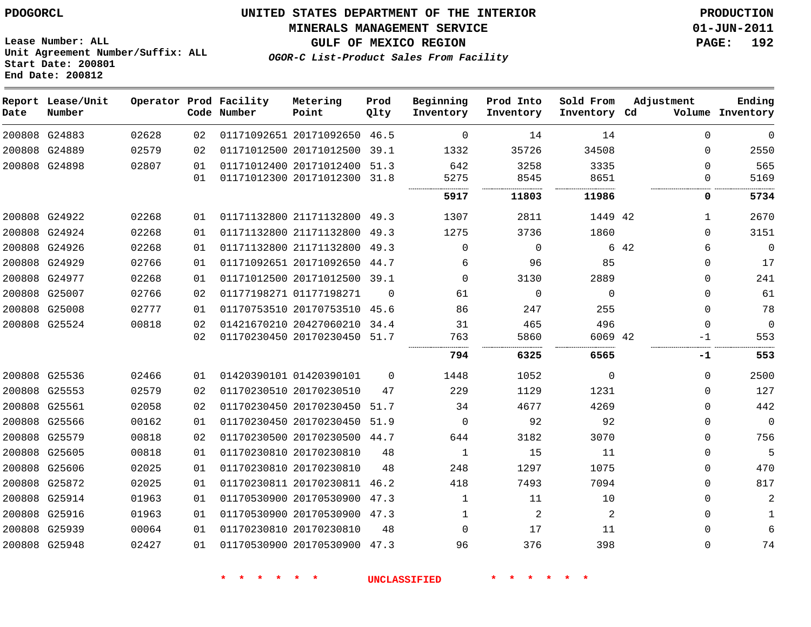**Start Date: 200801 End Date: 200812**

**Unit Agreement Number/Suffix: ALL**

# **UNITED STATES DEPARTMENT OF THE INTERIOR PDOGORCL PRODUCTION**

**MINERALS MANAGEMENT SERVICE 01-JUN-2011**

**GULF OF MEXICO REGION PAGE: 192**

**OGOR-C List-Product Sales From Facility**

| Date | Report Lease/Unit<br>Number |       |    | Operator Prod Facility<br>Code Number | Metering<br>Point            | Prod<br>Qlty | Beginning<br>Inventory | Prod Into<br>Inventory | Sold From<br>Inventory Cd | Adjustment   | Ending<br>Volume Inventory |
|------|-----------------------------|-------|----|---------------------------------------|------------------------------|--------------|------------------------|------------------------|---------------------------|--------------|----------------------------|
|      | 200808 G24883               | 02628 | 02 |                                       | 01171092651 20171092650 46.5 |              | 0                      | 14                     | 14                        | $\Omega$     | $\overline{0}$             |
|      | 200808 G24889               | 02579 | 02 |                                       | 01171012500 20171012500      | 39.1         | 1332                   | 35726                  | 34508                     | $\Omega$     | 2550                       |
|      | 200808 G24898               | 02807 | 01 |                                       | 01171012400 20171012400      | 51.3         | 642                    | 3258                   | 3335                      | $\Omega$     | 565                        |
|      |                             |       | 01 |                                       | 01171012300 20171012300      | 31.8         | 5275                   | 8545                   | 8651                      | 0            | 5169                       |
|      |                             |       |    |                                       |                              |              | 5917                   | 11803                  | 11986                     | 0            | 5734                       |
|      | 200808 G24922               | 02268 | 01 |                                       | 01171132800 21171132800      | 49.3         | 1307                   | 2811                   | 1449 42                   | $\mathbf{1}$ | 2670                       |
|      | 200808 G24924               | 02268 | 01 |                                       | 01171132800 21171132800      | 49.3         | 1275                   | 3736                   | 1860                      | $\Omega$     | 3151                       |
|      | 200808 G24926               | 02268 | 01 |                                       | 01171132800 21171132800      | 49.3         | 0                      | 0                      |                           | 6 42<br>6    | $\mathbf 0$                |
|      | 200808 G24929               | 02766 | 01 |                                       | 01171092651 20171092650      | 44.7         | 6                      | 96                     | 85                        | $\Omega$     | 17                         |
|      | 200808 G24977               | 02268 | 01 |                                       | 01171012500 20171012500      | 39.1         | $\Omega$               | 3130                   | 2889                      | $\Omega$     | 241                        |
|      | 200808 G25007               | 02766 | 02 |                                       | 01177198271 01177198271      | $\Omega$     | 61                     | $\Omega$               | $\mathbf 0$               | $\Omega$     | 61                         |
|      | 200808 G25008               | 02777 | 01 |                                       | 01170753510 20170753510      | 45.6         | 86                     | 247                    | 255                       | $\Omega$     | 78                         |
|      | 200808 G25524               | 00818 | 02 |                                       | 01421670210 20427060210 34.4 |              | 31                     | 465                    | 496                       | $\Omega$     | $\overline{0}$             |
|      |                             |       | 02 |                                       | 01170230450 20170230450      | 51.7         | 763                    | 5860                   | 6069 42                   | -1           | 553                        |
|      |                             |       |    |                                       |                              |              | 794                    | 6325                   | 6565                      | -1           | 553                        |
|      | 200808 G25536               | 02466 | 01 |                                       | 01420390101 01420390101      | $\Omega$     | 1448                   | 1052                   | $\mathbf 0$               | $\Omega$     | 2500                       |
|      | 200808 G25553               | 02579 | 02 |                                       | 01170230510 20170230510      | 47           | 229                    | 1129                   | 1231                      | $\Omega$     | 127                        |
|      | 200808 G25561               | 02058 | 02 |                                       | 01170230450 20170230450      | 51.7         | 34                     | 4677                   | 4269                      | $\Omega$     | 442                        |
|      | 200808 G25566               | 00162 | 01 |                                       | 01170230450 20170230450      | 51.9         | 0                      | 92                     | 92                        | $\Omega$     | $\overline{0}$             |
|      | 200808 G25579               | 00818 | 02 |                                       | 01170230500 20170230500 44.7 |              | 644                    | 3182                   | 3070                      | $\Omega$     | 756                        |
|      | 200808 G25605               | 00818 | 01 |                                       | 01170230810 20170230810      | 48           | $\mathbf{1}$           | 15                     | 11                        | $\Omega$     | 5                          |
|      | 200808 G25606               | 02025 | 01 |                                       | 01170230810 20170230810      | 48           | 248                    | 1297                   | 1075                      | $\Omega$     | 470                        |
|      | 200808 G25872               | 02025 | 01 |                                       | 01170230811 20170230811      | 46.2         | 418                    | 7493                   | 7094                      | $\Omega$     | 817                        |
|      | 200808 G25914               | 01963 | 01 |                                       | 01170530900 20170530900      | 47.3         | 1                      | 11                     | 10                        | $\Omega$     | 2                          |
|      | 200808 G25916               | 01963 | 01 |                                       | 01170530900 20170530900 47.3 |              | 1                      | 2                      | 2                         | $\Omega$     | 1                          |
|      | 200808 G25939               | 00064 | 01 |                                       | 01170230810 20170230810      | 48           | $\Omega$               | 17                     | 11                        | $\Omega$     | 6                          |
|      | 200808 G25948               | 02427 | 01 |                                       | 01170530900 20170530900      | 47.3         | 96                     | 376                    | 398                       | $\Omega$     | 74                         |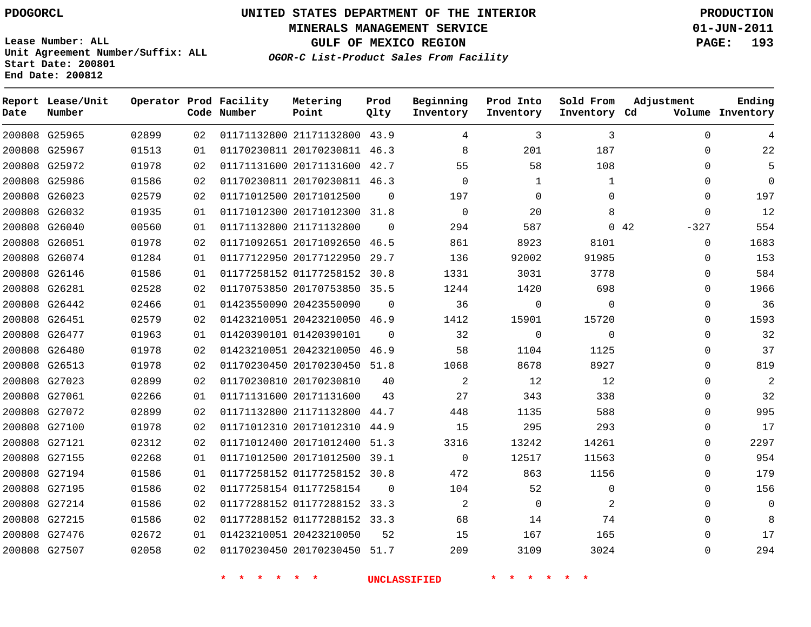**Start Date: 200801 End Date: 200812**

**Unit Agreement Number/Suffix: ALL**

# **UNITED STATES DEPARTMENT OF THE INTERIOR PDOGORCL PRODUCTION**

**MINERALS MANAGEMENT SERVICE 01-JUN-2011**

**GULF OF MEXICO REGION PAGE: 193**

**OGOR-C List-Product Sales From Facility**

| Date   | Report Lease/Unit<br>Number |       |     | Operator Prod Facility<br>Code Number | Metering<br>Point            | Prod<br>Qlty | Beginning<br>Inventory | Prod Into<br>Inventory | Sold From<br>Inventory Cd | Adjustment     | Ending<br>Volume Inventory |
|--------|-----------------------------|-------|-----|---------------------------------------|------------------------------|--------------|------------------------|------------------------|---------------------------|----------------|----------------------------|
|        | 200808 G25965               | 02899 | 02  |                                       | 01171132800 21171132800 43.9 |              | 4                      | 3                      | 3                         | $\Omega$       | 4                          |
| 200808 | G25967                      | 01513 | 01  |                                       | 01170230811 20170230811      | 46.3         | 8                      | 201                    | 187                       | $\Omega$       | 22                         |
| 200808 | G25972                      | 01978 | 02  |                                       | 01171131600 20171131600      | 42.7         | 55                     | 58                     | 108                       | $\Omega$       | 5                          |
| 200808 | G25986                      | 01586 | 02  |                                       | 01170230811 20170230811 46.3 |              | $\mathbf 0$            | 1                      | 1                         | $\Omega$       | $\Omega$                   |
|        | 200808 G26023               | 02579 | 02  |                                       | 01171012500 20171012500      | $\Omega$     | 197                    | $\Omega$               | $\Omega$                  | $\Omega$       | 197                        |
| 200808 | G26032                      | 01935 | 01  |                                       | 01171012300 20171012300      | 31.8         | $\mathbf 0$            | 20                     | 8                         | $\Omega$       | 12                         |
| 200808 | G26040                      | 00560 | 01  |                                       | 01171132800 21171132800      | $\Omega$     | 294                    | 587                    |                           | 0.42<br>$-327$ | 554                        |
| 200808 | G26051                      | 01978 | 02  |                                       | 01171092651 20171092650      | 46.5         | 861                    | 8923                   | 8101                      | $\Omega$       | 1683                       |
| 200808 | G26074                      | 01284 | 01  |                                       | 01177122950 20177122950      | 29.7         | 136                    | 92002                  | 91985                     | $\Omega$       | 153                        |
| 200808 | G26146                      | 01586 | 01  |                                       | 01177258152 01177258152      | 30.8         | 1331                   | 3031                   | 3778                      | $\Omega$       | 584                        |
| 200808 | G26281                      | 02528 | 02  |                                       | 01170753850 20170753850      | 35.5         | 1244                   | 1420                   | 698                       | $\Omega$       | 1966                       |
| 200808 | G26442                      | 02466 | 01  |                                       | 01423550090 20423550090      | $\Omega$     | 36                     | $\mathbf 0$            | 0                         | $\Omega$       | 36                         |
| 200808 | G26451                      | 02579 | 02  |                                       | 01423210051 20423210050      | 46.9         | 1412                   | 15901                  | 15720                     | $\Omega$       | 1593                       |
|        | 200808 G26477               | 01963 | 01  |                                       | 01420390101 01420390101      | $\Omega$     | 32                     | $\mathbf 0$            | $\mathbf 0$               | 0              | 32                         |
| 200808 | G26480                      | 01978 | 02  |                                       | 01423210051 20423210050      | 46.9         | 58                     | 1104                   | 1125                      | $\Omega$       | 37                         |
| 200808 | G26513                      | 01978 | 02  |                                       | 01170230450 20170230450      | 51.8         | 1068                   | 8678                   | 8927                      | $\Omega$       | 819                        |
| 200808 | G27023                      | 02899 | 02  |                                       | 01170230810 20170230810      | 40           | $\overline{a}$         | 12                     | 12                        | $\mathbf{0}$   | 2                          |
|        | 200808 G27061               | 02266 | 01  |                                       | 01171131600 20171131600      | 43           | 27                     | 343                    | 338                       | $\Omega$       | 32                         |
| 200808 | G27072                      | 02899 | 02  |                                       | 01171132800 21171132800      | 44.7         | 448                    | 1135                   | 588                       | $\Omega$       | 995                        |
|        | 200808 G27100               | 01978 | 02  |                                       | 01171012310 20171012310      | 44.9         | 15                     | 295                    | 293                       | $\Omega$       | 17                         |
| 200808 | G27121                      | 02312 | 02  |                                       | 01171012400 20171012400      | 51.3         | 3316                   | 13242                  | 14261                     | $\Omega$       | 2297                       |
| 200808 | G27155                      | 02268 | 01  |                                       | 01171012500 20171012500      | 39.1         | $\mathbf 0$            | 12517                  | 11563                     | $\Omega$       | 954                        |
| 200808 | G27194                      | 01586 | 01  |                                       | 01177258152 01177258152      | 30.8         | 472                    | 863                    | 1156                      | $\Omega$       | 179                        |
| 200808 | G27195                      | 01586 | 02  |                                       | 01177258154 01177258154      | $\Omega$     | 104                    | 52                     | 0                         | $\Omega$       | 156                        |
| 200808 | G27214                      | 01586 | 02  |                                       | 01177288152 01177288152      | 33.3         | 2                      | $\mathbf 0$            | 2                         | $\Omega$       | $\overline{0}$             |
| 200808 | G27215                      | 01586 | 02  |                                       | 01177288152 01177288152 33.3 |              | 68                     | 14                     | 74                        | $\Omega$       | 8                          |
| 200808 | G27476                      | 02672 | 01  |                                       | 01423210051 20423210050      | 52           | 15                     | 167                    | 165                       | $\Omega$       | 17                         |
|        | 200808 G27507               | 02058 | 02. |                                       | 01170230450 20170230450      | 51.7         | 209                    | 3109                   | 3024                      | $\Omega$       | 294                        |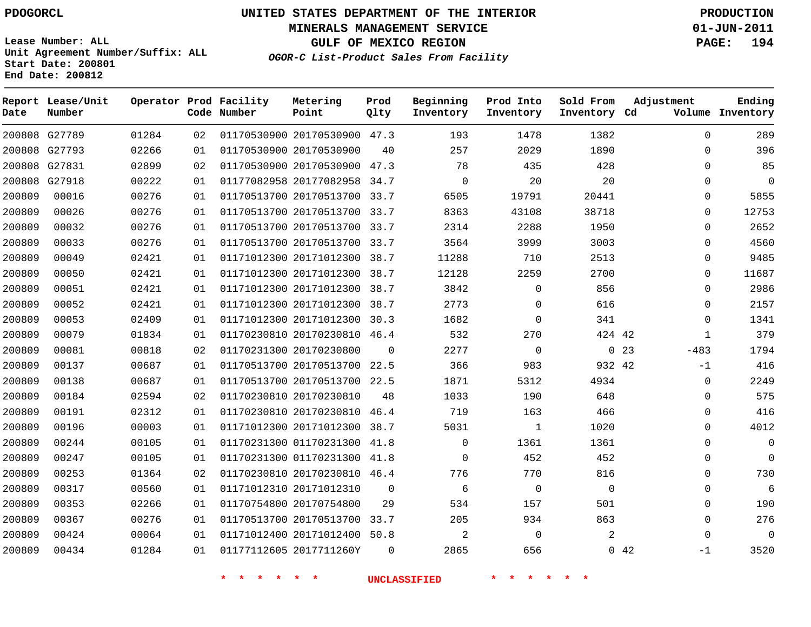**Start Date: 200801 End Date: 200812**

**Unit Agreement Number/Suffix: ALL**

# **UNITED STATES DEPARTMENT OF THE INTERIOR PDOGORCL PRODUCTION**

**MINERALS MANAGEMENT SERVICE 01-JUN-2011**

**GULF OF MEXICO REGION PAGE: 194**

**OGOR-C List-Product Sales From Facility**

 G27789 G27793 G27831 G27918 **Report Lease/Unit Date Number Operator Prod Facility Code Number** 20170530900 47.3 20170530900 20170530900 47.3 20177082958 34.7 20170513700 33.7 20170513700 33.7 20170513700 33.7 20170513700 33.7 20171012300 38.7 20171012300 20171012300 38.7 20171012300 38.7 20171012300 30.3 20170230810 46.4 20170230800 20170513700 22.5 20170513700 22.5 20170230810 20170230810 46.4 20171012300 38.7 01170231300 41.8 01170231300 41.8 20170230810 46.4 20171012310 20170754800 20170513700 33.7 20171012400 50.8 2017711260Y **Metering Point** 42 23 42 42 38.7  $\Omega$   $\Omega$   $\Omega$ **Prod Qlty**  $\Omega$   $\Omega$  $\Omega$  **Beginning Inventory**  $\Omega$   $\Omega$  **Ending Inventory Cd Volume**  $\Omega$  $\Omega$  $\Omega$   $\Omega$  **Prod Into Inventory**  $\Omega$  **Sold From Inventory**  $\Omega$  $\Omega$  $\cap$  $\Omega$  $\Omega$  $\Omega$  $\Omega$  $\Omega$   $\Omega$   $\Omega$  -483 -1  $\Omega$  $\Omega$  $\Omega$   $\Omega$  $\Omega$  $\Omega$  $\Omega$  $\Omega$  $\Omega$  $\Omega$ -1 **Adjustment**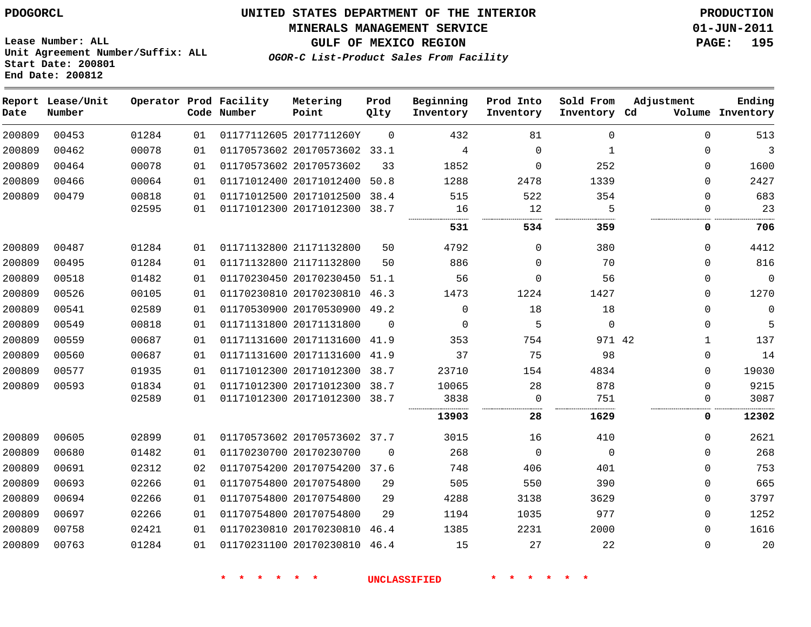#### **MINERALS MANAGEMENT SERVICE 01-JUN-2011**

**GULF OF MEXICO REGION PAGE: 195**

**Lease Number: ALL Unit Agreement Number/Suffix: ALL Start Date: 200801 End Date: 200812**

**OGOR-C List-Product Sales From Facility**

| Date   | Report Lease/Unit<br>Number |       |    | Operator Prod Facility<br>Code Number | Metering<br>Point            | Prod<br>Qlty | Beginning<br>Inventory | Prod Into<br>Inventory | Sold From<br>Inventory Cd | Adjustment   | Ending<br>Volume Inventory |
|--------|-----------------------------|-------|----|---------------------------------------|------------------------------|--------------|------------------------|------------------------|---------------------------|--------------|----------------------------|
| 200809 | 00453                       | 01284 | 01 |                                       | 01177112605 2017711260Y      | 0            | 432                    | 81                     | $\Omega$                  | $\Omega$     | 513                        |
| 200809 | 00462                       | 00078 | 01 |                                       | 01170573602 20170573602 33.1 |              | $\overline{4}$         | $\mathbf 0$            | $\mathbf{1}$              | $\Omega$     | 3                          |
| 200809 | 00464                       | 00078 | 01 |                                       | 01170573602 20170573602      | 33           | 1852                   | 0                      | 252                       | $\Omega$     | 1600                       |
| 200809 | 00466                       | 00064 | 01 |                                       | 01171012400 20171012400      | 50.8         | 1288                   | 2478                   | 1339                      | $\Omega$     | 2427                       |
| 200809 | 00479                       | 00818 | 01 |                                       | 01171012500 20171012500      | 38.4         | 515                    | 522                    | 354                       | $\Omega$     | 683                        |
|        |                             | 02595 | 01 |                                       | 01171012300 20171012300      | 38.7         | 16                     | 12                     | 5                         | $\Omega$     | 23                         |
|        |                             |       |    |                                       |                              |              | 531                    | 534                    | 359                       | 0            | 706                        |
| 200809 | 00487                       | 01284 | 01 |                                       | 01171132800 21171132800      | 50           | 4792                   | $\Omega$               | 380                       | $\Omega$     | 4412                       |
| 200809 | 00495                       | 01284 | 01 |                                       | 01171132800 21171132800      | 50           | 886                    | $\Omega$               | 70                        | $\Omega$     | 816                        |
| 200809 | 00518                       | 01482 | 01 |                                       | 01170230450 20170230450      | 51.1         | 56                     | 0                      | 56                        | 0            | $\mathbf 0$                |
| 200809 | 00526                       | 00105 | 01 |                                       | 01170230810 20170230810 46.3 |              | 1473                   | 1224                   | 1427                      | 0            | 1270                       |
| 200809 | 00541                       | 02589 | 01 |                                       | 01170530900 20170530900 49.2 |              | $\Omega$               | 18                     | 18                        | $\Omega$     | $\mathbf 0$                |
| 200809 | 00549                       | 00818 | 01 |                                       | 01171131800 20171131800      | $\Omega$     | $\Omega$               | 5                      | $\Omega$                  | $\Omega$     | 5                          |
| 200809 | 00559                       | 00687 | 01 |                                       | 01171131600 20171131600      | 41.9         | 353                    | 754                    | 971 42                    | 1            | 137                        |
| 200809 | 00560                       | 00687 | 01 |                                       | 01171131600 20171131600 41.9 |              | 37                     | 75                     | 98                        | $\Omega$     | 14                         |
| 200809 | 00577                       | 01935 | 01 |                                       | 01171012300 20171012300 38.7 |              | 23710                  | 154                    | 4834                      | $\Omega$     | 19030                      |
| 200809 | 00593                       | 01834 | 01 |                                       | 01171012300 20171012300 38.7 |              | 10065                  | 28                     | 878                       | $\Omega$     | 9215                       |
|        |                             | 02589 | 01 |                                       | 01171012300 20171012300 38.7 |              | 3838                   | $\Omega$               | 751                       | $\Omega$     | 3087                       |
|        |                             |       |    |                                       |                              |              | .<br>13903             | 28                     | 1629                      | 0            | 12302                      |
| 200809 | 00605                       | 02899 | 01 |                                       | 01170573602 20170573602 37.7 |              | 3015                   | 16                     | 410                       | 0            | 2621                       |
| 200809 | 00680                       | 01482 | 01 |                                       | 01170230700 20170230700      | $\Omega$     | 268                    | $\Omega$               | $\Omega$                  | $\Omega$     | 268                        |
| 200809 | 00691                       | 02312 | 02 |                                       | 01170754200 20170754200 37.6 |              | 748                    | 406                    | 401                       | 0            | 753                        |
| 200809 | 00693                       | 02266 | 01 |                                       | 01170754800 20170754800      | 29           | 505                    | 550                    | 390                       | 0            | 665                        |
| 200809 | 00694                       | 02266 | 01 |                                       | 01170754800 20170754800      | 29           | 4288                   | 3138                   | 3629                      | $\Omega$     | 3797                       |
| 200809 | 00697                       | 02266 | 01 |                                       | 01170754800 20170754800      | 29           | 1194                   | 1035                   | 977                       | $\mathbf{0}$ | 1252                       |
| 200809 | 00758                       | 02421 | 01 |                                       | 01170230810 20170230810 46.4 |              | 1385                   | 2231                   | 2000                      | $\Omega$     | 1616                       |
| 200809 | 00763                       | 01284 | 01 |                                       | 01170231100 20170230810 46.4 |              | 15                     | 27                     | 22                        | $\Omega$     | 20                         |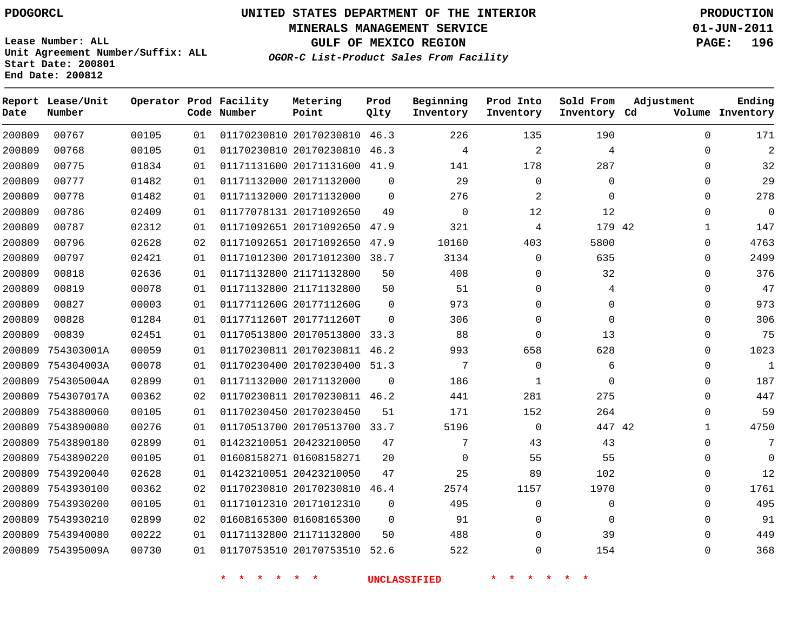**MINERALS MANAGEMENT SERVICE 01-JUN-2011**

**GULF OF MEXICO REGION PAGE: 196**

**Lease Number: ALL Unit Agreement Number/Suffix: ALL Start Date: 200801 End Date: 200812**

**OGOR-C List-Product Sales From Facility**

| Date   | Report Lease/Unit<br>Number |       |    | Operator Prod Facility<br>Code Number | Metering<br>Point            | Prod<br>Qlty | Beginning<br>Inventory | Prod Into<br>Inventory | Sold From<br>Inventory Cd | Adjustment   | Ending<br>Volume Inventory |
|--------|-----------------------------|-------|----|---------------------------------------|------------------------------|--------------|------------------------|------------------------|---------------------------|--------------|----------------------------|
| 200809 | 00767                       | 00105 | 01 |                                       | 01170230810 20170230810 46.3 |              | 226                    | 135                    | 190                       | $\Omega$     | 171                        |
| 200809 | 00768                       | 00105 | 01 |                                       | 01170230810 20170230810      | 46.3         | 4                      | $\sqrt{2}$             | 4                         | $\Omega$     | 2                          |
| 200809 | 00775                       | 01834 | 01 |                                       | 01171131600 20171131600 41.9 |              | 141                    | 178                    | 287                       | $\Omega$     | 32                         |
| 200809 | 00777                       | 01482 | 01 |                                       | 01171132000 20171132000      | $\mathbf 0$  | 29                     | 0                      | $\mathbf 0$               | $\Omega$     | 29                         |
| 200809 | 00778                       | 01482 | 01 |                                       | 01171132000 20171132000      | $\mathbf 0$  | 276                    | $\overline{c}$         | $\mathbf 0$               | $\Omega$     | 278                        |
| 200809 | 00786                       | 02409 | 01 |                                       | 01177078131 20171092650      | 49           | $\mathbf 0$            | 12                     | 12                        | 0            | 0                          |
| 200809 | 00787                       | 02312 | 01 |                                       | 01171092651 20171092650 47.9 |              | 321                    | 4                      | 179 42                    | 1            | 147                        |
| 200809 | 00796                       | 02628 | 02 |                                       | 01171092651 20171092650      | 47.9         | 10160                  | 403                    | 5800                      | $\Omega$     | 4763                       |
| 200809 | 00797                       | 02421 | 01 |                                       | 01171012300 20171012300 38.7 |              | 3134                   | 0                      | 635                       | $\Omega$     | 2499                       |
| 200809 | 00818                       | 02636 | 01 |                                       | 01171132800 21171132800      | 50           | 408                    | 0                      | 32                        | $\Omega$     | 376                        |
| 200809 | 00819                       | 00078 | 01 |                                       | 01171132800 21171132800      | 50           | 51                     | $\mathbf{0}$           | 4                         | $\Omega$     | 47                         |
| 200809 | 00827                       | 00003 | 01 |                                       | 0117711260G 2017711260G      | $\mathbf 0$  | 973                    | 0                      | 0                         | $\Omega$     | 973                        |
| 200809 | 00828                       | 01284 | 01 |                                       | 0117711260T 2017711260T      | $\Omega$     | 306                    | 0                      | $\Omega$                  | $\Omega$     | 306                        |
| 200809 | 00839                       | 02451 | 01 |                                       | 01170513800 20170513800      | 33.3         | 88                     | $\mathbf{0}$           | 13                        | $\Omega$     | 75                         |
| 200809 | 754303001A                  | 00059 | 01 |                                       | 01170230811 20170230811 46.2 |              | 993                    | 658                    | 628                       | $\Omega$     | 1023                       |
| 200809 | 754304003A                  | 00078 | 01 |                                       | 01170230400 20170230400      | 51.3         | 7                      | 0                      | 6                         | $\Omega$     | $\mathbf{1}$               |
| 200809 | 754305004A                  | 02899 | 01 |                                       | 01171132000 20171132000      | $\Omega$     | 186                    | 1                      | $\Omega$                  | 0            | 187                        |
| 200809 | 754307017A                  | 00362 | 02 |                                       | 01170230811 20170230811 46.2 |              | 441                    | 281                    | 275                       | $\Omega$     | 447                        |
| 200809 | 7543880060                  | 00105 | 01 |                                       | 01170230450 20170230450      | 51           | 171                    | 152                    | 264                       | $\Omega$     | 59                         |
| 200809 | 7543890080                  | 00276 | 01 |                                       | 01170513700 20170513700      | 33.7         | 5196                   | 0                      | 447 42                    | $\mathbf{1}$ | 4750                       |
| 200809 | 7543890180                  | 02899 | 01 |                                       | 01423210051 20423210050      | 47           | 7                      | 43                     | 43                        | $\Omega$     | 7                          |
| 200809 | 7543890220                  | 00105 | 01 |                                       | 01608158271 01608158271      | 20           | $\mathbf 0$            | 55                     | 55                        | $\Omega$     | $\Omega$                   |
| 200809 | 7543920040                  | 02628 | 01 |                                       | 01423210051 20423210050      | 47           | 25                     | 89                     | 102                       | $\Omega$     | 12                         |
| 200809 | 7543930100                  | 00362 | 02 |                                       | 01170230810 20170230810      | 46.4         | 2574                   | 1157                   | 1970                      | $\Omega$     | 1761                       |
| 200809 | 7543930200                  | 00105 | 01 |                                       | 01171012310 20171012310      | $\mathbf 0$  | 495                    | 0                      | 0                         | 0            | 495                        |
| 200809 | 7543930210                  | 02899 | 02 |                                       | 01608165300 01608165300      | $\mathbf 0$  | 91                     | 0                      | $\mathbf 0$               | $\Omega$     | 91                         |
| 200809 | 7543940080                  | 00222 | 01 |                                       | 01171132800 21171132800      | 50           | 488                    | 0                      | 39                        | $\Omega$     | 449                        |
|        | 200809 754395009A           | 00730 | 01 |                                       | 01170753510 20170753510 52.6 |              | 522                    | $\mathbf{0}$           | 154                       | $\Omega$     | 368                        |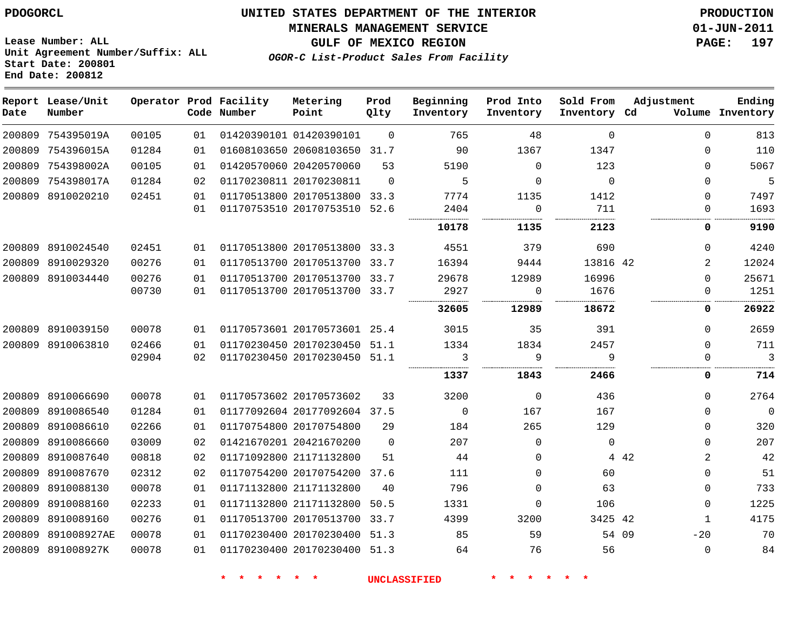#### **MINERALS MANAGEMENT SERVICE 01-JUN-2011**

**GULF OF MEXICO REGION PAGE: 197**

**Lease Number: ALL Unit Agreement Number/Suffix: ALL Start Date: 200801 End Date: 200812**

**OGOR-C List-Product Sales From Facility**

| Date   | Report Lease/Unit<br>Number |       |    | Operator Prod Facility<br>Code Number | Metering<br>Point            | Prod<br>Qlty | Beginning<br>Inventory | Prod Into<br>Inventory | Sold From<br>Inventory Cd | Adjustment     | Ending<br>Volume Inventory |
|--------|-----------------------------|-------|----|---------------------------------------|------------------------------|--------------|------------------------|------------------------|---------------------------|----------------|----------------------------|
| 200809 | 754395019A                  | 00105 | 01 |                                       | 01420390101 01420390101      | $\Omega$     | 765                    | 48                     | $\Omega$                  | $\Omega$       | 813                        |
| 200809 | 754396015A                  | 01284 | 01 |                                       | 01608103650 20608103650      | 31.7         | 90                     | 1367                   | 1347                      | $\Omega$       | 110                        |
| 200809 | 754398002A                  | 00105 | 01 |                                       | 01420570060 20420570060      | 53           | 5190                   | $\mathbf{0}$           | 123                       | $\Omega$       | 5067                       |
| 200809 | 754398017A                  | 01284 | 02 |                                       | 01170230811 20170230811      | $\Omega$     | 5                      | $\mathbf 0$            | $\Omega$                  | $\Omega$       | 5                          |
|        | 200809 8910020210           | 02451 | 01 |                                       | 01170513800 20170513800      | 33.3         | 7774                   | 1135                   | 1412                      | $\Omega$       | 7497                       |
|        |                             |       | 01 |                                       | 01170753510 20170753510      | 52.6         | 2404                   | 0                      | 711                       | 0              | 1693                       |
|        |                             |       |    |                                       |                              |              | 10178                  | 1135                   | 2123                      | 0              | 9190                       |
|        | 200809 8910024540           | 02451 | 01 |                                       | 01170513800 20170513800      | 33.3         | 4551                   | 379                    | 690                       | 0              | 4240                       |
|        | 200809 8910029320           | 00276 | 01 |                                       | 01170513700 20170513700 33.7 |              | 16394                  | 9444                   | 13816 42                  | $\overline{2}$ | 12024                      |
|        | 200809 8910034440           | 00276 | 01 |                                       | 01170513700 20170513700 33.7 |              | 29678                  | 12989                  | 16996                     | $\Omega$       | 25671                      |
|        |                             | 00730 | 01 |                                       | 01170513700 20170513700 33.7 |              | 2927                   | $\mathbf 0$            | 1676<br>.                 | 0              | 1251                       |
|        |                             |       |    |                                       |                              |              | 32605                  | 12989                  | 18672                     | 0              | 26922                      |
|        | 200809 8910039150           | 00078 | 01 |                                       | 01170573601 20170573601 25.4 |              | 3015                   | 35                     | 391                       | $\Omega$       | 2659                       |
|        | 200809 8910063810           | 02466 | 01 |                                       | 01170230450 20170230450      | 51.1         | 1334                   | 1834                   | 2457                      | $\Omega$       | 711                        |
|        |                             | 02904 | 02 |                                       | 01170230450 20170230450      | 51.1         | 3                      | 9                      | 9                         | 0              | $\mathbf{3}$               |
|        |                             |       |    |                                       |                              |              | 1337                   | 1843                   | 2466                      | 0              | 714                        |
|        | 200809 8910066690           | 00078 | 01 |                                       | 01170573602 20170573602      | 33           | 3200                   | $\mathbf 0$            | 436                       | $\Omega$       | 2764                       |
|        | 200809 8910086540           | 01284 | 01 |                                       | 01177092604 20177092604 37.5 |              | $\Omega$               | 167                    | 167                       | $\Omega$       | $\overline{0}$             |
|        | 200809 8910086610           | 02266 | 01 |                                       | 01170754800 20170754800      | 29           | 184                    | 265                    | 129                       | 0              | 320                        |
|        | 200809 8910086660           | 03009 | 02 |                                       | 01421670201 20421670200      | $\Omega$     | 207                    | 0                      | $\mathbf 0$               | $\Omega$       | 207                        |
|        | 200809 8910087640           | 00818 | 02 |                                       | 01171092800 21171132800      | 51           | 44                     | 0                      |                           | 2<br>4 4 2     | 42                         |
|        | 200809 8910087670           | 02312 | 02 |                                       | 01170754200 20170754200      | 37.6         | 111                    | $\mathbf{0}$           | 60                        | $\Omega$       | 51                         |
|        | 200809 8910088130           | 00078 | 01 |                                       | 01171132800 21171132800      | 40           | 796                    | $\mathbf{0}$           | 63                        | 0              | 733                        |
| 200809 | 8910088160                  | 02233 | 01 |                                       | 01171132800 21171132800      | 50.5         | 1331                   | 0                      | 106                       | 0              | 1225                       |
|        | 200809 8910089160           | 00276 | 01 |                                       | 01170513700 20170513700      | 33.7         | 4399                   | 3200                   | 3425 42                   | $\mathbf{1}$   | 4175                       |
| 200809 | 891008927AE                 | 00078 | 01 |                                       | 01170230400 20170230400 51.3 |              | 85                     | 59                     | 54 09                     | $-20$          | 70                         |
|        | 200809 891008927K           | 00078 | 01 |                                       | 01170230400 20170230400 51.3 |              | 64                     | 76                     | 56                        | $\Omega$       | 84                         |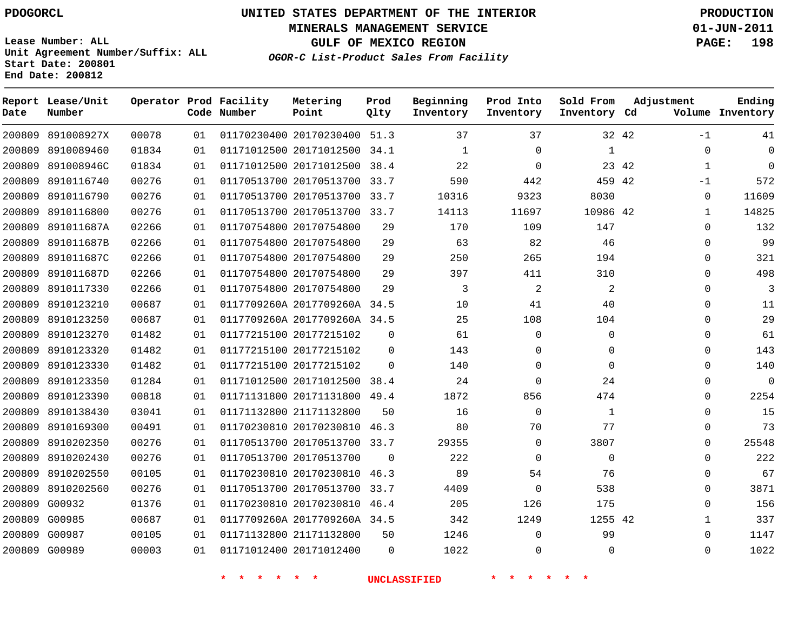# **UNITED STATES DEPARTMENT OF THE INTERIOR PDOGORCL PRODUCTION**

**MINERALS MANAGEMENT SERVICE 01-JUN-2011**

**GULF OF MEXICO REGION PAGE: 198**

**Unit Agreement Number/Suffix: ALL Start Date: 200801 End Date: 200812**

**OGOR-C List-Product Sales From Facility**

| Date | Report Lease/Unit<br>Number |       |    | Operator Prod Facility<br>Code Number | Metering<br>Point            | Prod<br>Qlty | Beginning<br>Inventory | Prod Into<br>Inventory | Sold From<br>Inventory Cd | Adjustment    | Ending<br>Volume Inventory |
|------|-----------------------------|-------|----|---------------------------------------|------------------------------|--------------|------------------------|------------------------|---------------------------|---------------|----------------------------|
|      | 200809 891008927X           | 00078 | 01 |                                       | 01170230400 20170230400 51.3 |              | 37                     | 37                     |                           | 32 42<br>$-1$ | 41                         |
|      | 200809 8910089460           | 01834 | 01 |                                       | 01171012500 20171012500 34.1 |              | 1                      | 0                      | 1                         | 0             | 0                          |
|      | 200809 891008946C           | 01834 | 01 |                                       | 01171012500 20171012500 38.4 |              | 22                     | 0                      |                           | 23 42<br>1    | $\Omega$                   |
|      | 200809 8910116740           | 00276 | 01 |                                       | 01170513700 20170513700 33.7 |              | 590                    | 442                    | 459 42                    | -1            | 572                        |
|      | 200809 8910116790           | 00276 | 01 |                                       | 01170513700 20170513700 33.7 |              | 10316                  | 9323                   | 8030                      |               | 11609<br>$\Omega$          |
|      | 200809 8910116800           | 00276 | 01 |                                       | 01170513700 20170513700 33.7 |              | 14113                  | 11697                  | 10986 42                  |               | 14825<br>1                 |
|      | 200809 891011687A           | 02266 | 01 |                                       | 01170754800 20170754800      | 29           | 170                    | 109                    | 147                       | $\Omega$      | 132                        |
|      | 200809 891011687B           | 02266 | 01 |                                       | 01170754800 20170754800      | 29           | 63                     | 82                     | 46                        | $\Omega$      | 99                         |
|      | 200809 891011687C           | 02266 | 01 |                                       | 01170754800 20170754800      | 29           | 250                    | 265                    | 194                       | $\Omega$      | 321                        |
|      | 200809 891011687D           | 02266 | 01 |                                       | 01170754800 20170754800      | 29           | 397                    | 411                    | 310                       | 0             | 498                        |
|      | 200809 8910117330           | 02266 | 01 |                                       | 01170754800 20170754800      | 29           | 3                      | 2                      | 2                         | $\Omega$      | 3                          |
|      | 200809 8910123210           | 00687 | 01 |                                       | 0117709260A 2017709260A 34.5 |              | 10                     | 41                     | 40                        | $\Omega$      | 11                         |
|      | 200809 8910123250           | 00687 | 01 |                                       | 0117709260A 2017709260A 34.5 |              | 25                     | 108                    | 104                       | $\Omega$      | 29                         |
|      | 200809 8910123270           | 01482 | 01 |                                       | 01177215100 20177215102      | 0            | 61                     | 0                      | 0                         | $\Omega$      | 61                         |
|      | 200809 8910123320           | 01482 | 01 |                                       | 01177215100 20177215102      | $\Omega$     | 143                    | 0                      | 0                         | $\Omega$      | 143                        |
|      | 200809 8910123330           | 01482 | 01 |                                       | 01177215100 20177215102      | $\Omega$     | 140                    | $\mathbf{0}$           | $\mathbf 0$               | $\Omega$      | 140                        |
|      | 200809 8910123350           | 01284 | 01 |                                       | 01171012500 20171012500 38.4 |              | 24                     | $\mathbf 0$            | 24                        | $\Omega$      | $\mathbf 0$                |
|      | 200809 8910123390           | 00818 | 01 |                                       | 01171131800 20171131800      | 49.4         | 1872                   | 856                    | 474                       | 0             | 2254                       |
|      | 200809 8910138430           | 03041 | 01 |                                       | 01171132800 21171132800      | 50           | 16                     | $\mathbf{0}$           | $\mathbf{1}$              | $\Omega$      | 15                         |
|      | 200809 8910169300           | 00491 | 01 |                                       | 01170230810 20170230810      | 46.3         | 80                     | 70                     | 77                        | $\Omega$      | 73                         |
|      | 200809 8910202350           | 00276 | 01 |                                       | 01170513700 20170513700 33.7 |              | 29355                  | 0                      | 3807                      | $\Omega$      | 25548                      |
|      | 200809 8910202430           | 00276 | 01 |                                       | 01170513700 20170513700      | $\Omega$     | 222                    | $\mathbf 0$            | $\mathbf 0$               | $\Omega$      | 222                        |
|      | 200809 8910202550           | 00105 | 01 |                                       | 01170230810 20170230810      | 46.3         | 89                     | 54                     | 76                        | $\Omega$      | 67                         |
|      | 200809 8910202560           | 00276 | 01 |                                       | 01170513700 20170513700      | 33.7         | 4409                   | $\mathbf{0}$           | 538                       | $\Omega$      | 3871                       |
|      | 200809 G00932               | 01376 | 01 |                                       | 01170230810 20170230810 46.4 |              | 205                    | 126                    | 175                       | $\Omega$      | 156                        |
|      | 200809 G00985               | 00687 | 01 |                                       | 0117709260A 2017709260A 34.5 |              | 342                    | 1249                   | 1255 42                   |               | 337<br>1                   |
|      | 200809 G00987               | 00105 | 01 |                                       | 01171132800 21171132800      | 50           | 1246                   | $\mathbf{0}$           | 99                        | $\Omega$      | 1147                       |
|      | 200809 G00989               | 00003 | 01 |                                       | 01171012400 20171012400      | $\Omega$     | 1022                   | $\Omega$               | $\Omega$                  | $\Omega$      | 1022                       |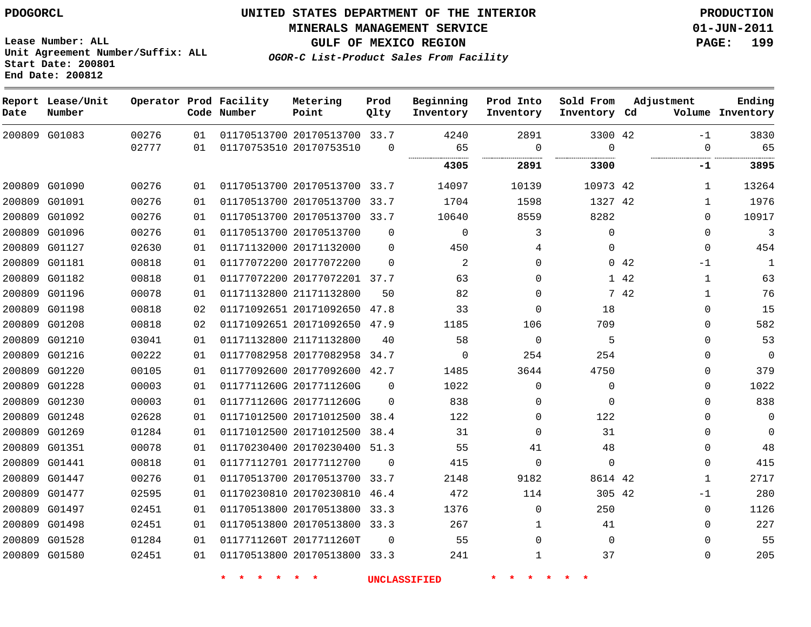**MINERALS MANAGEMENT SERVICE 01-JUN-2011**

**GULF OF MEXICO REGION PAGE: 199**

**OGOR-C List-Product Sales From Facility**

**Lease Number: ALL Unit Agreement Number/Suffix: ALL Start Date: 200801 End Date: 200812**

| Date   | Report Lease/Unit<br>Number |       |    | Operator Prod Facility<br>Code Number | Metering<br>Point            | Prod<br>Qlty | Beginning<br>Inventory | Prod Into<br>Inventory | Sold From<br>Inventory Cd | Adjustment |          | Ending<br>Volume Inventory |
|--------|-----------------------------|-------|----|---------------------------------------|------------------------------|--------------|------------------------|------------------------|---------------------------|------------|----------|----------------------------|
|        | 200809 G01083               | 00276 | 01 |                                       | 01170513700 20170513700 33.7 |              | 4240                   | 2891                   | 3300 42                   |            | $-1$     | 3830                       |
|        |                             | 02777 | 01 |                                       | 01170753510 20170753510      | $\Omega$     | 65<br>                 | 0                      | $\Omega$<br>.             |            | $\Omega$ | 65                         |
|        |                             |       |    |                                       |                              |              | 4305                   | 2891                   | 3300                      |            | -1       | 3895                       |
|        | 200809 G01090               | 00276 | 01 |                                       | 01170513700 20170513700 33.7 |              | 14097                  | 10139                  | 10973 42                  |            | 1        | 13264                      |
|        | 200809 G01091               | 00276 | 01 |                                       | 01170513700 20170513700 33.7 |              | 1704                   | 1598                   | 1327 42                   |            | 1        | 1976                       |
|        | 200809 G01092               | 00276 | 01 |                                       | 01170513700 20170513700 33.7 |              | 10640                  | 8559                   | 8282                      |            | $\Omega$ | 10917                      |
|        | 200809 G01096               | 00276 | 01 |                                       | 01170513700 20170513700      | $\Omega$     | $\mathbf 0$            | 3                      | $\mathbf{0}$              |            | 0        | 3                          |
|        | 200809 G01127               | 02630 | 01 |                                       | 01171132000 20171132000      | $\Omega$     | 450                    | 4                      | $\Omega$                  |            | $\Omega$ | 454                        |
| 200809 | G01181                      | 00818 | 01 |                                       | 01177072200 20177072200      | $\Omega$     | 2                      | $\Omega$               |                           | 0.42       | -1       | $\mathbf{1}$               |
| 200809 | G01182                      | 00818 | 01 |                                       | 01177072200 20177072201 37.7 |              | 63                     | 0                      |                           | 1 42       | 1        | 63                         |
|        | 200809 G01196               | 00078 | 01 |                                       | 01171132800 21171132800      | 50           | 82                     | 0                      |                           | 7 42       | 1        | 76                         |
|        | 200809 G01198               | 00818 | 02 |                                       | 01171092651 20171092650      | 47.8         | 33                     | $\Omega$               | 18                        |            | $\Omega$ | 15                         |
|        | 200809 G01208               | 00818 | 02 |                                       | 01171092651 20171092650 47.9 |              | 1185                   | 106                    | 709                       |            | $\Omega$ | 582                        |
|        | 200809 G01210               | 03041 | 01 |                                       | 01171132800 21171132800      | 40           | 58                     | $\Omega$               | 5                         |            | $\Omega$ | 53                         |
|        | 200809 G01216               | 00222 | 01 |                                       | 01177082958 20177082958 34.7 |              | $\Omega$               | 254                    | 254                       |            | $\Omega$ | 0                          |
| 200809 | G01220                      | 00105 | 01 |                                       | 01177092600 20177092600 42.7 |              | 1485                   | 3644                   | 4750                      |            | $\Omega$ | 379                        |
|        | 200809 G01228               | 00003 | 01 |                                       | 0117711260G 2017711260G      | $\Omega$     | 1022                   | 0                      | 0                         |            | 0        | 1022                       |
|        | 200809 G01230               | 00003 | 01 |                                       | 0117711260G 2017711260G      | $\Omega$     | 838                    | 0                      | $\Omega$                  |            | $\Omega$ | 838                        |
|        | 200809 G01248               | 02628 | 01 |                                       | 01171012500 20171012500 38.4 |              | 122                    | 0                      | 122                       |            | 0        | 0                          |
|        | 200809 G01269               | 01284 | 01 |                                       | 01171012500 20171012500 38.4 |              | 31                     | $\mathbf{0}$           | 31                        |            | $\Omega$ | $\mathbf 0$                |
|        | 200809 G01351               | 00078 | 01 |                                       | 01170230400 20170230400      | 51.3         | 55                     | 41                     | 48                        |            | $\Omega$ | 48                         |
|        | 200809 G01441               | 00818 | 01 |                                       | 01177112701 20177112700      | $\Omega$     | 415                    | $\Omega$               | $\Omega$                  |            | $\Omega$ | 415                        |
|        | 200809 G01447               | 00276 | 01 |                                       | 01170513700 20170513700      | 33.7         | 2148                   | 9182                   | 8614 42                   |            | 1        | 2717                       |
| 200809 | G01477                      | 02595 | 01 |                                       | 01170230810 20170230810      | 46.4         | 472                    | 114                    | 305 42                    |            | $-1$     | 280                        |
|        | 200809 G01497               | 02451 | 01 |                                       | 01170513800 20170513800 33.3 |              | 1376                   | $\mathbf{0}$           | 250                       |            | $\Omega$ | 1126                       |
|        | 200809 G01498               | 02451 | 01 |                                       | 01170513800 20170513800      | 33.3         | 267                    | 1                      | 41                        |            | $\Omega$ | 227                        |
|        | 200809 G01528               | 01284 | 01 |                                       | 0117711260T 2017711260T      | $\Omega$     | 55                     | $\Omega$               | $\Omega$                  |            | $\Omega$ | 55                         |
|        | 200809 G01580               | 02451 | 01 |                                       | 01170513800 20170513800 33.3 |              | 241                    | 1                      | 37                        |            | 0        | 205                        |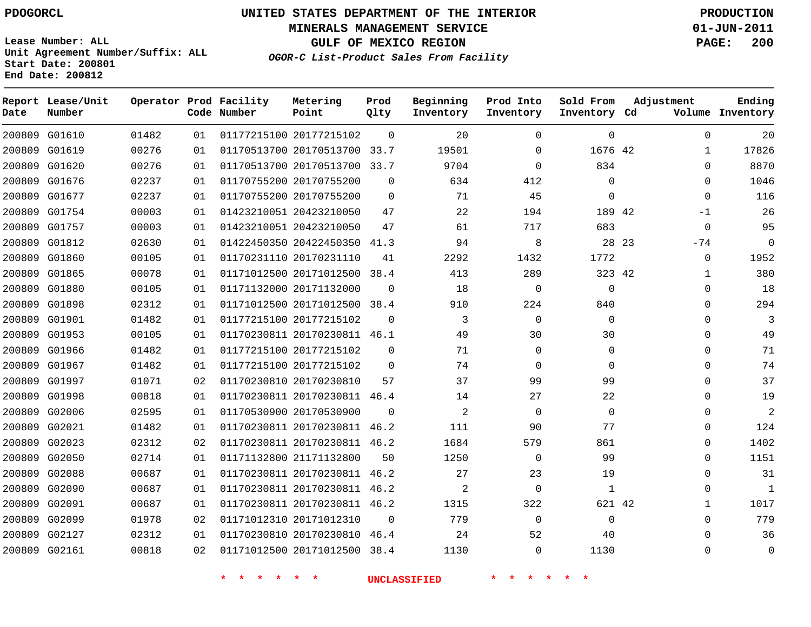**Start Date: 200801 End Date: 200812**

**Unit Agreement Number/Suffix: ALL**

# **UNITED STATES DEPARTMENT OF THE INTERIOR PDOGORCL PRODUCTION**

**MINERALS MANAGEMENT SERVICE 01-JUN-2011**

**GULF OF MEXICO REGION PAGE: 200**

**OGOR-C List-Product Sales From Facility**

 G01610 G01619 G01620 G01676 G01677 G01754 G01757 G01812 G01860 G01865 G01880 G01898 G01901 G01953 G01966 G01967 G01997 G01998 G02006 G02021 G02023 G02050 G02088 G02090 G02091 G02099 G02127 G02161 **Report Lease/Unit Date Number Operator Prod Facility Code Number** 20177215102 20170513700 20170513700 33.7 20170755200 20170755200 20423210050 20423210050 20422450350 41.3 20170231110 20171012500 20171132000 20171012500 38.4 20177215102 20170230811 46.1 20177215102 20177215102 20170230810 20170230811 46.4 20170530900 20170230811 46.2 20170230811 46.2 21171132800 20170230811 46.2 20170230811 46.2 20170230811 46.2 20171012310 20170230810 20171012500 38.4 **Metering Point** 42 42 23 42 42  $\Omega$ 33.7  $\Omega$  $\Omega$  38.4  $\Omega$   $\Omega$ 46.4 **Prod Qlty**  $\overline{a}$  **Beginning Inventory**  $\Omega$   $\Omega$ **Ending Inventory Cd Volume** $\Omega$  $\Omega$  $\Omega$   $\Omega$   $\Omega$   $\Omega$   $\Omega$   $\Omega$   $\Omega$   $\Omega$   $\Omega$ **Prod Into Inventory**  $\Omega$   $\Omega$  $\Omega$   $\Omega$   $\Omega$   $\Omega$   $\Omega$   $\Omega$  **Sold From Inventory**  $\Omega$   $\cap$  $\Omega$  $\Omega$ -1  $\Omega$ -74  $\Omega$   $\Omega$   $\Omega$  $\Omega$  $\Omega$   $\Omega$  $\Omega$  $\Omega$  $\Omega$   $\Omega$  $\Omega$  $\Omega$ **Adjustment**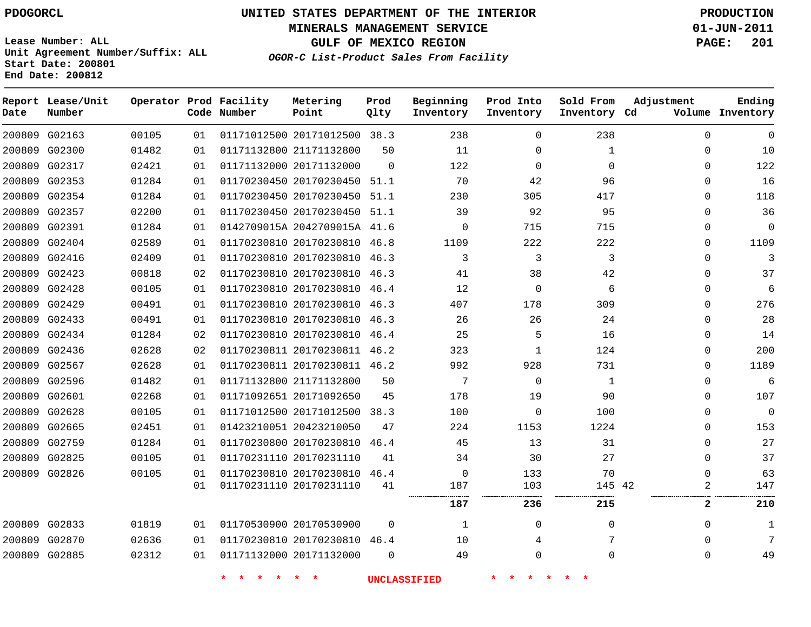**MINERALS MANAGEMENT SERVICE 01-JUN-2011**

**GULF OF MEXICO REGION PAGE: 201**

**Lease Number: ALL Unit Agreement Number/Suffix: ALL Start Date: 200801 End Date: 200812**

**OGOR-C List-Product Sales From Facility**

| Date          | Report Lease/Unit<br>Number |       |    | Operator Prod Facility<br>Code Number | Metering<br>Point            | Prod<br>Qlty | Beginning<br>Inventory | Prod Into<br>Inventory | Sold From<br>Inventory Cd | Adjustment   | Ending<br>Volume Inventory |
|---------------|-----------------------------|-------|----|---------------------------------------|------------------------------|--------------|------------------------|------------------------|---------------------------|--------------|----------------------------|
| 200809 G02163 |                             | 00105 | 01 |                                       | 01171012500 20171012500 38.3 |              | 238                    | 0                      | 238                       | $\mathbf 0$  | $\mathbf 0$                |
| 200809 G02300 |                             | 01482 | 01 |                                       | 01171132800 21171132800      | 50           | 11                     | 0                      | 1                         | $\mathbf 0$  | 10                         |
| 200809 G02317 |                             | 02421 | 01 | 01171132000 20171132000               |                              | $\Omega$     | 122                    | $\mathbf 0$            | $\mathbf 0$               | $\mathbf 0$  | 122                        |
| 200809 G02353 |                             | 01284 | 01 |                                       | 01170230450 20170230450 51.1 |              | 70                     | 42                     | 96                        | $\mathbf 0$  | 16                         |
| 200809 G02354 |                             | 01284 | 01 |                                       | 01170230450 20170230450 51.1 |              | 230                    | 305                    | 417                       | $\mathbf 0$  | 118                        |
| 200809 G02357 |                             | 02200 | 01 |                                       | 01170230450 20170230450 51.1 |              | 39                     | 92                     | 95                        | $\mathbf 0$  | 36                         |
| 200809 G02391 |                             | 01284 | 01 |                                       | 0142709015A 2042709015A 41.6 |              | $\Omega$               | 715                    | 715                       | $\Omega$     | $\Omega$                   |
| 200809 G02404 |                             | 02589 | 01 |                                       | 01170230810 20170230810 46.8 |              | 1109                   | 222                    | 222                       | 0            | 1109                       |
| 200809 G02416 |                             | 02409 | 01 |                                       | 01170230810 20170230810 46.3 |              | 3                      | 3                      | 3                         | $\Omega$     | 3                          |
| 200809 G02423 |                             | 00818 | 02 |                                       | 01170230810 20170230810      | 46.3         | 41                     | 38                     | 42                        | $\mathbf 0$  | 37                         |
| 200809 G02428 |                             | 00105 | 01 |                                       | 01170230810 20170230810 46.4 |              | 12                     | 0                      | 6                         | 0            | 6                          |
| 200809 G02429 |                             | 00491 | 01 |                                       | 01170230810 20170230810 46.3 |              | 407                    | 178                    | 309                       | $\Omega$     | 276                        |
| 200809 G02433 |                             | 00491 | 01 |                                       | 01170230810 20170230810      | 46.3         | 26                     | 26                     | 24                        | $\mathbf 0$  | 28                         |
| 200809 G02434 |                             | 01284 | 02 |                                       | 01170230810 20170230810 46.4 |              | 25                     | 5                      | 16                        | $\Omega$     | 14                         |
| 200809 G02436 |                             | 02628 | 02 |                                       | 01170230811 20170230811 46.2 |              | 323                    | $\mathbf{1}$           | 124                       | $\mathbf 0$  | 200                        |
| 200809 G02567 |                             | 02628 | 01 |                                       | 01170230811 20170230811 46.2 |              | 992                    | 928                    | 731                       | $\Omega$     | 1189                       |
| 200809 G02596 |                             | 01482 | 01 |                                       | 01171132800 21171132800      | 50           | 7                      | $\mathbf 0$            | $\mathbf{1}$              | $\mathbf 0$  | 6                          |
| 200809 G02601 |                             | 02268 | 01 |                                       | 01171092651 20171092650      | 45           | 178                    | 19                     | 90                        | $\mathbf 0$  | 107                        |
| 200809 G02628 |                             | 00105 | 01 |                                       | 01171012500 20171012500 38.3 |              | 100                    | 0                      | 100                       | $\Omega$     | $\Omega$                   |
| 200809 G02665 |                             | 02451 | 01 |                                       | 01423210051 20423210050      | 47           | 224                    | 1153                   | 1224                      | $\mathbf 0$  | 153                        |
|               | 200809 G02759               | 01284 | 01 |                                       | 01170230800 20170230810      | 46.4         | 45                     | 13                     | 31                        | $\Omega$     | 27                         |
| 200809 G02825 |                             | 00105 | 01 |                                       | 01170231110 20170231110      | 41           | 34                     | 30                     | 27                        | $\mathbf 0$  | 37                         |
| 200809 G02826 |                             | 00105 | 01 |                                       | 01170230810 20170230810      | 46.4         | 0                      | 133                    | 70                        | $\Omega$     | 63                         |
|               |                             |       | 01 |                                       | 01170231110 20170231110      | 41           | 187                    | 103                    | 145 42                    | 2            | 147                        |
|               |                             |       |    |                                       |                              |              | 187                    | 236                    | 215                       | $\mathbf{2}$ | 210                        |
| 200809 G02833 |                             | 01819 | 01 | 01170530900 20170530900               |                              | $\mathbf 0$  | 1                      | 0                      | 0                         | $\mathbf 0$  | 1                          |
| 200809 G02870 |                             | 02636 | 01 |                                       | 01170230810 20170230810 46.4 |              | 10                     | 4                      | 7                         | $\Omega$     | 7                          |
| 200809 G02885 |                             | 02312 | 01 |                                       | 01171132000 20171132000      | $\Omega$     | 49                     | 0                      | $\mathbf{0}$              | $\mathbf 0$  | 49                         |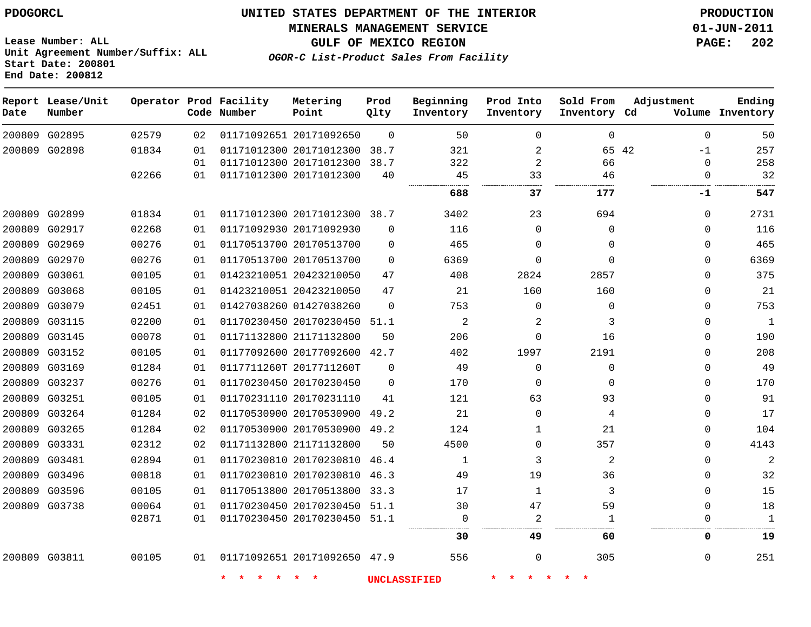**MINERALS MANAGEMENT SERVICE 01-JUN-2011**

**Lease Number: ALL Unit Agreement Number/Suffix: ALL Start Date: 200801 End Date: 200812**

**OGOR-C List-Product Sales From Facility**

**GULF OF MEXICO REGION PAGE: 202**

| Date          | Report Lease/Unit<br>Number |       |    | Operator Prod Facility<br>Code Number | Metering<br>Point            | Prod<br>Qlty | Beginning<br>Inventory | Prod Into<br>Inventory | Sold From<br>Inventory Cd | Adjustment    | Ending<br>Volume Inventory |
|---------------|-----------------------------|-------|----|---------------------------------------|------------------------------|--------------|------------------------|------------------------|---------------------------|---------------|----------------------------|
|               | 200809 G02895               | 02579 | 02 |                                       | 01171092651 20171092650      | $\Omega$     | 50                     | $\Omega$               | $\Omega$                  | $\Omega$      | 50                         |
| 200809 G02898 |                             | 01834 | 01 |                                       | 01171012300 20171012300      | 38.7         | 321                    | $\overline{a}$         |                           | 65 42<br>$-1$ | 257                        |
|               |                             |       | 01 |                                       | 01171012300 20171012300      | 38.7         | 322                    | $\overline{a}$         | 66                        | $\Omega$      | 258                        |
|               |                             | 02266 | 01 |                                       | 01171012300 20171012300      | 40           | 45                     | 33                     | 46                        | $\Omega$      | 32                         |
|               |                             |       |    |                                       |                              |              | 688                    | 37                     | 177                       | -1            | 547                        |
|               | 200809 G02899               | 01834 | 01 |                                       | 01171012300 20171012300 38.7 |              | 3402                   | 23                     | 694                       | $\mathbf 0$   | 2731                       |
| 200809        | G02917                      | 02268 | 01 |                                       | 01171092930 20171092930      | $\Omega$     | 116                    | $\mathbf{0}$           | 0                         | $\Omega$      | 116                        |
|               | 200809 G02969               | 00276 | 01 |                                       | 01170513700 20170513700      | $\mathbf 0$  | 465                    | $\mathbf 0$            | $\Omega$                  | $\Omega$      | 465                        |
|               | 200809 G02970               | 00276 | 01 |                                       | 01170513700 20170513700      | $\Omega$     | 6369                   | $\Omega$               | $\Omega$                  | $\Omega$      | 6369                       |
| 200809 G03061 |                             | 00105 | 01 |                                       | 01423210051 20423210050      | 47           | 408                    | 2824                   | 2857                      | $\Omega$      | 375                        |
|               | 200809 G03068               | 00105 | 01 |                                       | 01423210051 20423210050      | 47           | 21                     | 160                    | 160                       | $\Omega$      | 21                         |
|               | 200809 G03079               | 02451 | 01 |                                       | 01427038260 01427038260      | $\Omega$     | 753                    | $\mathbf 0$            | $\mathbf 0$               | $\Omega$      | 753                        |
|               | 200809 G03115               | 02200 | 01 |                                       | 01170230450 20170230450 51.1 |              | 2                      | 2                      | 3                         | $\Omega$      | $\mathbf{1}$               |
|               | 200809 G03145               | 00078 | 01 |                                       | 01171132800 21171132800      | 50           | 206                    | 0                      | 16                        | $\Omega$      | 190                        |
|               | 200809 G03152               | 00105 | 01 |                                       | 01177092600 20177092600 42.7 |              | 402                    | 1997                   | 2191                      | $\Omega$      | 208                        |
|               | 200809 G03169               | 01284 | 01 |                                       | 0117711260T 2017711260T      | $\mathbf 0$  | 49                     | $\mathbf 0$            | $\Omega$                  | $\Omega$      | 49                         |
|               | 200809 G03237               | 00276 | 01 |                                       | 01170230450 20170230450      | $\mathbf 0$  | 170                    | 0                      | $\mathbf 0$               | $\Omega$      | 170                        |
|               | 200809 G03251               | 00105 | 01 |                                       | 01170231110 20170231110      | 41           | 121                    | 63                     | 93                        | $\Omega$      | 91                         |
|               | 200809 G03264               | 01284 | 02 |                                       | 01170530900 20170530900      | 49.2         | 21                     | $\mathbf 0$            | 4                         | $\Omega$      | 17                         |
|               | 200809 G03265               | 01284 | 02 |                                       | 01170530900 20170530900      | 49.2         | 124                    | 1                      | 21                        | $\Omega$      | 104                        |
|               | 200809 G03331               | 02312 | 02 |                                       | 01171132800 21171132800      | 50           | 4500                   | $\mathbf 0$            | 357                       | $\Omega$      | 4143                       |
| 200809 G03481 |                             | 02894 | 01 |                                       | 01170230810 20170230810      | 46.4         | $\mathbf 1$            | 3                      | $\overline{2}$            | $\Omega$      |                            |
|               | 200809 G03496               | 00818 | 01 |                                       | 01170230810 20170230810 46.3 |              | 49                     | 19                     | 36                        | $\Omega$      | 32                         |
|               | 200809 G03596               | 00105 | 01 |                                       | 01170513800 20170513800      | 33.3         | 17                     | $\mathbf{1}$           | 3                         | $\Omega$      | 15                         |
|               | 200809 G03738               | 00064 | 01 |                                       | 01170230450 20170230450 51.1 |              | 30                     | 47                     | 59                        | $\mathbf 0$   | 18                         |
|               |                             | 02871 | 01 |                                       | 01170230450 20170230450 51.1 |              | $\mathbf 0$            | $\overline{a}$         | 1                         | $\Omega$      | $\mathbf{1}$               |
|               |                             |       |    |                                       |                              |              | 30                     | 49                     | 60                        | 0             | 19                         |
| 200809 G03811 |                             | 00105 | 01 |                                       | 01171092651 20171092650 47.9 |              | 556                    | 0                      | 305                       | $\mathbf 0$   | 251                        |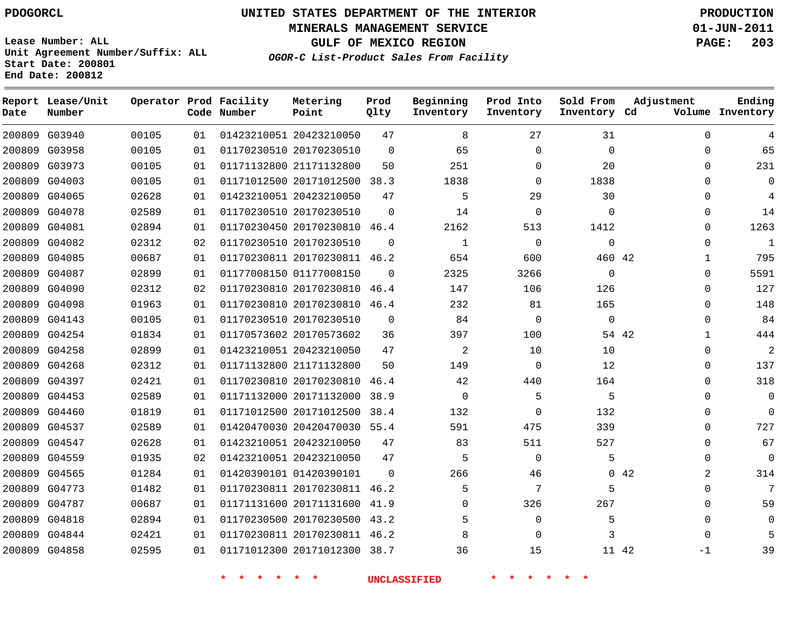#### **MINERALS MANAGEMENT SERVICE 01-JUN-2011**

**GULF OF MEXICO REGION PAGE: 203**

**Lease Number: ALL Unit Agreement Number/Suffix: ALL Start Date: 200801 End Date: 200812**

**OGOR-C List-Product Sales From Facility**

| Date | Report Lease/Unit<br>Number |       |    | Operator Prod Facility<br>Code Number | Metering<br>Point            | Prod<br>Qlty | Beginning<br>Inventory | Prod Into<br>Inventory | Sold From<br>Inventory Cd | Adjustment            | Ending<br>Volume Inventory |
|------|-----------------------------|-------|----|---------------------------------------|------------------------------|--------------|------------------------|------------------------|---------------------------|-----------------------|----------------------------|
|      | 200809 G03940               | 00105 | 01 |                                       | 01423210051 20423210050      | 47           | 8                      | 27                     | 31                        | $\Omega$              | 4                          |
|      | 200809 G03958               | 00105 | 01 |                                       | 01170230510 20170230510      | $\Omega$     | 65                     | $\Omega$               | $\Omega$                  | $\Omega$              | 65                         |
|      | 200809 G03973               | 00105 | 01 |                                       | 01171132800 21171132800      | 50           | 251                    | $\Omega$               | 20                        | $\Omega$              | 231                        |
|      | 200809 G04003               | 00105 | 01 |                                       | 01171012500 20171012500 38.3 |              | 1838                   | $\Omega$               | 1838                      | $\mathbf 0$           | $\mathbf 0$                |
|      | 200809 G04065               | 02628 | 01 |                                       | 01423210051 20423210050      | 47           | 5                      | 29                     | 30                        | $\Omega$              | 4                          |
|      | 200809 G04078               | 02589 | 01 |                                       | 01170230510 20170230510      | $\Omega$     | 14                     | $\mathbf 0$            | $\mathbf 0$               | 0                     | 14                         |
|      | 200809 G04081               | 02894 | 01 |                                       | 01170230450 20170230810 46.4 |              | 2162                   | 513                    | 1412                      | $\mathbf 0$           | 1263                       |
|      | 200809 G04082               | 02312 | 02 |                                       | 01170230510 20170230510      | $\Omega$     | $\mathbf{1}$           | $\mathbf 0$            | $\mathbf 0$               | $\mathbf 0$           | $\mathbf{1}$               |
|      | 200809 G04085               | 00687 | 01 |                                       | 01170230811 20170230811 46.2 |              | 654                    | 600                    | 460 42                    | 1                     | 795                        |
|      | 200809 G04087               | 02899 | 01 |                                       | 01177008150 01177008150      | $\Omega$     | 2325                   | 3266                   | $\mathbf 0$               | $\mathbf 0$           | 5591                       |
|      | 200809 G04090               | 02312 | 02 |                                       | 01170230810 20170230810 46.4 |              | 147                    | 106                    | 126                       | 0                     | 127                        |
|      | 200809 G04098               | 01963 | 01 |                                       | 01170230810 20170230810 46.4 |              | 232                    | 81                     | 165                       | 0                     | 148                        |
|      | 200809 G04143               | 00105 | 01 |                                       | 01170230510 20170230510      | $\mathbf 0$  | 84                     | 0                      | $\mathbf 0$               | 0                     | 84                         |
|      | 200809 G04254               | 01834 | 01 |                                       | 01170573602 20170573602      | 36           | 397                    | 100                    |                           | 54 42<br>$\mathbf{1}$ | 444                        |
|      | 200809 G04258               | 02899 | 01 |                                       | 01423210051 20423210050      | 47           | $\overline{a}$         | 10                     | 10                        | $\mathbf 0$           | $\overline{2}$             |
|      | 200809 G04268               | 02312 | 01 |                                       | 01171132800 21171132800      | 50           | 149                    | $\mathbf 0$            | 12                        | $\mathbf 0$           | 137                        |
|      | 200809 G04397               | 02421 | 01 |                                       | 01170230810 20170230810 46.4 |              | 42                     | 440                    | 164                       | $\Omega$              | 318                        |
|      | 200809 G04453               | 02589 | 01 |                                       | 01171132000 20171132000 38.9 |              | $\mathbf 0$            | 5                      | 5                         | 0                     | $\Omega$                   |
|      | 200809 G04460               | 01819 | 01 |                                       | 01171012500 20171012500 38.4 |              | 132                    | $\Omega$               | 132                       | $\mathbf{0}$          | $\Omega$                   |
|      | 200809 G04537               | 02589 | 01 |                                       | 01420470030 20420470030 55.4 |              | 591                    | 475                    | 339                       | $\mathbf 0$           | 727                        |
|      | 200809 G04547               | 02628 | 01 |                                       | 01423210051 20423210050      | 47           | 83                     | 511                    | 527                       | $\mathbf{0}$          | 67                         |
|      | 200809 G04559               | 01935 | 02 |                                       | 01423210051 20423210050      | 47           | 5                      | $\mathbf 0$            | 5                         | $\mathbf 0$           | $\mathbf 0$                |
|      | 200809 G04565               | 01284 | 01 |                                       | 01420390101 01420390101      | $\Omega$     | 266                    | 46                     |                           | 2<br>042              | 314                        |
|      | 200809 G04773               | 01482 | 01 |                                       | 01170230811 20170230811 46.2 |              | 5                      | 7                      | 5                         | $\mathbf 0$           | 7                          |
|      | 200809 G04787               | 00687 | 01 |                                       | 01171131600 20171131600 41.9 |              | $\Omega$               | 326                    | 267                       | 0                     | 59                         |
|      | 200809 G04818               | 02894 | 01 |                                       | 01170230500 20170230500 43.2 |              | 5                      | $\mathbf 0$            | 5                         | 0                     | 0                          |
|      | 200809 G04844               | 02421 | 01 |                                       | 01170230811 20170230811 46.2 |              | 8                      | $\Omega$               | 3                         | $\Omega$              | 5                          |
|      | 200809 G04858               | 02595 | 01 |                                       | 01171012300 20171012300 38.7 |              | 36                     | 15                     |                           | 11 42<br>$-1$         | 39                         |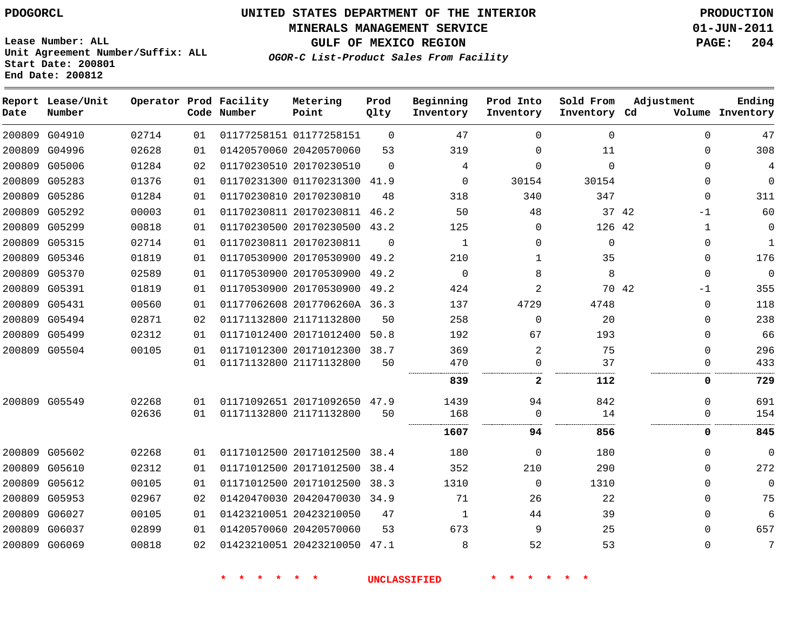**MINERALS MANAGEMENT SERVICE 01-JUN-2011**

**GULF OF MEXICO REGION PAGE: 204**

**Lease Number: ALL Unit Agreement Number/Suffix: ALL Start Date: 200801 End Date: 200812**

**OGOR-C List-Product Sales From Facility**

| Date | Report Lease/Unit<br>Number |       |    | Operator Prod Facility<br>Code Number | Metering<br>Point            | Prod<br>Qlty | Beginning<br>Inventory | Prod Into<br>Inventory | Sold From<br>Inventory Cd | Adjustment    | Ending<br>Volume Inventory |
|------|-----------------------------|-------|----|---------------------------------------|------------------------------|--------------|------------------------|------------------------|---------------------------|---------------|----------------------------|
|      | 200809 G04910               | 02714 | 01 |                                       | 01177258151 01177258151      | $\Omega$     | 47                     | 0                      | $\mathbf 0$               | $\Omega$      | 47                         |
|      | 200809 G04996               | 02628 | 01 |                                       | 01420570060 20420570060      | 53           | 319                    | 0                      | 11                        | $\Omega$      | 308                        |
|      | 200809 G05006               | 01284 | 02 |                                       | 01170230510 20170230510      | $\Omega$     | 4                      | $\Omega$               | $\Omega$                  | $\Omega$      | 4                          |
|      | 200809 G05283               | 01376 | 01 |                                       | 01170231300 01170231300      | 41.9         | $\Omega$               | 30154                  | 30154                     | $\Omega$      | 0                          |
|      | 200809 G05286               | 01284 | 01 |                                       | 01170230810 20170230810      | 48           | 318                    | 340                    | 347                       | $\Omega$      | 311                        |
|      | 200809 G05292               | 00003 | 01 |                                       | 01170230811 20170230811      | 46.2         | 50                     | 48                     |                           | 37 42<br>-1   | 60                         |
|      | 200809 G05299               | 00818 | 01 |                                       | 01170230500 20170230500      | 43.2         | 125                    | $\Omega$               | 126 42                    | 1             | 0                          |
|      | 200809 G05315               | 02714 | 01 |                                       | 01170230811 20170230811      | $\Omega$     | 1                      | 0                      | $\mathbf 0$               | 0             | $\mathbf{1}$               |
|      | 200809 G05346               | 01819 | 01 |                                       | 01170530900 20170530900      | 49.2         | 210                    | $\mathbf{1}$           | 35                        | $\Omega$      | 176                        |
|      | 200809 G05370               | 02589 | 01 |                                       | 01170530900 20170530900      | 49.2         | $\mathbf 0$            | 8                      | 8                         | $\mathbf 0$   | $\mathbf 0$                |
|      | 200809 G05391               | 01819 | 01 |                                       | 01170530900 20170530900      | 49.2         | 424                    | 2                      |                           | 70 42<br>$-1$ | 355                        |
|      | 200809 G05431               | 00560 | 01 |                                       | 01177062608 2017706260A 36.3 |              | 137                    | 4729                   | 4748                      | $\Omega$      | 118                        |
|      | 200809 G05494               | 02871 | 02 |                                       | 01171132800 21171132800      | 50           | 258                    | $\mathbf{0}$           | 20                        | $\Omega$      | 238                        |
|      | 200809 G05499               | 02312 | 01 |                                       | 01171012400 20171012400      | 50.8         | 192                    | 67                     | 193                       | $\Omega$      | 66                         |
|      | 200809 G05504               | 00105 | 01 |                                       | 01171012300 20171012300      | 38.7         | 369                    | $\overline{2}$         | 75                        | $\Omega$      | 296                        |
|      |                             |       | 01 |                                       | 01171132800 21171132800      | 50           | 470                    | $\Omega$               | 37                        | $\Omega$      | 433                        |
|      |                             |       |    |                                       |                              |              | 839                    | $\mathbf{2}$           | 112                       | 0             | 729                        |
|      | 200809 G05549               | 02268 | 01 |                                       | 01171092651 20171092650      | 47.9         | 1439                   | 94                     | 842                       | $\Omega$      | 691                        |
|      |                             | 02636 | 01 |                                       | 01171132800 21171132800      | 50           | 168                    | 0                      | 14                        | $\Omega$      | 154                        |
|      |                             |       |    |                                       |                              |              | 1607                   | 94                     | 856                       | 0             | 845                        |
|      | 200809 G05602               | 02268 | 01 |                                       | 01171012500 20171012500      | 38.4         | 180                    | 0                      | 180                       | $\Omega$      | $\mathbf 0$                |
|      | 200809 G05610               | 02312 | 01 |                                       | 01171012500 20171012500      | 38.4         | 352                    | 210                    | 290                       | $\Omega$      | 272                        |
|      | 200809 G05612               | 00105 | 01 |                                       | 01171012500 20171012500      | 38.3         | 1310                   | 0                      | 1310                      | $\Omega$      | $\mathbf 0$                |
|      | 200809 G05953               | 02967 | 02 |                                       | 01420470030 20420470030      | 34.9         | 71                     | 26                     | 22                        | $\Omega$      | 75                         |
|      | 200809 G06027               | 00105 | 01 |                                       | 01423210051 20423210050      | 47           | 1                      | 44                     | 39                        | 0             | 6                          |
|      | 200809 G06037               | 02899 | 01 |                                       | 01420570060 20420570060      | 53           | 673                    | 9                      | 25                        | $\Omega$      | 657                        |
|      | 200809 G06069               | 00818 | 02 |                                       | 01423210051 20423210050      | 47.1         | 8                      | 52                     | 53                        | $\Omega$      | 7                          |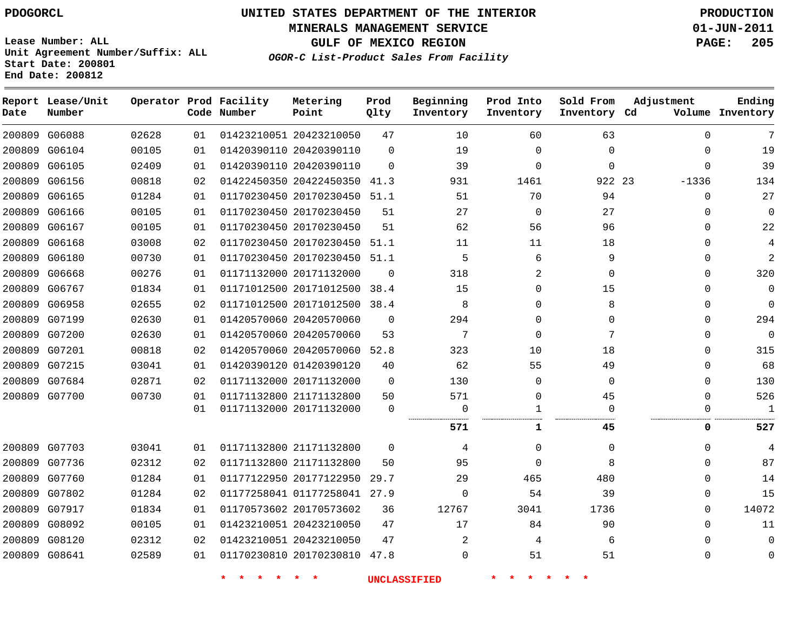**MINERALS MANAGEMENT SERVICE 01-JUN-2011**

**GULF OF MEXICO REGION PAGE: 205**

**Lease Number: ALL Unit Agreement Number/Suffix: ALL Start Date: 200801 End Date: 200812**

**OGOR-C List-Product Sales From Facility**

| Date | Report Lease/Unit<br>Number |       |    | Operator Prod Facility<br>Code Number | Metering<br>Point            | Prod<br>Qlty | Beginning<br>Inventory | Prod Into<br>Inventory | Sold From<br>Inventory Cd | Adjustment   | Ending<br>Volume Inventory |
|------|-----------------------------|-------|----|---------------------------------------|------------------------------|--------------|------------------------|------------------------|---------------------------|--------------|----------------------------|
|      | 200809 G06088               | 02628 | 01 |                                       | 01423210051 20423210050      | 47           | 10                     | 60                     | 63                        | $\Omega$     | 7                          |
|      | 200809 G06104               | 00105 | 01 |                                       | 01420390110 20420390110      | $\mathbf 0$  | 19                     | 0                      | $\mathbf{0}$              | 0            | 19                         |
|      | 200809 G06105               | 02409 | 01 |                                       | 01420390110 20420390110      | $\Omega$     | 39                     | 0                      | $\mathbf 0$               | $\mathbf 0$  | 39                         |
|      | 200809 G06156               | 00818 | 02 |                                       | 01422450350 20422450350      | 41.3         | 931                    | 1461                   | 922 23                    | $-1336$      | 134                        |
|      | 200809 G06165               | 01284 | 01 |                                       | 01170230450 20170230450 51.1 |              | 51                     | 70                     | 94                        | $\mathbf{0}$ | 27                         |
|      | 200809 G06166               | 00105 | 01 |                                       | 01170230450 20170230450      | 51           | 27                     | $\mathbf 0$            | 27                        | $\mathbf{0}$ | $\mathbf 0$                |
|      | 200809 G06167               | 00105 | 01 |                                       | 01170230450 20170230450      | 51           | 62                     | 56                     | 96                        | $\mathbf{0}$ | 22                         |
|      | 200809 G06168               | 03008 | 02 |                                       | 01170230450 20170230450 51.1 |              | 11                     | 11                     | 18                        | $\Omega$     | 4                          |
|      | 200809 G06180               | 00730 | 01 |                                       | 01170230450 20170230450 51.1 |              | 5                      | 6                      | 9                         | $\Omega$     | $\overline{a}$             |
|      | 200809 G06668               | 00276 | 01 |                                       | 01171132000 20171132000      | $\Omega$     | 318                    | 2                      | 0                         | 0            | 320                        |
|      | 200809 G06767               | 01834 | 01 |                                       | 01171012500 20171012500      | 38.4         | 15                     | 0                      | 15                        | $\Omega$     | $\mathbf 0$                |
|      | 200809 G06958               | 02655 | 02 |                                       | 01171012500 20171012500      | 38.4         | 8                      | 0                      | 8                         | 0            | $\Omega$                   |
|      | 200809 G07199               | 02630 | 01 |                                       | 01420570060 20420570060      | $\Omega$     | 294                    | 0                      | $\Omega$                  | $\Omega$     | 294                        |
|      | 200809 G07200               | 02630 | 01 |                                       | 01420570060 20420570060      | 53           | 7                      | $\Omega$               | 7                         | $\Omega$     | $\mathbf{0}$               |
|      | 200809 G07201               | 00818 | 02 |                                       | 01420570060 20420570060      | 52.8         | 323                    | 10                     | 18                        | $\Omega$     | 315                        |
|      | 200809 G07215               | 03041 | 01 |                                       | 01420390120 01420390120      | 40           | 62                     | 55                     | 49                        | 0            | 68                         |
|      | 200809 G07684               | 02871 | 02 |                                       | 01171132000 20171132000      | $\mathbf 0$  | 130                    | 0                      | $\mathbf 0$               | 0            | 130                        |
|      | 200809 G07700               | 00730 | 01 |                                       | 01171132800 21171132800      | 50           | 571                    | 0                      | 45                        | $\Omega$     | 526                        |
|      |                             |       | 01 |                                       | 01171132000 20171132000      | $\mathbf 0$  | $\mathbf 0$            | 1<br>                  | $\Omega$                  | 0            | $\mathbf{1}$               |
|      |                             |       |    |                                       |                              |              | 571                    | 1                      | .<br>45                   | 0            | 527                        |
|      | 200809 G07703               | 03041 | 01 |                                       | 01171132800 21171132800      | $\Omega$     | 4                      | 0                      | 0                         | $\Omega$     | 4                          |
|      | 200809 G07736               | 02312 | 02 |                                       | 01171132800 21171132800      | 50           | 95                     | 0                      | 8                         | $\Omega$     | 87                         |
|      | 200809 G07760               | 01284 | 01 |                                       | 01177122950 20177122950      | 29.7         | 29                     | 465                    | 480                       | $\Omega$     | 14                         |
|      | 200809 G07802               | 01284 | 02 |                                       | 01177258041 01177258041 27.9 |              | $\Omega$               | 54                     | 39                        | $\mathbf{0}$ | 15                         |
|      | 200809 G07917               | 01834 | 01 |                                       | 01170573602 20170573602      | 36           | 12767                  | 3041                   | 1736                      | 0            | 14072                      |
|      | 200809 G08092               | 00105 | 01 |                                       | 01423210051 20423210050      | 47           | 17                     | 84                     | 90                        | $\mathbf{0}$ | 11                         |
|      | 200809 G08120               | 02312 | 02 |                                       | 01423210051 20423210050      | 47           | $\overline{2}$         | 4                      | 6                         | 0            | 0                          |
|      | 200809 G08641               | 02589 | 01 |                                       | 01170230810 20170230810 47.8 |              | $\Omega$               | 51                     | 51                        | $\Omega$     | $\mathbf 0$                |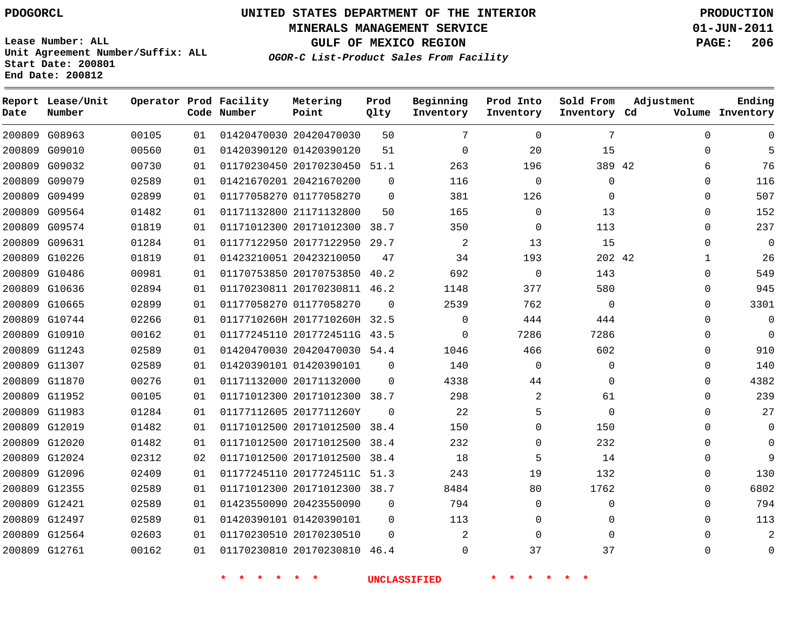**MINERALS MANAGEMENT SERVICE 01-JUN-2011**

**GULF OF MEXICO REGION PAGE: 206**

**Lease Number: ALL Unit Agreement Number/Suffix: ALL Start Date: 200801 End Date: 200812**

**OGOR-C List-Product Sales From Facility**

| Date | Report Lease/Unit<br>Number |       |    | Operator Prod Facility<br>Code Number | Metering<br>Point            | Prod<br>Qlty | Beginning<br>Inventory | Prod Into<br>Inventory | Sold From<br>Inventory Cd | Adjustment   | Ending<br>Volume Inventory |
|------|-----------------------------|-------|----|---------------------------------------|------------------------------|--------------|------------------------|------------------------|---------------------------|--------------|----------------------------|
|      | 200809 G08963               | 00105 | 01 |                                       | 01420470030 20420470030      | 50           | 7                      | $\mathbf 0$            | 7                         | $\mathbf 0$  | $\Omega$                   |
|      | 200809 G09010               | 00560 | 01 |                                       | 01420390120 01420390120      | 51           | $\mathbf 0$            | 20                     | 15                        | 0            | 5                          |
|      | 200809 G09032               | 00730 | 01 |                                       | 01170230450 20170230450 51.1 |              | 263                    | 196                    | 389 42                    | 6            | 76                         |
|      | 200809 G09079               | 02589 | 01 |                                       | 01421670201 20421670200      | $\Omega$     | 116                    | $\mathbf 0$            | 0                         | 0            | 116                        |
|      | 200809 G09499               | 02899 | 01 |                                       | 01177058270 01177058270      | $\Omega$     | 381                    | 126                    | $\Omega$                  | $\Omega$     | 507                        |
|      | 200809 G09564               | 01482 | 01 |                                       | 01171132800 21171132800      | 50           | 165                    | 0                      | 13                        | 0            | 152                        |
|      | 200809 G09574               | 01819 | 01 |                                       | 01171012300 20171012300 38.7 |              | 350                    | $\mathbf 0$            | 113                       | 0            | 237                        |
|      | 200809 G09631               | 01284 | 01 |                                       | 01177122950 20177122950 29.7 |              | $\overline{a}$         | 13                     | 15                        | 0            | $\overline{0}$             |
|      | 200809 G10226               | 01819 | 01 |                                       | 01423210051 20423210050      | 47           | 34                     | 193                    | 202 42                    | $\mathbf{1}$ | 26                         |
|      | 200809 G10486               | 00981 | 01 |                                       | 01170753850 20170753850 40.2 |              | 692                    | $\mathbf 0$            | 143                       | 0            | 549                        |
|      | 200809 G10636               | 02894 | 01 |                                       | 01170230811 20170230811 46.2 |              | 1148                   | 377                    | 580                       | 0            | 945                        |
|      | 200809 G10665               | 02899 | 01 |                                       | 01177058270 01177058270      | $\Omega$     | 2539                   | 762                    | $\Omega$                  | $\Omega$     | 3301                       |
|      | 200809 G10744               | 02266 | 01 |                                       | 0117710260H 2017710260H 32.5 |              | $\Omega$               | 444                    | 444                       | $\Omega$     | $\overline{0}$             |
|      | 200809 G10910               | 00162 | 01 |                                       | 01177245110 2017724511G 43.5 |              | 0                      | 7286                   | 7286                      | 0            | $\mathbf 0$                |
|      | 200809 G11243               | 02589 | 01 |                                       | 01420470030 20420470030 54.4 |              | 1046                   | 466                    | 602                       | 0            | 910                        |
|      | 200809 G11307               | 02589 | 01 |                                       | 01420390101 01420390101      | $\mathbf 0$  | 140                    | 0                      | 0                         | 0            | 140                        |
|      | 200809 G11870               | 00276 | 01 |                                       | 01171132000 20171132000      | $\Omega$     | 4338                   | 44                     | $\Omega$                  | $\Omega$     | 4382                       |
|      | 200809 G11952               | 00105 | 01 |                                       | 01171012300 20171012300 38.7 |              | 298                    | 2                      | 61                        | 0            | 239                        |
|      | 200809 G11983               | 01284 | 01 |                                       | 01177112605 2017711260Y      | $\Omega$     | 22                     | 5                      | $\Omega$                  | $\Omega$     | 27                         |
|      | 200809 G12019               | 01482 | 01 |                                       | 01171012500 20171012500      | 38.4         | 150                    | $\mathbf{0}$           | 150                       | $\Omega$     | $\Omega$                   |
|      | 200809 G12020               | 01482 | 01 |                                       | 01171012500 20171012500 38.4 |              | 232                    | 0                      | 232                       | 0            | $\mathbf 0$                |
|      | 200809 G12024               | 02312 | 02 |                                       | 01171012500 20171012500      | 38.4         | 18                     | 5                      | 14                        | 0            | 9                          |
|      | 200809 G12096               | 02409 | 01 |                                       | 01177245110 2017724511C 51.3 |              | 243                    | 19                     | 132                       | 0            | 130                        |
|      | 200809 G12355               | 02589 | 01 |                                       | 01171012300 20171012300 38.7 |              | 8484                   | 80                     | 1762                      | 0            | 6802                       |
|      | 200809 G12421               | 02589 | 01 |                                       | 01423550090 20423550090      | $\mathbf 0$  | 794                    | $\mathbf{0}$           | 0                         | $\Omega$     | 794                        |
|      | 200809 G12497               | 02589 | 01 |                                       | 01420390101 01420390101      | $\Omega$     | 113                    | 0                      | $\Omega$                  | $\Omega$     | 113                        |
|      | 200809 G12564               | 02603 | 01 |                                       | 01170230510 20170230510      | $\Omega$     | $\overline{2}$         | $\mathbf 0$            | $\Omega$                  | $\Omega$     | 2                          |
|      | 200809 G12761               | 00162 | 01 |                                       | 01170230810 20170230810 46.4 |              | $\Omega$               | 37                     | 37                        | $\Omega$     | $\overline{0}$             |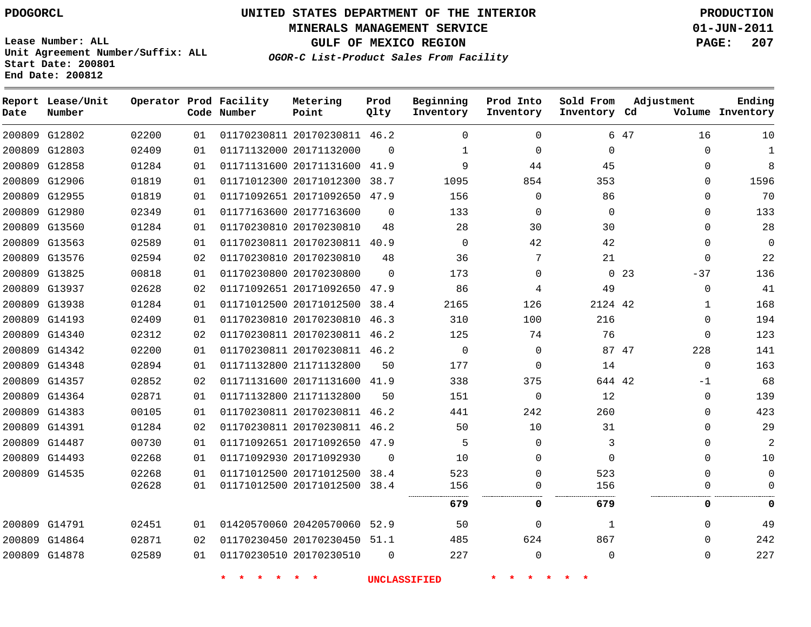**MINERALS MANAGEMENT SERVICE 01-JUN-2011**

**GULF OF MEXICO REGION PAGE: 207**

**Lease Number: ALL Unit Agreement Number/Suffix: ALL Start Date: 200801 End Date: 200812**

**OGOR-C List-Product Sales From Facility**

| Date | Report Lease/Unit<br>Number |       |    | Operator Prod Facility<br>Code Number | Metering<br>Point            | Prod<br>Qlty | Beginning<br>Inventory | Prod Into<br>Inventory | Sold From<br>Inventory Cd | Adjustment               | Ending<br>Volume Inventory |
|------|-----------------------------|-------|----|---------------------------------------|------------------------------|--------------|------------------------|------------------------|---------------------------|--------------------------|----------------------------|
|      | 200809 G12802               | 02200 | 01 |                                       | 01170230811 20170230811 46.2 |              | $\Omega$               | $\mathbf 0$            |                           | 6 47<br>16               | 10                         |
|      | 200809 G12803               | 02409 | 01 |                                       | 01171132000 20171132000      | $\mathbf 0$  | $\mathbf{1}$           | $\mathbf 0$            | $\mathbf 0$               | $\Omega$                 | $\mathbf{1}$               |
|      | 200809 G12858               | 01284 | 01 |                                       | 01171131600 20171131600      | 41.9         | 9                      | 44                     | 45                        | $\Omega$                 | 8                          |
|      | 200809 G12906               | 01819 | 01 |                                       | 01171012300 20171012300      | 38.7         | 1095                   | 854                    | 353                       | $\Omega$                 | 1596                       |
|      | 200809 G12955               | 01819 | 01 |                                       | 01171092651 20171092650      | 47.9         | 156                    | $\mathbf 0$            | 86                        | $\Omega$                 | 70                         |
|      | 200809 G12980               | 02349 | 01 |                                       | 01177163600 20177163600      | $\Omega$     | 133                    | 0                      | $\mathbf 0$               | $\Omega$                 | 133                        |
|      | 200809 G13560               | 01284 | 01 |                                       | 01170230810 20170230810      | 48           | 28                     | 30                     | 30                        | $\Omega$                 | 28                         |
|      | 200809 G13563               | 02589 | 01 |                                       | 01170230811 20170230811      | 40.9         | $\mathbf 0$            | 42                     | 42                        | $\Omega$                 | 0                          |
|      | 200809 G13576               | 02594 | 02 |                                       | 01170230810 20170230810      | 48           | 36                     | 7                      | 21                        | $\Omega$                 | 22                         |
|      | 200809 G13825               | 00818 | 01 |                                       | 01170230800 20170230800      | $\Omega$     | 173                    | 0                      |                           | 0 <sub>23</sub><br>$-37$ | 136                        |
|      | 200809 G13937               | 02628 | 02 |                                       | 01171092651 20171092650 47.9 |              | 86                     | 4                      | 49                        | $\Omega$                 | 41                         |
|      | 200809 G13938               | 01284 | 01 |                                       | 01171012500 20171012500      | 38.4         | 2165                   | 126                    | 2124 42                   | $\mathbf{1}$             | 168                        |
|      | 200809 G14193               | 02409 | 01 |                                       | 01170230810 20170230810      | 46.3         | 310                    | 100                    | 216                       | $\Omega$                 | 194                        |
|      | 200809 G14340               | 02312 | 02 |                                       | 01170230811 20170230811 46.2 |              | 125                    | 74                     | 76                        | $\mathbf 0$              | 123                        |
|      | 200809 G14342               | 02200 | 01 |                                       | 01170230811 20170230811 46.2 |              | 0                      | 0                      |                           | 87 47<br>228             | 141                        |
|      | 200809 G14348               | 02894 | 01 |                                       | 01171132800 21171132800      | 50           | 177                    | $\mathbf 0$            | 14                        | $\Omega$                 | 163                        |
|      | 200809 G14357               | 02852 | 02 |                                       | 01171131600 20171131600 41.9 |              | 338                    | 375                    | 644 42                    | $-1$                     | 68                         |
|      | 200809 G14364               | 02871 | 01 |                                       | 01171132800 21171132800      | 50           | 151                    | 0                      | 12                        | $\Omega$                 | 139                        |
|      | 200809 G14383               | 00105 | 01 |                                       | 01170230811 20170230811      | 46.2         | 441                    | 242                    | 260                       | $\Omega$                 | 423                        |
|      | 200809 G14391               | 01284 | 02 |                                       | 01170230811 20170230811 46.2 |              | 50                     | 10                     | 31                        | $\Omega$                 | 29                         |
|      | 200809 G14487               | 00730 | 01 |                                       | 01171092651 20171092650 47.9 |              | 5                      | $\mathbf 0$            | 3                         | $\Omega$                 | 2                          |
|      | 200809 G14493               | 02268 | 01 |                                       | 01171092930 20171092930      | $\Omega$     | 10                     | $\Omega$               | $\Omega$                  | $\Omega$                 | 10                         |
|      | 200809 G14535               | 02268 | 01 |                                       | 01171012500 20171012500      | 38.4         | 523                    | $\mathbf 0$            | 523                       | $\Omega$                 | 0                          |
|      |                             | 02628 | 01 |                                       | 01171012500 20171012500 38.4 |              | 156                    | 0                      | 156                       | $\Omega$                 | $\Omega$                   |
|      |                             |       |    |                                       |                              |              | 679                    | 0                      | 679                       | 0                        | 0                          |
|      | 200809 G14791               | 02451 | 01 |                                       | 01420570060 20420570060 52.9 |              | 50                     | $\mathbf 0$            | 1                         | $\Omega$                 | 49                         |
|      | 200809 G14864               | 02871 | 02 |                                       | 01170230450 20170230450 51.1 |              | 485                    | 624                    | 867                       | $\Omega$                 | 242                        |
|      | 200809 G14878               | 02589 | 01 |                                       | 01170230510 20170230510      | $\Omega$     | 227                    | 0                      | $\mathbf 0$               | $\Omega$                 | 227                        |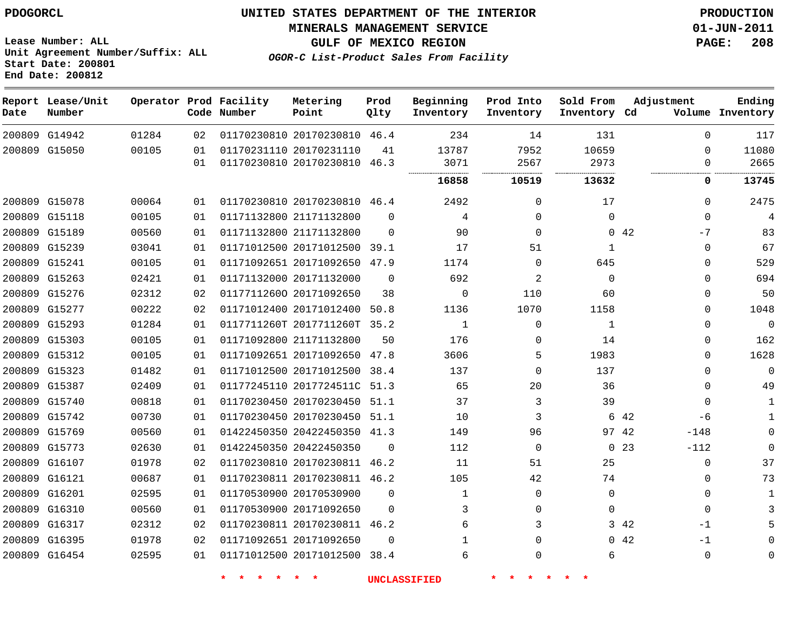#### **MINERALS MANAGEMENT SERVICE 01-JUN-2011**

**GULF OF MEXICO REGION PAGE: 208**

**OGOR-C List-Product Sales From Facility**

**Lease Number: ALL Unit Agreement Number/Suffix: ALL Start Date: 200801 End Date: 200812**

| Date | Report Lease/Unit<br>Number |       |    | Operator Prod Facility<br>Code Number | Metering<br>Point            | Prod<br>Qlty | Beginning<br>Inventory | Prod Into<br>Inventory | Sold From<br>Inventory Cd | Adjustment                | Ending<br>Volume Inventory |
|------|-----------------------------|-------|----|---------------------------------------|------------------------------|--------------|------------------------|------------------------|---------------------------|---------------------------|----------------------------|
|      | 200809 G14942               | 01284 | 02 |                                       | 01170230810 20170230810 46.4 |              | 234                    | 14                     | 131                       | $\Omega$                  | 117                        |
|      | 200809 G15050               | 00105 | 01 |                                       | 01170231110 20170231110      | 41           | 13787                  | 7952                   | 10659                     | $\Omega$                  | 11080                      |
|      |                             |       | 01 |                                       | 01170230810 20170230810 46.3 |              | 3071                   | 2567                   | 2973<br>                  | $\Omega$<br>              | 2665                       |
|      |                             |       |    |                                       |                              |              | 16858                  | 10519                  | 13632                     | 0                         | 13745                      |
|      | 200809 G15078               | 00064 | 01 |                                       | 01170230810 20170230810 46.4 |              | 2492                   | 0                      | 17                        | $\Omega$                  | 2475                       |
|      | 200809 G15118               | 00105 | 01 |                                       | 01171132800 21171132800      | $\Omega$     | 4                      | 0                      | $\mathbf{0}$              | $\mathbf 0$               | $\overline{4}$             |
|      | 200809 G15189               | 00560 | 01 |                                       | 01171132800 21171132800      | $\Omega$     | 90                     | $\mathbf 0$            |                           | 0.42<br>$-7$              | 83                         |
|      | 200809 G15239               | 03041 | 01 |                                       | 01171012500 20171012500 39.1 |              | 17                     | 51                     | 1                         | 0                         | 67                         |
|      | 200809 G15241               | 00105 | 01 |                                       | 01171092651 20171092650 47.9 |              | 1174                   | 0                      | 645                       | $\Omega$                  | 529                        |
|      | 200809 G15263               | 02421 | 01 |                                       | 01171132000 20171132000      | $\Omega$     | 692                    | 2                      | $\Omega$                  | $\Omega$                  | 694                        |
|      | 200809 G15276               | 02312 | 02 |                                       | 01177112600 20171092650      | 38           | $\Omega$               | 110                    | 60                        | $\Omega$                  | 50                         |
|      | 200809 G15277               | 00222 | 02 |                                       | 01171012400 20171012400      | 50.8         | 1136                   | 1070                   | 1158                      | $\Omega$                  | 1048                       |
|      | 200809 G15293               | 01284 | 01 |                                       | 0117711260T 2017711260T 35.2 |              | $\mathbf{1}$           | 0                      | 1                         | $\Omega$                  | 0                          |
|      | 200809 G15303               | 00105 | 01 |                                       | 01171092800 21171132800      | 50           | 176                    | 0                      | 14                        | $\Omega$                  | 162                        |
|      | 200809 G15312               | 00105 | 01 |                                       | 01171092651 20171092650      | 47.8         | 3606                   | 5                      | 1983                      | 0                         | 1628                       |
|      | 200809 G15323               | 01482 | 01 |                                       | 01171012500 20171012500 38.4 |              | 137                    | $\mathbf 0$            | 137                       | $\Omega$                  | $\Omega$                   |
|      | 200809 G15387               | 02409 | 01 |                                       | 01177245110 2017724511C      | 51.3         | 65                     | 20                     | 36                        | 0                         | 49                         |
|      | 200809 G15740               | 00818 | 01 |                                       | 01170230450 20170230450 51.1 |              | 37                     | 3                      | 39                        | $\Omega$                  | 1                          |
|      | 200809 G15742               | 00730 | 01 |                                       | 01170230450 20170230450 51.1 |              | 10                     | 3                      |                           | 6 42<br>-6                | $\mathbf{1}$               |
|      | 200809 G15769               | 00560 | 01 |                                       | 01422450350 20422450350 41.3 |              | 149                    | 96                     | 97 42                     | $-148$                    | $\Omega$                   |
|      | 200809 G15773               | 02630 | 01 |                                       | 01422450350 20422450350      | $\mathbf 0$  | 112                    | 0                      |                           | 0 <sub>23</sub><br>$-112$ | 0                          |
|      | 200809 G16107               | 01978 | 02 |                                       | 01170230810 20170230811      | 46.2         | 11                     | 51                     | 25                        | 0                         | 37                         |
|      | 200809 G16121               | 00687 | 01 |                                       | 01170230811 20170230811 46.2 |              | 105                    | 42                     | 74                        | 0                         | 73                         |
|      | 200809 G16201               | 02595 | 01 |                                       | 01170530900 20170530900      | $\Omega$     | $\mathbf{1}$           | 0                      | $\mathbf{0}$              | 0                         | 1                          |
|      | 200809 G16310               | 00560 | 01 |                                       | 01170530900 20171092650      | $\Omega$     | 3                      | $\mathbf 0$            | $\Omega$                  | $\mathbf 0$               |                            |
|      | 200809 G16317               | 02312 | 02 |                                       | 01170230811 20170230811      | 46.2         | 6                      | 3                      |                           | 3 42<br>$-1$              |                            |
|      | 200809 G16395               | 01978 | 02 |                                       | 01171092651 20171092650      | $\Omega$     | $\mathbf 1$            | 0                      |                           | 0.42<br>$-1$              |                            |
|      | 200809 G16454               | 02595 | 01 |                                       | 01171012500 20171012500 38.4 |              | 6                      | 0                      | 6                         | $\mathbf 0$               |                            |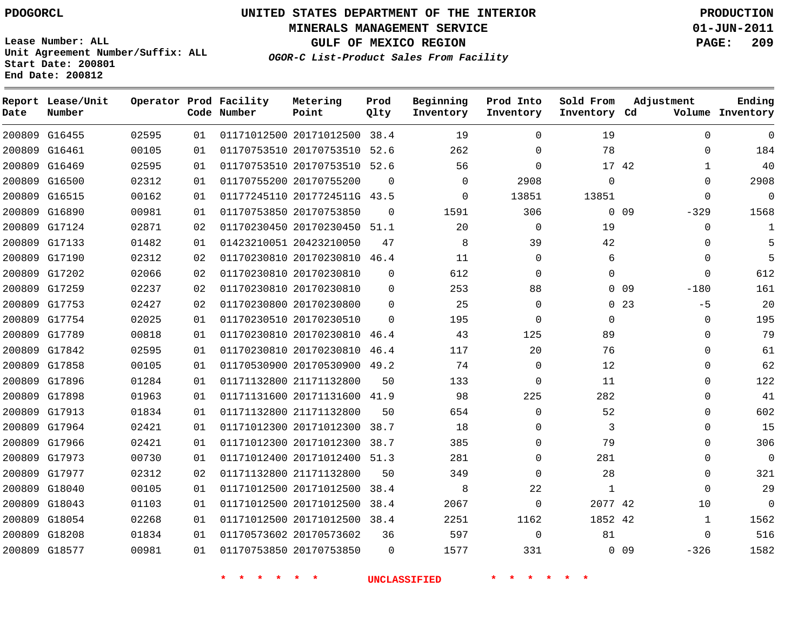# **UNITED STATES DEPARTMENT OF THE INTERIOR PDOGORCL PRODUCTION**

**MINERALS MANAGEMENT SERVICE 01-JUN-2011**

**GULF OF MEXICO REGION PAGE: 209**

**Unit Agreement Number/Suffix: ALL Start Date: 200801 End Date: 200812**

| OGOR-C List-Product Sales From Facility |  |  |
|-----------------------------------------|--|--|
|                                         |  |  |

| Date | Report Lease/Unit<br>Number |       |    | Operator Prod Facility<br>Code Number | Metering<br>Point            | Prod<br>Qlty | Beginning<br>Inventory | Prod Into<br>Inventory | Sold From<br>Inventory Cd | Adjustment                | Ending<br>Volume Inventory |
|------|-----------------------------|-------|----|---------------------------------------|------------------------------|--------------|------------------------|------------------------|---------------------------|---------------------------|----------------------------|
|      | 200809 G16455               | 02595 | 01 |                                       | 01171012500 20171012500 38.4 |              | 19                     | $\Omega$               | 19                        |                           | $\mathbf 0$<br>$\Omega$    |
|      | 200809 G16461               | 00105 | 01 |                                       | 01170753510 20170753510 52.6 |              | 262                    | $\Omega$               | 78                        |                           | 184<br>$\Omega$            |
|      | 200809 G16469               | 02595 | 01 |                                       | 01170753510 20170753510 52.6 |              | 56                     | $\Omega$               | 17 42                     |                           | 40<br>$\mathbf{1}$         |
|      | 200809 G16500               | 02312 | 01 |                                       | 01170755200 20170755200      | 0            | $\Omega$               | 2908                   | $\mathbf 0$               |                           | 2908<br>$\mathbf{0}$       |
|      | 200809 G16515               | 00162 | 01 |                                       | 01177245110 2017724511G 43.5 |              | $\Omega$               | 13851                  | 13851                     |                           | 0<br>$\Omega$              |
|      | 200809 G16890               | 00981 | 01 |                                       | 01170753850 20170753850      | $\mathbf 0$  | 1591                   | 306                    |                           | 0 <sub>09</sub><br>$-329$ | 1568                       |
|      | 200809 G17124               | 02871 | 02 |                                       | 01170230450 20170230450 51.1 |              | 20                     | $\Omega$               | 19                        |                           | $\Omega$<br>1              |
|      | 200809 G17133               | 01482 | 01 |                                       | 01423210051 20423210050      | 47           | 8                      | 39                     | 42                        |                           | 5<br>$\Omega$              |
|      | 200809 G17190               | 02312 | 02 |                                       | 01170230810 20170230810 46.4 |              | 11                     | $\Omega$               | 6                         |                           | 5<br>$\Omega$              |
|      | 200809 G17202               | 02066 | 02 |                                       | 01170230810 20170230810      | $\Omega$     | 612                    | $\Omega$               | $\Omega$                  |                           | 612<br>$\Omega$            |
|      | 200809 G17259               | 02237 | 02 |                                       | 01170230810 20170230810      | $\Omega$     | 253                    | 88                     |                           | 0 <sub>09</sub><br>$-180$ | 161                        |
|      | 200809 G17753               | 02427 | 02 |                                       | 01170230800 20170230800      | $\Omega$     | 25                     | $\Omega$               |                           | 0, 23                     | 20<br>$-5$                 |
|      | 200809 G17754               | 02025 | 01 |                                       | 01170230510 20170230510      | $\Omega$     | 195                    | $\Omega$               | $\Omega$                  |                           | 195<br>$\Omega$            |
|      | 200809 G17789               | 00818 | 01 |                                       | 01170230810 20170230810      | 46.4         | 43                     | 125                    | 89                        |                           | 79<br>$\Omega$             |
|      | 200809 G17842               | 02595 | 01 |                                       | 01170230810 20170230810      | 46.4         | 117                    | 20                     | 76                        |                           | 61<br>$\Omega$             |
|      | 200809 G17858               | 00105 | 01 |                                       | 01170530900 20170530900 49.2 |              | 74                     | $\mathbf 0$            | 12                        |                           | 62<br>$\mathbf 0$          |
|      | 200809 G17896               | 01284 | 01 |                                       | 01171132800 21171132800      | 50           | 133                    | $\Omega$               | 11                        |                           | 122<br>$\Omega$            |
|      | 200809 G17898               | 01963 | 01 |                                       | 01171131600 20171131600      | 41.9         | 98                     | 225                    | 282                       |                           | 41<br>$\Omega$             |
|      | 200809 G17913               | 01834 | 01 |                                       | 01171132800 21171132800      | 50           | 654                    | $\mathbf 0$            | 52                        |                           | 602<br>$\mathbf{0}$        |
|      | 200809 G17964               | 02421 | 01 |                                       | 01171012300 20171012300      | 38.7         | 18                     | $\Omega$               | 3                         |                           | 15<br>$\Omega$             |
|      | 200809 G17966               | 02421 | 01 |                                       | 01171012300 20171012300      | 38.7         | 385                    | 0                      | 79                        |                           | 306<br>$\Omega$            |
|      | 200809 G17973               | 00730 | 01 |                                       | 01171012400 20171012400 51.3 |              | 281                    | $\Omega$               | 281                       |                           | $\Omega$<br>$\Omega$       |
|      | 200809 G17977               | 02312 | 02 |                                       | 01171132800 21171132800      | 50           | 349                    | $\Omega$               | 28                        |                           | 321<br>$\Omega$            |
|      | 200809 G18040               | 00105 | 01 |                                       | 01171012500 20171012500      | 38.4         | 8                      | 22                     | 1                         |                           | 29<br>$\Omega$             |
|      | 200809 G18043               | 01103 | 01 |                                       | 01171012500 20171012500      | 38.4         | 2067                   | $\mathbf 0$            | 2077 42                   |                           | $\Omega$<br>10             |
|      | 200809 G18054               | 02268 | 01 |                                       | 01171012500 20171012500 38.4 |              | 2251                   | 1162                   | 1852 42                   |                           | 1562<br>1                  |
|      | 200809 G18208               | 01834 | 01 |                                       | 01170573602 20170573602      | 36           | 597                    | $\mathbf 0$            | 81                        |                           | 516<br>$\Omega$            |
|      | 200809 G18577               | 00981 | 01 |                                       | 01170753850 20170753850      | $\Omega$     | 1577                   | 331                    |                           | 0 <sub>09</sub><br>$-326$ | 1582                       |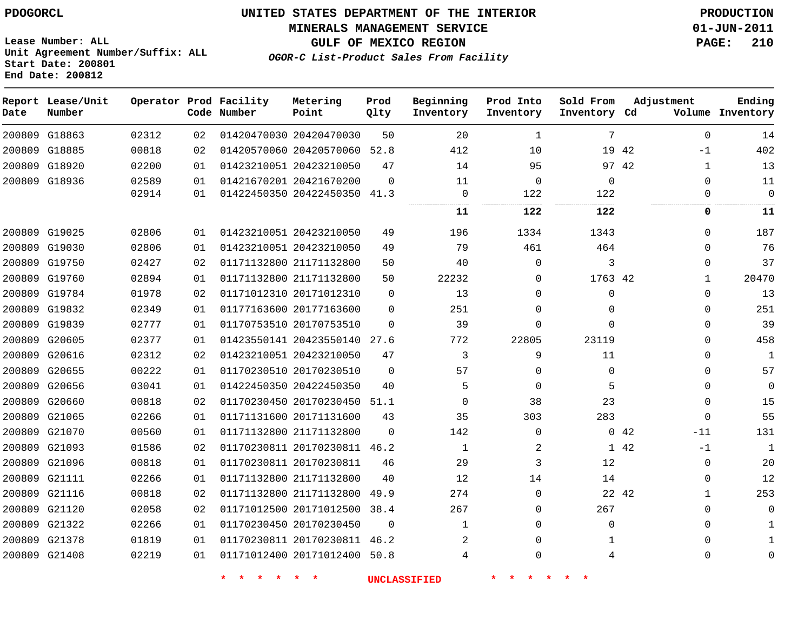#### **MINERALS MANAGEMENT SERVICE 01-JUN-2011**

**GULF OF MEXICO REGION PAGE: 210**

**Lease Number: ALL Unit Agreement Number/Suffix: ALL Start Date: 200801 End Date: 200812**

**OGOR-C List-Product Sales From Facility**

| Date | Report Lease/Unit<br>Number |       |    | Operator Prod Facility<br>Code Number | Metering<br>Point            | Prod<br>Qlty | Beginning<br>Inventory | Prod Into<br>Inventory | Sold From<br>Inventory Cd | Adjustment            | Ending<br>Volume Inventory |
|------|-----------------------------|-------|----|---------------------------------------|------------------------------|--------------|------------------------|------------------------|---------------------------|-----------------------|----------------------------|
|      | 200809 G18863               | 02312 | 02 |                                       | 01420470030 20420470030      | 50           | 20                     | 1                      | 7                         | $\mathbf 0$           | 14                         |
|      | 200809 G18885               | 00818 | 02 |                                       | 01420570060 20420570060      | 52.8         | 412                    | 10                     | 19                        | 42<br>$-1$            | 402                        |
|      | 200809 G18920               | 02200 | 01 |                                       | 01423210051 20423210050      | 47           | 14                     | 95                     |                           | 97 42<br>1            | 13                         |
|      | 200809 G18936               | 02589 | 01 |                                       | 01421670201 20421670200      | $\Omega$     | 11                     | $\mathbf 0$            | $\mathbf 0$               | $\Omega$              | 11                         |
|      |                             | 02914 | 01 |                                       | 01422450350 20422450350 41.3 |              | $\mathbf 0$            | 122                    | 122                       | 0                     | 0                          |
|      |                             |       |    |                                       |                              |              | 11                     | 122                    | 122                       | 0                     | 11                         |
|      | 200809 G19025               | 02806 | 01 |                                       | 01423210051 20423210050      | 49           | 196                    | 1334                   | 1343                      | $\Omega$              | 187                        |
|      | 200809 G19030               | 02806 | 01 |                                       | 01423210051 20423210050      | 49           | 79                     | 461                    | 464                       | $\Omega$              | 76                         |
|      | 200809 G19750               | 02427 | 02 |                                       | 01171132800 21171132800      | 50           | 40                     | 0                      | 3                         | $\Omega$              | 37                         |
|      | 200809 G19760               | 02894 | 01 |                                       | 01171132800 21171132800      | 50           | 22232                  | $\Omega$               | 1763 42                   | $\mathbf{1}$          | 20470                      |
|      | 200809 G19784               | 01978 | 02 |                                       | 01171012310 20171012310      | $\mathbf 0$  | 13                     | $\mathbf 0$            | $\mathbf 0$               | $\Omega$              | 13                         |
|      | 200809 G19832               | 02349 | 01 |                                       | 01177163600 20177163600      | $\mathbf 0$  | 251                    | 0                      | $\Omega$                  | $\Omega$              | 251                        |
|      | 200809 G19839               | 02777 | 01 |                                       | 01170753510 20170753510      | $\Omega$     | 39                     | $\mathbf 0$            | $\Omega$                  | 0                     | 39                         |
|      | 200809 G20605               | 02377 | 01 |                                       | 01423550141 20423550140      | 27.6         | 772                    | 22805                  | 23119                     | $\Omega$              | 458                        |
|      | 200809 G20616               | 02312 | 02 |                                       | 01423210051 20423210050      | 47           | 3                      | 9                      | 11                        | O                     | $\mathbf{1}$               |
|      | 200809 G20655               | 00222 | 01 |                                       | 01170230510 20170230510      | $\Omega$     | 57                     | 0                      | $\mathbf 0$               |                       | 57                         |
|      | 200809 G20656               | 03041 | 01 |                                       | 01422450350 20422450350      | 40           | 5                      | $\mathbf 0$            | 5                         | $\Omega$              | 0                          |
|      | 200809 G20660               | 00818 | 02 |                                       | 01170230450 20170230450      | 51.1         | $\mathbf 0$            | 38                     | 23                        | 0                     | 15                         |
|      | 200809 G21065               | 02266 | 01 |                                       | 01171131600 20171131600      | 43           | 35                     | 303                    | 283                       | $\mathbf 0$           | 55                         |
|      | 200809 G21070               | 00560 | 01 |                                       | 01171132800 21171132800      | $\Omega$     | 142                    | $\mathbf 0$            |                           | 042<br>$-11$          | 131                        |
|      | 200809 G21093               | 01586 | 02 |                                       | 01170230811 20170230811      | 46.2         | 1                      | 2                      | $\mathbf{1}$              | 42<br>$-1$            | $\mathbf{1}$               |
|      | 200809 G21096               | 00818 | 01 |                                       | 01170230811 20170230811      | 46           | 29                     | 3                      | 12                        | 0                     | 20                         |
|      | 200809 G21111               | 02266 | 01 |                                       | 01171132800 21171132800      | 40           | 12                     | 14                     | 14                        | $\mathbf{0}$          | 12                         |
|      | 200809 G21116               | 00818 | 02 |                                       | 01171132800 21171132800      | 49.9         | 274                    | $\Omega$               |                           | 22 42<br>$\mathbf{1}$ | 253                        |
|      | 200809 G21120               | 02058 | 02 |                                       | 01171012500 20171012500      | 38.4         | 267                    | $\Omega$               | 267                       | $\Omega$              | U                          |
|      | 200809 G21322               | 02266 | 01 |                                       | 01170230450 20170230450      | $\mathbf 0$  | $\mathbf{1}$           | 0                      | $\mathbf 0$               | $\Omega$              |                            |
|      | 200809 G21378               | 01819 | 01 |                                       | 01170230811 20170230811      | 46.2         | 2                      | 0                      | 1                         | $\Omega$              |                            |
|      | 200809 G21408               | 02219 | 01 |                                       | 01171012400 20171012400 50.8 |              | 4                      | $\mathbf 0$            | 4                         | $\Omega$              |                            |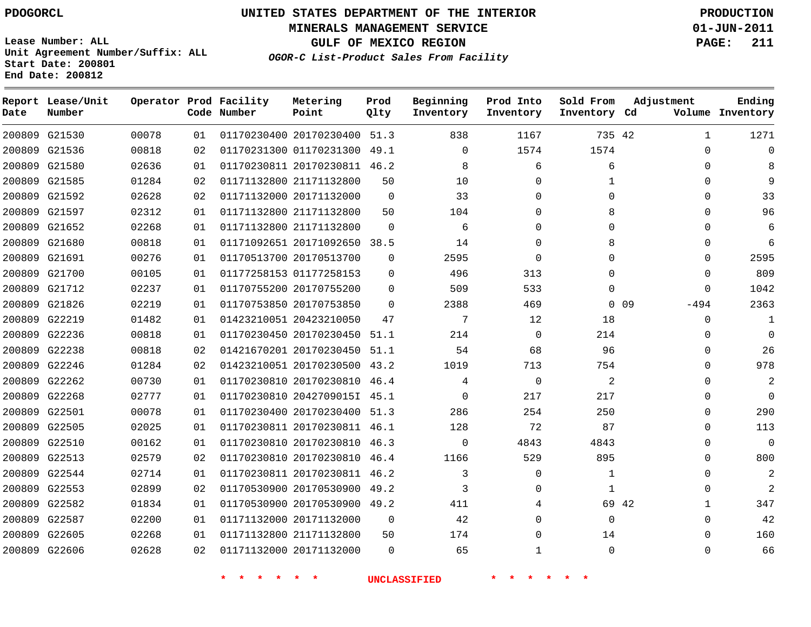# **UNITED STATES DEPARTMENT OF THE INTERIOR PDOGORCL PRODUCTION**

**MINERALS MANAGEMENT SERVICE 01-JUN-2011**

**GULF OF MEXICO REGION PAGE: 211**

**Unit Agreement Number/Suffix: ALL Start Date: 200801 End Date: 200812**

**OGOR-C List-Product Sales From Facility**

| Date | Report Lease/Unit<br>Number |       |    | Operator Prod Facility<br>Code Number | Metering<br>Point            | Prod<br>Qlty | Beginning<br>Inventory | Prod Into<br>Inventory | Sold From<br>Inventory Cd | Adjustment           | Ending<br>Volume Inventory |
|------|-----------------------------|-------|----|---------------------------------------|------------------------------|--------------|------------------------|------------------------|---------------------------|----------------------|----------------------------|
|      | 200809 G21530               | 00078 | 01 |                                       | 01170230400 20170230400 51.3 |              | 838                    | 1167                   | 735 42                    | 1                    | 1271                       |
|      | 200809 G21536               | 00818 | 02 |                                       | 01170231300 01170231300 49.1 |              | 0                      | 1574                   | 1574                      | $\Omega$             |                            |
|      | 200809 G21580               | 02636 | 01 |                                       | 01170230811 20170230811 46.2 |              | 8                      | 6                      | 6                         | 0                    |                            |
|      | 200809 G21585               | 01284 | 02 |                                       | 01171132800 21171132800      | 50           | 10                     | $\mathbf 0$            | 1                         | <sup>0</sup>         |                            |
|      | 200809 G21592               | 02628 | 02 |                                       | 01171132000 20171132000      | $\mathbf 0$  | 33                     | $\Omega$               | $\Omega$                  | 0                    | 33                         |
|      | 200809 G21597               | 02312 | 01 |                                       | 01171132800 21171132800      | 50           | 104                    | $\Omega$               | 8                         | <sup>0</sup>         | 96                         |
|      | 200809 G21652               | 02268 | 01 |                                       | 01171132800 21171132800      | $\Omega$     | 6                      | $\Omega$               | $\Omega$                  | <sup>n</sup>         | 6                          |
|      | 200809 G21680               | 00818 | 01 |                                       | 01171092651 20171092650 38.5 |              | 14                     | $\mathbf 0$            | 8                         |                      | 6                          |
|      | 200809 G21691               | 00276 | 01 |                                       | 01170513700 20170513700      | $\Omega$     | 2595                   | $\mathbf 0$            | $\Omega$                  | 0                    | 2595                       |
|      | 200809 G21700               | 00105 | 01 |                                       | 01177258153 01177258153      | $\Omega$     | 496                    | 313                    | $\Omega$                  | $\Omega$             | 809                        |
|      | 200809 G21712               | 02237 | 01 |                                       | 01170755200 20170755200      | $\Omega$     | 509                    | 533                    | $\Omega$                  | $\Omega$             | 1042                       |
|      | 200809 G21826               | 02219 | 01 |                                       | 01170753850 20170753850      | $\Omega$     | 2388                   | 469                    |                           | $-494$<br>$0\quad09$ | 2363                       |
|      | 200809 G22219               | 01482 | 01 |                                       | 01423210051 20423210050      | 47           | 7                      | 12                     | 18                        | $\Omega$             | $\mathbf{1}$               |
|      | 200809 G22236               | 00818 | 01 |                                       | 01170230450 20170230450 51.1 |              | 214                    | $\mathbf 0$            | 214                       | 0                    | $\Omega$                   |
|      | 200809 G22238               | 00818 | 02 |                                       | 01421670201 20170230450 51.1 |              | 54                     | 68                     | 96                        | 0                    | 26                         |
|      | 200809 G22246               | 01284 | 02 |                                       | 01423210051 20170230500      | 43.2         | 1019                   | 713                    | 754                       | 0                    | 978                        |
|      | 200809 G22262               | 00730 | 01 |                                       | 01170230810 20170230810 46.4 |              | 4                      | $\mathbf 0$            | 2                         |                      |                            |
|      | 200809 G22268               | 02777 | 01 |                                       | 01170230810 2042709015I 45.1 |              | $\Omega$               | 217                    | 217                       | <sup>0</sup>         | $\Omega$                   |
|      | 200809 G22501               | 00078 | 01 |                                       | 01170230400 20170230400 51.3 |              | 286                    | 254                    | 250                       | 0                    | 290                        |
|      | 200809 G22505               | 02025 | 01 |                                       | 01170230811 20170230811 46.1 |              | 128                    | 72                     | 87                        | $\Omega$             | 113                        |
|      | 200809 G22510               | 00162 | 01 |                                       | 01170230810 20170230810 46.3 |              | $\Omega$               | 4843                   | 4843                      | $\Omega$             | $\mathbf 0$                |
|      | 200809 G22513               | 02579 | 02 |                                       | 01170230810 20170230810 46.4 |              | 1166                   | 529                    | 895                       | $\Omega$             | 800                        |
|      | 200809 G22544               | 02714 | 01 |                                       | 01170230811 20170230811 46.2 |              | 3                      | $\mathbf 0$            | $\mathbf{1}$              | $\Omega$             | 2                          |
|      | 200809 G22553               | 02899 | 02 |                                       | 01170530900 20170530900      | 49.2         | 3                      | $\mathbf 0$            | 1                         |                      |                            |
|      | 200809 G22582               | 01834 | 01 |                                       | 01170530900 20170530900 49.2 |              | 411                    | 4                      | 69 42                     | 1                    | 347                        |
|      | 200809 G22587               | 02200 | 01 |                                       | 01171132000 20171132000      | $\Omega$     | 42                     | $\Omega$               | $\Omega$                  | $\Omega$             | 42                         |
|      | 200809 G22605               | 02268 | 01 |                                       | 01171132800 21171132800      | 50           | 174                    | $\Omega$               | 14                        | $\Omega$             | 160                        |
|      | 200809 G22606               | 02628 | 02 |                                       | 01171132000 20171132000      | $\Omega$     | 65                     | $\mathbf{1}$           | $\Omega$                  | $\Omega$             | 66                         |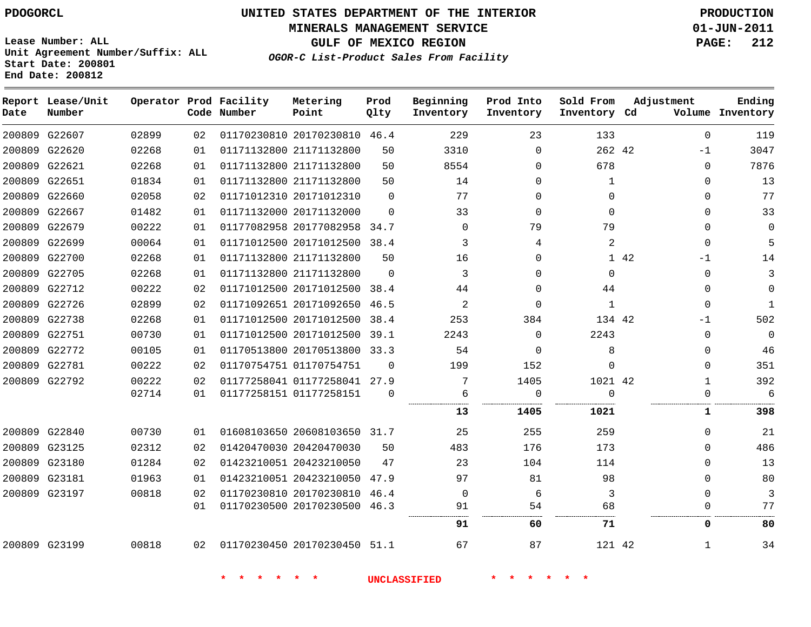#### **MINERALS MANAGEMENT SERVICE 01-JUN-2011**

**GULF OF MEXICO REGION PAGE: 212**

**Lease Number: ALL Unit Agreement Number/Suffix: ALL Start Date: 200801 End Date: 200812**

**OGOR-C List-Product Sales From Facility**

| Date   | Report Lease/Unit<br>Number |       |    | Operator Prod Facility<br>Code Number | Metering<br>Point            | Prod<br>Qlty | Beginning<br>Inventory | Prod Into<br>Inventory | Sold From<br>Inventory Cd | Adjustment   | Ending<br>Volume Inventory |
|--------|-----------------------------|-------|----|---------------------------------------|------------------------------|--------------|------------------------|------------------------|---------------------------|--------------|----------------------------|
|        | 200809 G22607               | 02899 | 02 |                                       | 01170230810 20170230810 46.4 |              | 229                    | 23                     | 133                       | $\Omega$     | 119                        |
|        | 200809 G22620               | 02268 | 01 |                                       | 01171132800 21171132800      | 50           | 3310                   | $\mathbf{0}$           | 262 42                    | $-1$         | 3047                       |
|        | 200809 G22621               | 02268 | 01 |                                       | 01171132800 21171132800      | 50           | 8554                   | 0                      | 678                       | $\Omega$     | 7876                       |
| 200809 | G22651                      | 01834 | 01 |                                       | 01171132800 21171132800      | 50           | 14                     | 0                      | 1                         | $\mathbf{0}$ | 13                         |
|        | 200809 G22660               | 02058 | 02 |                                       | 01171012310 20171012310      | $\Omega$     | 77                     | $\Omega$               | $\Omega$                  | $\Omega$     | 77                         |
|        | 200809 G22667               | 01482 | 01 |                                       | 01171132000 20171132000      | $\Omega$     | 33                     | $\mathbf 0$            | $\Omega$                  | $\Omega$     | 33                         |
|        | 200809 G22679               | 00222 | 01 |                                       | 01177082958 20177082958 34.7 |              | $\Omega$               | 79                     | 79                        | $\Omega$     | $\mathbf 0$                |
|        | 200809 G22699               | 00064 | 01 |                                       | 01171012500 20171012500 38.4 |              | 3                      | 4                      | 2                         | $\Omega$     | 5                          |
|        | 200809 G22700               | 02268 | 01 |                                       | 01171132800 21171132800      | 50           | 16                     | 0                      |                           | 1 42<br>-1   | 14                         |
|        | 200809 G22705               | 02268 | 01 |                                       | 01171132800 21171132800      | $\Omega$     | 3                      | 0                      | 0                         | $\mathbf{0}$ | 3                          |
|        | 200809 G22712               | 00222 | 02 |                                       | 01171012500 20171012500      | 38.4         | 44                     | 0                      | 44                        | $\Omega$     | $\Omega$                   |
|        | 200809 G22726               | 02899 | 02 |                                       | 01171092651 20171092650      | 46.5         | 2                      | 0                      | $\mathbf{1}$              | $\Omega$     | 1                          |
|        | 200809 G22738               | 02268 | 01 |                                       | 01171012500 20171012500      | 38.4         | 253                    | 384                    | 134 42                    | $-1$         | 502                        |
|        | 200809 G22751               | 00730 | 01 |                                       | 01171012500 20171012500      | 39.1         | 2243                   | $\mathbf 0$            | 2243                      | $\mathbf{0}$ | 0                          |
|        | 200809 G22772               | 00105 | 01 |                                       | 01170513800 20170513800      | 33.3         | 54                     | $\mathbf 0$            | 8                         | $\mathbf 0$  | 46                         |
|        | 200809 G22781               | 00222 | 02 |                                       | 01170754751 01170754751      | $\mathbf 0$  | 199                    | 152                    | 0                         | 0            | 351                        |
|        | 200809 G22792               | 00222 | 02 |                                       | 01177258041 01177258041 27.9 |              | 7                      | 1405                   | 1021 42                   | $\mathbf{1}$ | 392                        |
|        |                             | 02714 | 01 |                                       | 01177258151 01177258151      | $\Omega$     | 6                      | 0                      | $\Omega$                  | $\mathbf 0$  | 6                          |
|        |                             |       |    |                                       |                              |              | 13                     | 1405                   | 1021                      | 1            | 398                        |
|        | 200809 G22840               | 00730 | 01 |                                       | 01608103650 20608103650 31.7 |              | 25                     | 255                    | 259                       | $\Omega$     | 21                         |
|        | 200809 G23125               | 02312 | 02 |                                       | 01420470030 20420470030      | 50           | 483                    | 176                    | 173                       | $\Omega$     | 486                        |
|        | 200809 G23180               | 01284 | 02 |                                       | 01423210051 20423210050      | 47           | 23                     | 104                    | 114                       | 0            | 13                         |
|        | 200809 G23181               | 01963 | 01 |                                       | 01423210051 20423210050 47.9 |              | 97                     | 81                     | 98                        | $\Omega$     | 80                         |
|        | 200809 G23197               | 00818 | 02 |                                       | 01170230810 20170230810      | 46.4         | $\overline{0}$         | 6                      | 3                         | $\Omega$     | 3                          |
|        |                             |       | 01 |                                       | 01170230500 20170230500 46.3 |              | 91                     | 54                     | 68                        | $\mathbf{0}$ | 77                         |
|        |                             |       |    |                                       |                              |              | 91                     | 60                     | 71                        | 0            | 80                         |
|        | 200809 G23199               | 00818 | 02 |                                       | 01170230450 20170230450 51.1 |              | 67                     | 87                     | 121 42                    | 1            | 34                         |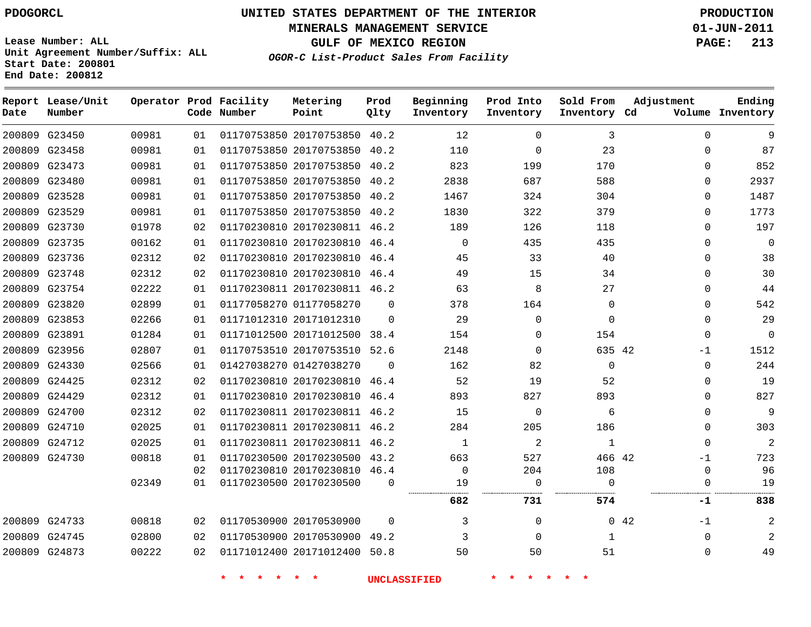**MINERALS MANAGEMENT SERVICE 01-JUN-2011**

**GULF OF MEXICO REGION PAGE: 213**

**Lease Number: ALL Unit Agreement Number/Suffix: ALL Start Date: 200801 End Date: 200812**

**OGOR-C List-Product Sales From Facility**

| Date | Report Lease/Unit<br>Number |       |    | Operator Prod Facility<br>Code Number | Metering<br>Point            | Prod<br>Qlty | Beginning<br>Inventory | Prod Into<br>Inventory | Sold From<br>Inventory Cd | Adjustment          | Ending<br>Volume Inventory |
|------|-----------------------------|-------|----|---------------------------------------|------------------------------|--------------|------------------------|------------------------|---------------------------|---------------------|----------------------------|
|      | 200809 G23450               | 00981 | 01 |                                       | 01170753850 20170753850 40.2 |              | 12                     | $\Omega$               | 3                         | $\Omega$            | 9                          |
|      | 200809 G23458               | 00981 | 01 |                                       | 01170753850 20170753850      | 40.2         | 110                    | 0                      | 23                        | 0                   | 87                         |
|      | 200809 G23473               | 00981 | 01 |                                       | 01170753850 20170753850 40.2 |              | 823                    | 199                    | 170                       | 0                   | 852                        |
|      | 200809 G23480               | 00981 | 01 |                                       | 01170753850 20170753850      | 40.2         | 2838                   | 687                    | 588                       | 0                   | 2937                       |
|      | 200809 G23528               | 00981 | 01 |                                       | 01170753850 20170753850 40.2 |              | 1467                   | 324                    | 304                       | 0                   | 1487                       |
|      | 200809 G23529               | 00981 | 01 |                                       | 01170753850 20170753850 40.2 |              | 1830                   | 322                    | 379                       | $\mathbf{0}$        | 1773                       |
|      | 200809 G23730               | 01978 | 02 |                                       | 01170230810 20170230811 46.2 |              | 189                    | 126                    | 118                       | $\mathbf{0}$        | 197                        |
|      | 200809 G23735               | 00162 | 01 |                                       | 01170230810 20170230810      | 46.4         | $\mathbf 0$            | 435                    | 435                       | $\mathbf{0}$        | $\mathbf{0}$               |
|      | 200809 G23736               | 02312 | 02 |                                       | 01170230810 20170230810 46.4 |              | 45                     | 33                     | 40                        | 0                   | 38                         |
|      | 200809 G23748               | 02312 | 02 |                                       | 01170230810 20170230810      | 46.4         | 49                     | 15                     | 34                        | 0                   | 30                         |
|      | 200809 G23754               | 02222 | 01 |                                       | 01170230811 20170230811 46.2 |              | 63                     | 8                      | 27                        | $\mathbf{0}$        | 44                         |
|      | 200809 G23820               | 02899 | 01 |                                       | 01177058270 01177058270      | $\Omega$     | 378                    | 164                    | 0                         | $\mathbf{0}$        | 542                        |
|      | 200809 G23853               | 02266 | 01 |                                       | 01171012310 20171012310      | $\Omega$     | 29                     | $\mathbf 0$            | 0                         | $\mathbf{0}$        | 29                         |
|      | 200809 G23891               | 01284 | 01 |                                       | 01171012500 20171012500      | 38.4         | 154                    | 0                      | 154                       | $\mathbf{0}$        | $\mathbf{0}$               |
|      | 200809 G23956               | 02807 | 01 |                                       | 01170753510 20170753510      | 52.6         | 2148                   | 0                      | 635 42                    | $-1$                | 1512                       |
|      | 200809 G24330               | 02566 | 01 |                                       | 01427038270 01427038270      | $\Omega$     | 162                    | 82                     | $\mathbf 0$               | 0                   | 244                        |
|      | 200809 G24425               | 02312 | 02 |                                       | 01170230810 20170230810      | 46.4         | 52                     | 19                     | 52                        | $\mathbf{0}$        | 19                         |
|      | 200809 G24429               | 02312 | 01 |                                       | 01170230810 20170230810      | 46.4         | 893                    | 827                    | 893                       | 0                   | 827                        |
|      | 200809 G24700               | 02312 | 02 |                                       | 01170230811 20170230811 46.2 |              | 15                     | 0                      | 6                         | 0                   | 9                          |
|      | 200809 G24710               | 02025 | 01 |                                       | 01170230811 20170230811 46.2 |              | 284                    | 205                    | 186                       | $\mathbf{0}$        | 303                        |
|      | 200809 G24712               | 02025 | 01 |                                       | 01170230811 20170230811 46.2 |              | 1                      | 2                      | $\mathbf{1}$              | $\mathbf{0}$        | $\overline{a}$             |
|      | 200809 G24730               | 00818 | 01 |                                       | 01170230500 20170230500 43.2 |              | 663                    | 527                    | 466 42                    | $-1$                | 723                        |
|      |                             |       | 02 |                                       | 01170230810 20170230810 46.4 |              | $\Omega$               | 204                    | 108                       | 0                   | 96                         |
|      |                             | 02349 | 01 |                                       | 01170230500 20170230500      | $\Omega$     | 19                     | $\mathbf 0$            | $\Omega$                  | $\Omega$            | 19                         |
|      |                             |       |    |                                       |                              |              | 682                    | 731                    | 574                       | -1                  | 838                        |
|      | 200809 G24733               | 00818 | 02 |                                       | 01170530900 20170530900      | $\Omega$     | 3                      | 0                      |                           | $0\quad 42$<br>$-1$ | 2                          |
|      | 200809 G24745               | 02800 | 02 |                                       | 01170530900 20170530900 49.2 |              | 3                      | $\Omega$               | $\mathbf{1}$              | $\mathbf{0}$        | 2                          |
|      | 200809 G24873               | 00222 | 02 |                                       | 01171012400 20171012400 50.8 |              | 50                     | 50                     | 51                        | $\mathbf{0}$        | 49                         |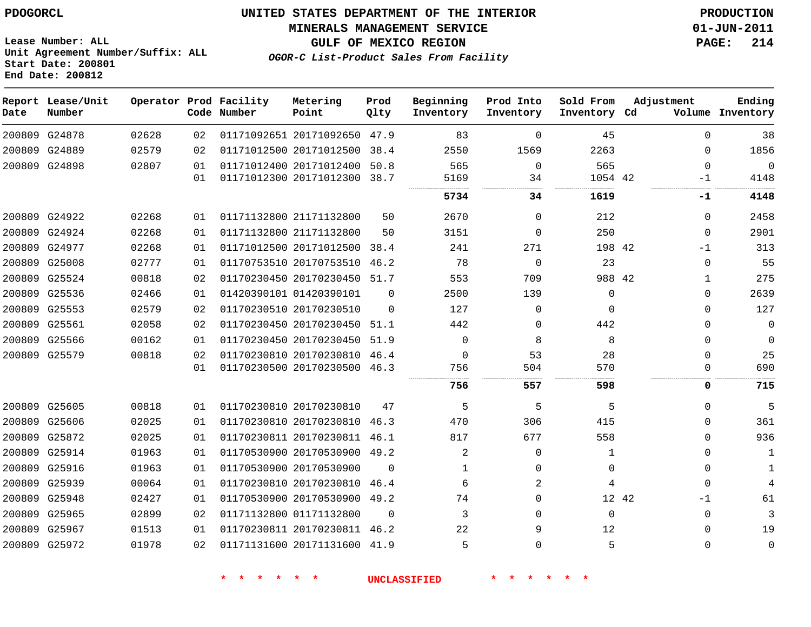**End Date: 200812**

# **UNITED STATES DEPARTMENT OF THE INTERIOR PDOGORCL PRODUCTION**

**MINERALS MANAGEMENT SERVICE 01-JUN-2011**

**OGOR-C List-Product Sales From Facility Lease Number: ALL Unit Agreement Number/Suffix: ALL Start Date: 200801**

**GULF OF MEXICO REGION PAGE: 214**

| Date | Report Lease/Unit<br>Number |       |    | Operator Prod Facility<br>Code Number | Metering<br>Point            | Prod<br>Qlty | Beginning<br>Inventory | Prod Into<br>Inventory | Sold From<br>Inventory Cd | Adjustment   | Ending<br>Volume Inventory |
|------|-----------------------------|-------|----|---------------------------------------|------------------------------|--------------|------------------------|------------------------|---------------------------|--------------|----------------------------|
|      | 200809 G24878               | 02628 | 02 |                                       | 01171092651 20171092650      | 47.9         | 83                     | $\Omega$               | 45                        | $\Omega$     | 38                         |
|      | 200809 G24889               | 02579 | 02 |                                       | 01171012500 20171012500      | 38.4         | 2550                   | 1569                   | 2263                      | $\Omega$     | 1856                       |
|      | 200809 G24898               | 02807 | 01 |                                       | 01171012400 20171012400      | 50.8         | 565                    | $\mathbf 0$            | 565                       | $\mathbf 0$  | $\mathbf 0$                |
|      |                             |       | 01 |                                       | 01171012300 20171012300      | 38.7         | 5169                   | 34                     | 1054 42                   | -1           | 4148                       |
|      |                             |       |    |                                       |                              |              | 5734                   | 34                     | 1619                      | -1           | 4148                       |
|      | 200809 G24922               | 02268 | 01 |                                       | 01171132800 21171132800      | 50           | 2670                   | $\Omega$               | 212                       | 0            | 2458                       |
|      | 200809 G24924               | 02268 | 01 |                                       | 01171132800 21171132800      | 50           | 3151                   | $\Omega$               | 250                       | $\Omega$     | 2901                       |
|      | 200809 G24977               | 02268 | 01 |                                       | 01171012500 20171012500      | 38.4         | 241                    | 271                    | 198 42                    | -1           | 313                        |
|      | 200809 G25008               | 02777 | 01 |                                       | 01170753510 20170753510      | 46.2         | 78                     | $\Omega$               | 23                        | $\Omega$     | 55                         |
|      | 200809 G25524               | 00818 | 02 |                                       | 01170230450 20170230450 51.7 |              | 553                    | 709                    | 988 42                    | 1            | 275                        |
|      | 200809 G25536               | 02466 | 01 |                                       | 01420390101 01420390101      | $\Omega$     | 2500                   | 139                    | $\Omega$                  | $\Omega$     | 2639                       |
|      | 200809 G25553               | 02579 | 02 |                                       | 01170230510 20170230510      | $\Omega$     | 127                    | $\Omega$               | $\Omega$                  | $\Omega$     | 127                        |
|      | 200809 G25561               | 02058 | 02 |                                       | 01170230450 20170230450      | 51.1         | 442                    | $\Omega$               | 442                       | 0            | $\mathbf 0$                |
|      | 200809 G25566               | 00162 | 01 |                                       | 01170230450 20170230450      | 51.9         | $\Omega$               | 8                      | 8                         | 0            | $\mathbf 0$                |
|      | 200809 G25579               | 00818 | 02 |                                       | 01170230810 20170230810      | 46.4         | $\Omega$               | 53                     | 28                        | $\Omega$     | 25                         |
|      |                             |       | 01 |                                       | 01170230500 20170230500 46.3 |              | 756                    | 504                    | 570                       | $\Omega$     | 690                        |
|      |                             |       |    |                                       |                              |              | 756                    | .<br>557               | 598                       | 0            | 715                        |
|      | 200809 G25605               | 00818 | 01 |                                       | 01170230810 20170230810      | 47           | 5                      | 5                      | 5                         | 0            | 5                          |
|      | 200809 G25606               | 02025 | 01 |                                       | 01170230810 20170230810      | 46.3         | 470                    | 306                    | 415                       | 0            | 361                        |
|      | 200809 G25872               | 02025 | 01 |                                       | 01170230811 20170230811      | 46.1         | 817                    | 677                    | 558                       | $\Omega$     | 936                        |
|      | 200809 G25914               | 01963 | 01 |                                       | 01170530900 20170530900      | 49.2         | 2                      | $\Omega$               | 1                         | $\Omega$     | 1                          |
|      | 200809 G25916               | 01963 | 01 |                                       | 01170530900 20170530900      | $\Omega$     | 1                      | $\Omega$               | $\Omega$                  | $\mathbf{0}$ | 1                          |
|      | 200809 G25939               | 00064 | 01 |                                       | 01170230810 20170230810      | 46.4         | 6                      | 2                      | 4                         | $\mathbf 0$  | 4                          |
|      | 200809 G25948               | 02427 | 01 |                                       | 01170530900 20170530900      | 49.2         | 74                     | $\Omega$               |                           | 12 42<br>-1  | 61                         |
|      | 200809 G25965               | 02899 | 02 |                                       | 01171132800 01171132800      | $\Omega$     | 3                      | $\Omega$               | $\Omega$                  | $\mathbf 0$  | 3                          |
|      | 200809 G25967               | 01513 | 01 |                                       | 01170230811 20170230811      | 46.2         | 22                     | 9                      | 12                        | $\Omega$     | 19                         |
|      | 200809 G25972               | 01978 | 02 |                                       | 01171131600 20171131600      | 41.9         | 5                      | $\Omega$               |                           | $\Omega$     | $\Omega$                   |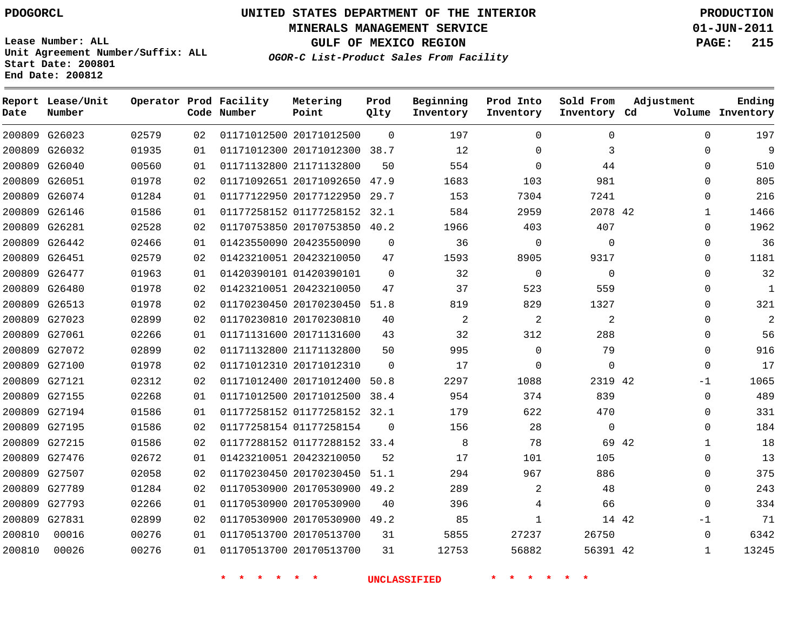**MINERALS MANAGEMENT SERVICE 01-JUN-2011**

**GULF OF MEXICO REGION PAGE: 215**

**Lease Number: ALL Unit Agreement Number/Suffix: ALL Start Date: 200801 End Date: 200812**

**OGOR-C List-Product Sales From Facility**

| Date   | Report Lease/Unit<br>Number |       |    | Operator Prod Facility<br>Code Number | Metering<br>Point            | Prod<br>Qlty | Beginning<br>Inventory | Prod Into<br>Inventory | Sold From<br>Inventory Cd | Adjustment            | Ending<br>Volume Inventory |
|--------|-----------------------------|-------|----|---------------------------------------|------------------------------|--------------|------------------------|------------------------|---------------------------|-----------------------|----------------------------|
|        | 200809 G26023               | 02579 | 02 |                                       | 01171012500 20171012500      | $\Omega$     | 197                    | $\Omega$               | 0                         |                       | 197<br>$\Omega$            |
|        | 200809 G26032               | 01935 | 01 |                                       | 01171012300 20171012300      | 38.7         | 12                     | $\mathbf 0$            | 3                         | $\Omega$              | 9                          |
|        | 200809 G26040               | 00560 | 01 |                                       | 01171132800 21171132800      | 50           | 554                    | $\Omega$               | 44                        | $\Omega$              | 510                        |
|        | 200809 G26051               | 01978 | 02 |                                       | 01171092651 20171092650      | 47.9         | 1683                   | 103                    | 981                       | $\Omega$              | 805                        |
|        | 200809 G26074               | 01284 | 01 |                                       | 01177122950 20177122950      | 29.7         | 153                    | 7304                   | 7241                      | $\Omega$              | 216                        |
|        | 200809 G26146               | 01586 | 01 |                                       | 01177258152 01177258152 32.1 |              | 584                    | 2959                   | 2078 42                   | $\mathbf{1}$          | 1466                       |
|        | 200809 G26281               | 02528 | 02 |                                       | 01170753850 20170753850 40.2 |              | 1966                   | 403                    | 407                       | $\Omega$              | 1962                       |
|        | 200809 G26442               | 02466 | 01 |                                       | 01423550090 20423550090      | $\mathbf 0$  | 36                     | $\mathbf 0$            | $\mathbf 0$               | $\mathbf 0$           | 36                         |
|        | 200809 G26451               | 02579 | 02 |                                       | 01423210051 20423210050      | 47           | 1593                   | 8905                   | 9317                      | $\Omega$              | 1181                       |
|        | 200809 G26477               | 01963 | 01 |                                       | 01420390101 01420390101      | $\Omega$     | 32                     | $\mathbf 0$            | $\Omega$                  | $\Omega$              | 32                         |
|        | 200809 G26480               | 01978 | 02 |                                       | 01423210051 20423210050      | 47           | 37                     | 523                    | 559                       | $\Omega$              | $\mathbf{1}$               |
|        | 200809 G26513               | 01978 | 02 |                                       | 01170230450 20170230450      | 51.8         | 819                    | 829                    | 1327                      | $\Omega$              | 321                        |
|        | 200809 G27023               | 02899 | 02 |                                       | 01170230810 20170230810      | 40           | 2                      | $\overline{a}$         | 2                         | $\Omega$              | $\overline{a}$             |
|        | 200809 G27061               | 02266 | 01 |                                       | 01171131600 20171131600      | 43           | 32                     | 312                    | 288                       | $\mathbf 0$           | 56                         |
|        | 200809 G27072               | 02899 | 02 |                                       | 01171132800 21171132800      | 50           | 995                    | $\mathbf 0$            | 79                        | $\mathbf 0$           | 916                        |
|        | 200809 G27100               | 01978 | 02 |                                       | 01171012310 20171012310      | 0            | 17                     | $\mathbf 0$            | $\mathbf 0$               | $\mathbf 0$           | 17                         |
|        | 200809 G27121               | 02312 | 02 |                                       | 01171012400 20171012400      | 50.8         | 2297                   | 1088                   | 2319 42                   | $-1$                  | 1065                       |
|        | 200809 G27155               | 02268 | 01 |                                       | 01171012500 20171012500      | 38.4         | 954                    | 374                    | 839                       | $\mathbf 0$           | 489                        |
|        | 200809 G27194               | 01586 | 01 |                                       | 01177258152 01177258152 32.1 |              | 179                    | 622                    | 470                       | $\mathbf 0$           | 331                        |
|        | 200809 G27195               | 01586 | 02 |                                       | 01177258154 01177258154      | 0            | 156                    | 28                     | $\mathbf 0$               | $\mathbf 0$           | 184                        |
|        | 200809 G27215               | 01586 | 02 |                                       | 01177288152 01177288152 33.4 |              | 8                      | 78                     |                           | 69 42<br>$\mathbf{1}$ | 18                         |
|        | 200809 G27476               | 02672 | 01 |                                       | 01423210051 20423210050      | 52           | 17                     | 101                    | 105                       | $\mathbf 0$           | 13                         |
|        | 200809 G27507               | 02058 | 02 |                                       | 01170230450 20170230450      | 51.1         | 294                    | 967                    | 886                       | $\Omega$              | 375                        |
|        | 200809 G27789               | 01284 | 02 |                                       | 01170530900 20170530900      | 49.2         | 289                    | $\overline{2}$         | 48                        | $\Omega$              | 243                        |
|        | 200809 G27793               | 02266 | 01 |                                       | 01170530900 20170530900      | 40           | 396                    | 4                      | 66                        | $\Omega$              | 334                        |
|        | 200809 G27831               | 02899 | 02 |                                       | 01170530900 20170530900      | 49.2         | 85                     | $\mathbf{1}$           |                           | 14 42<br>$-1$         | 71                         |
| 200810 | 00016                       | 00276 | 01 |                                       | 01170513700 20170513700      | 31           | 5855                   | 27237                  | 26750                     | $\Omega$              | 6342                       |
| 200810 | 00026                       | 00276 | 01 |                                       | 01170513700 20170513700      | 31           | 12753                  | 56882                  | 56391 42                  | $\mathbf{1}$          | 13245                      |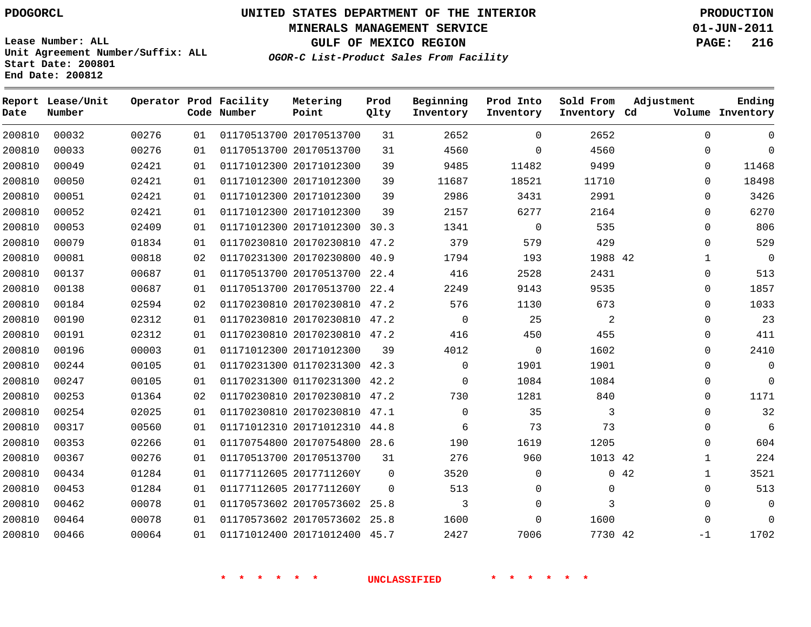**MINERALS MANAGEMENT SERVICE 01-JUN-2011**

**GULF OF MEXICO REGION PAGE: 216**

**Lease Number: ALL Unit Agreement Number/Suffix: ALL Start Date: 200801 End Date: 200812**

**OGOR-C List-Product Sales From Facility**

| Date   | Report Lease/Unit<br>Number |       |    | Operator Prod Facility<br>Code Number | Metering<br>Point            | Prod<br>Qlty | Beginning<br>Inventory | Prod Into<br>Inventory | Sold From<br>Inventory Cd | Adjustment | Ending<br>Volume Inventory |
|--------|-----------------------------|-------|----|---------------------------------------|------------------------------|--------------|------------------------|------------------------|---------------------------|------------|----------------------------|
| 200810 | 00032                       | 00276 | 01 |                                       | 01170513700 20170513700      | 31           | 2652                   | $\Omega$               | 2652                      |            | $\Omega$<br>$\Omega$       |
| 200810 | 00033                       | 00276 | 01 |                                       | 01170513700 20170513700      | 31           | 4560                   | $\Omega$               | 4560                      |            | $\Omega$<br>$\Omega$       |
| 200810 | 00049                       | 02421 | 01 |                                       | 01171012300 20171012300      | 39           | 9485                   | 11482                  | 9499                      |            | 11468<br>$\Omega$          |
| 200810 | 00050                       | 02421 | 01 |                                       | 01171012300 20171012300      | 39           | 11687                  | 18521                  | 11710                     |            | 18498<br>0                 |
| 200810 | 00051                       | 02421 | 01 |                                       | 01171012300 20171012300      | 39           | 2986                   | 3431                   | 2991                      |            | 3426<br>$\Omega$           |
| 200810 | 00052                       | 02421 | 01 |                                       | 01171012300 20171012300      | 39           | 2157                   | 6277                   | 2164                      |            | 6270<br>$\Omega$           |
| 200810 | 00053                       | 02409 | 01 |                                       | 01171012300 20171012300      | 30.3         | 1341                   | $\mathbf 0$            | 535                       |            | 806<br>$\mathbf{0}$        |
| 200810 | 00079                       | 01834 | 01 |                                       | 01170230810 20170230810 47.2 |              | 379                    | 579                    | 429                       |            | 529<br>$\Omega$            |
| 200810 | 00081                       | 00818 | 02 |                                       | 01170231300 20170230800      | 40.9         | 1794                   | 193                    | 1988 42                   |            | $\mathbf 0$<br>1           |
| 200810 | 00137                       | 00687 | 01 |                                       | 01170513700 20170513700      | 22.4         | 416                    | 2528                   | 2431                      |            | 513<br>$\mathbf 0$         |
| 200810 | 00138                       | 00687 | 01 |                                       | 01170513700 20170513700 22.4 |              | 2249                   | 9143                   | 9535                      |            | 1857<br>$\Omega$           |
| 200810 | 00184                       | 02594 | 02 |                                       | 01170230810 20170230810 47.2 |              | 576                    | 1130                   | 673                       |            | 1033<br>0                  |
| 200810 | 00190                       | 02312 | 01 |                                       | 01170230810 20170230810 47.2 |              | $\mathbf 0$            | 25                     | $\overline{a}$            |            | 23<br>0                    |
| 200810 | 00191                       | 02312 | 01 |                                       | 01170230810 20170230810 47.2 |              | 416                    | 450                    | 455                       |            | 411<br>0                   |
| 200810 | 00196                       | 00003 | 01 |                                       | 01171012300 20171012300      | 39           | 4012                   | 0                      | 1602                      |            | 2410<br>$\Omega$           |
| 200810 | 00244                       | 00105 | 01 |                                       | 01170231300 01170231300 42.3 |              | $\Omega$               | 1901                   | 1901                      |            | $\mathbf 0$<br>0           |
| 200810 | 00247                       | 00105 | 01 |                                       | 01170231300 01170231300 42.2 |              | $\mathbf 0$            | 1084                   | 1084                      |            | $\Omega$<br>0              |
| 200810 | 00253                       | 01364 | 02 |                                       | 01170230810 20170230810 47.2 |              | 730                    | 1281                   | 840                       |            | 1171<br>$\Omega$           |
| 200810 | 00254                       | 02025 | 01 |                                       | 01170230810 20170230810 47.1 |              | $\mathbf 0$            | 35                     | 3                         |            | 32<br>0                    |
| 200810 | 00317                       | 00560 | 01 |                                       | 01171012310 20171012310 44.8 |              | 6                      | 73                     | 73                        |            | 6<br>$\Omega$              |
| 200810 | 00353                       | 02266 | 01 |                                       | 01170754800 20170754800 28.6 |              | 190                    | 1619                   | 1205                      |            | 604<br>$\Omega$            |
| 200810 | 00367                       | 00276 | 01 |                                       | 01170513700 20170513700      | 31           | 276                    | 960                    | 1013 42                   |            | 224<br>$\mathbf 1$         |
| 200810 | 00434                       | 01284 | 01 |                                       | 01177112605 2017711260Y      | $\mathbf 0$  | 3520                   | $\Omega$               |                           | 0.42       | 3521<br>$\mathbf{1}$       |
| 200810 | 00453                       | 01284 | 01 |                                       | 01177112605 2017711260Y      | $\mathbf 0$  | 513                    | 0                      | 0                         |            | 513<br>$\mathbf 0$         |
| 200810 | 00462                       | 00078 | 01 |                                       | 01170573602 20170573602 25.8 |              | 3                      | 0                      | 3                         |            | $\mathbf 0$<br>$\Omega$    |
| 200810 | 00464                       | 00078 | 01 |                                       | 01170573602 20170573602 25.8 |              | 1600                   | 0                      | 1600                      |            | $\Omega$<br>$\Omega$       |
| 200810 | 00466                       | 00064 | 01 |                                       | 01171012400 20171012400 45.7 |              | 2427                   | 7006                   | 7730 42                   | $-1$       | 1702                       |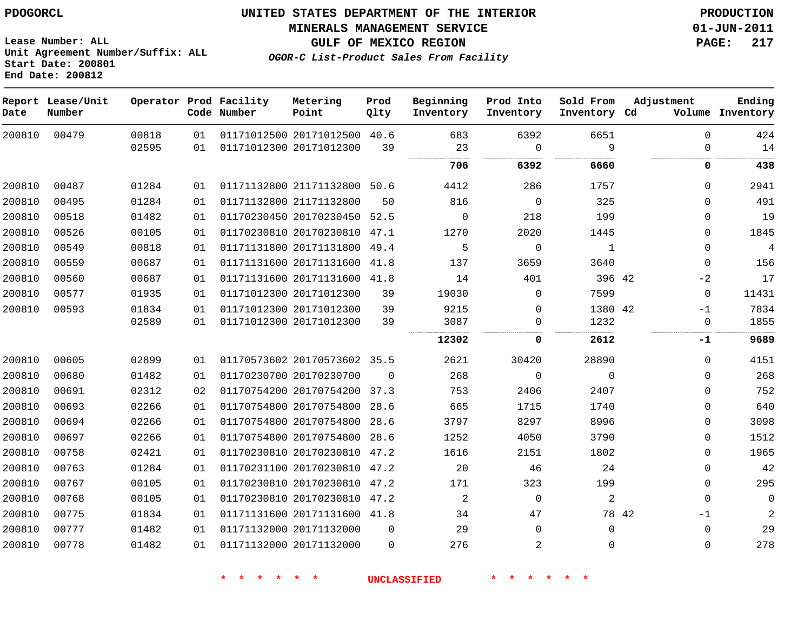**MINERALS MANAGEMENT SERVICE 01-JUN-2011**

**GULF OF MEXICO REGION PAGE: 217**

**OGOR-C List-Product Sales From Facility**

**Lease Number: ALL Unit Agreement Number/Suffix: ALL Start Date: 200801 End Date: 200812**

| Date   | Report Lease/Unit<br>Number |       |    | Operator Prod Facility<br>Code Number | Metering<br>Point            | Prod<br>Qlty | Beginning<br>Inventory | Prod Into<br>Inventory | Sold From<br>Inventory Cd | Adjustment    | Ending<br>Volume Inventory |
|--------|-----------------------------|-------|----|---------------------------------------|------------------------------|--------------|------------------------|------------------------|---------------------------|---------------|----------------------------|
| 200810 | 00479                       | 00818 | 01 |                                       | 01171012500 20171012500 40.6 |              | 683                    | 6392                   | 6651                      | 0             | 424                        |
|        |                             | 02595 | 01 |                                       | 01171012300 20171012300      | 39           | 23                     | $\Omega$               | 9                         | $\Omega$      | 14                         |
|        |                             |       |    |                                       |                              |              | 706                    | 6392                   | 6660                      | 0             | 438                        |
| 200810 | 00487                       | 01284 | 01 |                                       | 01171132800 21171132800      | 50.6         | 4412                   | 286                    | 1757                      | $\Omega$      | 2941                       |
| 200810 | 00495                       | 01284 | 01 |                                       | 01171132800 21171132800      | 50           | 816                    | $\Omega$               | 325                       | $\Omega$      | 491                        |
| 200810 | 00518                       | 01482 | 01 |                                       | 01170230450 20170230450      | 52.5         | $\Omega$               | 218                    | 199                       | $\Omega$      | 19                         |
| 200810 | 00526                       | 00105 | 01 |                                       | 01170230810 20170230810      | 47.1         | 1270                   | 2020                   | 1445                      | $\Omega$      | 1845                       |
| 200810 | 00549                       | 00818 | 01 |                                       | 01171131800 20171131800      | 49.4         | 5                      | $\mathbf 0$            | $\mathbf{1}$              | $\Omega$      | $\,4$                      |
| 200810 | 00559                       | 00687 | 01 |                                       | 01171131600 20171131600      | 41.8         | 137                    | 3659                   | 3640                      | $\Omega$      | 156                        |
| 200810 | 00560                       | 00687 | 01 |                                       | 01171131600 20171131600      | 41.8         | 14                     | 401                    | 396 42                    | $-2$          | 17                         |
| 200810 | 00577                       | 01935 | 01 |                                       | 01171012300 20171012300      | 39           | 19030                  | $\mathbf 0$            | 7599                      | $\Omega$      | 11431                      |
| 200810 | 00593                       | 01834 | 01 |                                       | 01171012300 20171012300      | 39           | 9215                   | $\Omega$               | 1380 42                   | $-1$          | 7834                       |
|        |                             | 02589 | 01 |                                       | 01171012300 20171012300      | 39           | 3087                   | $\Omega$               | 1232                      | $\Omega$      | 1855                       |
|        |                             |       |    |                                       |                              |              | 12302                  | 0                      | 2612                      | -1            | 9689                       |
| 200810 | 00605                       | 02899 | 01 |                                       | 01170573602 20170573602 35.5 |              | 2621                   | 30420                  | 28890                     | 0             | 4151                       |
| 200810 | 00680                       | 01482 | 01 |                                       | 01170230700 20170230700      | $\Omega$     | 268                    | 0                      | $\Omega$                  | 0             | 268                        |
| 200810 | 00691                       | 02312 | 02 |                                       | 01170754200 20170754200      | 37.3         | 753                    | 2406                   | 2407                      | 0             | 752                        |
| 200810 | 00693                       | 02266 | 01 |                                       | 01170754800 20170754800      | 28.6         | 665                    | 1715                   | 1740                      | $\Omega$      | 640                        |
| 200810 | 00694                       | 02266 | 01 |                                       | 01170754800 20170754800      | 28.6         | 3797                   | 8297                   | 8996                      | 0             | 3098                       |
| 200810 | 00697                       | 02266 | 01 |                                       | 01170754800 20170754800      | 28.6         | 1252                   | 4050                   | 3790                      | 0             | 1512                       |
| 200810 | 00758                       | 02421 | 01 |                                       | 01170230810 20170230810      | 47.2         | 1616                   | 2151                   | 1802                      | 0             | 1965                       |
| 200810 | 00763                       | 01284 | 01 |                                       | 01170231100 20170230810 47.2 |              | 20                     | 46                     | 24                        | $\Omega$      | 42                         |
| 200810 | 00767                       | 00105 | 01 |                                       | 01170230810 20170230810 47.2 |              | 171                    | 323                    | 199                       | $\mathbf{0}$  | 295                        |
| 200810 | 00768                       | 00105 | 01 |                                       | 01170230810 20170230810 47.2 |              | 2                      | $\Omega$               | 2                         | $\Omega$      | $\mathbf 0$                |
| 200810 | 00775                       | 01834 | 01 |                                       | 01171131600 20171131600 41.8 |              | 34                     | 47                     |                           | 78 42<br>$-1$ | 2                          |
| 200810 | 00777                       | 01482 | 01 |                                       | 01171132000 20171132000      | $\Omega$     | 29                     | $\Omega$               | $\Omega$                  | $\Omega$      | 29                         |
| 200810 | 00778                       | 01482 | 01 |                                       | 01171132000 20171132000      | $\Omega$     | 276                    | $\overline{a}$         | $\Omega$                  | $\Omega$      | 278                        |
|        |                             |       |    |                                       |                              |              |                        |                        |                           |               |                            |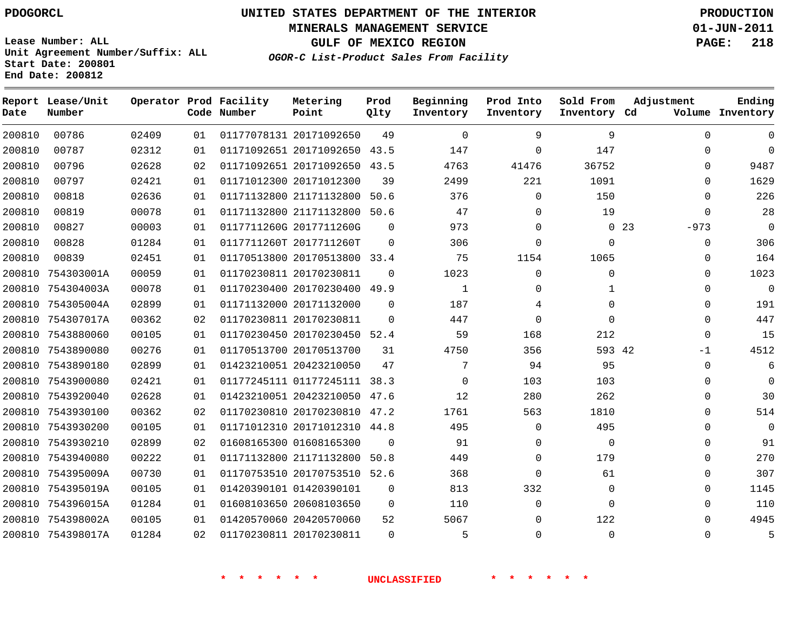**MINERALS MANAGEMENT SERVICE 01-JUN-2011**

**GULF OF MEXICO REGION PAGE: 218**

**Lease Number: ALL Unit Agreement Number/Suffix: ALL Start Date: 200801 End Date: 200812**

**OGOR-C List-Product Sales From Facility**

| Date   | Report Lease/Unit<br>Number |       |    | Operator Prod Facility<br>Code Number | Metering<br>Point            | Prod<br>Qlty | Beginning<br>Inventory | Prod Into<br>Inventory | Sold From<br>Inventory Cd | Adjustment            | Ending<br>Volume Inventory |
|--------|-----------------------------|-------|----|---------------------------------------|------------------------------|--------------|------------------------|------------------------|---------------------------|-----------------------|----------------------------|
| 200810 | 00786                       | 02409 | 01 |                                       | 01177078131 20171092650      | 49           | $\Omega$               | 9                      | 9                         | $\Omega$              | $\Omega$                   |
| 200810 | 00787                       | 02312 | 01 |                                       | 01171092651 20171092650      | 43.5         | 147                    | 0                      | 147                       | $\Omega$              | 0                          |
| 200810 | 00796                       | 02628 | 02 |                                       | 01171092651 20171092650 43.5 |              | 4763                   | 41476                  | 36752                     | $\Omega$              | 9487                       |
| 200810 | 00797                       | 02421 | 01 |                                       | 01171012300 20171012300      | 39           | 2499                   | 221                    | 1091                      | $\Omega$              | 1629                       |
| 200810 | 00818                       | 02636 | 01 |                                       | 01171132800 21171132800      | 50.6         | 376                    | $\Omega$               | 150                       | $\Omega$              | 226                        |
| 200810 | 00819                       | 00078 | 01 |                                       | 01171132800 21171132800      | 50.6         | 47                     | 0                      | 19                        | $\Omega$              | 28                         |
| 200810 | 00827                       | 00003 | 01 |                                       | 0117711260G 2017711260G      | $\Omega$     | 973                    | 0                      |                           | $0\quad 23$<br>$-973$ | 0                          |
| 200810 | 00828                       | 01284 | 01 |                                       | 0117711260T 2017711260T      | $\Omega$     | 306                    | 0                      | 0                         | 0                     | 306                        |
| 200810 | 00839                       | 02451 | 01 |                                       | 01170513800 20170513800 33.4 |              | 75                     | 1154                   | 1065                      | 0                     | 164                        |
| 200810 | 754303001A                  | 00059 | 01 |                                       | 01170230811 20170230811      | $\Omega$     | 1023                   | 0                      | 0                         | 0                     | 1023                       |
| 200810 | 754304003A                  | 00078 | 01 |                                       | 01170230400 20170230400 49.9 |              | 1                      | 0                      | 1                         | 0                     | $\mathbf 0$                |
|        | 200810 754305004A           | 02899 | 01 |                                       | 01171132000 20171132000      | $\Omega$     | 187                    | 4                      | $\Omega$                  | $\Omega$              | 191                        |
| 200810 | 754307017A                  | 00362 | 02 |                                       | 01170230811 20170230811      | $\Omega$     | 447                    | $\mathbf 0$            | $\Omega$                  | $\Omega$              | 447                        |
| 200810 | 7543880060                  | 00105 | 01 |                                       | 01170230450 20170230450      | 52.4         | 59                     | 168                    | 212                       | 0                     | 15                         |
| 200810 | 7543890080                  | 00276 | 01 |                                       | 01170513700 20170513700      | 31           | 4750                   | 356                    | 593 42                    | $-1$                  | 4512                       |
|        | 200810 7543890180           | 02899 | 01 |                                       | 01423210051 20423210050      | 47           | 7                      | 94                     | 95                        | $\Omega$              | 6                          |
| 200810 | 7543900080                  | 02421 | 01 |                                       | 01177245111 01177245111      | 38.3         | $\Omega$               | 103                    | 103                       | 0                     | 0                          |
| 200810 | 7543920040                  | 02628 | 01 |                                       | 01423210051 20423210050      | 47.6         | 12                     | 280                    | 262                       | $\Omega$              | 30                         |
| 200810 | 7543930100                  | 00362 | 02 |                                       | 01170230810 20170230810 47.2 |              | 1761                   | 563                    | 1810                      | $\Omega$              | 514                        |
| 200810 | 7543930200                  | 00105 | 01 |                                       | 01171012310 20171012310 44.8 |              | 495                    | $\mathbf 0$            | 495                       | $\Omega$              | $\mathbf 0$                |
|        | 200810 7543930210           | 02899 | 02 |                                       | 01608165300 01608165300      | $\Omega$     | 91                     | 0                      | $\mathbf{0}$              | $\Omega$              | 91                         |
|        | 200810 7543940080           | 00222 | 01 |                                       | 01171132800 21171132800      | 50.8         | 449                    | 0                      | 179                       | $\Omega$              | 270                        |
| 200810 | 754395009A                  | 00730 | 01 |                                       | 01170753510 20170753510      | 52.6         | 368                    | 0                      | 61                        | 0                     | 307                        |
| 200810 | 754395019A                  | 00105 | 01 |                                       | 01420390101 01420390101      | $\mathbf 0$  | 813                    | 332                    | 0                         | $\Omega$              | 1145                       |
| 200810 | 754396015A                  | 01284 | 01 |                                       | 01608103650 20608103650      | $\mathbf 0$  | 110                    | $\mathbf{0}$           | $\Omega$                  | $\Omega$              | 110                        |
|        | 200810 754398002A           | 00105 | 01 |                                       | 01420570060 20420570060      | 52           | 5067                   | 0                      | 122                       | 0                     | 4945                       |
|        | 200810 754398017A           | 01284 | 02 |                                       | 01170230811 20170230811      | $\Omega$     | 5                      | 0                      | $\Omega$                  | $\Omega$              | 5                          |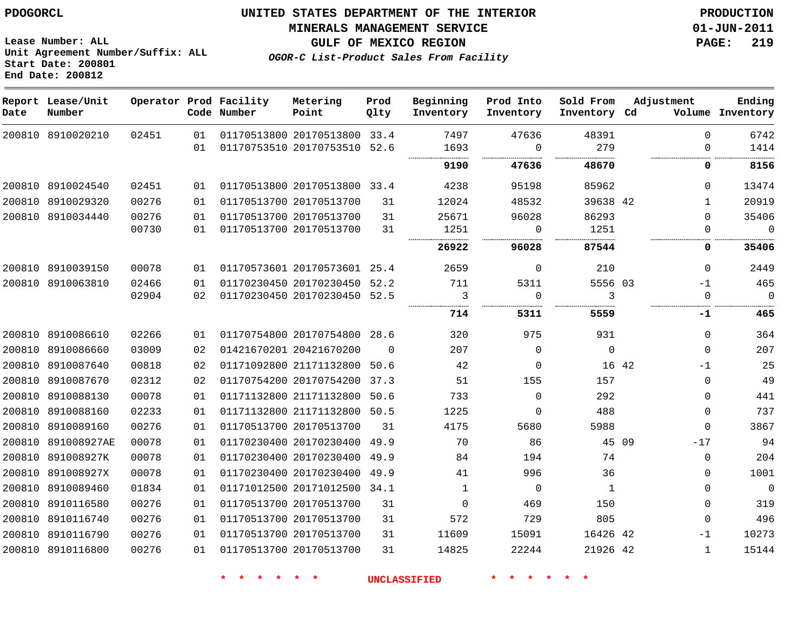#### **MINERALS MANAGEMENT SERVICE 01-JUN-2011**

**GULF OF MEXICO REGION PAGE: 219**

**Lease Number: ALL Unit Agreement Number/Suffix: ALL Start Date: 200801 End Date: 200812**

**OGOR-C List-Product Sales From Facility**

| Date   | Report Lease/Unit<br>Number |       |    | Operator Prod Facility<br>Code Number | Metering<br>Point            | Prod<br>Qlty | Beginning<br>Inventory | Prod Into<br>Inventory | Sold From<br>Inventory Cd |       | Adjustment   | Ending<br>Volume Inventory |
|--------|-----------------------------|-------|----|---------------------------------------|------------------------------|--------------|------------------------|------------------------|---------------------------|-------|--------------|----------------------------|
|        | 200810 8910020210           | 02451 | 01 |                                       | 01170513800 20170513800      | 33.4         | 7497                   | 47636                  | 48391                     |       | $\Omega$     | 6742                       |
|        |                             |       | 01 |                                       | 01170753510 20170753510      | 52.6         | 1693                   | $\Omega$               | 279                       |       | $\Omega$     | 1414                       |
|        |                             |       |    |                                       |                              |              | 9190                   | 47636                  | 48670                     |       | 0            | 8156                       |
| 200810 | 8910024540                  | 02451 | 01 |                                       | 01170513800 20170513800 33.4 |              | 4238                   | 95198                  | 85962                     |       | $\Omega$     | 13474                      |
| 200810 | 8910029320                  | 00276 | 01 |                                       | 01170513700 20170513700      | 31           | 12024                  | 48532                  | 39638 42                  |       | $\mathbf{1}$ | 20919                      |
|        | 200810 8910034440           | 00276 | 01 |                                       | 01170513700 20170513700      | 31           | 25671                  | 96028                  | 86293                     |       | $\Omega$     | 35406                      |
|        |                             | 00730 | 01 |                                       | 01170513700 20170513700      | 31           | 1251                   | $\mathbf 0$            | 1251                      |       | $\Omega$     | $\mathbf{0}$               |
|        |                             |       |    |                                       |                              |              | 26922                  | 96028                  | 87544                     |       | 0            | 35406                      |
| 200810 | 8910039150                  | 00078 | 01 |                                       | 01170573601 20170573601      | 25.4         | 2659                   | $\mathbf{0}$           | 210                       |       | $\Omega$     | 2449                       |
| 200810 | 8910063810                  | 02466 | 01 |                                       | 01170230450 20170230450      | 52.2         | 711                    | 5311                   | 5556 03                   |       | $-1$         | 465                        |
|        |                             | 02904 | 02 |                                       | 01170230450 20170230450      | 52.5         | 3                      | $\mathbf{0}$           | 3                         |       | $\Omega$     | $\mathbf 0$                |
|        |                             |       |    |                                       |                              |              | 714                    | 5311                   | 5559                      |       | -1           | 465                        |
|        | 200810 8910086610           | 02266 | 01 |                                       | 01170754800 20170754800 28.6 |              | 320                    | 975                    | 931                       |       | $\mathbf 0$  | 364                        |
|        | 200810 8910086660           | 03009 | 02 |                                       | 01421670201 20421670200      | $\Omega$     | 207                    | $\mathbf{0}$           | $\Omega$                  |       | $\mathbf 0$  | 207                        |
|        | 200810 8910087640           | 00818 | 02 |                                       | 01171092800 21171132800      | 50.6         | 42                     | $\mathbf{0}$           |                           | 16 42 | $-1$         | 25                         |
|        | 200810 8910087670           | 02312 | 02 |                                       | 01170754200 20170754200 37.3 |              | 51                     | 155                    | 157                       |       | $\Omega$     | 49                         |
|        | 200810 8910088130           | 00078 | 01 |                                       | 01171132800 21171132800      | 50.6         | 733                    | $\Omega$               | 292                       |       | $\Omega$     | 441                        |
|        | 200810 8910088160           | 02233 | 01 |                                       | 01171132800 21171132800      | 50.5         | 1225                   | 0                      | 488                       |       | $\mathbf{0}$ | 737                        |
|        | 200810 8910089160           | 00276 | 01 |                                       | 01170513700 20170513700      | 31           | 4175                   | 5680                   | 5988                      |       | $\mathbf 0$  | 3867                       |
|        | 200810 891008927AE          | 00078 | 01 |                                       | 01170230400 20170230400      | 49.9         | 70                     | 86                     |                           | 45 09 | $-17$        | 94                         |
|        | 200810 891008927K           | 00078 | 01 |                                       | 01170230400 20170230400      | 49.9         | 84                     | 194                    | 74                        |       | 0            | 204                        |
| 200810 | 891008927X                  | 00078 | 01 |                                       | 01170230400 20170230400 49.9 |              | 41                     | 996                    | 36                        |       | $\Omega$     | 1001                       |
| 200810 | 8910089460                  | 01834 | 01 |                                       | 01171012500 20171012500      | 34.1         | $\mathbf{1}$           | $\mathbf 0$            | $\mathbf{1}$              |       | $\mathbf 0$  | $\mathbf{0}$               |
| 200810 | 8910116580                  | 00276 | 01 |                                       | 01170513700 20170513700      | 31           | $\Omega$               | 469                    | 150                       |       | $\Omega$     | 319                        |
| 200810 | 8910116740                  | 00276 | 01 |                                       | 01170513700 20170513700      | 31           | 572                    | 729                    | 805                       |       | $\mathbf 0$  | 496                        |
| 200810 | 8910116790                  | 00276 | 01 |                                       | 01170513700 20170513700      | 31           | 11609                  | 15091                  | 16426 42                  |       | $-1$         | 10273                      |
|        | 200810 8910116800           | 00276 | 01 |                                       | 01170513700 20170513700      | 31           | 14825                  | 22244                  | 21926 42                  |       | $\mathbf{1}$ | 15144                      |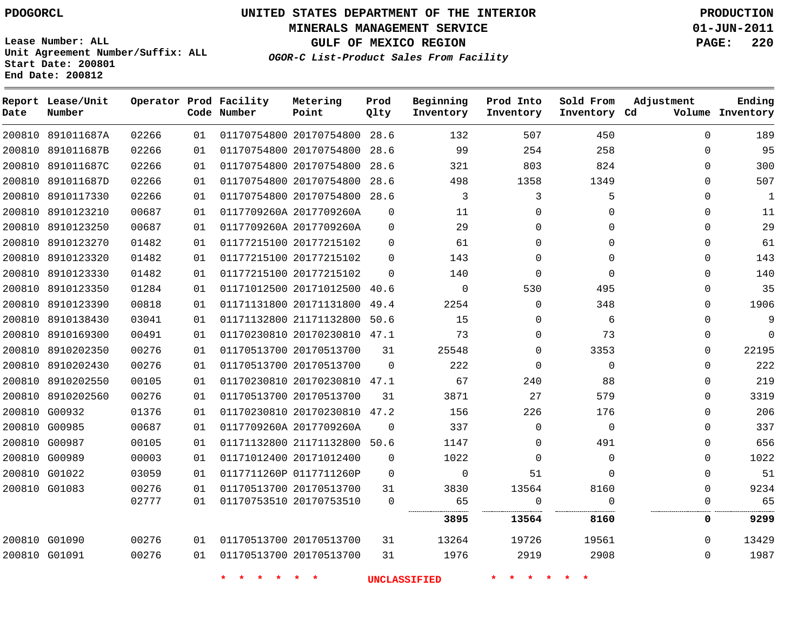**Start Date: 200801 End Date: 200812**

**Unit Agreement Number/Suffix: ALL**

# **UNITED STATES DEPARTMENT OF THE INTERIOR PDOGORCL PRODUCTION**

**MINERALS MANAGEMENT SERVICE 01-JUN-2011**

**GULF OF MEXICO REGION PAGE: 220**

**OGOR-C List-Product Sales From Facility**

| Date          | Report Lease/Unit<br>Number |       |    | Operator Prod Facility<br>Code Number | Metering<br>Point            | Prod<br>Qlty | Beginning<br>Inventory | Prod Into<br>Inventory | Sold From<br>Inventory Cd | Adjustment  | Ending<br>Volume Inventory |
|---------------|-----------------------------|-------|----|---------------------------------------|------------------------------|--------------|------------------------|------------------------|---------------------------|-------------|----------------------------|
|               | 200810 891011687A           | 02266 | 01 |                                       | 01170754800 20170754800      | 28.6         | 132                    | 507                    | 450                       | $\Omega$    | 189                        |
| 200810        | 891011687B                  | 02266 | 01 |                                       | 01170754800 20170754800      | 28.6         | 99                     | 254                    | 258                       | $\mathbf 0$ | 95                         |
| 200810        | 891011687C                  | 02266 | 01 |                                       | 01170754800 20170754800      | 28.6         | 321                    | 803                    | 824                       | $\Omega$    | 300                        |
| 200810        | 891011687D                  | 02266 | 01 |                                       | 01170754800 20170754800      | 28.6         | 498                    | 1358                   | 1349                      | $\Omega$    | 507                        |
| 200810        | 8910117330                  | 02266 | 01 |                                       | 01170754800 20170754800      | 28.6         | 3                      | 3                      | 5                         | 0           | 1                          |
|               | 200810 8910123210           | 00687 | 01 |                                       | 0117709260A 2017709260A      | $\Omega$     | 11                     | $\Omega$               | $\Omega$                  | $\Omega$    | 11                         |
| 200810        | 8910123250                  | 00687 | 01 |                                       | 0117709260A 2017709260A      | $\Omega$     | 29                     | $\Omega$               | 0                         | $\mathbf 0$ | 29                         |
| 200810        | 8910123270                  | 01482 | 01 |                                       | 01177215100 20177215102      | $\Omega$     | 61                     | $\Omega$               | $\Omega$                  | $\Omega$    | 61                         |
| 200810        | 8910123320                  | 01482 | 01 |                                       | 01177215100 20177215102      | $\Omega$     | 143                    | $\Omega$               | $\Omega$                  | $\Omega$    | 143                        |
| 200810        | 8910123330                  | 01482 | 01 |                                       | 01177215100 20177215102      | $\Omega$     | 140                    | $\Omega$               | $\mathbf 0$               | $\Omega$    | 140                        |
|               | 200810 8910123350           | 01284 | 01 |                                       | 01171012500 20171012500      | 40.6         | $\Omega$               | 530                    | 495                       | $\Omega$    | 35                         |
| 200810        | 8910123390                  | 00818 | 01 |                                       | 01171131800 20171131800      | 49.4         | 2254                   | $\Omega$               | 348                       | $\Omega$    | 1906                       |
| 200810        | 8910138430                  | 03041 | 01 |                                       | 01171132800 21171132800      | 50.6         | 15                     | $\Omega$               | 6                         | $\Omega$    | 9                          |
| 200810        | 8910169300                  | 00491 | 01 |                                       | 01170230810 20170230810      | 47.1         | 73                     | $\Omega$               | 73                        | $\Omega$    | $\Omega$                   |
| 200810        | 8910202350                  | 00276 | 01 |                                       | 01170513700 20170513700      | 31           | 25548                  | $\Omega$               | 3353                      | $\Omega$    | 22195                      |
|               | 200810 8910202430           | 00276 | 01 |                                       | 01170513700 20170513700      | $\Omega$     | 222                    | $\Omega$               | $\Omega$                  | $\Omega$    | 222                        |
| 200810        | 8910202550                  | 00105 | 01 |                                       | 01170230810 20170230810      | 47.1         | 67                     | 240                    | 88                        | $\mathbf 0$ | 219                        |
|               | 200810 8910202560           | 00276 | 01 |                                       | 01170513700 20170513700      | 31           | 3871                   | 27                     | 579                       | $\Omega$    | 3319                       |
|               | 200810 G00932               | 01376 | 01 |                                       | 01170230810 20170230810      | 47.2         | 156                    | 226                    | 176                       | $\Omega$    | 206                        |
| 200810        | G00985                      | 00687 | 01 |                                       | 0117709260A 2017709260A      | $\Omega$     | 337                    | $\Omega$               | $\mathbf 0$               | $\Omega$    | 337                        |
|               | 200810 G00987               | 00105 | 01 |                                       | 01171132800 21171132800 50.6 |              | 1147                   | $\Omega$               | 491                       | 0           | 656                        |
|               | 200810 G00989               | 00003 | 01 |                                       | 01171012400 20171012400      | $\Omega$     | 1022                   | $\Omega$               | 0                         | $\Omega$    | 1022                       |
|               | 200810 G01022               | 03059 | 01 |                                       | 0117711260P 0117711260P      | $\Omega$     | $\mathbf 0$            | 51                     | $\Omega$                  | $\Omega$    | 51                         |
|               | 200810 G01083               | 00276 | 01 |                                       | 01170513700 20170513700      | 31           | 3830                   | 13564                  | 8160                      | $\mathbf 0$ | 9234                       |
|               |                             | 02777 | 01 |                                       | 01170753510 20170753510      | $\Omega$     | 65                     | $\Omega$               | $\Omega$                  | 0           | 65                         |
|               |                             |       |    |                                       |                              |              | 3895                   | 13564                  | 8160                      | 0           | 9299                       |
|               | 200810 G01090               | 00276 | 01 |                                       | 01170513700 20170513700      | 31           | 13264                  | 19726                  | 19561                     | $\Omega$    | 13429                      |
| 200810 G01091 |                             | 00276 | 01 |                                       | 01170513700 20170513700      | 31           | 1976                   | 2919                   | 2908                      | $\Omega$    | 1987                       |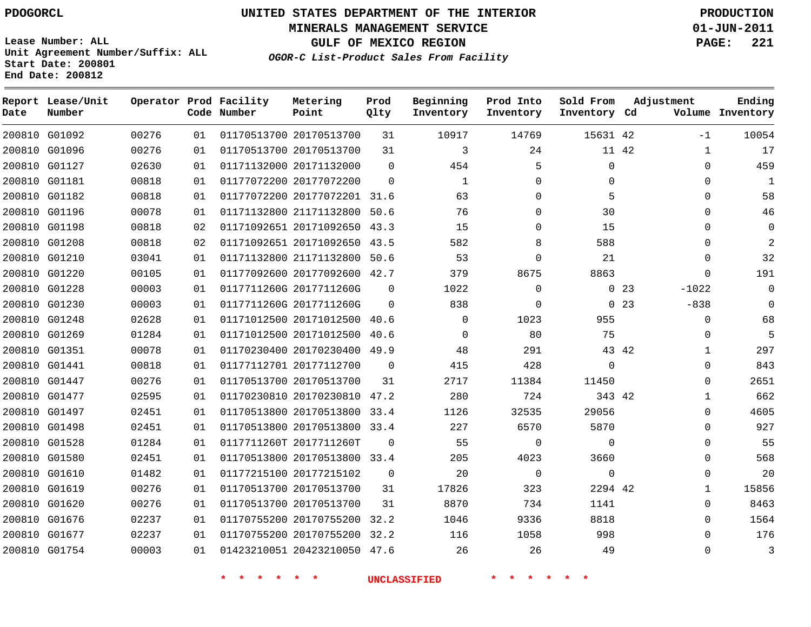# **UNITED STATES DEPARTMENT OF THE INTERIOR PDOGORCL PRODUCTION**

**MINERALS MANAGEMENT SERVICE 01-JUN-2011**

**GULF OF MEXICO REGION PAGE: 221**

**Unit Agreement Number/Suffix: ALL Start Date: 200801 End Date: 200812**

**OGOR-C List-Product Sales From Facility**

| Date | Report Lease/Unit<br>Number |       |    | Operator Prod Facility<br>Code Number | Metering<br>Point            | Prod<br>Qlty | Beginning<br>Inventory | Prod Into<br>Inventory | Sold From<br>Inventory Cd |             | Adjustment   | Ending<br>Volume Inventory |
|------|-----------------------------|-------|----|---------------------------------------|------------------------------|--------------|------------------------|------------------------|---------------------------|-------------|--------------|----------------------------|
|      | 200810 G01092               | 00276 | 01 |                                       | 01170513700 20170513700      | 31           | 10917                  | 14769                  | 15631 42                  |             | $-1$         | 10054                      |
|      | 200810 G01096               | 00276 | 01 |                                       | 01170513700 20170513700      | 31           | 3                      | 24                     |                           | 11 42       | $\mathbf 1$  | 17                         |
|      | 200810 G01127               | 02630 | 01 |                                       | 01171132000 20171132000      | $\Omega$     | 454                    | 5                      | $\mathbf{0}$              |             | $\Omega$     | 459                        |
|      | 200810 G01181               | 00818 | 01 |                                       | 01177072200 20177072200      | $\Omega$     | $\mathbf{1}$           | $\Omega$               | $\Omega$                  |             | $\Omega$     | $\mathbf 1$                |
|      | 200810 G01182               | 00818 | 01 |                                       | 01177072200 20177072201 31.6 |              | 63                     | $\mathbf 0$            | 5                         |             | $\mathbf 0$  | 58                         |
|      | 200810 G01196               | 00078 | 01 |                                       | 01171132800 21171132800 50.6 |              | 76                     | $\Omega$               | 30                        |             | $\Omega$     | 46                         |
|      | 200810 G01198               | 00818 | 02 |                                       | 01171092651 20171092650      | 43.3         | 15                     | $\Omega$               | 15                        |             | $\Omega$     | $\mathbf 0$                |
|      | 200810 G01208               | 00818 | 02 |                                       | 01171092651 20171092650 43.5 |              | 582                    | 8                      | 588                       |             | $\Omega$     | $\mathbf{2}$               |
|      | 200810 G01210               | 03041 | 01 |                                       | 01171132800 21171132800      | 50.6         | 53                     | $\Omega$               | 21                        |             | $\Omega$     | 32                         |
|      | 200810 G01220               | 00105 | 01 |                                       | 01177092600 20177092600 42.7 |              | 379                    | 8675                   | 8863                      |             | $\Omega$     | 191                        |
|      | 200810 G01228               | 00003 | 01 |                                       | 0117711260G 2017711260G      | $\Omega$     | 1022                   | $\Omega$               |                           | $0\quad 23$ | $-1022$      | $\Omega$                   |
|      | 200810 G01230               | 00003 | 01 |                                       | 0117711260G 2017711260G      | $\Omega$     | 838                    | $\mathbf 0$            |                           | 023         | $-838$       | 0                          |
|      | 200810 G01248               | 02628 | 01 |                                       | 01171012500 20171012500      | 40.6         | $\Omega$               | 1023                   | 955                       |             | $\Omega$     | 68                         |
|      | 200810 G01269               | 01284 | 01 |                                       | 01171012500 20171012500      | 40.6         | $\Omega$               | 80                     | 75                        |             | $\Omega$     | 5                          |
|      | 200810 G01351               | 00078 | 01 |                                       | 01170230400 20170230400      | 49.9         | 48                     | 291                    |                           | 43 42       | 1            | 297                        |
|      | 200810 G01441               | 00818 | 01 |                                       | 01177112701 20177112700      | $\mathbf 0$  | 415                    | 428                    | $\mathbf 0$               |             | $\Omega$     | 843                        |
|      | 200810 G01447               | 00276 | 01 |                                       | 01170513700 20170513700      | 31           | 2717                   | 11384                  | 11450                     |             | $\Omega$     | 2651                       |
|      | 200810 G01477               | 02595 | 01 |                                       | 01170230810 20170230810      | 47.2         | 280                    | 724                    | 343 42                    |             | $\mathbf{1}$ | 662                        |
|      | 200810 G01497               | 02451 | 01 |                                       | 01170513800 20170513800      | 33.4         | 1126                   | 32535                  | 29056                     |             | $\Omega$     | 4605                       |
|      | 200810 G01498               | 02451 | 01 |                                       | 01170513800 20170513800      | 33.4         | 227                    | 6570                   | 5870                      |             | $\Omega$     | 927                        |
|      | 200810 G01528               | 01284 | 01 |                                       | 0117711260T 2017711260T      | $\Omega$     | 55                     | $\mathbf 0$            | $\Omega$                  |             | $\Omega$     | 55                         |
|      | 200810 G01580               | 02451 | 01 |                                       | 01170513800 20170513800 33.4 |              | 205                    | 4023                   | 3660                      |             | 0            | 568                        |
|      | 200810 G01610               | 01482 | 01 |                                       | 01177215100 20177215102      | 0            | 20                     | $\mathbf 0$            | $\mathbf 0$               |             | $\Omega$     | 20                         |
|      | 200810 G01619               | 00276 | 01 |                                       | 01170513700 20170513700      | 31           | 17826                  | 323                    | 2294 42                   |             | 1            | 15856                      |
|      | 200810 G01620               | 00276 | 01 |                                       | 01170513700 20170513700      | 31           | 8870                   | 734                    | 1141                      |             | 0            | 8463                       |
|      | 200810 G01676               | 02237 | 01 |                                       | 01170755200 20170755200      | 32.2         | 1046                   | 9336                   | 8818                      |             | $\Omega$     | 1564                       |
|      | 200810 G01677               | 02237 | 01 |                                       | 01170755200 20170755200 32.2 |              | 116                    | 1058                   | 998                       |             | $\Omega$     | 176                        |
|      | 200810 G01754               | 00003 | 01 |                                       | 01423210051 20423210050      | 47.6         | 26                     | 26                     | 49                        |             | $\Omega$     | 3                          |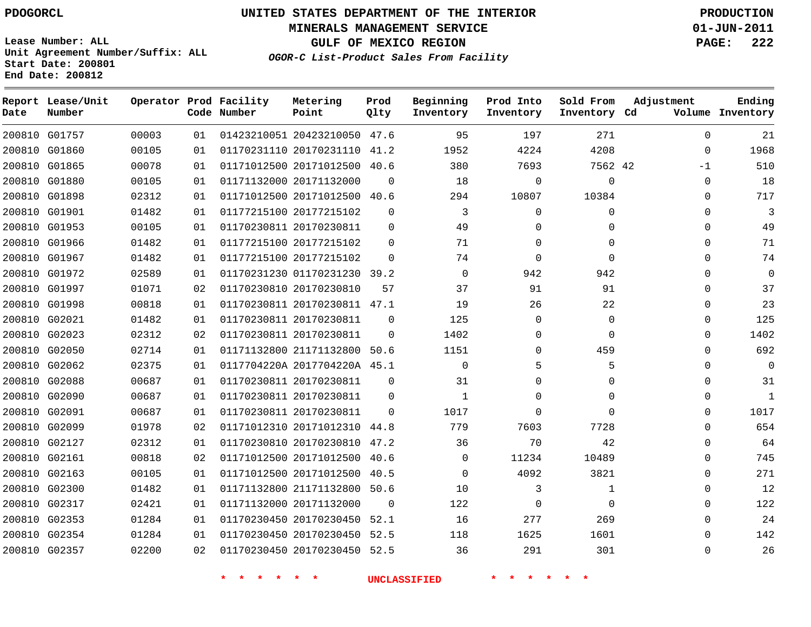**Start Date: 200801 End Date: 200812**

**Unit Agreement Number/Suffix: ALL**

# **UNITED STATES DEPARTMENT OF THE INTERIOR PDOGORCL PRODUCTION**

**MINERALS MANAGEMENT SERVICE 01-JUN-2011**

**GULF OF MEXICO REGION PAGE: 222**

**OGOR-C List-Product Sales From Facility**

| Date   | Report Lease/Unit<br>Number |       |    | Operator Prod Facility<br>Code Number | Metering<br>Point            | Prod<br>Qlty | Beginning<br>Inventory | Prod Into<br>Inventory | Sold From<br>Inventory Cd | Adjustment  | Ending<br>Volume Inventory |
|--------|-----------------------------|-------|----|---------------------------------------|------------------------------|--------------|------------------------|------------------------|---------------------------|-------------|----------------------------|
|        | 200810 G01757               | 00003 | 01 |                                       | 01423210051 20423210050 47.6 |              | 95                     | 197                    | 271                       | $\Omega$    | 21                         |
| 200810 | G01860                      | 00105 | 01 |                                       | 01170231110 20170231110      | 41.2         | 1952                   | 4224                   | 4208                      | $\Omega$    | 1968                       |
|        | 200810 G01865               | 00078 | 01 |                                       | 01171012500 20171012500      | 40.6         | 380                    | 7693                   | 7562 42                   | $-1$        | 510                        |
| 200810 | G01880                      | 00105 | 01 |                                       | 01171132000 20171132000      | $\Omega$     | 18                     | $\Omega$               | $\Omega$                  | $\Omega$    | 18                         |
| 200810 | G01898                      | 02312 | 01 |                                       | 01171012500 20171012500 40.6 |              | 294                    | 10807                  | 10384                     | $\mathbf 0$ | 717                        |
| 200810 | G01901                      | 01482 | 01 |                                       | 01177215100 20177215102      | $\Omega$     | 3                      | $\Omega$               | $\Omega$                  | $\Omega$    | 3                          |
| 200810 | G01953                      | 00105 | 01 |                                       | 01170230811 20170230811      | $\mathbf 0$  | 49                     | $\mathbf 0$            | 0                         | $\mathbf 0$ | 49                         |
| 200810 | G01966                      | 01482 | 01 |                                       | 01177215100 20177215102      | $\Omega$     | 71                     | $\Omega$               | $\Omega$                  | $\Omega$    | 71                         |
| 200810 | G01967                      | 01482 | 01 |                                       | 01177215100 20177215102      | $\Omega$     | 74                     | $\Omega$               | $\Omega$                  | 0           | 74                         |
| 200810 | G01972                      | 02589 | 01 |                                       | 01170231230 01170231230      | 39.2         | $\mathbf 0$            | 942                    | 942                       | $\Omega$    | $\mathbf 0$                |
| 200810 | G01997                      | 01071 | 02 |                                       | 01170230810 20170230810      | 57           | 37                     | 91                     | 91                        | 0           | 37                         |
|        | 200810 G01998               | 00818 | 01 |                                       | 01170230811 20170230811 47.1 |              | 19                     | 26                     | 22                        | $\Omega$    | 23                         |
| 200810 | G02021                      | 01482 | 01 |                                       | 01170230811 20170230811      | $\Omega$     | 125                    | $\Omega$               | $\mathbf 0$               | 0           | 125                        |
|        | 200810 G02023               | 02312 | 02 |                                       | 01170230811 20170230811      | $\Omega$     | 1402                   | $\mathbf 0$            | $\mathbf 0$               | $\mathbf 0$ | 1402                       |
| 200810 | G02050                      | 02714 | 01 |                                       | 01171132800 21171132800      | 50.6         | 1151                   | $\Omega$               | 459                       | 0           | 692                        |
|        | 200810 G02062               | 02375 | 01 |                                       | 0117704220A 2017704220A 45.1 |              | 0                      | 5                      | 5                         | $\mathbf 0$ | $\mathbf 0$                |
| 200810 | G02088                      | 00687 | 01 |                                       | 01170230811 20170230811      | $\Omega$     | 31                     | $\Omega$               | $\Omega$                  | $\Omega$    | 31                         |
|        | 200810 G02090               | 00687 | 01 |                                       | 01170230811 20170230811      | $\Omega$     | $\mathbf{1}$           | $\Omega$               | $\Omega$                  | 0           | 1                          |
| 200810 | G02091                      | 00687 | 01 |                                       | 01170230811 20170230811      | $\Omega$     | 1017                   | $\Omega$               | $\Omega$                  | $\Omega$    | 1017                       |
|        | 200810 G02099               | 01978 | 02 |                                       | 01171012310 20171012310      | 44.8         | 779                    | 7603                   | 7728                      | $\Omega$    | 654                        |
| 200810 | G02127                      | 02312 | 01 |                                       | 01170230810 20170230810      | 47.2         | 36                     | 70                     | 42                        | 0           | 64                         |
| 200810 | G02161                      | 00818 | 02 |                                       | 01171012500 20171012500      | 40.6         | $\mathbf 0$            | 11234                  | 10489                     | 0           | 745                        |
| 200810 | G02163                      | 00105 | 01 |                                       | 01171012500 20171012500      | 40.5         | 0                      | 4092                   | 3821                      | $\mathbf 0$ | 271                        |
| 200810 | G02300                      | 01482 | 01 |                                       | 01171132800 21171132800      | 50.6         | 10                     | 3                      | 1                         | 0           | 12                         |
| 200810 | G02317                      | 02421 | 01 |                                       | 01171132000 20171132000      | $\mathbf 0$  | 122                    | $\Omega$               | $\mathbf 0$               | 0           | 122                        |
| 200810 | G02353                      | 01284 | 01 |                                       | 01170230450 20170230450      | 52.1         | 16                     | 277                    | 269                       | 0           | 24                         |
| 200810 | G02354                      | 01284 | 01 |                                       | 01170230450 20170230450      | 52.5         | 118                    | 1625                   | 1601                      | $\Omega$    | 142                        |
|        | 200810 G02357               | 02200 | 02 |                                       | 01170230450 20170230450      | 52.5         | 36                     | 291                    | 301                       | $\Omega$    | 26                         |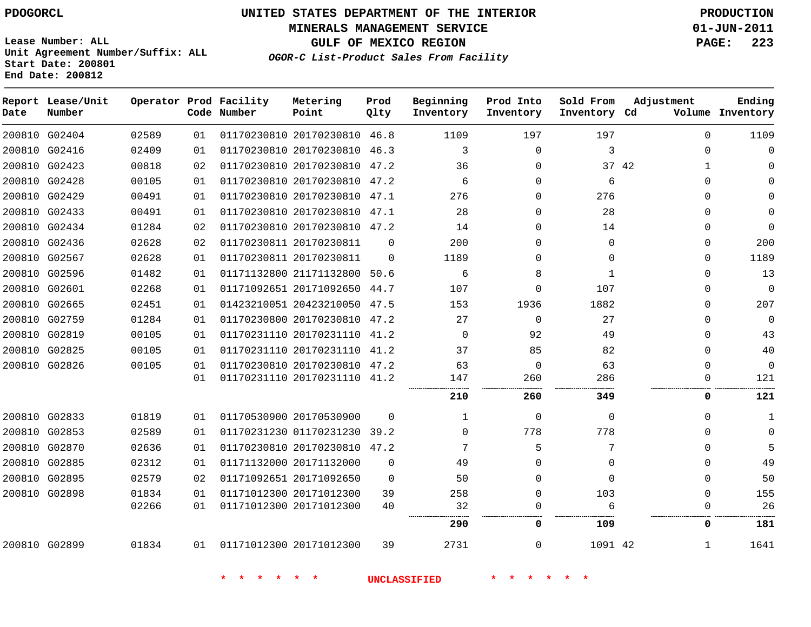**MINERALS MANAGEMENT SERVICE 01-JUN-2011**

**GULF OF MEXICO REGION PAGE: 223**

**Lease Number: ALL Unit Agreement Number/Suffix: ALL Start Date: 200801 End Date: 200812**

**OGOR-C List-Product Sales From Facility**

| Date | Report Lease/Unit<br>Number |       |    | Operator Prod Facility<br>Code Number | Metering<br>Point            | Prod<br>Qlty | Beginning<br>Inventory | Prod Into<br>Inventory | Sold From<br>Inventory Cd | Adjustment   | Ending<br>Volume Inventory |
|------|-----------------------------|-------|----|---------------------------------------|------------------------------|--------------|------------------------|------------------------|---------------------------|--------------|----------------------------|
|      | 200810 G02404               | 02589 | 01 |                                       | 01170230810 20170230810 46.8 |              | 1109                   | 197                    | 197                       | $\Omega$     | 1109                       |
|      | 200810 G02416               | 02409 | 01 |                                       | 01170230810 20170230810 46.3 |              | 3                      | $\Omega$               | 3                         | $\Omega$     |                            |
|      | 200810 G02423               | 00818 | 02 |                                       | 01170230810 20170230810 47.2 |              | 36                     | $\Omega$               | 37 42                     | $\mathbf{1}$ |                            |
|      | 200810 G02428               | 00105 | 01 |                                       | 01170230810 20170230810      | 47.2         | 6                      | $\Omega$               | 6                         | ∩            |                            |
|      | 200810 G02429               | 00491 | 01 |                                       | 01170230810 20170230810 47.1 |              | 276                    | $\Omega$               | 276                       |              |                            |
|      | 200810 G02433               | 00491 | 01 |                                       | 01170230810 20170230810 47.1 |              | 28                     | $\Omega$               | 28                        |              |                            |
|      | 200810 G02434               | 01284 | 02 |                                       | 01170230810 20170230810 47.2 |              | 14                     | $\Omega$               | 14                        | <sup>n</sup> | $\Omega$                   |
|      | 200810 G02436               | 02628 | 02 |                                       | 01170230811 20170230811      | $\Omega$     | 200                    | 0                      | $\Omega$                  | $\Omega$     | 200                        |
|      | 200810 G02567               | 02628 | 01 |                                       | 01170230811 20170230811      | $\Omega$     | 1189                   | 0                      | $\Omega$                  | $\Omega$     | 1189                       |
|      | 200810 G02596               | 01482 | 01 |                                       | 01171132800 21171132800 50.6 |              | 6                      | 8                      | $\mathbf{1}$              | ∩            | 13                         |
|      | 200810 G02601               | 02268 | 01 |                                       | 01171092651 20171092650 44.7 |              | 107                    | $\Omega$               | 107                       | n            | $\mathbf 0$                |
|      | 200810 G02665               | 02451 | 01 |                                       | 01423210051 20423210050      | 47.5         | 153                    | 1936                   | 1882                      | ∩            | 207                        |
|      | 200810 G02759               | 01284 | 01 |                                       | 01170230800 20170230810 47.2 |              | 27                     | $\mathbf 0$            | 27                        | ∩            | 0                          |
|      | 200810 G02819               | 00105 | 01 |                                       | 01170231110 20170231110 41.2 |              | $\Omega$               | 92                     | 49                        | ∩            | 43                         |
|      | 200810 G02825               | 00105 | 01 |                                       | 01170231110 20170231110 41.2 |              | 37                     | 85                     | 82                        | $\Omega$     | 40                         |
|      | 200810 G02826               | 00105 | 01 |                                       | 01170230810 20170230810 47.2 |              | 63                     | $\mathbf 0$            | 63                        | $\Omega$     | $\mathbf 0$                |
|      |                             |       | 01 |                                       | 01170231110 20170231110 41.2 |              | 147                    | 260                    | 286                       | 0            | 121                        |
|      |                             |       |    |                                       |                              |              | 210                    | 260                    | 349                       | 0            | 121                        |
|      | 200810 G02833               | 01819 | 01 |                                       | 01170530900 20170530900      | $\Omega$     | $\mathbf 1$            | 0                      | $\Omega$                  | 0            | 1                          |
|      | 200810 G02853               | 02589 | 01 |                                       | 01170231230 01170231230 39.2 |              | 0                      | 778                    | 778                       |              |                            |
|      | 200810 G02870               | 02636 | 01 |                                       | 01170230810 20170230810 47.2 |              | 7                      | 5                      | 7                         | <sup>n</sup> |                            |
|      | 200810 G02885               | 02312 | 01 |                                       | 01171132000 20171132000      | $\Omega$     | 49                     | 0                      | $\Omega$                  | 0            | 49                         |
|      | 200810 G02895               | 02579 | 02 |                                       | 01171092651 20171092650      | $\Omega$     | 50                     | $\Omega$               | $\Omega$                  | $\Omega$     | 50                         |
|      | 200810 G02898               | 01834 | 01 |                                       | 01171012300 20171012300      | 39           | 258                    | 0                      | 103                       | $\Omega$     | 155                        |
|      |                             | 02266 | 01 |                                       | 01171012300 20171012300      | 40           | 32                     | 0                      | 6                         | 0            | 26                         |
|      |                             |       |    |                                       |                              |              | 290                    | 0                      | 109                       | 0            | 181                        |
|      | 200810 G02899               | 01834 | 01 | 01171012300 20171012300               |                              | 39           | 2731                   | 0                      | 1091 42                   | 1            | 1641                       |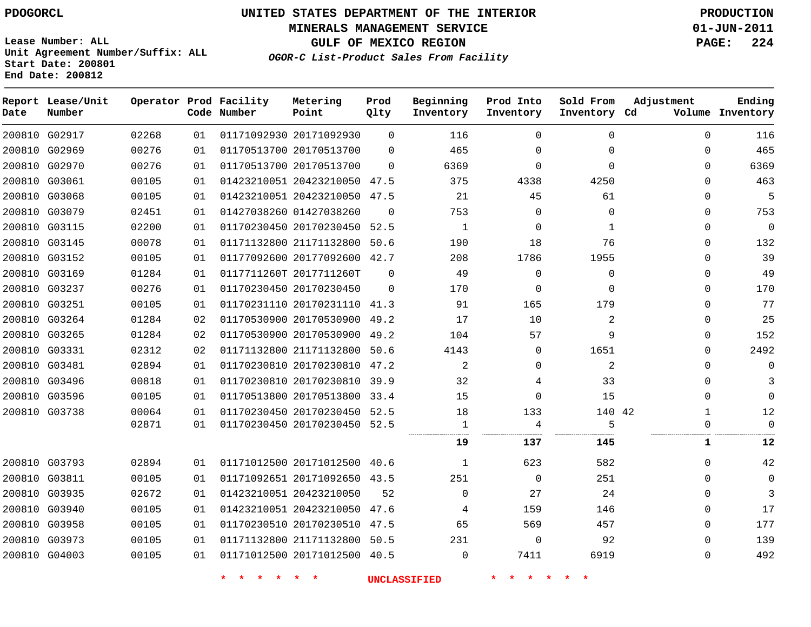**MINERALS MANAGEMENT SERVICE 01-JUN-2011**

**GULF OF MEXICO REGION PAGE: 224**

**Lease Number: ALL Unit Agreement Number/Suffix: ALL Start Date: 200801 End Date: 200812**

**OGOR-C List-Product Sales From Facility**

| Date | Report Lease/Unit<br>Number |       |    | Operator Prod Facility<br>Code Number | Metering<br>Point            | Prod<br>Qlty | Beginning<br>Inventory | Prod Into<br>Inventory | Sold From<br>Inventory Cd | Adjustment   | Ending<br>Volume Inventory |
|------|-----------------------------|-------|----|---------------------------------------|------------------------------|--------------|------------------------|------------------------|---------------------------|--------------|----------------------------|
|      | 200810 G02917               | 02268 | 01 |                                       | 01171092930 20171092930      | $\Omega$     | 116                    | $\Omega$               | 0                         | $\Omega$     | 116                        |
|      | 200810 G02969               | 00276 | 01 |                                       | 01170513700 20170513700      | $\Omega$     | 465                    | 0                      | $\Omega$                  | $\Omega$     | 465                        |
|      | 200810 G02970               | 00276 | 01 |                                       | 01170513700 20170513700      | $\Omega$     | 6369                   | $\Omega$               | $\Omega$                  | $\Omega$     | 6369                       |
|      | 200810 G03061               | 00105 | 01 |                                       | 01423210051 20423210050 47.5 |              | 375                    | 4338                   | 4250                      | $\mathbf 0$  | 463                        |
|      | 200810 G03068               | 00105 | 01 |                                       | 01423210051 20423210050      | 47.5         | 21                     | 45                     | 61                        | $\mathbf 0$  | 5                          |
|      | 200810 G03079               | 02451 | 01 |                                       | 01427038260 01427038260      | $\Omega$     | 753                    | $\mathbf 0$            | $\mathbf 0$               | $\mathbf 0$  | 753                        |
|      | 200810 G03115               | 02200 | 01 |                                       | 01170230450 20170230450      | 52.5         | $\mathbf{1}$           | $\mathbf 0$            | $\mathbf{1}$              | $\mathbf 0$  | $\mathbf 0$                |
|      | 200810 G03145               | 00078 | 01 |                                       | 01171132800 21171132800 50.6 |              | 190                    | 18                     | 76                        | $\mathbf 0$  | 132                        |
|      | 200810 G03152               | 00105 | 01 |                                       | 01177092600 20177092600      | 42.7         | 208                    | 1786                   | 1955                      | $\mathbf 0$  | 39                         |
|      | 200810 G03169               | 01284 | 01 |                                       | 0117711260T 2017711260T      | $\mathbf 0$  | 49                     | $\mathbf 0$            | $\mathbf 0$               | $\mathbf 0$  | 49                         |
|      | 200810 G03237               | 00276 | 01 |                                       | 01170230450 20170230450      | $\Omega$     | 170                    | $\mathbf 0$            | $\Omega$                  | $\Omega$     | 170                        |
|      | 200810 G03251               | 00105 | 01 |                                       | 01170231110 20170231110 41.3 |              | 91                     | 165                    | 179                       | $\mathbf 0$  | 77                         |
|      | 200810 G03264               | 01284 | 02 |                                       | 01170530900 20170530900 49.2 |              | 17                     | 10                     | 2                         | $\mathbf 0$  | 25                         |
|      | 200810 G03265               | 01284 | 02 |                                       | 01170530900 20170530900      | 49.2         | 104                    | 57                     | 9                         | $\mathbf 0$  | 152                        |
|      | 200810 G03331               | 02312 | 02 |                                       | 01171132800 21171132800 50.6 |              | 4143                   | 0                      | 1651                      | $\Omega$     | 2492                       |
|      | 200810 G03481               | 02894 | 01 |                                       | 01170230810 20170230810      | 47.2         | 2                      | 0                      | 2                         | $\Omega$     | $\Omega$                   |
|      | 200810 G03496               | 00818 | 01 |                                       | 01170230810 20170230810 39.9 |              | 32                     | 4                      | 33                        | 0            | 3                          |
|      | 200810 G03596               | 00105 | 01 |                                       | 01170513800 20170513800 33.4 |              | 15                     | $\Omega$               | 15                        | $\Omega$     | $\Omega$                   |
|      | 200810 G03738               | 00064 | 01 |                                       | 01170230450 20170230450 52.5 |              | 18                     | 133                    | 140 42                    | $\mathbf{1}$ | 12                         |
|      |                             | 02871 | 01 |                                       | 01170230450 20170230450 52.5 |              | 1                      | $\overline{4}$         | 5                         | $\mathbf 0$  | $\Omega$                   |
|      |                             |       |    |                                       |                              |              | 19                     | 137                    | 145                       | 1            | 12                         |
|      | 200810 G03793               | 02894 | 01 |                                       | 01171012500 20171012500      | 40.6         | 1                      | 623                    | 582                       | $\mathbf 0$  | 42                         |
|      | 200810 G03811               | 00105 | 01 |                                       | 01171092651 20171092650 43.5 |              | 251                    | $\mathbf 0$            | 251                       | $\Omega$     | $\mathbf 0$                |
|      | 200810 G03935               | 02672 | 01 |                                       | 01423210051 20423210050      | 52           | $\mathbf 0$            | 27                     | 24                        | $\mathbf 0$  | 3                          |
|      | 200810 G03940               | 00105 | 01 |                                       | 01423210051 20423210050 47.6 |              | 4                      | 159                    | 146                       | $\mathbf 0$  | 17                         |
|      | 200810 G03958               | 00105 | 01 |                                       | 01170230510 20170230510      | 47.5         | 65                     | 569                    | 457                       | $\mathbf 0$  | 177                        |
|      | 200810 G03973               | 00105 | 01 |                                       | 01171132800 21171132800 50.5 |              | 231                    | $\mathbf 0$            | 92                        | $\Omega$     | 139                        |
|      | 200810 G04003               | 00105 | 01 |                                       | 01171012500 20171012500 40.5 |              | $\Omega$               | 7411                   | 6919                      | $\Omega$     | 492                        |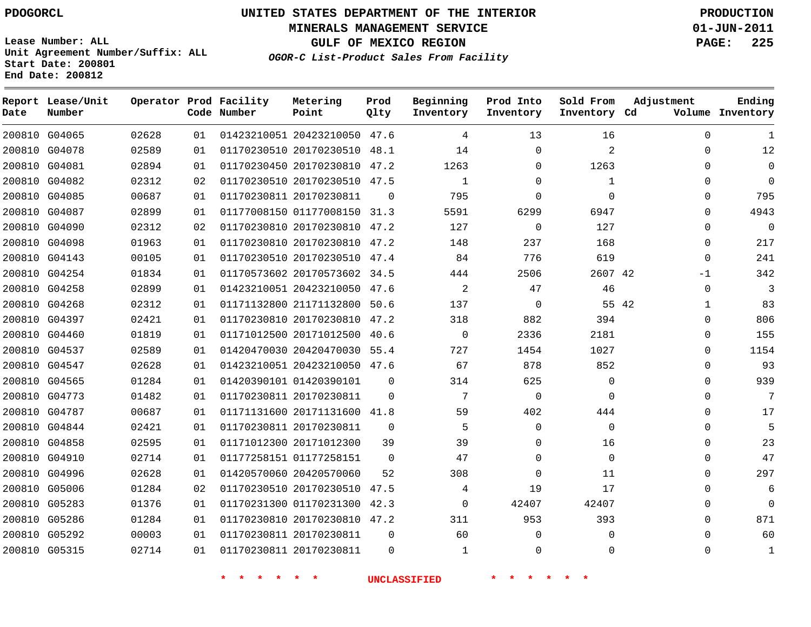**MINERALS MANAGEMENT SERVICE 01-JUN-2011**

**GULF OF MEXICO REGION PAGE: 225**

**Lease Number: ALL Unit Agreement Number/Suffix: ALL Start Date: 200801 End Date: 200812**

**OGOR-C List-Product Sales From Facility**

| Date | Report Lease/Unit<br>Number |       |    | Operator Prod Facility<br>Code Number | Metering<br>Point            | Prod<br>Qlty | Beginning<br>Inventory | Prod Into<br>Inventory | Sold From<br>Inventory Cd | Adjustment | Ending<br>Volume Inventory |
|------|-----------------------------|-------|----|---------------------------------------|------------------------------|--------------|------------------------|------------------------|---------------------------|------------|----------------------------|
|      | 200810 G04065               | 02628 | 01 |                                       | 01423210051 20423210050 47.6 |              | 4                      | 13                     | 16                        | $\Omega$   | 1                          |
|      | 200810 G04078               | 02589 | 01 |                                       | 01170230510 20170230510 48.1 |              | 14                     | $\Omega$               | 2                         | $\Omega$   | 12                         |
|      | 200810 G04081               | 02894 | 01 |                                       | 01170230450 20170230810 47.2 |              | 1263                   | $\Omega$               | 1263                      | $\Omega$   | $\Omega$                   |
|      | 200810 G04082               | 02312 | 02 |                                       | 01170230510 20170230510 47.5 |              | 1                      | 0                      | 1                         | 0          | $\mathbf 0$                |
|      | 200810 G04085               | 00687 | 01 |                                       | 01170230811 20170230811      | 0            | 795                    | $\Omega$               | $\Omega$                  | $\Omega$   | 795                        |
|      | 200810 G04087               | 02899 | 01 |                                       | 01177008150 01177008150 31.3 |              | 5591                   | 6299                   | 6947                      | $\Omega$   | 4943                       |
|      | 200810 G04090               | 02312 | 02 |                                       | 01170230810 20170230810 47.2 |              | 127                    | $\Omega$               | 127                       | $\Omega$   | $\Omega$                   |
|      | 200810 G04098               | 01963 | 01 |                                       | 01170230810 20170230810 47.2 |              | 148                    | 237                    | 168                       | $\Omega$   | 217                        |
|      | 200810 G04143               | 00105 | 01 |                                       | 01170230510 20170230510 47.4 |              | 84                     | 776                    | 619                       | $\Omega$   | 241                        |
|      | 200810 G04254               | 01834 | 01 |                                       | 01170573602 20170573602 34.5 |              | 444                    | 2506                   | 2607 42                   | -1         | 342                        |
|      | 200810 G04258               | 02899 | 01 |                                       | 01423210051 20423210050 47.6 |              | 2                      | 47                     | 46                        | $\Omega$   | 3                          |
|      | 200810 G04268               | 02312 | 01 |                                       | 01171132800 21171132800 50.6 |              | 137                    | $\mathbf 0$            |                           | 55 42<br>1 | 83                         |
|      | 200810 G04397               | 02421 | 01 |                                       | 01170230810 20170230810 47.2 |              | 318                    | 882                    | 394                       | $\Omega$   | 806                        |
|      | 200810 G04460               | 01819 | 01 |                                       | 01171012500 20171012500 40.6 |              | $\mathbf 0$            | 2336                   | 2181                      | 0          | 155                        |
|      | 200810 G04537               | 02589 | 01 |                                       | 01420470030 20420470030 55.4 |              | 727                    | 1454                   | 1027                      | 0          | 1154                       |
|      | 200810 G04547               | 02628 | 01 |                                       | 01423210051 20423210050 47.6 |              | 67                     | 878                    | 852                       | 0          | 93                         |
|      | 200810 G04565               | 01284 | 01 |                                       | 01420390101 01420390101      | $\Omega$     | 314                    | 625                    | $\Omega$                  | $\Omega$   | 939                        |
|      | 200810 G04773               | 01482 | 01 |                                       | 01170230811 20170230811      | $\Omega$     | 7                      | $\Omega$               | $\Omega$                  | $\Omega$   | 7                          |
|      | 200810 G04787               | 00687 | 01 |                                       | 01171131600 20171131600 41.8 |              | 59                     | 402                    | 444                       | 0          | 17                         |
|      | 200810 G04844               | 02421 | 01 |                                       | 01170230811 20170230811      | $\mathbf 0$  | 5                      | 0                      | $\mathbf 0$               | 0          | 5                          |
|      | 200810 G04858               | 02595 | 01 |                                       | 01171012300 20171012300      | 39           | 39                     | $\Omega$               | 16                        | $\Omega$   | 23                         |
|      | 200810 G04910               | 02714 | 01 |                                       | 01177258151 01177258151      | $\Omega$     | 47                     | $\Omega$               | $\Omega$                  | $\Omega$   | 47                         |
|      | 200810 G04996               | 02628 | 01 |                                       | 01420570060 20420570060      | 52           | 308                    | $\Omega$               | 11                        | $\Omega$   | 297                        |
|      | 200810 G05006               | 01284 | 02 |                                       | 01170230510 20170230510      | 47.5         | 4                      | 19                     | 17                        | 0          | 6                          |
|      | 200810 G05283               | 01376 | 01 |                                       | 01170231300 01170231300 42.3 |              | $\Omega$               | 42407                  | 42407                     | $\Omega$   | $\mathbf 0$                |
|      | 200810 G05286               | 01284 | 01 |                                       | 01170230810 20170230810 47.2 |              | 311                    | 953                    | 393                       | $\Omega$   | 871                        |
|      | 200810 G05292               | 00003 | 01 |                                       | 01170230811 20170230811      | $\Omega$     | 60                     | $\Omega$               | $\Omega$                  | $\Omega$   | 60                         |
|      | 200810 G05315               | 02714 | 01 |                                       | 01170230811 20170230811      | $\Omega$     | $\mathbf{1}$           | $\Omega$               | $\Omega$                  | $\Omega$   | $\mathbf{1}$               |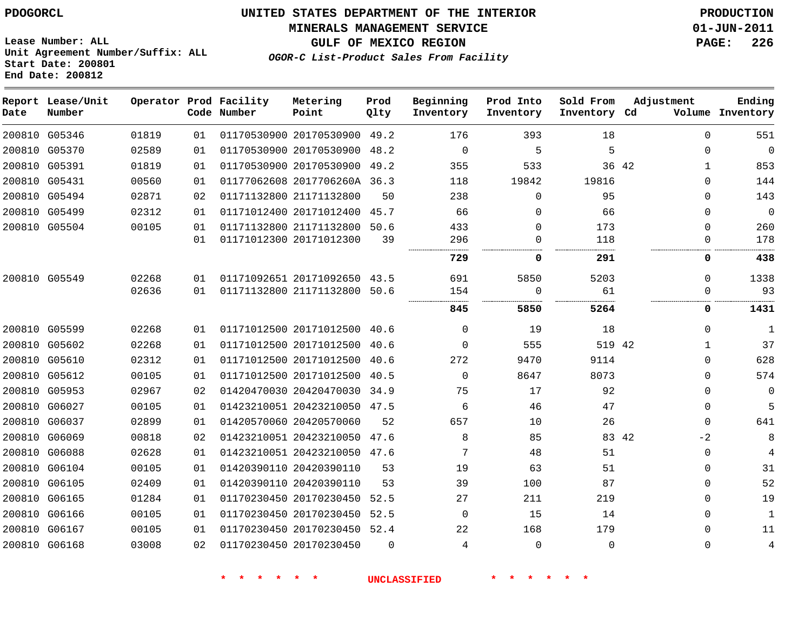#### **MINERALS MANAGEMENT SERVICE 01-JUN-2011**

**GULF OF MEXICO REGION PAGE: 226**

**Lease Number: ALL Unit Agreement Number/Suffix: ALL Start Date: 200801 End Date: 200812**

**OGOR-C List-Product Sales From Facility**

| Date | Report Lease/Unit<br>Number |       |    | Operator Prod Facility<br>Code Number | Metering<br>Point            | Prod<br>Qlty | Beginning<br>Inventory | Prod Into<br>Inventory | Sold From<br>Inventory Cd | Adjustment            | Ending<br>Volume Inventory |
|------|-----------------------------|-------|----|---------------------------------------|------------------------------|--------------|------------------------|------------------------|---------------------------|-----------------------|----------------------------|
|      | 200810 G05346               | 01819 | 01 |                                       | 01170530900 20170530900 49.2 |              | 176                    | 393                    | 18                        | $\Omega$              | 551                        |
|      | 200810 G05370               | 02589 | 01 |                                       | 01170530900 20170530900      | 48.2         | $\mathbf 0$            | 5                      | 5                         | $\Omega$              | $\mathbf 0$                |
|      | 200810 G05391               | 01819 | 01 |                                       | 01170530900 20170530900 49.2 |              | 355                    | 533                    |                           | 36 42<br>$\mathbf{1}$ | 853                        |
|      | 200810 G05431               | 00560 | 01 |                                       | 01177062608 2017706260A 36.3 |              | 118                    | 19842                  | 19816                     | $\Omega$              | 144                        |
|      | 200810 G05494               | 02871 | 02 |                                       | 01171132800 21171132800      | 50           | 238                    | $\mathbf 0$            | 95                        | $\Omega$              | 143                        |
|      | 200810 G05499               | 02312 | 01 |                                       | 01171012400 20171012400      | 45.7         | 66                     | 0                      | 66                        | $\Omega$              | $\overline{0}$             |
|      | 200810 G05504               | 00105 | 01 |                                       | 01171132800 21171132800 50.6 |              | 433                    | 0                      | 173                       | $\Omega$              | 260                        |
|      |                             |       | 01 |                                       | 01171012300 20171012300      | 39           | 296                    | 0                      | 118                       | $\Omega$              | 178                        |
|      |                             |       |    |                                       |                              |              | 729                    | 0                      | 291                       | 0                     | 438                        |
|      | 200810 G05549               | 02268 | 01 |                                       | 01171092651 20171092650 43.5 |              | 691                    | 5850                   | 5203                      | $\mathbf 0$           | 1338                       |
|      |                             | 02636 | 01 |                                       | 01171132800 21171132800 50.6 |              | 154                    | 0                      | 61                        | 0                     | 93                         |
|      |                             |       |    |                                       |                              |              | 845                    | 5850                   | 5264                      | 0                     | 1431                       |
|      | 200810 G05599               | 02268 | 01 |                                       | 01171012500 20171012500 40.6 |              | 0                      | 19                     | 18                        | $\Omega$              | $\mathbf 1$                |
|      | 200810 G05602               | 02268 | 01 |                                       | 01171012500 20171012500      | 40.6         | $\Omega$               | 555                    | 519 42                    | $\mathbf{1}$          | 37                         |
|      | 200810 G05610               | 02312 | 01 |                                       | 01171012500 20171012500 40.6 |              | 272                    | 9470                   | 9114                      | $\Omega$              | 628                        |
|      | 200810 G05612               | 00105 | 01 |                                       | 01171012500 20171012500      | 40.5         | $\Omega$               | 8647                   | 8073                      | $\Omega$              | 574                        |
|      | 200810 G05953               | 02967 | 02 |                                       | 01420470030 20420470030 34.9 |              | 75                     | 17                     | 92                        | $\Omega$              | 0                          |
|      | 200810 G06027               | 00105 | 01 |                                       | 01423210051 20423210050 47.5 |              | 6                      | 46                     | 47                        | 0                     | 5                          |
|      | 200810 G06037               | 02899 | 01 |                                       | 01420570060 20420570060      | 52           | 657                    | 10                     | 26                        | $\Omega$              | 641                        |
|      | 200810 G06069               | 00818 | 02 |                                       | 01423210051 20423210050      | 47.6         | 8                      | 85                     | 83 42                     | $-2$                  | 8                          |
|      | 200810 G06088               | 02628 | 01 |                                       | 01423210051 20423210050 47.6 |              | 7                      | 48                     | 51                        | $\Omega$              | 4                          |
|      | 200810 G06104               | 00105 | 01 |                                       | 01420390110 20420390110      | 53           | 19                     | 63                     | 51                        | 0                     | 31                         |
|      | 200810 G06105               | 02409 | 01 |                                       | 01420390110 20420390110      | 53           | 39                     | 100                    | 87                        | $\Omega$              | 52                         |
|      | 200810 G06165               | 01284 | 01 |                                       | 01170230450 20170230450      | 52.5         | 27                     | 211                    | 219                       | $\Omega$              | 19                         |
|      | 200810 G06166               | 00105 | 01 |                                       | 01170230450 20170230450      | 52.5         | $\Omega$               | 15                     | 14                        | 0                     | $\mathbf{1}$               |
|      | 200810 G06167               | 00105 | 01 |                                       | 01170230450 20170230450 52.4 |              | 22                     | 168                    | 179                       | $\Omega$              | 11                         |
|      | 200810 G06168               | 03008 | 02 |                                       | 01170230450 20170230450      | $\Omega$     | 4                      | $\mathbf{0}$           | $\Omega$                  | $\Omega$              | $\overline{4}$             |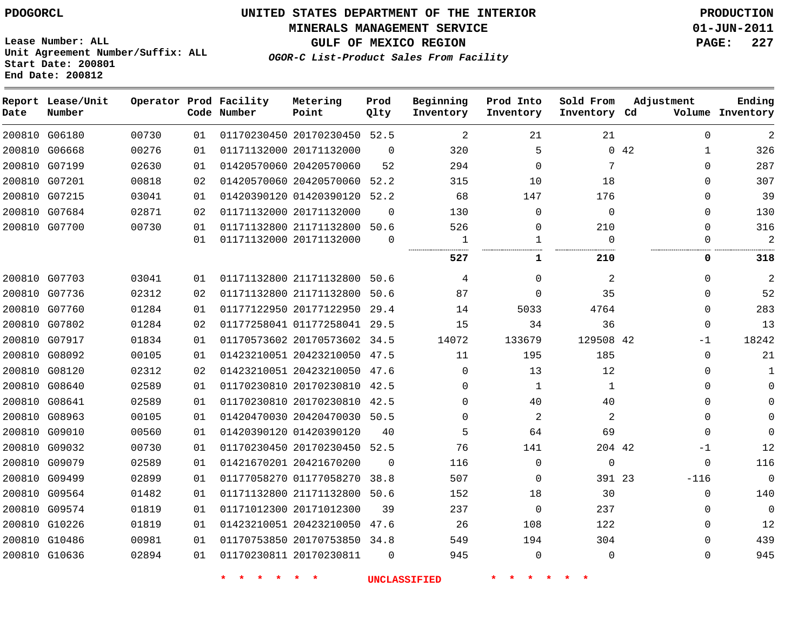#### **MINERALS MANAGEMENT SERVICE 01-JUN-2011**

**GULF OF MEXICO REGION PAGE: 227**

**Lease Number: ALL Unit Agreement Number/Suffix: ALL Start Date: 200801 End Date: 200812**

**OGOR-C List-Product Sales From Facility**

| Date | Report Lease/Unit<br>Number |       |    | Operator Prod Facility<br>Code Number | Metering<br>Point            | Prod<br>Qlty | Beginning<br>Inventory | Prod Into<br>Inventory | Sold From<br>Inventory Cd | Adjustment           | Ending<br>Volume Inventory |
|------|-----------------------------|-------|----|---------------------------------------|------------------------------|--------------|------------------------|------------------------|---------------------------|----------------------|----------------------------|
|      | 200810 G06180               | 00730 | 01 |                                       | 01170230450 20170230450 52.5 |              | 2                      | 21                     | 21                        | $\Omega$             | 2                          |
|      | 200810 G06668               | 00276 | 01 |                                       | 01171132000 20171132000      | $\Omega$     | 320                    | 5                      |                           | 0.42<br>$\mathbf{1}$ | 326                        |
|      | 200810 G07199               | 02630 | 01 |                                       | 01420570060 20420570060      | 52           | 294                    | $\mathbf 0$            | 7                         | $\Omega$             | 287                        |
|      | 200810 G07201               | 00818 | 02 |                                       | 01420570060 20420570060      | 52.2         | 315                    | 10                     | 18                        | $\Omega$             | 307                        |
|      | 200810 G07215               | 03041 | 01 |                                       | 01420390120 01420390120 52.2 |              | 68                     | 147                    | 176                       | $\Omega$             | 39                         |
|      | 200810 G07684               | 02871 | 02 |                                       | 01171132000 20171132000      | $\Omega$     | 130                    | $\Omega$               | $\Omega$                  | $\Omega$             | 130                        |
|      | 200810 G07700               | 00730 | 01 |                                       | 01171132800 21171132800      | 50.6         | 526                    | 0                      | 210                       | $\Omega$             | 316                        |
|      |                             |       | 01 |                                       | 01171132000 20171132000      | $\Omega$     | 1                      | $\mathbf{1}$           | $\Omega$                  | $\Omega$             | $\overline{2}$             |
|      |                             |       |    |                                       |                              |              | 527                    | 1                      | 210                       | 0                    | 318                        |
|      | 200810 G07703               | 03041 | 01 |                                       | 01171132800 21171132800 50.6 |              | 4                      | $\Omega$               | 2                         | $\Omega$             | $\overline{2}$             |
|      | 200810 G07736               | 02312 | 02 |                                       | 01171132800 21171132800      | 50.6         | 87                     | $\Omega$               | 35                        | $\Omega$             | 52                         |
|      | 200810 G07760               | 01284 | 01 |                                       | 01177122950 20177122950 29.4 |              | 14                     | 5033                   | 4764                      | $\Omega$             | 283                        |
|      | 200810 G07802               | 01284 | 02 |                                       | 01177258041 01177258041 29.5 |              | 15                     | 34                     | 36                        | $\Omega$             | 13                         |
|      | 200810 G07917               | 01834 | 01 |                                       | 01170573602 20170573602 34.5 |              | 14072                  | 133679                 | 129508 42                 | -1                   | 18242                      |
|      | 200810 G08092               | 00105 | 01 |                                       | 01423210051 20423210050 47.5 |              | 11                     | 195                    | 185                       | $\Omega$             | 21                         |
|      | 200810 G08120               | 02312 | 02 |                                       | 01423210051 20423210050      | 47.6         | 0                      | 13                     | 12                        | <sup>n</sup>         | 1                          |
|      | 200810 G08640               | 02589 | 01 |                                       | 01170230810 20170230810 42.5 |              | $\Omega$               | 1                      | $\mathbf 1$               | <sup>n</sup>         | 0                          |
|      | 200810 G08641               | 02589 | 01 |                                       | 01170230810 20170230810 42.5 |              | $\Omega$               | 40                     | 40                        | $\Omega$             |                            |
|      | 200810 G08963               | 00105 | 01 |                                       | 01420470030 20420470030 50.5 |              | $\Omega$               | $\overline{a}$         | 2                         | $\Omega$             | $\Omega$                   |
|      | 200810 G09010               | 00560 | 01 |                                       | 01420390120 01420390120      | 40           | 5                      | 64                     | 69                        | $\Omega$             | U                          |
|      | 200810 G09032               | 00730 | 01 |                                       | 01170230450 20170230450 52.5 |              | 76                     | 141                    | 204 42                    | -1                   | 12                         |
|      | 200810 G09079               | 02589 | 01 |                                       | 01421670201 20421670200      | $\Omega$     | 116                    | 0                      | $\mathbf{0}$              | $\mathbf 0$          | 116                        |
|      | 200810 G09499               | 02899 | 01 |                                       | 01177058270 01177058270      | 38.8         | 507                    | 0                      | 391 23                    | $-116$               | $\overline{0}$             |
|      | 200810 G09564               | 01482 | 01 |                                       | 01171132800 21171132800      | 50.6         | 152                    | 18                     | 30                        | $\Omega$             | 140                        |
|      | 200810 G09574               | 01819 | 01 |                                       | 01171012300 20171012300      | 39           | 237                    | 0                      | 237                       | $\Omega$             | $\mathbf 0$                |
|      | 200810 G10226               | 01819 | 01 |                                       | 01423210051 20423210050      | 47.6         | 26                     | 108                    | 122                       | $\Omega$             | 12                         |
|      | 200810 G10486               | 00981 | 01 |                                       | 01170753850 20170753850 34.8 |              | 549                    | 194                    | 304                       | $\Omega$             | 439                        |
|      | 200810 G10636               | 02894 | 01 |                                       | 01170230811 20170230811      | $\Omega$     | 945                    | 0                      | $\Omega$                  | $\Omega$             | 945                        |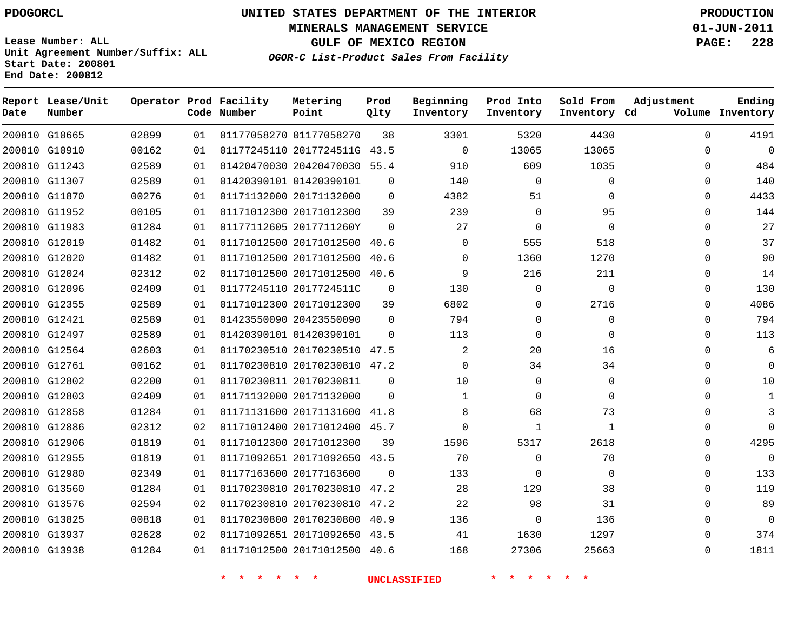**Lease Number: ALL**

G13938

# **UNITED STATES DEPARTMENT OF THE INTERIOR PDOGORCL PRODUCTION**

**MINERALS MANAGEMENT SERVICE 01-JUN-2011**

**GULF OF MEXICO REGION PAGE: 228 OGOR-C List-Product Sales From Facility**

**Unit Agreement Number/Suffix: ALL Start Date: 200801 End Date: 200812**

| Date | Report Lease/Unit<br>Number |       |    | Operator Prod Facility<br>Code Number | Metering<br>Point            | Prod<br>Qlty | Beginning<br>Inventory | Prod Into<br>Inventory | Sold From<br>Inventory Cd | Adjustment | Ending<br>Volume Inventory |
|------|-----------------------------|-------|----|---------------------------------------|------------------------------|--------------|------------------------|------------------------|---------------------------|------------|----------------------------|
|      | 200810 G10665               | 02899 | 01 |                                       | 01177058270 01177058270      | 38           | 3301                   | 5320                   | 4430                      | $\Omega$   | 4191                       |
|      | 200810 G10910               | 00162 | 01 |                                       | 01177245110 2017724511G 43.5 |              | $\mathbf 0$            | 13065                  | 13065                     | 0          | 0                          |
|      | 200810 G11243               | 02589 | 01 |                                       | 01420470030 20420470030 55.4 |              | 910                    | 609                    | 1035                      | $\Omega$   | 484                        |
|      | 200810 G11307               | 02589 | 01 |                                       | 01420390101 01420390101      | $\Omega$     | 140                    | $\Omega$               | 0                         | $\Omega$   | 140                        |
|      | 200810 G11870               | 00276 | 01 |                                       | 01171132000 20171132000      | $\Omega$     | 4382                   | 51                     | $\Omega$                  | $\Omega$   | 4433                       |
|      | 200810 G11952               | 00105 | 01 |                                       | 01171012300 20171012300      | 39           | 239                    | $\mathbf 0$            | 95                        | 0          | 144                        |
|      | 200810 G11983               | 01284 | 01 |                                       | 01177112605 2017711260Y      | $\Omega$     | 27                     | $\Omega$               | $\Omega$                  | $\Omega$   | 27                         |
|      | 200810 G12019               | 01482 | 01 |                                       | 01171012500 20171012500 40.6 |              | $\Omega$               | 555                    | 518                       | $\Omega$   | 37                         |
|      | 200810 G12020               | 01482 | 01 |                                       | 01171012500 20171012500 40.6 |              | $\Omega$               | 1360                   | 1270                      | $\Omega$   | 90                         |
|      | 200810 G12024               | 02312 | 02 |                                       | 01171012500 20171012500 40.6 |              | 9                      | 216                    | 211                       | 0          | 14                         |
|      | 200810 G12096               | 02409 | 01 |                                       | 01177245110 2017724511C      | 0            | 130                    | 0                      | 0                         | 0          | 130                        |
|      | 200810 G12355               | 02589 | 01 |                                       | 01171012300 20171012300      | 39           | 6802                   | $\Omega$               | 2716                      | $\Omega$   | 4086                       |
|      | 200810 G12421               | 02589 | 01 |                                       | 01423550090 20423550090      | $\Omega$     | 794                    | 0                      | 0                         | $\Omega$   | 794                        |
|      | 200810 G12497               | 02589 | 01 |                                       | 01420390101 01420390101      | $\Omega$     | 113                    | 0                      | 0                         | 0          | 113                        |
|      | 200810 G12564               | 02603 | 01 |                                       | 01170230510 20170230510 47.5 |              | 2                      | 20                     | 16                        | $\Omega$   | 6                          |
|      | 200810 G12761               | 00162 | 01 |                                       | 01170230810 20170230810 47.2 |              | $\Omega$               | 34                     | 34                        | $\Omega$   | $\Omega$                   |
|      | 200810 G12802               | 02200 | 01 |                                       | 01170230811 20170230811      | $\Omega$     | 10                     | 0                      | 0                         | $\Omega$   | 10                         |
|      | 200810 G12803               | 02409 | 01 |                                       | 01171132000 20171132000      | $\Omega$     | 1                      | 0                      | 0                         | $\Omega$   | 1                          |
|      | 200810 G12858               | 01284 | 01 |                                       | 01171131600 20171131600 41.8 |              | 8                      | 68                     | 73                        | $\Omega$   | 3                          |
|      | 200810 G12886               | 02312 | 02 |                                       | 01171012400 20171012400 45.7 |              | $\Omega$               | 1                      | $\mathbf{1}$              | $\Omega$   | $\Omega$                   |
|      | 200810 G12906               | 01819 | 01 |                                       | 01171012300 20171012300      | 39           | 1596                   | 5317                   | 2618                      | $\Omega$   | 4295                       |
|      | 200810 G12955               | 01819 | 01 |                                       | 01171092651 20171092650      | 43.5         | 70                     | 0                      | 70                        | 0          | 0                          |
|      | 200810 G12980               | 02349 | 01 |                                       | 01177163600 20177163600      | $\Omega$     | 133                    | 0                      | 0                         | 0          | 133                        |
|      | 200810 G13560               | 01284 | 01 |                                       | 01170230810 20170230810      | 47.2         | 28                     | 129                    | 38                        | $\Omega$   | 119                        |
|      | 200810 G13576               | 02594 | 02 |                                       | 01170230810 20170230810 47.2 |              | 22                     | 98                     | 31                        | $\Omega$   | 89                         |
|      | 200810 G13825               | 00818 | 01 |                                       | 01170230800 20170230800 40.9 |              | 136                    | 0                      | 136                       | $\Omega$   | 0                          |
|      | 200810 G13937               | 02628 | 02 |                                       | 01171092651 20171092650 43.5 |              | 41                     | 1630                   | 1297                      | $\Omega$   | 374                        |
|      | 200810 G13938               | 01284 | 01 |                                       | 01171012500 20171012500 40.6 |              | 168                    | 27306                  | 25663                     | $\Omega$   | 1811                       |

01171012500 20171012500 40.6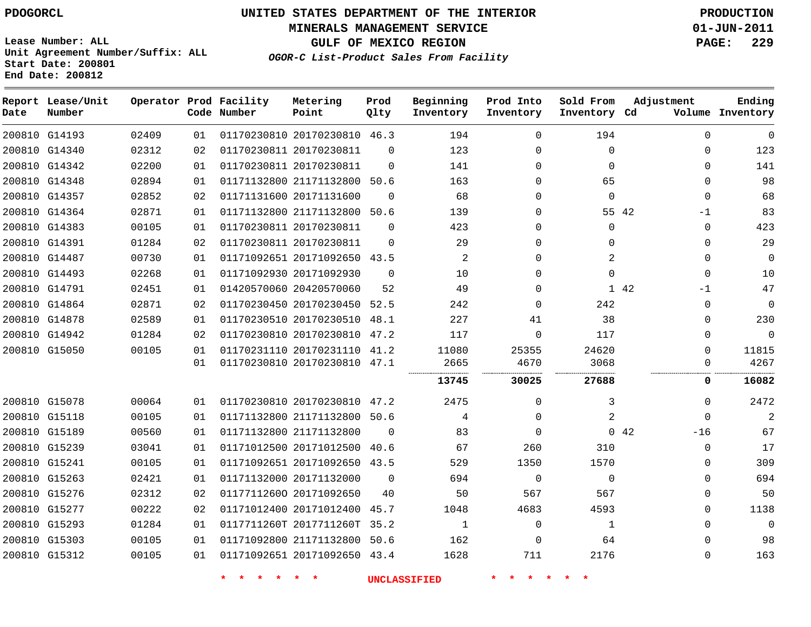**MINERALS MANAGEMENT SERVICE 01-JUN-2011**

**GULF OF MEXICO REGION PAGE: 229**

**Lease Number: ALL Unit Agreement Number/Suffix: ALL Start Date: 200801 End Date: 200812**

**OGOR-C List-Product Sales From Facility**

| Date | Report Lease/Unit<br>Number |       |    | Operator Prod Facility<br>Code Number | Metering<br>Point            | Prod<br>Qlty | Beginning<br>Inventory | Prod Into<br>Inventory | Sold From<br>Inventory Cd | Adjustment    | Ending<br>Volume Inventory |
|------|-----------------------------|-------|----|---------------------------------------|------------------------------|--------------|------------------------|------------------------|---------------------------|---------------|----------------------------|
|      | 200810 G14193               | 02409 | 01 |                                       | 01170230810 20170230810 46.3 |              | 194                    | $\Omega$               | 194                       | $\Omega$      | 0                          |
|      | 200810 G14340               | 02312 | 02 |                                       | 01170230811 20170230811      | $\Omega$     | 123                    | 0                      | 0                         | $\Omega$      | 123                        |
|      | 200810 G14342               | 02200 | 01 |                                       | 01170230811 20170230811      | $\Omega$     | 141                    | $\Omega$               | $\Omega$                  | $\Omega$      | 141                        |
|      | 200810 G14348               | 02894 | 01 |                                       | 01171132800 21171132800      | 50.6         | 163                    | 0                      | 65                        | 0             | 98                         |
|      | 200810 G14357               | 02852 | 02 |                                       | 01171131600 20171131600      | $\Omega$     | 68                     | $\mathbf{0}$           | $\mathbf 0$               | $\Omega$      | 68                         |
|      | 200810 G14364               | 02871 | 01 |                                       | 01171132800 21171132800 50.6 |              | 139                    | $\Omega$               |                           | 55 42<br>-1   | 83                         |
|      | 200810 G14383               | 00105 | 01 |                                       | 01170230811 20170230811      | $\Omega$     | 423                    | 0                      | $\mathbf 0$               | 0             | 423                        |
|      | 200810 G14391               | 01284 | 02 |                                       | 01170230811 20170230811      | $\Omega$     | 29                     | $\mathbf{0}$           | 0                         | $\Omega$      | 29                         |
|      | 200810 G14487               | 00730 | 01 |                                       | 01171092651 20171092650      | 43.5         | 2                      | 0                      | 2                         | $\Omega$      | 0                          |
|      | 200810 G14493               | 02268 | 01 |                                       | 01171092930 20171092930      | $\Omega$     | 10                     | 0                      | $\Omega$                  | $\Omega$      | 10                         |
|      | 200810 G14791               | 02451 | 01 |                                       | 01420570060 20420570060      | 52           | 49                     | $\Omega$               |                           | 1 42<br>$-1$  | 47                         |
|      | 200810 G14864               | 02871 | 02 |                                       | 01170230450 20170230450 52.5 |              | 242                    | $\mathbf{0}$           | 242                       | $\Omega$      | $\mathbf 0$                |
|      | 200810 G14878               | 02589 | 01 |                                       | 01170230510 20170230510      | 48.1         | 227                    | 41                     | 38                        | $\Omega$      | 230                        |
|      | 200810 G14942               | 01284 | 02 |                                       | 01170230810 20170230810 47.2 |              | 117                    | $\Omega$               | 117                       | $\Omega$      | $\Omega$                   |
|      | 200810 G15050               | 00105 | 01 |                                       | 01170231110 20170231110 41.2 |              | 11080                  | 25355                  | 24620                     | $\Omega$      | 11815                      |
|      |                             |       | 01 |                                       | 01170230810 20170230810 47.1 |              | 2665                   | 4670                   | 3068                      | $\Omega$      | 4267                       |
|      |                             |       |    |                                       |                              |              | 13745                  | 30025                  | 27688                     | 0             | 16082                      |
|      | 200810 G15078               | 00064 | 01 |                                       | 01170230810 20170230810 47.2 |              | 2475                   | 0                      | 3                         | $\Omega$      | 2472                       |
|      | 200810 G15118               | 00105 | 01 |                                       | 01171132800 21171132800 50.6 |              | 4                      | 0                      | 2                         | $\mathbf{0}$  | $\overline{2}$             |
|      | 200810 G15189               | 00560 | 01 |                                       | 01171132800 21171132800      | $\Omega$     | 83                     | 0                      |                           | 0.42<br>$-16$ | 67                         |
|      | 200810 G15239               | 03041 | 01 |                                       | 01171012500 20171012500 40.6 |              | 67                     | 260                    | 310                       | $\Omega$      | 17                         |
|      | 200810 G15241               | 00105 | 01 |                                       | 01171092651 20171092650 43.5 |              | 529                    | 1350                   | 1570                      | $\Omega$      | 309                        |
|      | 200810 G15263               | 02421 | 01 |                                       | 01171132000 20171132000      | $\Omega$     | 694                    | 0                      | $\Omega$                  | $\Omega$      | 694                        |
|      | 200810 G15276               | 02312 | 02 |                                       | 01177112600 20171092650      | 40           | 50                     | 567                    | 567                       | $\Omega$      | 50                         |
|      | 200810 G15277               | 00222 | 02 |                                       | 01171012400 20171012400      | 45.7         | 1048                   | 4683                   | 4593                      | 0             | 1138                       |
|      | 200810 G15293               | 01284 | 01 |                                       | 0117711260T 2017711260T      | 35.2         | $\mathbf 1$            | 0                      | $\mathbf{1}$              | 0             | $\mathbf 0$                |
|      | 200810 G15303               | 00105 | 01 |                                       | 01171092800 21171132800 50.6 |              | 162                    | 0                      | 64                        | $\Omega$      | 98                         |
|      | 200810 G15312               | 00105 | 01 |                                       | 01171092651 20171092650 43.4 |              | 1628                   | 711                    | 2176                      | $\Omega$      | 163                        |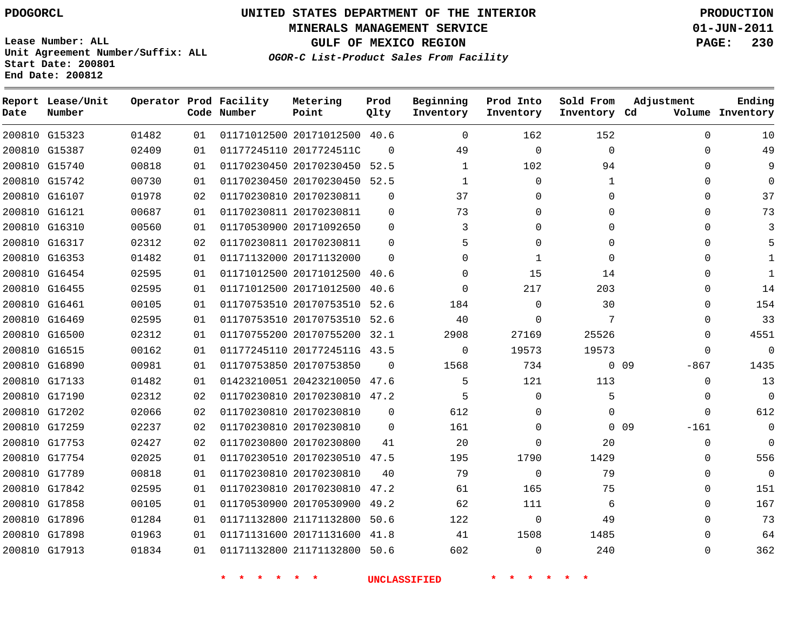# **UNITED STATES DEPARTMENT OF THE INTERIOR PDOGORCL PRODUCTION**

**MINERALS MANAGEMENT SERVICE 01-JUN-2011**

**GULF OF MEXICO REGION PAGE: 230**

**Unit Agreement Number/Suffix: ALL Start Date: 200801 End Date: 200812**

**OGOR-C List-Product Sales From Facility**

| Date | Report Lease/Unit<br>Number |       |    | Operator Prod Facility<br>Code Number | Metering<br>Point            | Prod<br>Qlty | Beginning<br>Inventory | Prod Into<br>Inventory | Sold From<br>Inventory Cd | Adjustment                | Ending<br>Volume Inventory |
|------|-----------------------------|-------|----|---------------------------------------|------------------------------|--------------|------------------------|------------------------|---------------------------|---------------------------|----------------------------|
|      | 200810 G15323               | 01482 | 01 |                                       | 01171012500 20171012500 40.6 |              | $\Omega$               | 162                    | 152                       | $\Omega$                  | 10                         |
|      | 200810 G15387               | 02409 | 01 |                                       | 01177245110 2017724511C      | $\Omega$     | 49                     | $\mathbf 0$            | $\mathbf{0}$              | $\Omega$                  | 49                         |
|      | 200810 G15740               | 00818 | 01 |                                       | 01170230450 20170230450      | 52.5         | $\mathbf{1}$           | 102                    | 94                        | 0                         | 9                          |
|      | 200810 G15742               | 00730 | 01 |                                       | 01170230450 20170230450 52.5 |              | 1                      | $\mathbf{0}$           | $\mathbf{1}$              | $\Omega$                  | $\Omega$                   |
|      | 200810 G16107               | 01978 | 02 |                                       | 01170230810 20170230811      | $\Omega$     | 37                     | $\Omega$               | $\Omega$                  | $\Omega$                  | 37                         |
|      | 200810 G16121               | 00687 | 01 |                                       | 01170230811 20170230811      | $\mathbf{0}$ | 73                     | $\mathbf{0}$           | 0                         | 0                         | 73                         |
|      | 200810 G16310               | 00560 | 01 |                                       | 01170530900 20171092650      | $\Omega$     | 3                      | 0                      | $\Omega$                  | 0                         |                            |
|      | 200810 G16317               | 02312 | 02 |                                       | 01170230811 20170230811      | $\Omega$     |                        | 0                      | 0                         | 0                         |                            |
|      | 200810 G16353               | 01482 | 01 |                                       | 01171132000 20171132000      | $\Omega$     | $\Omega$               | 1                      | $\Omega$                  | 0                         |                            |
|      | 200810 G16454               | 02595 | 01 |                                       | 01171012500 20171012500 40.6 |              | $\Omega$               | 15                     | 14                        | $\Omega$                  |                            |
|      | 200810 G16455               | 02595 | 01 |                                       | 01171012500 20171012500 40.6 |              | $\Omega$               | 217                    | 203                       | $\Omega$                  | 14                         |
|      | 200810 G16461               | 00105 | 01 |                                       | 01170753510 20170753510      | 52.6         | 184                    | $\mathbf 0$            | 30                        | $\Omega$                  | 154                        |
|      | 200810 G16469               | 02595 | 01 |                                       | 01170753510 20170753510 52.6 |              | 40                     | $\Omega$               | 7                         | $\Omega$                  | 33                         |
|      | 200810 G16500               | 02312 | 01 |                                       | 01170755200 20170755200 32.1 |              | 2908                   | 27169                  | 25526                     | 0                         | 4551                       |
|      | 200810 G16515               | 00162 | 01 |                                       | 01177245110 2017724511G 43.5 |              | $\Omega$               | 19573                  | 19573                     | 0                         | 0                          |
|      | 200810 G16890               | 00981 | 01 |                                       | 01170753850 20170753850      | $\Omega$     | 1568                   | 734                    |                           | 0 <sub>09</sub><br>$-867$ | 1435                       |
|      | 200810 G17133               | 01482 | 01 |                                       | 01423210051 20423210050 47.6 |              | 5                      | 121                    | 113                       | $\Omega$                  | 13                         |
|      | 200810 G17190               | 02312 | 02 |                                       | 01170230810 20170230810 47.2 |              | 5                      | $\mathbf 0$            | 5                         | $\Omega$                  | $\mathbf 0$                |
|      | 200810 G17202               | 02066 | 02 |                                       | 01170230810 20170230810      | $\Omega$     | 612                    | 0                      | $\Omega$                  | $\Omega$                  | 612                        |
|      | 200810 G17259               | 02237 | 02 |                                       | 01170230810 20170230810      | $\Omega$     | 161                    | 0                      |                           | 0 <sub>09</sub><br>$-161$ | 0                          |
|      | 200810 G17753               | 02427 | 02 |                                       | 01170230800 20170230800      | 41           | 20                     | 0                      | 20                        | $\mathbf 0$               | $\mathbf 0$                |
|      | 200810 G17754               | 02025 | 01 |                                       | 01170230510 20170230510 47.5 |              | 195                    | 1790                   | 1429                      | 0                         | 556                        |
|      | 200810 G17789               | 00818 | 01 |                                       | 01170230810 20170230810      | 40           | 79                     | $\mathbf 0$            | 79                        | 0                         | 0                          |
|      | 200810 G17842               | 02595 | 01 |                                       | 01170230810 20170230810      | 47.2         | 61                     | 165                    | 75                        | 0                         | 151                        |
|      | 200810 G17858               | 00105 | 01 |                                       | 01170530900 20170530900 49.2 |              | 62                     | 111                    | 6                         | $\Omega$                  | 167                        |
|      | 200810 G17896               | 01284 | 01 |                                       | 01171132800 21171132800      | 50.6         | 122                    | $\mathbf 0$            | 49                        | $\Omega$                  | 73                         |
|      | 200810 G17898               | 01963 | 01 |                                       | 01171131600 20171131600      | 41.8         | 41                     | 1508                   | 1485                      | $\Omega$                  | 64                         |
|      | 200810 G17913               | 01834 | 01 |                                       | 01171132800 21171132800      | 50.6         | 602                    | $\Omega$               | 240                       | $\Omega$                  | 362                        |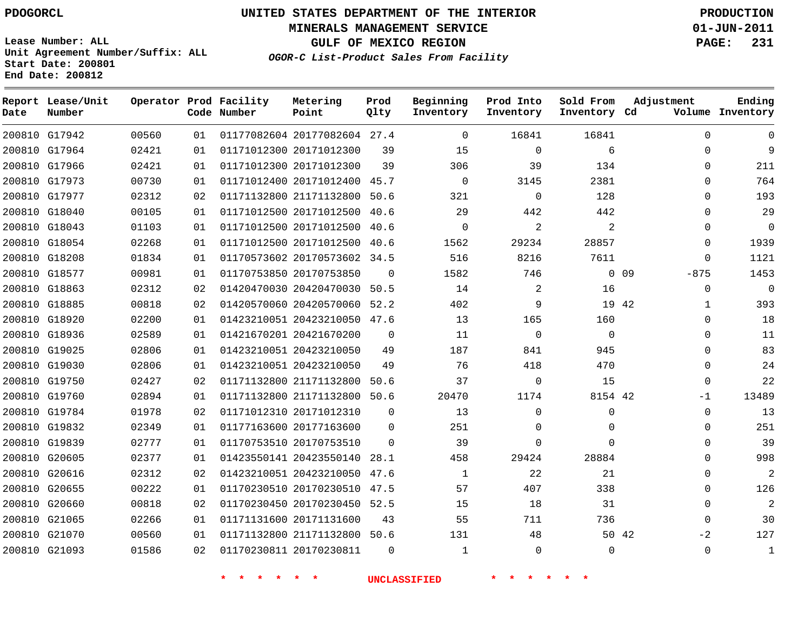# **UNITED STATES DEPARTMENT OF THE INTERIOR PDOGORCL PRODUCTION**

**MINERALS MANAGEMENT SERVICE 01-JUN-2011**

**GULF OF MEXICO REGION PAGE: 231**

**Unit Agreement Number/Suffix: ALL Start Date: 200801 End Date: 200812**

**OGOR-C List-Product Sales From Facility**

| Date | Report Lease/Unit<br>Number |       |    | Operator Prod Facility<br>Code Number | Metering<br>Point            | Prod<br>Qlty | Beginning<br>Inventory | Prod Into<br>Inventory | Sold From<br>Inventory Cd | Adjustment                | Ending<br>Volume Inventory |
|------|-----------------------------|-------|----|---------------------------------------|------------------------------|--------------|------------------------|------------------------|---------------------------|---------------------------|----------------------------|
|      | 200810 G17942               | 00560 | 01 |                                       | 01177082604 20177082604 27.4 |              | $\mathbf{0}$           | 16841                  | 16841                     | $\Omega$                  | 0                          |
|      | 200810 G17964               | 02421 | 01 |                                       | 01171012300 20171012300      | 39           | 15                     | 0                      | 6                         | $\Omega$                  | 9                          |
|      | 200810 G17966               | 02421 | 01 |                                       | 01171012300 20171012300      | 39           | 306                    | 39                     | 134                       | $\Omega$                  | 211                        |
|      | 200810 G17973               | 00730 | 01 |                                       | 01171012400 20171012400      | 45.7         | $\mathbf{0}$           | 3145                   | 2381                      | $\Omega$                  | 764                        |
|      | 200810 G17977               | 02312 | 02 |                                       | 01171132800 21171132800 50.6 |              | 321                    | 0                      | 128                       | $\Omega$                  | 193                        |
|      | 200810 G18040               | 00105 | 01 |                                       | 01171012500 20171012500 40.6 |              | 29                     | 442                    | 442                       | $\Omega$                  | 29                         |
|      | 200810 G18043               | 01103 | 01 |                                       | 01171012500 20171012500 40.6 |              | $\Omega$               | 2                      | 2                         | 0                         | 0                          |
|      | 200810 G18054               | 02268 | 01 |                                       | 01171012500 20171012500      | 40.6         | 1562                   | 29234                  | 28857                     | $\Omega$                  | 1939                       |
|      | 200810 G18208               | 01834 | 01 |                                       | 01170573602 20170573602 34.5 |              | 516                    | 8216                   | 7611                      | $\Omega$                  | 1121                       |
|      | 200810 G18577               | 00981 | 01 |                                       | 01170753850 20170753850      | $\Omega$     | 1582                   | 746                    |                           | 0 <sub>09</sub><br>$-875$ | 1453                       |
|      | 200810 G18863               | 02312 | 02 |                                       | 01420470030 20420470030 50.5 |              | 14                     | 2                      | 16                        | $\Omega$                  | $\Omega$                   |
|      | 200810 G18885               | 00818 | 02 |                                       | 01420570060 20420570060 52.2 |              | 402                    | 9                      | 19 42                     | 1                         | 393                        |
|      | 200810 G18920               | 02200 | 01 |                                       | 01423210051 20423210050 47.6 |              | 13                     | 165                    | 160                       | $\Omega$                  | 18                         |
|      | 200810 G18936               | 02589 | 01 |                                       | 01421670201 20421670200      | 0            | 11                     | 0                      | $\mathbf 0$               | 0                         | 11                         |
|      | 200810 G19025               | 02806 | 01 |                                       | 01423210051 20423210050      | 49           | 187                    | 841                    | 945                       | $\Omega$                  | 83                         |
|      | 200810 G19030               | 02806 | 01 |                                       | 01423210051 20423210050      | 49           | 76                     | 418                    | 470                       | 0                         | 24                         |
|      | 200810 G19750               | 02427 | 02 |                                       | 01171132800 21171132800      | 50.6         | 37                     | 0                      | 15                        | $\Omega$                  | 22                         |
|      | 200810 G19760               | 02894 | 01 |                                       | 01171132800 21171132800 50.6 |              | 20470                  | 1174                   | 8154 42                   | $-1$                      | 13489                      |
|      | 200810 G19784               | 01978 | 02 |                                       | 01171012310 20171012310      | $\mathbf 0$  | 13                     | 0                      | 0                         | $\Omega$                  | 13                         |
|      | 200810 G19832               | 02349 | 01 |                                       | 01177163600 20177163600      | $\Omega$     | 251                    | 0                      | $\mathbf 0$               | $\Omega$                  | 251                        |
|      | 200810 G19839               | 02777 | 01 |                                       | 01170753510 20170753510      | $\Omega$     | 39                     | $\Omega$               | $\Omega$                  | 0                         | 39                         |
|      | 200810 G20605               | 02377 | 01 |                                       | 01423550141 20423550140 28.1 |              | 458                    | 29424                  | 28884                     | $\Omega$                  | 998                        |
|      | 200810 G20616               | 02312 | 02 |                                       | 01423210051 20423210050 47.6 |              | $\mathbf{1}$           | 22                     | 21                        | 0                         | $\overline{2}$             |
|      | 200810 G20655               | 00222 | 01 |                                       | 01170230510 20170230510 47.5 |              | 57                     | 407                    | 338                       | $\Omega$                  | 126                        |
|      | 200810 G20660               | 00818 | 02 |                                       | 01170230450 20170230450 52.5 |              | 15                     | 18                     | 31                        | 0                         | $\overline{2}$             |
|      | 200810 G21065               | 02266 | 01 |                                       | 01171131600 20171131600      | 43           | 55                     | 711                    | 736                       | $\Omega$                  | 30                         |
|      | 200810 G21070               | 00560 | 01 |                                       | 01171132800 21171132800 50.6 |              | 131                    | 48                     |                           | 50 42<br>$-2$             | 127                        |
|      | 200810 G21093               | 01586 | 02 |                                       | 01170230811 20170230811      | $\Omega$     | $\mathbf{1}$           | $\Omega$               | $\Omega$                  | $\Omega$                  | $\mathbf 1$                |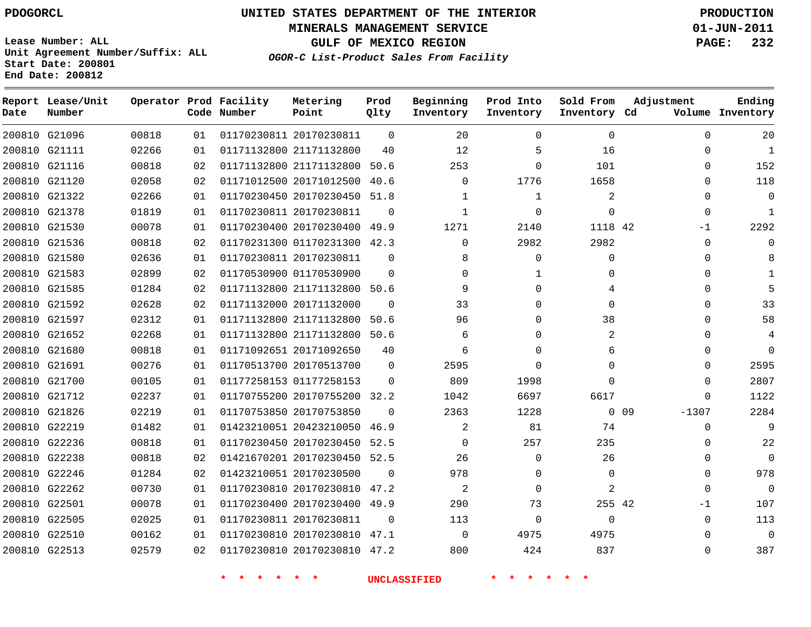**MINERALS MANAGEMENT SERVICE 01-JUN-2011**

**GULF OF MEXICO REGION PAGE: 232**

**Lease Number: ALL Unit Agreement Number/Suffix: ALL Start Date: 200801 End Date: 200812**

**OGOR-C List-Product Sales From Facility**

| Date | Report Lease/Unit<br>Number |       |    | Operator Prod Facility<br>Code Number | Metering<br>Point            | Prod<br>Qlty | Beginning<br>Inventory | Prod Into<br>Inventory | Sold From<br>Inventory Cd | Adjustment            | Ending<br>Volume Inventory |
|------|-----------------------------|-------|----|---------------------------------------|------------------------------|--------------|------------------------|------------------------|---------------------------|-----------------------|----------------------------|
|      | 200810 G21096               | 00818 | 01 |                                       | 01170230811 20170230811      | $\Omega$     | 20                     | $\Omega$               | $\mathbf 0$               | $\Omega$              | 20                         |
|      | 200810 G21111               | 02266 | 01 |                                       | 01171132800 21171132800      | 40           | 12                     | 5                      | 16                        | $\Omega$              | $\mathbf{1}$               |
|      | 200810 G21116               | 00818 | 02 |                                       | 01171132800 21171132800      | 50.6         | 253                    | 0                      | 101                       | $\Omega$              | 152                        |
|      | 200810 G21120               | 02058 | 02 |                                       | 01171012500 20171012500      | 40.6         | 0                      | 1776                   | 1658                      | $\Omega$              | 118                        |
|      | 200810 G21322               | 02266 | 01 |                                       | 01170230450 20170230450 51.8 |              | 1                      | 1                      | 2                         | $\Omega$              | $\Omega$                   |
|      | 200810 G21378               | 01819 | 01 |                                       | 01170230811 20170230811      | $\Omega$     | $\mathbf{1}$           | $\Omega$               | $\Omega$                  | $\mathbf 0$           | $\mathbf{1}$               |
|      | 200810 G21530               | 00078 | 01 |                                       | 01170230400 20170230400 49.9 |              | 1271                   | 2140                   | 1118 42                   | $-1$                  | 2292                       |
|      | 200810 G21536               | 00818 | 02 |                                       | 01170231300 01170231300 42.3 |              | $\Omega$               | 2982                   | 2982                      | 0                     |                            |
|      | 200810 G21580               | 02636 | 01 |                                       | 01170230811 20170230811      | $\Omega$     | 8                      | $\Omega$               | $\Omega$                  | 0                     |                            |
|      | 200810 G21583               | 02899 | 02 |                                       | 01170530900 01170530900      | $\Omega$     | $\Omega$               |                        | $\Omega$                  | $\Omega$              |                            |
|      | 200810 G21585               | 01284 | 02 |                                       | 01171132800 21171132800 50.6 |              | 9                      | $\Omega$               | 4                         | $\Omega$              |                            |
|      | 200810 G21592               | 02628 | 02 |                                       | 01171132000 20171132000      | $\Omega$     | 33                     | $\Omega$               | $\Omega$                  | $\Omega$              | 33                         |
|      | 200810 G21597               | 02312 | 01 |                                       | 01171132800 21171132800      | 50.6         | 96                     | $\Omega$               | 38                        | $\Omega$              | 58                         |
|      | 200810 G21652               | 02268 | 01 |                                       | 01171132800 21171132800 50.6 |              | 6                      | 0                      | 2                         | $\Omega$              |                            |
|      | 200810 G21680               | 00818 | 01 |                                       | 01171092651 20171092650      | 40           | 6                      | 0                      | 6                         | $\Omega$              | $\Omega$                   |
|      | 200810 G21691               | 00276 | 01 |                                       | 01170513700 20170513700      | 0            | 2595                   | 0                      | 0                         | $\Omega$              | 2595                       |
|      | 200810 G21700               | 00105 | 01 |                                       | 01177258153 01177258153      | $\Omega$     | 809                    | 1998                   | $\Omega$                  | $\Omega$              | 2807                       |
|      | 200810 G21712               | 02237 | 01 |                                       | 01170755200 20170755200 32.2 |              | 1042                   | 6697                   | 6617                      | $\Omega$              | 1122                       |
|      | 200810 G21826               | 02219 | 01 |                                       | 01170753850 20170753850      | $\Omega$     | 2363                   | 1228                   |                           | $0\quad09$<br>$-1307$ | 2284                       |
|      | 200810 G22219               | 01482 | 01 |                                       | 01423210051 20423210050      | 46.9         | 2                      | 81                     | 74                        | $\mathbf 0$           |                            |
|      | 200810 G22236               | 00818 | 01 |                                       | 01170230450 20170230450      | 52.5         | 0                      | 257                    | 235                       | $\Omega$              | 22                         |
|      | 200810 G22238               | 00818 | 02 |                                       | 01421670201 20170230450      | 52.5         | 26                     | $\Omega$               | 26                        | $\Omega$              | $\Omega$                   |
|      | 200810 G22246               | 01284 | 02 |                                       | 01423210051 20170230500      | $\Omega$     | 978                    | $\Omega$               | $\Omega$                  | $\Omega$              | 978                        |
|      | 200810 G22262               | 00730 | 01 |                                       | 01170230810 20170230810      | 47.2         | 2                      | $\Omega$               | $\overline{c}$            | $\Omega$              | $\Omega$                   |
|      | 200810 G22501               | 00078 | 01 |                                       | 01170230400 20170230400 49.9 |              | 290                    | 73                     | 255 42                    | $-1$                  | 107                        |
|      | 200810 G22505               | 02025 | 01 |                                       | 01170230811 20170230811      | $\Omega$     | 113                    | $\Omega$               | $\Omega$                  | $\Omega$              | 113                        |
|      | 200810 G22510               | 00162 | 01 |                                       | 01170230810 20170230810 47.1 |              | $\Omega$               | 4975                   | 4975                      | $\Omega$              | $\Omega$                   |
|      | 200810 G22513               | 02579 | 02 |                                       | 01170230810 20170230810 47.2 |              | 800                    | 424                    | 837                       | $\Omega$              | 387                        |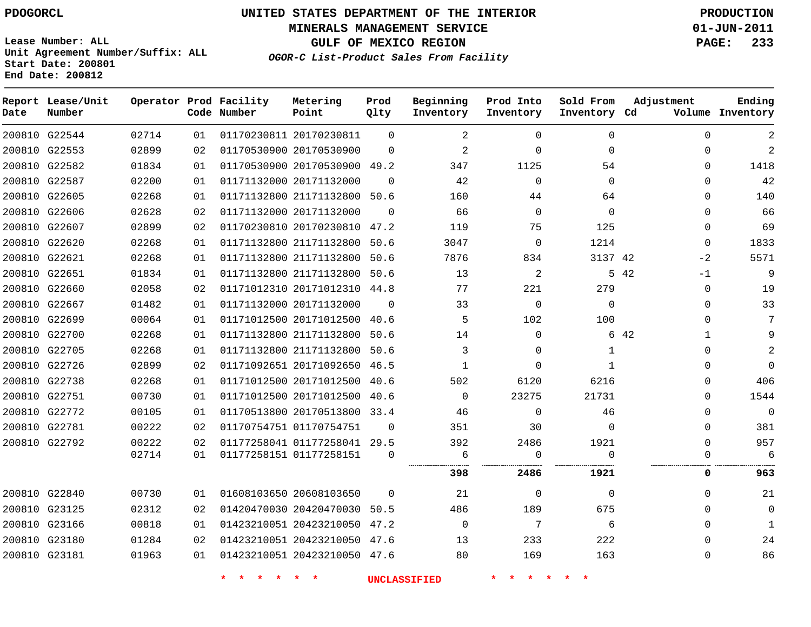# **UNITED STATES DEPARTMENT OF THE INTERIOR PDOGORCL PRODUCTION**

**MINERALS MANAGEMENT SERVICE 01-JUN-2011**

**GULF OF MEXICO REGION PAGE: 233**

**Unit Agreement Number/Suffix: ALL Start Date: 200801 End Date: 200812**

**OGOR-C List-Product Sales From Facility**

| Date          | Report Lease/Unit<br>Number |       |    | Operator Prod Facility<br>Code Number | Metering<br>Point            | Prod<br>Qlty | Beginning<br>Inventory | Prod Into<br>Inventory | Sold From<br>Inventory Cd | Adjustment           | Ending<br>Volume Inventory |
|---------------|-----------------------------|-------|----|---------------------------------------|------------------------------|--------------|------------------------|------------------------|---------------------------|----------------------|----------------------------|
| 200810 G22544 |                             | 02714 | 01 |                                       | 01170230811 20170230811      | $\Omega$     | 2                      | $\Omega$               | $\Omega$                  | $\Omega$             | $\overline{2}$             |
| 200810 G22553 |                             | 02899 | 02 |                                       | 01170530900 20170530900      | $\Omega$     | 2                      | $\Omega$               | $\Omega$                  | $\mathbf{0}$         | $\overline{2}$             |
|               | 200810 G22582               | 01834 | 01 |                                       | 01170530900 20170530900 49.2 |              | 347                    | 1125                   | 54                        | $\mathbf{0}$         | 1418                       |
| 200810 G22587 |                             | 02200 | 01 |                                       | 01171132000 20171132000      | $\Omega$     | 42                     | $\Omega$               | $\Omega$                  | $\Omega$             | 42                         |
| 200810 G22605 |                             | 02268 | 01 |                                       | 01171132800 21171132800      | 50.6         | 160                    | 44                     | 64                        | $\mathbf{0}$         | 140                        |
| 200810 G22606 |                             | 02628 | 02 |                                       | 01171132000 20171132000      | $\Omega$     | 66                     | $\mathbf{0}$           | $\Omega$                  | $\mathbf{0}$         | 66                         |
| 200810 G22607 |                             | 02899 | 02 |                                       | 01170230810 20170230810 47.2 |              | 119                    | 75                     | 125                       | $\mathbf{0}$         | 69                         |
| 200810 G22620 |                             | 02268 | 01 |                                       | 01171132800 21171132800      | 50.6         | 3047                   | $\mathbf 0$            | 1214                      | $\mathbf{0}$         | 1833                       |
| 200810 G22621 |                             | 02268 | 01 |                                       | 01171132800 21171132800      | 50.6         | 7876                   | 834                    | 3137 42                   | $-2$                 | 5571                       |
| 200810 G22651 |                             | 01834 | 01 |                                       | 01171132800 21171132800      | 50.6         | 13                     | $\overline{2}$         |                           | 5 42<br>$-1$         | 9                          |
| 200810 G22660 |                             | 02058 | 02 |                                       | 01171012310 20171012310 44.8 |              | 77                     | 221                    | 279                       | 0                    | 19                         |
| 200810 G22667 |                             | 01482 | 01 |                                       | 01171132000 20171132000      | $\Omega$     | 33                     | $\Omega$               | $\Omega$                  | $\Omega$             | 33                         |
| 200810 G22699 |                             | 00064 | 01 |                                       | 01171012500 20171012500      | 40.6         | 5                      | 102                    | 100                       | $\Omega$             | 7                          |
| 200810 G22700 |                             | 02268 | 01 |                                       | 01171132800 21171132800      | 50.6         | 14                     | $\Omega$               |                           | 6 42<br>$\mathbf{1}$ | 9                          |
| 200810 G22705 |                             | 02268 | 01 |                                       | 01171132800 21171132800      | 50.6         | 3                      | $\Omega$               | $\mathbf{1}$              | $\mathbf{0}$         | $\overline{a}$             |
| 200810 G22726 |                             | 02899 | 02 |                                       | 01171092651 20171092650 46.5 |              | 1                      | $\Omega$               | $\mathbf{1}$              | $\mathbf{0}$         | $\mathbf 0$                |
| 200810 G22738 |                             | 02268 | 01 |                                       | 01171012500 20171012500      | 40.6         | 502                    | 6120                   | 6216                      | $\mathbf{0}$         | 406                        |
| 200810 G22751 |                             | 00730 | 01 |                                       | 01171012500 20171012500      | 40.6         | $\Omega$               | 23275                  | 21731                     | 0                    | 1544                       |
| 200810 G22772 |                             | 00105 | 01 |                                       | 01170513800 20170513800      | 33.4         | 46                     | $\Omega$               | 46                        | 0                    | $\mathbf 0$                |
| 200810 G22781 |                             | 00222 | 02 |                                       | 01170754751 01170754751      | $\Omega$     | 351                    | 30                     | $\mathbf 0$               | $\mathbf{0}$         | 381                        |
| 200810 G22792 |                             | 00222 | 02 |                                       | 01177258041 01177258041 29.5 |              | 392                    | 2486                   | 1921                      | $\Omega$             | 957                        |
|               |                             | 02714 | 01 |                                       | 01177258151 01177258151      | $\Omega$     | 6                      | $\Omega$               | $\Omega$                  | U                    | 6                          |
|               |                             |       |    |                                       |                              |              | 398                    | 2486                   | 1921                      | 0                    | 963                        |
| 200810 G22840 |                             | 00730 | 01 |                                       | 01608103650 20608103650      | $\Omega$     | 21                     | $\Omega$               | $\Omega$                  | $\mathbf{0}$         | 21                         |
| 200810 G23125 |                             | 02312 | 02 |                                       | 01420470030 20420470030      | 50.5         | 486                    | 189                    | 675                       | $\Omega$             | $\mathbf{0}$               |
| 200810 G23166 |                             | 00818 | 01 |                                       | 01423210051 20423210050 47.2 |              | $\mathbf 0$            | 7                      | 6                         | $\mathbf{0}$         | 1                          |
| 200810 G23180 |                             | 01284 | 02 |                                       | 01423210051 20423210050      | 47.6         | 13                     | 233                    | 222                       | $\mathbf{0}$         | 24                         |
| 200810 G23181 |                             | 01963 | 01 |                                       | 01423210051 20423210050 47.6 |              | 80                     | 169                    | 163                       | $\Omega$             | 86                         |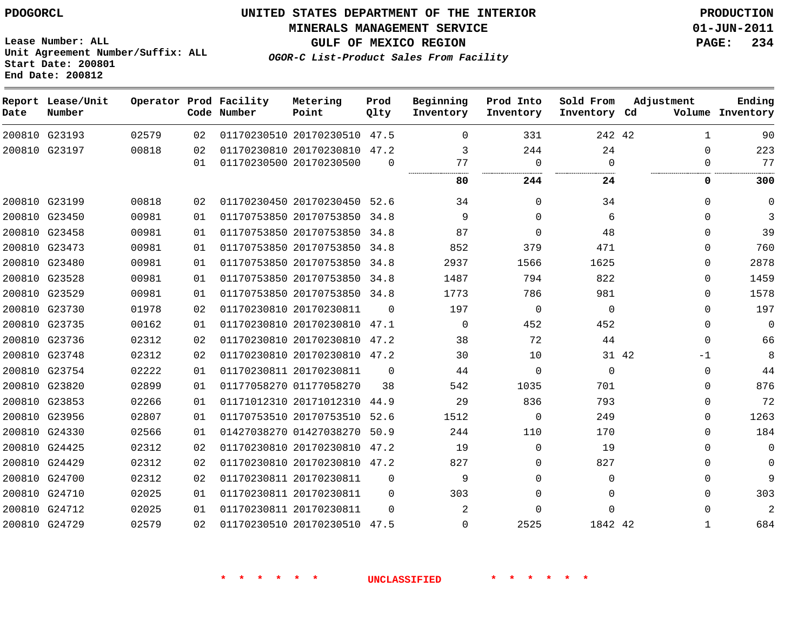**Start Date: 200801 End Date: 200812**

**Unit Agreement Number/Suffix: ALL**

# **UNITED STATES DEPARTMENT OF THE INTERIOR PDOGORCL PRODUCTION**

**MINERALS MANAGEMENT SERVICE 01-JUN-2011**

**GULF OF MEXICO REGION PAGE: 234**

**OGOR-C List-Product Sales From Facility**

| Date   | Report Lease/Unit<br>Number |       |    | Operator Prod Facility<br>Code Number | Metering<br>Point            | Prod<br>Qlty | Beginning<br>Inventory | Prod Into<br>Inventory | Sold From<br>Inventory Cd | Adjustment    | Ending<br>Volume Inventory |
|--------|-----------------------------|-------|----|---------------------------------------|------------------------------|--------------|------------------------|------------------------|---------------------------|---------------|----------------------------|
|        | 200810 G23193               | 02579 | 02 |                                       | 01170230510 20170230510 47.5 |              | $\mathbf 0$            | 331                    | 242 42                    | 1             | 90                         |
|        | 200810 G23197               | 00818 | 02 |                                       | 01170230810 20170230810      | 47.2         | 3                      | 244                    | 24                        | $\Omega$      | 223                        |
|        |                             |       | 01 |                                       | 01170230500 20170230500      | $\Omega$     | 77<br>                 | $\Omega$               | $\Omega$<br>.             | $\Omega$      | 77                         |
|        |                             |       |    |                                       |                              |              | 80                     | 244                    | 24                        | 0             | 300                        |
|        | 200810 G23199               | 00818 | 02 |                                       | 01170230450 20170230450      | 52.6         | 34                     | $\Omega$               | 34                        | $\Omega$      | $\mathbf 0$                |
|        | 200810 G23450               | 00981 | 01 |                                       | 01170753850 20170753850      | 34.8         | 9                      | $\Omega$               | 6                         | $\Omega$      | 3                          |
|        | 200810 G23458               | 00981 | 01 |                                       | 01170753850 20170753850      | 34.8         | 87                     | $\Omega$               | 48                        | $\Omega$      | 39                         |
| 200810 | G23473                      | 00981 | 01 |                                       | 01170753850 20170753850      | 34.8         | 852                    | 379                    | 471                       | $\Omega$      | 760                        |
| 200810 | G23480                      | 00981 | 01 |                                       | 01170753850 20170753850      | 34.8         | 2937                   | 1566                   | 1625                      | $\Omega$      | 2878                       |
|        | 200810 G23528               | 00981 | 01 |                                       | 01170753850 20170753850      | 34.8         | 1487                   | 794                    | 822                       | $\Omega$      | 1459                       |
|        | 200810 G23529               | 00981 | 01 |                                       | 01170753850 20170753850      | 34.8         | 1773                   | 786                    | 981                       | $\Omega$      | 1578                       |
|        | 200810 G23730               | 01978 | 02 |                                       | 01170230810 20170230811      | $\Omega$     | 197                    | 0                      | $\mathbf 0$               | $\Omega$      | 197                        |
| 200810 | G23735                      | 00162 | 01 |                                       | 01170230810 20170230810      | 47.1         | 0                      | 452                    | 452                       | $\mathbf{0}$  | $\mathbf 0$                |
|        | 200810 G23736               | 02312 | 02 |                                       | 01170230810 20170230810      | 47.2         | 38                     | 72                     | 44                        | $\Omega$      | 66                         |
|        | 200810 G23748               | 02312 | 02 |                                       | 01170230810 20170230810 47.2 |              | 30                     | 10                     |                           | 31 42<br>$-1$ | 8                          |
| 200810 | G23754                      | 02222 | 01 |                                       | 01170230811 20170230811      | $\Omega$     | 44                     | $\Omega$               | $\Omega$                  | $\Omega$      | 44                         |
|        | 200810 G23820               | 02899 | 01 |                                       | 01177058270 01177058270      | 38           | 542                    | 1035                   | 701                       | $\Omega$      | 876                        |
| 200810 | G23853                      | 02266 | 01 |                                       | 01171012310 20171012310      | 44.9         | 29                     | 836                    | 793                       | $\Omega$      | 72                         |
| 200810 | G23956                      | 02807 | 01 |                                       | 01170753510 20170753510      | 52.6         | 1512                   | 0                      | 249                       | $\Omega$      | 1263                       |
|        | 200810 G24330               | 02566 | 01 |                                       | 01427038270 01427038270      | 50.9         | 244                    | 110                    | 170                       | $\Omega$      | 184                        |
|        | 200810 G24425               | 02312 | 02 |                                       | 01170230810 20170230810      | 47.2         | 19                     | 0                      | 19                        | $\mathbf{0}$  | $\mathbf 0$                |
| 200810 | G24429                      | 02312 | 02 |                                       | 01170230810 20170230810 47.2 |              | 827                    | $\Omega$               | 827                       | $\Omega$      | $\mathbf 0$                |
| 200810 | G24700                      | 02312 | 02 |                                       | 01170230811 20170230811      | $\Omega$     | 9                      | $\Omega$               | $\Omega$                  | $\Omega$      | 9                          |
| 200810 | G24710                      | 02025 | 01 |                                       | 01170230811 20170230811      | $\Omega$     | 303                    | $\Omega$               | $\Omega$                  | $\Omega$      | 303                        |
|        | 200810 G24712               | 02025 | 01 |                                       | 01170230811 20170230811      | $\Omega$     | $\overline{2}$         | $\Omega$               | $\Omega$                  | $\Omega$      | 2                          |
|        | 200810 G24729               | 02579 | 02 |                                       | 01170230510 20170230510      | 47.5         | $\Omega$               | 2525                   | 1842 42                   | 1             | 684                        |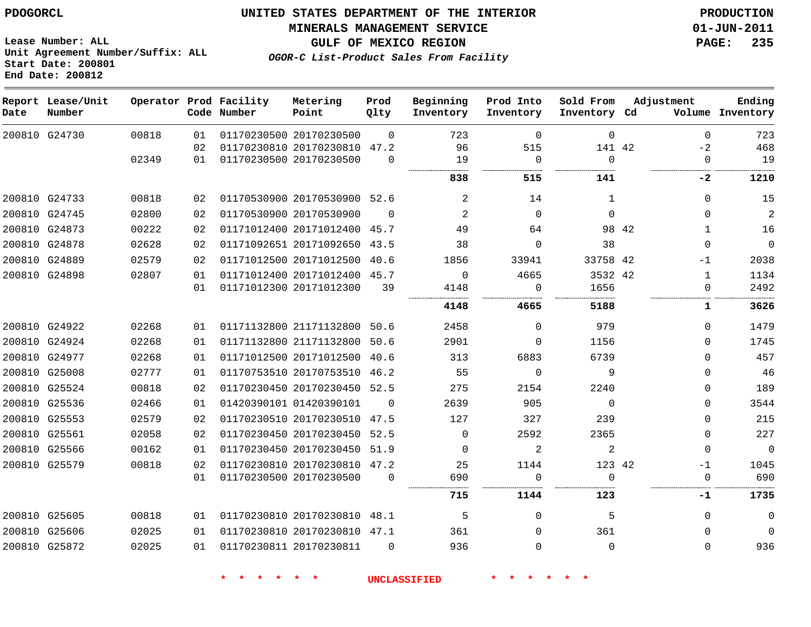**MINERALS MANAGEMENT SERVICE 01-JUN-2011**

**GULF OF MEXICO REGION PAGE: 235**

**Lease Number: ALL Unit Agreement Number/Suffix: ALL Start Date: 200801 End Date: 200812**

**OGOR-C List-Product Sales From Facility**

| Date | Report Lease/Unit<br>Number |       |    | Operator Prod Facility<br>Code Number | Metering<br>Point            | Prod<br>Qlty | Beginning<br>Inventory | Prod Into<br>Inventory | Sold From<br>Inventory Cd |       | Adjustment   | Ending<br>Volume Inventory |
|------|-----------------------------|-------|----|---------------------------------------|------------------------------|--------------|------------------------|------------------------|---------------------------|-------|--------------|----------------------------|
|      | 200810 G24730               | 00818 | 01 |                                       | 01170230500 20170230500      | $\Omega$     | 723                    | $\mathbf 0$            | $\mathbf 0$               |       | $\mathbf 0$  | 723                        |
|      |                             |       | 02 |                                       | 01170230810 20170230810 47.2 |              | 96                     | 515                    | 141 42                    |       | $-2$         | 468                        |
|      |                             | 02349 | 01 |                                       | 01170230500 20170230500      | $\Omega$     | 19                     | 0                      | $\mathbf 0$               |       | $\mathbf 0$  | 19                         |
|      |                             |       |    |                                       |                              |              | 838                    | 515                    | 141                       |       | -2           | 1210                       |
|      | 200810 G24733               | 00818 | 02 |                                       | 01170530900 20170530900      | 52.6         | 2                      | 14                     | $\mathbf{1}$              |       | $\Omega$     | 15                         |
|      | 200810 G24745               | 02800 | 02 |                                       | 01170530900 20170530900      | $\Omega$     | 2                      | $\Omega$               | $\Omega$                  |       | $\Omega$     | 2                          |
|      | 200810 G24873               | 00222 | 02 |                                       | 01171012400 20171012400      | 45.7         | 49                     | 64                     |                           | 98 42 | 1            | 16                         |
|      | 200810 G24878               | 02628 | 02 |                                       | 01171092651 20171092650      | 43.5         | 38                     | $\Omega$               | 38                        |       | $\Omega$     | $\mathbf 0$                |
|      | 200810 G24889               | 02579 | 02 |                                       | 01171012500 20171012500      | 40.6         | 1856                   | 33941                  | 33758 42                  |       | $-1$         | 2038                       |
|      | 200810 G24898               | 02807 | 01 |                                       | 01171012400 20171012400 45.7 |              | $\Omega$               | 4665                   | 3532 42                   |       | 1            | 1134                       |
|      |                             |       | 01 |                                       | 01171012300 20171012300      | 39           | 4148                   | 0                      | 1656                      |       | $\Omega$     | 2492                       |
|      |                             |       |    |                                       |                              |              | 4148                   | 4665                   | 5188                      |       | 1            | 3626                       |
|      | 200810 G24922               | 02268 | 01 |                                       | 01171132800 21171132800      | 50.6         | 2458                   | $\mathbf 0$            | 979                       |       | $\Omega$     | 1479                       |
|      | 200810 G24924               | 02268 | 01 |                                       | 01171132800 21171132800      | 50.6         | 2901                   | 0                      | 1156                      |       | $\Omega$     | 1745                       |
|      | 200810 G24977               | 02268 | 01 |                                       | 01171012500 20171012500      | 40.6         | 313                    | 6883                   | 6739                      |       | $\Omega$     | 457                        |
|      | 200810 G25008               | 02777 | 01 |                                       | 01170753510 20170753510      | 46.2         | 55                     | $\overline{0}$         | 9                         |       | $\Omega$     | 46                         |
|      | 200810 G25524               | 00818 | 02 |                                       | 01170230450 20170230450      | 52.5         | 275                    | 2154                   | 2240                      |       | $\Omega$     | 189                        |
|      | 200810 G25536               | 02466 | 01 |                                       | 01420390101 01420390101      | $\Omega$     | 2639                   | 905                    | $\Omega$                  |       | $\Omega$     | 3544                       |
|      | 200810 G25553               | 02579 | 02 |                                       | 01170230510 20170230510      | 47.5         | 127                    | 327                    | 239                       |       | $\Omega$     | 215                        |
|      | 200810 G25561               | 02058 | 02 |                                       | 01170230450 20170230450      | 52.5         | $\Omega$               | 2592                   | 2365                      |       | $\mathbf{0}$ | 227                        |
|      | 200810 G25566               | 00162 | 01 |                                       | 01170230450 20170230450      | 51.9         | $\Omega$               | $\overline{2}$         | 2                         |       | $\Omega$     | $\mathbf 0$                |
|      | 200810 G25579               | 00818 | 02 |                                       | 01170230810 20170230810      | 47.2         | 25                     | 1144                   | 123 42                    |       | $-1$         | 1045                       |
|      |                             |       | 01 |                                       | 01170230500 20170230500      | $\mathbf 0$  | 690                    | 0                      | $\Omega$                  |       | $\mathbf 0$  | 690                        |
|      |                             |       |    |                                       |                              |              | 715                    | 1144                   | 123                       |       | -1           | 1735                       |
|      | 200810 G25605               | 00818 | 01 |                                       | 01170230810 20170230810      | 48.1         | 5                      | 0                      | 5                         |       | $\Omega$     | 0                          |
|      | 200810 G25606               | 02025 | 01 |                                       | 01170230810 20170230810 47.1 |              | 361                    | $\mathbf 0$            | 361                       |       | $\Omega$     | $\Omega$                   |
|      | 200810 G25872               | 02025 | 01 |                                       | 01170230811 20170230811      | $\Omega$     | 936                    | $\Omega$               | $\Omega$                  |       | $\Omega$     | 936                        |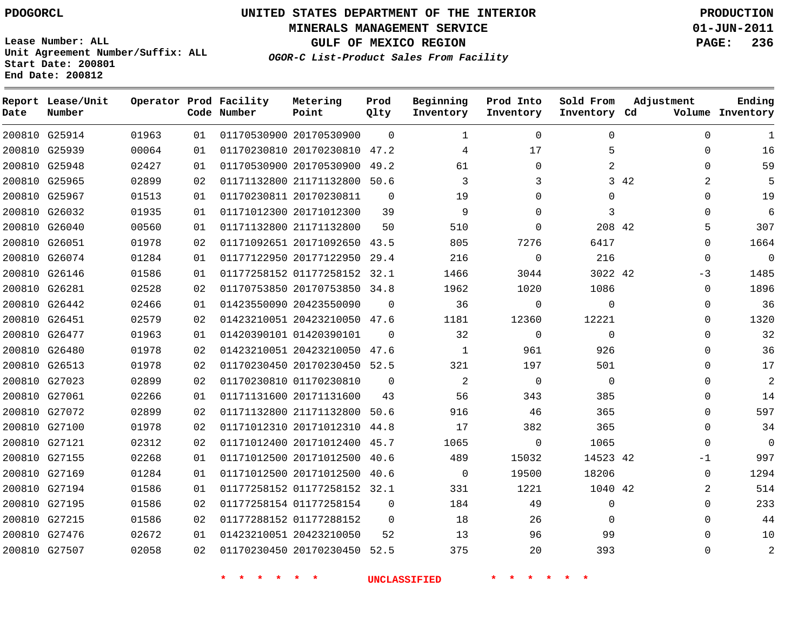**MINERALS MANAGEMENT SERVICE 01-JUN-2011**

**GULF OF MEXICO REGION PAGE: 236**

**Lease Number: ALL Unit Agreement Number/Suffix: ALL Start Date: 200801 End Date: 200812**

**OGOR-C List-Product Sales From Facility**

| Date | Report Lease/Unit<br>Number |       |    | Operator Prod Facility<br>Code Number | Metering<br>Point            | Prod<br>Qlty | Beginning<br>Inventory | Prod Into<br>Inventory | Sold From<br>Inventory Cd | Adjustment | Ending<br>Volume Inventory |
|------|-----------------------------|-------|----|---------------------------------------|------------------------------|--------------|------------------------|------------------------|---------------------------|------------|----------------------------|
|      | 200810 G25914               | 01963 | 01 |                                       | 01170530900 20170530900      | $\Omega$     | 1                      | $\mathbf 0$            | 0                         | 0          | 1                          |
|      | 200810 G25939               | 00064 | 01 |                                       | 01170230810 20170230810      | 47.2         | 4                      | 17                     | 5                         | 0          | 16                         |
|      | 200810 G25948               | 02427 | 01 |                                       | 01170530900 20170530900 49.2 |              | 61                     | 0                      | 2                         | $\Omega$   | 59                         |
|      | 200810 G25965               | 02899 | 02 |                                       | 01171132800 21171132800 50.6 |              | 3                      | 3                      |                           | 3 42<br>2  | 5                          |
|      | 200810 G25967               | 01513 | 01 |                                       | 01170230811 20170230811      | $\mathbf 0$  | 19                     | $\mathbf{0}$           | 0                         | $\Omega$   | 19                         |
|      | 200810 G26032               | 01935 | 01 |                                       | 01171012300 20171012300      | 39           | 9                      | $\mathbf{0}$           | 3                         | $\Omega$   | 6                          |
|      | 200810 G26040               | 00560 | 01 |                                       | 01171132800 21171132800      | 50           | 510                    | $\mathbf{0}$           | 208 42                    | 5          | 307                        |
|      | 200810 G26051               | 01978 | 02 |                                       | 01171092651 20171092650      | 43.5         | 805                    | 7276                   | 6417                      | 0          | 1664                       |
|      | 200810 G26074               | 01284 | 01 |                                       | 01177122950 20177122950      | 29.4         | 216                    | 0                      | 216                       | 0          | $\mathbf 0$                |
|      | 200810 G26146               | 01586 | 01 |                                       | 01177258152 01177258152 32.1 |              | 1466                   | 3044                   | 3022 42                   | -3         | 1485                       |
|      | 200810 G26281               | 02528 | 02 |                                       | 01170753850 20170753850 34.8 |              | 1962                   | 1020                   | 1086                      | 0          | 1896                       |
|      | 200810 G26442               | 02466 | 01 |                                       | 01423550090 20423550090      | $\Omega$     | 36                     | 0                      | $\mathbf 0$               | 0          | 36                         |
|      | 200810 G26451               | 02579 | 02 |                                       | 01423210051 20423210050 47.6 |              | 1181                   | 12360                  | 12221                     | $\Omega$   | 1320                       |
|      | 200810 G26477               | 01963 | 01 |                                       | 01420390101 01420390101      | $\Omega$     | 32                     | $\mathbf{0}$           | $\Omega$                  | $\Omega$   | 32                         |
|      | 200810 G26480               | 01978 | 02 |                                       | 01423210051 20423210050 47.6 |              | $\mathbf{1}$           | 961                    | 926                       | $\Omega$   | 36                         |
|      | 200810 G26513               | 01978 | 02 |                                       | 01170230450 20170230450 52.5 |              | 321                    | 197                    | 501                       | $\Omega$   | 17                         |
|      | 200810 G27023               | 02899 | 02 |                                       | 01170230810 01170230810      | $\Omega$     | 2                      | $\mathbf 0$            | $\mathbf 0$               | $\Omega$   | 2                          |
|      | 200810 G27061               | 02266 | 01 |                                       | 01171131600 20171131600      | 43           | 56                     | 343                    | 385                       | $\Omega$   | 14                         |
|      | 200810 G27072               | 02899 | 02 |                                       | 01171132800 21171132800      | 50.6         | 916                    | 46                     | 365                       | $\Omega$   | 597                        |
|      | 200810 G27100               | 01978 | 02 |                                       | 01171012310 20171012310      | 44.8         | 17                     | 382                    | 365                       | $\Omega$   | 34                         |
|      | 200810 G27121               | 02312 | 02 |                                       | 01171012400 20171012400 45.7 |              | 1065                   | $\mathbf{0}$           | 1065                      | $\Omega$   | $\mathbf 0$                |
|      | 200810 G27155               | 02268 | 01 |                                       | 01171012500 20171012500      | 40.6         | 489                    | 15032                  | 14523 42                  | $-1$       | 997                        |
|      | 200810 G27169               | 01284 | 01 |                                       | 01171012500 20171012500 40.6 |              | $\Omega$               | 19500                  | 18206                     | $\Omega$   | 1294                       |
|      | 200810 G27194               | 01586 | 01 |                                       | 01177258152 01177258152 32.1 |              | 331                    | 1221                   | 1040 42                   | 2          | 514                        |
|      | 200810 G27195               | 01586 | 02 |                                       | 01177258154 01177258154      | $\Omega$     | 184                    | 49                     | 0                         | $\Omega$   | 233                        |
|      | 200810 G27215               | 01586 | 02 |                                       | 01177288152 01177288152      | $\Omega$     | 18                     | 26                     | $\Omega$                  | $\Omega$   | 44                         |
|      | 200810 G27476               | 02672 | 01 |                                       | 01423210051 20423210050      | 52           | 13                     | 96                     | 99                        | $\Omega$   | 10                         |
|      | 200810 G27507               | 02058 | 02 |                                       | 01170230450 20170230450 52.5 |              | 375                    | 20                     | 393                       | $\Omega$   | $\overline{c}$             |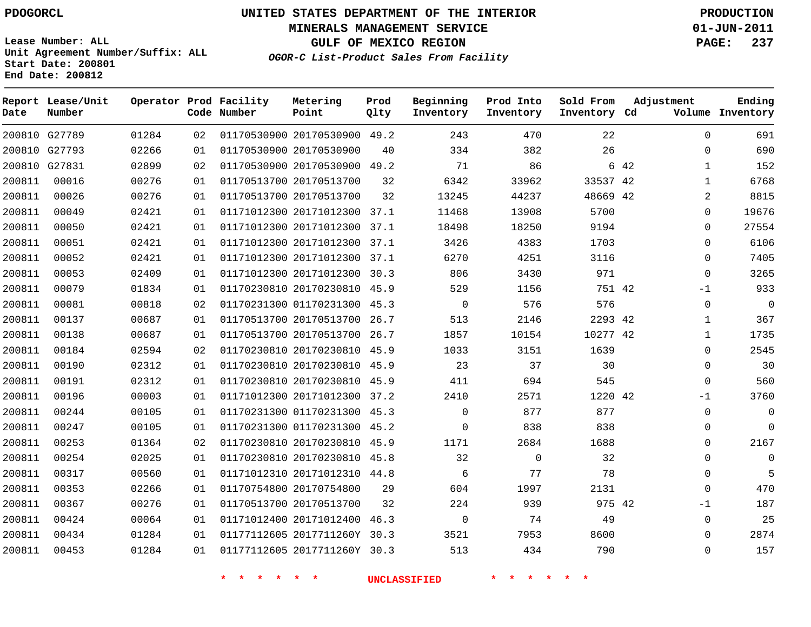**Start Date: 200801 End Date: 200812**

**Unit Agreement Number/Suffix: ALL**

# **UNITED STATES DEPARTMENT OF THE INTERIOR PDOGORCL PRODUCTION**

**MINERALS MANAGEMENT SERVICE 01-JUN-2011**

**GULF OF MEXICO REGION PAGE: 237**

**OGOR-C List-Product Sales From Facility**

| Date   | Report Lease/Unit<br>Number |       |    | Operator Prod Facility<br>Code Number | Metering<br>Point            | Prod<br>Qlty | Beginning<br>Inventory | Prod Into<br>Inventory | Sold From<br>Inventory Cd | Adjustment | Ending<br>Volume Inventory    |
|--------|-----------------------------|-------|----|---------------------------------------|------------------------------|--------------|------------------------|------------------------|---------------------------|------------|-------------------------------|
|        | 200810 G27789               | 01284 | 02 |                                       | 01170530900 20170530900 49.2 |              | 243                    | 470                    | 22                        |            | 691<br>$\Omega$               |
| 200810 | G27793                      | 02266 | 01 |                                       | 01170530900 20170530900      | 40           | 334                    | 382                    | 26                        |            | 690<br>$\mathbf 0$            |
|        | 200810 G27831               | 02899 | 02 |                                       | 01170530900 20170530900      | 49.2         | 71                     | 86                     |                           | 6 42       | 152<br>$\mathbf{1}$           |
| 200811 | 00016                       | 00276 | 01 |                                       | 01170513700 20170513700      | 32           | 6342                   | 33962                  | 33537 42                  |            | 6768<br>$\mathbf{1}$          |
| 200811 | 00026                       | 00276 | 01 |                                       | 01170513700 20170513700      | 32           | 13245                  | 44237                  | 48669 42                  |            | $\overline{a}$<br>8815        |
| 200811 | 00049                       | 02421 | 01 |                                       | 01171012300 20171012300      | 37.1         | 11468                  | 13908                  | 5700                      |            | 0<br>19676                    |
| 200811 | 00050                       | 02421 | 01 |                                       | 01171012300 20171012300 37.1 |              | 18498                  | 18250                  | 9194                      |            | 27554<br>$\Omega$             |
| 200811 | 00051                       | 02421 | 01 |                                       | 01171012300 20171012300      | 37.1         | 3426                   | 4383                   | 1703                      |            | 6106<br>$\Omega$              |
| 200811 | 00052                       | 02421 | 01 |                                       | 01171012300 20171012300 37.1 |              | 6270                   | 4251                   | 3116                      |            | 7405<br>$\Omega$              |
| 200811 | 00053                       | 02409 | 01 |                                       | 01171012300 20171012300      | 30.3         | 806                    | 3430                   | 971                       |            | 3265<br>$\Omega$              |
| 200811 | 00079                       | 01834 | 01 |                                       | 01170230810 20170230810      | 45.9         | 529                    | 1156                   | 751 42                    |            | 933<br>$-1$                   |
| 200811 | 00081                       | 00818 | 02 |                                       | 01170231300 01170231300      | 45.3         | 0                      | 576                    | 576                       |            | $\overline{0}$<br>$\mathbf 0$ |
| 200811 | 00137                       | 00687 | 01 |                                       | 01170513700 20170513700      | 26.7         | 513                    | 2146                   | 2293 42                   |            | 367<br>$\mathbf{1}$           |
| 200811 | 00138                       | 00687 | 01 |                                       | 01170513700 20170513700      | 26.7         | 1857                   | 10154                  | 10277 42                  |            | 1735<br>$\mathbf{1}$          |
| 200811 | 00184                       | 02594 | 02 |                                       | 01170230810 20170230810      | 45.9         | 1033                   | 3151                   | 1639                      |            | 2545<br>0                     |
| 200811 | 00190                       | 02312 | 01 |                                       | 01170230810 20170230810      | 45.9         | 23                     | 37                     | 30                        |            | 30<br>$\Omega$                |
| 200811 | 00191                       | 02312 | 01 |                                       | 01170230810 20170230810      | 45.9         | 411                    | 694                    | 545                       |            | $\Omega$<br>560               |
| 200811 | 00196                       | 00003 | 01 |                                       | 01171012300 20171012300 37.2 |              | 2410                   | 2571                   | 1220 42                   |            | 3760<br>$-1$                  |
| 200811 | 00244                       | 00105 | 01 |                                       | 01170231300 01170231300      | 45.3         | 0                      | 877                    | 877                       |            | $\mathbf 0$<br>$\overline{0}$ |
| 200811 | 00247                       | 00105 | 01 |                                       | 01170231300 01170231300 45.2 |              | $\mathbf 0$            | 838                    | 838                       |            | $\Omega$<br>0                 |
| 200811 | 00253                       | 01364 | 02 |                                       | 01170230810 20170230810      | 45.9         | 1171                   | 2684                   | 1688                      |            | 2167<br>$\Omega$              |
| 200811 | 00254                       | 02025 | 01 |                                       | 01170230810 20170230810 45.8 |              | 32                     | $\Omega$               | 32                        |            | $\Omega$<br>$\Omega$          |
| 200811 | 00317                       | 00560 | 01 |                                       | 01171012310 20171012310      | 44.8         | 6                      | 77                     | 78                        |            | $\mathbf 0$<br>5              |
| 200811 | 00353                       | 02266 | 01 |                                       | 01170754800 20170754800      | 29           | 604                    | 1997                   | 2131                      |            | 470<br>$\Omega$               |
| 200811 | 00367                       | 00276 | 01 |                                       | 01170513700 20170513700      | 32           | 224                    | 939                    | 975 42                    |            | 187<br>$-1$                   |
| 200811 | 00424                       | 00064 | 01 |                                       | 01171012400 20171012400      | 46.3         | 0                      | 74                     | 49                        |            | 25<br>$\Omega$                |
| 200811 | 00434                       | 01284 | 01 |                                       | 01177112605 2017711260Y 30.3 |              | 3521                   | 7953                   | 8600                      |            | 2874<br>$\Omega$              |
| 200811 | 00453                       | 01284 | 01 |                                       | 01177112605 2017711260Y      | 30.3         | 513                    | 434                    | 790                       |            | 157<br>$\Omega$               |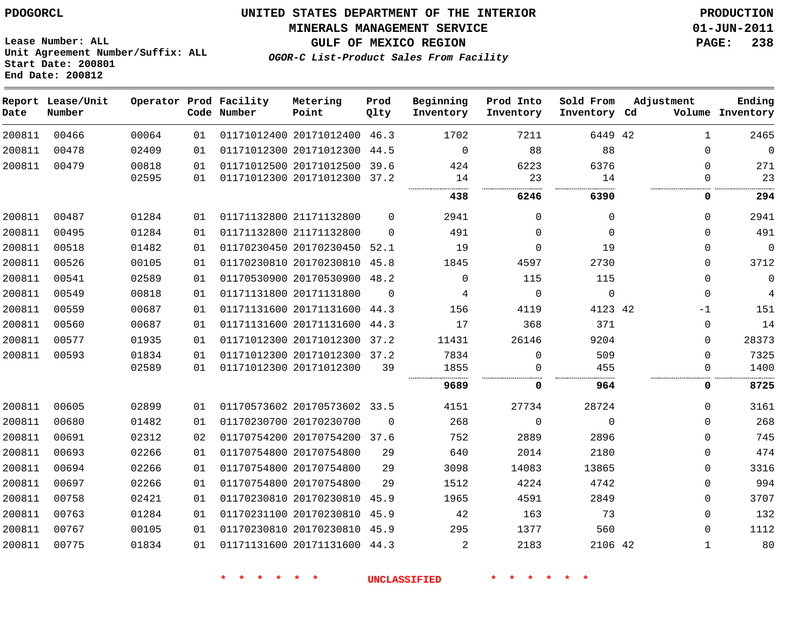**MINERALS MANAGEMENT SERVICE 01-JUN-2011**

**Lease Number: ALL Unit Agreement Number/Suffix: ALL Start Date: 200801 End Date: 200812**

**OGOR-C List-Product Sales From Facility**

**GULF OF MEXICO REGION PAGE: 238**

| Date   | Report Lease/Unit<br>Number |       |    | Operator Prod Facility<br>Code Number | Metering<br>Point            | Prod<br>Qlty | Beginning<br>Inventory | Prod Into<br>Inventory | Sold From<br>Inventory Cd | Adjustment   | Ending<br>Volume Inventory |
|--------|-----------------------------|-------|----|---------------------------------------|------------------------------|--------------|------------------------|------------------------|---------------------------|--------------|----------------------------|
| 200811 | 00466                       | 00064 | 01 |                                       | 01171012400 20171012400 46.3 |              | 1702                   | 7211                   | 6449 42                   | $\mathbf{1}$ | 2465                       |
| 200811 | 00478                       | 02409 | 01 |                                       | 01171012300 20171012300 44.5 |              | $\Omega$               | 88                     | 88                        | $\mathbf 0$  | $\Omega$                   |
| 200811 | 00479                       | 00818 | 01 |                                       | 01171012500 20171012500      | 39.6         | 424                    | 6223                   | 6376                      | $\mathbf 0$  | 271                        |
|        |                             | 02595 | 01 |                                       | 01171012300 20171012300 37.2 |              | 14                     | 23                     | 14                        | $\Omega$     | 23                         |
|        |                             |       |    |                                       |                              |              | 438                    | 6246                   | 6390                      | 0            | 294                        |
| 200811 | 00487                       | 01284 | 01 |                                       | 01171132800 21171132800      | $\Omega$     | 2941                   | $\Omega$               | $\Omega$                  | $\Omega$     | 2941                       |
| 200811 | 00495                       | 01284 | 01 |                                       | 01171132800 21171132800      | $\Omega$     | 491                    | $\Omega$               | $\Omega$                  | $\Omega$     | 491                        |
| 200811 | 00518                       | 01482 | 01 |                                       | 01170230450 20170230450 52.1 |              | 19                     | $\Omega$               | 19                        | $\mathbf 0$  | $\mathbf 0$                |
| 200811 | 00526                       | 00105 | 01 |                                       | 01170230810 20170230810 45.8 |              | 1845                   | 4597                   | 2730                      | $\Omega$     | 3712                       |
| 200811 | 00541                       | 02589 | 01 |                                       | 01170530900 20170530900 48.2 |              | $\Omega$               | 115                    | 115                       | $\mathbf 0$  | $\mathbf 0$                |
| 200811 | 00549                       | 00818 | 01 |                                       | 01171131800 20171131800      | $\mathbf 0$  | 4                      | $\mathbf 0$            | $\mathbf 0$               | $\mathbf 0$  | 4                          |
| 200811 | 00559                       | 00687 | 01 |                                       | 01171131600 20171131600 44.3 |              | 156                    | 4119                   | 4123 42                   | $-1$         | 151                        |
| 200811 | 00560                       | 00687 | 01 |                                       | 01171131600 20171131600      | 44.3         | 17                     | 368                    | 371                       | 0            | 14                         |
| 200811 | 00577                       | 01935 | 01 |                                       | 01171012300 20171012300 37.2 |              | 11431                  | 26146                  | 9204                      | $\Omega$     | 28373                      |
| 200811 | 00593                       | 01834 | 01 |                                       | 01171012300 20171012300 37.2 |              | 7834                   | $\Omega$               | 509                       | $\mathbf 0$  | 7325                       |
|        |                             | 02589 | 01 |                                       | 01171012300 20171012300      | 39           | 1855                   | 0                      | 455                       | $\mathbf 0$  | 1400                       |
|        |                             |       |    |                                       |                              |              | 9689                   | 0                      | 964                       | 0            | 8725                       |
| 200811 | 00605                       | 02899 | 01 |                                       | 01170573602 20170573602 33.5 |              | 4151                   | 27734                  | 28724                     | $\Omega$     | 3161                       |
| 200811 | 00680                       | 01482 | 01 |                                       | 01170230700 20170230700      | $\Omega$     | 268                    | $\mathbf 0$            | $\mathbf 0$               | $\mathbf 0$  | 268                        |
| 200811 | 00691                       | 02312 | 02 |                                       | 01170754200 20170754200 37.6 |              | 752                    | 2889                   | 2896                      | $\Omega$     | 745                        |
| 200811 | 00693                       | 02266 | 01 |                                       | 01170754800 20170754800      | 29           | 640                    | 2014                   | 2180                      | $\mathbf 0$  | 474                        |
| 200811 | 00694                       | 02266 | 01 |                                       | 01170754800 20170754800      | 29           | 3098                   | 14083                  | 13865                     | $\Omega$     | 3316                       |
| 200811 | 00697                       | 02266 | 01 |                                       | 01170754800 20170754800      | 29           | 1512                   | 4224                   | 4742                      | $\mathbf 0$  | 994                        |
| 200811 | 00758                       | 02421 | 01 |                                       | 01170230810 20170230810 45.9 |              | 1965                   | 4591                   | 2849                      | $\mathbf 0$  | 3707                       |
| 200811 | 00763                       | 01284 | 01 |                                       | 01170231100 20170230810 45.9 |              | 42                     | 163                    | 73                        | $\mathbf 0$  | 132                        |
| 200811 | 00767                       | 00105 | 01 |                                       | 01170230810 20170230810 45.9 |              | 295                    | 1377                   | 560                       | $\Omega$     | 1112                       |
| 200811 | 00775                       | 01834 | 01 |                                       | 01171131600 20171131600 44.3 |              | $\overline{2}$         | 2183                   | 2106 42                   | 1            | 80                         |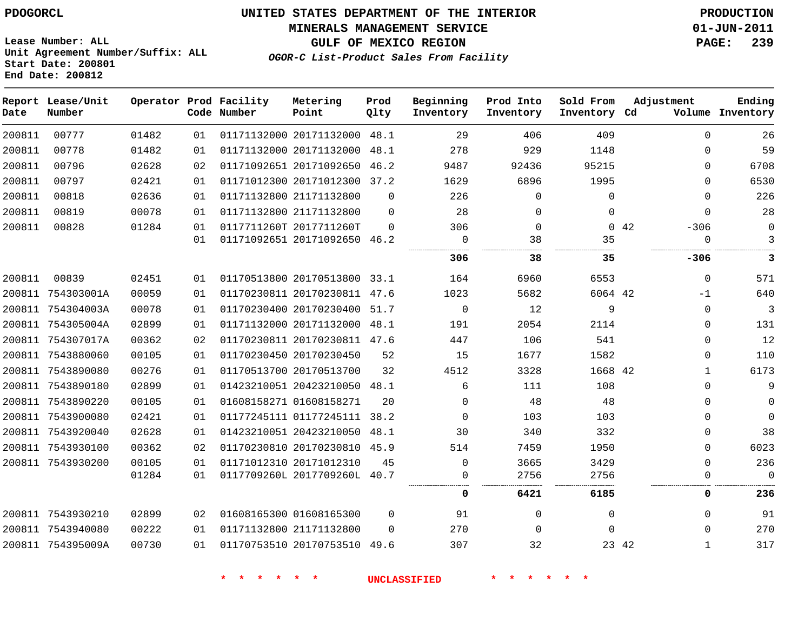#### **MINERALS MANAGEMENT SERVICE 01-JUN-2011**

**GULF OF MEXICO REGION PAGE: 239**

**Lease Number: ALL Unit Agreement Number/Suffix: ALL Start Date: 200801 End Date: 200812**

**OGOR-C List-Product Sales From Facility**

| Date   | Report Lease/Unit<br>Number |       |    | Operator Prod Facility<br>Code Number | Metering<br>Point            | Prod<br>Qlty | Beginning<br>Inventory | Prod Into<br>Inventory | Sold From<br>Inventory Cd | Adjustment |              | Ending<br>Volume Inventory |
|--------|-----------------------------|-------|----|---------------------------------------|------------------------------|--------------|------------------------|------------------------|---------------------------|------------|--------------|----------------------------|
| 200811 | 00777                       | 01482 | 01 |                                       | 01171132000 20171132000 48.1 |              | 29                     | 406                    | 409                       |            | $\mathbf 0$  | 26                         |
| 200811 | 00778                       | 01482 | 01 |                                       | 01171132000 20171132000      | 48.1         | 278                    | 929                    | 1148                      |            | $\Omega$     | 59                         |
| 200811 | 00796                       | 02628 | 02 |                                       | 01171092651 20171092650      | 46.2         | 9487                   | 92436                  | 95215                     |            | $\Omega$     | 6708                       |
| 200811 | 00797                       | 02421 | 01 |                                       | 01171012300 20171012300 37.2 |              | 1629                   | 6896                   | 1995                      |            | $\Omega$     | 6530                       |
| 200811 | 00818                       | 02636 | 01 |                                       | 01171132800 21171132800      | $\Omega$     | 226                    | $\mathbf 0$            | $\Omega$                  |            | $\mathbf 0$  | 226                        |
| 200811 | 00819                       | 00078 | 01 |                                       | 01171132800 21171132800      | $\Omega$     | 28                     | $\Omega$               | $\Omega$                  |            | $\Omega$     | 28                         |
| 200811 | 00828                       | 01284 | 01 |                                       | 0117711260T 2017711260T      | $\Omega$     | 306                    | $\Omega$               |                           | 0.42       | $-306$       | $\Omega$                   |
|        |                             |       | 01 |                                       | 01171092651 20171092650 46.2 |              | $\mathbf 0$            | 38                     | 35                        |            | 0            | 3                          |
|        |                             |       |    |                                       |                              |              | 306                    | 38                     | 35                        |            | -306         | 3                          |
| 200811 | 00839                       | 02451 | 01 |                                       | 01170513800 20170513800 33.1 |              | 164                    | 6960                   | 6553                      |            | $\mathbf 0$  | 571                        |
|        | 200811 754303001A           | 00059 | 01 |                                       | 01170230811 20170230811 47.6 |              | 1023                   | 5682                   | 6064 42                   |            | $-1$         | 640                        |
|        | 200811 754304003A           | 00078 | 01 |                                       | 01170230400 20170230400      | 51.7         | $\mathbf 0$            | 12                     | 9                         |            | $\mathbf 0$  | 3                          |
|        | 200811 754305004A           | 02899 | 01 |                                       | 01171132000 20171132000      | 48.1         | 191                    | 2054                   | 2114                      |            | $\mathbf 0$  | 131                        |
|        | 200811 754307017A           | 00362 | 02 |                                       | 01170230811 20170230811 47.6 |              | 447                    | 106                    | 541                       |            | $\mathbf 0$  | 12                         |
|        | 200811 7543880060           | 00105 | 01 |                                       | 01170230450 20170230450      | 52           | 15                     | 1677                   | 1582                      |            | $\Omega$     | 110                        |
|        | 200811 7543890080           | 00276 | 01 |                                       | 01170513700 20170513700      | 32           | 4512                   | 3328                   | 1668 42                   |            | $\mathbf{1}$ | 6173                       |
|        | 200811 7543890180           | 02899 | 01 |                                       | 01423210051 20423210050      | 48.1         | 6                      | 111                    | 108                       |            | $\Omega$     | 9                          |
|        | 200811 7543890220           | 00105 | 01 |                                       | 01608158271 01608158271      | 20           | $\mathbf{0}$           | 48                     | 48                        |            | $\mathbf 0$  | $\mathbf 0$                |
|        | 200811 7543900080           | 02421 | 01 |                                       | 01177245111 01177245111      | 38.2         | $\Omega$               | 103                    | 103                       |            | $\mathbf 0$  | $\mathbf 0$                |
|        | 200811 7543920040           | 02628 | 01 |                                       | 01423210051 20423210050      | 48.1         | 30                     | 340                    | 332                       |            | $\mathbf 0$  | 38                         |
|        | 200811 7543930100           | 00362 | 02 |                                       | 01170230810 20170230810      | 45.9         | 514                    | 7459                   | 1950                      |            | $\Omega$     | 6023                       |
|        | 200811 7543930200           | 00105 | 01 |                                       | 01171012310 20171012310      | 45           | $\Omega$               | 3665                   | 3429                      |            | $\mathbf 0$  | 236                        |
|        |                             | 01284 | 01 |                                       | 0117709260L 2017709260L 40.7 |              | 0                      | 2756                   | 2756                      |            | $\Omega$     | $\Omega$                   |
|        |                             |       |    |                                       |                              |              | 0                      | 6421                   | 6185                      |            | 0            | 236                        |
|        | 200811 7543930210           | 02899 | 02 |                                       | 01608165300 01608165300      | $\Omega$     | 91                     | $\Omega$               | $\Omega$                  |            | $\Omega$     | 91                         |
|        | 200811 7543940080           | 00222 | 01 |                                       | 01171132800 21171132800      | $\Omega$     | 270                    | $\Omega$               | $\Omega$                  |            | $\Omega$     | 270                        |
|        | 200811 754395009A           | 00730 | 01 |                                       | 01170753510 20170753510 49.6 |              | 307                    | 32                     |                           | 23 42      | $\mathbf{1}$ | 317                        |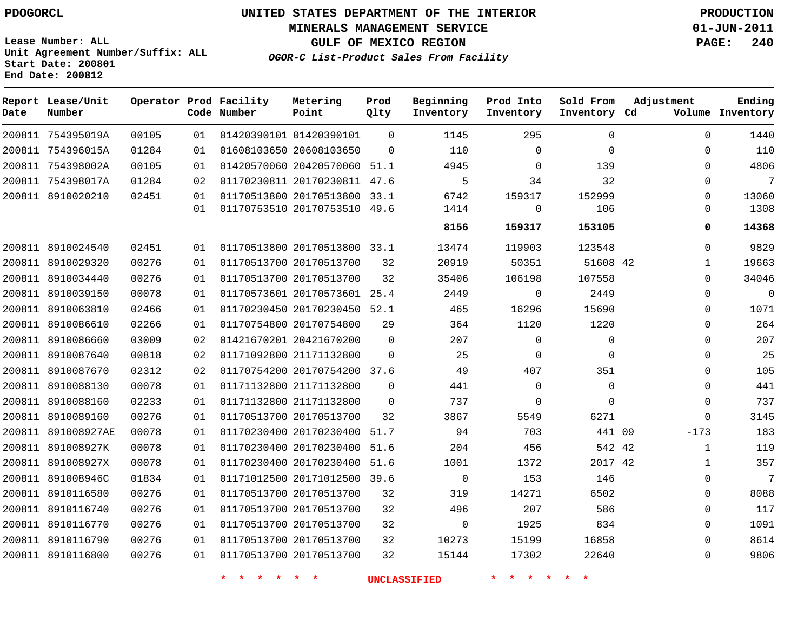**MINERALS MANAGEMENT SERVICE 01-JUN-2011**

**GULF OF MEXICO REGION PAGE: 240**

**Lease Number: ALL Unit Agreement Number/Suffix: ALL Start Date: 200801 End Date: 200812**

**OGOR-C List-Product Sales From Facility**

| Date   | Report Lease/Unit<br>Number |       |    | Operator Prod Facility<br>Code Number | Metering<br>Point            | Prod<br>Qlty | Beginning<br>Inventory | Prod Into<br>Inventory | Sold From<br>Inventory Cd | Adjustment   | Ending<br>Volume Inventory |
|--------|-----------------------------|-------|----|---------------------------------------|------------------------------|--------------|------------------------|------------------------|---------------------------|--------------|----------------------------|
|        | 200811 754395019A           | 00105 | 01 |                                       | 01420390101 01420390101      | $\Omega$     | 1145                   | 295                    | $\Omega$                  | $\Omega$     | 1440                       |
|        | 200811 754396015A           | 01284 | 01 |                                       | 01608103650 20608103650      | $\Omega$     | 110                    | $\mathbf 0$            | $\Omega$                  | $\Omega$     | 110                        |
|        | 200811 754398002A           | 00105 | 01 |                                       | 01420570060 20420570060 51.1 |              | 4945                   | $\Omega$               | 139                       | $\Omega$     | 4806                       |
|        | 200811 754398017A           | 01284 | 02 |                                       | 01170230811 20170230811 47.6 |              | 5                      | 34                     | 32                        | $\Omega$     | 7                          |
|        | 200811 8910020210           | 02451 | 01 |                                       | 01170513800 20170513800 33.1 |              | 6742                   | 159317                 | 152999                    | $\Omega$     | 13060                      |
|        |                             |       | 01 |                                       | 01170753510 20170753510 49.6 |              | 1414                   | 0                      | 106                       | $\Omega$     | 1308                       |
|        |                             |       |    |                                       |                              |              | 8156                   | 159317                 | 153105                    | 0            | 14368                      |
|        | 200811 8910024540           | 02451 | 01 |                                       | 01170513800 20170513800 33.1 |              | 13474                  | 119903                 | 123548                    | $\Omega$     | 9829                       |
|        | 200811 8910029320           | 00276 | 01 |                                       | 01170513700 20170513700      | 32           | 20919                  | 50351                  | 51608 42                  | $\mathbf{1}$ | 19663                      |
|        | 200811 8910034440           | 00276 | 01 |                                       | 01170513700 20170513700      | 32           | 35406                  | 106198                 | 107558                    | $\Omega$     | 34046                      |
|        | 200811 8910039150           | 00078 | 01 |                                       | 01170573601 20170573601      | 25.4         | 2449                   | 0                      | 2449                      | $\Omega$     | $\mathbf 0$                |
|        | 200811 8910063810           | 02466 | 01 |                                       | 01170230450 20170230450 52.1 |              | 465                    | 16296                  | 15690                     | $\Omega$     | 1071                       |
| 200811 | 8910086610                  | 02266 | 01 |                                       | 01170754800 20170754800      | 29           | 364                    | 1120                   | 1220                      | $\Omega$     | 264                        |
|        | 200811 8910086660           | 03009 | 02 |                                       | 01421670201 20421670200      | $\Omega$     | 207                    | 0                      | $\mathbf 0$               | $\Omega$     | 207                        |
|        | 200811 8910087640           | 00818 | 02 |                                       | 01171092800 21171132800      | $\Omega$     | 25                     | 0                      | $\Omega$                  | $\Omega$     | 25                         |
|        | 200811 8910087670           | 02312 | 02 |                                       | 01170754200 20170754200 37.6 |              | 49                     | 407                    | 351                       | $\Omega$     | 105                        |
|        | 200811 8910088130           | 00078 | 01 |                                       | 01171132800 21171132800      | $\Omega$     | 441                    | 0                      | $\Omega$                  | $\Omega$     | 441                        |
|        | 200811 8910088160           | 02233 | 01 |                                       | 01171132800 21171132800      | $\Omega$     | 737                    | 0                      | $\Omega$                  | $\mathbf 0$  | 737                        |
|        | 200811 8910089160           | 00276 | 01 |                                       | 01170513700 20170513700      | 32           | 3867                   | 5549                   | 6271                      | $\Omega$     | 3145                       |
|        | 200811 891008927AE          | 00078 | 01 |                                       | 01170230400 20170230400      | 51.7         | 94                     | 703                    | 441 09                    | $-173$       | 183                        |
|        | 200811 891008927K           | 00078 | 01 |                                       | 01170230400 20170230400      | 51.6         | 204                    | 456                    | 542 42                    | $\mathbf 1$  | 119                        |
| 200811 | 891008927X                  | 00078 | 01 |                                       | 01170230400 20170230400      | 51.6         | 1001                   | 1372                   | 2017 42                   | 1            | 357                        |
|        | 200811 891008946C           | 01834 | 01 |                                       | 01171012500 20171012500 39.6 |              | $\mathsf{O}$           | 153                    | 146                       | $\mathbf 0$  | 7                          |
|        | 200811 8910116580           | 00276 | 01 |                                       | 01170513700 20170513700      | 32           | 319                    | 14271                  | 6502                      | $\Omega$     | 8088                       |
|        | 200811 8910116740           | 00276 | 01 |                                       | 01170513700 20170513700      | 32           | 496                    | 207                    | 586                       | $\Omega$     | 117                        |
|        | 200811 8910116770           | 00276 | 01 |                                       | 01170513700 20170513700      | 32           | 0                      | 1925                   | 834                       | $\Omega$     | 1091                       |
|        | 200811 8910116790           | 00276 | 01 |                                       | 01170513700 20170513700      | 32           | 10273                  | 15199                  | 16858                     | $\Omega$     | 8614                       |
|        | 200811 8910116800           | 00276 | 01 |                                       | 01170513700 20170513700      | 32           | 15144                  | 17302                  | 22640                     | $\Omega$     | 9806                       |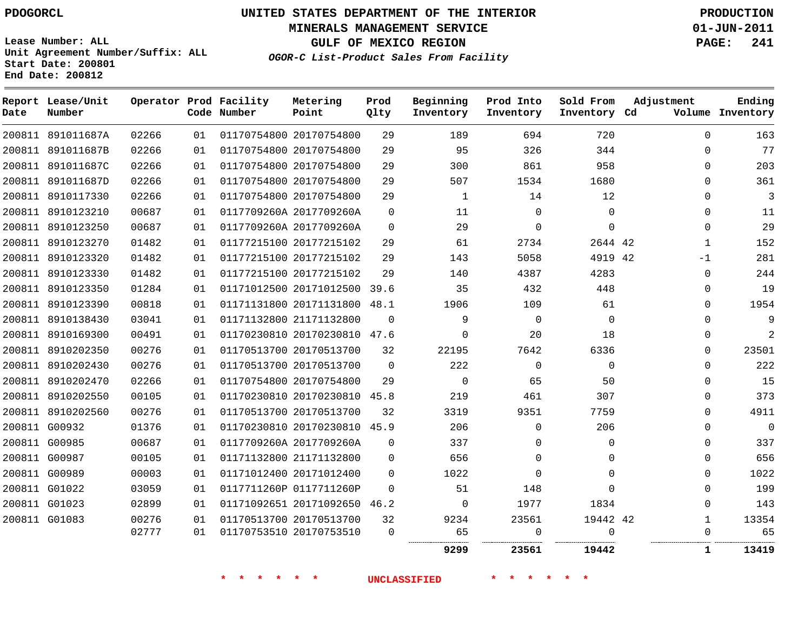**Start Date: 200801 End Date: 200812**

**Unit Agreement Number/Suffix: ALL**

# **UNITED STATES DEPARTMENT OF THE INTERIOR PDOGORCL PRODUCTION**

**MINERALS MANAGEMENT SERVICE 01-JUN-2011**

**GULF OF MEXICO REGION PAGE: 241**

**OGOR-C List-Product Sales From Facility**

| Date   | Report Lease/Unit<br>Number |       |    | Operator Prod Facility<br>Code Number | Metering<br>Point       | Prod<br>Qlty | Beginning<br>Inventory | Prod Into<br>Inventory | Sold From<br>Inventory Cd | Adjustment   | Ending<br>Volume Inventory |
|--------|-----------------------------|-------|----|---------------------------------------|-------------------------|--------------|------------------------|------------------------|---------------------------|--------------|----------------------------|
|        | 200811 891011687A           | 02266 | 01 |                                       | 01170754800 20170754800 | 29           | 189                    | 694                    | 720                       | $\Omega$     | 163                        |
| 200811 | 891011687B                  | 02266 | 01 |                                       | 01170754800 20170754800 | 29           | 95                     | 326                    | 344                       | $\Omega$     | 77                         |
| 200811 | 891011687C                  | 02266 | 01 |                                       | 01170754800 20170754800 | 29           | 300                    | 861                    | 958                       | $\Omega$     | 203                        |
|        | 200811 891011687D           | 02266 | 01 |                                       | 01170754800 20170754800 | 29           | 507                    | 1534                   | 1680                      | $\Omega$     | 361                        |
|        | 200811 8910117330           | 02266 | 01 |                                       | 01170754800 20170754800 | 29           | 1                      | 14                     | 12                        | $\mathbf 0$  | 3                          |
|        | 200811 8910123210           | 00687 | 01 |                                       | 0117709260A 2017709260A | $\mathbf 0$  | 11                     | $\mathbf 0$            | $\mathbf 0$               | $\Omega$     | 11                         |
|        | 200811 8910123250           | 00687 | 01 |                                       | 0117709260A 2017709260A | $\mathbf 0$  | 29                     | $\mathbf 0$            | $\mathbf 0$               | $\Omega$     | 29                         |
|        | 200811 8910123270           | 01482 | 01 |                                       | 01177215100 20177215102 | 29           | 61                     | 2734                   | 2644 42                   | $\mathbf{1}$ | 152                        |
| 200811 | 8910123320                  | 01482 | 01 |                                       | 01177215100 20177215102 | 29           | 143                    | 5058                   | 4919 42                   | $-1$         | 281                        |
|        | 200811 8910123330           | 01482 | 01 |                                       | 01177215100 20177215102 | 29           | 140                    | 4387                   | 4283                      | $\mathbf 0$  | 244                        |
| 200811 | 8910123350                  | 01284 | 01 |                                       | 01171012500 20171012500 | 39.6         | 35                     | 432                    | 448                       | $\Omega$     | 19                         |
| 200811 | 8910123390                  | 00818 | 01 |                                       | 01171131800 20171131800 | 48.1         | 1906                   | 109                    | 61                        | $\Omega$     | 1954                       |
|        | 200811 8910138430           | 03041 | 01 |                                       | 01171132800 21171132800 | $\Omega$     | 9                      | $\Omega$               | $\mathbf 0$               | $\Omega$     | 9                          |
|        | 200811 8910169300           | 00491 | 01 |                                       | 01170230810 20170230810 | 47.6         | 0                      | 20                     | 18                        | $\mathbf 0$  | $\overline{2}$             |
|        | 200811 8910202350           | 00276 | 01 |                                       | 01170513700 20170513700 | 32           | 22195                  | 7642                   | 6336                      | $\Omega$     | 23501                      |
|        | 200811 8910202430           | 00276 | 01 |                                       | 01170513700 20170513700 | $\Omega$     | 222                    | $\Omega$               | $\Omega$                  | $\Omega$     | 222                        |
|        | 200811 8910202470           | 02266 | 01 |                                       | 01170754800 20170754800 | 29           | $\Omega$               | 65                     | 50                        | $\Omega$     | 15                         |
|        | 200811 8910202550           | 00105 | 01 |                                       | 01170230810 20170230810 | 45.8         | 219                    | 461                    | 307                       | $\Omega$     | 373                        |
|        | 200811 8910202560           | 00276 | 01 |                                       | 01170513700 20170513700 | 32           | 3319                   | 9351                   | 7759                      | $\Omega$     | 4911                       |
| 200811 | G00932                      | 01376 | 01 |                                       | 01170230810 20170230810 | 45.9         | 206                    | $\mathbf 0$            | 206                       | $\Omega$     | $\overline{0}$             |
| 200811 | G00985                      | 00687 | 01 |                                       | 0117709260A 2017709260A | $\mathbf 0$  | 337                    | $\mathbf 0$            | 0                         | $\mathbf 0$  | 337                        |
|        | 200811 G00987               | 00105 | 01 |                                       | 01171132800 21171132800 | $\Omega$     | 656                    | $\Omega$               | $\Omega$                  | $\Omega$     | 656                        |
|        | 200811 G00989               | 00003 | 01 |                                       | 01171012400 20171012400 | $\Omega$     | 1022                   | $\Omega$               | $\mathbf 0$               | $\Omega$     | 1022                       |
|        | 200811 G01022               | 03059 | 01 |                                       | 0117711260P 0117711260P | $\Omega$     | 51                     | 148                    | $\Omega$                  | $\Omega$     | 199                        |
|        | 200811 G01023               | 02899 | 01 |                                       | 01171092651 20171092650 | 46.2         | 0                      | 1977                   | 1834                      | $\Omega$     | 143                        |
|        | 200811 G01083               | 00276 | 01 |                                       | 01170513700 20170513700 | 32           | 9234                   | 23561                  | 19442 42                  | 1            | 13354                      |
|        |                             | 02777 | 01 |                                       | 01170753510 20170753510 | $\Omega$     | 65                     | $\Omega$               | $\Omega$                  | $\Omega$     | 65                         |
|        |                             |       |    |                                       |                         |              | 9299                   | 23561                  | <br>19442                 | 1            | 13419                      |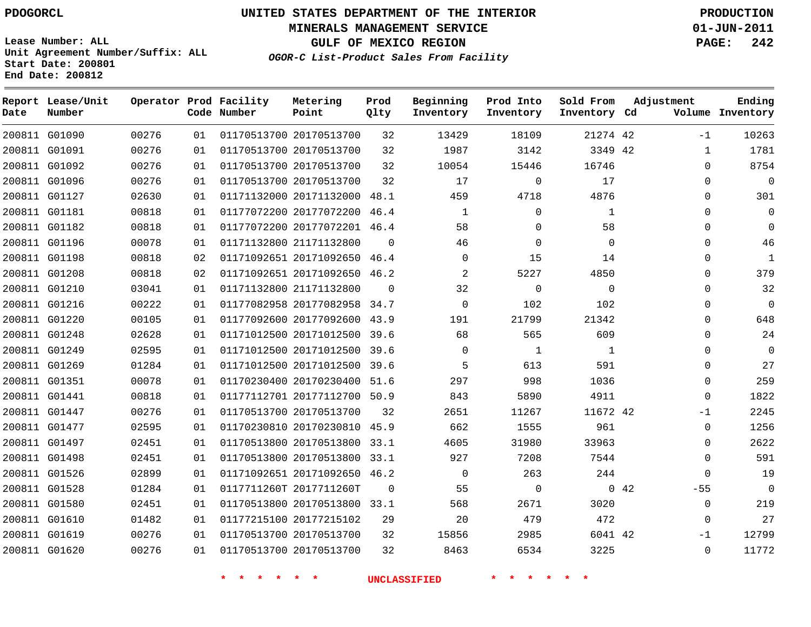**Start Date: 200801 End Date: 200812**

**Unit Agreement Number/Suffix: ALL**

# **UNITED STATES DEPARTMENT OF THE INTERIOR PDOGORCL PRODUCTION**

**MINERALS MANAGEMENT SERVICE 01-JUN-2011**

**GULF OF MEXICO REGION PAGE: 242**

**OGOR-C List-Product Sales From Facility**

 G01090 G01091 G01092 G01096 G01127 G01181 G01182 G01196 G01198 G01208 G01210 G01216 G01220 G01248 G01249 G01269 G01351 G01441 G01447 G01477 G01497 G01498 G01526 G01528 G01580 G01610 G01619 G01620 **Report Lease/Unit Date Number Operator Prod Facility Code Number** 20170513700 20170513700 20170513700 20170513700 20171132000 48.1 20177072200 20177072201 46.4 21171132800 20171092650 46.4 20171092650 46.2 21171132800 20177082958 34.7 20177092600 43.9 20171012500 39.6 20171012500 39.6 20171012500 39.6 20170230400 51.6 20177112700 50.9 20170513700 20170230810 45.9 20170513800 33.1 20170513800 33.1 20171092650 46.2 0117711260T 2017711260T 20170513800 33.1 20177215102 20170513700 20170513700 **Metering Point** 42 42 42 42 42 46.4  $\Omega$   $\Omega$  **Prod Qlty**  $\Omega$   $\Omega$   $\Omega$  **Beginning Inventory**  $\Omega$   $\Omega$  $\Omega$   $\Omega$   $\Omega$  **Ending Inventory Cd Volume**  $\Omega$   $\Omega$  $\Omega$  $\Omega$   $\Omega$   $\Omega$  **Prod Into Inventory**  $\Omega$   $\Omega$  **Sold From Inventory**  $-1$   $\cap$  $\Omega$  $\Omega$  $\Omega$  $\Omega$  $\Omega$   $\Omega$   $\Omega$   $\Omega$   $\Omega$  $\Omega$ -1  $\Omega$  $\Omega$  $\Omega$  $\Omega$ -55  $\Omega$  $\Omega$ -1  $\Omega$ **Adjustment**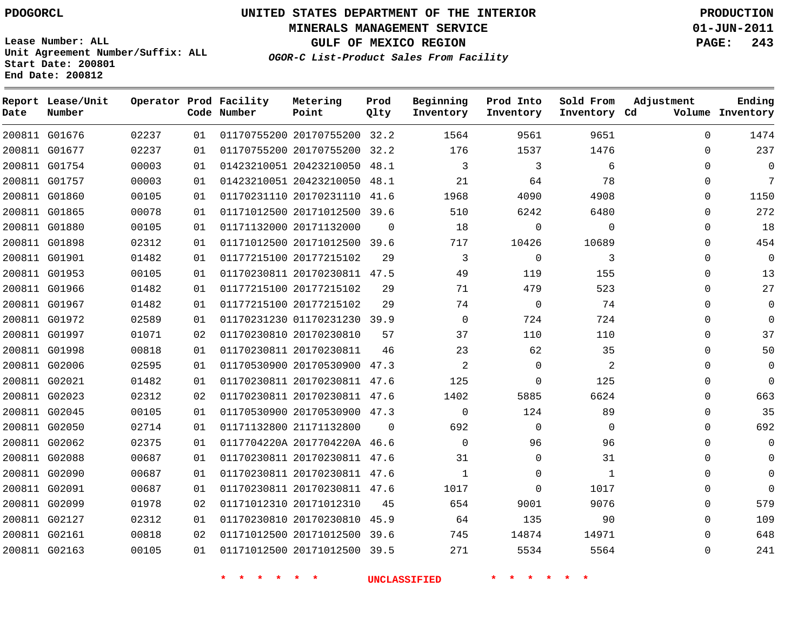**Start Date: 200801 End Date: 200812**

**Unit Agreement Number/Suffix: ALL**

# **UNITED STATES DEPARTMENT OF THE INTERIOR PDOGORCL PRODUCTION**

**MINERALS MANAGEMENT SERVICE 01-JUN-2011**

**GULF OF MEXICO REGION PAGE: 243**

**OGOR-C List-Product Sales From Facility**

| Date | Report Lease/Unit<br>Number |       |    | Operator Prod Facility<br>Code Number | Metering<br>Point            | Prod<br>Qlty | Beginning<br>Inventory | Prod Into<br>Inventory | Sold From<br>Inventory Cd | Adjustment | Ending<br>Volume Inventory |
|------|-----------------------------|-------|----|---------------------------------------|------------------------------|--------------|------------------------|------------------------|---------------------------|------------|----------------------------|
|      | 200811 G01676               | 02237 | 01 |                                       | 01170755200 20170755200 32.2 |              | 1564                   | 9561                   | 9651                      | $\Omega$   | 1474                       |
|      | 200811 G01677               | 02237 | 01 |                                       | 01170755200 20170755200      | 32.2         | 176                    | 1537                   | 1476                      | $\Omega$   | 237                        |
|      | 200811 G01754               | 00003 | 01 |                                       | 01423210051 20423210050      | 48.1         | 3                      | 3                      | 6                         | 0          | $\Omega$                   |
|      | 200811 G01757               | 00003 | 01 |                                       | 01423210051 20423210050      | 48.1         | 21                     | 64                     | 78                        | $\Omega$   | 7                          |
|      | 200811 G01860               | 00105 | 01 |                                       | 01170231110 20170231110      | 41.6         | 1968                   | 4090                   | 4908                      | $\Omega$   | 1150                       |
|      | 200811 G01865               | 00078 | 01 |                                       | 01171012500 20171012500 39.6 |              | 510                    | 6242                   | 6480                      | $\Omega$   | 272                        |
|      | 200811 G01880               | 00105 | 01 |                                       | 01171132000 20171132000      | $\Omega$     | 18                     | $\overline{0}$         | $\mathbf 0$               | $\Omega$   | 18                         |
|      | 200811 G01898               | 02312 | 01 |                                       | 01171012500 20171012500 39.6 |              | 717                    | 10426                  | 10689                     | 0          | 454                        |
|      | 200811 G01901               | 01482 | 01 |                                       | 01177215100 20177215102      | 29           | 3                      | $\mathbf 0$            | 3                         | 0          | $\overline{0}$             |
|      | 200811 G01953               | 00105 | 01 |                                       | 01170230811 20170230811      | 47.5         | 49                     | 119                    | 155                       | 0          | 13                         |
|      | 200811 G01966               | 01482 | 01 |                                       | 01177215100 20177215102      | 29           | 71                     | 479                    | 523                       | $\Omega$   | 27                         |
|      | 200811 G01967               | 01482 | 01 |                                       | 01177215100 20177215102      | 29           | 74                     | 0                      | 74                        | 0          | $\overline{0}$             |
|      | 200811 G01972               | 02589 | 01 |                                       | 01170231230 01170231230 39.9 |              | $\mathsf 0$            | 724                    | 724                       | $\Omega$   | $\Omega$                   |
|      | 200811 G01997               | 01071 | 02 |                                       | 01170230810 20170230810      | 57           | 37                     | 110                    | 110                       | $\Omega$   | 37                         |
|      | 200811 G01998               | 00818 | 01 |                                       | 01170230811 20170230811      | 46           | 23                     | 62                     | 35                        | $\Omega$   | 50                         |
|      | 200811 G02006               | 02595 | 01 |                                       | 01170530900 20170530900      | 47.3         | $\overline{c}$         | $\mathbf 0$            | $\overline{a}$            | $\Omega$   | $\Omega$                   |
|      | 200811 G02021               | 01482 | 01 |                                       | 01170230811 20170230811 47.6 |              | 125                    | $\Omega$               | 125                       | 0          | $\Omega$                   |
|      | 200811 G02023               | 02312 | 02 |                                       | 01170230811 20170230811 47.6 |              | 1402                   | 5885                   | 6624                      | 0          | 663                        |
|      | 200811 G02045               | 00105 | 01 |                                       | 01170530900 20170530900      | 47.3         | $\mathbf 0$            | 124                    | 89                        | 0          | 35                         |
|      | 200811 G02050               | 02714 | 01 |                                       | 01171132800 21171132800      | $\Omega$     | 692                    | $\mathbf 0$            | $\mathbf 0$               | $\Omega$   | 692                        |
|      | 200811 G02062               | 02375 | 01 |                                       | 0117704220A 2017704220A 46.6 |              | $\mathsf 0$            | 96                     | 96                        | 0          | $\mathbf 0$                |
|      | 200811 G02088               | 00687 | 01 |                                       | 01170230811 20170230811 47.6 |              | 31                     | $\Omega$               | 31                        | $\Omega$   | $\Omega$                   |
|      | 200811 G02090               | 00687 | 01 |                                       | 01170230811 20170230811 47.6 |              | $\mathbf{1}$           | $\Omega$               | $\mathbf{1}$              | $\Omega$   | $\Omega$                   |
|      | 200811 G02091               | 00687 | 01 |                                       | 01170230811 20170230811 47.6 |              | 1017                   | $\Omega$               | 1017                      | $\Omega$   | $\Omega$                   |
|      | 200811 G02099               | 01978 | 02 |                                       | 01171012310 20171012310      | 45           | 654                    | 9001                   | 9076                      | $\Omega$   | 579                        |
|      | 200811 G02127               | 02312 | 01 |                                       | 01170230810 20170230810      | 45.9         | 64                     | 135                    | 90                        | $\Omega$   | 109                        |
|      | 200811 G02161               | 00818 | 02 |                                       | 01171012500 20171012500      | 39.6         | 745                    | 14874                  | 14971                     | $\Omega$   | 648                        |
|      | 200811 G02163               | 00105 | 01 |                                       | 01171012500 20171012500      | 39.5         | 271                    | 5534                   | 5564                      | $\Omega$   | 241                        |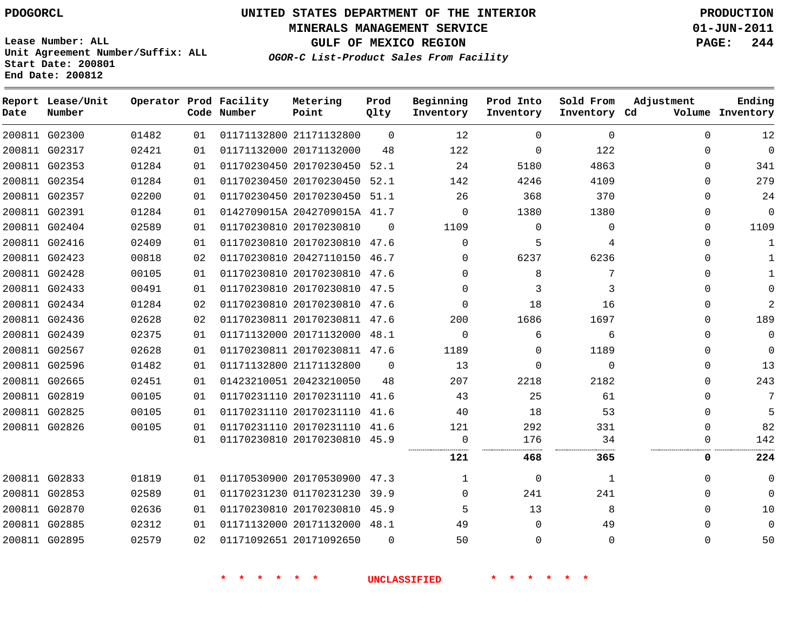**MINERALS MANAGEMENT SERVICE 01-JUN-2011**

**GULF OF MEXICO REGION PAGE: 244**

**Lease Number: ALL Unit Agreement Number/Suffix: ALL Start Date: 200801 End Date: 200812**

**OGOR-C List-Product Sales From Facility**

| Date | Report Lease/Unit<br>Number |       |    | Operator Prod Facility<br>Code Number | Metering<br>Point            | Prod<br>Qlty | Beginning<br>Inventory | Prod Into<br>Inventory | Sold From<br>Inventory Cd | Adjustment | Ending<br>Volume Inventory |
|------|-----------------------------|-------|----|---------------------------------------|------------------------------|--------------|------------------------|------------------------|---------------------------|------------|----------------------------|
|      | 200811 G02300               | 01482 | 01 |                                       | 01171132800 21171132800      | $\Omega$     | 12                     | $\Omega$               | $\Omega$                  | $\Omega$   | 12                         |
|      | 200811 G02317               | 02421 | 01 |                                       | 01171132000 20171132000      | 48           | 122                    | $\Omega$               | 122                       | $\Omega$   | $\mathbf 0$                |
|      | 200811 G02353               | 01284 | 01 |                                       | 01170230450 20170230450      | 52.1         | 24                     | 5180                   | 4863                      | $\Omega$   | 341                        |
|      | 200811 G02354               | 01284 | 01 |                                       | 01170230450 20170230450 52.1 |              | 142                    | 4246                   | 4109                      | $\Omega$   | 279                        |
|      | 200811 G02357               | 02200 | 01 |                                       | 01170230450 20170230450 51.1 |              | 26                     | 368                    | 370                       | 0          | 24                         |
|      | 200811 G02391               | 01284 | 01 |                                       | 0142709015A 2042709015A 41.7 |              | $\Omega$               | 1380                   | 1380                      | $\Omega$   | $\mathbf 0$                |
|      | 200811 G02404               | 02589 | 01 |                                       | 01170230810 20170230810      | $\Omega$     | 1109                   | $\Omega$               | 0                         | $\Omega$   | 1109                       |
|      | 200811 G02416               | 02409 | 01 |                                       | 01170230810 20170230810 47.6 |              | $\Omega$               | 5                      | 4                         | $\Omega$   | 1                          |
|      | 200811 G02423               | 00818 | 02 |                                       | 01170230810 20427110150 46.7 |              | $\Omega$               | 6237                   | 6236                      | $\Omega$   |                            |
|      | 200811 G02428               | 00105 | 01 |                                       | 01170230810 20170230810 47.6 |              | $\Omega$               | 8                      | 7                         | 0          |                            |
|      | 200811 G02433               | 00491 | 01 |                                       | 01170230810 20170230810 47.5 |              | $\Omega$               | 3                      | 3                         | $\Omega$   | $\Omega$                   |
|      | 200811 G02434               | 01284 | 02 |                                       | 01170230810 20170230810 47.6 |              | $\Omega$               | 18                     | 16                        | 0          | 2                          |
|      | 200811 G02436               | 02628 | 02 |                                       | 01170230811 20170230811 47.6 |              | 200                    | 1686                   | 1697                      | $\Omega$   | 189                        |
|      | 200811 G02439               | 02375 | 01 |                                       | 01171132000 20171132000 48.1 |              | $\Omega$               | 6                      | 6                         | $\Omega$   | $\Omega$                   |
|      | 200811 G02567               | 02628 | 01 |                                       | 01170230811 20170230811 47.6 |              | 1189                   | $\Omega$               | 1189                      | $\Omega$   | $\mathbf 0$                |
|      | 200811 G02596               | 01482 | 01 |                                       | 01171132800 21171132800      | $\Omega$     | 13                     | $\Omega$               | $\Omega$                  | $\Omega$   | 13                         |
|      | 200811 G02665               | 02451 | 01 |                                       | 01423210051 20423210050      | 48           | 207                    | 2218                   | 2182                      | $\Omega$   | 243                        |
|      | 200811 G02819               | 00105 | 01 |                                       | 01170231110 20170231110      | 41.6         | 43                     | 25                     | 61                        | $\Omega$   | 7                          |
|      | 200811 G02825               | 00105 | 01 |                                       | 01170231110 20170231110 41.6 |              | 40                     | 18                     | 53                        | $\Omega$   | 5                          |
|      | 200811 G02826               | 00105 | 01 |                                       | 01170231110 20170231110 41.6 |              | 121                    | 292                    | 331                       | $\Omega$   | 82                         |
|      |                             |       | 01 |                                       | 01170230810 20170230810 45.9 |              | $\mathbf 0$            | 176                    | 34                        | 0          | 142                        |
|      |                             |       |    |                                       |                              |              | 121                    | 468                    | 365                       | 0          | 224                        |
|      | 200811 G02833               | 01819 | 01 |                                       | 01170530900 20170530900 47.3 |              | $\mathbf 1$            | $\mathbf 0$            | 1                         | $\Omega$   | $\mathbf 0$                |
|      | 200811 G02853               | 02589 | 01 |                                       | 01170231230 01170231230      | 39.9         | $\Omega$               | 241                    | 241                       | $\Omega$   | $\Omega$                   |
|      | 200811 G02870               | 02636 | 01 |                                       | 01170230810 20170230810 45.9 |              | 5                      | 13                     | 8                         | $\Omega$   | 10                         |
|      | 200811 G02885               | 02312 | 01 |                                       | 01171132000 20171132000 48.1 |              | 49                     | $\Omega$               | 49                        | $\Omega$   | $\Omega$                   |
|      | 200811 G02895               | 02579 | 02 |                                       | 01171092651 20171092650      | 0            | 50                     | 0                      | $\Omega$                  | $\Omega$   | 50                         |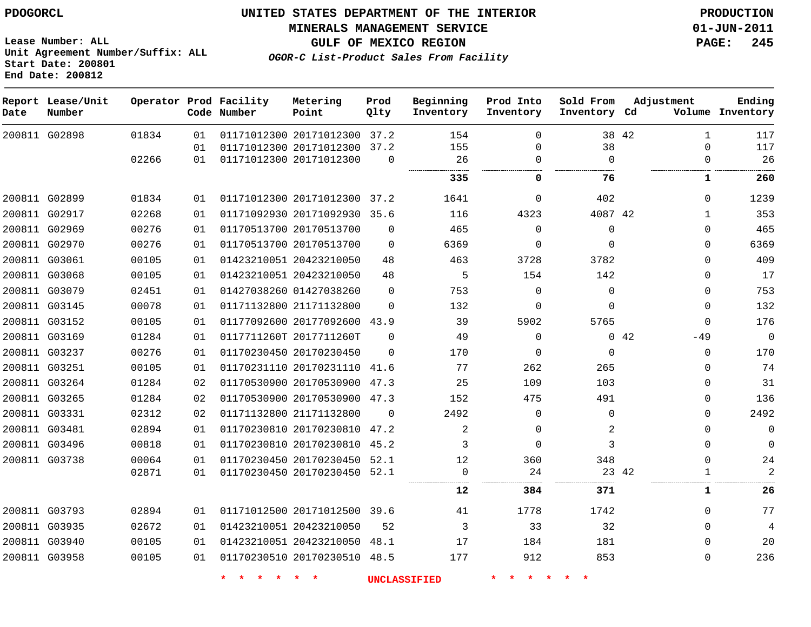**MINERALS MANAGEMENT SERVICE 01-JUN-2011**

**Lease Number: ALL Unit Agreement Number/Suffix: ALL Start Date: 200801 End Date: 200812**

**OGOR-C List-Product Sales From Facility**

**GULF OF MEXICO REGION PAGE: 245**

| Date | Report Lease/Unit<br>Number |       |    | Operator Prod Facility<br>Code Number | Metering<br>Point            | Prod<br>Qlty | Beginning<br>Inventory | Prod Into<br>Inventory | Sold From<br>Inventory Cd | Adjustment |              | Ending<br>Volume Inventory |
|------|-----------------------------|-------|----|---------------------------------------|------------------------------|--------------|------------------------|------------------------|---------------------------|------------|--------------|----------------------------|
|      | 200811 G02898               | 01834 | 01 |                                       | 01171012300 20171012300      | 37.2         | 154                    | $\mathbf 0$            |                           | 38 42      | $\mathbf 1$  | 117                        |
|      |                             |       | 01 |                                       | 01171012300 20171012300      | 37.2         | 155                    | $\Omega$               | 38                        |            | $\Omega$     | 117                        |
|      |                             | 02266 | 01 |                                       | 01171012300 20171012300      | $\Omega$     | 26                     | 0                      | $\Omega$                  |            | $\Omega$     | 26                         |
|      |                             |       |    |                                       |                              |              | 335                    | 0                      | 76                        |            | 1            | 260                        |
|      | 200811 G02899               | 01834 | 01 |                                       | 01171012300 20171012300 37.2 |              | 1641                   | 0                      | 402                       |            | $\Omega$     | 1239                       |
|      | 200811 G02917               | 02268 | 01 |                                       | 01171092930 20171092930 35.6 |              | 116                    | 4323                   | 4087 42                   |            | $\mathbf{1}$ | 353                        |
|      | 200811 G02969               | 00276 | 01 |                                       | 01170513700 20170513700      | $\Omega$     | 465                    | $\mathbf 0$            | $\Omega$                  |            | $\Omega$     | 465                        |
|      | 200811 G02970               | 00276 | 01 |                                       | 01170513700 20170513700      | $\Omega$     | 6369                   | $\Omega$               | $\Omega$                  |            | $\Omega$     | 6369                       |
|      | 200811 G03061               | 00105 | 01 |                                       | 01423210051 20423210050      | 48           | 463                    | 3728                   | 3782                      |            | $\Omega$     | 409                        |
|      | 200811 G03068               | 00105 | 01 |                                       | 01423210051 20423210050      | 48           | 5                      | 154                    | 142                       |            | $\Omega$     | 17                         |
|      | 200811 G03079               | 02451 | 01 |                                       | 01427038260 01427038260      | $\Omega$     | 753                    | $\mathbf 0$            | $\Omega$                  |            | $\Omega$     | 753                        |
|      | 200811 G03145               | 00078 | 01 |                                       | 01171132800 21171132800      | $\Omega$     | 132                    | $\mathbf 0$            | $\Omega$                  |            | $\Omega$     | 132                        |
|      | 200811 G03152               | 00105 | 01 |                                       | 01177092600 20177092600 43.9 |              | 39                     | 5902                   | 5765                      |            | $\Omega$     | 176                        |
|      | 200811 G03169               | 01284 | 01 |                                       | 0117711260T 2017711260T      | $\Omega$     | 49                     | $\mathbf 0$            |                           | 0, 42      | $-49$        | 0                          |
|      | 200811 G03237               | 00276 | 01 |                                       | 01170230450 20170230450      | $\Omega$     | 170                    | $\mathbf 0$            | $\Omega$                  |            | $\Omega$     | 170                        |
|      | 200811 G03251               | 00105 | 01 |                                       | 01170231110 20170231110 41.6 |              | 77                     | 262                    | 265                       |            | $\Omega$     | 74                         |
|      | 200811 G03264               | 01284 | 02 |                                       | 01170530900 20170530900 47.3 |              | 25                     | 109                    | 103                       |            | $\Omega$     | 31                         |
|      | 200811 G03265               | 01284 | 02 |                                       | 01170530900 20170530900 47.3 |              | 152                    | 475                    | 491                       |            | $\Omega$     | 136                        |
|      | 200811 G03331               | 02312 | 02 |                                       | 01171132800 21171132800      | $\Omega$     | 2492                   | $\mathbf 0$            | $\mathbf 0$               |            | $\Omega$     | 2492                       |
|      | 200811 G03481               | 02894 | 01 |                                       | 01170230810 20170230810 47.2 |              | 2                      | $\mathbf 0$            | 2                         |            | $\Omega$     | 0                          |
|      | 200811 G03496               | 00818 | 01 |                                       | 01170230810 20170230810      | 45.2         | 3                      | $\Omega$               | 3                         |            | $\Omega$     | $\Omega$                   |
|      | 200811 G03738               | 00064 | 01 |                                       | 01170230450 20170230450 52.1 |              | 12                     | 360                    | 348                       |            | $\Omega$     | 24                         |
|      |                             | 02871 | 01 |                                       | 01170230450 20170230450 52.1 |              | $\Omega$               | 24                     |                           | 23 42      | 1            | $\overline{2}$             |
|      |                             |       |    |                                       |                              |              | 12                     | 384                    | 371                       |            | 1            | 26                         |
|      | 200811 G03793               | 02894 | 01 |                                       | 01171012500 20171012500 39.6 |              | 41                     | 1778                   | 1742                      |            | $\Omega$     | 77                         |
|      | 200811 G03935               | 02672 | 01 |                                       | 01423210051 20423210050      | 52           | 3                      | 33                     | 32                        |            | $\Omega$     | $\overline{4}$             |
|      | 200811 G03940               | 00105 | 01 |                                       | 01423210051 20423210050      | 48.1         | 17                     | 184                    | 181                       |            | $\Omega$     | 20                         |
|      | 200811 G03958               | 00105 | 01 |                                       | 01170230510 20170230510 48.5 |              | 177                    | 912                    | 853                       |            | $\Omega$     | 236                        |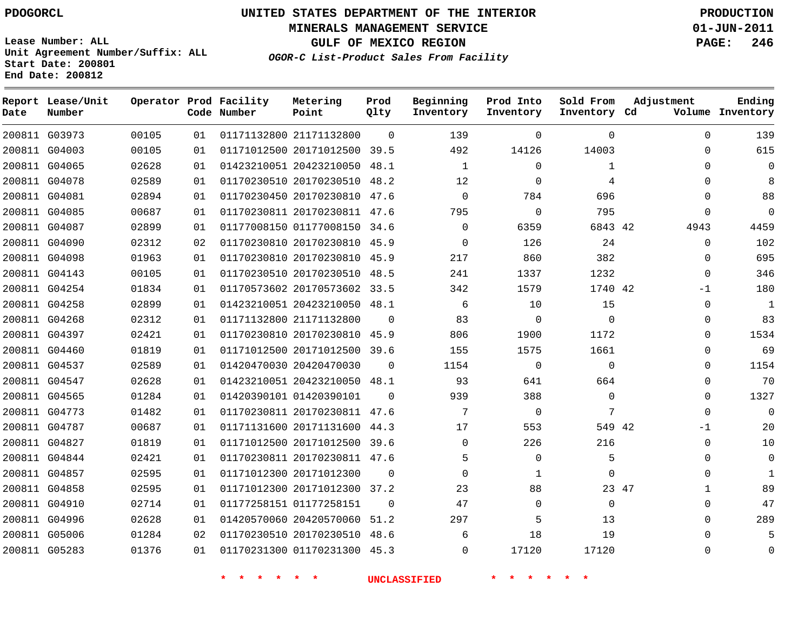**Start Date: 200801 End Date: 200812**

**Unit Agreement Number/Suffix: ALL**

# **UNITED STATES DEPARTMENT OF THE INTERIOR PDOGORCL PRODUCTION**

**MINERALS MANAGEMENT SERVICE 01-JUN-2011**

**GULF OF MEXICO REGION PAGE: 246**

**OGOR-C List-Product Sales From Facility**

| Date | Report Lease/Unit<br>Number |       |    | Operator Prod Facility<br>Code Number | Metering<br>Point            | Prod<br>Olty | Beginning<br>Inventory | Prod Into<br>Inventory | Sold From<br>Inventory Cd | Adjustment            | Ending<br>Volume Inventory |
|------|-----------------------------|-------|----|---------------------------------------|------------------------------|--------------|------------------------|------------------------|---------------------------|-----------------------|----------------------------|
|      | 200811 G03973               | 00105 | 01 |                                       | 01171132800 21171132800      | $\Omega$     | 139                    | $\mathbf 0$            | $\mathbf 0$               | $\Omega$              | 139                        |
|      | 200811 G04003               | 00105 | 01 |                                       | 01171012500 20171012500 39.5 |              | 492                    | 14126                  | 14003                     | $\Omega$              | 615                        |
|      | 200811 G04065               | 02628 | 01 |                                       | 01423210051 20423210050      | 48.1         | $\mathbf 1$            | $\mathbf 0$            | $\mathbf 1$               | $\mathbf 0$           | $\mathbf 0$                |
|      | 200811 G04078               | 02589 | 01 |                                       | 01170230510 20170230510 48.2 |              | 12                     | $\Omega$               | 4                         | $\Omega$              | 8                          |
|      | 200811 G04081               | 02894 | 01 |                                       | 01170230450 20170230810      | 47.6         | $\mathbf 0$            | 784                    | 696                       | $\Omega$              | 88                         |
|      | 200811 G04085               | 00687 | 01 |                                       | 01170230811 20170230811 47.6 |              | 795                    | $\Omega$               | 795                       | $\Omega$              | $\overline{0}$             |
|      | 200811 G04087               | 02899 | 01 |                                       | 01177008150 01177008150      | 34.6         | $\mathbf 0$            | 6359                   | 6843 42                   | 4943                  | 4459                       |
|      | 200811 G04090               | 02312 | 02 |                                       | 01170230810 20170230810      | 45.9         | $\mathbf 0$            | 126                    | 24                        | $\Omega$              | 102                        |
|      | 200811 G04098               | 01963 | 01 |                                       | 01170230810 20170230810      | 45.9         | 217                    | 860                    | 382                       | $\Omega$              | 695                        |
|      | 200811 G04143               | 00105 | 01 |                                       | 01170230510 20170230510      | 48.5         | 241                    | 1337                   | 1232                      | $\Omega$              | 346                        |
|      | 200811 G04254               | 01834 | 01 |                                       | 01170573602 20170573602 33.5 |              | 342                    | 1579                   | 1740 42                   | $-1$                  | 180                        |
|      | 200811 G04258               | 02899 | 01 |                                       | 01423210051 20423210050      | 48.1         | 6                      | 10                     | 15                        | $\Omega$              | <sup>1</sup>               |
|      | 200811 G04268               | 02312 | 01 |                                       | 01171132800 21171132800      | $\Omega$     | 83                     | $\Omega$               | $\Omega$                  | $\Omega$              | 83                         |
|      | 200811 G04397               | 02421 | 01 |                                       | 01170230810 20170230810      | 45.9         | 806                    | 1900                   | 1172                      | $\Omega$              | 1534                       |
|      | 200811 G04460               | 01819 | 01 |                                       | 01171012500 20171012500 39.6 |              | 155                    | 1575                   | 1661                      | $\Omega$              | 69                         |
|      | 200811 G04537               | 02589 | 01 |                                       | 01420470030 20420470030      | $\Omega$     | 1154                   | $\mathbf 0$            | $\mathbf 0$               | $\Omega$              | 1154                       |
|      | 200811 G04547               | 02628 | 01 |                                       | 01423210051 20423210050      | 48.1         | 93                     | 641                    | 664                       | $\Omega$              | 70                         |
|      | 200811 G04565               | 01284 | 01 |                                       | 01420390101 01420390101      | $\Omega$     | 939                    | 388                    | $\mathbf 0$               | $\Omega$              | 1327                       |
|      | 200811 G04773               | 01482 | 01 |                                       | 01170230811 20170230811      | 47.6         | 7                      | $\mathbf 0$            | 7                         | $\Omega$              | $\overline{0}$             |
|      | 200811 G04787               | 00687 | 01 |                                       | 01171131600 20171131600      | 44.3         | 17                     | 553                    | 549 42                    | $-1$                  | 20                         |
|      | 200811 G04827               | 01819 | 01 |                                       | 01171012500 20171012500      | 39.6         | $\mathbf 0$            | 226                    | 216                       | $\mathbf 0$           | 10                         |
|      | 200811 G04844               | 02421 | 01 |                                       | 01170230811 20170230811 47.6 |              | 5                      | $\Omega$               | 5                         | $\Omega$              | $\overline{0}$             |
|      | 200811 G04857               | 02595 | 01 |                                       | 01171012300 20171012300      | $\Omega$     | $\overline{0}$         | $\mathbf 1$            | $\mathbf 0$               | $\Omega$              | $\mathbf{1}$               |
|      | 200811 G04858               | 02595 | 01 |                                       | 01171012300 20171012300 37.2 |              | 23                     | 88                     |                           | 23 47<br>$\mathbf{1}$ | 89                         |
|      | 200811 G04910               | 02714 | 01 |                                       | 01177258151 01177258151      | $\Omega$     | 47                     | $\mathbf 0$            | $\mathbf 0$               | $\Omega$              | 47                         |
|      | 200811 G04996               | 02628 | 01 |                                       | 01420570060 20420570060      | 51.2         | 297                    | 5                      | 13                        | $\Omega$              | 289                        |
|      | 200811 G05006               | 01284 | 02 |                                       | 01170230510 20170230510      | 48.6         | 6                      | 18                     | 19                        | $\Omega$              | 5                          |
|      | 200811 G05283               | 01376 | 01 |                                       | 01170231300 01170231300      | 45.3         | $\Omega$               | 17120                  | 17120                     | $\Omega$              | $\Omega$                   |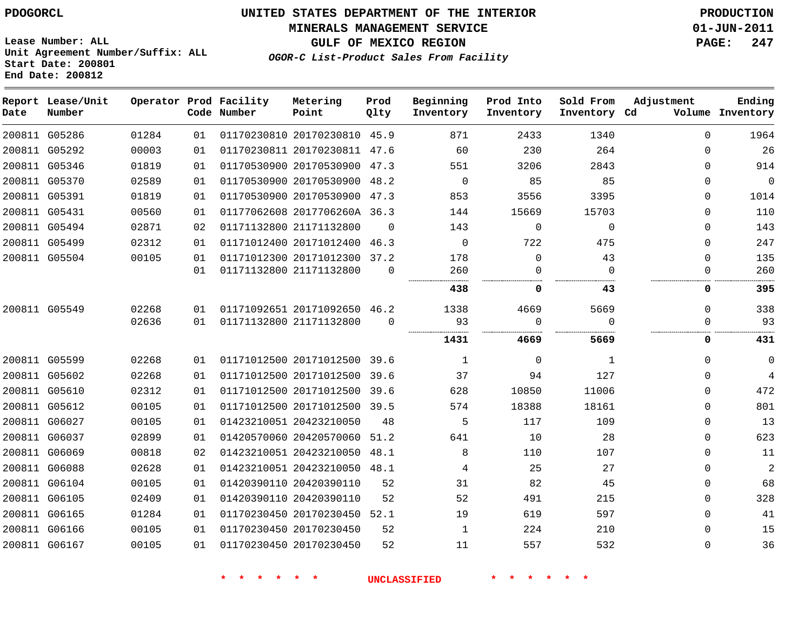#### **MINERALS MANAGEMENT SERVICE 01-JUN-2011**

**GULF OF MEXICO REGION PAGE: 247**

**Lease Number: ALL Unit Agreement Number/Suffix: ALL Start Date: 200801 End Date: 200812**

**OGOR-C List-Product Sales From Facility**

| Date | Report Lease/Unit<br>Number |       |    | Operator Prod Facility<br>Code Number | Metering<br>Point            | Prod<br>Qlty | Beginning<br>Inventory | Prod Into<br>Inventory | Sold From<br>Inventory Cd | Adjustment | Ending<br>Volume Inventory |
|------|-----------------------------|-------|----|---------------------------------------|------------------------------|--------------|------------------------|------------------------|---------------------------|------------|----------------------------|
|      | 200811 G05286               | 01284 | 01 |                                       | 01170230810 20170230810 45.9 |              | 871                    | 2433                   | 1340                      | $\Omega$   | 1964                       |
|      | 200811 G05292               | 00003 | 01 |                                       | 01170230811 20170230811 47.6 |              | 60                     | 230                    | 264                       | $\Omega$   | 26                         |
|      | 200811 G05346               | 01819 | 01 |                                       | 01170530900 20170530900 47.3 |              | 551                    | 3206                   | 2843                      | 0          | 914                        |
|      | 200811 G05370               | 02589 | 01 |                                       | 01170530900 20170530900      | 48.2         | 0                      | 85                     | 85                        | $\Omega$   | 0                          |
|      | 200811 G05391               | 01819 | 01 |                                       | 01170530900 20170530900      | 47.3         | 853                    | 3556                   | 3395                      | 0          | 1014                       |
|      | 200811 G05431               | 00560 | 01 |                                       | 01177062608 2017706260A 36.3 |              | 144                    | 15669                  | 15703                     | 0          | 110                        |
|      | 200811 G05494               | 02871 | 02 |                                       | 01171132800 21171132800      | $\Omega$     | 143                    | $\Omega$               | $\Omega$                  | $\Omega$   | 143                        |
|      | 200811 G05499               | 02312 | 01 |                                       | 01171012400 20171012400      | 46.3         | $\Omega$               | 722                    | 475                       | $\Omega$   | 247                        |
|      | 200811 G05504               | 00105 | 01 |                                       | 01171012300 20171012300      | 37.2         | 178                    | $\mathbf 0$            | 43                        | $\Omega$   | 135                        |
|      |                             |       | 01 |                                       | 01171132800 21171132800      | $\Omega$     | 260                    | $\Omega$               | $\Omega$                  | $\Omega$   | 260                        |
|      |                             |       |    |                                       |                              |              | 438                    | 0                      | 43                        | 0          | 395                        |
|      | 200811 G05549               | 02268 | 01 |                                       | 01171092651 20171092650 46.2 |              | 1338                   | 4669                   | 5669                      | $\Omega$   | 338                        |
|      |                             | 02636 | 01 |                                       | 01171132800 21171132800      | $\Omega$     | 93                     | $\Omega$               | $\Omega$                  | 0          | 93                         |
|      |                             |       |    |                                       |                              |              | 1431                   | .<br>4669              | .<br>5669                 | 0          | 431                        |
|      | 200811 G05599               | 02268 | 01 |                                       | 01171012500 20171012500 39.6 |              | 1                      | 0                      | 1                         | $\Omega$   | 0                          |
|      | 200811 G05602               | 02268 | 01 |                                       | 01171012500 20171012500      | 39.6         | 37                     | 94                     | 127                       | $\Omega$   | 4                          |
|      | 200811 G05610               | 02312 | 01 |                                       | 01171012500 20171012500 39.6 |              | 628                    | 10850                  | 11006                     | 0          | 472                        |
|      | 200811 G05612               | 00105 | 01 |                                       | 01171012500 20171012500 39.5 |              | 574                    | 18388                  | 18161                     | $\Omega$   | 801                        |
|      | 200811 G06027               | 00105 | 01 |                                       | 01423210051 20423210050      | 48           | 5                      | 117                    | 109                       | 0          | 13                         |
|      | 200811 G06037               | 02899 | 01 |                                       | 01420570060 20420570060      | 51.2         | 641                    | 10                     | 28                        | 0          | 623                        |
|      | 200811 G06069               | 00818 | 02 |                                       | 01423210051 20423210050      | 48.1         | 8                      | 110                    | 107                       | $\Omega$   | 11                         |
|      | 200811 G06088               | 02628 | 01 |                                       | 01423210051 20423210050 48.1 |              | 4                      | 25                     | 27                        | 0          | 2                          |
|      | 200811 G06104               | 00105 | 01 |                                       | 01420390110 20420390110      | 52           | 31                     | 82                     | 45                        | 0          | 68                         |
|      | 200811 G06105               | 02409 | 01 |                                       | 01420390110 20420390110      | 52           | 52                     | 491                    | 215                       | $\Omega$   | 328                        |
|      | 200811 G06165               | 01284 | 01 |                                       | 01170230450 20170230450 52.1 |              | 19                     | 619                    | 597                       | $\Omega$   | 41                         |
|      | 200811 G06166               | 00105 | 01 |                                       | 01170230450 20170230450      | 52           | 1                      | 224                    | 210                       | $\Omega$   | 15                         |
|      | 200811 G06167               | 00105 | 01 |                                       | 01170230450 20170230450      | 52           | 11                     | 557                    | 532                       | $\Omega$   | 36                         |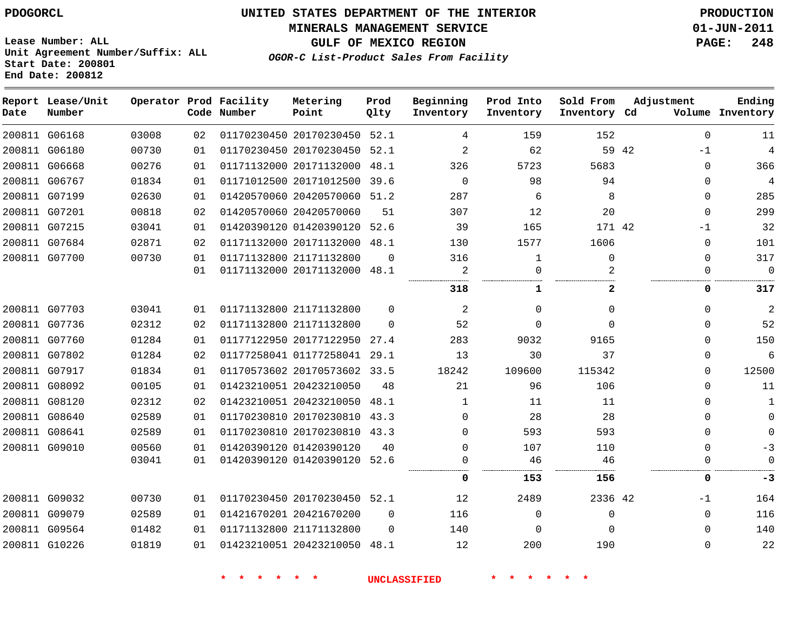**MINERALS MANAGEMENT SERVICE 01-JUN-2011**

**GULF OF MEXICO REGION PAGE: 248**

**Lease Number: ALL Unit Agreement Number/Suffix: ALL Start Date: 200801 End Date: 200812**

|  | OGOR-C List-Product Sales From Facility |  |  |  |
|--|-----------------------------------------|--|--|--|
|--|-----------------------------------------|--|--|--|

| Date | Report Lease/Unit<br>Number |       |    | Operator Prod Facility<br>Code Number | Metering<br>Point            | Prod<br>Qlty | Beginning<br>Inventory | Prod Into<br>Inventory | Sold From<br>Inventory Cd | Adjustment    | Ending<br>Volume Inventory |
|------|-----------------------------|-------|----|---------------------------------------|------------------------------|--------------|------------------------|------------------------|---------------------------|---------------|----------------------------|
|      | 200811 G06168               | 03008 | 02 |                                       | 01170230450 20170230450 52.1 |              | 4                      | 159                    | 152                       | $\Omega$      | 11                         |
|      | 200811 G06180               | 00730 | 01 |                                       | 01170230450 20170230450 52.1 |              | 2                      | 62                     |                           | 59 42<br>$-1$ | $\overline{4}$             |
|      | 200811 G06668               | 00276 | 01 |                                       | 01171132000 20171132000      | 48.1         | 326                    | 5723                   | 5683                      | $\Omega$      | 366                        |
|      | 200811 G06767               | 01834 | 01 |                                       | 01171012500 20171012500      | 39.6         | $\Omega$               | 98                     | 94                        | $\Omega$      | $\overline{4}$             |
|      | 200811 G07199               | 02630 | 01 |                                       | 01420570060 20420570060      | 51.2         | 287                    | 6                      | 8                         | $\Omega$      | 285                        |
|      | 200811 G07201               | 00818 | 02 |                                       | 01420570060 20420570060      | 51           | 307                    | 12                     | 20                        | $\mathbf 0$   | 299                        |
|      | 200811 G07215               | 03041 | 01 |                                       | 01420390120 01420390120      | 52.6         | 39                     | 165                    | 171 42                    | $-1$          | 32                         |
|      | 200811 G07684               | 02871 | 02 |                                       | 01171132000 20171132000      | 48.1         | 130                    | 1577                   | 1606                      | $\mathbf 0$   | 101                        |
|      | 200811 G07700               | 00730 | 01 |                                       | 01171132800 21171132800      | $\Omega$     | 316                    | 1                      | $\Omega$                  | $\mathbf 0$   | 317                        |
|      |                             |       | 01 |                                       | 01171132000 20171132000      | 48.1         | 2                      | $\Omega$               | $\mathfrak{D}$            | $\Omega$      | $\mathbf 0$                |
|      |                             |       |    |                                       |                              |              | 318                    | 1                      | 2                         | 0             | 317                        |
|      | 200811 G07703               | 03041 | 01 |                                       | 01171132800 21171132800      | $\Omega$     | 2                      | $\Omega$               | $\Omega$                  | $\Omega$      | $\overline{2}$             |
|      | 200811 G07736               | 02312 | 02 |                                       | 01171132800 21171132800      | $\Omega$     | 52                     | $\Omega$               | $\Omega$                  | $\mathbf 0$   | 52                         |
|      | 200811 G07760               | 01284 | 01 |                                       | 01177122950 20177122950      | 27.4         | 283                    | 9032                   | 9165                      | $\mathbf 0$   | 150                        |
|      | 200811 G07802               | 01284 | 02 |                                       | 01177258041 01177258041 29.1 |              | 13                     | 30                     | 37                        | $\mathbf 0$   | 6                          |
|      | 200811 G07917               | 01834 | 01 |                                       | 01170573602 20170573602 33.5 |              | 18242                  | 109600                 | 115342                    | $\mathbf 0$   | 12500                      |
|      | 200811 G08092               | 00105 | 01 |                                       | 01423210051 20423210050      | 48           | 21                     | 96                     | 106                       | $\Omega$      | 11                         |
|      | 200811 G08120               | 02312 | 02 |                                       | 01423210051 20423210050      | 48.1         | 1                      | 11                     | 11                        | $\Omega$      | $\mathbf{1}$               |
|      | 200811 G08640               | 02589 | 01 |                                       | 01170230810 20170230810 43.3 |              | $\Omega$               | 28                     | 28                        | $\Omega$      | $\mathbf 0$                |
|      | 200811 G08641               | 02589 | 01 |                                       | 01170230810 20170230810 43.3 |              | $\Omega$               | 593                    | 593                       | $\Omega$      | $\Omega$                   |
|      | 200811 G09010               | 00560 | 01 |                                       | 01420390120 01420390120      | 40           | 0                      | 107                    | 110                       | $\Omega$      | $-3$                       |
|      |                             | 03041 | 01 |                                       | 01420390120 01420390120 52.6 |              | 0                      | 46                     | 46                        | 0             | $\mathbf{0}$               |
|      |                             |       |    |                                       |                              |              | 0                      | 153                    | 156                       | 0             | -3                         |
|      | 200811 G09032               | 00730 | 01 |                                       | 01170230450 20170230450 52.1 |              | 12                     | 2489                   | 2336 42                   | $-1$          | 164                        |
|      | 200811 G09079               | 02589 | 01 |                                       | 01421670201 20421670200      | $\Omega$     | 116                    | $\Omega$               | $\mathbf 0$               | $\Omega$      | 116                        |
|      | 200811 G09564               | 01482 | 01 |                                       | 01171132800 21171132800      | $\Omega$     | 140                    | $\Omega$               | $\Omega$                  | $\Omega$      | 140                        |
|      | 200811 G10226               | 01819 | 01 |                                       | 01423210051 20423210050 48.1 |              | 12                     | 200                    | 190                       | $\Omega$      | 22                         |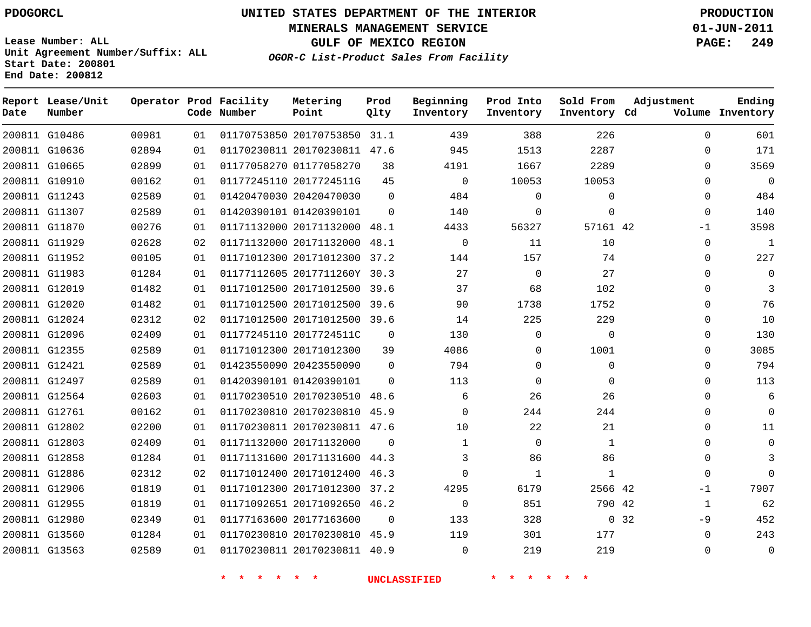**Start Date: 200801 End Date: 200812**

**Unit Agreement Number/Suffix: ALL**

# **UNITED STATES DEPARTMENT OF THE INTERIOR PDOGORCL PRODUCTION**

**MINERALS MANAGEMENT SERVICE 01-JUN-2011**

**GULF OF MEXICO REGION PAGE: 249**

**OGOR-C List-Product Sales From Facility**

| Date | Report Lease/Unit<br>Number |       |                | Operator Prod Facility<br>Code Number | Metering<br>Point            | Prod<br>Olty | Beginning<br>Inventory | Prod Into<br>Inventory | Sold From<br>Inventory Cd | Adjustment    | Ending<br>Volume Inventory |
|------|-----------------------------|-------|----------------|---------------------------------------|------------------------------|--------------|------------------------|------------------------|---------------------------|---------------|----------------------------|
|      | 200811 G10486               | 00981 | 01             |                                       | 01170753850 20170753850 31.1 |              | 439                    | 388                    | 226                       | $\Omega$      | 601                        |
|      | 200811 G10636               | 02894 | 01             |                                       | 01170230811 20170230811      | 47.6         | 945                    | 1513                   | 2287                      | $\Omega$      | 171                        |
|      | 200811 G10665               | 02899 | 01             |                                       | 01177058270 01177058270      | 38           | 4191                   | 1667                   | 2289                      | $\mathbf 0$   | 3569                       |
|      | 200811 G10910               | 00162 | 01             |                                       | 01177245110 2017724511G      | 45           | $\mathbf 0$            | 10053                  | 10053                     | $\Omega$      | $\Omega$                   |
|      | 200811 G11243               | 02589 | 01             |                                       | 01420470030 20420470030      | $\Omega$     | 484                    | $\mathbf 0$            | $\mathbf 0$               | $\mathbf 0$   | 484                        |
|      | 200811 G11307               | 02589 | 01             |                                       | 01420390101 01420390101      | $\Omega$     | 140                    | $\mathbf 0$            | $\mathbf 0$               | $\Omega$      | 140                        |
|      | 200811 G11870               | 00276 | 01             |                                       | 01171132000 20171132000      | 48.1         | 4433                   | 56327                  | 57161 42                  | $-1$          | 3598                       |
|      | 200811 G11929               | 02628 | 02             |                                       | 01171132000 20171132000      | 48.1         | $\mathbf 0$            | 11                     | 10                        | $\mathbf 0$   | $\overline{1}$             |
|      | 200811 G11952               | 00105 | 01             |                                       | 01171012300 20171012300      | 37.2         | 144                    | 157                    | 74                        | $\Omega$      | 227                        |
|      | 200811 G11983               | 01284 | 01             |                                       | 01177112605 2017711260Y      | 30.3         | 27                     | $\mathbf 0$            | 27                        | $\Omega$      | $\mathbf 0$                |
|      | 200811 G12019               | 01482 | 01             |                                       | 01171012500 20171012500 39.6 |              | 37                     | 68                     | 102                       | $\Omega$      | 3                          |
|      | 200811 G12020               | 01482 | 01             |                                       | 01171012500 20171012500      | 39.6         | 90                     | 1738                   | 1752                      | $\Omega$      | 76                         |
|      | 200811 G12024               | 02312 | 0 <sub>2</sub> |                                       | 01171012500 20171012500 39.6 |              | 14                     | 225                    | 229                       | $\Omega$      | 10                         |
|      | 200811 G12096               | 02409 | 01             |                                       | 01177245110 2017724511C      | $\Omega$     | 130                    | $\mathbf 0$            | $\mathbf 0$               | $\Omega$      | 130                        |
|      | 200811 G12355               | 02589 | 01             |                                       | 01171012300 20171012300      | 39           | 4086                   | $\Omega$               | 1001                      | $\Omega$      | 3085                       |
|      | 200811 G12421               | 02589 | 01             |                                       | 01423550090 20423550090      | $\Omega$     | 794                    | $\mathbf 0$            | $\mathbf 0$               | $\Omega$      | 794                        |
|      | 200811 G12497               | 02589 | 01             |                                       | 01420390101 01420390101      | $\Omega$     | 113                    | $\mathbf 0$            | $\mathbf 0$               | $\mathbf 0$   | 113                        |
|      | 200811 G12564               | 02603 | 01             |                                       | 01170230510 20170230510      | 48.6         | 6                      | 26                     | 26                        | $\mathbf 0$   | 6                          |
|      | 200811 G12761               | 00162 | 01             |                                       | 01170230810 20170230810      | 45.9         | $\mathbf 0$            | 244                    | 244                       | $\mathbf 0$   | $\mathbf 0$                |
|      | 200811 G12802               | 02200 | 01             |                                       | 01170230811 20170230811 47.6 |              | 10                     | 22                     | 21                        | $\Omega$      | 11                         |
|      | 200811 G12803               | 02409 | 01             |                                       | 01171132000 20171132000      | $\Omega$     | $\mathbf 1$            | $\mathbf 0$            | $\mathbf 1$               | $\mathbf 0$   | $\mathbf 0$                |
|      | 200811 G12858               | 01284 | 01             |                                       | 01171131600 20171131600      | 44.3         | 3                      | 86                     | 86                        | $\Omega$      | 3                          |
|      | 200811 G12886               | 02312 | 02             |                                       | 01171012400 20171012400      | 46.3         | $\mathbf 0$            | $\mathbf{1}$           | $\mathbf{1}$              | $\Omega$      | $\Omega$                   |
|      | 200811 G12906               | 01819 | 01             |                                       | 01171012300 20171012300      | 37.2         | 4295                   | 6179                   | 2566 42                   | $-1$          | 7907                       |
|      | 200811 G12955               | 01819 | 01             |                                       | 01171092651 20171092650      | 46.2         | $\mathbf 0$            | 851                    | 790 42                    | $\mathbf{1}$  | 62                         |
|      | 200811 G12980               | 02349 | 01             |                                       | 01177163600 20177163600      | $\Omega$     | 133                    | 328                    |                           | 0, 32<br>$-9$ | 452                        |
|      | 200811 G13560               | 01284 | 01             |                                       | 01170230810 20170230810      | 45.9         | 119                    | 301                    | 177                       | $\Omega$      | 243                        |
|      | 200811 G13563               | 02589 | 01             |                                       | 01170230811 20170230811      | 40.9         | $\Omega$               | 219                    | 219                       | $\Omega$      | $\Omega$                   |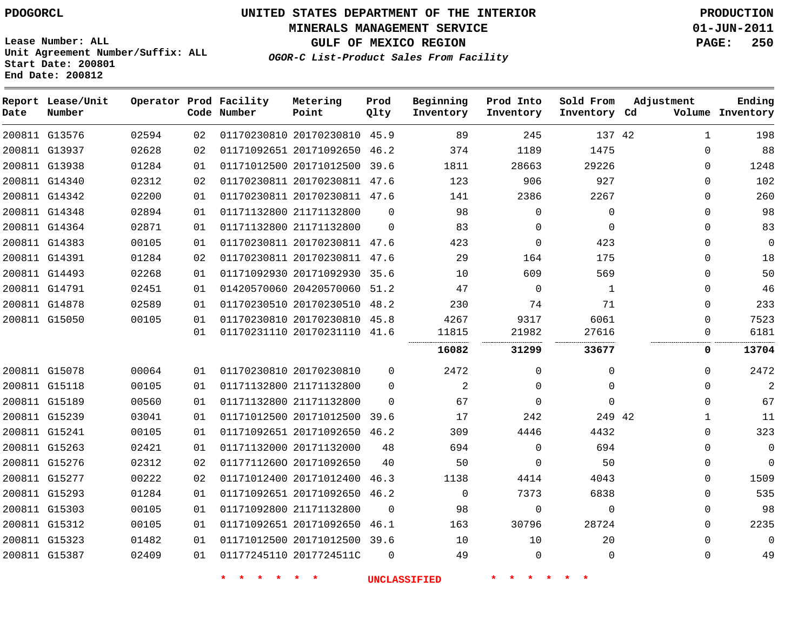**MINERALS MANAGEMENT SERVICE 01-JUN-2011**

**GULF OF MEXICO REGION PAGE: 250**

**Lease Number: ALL Unit Agreement Number/Suffix: ALL Start Date: 200801 End Date: 200812**

**OGOR-C List-Product Sales From Facility**

| Report Lease/Unit |       |    | Operator Prod Facility<br>Code Number | Metering<br>Point            | Prod<br>Qlty | Beginning<br>Inventory | Prod Into<br>Inventory | Sold From<br>Inventory Cd | Adjustment |              | Ending<br>Volume Inventory |
|-------------------|-------|----|---------------------------------------|------------------------------|--------------|------------------------|------------------------|---------------------------|------------|--------------|----------------------------|
|                   | 02594 | 02 |                                       | 01170230810 20170230810 45.9 |              | 89                     | 245                    | 137 42                    |            | $\mathbf{1}$ | 198                        |
|                   | 02628 | 02 |                                       | 01171092651 20171092650      | 46.2         | 374                    | 1189                   | 1475                      |            | $\Omega$     | 88                         |
|                   | 01284 | 01 |                                       | 01171012500 20171012500 39.6 |              | 1811                   | 28663                  | 29226                     |            | $\Omega$     | 1248                       |
|                   | 02312 | 02 |                                       | 01170230811 20170230811 47.6 |              | 123                    | 906                    | 927                       |            | $\Omega$     | 102                        |
|                   | 02200 | 01 |                                       | 01170230811 20170230811 47.6 |              | 141                    | 2386                   | 2267                      |            | 0            | 260                        |
|                   | 02894 | 01 |                                       | 01171132800 21171132800      | $\Omega$     | 98                     | $\mathbf 0$            | $\mathbf 0$               |            | $\Omega$     | 98                         |
|                   | 02871 | 01 |                                       | 01171132800 21171132800      | $\Omega$     | 83                     | $\mathbf 0$            | $\Omega$                  |            | $\Omega$     | 83                         |
|                   | 00105 | 01 |                                       | 01170230811 20170230811 47.6 |              | 423                    | $\Omega$               | 423                       |            | $\Omega$     | $\mathbf{0}$               |
|                   | 01284 | 02 |                                       | 01170230811 20170230811 47.6 |              | 29                     | 164                    | 175                       |            | $\mathbf{0}$ | 18                         |
|                   | 02268 | 01 |                                       | 01171092930 20171092930 35.6 |              | 10                     | 609                    | 569                       |            | $\Omega$     | 50                         |
|                   | 02451 | 01 |                                       | 01420570060 20420570060 51.2 |              | 47                     | $\mathbf 0$            | 1                         |            | $\mathbf{0}$ | 46                         |
|                   | 02589 | 01 |                                       | 01170230510 20170230510 48.2 |              | 230                    | 74                     | 71                        |            | $\Omega$     | 233                        |
|                   | 00105 | 01 |                                       | 01170230810 20170230810 45.8 |              | 4267                   | 9317                   | 6061                      |            | $\Omega$     | 7523                       |
|                   |       | 01 |                                       | 01170231110 20170231110 41.6 |              | 11815                  | 21982                  | 27616                     |            | 0            | 6181                       |
|                   |       |    |                                       |                              |              | 16082                  | 31299                  | 33677                     |            | $\mathbf 0$  | 13704                      |
|                   | 00064 | 01 |                                       | 01170230810 20170230810      | $\mathbf 0$  | 2472                   | $\mathbf{0}$           | 0                         |            | $\mathbf 0$  | 2472                       |
|                   | 00105 | 01 |                                       | 01171132800 21171132800      | $\Omega$     | $\overline{a}$         | $\mathbf 0$            | $\Omega$                  |            | $\Omega$     | $\overline{2}$             |
|                   | 00560 | 01 |                                       | 01171132800 21171132800      | $\Omega$     | 67                     | $\Omega$               | $\Omega$                  |            | $\Omega$     | 67                         |
|                   | 03041 | 01 |                                       | 01171012500 20171012500 39.6 |              | 17                     | 242                    | 249 42                    |            | $\mathbf{1}$ | 11                         |
|                   | 00105 | 01 |                                       | 01171092651 20171092650 46.2 |              | 309                    | 4446                   | 4432                      |            | 0            | 323                        |
|                   | 02421 | 01 |                                       | 01171132000 20171132000      | 48           | 694                    | 0                      | 694                       |            | $\mathbf{0}$ | $\mathbf 0$                |
|                   | 02312 | 02 |                                       | 01177112600 20171092650      | 40           | 50                     | $\Omega$               | 50                        |            | $\Omega$     | $\Omega$                   |
|                   | 00222 | 02 |                                       | 01171012400 20171012400      | 46.3         | 1138                   | 4414                   | 4043                      |            | $\Omega$     | 1509                       |
|                   | 01284 | 01 |                                       | 01171092651 20171092650 46.2 |              | $\Omega$               | 7373                   | 6838                      |            | $\Omega$     | 535                        |
|                   | 00105 | 01 |                                       | 01171092800 21171132800      | $\Omega$     | 98                     | $\mathsf 0$            | $\mathbf 0$               |            | $\mathbf{0}$ | 98                         |
|                   | 00105 | 01 |                                       | 01171092651 20171092650 46.1 |              | 163                    | 30796                  | 28724                     |            | $\Omega$     | 2235                       |
|                   | 01482 | 01 |                                       | 01171012500 20171012500 39.6 |              | 10                     | 10                     | 20                        |            | $\Omega$     | $\Omega$                   |
|                   | 02409 | 01 |                                       | 01177245110 2017724511C      | $\Omega$     | 49                     | $\mathbf 0$            | $\Omega$                  |            | $\Omega$     | 49                         |
|                   |       |    |                                       |                              |              |                        |                        |                           |            |              |                            |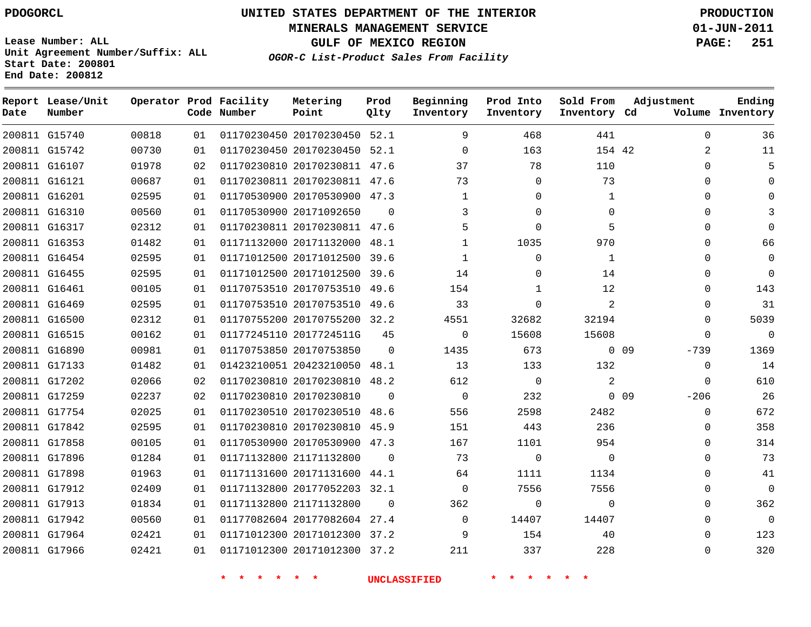**Start Date: 200801 End Date: 200812**

**Unit Agreement Number/Suffix: ALL**

# **UNITED STATES DEPARTMENT OF THE INTERIOR PDOGORCL PRODUCTION**

**MINERALS MANAGEMENT SERVICE 01-JUN-2011**

**GULF OF MEXICO REGION PAGE: 251**

**OGOR-C List-Product Sales From Facility**

| Date | Report Lease/Unit<br>Number |       |    | Operator Prod Facility<br>Code Number | Metering<br>Point            | Prod<br>Qlty | Beginning<br>Inventory | Prod Into<br>Inventory | Sold From<br>Inventory Cd | Adjustment                | Ending<br>Volume Inventory |
|------|-----------------------------|-------|----|---------------------------------------|------------------------------|--------------|------------------------|------------------------|---------------------------|---------------------------|----------------------------|
|      | 200811 G15740               | 00818 | 01 |                                       | 01170230450 20170230450 52.1 |              | 9                      | 468                    | 441                       | $\Omega$                  | 36                         |
|      | 200811 G15742               | 00730 | 01 |                                       | 01170230450 20170230450      | 52.1         | $\mathbf 0$            | 163                    | 154 42                    | 2                         | 11                         |
|      | 200811 G16107               | 01978 | 02 |                                       | 01170230810 20170230811 47.6 |              | 37                     | 78                     | 110                       | $\Omega$                  | 5                          |
|      | 200811 G16121               | 00687 | 01 |                                       | 01170230811 20170230811 47.6 |              | 73                     | $\Omega$               | 73                        | $\Omega$                  | $\Omega$                   |
|      | 200811 G16201               | 02595 | 01 |                                       | 01170530900 20170530900 47.3 |              | $\mathbf 1$            | $\Omega$               | 1                         | $\Omega$                  | $\mathbf 0$                |
|      | 200811 G16310               | 00560 | 01 |                                       | 01170530900 20171092650      | $\Omega$     | 3                      | $\Omega$               | $\Omega$                  | $\Omega$                  | 3                          |
|      | 200811 G16317               | 02312 | 01 |                                       | 01170230811 20170230811 47.6 |              | 5                      | $\Omega$               | 5                         | $\Omega$                  | $\Omega$                   |
|      | 200811 G16353               | 01482 | 01 |                                       | 01171132000 20171132000      | 48.1         | $\mathbf{1}$           | 1035                   | 970                       | $\Omega$                  | 66                         |
|      | 200811 G16454               | 02595 | 01 |                                       | 01171012500 20171012500      | 39.6         | $\mathbf{1}$           | $\mathbf 0$            | $\mathbf{1}$              | $\Omega$                  | $\mathbf 0$                |
|      | 200811 G16455               | 02595 | 01 |                                       | 01171012500 20171012500      | 39.6         | 14                     | $\mathbf 0$            | 14                        | $\Omega$                  | $\mathbf 0$                |
|      | 200811 G16461               | 00105 | 01 |                                       | 01170753510 20170753510      | 49.6         | 154                    | 1                      | 12                        | $\Omega$                  | 143                        |
|      | 200811 G16469               | 02595 | 01 |                                       | 01170753510 20170753510      | 49.6         | 33                     | $\Omega$               | 2                         | $\Omega$                  | 31                         |
|      | 200811 G16500               | 02312 | 01 |                                       | 01170755200 20170755200 32.2 |              | 4551                   | 32682                  | 32194                     | $\Omega$                  | 5039                       |
|      | 200811 G16515               | 00162 | 01 |                                       | 01177245110 2017724511G      | 45           | $\mathsf 0$            | 15608                  | 15608                     | 0                         | $\overline{0}$             |
|      | 200811 G16890               | 00981 | 01 |                                       | 01170753850 20170753850      | $\Omega$     | 1435                   | 673                    |                           | 0 <sub>09</sub><br>$-739$ | 1369                       |
|      | 200811 G17133               | 01482 | 01 |                                       | 01423210051 20423210050      | 48.1         | 13                     | 133                    | 132                       | $\Omega$                  | 14                         |
|      | 200811 G17202               | 02066 | 02 |                                       | 01170230810 20170230810      | 48.2         | 612                    | $\Omega$               | 2                         | $\Omega$                  | 610                        |
|      | 200811 G17259               | 02237 | 02 |                                       | 01170230810 20170230810      | $\Omega$     | $\mathbf{0}$           | 232                    |                           | $0$ 09<br>$-206$          | 26                         |
|      | 200811 G17754               | 02025 | 01 |                                       | 01170230510 20170230510      | 48.6         | 556                    | 2598                   | 2482                      | $\Omega$                  | 672                        |
|      | 200811 G17842               | 02595 | 01 |                                       | 01170230810 20170230810      | 45.9         | 151                    | 443                    | 236                       | $\Omega$                  | 358                        |
|      | 200811 G17858               | 00105 | 01 |                                       | 01170530900 20170530900 47.3 |              | 167                    | 1101                   | 954                       | $\Omega$                  | 314                        |
|      | 200811 G17896               | 01284 | 01 |                                       | 01171132800 21171132800      | $\Omega$     | 73                     | $\Omega$               | $\mathbf 0$               | $\Omega$                  | 73                         |
|      | 200811 G17898               | 01963 | 01 |                                       | 01171131600 20171131600      | 44.1         | 64                     | 1111                   | 1134                      | $\Omega$                  | 41                         |
|      | 200811 G17912               | 02409 | 01 |                                       | 01171132800 20177052203 32.1 |              | $\Omega$               | 7556                   | 7556                      | $\Omega$                  | $\Omega$                   |
|      | 200811 G17913               | 01834 | 01 |                                       | 01171132800 21171132800      | $\Omega$     | 362                    | $\Omega$               | $\Omega$                  | $\Omega$                  | 362                        |
|      | 200811 G17942               | 00560 | 01 |                                       | 01177082604 20177082604 27.4 |              | $\mathbf 0$            | 14407                  | 14407                     | $\Omega$                  | $\overline{0}$             |
|      | 200811 G17964               | 02421 | 01 |                                       | 01171012300 20171012300 37.2 |              | 9                      | 154                    | 40                        | $\Omega$                  | 123                        |
|      | 200811 G17966               | 02421 | 01 |                                       | 01171012300 20171012300      | 37.2         | 211                    | 337                    | 228                       | $\Omega$                  | 320                        |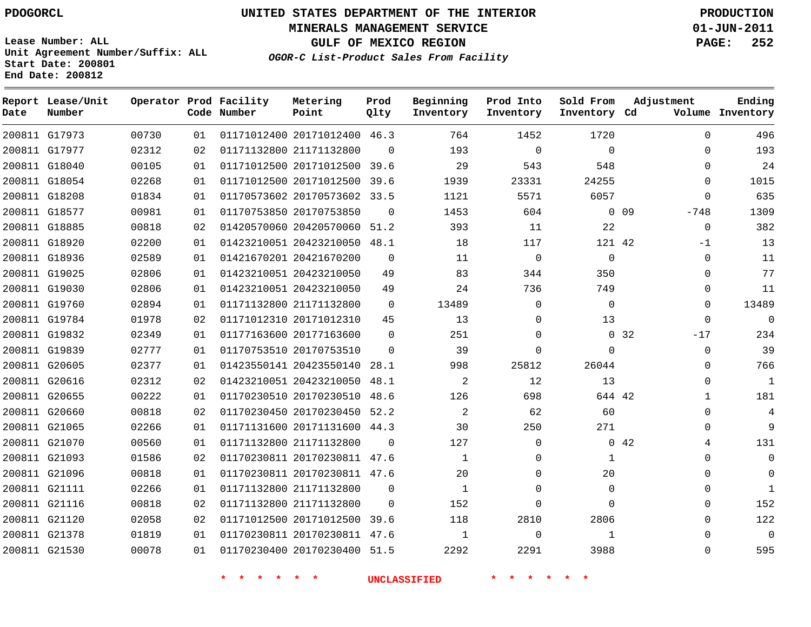**MINERALS MANAGEMENT SERVICE 01-JUN-2011**

**GULF OF MEXICO REGION PAGE: 252**

**Lease Number: ALL Unit Agreement Number/Suffix: ALL Start Date: 200801 End Date: 200812**

**OGOR-C List-Product Sales From Facility**

| Date | Report Lease/Unit<br>Number |       |    | Operator Prod Facility<br>Code Number | Metering<br>Point            | Prod<br>Qlty | Beginning<br>Inventory | Prod Into<br>Inventory | Sold From<br>Inventory Cd | Adjustment           | Ending<br>Volume Inventory |
|------|-----------------------------|-------|----|---------------------------------------|------------------------------|--------------|------------------------|------------------------|---------------------------|----------------------|----------------------------|
|      | 200811 G17973               | 00730 | 01 |                                       | 01171012400 20171012400 46.3 |              | 764                    | 1452                   | 1720                      | $\Omega$             | 496                        |
|      | 200811 G17977               | 02312 | 02 |                                       | 01171132800 21171132800      | $\Omega$     | 193                    | $\Omega$               | $\Omega$                  | $\Omega$             | 193                        |
|      | 200811 G18040               | 00105 | 01 |                                       | 01171012500 20171012500      | 39.6         | 29                     | 543                    | 548                       | $\Omega$             | 24                         |
|      | 200811 G18054               | 02268 | 01 |                                       | 01171012500 20171012500      | 39.6         | 1939                   | 23331                  | 24255                     | $\Omega$             | 1015                       |
|      | 200811 G18208               | 01834 | 01 |                                       | 01170573602 20170573602      | 33.5         | 1121                   | 5571                   | 6057                      | 0                    | 635                        |
|      | 200811 G18577               | 00981 | 01 |                                       | 01170753850 20170753850      | $\Omega$     | 1453                   | 604                    |                           | $-748$<br>$0\quad09$ | 1309                       |
|      | 200811 G18885               | 00818 | 02 |                                       | 01420570060 20420570060 51.2 |              | 393                    | 11                     | 22                        | 0                    | 382                        |
|      | 200811 G18920               | 02200 | 01 |                                       | 01423210051 20423210050      | 48.1         | 18                     | 117                    | 121 42                    | $-1$                 | 13                         |
|      | 200811 G18936               | 02589 | 01 |                                       | 01421670201 20421670200      | $\mathbf 0$  | 11                     | $\mathbf 0$            | 0                         | 0                    | 11                         |
|      | 200811 G19025               | 02806 | 01 |                                       | 01423210051 20423210050      | 49           | 83                     | 344                    | 350                       | 0                    | 77                         |
|      | 200811 G19030               | 02806 | 01 |                                       | 01423210051 20423210050      | 49           | 24                     | 736                    | 749                       | $\Omega$             | 11                         |
|      | 200811 G19760               | 02894 | 01 |                                       | 01171132800 21171132800      | $\mathbf 0$  | 13489                  | $\mathbf 0$            | $\mathbf 0$               | $\Omega$             | 13489                      |
|      | 200811 G19784               | 01978 | 02 |                                       | 01171012310 20171012310      | 45           | 13                     | $\Omega$               | 13                        | $\Omega$             | $\Omega$                   |
|      | 200811 G19832               | 02349 | 01 |                                       | 01177163600 20177163600      | $\mathbf 0$  | 251                    | 0                      |                           | 0 32<br>$-17$        | 234                        |
|      | 200811 G19839               | 02777 | 01 |                                       | 01170753510 20170753510      | $\Omega$     | 39                     | $\Omega$               | $\Omega$                  | $\Omega$             | 39                         |
|      | 200811 G20605               | 02377 | 01 |                                       | 01423550141 20423550140      | 28.1         | 998                    | 25812                  | 26044                     | 0                    | 766                        |
|      | 200811 G20616               | 02312 | 02 |                                       | 01423210051 20423210050      | 48.1         | $\overline{2}$         | 12                     | 13                        | $\Omega$             | $\mathbf{1}$               |
|      | 200811 G20655               | 00222 | 01 |                                       | 01170230510 20170230510      | 48.6         | 126                    | 698                    | 644 42                    | $\mathbf{1}$         | 181                        |
|      | 200811 G20660               | 00818 | 02 |                                       | 01170230450 20170230450 52.2 |              | $\overline{2}$         | 62                     | 60                        | $\Omega$             | $\overline{4}$             |
|      | 200811 G21065               | 02266 | 01 |                                       | 01171131600 20171131600      | 44.3         | 30                     | 250                    | 271                       | 0                    | 9                          |
|      | 200811 G21070               | 00560 | 01 |                                       | 01171132800 21171132800      | $\Omega$     | 127                    | $\Omega$               |                           | $0\quad 42$<br>4     | 131                        |
|      | 200811 G21093               | 01586 | 02 |                                       | 01170230811 20170230811      | 47.6         | $\mathbf{1}$           | 0                      | 1                         | 0                    | $\overline{0}$             |
|      | 200811 G21096               | 00818 | 01 |                                       | 01170230811 20170230811 47.6 |              | 20                     | 0                      | 20                        | $\Omega$             | $\Omega$                   |
|      | 200811 G21111               | 02266 | 01 |                                       | 01171132800 21171132800      | $\mathbf 0$  | $\mathbf{1}$           | $\mathbf 0$            | $\mathbf 0$               | 0                    | $\mathbf{1}$               |
|      | 200811 G21116               | 00818 | 02 |                                       | 01171132800 21171132800      | $\Omega$     | 152                    | 0                      | $\Omega$                  | 0                    | 152                        |
|      | 200811 G21120               | 02058 | 02 |                                       | 01171012500 20171012500      | 39.6         | 118                    | 2810                   | 2806                      | $\Omega$             | 122                        |
|      | 200811 G21378               | 01819 | 01 |                                       | 01170230811 20170230811      | 47.6         | 1                      | $\mathbf 0$            | 1                         | $\Omega$             | $\Omega$                   |
|      | 200811 G21530               | 00078 | 01 |                                       | 01170230400 20170230400 51.5 |              | 2292                   | 2291                   | 3988                      | $\Omega$             | 595                        |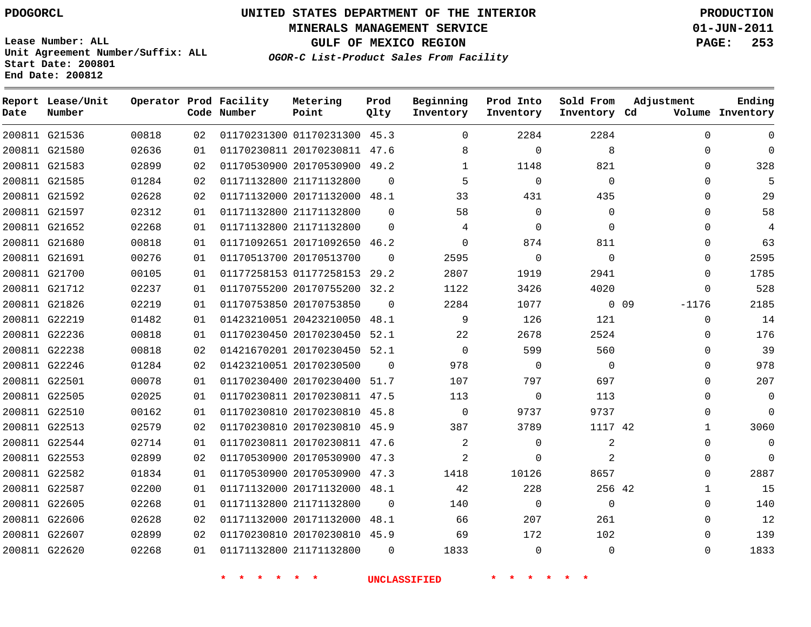**Start Date: 200801 End Date: 200812**

**Unit Agreement Number/Suffix: ALL**

# **UNITED STATES DEPARTMENT OF THE INTERIOR PDOGORCL PRODUCTION**

**MINERALS MANAGEMENT SERVICE 01-JUN-2011**

**GULF OF MEXICO REGION PAGE: 253**

**OGOR-C List-Product Sales From Facility**

| Date   | Report Lease/Unit<br>Number |       |    | Operator Prod Facility<br>Code Number | Metering<br>Point            | Prod<br>Qlty | Beginning<br>Inventory | Prod Into<br>Inventory | Sold From<br>Inventory Cd | Adjustment      | Ending<br>Volume Inventory |
|--------|-----------------------------|-------|----|---------------------------------------|------------------------------|--------------|------------------------|------------------------|---------------------------|-----------------|----------------------------|
|        | 200811 G21536               | 00818 | 02 |                                       | 01170231300 01170231300 45.3 |              | $\Omega$               | 2284                   | 2284                      | $\Omega$        | $\Omega$                   |
|        | 200811 G21580               | 02636 | 01 |                                       | 01170230811 20170230811      | 47.6         | 8                      | $\Omega$               | 8                         | 0               | $\mathbf 0$                |
|        | 200811 G21583               | 02899 | 02 |                                       | 01170530900 20170530900 49.2 |              | $\mathbf{1}$           | 1148                   | 821                       | $\Omega$        | 328                        |
|        | 200811 G21585               | 01284 | 02 | 01171132800 21171132800               |                              | $\Omega$     | 5                      | $\Omega$               | $\Omega$                  | $\Omega$        | 5                          |
|        | 200811 G21592               | 02628 | 02 |                                       | 01171132000 20171132000 48.1 |              | 33                     | 431                    | 435                       | $\mathbf 0$     | 29                         |
|        | 200811 G21597               | 02312 | 01 |                                       | 01171132800 21171132800      | $\Omega$     | 58                     | $\Omega$               | $\Omega$                  | $\Omega$        | 58                         |
|        | 200811 G21652               | 02268 | 01 |                                       | 01171132800 21171132800      | $\Omega$     | 4                      | $\mathbf 0$            | $\mathbf 0$               | $\mathbf 0$     | 4                          |
|        | 200811 G21680               | 00818 | 01 |                                       | 01171092651 20171092650      | 46.2         | $\mathbf 0$            | 874                    | 811                       | $\Omega$        | 63                         |
|        | 200811 G21691               | 00276 | 01 | 01170513700 20170513700               |                              | $\Omega$     | 2595                   | $\mathbf 0$            | $\mathbf 0$               | $\Omega$        | 2595                       |
|        | 200811 G21700               | 00105 | 01 |                                       | 01177258153 01177258153      | 29.2         | 2807                   | 1919                   | 2941                      | $\Omega$        | 1785                       |
| 200811 | G21712                      | 02237 | 01 |                                       | 01170755200 20170755200      | 32.2         | 1122                   | 3426                   | 4020                      | $\Omega$        | 528                        |
|        | 200811 G21826               | 02219 | 01 | 01170753850 20170753850               |                              | $\Omega$     | 2284                   | 1077                   |                           | 0.09<br>$-1176$ | 2185                       |
|        | 200811 G22219               | 01482 | 01 |                                       | 01423210051 20423210050      | 48.1         | 9                      | 126                    | 121                       | $\Omega$        | 14                         |
|        | 200811 G22236               | 00818 | 01 |                                       | 01170230450 20170230450 52.1 |              | 22                     | 2678                   | 2524                      | $\mathbf 0$     | 176                        |
| 200811 | G22238                      | 00818 | 02 |                                       | 01421670201 20170230450      | 52.1         | $\mathbf 0$            | 599                    | 560                       | 0               | 39                         |
|        | 200811 G22246               | 01284 | 02 |                                       | 01423210051 20170230500      | $\Omega$     | 978                    | $\Omega$               | $\mathbf 0$               | $\Omega$        | 978                        |
|        | 200811 G22501               | 00078 | 01 |                                       | 01170230400 20170230400      | 51.7         | 107                    | 797                    | 697                       | $\Omega$        | 207                        |
|        | 200811 G22505               | 02025 | 01 |                                       | 01170230811 20170230811 47.5 |              | 113                    | $\Omega$               | 113                       | $\mathbf 0$     | $\Omega$                   |
| 200811 | G22510                      | 00162 | 01 |                                       | 01170230810 20170230810      | 45.8         | $\mathbf 0$            | 9737                   | 9737                      | $\Omega$        | $\Omega$                   |
|        | 200811 G22513               | 02579 | 02 |                                       | 01170230810 20170230810      | 45.9         | 387                    | 3789                   | 1117 42                   | $\mathbf{1}$    | 3060                       |
|        | 200811 G22544               | 02714 | 01 |                                       | 01170230811 20170230811      | 47.6         | $\overline{c}$         | $\Omega$               | 2                         | $\Omega$        | $\mathbf 0$                |
|        | 200811 G22553               | 02899 | 02 |                                       | 01170530900 20170530900      | 47.3         | $\overline{2}$         | $\Omega$               | 2                         | $\mathbf 0$     | $\Omega$                   |
|        | 200811 G22582               | 01834 | 01 |                                       | 01170530900 20170530900      | 47.3         | 1418                   | 10126                  | 8657                      | $\mathbf 0$     | 2887                       |
|        | 200811 G22587               | 02200 | 01 |                                       | 01171132000 20171132000      | 48.1         | 42                     | 228                    | 256 42                    | $\mathbf{1}$    | 15                         |
|        | 200811 G22605               | 02268 | 01 | 01171132800 21171132800               |                              | $\Omega$     | 140                    | 0                      | $\mathbf 0$               | $\mathbf 0$     | 140                        |
|        | 200811 G22606               | 02628 | 02 |                                       | 01171132000 20171132000      | 48.1         | 66                     | 207                    | 261                       | $\Omega$        | 12                         |
|        | 200811 G22607               | 02899 | 02 |                                       | 01170230810 20170230810      | 45.9         | 69                     | 172                    | 102                       | $\Omega$        | 139                        |
|        | 200811 G22620               | 02268 | 01 |                                       | 01171132800 21171132800      | $\Omega$     | 1833                   | $\Omega$               | $\Omega$                  | $\Omega$        | 1833                       |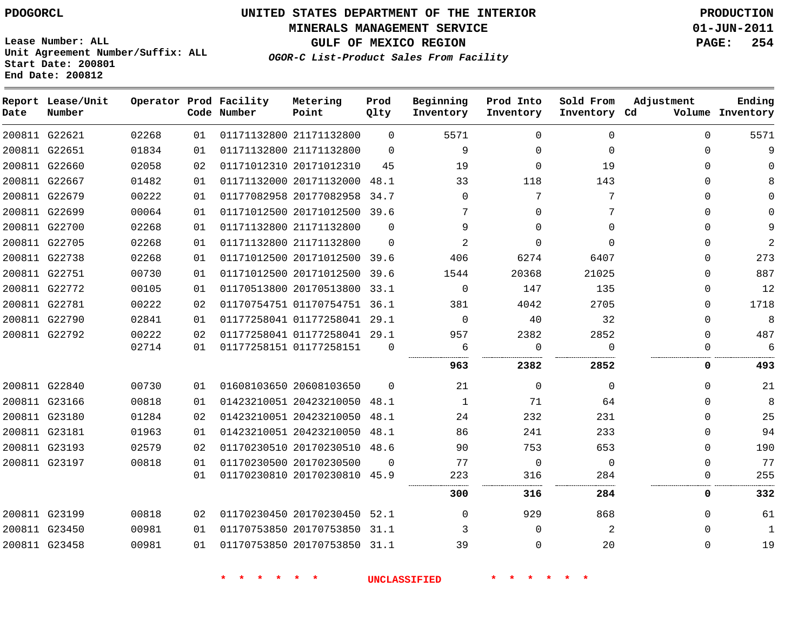**MINERALS MANAGEMENT SERVICE 01-JUN-2011**

**GULF OF MEXICO REGION PAGE: 254**

**Lease Number: ALL Unit Agreement Number/Suffix: ALL Start Date: 200801 End Date: 200812**

**OGOR-C List-Product Sales From Facility**

| Date | Report Lease/Unit<br>Number |       |    | Operator Prod Facility<br>Code Number | Metering<br>Point            | Prod<br>Qlty | Beginning<br>Inventory | Prod Into<br>Inventory | Sold From<br>Inventory Cd | Adjustment | Ending<br>Volume Inventory |
|------|-----------------------------|-------|----|---------------------------------------|------------------------------|--------------|------------------------|------------------------|---------------------------|------------|----------------------------|
|      | 200811 G22621               | 02268 | 01 |                                       | 01171132800 21171132800      | $\Omega$     | 5571                   | $\Omega$               | $\Omega$                  | $\Omega$   | 5571                       |
|      | 200811 G22651               | 01834 | 01 |                                       | 01171132800 21171132800      | $\Omega$     | 9                      | $\Omega$               | $\Omega$                  | $\Omega$   | 9                          |
|      | 200811 G22660               | 02058 | 02 |                                       | 01171012310 20171012310      | 45           | 19                     | $\Omega$               | 19                        | $\Omega$   | $\Omega$                   |
|      | 200811 G22667               | 01482 | 01 |                                       | 01171132000 20171132000      | 48.1         | 33                     | 118                    | 143                       | $\Omega$   | 8                          |
|      | 200811 G22679               | 00222 | 01 |                                       | 01177082958 20177082958 34.7 |              | $\Omega$               | 7                      | 7                         | 0          | $\Omega$                   |
|      | 200811 G22699               | 00064 | 01 |                                       | 01171012500 20171012500 39.6 |              | 7                      | $\Omega$               | 7                         | 0          | $\Omega$                   |
|      | 200811 G22700               | 02268 | 01 |                                       | 01171132800 21171132800      | $\Omega$     | 9                      | $\Omega$               | $\Omega$                  | $\Omega$   | 9                          |
|      | 200811 G22705               | 02268 | 01 |                                       | 01171132800 21171132800      | $\Omega$     | $\overline{2}$         | $\Omega$               | $\Omega$                  | $\Omega$   | $\overline{2}$             |
|      | 200811 G22738               | 02268 | 01 |                                       | 01171012500 20171012500 39.6 |              | 406                    | 6274                   | 6407                      | $\Omega$   | 273                        |
|      | 200811 G22751               | 00730 | 01 |                                       | 01171012500 20171012500      | 39.6         | 1544                   | 20368                  | 21025                     | $\Omega$   | 887                        |
|      | 200811 G22772               | 00105 | 01 |                                       | 01170513800 20170513800 33.1 |              | $\mathbf 0$            | 147                    | 135                       | 0          | 12                         |
|      | 200811 G22781               | 00222 | 02 |                                       | 01170754751 01170754751 36.1 |              | 381                    | 4042                   | 2705                      | 0          | 1718                       |
|      | 200811 G22790               | 02841 | 01 |                                       | 01177258041 01177258041 29.1 |              | $\Omega$               | 40                     | 32                        | $\Omega$   | 8                          |
|      | 200811 G22792               | 00222 | 02 |                                       | 01177258041 01177258041 29.1 |              | 957                    | 2382                   | 2852                      | $\Omega$   | 487                        |
|      |                             | 02714 | 01 |                                       | 01177258151 01177258151      | $\Omega$     | 6                      | $\mathbf 0$            | $\Omega$                  | $\Omega$   | 6                          |
|      |                             |       |    |                                       |                              |              | 963                    | 2382                   | 2852                      | 0          | 493                        |
|      | 200811 G22840               | 00730 | 01 |                                       | 01608103650 20608103650      | $\Omega$     | 21                     | $\Omega$               | 0                         | 0          | 21                         |
|      | 200811 G23166               | 00818 | 01 |                                       | 01423210051 20423210050 48.1 |              | 1                      | 71                     | 64                        | 0          | 8                          |
|      | 200811 G23180               | 01284 | 02 |                                       | 01423210051 20423210050      | 48.1         | 24                     | 232                    | 231                       | 0          | 25                         |
|      | 200811 G23181               | 01963 | 01 |                                       | 01423210051 20423210050 48.1 |              | 86                     | 241                    | 233                       | $\Omega$   | 94                         |
|      | 200811 G23193               | 02579 | 02 |                                       | 01170230510 20170230510 48.6 |              | 90                     | 753                    | 653                       | $\Omega$   | 190                        |
|      | 200811 G23197               | 00818 | 01 |                                       | 01170230500 20170230500      | $\Omega$     | 77                     | $\overline{0}$         | $\mathbf 0$               | 0          | 77                         |
|      |                             |       | 01 |                                       | 01170230810 20170230810 45.9 |              | 223                    | 316                    | 284                       | 0          | 255                        |
|      |                             |       |    |                                       |                              |              | 300                    | 316                    | 284                       | 0          | 332                        |
|      | 200811 G23199               | 00818 | 02 |                                       | 01170230450 20170230450 52.1 |              | $\Omega$               | 929                    | 868                       | 0          | 61                         |
|      | 200811 G23450               | 00981 | 01 |                                       | 01170753850 20170753850 31.1 |              | 3                      | $\Omega$               | 2                         | $\Omega$   | $\mathbf{1}$               |
|      | 200811 G23458               | 00981 | 01 |                                       | 01170753850 20170753850 31.1 |              | 39                     | $\Omega$               | 20                        | $\Omega$   | 19                         |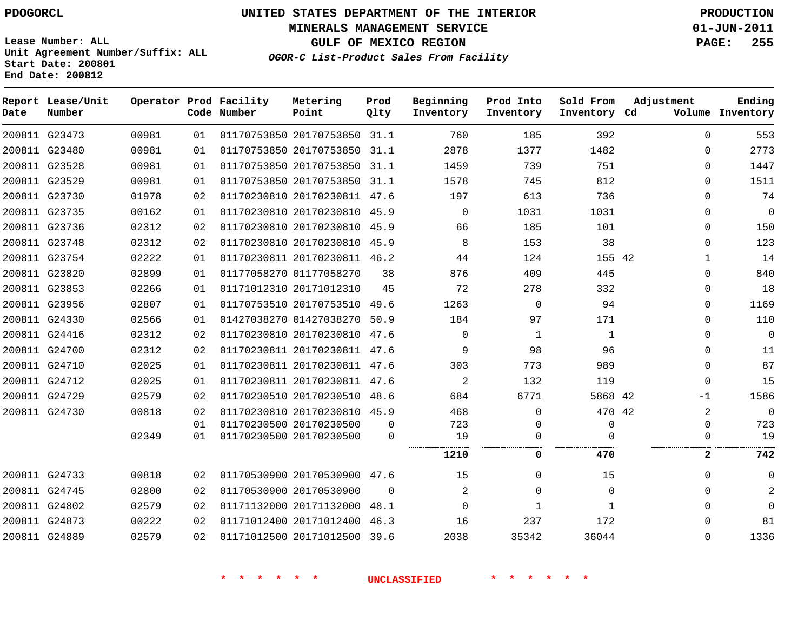# **UNITED STATES DEPARTMENT OF THE INTERIOR PDOGORCL PRODUCTION**

**MINERALS MANAGEMENT SERVICE 01-JUN-2011**

**GULF OF MEXICO REGION PAGE: 255**

**Unit Agreement Number/Suffix: ALL Start Date: 200801 End Date: 200812**

**OGOR-C List-Product Sales From Facility**

| Date | Report Lease/Unit<br>Number |       |    | Operator Prod Facility<br>Code Number | Metering<br>Point            | Prod<br>Qlty | Beginning<br>Inventory | Prod Into<br>Inventory | Sold From<br>Inventory Cd | Adjustment     | Ending<br>Volume Inventory |
|------|-----------------------------|-------|----|---------------------------------------|------------------------------|--------------|------------------------|------------------------|---------------------------|----------------|----------------------------|
|      | 200811 G23473               | 00981 | 01 |                                       | 01170753850 20170753850 31.1 |              | 760                    | 185                    | 392                       | $\Omega$       | 553                        |
|      | 200811 G23480               | 00981 | 01 |                                       | 01170753850 20170753850 31.1 |              | 2878                   | 1377                   | 1482                      | $\Omega$       | 2773                       |
|      | 200811 G23528               | 00981 | 01 |                                       | 01170753850 20170753850 31.1 |              | 1459                   | 739                    | 751                       | $\Omega$       | 1447                       |
|      | 200811 G23529               | 00981 | 01 |                                       | 01170753850 20170753850 31.1 |              | 1578                   | 745                    | 812                       | 0              | 1511                       |
|      | 200811 G23730               | 01978 | 02 |                                       | 01170230810 20170230811 47.6 |              | 197                    | 613                    | 736                       | 0              | 74                         |
|      | 200811 G23735               | 00162 | 01 |                                       | 01170230810 20170230810      | 45.9         | $\Omega$               | 1031                   | 1031                      | 0              | $\mathbf 0$                |
|      | 200811 G23736               | 02312 | 02 |                                       | 01170230810 20170230810 45.9 |              | 66                     | 185                    | 101                       | $\Omega$       | 150                        |
|      | 200811 G23748               | 02312 | 02 |                                       | 01170230810 20170230810      | 45.9         | 8                      | 153                    | 38                        | $\Omega$       | 123                        |
|      | 200811 G23754               | 02222 | 01 |                                       | 01170230811 20170230811 46.2 |              | 44                     | 124                    | 155 42                    | $\mathbf 1$    | 14                         |
|      | 200811 G23820               | 02899 | 01 |                                       | 01177058270 01177058270      | 38           | 876                    | 409                    | 445                       | $\Omega$       | 840                        |
|      | 200811 G23853               | 02266 | 01 |                                       | 01171012310 20171012310      | 45           | 72                     | 278                    | 332                       | $\Omega$       | 18                         |
|      | 200811 G23956               | 02807 | 01 |                                       | 01170753510 20170753510      | 49.6         | 1263                   | 0                      | 94                        | $\Omega$       | 1169                       |
|      | 200811 G24330               | 02566 | 01 |                                       | 01427038270 01427038270 50.9 |              | 184                    | 97                     | 171                       | 0              | 110                        |
|      | 200811 G24416               | 02312 | 02 |                                       | 01170230810 20170230810      | 47.6         | 0                      | 1                      | 1                         | <sup>n</sup>   | 0                          |
|      | 200811 G24700               | 02312 | 02 |                                       | 01170230811 20170230811 47.6 |              | 9                      | 98                     | 96                        | 0              | 11                         |
|      | 200811 G24710               | 02025 | 01 |                                       | 01170230811 20170230811 47.6 |              | 303                    | 773                    | 989                       | $\Omega$       | 87                         |
|      | 200811 G24712               | 02025 | 01 |                                       | 01170230811 20170230811 47.6 |              | 2                      | 132                    | 119                       | $\Omega$       | 15                         |
|      | 200811 G24729               | 02579 | 02 |                                       | 01170230510 20170230510 48.6 |              | 684                    | 6771                   | 5868 42                   | -1             | 1586                       |
|      | 200811 G24730               | 00818 | 02 |                                       | 01170230810 20170230810 45.9 |              | 468                    | $\mathbf 0$            | 470 42                    | $\overline{a}$ | $\Omega$                   |
|      |                             |       | 01 |                                       | 01170230500 20170230500      | $\Omega$     | 723                    | 0                      | $\mathbf 0$               | $\Omega$       | 723                        |
|      |                             | 02349 | 01 |                                       | 01170230500 20170230500      | 0            | 19                     | 0                      | $\Omega$                  | 0              | 19                         |
|      |                             |       |    |                                       |                              |              | 1210                   | 0                      | 470                       | 2              | 742                        |
|      | 200811 G24733               | 00818 | 02 |                                       | 01170530900 20170530900 47.6 |              | 15                     | $\Omega$               | 15                        | $\Omega$       | 0                          |
|      | 200811 G24745               | 02800 | 02 |                                       | 01170530900 20170530900      | $\Omega$     | 2                      | 0                      | $\Omega$                  | <sup>n</sup>   | 2                          |
|      | 200811 G24802               | 02579 | 02 |                                       | 01171132000 20171132000      | 48.1         | $\Omega$               | $\mathbf{1}$           | 1                         | 0              | $\Omega$                   |
|      | 200811 G24873               | 00222 | 02 |                                       | 01171012400 20171012400      | 46.3         | 16                     | 237                    | 172                       | 0              | 81                         |
|      | 200811 G24889               | 02579 | 02 |                                       | 01171012500 20171012500      | 39.6         | 2038                   | 35342                  | 36044                     | $\Omega$       | 1336                       |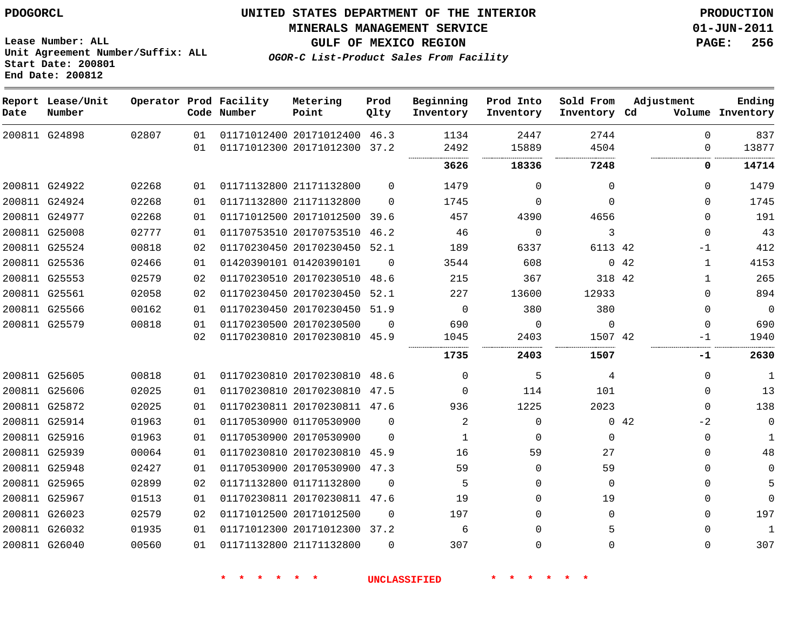**Unit Agreement Number/Suffix: ALL**

# **UNITED STATES DEPARTMENT OF THE INTERIOR PDOGORCL PRODUCTION**

**MINERALS MANAGEMENT SERVICE 01-JUN-2011**

**GULF OF MEXICO REGION PAGE: 256**

**OGOR-C List-Product Sales From Facility**

**Start Date: 200801 End Date: 200812 Report Lease/Unit Operator Prod Facility Metering Prod Beginning Prod Into Sold From Adjustment Ending Code Number Point Inventory Cd Volume Date Number Qlty Inventory Inventory Inventory**  $\Omega$  G24898 20171012400 46.3 20171012300 37.2  $\Omega$  . . . . . . . . . . . . . . . . . . . . . . . . . . . . . . . . . . . . . . . . G24922 21171132800  $\Omega$   $\Omega$  $\Omega$  $\Omega$  G24924 21171132800  $\Omega$   $\Omega$  $\Omega$  G24977 20171012500 39.6  $\Omega$  G25008 20170753510 46.2  $\Omega$   $\Omega$  G25524 20170230450 52.1 42 -1 G25536 01420390101  $\Omega$  42 G25553 20170230510 48.6 42 G25561 20170230450 52.1  $\Omega$  G25566 20170230450 51.9  $\Omega$   $\Omega$  $\Omega$  G25579 20170230500  $\Omega$   $\Omega$  20170230810 45.9 42  $-1$  **-1** G25605 20170230810 48.6  $\Omega$   $\Omega$  G25606 20170230810 47.5  $\Omega$   $\Omega$  G25872 20170230811 47.6  $\Omega$  G25914 01170530900  $\Omega$   $\Omega$ 42  $-2$  $\Omega$  G25916 20170530900  $\Omega$   $\Omega$  $\Omega$  $\Omega$  G25939 20170230810 45.9  $\Omega$  G25948 20170530900 47.3  $\Omega$   $\Omega$  $\Omega$  G25965 01171132800  $\Omega$   $\Omega$  $\Omega$  $\Omega$  G25967 20170230811 47.6  $\Omega$   $\Omega$  G26023 20171012500  $\Omega$   $\Omega$  $\Omega$  $\Omega$  G26032 20171012300 37.2  $\Omega$   $\Omega$  G26040 21171132800  $\Omega$   $\Omega$  $\Omega$  $\Omega$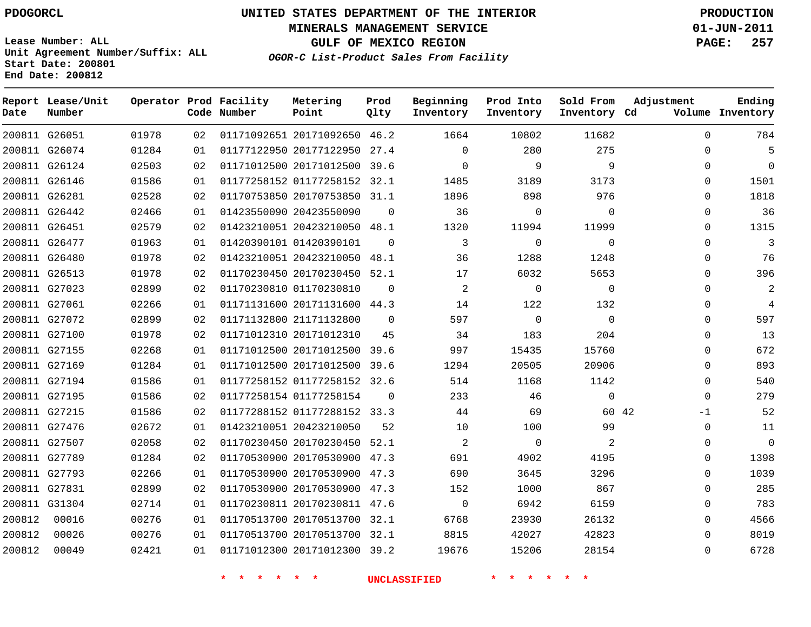**Start Date: 200801 End Date: 200812**

**Unit Agreement Number/Suffix: ALL**

# **UNITED STATES DEPARTMENT OF THE INTERIOR PDOGORCL PRODUCTION**

**MINERALS MANAGEMENT SERVICE 01-JUN-2011**

**GULF OF MEXICO REGION PAGE: 257**

**OGOR-C List-Product Sales From Facility**

 G26051 G26074 G26124 G26146 G26281 G26442 G26451 G26477 G26480 G26513 G27023 G27061 G27072 G27100 G27155 G27169 G27194 G27195 G27215 G27476 G27507 G27789 G27793 G27831 G31304 **Report Lease/Unit Date Number Operator Prod Facility Code Number** 20171092650 46.2 20177122950 27.4 20171012500 39.6 01177258152 32.1 20170753850 31.1 20423550090 20423210050 48.1 01420390101 20423210050 48.1 20170230450 52.1 01170230810 20171131600 44.3 21171132800 20171012310 20171012500 39.6 20171012500 39.6 01177258152 32.6 01177258154 01177288152 33.3 20423210050 20170230450 52.1 20170530900 47.3 20170530900 47.3 20170530900 47.3 20170230811 47.6 20170513700 32.1 20170513700 32.1 20171012300 39.2 **Metering Point** 42  $\cap$  $\Omega$   $\Omega$  **Prod Qlty**  $\Omega$  $\cap$   $\Omega$  **Beginning Inventory**  $\Omega$   $\Omega$  **Ending Inventory Cd Volume**  $\Omega$   $\Omega$   $\Omega$   $\Omega$   $\Omega$  **Prod Into Inventory**  $\Omega$   $\Omega$   $\Omega$   $\Omega$   $\Omega$  **Sold From Inventory**  $\Omega$  $\Omega$  $\cap$  $\Omega$  $\Omega$  $\Omega$  $\Omega$  $\Omega$   $\Omega$   $\Omega$   $\Omega$  $\Omega$  $\Omega$  $\Omega$ -1  $\Omega$  $\Omega$  $\Omega$  $\Omega$  $\Omega$  $\Omega$  $\Omega$  $\Omega$ **Adjustment**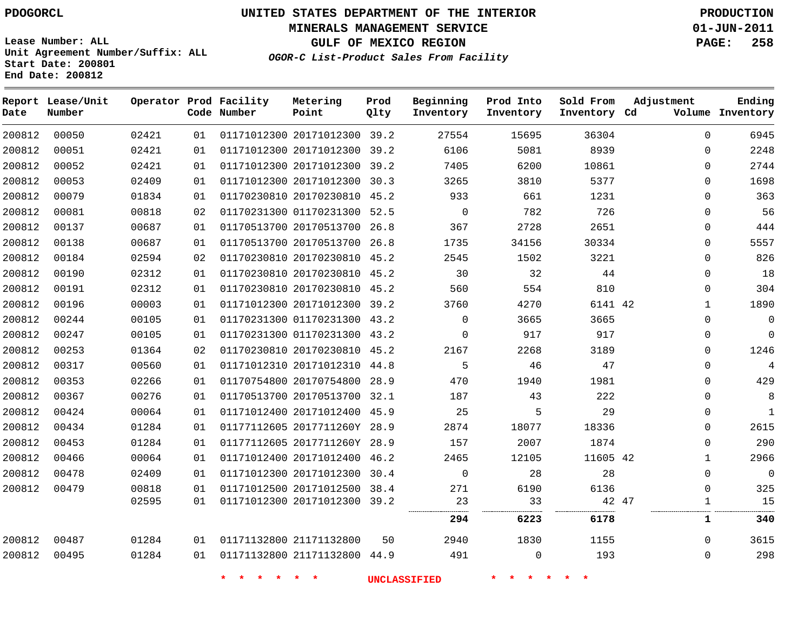**Start Date: 200801 End Date: 200812**

**Unit Agreement Number/Suffix: ALL**

# **UNITED STATES DEPARTMENT OF THE INTERIOR PDOGORCL PRODUCTION**

**MINERALS MANAGEMENT SERVICE 01-JUN-2011**

**GULF OF MEXICO REGION PAGE: 258**

**OGOR-C List-Product Sales From Facility**

**Report Lease/Unit Operator Prod Facility Metering Prod Beginning Prod Into Sold From Adjustment Ending Number Code Number Point Inventory Cd Volume Date Qlty Inventory Inventory Inventory**  $\Omega$  20171012300 39.2 20171012300 39.2  $\Omega$   $\cap$  20171012300 39.2  $\Omega$  20171012300 30.3  $\Omega$  20170230810 45.2  $\Omega$  01170231300 52.5  $\Omega$  20170513700 26.8  $\Omega$  20170513700 26.8  $\Omega$  20170230810 45.2 20170230810 45.2  $\Omega$  20170230810 45.2 20171012300 39.2 42 01170231300 43.2  $\Omega$   $\Omega$  $\Omega$  01170231300 43.2  $\Omega$  20170230810 45.2  $\Omega$  20171012310 44.8 20170754800 28.9  $\Omega$  20170513700 32.1  $\Omega$  20171012400 45.9  $\Omega$  2017711260Y 28.9 2017711260Y 28.9  $\Omega$  20171012400 46.2 42 20171012300 30.4  $\Omega$   $\Omega$   $\Omega$  20171012500 38.4  $\Omega$  20171012300 39.2 47 . . . . . . . . **6223 6178 1 340** 21171132800 21171132800 44.9  $\Omega$  $\Omega$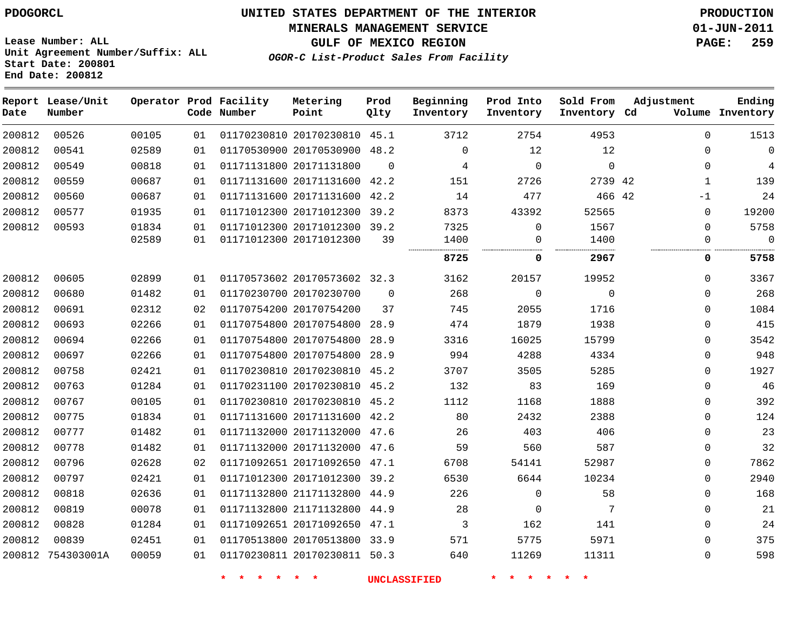### **MINERALS MANAGEMENT SERVICE 01-JUN-2011**

**GULF OF MEXICO REGION PAGE: 259**

**Lease Number: ALL Unit Agreement Number/Suffix: ALL Start Date: 200801 End Date: 200812**

**OGOR-C List-Product Sales From Facility**

| Date   | Report Lease/Unit<br>Number |       |    | Operator Prod Facility<br>Code Number | Metering<br>Point            | Prod<br>Qlty | Beginning<br>Inventory | Prod Into<br>Inventory | Sold From<br>Inventory Cd | Adjustment   | Ending<br>Volume Inventory |
|--------|-----------------------------|-------|----|---------------------------------------|------------------------------|--------------|------------------------|------------------------|---------------------------|--------------|----------------------------|
| 200812 | 00526                       | 00105 | 01 |                                       | 01170230810 20170230810 45.1 |              | 3712                   | 2754                   | 4953                      | $\Omega$     | 1513                       |
| 200812 | 00541                       | 02589 | 01 |                                       | 01170530900 20170530900      | 48.2         | $\mathbf{0}$           | 12                     | 12                        | $\mathbf{0}$ | $\mathbf 0$                |
| 200812 | 00549                       | 00818 | 01 |                                       | 01171131800 20171131800      | $\Omega$     | 4                      | $\mathbf{0}$           | $\Omega$                  | $\Omega$     | 4                          |
| 200812 | 00559                       | 00687 | 01 |                                       | 01171131600 20171131600      | 42.2         | 151                    | 2726                   | 2739 42                   | $\mathbf 1$  | 139                        |
| 200812 | 00560                       | 00687 | 01 |                                       | 01171131600 20171131600      | 42.2         | 14                     | 477                    | 466 42                    | $-1$         | 24                         |
| 200812 | 00577                       | 01935 | 01 |                                       | 01171012300 20171012300 39.2 |              | 8373                   | 43392                  | 52565                     | $\mathbf{0}$ | 19200                      |
| 200812 | 00593                       | 01834 | 01 |                                       | 01171012300 20171012300 39.2 |              | 7325                   | $\mathbf 0$            | 1567                      | $\Omega$     | 5758                       |
|        |                             | 02589 | 01 |                                       | 01171012300 20171012300      | 39           | 1400                   | 0                      | 1400                      | 0            | $\Omega$                   |
|        |                             |       |    |                                       |                              |              | 8725                   | 0                      | 2967                      | 0            | 5758                       |
| 200812 | 00605                       | 02899 | 01 |                                       | 01170573602 20170573602 32.3 |              | 3162                   | 20157                  | 19952                     | $\Omega$     | 3367                       |
| 200812 | 00680                       | 01482 | 01 |                                       | 01170230700 20170230700      | $\Omega$     | 268                    | 0                      | $\mathbf 0$               | $\mathbf{0}$ | 268                        |
| 200812 | 00691                       | 02312 | 02 |                                       | 01170754200 20170754200      | 37           | 745                    | 2055                   | 1716                      | $\mathbf{0}$ | 1084                       |
| 200812 | 00693                       | 02266 | 01 |                                       | 01170754800 20170754800      | 28.9         | 474                    | 1879                   | 1938                      | $\Omega$     | 415                        |
| 200812 | 00694                       | 02266 | 01 |                                       | 01170754800 20170754800      | 28.9         | 3316                   | 16025                  | 15799                     | $\mathbf{0}$ | 3542                       |
| 200812 | 00697                       | 02266 | 01 |                                       | 01170754800 20170754800 28.9 |              | 994                    | 4288                   | 4334                      | 0            | 948                        |
| 200812 | 00758                       | 02421 | 01 |                                       | 01170230810 20170230810      | 45.2         | 3707                   | 3505                   | 5285                      | $\mathbf{0}$ | 1927                       |
| 200812 | 00763                       | 01284 | 01 |                                       | 01170231100 20170230810 45.2 |              | 132                    | 83                     | 169                       | $\mathbf{0}$ | 46                         |
| 200812 | 00767                       | 00105 | 01 |                                       | 01170230810 20170230810 45.2 |              | 1112                   | 1168                   | 1888                      | $\Omega$     | 392                        |
| 200812 | 00775                       | 01834 | 01 |                                       | 01171131600 20171131600 42.2 |              | 80                     | 2432                   | 2388                      | $\Omega$     | 124                        |
| 200812 | 00777                       | 01482 | 01 |                                       | 01171132000 20171132000      | 47.6         | 26                     | 403                    | 406                       | $\mathbf 0$  | 23                         |
| 200812 | 00778                       | 01482 | 01 |                                       | 01171132000 20171132000      | 47.6         | 59                     | 560                    | 587                       | $\mathbf{0}$ | 32                         |
| 200812 | 00796                       | 02628 | 02 |                                       | 01171092651 20171092650      | 47.1         | 6708                   | 54141                  | 52987                     | $\Omega$     | 7862                       |
| 200812 | 00797                       | 02421 | 01 |                                       | 01171012300 20171012300 39.2 |              | 6530                   | 6644                   | 10234                     | $\Omega$     | 2940                       |
| 200812 | 00818                       | 02636 | 01 |                                       | 01171132800 21171132800 44.9 |              | 226                    | 0                      | 58                        | $\Omega$     | 168                        |
| 200812 | 00819                       | 00078 | 01 |                                       | 01171132800 21171132800      | 44.9         | 28                     | 0                      | 7                         | $\mathbf{0}$ | 21                         |
| 200812 | 00828                       | 01284 | 01 |                                       | 01171092651 20171092650 47.1 |              | 3                      | 162                    | 141                       | $\mathbf{0}$ | 24                         |
| 200812 | 00839                       | 02451 | 01 |                                       | 01170513800 20170513800 33.9 |              | 571                    | 5775                   | 5971                      | $\Omega$     | 375                        |
|        | 200812 754303001A           | 00059 | 01 |                                       | 01170230811 20170230811 50.3 |              | 640                    | 11269                  | 11311                     | $\Omega$     | 598                        |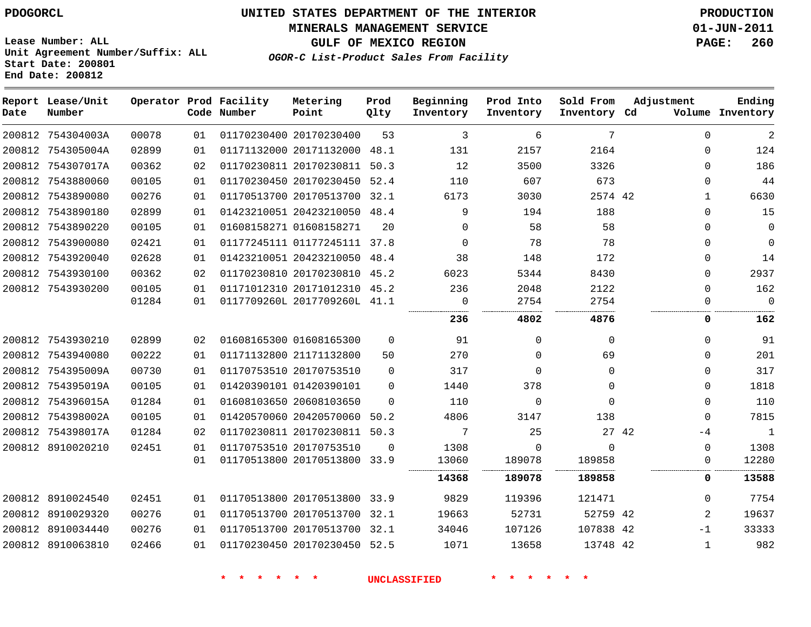**MINERALS MANAGEMENT SERVICE 01-JUN-2011**

**GULF OF MEXICO REGION PAGE: 260**

**Lease Number: ALL Unit Agreement Number/Suffix: ALL Start Date: 200801 End Date: 200812**

**OGOR-C List-Product Sales From Facility**

| Date | Report Lease/Unit<br>Number |       |    | Operator Prod Facility<br>Code Number | Metering<br>Point            | Prod<br>Qlty | Beginning<br>Inventory | Prod Into<br>Inventory | Sold From<br>Inventory Cd | Adjustment |              | Ending<br>Volume Inventory |
|------|-----------------------------|-------|----|---------------------------------------|------------------------------|--------------|------------------------|------------------------|---------------------------|------------|--------------|----------------------------|
|      | 200812 754304003A           | 00078 | 01 |                                       | 01170230400 20170230400      | 53           | 3                      | 6                      | 7                         |            | $\Omega$     | 2                          |
|      | 200812 754305004A           | 02899 | 01 |                                       | 01171132000 20171132000 48.1 |              | 131                    | 2157                   | 2164                      |            | $\Omega$     | 124                        |
|      | 200812 754307017A           | 00362 | 02 |                                       | 01170230811 20170230811 50.3 |              | 12                     | 3500                   | 3326                      |            | $\Omega$     | 186                        |
|      | 200812 7543880060           | 00105 | 01 |                                       | 01170230450 20170230450      | 52.4         | 110                    | 607                    | 673                       |            | 0            | 44                         |
|      | 200812 7543890080           | 00276 | 01 |                                       | 01170513700 20170513700 32.1 |              | 6173                   | 3030                   | 2574 42                   |            | $\mathbf{1}$ | 6630                       |
|      | 200812 7543890180           | 02899 | 01 |                                       | 01423210051 20423210050 48.4 |              | 9                      | 194                    | 188                       |            | $\Omega$     | 15                         |
|      | 200812 7543890220           | 00105 | 01 |                                       | 01608158271 01608158271      | 20           | $\Omega$               | 58                     | 58                        |            | $\Omega$     | 0                          |
|      | 200812 7543900080           | 02421 | 01 |                                       | 01177245111 01177245111 37.8 |              | $\mathbf 0$            | 78                     | 78                        |            | $\Omega$     | $\mathbf 0$                |
|      | 200812 7543920040           | 02628 | 01 |                                       | 01423210051 20423210050 48.4 |              | 38                     | 148                    | 172                       |            | $\Omega$     | 14                         |
|      | 200812 7543930100           | 00362 | 02 |                                       | 01170230810 20170230810 45.2 |              | 6023                   | 5344                   | 8430                      |            | 0            | 2937                       |
|      | 200812 7543930200           | 00105 | 01 |                                       | 01171012310 20171012310 45.2 |              | 236                    | 2048                   | 2122                      |            | $\Omega$     | 162                        |
|      |                             | 01284 | 01 |                                       | 0117709260L 2017709260L 41.1 |              | 0                      | 2754                   | 2754                      |            | $\Omega$     | $\mathbf 0$                |
|      |                             |       |    |                                       |                              |              | 236                    | 4802                   | 4876                      |            | 0            | 162                        |
|      | 200812 7543930210           | 02899 | 02 |                                       | 01608165300 01608165300      | $\mathbf 0$  | 91                     | $\mathbf 0$            | $\mathbf 0$               |            | $\Omega$     | 91                         |
|      | 200812 7543940080           | 00222 | 01 |                                       | 01171132800 21171132800      | 50           | 270                    | $\mathbf 0$            | 69                        |            | $\Omega$     | 201                        |
|      | 200812 754395009A           | 00730 | 01 |                                       | 01170753510 20170753510      | $\Omega$     | 317                    | $\mathbf 0$            | $\Omega$                  |            | $\Omega$     | 317                        |
|      | 200812 754395019A           | 00105 | 01 |                                       | 01420390101 01420390101      | $\Omega$     | 1440                   | 378                    | $\Omega$                  |            | $\Omega$     | 1818                       |
|      | 200812 754396015A           | 01284 | 01 |                                       | 01608103650 20608103650      | $\Omega$     | 110                    | $\mathbf{0}$           | $\Omega$                  |            | $\Omega$     | 110                        |
|      | 200812 754398002A           | 00105 | 01 |                                       | 01420570060 20420570060      | 50.2         | 4806                   | 3147                   | 138                       |            | $\Omega$     | 7815                       |
|      | 200812 754398017A           | 01284 | 02 |                                       | 01170230811 20170230811 50.3 |              | 7                      | 25                     |                           | 27 42      | -4           | $\mathbf{1}$               |
|      | 200812 8910020210           | 02451 | 01 |                                       | 01170753510 20170753510      | $\Omega$     | 1308                   | $\mathbf 0$            | $\Omega$                  |            | 0            | 1308                       |
|      |                             |       | 01 |                                       | 01170513800 20170513800 33.9 |              | 13060                  | 189078                 | 189858                    |            | 0            | 12280                      |
|      |                             |       |    |                                       |                              |              | 14368                  | 189078                 | 189858                    |            | 0            | 13588                      |
|      | 200812 8910024540           | 02451 | 01 |                                       | 01170513800 20170513800 33.9 |              | 9829                   | 119396                 | 121471                    |            | $\Omega$     | 7754                       |
|      | 200812 8910029320           | 00276 | 01 |                                       | 01170513700 20170513700 32.1 |              | 19663                  | 52731                  | 52759 42                  |            | 2            | 19637                      |
|      | 200812 8910034440           | 00276 | 01 |                                       | 01170513700 20170513700 32.1 |              | 34046                  | 107126                 | 107838 42                 |            | $-1$         | 33333                      |
|      | 200812 8910063810           | 02466 | 01 |                                       | 01170230450 20170230450 52.5 |              | 1071                   | 13658                  | 13748 42                  |            | $\mathbf{1}$ | 982                        |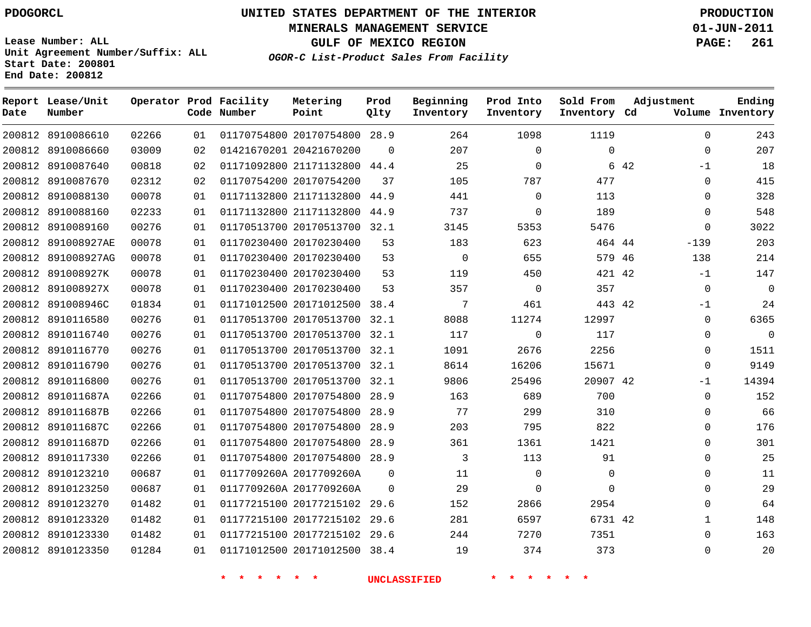**Start Date: 200801 End Date: 200812**

**Unit Agreement Number/Suffix: ALL**

# **UNITED STATES DEPARTMENT OF THE INTERIOR PDOGORCL PRODUCTION**

**MINERALS MANAGEMENT SERVICE 01-JUN-2011**

**GULF OF MEXICO REGION PAGE: 261**

**OGOR-C List-Product Sales From Facility**

 8910086610 8910086660 8910087640 8910087670 8910088130 8910088160 8910089160 891008927AE 891008927AG 891008927K 891008927X 891008946C 8910116580 8910116740 8910116770 8910116790 8910116800 891011687A 891011687B 891011687C 891011687D 8910117330 8910123210 8910123250 8910123270 8910123320 8910123330 8910123350 **Report Lease/Unit Date Number Operator Prod Facility Code Number** 20170754800 28.9 20421670200 21171132800 44.4 20170754200 21171132800 44.9 21171132800 20170513700 32.1 20170230400 20170230400 20170230400 20170230400 20171012500 38.4 20170513700 32.1 20170513700 32.1 20170513700 32.1 20170513700 32.1 20170513700 32.1 20170754800 28.9 20170754800 28.9 20170754800 28.9 20170754800 28.9 20170754800 28.9 0117709260A 2017709260A 0117709260A 2017709260A 20177215102 29.6 20177215102 29.6 20177215102 29.6 20171012500 38.4 **Metering Point** 42 44 46 42 42 42 42  $\Omega$  44.9  $\Omega$  $\Omega$ **Prod Qlty**  $\Omega$  **Beginning Inventory**  $\Omega$   $\Omega$  **Ending Inventory Cd Volume**  $\Omega$  $\Omega$   $\Omega$  $\Omega$   $\Omega$   $\Omega$   $\Omega$  $\Omega$  **Prod Into Inventory**  $\Omega$   $\Omega$  $\Omega$  **Sold From Inventory**  $\Omega$  $\Omega$  $-1$  $\Omega$  $\Omega$  $\Omega$  $\Omega$ -139 -1 -1  $\Omega$   $\Omega$   $-1$  $\Omega$  $\Omega$  $\Omega$  $\Omega$  $\Omega$  $\Omega$  $\Omega$  $\Omega$   $\Omega$  $\Omega$ **Adjustment**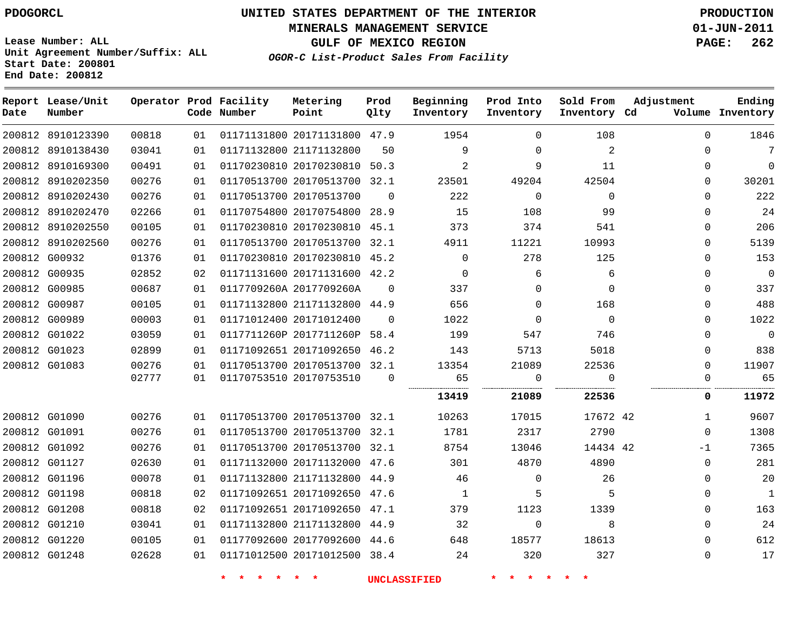**MINERALS MANAGEMENT SERVICE 01-JUN-2011**

**GULF OF MEXICO REGION PAGE: 262**

**Lease Number: ALL Unit Agreement Number/Suffix: ALL Start Date: 200801 End Date: 200812**

**OGOR-C List-Product Sales From Facility**

| Date | Report Lease/Unit<br>Number |       |    | Operator Prod Facility<br>Code Number | Metering<br>Point            | Prod<br>Qlty | Beginning<br>Inventory | Prod Into<br>Inventory | Sold From<br>Inventory Cd | Adjustment   | Ending<br>Volume Inventory |
|------|-----------------------------|-------|----|---------------------------------------|------------------------------|--------------|------------------------|------------------------|---------------------------|--------------|----------------------------|
|      | 200812 8910123390           | 00818 | 01 |                                       | 01171131800 20171131800 47.9 |              | 1954                   | $\Omega$               | 108                       | $\Omega$     | 1846                       |
|      | 200812 8910138430           | 03041 | 01 |                                       | 01171132800 21171132800      | 50           | 9                      | $\Omega$               | 2                         | $\Omega$     | 7                          |
|      | 200812 8910169300           | 00491 | 01 |                                       | 01170230810 20170230810 50.3 |              | $\overline{2}$         | 9                      | 11                        | $\Omega$     | $\Omega$                   |
|      | 200812 8910202350           | 00276 | 01 |                                       | 01170513700 20170513700 32.1 |              | 23501                  | 49204                  | 42504                     | 0            | 30201                      |
|      | 200812 8910202430           | 00276 | 01 |                                       | 01170513700 20170513700      | $\Omega$     | 222                    | $\mathbf 0$            | $\mathbf 0$               | $\Omega$     | 222                        |
|      | 200812 8910202470           | 02266 | 01 |                                       | 01170754800 20170754800 28.9 |              | 15                     | 108                    | 99                        | $\Omega$     | 24                         |
|      | 200812 8910202550           | 00105 | 01 |                                       | 01170230810 20170230810 45.1 |              | 373                    | 374                    | 541                       | $\mathbf 0$  | 206                        |
|      | 200812 8910202560           | 00276 | 01 |                                       | 01170513700 20170513700 32.1 |              | 4911                   | 11221                  | 10993                     | $\Omega$     | 5139                       |
|      | 200812 G00932               | 01376 | 01 |                                       | 01170230810 20170230810 45.2 |              | $\mathbf 0$            | 278                    | 125                       | $\mathbf 0$  | 153                        |
|      | 200812 G00935               | 02852 | 02 |                                       | 01171131600 20171131600 42.2 |              | $\mathbf 0$            | 6                      | 6                         | $\Omega$     | $\mathbf 0$                |
|      | 200812 G00985               | 00687 | 01 |                                       | 0117709260A 2017709260A      | $\mathbf 0$  | 337                    | $\mathbf 0$            | $\mathbf 0$               | $\Omega$     | 337                        |
|      | 200812 G00987               | 00105 | 01 |                                       | 01171132800 21171132800 44.9 |              | 656                    | $\mathbf 0$            | 168                       | 0            | 488                        |
|      | 200812 G00989               | 00003 | 01 |                                       | 01171012400 20171012400      | $\Omega$     | 1022                   | $\Omega$               | $\Omega$                  | $\Omega$     | 1022                       |
|      | 200812 G01022               | 03059 | 01 |                                       | 0117711260P 2017711260P      | 58.4         | 199                    | 547                    | 746                       | $\Omega$     | $\Omega$                   |
|      | 200812 G01023               | 02899 | 01 |                                       | 01171092651 20171092650 46.2 |              | 143                    | 5713                   | 5018                      | $\Omega$     | 838                        |
|      | 200812 G01083               | 00276 | 01 |                                       | 01170513700 20170513700 32.1 |              | 13354                  | 21089                  | 22536                     | $\Omega$     | 11907                      |
|      |                             | 02777 | 01 |                                       | 01170753510 20170753510      | $\Omega$     | 65                     | $\mathbf 0$            | 0                         | $\mathbf 0$  | 65                         |
|      |                             |       |    |                                       |                              |              | 13419                  | 21089                  | 22536                     | 0            | 11972                      |
|      | 200812 G01090               | 00276 | 01 |                                       | 01170513700 20170513700 32.1 |              | 10263                  | 17015                  | 17672 42                  | $\mathbf{1}$ | 9607                       |
|      | 200812 G01091               | 00276 | 01 |                                       | 01170513700 20170513700 32.1 |              | 1781                   | 2317                   | 2790                      | $\Omega$     | 1308                       |
|      | 200812 G01092               | 00276 | 01 |                                       | 01170513700 20170513700 32.1 |              | 8754                   | 13046                  | 14434 42                  | $-1$         | 7365                       |
|      | 200812 G01127               | 02630 | 01 |                                       | 01171132000 20171132000 47.6 |              | 301                    | 4870                   | 4890                      | $\Omega$     | 281                        |
|      | 200812 G01196               | 00078 | 01 |                                       | 01171132800 21171132800 44.9 |              | 46                     | $\mathbf 0$            | 26                        | $\Omega$     | 20                         |
|      | 200812 G01198               | 00818 | 02 |                                       | 01171092651 20171092650 47.6 |              | 1                      | 5                      | 5                         | $\Omega$     | $\mathbf{1}$               |
|      | 200812 G01208               | 00818 | 02 |                                       | 01171092651 20171092650 47.1 |              | 379                    | 1123                   | 1339                      | $\Omega$     | 163                        |
|      | 200812 G01210               | 03041 | 01 |                                       | 01171132800 21171132800 44.9 |              | 32                     | 0                      | 8                         | $\Omega$     | 24                         |
|      | 200812 G01220               | 00105 | 01 |                                       | 01177092600 20177092600 44.6 |              | 648                    | 18577                  | 18613                     | $\Omega$     | 612                        |
|      | 200812 G01248               | 02628 | 01 |                                       | 01171012500 20171012500 38.4 |              | 24                     | 320                    | 327                       | $\mathbf 0$  | 17                         |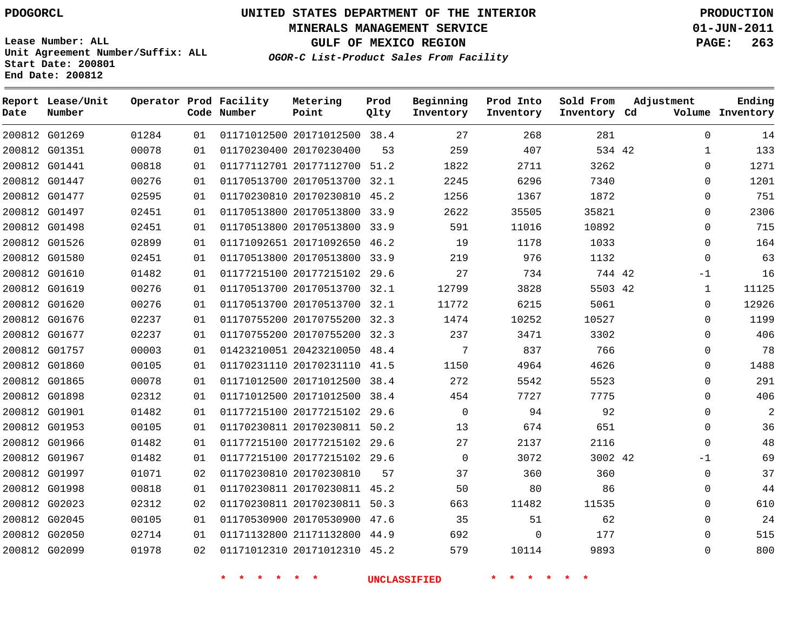**Start Date: 200801 End Date: 200812**

# **UNITED STATES DEPARTMENT OF THE INTERIOR PDOGORCL PRODUCTION**

**MINERALS MANAGEMENT SERVICE 01-JUN-2011**

**GULF OF MEXICO REGION PAGE: 263**

**OGOR-C List-Product Sales From Facility Unit Agreement Number/Suffix: ALL**

| Date | Report Lease/Unit<br>Number |       |    | Operator Prod Facility<br>Code Number | Metering<br>Point            | Prod<br>Qlty | Beginning<br>Inventory | Prod Into<br>Inventory | Sold From<br>Inventory Cd | Adjustment   | Ending<br>Volume Inventory |
|------|-----------------------------|-------|----|---------------------------------------|------------------------------|--------------|------------------------|------------------------|---------------------------|--------------|----------------------------|
|      | 200812 G01269               | 01284 | 01 |                                       | 01171012500 20171012500 38.4 |              | 27                     | 268                    | 281                       | $\mathbf 0$  | 14                         |
|      | 200812 G01351               | 00078 | 01 |                                       | 01170230400 20170230400      | 53           | 259                    | 407                    | 534 42                    |              | 133                        |
|      | 200812 G01441               | 00818 | 01 |                                       | 01177112701 20177112700 51.2 |              | 1822                   | 2711                   | 3262                      | 0            | 1271                       |
|      | 200812 G01447               | 00276 | 01 |                                       | 01170513700 20170513700      | 32.1         | 2245                   | 6296                   | 7340                      | $\Omega$     | 1201                       |
|      | 200812 G01477               | 02595 | 01 |                                       | 01170230810 20170230810      | 45.2         | 1256                   | 1367                   | 1872                      | $\Omega$     | 751                        |
|      | 200812 G01497               | 02451 | 01 |                                       | 01170513800 20170513800      | 33.9         | 2622                   | 35505                  | 35821                     | $\mathbf 0$  | 2306                       |
|      | 200812 G01498               | 02451 | 01 |                                       | 01170513800 20170513800      | 33.9         | 591                    | 11016                  | 10892                     | $\Omega$     | 715                        |
|      | 200812 G01526               | 02899 | 01 |                                       | 01171092651 20171092650      | 46.2         | 19                     | 1178                   | 1033                      | $\Omega$     | 164                        |
|      | 200812 G01580               | 02451 | 01 |                                       | 01170513800 20170513800      | 33.9         | 219                    | 976                    | 1132                      | $\mathbf 0$  | 63                         |
|      | 200812 G01610               | 01482 | 01 |                                       | 01177215100 20177215102      | 29.6         | 27                     | 734                    | 744 42                    | $-1$         | 16                         |
|      | 200812 G01619               | 00276 | 01 |                                       | 01170513700 20170513700      | 32.1         | 12799                  | 3828                   | 5503 42                   | 1            | 11125                      |
|      | 200812 G01620               | 00276 | 01 |                                       | 01170513700 20170513700      | 32.1         | 11772                  | 6215                   | 5061                      | $\Omega$     | 12926                      |
|      | 200812 G01676               | 02237 | 01 |                                       | 01170755200 20170755200      | 32.3         | 1474                   | 10252                  | 10527                     | $\Omega$     | 1199                       |
|      | 200812 G01677               | 02237 | 01 |                                       | 01170755200 20170755200      | 32.3         | 237                    | 3471                   | 3302                      | $\mathbf 0$  | 406                        |
|      | 200812 G01757               | 00003 | 01 |                                       | 01423210051 20423210050      | 48.4         | 7                      | 837                    | 766                       | $\mathbf 0$  | 78                         |
|      | 200812 G01860               | 00105 | 01 |                                       | 01170231110 20170231110      | 41.5         | 1150                   | 4964                   | 4626                      | 0            | 1488                       |
|      | 200812 G01865               | 00078 | 01 |                                       | 01171012500 20171012500      | 38.4         | 272                    | 5542                   | 5523                      | $\mathbf{0}$ | 291                        |
|      | 200812 G01898               | 02312 | 01 |                                       | 01171012500 20171012500      | 38.4         | 454                    | 7727                   | 7775                      | $\mathbf 0$  | 406                        |
|      | 200812 G01901               | 01482 | 01 |                                       | 01177215100 20177215102      | 29.6         | $\mathbf 0$            | 94                     | 92                        | $\mathbf 0$  | $\overline{a}$             |
|      | 200812 G01953               | 00105 | 01 |                                       | 01170230811 20170230811 50.2 |              | 13                     | 674                    | 651                       | $\Omega$     | 36                         |
|      | 200812 G01966               | 01482 | 01 |                                       | 01177215100 20177215102      | 29.6         | 27                     | 2137                   | 2116                      | $\Omega$     | 48                         |
|      | 200812 G01967               | 01482 | 01 |                                       | 01177215100 20177215102 29.6 |              | $\mathbf 0$            | 3072                   | 3002 42                   | $-1$         | 69                         |
|      | 200812 G01997               | 01071 | 02 |                                       | 01170230810 20170230810      | 57           | 37                     | 360                    | 360                       | $\mathbf 0$  | 37                         |
|      | 200812 G01998               | 00818 | 01 |                                       | 01170230811 20170230811      | 45.2         | 50                     | 80                     | 86                        | $\mathbf 0$  | 44                         |
|      | 200812 G02023               | 02312 | 02 |                                       | 01170230811 20170230811      | 50.3         | 663                    | 11482                  | 11535                     | $\mathbf 0$  | 610                        |
|      | 200812 G02045               | 00105 | 01 |                                       | 01170530900 20170530900      | 47.6         | 35                     | 51                     | 62                        | $\mathbf 0$  | 24                         |
|      | 200812 G02050               | 02714 | 01 |                                       | 01171132800 21171132800      | 44.9         | 692                    | $\Omega$               | 177                       | $\Omega$     | 515                        |
|      | 200812 G02099               | 01978 | 02 |                                       | 01171012310 20171012310      | 45.2         | 579                    | 10114                  | 9893                      | $\Omega$     | 800                        |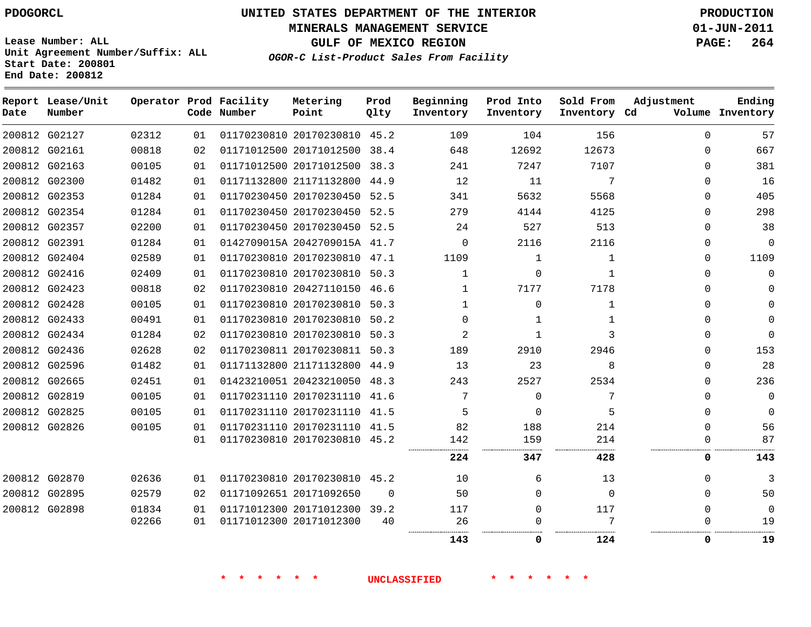**Start Date: 200801 End Date: 200812**

**Unit Agreement Number/Suffix: ALL**

# **UNITED STATES DEPARTMENT OF THE INTERIOR PDOGORCL PRODUCTION**

**MINERALS MANAGEMENT SERVICE 01-JUN-2011**

**GULF OF MEXICO REGION PAGE: 264**

**OGOR-C List-Product Sales From Facility**

**Report Lease/Unit Operator Prod Facility Metering Prod Beginning Prod Into Sold From Adjustment Ending Code Number Point Inventory Cd Volume Date Number Qlty Inventory Inventory Inventory**  $\Omega$  G02127 20170230810 45.2 G02161 20171012500 38.4  $\Omega$  G02163 20171012500 38.3  $\cap$  G02300 21171132800 44.9  $\Omega$  G02353 20170230450 52.5  $\Omega$  G02354 20170230450 52.5  $\Omega$  G02357 20170230450 52.5  $\Omega$  G02391 0142709015A 2042709015A 41.7  $\Omega$   $\Omega$  $\Omega$  G02404 20170230810 47.1  $\Omega$  G02416 20170230810 50.3  $\Omega$   $\Omega$  $\Omega$  G02423 20427110150 46.6  $\Omega$  G02428 20170230810 50.3  $\Omega$   $\Omega$  G02433 20170230810 50.2  $\Omega$  $\Omega$  G02434 20170230810 50.3 G02436 20170230811 50.3  $\Omega$  G02596 21171132800 44.9  $\Omega$  G02665 20423210050 48.3  $\Omega$  G02819 20170231110 41.6  $\Omega$   $\Omega$  $\Omega$  G02825 20170231110 41.5  $\Omega$  $\Omega$   $\Omega$  G02826 20170231110 41.5 20170230810 45.2  $\Omega$  . . . . . . . . . . . . . . . . . . . . . . . . . . . . . . . . . . G02870 20170230810 45.2  $\Omega$  G02895 20171092650  $\Omega$  $\Omega$  $\Omega$  $\Omega$  G02898 20171012300 39.2  $\Omega$   $\Omega$  $\Omega$  20171012300  $\Omega$  $\Omega$  . . . . . . . . . . . . . . . . . . . . . . . . . . . . . . . . . . . .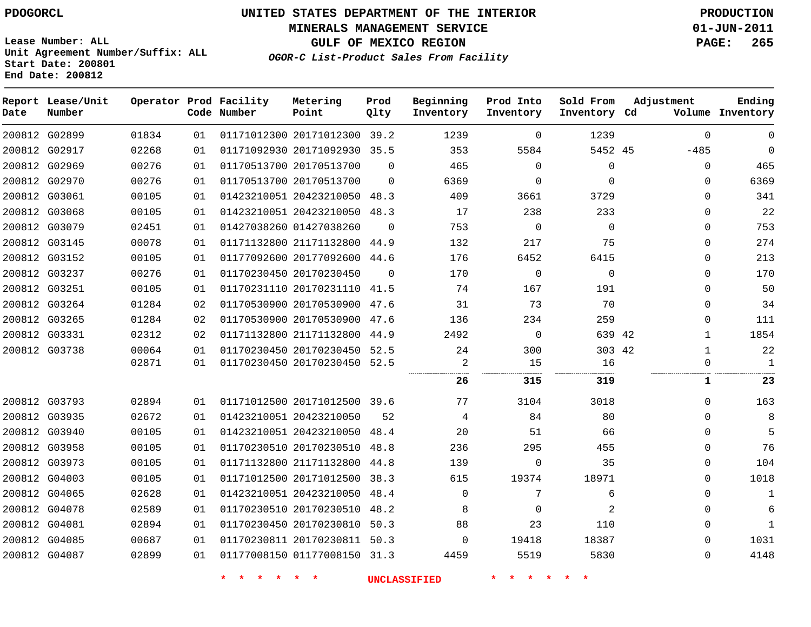**MINERALS MANAGEMENT SERVICE 01-JUN-2011**

**GULF OF MEXICO REGION PAGE: 265**

**Lease Number: ALL Unit Agreement Number/Suffix: ALL Start Date: 200801 End Date: 200812**

**OGOR-C List-Product Sales From Facility**

| Date          | Report Lease/Unit<br>Number |       |    | Operator Prod Facility<br>Code Number | Metering<br>Point            | Prod<br>Qlty | Beginning<br>Inventory | Prod Into<br>Inventory | Sold From<br>Inventory Cd | Adjustment   | Ending<br>Volume Inventory |
|---------------|-----------------------------|-------|----|---------------------------------------|------------------------------|--------------|------------------------|------------------------|---------------------------|--------------|----------------------------|
|               | 200812 G02899               | 01834 | 01 |                                       | 01171012300 20171012300      | 39.2         | 1239                   | 0                      | 1239                      | $\mathbf 0$  | $\Omega$                   |
| 200812 G02917 |                             | 02268 | 01 |                                       | 01171092930 20171092930 35.5 |              | 353                    | 5584                   | 5452 45                   | $-485$       | $\mathbf 0$                |
| 200812 G02969 |                             | 00276 | 01 |                                       | 01170513700 20170513700      | $\Omega$     | 465                    | $\mathbf 0$            | $\mathbf 0$               | $\mathbf 0$  | 465                        |
| 200812 G02970 |                             | 00276 | 01 |                                       | 01170513700 20170513700      | $\Omega$     | 6369                   | $\mathbf{0}$           | $\Omega$                  | $\Omega$     | 6369                       |
|               | 200812 G03061               | 00105 | 01 |                                       | 01423210051 20423210050 48.3 |              | 409                    | 3661                   | 3729                      | $\Omega$     | 341                        |
|               | 200812 G03068               | 00105 | 01 |                                       | 01423210051 20423210050 48.3 |              | 17                     | 238                    | 233                       | $\Omega$     | 22                         |
| 200812 G03079 |                             | 02451 | 01 |                                       | 01427038260 01427038260      | $\Omega$     | 753                    | $\Omega$               | $\Omega$                  | $\Omega$     | 753                        |
| 200812 G03145 |                             | 00078 | 01 |                                       | 01171132800 21171132800      | 44.9         | 132                    | 217                    | 75                        | $\Omega$     | 274                        |
| 200812 G03152 |                             | 00105 | 01 |                                       | 01177092600 20177092600      | 44.6         | 176                    | 6452                   | 6415                      | $\Omega$     | 213                        |
| 200812 G03237 |                             | 00276 | 01 |                                       | 01170230450 20170230450      | $\Omega$     | 170                    | $\mathbf{0}$           | $\Omega$                  | $\Omega$     | 170                        |
| 200812 G03251 |                             | 00105 | 01 |                                       | 01170231110 20170231110      | 41.5         | 74                     | 167                    | 191                       | $\Omega$     | 50                         |
|               | 200812 G03264               | 01284 | 02 |                                       | 01170530900 20170530900 47.6 |              | 31                     | 73                     | 70                        | $\Omega$     | 34                         |
| 200812 G03265 |                             | 01284 | 02 |                                       | 01170530900 20170530900      | 47.6         | 136                    | 234                    | 259                       | 0            | 111                        |
| 200812 G03331 |                             | 02312 | 02 |                                       | 01171132800 21171132800      | 44.9         | 2492                   | $\mathbf 0$            | 639 42                    | $\mathbf{1}$ | 1854                       |
| 200812 G03738 |                             | 00064 | 01 |                                       | 01170230450 20170230450      | 52.5         | 24                     | 300                    | 303 42                    | $\mathbf{1}$ | 22                         |
|               |                             | 02871 | 01 |                                       | 01170230450 20170230450 52.5 |              | 2                      | 15                     | 16                        | $\mathbf{0}$ | $\mathbf{1}$               |
|               |                             |       |    |                                       |                              |              | 26                     | 315                    | 319                       | 1            | 23                         |
|               | 200812 G03793               | 02894 | 01 |                                       | 01171012500 20171012500 39.6 |              | 77                     | 3104                   | 3018                      | $\Omega$     | 163                        |
| 200812 G03935 |                             | 02672 | 01 |                                       | 01423210051 20423210050      | 52           | 4                      | 84                     | 80                        | $\Omega$     | 8                          |
| 200812 G03940 |                             | 00105 | 01 |                                       | 01423210051 20423210050      | 48.4         | 20                     | 51                     | 66                        | $\Omega$     | 5                          |
| 200812 G03958 |                             | 00105 | 01 |                                       | 01170230510 20170230510      | 48.8         | 236                    | 295                    | 455                       | $\Omega$     | 76                         |
| 200812 G03973 |                             | 00105 | 01 |                                       | 01171132800 21171132800      | 44.8         | 139                    | $\mathbf{0}$           | 35                        | $\Omega$     | 104                        |
| 200812 G04003 |                             | 00105 | 01 |                                       | 01171012500 20171012500      | 38.3         | 615                    | 19374                  | 18971                     | $\mathbf{0}$ | 1018                       |
| 200812 G04065 |                             | 02628 | 01 |                                       | 01423210051 20423210050      | 48.4         | $\mathbf 0$            | 7                      | 6                         | $\Omega$     | $\mathbf{1}$               |
| 200812 G04078 |                             | 02589 | 01 |                                       | 01170230510 20170230510      | 48.2         | 8                      | 0                      | 2                         | 0            | 6                          |
| 200812 G04081 |                             | 02894 | 01 |                                       | 01170230450 20170230810 50.3 |              | 88                     | 23                     | 110                       | $\Omega$     | $\mathbf{1}$               |
|               | 200812 G04085               | 00687 | 01 |                                       | 01170230811 20170230811 50.3 |              | $\Omega$               | 19418                  | 18387                     | $\Omega$     | 1031                       |
| 200812 G04087 |                             | 02899 | 01 |                                       | 01177008150 01177008150 31.3 |              | 4459                   | 5519                   | 5830                      | $\Omega$     | 4148                       |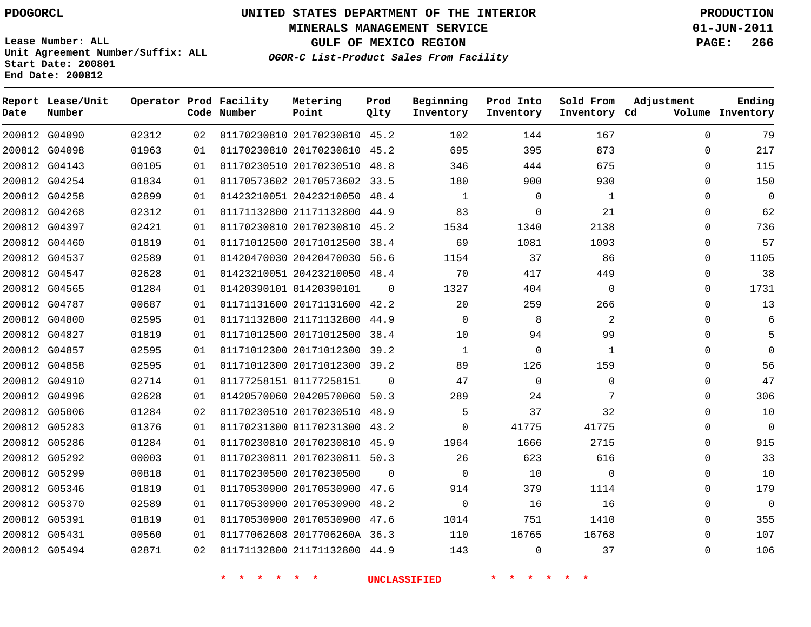# **UNITED STATES DEPARTMENT OF THE INTERIOR PDOGORCL PRODUCTION**

**MINERALS MANAGEMENT SERVICE 01-JUN-2011**

**GULF OF MEXICO REGION PAGE: 266**

**Unit Agreement Number/Suffix: ALL Start Date: 200801 End Date: 200812**

**OGOR-C List-Product Sales From Facility**

| Date | Report Lease/Unit<br>Number |       |    | Operator Prod Facility<br>Code Number | Metering<br>Point            | Prod<br>Qlty | Beginning<br>Inventory | Prod Into<br>Inventory | Sold From<br>Inventory Cd | Adjustment   | Ending<br>Volume Inventory |
|------|-----------------------------|-------|----|---------------------------------------|------------------------------|--------------|------------------------|------------------------|---------------------------|--------------|----------------------------|
|      | 200812 G04090               | 02312 | 02 |                                       | 01170230810 20170230810 45.2 |              | 102                    | 144                    | 167                       | $\Omega$     | 79                         |
|      | 200812 G04098               | 01963 | 01 |                                       | 01170230810 20170230810 45.2 |              | 695                    | 395                    | 873                       | $\mathbf{0}$ | 217                        |
|      | 200812 G04143               | 00105 | 01 |                                       | 01170230510 20170230510 48.8 |              | 346                    | 444                    | 675                       | $\Omega$     | 115                        |
|      | 200812 G04254               | 01834 | 01 |                                       | 01170573602 20170573602 33.5 |              | 180                    | 900                    | 930                       | $\Omega$     | 150                        |
|      | 200812 G04258               | 02899 | 01 |                                       | 01423210051 20423210050 48.4 |              | $\mathbf{1}$           | $\mathbf 0$            | $\mathbf{1}$              | $\Omega$     | $\mathbf{0}$               |
|      | 200812 G04268               | 02312 | 01 |                                       | 01171132800 21171132800 44.9 |              | 83                     | $\mathbf 0$            | 21                        | $\mathbf 0$  | 62                         |
|      | 200812 G04397               | 02421 | 01 |                                       | 01170230810 20170230810 45.2 |              | 1534                   | 1340                   | 2138                      | $\Omega$     | 736                        |
|      | 200812 G04460               | 01819 | 01 |                                       | 01171012500 20171012500      | 38.4         | 69                     | 1081                   | 1093                      | $\mathbf{0}$ | 57                         |
|      | 200812 G04537               | 02589 | 01 |                                       | 01420470030 20420470030 56.6 |              | 1154                   | 37                     | 86                        | $\Omega$     | 1105                       |
|      | 200812 G04547               | 02628 | 01 |                                       | 01423210051 20423210050 48.4 |              | 70                     | 417                    | 449                       | 0            | 38                         |
|      | 200812 G04565               | 01284 | 01 |                                       | 01420390101 01420390101      | $\Omega$     | 1327                   | 404                    | $\mathbf 0$               | 0            | 1731                       |
|      | 200812 G04787               | 00687 | 01 |                                       | 01171131600 20171131600 42.2 |              | 20                     | 259                    | 266                       | $\mathbf 0$  | 13                         |
|      | 200812 G04800               | 02595 | 01 |                                       | 01171132800 21171132800 44.9 |              | $\Omega$               | 8                      | 2                         | $\Omega$     | 6                          |
|      | 200812 G04827               | 01819 | 01 |                                       | 01171012500 20171012500 38.4 |              | 10                     | 94                     | 99                        | $\Omega$     | 5                          |
|      | 200812 G04857               | 02595 | 01 |                                       | 01171012300 20171012300 39.2 |              | $\mathbf{1}$           | $\mathbf 0$            | $\mathbf{1}$              | 0            | $\Omega$                   |
|      | 200812 G04858               | 02595 | 01 |                                       | 01171012300 20171012300 39.2 |              | 89                     | 126                    | 159                       | $\Omega$     | 56                         |
|      | 200812 G04910               | 02714 | 01 |                                       | 01177258151 01177258151      | $\Omega$     | 47                     | $\mathbf 0$            | $\mathbf{0}$              | $\Omega$     | 47                         |
|      | 200812 G04996               | 02628 | 01 |                                       | 01420570060 20420570060 50.3 |              | 289                    | 24                     | 7                         | $\Omega$     | 306                        |
|      | 200812 G05006               | 01284 | 02 |                                       | 01170230510 20170230510 48.9 |              | 5                      | 37                     | 32                        | $\Omega$     | 10                         |
|      | 200812 G05283               | 01376 | 01 |                                       | 01170231300 01170231300 43.2 |              | $\Omega$               | 41775                  | 41775                     | $\Omega$     | $\mathbf{0}$               |
|      | 200812 G05286               | 01284 | 01 |                                       | 01170230810 20170230810 45.9 |              | 1964                   | 1666                   | 2715                      | $\mathbf{0}$ | 915                        |
|      | 200812 G05292               | 00003 | 01 |                                       | 01170230811 20170230811 50.3 |              | 26                     | 623                    | 616                       | $\Omega$     | 33                         |
|      | 200812 G05299               | 00818 | 01 |                                       | 01170230500 20170230500      | $\Omega$     | $\Omega$               | 10                     | $\Omega$                  | 0            | 10                         |
|      | 200812 G05346               | 01819 | 01 |                                       | 01170530900 20170530900 47.6 |              | 914                    | 379                    | 1114                      | $\Omega$     | 179                        |
|      | 200812 G05370               | 02589 | 01 |                                       | 01170530900 20170530900 48.2 |              | $\mathbf 0$            | 16                     | 16                        | $\mathbf{0}$ | $\mathbf 0$                |
|      | 200812 G05391               | 01819 | 01 |                                       | 01170530900 20170530900 47.6 |              | 1014                   | 751                    | 1410                      | 0            | 355                        |
|      | 200812 G05431               | 00560 | 01 |                                       | 01177062608 2017706260A 36.3 |              | 110                    | 16765                  | 16768                     | $\Omega$     | 107                        |
|      | 200812 G05494               | 02871 | 02 |                                       | 01171132800 21171132800 44.9 |              | 143                    | $\Omega$               | 37                        | $\Omega$     | 106                        |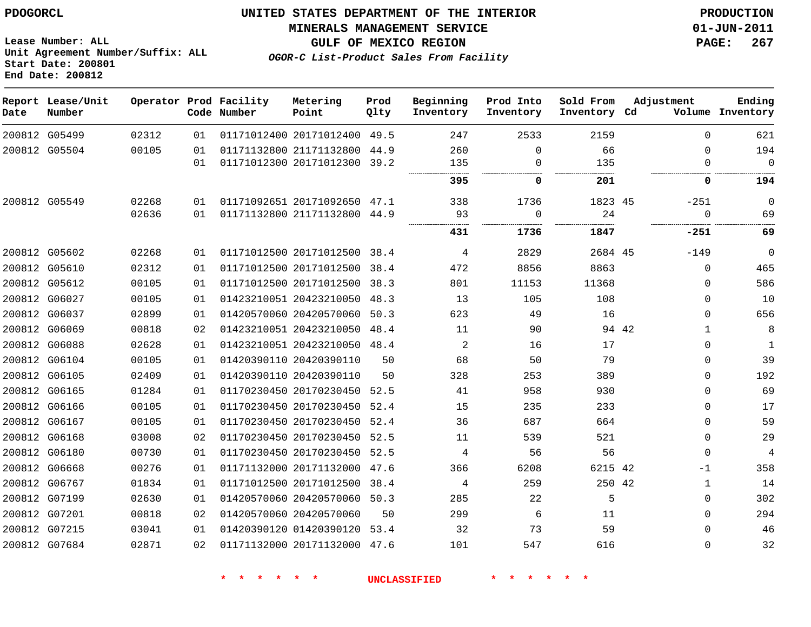**MINERALS MANAGEMENT SERVICE 01-JUN-2011**

**Lease Number: ALL Unit Agreement Number/Suffix: ALL Start Date: 200801 End Date: 200812**

**OGOR-C List-Product Sales From Facility**

**GULF OF MEXICO REGION PAGE: 267**

| Date | Report Lease/Unit<br>Number |       |    | Operator Prod Facility<br>Code Number | Metering<br>Point            | Prod<br>Qlty | Beginning<br>Inventory | Prod Into<br>Inventory | Sold From<br>Inventory Cd | Adjustment |             | Ending<br>Volume Inventory |
|------|-----------------------------|-------|----|---------------------------------------|------------------------------|--------------|------------------------|------------------------|---------------------------|------------|-------------|----------------------------|
|      | 200812 G05499               | 02312 | 01 |                                       | 01171012400 20171012400 49.5 |              | 247                    | 2533                   | 2159                      |            | $\Omega$    | 621                        |
|      | 200812 G05504               | 00105 | 01 |                                       | 01171132800 21171132800 44.9 |              | 260                    | $\Omega$               | 66                        |            | 0           | 194                        |
|      |                             |       | 01 |                                       | 01171012300 20171012300 39.2 |              | 135                    | 0                      | 135                       |            | 0           | $\overline{0}$             |
|      |                             |       |    |                                       |                              |              | 395                    | 0                      | 201                       |            | 0           | 194                        |
|      | 200812 G05549               | 02268 | 01 |                                       | 01171092651 20171092650 47.1 |              | 338                    | 1736                   | 1823 45                   |            | $-251$      | 0                          |
|      |                             | 02636 | 01 |                                       | 01171132800 21171132800 44.9 |              | 93                     | $\Omega$               | 24                        |            | $\mathbf 0$ | 69                         |
|      |                             |       |    |                                       |                              |              | 431                    | 1736                   | 1847                      |            | -251        | 69                         |
|      | 200812 G05602               | 02268 | 01 |                                       | 01171012500 20171012500 38.4 |              | 4                      | 2829                   | 2684 45                   |            | $-149$      | $\mathbf 0$                |
|      | 200812 G05610               | 02312 | 01 |                                       | 01171012500 20171012500      | 38.4         | 472                    | 8856                   | 8863                      |            | $\mathbf 0$ | 465                        |
|      | 200812 G05612               | 00105 | 01 |                                       | 01171012500 20171012500      | 38.3         | 801                    | 11153                  | 11368                     |            | $\Omega$    | 586                        |
|      | 200812 G06027               | 00105 | 01 |                                       | 01423210051 20423210050      | 48.3         | 13                     | 105                    | 108                       |            | 0           | 10                         |
|      | 200812 G06037               | 02899 | 01 |                                       | 01420570060 20420570060      | 50.3         | 623                    | 49                     | 16                        |            | $\Omega$    | 656                        |
|      | 200812 G06069               | 00818 | 02 |                                       | 01423210051 20423210050 48.4 |              | 11                     | 90                     | 94 42                     |            | $\mathbf 1$ | 8                          |
|      | 200812 G06088               | 02628 | 01 |                                       | 01423210051 20423210050 48.4 |              | 2                      | 16                     | 17                        |            | 0           | $\mathbf{1}$               |
|      | 200812 G06104               | 00105 | 01 |                                       | 01420390110 20420390110      | 50           | 68                     | 50                     | 79                        |            | $\Omega$    | 39                         |
|      | 200812 G06105               | 02409 | 01 |                                       | 01420390110 20420390110      | 50           | 328                    | 253                    | 389                       |            | $\Omega$    | 192                        |
|      | 200812 G06165               | 01284 | 01 |                                       | 01170230450 20170230450 52.5 |              | 41                     | 958                    | 930                       |            | $\Omega$    | 69                         |
|      | 200812 G06166               | 00105 | 01 |                                       | 01170230450 20170230450 52.4 |              | 15                     | 235                    | 233                       |            | 0           | 17                         |
|      | 200812 G06167               | 00105 | 01 |                                       | 01170230450 20170230450 52.4 |              | 36                     | 687                    | 664                       |            | $\Omega$    | 59                         |
|      | 200812 G06168               | 03008 | 02 |                                       | 01170230450 20170230450 52.5 |              | 11                     | 539                    | 521                       |            | 0           | 29                         |
|      | 200812 G06180               | 00730 | 01 |                                       | 01170230450 20170230450 52.5 |              | 4                      | 56                     | 56                        |            | $\Omega$    | $\overline{4}$             |
|      | 200812 G06668               | 00276 | 01 |                                       | 01171132000 20171132000      | 47.6         | 366                    | 6208                   | 6215 42                   |            | -1          | 358                        |
|      | 200812 G06767               | 01834 | 01 |                                       | 01171012500 20171012500      | 38.4         | 4                      | 259                    | 250 42                    |            | 1           | 14                         |
|      | 200812 G07199               | 02630 | 01 |                                       | 01420570060 20420570060      | 50.3         | 285                    | 22                     | 5                         |            | 0           | 302                        |
|      | 200812 G07201               | 00818 | 02 |                                       | 01420570060 20420570060      | 50           | 299                    | 6                      | 11                        |            | $\Omega$    | 294                        |
|      | 200812 G07215               | 03041 | 01 |                                       | 01420390120 01420390120      | 53.4         | 32                     | 73                     | 59                        |            | $\Omega$    | 46                         |
|      | 200812 G07684               | 02871 | 02 |                                       | 01171132000 20171132000 47.6 |              | 101                    | 547                    | 616                       |            | $\Omega$    | 32                         |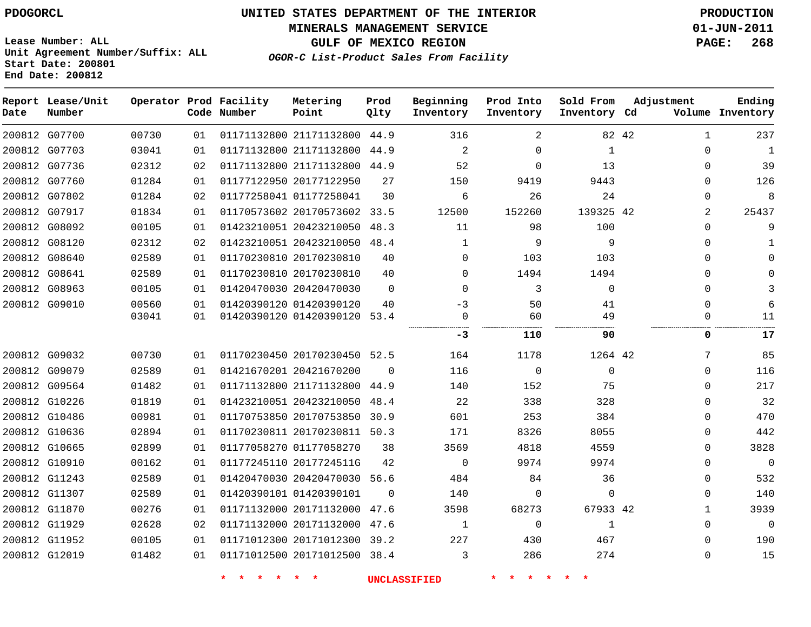**MINERALS MANAGEMENT SERVICE 01-JUN-2011**

**GULF OF MEXICO REGION PAGE: 268**

**Lease Number: ALL Unit Agreement Number/Suffix: ALL Start Date: 200801 End Date: 200812**

**OGOR-C List-Product Sales From Facility**

| Date | Report Lease/Unit<br>Number |       |    | Operator Prod Facility<br>Code Number | Metering<br>Point            | Prod<br>Qlty | Beginning<br>Inventory | Prod Into<br>Inventory | Sold From<br>Inventory Cd | Adjustment           | Ending<br>Volume Inventory |
|------|-----------------------------|-------|----|---------------------------------------|------------------------------|--------------|------------------------|------------------------|---------------------------|----------------------|----------------------------|
|      | 200812 G07700               | 00730 | 01 |                                       | 01171132800 21171132800      | 44.9         | 316                    | 2                      |                           | 82 42<br>$\mathbf 1$ | 237                        |
|      | 200812 G07703               | 03041 | 01 |                                       | 01171132800 21171132800      | 44.9         | $\overline{a}$         | $\mathbf 0$            | 1                         | $\Omega$             | $\mathbf 1$                |
|      | 200812 G07736               | 02312 | 02 |                                       | 01171132800 21171132800 44.9 |              | 52                     | $\Omega$               | 13                        | $\Omega$             | 39                         |
|      | 200812 G07760               | 01284 | 01 |                                       | 01177122950 20177122950      | 27           | 150                    | 9419                   | 9443                      | $\Omega$             | 126                        |
|      | 200812 G07802               | 01284 | 02 |                                       | 01177258041 01177258041      | 30           | 6                      | 26                     | 24                        | $\Omega$             | 8                          |
|      | 200812 G07917               | 01834 | 01 |                                       | 01170573602 20170573602      | 33.5         | 12500                  | 152260                 | 139325 42                 | 2                    | 25437                      |
|      | 200812 G08092               | 00105 | 01 |                                       | 01423210051 20423210050      | 48.3         | 11                     | 98                     | 100                       | $\Omega$             | 9                          |
|      | 200812 G08120               | 02312 | 02 |                                       | 01423210051 20423210050      | 48.4         | $\mathbf{1}$           | 9                      | 9                         | <sup>n</sup>         |                            |
|      | 200812 G08640               | 02589 | 01 |                                       | 01170230810 20170230810      | 40           | 0                      | 103                    | 103                       | n                    |                            |
|      | 200812 G08641               | 02589 | 01 |                                       | 01170230810 20170230810      | 40           | $\Omega$               | 1494                   | 1494                      |                      |                            |
|      | 200812 G08963               | 00105 | 01 |                                       | 01420470030 20420470030      | $\Omega$     | $\Omega$               | 3                      | $\Omega$                  | $\Omega$             |                            |
|      | 200812 G09010               | 00560 | 01 |                                       | 01420390120 01420390120      | 40           | $-3$                   | 50                     | 41                        | $\Omega$             | 6                          |
|      |                             | 03041 | 01 |                                       | 01420390120 01420390120 53.4 |              | 0                      | 60                     | 49                        | $\Omega$             | 11                         |
|      |                             |       |    |                                       |                              |              | $-3$                   | 110                    | 90                        | 0                    | 17                         |
|      | 200812 G09032               | 00730 | 01 |                                       | 01170230450 20170230450 52.5 |              | 164                    | 1178                   | 1264 42                   | 7                    | 85                         |
|      | 200812 G09079               | 02589 | 01 |                                       | 01421670201 20421670200      | $\Omega$     | 116                    | $\overline{0}$         | $\mathbf 0$               | $\Omega$             | 116                        |
|      | 200812 G09564               | 01482 | 01 |                                       | 01171132800 21171132800 44.9 |              | 140                    | 152                    | 75                        | $\Omega$             | 217                        |
|      | 200812 G10226               | 01819 | 01 |                                       | 01423210051 20423210050      | 48.4         | 22                     | 338                    | 328                       | $\Omega$             | 32                         |
|      | 200812 G10486               | 00981 | 01 |                                       | 01170753850 20170753850      | 30.9         | 601                    | 253                    | 384                       | $\Omega$             | 470                        |
|      | 200812 G10636               | 02894 | 01 |                                       | 01170230811 20170230811 50.3 |              | 171                    | 8326                   | 8055                      | $\Omega$             | 442                        |
|      | 200812 G10665               | 02899 | 01 |                                       | 01177058270 01177058270      | 38           | 3569                   | 4818                   | 4559                      | $\Omega$             | 3828                       |
|      | 200812 G10910               | 00162 | 01 |                                       | 01177245110 2017724511G      | 42           | $\Omega$               | 9974                   | 9974                      | $\Omega$             | $\overline{0}$             |
|      | 200812 G11243               | 02589 | 01 |                                       | 01420470030 20420470030 56.6 |              | 484                    | 84                     | 36                        | $\Omega$             | 532                        |
|      | 200812 G11307               | 02589 | 01 |                                       | 01420390101 01420390101      | $\Omega$     | 140                    | $\Omega$               | $\Omega$                  | $\Omega$             | 140                        |
|      | 200812 G11870               | 00276 | 01 |                                       | 01171132000 20171132000      | 47.6         | 3598                   | 68273                  | 67933 42                  | $\mathbf{1}$         | 3939                       |
|      | 200812 G11929               | 02628 | 02 |                                       | 01171132000 20171132000      | 47.6         | 1                      | 0                      | 1                         | $\Omega$             | 0                          |
|      | 200812 G11952               | 00105 | 01 |                                       | 01171012300 20171012300      | 39.2         | 227                    | 430                    | 467                       | $\Omega$             | 190                        |
|      | 200812 G12019               | 01482 | 01 |                                       | 01171012500 20171012500 38.4 |              | 3                      | 286                    | 274                       | $\Omega$             | 15                         |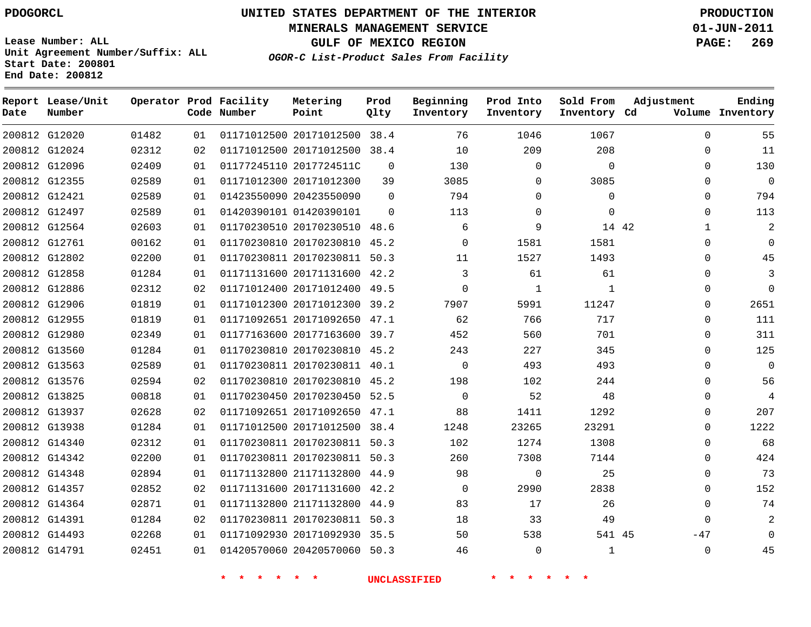**MINERALS MANAGEMENT SERVICE 01-JUN-2011**

**GULF OF MEXICO REGION PAGE: 269**

**Lease Number: ALL Unit Agreement Number/Suffix: ALL Start Date: 200801 End Date: 200812**

**OGOR-C List-Product Sales From Facility**

| Date | Report Lease/Unit<br>Number |       |    | Operator Prod Facility<br>Code Number | Metering<br>Point            | Prod<br>Qlty | Beginning<br>Inventory | Prod Into<br>Inventory | Sold From<br>Inventory Cd | Adjustment            | Ending<br>Volume Inventory |
|------|-----------------------------|-------|----|---------------------------------------|------------------------------|--------------|------------------------|------------------------|---------------------------|-----------------------|----------------------------|
|      | 200812 G12020               | 01482 | 01 |                                       | 01171012500 20171012500 38.4 |              | 76                     | 1046                   | 1067                      | $\Omega$              | 55                         |
|      | 200812 G12024               | 02312 | 02 |                                       | 01171012500 20171012500 38.4 |              | 10                     | 209                    | 208                       | $\Omega$              | 11                         |
|      | 200812 G12096               | 02409 | 01 |                                       | 01177245110 2017724511C      | $\Omega$     | 130                    | $\mathbf 0$            | $\Omega$                  | $\Omega$              | 130                        |
|      | 200812 G12355               | 02589 | 01 |                                       | 01171012300 20171012300      | 39           | 3085                   | $\Omega$               | 3085                      | $\Omega$              | $\mathbf 0$                |
|      | 200812 G12421               | 02589 | 01 |                                       | 01423550090 20423550090      | $\Omega$     | 794                    | $\mathbf 0$            | $\Omega$                  | $\Omega$              | 794                        |
|      | 200812 G12497               | 02589 | 01 |                                       | 01420390101 01420390101      | $\Omega$     | 113                    | $\mathbf 0$            | $\Omega$                  | $\Omega$              | 113                        |
|      | 200812 G12564               | 02603 | 01 |                                       | 01170230510 20170230510      | 48.6         | 6                      | 9                      |                           | 14 42<br>$\mathbf{1}$ | $\overline{2}$             |
|      | 200812 G12761               | 00162 | 01 |                                       | 01170230810 20170230810 45.2 |              | $\mathbf 0$            | 1581                   | 1581                      | $\Omega$              | 0                          |
|      | 200812 G12802               | 02200 | 01 |                                       | 01170230811 20170230811      | 50.3         | 11                     | 1527                   | 1493                      | 0                     | 45                         |
|      | 200812 G12858               | 01284 | 01 |                                       | 01171131600 20171131600 42.2 |              | 3                      | 61                     | 61                        | 0                     | 3                          |
|      | 200812 G12886               | 02312 | 02 |                                       | 01171012400 20171012400 49.5 |              | $\mathbf 0$            | 1                      | $\mathbf{1}$              | 0                     | $\mathbf 0$                |
|      | 200812 G12906               | 01819 | 01 |                                       | 01171012300 20171012300 39.2 |              | 7907                   | 5991                   | 11247                     | 0                     | 2651                       |
|      | 200812 G12955               | 01819 | 01 |                                       | 01171092651 20171092650 47.1 |              | 62                     | 766                    | 717                       | $\Omega$              | 111                        |
|      | 200812 G12980               | 02349 | 01 |                                       | 01177163600 20177163600 39.7 |              | 452                    | 560                    | 701                       | $\Omega$              | 311                        |
|      | 200812 G13560               | 01284 | 01 |                                       | 01170230810 20170230810 45.2 |              | 243                    | 227                    | 345                       | 0                     | 125                        |
|      | 200812 G13563               | 02589 | 01 |                                       | 01170230811 20170230811 40.1 |              | $\Omega$               | 493                    | 493                       | 0                     | $\mathbf 0$                |
|      | 200812 G13576               | 02594 | 02 |                                       | 01170230810 20170230810 45.2 |              | 198                    | 102                    | 244                       | 0                     | 56                         |
|      | 200812 G13825               | 00818 | 01 |                                       | 01170230450 20170230450 52.5 |              | $\Omega$               | 52                     | 48                        | $\Omega$              | 4                          |
|      | 200812 G13937               | 02628 | 02 |                                       | 01171092651 20171092650 47.1 |              | 88                     | 1411                   | 1292                      | $\Omega$              | 207                        |
|      | 200812 G13938               | 01284 | 01 |                                       | 01171012500 20171012500      | 38.4         | 1248                   | 23265                  | 23291                     | $\Omega$              | 1222                       |
|      | 200812 G14340               | 02312 | 01 |                                       | 01170230811 20170230811 50.3 |              | 102                    | 1274                   | 1308                      | $\Omega$              | 68                         |
|      | 200812 G14342               | 02200 | 01 |                                       | 01170230811 20170230811 50.3 |              | 260                    | 7308                   | 7144                      | $\Omega$              | 424                        |
|      | 200812 G14348               | 02894 | 01 |                                       | 01171132800 21171132800 44.9 |              | 98                     | $\mathbf 0$            | 25                        | $\Omega$              | 73                         |
|      | 200812 G14357               | 02852 | 02 |                                       | 01171131600 20171131600      | 42.2         | $\mathbf{0}$           | 2990                   | 2838                      | $\Omega$              | 152                        |
|      | 200812 G14364               | 02871 | 01 |                                       | 01171132800 21171132800 44.9 |              | 83                     | 17                     | 26                        | $\Omega$              | 74                         |
|      | 200812 G14391               | 01284 | 02 |                                       | 01170230811 20170230811 50.3 |              | 18                     | 33                     | 49                        | $\Omega$              |                            |
|      | 200812 G14493               | 02268 | 01 |                                       | 01171092930 20171092930 35.5 |              | 50                     | 538                    | 541 45                    | $-47$                 | O                          |
|      | 200812 G14791               | 02451 | 01 |                                       | 01420570060 20420570060 50.3 |              | 46                     | $\Omega$               | $\mathbf{1}$              | $\Omega$              | 45                         |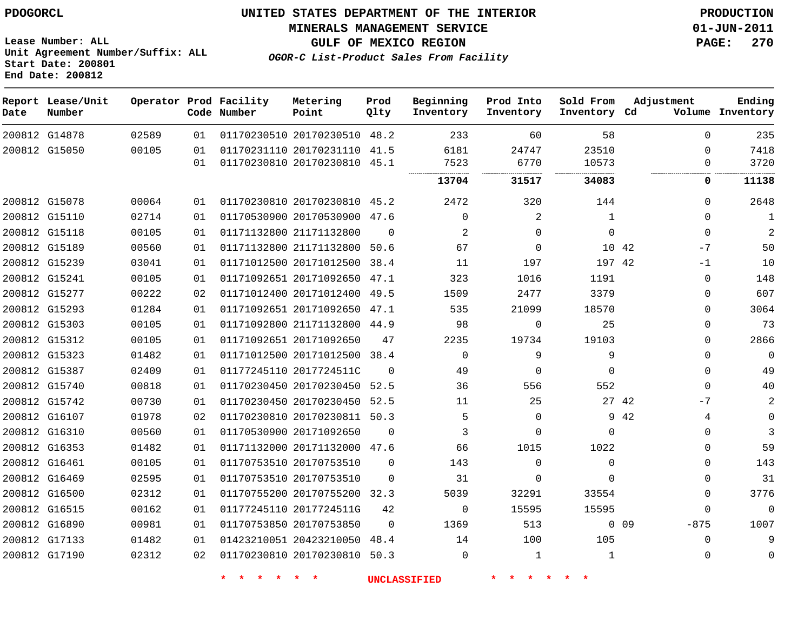**End Date: 200812**

# **UNITED STATES DEPARTMENT OF THE INTERIOR PDOGORCL PRODUCTION**

**MINERALS MANAGEMENT SERVICE 01-JUN-2011**

**Lease Number: ALL Unit Agreement Number/Suffix: ALL Start Date: 200801**

**GULF OF MEXICO REGION PAGE: 270**

**OGOR-C List-Product Sales From Facility**

| Date | Report Lease/Unit<br>Number |       |          | Operator Prod Facility<br>Code Number | Metering<br>Point                                            | Prod<br>Qlty | Beginning<br>Inventory | Prod Into<br>Inventory | Sold From<br>Inventory Cd | Adjustment      |               | Ending<br>Volume Inventory |
|------|-----------------------------|-------|----------|---------------------------------------|--------------------------------------------------------------|--------------|------------------------|------------------------|---------------------------|-----------------|---------------|----------------------------|
|      | 200812 G14878               | 02589 | 01       |                                       | 01170230510 20170230510 48.2                                 |              | 233                    | 60                     | 58                        |                 | $\Omega$      | 235                        |
|      | 200812 G15050               | 00105 | 01<br>01 |                                       | 01170231110 20170231110 41.5<br>01170230810 20170230810 45.1 |              | 6181<br>7523           | 24747<br>6770          | 23510<br>10573<br>        |                 | $\Omega$<br>0 | 7418<br>3720               |
|      |                             |       |          |                                       |                                                              |              | 13704                  | 31517                  | 34083                     |                 | $\mathbf 0$   | 11138                      |
|      | 200812 G15078               | 00064 | 01       |                                       | 01170230810 20170230810 45.2                                 |              | 2472                   | 320                    | 144                       |                 | $\Omega$      | 2648                       |
|      | 200812 G15110               | 02714 | 01       |                                       | 01170530900 20170530900                                      | 47.6         | $\mathbf 0$            | 2                      | $\mathbf{1}$              |                 | $\Omega$      | $\mathbf{1}$               |
|      | 200812 G15118               | 00105 | 01       |                                       | 01171132800 21171132800                                      | $\Omega$     | 2                      | 0                      | $\Omega$                  |                 | $\Omega$      | 2                          |
|      | 200812 G15189               | 00560 | 01       |                                       | 01171132800 21171132800                                      | 50.6         | 67                     | 0                      | 10 42                     |                 | $-7$          | 50                         |
|      | 200812 G15239               | 03041 | 01       |                                       | 01171012500 20171012500                                      | 38.4         | 11                     | 197                    | 197 42                    |                 | $-1$          | 10                         |
|      | 200812 G15241               | 00105 | 01       |                                       | 01171092651 20171092650 47.1                                 |              | 323                    | 1016                   | 1191                      |                 | $\Omega$      | 148                        |
|      | 200812 G15277               | 00222 | 02       |                                       | 01171012400 20171012400                                      | 49.5         | 1509                   | 2477                   | 3379                      |                 | 0             | 607                        |
|      | 200812 G15293               | 01284 | 01       |                                       | 01171092651 20171092650 47.1                                 |              | 535                    | 21099                  | 18570                     |                 | 0             | 3064                       |
|      | 200812 G15303               | 00105 | 01       |                                       | 01171092800 21171132800 44.9                                 |              | 98                     | 0                      | 25                        |                 | 0             | 73                         |
|      | 200812 G15312               | 00105 | 01       |                                       | 01171092651 20171092650                                      | 47           | 2235                   | 19734                  | 19103                     |                 | 0             | 2866                       |
|      | 200812 G15323               | 01482 | 01       |                                       | 01171012500 20171012500 38.4                                 |              | $\Omega$               | 9                      | 9                         |                 | $\Omega$      | $\overline{0}$             |
|      | 200812 G15387               | 02409 | 01       |                                       | 01177245110 2017724511C                                      | $\Omega$     | 49                     | 0                      | $\Omega$                  |                 | $\Omega$      | 49                         |
|      | 200812 G15740               | 00818 | 01       |                                       | 01170230450 20170230450 52.5                                 |              | 36                     | 556                    | 552                       |                 | $\Omega$      | 40                         |
|      | 200812 G15742               | 00730 | 01       |                                       | 01170230450 20170230450 52.5                                 |              | 11                     | 25                     | 27 42                     |                 | -7            | 2                          |
|      | 200812 G16107               | 01978 | 02       |                                       | 01170230810 20170230811                                      | 50.3         | 5                      | $\Omega$               |                           | 9 42            | 4             | 0                          |
|      | 200812 G16310               | 00560 | 01       |                                       | 01170530900 20171092650                                      | $\Omega$     | 3                      | 0                      | $\Omega$                  |                 | $\Omega$      | 3                          |
|      | 200812 G16353               | 01482 | 01       |                                       | 01171132000 20171132000 47.6                                 |              | 66                     | 1015                   | 1022                      |                 | $\Omega$      | 59                         |
|      | 200812 G16461               | 00105 | 01       |                                       | 01170753510 20170753510                                      | $\Omega$     | 143                    | 0                      | $\Omega$                  |                 | 0             | 143                        |
|      | 200812 G16469               | 02595 | 01       |                                       | 01170753510 20170753510                                      | $\Omega$     | 31                     | $\Omega$               | $\Omega$                  |                 | $\Omega$      | 31                         |
|      | 200812 G16500               | 02312 | 01       |                                       | 01170755200 20170755200 32.3                                 |              | 5039                   | 32291                  | 33554                     |                 | $\Omega$      | 3776                       |
|      | 200812 G16515               | 00162 | 01       |                                       | 01177245110 2017724511G                                      | 42           | $\mathbf 0$            | 15595                  | 15595                     |                 | 0             | $\mathbf 0$                |
|      | 200812 G16890               | 00981 | 01       |                                       | 01170753850 20170753850                                      | $\Omega$     | 1369                   | 513                    |                           | 0 <sub>09</sub> | $-875$        | 1007                       |
|      | 200812 G17133               | 01482 | 01       |                                       | 01423210051 20423210050                                      | 48.4         | 14                     | 100                    | 105                       |                 | $\Omega$      | 9                          |
|      | 200812 G17190               | 02312 | 02       |                                       | 01170230810 20170230810 50.3                                 |              | $\mathbf 0$            | 1                      | $\mathbf{1}$              |                 | 0             | 0                          |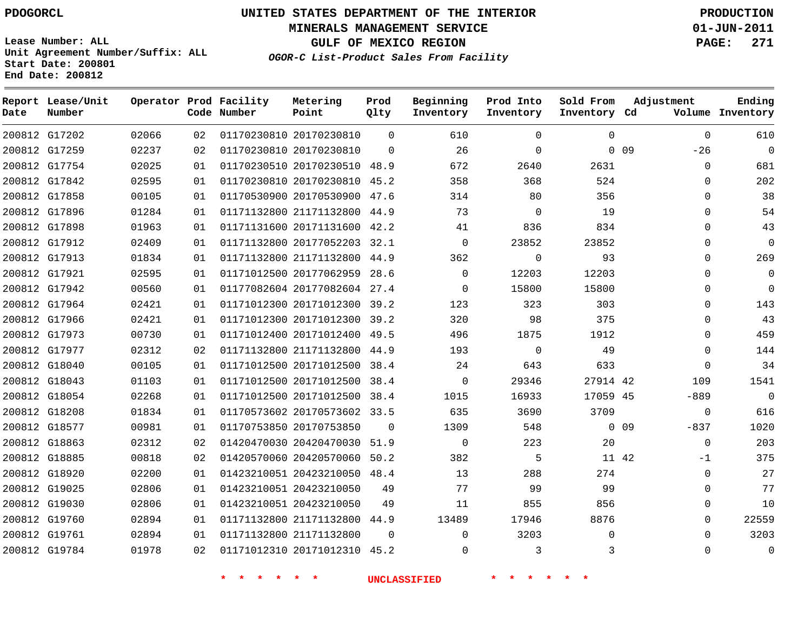**MINERALS MANAGEMENT SERVICE 01-JUN-2011**

**GULF OF MEXICO REGION PAGE: 271**

**Lease Number: ALL Unit Agreement Number/Suffix: ALL Start Date: 200801 End Date: 200812**

**OGOR-C List-Product Sales From Facility**

| Date | Report Lease/Unit<br>Number |       |    | Operator Prod Facility<br>Code Number | Metering<br>Point            | Prod<br>Qlty | Beginning<br>Inventory | Prod Into<br>Inventory | Sold From<br>Inventory Cd | Adjustment                | Ending<br>Volume Inventory |
|------|-----------------------------|-------|----|---------------------------------------|------------------------------|--------------|------------------------|------------------------|---------------------------|---------------------------|----------------------------|
|      | 200812 G17202               | 02066 | 02 |                                       | 01170230810 20170230810      | $\Omega$     | 610                    | $\Omega$               | $\Omega$                  | $\mathbf 0$               | 610                        |
|      | 200812 G17259               | 02237 | 02 |                                       | 01170230810 20170230810      | $\Omega$     | 26                     | $\mathbf 0$            |                           | 0 <sub>09</sub><br>$-26$  | 0                          |
|      | 200812 G17754               | 02025 | 01 |                                       | 01170230510 20170230510      | 48.9         | 672                    | 2640                   | 2631                      | $\Omega$                  | 681                        |
|      | 200812 G17842               | 02595 | 01 |                                       | 01170230810 20170230810      | 45.2         | 358                    | 368                    | 524                       | $\Omega$                  | 202                        |
|      | 200812 G17858               | 00105 | 01 |                                       | 01170530900 20170530900      | 47.6         | 314                    | 80                     | 356                       | $\Omega$                  | 38                         |
|      | 200812 G17896               | 01284 | 01 |                                       | 01171132800 21171132800      | 44.9         | 73                     | 0                      | 19                        | $\Omega$                  | 54                         |
|      | 200812 G17898               | 01963 | 01 |                                       | 01171131600 20171131600 42.2 |              | 41                     | 836                    | 834                       | 0                         | 43                         |
|      | 200812 G17912               | 02409 | 01 |                                       | 01171132800 20177052203 32.1 |              | $\Omega$               | 23852                  | 23852                     | 0                         | 0                          |
|      | 200812 G17913               | 01834 | 01 |                                       | 01171132800 21171132800 44.9 |              | 362                    | 0                      | 93                        | $\Omega$                  | 269                        |
|      | 200812 G17921               | 02595 | 01 |                                       | 01171012500 20177062959      | 28.6         | 0                      | 12203                  | 12203                     | $\Omega$                  | 0                          |
|      | 200812 G17942               | 00560 | 01 |                                       | 01177082604 20177082604 27.4 |              | $\Omega$               | 15800                  | 15800                     | $\Omega$                  | $\mathbf 0$                |
|      | 200812 G17964               | 02421 | 01 |                                       | 01171012300 20171012300 39.2 |              | 123                    | 323                    | 303                       | $\Omega$                  | 143                        |
|      | 200812 G17966               | 02421 | 01 |                                       | 01171012300 20171012300 39.2 |              | 320                    | 98                     | 375                       | $\Omega$                  | 43                         |
|      | 200812 G17973               | 00730 | 01 |                                       | 01171012400 20171012400      | 49.5         | 496                    | 1875                   | 1912                      | $\Omega$                  | 459                        |
|      | 200812 G17977               | 02312 | 02 |                                       | 01171132800 21171132800 44.9 |              | 193                    | $\mathbf 0$            | 49                        | $\Omega$                  | 144                        |
|      | 200812 G18040               | 00105 | 01 |                                       | 01171012500 20171012500      | 38.4         | 24                     | 643                    | 633                       | $\Omega$                  | 34                         |
|      | 200812 G18043               | 01103 | 01 |                                       | 01171012500 20171012500 38.4 |              | 0                      | 29346                  | 27914 42                  | 109                       | 1541                       |
|      | 200812 G18054               | 02268 | 01 |                                       | 01171012500 20171012500 38.4 |              | 1015                   | 16933                  | 17059 45                  | $-889$                    | $\mathbf 0$                |
|      | 200812 G18208               | 01834 | 01 |                                       | 01170573602 20170573602 33.5 |              | 635                    | 3690                   | 3709                      | $\mathbf 0$               | 616                        |
|      | 200812 G18577               | 00981 | 01 |                                       | 01170753850 20170753850      | $\Omega$     | 1309                   | 548                    |                           | 0 <sub>09</sub><br>$-837$ | 1020                       |
|      | 200812 G18863               | 02312 | 02 |                                       | 01420470030 20420470030 51.9 |              | $\mathbf 0$            | 223                    | 20                        | $\mathbf{0}$              | 203                        |
|      | 200812 G18885               | 00818 | 02 |                                       | 01420570060 20420570060 50.2 |              | 382                    | 5                      | 11 42                     | $-1$                      | 375                        |
|      | 200812 G18920               | 02200 | 01 |                                       | 01423210051 20423210050 48.4 |              | 13                     | 288                    | 274                       | $\Omega$                  | 27                         |
|      | 200812 G19025               | 02806 | 01 |                                       | 01423210051 20423210050      | 49           | 77                     | 99                     | 99                        | $\Omega$                  | 77                         |
|      | 200812 G19030               | 02806 | 01 |                                       | 01423210051 20423210050      | 49           | 11                     | 855                    | 856                       | $\Omega$                  | 10                         |
|      | 200812 G19760               | 02894 | 01 |                                       | 01171132800 21171132800 44.9 |              | 13489                  | 17946                  | 8876                      | $\Omega$                  | 22559                      |
|      | 200812 G19761               | 02894 | 01 |                                       | 01171132800 21171132800      | $\Omega$     | 0                      | 3203                   | $\Omega$                  | $\Omega$                  | 3203                       |
|      | 200812 G19784               | 01978 | 02 |                                       | 01171012310 20171012310 45.2 |              | $\Omega$               | 3                      | 3                         | $\Omega$                  | $\overline{0}$             |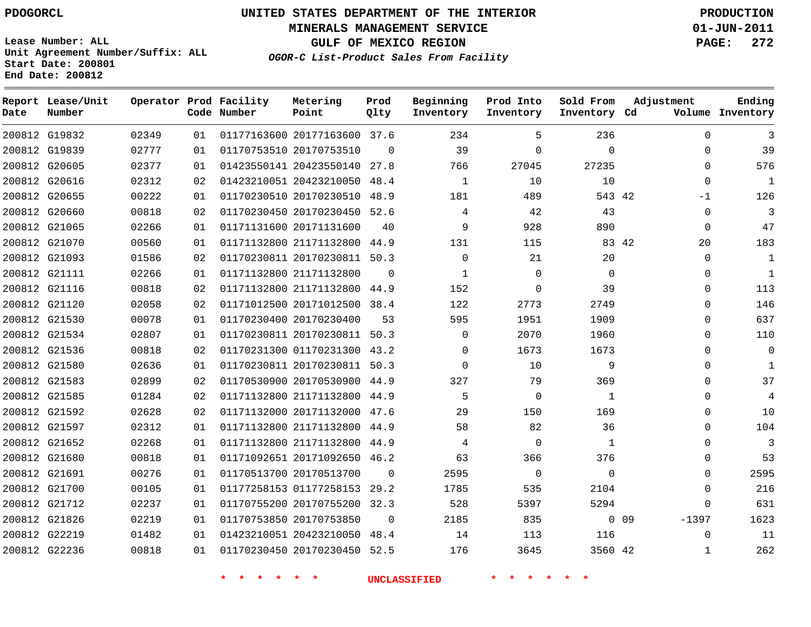**Start Date: 200801 End Date: 200812**

# **UNITED STATES DEPARTMENT OF THE INTERIOR PDOGORCL PRODUCTION**

**MINERALS MANAGEMENT SERVICE 01-JUN-2011**

**GULF OF MEXICO REGION PAGE: 272**

**OGOR-C List-Product Sales From Facility Unit Agreement Number/Suffix: ALL**

| Date | Report Lease/Unit<br>Number |       |    | Operator Prod Facility<br>Code Number | Metering<br>Point            | Prod<br>Qlty | Beginning<br>Inventory | Prod Into<br>Inventory | Sold From<br>Inventory Cd | Adjustment                 | Ending<br>Volume Inventory |
|------|-----------------------------|-------|----|---------------------------------------|------------------------------|--------------|------------------------|------------------------|---------------------------|----------------------------|----------------------------|
|      | 200812 G19832               | 02349 | 01 |                                       | 01177163600 20177163600 37.6 |              | 234                    | 5                      | 236                       | $\Omega$                   | 3                          |
|      | 200812 G19839               | 02777 | 01 |                                       | 01170753510 20170753510      | $\Omega$     | 39                     | $\Omega$               | $\mathbf 0$               | $\mathbf 0$                | 39                         |
|      | 200812 G20605               | 02377 | 01 |                                       | 01423550141 20423550140      | 27.8         | 766                    | 27045                  | 27235                     | $\Omega$                   | 576                        |
|      | 200812 G20616               | 02312 | 02 |                                       | 01423210051 20423210050      | 48.4         | $\mathbf{1}$           | 10                     | 10                        | $\Omega$                   | 1                          |
|      | 200812 G20655               | 00222 | 01 |                                       | 01170230510 20170230510      | 48.9         | 181                    | 489                    | 543 42                    | $-1$                       | 126                        |
|      | 200812 G20660               | 00818 | 02 |                                       | 01170230450 20170230450      | 52.6         | 4                      | 42                     | 43                        | $\Omega$                   | 3                          |
|      | 200812 G21065               | 02266 | 01 |                                       | 01171131600 20171131600      | 40           | 9                      | 928                    | 890                       | $\mathbf 0$                | 47                         |
|      | 200812 G21070               | 00560 | 01 |                                       | 01171132800 21171132800      | 44.9         | 131                    | 115                    |                           | 83 42<br>20                | 183                        |
|      | 200812 G21093               | 01586 | 02 |                                       | 01170230811 20170230811      | 50.3         | 0                      | 21                     | 20                        | $\mathbf 0$                | 1                          |
|      | 200812 G21111               | 02266 | 01 |                                       | 01171132800 21171132800      | $\Omega$     | $\mathbf{1}$           | $\Omega$               | $\Omega$                  | $\Omega$                   | $\mathbf{1}$               |
|      | 200812 G21116               | 00818 | 02 |                                       | 01171132800 21171132800      | 44.9         | 152                    | $\Omega$               | 39                        | $\Omega$                   | 113                        |
|      | 200812 G21120               | 02058 | 02 |                                       | 01171012500 20171012500      | 38.4         | 122                    | 2773                   | 2749                      | $\Omega$                   | 146                        |
|      | 200812 G21530               | 00078 | 01 |                                       | 01170230400 20170230400      | 53           | 595                    | 1951                   | 1909                      | $\Omega$                   | 637                        |
|      | 200812 G21534               | 02807 | 01 |                                       | 01170230811 20170230811 50.3 |              | $\mathbf 0$            | 2070                   | 1960                      | $\mathbf 0$                | 110                        |
|      | 200812 G21536               | 00818 | 02 |                                       | 01170231300 01170231300      | 43.2         | $\Omega$               | 1673                   | 1673                      | $\mathbf 0$                | $\mathbf 0$                |
|      | 200812 G21580               | 02636 | 01 |                                       | 01170230811 20170230811      | 50.3         | $\Omega$               | 10                     | 9                         | $\Omega$                   | $\mathbf{1}$               |
|      | 200812 G21583               | 02899 | 02 |                                       | 01170530900 20170530900      | 44.9         | 327                    | 79                     | 369                       | $\Omega$                   | 37                         |
|      | 200812 G21585               | 01284 | 02 |                                       | 01171132800 21171132800      | 44.9         | 5                      | $\Omega$               | 1                         | $\Omega$                   | 4                          |
|      | 200812 G21592               | 02628 | 02 |                                       | 01171132000 20171132000      | 47.6         | 29                     | 150                    | 169                       | $\Omega$                   | 10                         |
|      | 200812 G21597               | 02312 | 01 |                                       | 01171132800 21171132800      | 44.9         | 58                     | 82                     | 36                        | $\Omega$                   | 104                        |
|      | 200812 G21652               | 02268 | 01 |                                       | 01171132800 21171132800      | 44.9         | 4                      | $\Omega$               | $\mathbf{1}$              | $\Omega$                   | 3                          |
|      | 200812 G21680               | 00818 | 01 |                                       | 01171092651 20171092650      | 46.2         | 63                     | 366                    | 376                       | $\mathbf 0$                | 53                         |
|      | 200812 G21691               | 00276 | 01 |                                       | 01170513700 20170513700      | $\Omega$     | 2595                   | $\mathbf 0$            | $\mathbf 0$               | $\Omega$                   | 2595                       |
|      | 200812 G21700               | 00105 | 01 |                                       | 01177258153 01177258153      | 29.2         | 1785                   | 535                    | 2104                      | $\Omega$                   | 216                        |
|      | 200812 G21712               | 02237 | 01 |                                       | 01170755200 20170755200      | 32.3         | 528                    | 5397                   | 5294                      | $\Omega$                   | 631                        |
|      | 200812 G21826               | 02219 | 01 |                                       | 01170753850 20170753850      | $\Omega$     | 2185                   | 835                    |                           | 0 <sub>09</sub><br>$-1397$ | 1623                       |
|      | 200812 G22219               | 01482 | 01 |                                       | 01423210051 20423210050      | 48.4         | 14                     | 113                    | 116                       | $\Omega$                   | 11                         |
|      | 200812 G22236               | 00818 | 01 |                                       | 01170230450 20170230450      | 52.5         | 176                    | 3645                   | 3560 42                   | $\mathbf{1}$               | 262                        |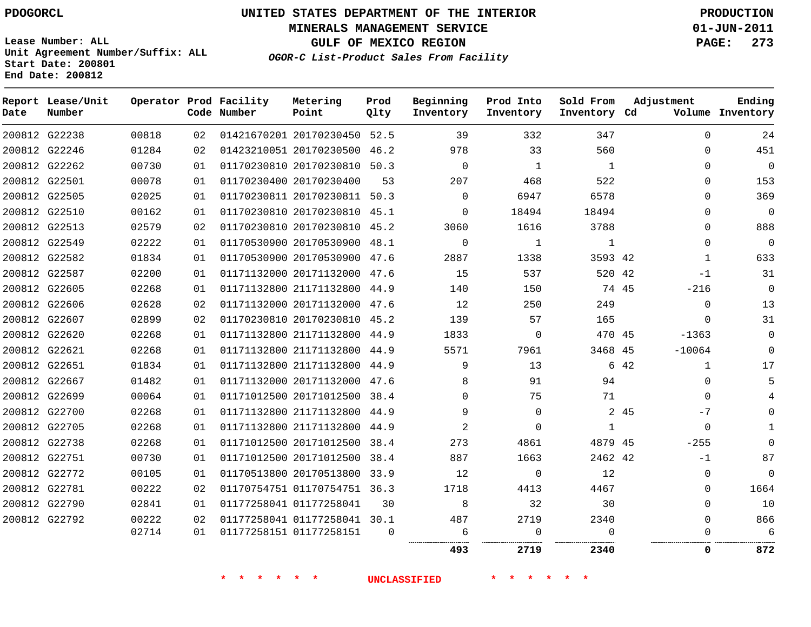# **UNITED STATES DEPARTMENT OF THE INTERIOR PDOGORCL PRODUCTION**

**MINERALS MANAGEMENT SERVICE 01-JUN-2011**

**GULF OF MEXICO REGION PAGE: 273**

**Unit Agreement Number/Suffix: ALL Start Date: 200801 End Date: 200812**

**OGOR-C List-Product Sales From Facility**

| Date | Report Lease/Unit<br>Number |       |    | Operator Prod Facility<br>Code Number | Metering<br>Point            | Prod<br>Qlty | Beginning<br>Inventory | Prod Into<br>Inventory | Sold From<br>Inventory Cd | Adjustment           | Ending<br>Volume Inventory |
|------|-----------------------------|-------|----|---------------------------------------|------------------------------|--------------|------------------------|------------------------|---------------------------|----------------------|----------------------------|
|      | 200812 G22238               | 00818 | 02 |                                       | 01421670201 20170230450 52.5 |              | 39                     | 332                    | 347                       | $\Omega$             | 24                         |
|      | 200812 G22246               | 01284 | 02 |                                       | 01423210051 20170230500 46.2 |              | 978                    | 33                     | 560                       | $\Omega$             | 451                        |
|      | 200812 G22262               | 00730 | 01 |                                       | 01170230810 20170230810 50.3 |              | $\Omega$               | 1                      | 1                         | $\Omega$             | 0                          |
|      | 200812 G22501               | 00078 | 01 |                                       | 01170230400 20170230400      | 53           | 207                    | 468                    | 522                       | $\Omega$             | 153                        |
|      | 200812 G22505               | 02025 | 01 |                                       | 01170230811 20170230811 50.3 |              | $\Omega$               | 6947                   | 6578                      | $\Omega$             | 369                        |
|      | 200812 G22510               | 00162 | 01 |                                       | 01170230810 20170230810 45.1 |              | $\Omega$               | 18494                  | 18494                     | $\Omega$             | 0                          |
|      | 200812 G22513               | 02579 | 02 |                                       | 01170230810 20170230810 45.2 |              | 3060                   | 1616                   | 3788                      | $\Omega$             | 888                        |
|      | 200812 G22549               | 02222 | 01 |                                       | 01170530900 20170530900 48.1 |              | 0                      | 1                      | $\mathbf{1}$              | $\Omega$             | 0                          |
|      | 200812 G22582               | 01834 | 01 |                                       | 01170530900 20170530900 47.6 |              | 2887                   | 1338                   | 3593 42                   | 1                    | 633                        |
|      | 200812 G22587               | 02200 | 01 |                                       | 01171132000 20171132000 47.6 |              | 15                     | 537                    | 520 42                    | $-1$                 | 31                         |
|      | 200812 G22605               | 02268 | 01 |                                       | 01171132800 21171132800 44.9 |              | 140                    | 150                    | 74 45                     | $-216$               | $\mathbf 0$                |
|      | 200812 G22606               | 02628 | 02 |                                       | 01171132000 20171132000 47.6 |              | 12                     | 250                    | 249                       | $\mathbf 0$          | 13                         |
|      | 200812 G22607               | 02899 | 02 |                                       | 01170230810 20170230810 45.2 |              | 139                    | 57                     | 165                       | $\Omega$             | 31                         |
|      | 200812 G22620               | 02268 | 01 |                                       | 01171132800 21171132800 44.9 |              | 1833                   | 0                      | 470 45                    | $-1363$              | 0                          |
|      | 200812 G22621               | 02268 | 01 |                                       | 01171132800 21171132800 44.9 |              | 5571                   | 7961                   | 3468 45                   | $-10064$             | $\Omega$                   |
|      | 200812 G22651               | 01834 | 01 |                                       | 01171132800 21171132800 44.9 |              | 9                      | 13                     |                           | 6 42<br>$\mathbf{1}$ | 17                         |
|      | 200812 G22667               | 01482 | 01 |                                       | 01171132000 20171132000 47.6 |              | 8                      | 91                     | 94                        | 0                    | 5                          |
|      | 200812 G22699               | 00064 | 01 |                                       | 01171012500 20171012500 38.4 |              | $\Omega$               | 75                     | 71                        | $\Omega$             |                            |
|      | 200812 G22700               | 02268 | 01 |                                       | 01171132800 21171132800 44.9 |              | 9                      | $\Omega$               |                           | 2 45<br>$-7$         |                            |
|      | 200812 G22705               | 02268 | 01 |                                       | 01171132800 21171132800 44.9 |              | 2                      | $\Omega$               | 1                         | $\Omega$             |                            |
|      | 200812 G22738               | 02268 | 01 |                                       | 01171012500 20171012500 38.4 |              | 273                    | 4861                   | 4879 45                   | $-255$               |                            |
|      | 200812 G22751               | 00730 | 01 |                                       | 01171012500 20171012500 38.4 |              | 887                    | 1663                   | 2462 42                   | $-1$                 | 87                         |
|      | 200812 G22772               | 00105 | 01 |                                       | 01170513800 20170513800 33.9 |              | 12                     | $\Omega$               | 12                        | $\Omega$             | 0                          |
|      | 200812 G22781               | 00222 | 02 |                                       | 01170754751 01170754751 36.3 |              | 1718                   | 4413                   | 4467                      | $\Omega$             | 1664                       |
|      | 200812 G22790               | 02841 | 01 |                                       | 01177258041 01177258041      | 30           | 8                      | 32                     | 30                        | 0                    | 10                         |
|      | 200812 G22792               | 00222 | 02 |                                       | 01177258041 01177258041 30.1 |              | 487                    | 2719                   | 2340                      | $\Omega$             | 866                        |
|      |                             | 02714 | 01 |                                       | 01177258151 01177258151      | $\Omega$     | 6<br>                  | $\Omega$<br>           | $\Omega$<br>.             | $\Omega$             | 6                          |
|      |                             |       |    |                                       |                              |              | 493                    | 2719                   | 2340                      | $\Omega$             | 872                        |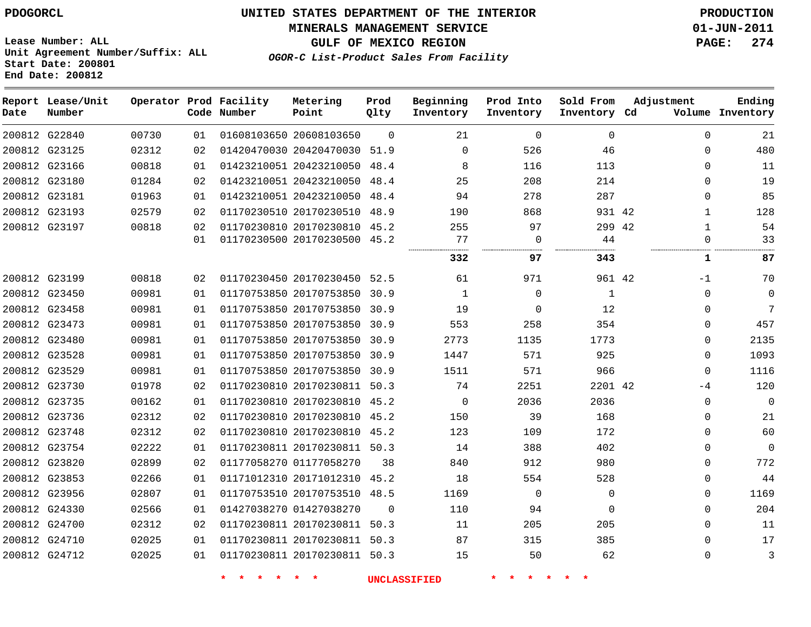### **MINERALS MANAGEMENT SERVICE 01-JUN-2011**

**GULF OF MEXICO REGION PAGE: 274**

**Lease Number: ALL Unit Agreement Number/Suffix: ALL Start Date: 200801 End Date: 200812**

**OGOR-C List-Product Sales From Facility**

| Date | Report Lease/Unit<br>Number |       |    | Operator Prod Facility<br>Code Number | Metering<br>Point            | Prod<br>Qlty | Beginning<br>Inventory | Prod Into<br>Inventory | Sold From<br>Inventory Cd | Adjustment | Ending<br>Volume Inventory |
|------|-----------------------------|-------|----|---------------------------------------|------------------------------|--------------|------------------------|------------------------|---------------------------|------------|----------------------------|
|      | 200812 G22840               | 00730 | 01 |                                       | 01608103650 20608103650      | $\Omega$     | 21                     | $\mathbf 0$            | 0                         |            | $\Omega$<br>21             |
|      | 200812 G23125               | 02312 | 02 |                                       | 01420470030 20420470030      | 51.9         | $\Omega$               | 526                    | 46                        |            | 480<br>$\Omega$            |
|      | 200812 G23166               | 00818 | 01 |                                       | 01423210051 20423210050 48.4 |              | 8                      | 116                    | 113                       |            | $\Omega$<br>11             |
|      | 200812 G23180               | 01284 | 02 |                                       | 01423210051 20423210050      | 48.4         | 25                     | 208                    | 214                       |            | 19<br>$\Omega$             |
|      | 200812 G23181               | 01963 | 01 |                                       | 01423210051 20423210050      | 48.4         | 94                     | 278                    | 287                       |            | 85<br>$\Omega$             |
|      | 200812 G23193               | 02579 | 02 |                                       | 01170230510 20170230510 48.9 |              | 190                    | 868                    | 931 42                    |            | 128<br>$\mathbf{1}$        |
|      | 200812 G23197               | 00818 | 02 |                                       | 01170230810 20170230810 45.2 |              | 255                    | 97                     | 299 42                    |            | 54<br>$\mathbf{1}$         |
|      |                             |       | 01 |                                       | 01170230500 20170230500 45.2 |              | 77                     | $\mathbf 0$            | 44                        |            | 33<br>0                    |
|      |                             |       |    |                                       |                              |              | 332                    | 97                     | 343                       |            | 87<br>1                    |
|      | 200812 G23199               | 00818 | 02 |                                       | 01170230450 20170230450 52.5 |              | 61                     | 971                    | 961 42                    |            | 70<br>$-1$                 |
|      | 200812 G23450               | 00981 | 01 |                                       | 01170753850 20170753850 30.9 |              | $\mathbf{1}$           | $\mathbf 0$            | $\mathbf{1}$              |            | $\mathbf{0}$<br>$\Omega$   |
|      | 200812 G23458               | 00981 | 01 |                                       | 01170753850 20170753850 30.9 |              | 19                     | 0                      | 12                        |            | 7<br>0                     |
|      | 200812 G23473               | 00981 | 01 |                                       | 01170753850 20170753850 30.9 |              | 553                    | 258                    | 354                       |            | 457<br>$\Omega$            |
|      | 200812 G23480               | 00981 | 01 |                                       | 01170753850 20170753850 30.9 |              | 2773                   | 1135                   | 1773                      |            | 2135<br>0                  |
|      | 200812 G23528               | 00981 | 01 |                                       | 01170753850 20170753850 30.9 |              | 1447                   | 571                    | 925                       |            | 1093<br>$\Omega$           |
|      | 200812 G23529               | 00981 | 01 |                                       | 01170753850 20170753850 30.9 |              | 1511                   | 571                    | 966                       |            | 1116<br>$\mathbf{0}$       |
|      | 200812 G23730               | 01978 | 02 |                                       | 01170230810 20170230811 50.3 |              | 74                     | 2251                   | 2201 42                   |            | 120<br>$-4$                |
|      | 200812 G23735               | 00162 | 01 |                                       | 01170230810 20170230810 45.2 |              | $\Omega$               | 2036                   | 2036                      |            | $\Omega$<br>$\Omega$       |
|      | 200812 G23736               | 02312 | 02 |                                       | 01170230810 20170230810 45.2 |              | 150                    | 39                     | 168                       |            | 21<br>$\Omega$             |
|      | 200812 G23748               | 02312 | 02 |                                       | 01170230810 20170230810 45.2 |              | 123                    | 109                    | 172                       |            | 60<br>$\Omega$             |
|      | 200812 G23754               | 02222 | 01 |                                       | 01170230811 20170230811 50.3 |              | 14                     | 388                    | 402                       |            | $\mathbf{0}$<br>0          |
|      | 200812 G23820               | 02899 | 02 |                                       | 01177058270 01177058270      | 38           | 840                    | 912                    | 980                       |            | 772<br>$\Omega$            |
|      | 200812 G23853               | 02266 | 01 |                                       | 01171012310 20171012310 45.2 |              | 18                     | 554                    | 528                       |            | 44<br>$\Omega$             |
|      | 200812 G23956               | 02807 | 01 |                                       | 01170753510 20170753510 48.5 |              | 1169                   | $\mathbf 0$            | 0                         |            | 1169<br>$\Omega$           |
|      | 200812 G24330               | 02566 | 01 |                                       | 01427038270 01427038270      | $\Omega$     | 110                    | 94                     | 0                         |            | 204<br>$\mathbf{0}$        |
|      | 200812 G24700               | 02312 | 02 |                                       | 01170230811 20170230811 50.3 |              | 11                     | 205                    | 205                       |            | 11<br>$\Omega$             |
|      | 200812 G24710               | 02025 | 01 |                                       | 01170230811 20170230811 50.3 |              | 87                     | 315                    | 385                       |            | $\Omega$<br>17             |
|      | 200812 G24712               | 02025 | 01 |                                       | 01170230811 20170230811 50.3 |              | 15                     | 50                     | 62                        |            | 3<br>$\Omega$              |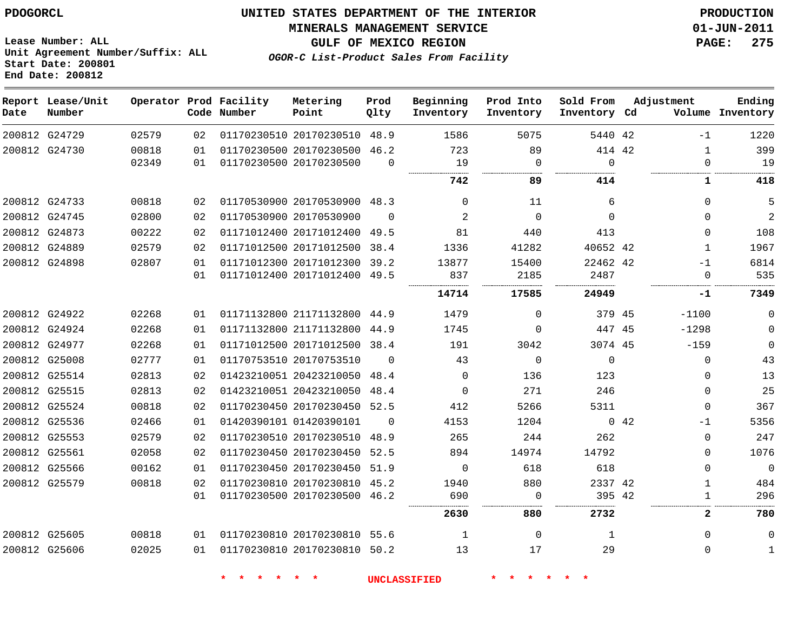**Start Date: 200801 End Date: 200812**

**Unit Agreement Number/Suffix: ALL**

# **UNITED STATES DEPARTMENT OF THE INTERIOR PDOGORCL PRODUCTION**

**MINERALS MANAGEMENT SERVICE 01-JUN-2011**

**GULF OF MEXICO REGION PAGE: 275**

**OGOR-C List-Product Sales From Facility**

| Date          | Report Lease/Unit<br>Number |                |          | Operator Prod Facility<br>Code Number | Metering<br>Point                                  | Prod<br>Olty | Beginning<br>Inventory | Prod Into<br>Inventory | Sold From<br>Inventory Cd  | Adjustment |                             | Ending<br>Volume Inventory |
|---------------|-----------------------------|----------------|----------|---------------------------------------|----------------------------------------------------|--------------|------------------------|------------------------|----------------------------|------------|-----------------------------|----------------------------|
| 200812 G24729 |                             | 02579          | 02       |                                       | 01170230510 20170230510 48.9                       |              | 1586                   | 5075                   | 5440 42                    |            | $-1$                        | 1220                       |
| 200812 G24730 |                             | 00818<br>02349 | 01<br>01 |                                       | 01170230500 20170230500<br>01170230500 20170230500 | 46.2<br>0    | 723<br>19              | 89<br>$\mathbf 0$      | 414 42<br>$\mathbf 0$<br>. |            | $\mathbf{1}$<br>$\mathbf 0$ | 399<br>19                  |
|               |                             |                |          |                                       |                                                    |              | 742                    | 89                     | 414                        |            | 1                           | 418                        |
| 200812 G24733 |                             | 00818          | 02       |                                       | 01170530900 20170530900 48.3                       |              | $\Omega$               | 11                     | 6                          |            | $\Omega$                    | 5                          |
| 200812 G24745 |                             | 02800          | 02       |                                       | 01170530900 20170530900                            | $\Omega$     | 2                      | $\Omega$               | $\Omega$                   |            | $\Omega$                    | $\overline{a}$             |
| 200812 G24873 |                             | 00222          | 02       |                                       | 01171012400 20171012400                            | 49.5         | 81                     | 440                    | 413                        |            | $\Omega$                    | 108                        |
| 200812 G24889 |                             | 02579          | 02       |                                       | 01171012500 20171012500                            | 38.4         | 1336                   | 41282                  | 40652 42                   |            | 1                           | 1967                       |
| 200812 G24898 |                             | 02807          | 01       |                                       | 01171012300 20171012300                            | 39.2         | 13877                  | 15400                  | 22462 42                   |            | $-1$                        | 6814                       |
|               |                             |                | 01       |                                       | 01171012400 20171012400 49.5                       |              | 837                    | 2185                   | 2487<br>.                  |            | $\Omega$                    | 535                        |
|               |                             |                |          |                                       |                                                    |              | 14714                  | 17585                  | 24949                      |            | <br>-1                      | .<br>7349                  |
| 200812 G24922 |                             | 02268          | 01       |                                       | 01171132800 21171132800                            | 44.9         | 1479                   | $\Omega$               | 379 45                     |            | $-1100$                     | $\mathbf 0$                |
| 200812 G24924 |                             | 02268          | 01       |                                       | 01171132800 21171132800                            | 44.9         | 1745                   | $\Omega$               | 447 45                     |            | $-1298$                     | $\mathbf 0$                |
| 200812 G24977 |                             | 02268          | 01       |                                       | 01171012500 20171012500 38.4                       |              | 191                    | 3042                   | 3074 45                    |            | $-159$                      | $\mathbf 0$                |
| 200812 G25008 |                             | 02777          | 01       |                                       | 01170753510 20170753510                            | $\Omega$     | 43                     | $\Omega$               | $\Omega$                   |            | $\Omega$                    | 43                         |
| 200812 G25514 |                             | 02813          | 02       |                                       | 01423210051 20423210050                            | 48.4         | $\Omega$               | 136                    | 123                        |            | $\Omega$                    | 13                         |
| 200812 G25515 |                             | 02813          | 02       |                                       | 01423210051 20423210050                            | 48.4         | $\Omega$               | 271                    | 246                        |            | $\Omega$                    | 25                         |
| 200812 G25524 |                             | 00818          | 02       |                                       | 01170230450 20170230450                            | 52.5         | 412                    | 5266                   | 5311                       |            | $\Omega$                    | 367                        |
| 200812 G25536 |                             | 02466          | 01       |                                       | 01420390101 01420390101                            | $\Omega$     | 4153                   | 1204                   |                            | 0.42       | $-1$                        | 5356                       |
| 200812 G25553 |                             | 02579          | 02       |                                       | 01170230510 20170230510                            | 48.9         | 265                    | 244                    | 262                        |            | $\Omega$                    | 247                        |
| 200812 G25561 |                             | 02058          | 02       |                                       | 01170230450 20170230450                            | 52.5         | 894                    | 14974                  | 14792                      |            | $\Omega$                    | 1076                       |
| 200812 G25566 |                             | 00162          | 01       |                                       | 01170230450 20170230450 51.9                       |              | $\mathbf 0$            | 618                    | 618                        |            | $\mathbf{0}$                | $\overline{0}$             |
| 200812 G25579 |                             | 00818          | 02       |                                       | 01170230810 20170230810 45.2                       |              | 1940                   | 880                    | 2337 42                    |            | $\mathbf{1}$                | 484                        |
|               |                             |                | 01       |                                       | 01170230500 20170230500 46.2                       |              | 690                    | $\mathbf 0$            | 395 42                     |            | $\mathbf{1}$                | 296                        |
|               |                             |                |          |                                       |                                                    |              | 2630                   | 880                    | 2732                       |            | $\mathbf{2}$                | 780                        |
| 200812 G25605 |                             | 00818          | 01       |                                       | 01170230810 20170230810 55.6                       |              | $\mathbf{1}$           | $\Omega$               | $\mathbf{1}$               |            | $\Omega$                    | $\mathbf 0$                |
| 200812 G25606 |                             | 02025          | 01       |                                       | 01170230810 20170230810 50.2                       |              | 13                     | 17                     | 29                         |            | $\Omega$                    | 1                          |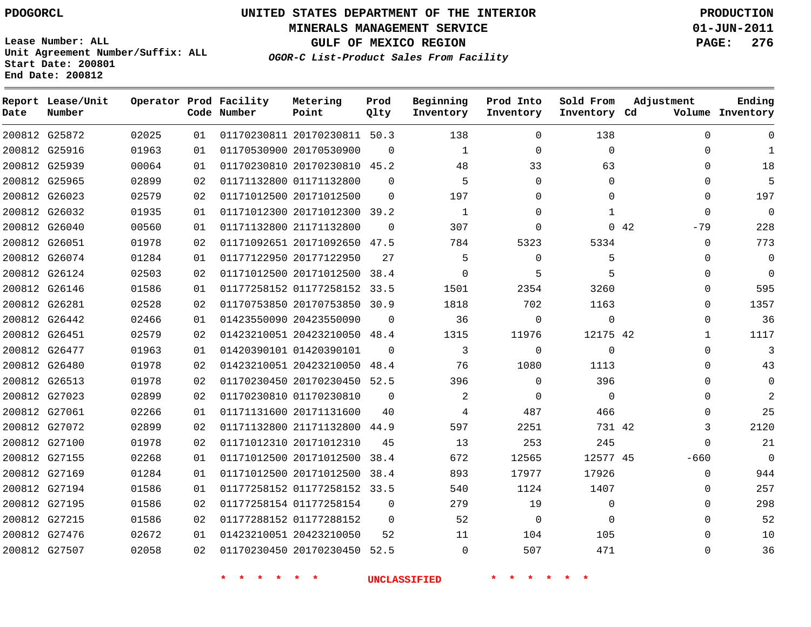# **UNITED STATES DEPARTMENT OF THE INTERIOR PDOGORCL PRODUCTION**

**MINERALS MANAGEMENT SERVICE 01-JUN-2011**

**GULF OF MEXICO REGION PAGE: 276**

**Unit Agreement Number/Suffix: ALL Start Date: 200801 End Date: 200812**

**OGOR-C List-Product Sales From Facility**

| Date | Report Lease/Unit<br>Number |       |                 | Operator Prod Facility<br>Code Number | Metering<br>Point            | Prod<br>Qlty | Beginning<br>Inventory | Prod Into<br>Inventory | Sold From<br>Inventory Cd | Adjustment |              | Ending<br>Volume Inventory |
|------|-----------------------------|-------|-----------------|---------------------------------------|------------------------------|--------------|------------------------|------------------------|---------------------------|------------|--------------|----------------------------|
|      | 200812 G25872               | 02025 | 01              |                                       | 01170230811 20170230811 50.3 |              | 138                    | $\Omega$               | 138                       |            | $\mathbf 0$  | $\mathbf 0$                |
|      | 200812 G25916               | 01963 | 01              |                                       | 01170530900 20170530900      | $\mathbf 0$  | 1                      | $\Omega$               | $\mathbf 0$               |            | 0            | $\mathbf{1}$               |
|      | 200812 G25939               | 00064 | 01              |                                       | 01170230810 20170230810 45.2 |              | 48                     | 33                     | 63                        |            | $\mathbf 0$  | 18                         |
|      | 200812 G25965               | 02899 | 02              |                                       | 01171132800 01171132800      | $\Omega$     | 5                      | $\Omega$               | $\Omega$                  |            | 0            | 5                          |
|      | 200812 G26023               | 02579 | 02              |                                       | 01171012500 20171012500      | $\Omega$     | 197                    | $\Omega$               | $\Omega$                  |            | $\mathbf 0$  | 197                        |
|      | 200812 G26032               | 01935 | 01              |                                       | 01171012300 20171012300 39.2 |              | $\mathbf{1}$           | $\Omega$               | $\mathbf{1}$              |            | $\mathbf 0$  | $\overline{0}$             |
|      | 200812 G26040               | 00560 | 01              |                                       | 01171132800 21171132800      | $\Omega$     | 307                    | $\Omega$               |                           | 0.42       | $-79$        | 228                        |
|      | 200812 G26051               | 01978 | 02              |                                       | 01171092651 20171092650 47.5 |              | 784                    | 5323                   | 5334                      |            | $\mathbf 0$  | 773                        |
|      | 200812 G26074               | 01284 | 01              |                                       | 01177122950 20177122950      | 27           | 5                      | $\Omega$               | 5                         |            | $\mathbf 0$  | $\mathbf 0$                |
|      | 200812 G26124               | 02503 | 02              |                                       | 01171012500 20171012500      | 38.4         | $\Omega$               | 5                      | 5                         |            | 0            | $\Omega$                   |
|      | 200812 G26146               | 01586 | 01              |                                       | 01177258152 01177258152 33.5 |              | 1501                   | 2354                   | 3260                      |            | $\mathbf 0$  | 595                        |
|      | 200812 G26281               | 02528 | 02              |                                       | 01170753850 20170753850 30.9 |              | 1818                   | 702                    | 1163                      |            | 0            | 1357                       |
|      | 200812 G26442               | 02466 | 01              |                                       | 01423550090 20423550090      | $\mathbf 0$  | 36                     | $\mathbf 0$            | $\mathbf 0$               |            | $\mathbf 0$  | 36                         |
|      | 200812 G26451               | 02579 | 02              |                                       | 01423210051 20423210050 48.4 |              | 1315                   | 11976                  | 12175 42                  |            | $\mathbf{1}$ | 1117                       |
|      | 200812 G26477               | 01963 | 01              |                                       | 01420390101 01420390101      | $\Omega$     | 3                      | $\Omega$               | $\Omega$                  |            | $\mathbf 0$  | 3                          |
|      | 200812 G26480               | 01978 | 02              |                                       | 01423210051 20423210050      | 48.4         | 76                     | 1080                   | 1113                      |            | $\mathbf 0$  | 43                         |
|      | 200812 G26513               | 01978 | 02 <sub>o</sub> |                                       | 01170230450 20170230450 52.5 |              | 396                    | $\Omega$               | 396                       |            | $\Omega$     | $\mathbf 0$                |
|      | 200812 G27023               | 02899 | 02              |                                       | 01170230810 01170230810      | $\Omega$     | 2                      | $\Omega$               | $\Omega$                  |            | $\Omega$     | 2                          |
|      | 200812 G27061               | 02266 | 01              |                                       | 01171131600 20171131600      | 40           | 4                      | 487                    | 466                       |            | $\Omega$     | 25                         |
|      | 200812 G27072               | 02899 | 02              |                                       | 01171132800 21171132800      | 44.9         | 597                    | 2251                   | 731 42                    |            | 3            | 2120                       |
|      | 200812 G27100               | 01978 | 02 <sub>o</sub> |                                       | 01171012310 20171012310      | 45           | 13                     | 253                    | 245                       |            | $\Omega$     | 21                         |
|      | 200812 G27155               | 02268 | 01              |                                       | 01171012500 20171012500      | 38.4         | 672                    | 12565                  | 12577 45                  |            | $-660$       | $\Omega$                   |
|      | 200812 G27169               | 01284 | 01              |                                       | 01171012500 20171012500 38.4 |              | 893                    | 17977                  | 17926                     |            | $\Omega$     | 944                        |
|      | 200812 G27194               | 01586 | 01              |                                       | 01177258152 01177258152 33.5 |              | 540                    | 1124                   | 1407                      |            | $\mathbf 0$  | 257                        |
|      | 200812 G27195               | 01586 | 02 <sub>o</sub> |                                       | 01177258154 01177258154      | $\Omega$     | 279                    | 19                     | $\Omega$                  |            | $\Omega$     | 298                        |
|      | 200812 G27215               | 01586 | 02              |                                       | 01177288152 01177288152      | $\Omega$     | 52                     | $\Omega$               | $\Omega$                  |            | $\Omega$     | 52                         |
|      | 200812 G27476               | 02672 | 01              |                                       | 01423210051 20423210050      | 52           | 11                     | 104                    | 105                       |            | $\Omega$     | 10                         |
|      | 200812 G27507               | 02058 | 02              |                                       | 01170230450 20170230450 52.5 |              | $\Omega$               | 507                    | 471                       |            | $\Omega$     | 36                         |